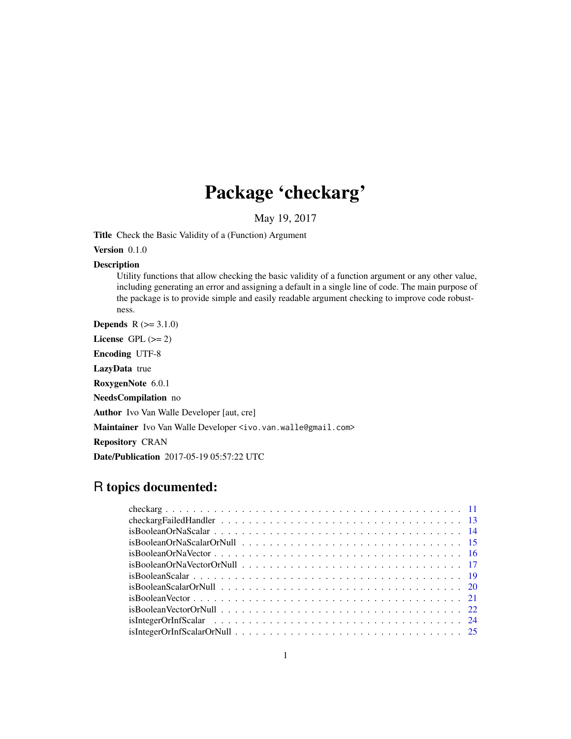# Package 'checkarg'

May 19, 2017

Title Check the Basic Validity of a (Function) Argument

Version 0.1.0

#### Description

Utility functions that allow checking the basic validity of a function argument or any other value, including generating an error and assigning a default in a single line of code. The main purpose of the package is to provide simple and easily readable argument checking to improve code robustness.

**Depends**  $R (= 3.1.0)$ 

License GPL  $(>= 2)$ 

Encoding UTF-8

LazyData true

RoxygenNote 6.0.1

NeedsCompilation no

Author Ivo Van Walle Developer [aut, cre]

Maintainer Ivo Van Walle Developer <ivo.van.walle@gmail.com>

Repository CRAN

Date/Publication 2017-05-19 05:57:22 UTC

## R topics documented: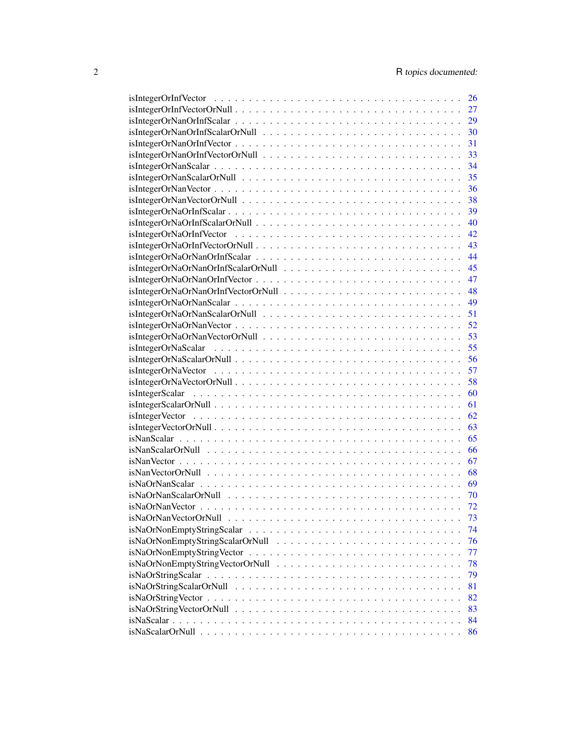|                                                                                                      | 26 |
|------------------------------------------------------------------------------------------------------|----|
|                                                                                                      | 27 |
|                                                                                                      | 29 |
|                                                                                                      | 30 |
|                                                                                                      | 31 |
|                                                                                                      | 33 |
|                                                                                                      | 34 |
|                                                                                                      | 35 |
| $isIntegerOrNanVector \ldots \ldots \ldots \ldots \ldots \ldots \ldots \ldots \ldots \ldots \ldots$  | 36 |
|                                                                                                      | 38 |
|                                                                                                      | 39 |
|                                                                                                      | 40 |
|                                                                                                      |    |
|                                                                                                      | 43 |
|                                                                                                      | 44 |
|                                                                                                      | 45 |
|                                                                                                      | 47 |
|                                                                                                      | 48 |
|                                                                                                      | 49 |
|                                                                                                      |    |
|                                                                                                      | 52 |
|                                                                                                      |    |
|                                                                                                      | 53 |
|                                                                                                      | 55 |
|                                                                                                      | 56 |
|                                                                                                      | 57 |
|                                                                                                      | 58 |
|                                                                                                      | 60 |
|                                                                                                      | 61 |
|                                                                                                      | 62 |
|                                                                                                      | 63 |
|                                                                                                      | 65 |
|                                                                                                      | 66 |
|                                                                                                      | 67 |
|                                                                                                      | 68 |
|                                                                                                      | 69 |
|                                                                                                      | 70 |
|                                                                                                      | 72 |
|                                                                                                      | 73 |
|                                                                                                      | 74 |
|                                                                                                      | 76 |
| $isNaOrNonEmptyStringVector \dots \dots \dots \dots \dots \dots \dots \dots \dots \dots \dots \dots$ | 77 |
|                                                                                                      | 78 |
|                                                                                                      | 79 |
|                                                                                                      | 81 |
|                                                                                                      | 82 |
|                                                                                                      | 83 |
|                                                                                                      | 84 |
|                                                                                                      | 86 |
|                                                                                                      |    |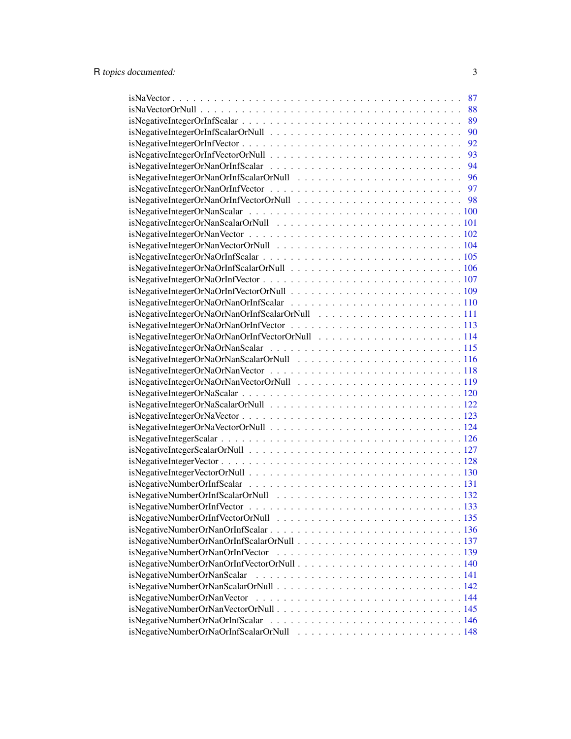|                             | 87 |
|-----------------------------|----|
|                             | 88 |
|                             | 89 |
|                             | 90 |
|                             | 92 |
|                             | 93 |
|                             | 94 |
|                             |    |
|                             |    |
|                             |    |
|                             |    |
|                             |    |
|                             |    |
|                             |    |
|                             |    |
|                             |    |
|                             |    |
|                             |    |
|                             |    |
|                             |    |
|                             |    |
|                             |    |
|                             |    |
|                             |    |
|                             |    |
|                             |    |
|                             |    |
|                             |    |
|                             |    |
|                             |    |
|                             |    |
|                             |    |
|                             |    |
|                             |    |
|                             |    |
|                             |    |
|                             |    |
|                             |    |
|                             |    |
|                             |    |
|                             |    |
|                             |    |
|                             |    |
| isNegativeNumberOrNanScalar |    |
|                             |    |
|                             |    |
|                             |    |
|                             |    |
|                             |    |
|                             |    |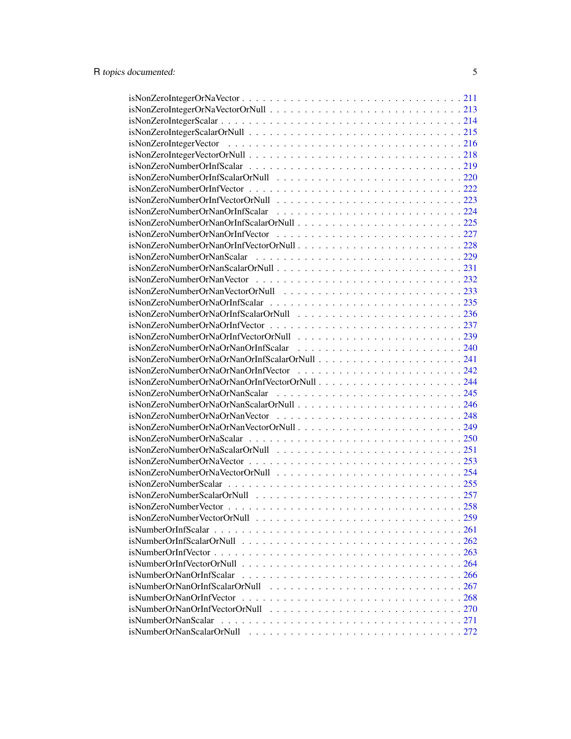| isNonZeroNumberOrNanOrInfVectorOrNull228 |  |
|------------------------------------------|--|
|                                          |  |
|                                          |  |
| isNonZeroNumberOrNanScalarOrNull231      |  |
|                                          |  |
|                                          |  |
|                                          |  |
| isNonZeroNumberOrNaOrInfScalarOrNull 236 |  |
|                                          |  |
| isNonZeroNumberOrNaOrInfVectorOrNull239  |  |
| isNonZeroNumberOrNaOrNanOrInfScalar 240  |  |
|                                          |  |
| isNonZeroNumberOrNaOrNanOrInfVector 242  |  |
|                                          |  |
|                                          |  |
|                                          |  |
|                                          |  |
| isNonZeroNumberOrNaOrNanVectorOrNull249  |  |
|                                          |  |
|                                          |  |
|                                          |  |
|                                          |  |
|                                          |  |
|                                          |  |
|                                          |  |
|                                          |  |
|                                          |  |
|                                          |  |
|                                          |  |
|                                          |  |
|                                          |  |
|                                          |  |
| isNumberOrNanOrInfScalarOrNull 267       |  |
|                                          |  |
|                                          |  |
|                                          |  |
|                                          |  |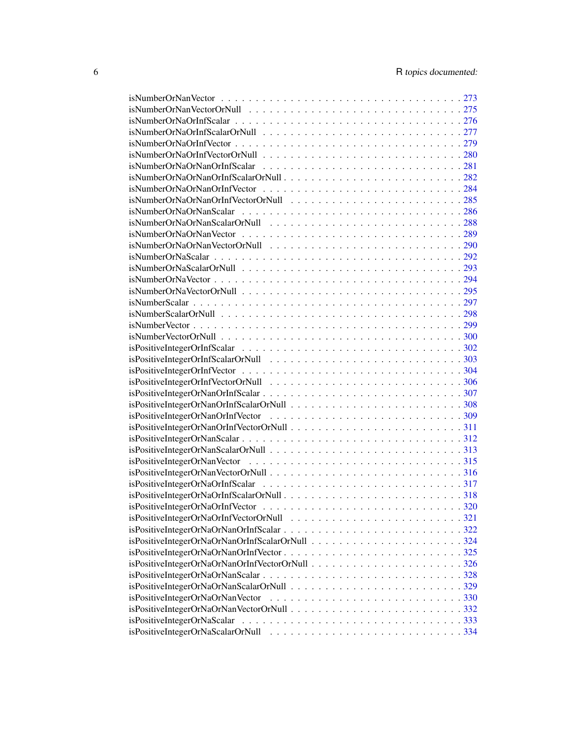| isNumberOrNaOrNanOrInfScalarOrNull282     |  |
|-------------------------------------------|--|
|                                           |  |
| isNumberOrNaOrNanOrInfVectorOrNull 285    |  |
|                                           |  |
|                                           |  |
|                                           |  |
|                                           |  |
|                                           |  |
|                                           |  |
|                                           |  |
|                                           |  |
|                                           |  |
|                                           |  |
|                                           |  |
|                                           |  |
|                                           |  |
|                                           |  |
|                                           |  |
|                                           |  |
|                                           |  |
|                                           |  |
|                                           |  |
|                                           |  |
|                                           |  |
|                                           |  |
|                                           |  |
|                                           |  |
|                                           |  |
|                                           |  |
| isPositiveIntegerOrNaOrInfScalarOrNull318 |  |
|                                           |  |
|                                           |  |
| isPositiveIntegerOrNaOrNanOrInfScalar322  |  |
|                                           |  |
| isPositiveIntegerOrNaOrNanOrInfVector325  |  |
|                                           |  |
|                                           |  |
|                                           |  |
|                                           |  |
|                                           |  |
|                                           |  |
|                                           |  |
|                                           |  |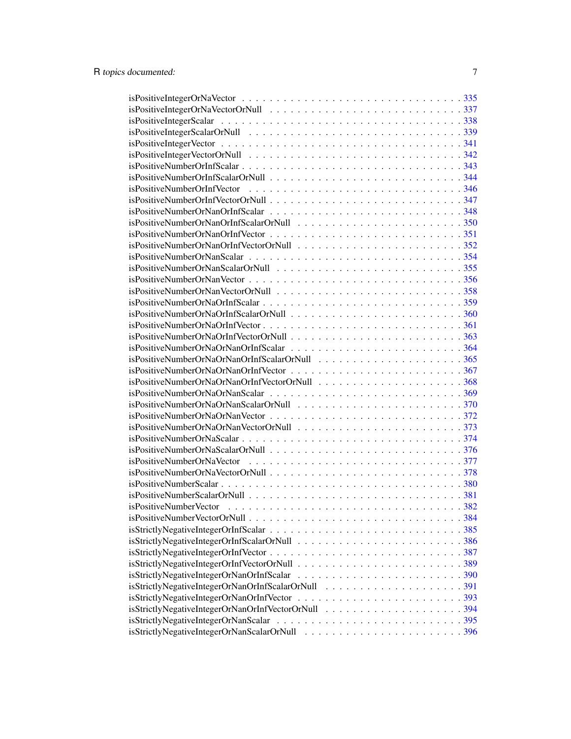| is Positive Number Or Nan Vector $\ldots \ldots \ldots \ldots \ldots \ldots \ldots \ldots \ldots \ldots \ldots \ldots \ldots$ |  |
|-------------------------------------------------------------------------------------------------------------------------------|--|
|                                                                                                                               |  |
|                                                                                                                               |  |
|                                                                                                                               |  |
|                                                                                                                               |  |
|                                                                                                                               |  |
|                                                                                                                               |  |
|                                                                                                                               |  |
|                                                                                                                               |  |
|                                                                                                                               |  |
|                                                                                                                               |  |
|                                                                                                                               |  |
|                                                                                                                               |  |
|                                                                                                                               |  |
|                                                                                                                               |  |
|                                                                                                                               |  |
|                                                                                                                               |  |
|                                                                                                                               |  |
|                                                                                                                               |  |
|                                                                                                                               |  |
|                                                                                                                               |  |
|                                                                                                                               |  |
|                                                                                                                               |  |
|                                                                                                                               |  |
|                                                                                                                               |  |
|                                                                                                                               |  |
|                                                                                                                               |  |
|                                                                                                                               |  |
| isStrictlyNegativeIntegerOrNanOrInfScalarOrNull 391                                                                           |  |
|                                                                                                                               |  |
|                                                                                                                               |  |
|                                                                                                                               |  |
|                                                                                                                               |  |
|                                                                                                                               |  |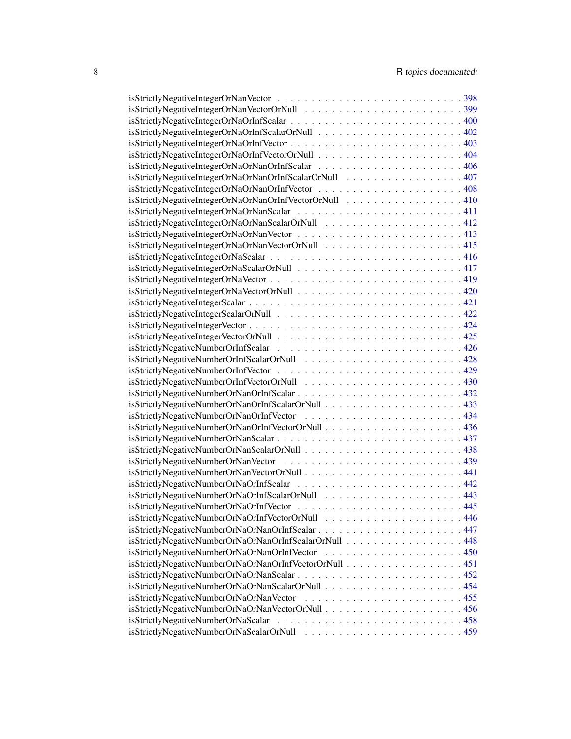| isStrictlyNegativeIntegerOrNaOrNanOrInfScalarOrNull 407 |  |
|---------------------------------------------------------|--|
|                                                         |  |
| isStrictlyNegativeIntegerOrNaOrNanOrInfVectorOrNull 410 |  |
| isStrictlyNegativeIntegerOrNaOrNanScalar 411            |  |
|                                                         |  |
|                                                         |  |
|                                                         |  |
|                                                         |  |
|                                                         |  |
|                                                         |  |
|                                                         |  |
|                                                         |  |
|                                                         |  |
|                                                         |  |
|                                                         |  |
|                                                         |  |
|                                                         |  |
|                                                         |  |
|                                                         |  |
|                                                         |  |
|                                                         |  |
|                                                         |  |
|                                                         |  |
|                                                         |  |
|                                                         |  |
|                                                         |  |
|                                                         |  |
| isStrictlyNegativeNumberOrNanVectorOrNull441            |  |
|                                                         |  |
|                                                         |  |
|                                                         |  |
|                                                         |  |
|                                                         |  |
|                                                         |  |
| isStrictlyNegativeNumberOrNaOrNanOrInfScalarOrNull 448  |  |
|                                                         |  |
|                                                         |  |
|                                                         |  |
|                                                         |  |
|                                                         |  |
|                                                         |  |
|                                                         |  |
|                                                         |  |
|                                                         |  |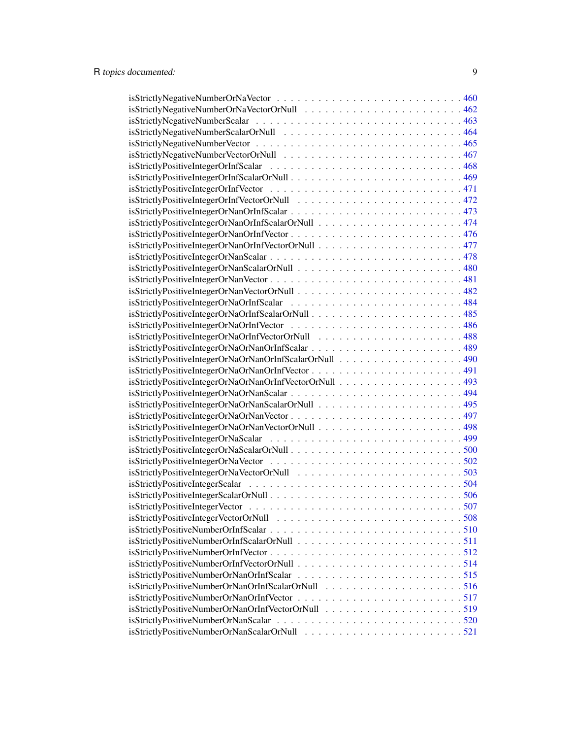| isStrictlyPositiveIntegerOrInfScalarOrNull469     |  |
|---------------------------------------------------|--|
|                                                   |  |
|                                                   |  |
|                                                   |  |
|                                                   |  |
|                                                   |  |
|                                                   |  |
|                                                   |  |
|                                                   |  |
|                                                   |  |
|                                                   |  |
|                                                   |  |
|                                                   |  |
| isStrictlyPositiveIntegerOrNaOrInfScalarOrNull485 |  |
|                                                   |  |
|                                                   |  |
|                                                   |  |
|                                                   |  |
|                                                   |  |
|                                                   |  |
|                                                   |  |
|                                                   |  |
|                                                   |  |
|                                                   |  |
|                                                   |  |
|                                                   |  |
|                                                   |  |
|                                                   |  |
|                                                   |  |
|                                                   |  |
|                                                   |  |
|                                                   |  |
|                                                   |  |
|                                                   |  |
|                                                   |  |
|                                                   |  |
|                                                   |  |
|                                                   |  |
|                                                   |  |
|                                                   |  |
|                                                   |  |
|                                                   |  |
|                                                   |  |
|                                                   |  |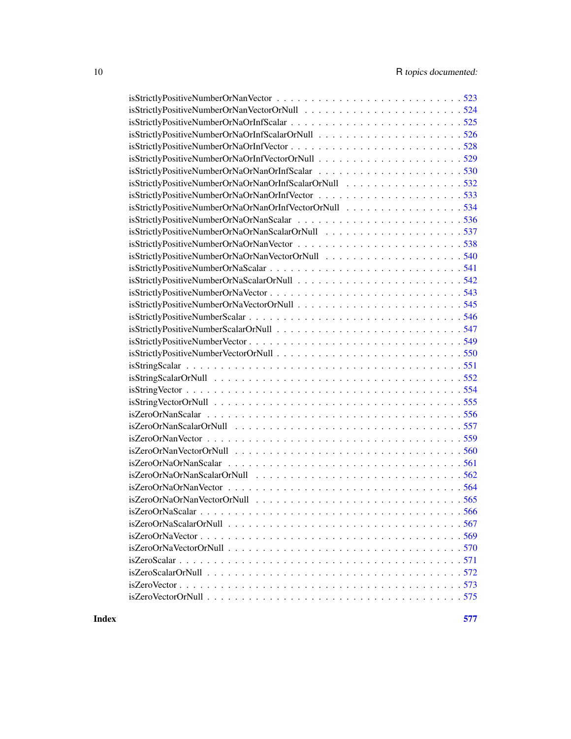Index [577](#page-576-0)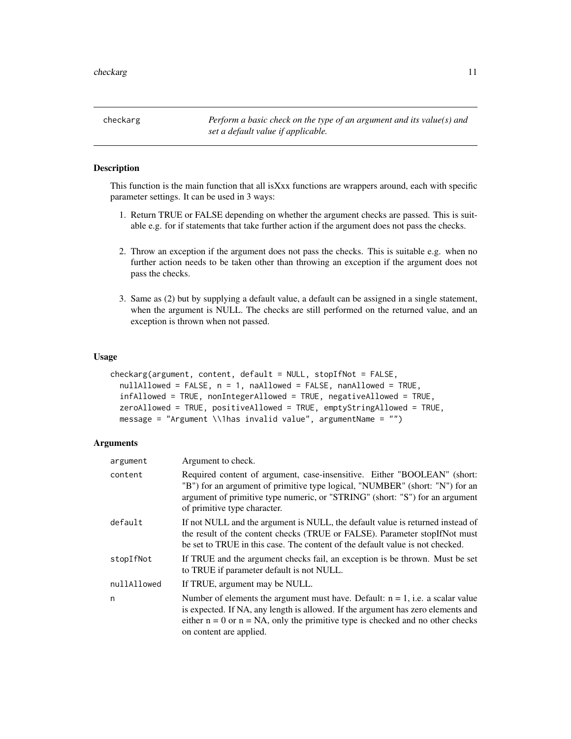<span id="page-10-0"></span>checkarg *Perform a basic check on the type of an argument and its value(s) and set a default value if applicable.*

## **Description**

This function is the main function that all isXxx functions are wrappers around, each with specific parameter settings. It can be used in 3 ways:

- 1. Return TRUE or FALSE depending on whether the argument checks are passed. This is suitable e.g. for if statements that take further action if the argument does not pass the checks.
- 2. Throw an exception if the argument does not pass the checks. This is suitable e.g. when no further action needs to be taken other than throwing an exception if the argument does not pass the checks.
- 3. Same as (2) but by supplying a default value, a default can be assigned in a single statement, when the argument is NULL. The checks are still performed on the returned value, and an exception is thrown when not passed.

#### Usage

```
checkarg(argument, content, default = NULL, stopIfNot = FALSE,
  nullAllowed = FALSE, n = 1, naAllowed = FALSE, nanAllowed = TRUE,
  infAllowed = TRUE, nonIntegerAllowed = TRUE, negativeAllowed = TRUE,
  zeroAllowed = TRUE, positiveAllowed = TRUE, emptyStringAllowed = TRUE,
 message = "Argument \\1has invalid value", argumentName = "")
```

| argument    | Argument to check.                                                                                                                                                                                                                                                                      |
|-------------|-----------------------------------------------------------------------------------------------------------------------------------------------------------------------------------------------------------------------------------------------------------------------------------------|
| content     | Required content of argument, case-insensitive. Either "BOOLEAN" (short:<br>"B") for an argument of primitive type logical, "NUMBER" (short: "N") for an<br>argument of primitive type numeric, or "STRING" (short: "S") for an argument<br>of primitive type character.                |
| default     | If not NULL and the argument is NULL, the default value is returned instead of<br>the result of the content checks (TRUE or FALSE). Parameter stopIfNot must<br>be set to TRUE in this case. The content of the default value is not checked.                                           |
| stopIfNot   | If TRUE and the argument checks fail, an exception is be thrown. Must be set<br>to TRUE if parameter default is not NULL.                                                                                                                                                               |
| nullAllowed | If TRUE, argument may be NULL.                                                                                                                                                                                                                                                          |
| n           | Number of elements the argument must have. Default: $n = 1$ , i.e. a scalar value<br>is expected. If NA, any length is allowed. If the argument has zero elements and<br>either $n = 0$ or $n = NA$ , only the primitive type is checked and no other checks<br>on content are applied. |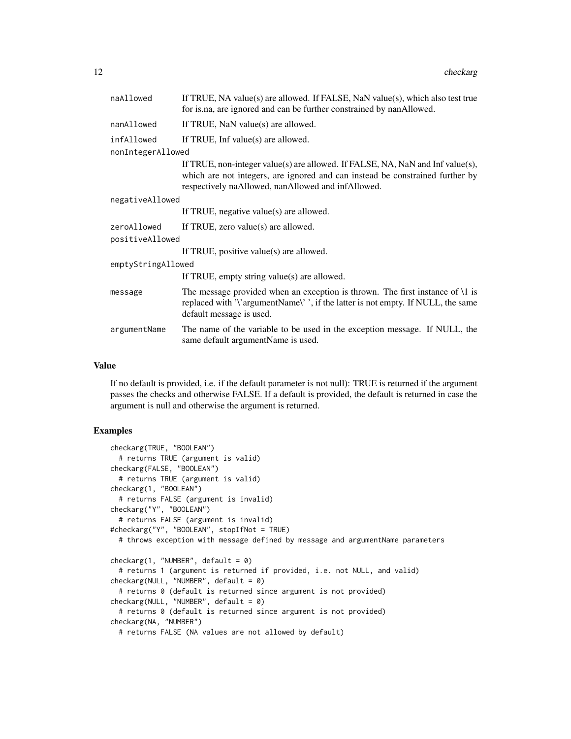| naAllowed          | If TRUE, NA value(s) are allowed. If FALSE, NaN value(s), which also test true<br>for is na, are ignored and can be further constrained by nanAllowed.                                                                |
|--------------------|-----------------------------------------------------------------------------------------------------------------------------------------------------------------------------------------------------------------------|
| nanAllowed         | If TRUE, NaN value(s) are allowed.                                                                                                                                                                                    |
| infAllowed         | If TRUE, Inf value $(s)$ are allowed.                                                                                                                                                                                 |
| nonIntegerAllowed  |                                                                                                                                                                                                                       |
|                    | If TRUE, non-integer value(s) are allowed. If FALSE, NA, NaN and Inf value(s),<br>which are not integers, are ignored and can instead be constrained further by<br>respectively naAllowed, nanAllowed and infAllowed. |
| negativeAllowed    |                                                                                                                                                                                                                       |
|                    | If TRUE, negative value(s) are allowed.                                                                                                                                                                               |
| zeroAllowed        | If TRUE, zero value(s) are allowed.                                                                                                                                                                                   |
| positiveAllowed    |                                                                                                                                                                                                                       |
|                    | If TRUE, positive value(s) are allowed.                                                                                                                                                                               |
| emptyStringAllowed |                                                                                                                                                                                                                       |
|                    | If TRUE, empty string value(s) are allowed.                                                                                                                                                                           |
| message            | The message provided when an exception is thrown. The first instance of $\setminus$ 1 is<br>replaced with '\'argumentName\' ', if the latter is not empty. If NULL, the same<br>default message is used.              |
| argumentName       | The name of the variable to be used in the exception message. If NULL, the<br>same default argumentName is used.                                                                                                      |

#### Value

If no default is provided, i.e. if the default parameter is not null): TRUE is returned if the argument passes the checks and otherwise FALSE. If a default is provided, the default is returned in case the argument is null and otherwise the argument is returned.

## Examples

```
checkarg(TRUE, "BOOLEAN")
  # returns TRUE (argument is valid)
checkarg(FALSE, "BOOLEAN")
  # returns TRUE (argument is valid)
checkarg(1, "BOOLEAN")
  # returns FALSE (argument is invalid)
checkarg("Y", "BOOLEAN")
  # returns FALSE (argument is invalid)
#checkarg("Y", "BOOLEAN", stopIfNot = TRUE)
  # throws exception with message defined by message and argumentName parameters
checkarg(1, "NUMBER", default = 0)
  # returns 1 (argument is returned if provided, i.e. not NULL, and valid)
checkarg(NULL, "NUMBER", default = 0)
  # returns 0 (default is returned since argument is not provided)
checkarg(NULL, "NUMBER", default = 0)
  # returns 0 (default is returned since argument is not provided)
checkarg(NA, "NUMBER")
  # returns FALSE (NA values are not allowed by default)
```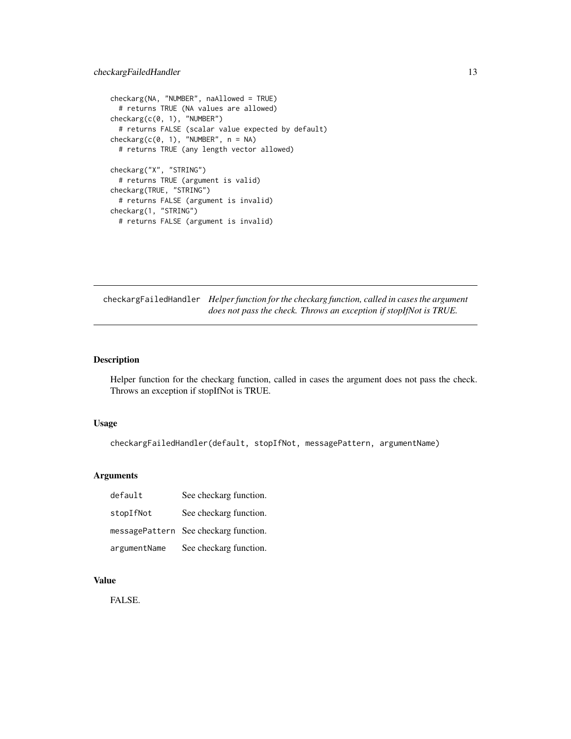```
checkarg(NA, "NUMBER", naAllowed = TRUE)
  # returns TRUE (NA values are allowed)
checkarg(c(0, 1), "NUMBER")
  # returns FALSE (scalar value expected by default)
checkarg(c(0, 1), "NUMBER", n = NA)# returns TRUE (any length vector allowed)
checkarg("X", "STRING")
  # returns TRUE (argument is valid)
checkarg(TRUE, "STRING")
  # returns FALSE (argument is invalid)
checkarg(1, "STRING")
  # returns FALSE (argument is invalid)
```
checkargFailedHandler *Helper function for the checkarg function, called in cases the argument does not pass the check. Throws an exception if stopIfNot is TRUE.*

## Description

Helper function for the checkarg function, called in cases the argument does not pass the check. Throws an exception if stopIfNot is TRUE.

#### Usage

```
checkargFailedHandler(default, stopIfNot, messagePattern, argumentName)
```
## Arguments

| default      | See checkarg function.                |
|--------------|---------------------------------------|
| stopIfNot    | See checkarg function.                |
|              | messagePattern See checkarg function. |
| argumentName | See checkarg function.                |

## Value

FALSE.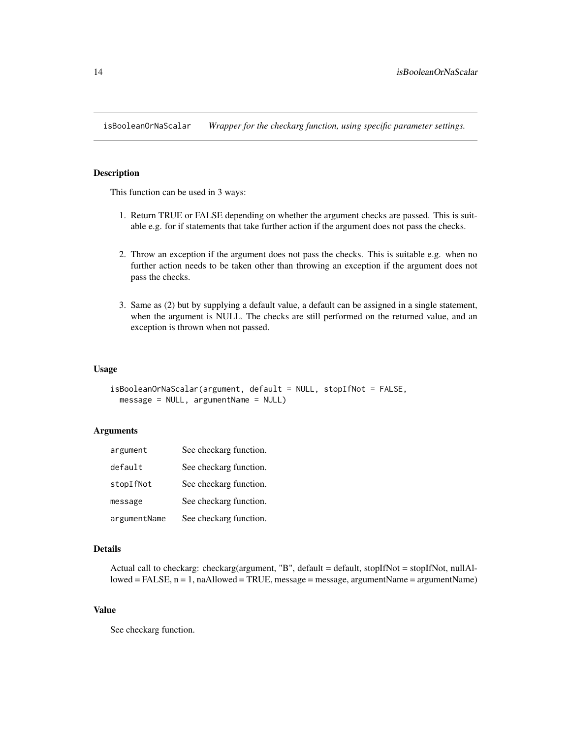<span id="page-13-0"></span>isBooleanOrNaScalar *Wrapper for the checkarg function, using specific parameter settings.*

#### Description

This function can be used in 3 ways:

- 1. Return TRUE or FALSE depending on whether the argument checks are passed. This is suitable e.g. for if statements that take further action if the argument does not pass the checks.
- 2. Throw an exception if the argument does not pass the checks. This is suitable e.g. when no further action needs to be taken other than throwing an exception if the argument does not pass the checks.
- 3. Same as (2) but by supplying a default value, a default can be assigned in a single statement, when the argument is NULL. The checks are still performed on the returned value, and an exception is thrown when not passed.

#### Usage

```
isBooleanOrNaScalar(argument, default = NULL, stopIfNot = FALSE,
 message = NULL, argumentName = NULL)
```
## Arguments

| argument     | See checkarg function. |
|--------------|------------------------|
| default      | See checkarg function. |
| stopIfNot    | See checkarg function. |
| message      | See checkarg function. |
| argumentName | See checkarg function. |

#### Details

Actual call to checkarg: checkarg(argument, "B", default = default, stopIfNot = stopIfNot, nullAllowed = FALSE, n = 1, naAllowed = TRUE, message = message, argumentName = argumentName)

## Value

See checkarg function.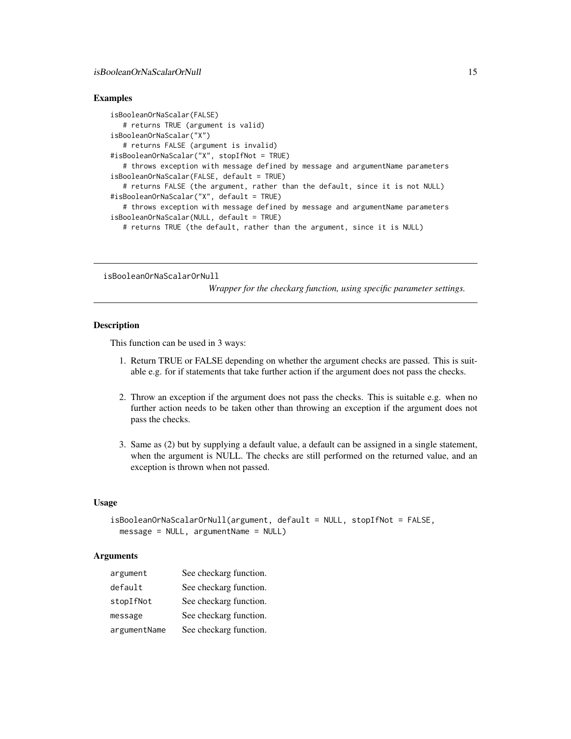#### <span id="page-14-0"></span>Examples

```
isBooleanOrNaScalar(FALSE)
   # returns TRUE (argument is valid)
isBooleanOrNaScalar("X")
   # returns FALSE (argument is invalid)
#isBooleanOrNaScalar("X", stopIfNot = TRUE)
   # throws exception with message defined by message and argumentName parameters
isBooleanOrNaScalar(FALSE, default = TRUE)
   # returns FALSE (the argument, rather than the default, since it is not NULL)
#isBooleanOrNaScalar("X", default = TRUE)
   # throws exception with message defined by message and argumentName parameters
isBooleanOrNaScalar(NULL, default = TRUE)
   # returns TRUE (the default, rather than the argument, since it is NULL)
```
isBooleanOrNaScalarOrNull

*Wrapper for the checkarg function, using specific parameter settings.*

#### **Description**

This function can be used in 3 ways:

- 1. Return TRUE or FALSE depending on whether the argument checks are passed. This is suitable e.g. for if statements that take further action if the argument does not pass the checks.
- 2. Throw an exception if the argument does not pass the checks. This is suitable e.g. when no further action needs to be taken other than throwing an exception if the argument does not pass the checks.
- 3. Same as (2) but by supplying a default value, a default can be assigned in a single statement, when the argument is NULL. The checks are still performed on the returned value, and an exception is thrown when not passed.

#### Usage

```
isBooleanOrNaScalarOrNull(argument, default = NULL, stopIfNot = FALSE,
 message = NULL, argumentName = NULL)
```

| argument     | See checkarg function. |
|--------------|------------------------|
| default      | See checkarg function. |
| stopIfNot    | See checkarg function. |
| message      | See checkarg function. |
| argumentName | See checkarg function. |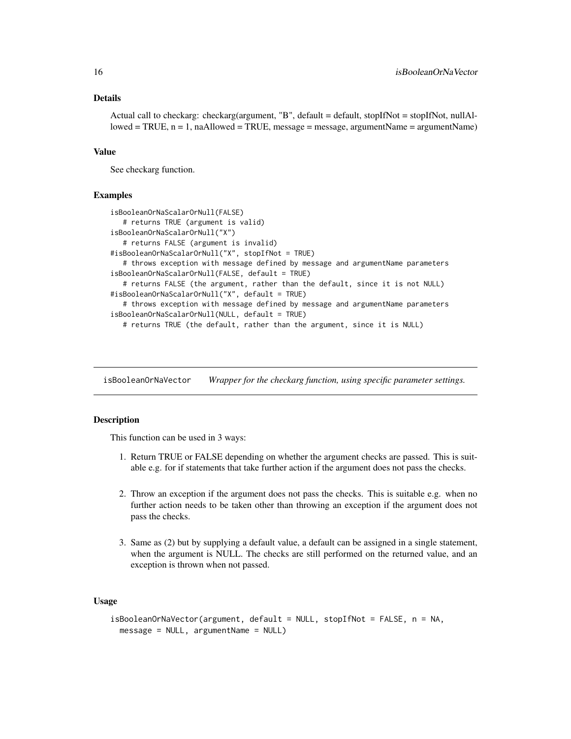## <span id="page-15-0"></span>Details

Actual call to checkarg: checkarg(argument, "B", default = default, stopIfNot = stopIfNot, nullAl $loved = TRUE, n = 1, naAllowed = TRUE, message = message, argumentName = argumentName)$ 

#### Value

See checkarg function.

## Examples

```
isBooleanOrNaScalarOrNull(FALSE)
   # returns TRUE (argument is valid)
isBooleanOrNaScalarOrNull("X")
   # returns FALSE (argument is invalid)
#isBooleanOrNaScalarOrNull("X", stopIfNot = TRUE)
   # throws exception with message defined by message and argumentName parameters
isBooleanOrNaScalarOrNull(FALSE, default = TRUE)
   # returns FALSE (the argument, rather than the default, since it is not NULL)
#isBooleanOrNaScalarOrNull("X", default = TRUE)
   # throws exception with message defined by message and argumentName parameters
isBooleanOrNaScalarOrNull(NULL, default = TRUE)
   # returns TRUE (the default, rather than the argument, since it is NULL)
```
isBooleanOrNaVector *Wrapper for the checkarg function, using specific parameter settings.*

## Description

This function can be used in 3 ways:

- 1. Return TRUE or FALSE depending on whether the argument checks are passed. This is suitable e.g. for if statements that take further action if the argument does not pass the checks.
- 2. Throw an exception if the argument does not pass the checks. This is suitable e.g. when no further action needs to be taken other than throwing an exception if the argument does not pass the checks.
- 3. Same as (2) but by supplying a default value, a default can be assigned in a single statement, when the argument is NULL. The checks are still performed on the returned value, and an exception is thrown when not passed.

## Usage

```
isBooleanOrNaVector(argument, default = NULL, stopIfNot = FALSE, n = NA,
 message = NULL, argumentName = NULL)
```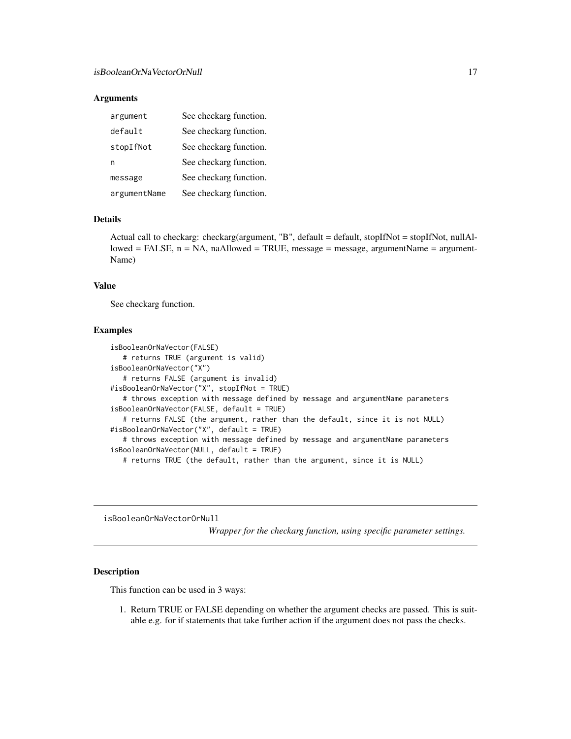#### <span id="page-16-0"></span>**Arguments**

| argument     | See checkarg function. |
|--------------|------------------------|
| default      | See checkarg function. |
| stopIfNot    | See checkarg function. |
| n            | See checkarg function. |
| message      | See checkarg function. |
| argumentName | See checkarg function. |

## Details

Actual call to checkarg: checkarg(argument, "B", default = default, stopIfNot = stopIfNot, nullAl $l$ owed = FALSE,  $n$  = NA, naAllowed = TRUE, message = message, argumentName = argument-Name)

#### Value

See checkarg function.

#### Examples

```
isBooleanOrNaVector(FALSE)
   # returns TRUE (argument is valid)
isBooleanOrNaVector("X")
   # returns FALSE (argument is invalid)
#isBooleanOrNaVector("X", stopIfNot = TRUE)
   # throws exception with message defined by message and argumentName parameters
isBooleanOrNaVector(FALSE, default = TRUE)
   # returns FALSE (the argument, rather than the default, since it is not NULL)
#isBooleanOrNaVector("X", default = TRUE)
   # throws exception with message defined by message and argumentName parameters
isBooleanOrNaVector(NULL, default = TRUE)
  # returns TRUE (the default, rather than the argument, since it is NULL)
```
isBooleanOrNaVectorOrNull

*Wrapper for the checkarg function, using specific parameter settings.*

#### Description

This function can be used in 3 ways:

1. Return TRUE or FALSE depending on whether the argument checks are passed. This is suitable e.g. for if statements that take further action if the argument does not pass the checks.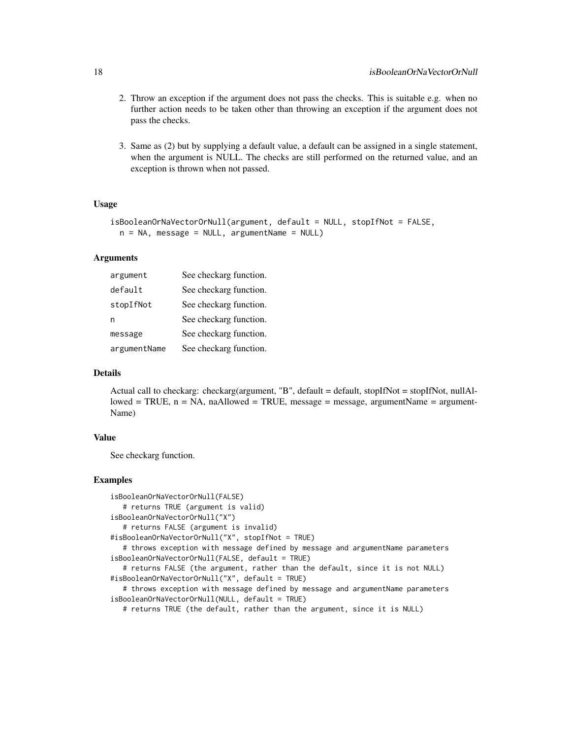- 2. Throw an exception if the argument does not pass the checks. This is suitable e.g. when no further action needs to be taken other than throwing an exception if the argument does not pass the checks.
- 3. Same as (2) but by supplying a default value, a default can be assigned in a single statement, when the argument is NULL. The checks are still performed on the returned value, and an exception is thrown when not passed.

## Usage

```
isBooleanOrNaVectorOrNull(argument, default = NULL, stopIfNot = FALSE,
  n = NA, message = NULL, argumentName = NULL)
```
#### Arguments

| argument     | See checkarg function. |
|--------------|------------------------|
| default      | See checkarg function. |
| stopIfNot    | See checkarg function. |
| n            | See checkarg function. |
| message      | See checkarg function. |
| argumentName | See checkarg function. |

#### Details

Actual call to checkarg: checkarg(argument, "B", default = default, stopIfNot = stopIfNot, nullAl $loved = TRUE, n = NA, naAllowed = TRUE, message = message, argumentName = argument-$ Name)

#### Value

See checkarg function.

#### Examples

```
isBooleanOrNaVectorOrNull(FALSE)
   # returns TRUE (argument is valid)
isBooleanOrNaVectorOrNull("X")
   # returns FALSE (argument is invalid)
#isBooleanOrNaVectorOrNull("X", stopIfNot = TRUE)
   # throws exception with message defined by message and argumentName parameters
isBooleanOrNaVectorOrNull(FALSE, default = TRUE)
   # returns FALSE (the argument, rather than the default, since it is not NULL)
#isBooleanOrNaVectorOrNull("X", default = TRUE)
   # throws exception with message defined by message and argumentName parameters
isBooleanOrNaVectorOrNull(NULL, default = TRUE)
   # returns TRUE (the default, rather than the argument, since it is NULL)
```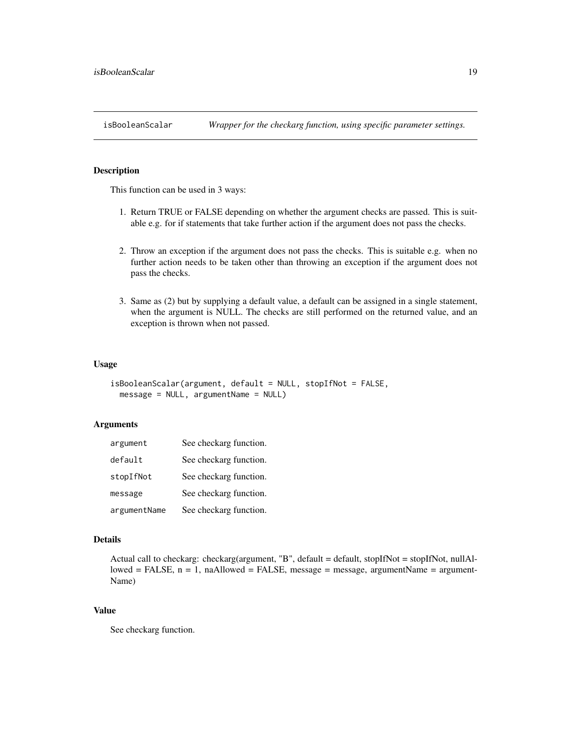<span id="page-18-0"></span>

## Description

This function can be used in 3 ways:

- 1. Return TRUE or FALSE depending on whether the argument checks are passed. This is suitable e.g. for if statements that take further action if the argument does not pass the checks.
- 2. Throw an exception if the argument does not pass the checks. This is suitable e.g. when no further action needs to be taken other than throwing an exception if the argument does not pass the checks.
- 3. Same as (2) but by supplying a default value, a default can be assigned in a single statement, when the argument is NULL. The checks are still performed on the returned value, and an exception is thrown when not passed.

#### Usage

```
isBooleanScalar(argument, default = NULL, stopIfNot = FALSE,
 message = NULL, argumentName = NULL)
```
#### **Arguments**

| argument     | See checkarg function. |
|--------------|------------------------|
| default      | See checkarg function. |
| stopIfNot    | See checkarg function. |
| message      | See checkarg function. |
| argumentName | See checkarg function. |

## Details

Actual call to checkarg: checkarg(argument, "B", default = default, stopIfNot = stopIfNot, nullAl $l$ owed = FALSE,  $n = 1$ , naAllowed = FALSE, message = message, argumentName = argument-Name)

## Value

See checkarg function.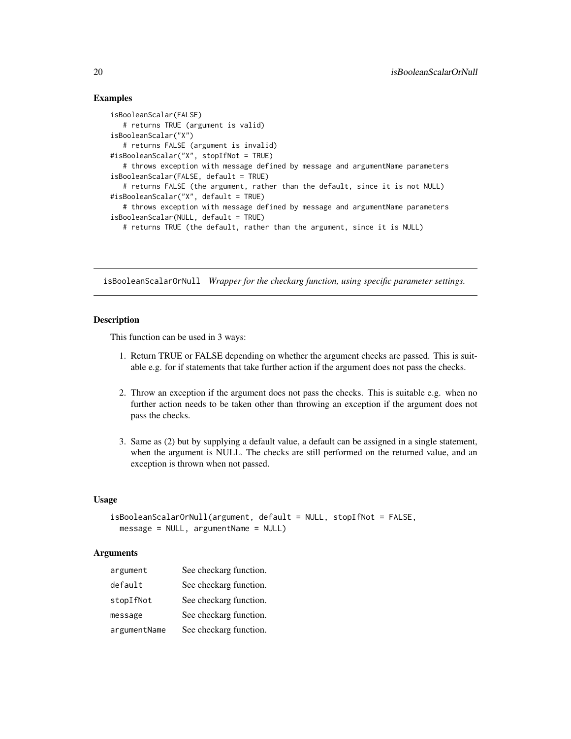## Examples

```
isBooleanScalar(FALSE)
   # returns TRUE (argument is valid)
isBooleanScalar("X")
   # returns FALSE (argument is invalid)
#isBooleanScalar("X", stopIfNot = TRUE)
   # throws exception with message defined by message and argumentName parameters
isBooleanScalar(FALSE, default = TRUE)
   # returns FALSE (the argument, rather than the default, since it is not NULL)
#isBooleanScalar("X", default = TRUE)
   # throws exception with message defined by message and argumentName parameters
isBooleanScalar(NULL, default = TRUE)
   # returns TRUE (the default, rather than the argument, since it is NULL)
```
isBooleanScalarOrNull *Wrapper for the checkarg function, using specific parameter settings.*

#### **Description**

This function can be used in 3 ways:

- 1. Return TRUE or FALSE depending on whether the argument checks are passed. This is suitable e.g. for if statements that take further action if the argument does not pass the checks.
- 2. Throw an exception if the argument does not pass the checks. This is suitable e.g. when no further action needs to be taken other than throwing an exception if the argument does not pass the checks.
- 3. Same as (2) but by supplying a default value, a default can be assigned in a single statement, when the argument is NULL. The checks are still performed on the returned value, and an exception is thrown when not passed.

#### Usage

```
isBooleanScalarOrNull(argument, default = NULL, stopIfNot = FALSE,
 message = NULL, argumentName = NULL)
```

| argument     | See checkarg function. |
|--------------|------------------------|
| default      | See checkarg function. |
| stopIfNot    | See checkarg function. |
| message      | See checkarg function. |
| argumentName | See checkarg function. |

<span id="page-19-0"></span>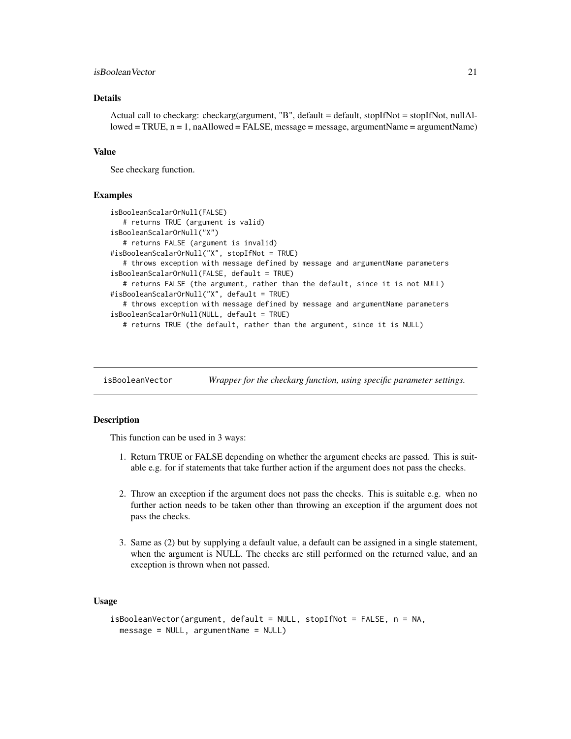## <span id="page-20-0"></span>isBooleanVector 21

## Details

Actual call to checkarg: checkarg(argument, "B", default = default, stopIfNot = stopIfNot, nullAl $loved = TRUE, n = 1, naAllowed = FALSE, message = message, argumentName = argumentName)$ 

#### Value

See checkarg function.

#### Examples

```
isBooleanScalarOrNull(FALSE)
   # returns TRUE (argument is valid)
isBooleanScalarOrNull("X")
   # returns FALSE (argument is invalid)
#isBooleanScalarOrNull("X", stopIfNot = TRUE)
   # throws exception with message defined by message and argumentName parameters
isBooleanScalarOrNull(FALSE, default = TRUE)
   # returns FALSE (the argument, rather than the default, since it is not NULL)
#isBooleanScalarOrNull("X", default = TRUE)
   # throws exception with message defined by message and argumentName parameters
isBooleanScalarOrNull(NULL, default = TRUE)
   # returns TRUE (the default, rather than the argument, since it is NULL)
```
isBooleanVector *Wrapper for the checkarg function, using specific parameter settings.*

#### Description

This function can be used in 3 ways:

- 1. Return TRUE or FALSE depending on whether the argument checks are passed. This is suitable e.g. for if statements that take further action if the argument does not pass the checks.
- 2. Throw an exception if the argument does not pass the checks. This is suitable e.g. when no further action needs to be taken other than throwing an exception if the argument does not pass the checks.
- 3. Same as (2) but by supplying a default value, a default can be assigned in a single statement, when the argument is NULL. The checks are still performed on the returned value, and an exception is thrown when not passed.

#### Usage

```
isBooleanVector(argument, default = NULL, stopIfNot = FALSE, n = NA,
 message = NULL, argumentName = NULL)
```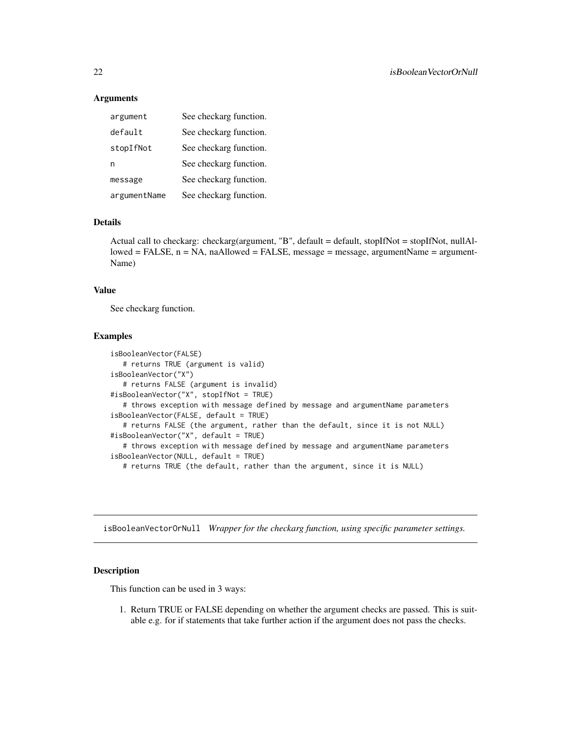#### <span id="page-21-0"></span>**Arguments**

| argument     | See checkarg function. |
|--------------|------------------------|
| default      | See checkarg function. |
| stopIfNot    | See checkarg function. |
| n            | See checkarg function. |
| message      | See checkarg function. |
| argumentName | See checkarg function. |

## Details

Actual call to checkarg: checkarg(argument, "B", default = default, stopIfNot = stopIfNot, nullAl $loved = FALSE, n = NA$ , naAllowed = FALSE, message = message, argumentName = argument-Name)

#### Value

See checkarg function.

#### Examples

```
isBooleanVector(FALSE)
  # returns TRUE (argument is valid)
isBooleanVector("X")
  # returns FALSE (argument is invalid)
#isBooleanVector("X", stopIfNot = TRUE)
   # throws exception with message defined by message and argumentName parameters
isBooleanVector(FALSE, default = TRUE)
  # returns FALSE (the argument, rather than the default, since it is not NULL)
#isBooleanVector("X", default = TRUE)
   # throws exception with message defined by message and argumentName parameters
isBooleanVector(NULL, default = TRUE)
   # returns TRUE (the default, rather than the argument, since it is NULL)
```
isBooleanVectorOrNull *Wrapper for the checkarg function, using specific parameter settings.*

#### Description

This function can be used in 3 ways:

1. Return TRUE or FALSE depending on whether the argument checks are passed. This is suitable e.g. for if statements that take further action if the argument does not pass the checks.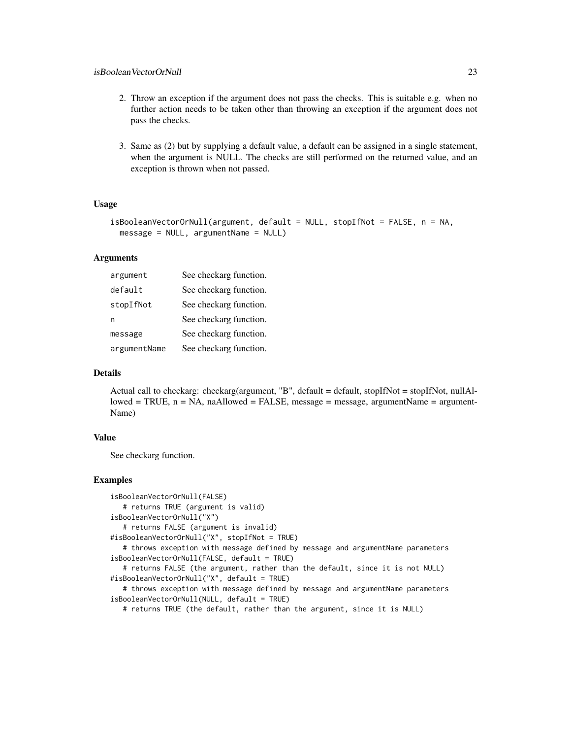- 2. Throw an exception if the argument does not pass the checks. This is suitable e.g. when no further action needs to be taken other than throwing an exception if the argument does not pass the checks.
- 3. Same as (2) but by supplying a default value, a default can be assigned in a single statement, when the argument is NULL. The checks are still performed on the returned value, and an exception is thrown when not passed.

## Usage

```
isBooleanVectorOrNull(argument, default = NULL, stopIfNot = FALSE, n = NA,
 message = NULL, argumentName = NULL)
```
#### **Arguments**

| argument     | See checkarg function. |
|--------------|------------------------|
| default      | See checkarg function. |
| stopIfNot    | See checkarg function. |
| n            | See checkarg function. |
| message      | See checkarg function. |
| argumentName | See checkarg function. |

#### Details

Actual call to checkarg: checkarg(argument, "B", default = default, stopIfNot = stopIfNot, nullAl $loved = TRUE, n = NA, naAllowed = FALSE, message = message, argumentName = argument-$ Name)

#### Value

See checkarg function.

#### Examples

```
isBooleanVectorOrNull(FALSE)
   # returns TRUE (argument is valid)
isBooleanVectorOrNull("X")
   # returns FALSE (argument is invalid)
#isBooleanVectorOrNull("X", stopIfNot = TRUE)
   # throws exception with message defined by message and argumentName parameters
isBooleanVectorOrNull(FALSE, default = TRUE)
   # returns FALSE (the argument, rather than the default, since it is not NULL)
#isBooleanVectorOrNull("X", default = TRUE)
   # throws exception with message defined by message and argumentName parameters
isBooleanVectorOrNull(NULL, default = TRUE)
   # returns TRUE (the default, rather than the argument, since it is NULL)
```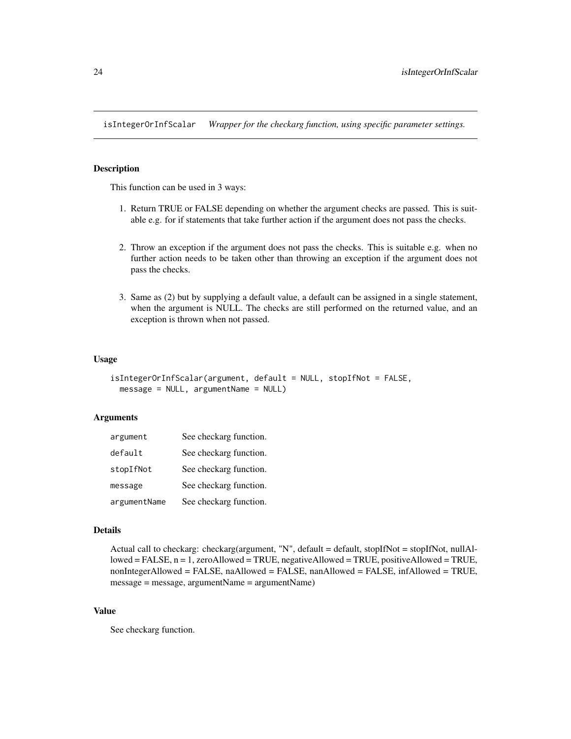<span id="page-23-0"></span>isIntegerOrInfScalar *Wrapper for the checkarg function, using specific parameter settings.*

## Description

This function can be used in 3 ways:

- 1. Return TRUE or FALSE depending on whether the argument checks are passed. This is suitable e.g. for if statements that take further action if the argument does not pass the checks.
- 2. Throw an exception if the argument does not pass the checks. This is suitable e.g. when no further action needs to be taken other than throwing an exception if the argument does not pass the checks.
- 3. Same as (2) but by supplying a default value, a default can be assigned in a single statement, when the argument is NULL. The checks are still performed on the returned value, and an exception is thrown when not passed.

#### Usage

```
isIntegerOrInfScalar(argument, default = NULL, stopIfNot = FALSE,
  message = NULL, argumentName = NULL)
```
#### Arguments

| argument     | See checkarg function. |
|--------------|------------------------|
| default      | See checkarg function. |
| stopIfNot    | See checkarg function. |
| message      | See checkarg function. |
| argumentName | See checkarg function. |

#### Details

```
Actual call to checkarg: checkarg(argument, "N", default = default, stopIfNot = stopIfNot, nullAl-
lowed = FALSE, n = 1, zeroAllowed = TRUE, negativeAllowed = TRUE, positiveAllowed = TRUE,
nonIntegerAllowed = FALSE, naAllowed = FALSE, nanAllowed = FALSE, infAllowed = TRUE,
message = message, argumentName = argumentName)
```
## Value

See checkarg function.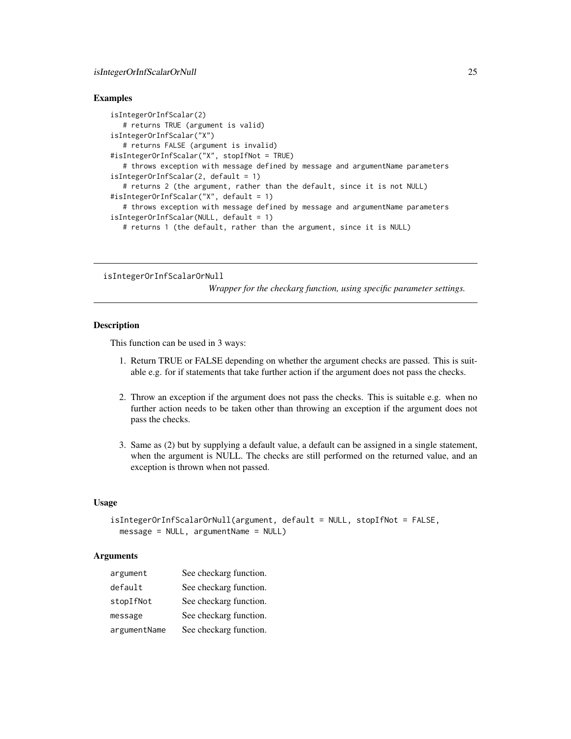#### <span id="page-24-0"></span>Examples

```
isIntegerOrInfScalar(2)
   # returns TRUE (argument is valid)
isIntegerOrInfScalar("X")
   # returns FALSE (argument is invalid)
#isIntegerOrInfScalar("X", stopIfNot = TRUE)
   # throws exception with message defined by message and argumentName parameters
isIntegerOrInfScalar(2, default = 1)
   # returns 2 (the argument, rather than the default, since it is not NULL)
#isIntegerOrInfScalar("X", default = 1)
   # throws exception with message defined by message and argumentName parameters
isIntegerOrInfScalar(NULL, default = 1)
  # returns 1 (the default, rather than the argument, since it is NULL)
```
isIntegerOrInfScalarOrNull

*Wrapper for the checkarg function, using specific parameter settings.*

#### **Description**

This function can be used in 3 ways:

- 1. Return TRUE or FALSE depending on whether the argument checks are passed. This is suitable e.g. for if statements that take further action if the argument does not pass the checks.
- 2. Throw an exception if the argument does not pass the checks. This is suitable e.g. when no further action needs to be taken other than throwing an exception if the argument does not pass the checks.
- 3. Same as (2) but by supplying a default value, a default can be assigned in a single statement, when the argument is NULL. The checks are still performed on the returned value, and an exception is thrown when not passed.

#### Usage

```
isIntegerOrInfScalarOrNull(argument, default = NULL, stopIfNot = FALSE,
 message = NULL, argumentName = NULL)
```

| argument     | See checkarg function. |
|--------------|------------------------|
| default      | See checkarg function. |
| stopIfNot    | See checkarg function. |
| message      | See checkarg function. |
| argumentName | See checkarg function. |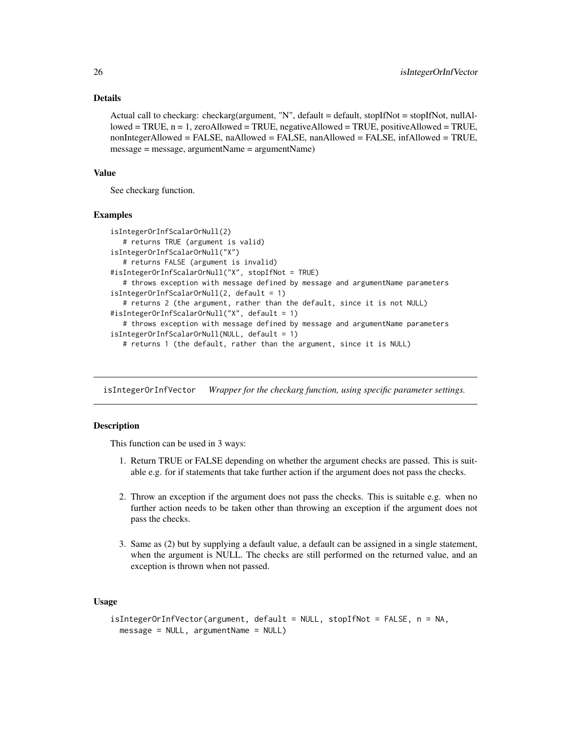## Details

Actual call to checkarg: checkarg(argument, "N", default = default, stopIfNot = stopIfNot, nullAl $loved = TRUE, n = 1, zero$ Allowed = TRUE, negativeAllowed = TRUE, positiveAllowed = TRUE, nonIntegerAllowed = FALSE, naAllowed = FALSE, nanAllowed = FALSE, infAllowed = TRUE, message = message, argumentName = argumentName)

#### Value

See checkarg function.

#### Examples

```
isIntegerOrInfScalarOrNull(2)
   # returns TRUE (argument is valid)
isIntegerOrInfScalarOrNull("X")
   # returns FALSE (argument is invalid)
#isIntegerOrInfScalarOrNull("X", stopIfNot = TRUE)
   # throws exception with message defined by message and argumentName parameters
isIntegerOrInfScalarOrNull(2, default = 1)
   # returns 2 (the argument, rather than the default, since it is not NULL)
#isIntegerOrInfScalarOrNull("X", default = 1)
   # throws exception with message defined by message and argumentName parameters
isIntegerOrInfScalarOrNull(NULL, default = 1)
   # returns 1 (the default, rather than the argument, since it is NULL)
```
isIntegerOrInfVector *Wrapper for the checkarg function, using specific parameter settings.*

## Description

This function can be used in 3 ways:

- 1. Return TRUE or FALSE depending on whether the argument checks are passed. This is suitable e.g. for if statements that take further action if the argument does not pass the checks.
- 2. Throw an exception if the argument does not pass the checks. This is suitable e.g. when no further action needs to be taken other than throwing an exception if the argument does not pass the checks.
- 3. Same as (2) but by supplying a default value, a default can be assigned in a single statement, when the argument is NULL. The checks are still performed on the returned value, and an exception is thrown when not passed.

## Usage

```
isIntegerOrInfVector(argument, default = NULL, stopIfNot = FALSE, n = NA,
 message = NULL, argumentName = NULL)
```
<span id="page-25-0"></span>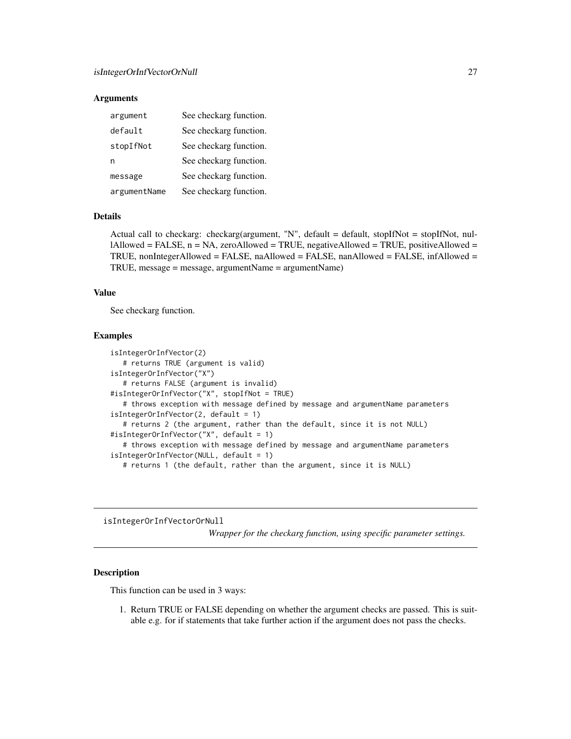#### <span id="page-26-0"></span>**Arguments**

| argument     | See checkarg function. |
|--------------|------------------------|
| default      | See checkarg function. |
| stopIfNot    | See checkarg function. |
| n            | See checkarg function. |
| message      | See checkarg function. |
| argumentName | See checkarg function. |

#### Details

Actual call to checkarg: checkarg(argument, "N", default = default, stopIfNot = stopIfNot, nullAllowed = FALSE, n = NA, zeroAllowed = TRUE, negativeAllowed = TRUE, positiveAllowed = TRUE, nonIntegerAllowed = FALSE, naAllowed = FALSE, nanAllowed = FALSE, infAllowed = TRUE, message = message, argumentName = argumentName)

#### Value

See checkarg function.

#### Examples

```
isIntegerOrInfVector(2)
   # returns TRUE (argument is valid)
isIntegerOrInfVector("X")
  # returns FALSE (argument is invalid)
#isIntegerOrInfVector("X", stopIfNot = TRUE)
   # throws exception with message defined by message and argumentName parameters
isIntegerOrInfVector(2, default = 1)
  # returns 2 (the argument, rather than the default, since it is not NULL)
#isIntegerOrInfVector("X", default = 1)
   # throws exception with message defined by message and argumentName parameters
isIntegerOrInfVector(NULL, default = 1)
  # returns 1 (the default, rather than the argument, since it is NULL)
```
isIntegerOrInfVectorOrNull

*Wrapper for the checkarg function, using specific parameter settings.*

## Description

This function can be used in 3 ways:

1. Return TRUE or FALSE depending on whether the argument checks are passed. This is suitable e.g. for if statements that take further action if the argument does not pass the checks.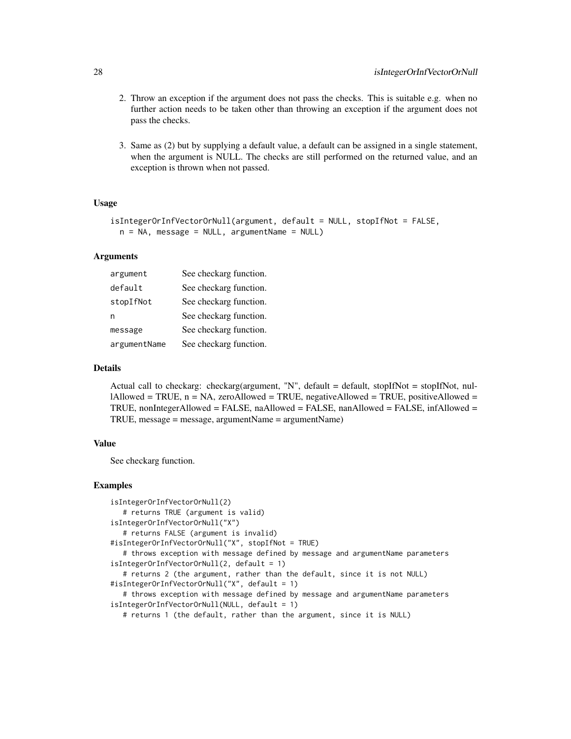- 2. Throw an exception if the argument does not pass the checks. This is suitable e.g. when no further action needs to be taken other than throwing an exception if the argument does not pass the checks.
- 3. Same as (2) but by supplying a default value, a default can be assigned in a single statement, when the argument is NULL. The checks are still performed on the returned value, and an exception is thrown when not passed.

## Usage

```
isIntegerOrInfVectorOrNull(argument, default = NULL, stopIfNot = FALSE,
 n = NA, message = NULL, argumentName = NULL)
```
## Arguments

| argument     | See checkarg function. |
|--------------|------------------------|
| default      | See checkarg function. |
| stopIfNot    | See checkarg function. |
| n            | See checkarg function. |
| message      | See checkarg function. |
| argumentName | See checkarg function. |

#### Details

Actual call to checkarg: checkarg(argument, "N", default = default, stopIfNot = stopIfNot, nullAllowed = TRUE,  $n = NA$ , zeroAllowed = TRUE, negativeAllowed = TRUE, positiveAllowed = TRUE, nonIntegerAllowed = FALSE, naAllowed = FALSE, nanAllowed = FALSE, infAllowed = TRUE, message = message, argumentName = argumentName)

#### Value

See checkarg function.

#### Examples

```
isIntegerOrInfVectorOrNull(2)
   # returns TRUE (argument is valid)
isIntegerOrInfVectorOrNull("X")
   # returns FALSE (argument is invalid)
#isIntegerOrInfVectorOrNull("X", stopIfNot = TRUE)
   # throws exception with message defined by message and argumentName parameters
isIntegerOrInfVectorOrNull(2, default = 1)
   # returns 2 (the argument, rather than the default, since it is not NULL)
#isIntegerOrInfVectorOrNull("X", default = 1)
   # throws exception with message defined by message and argumentName parameters
isIntegerOrInfVectorOrNull(NULL, default = 1)
   # returns 1 (the default, rather than the argument, since it is NULL)
```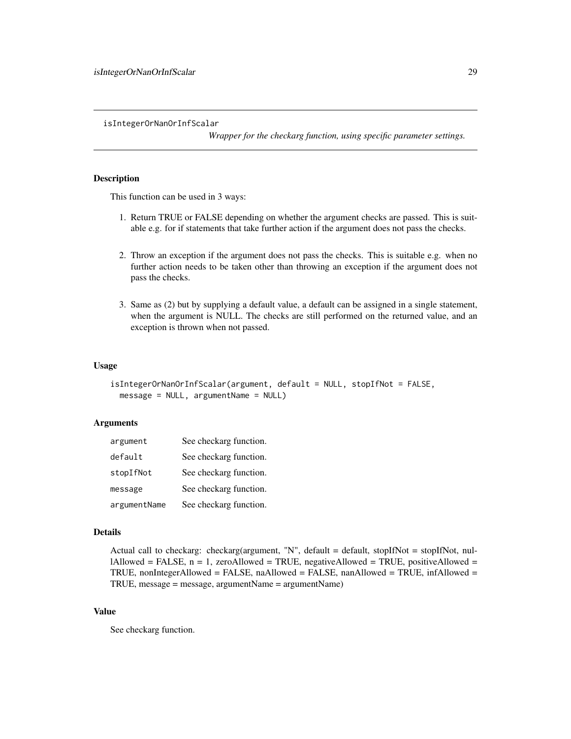<span id="page-28-0"></span>isIntegerOrNanOrInfScalar

*Wrapper for the checkarg function, using specific parameter settings.*

## Description

This function can be used in 3 ways:

- 1. Return TRUE or FALSE depending on whether the argument checks are passed. This is suitable e.g. for if statements that take further action if the argument does not pass the checks.
- 2. Throw an exception if the argument does not pass the checks. This is suitable e.g. when no further action needs to be taken other than throwing an exception if the argument does not pass the checks.
- 3. Same as (2) but by supplying a default value, a default can be assigned in a single statement, when the argument is NULL. The checks are still performed on the returned value, and an exception is thrown when not passed.

#### Usage

```
isIntegerOrNanOrInfScalar(argument, default = NULL, stopIfNot = FALSE,
 message = NULL, argumentName = NULL)
```
#### **Arguments**

| argument     | See checkarg function. |
|--------------|------------------------|
| default      | See checkarg function. |
| stopIfNot    | See checkarg function. |
| message      | See checkarg function. |
| argumentName | See checkarg function. |

#### Details

Actual call to checkarg: checkarg(argument, "N", default = default, stopIfNot = stopIfNot, nullAllowed = FALSE,  $n = 1$ , zeroAllowed = TRUE, negativeAllowed = TRUE, positiveAllowed = TRUE, nonIntegerAllowed = FALSE, naAllowed = FALSE, nanAllowed = TRUE, infAllowed = TRUE, message = message, argumentName = argumentName)

## Value

See checkarg function.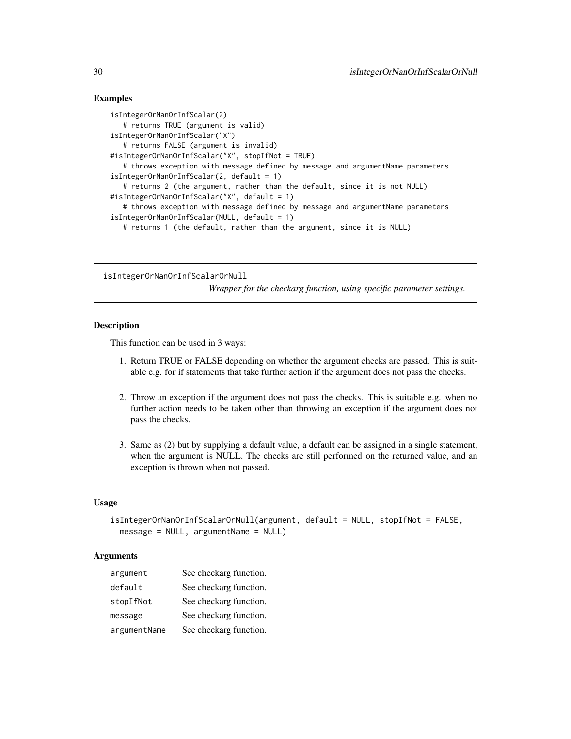## Examples

```
isIntegerOrNanOrInfScalar(2)
   # returns TRUE (argument is valid)
isIntegerOrNanOrInfScalar("X")
   # returns FALSE (argument is invalid)
#isIntegerOrNanOrInfScalar("X", stopIfNot = TRUE)
   # throws exception with message defined by message and argumentName parameters
isIntegerOrNanOrInfScalar(2, default = 1)
   # returns 2 (the argument, rather than the default, since it is not NULL)
#isIntegerOrNanOrInfScalar("X", default = 1)
   # throws exception with message defined by message and argumentName parameters
isIntegerOrNanOrInfScalar(NULL, default = 1)
  # returns 1 (the default, rather than the argument, since it is NULL)
```
isIntegerOrNanOrInfScalarOrNull

*Wrapper for the checkarg function, using specific parameter settings.*

#### **Description**

This function can be used in 3 ways:

- 1. Return TRUE or FALSE depending on whether the argument checks are passed. This is suitable e.g. for if statements that take further action if the argument does not pass the checks.
- 2. Throw an exception if the argument does not pass the checks. This is suitable e.g. when no further action needs to be taken other than throwing an exception if the argument does not pass the checks.
- 3. Same as (2) but by supplying a default value, a default can be assigned in a single statement, when the argument is NULL. The checks are still performed on the returned value, and an exception is thrown when not passed.

#### Usage

```
isIntegerOrNanOrInfScalarOrNull(argument, default = NULL, stopIfNot = FALSE,
 message = NULL, argumentName = NULL)
```

| argument     | See checkarg function. |
|--------------|------------------------|
| default      | See checkarg function. |
| stopIfNot    | See checkarg function. |
| message      | See checkarg function. |
| argumentName | See checkarg function. |

<span id="page-29-0"></span>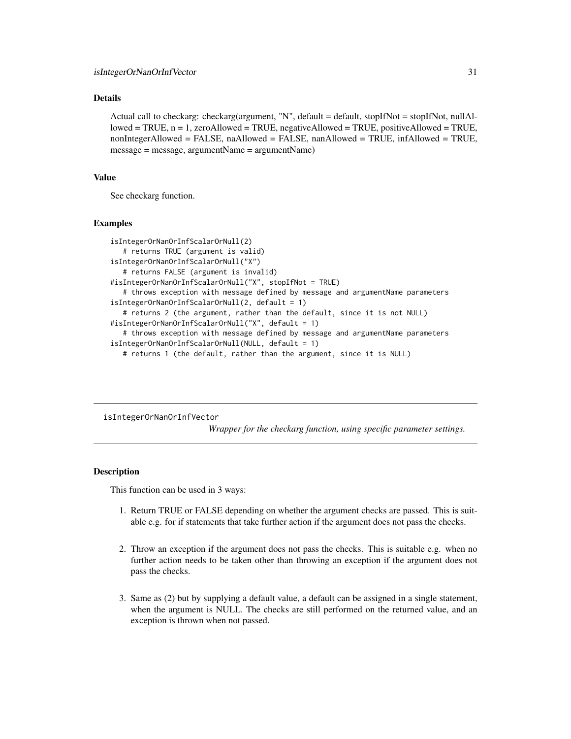## <span id="page-30-0"></span>Details

Actual call to checkarg: checkarg(argument, "N", default = default, stopIfNot = stopIfNot, nullAllowed = TRUE,  $n = 1$ , zeroAllowed = TRUE, negativeAllowed = TRUE, positiveAllowed = TRUE, nonIntegerAllowed = FALSE, naAllowed = FALSE, nanAllowed = TRUE, infAllowed = TRUE, message = message, argumentName = argumentName)

#### Value

See checkarg function.

#### Examples

```
isIntegerOrNanOrInfScalarOrNull(2)
   # returns TRUE (argument is valid)
isIntegerOrNanOrInfScalarOrNull("X")
   # returns FALSE (argument is invalid)
#isIntegerOrNanOrInfScalarOrNull("X", stopIfNot = TRUE)
   # throws exception with message defined by message and argumentName parameters
isIntegerOrNanOrInfScalarOrNull(2, default = 1)
   # returns 2 (the argument, rather than the default, since it is not NULL)
#isIntegerOrNanOrInfScalarOrNull("X", default = 1)
   # throws exception with message defined by message and argumentName parameters
isIntegerOrNanOrInfScalarOrNull(NULL, default = 1)
  # returns 1 (the default, rather than the argument, since it is NULL)
```
isIntegerOrNanOrInfVector

*Wrapper for the checkarg function, using specific parameter settings.*

## Description

This function can be used in 3 ways:

- 1. Return TRUE or FALSE depending on whether the argument checks are passed. This is suitable e.g. for if statements that take further action if the argument does not pass the checks.
- 2. Throw an exception if the argument does not pass the checks. This is suitable e.g. when no further action needs to be taken other than throwing an exception if the argument does not pass the checks.
- 3. Same as (2) but by supplying a default value, a default can be assigned in a single statement, when the argument is NULL. The checks are still performed on the returned value, and an exception is thrown when not passed.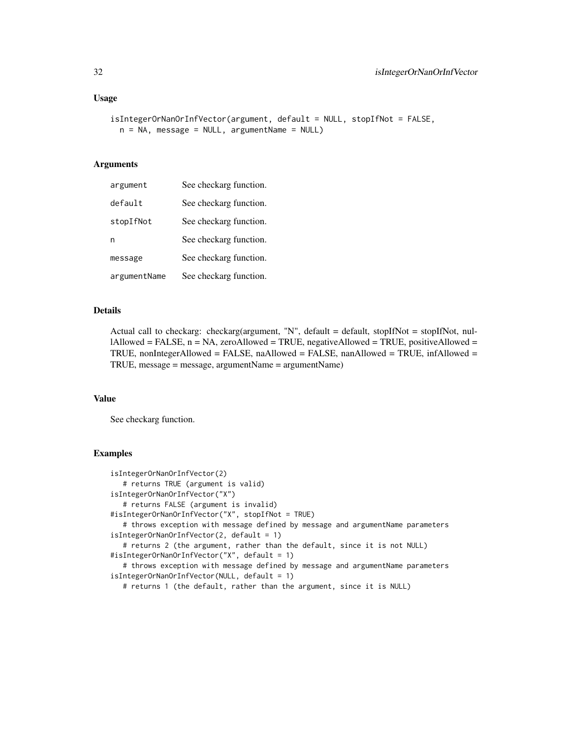#### Usage

```
isIntegerOrNanOrInfVector(argument, default = NULL, stopIfNot = FALSE,
 n = NA, message = NULL, argumentName = NULL)
```
## Arguments

| argument     | See checkarg function. |
|--------------|------------------------|
| default      | See checkarg function. |
| stopIfNot    | See checkarg function. |
| n            | See checkarg function. |
| message      | See checkarg function. |
| argumentName | See checkarg function. |

#### Details

Actual call to checkarg: checkarg(argument, "N", default = default, stopIfNot = stopIfNot, nullAllowed = FALSE,  $n = NA$ , zeroAllowed = TRUE, negativeAllowed = TRUE, positiveAllowed = TRUE, nonIntegerAllowed = FALSE, naAllowed = FALSE, nanAllowed = TRUE, infAllowed = TRUE, message = message, argumentName = argumentName)

#### Value

See checkarg function.

#### Examples

```
isIntegerOrNanOrInfVector(2)
   # returns TRUE (argument is valid)
isIntegerOrNanOrInfVector("X")
   # returns FALSE (argument is invalid)
#isIntegerOrNanOrInfVector("X", stopIfNot = TRUE)
   # throws exception with message defined by message and argumentName parameters
isIntegerOrNanOrInfVector(2, default = 1)
   # returns 2 (the argument, rather than the default, since it is not NULL)
#isIntegerOrNanOrInfVector("X", default = 1)
   # throws exception with message defined by message and argumentName parameters
isIntegerOrNanOrInfVector(NULL, default = 1)
   # returns 1 (the default, rather than the argument, since it is NULL)
```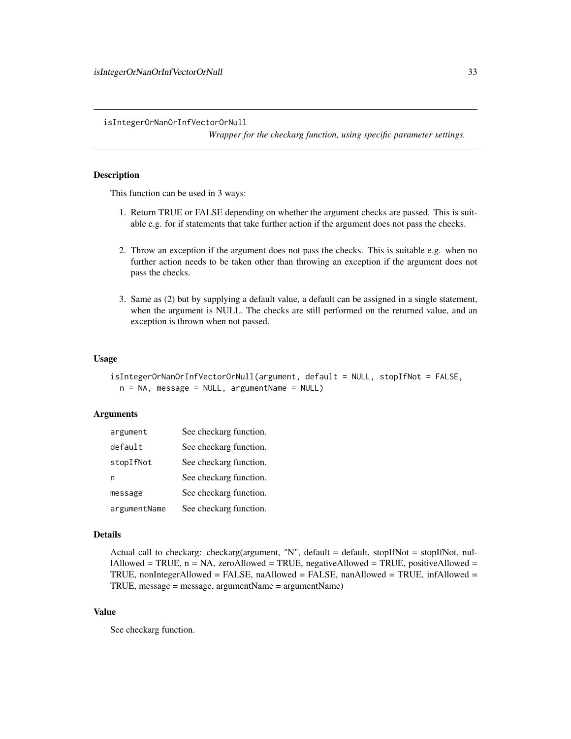<span id="page-32-0"></span>isIntegerOrNanOrInfVectorOrNull

*Wrapper for the checkarg function, using specific parameter settings.*

## **Description**

This function can be used in 3 ways:

- 1. Return TRUE or FALSE depending on whether the argument checks are passed. This is suitable e.g. for if statements that take further action if the argument does not pass the checks.
- 2. Throw an exception if the argument does not pass the checks. This is suitable e.g. when no further action needs to be taken other than throwing an exception if the argument does not pass the checks.
- 3. Same as (2) but by supplying a default value, a default can be assigned in a single statement, when the argument is NULL. The checks are still performed on the returned value, and an exception is thrown when not passed.

## Usage

```
isIntegerOrNanOrInfVectorOrNull(argument, default = NULL, stopIfNot = FALSE,
 n = NA, message = NULL, argumentName = NULL)
```
## Arguments

| argument     | See checkarg function. |
|--------------|------------------------|
| default      | See checkarg function. |
| stopIfNot    | See checkarg function. |
| n            | See checkarg function. |
| message      | See checkarg function. |
| argumentName | See checkarg function. |

#### Details

Actual call to checkarg: checkarg(argument, "N", default = default, stopIfNot = stopIfNot, nullAllowed = TRUE,  $n = NA$ , zeroAllowed = TRUE, negativeAllowed = TRUE, positiveAllowed = TRUE, nonIntegerAllowed = FALSE, naAllowed = FALSE, nanAllowed = TRUE, infAllowed = TRUE, message = message, argumentName = argumentName)

## Value

See checkarg function.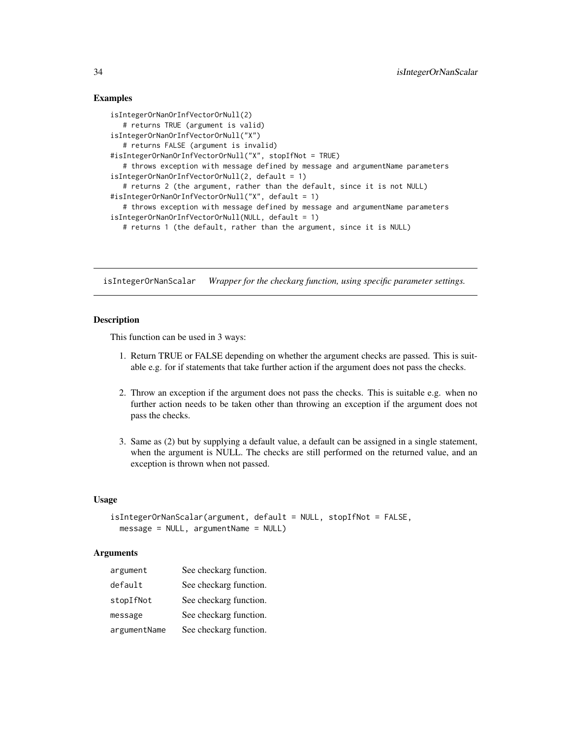## Examples

```
isIntegerOrNanOrInfVectorOrNull(2)
   # returns TRUE (argument is valid)
isIntegerOrNanOrInfVectorOrNull("X")
   # returns FALSE (argument is invalid)
#isIntegerOrNanOrInfVectorOrNull("X", stopIfNot = TRUE)
   # throws exception with message defined by message and argumentName parameters
isIntegerOrNanOrInfVectorOrNull(2, default = 1)
   # returns 2 (the argument, rather than the default, since it is not NULL)
#isIntegerOrNanOrInfVectorOrNull("X", default = 1)
   # throws exception with message defined by message and argumentName parameters
isIntegerOrNanOrInfVectorOrNull(NULL, default = 1)
  # returns 1 (the default, rather than the argument, since it is NULL)
```
isIntegerOrNanScalar *Wrapper for the checkarg function, using specific parameter settings.*

#### **Description**

This function can be used in 3 ways:

- 1. Return TRUE or FALSE depending on whether the argument checks are passed. This is suitable e.g. for if statements that take further action if the argument does not pass the checks.
- 2. Throw an exception if the argument does not pass the checks. This is suitable e.g. when no further action needs to be taken other than throwing an exception if the argument does not pass the checks.
- 3. Same as (2) but by supplying a default value, a default can be assigned in a single statement, when the argument is NULL. The checks are still performed on the returned value, and an exception is thrown when not passed.

#### Usage

```
isIntegerOrNanScalar(argument, default = NULL, stopIfNot = FALSE,
 message = NULL, argumentName = NULL)
```

| argument     | See checkarg function. |
|--------------|------------------------|
| default      | See checkarg function. |
| stopIfNot    | See checkarg function. |
| message      | See checkarg function. |
| argumentName | See checkarg function. |

<span id="page-33-0"></span>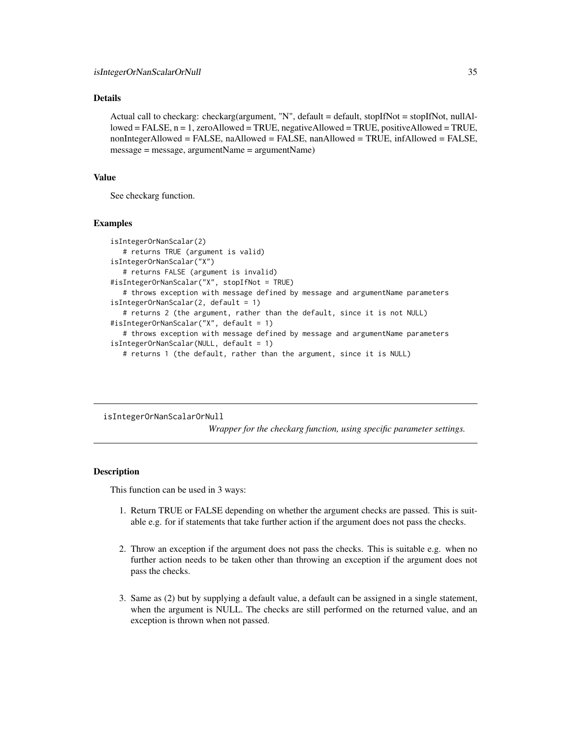## <span id="page-34-0"></span>Details

Actual call to checkarg: checkarg(argument, "N", default = default, stopIfNot = stopIfNot, nullAllowed = FALSE, n = 1, zeroAllowed = TRUE, negativeAllowed = TRUE, positiveAllowed = TRUE, nonIntegerAllowed = FALSE, naAllowed = FALSE, nanAllowed = TRUE, infAllowed = FALSE, message = message, argumentName = argumentName)

#### Value

See checkarg function.

#### Examples

```
isIntegerOrNanScalar(2)
   # returns TRUE (argument is valid)
isIntegerOrNanScalar("X")
   # returns FALSE (argument is invalid)
#isIntegerOrNanScalar("X", stopIfNot = TRUE)
   # throws exception with message defined by message and argumentName parameters
isIntegerOrNanScalar(2, default = 1)
   # returns 2 (the argument, rather than the default, since it is not NULL)
#isIntegerOrNanScalar("X", default = 1)
   # throws exception with message defined by message and argumentName parameters
isIntegerOrNanScalar(NULL, default = 1)
  # returns 1 (the default, rather than the argument, since it is NULL)
```
isIntegerOrNanScalarOrNull

*Wrapper for the checkarg function, using specific parameter settings.*

## Description

This function can be used in 3 ways:

- 1. Return TRUE or FALSE depending on whether the argument checks are passed. This is suitable e.g. for if statements that take further action if the argument does not pass the checks.
- 2. Throw an exception if the argument does not pass the checks. This is suitable e.g. when no further action needs to be taken other than throwing an exception if the argument does not pass the checks.
- 3. Same as (2) but by supplying a default value, a default can be assigned in a single statement, when the argument is NULL. The checks are still performed on the returned value, and an exception is thrown when not passed.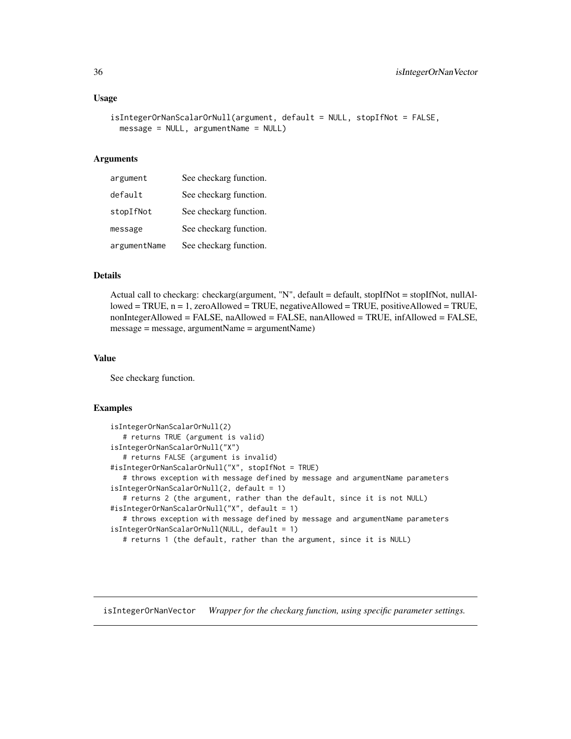#### <span id="page-35-0"></span>Usage

```
isIntegerOrNanScalarOrNull(argument, default = NULL, stopIfNot = FALSE,
 message = NULL, argumentName = NULL)
```
## Arguments

| argument     | See checkarg function. |
|--------------|------------------------|
| default      | See checkarg function. |
| stopIfNot    | See checkarg function. |
| message      | See checkarg function. |
| argumentName | See checkarg function. |

#### Details

Actual call to checkarg: checkarg(argument, "N", default = default, stopIfNot = stopIfNot, nullAllowed = TRUE,  $n = 1$ , zeroAllowed = TRUE, negativeAllowed = TRUE, positiveAllowed = TRUE, nonIntegerAllowed = FALSE, naAllowed = FALSE, nanAllowed = TRUE, infAllowed = FALSE, message = message, argumentName = argumentName)

#### Value

See checkarg function.

#### Examples

```
isIntegerOrNanScalarOrNull(2)
   # returns TRUE (argument is valid)
isIntegerOrNanScalarOrNull("X")
   # returns FALSE (argument is invalid)
#isIntegerOrNanScalarOrNull("X", stopIfNot = TRUE)
   # throws exception with message defined by message and argumentName parameters
isIntegerOrNanScalarOrNull(2, default = 1)
   # returns 2 (the argument, rather than the default, since it is not NULL)
#isIntegerOrNanScalarOrNull("X", default = 1)
   # throws exception with message defined by message and argumentName parameters
isIntegerOrNanScalarOrNull(NULL, default = 1)
   # returns 1 (the default, rather than the argument, since it is NULL)
```
isIntegerOrNanVector *Wrapper for the checkarg function, using specific parameter settings.*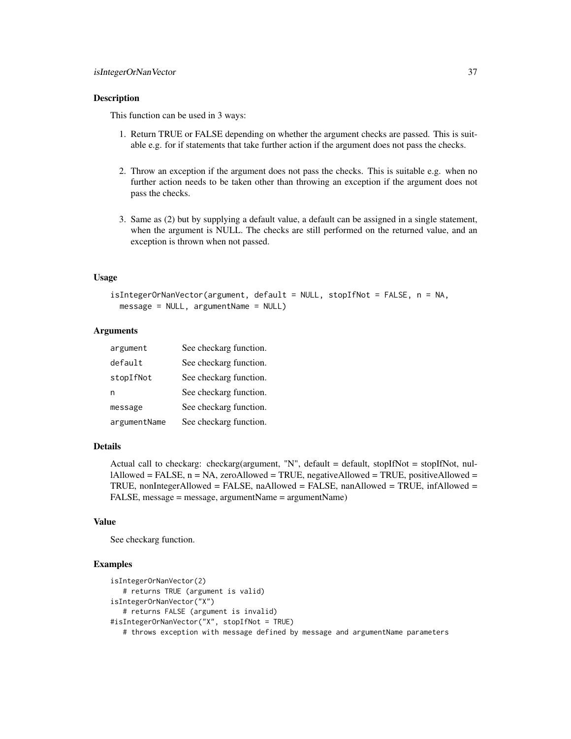### Description

This function can be used in 3 ways:

- 1. Return TRUE or FALSE depending on whether the argument checks are passed. This is suitable e.g. for if statements that take further action if the argument does not pass the checks.
- 2. Throw an exception if the argument does not pass the checks. This is suitable e.g. when no further action needs to be taken other than throwing an exception if the argument does not pass the checks.
- 3. Same as (2) but by supplying a default value, a default can be assigned in a single statement, when the argument is NULL. The checks are still performed on the returned value, and an exception is thrown when not passed.

#### Usage

```
isIntegerOrNanVector(argument, default = NULL, stopIfNot = FALSE, n = NA,
 message = NULL, argumentName = NULL)
```
### Arguments

| argument     | See checkarg function. |
|--------------|------------------------|
| default      | See checkarg function. |
| stopIfNot    | See checkarg function. |
| n            | See checkarg function. |
| message      | See checkarg function. |
| argumentName | See checkarg function. |

# Details

Actual call to checkarg: checkarg(argument, "N", default = default, stopIfNot = stopIfNot, nullAllowed = FALSE,  $n = NA$ , zeroAllowed = TRUE, negativeAllowed = TRUE, positiveAllowed = TRUE, nonIntegerAllowed = FALSE, naAllowed = FALSE, nanAllowed = TRUE, infAllowed = FALSE, message = message, argumentName = argumentName)

### Value

See checkarg function.

#### Examples

```
isIntegerOrNanVector(2)
   # returns TRUE (argument is valid)
isIntegerOrNanVector("X")
  # returns FALSE (argument is invalid)
#isIntegerOrNanVector("X", stopIfNot = TRUE)
  # throws exception with message defined by message and argumentName parameters
```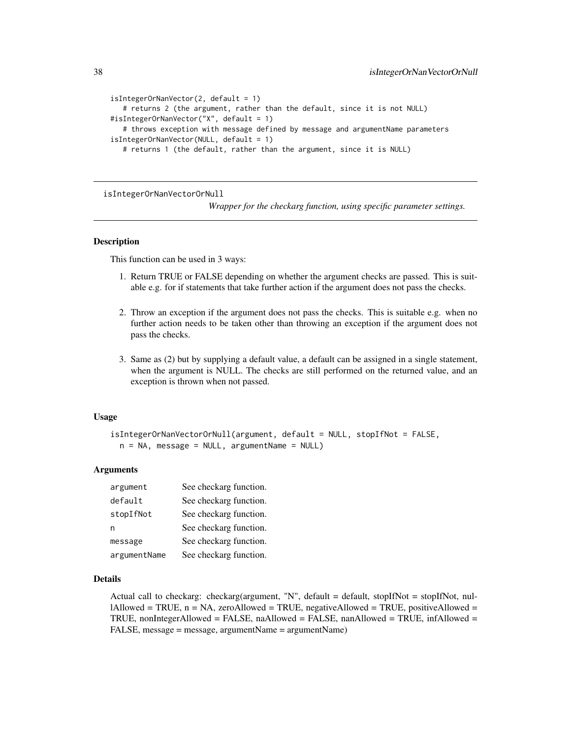```
isIntegerOrNanVector(2, default = 1)
   # returns 2 (the argument, rather than the default, since it is not NULL)
#isIntegerOrNanVector("X", default = 1)
   # throws exception with message defined by message and argumentName parameters
isIntegerOrNanVector(NULL, default = 1)
  # returns 1 (the default, rather than the argument, since it is NULL)
```
isIntegerOrNanVectorOrNull

*Wrapper for the checkarg function, using specific parameter settings.*

### Description

This function can be used in 3 ways:

- 1. Return TRUE or FALSE depending on whether the argument checks are passed. This is suitable e.g. for if statements that take further action if the argument does not pass the checks.
- 2. Throw an exception if the argument does not pass the checks. This is suitable e.g. when no further action needs to be taken other than throwing an exception if the argument does not pass the checks.
- 3. Same as (2) but by supplying a default value, a default can be assigned in a single statement, when the argument is NULL. The checks are still performed on the returned value, and an exception is thrown when not passed.

#### Usage

```
isIntegerOrNanVectorOrNull(argument, default = NULL, stopIfNot = FALSE,
 n = NA, message = NULL, argumentName = NULL)
```
#### **Arguments**

| argument     | See checkarg function. |
|--------------|------------------------|
| default      | See checkarg function. |
| stopIfNot    | See checkarg function. |
| n            | See checkarg function. |
| message      | See checkarg function. |
| argumentName | See checkarg function. |

#### Details

Actual call to checkarg: checkarg(argument, "N", default = default, stopIfNot = stopIfNot, nullAllowed = TRUE,  $n = NA$ , zeroAllowed = TRUE, negativeAllowed = TRUE, positiveAllowed = TRUE, nonIntegerAllowed = FALSE, naAllowed = FALSE, nanAllowed = TRUE, infAllowed = FALSE, message = message, argumentName = argumentName)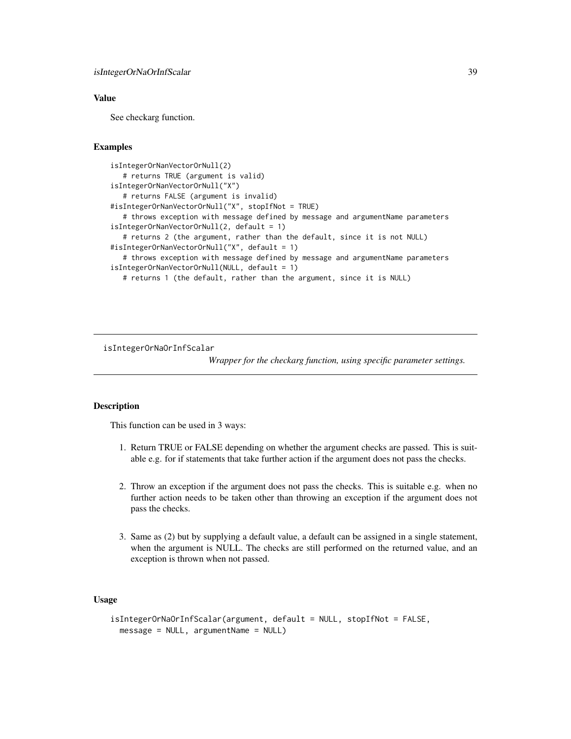# Value

See checkarg function.

# Examples

```
isIntegerOrNanVectorOrNull(2)
   # returns TRUE (argument is valid)
isIntegerOrNanVectorOrNull("X")
  # returns FALSE (argument is invalid)
#isIntegerOrNanVectorOrNull("X", stopIfNot = TRUE)
   # throws exception with message defined by message and argumentName parameters
isIntegerOrNanVectorOrNull(2, default = 1)
   # returns 2 (the argument, rather than the default, since it is not NULL)
#isIntegerOrNanVectorOrNull("X", default = 1)
   # throws exception with message defined by message and argumentName parameters
isIntegerOrNanVectorOrNull(NULL, default = 1)
  # returns 1 (the default, rather than the argument, since it is NULL)
```
isIntegerOrNaOrInfScalar

*Wrapper for the checkarg function, using specific parameter settings.*

### Description

This function can be used in 3 ways:

- 1. Return TRUE or FALSE depending on whether the argument checks are passed. This is suitable e.g. for if statements that take further action if the argument does not pass the checks.
- 2. Throw an exception if the argument does not pass the checks. This is suitable e.g. when no further action needs to be taken other than throwing an exception if the argument does not pass the checks.
- 3. Same as (2) but by supplying a default value, a default can be assigned in a single statement, when the argument is NULL. The checks are still performed on the returned value, and an exception is thrown when not passed.

# Usage

```
isIntegerOrNaOrInfScalar(argument, default = NULL, stopIfNot = FALSE,
 message = NULL, argumentName = NULL)
```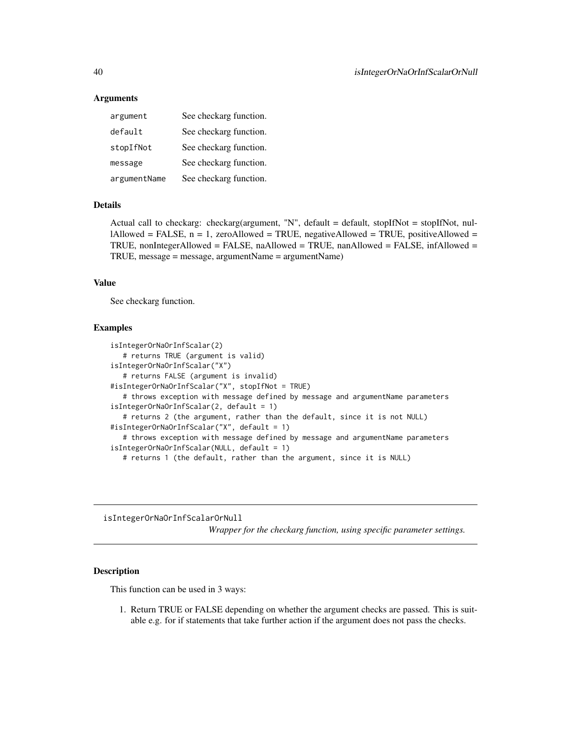### **Arguments**

| argument     | See checkarg function. |
|--------------|------------------------|
| default      | See checkarg function. |
| stopIfNot    | See checkarg function. |
| message      | See checkarg function. |
| argumentName | See checkarg function. |

# Details

Actual call to checkarg: checkarg(argument, "N", default = default, stopIfNot = stopIfNot, nullAllowed = FALSE,  $n = 1$ , zeroAllowed = TRUE, negativeAllowed = TRUE, positiveAllowed = TRUE, nonIntegerAllowed = FALSE, naAllowed = TRUE, nanAllowed = FALSE, infAllowed = TRUE, message = message, argumentName = argumentName)

# Value

See checkarg function.

# Examples

```
isIntegerOrNaOrInfScalar(2)
  # returns TRUE (argument is valid)
isIntegerOrNaOrInfScalar("X")
  # returns FALSE (argument is invalid)
#isIntegerOrNaOrInfScalar("X", stopIfNot = TRUE)
   # throws exception with message defined by message and argumentName parameters
isIntegerOrNaOrInfScalar(2, default = 1)
   # returns 2 (the argument, rather than the default, since it is not NULL)
#isIntegerOrNaOrInfScalar("X", default = 1)
   # throws exception with message defined by message and argumentName parameters
isIntegerOrNaOrInfScalar(NULL, default = 1)
   # returns 1 (the default, rather than the argument, since it is NULL)
```
isIntegerOrNaOrInfScalarOrNull

*Wrapper for the checkarg function, using specific parameter settings.*

#### **Description**

This function can be used in 3 ways:

1. Return TRUE or FALSE depending on whether the argument checks are passed. This is suitable e.g. for if statements that take further action if the argument does not pass the checks.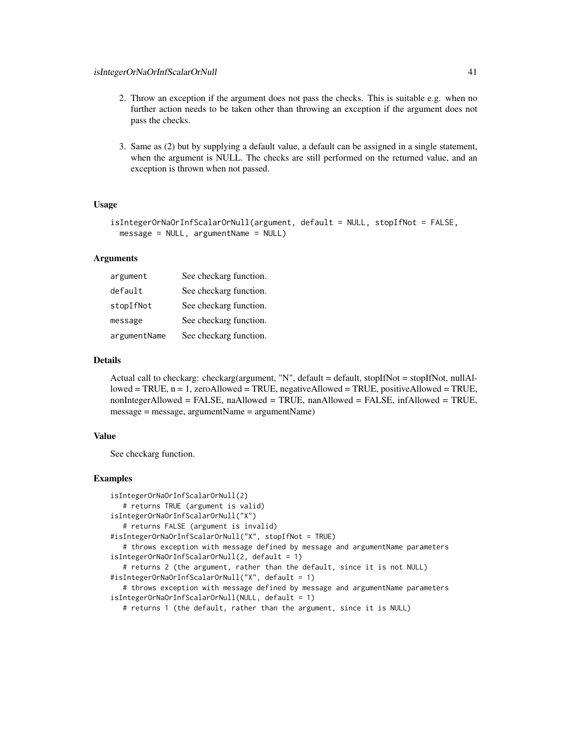- 2. Throw an exception if the argument does not pass the checks. This is suitable e.g. when no further action needs to be taken other than throwing an exception if the argument does not pass the checks.
- 3. Same as (2) but by supplying a default value, a default can be assigned in a single statement, when the argument is NULL. The checks are still performed on the returned value, and an exception is thrown when not passed.

# Usage

```
isIntegerOrNaOrInfScalarOrNull(argument, default = NULL, stopIfNot = FALSE,
 message = NULL, argumentName = NULL)
```
### Arguments

| argument     | See checkarg function. |
|--------------|------------------------|
| default      | See checkarg function. |
| stopIfNot    | See checkarg function. |
| message      | See checkarg function. |
| argumentName | See checkarg function. |

# Details

Actual call to checkarg: checkarg(argument, "N", default = default, stopIfNot = stopIfNot, nullAl $loved = TRUE, n = 1, zero$ Allowed = TRUE, negativeAllowed = TRUE, positiveAllowed = TRUE, nonIntegerAllowed = FALSE, naAllowed = TRUE, nanAllowed = FALSE, infAllowed = TRUE, message = message, argumentName = argumentName)

# Value

See checkarg function.

### Examples

```
isIntegerOrNaOrInfScalarOrNull(2)
   # returns TRUE (argument is valid)
isIntegerOrNaOrInfScalarOrNull("X")
   # returns FALSE (argument is invalid)
#isIntegerOrNaOrInfScalarOrNull("X", stopIfNot = TRUE)
   # throws exception with message defined by message and argumentName parameters
isIntegerOrNaOrInfScalarOrNull(2, default = 1)
   # returns 2 (the argument, rather than the default, since it is not NULL)
#isIntegerOrNaOrInfScalarOrNull("X", default = 1)
   # throws exception with message defined by message and argumentName parameters
isIntegerOrNaOrInfScalarOrNull(NULL, default = 1)
   # returns 1 (the default, rather than the argument, since it is NULL)
```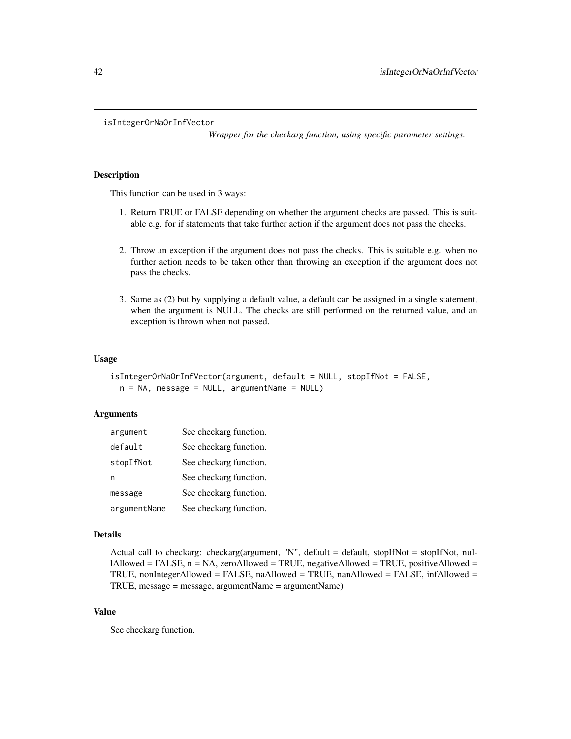isIntegerOrNaOrInfVector

*Wrapper for the checkarg function, using specific parameter settings.*

# **Description**

This function can be used in 3 ways:

- 1. Return TRUE or FALSE depending on whether the argument checks are passed. This is suitable e.g. for if statements that take further action if the argument does not pass the checks.
- 2. Throw an exception if the argument does not pass the checks. This is suitable e.g. when no further action needs to be taken other than throwing an exception if the argument does not pass the checks.
- 3. Same as (2) but by supplying a default value, a default can be assigned in a single statement, when the argument is NULL. The checks are still performed on the returned value, and an exception is thrown when not passed.

# Usage

```
isIntegerOrNaOrInfVector(argument, default = NULL, stopIfNot = FALSE,
 n = NA, message = NULL, argumentName = NULL)
```
# Arguments

| argument     | See checkarg function. |
|--------------|------------------------|
| default      | See checkarg function. |
| stopIfNot    | See checkarg function. |
| n            | See checkarg function. |
| message      | See checkarg function. |
| argumentName | See checkarg function. |

#### Details

```
Actual call to checkarg: checkarg(argument, "N", default = default, stopIfNot = stopIfNot, nul-
lAllowed = FALSE, n = NA, zeroAllowed = TRUE, negativeAllowed = TRUE, positiveAllowed =
TRUE, nonIntegerAllowed = FALSE, naAllowed = TRUE, nanAllowed = FALSE, infAllowed =
TRUE, message = message, argumentName = argumentName)
```
# Value

See checkarg function.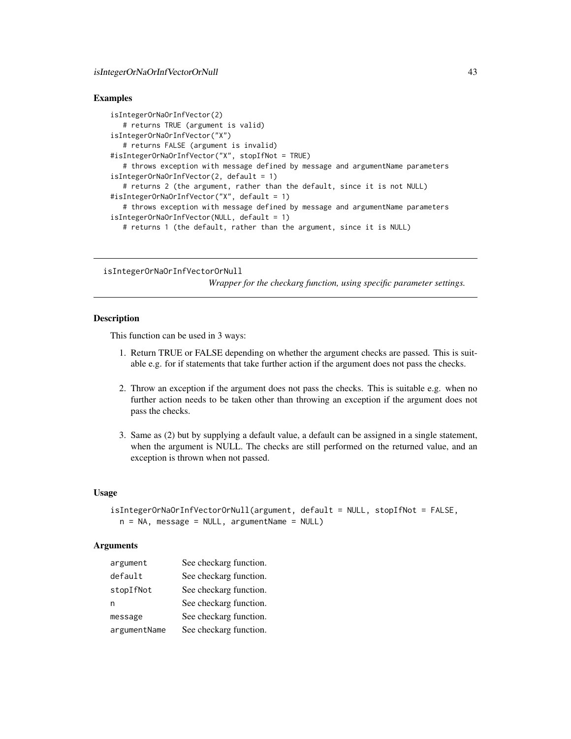## Examples

```
isIntegerOrNaOrInfVector(2)
   # returns TRUE (argument is valid)
isIntegerOrNaOrInfVector("X")
   # returns FALSE (argument is invalid)
#isIntegerOrNaOrInfVector("X", stopIfNot = TRUE)
   # throws exception with message defined by message and argumentName parameters
isIntegerOrNaOrInfVector(2, default = 1)
   # returns 2 (the argument, rather than the default, since it is not NULL)
#isIntegerOrNaOrInfVector("X", default = 1)
   # throws exception with message defined by message and argumentName parameters
isIntegerOrNaOrInfVector(NULL, default = 1)
  # returns 1 (the default, rather than the argument, since it is NULL)
```
isIntegerOrNaOrInfVectorOrNull

*Wrapper for the checkarg function, using specific parameter settings.*

# Description

This function can be used in 3 ways:

- 1. Return TRUE or FALSE depending on whether the argument checks are passed. This is suitable e.g. for if statements that take further action if the argument does not pass the checks.
- 2. Throw an exception if the argument does not pass the checks. This is suitable e.g. when no further action needs to be taken other than throwing an exception if the argument does not pass the checks.
- 3. Same as (2) but by supplying a default value, a default can be assigned in a single statement, when the argument is NULL. The checks are still performed on the returned value, and an exception is thrown when not passed.

# Usage

```
isIntegerOrNaOrInfVectorOrNull(argument, default = NULL, stopIfNot = FALSE,
 n = NA, message = NULL, argumentName = NULL)
```
# Arguments

| argument     | See checkarg function. |
|--------------|------------------------|
| default      | See checkarg function. |
| stopIfNot    | See checkarg function. |
| n            | See checkarg function. |
| message      | See checkarg function. |
| argumentName | See checkarg function. |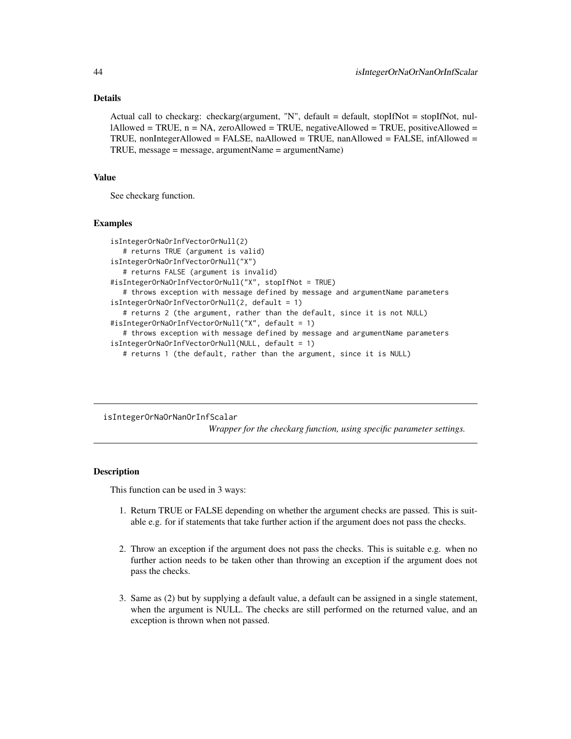# Details

Actual call to checkarg: checkarg(argument, "N", default = default, stopIfNot = stopIfNot, nullAllowed = TRUE,  $n = NA$ , zeroAllowed = TRUE, negativeAllowed = TRUE, positiveAllowed = TRUE, nonIntegerAllowed = FALSE, naAllowed = TRUE, nanAllowed = FALSE, infAllowed = TRUE, message = message, argumentName = argumentName)

#### Value

See checkarg function.

#### Examples

```
isIntegerOrNaOrInfVectorOrNull(2)
   # returns TRUE (argument is valid)
isIntegerOrNaOrInfVectorOrNull("X")
   # returns FALSE (argument is invalid)
#isIntegerOrNaOrInfVectorOrNull("X", stopIfNot = TRUE)
   # throws exception with message defined by message and argumentName parameters
isIntegerOrNaOrInfVectorOrNull(2, default = 1)
   # returns 2 (the argument, rather than the default, since it is not NULL)
#isIntegerOrNaOrInfVectorOrNull("X", default = 1)
   # throws exception with message defined by message and argumentName parameters
isIntegerOrNaOrInfVectorOrNull(NULL, default = 1)
  # returns 1 (the default, rather than the argument, since it is NULL)
```
isIntegerOrNaOrNanOrInfScalar

*Wrapper for the checkarg function, using specific parameter settings.*

# **Description**

This function can be used in 3 ways:

- 1. Return TRUE or FALSE depending on whether the argument checks are passed. This is suitable e.g. for if statements that take further action if the argument does not pass the checks.
- 2. Throw an exception if the argument does not pass the checks. This is suitable e.g. when no further action needs to be taken other than throwing an exception if the argument does not pass the checks.
- 3. Same as (2) but by supplying a default value, a default can be assigned in a single statement, when the argument is NULL. The checks are still performed on the returned value, and an exception is thrown when not passed.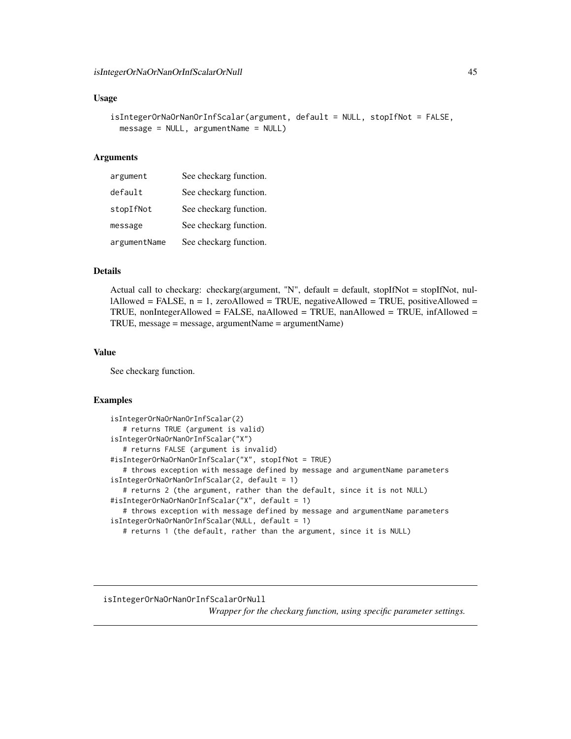### Usage

```
isIntegerOrNaOrNanOrInfScalar(argument, default = NULL, stopIfNot = FALSE,
 message = NULL, argumentName = NULL)
```
#### Arguments

| argument     | See checkarg function. |
|--------------|------------------------|
| default      | See checkarg function. |
| stopIfNot    | See checkarg function. |
| message      | See checkarg function. |
| argumentName | See checkarg function. |

# Details

Actual call to checkarg: checkarg(argument, "N", default = default, stopIfNot = stopIfNot, nullAllowed = FALSE,  $n = 1$ , zeroAllowed = TRUE, negativeAllowed = TRUE, positiveAllowed = TRUE, nonIntegerAllowed = FALSE, naAllowed = TRUE, nanAllowed = TRUE, infAllowed = TRUE, message = message, argumentName = argumentName)

### Value

See checkarg function.

# Examples

```
isIntegerOrNaOrNanOrInfScalar(2)
   # returns TRUE (argument is valid)
isIntegerOrNaOrNanOrInfScalar("X")
   # returns FALSE (argument is invalid)
#isIntegerOrNaOrNanOrInfScalar("X", stopIfNot = TRUE)
   # throws exception with message defined by message and argumentName parameters
isIntegerOrNaOrNanOrInfScalar(2, default = 1)
   # returns 2 (the argument, rather than the default, since it is not NULL)
#isIntegerOrNaOrNanOrInfScalar("X", default = 1)
  # throws exception with message defined by message and argumentName parameters
isIntegerOrNaOrNanOrInfScalar(NULL, default = 1)
  # returns 1 (the default, rather than the argument, since it is NULL)
```
isIntegerOrNaOrNanOrInfScalarOrNull *Wrapper for the checkarg function, using specific parameter settings.*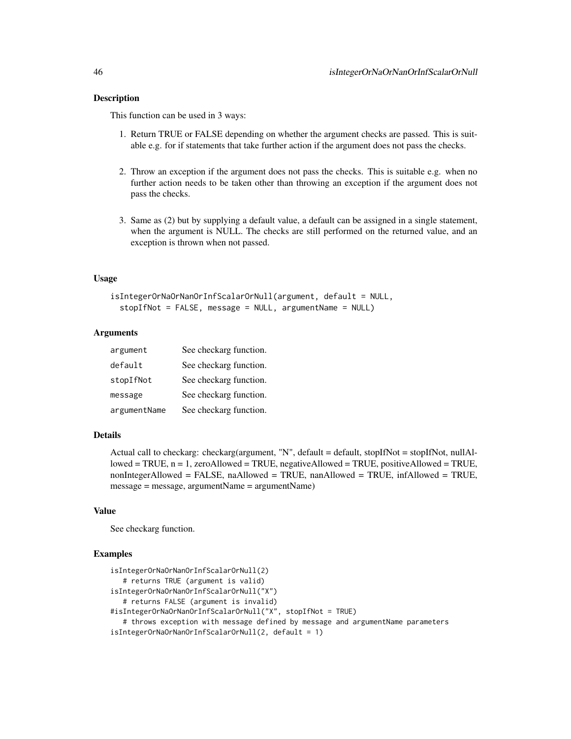### Description

This function can be used in 3 ways:

- 1. Return TRUE or FALSE depending on whether the argument checks are passed. This is suitable e.g. for if statements that take further action if the argument does not pass the checks.
- 2. Throw an exception if the argument does not pass the checks. This is suitable e.g. when no further action needs to be taken other than throwing an exception if the argument does not pass the checks.
- 3. Same as (2) but by supplying a default value, a default can be assigned in a single statement, when the argument is NULL. The checks are still performed on the returned value, and an exception is thrown when not passed.

#### Usage

```
isIntegerOrNaOrNanOrInfScalarOrNull(argument, default = NULL,
  stopIfNot = FALSE, message = NULL, argumentName = NULL)
```
### Arguments

| argument     | See checkarg function. |
|--------------|------------------------|
| default      | See checkarg function. |
| stopIfNot    | See checkarg function. |
| message      | See checkarg function. |
| argumentName | See checkarg function. |

### Details

Actual call to checkarg: checkarg(argument, "N", default = default, stopIfNot = stopIfNot, nullAllowed = TRUE,  $n = 1$ , zeroAllowed = TRUE, negativeAllowed = TRUE, positiveAllowed = TRUE, nonIntegerAllowed = FALSE, naAllowed = TRUE, nanAllowed = TRUE, infAllowed = TRUE, message = message, argumentName = argumentName)

### Value

See checkarg function.

### Examples

```
isIntegerOrNaOrNanOrInfScalarOrNull(2)
   # returns TRUE (argument is valid)
isIntegerOrNaOrNanOrInfScalarOrNull("X")
   # returns FALSE (argument is invalid)
#isIntegerOrNaOrNanOrInfScalarOrNull("X", stopIfNot = TRUE)
   # throws exception with message defined by message and argumentName parameters
isIntegerOrNaOrNanOrInfScalarOrNull(2, default = 1)
```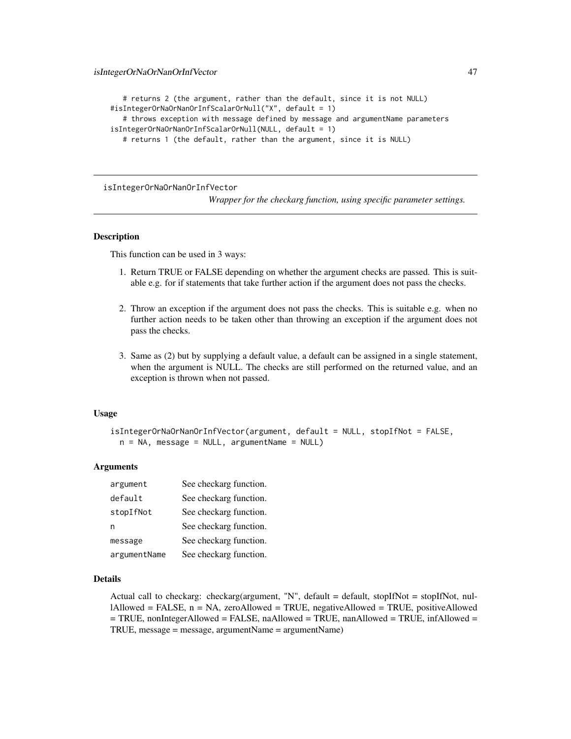# returns 2 (the argument, rather than the default, since it is not NULL) #isIntegerOrNaOrNanOrInfScalarOrNull("X", default = 1) # throws exception with message defined by message and argumentName parameters isIntegerOrNaOrNanOrInfScalarOrNull(NULL, default = 1) # returns 1 (the default, rather than the argument, since it is NULL)

isIntegerOrNaOrNanOrInfVector

*Wrapper for the checkarg function, using specific parameter settings.*

# Description

This function can be used in 3 ways:

- 1. Return TRUE or FALSE depending on whether the argument checks are passed. This is suitable e.g. for if statements that take further action if the argument does not pass the checks.
- 2. Throw an exception if the argument does not pass the checks. This is suitable e.g. when no further action needs to be taken other than throwing an exception if the argument does not pass the checks.
- 3. Same as (2) but by supplying a default value, a default can be assigned in a single statement, when the argument is NULL. The checks are still performed on the returned value, and an exception is thrown when not passed.

### Usage

isIntegerOrNaOrNanOrInfVector(argument, default = NULL, stopIfNot = FALSE, n = NA, message = NULL, argumentName = NULL)

### Arguments

| argument     | See checkarg function. |
|--------------|------------------------|
| default      | See checkarg function. |
| stopIfNot    | See checkarg function. |
| n            | See checkarg function. |
| message      | See checkarg function. |
| argumentName | See checkarg function. |

#### Details

Actual call to checkarg: checkarg(argument, "N", default = default, stopIfNot = stopIfNot, nullAllowed = FALSE, n = NA, zeroAllowed = TRUE, negativeAllowed = TRUE, positiveAllowed  $=$  TRUE, nonIntegerAllowed  $=$  FALSE, naAllowed  $=$  TRUE, nanAllowed  $=$  TRUE, infAllowed  $=$ TRUE, message = message, argumentName = argumentName)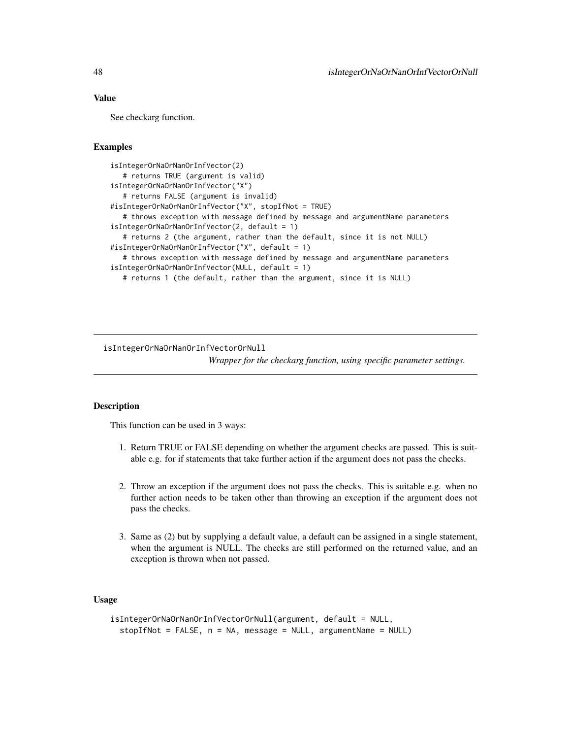# Value

See checkarg function.

# Examples

```
isIntegerOrNaOrNanOrInfVector(2)
  # returns TRUE (argument is valid)
isIntegerOrNaOrNanOrInfVector("X")
  # returns FALSE (argument is invalid)
#isIntegerOrNaOrNanOrInfVector("X", stopIfNot = TRUE)
  # throws exception with message defined by message and argumentName parameters
isIntegerOrNaOrNanOrInfVector(2, default = 1)
  # returns 2 (the argument, rather than the default, since it is not NULL)
#isIntegerOrNaOrNanOrInfVector("X", default = 1)
  # throws exception with message defined by message and argumentName parameters
isIntegerOrNaOrNanOrInfVector(NULL, default = 1)
  # returns 1 (the default, rather than the argument, since it is NULL)
```
isIntegerOrNaOrNanOrInfVectorOrNull

*Wrapper for the checkarg function, using specific parameter settings.*

# Description

This function can be used in 3 ways:

- 1. Return TRUE or FALSE depending on whether the argument checks are passed. This is suitable e.g. for if statements that take further action if the argument does not pass the checks.
- 2. Throw an exception if the argument does not pass the checks. This is suitable e.g. when no further action needs to be taken other than throwing an exception if the argument does not pass the checks.
- 3. Same as (2) but by supplying a default value, a default can be assigned in a single statement, when the argument is NULL. The checks are still performed on the returned value, and an exception is thrown when not passed.

# Usage

```
isIntegerOrNaOrNanOrInfVectorOrNull(argument, default = NULL,
 stopIfNot = FALSE, n = NA, message = NULL, argumentName = NULL)
```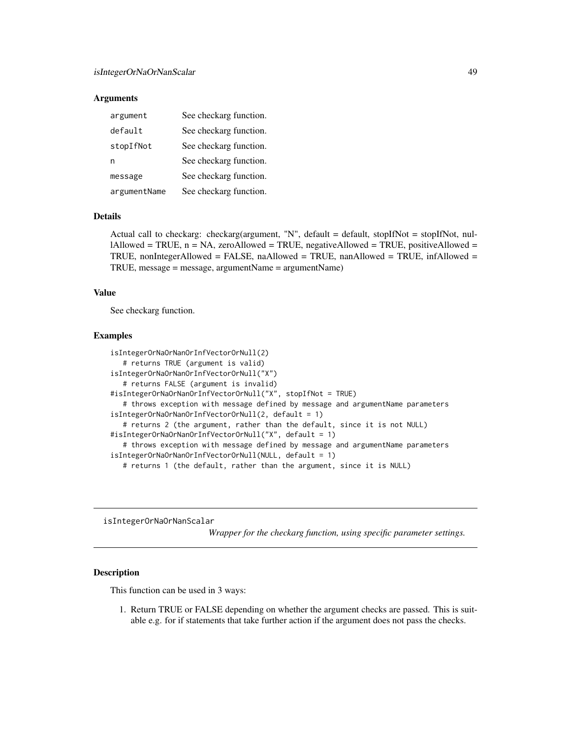### **Arguments**

| argument     | See checkarg function. |
|--------------|------------------------|
| default      | See checkarg function. |
| stopIfNot    | See checkarg function. |
| n            | See checkarg function. |
| message      | See checkarg function. |
| argumentName | See checkarg function. |

### Details

Actual call to checkarg: checkarg(argument, "N", default = default, stopIfNot = stopIfNot, nullAllowed = TRUE,  $n = NA$ , zeroAllowed = TRUE, negativeAllowed = TRUE, positiveAllowed = TRUE, nonIntegerAllowed = FALSE, naAllowed = TRUE, nanAllowed = TRUE, infAllowed = TRUE, message = message, argumentName = argumentName)

### Value

See checkarg function.

#### Examples

```
isIntegerOrNaOrNanOrInfVectorOrNull(2)
   # returns TRUE (argument is valid)
isIntegerOrNaOrNanOrInfVectorOrNull("X")
   # returns FALSE (argument is invalid)
#isIntegerOrNaOrNanOrInfVectorOrNull("X", stopIfNot = TRUE)
   # throws exception with message defined by message and argumentName parameters
isIntegerOrNaOrNanOrInfVectorOrNull(2, default = 1)
   # returns 2 (the argument, rather than the default, since it is not NULL)
#isIntegerOrNaOrNanOrInfVectorOrNull("X", default = 1)
   # throws exception with message defined by message and argumentName parameters
isIntegerOrNaOrNanOrInfVectorOrNull(NULL, default = 1)
  # returns 1 (the default, rather than the argument, since it is NULL)
```
isIntegerOrNaOrNanScalar

*Wrapper for the checkarg function, using specific parameter settings.*

# Description

This function can be used in 3 ways:

1. Return TRUE or FALSE depending on whether the argument checks are passed. This is suitable e.g. for if statements that take further action if the argument does not pass the checks.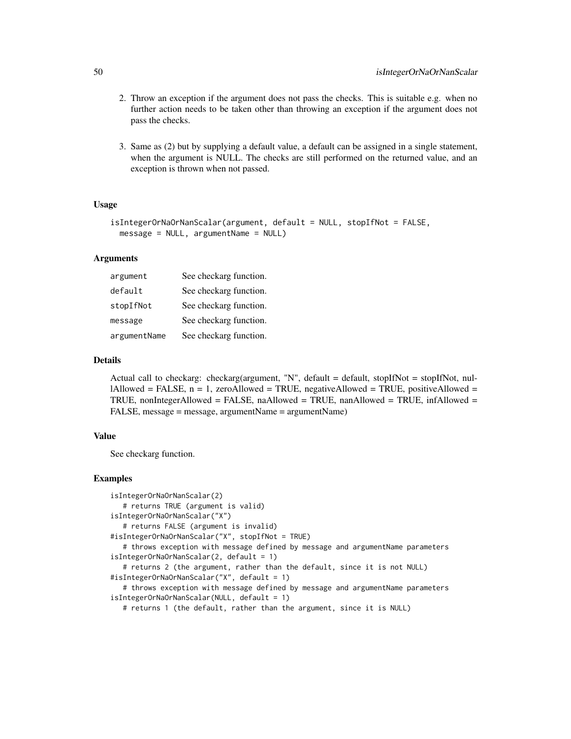- 2. Throw an exception if the argument does not pass the checks. This is suitable e.g. when no further action needs to be taken other than throwing an exception if the argument does not pass the checks.
- 3. Same as (2) but by supplying a default value, a default can be assigned in a single statement, when the argument is NULL. The checks are still performed on the returned value, and an exception is thrown when not passed.

# Usage

```
isIntegerOrNaOrNanScalar(argument, default = NULL, stopIfNot = FALSE,
 message = NULL, argumentName = NULL)
```
### Arguments

| argument     | See checkarg function. |
|--------------|------------------------|
| default      | See checkarg function. |
| stopIfNot    | See checkarg function. |
| message      | See checkarg function. |
| argumentName | See checkarg function. |

# Details

Actual call to checkarg: checkarg(argument, "N", default = default, stopIfNot = stopIfNot, nullAllowed = FALSE,  $n = 1$ , zeroAllowed = TRUE, negativeAllowed = TRUE, positiveAllowed = TRUE, nonIntegerAllowed = FALSE, naAllowed = TRUE, nanAllowed = TRUE, infAllowed = FALSE, message = message, argumentName = argumentName)

# Value

See checkarg function.

### Examples

```
isIntegerOrNaOrNanScalar(2)
   # returns TRUE (argument is valid)
isIntegerOrNaOrNanScalar("X")
   # returns FALSE (argument is invalid)
#isIntegerOrNaOrNanScalar("X", stopIfNot = TRUE)
   # throws exception with message defined by message and argumentName parameters
isIntegerOrNaOrNanScalar(2, default = 1)
   # returns 2 (the argument, rather than the default, since it is not NULL)
#isIntegerOrNaOrNanScalar("X", default = 1)
   # throws exception with message defined by message and argumentName parameters
isIntegerOrNaOrNanScalar(NULL, default = 1)
   # returns 1 (the default, rather than the argument, since it is NULL)
```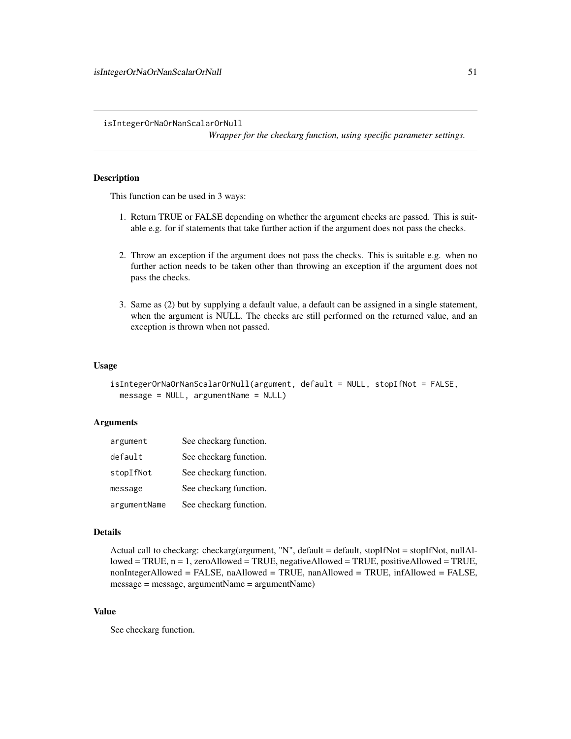isIntegerOrNaOrNanScalarOrNull

*Wrapper for the checkarg function, using specific parameter settings.*

# Description

This function can be used in 3 ways:

- 1. Return TRUE or FALSE depending on whether the argument checks are passed. This is suitable e.g. for if statements that take further action if the argument does not pass the checks.
- 2. Throw an exception if the argument does not pass the checks. This is suitable e.g. when no further action needs to be taken other than throwing an exception if the argument does not pass the checks.
- 3. Same as (2) but by supplying a default value, a default can be assigned in a single statement, when the argument is NULL. The checks are still performed on the returned value, and an exception is thrown when not passed.

#### Usage

```
isIntegerOrNaOrNanScalarOrNull(argument, default = NULL, stopIfNot = FALSE,
 message = NULL, argumentName = NULL)
```
### **Arguments**

| argument     | See checkarg function. |
|--------------|------------------------|
| default      | See checkarg function. |
| stopIfNot    | See checkarg function. |
| message      | See checkarg function. |
| argumentName | See checkarg function. |

#### Details

```
Actual call to checkarg: checkarg(argument, "N", default = default, stopIfNot = stopIfNot, nullAl-
lowed = TRUE, n = 1, zeroAllowed = TRUE, negativeAllowed = TRUE, positiveAllowed = TRUE,
nonIntegerAllowed = FALSE, naAllowed = TRUE, nanAllowed = TRUE, infAllowed = FALSE,
message = message, argumentName = argumentName)
```
# Value

See checkarg function.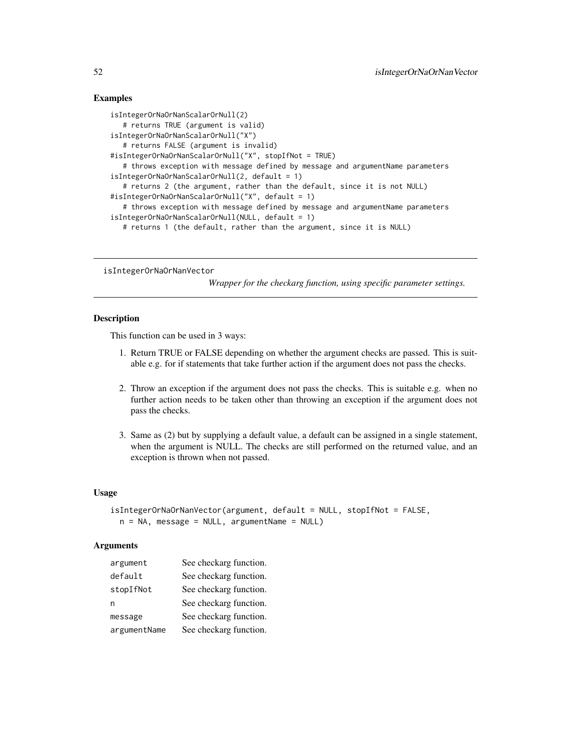# Examples

```
isIntegerOrNaOrNanScalarOrNull(2)
   # returns TRUE (argument is valid)
isIntegerOrNaOrNanScalarOrNull("X")
   # returns FALSE (argument is invalid)
#isIntegerOrNaOrNanScalarOrNull("X", stopIfNot = TRUE)
   # throws exception with message defined by message and argumentName parameters
isIntegerOrNaOrNanScalarOrNull(2, default = 1)
   # returns 2 (the argument, rather than the default, since it is not NULL)
#isIntegerOrNaOrNanScalarOrNull("X", default = 1)
   # throws exception with message defined by message and argumentName parameters
isIntegerOrNaOrNanScalarOrNull(NULL, default = 1)
  # returns 1 (the default, rather than the argument, since it is NULL)
```
isIntegerOrNaOrNanVector

*Wrapper for the checkarg function, using specific parameter settings.*

# Description

This function can be used in 3 ways:

- 1. Return TRUE or FALSE depending on whether the argument checks are passed. This is suitable e.g. for if statements that take further action if the argument does not pass the checks.
- 2. Throw an exception if the argument does not pass the checks. This is suitable e.g. when no further action needs to be taken other than throwing an exception if the argument does not pass the checks.
- 3. Same as (2) but by supplying a default value, a default can be assigned in a single statement, when the argument is NULL. The checks are still performed on the returned value, and an exception is thrown when not passed.

# Usage

```
isIntegerOrNaOrNanVector(argument, default = NULL, stopIfNot = FALSE,
 n = NA, message = NULL, argumentName = NULL)
```
# Arguments

| argument     | See checkarg function. |
|--------------|------------------------|
| default      | See checkarg function. |
| stopIfNot    | See checkarg function. |
| n            | See checkarg function. |
| message      | See checkarg function. |
| argumentName | See checkarg function. |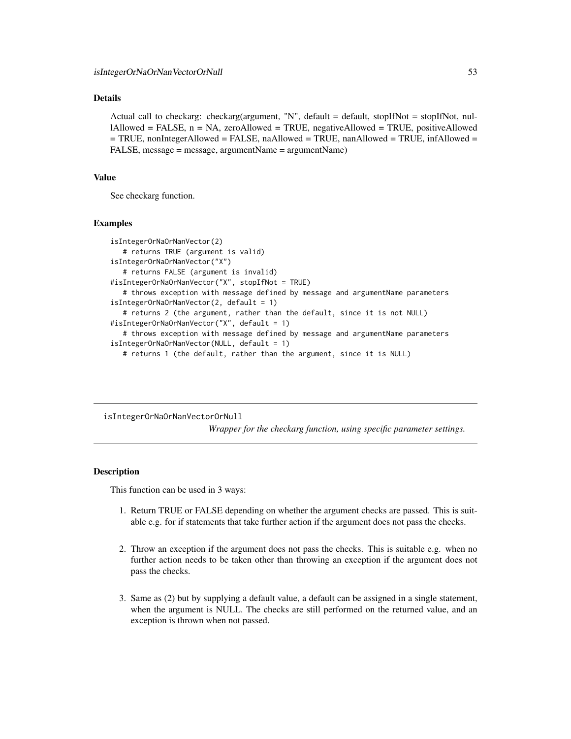# Details

Actual call to checkarg: checkarg(argument, "N", default = default, stopIfNot = stopIfNot, nullAllowed = FALSE, n = NA, zeroAllowed = TRUE, negativeAllowed = TRUE, positiveAllowed = TRUE, nonIntegerAllowed = FALSE, naAllowed = TRUE, nanAllowed = TRUE, infAllowed = FALSE, message = message, argumentName = argumentName)

### Value

See checkarg function.

#### Examples

```
isIntegerOrNaOrNanVector(2)
   # returns TRUE (argument is valid)
isIntegerOrNaOrNanVector("X")
   # returns FALSE (argument is invalid)
#isIntegerOrNaOrNanVector("X", stopIfNot = TRUE)
   # throws exception with message defined by message and argumentName parameters
isIntegerOrNaOrNanVector(2, default = 1)
   # returns 2 (the argument, rather than the default, since it is not NULL)
#isIntegerOrNaOrNanVector("X", default = 1)
   # throws exception with message defined by message and argumentName parameters
isIntegerOrNaOrNanVector(NULL, default = 1)
  # returns 1 (the default, rather than the argument, since it is NULL)
```
isIntegerOrNaOrNanVectorOrNull *Wrapper for the checkarg function, using specific parameter settings.*

# Description

This function can be used in 3 ways:

- 1. Return TRUE or FALSE depending on whether the argument checks are passed. This is suitable e.g. for if statements that take further action if the argument does not pass the checks.
- 2. Throw an exception if the argument does not pass the checks. This is suitable e.g. when no further action needs to be taken other than throwing an exception if the argument does not pass the checks.
- 3. Same as (2) but by supplying a default value, a default can be assigned in a single statement, when the argument is NULL. The checks are still performed on the returned value, and an exception is thrown when not passed.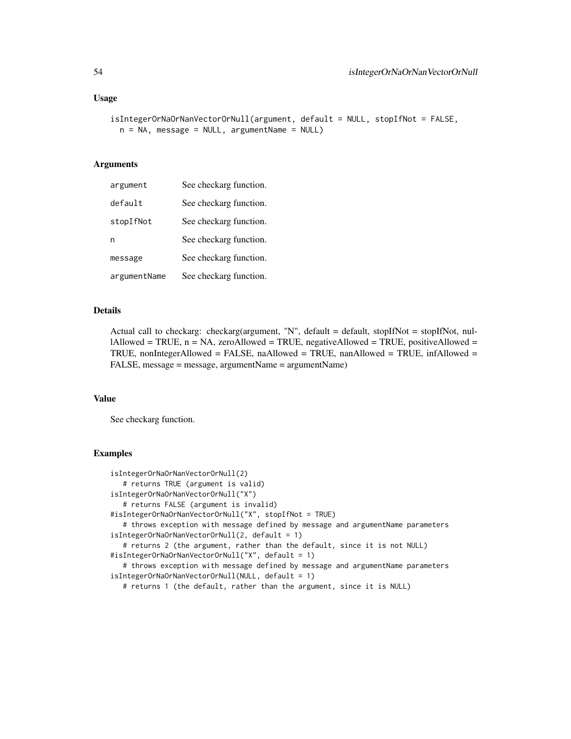#### Usage

```
isIntegerOrNaOrNanVectorOrNull(argument, default = NULL, stopIfNot = FALSE,
 n = NA, message = NULL, argumentName = NULL)
```
### Arguments

| argument     | See checkarg function. |
|--------------|------------------------|
| default      | See checkarg function. |
| stopIfNot    | See checkarg function. |
| n            | See checkarg function. |
| message      | See checkarg function. |
| argumentName | See checkarg function. |

### Details

Actual call to checkarg: checkarg(argument, "N", default = default, stopIfNot = stopIfNot, nullAllowed = TRUE,  $n = NA$ , zeroAllowed = TRUE, negativeAllowed = TRUE, positiveAllowed = TRUE, nonIntegerAllowed = FALSE, naAllowed = TRUE, nanAllowed = TRUE, infAllowed = FALSE, message = message, argumentName = argumentName)

#### Value

See checkarg function.

#### Examples

```
isIntegerOrNaOrNanVectorOrNull(2)
  # returns TRUE (argument is valid)
isIntegerOrNaOrNanVectorOrNull("X")
  # returns FALSE (argument is invalid)
#isIntegerOrNaOrNanVectorOrNull("X", stopIfNot = TRUE)
   # throws exception with message defined by message and argumentName parameters
isIntegerOrNaOrNanVectorOrNull(2, default = 1)
   # returns 2 (the argument, rather than the default, since it is not NULL)
#isIntegerOrNaOrNanVectorOrNull("X", default = 1)
   # throws exception with message defined by message and argumentName parameters
isIntegerOrNaOrNanVectorOrNull(NULL, default = 1)
```
# returns 1 (the default, rather than the argument, since it is NULL)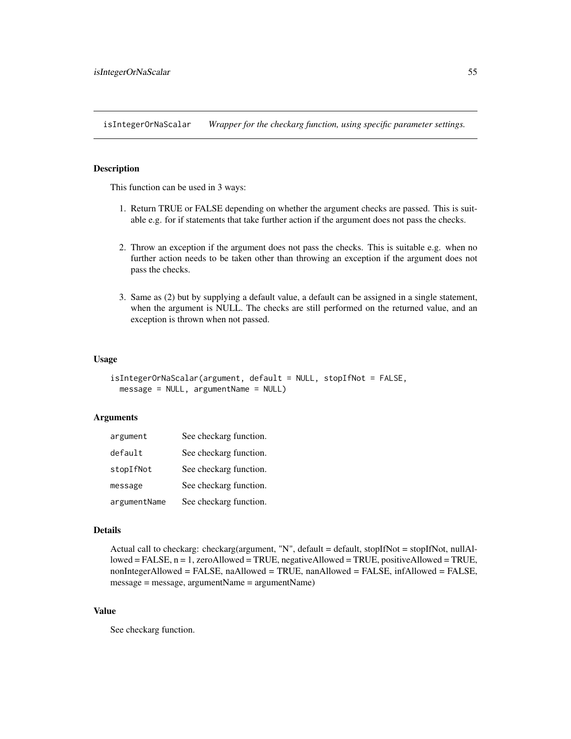isIntegerOrNaScalar *Wrapper for the checkarg function, using specific parameter settings.*

# **Description**

This function can be used in 3 ways:

- 1. Return TRUE or FALSE depending on whether the argument checks are passed. This is suitable e.g. for if statements that take further action if the argument does not pass the checks.
- 2. Throw an exception if the argument does not pass the checks. This is suitable e.g. when no further action needs to be taken other than throwing an exception if the argument does not pass the checks.
- 3. Same as (2) but by supplying a default value, a default can be assigned in a single statement, when the argument is NULL. The checks are still performed on the returned value, and an exception is thrown when not passed.

#### Usage

```
isIntegerOrNaScalar(argument, default = NULL, stopIfNot = FALSE,
  message = NULL, argumentName = NULL)
```
### Arguments

| argument     | See checkarg function. |
|--------------|------------------------|
| default      | See checkarg function. |
| stopIfNot    | See checkarg function. |
| message      | See checkarg function. |
| argumentName | See checkarg function. |

### Details

```
Actual call to checkarg: checkarg(argument, "N", default = default, stopIfNot = stopIfNot, nullAl-
lowed = FALSE, n = 1, zeroAllowed = TRUE, negativeAllowed = TRUE, positiveAllowed = TRUE,
nonIntegerAllowed = FALSE, naAllowed = TRUE, nanAllowed = FALSE, infAllowed = FALSE,
message = message, argumentName = argumentName)
```
### Value

See checkarg function.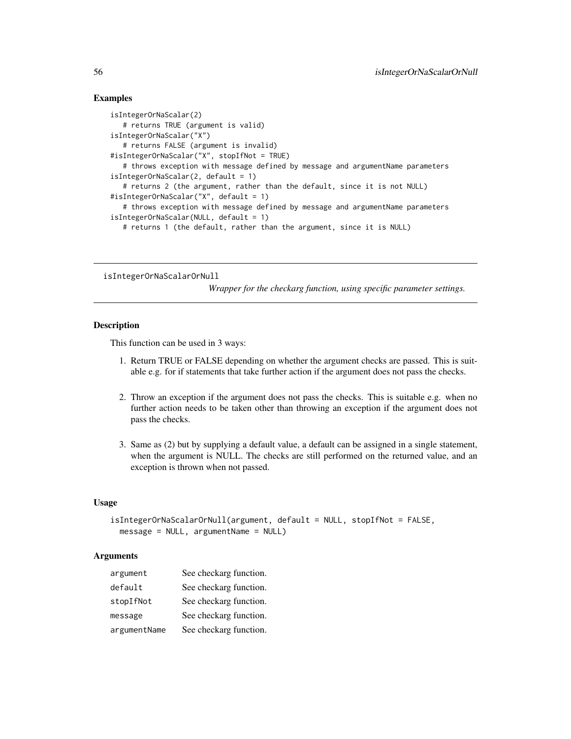# Examples

```
isIntegerOrNaScalar(2)
   # returns TRUE (argument is valid)
isIntegerOrNaScalar("X")
   # returns FALSE (argument is invalid)
#isIntegerOrNaScalar("X", stopIfNot = TRUE)
   # throws exception with message defined by message and argumentName parameters
isIntegerOrNaScalar(2, default = 1)
   # returns 2 (the argument, rather than the default, since it is not NULL)
#isIntegerOrNaScalar("X", default = 1)
   # throws exception with message defined by message and argumentName parameters
isIntegerOrNaScalar(NULL, default = 1)
  # returns 1 (the default, rather than the argument, since it is NULL)
```
isIntegerOrNaScalarOrNull

*Wrapper for the checkarg function, using specific parameter settings.*

### **Description**

This function can be used in 3 ways:

- 1. Return TRUE or FALSE depending on whether the argument checks are passed. This is suitable e.g. for if statements that take further action if the argument does not pass the checks.
- 2. Throw an exception if the argument does not pass the checks. This is suitable e.g. when no further action needs to be taken other than throwing an exception if the argument does not pass the checks.
- 3. Same as (2) but by supplying a default value, a default can be assigned in a single statement, when the argument is NULL. The checks are still performed on the returned value, and an exception is thrown when not passed.

### Usage

```
isIntegerOrNaScalarOrNull(argument, default = NULL, stopIfNot = FALSE,
 message = NULL, argumentName = NULL)
```
#### **Arguments**

| argument     | See checkarg function. |
|--------------|------------------------|
| default      | See checkarg function. |
| stopIfNot    | See checkarg function. |
| message      | See checkarg function. |
| argumentName | See checkarg function. |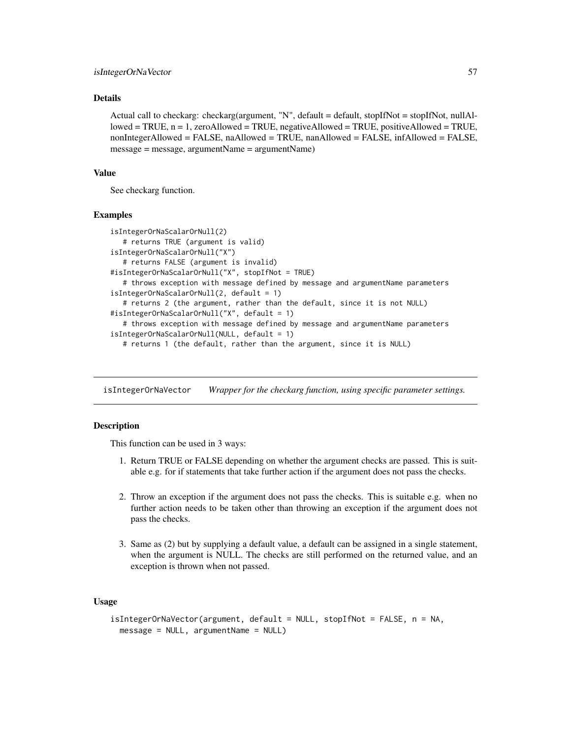# Details

Actual call to checkarg: checkarg(argument, "N", default = default, stopIfNot = stopIfNot, nullAllowed = TRUE,  $n = 1$ , zeroAllowed = TRUE, negativeAllowed = TRUE, positiveAllowed = TRUE, nonIntegerAllowed = FALSE, naAllowed = TRUE, nanAllowed = FALSE, infAllowed = FALSE, message = message, argumentName = argumentName)

### Value

See checkarg function.

### Examples

```
isIntegerOrNaScalarOrNull(2)
   # returns TRUE (argument is valid)
isIntegerOrNaScalarOrNull("X")
   # returns FALSE (argument is invalid)
#isIntegerOrNaScalarOrNull("X", stopIfNot = TRUE)
   # throws exception with message defined by message and argumentName parameters
isIntegerOrNaScalarOrNull(2, default = 1)
   # returns 2 (the argument, rather than the default, since it is not NULL)
#isIntegerOrNaScalarOrNull("X", default = 1)
   # throws exception with message defined by message and argumentName parameters
isIntegerOrNaScalarOrNull(NULL, default = 1)
   # returns 1 (the default, rather than the argument, since it is NULL)
```
isIntegerOrNaVector *Wrapper for the checkarg function, using specific parameter settings.*

# Description

This function can be used in 3 ways:

- 1. Return TRUE or FALSE depending on whether the argument checks are passed. This is suitable e.g. for if statements that take further action if the argument does not pass the checks.
- 2. Throw an exception if the argument does not pass the checks. This is suitable e.g. when no further action needs to be taken other than throwing an exception if the argument does not pass the checks.
- 3. Same as (2) but by supplying a default value, a default can be assigned in a single statement, when the argument is NULL. The checks are still performed on the returned value, and an exception is thrown when not passed.

## Usage

```
isIntegerOrNaVector(argument, default = NULL, stopIfNot = FALSE, n = NA,
 message = NULL, argumentName = NULL)
```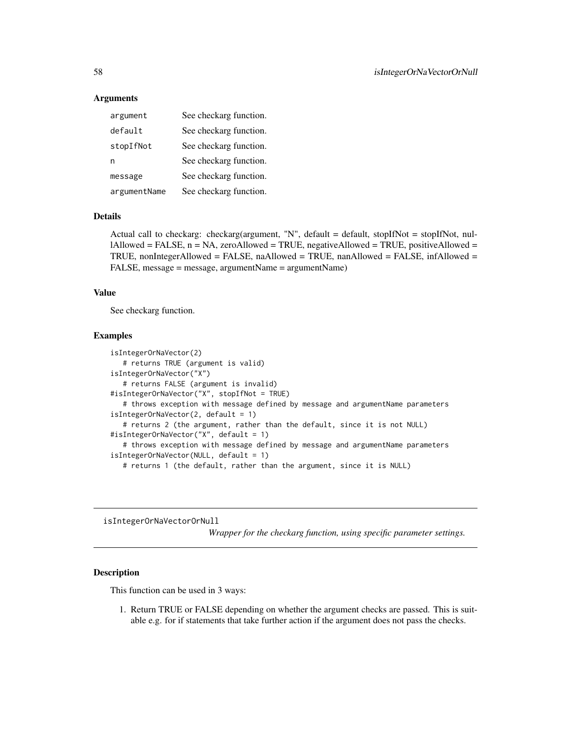### **Arguments**

| argument     | See checkarg function. |
|--------------|------------------------|
| default      | See checkarg function. |
| stopIfNot    | See checkarg function. |
| n            | See checkarg function. |
| message      | See checkarg function. |
| argumentName | See checkarg function. |

### Details

Actual call to checkarg: checkarg(argument, "N", default = default, stopIfNot = stopIfNot, nullAllowed = FALSE,  $n = NA$ , zeroAllowed = TRUE, negativeAllowed = TRUE, positiveAllowed = TRUE, nonIntegerAllowed = FALSE, naAllowed = TRUE, nanAllowed = FALSE, infAllowed = FALSE, message = message, argumentName = argumentName)

#### Value

See checkarg function.

#### Examples

```
isIntegerOrNaVector(2)
   # returns TRUE (argument is valid)
isIntegerOrNaVector("X")
  # returns FALSE (argument is invalid)
#isIntegerOrNaVector("X", stopIfNot = TRUE)
   # throws exception with message defined by message and argumentName parameters
isIntegerOrNaVector(2, default = 1)
   # returns 2 (the argument, rather than the default, since it is not NULL)
#isIntegerOrNaVector("X", default = 1)
   # throws exception with message defined by message and argumentName parameters
isIntegerOrNaVector(NULL, default = 1)
  # returns 1 (the default, rather than the argument, since it is NULL)
```
isIntegerOrNaVectorOrNull

*Wrapper for the checkarg function, using specific parameter settings.*

# Description

This function can be used in 3 ways:

1. Return TRUE or FALSE depending on whether the argument checks are passed. This is suitable e.g. for if statements that take further action if the argument does not pass the checks.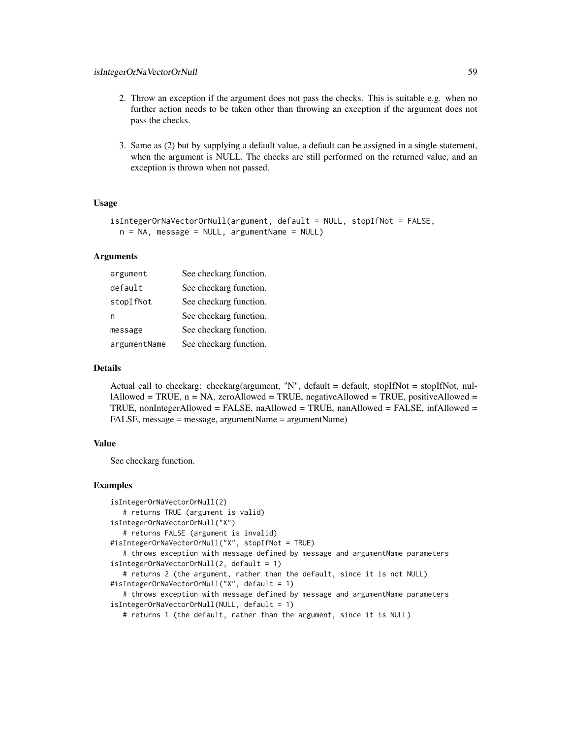- 2. Throw an exception if the argument does not pass the checks. This is suitable e.g. when no further action needs to be taken other than throwing an exception if the argument does not pass the checks.
- 3. Same as (2) but by supplying a default value, a default can be assigned in a single statement, when the argument is NULL. The checks are still performed on the returned value, and an exception is thrown when not passed.

## Usage

```
isIntegerOrNaVectorOrNull(argument, default = NULL, stopIfNot = FALSE,
 n = NA, message = NULL, argumentName = NULL)
```
### Arguments

| argument     | See checkarg function. |
|--------------|------------------------|
| default      | See checkarg function. |
| stopIfNot    | See checkarg function. |
| n            | See checkarg function. |
| message      | See checkarg function. |
| argumentName | See checkarg function. |

#### Details

Actual call to checkarg: checkarg(argument, "N", default = default, stopIfNot = stopIfNot, nullAllowed = TRUE,  $n = NA$ , zeroAllowed = TRUE, negativeAllowed = TRUE, positiveAllowed = TRUE, nonIntegerAllowed = FALSE, naAllowed = TRUE, nanAllowed = FALSE, infAllowed = FALSE, message = message, argumentName = argumentName)

#### Value

See checkarg function.

#### Examples

```
isIntegerOrNaVectorOrNull(2)
   # returns TRUE (argument is valid)
isIntegerOrNaVectorOrNull("X")
   # returns FALSE (argument is invalid)
#isIntegerOrNaVectorOrNull("X", stopIfNot = TRUE)
   # throws exception with message defined by message and argumentName parameters
isIntegerOrNaVectorOrNull(2, default = 1)
   # returns 2 (the argument, rather than the default, since it is not NULL)
#isIntegerOrNaVectorOrNull("X", default = 1)
   # throws exception with message defined by message and argumentName parameters
isIntegerOrNaVectorOrNull(NULL, default = 1)
   # returns 1 (the default, rather than the argument, since it is NULL)
```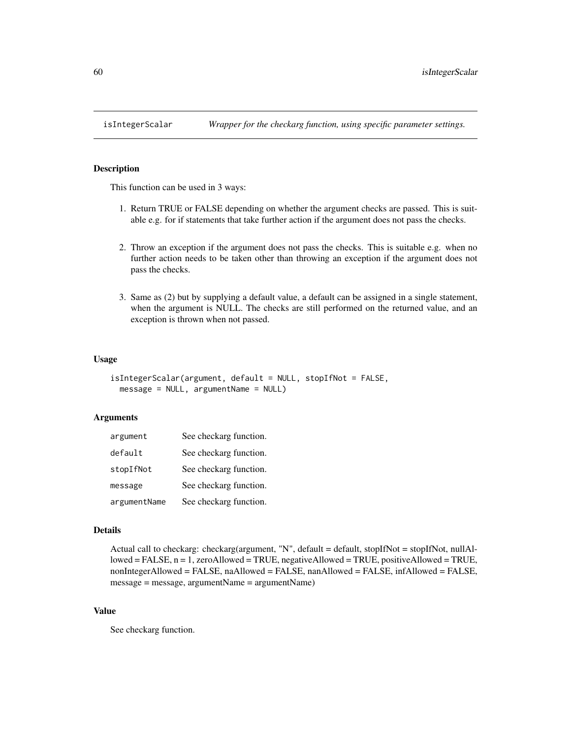# **Description**

This function can be used in 3 ways:

- 1. Return TRUE or FALSE depending on whether the argument checks are passed. This is suitable e.g. for if statements that take further action if the argument does not pass the checks.
- 2. Throw an exception if the argument does not pass the checks. This is suitable e.g. when no further action needs to be taken other than throwing an exception if the argument does not pass the checks.
- 3. Same as (2) but by supplying a default value, a default can be assigned in a single statement, when the argument is NULL. The checks are still performed on the returned value, and an exception is thrown when not passed.

#### Usage

```
isIntegerScalar(argument, default = NULL, stopIfNot = FALSE,
  message = NULL, argumentName = NULL)
```
### Arguments

| argument     | See checkarg function. |
|--------------|------------------------|
| default      | See checkarg function. |
| stopIfNot    | See checkarg function. |
| message      | See checkarg function. |
| argumentName | See checkarg function. |

### Details

Actual call to checkarg: checkarg(argument, "N", default = default, stopIfNot = stopIfNot, nullAllowed = FALSE, n = 1, zeroAllowed = TRUE, negativeAllowed = TRUE, positiveAllowed = TRUE, nonIntegerAllowed = FALSE, naAllowed = FALSE, nanAllowed = FALSE, infAllowed = FALSE, message = message, argumentName = argumentName)

### Value

See checkarg function.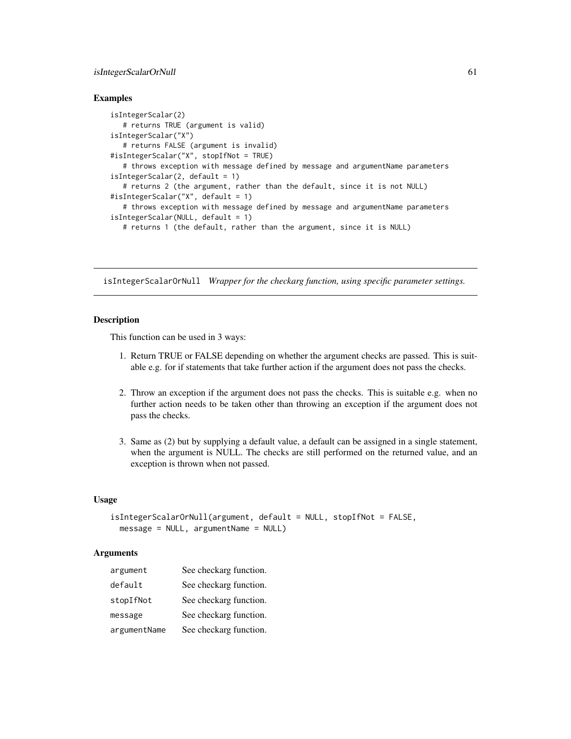# isIntegerScalarOrNull 61

### Examples

```
isIntegerScalar(2)
   # returns TRUE (argument is valid)
isIntegerScalar("X")
   # returns FALSE (argument is invalid)
#isIntegerScalar("X", stopIfNot = TRUE)
   # throws exception with message defined by message and argumentName parameters
isIntegerScalar(2, default = 1)
   # returns 2 (the argument, rather than the default, since it is not NULL)
#isIntegerScalar("X", default = 1)
   # throws exception with message defined by message and argumentName parameters
isIntegerScalar(NULL, default = 1)
  # returns 1 (the default, rather than the argument, since it is NULL)
```
isIntegerScalarOrNull *Wrapper for the checkarg function, using specific parameter settings.*

#### **Description**

This function can be used in 3 ways:

- 1. Return TRUE or FALSE depending on whether the argument checks are passed. This is suitable e.g. for if statements that take further action if the argument does not pass the checks.
- 2. Throw an exception if the argument does not pass the checks. This is suitable e.g. when no further action needs to be taken other than throwing an exception if the argument does not pass the checks.
- 3. Same as (2) but by supplying a default value, a default can be assigned in a single statement, when the argument is NULL. The checks are still performed on the returned value, and an exception is thrown when not passed.

### Usage

```
isIntegerScalarOrNull(argument, default = NULL, stopIfNot = FALSE,
  message = NULL, argumentName = NULL)
```
### **Arguments**

| argument     | See checkarg function. |
|--------------|------------------------|
| default      | See checkarg function. |
| stopIfNot    | See checkarg function. |
| message      | See checkarg function. |
| argumentName | See checkarg function. |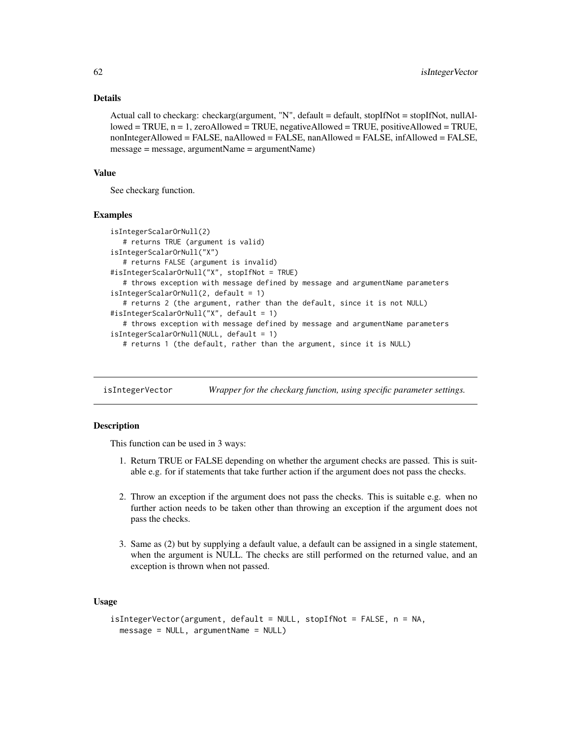# Details

Actual call to checkarg: checkarg(argument, "N", default = default, stopIfNot = stopIfNot, nullAl $loved = TRUE, n = 1, zero$ Allowed = TRUE, negativeAllowed = TRUE, positiveAllowed = TRUE, nonIntegerAllowed = FALSE, naAllowed = FALSE, nanAllowed = FALSE, infAllowed = FALSE, message = message, argumentName = argumentName)

### Value

See checkarg function.

### Examples

```
isIntegerScalarOrNull(2)
   # returns TRUE (argument is valid)
isIntegerScalarOrNull("X")
   # returns FALSE (argument is invalid)
#isIntegerScalarOrNull("X", stopIfNot = TRUE)
   # throws exception with message defined by message and argumentName parameters
isIntegerScalarOrNull(2, default = 1)
   # returns 2 (the argument, rather than the default, since it is not NULL)
#isIntegerScalarOrNull("X", default = 1)
   # throws exception with message defined by message and argumentName parameters
isIntegerScalarOrNull(NULL, default = 1)
   # returns 1 (the default, rather than the argument, since it is NULL)
```
isIntegerVector *Wrapper for the checkarg function, using specific parameter settings.*

# Description

This function can be used in 3 ways:

- 1. Return TRUE or FALSE depending on whether the argument checks are passed. This is suitable e.g. for if statements that take further action if the argument does not pass the checks.
- 2. Throw an exception if the argument does not pass the checks. This is suitable e.g. when no further action needs to be taken other than throwing an exception if the argument does not pass the checks.
- 3. Same as (2) but by supplying a default value, a default can be assigned in a single statement, when the argument is NULL. The checks are still performed on the returned value, and an exception is thrown when not passed.

## Usage

```
isIntegerVector(argument, default = NULL, stopIfNot = FALSE, n = NA,
 message = NULL, argumentName = NULL)
```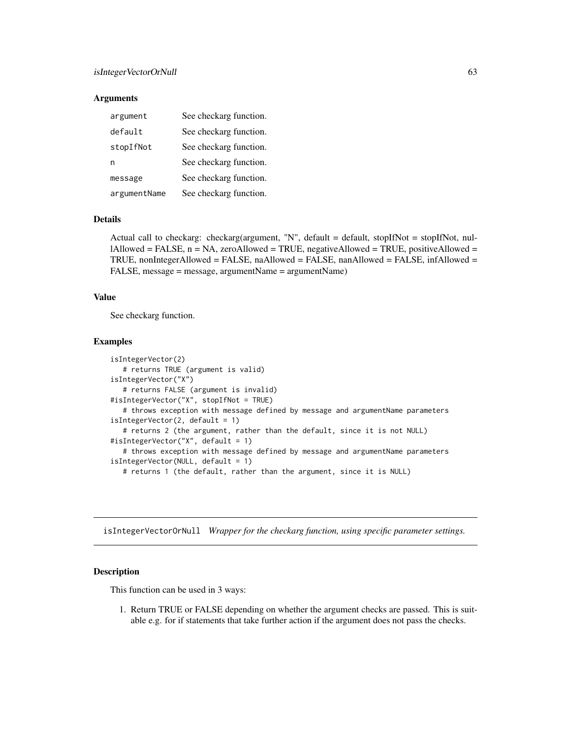### **Arguments**

| argument     | See checkarg function. |
|--------------|------------------------|
| default      | See checkarg function. |
| stopIfNot    | See checkarg function. |
| n            | See checkarg function. |
| message      | See checkarg function. |
| argumentName | See checkarg function. |

# Details

Actual call to checkarg: checkarg(argument, "N", default = default, stopIfNot = stopIfNot, nullAllowed = FALSE,  $n = NA$ , zeroAllowed = TRUE, negativeAllowed = TRUE, positiveAllowed = TRUE, nonIntegerAllowed = FALSE, naAllowed = FALSE, nanAllowed = FALSE, infAllowed = FALSE, message = message, argumentName = argumentName)

## Value

See checkarg function.

#### Examples

```
isIntegerVector(2)
   # returns TRUE (argument is valid)
isIntegerVector("X")
   # returns FALSE (argument is invalid)
#isIntegerVector("X", stopIfNot = TRUE)
   # throws exception with message defined by message and argumentName parameters
isIntegerVector(2, default = 1)
   # returns 2 (the argument, rather than the default, since it is not NULL)
#isIntegerVector("X", default = 1)
   # throws exception with message defined by message and argumentName parameters
isIntegerVector(NULL, default = 1)
  # returns 1 (the default, rather than the argument, since it is NULL)
```
isIntegerVectorOrNull *Wrapper for the checkarg function, using specific parameter settings.*

#### **Description**

This function can be used in 3 ways:

1. Return TRUE or FALSE depending on whether the argument checks are passed. This is suitable e.g. for if statements that take further action if the argument does not pass the checks.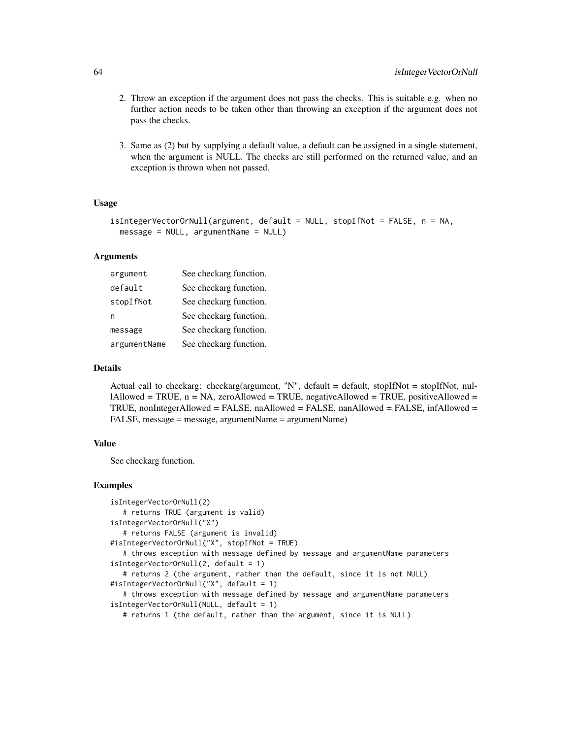- 2. Throw an exception if the argument does not pass the checks. This is suitable e.g. when no further action needs to be taken other than throwing an exception if the argument does not pass the checks.
- 3. Same as (2) but by supplying a default value, a default can be assigned in a single statement, when the argument is NULL. The checks are still performed on the returned value, and an exception is thrown when not passed.

# Usage

```
isIntegerVectorOrNull(argument, default = NULL, stopIfNot = FALSE, n = NA,
 message = NULL, argumentName = NULL)
```
# Arguments

| argument     | See checkarg function. |
|--------------|------------------------|
| default      | See checkarg function. |
| stopIfNot    | See checkarg function. |
| n            | See checkarg function. |
| message      | See checkarg function. |
| argumentName | See checkarg function. |

#### Details

Actual call to checkarg: checkarg(argument, "N", default = default, stopIfNot = stopIfNot, nullAllowed = TRUE,  $n = NA$ , zeroAllowed = TRUE, negativeAllowed = TRUE, positiveAllowed = TRUE, nonIntegerAllowed = FALSE, naAllowed = FALSE, nanAllowed = FALSE, infAllowed = FALSE, message = message, argumentName = argumentName)

### Value

See checkarg function.

#### Examples

```
isIntegerVectorOrNull(2)
   # returns TRUE (argument is valid)
isIntegerVectorOrNull("X")
   # returns FALSE (argument is invalid)
#isIntegerVectorOrNull("X", stopIfNot = TRUE)
   # throws exception with message defined by message and argumentName parameters
isIntegerVectorOrNull(2, default = 1)
   # returns 2 (the argument, rather than the default, since it is not NULL)
#isIntegerVectorOrNull("X", default = 1)
   # throws exception with message defined by message and argumentName parameters
isIntegerVectorOrNull(NULL, default = 1)
   # returns 1 (the default, rather than the argument, since it is NULL)
```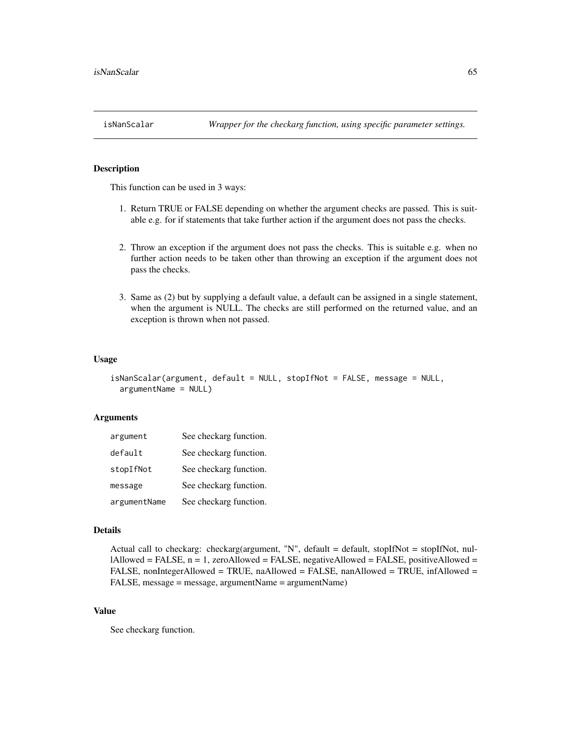# Description

This function can be used in 3 ways:

- 1. Return TRUE or FALSE depending on whether the argument checks are passed. This is suitable e.g. for if statements that take further action if the argument does not pass the checks.
- 2. Throw an exception if the argument does not pass the checks. This is suitable e.g. when no further action needs to be taken other than throwing an exception if the argument does not pass the checks.
- 3. Same as (2) but by supplying a default value, a default can be assigned in a single statement, when the argument is NULL. The checks are still performed on the returned value, and an exception is thrown when not passed.

#### Usage

```
isNanScalar(argument, default = NULL, stopIfNot = FALSE, message = NULL,
  argumentName = NULL)
```
### Arguments

| argument     | See checkarg function. |
|--------------|------------------------|
| default      | See checkarg function. |
| stopIfNot    | See checkarg function. |
| message      | See checkarg function. |
| argumentName | See checkarg function. |

### Details

Actual call to checkarg: checkarg(argument, "N", default = default, stopIfNot = stopIfNot, nul $l$ Allowed = FALSE,  $n = 1$ , zeroAllowed = FALSE, negativeAllowed = FALSE, positiveAllowed = FALSE, nonIntegerAllowed = TRUE, naAllowed = FALSE, nanAllowed = TRUE, infAllowed = FALSE, message = message, argumentName = argumentName)

### Value

See checkarg function.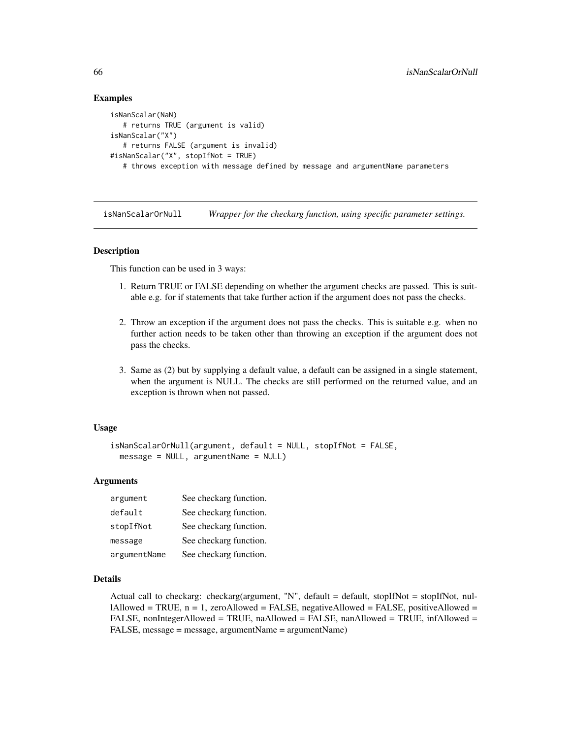# Examples

```
isNanScalar(NaN)
   # returns TRUE (argument is valid)
isNanScalar("X")
  # returns FALSE (argument is invalid)
#isNanScalar("X", stopIfNot = TRUE)
   # throws exception with message defined by message and argumentName parameters
```
isNanScalarOrNull *Wrapper for the checkarg function, using specific parameter settings.*

### **Description**

This function can be used in 3 ways:

- 1. Return TRUE or FALSE depending on whether the argument checks are passed. This is suitable e.g. for if statements that take further action if the argument does not pass the checks.
- 2. Throw an exception if the argument does not pass the checks. This is suitable e.g. when no further action needs to be taken other than throwing an exception if the argument does not pass the checks.
- 3. Same as (2) but by supplying a default value, a default can be assigned in a single statement, when the argument is NULL. The checks are still performed on the returned value, and an exception is thrown when not passed.

#### Usage

```
isNanScalarOrNull(argument, default = NULL, stopIfNot = FALSE,
 message = NULL, argumentName = NULL)
```
### Arguments

| argument     | See checkarg function. |
|--------------|------------------------|
| default      | See checkarg function. |
| stopIfNot    | See checkarg function. |
| message      | See checkarg function. |
| argumentName | See checkarg function. |

#### Details

Actual call to checkarg: checkarg(argument, "N", default = default, stopIfNot = stopIfNot, nullAllowed = TRUE,  $n = 1$ , zeroAllowed = FALSE, negativeAllowed = FALSE, positiveAllowed = FALSE, nonIntegerAllowed = TRUE, naAllowed = FALSE, nanAllowed = TRUE, infAllowed = FALSE, message = message, argumentName = argumentName)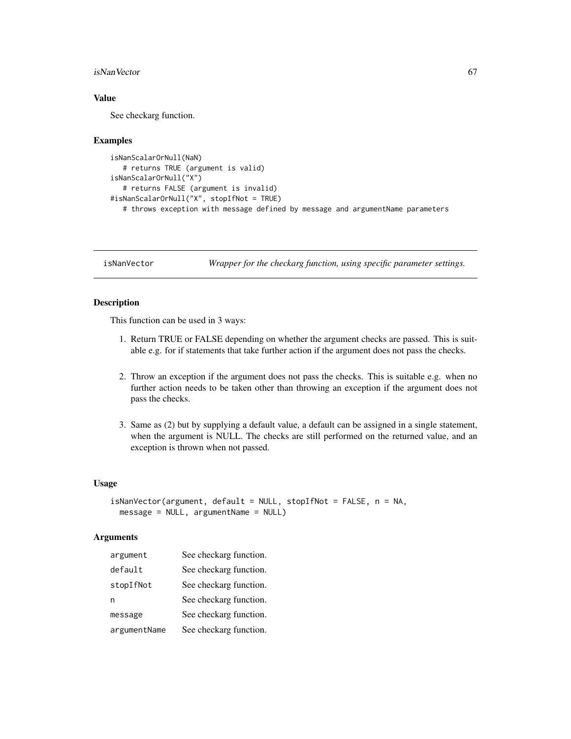#### isNanVector 67

### Value

See checkarg function.

#### Examples

```
isNanScalarOrNull(NaN)
   # returns TRUE (argument is valid)
isNanScalarOrNull("X")
  # returns FALSE (argument is invalid)
#isNanScalarOrNull("X", stopIfNot = TRUE)
  # throws exception with message defined by message and argumentName parameters
```
isNanVector *Wrapper for the checkarg function, using specific parameter settings.*

# Description

This function can be used in 3 ways:

- 1. Return TRUE or FALSE depending on whether the argument checks are passed. This is suitable e.g. for if statements that take further action if the argument does not pass the checks.
- 2. Throw an exception if the argument does not pass the checks. This is suitable e.g. when no further action needs to be taken other than throwing an exception if the argument does not pass the checks.
- 3. Same as (2) but by supplying a default value, a default can be assigned in a single statement, when the argument is NULL. The checks are still performed on the returned value, and an exception is thrown when not passed.

# Usage

```
isNanVector(argument, default = NULL, stopIfNot = FALSE, n = NA,
 message = NULL, argumentName = NULL)
```
#### Arguments

| argument     | See checkarg function. |
|--------------|------------------------|
| default      | See checkarg function. |
| stopIfNot    | See checkarg function. |
| n            | See checkarg function. |
| message      | See checkarg function. |
| argumentName | See checkarg function. |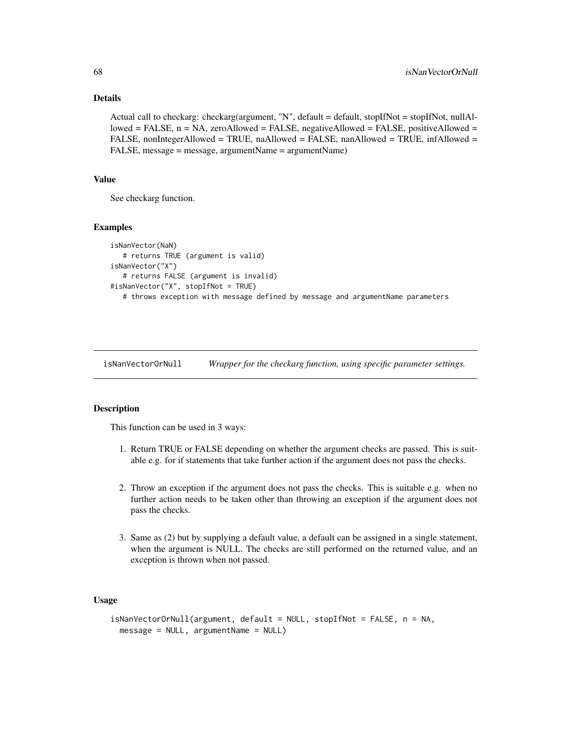# Details

Actual call to checkarg: checkarg(argument, "N", default = default, stopIfNot = stopIfNot, nullAllowed = FALSE,  $n = NA$ , zeroAllowed = FALSE, negativeAllowed = FALSE, positiveAllowed = FALSE, nonIntegerAllowed = TRUE, naAllowed = FALSE, nanAllowed = TRUE, infAllowed = FALSE, message = message, argumentName = argumentName)

## Value

See checkarg function.

### Examples

```
isNanVector(NaN)
   # returns TRUE (argument is valid)
isNanVector("X")
   # returns FALSE (argument is invalid)
#isNanVector("X", stopIfNot = TRUE)
  # throws exception with message defined by message and argumentName parameters
```
isNanVectorOrNull *Wrapper for the checkarg function, using specific parameter settings.*

#### **Description**

This function can be used in 3 ways:

- 1. Return TRUE or FALSE depending on whether the argument checks are passed. This is suitable e.g. for if statements that take further action if the argument does not pass the checks.
- 2. Throw an exception if the argument does not pass the checks. This is suitable e.g. when no further action needs to be taken other than throwing an exception if the argument does not pass the checks.
- 3. Same as (2) but by supplying a default value, a default can be assigned in a single statement, when the argument is NULL. The checks are still performed on the returned value, and an exception is thrown when not passed.

### Usage

```
isNanVectorOrNull(argument, default = NULL, stopIfNot = FALSE, n = NA,
 message = NULL, argumentName = NULL)
```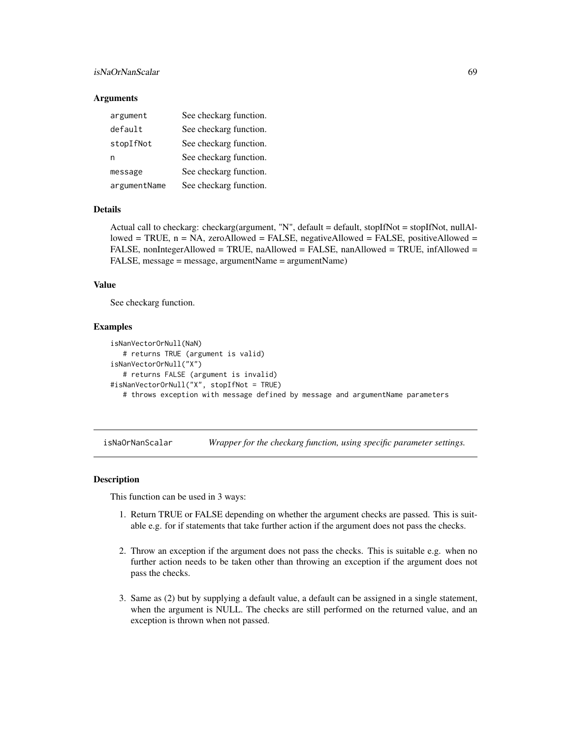# isNaOrNanScalar 69

### **Arguments**

| argument     | See checkarg function. |
|--------------|------------------------|
| default      | See checkarg function. |
| stopIfNot    | See checkarg function. |
| n            | See checkarg function. |
| message      | See checkarg function. |
| argumentName | See checkarg function. |

# Details

Actual call to checkarg: checkarg(argument, "N", default = default, stopIfNot = stopIfNot, nullAllowed = TRUE,  $n = NA$ , zeroAllowed = FALSE, negativeAllowed = FALSE, positiveAllowed = FALSE, nonIntegerAllowed = TRUE, naAllowed = FALSE, nanAllowed = TRUE, infAllowed = FALSE, message = message, argumentName = argumentName)

#### Value

See checkarg function.

### Examples

```
isNanVectorOrNull(NaN)
   # returns TRUE (argument is valid)
isNanVectorOrNull("X")
   # returns FALSE (argument is invalid)
#isNanVectorOrNull("X", stopIfNot = TRUE)
   # throws exception with message defined by message and argumentName parameters
```
isNaOrNanScalar *Wrapper for the checkarg function, using specific parameter settings.*

# Description

This function can be used in 3 ways:

- 1. Return TRUE or FALSE depending on whether the argument checks are passed. This is suitable e.g. for if statements that take further action if the argument does not pass the checks.
- 2. Throw an exception if the argument does not pass the checks. This is suitable e.g. when no further action needs to be taken other than throwing an exception if the argument does not pass the checks.
- 3. Same as (2) but by supplying a default value, a default can be assigned in a single statement, when the argument is NULL. The checks are still performed on the returned value, and an exception is thrown when not passed.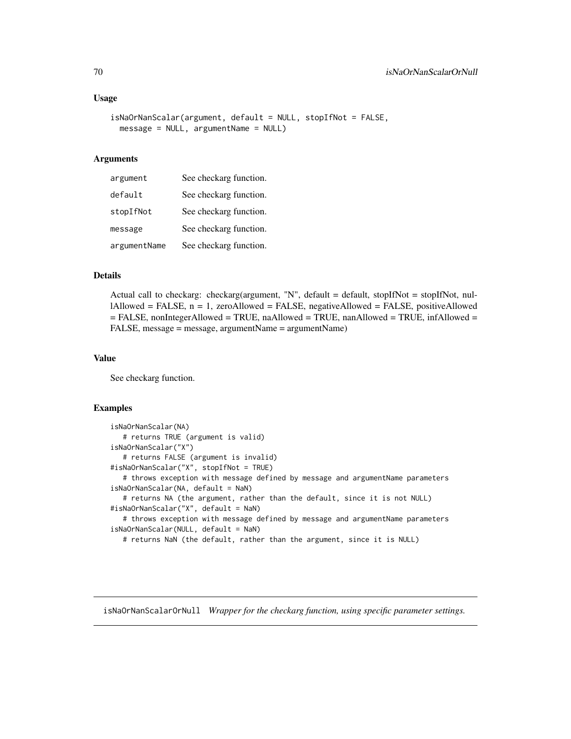#### Usage

```
isNaOrNanScalar(argument, default = NULL, stopIfNot = FALSE,
 message = NULL, argumentName = NULL)
```
# Arguments

| argument     | See checkarg function. |
|--------------|------------------------|
| default      | See checkarg function. |
| stopIfNot    | See checkarg function. |
| message      | See checkarg function. |
| argumentName | See checkarg function. |

### Details

Actual call to checkarg: checkarg(argument, "N", default = default, stopIfNot = stopIfNot, nullAllowed = FALSE, n = 1, zeroAllowed = FALSE, negativeAllowed = FALSE, positiveAllowed = FALSE, nonIntegerAllowed = TRUE, naAllowed = TRUE, nanAllowed = TRUE, infAllowed = FALSE, message = message, argumentName = argumentName)

# Value

See checkarg function.

### Examples

```
isNaOrNanScalar(NA)
   # returns TRUE (argument is valid)
isNaOrNanScalar("X")
   # returns FALSE (argument is invalid)
#isNaOrNanScalar("X", stopIfNot = TRUE)
   # throws exception with message defined by message and argumentName parameters
isNaOrNanScalar(NA, default = NaN)
   # returns NA (the argument, rather than the default, since it is not NULL)
#isNaOrNanScalar("X", default = NaN)
   # throws exception with message defined by message and argumentName parameters
isNaOrNanScalar(NULL, default = NaN)
   # returns NaN (the default, rather than the argument, since it is NULL)
```
isNaOrNanScalarOrNull *Wrapper for the checkarg function, using specific parameter settings.*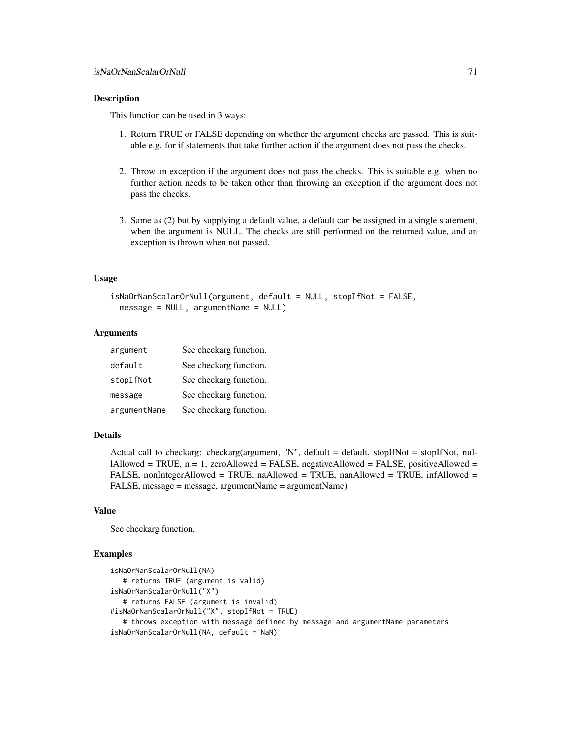### Description

This function can be used in 3 ways:

- 1. Return TRUE or FALSE depending on whether the argument checks are passed. This is suitable e.g. for if statements that take further action if the argument does not pass the checks.
- 2. Throw an exception if the argument does not pass the checks. This is suitable e.g. when no further action needs to be taken other than throwing an exception if the argument does not pass the checks.
- 3. Same as (2) but by supplying a default value, a default can be assigned in a single statement, when the argument is NULL. The checks are still performed on the returned value, and an exception is thrown when not passed.

#### Usage

```
isNaOrNanScalarOrNull(argument, default = NULL, stopIfNot = FALSE,
 message = NULL, argumentName = NULL)
```
### Arguments

| argument     | See checkarg function. |
|--------------|------------------------|
| default      | See checkarg function. |
| stopIfNot    | See checkarg function. |
| message      | See checkarg function. |
| argumentName | See checkarg function. |

#### Details

Actual call to checkarg: checkarg(argument, "N", default = default, stopIfNot = stopIfNot, nullAllowed = TRUE,  $n = 1$ , zeroAllowed = FALSE, negativeAllowed = FALSE, positiveAllowed = FALSE, nonIntegerAllowed = TRUE, naAllowed = TRUE, nanAllowed = TRUE, infAllowed = FALSE, message = message, argumentName = argumentName)

### Value

See checkarg function.

# Examples

```
isNaOrNanScalarOrNull(NA)
   # returns TRUE (argument is valid)
isNaOrNanScalarOrNull("X")
   # returns FALSE (argument is invalid)
#isNaOrNanScalarOrNull("X", stopIfNot = TRUE)
   # throws exception with message defined by message and argumentName parameters
isNaOrNanScalarOrNull(NA, default = NaN)
```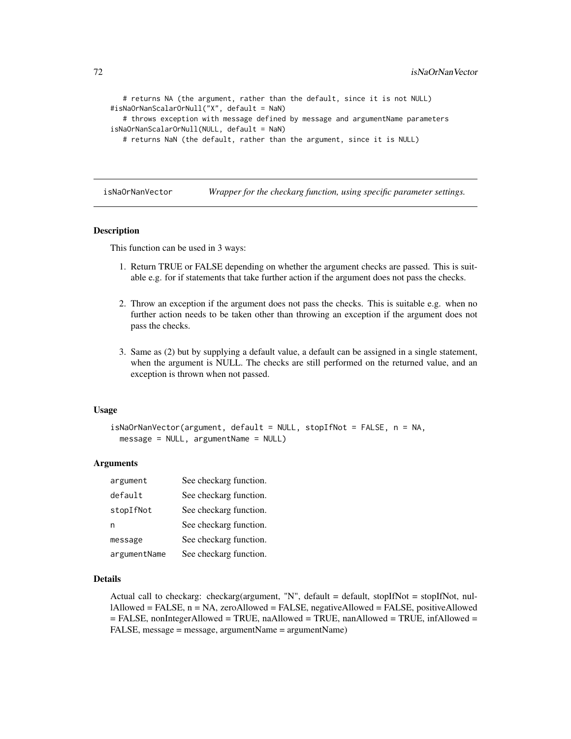```
# returns NA (the argument, rather than the default, since it is not NULL)
#isNaOrNanScalarOrNull("X", default = NaN)
   # throws exception with message defined by message and argumentName parameters
isNaOrNanScalarOrNull(NULL, default = NaN)
  # returns NaN (the default, rather than the argument, since it is NULL)
```
isNaOrNanVector *Wrapper for the checkarg function, using specific parameter settings.*

### **Description**

This function can be used in 3 ways:

- 1. Return TRUE or FALSE depending on whether the argument checks are passed. This is suitable e.g. for if statements that take further action if the argument does not pass the checks.
- 2. Throw an exception if the argument does not pass the checks. This is suitable e.g. when no further action needs to be taken other than throwing an exception if the argument does not pass the checks.
- 3. Same as (2) but by supplying a default value, a default can be assigned in a single statement, when the argument is NULL. The checks are still performed on the returned value, and an exception is thrown when not passed.

#### Usage

```
isNaOrNanVector(argument, default = NULL, stopIfNot = FALSE, n = NA,
 message = NULL, argumentName = NULL)
```
#### Arguments

| argument     | See checkarg function. |
|--------------|------------------------|
| default      | See checkarg function. |
| stopIfNot    | See checkarg function. |
| n            | See checkarg function. |
| message      | See checkarg function. |
| argumentName | See checkarg function. |

#### Details

Actual call to checkarg: checkarg(argument, "N", default = default, stopIfNot = stopIfNot, nul $l$ Allowed = FALSE,  $n$  = NA, zeroAllowed = FALSE, negativeAllowed = FALSE, positiveAllowed  $=$  FALSE, nonIntegerAllowed = TRUE, naAllowed = TRUE, nanAllowed = TRUE, infAllowed = FALSE, message = message, argumentName = argumentName)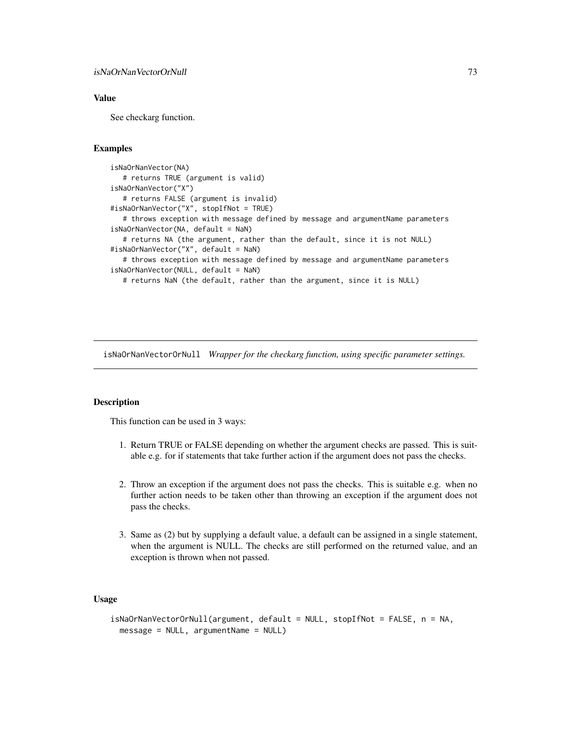# Value

See checkarg function.

# Examples

```
isNaOrNanVector(NA)
   # returns TRUE (argument is valid)
isNaOrNanVector("X")
  # returns FALSE (argument is invalid)
#isNaOrNanVector("X", stopIfNot = TRUE)
   # throws exception with message defined by message and argumentName parameters
isNaOrNanVector(NA, default = NaN)
   # returns NA (the argument, rather than the default, since it is not NULL)
#isNaOrNanVector("X", default = NaN)
   # throws exception with message defined by message and argumentName parameters
isNaOrNanVector(NULL, default = NaN)
  # returns NaN (the default, rather than the argument, since it is NULL)
```
isNaOrNanVectorOrNull *Wrapper for the checkarg function, using specific parameter settings.*

### **Description**

This function can be used in 3 ways:

- 1. Return TRUE or FALSE depending on whether the argument checks are passed. This is suitable e.g. for if statements that take further action if the argument does not pass the checks.
- 2. Throw an exception if the argument does not pass the checks. This is suitable e.g. when no further action needs to be taken other than throwing an exception if the argument does not pass the checks.
- 3. Same as (2) but by supplying a default value, a default can be assigned in a single statement, when the argument is NULL. The checks are still performed on the returned value, and an exception is thrown when not passed.

# Usage

```
isNaOrNanVectorOrNull(argument, default = NULL, stopIfNot = FALSE, n = NA,
 message = NULL, argumentName = NULL)
```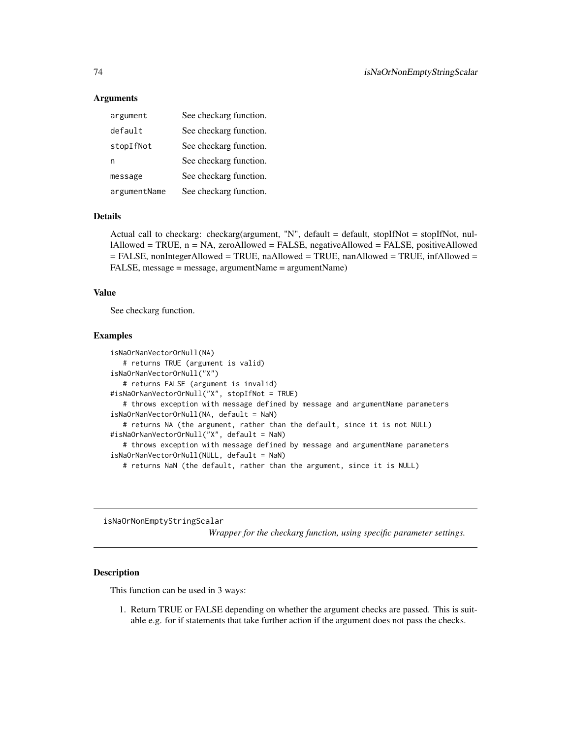## Arguments

| argument     | See checkarg function. |
|--------------|------------------------|
| default      | See checkarg function. |
| stopIfNot    | See checkarg function. |
| n            | See checkarg function. |
| message      | See checkarg function. |
| argumentName | See checkarg function. |

### Details

Actual call to checkarg: checkarg(argument, "N", default = default, stopIfNot = stopIfNot, nullAllowed = TRUE, n = NA, zeroAllowed = FALSE, negativeAllowed = FALSE, positiveAllowed = FALSE, nonIntegerAllowed = TRUE, naAllowed = TRUE, nanAllowed = TRUE, infAllowed = FALSE, message = message, argumentName = argumentName)

### Value

See checkarg function.

#### Examples

```
isNaOrNanVectorOrNull(NA)
   # returns TRUE (argument is valid)
isNaOrNanVectorOrNull("X")
   # returns FALSE (argument is invalid)
#isNaOrNanVectorOrNull("X", stopIfNot = TRUE)
   # throws exception with message defined by message and argumentName parameters
isNaOrNanVectorOrNull(NA, default = NaN)
   # returns NA (the argument, rather than the default, since it is not NULL)
#isNaOrNanVectorOrNull("X", default = NaN)
   # throws exception with message defined by message and argumentName parameters
isNaOrNanVectorOrNull(NULL, default = NaN)
  # returns NaN (the default, rather than the argument, since it is NULL)
```
isNaOrNonEmptyStringScalar

*Wrapper for the checkarg function, using specific parameter settings.*

# Description

This function can be used in 3 ways:

1. Return TRUE or FALSE depending on whether the argument checks are passed. This is suitable e.g. for if statements that take further action if the argument does not pass the checks.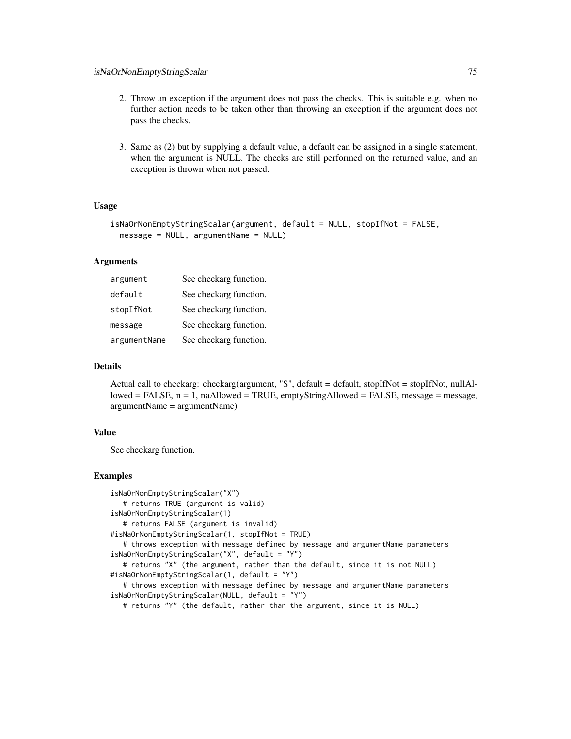- 2. Throw an exception if the argument does not pass the checks. This is suitable e.g. when no further action needs to be taken other than throwing an exception if the argument does not pass the checks.
- 3. Same as (2) but by supplying a default value, a default can be assigned in a single statement, when the argument is NULL. The checks are still performed on the returned value, and an exception is thrown when not passed.

# Usage

```
isNaOrNonEmptyStringScalar(argument, default = NULL, stopIfNot = FALSE,
 message = NULL, argumentName = NULL)
```
## Arguments

| argument     | See checkarg function. |
|--------------|------------------------|
| default      | See checkarg function. |
| stopIfNot    | See checkarg function. |
| message      | See checkarg function. |
| argumentName | See checkarg function. |

# Details

Actual call to checkarg: checkarg(argument, "S", default = default, stopIfNot = stopIfNot, nullAl $l$ owed = FALSE,  $n = 1$ , naAllowed = TRUE, emptyStringAllowed = FALSE, message = message, argumentName = argumentName)

# Value

See checkarg function.

```
isNaOrNonEmptyStringScalar("X")
   # returns TRUE (argument is valid)
isNaOrNonEmptyStringScalar(1)
  # returns FALSE (argument is invalid)
#isNaOrNonEmptyStringScalar(1, stopIfNot = TRUE)
   # throws exception with message defined by message and argumentName parameters
isNaOrNonEmptyStringScalar("X", default = "Y")
   # returns "X" (the argument, rather than the default, since it is not NULL)
#isNaOrNonEmptyStringScalar(1, default = "Y")
   # throws exception with message defined by message and argumentName parameters
isNaOrNonEmptyStringScalar(NULL, default = "Y")
   # returns "Y" (the default, rather than the argument, since it is NULL)
```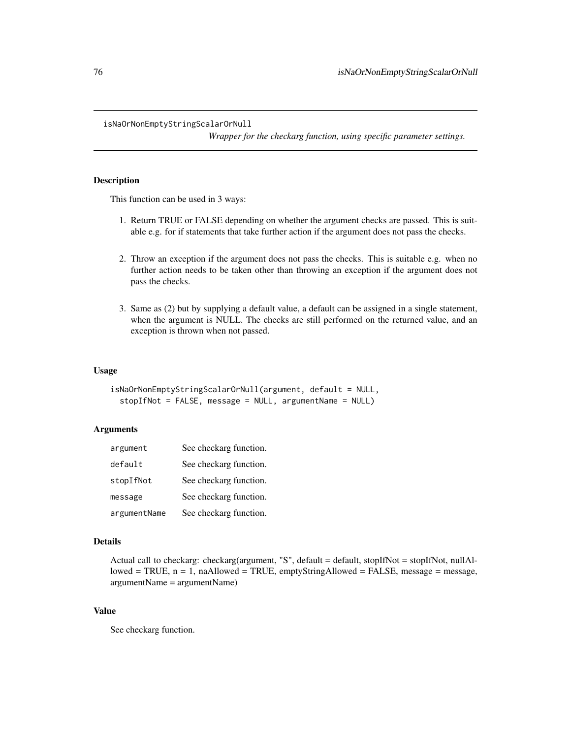isNaOrNonEmptyStringScalarOrNull

*Wrapper for the checkarg function, using specific parameter settings.*

# **Description**

This function can be used in 3 ways:

- 1. Return TRUE or FALSE depending on whether the argument checks are passed. This is suitable e.g. for if statements that take further action if the argument does not pass the checks.
- 2. Throw an exception if the argument does not pass the checks. This is suitable e.g. when no further action needs to be taken other than throwing an exception if the argument does not pass the checks.
- 3. Same as (2) but by supplying a default value, a default can be assigned in a single statement, when the argument is NULL. The checks are still performed on the returned value, and an exception is thrown when not passed.

#### Usage

```
isNaOrNonEmptyStringScalarOrNull(argument, default = NULL,
  stopIfNot = FALSE, message = NULL, argumentName = NULL)
```
#### Arguments

| argument     | See checkarg function. |
|--------------|------------------------|
| default      | See checkarg function. |
| stopIfNot    | See checkarg function. |
| message      | See checkarg function. |
| argumentName | See checkarg function. |

## Details

Actual call to checkarg: checkarg(argument, "S", default = default, stopIfNot = stopIfNot, nullAllowed = TRUE, n = 1, naAllowed = TRUE, emptyStringAllowed = FALSE, message = message, argumentName = argumentName)

# Value

See checkarg function.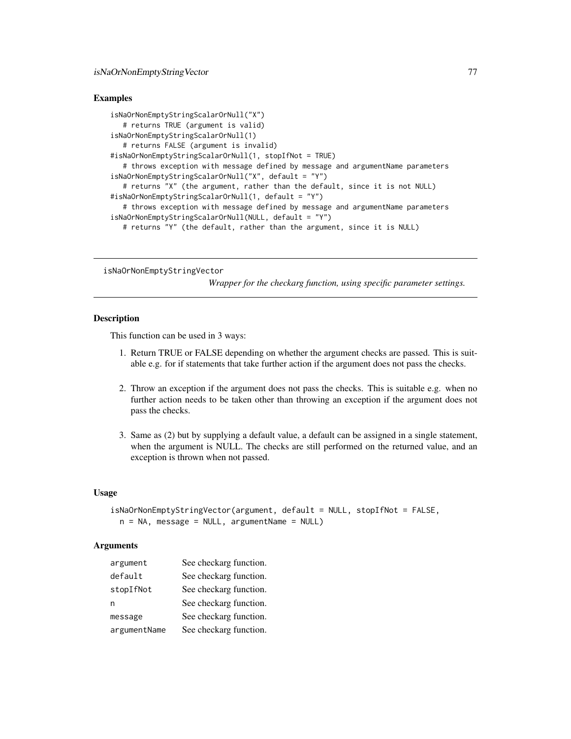## Examples

```
isNaOrNonEmptyStringScalarOrNull("X")
   # returns TRUE (argument is valid)
isNaOrNonEmptyStringScalarOrNull(1)
   # returns FALSE (argument is invalid)
#isNaOrNonEmptyStringScalarOrNull(1, stopIfNot = TRUE)
   # throws exception with message defined by message and argumentName parameters
isNaOrNonEmptyStringScalarOrNull("X", default = "Y")
   # returns "X" (the argument, rather than the default, since it is not NULL)
#isNaOrNonEmptyStringScalarOrNull(1, default = "Y")
   # throws exception with message defined by message and argumentName parameters
isNaOrNonEmptyStringScalarOrNull(NULL, default = "Y")
   # returns "Y" (the default, rather than the argument, since it is NULL)
```
isNaOrNonEmptyStringVector

*Wrapper for the checkarg function, using specific parameter settings.*

# **Description**

This function can be used in 3 ways:

- 1. Return TRUE or FALSE depending on whether the argument checks are passed. This is suitable e.g. for if statements that take further action if the argument does not pass the checks.
- 2. Throw an exception if the argument does not pass the checks. This is suitable e.g. when no further action needs to be taken other than throwing an exception if the argument does not pass the checks.
- 3. Same as (2) but by supplying a default value, a default can be assigned in a single statement, when the argument is NULL. The checks are still performed on the returned value, and an exception is thrown when not passed.

## Usage

```
isNaOrNonEmptyStringVector(argument, default = NULL, stopIfNot = FALSE,
 n = NA, message = NULL, argumentName = NULL)
```
# Arguments

| argument     | See checkarg function. |
|--------------|------------------------|
| default      | See checkarg function. |
| stopIfNot    | See checkarg function. |
| n            | See checkarg function. |
| message      | See checkarg function. |
| argumentName | See checkarg function. |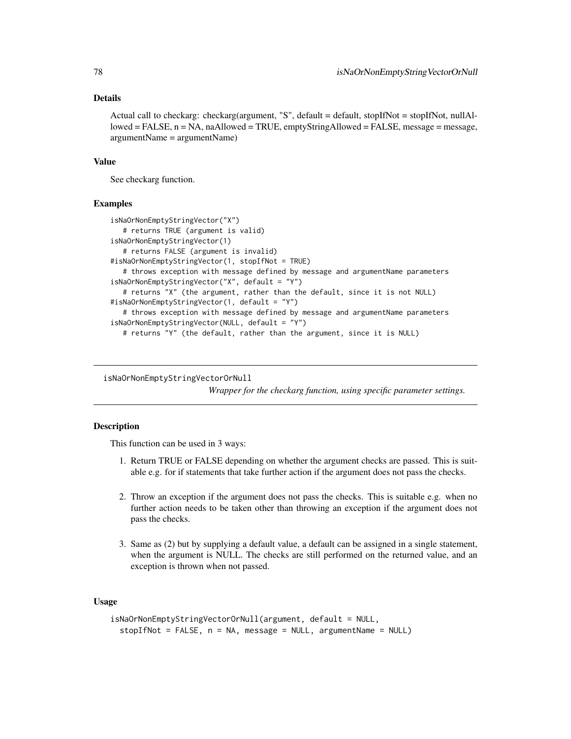# Details

Actual call to checkarg: checkarg(argument, "S", default = default, stopIfNot = stopIfNot, nullAllowed = FALSE, n = NA, naAllowed = TRUE, emptyStringAllowed = FALSE, message = message, argumentName = argumentName)

#### Value

See checkarg function.

## Examples

```
isNaOrNonEmptyStringVector("X")
  # returns TRUE (argument is valid)
isNaOrNonEmptyStringVector(1)
  # returns FALSE (argument is invalid)
#isNaOrNonEmptyStringVector(1, stopIfNot = TRUE)
   # throws exception with message defined by message and argumentName parameters
isNaOrNonEmptyStringVector("X", default = "Y")
  # returns "X" (the argument, rather than the default, since it is not NULL)
#isNaOrNonEmptyStringVector(1, default = "Y")
  # throws exception with message defined by message and argumentName parameters
isNaOrNonEmptyStringVector(NULL, default = "Y")
  # returns "Y" (the default, rather than the argument, since it is NULL)
```
isNaOrNonEmptyStringVectorOrNull

*Wrapper for the checkarg function, using specific parameter settings.*

## Description

This function can be used in 3 ways:

- 1. Return TRUE or FALSE depending on whether the argument checks are passed. This is suitable e.g. for if statements that take further action if the argument does not pass the checks.
- 2. Throw an exception if the argument does not pass the checks. This is suitable e.g. when no further action needs to be taken other than throwing an exception if the argument does not pass the checks.
- 3. Same as (2) but by supplying a default value, a default can be assigned in a single statement, when the argument is NULL. The checks are still performed on the returned value, and an exception is thrown when not passed.

## Usage

```
isNaOrNonEmptyStringVectorOrNull(argument, default = NULL,
 stopIfNot = FALSE, n = NA, message = NULL, argumentName = NULL)
```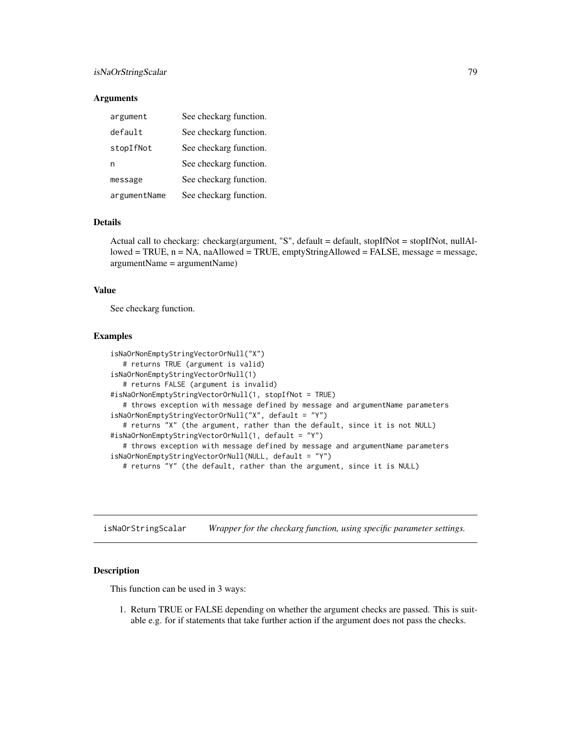# isNaOrStringScalar 79

#### Arguments

| argument     | See checkarg function. |
|--------------|------------------------|
| default      | See checkarg function. |
| stopIfNot    | See checkarg function. |
| n            | See checkarg function. |
| message      | See checkarg function. |
| argumentName | See checkarg function. |

# Details

Actual call to checkarg: checkarg(argument, "S", default = default, stopIfNot = stopIfNot, nullAl $loved = TRUE, n = NA, naAllowed = TRUE, emptyStringAllowed = FALSE, message = message,$ argumentName = argumentName)

### Value

See checkarg function.

## Examples

```
isNaOrNonEmptyStringVectorOrNull("X")
   # returns TRUE (argument is valid)
isNaOrNonEmptyStringVectorOrNull(1)
   # returns FALSE (argument is invalid)
#isNaOrNonEmptyStringVectorOrNull(1, stopIfNot = TRUE)
   # throws exception with message defined by message and argumentName parameters
isNaOrNonEmptyStringVectorOrNull("X", default = "Y")
   # returns "X" (the argument, rather than the default, since it is not NULL)
#isNaOrNonEmptyStringVectorOrNull(1, default = "Y")
   # throws exception with message defined by message and argumentName parameters
isNaOrNonEmptyStringVectorOrNull(NULL, default = "Y")
   # returns "Y" (the default, rather than the argument, since it is NULL)
```
isNaOrStringScalar *Wrapper for the checkarg function, using specific parameter settings.*

#### **Description**

This function can be used in 3 ways:

1. Return TRUE or FALSE depending on whether the argument checks are passed. This is suitable e.g. for if statements that take further action if the argument does not pass the checks.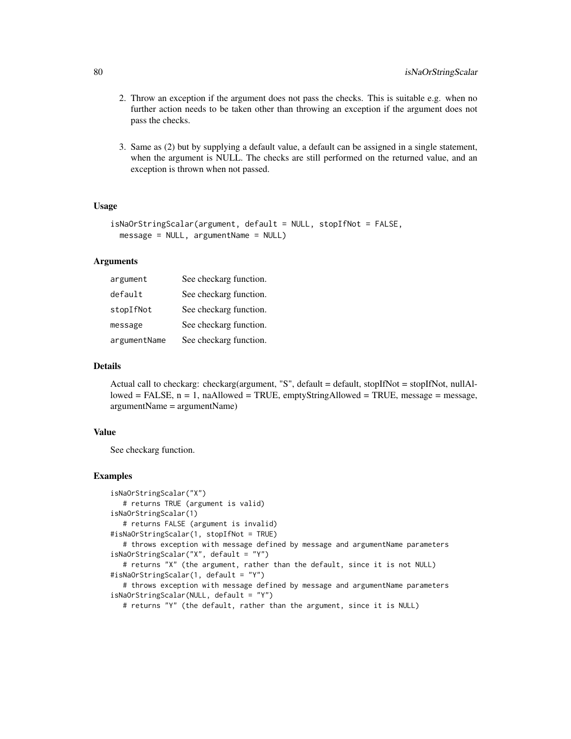- 2. Throw an exception if the argument does not pass the checks. This is suitable e.g. when no further action needs to be taken other than throwing an exception if the argument does not pass the checks.
- 3. Same as (2) but by supplying a default value, a default can be assigned in a single statement, when the argument is NULL. The checks are still performed on the returned value, and an exception is thrown when not passed.

# Usage

```
isNaOrStringScalar(argument, default = NULL, stopIfNot = FALSE,
 message = NULL, argumentName = NULL)
```
### Arguments

| argument     | See checkarg function. |
|--------------|------------------------|
| default      | See checkarg function. |
| stopIfNot    | See checkarg function. |
| message      | See checkarg function. |
| argumentName | See checkarg function. |

## Details

Actual call to checkarg: checkarg(argument, "S", default = default, stopIfNot = stopIfNot, nullAl $l$ owed = FALSE,  $n = 1$ , naAllowed = TRUE, emptyStringAllowed = TRUE, message = message, argumentName = argumentName)

# Value

See checkarg function.

```
isNaOrStringScalar("X")
  # returns TRUE (argument is valid)
isNaOrStringScalar(1)
  # returns FALSE (argument is invalid)
#isNaOrStringScalar(1, stopIfNot = TRUE)
   # throws exception with message defined by message and argumentName parameters
isNaOrStringScalar("X", default = "Y")
   # returns "X" (the argument, rather than the default, since it is not NULL)
#isNaOrStringScalar(1, default = "Y")
   # throws exception with message defined by message and argumentName parameters
isNaOrStringScalar(NULL, default = "Y")
   # returns "Y" (the default, rather than the argument, since it is NULL)
```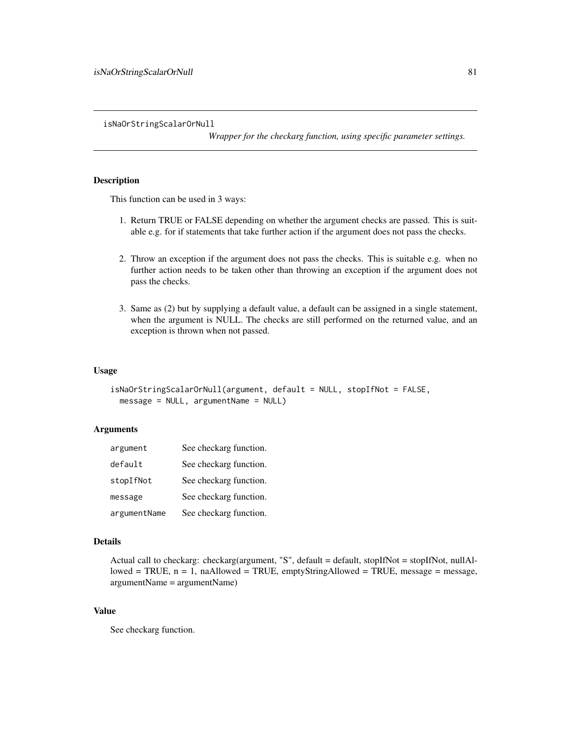isNaOrStringScalarOrNull

*Wrapper for the checkarg function, using specific parameter settings.*

# **Description**

This function can be used in 3 ways:

- 1. Return TRUE or FALSE depending on whether the argument checks are passed. This is suitable e.g. for if statements that take further action if the argument does not pass the checks.
- 2. Throw an exception if the argument does not pass the checks. This is suitable e.g. when no further action needs to be taken other than throwing an exception if the argument does not pass the checks.
- 3. Same as (2) but by supplying a default value, a default can be assigned in a single statement, when the argument is NULL. The checks are still performed on the returned value, and an exception is thrown when not passed.

### Usage

```
isNaOrStringScalarOrNull(argument, default = NULL, stopIfNot = FALSE,
 message = NULL, argumentName = NULL)
```
### Arguments

| argument     | See checkarg function. |
|--------------|------------------------|
| default      | See checkarg function. |
| stopIfNot    | See checkarg function. |
| message      | See checkarg function. |
| argumentName | See checkarg function. |

## Details

Actual call to checkarg: checkarg(argument, "S", default = default, stopIfNot = stopIfNot, nullAllowed = TRUE,  $n = 1$ , naAllowed = TRUE, emptyStringAllowed = TRUE, message = message, argumentName = argumentName)

# Value

See checkarg function.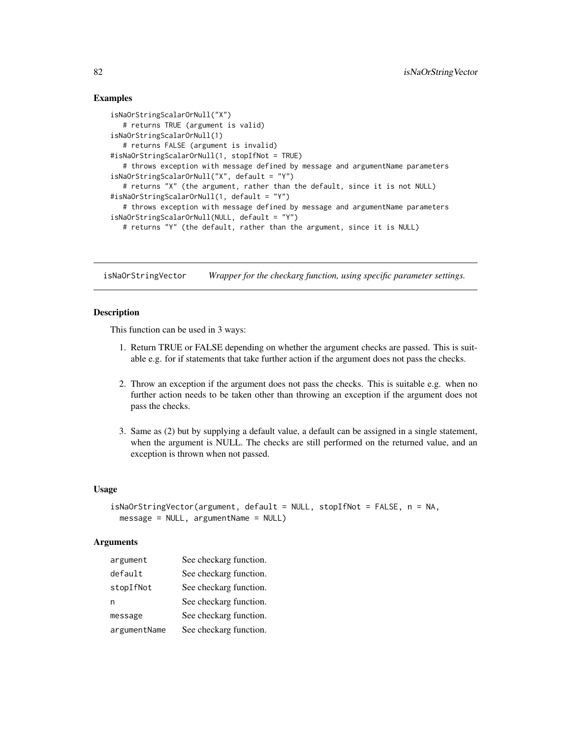# Examples

```
isNaOrStringScalarOrNull("X")
   # returns TRUE (argument is valid)
isNaOrStringScalarOrNull(1)
   # returns FALSE (argument is invalid)
#isNaOrStringScalarOrNull(1, stopIfNot = TRUE)
   # throws exception with message defined by message and argumentName parameters
isNaOrStringScalarOrNull("X", default = "Y")
   # returns "X" (the argument, rather than the default, since it is not NULL)
#isNaOrStringScalarOrNull(1, default = "Y")
   # throws exception with message defined by message and argumentName parameters
isNaOrStringScalarOrNull(NULL, default = "Y")
  # returns "Y" (the default, rather than the argument, since it is NULL)
```
isNaOrStringVector *Wrapper for the checkarg function, using specific parameter settings.*

### Description

This function can be used in 3 ways:

- 1. Return TRUE or FALSE depending on whether the argument checks are passed. This is suitable e.g. for if statements that take further action if the argument does not pass the checks.
- 2. Throw an exception if the argument does not pass the checks. This is suitable e.g. when no further action needs to be taken other than throwing an exception if the argument does not pass the checks.
- 3. Same as (2) but by supplying a default value, a default can be assigned in a single statement, when the argument is NULL. The checks are still performed on the returned value, and an exception is thrown when not passed.

#### Usage

```
isNaOrStringVector(argument, default = NULL, stopIfNot = FALSE, n = NA,
 message = NULL, argumentName = NULL)
```
## Arguments

| argument     | See checkarg function. |
|--------------|------------------------|
| default      | See checkarg function. |
| stopIfNot    | See checkarg function. |
| n            | See checkarg function. |
| message      | See checkarg function. |
| argumentName | See checkarg function. |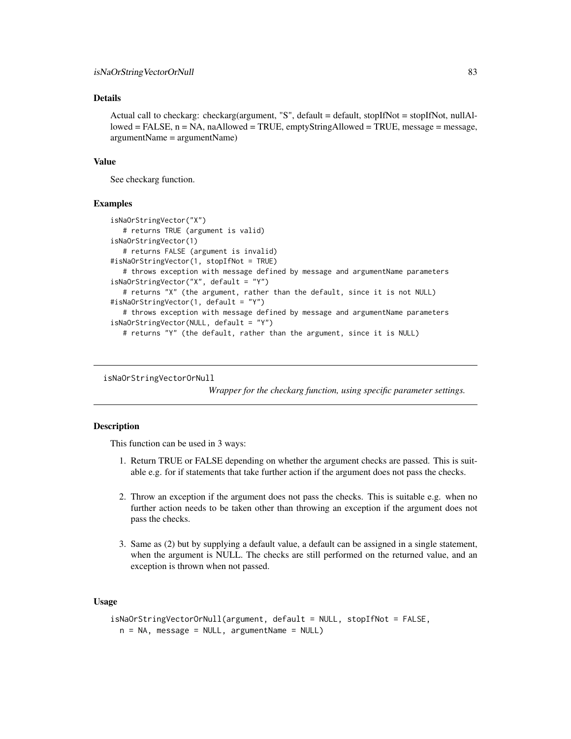### Details

Actual call to checkarg: checkarg(argument, "S", default = default, stopIfNot = stopIfNot, nullAl $loved = FALSE, n = NA, naAllowed = TRUE, emptyStringAllowed = TRUE, message = message,$ argumentName = argumentName)

#### Value

See checkarg function.

#### Examples

```
isNaOrStringVector("X")
   # returns TRUE (argument is valid)
isNaOrStringVector(1)
   # returns FALSE (argument is invalid)
#isNaOrStringVector(1, stopIfNot = TRUE)
   # throws exception with message defined by message and argumentName parameters
isNaOrStringVector("X", default = "Y")
   # returns "X" (the argument, rather than the default, since it is not NULL)
#isNaOrStringVector(1, default = "Y")
   # throws exception with message defined by message and argumentName parameters
isNaOrStringVector(NULL, default = "Y")
   # returns "Y" (the default, rather than the argument, since it is NULL)
```
isNaOrStringVectorOrNull

*Wrapper for the checkarg function, using specific parameter settings.*

## **Description**

This function can be used in 3 ways:

- 1. Return TRUE or FALSE depending on whether the argument checks are passed. This is suitable e.g. for if statements that take further action if the argument does not pass the checks.
- 2. Throw an exception if the argument does not pass the checks. This is suitable e.g. when no further action needs to be taken other than throwing an exception if the argument does not pass the checks.
- 3. Same as (2) but by supplying a default value, a default can be assigned in a single statement, when the argument is NULL. The checks are still performed on the returned value, and an exception is thrown when not passed.

### Usage

```
isNaOrStringVectorOrNull(argument, default = NULL, stopIfNot = FALSE,
 n = NA, message = NULL, argumentName = NULL)
```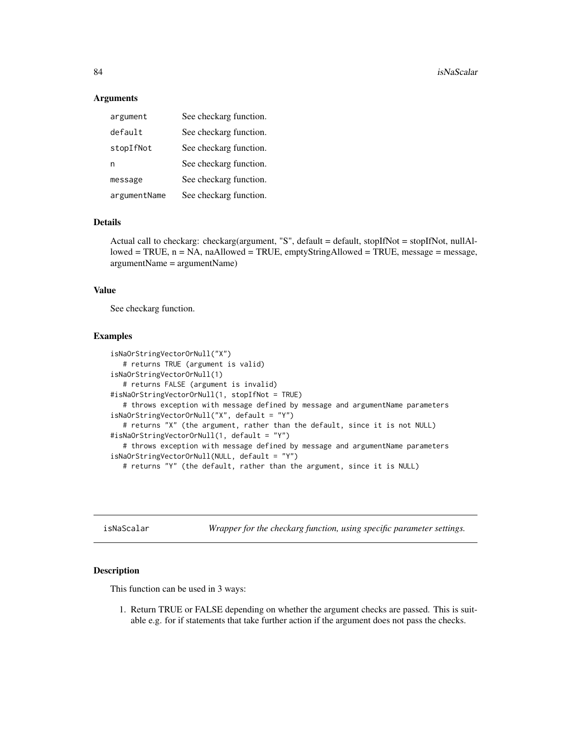### Arguments

| argument     | See checkarg function. |
|--------------|------------------------|
| default      | See checkarg function. |
| stopIfNot    | See checkarg function. |
| n            | See checkarg function. |
| message      | See checkarg function. |
| argumentName | See checkarg function. |

# Details

Actual call to checkarg: checkarg(argument, "S", default = default, stopIfNot = stopIfNot, nullAl $loved = TRUE, n = NA, naAllowed = TRUE, emptyStringAllowed = TRUE, message = message,$ argumentName = argumentName)

### Value

See checkarg function.

## Examples

```
isNaOrStringVectorOrNull("X")
   # returns TRUE (argument is valid)
isNaOrStringVectorOrNull(1)
   # returns FALSE (argument is invalid)
#isNaOrStringVectorOrNull(1, stopIfNot = TRUE)
   # throws exception with message defined by message and argumentName parameters
isNaOrStringVectorOrNull("X", default = "Y")
  # returns "X" (the argument, rather than the default, since it is not NULL)
#isNaOrStringVectorOrNull(1, default = "Y")
   # throws exception with message defined by message and argumentName parameters
isNaOrStringVectorOrNull(NULL, default = "Y")
   # returns "Y" (the default, rather than the argument, since it is NULL)
```
isNaScalar *Wrapper for the checkarg function, using specific parameter settings.*

## **Description**

This function can be used in 3 ways:

1. Return TRUE or FALSE depending on whether the argument checks are passed. This is suitable e.g. for if statements that take further action if the argument does not pass the checks.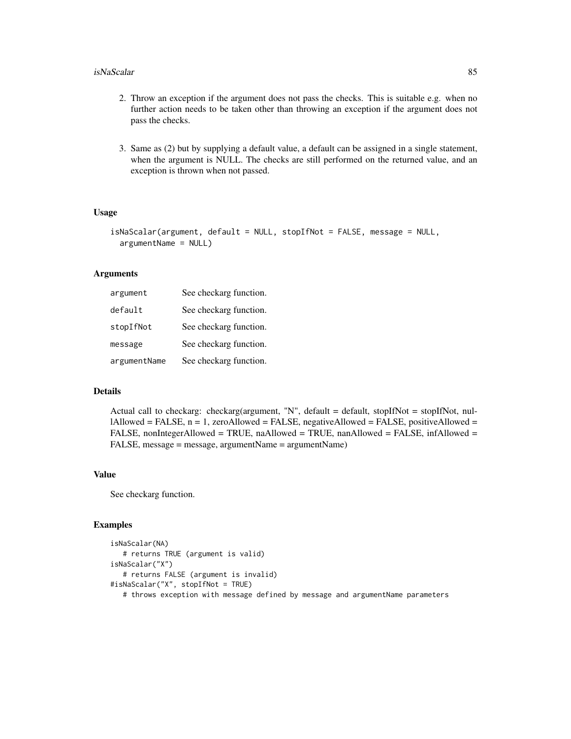#### isNaScalar 85

- 2. Throw an exception if the argument does not pass the checks. This is suitable e.g. when no further action needs to be taken other than throwing an exception if the argument does not pass the checks.
- 3. Same as (2) but by supplying a default value, a default can be assigned in a single statement, when the argument is NULL. The checks are still performed on the returned value, and an exception is thrown when not passed.

### Usage

```
isNaScalar(argument, default = NULL, stopIfNot = FALSE, message = NULL,
  argumentName = NULL)
```
## Arguments

| argument     | See checkarg function. |
|--------------|------------------------|
| default      | See checkarg function. |
| stopIfNot    | See checkarg function. |
| message      | See checkarg function. |
| argumentName | See checkarg function. |

### Details

Actual call to checkarg: checkarg(argument, "N", default = default, stopIfNot = stopIfNot, nullAllowed = FALSE,  $n = 1$ , zeroAllowed = FALSE, negativeAllowed = FALSE, positiveAllowed = FALSE, nonIntegerAllowed = TRUE, naAllowed = TRUE, nanAllowed = FALSE, infAllowed = FALSE, message = message, argumentName = argumentName)

#### Value

See checkarg function.

```
isNaScalar(NA)
   # returns TRUE (argument is valid)
isNaScalar("X")
   # returns FALSE (argument is invalid)
#isNaScalar("X", stopIfNot = TRUE)
  # throws exception with message defined by message and argumentName parameters
```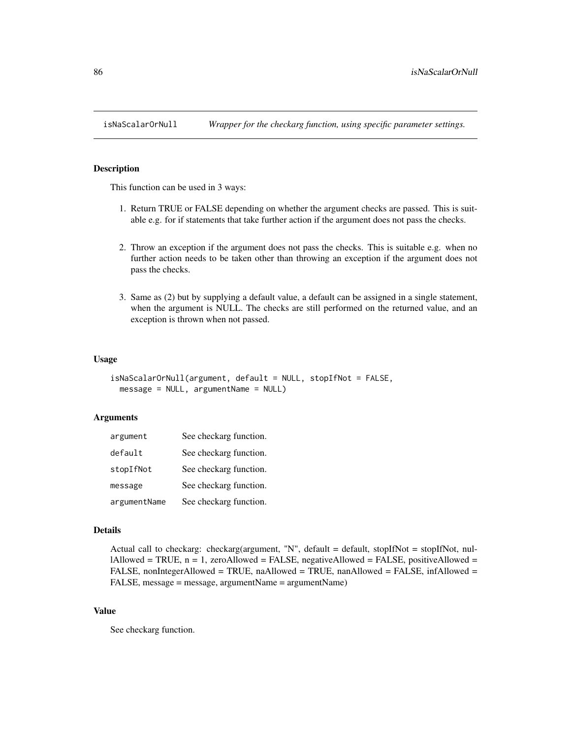# **Description**

This function can be used in 3 ways:

- 1. Return TRUE or FALSE depending on whether the argument checks are passed. This is suitable e.g. for if statements that take further action if the argument does not pass the checks.
- 2. Throw an exception if the argument does not pass the checks. This is suitable e.g. when no further action needs to be taken other than throwing an exception if the argument does not pass the checks.
- 3. Same as (2) but by supplying a default value, a default can be assigned in a single statement, when the argument is NULL. The checks are still performed on the returned value, and an exception is thrown when not passed.

#### Usage

```
isNaScalarOrNull(argument, default = NULL, stopIfNot = FALSE,
  message = NULL, argumentName = NULL)
```
### Arguments

| argument     | See checkarg function. |
|--------------|------------------------|
| default      | See checkarg function. |
| stopIfNot    | See checkarg function. |
| message      | See checkarg function. |
| argumentName | See checkarg function. |

## Details

Actual call to checkarg: checkarg(argument, "N", default = default, stopIfNot = stopIfNot, nullAllowed = TRUE, n = 1, zeroAllowed = FALSE, negativeAllowed = FALSE, positiveAllowed = FALSE, nonIntegerAllowed = TRUE, naAllowed = TRUE, nanAllowed = FALSE, infAllowed = FALSE, message = message, argumentName = argumentName)

## Value

See checkarg function.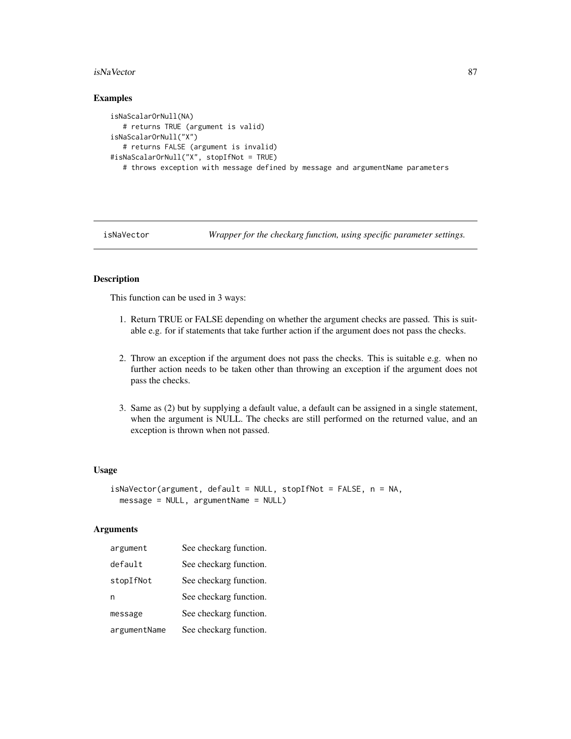#### isNaVector 87

### Examples

```
isNaScalarOrNull(NA)
  # returns TRUE (argument is valid)
isNaScalarOrNull("X")
  # returns FALSE (argument is invalid)
#isNaScalarOrNull("X", stopIfNot = TRUE)
  # throws exception with message defined by message and argumentName parameters
```
isNaVector *Wrapper for the checkarg function, using specific parameter settings.*

# Description

This function can be used in 3 ways:

- 1. Return TRUE or FALSE depending on whether the argument checks are passed. This is suitable e.g. for if statements that take further action if the argument does not pass the checks.
- 2. Throw an exception if the argument does not pass the checks. This is suitable e.g. when no further action needs to be taken other than throwing an exception if the argument does not pass the checks.
- 3. Same as (2) but by supplying a default value, a default can be assigned in a single statement, when the argument is NULL. The checks are still performed on the returned value, and an exception is thrown when not passed.

#### Usage

```
isNaVector(argument, default = NULL, stopIfNot = FALSE, n = NA,
 message = NULL, argumentName = NULL)
```
### Arguments

| argument     | See checkarg function. |
|--------------|------------------------|
| default      | See checkarg function. |
| stopIfNot    | See checkarg function. |
| n            | See checkarg function. |
| message      | See checkarg function. |
| argumentName | See checkarg function. |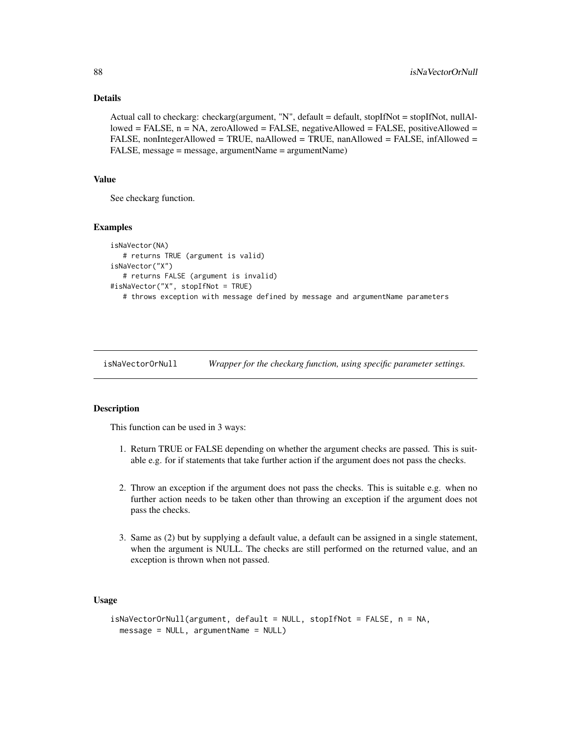# Details

Actual call to checkarg: checkarg(argument, "N", default = default, stopIfNot = stopIfNot, nullAllowed = FALSE,  $n = NA$ , zeroAllowed = FALSE, negativeAllowed = FALSE, positiveAllowed = FALSE, nonIntegerAllowed = TRUE, naAllowed = TRUE, nanAllowed = FALSE, infAllowed = FALSE, message = message, argumentName = argumentName)

## Value

See checkarg function.

### Examples

```
isNaVector(NA)
   # returns TRUE (argument is valid)
isNaVector("X")
   # returns FALSE (argument is invalid)
#isNaVector("X", stopIfNot = TRUE)
  # throws exception with message defined by message and argumentName parameters
```
isNaVectorOrNull *Wrapper for the checkarg function, using specific parameter settings.*

### Description

This function can be used in 3 ways:

- 1. Return TRUE or FALSE depending on whether the argument checks are passed. This is suitable e.g. for if statements that take further action if the argument does not pass the checks.
- 2. Throw an exception if the argument does not pass the checks. This is suitable e.g. when no further action needs to be taken other than throwing an exception if the argument does not pass the checks.
- 3. Same as (2) but by supplying a default value, a default can be assigned in a single statement, when the argument is NULL. The checks are still performed on the returned value, and an exception is thrown when not passed.

### Usage

```
isNaVectorOrNull(argument, default = NULL, stopIfNot = FALSE, n = NA,
 message = NULL, argumentName = NULL)
```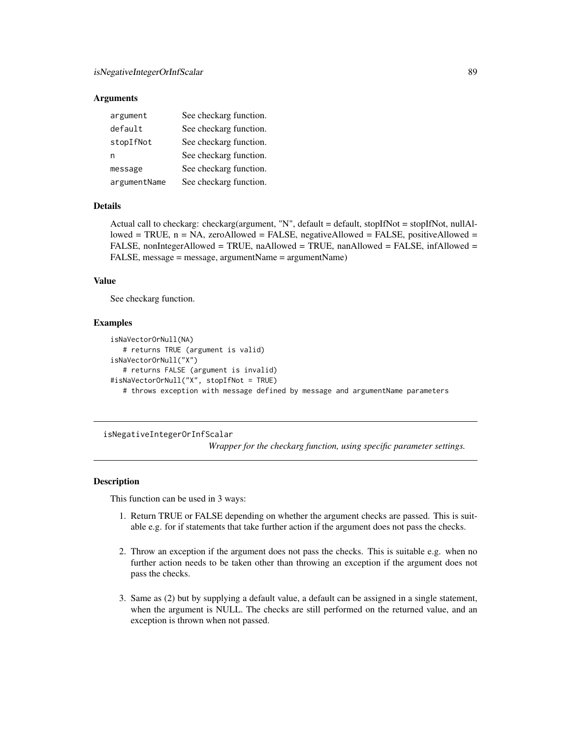### Arguments

| argument     | See checkarg function. |
|--------------|------------------------|
| default      | See checkarg function. |
| stopIfNot    | See checkarg function. |
| n            | See checkarg function. |
| message      | See checkarg function. |
| argumentName | See checkarg function. |

# Details

Actual call to checkarg: checkarg(argument, "N", default = default, stopIfNot = stopIfNot, nullAllowed = TRUE,  $n = NA$ , zeroAllowed = FALSE, negativeAllowed = FALSE, positiveAllowed = FALSE, nonIntegerAllowed = TRUE, naAllowed = TRUE, nanAllowed = FALSE, infAllowed = FALSE, message = message, argumentName = argumentName)

### Value

See checkarg function.

# Examples

```
isNaVectorOrNull(NA)
   # returns TRUE (argument is valid)
isNaVectorOrNull("X")
   # returns FALSE (argument is invalid)
#isNaVectorOrNull("X", stopIfNot = TRUE)
   # throws exception with message defined by message and argumentName parameters
```
isNegativeIntegerOrInfScalar

*Wrapper for the checkarg function, using specific parameter settings.*

### Description

This function can be used in 3 ways:

- 1. Return TRUE or FALSE depending on whether the argument checks are passed. This is suitable e.g. for if statements that take further action if the argument does not pass the checks.
- 2. Throw an exception if the argument does not pass the checks. This is suitable e.g. when no further action needs to be taken other than throwing an exception if the argument does not pass the checks.
- 3. Same as (2) but by supplying a default value, a default can be assigned in a single statement, when the argument is NULL. The checks are still performed on the returned value, and an exception is thrown when not passed.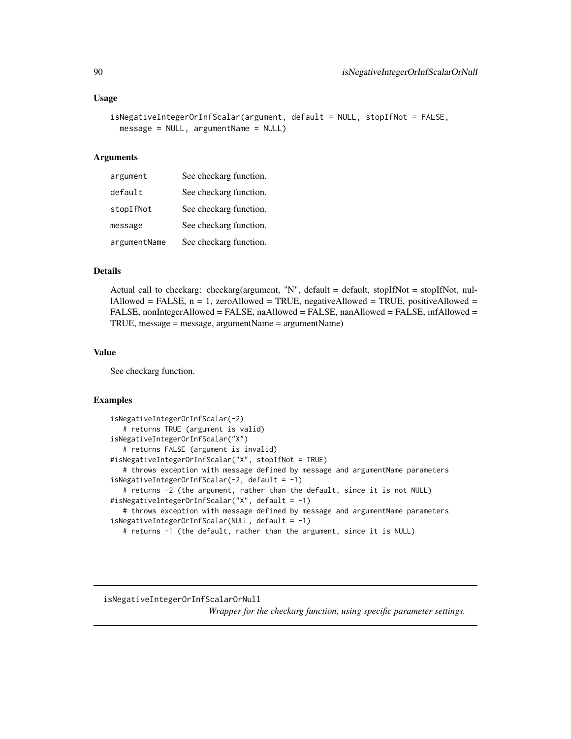#### Usage

```
isNegativeIntegerOrInfScalar(argument, default = NULL, stopIfNot = FALSE,
 message = NULL, argumentName = NULL)
```
#### Arguments

| argument     | See checkarg function. |
|--------------|------------------------|
| default      | See checkarg function. |
| stopIfNot    | See checkarg function. |
| message      | See checkarg function. |
| argumentName | See checkarg function. |

# Details

Actual call to checkarg: checkarg(argument, "N", default = default, stopIfNot = stopIfNot, nullAllowed = FALSE,  $n = 1$ , zeroAllowed = TRUE, negativeAllowed = TRUE, positiveAllowed = FALSE, nonIntegerAllowed = FALSE, naAllowed = FALSE, nanAllowed = FALSE, infAllowed = TRUE, message = message, argumentName = argumentName)

### Value

See checkarg function.

# Examples

```
isNegativeIntegerOrInfScalar(-2)
   # returns TRUE (argument is valid)
isNegativeIntegerOrInfScalar("X")
   # returns FALSE (argument is invalid)
#isNegativeIntegerOrInfScalar("X", stopIfNot = TRUE)
   # throws exception with message defined by message and argumentName parameters
isNegativeIntegerOrInfScalar(-2, default = -1)
   # returns -2 (the argument, rather than the default, since it is not NULL)
#isNegativeIntegerOrInfScalar("X", default = -1)
  # throws exception with message defined by message and argumentName parameters
isNegativeIntegerOrInfScalar(NULL, default = -1)
  # returns -1 (the default, rather than the argument, since it is NULL)
```
isNegativeIntegerOrInfScalarOrNull

*Wrapper for the checkarg function, using specific parameter settings.*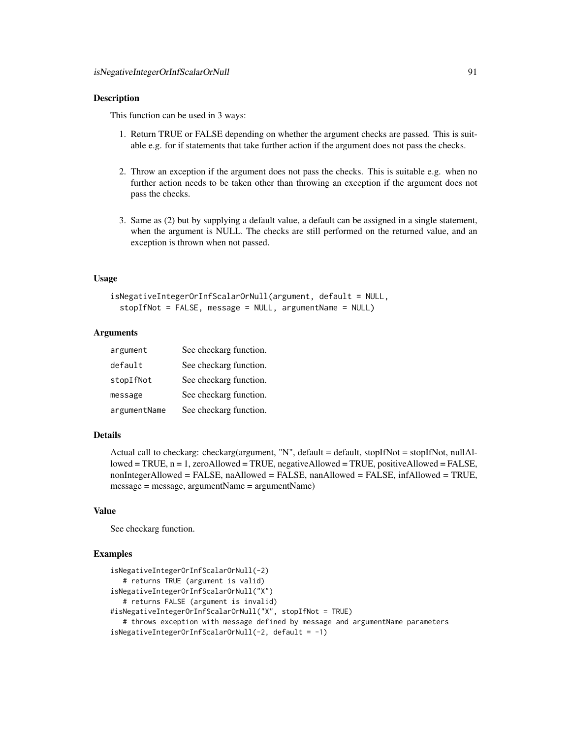### Description

This function can be used in 3 ways:

- 1. Return TRUE or FALSE depending on whether the argument checks are passed. This is suitable e.g. for if statements that take further action if the argument does not pass the checks.
- 2. Throw an exception if the argument does not pass the checks. This is suitable e.g. when no further action needs to be taken other than throwing an exception if the argument does not pass the checks.
- 3. Same as (2) but by supplying a default value, a default can be assigned in a single statement, when the argument is NULL. The checks are still performed on the returned value, and an exception is thrown when not passed.

### Usage

```
isNegativeIntegerOrInfScalarOrNull(argument, default = NULL,
  stopIfNot = FALSE, message = NULL, argumentName = NULL)
```
## Arguments

| argument     | See checkarg function. |
|--------------|------------------------|
| default      | See checkarg function. |
| stopIfNot    | See checkarg function. |
| message      | See checkarg function. |
| argumentName | See checkarg function. |

## Details

Actual call to checkarg: checkarg(argument, "N", default = default, stopIfNot = stopIfNot, nullAllowed = TRUE, n = 1, zeroAllowed = TRUE, negativeAllowed = TRUE, positiveAllowed = FALSE, nonIntegerAllowed = FALSE, naAllowed = FALSE, nanAllowed = FALSE, infAllowed = TRUE, message = message, argumentName = argumentName)

### Value

See checkarg function.

```
isNegativeIntegerOrInfScalarOrNull(-2)
   # returns TRUE (argument is valid)
isNegativeIntegerOrInfScalarOrNull("X")
   # returns FALSE (argument is invalid)
#isNegativeIntegerOrInfScalarOrNull("X", stopIfNot = TRUE)
   # throws exception with message defined by message and argumentName parameters
isNegativeIntegerOrInfScalarOrNull(-2, default = -1)
```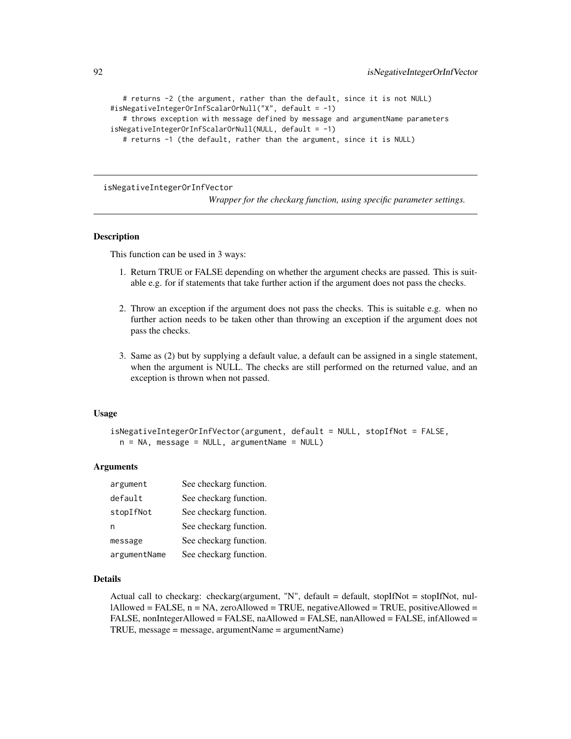```
# returns -2 (the argument, rather than the default, since it is not NULL)
#isNegativeIntegerOrInfScalarOrNull("X", default = -1)
   # throws exception with message defined by message and argumentName parameters
isNegativeIntegerOrInfScalarOrNull(NULL, default = -1)
  # returns -1 (the default, rather than the argument, since it is NULL)
```
isNegativeIntegerOrInfVector

*Wrapper for the checkarg function, using specific parameter settings.*

# Description

This function can be used in 3 ways:

- 1. Return TRUE or FALSE depending on whether the argument checks are passed. This is suitable e.g. for if statements that take further action if the argument does not pass the checks.
- 2. Throw an exception if the argument does not pass the checks. This is suitable e.g. when no further action needs to be taken other than throwing an exception if the argument does not pass the checks.
- 3. Same as (2) but by supplying a default value, a default can be assigned in a single statement, when the argument is NULL. The checks are still performed on the returned value, and an exception is thrown when not passed.

### Usage

```
isNegativeIntegerOrInfVector(argument, default = NULL, stopIfNot = FALSE,
 n = NA, message = NULL, argumentName = NULL)
```
## Arguments

| argument     | See checkarg function. |
|--------------|------------------------|
| default      | See checkarg function. |
| stopIfNot    | See checkarg function. |
| n            | See checkarg function. |
| message      | See checkarg function. |
| argumentName | See checkarg function. |

### Details

Actual call to checkarg: checkarg(argument, "N", default = default, stopIfNot = stopIfNot, nullAllowed = FALSE,  $n = NA$ , zeroAllowed = TRUE, negativeAllowed = TRUE, positiveAllowed = FALSE, nonIntegerAllowed = FALSE, naAllowed = FALSE, nanAllowed = FALSE, infAllowed = TRUE, message = message, argumentName = argumentName)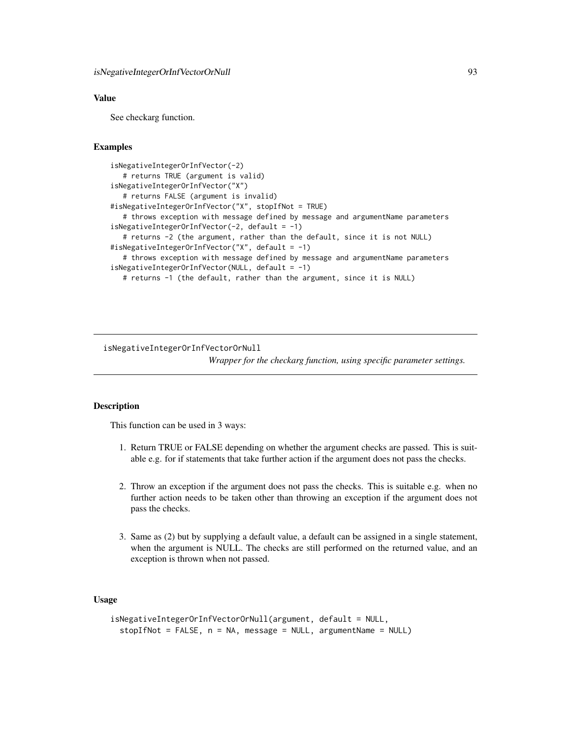# Value

See checkarg function.

### Examples

```
isNegativeIntegerOrInfVector(-2)
  # returns TRUE (argument is valid)
isNegativeIntegerOrInfVector("X")
  # returns FALSE (argument is invalid)
#isNegativeIntegerOrInfVector("X", stopIfNot = TRUE)
  # throws exception with message defined by message and argumentName parameters
isNegativeIntegerOrInfVector(-2, default = -1)
  # returns -2 (the argument, rather than the default, since it is not NULL)
#isNegativeIntegerOrInfVector("X", default = -1)
  # throws exception with message defined by message and argumentName parameters
isNegativeIntegerOrInfVector(NULL, default = -1)
  # returns -1 (the default, rather than the argument, since it is NULL)
```
isNegativeIntegerOrInfVectorOrNull

*Wrapper for the checkarg function, using specific parameter settings.*

### Description

This function can be used in 3 ways:

- 1. Return TRUE or FALSE depending on whether the argument checks are passed. This is suitable e.g. for if statements that take further action if the argument does not pass the checks.
- 2. Throw an exception if the argument does not pass the checks. This is suitable e.g. when no further action needs to be taken other than throwing an exception if the argument does not pass the checks.
- 3. Same as (2) but by supplying a default value, a default can be assigned in a single statement, when the argument is NULL. The checks are still performed on the returned value, and an exception is thrown when not passed.

# Usage

```
isNegativeIntegerOrInfVectorOrNull(argument, default = NULL,
 stopIfNot = FALSE, n = NA, message = NULL, argumentName = NULL)
```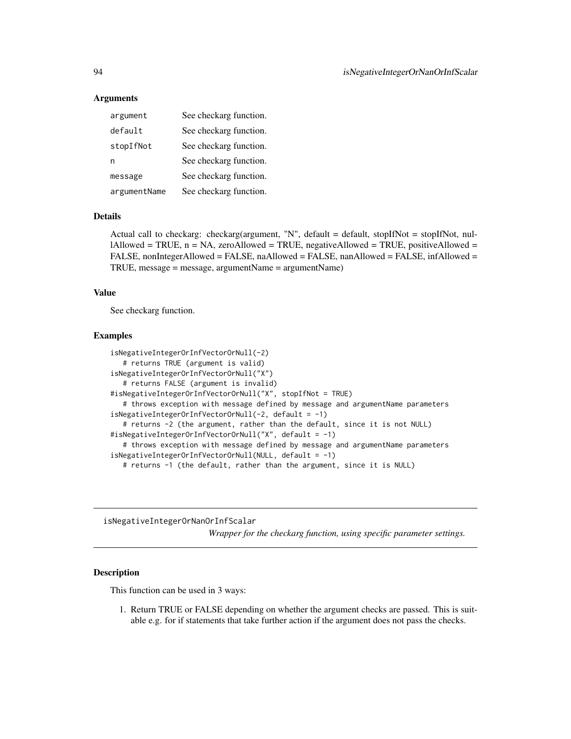## Arguments

| argument     | See checkarg function. |
|--------------|------------------------|
| default      | See checkarg function. |
| stopIfNot    | See checkarg function. |
| n            | See checkarg function. |
| message      | See checkarg function. |
| argumentName | See checkarg function. |

### Details

Actual call to checkarg: checkarg(argument, "N", default = default, stopIfNot = stopIfNot, nullAllowed = TRUE,  $n = NA$ , zeroAllowed = TRUE, negativeAllowed = TRUE, positiveAllowed = FALSE, nonIntegerAllowed = FALSE, naAllowed = FALSE, nanAllowed = FALSE, infAllowed = TRUE, message = message, argumentName = argumentName)

### Value

See checkarg function.

#### Examples

```
isNegativeIntegerOrInfVectorOrNull(-2)
   # returns TRUE (argument is valid)
isNegativeIntegerOrInfVectorOrNull("X")
   # returns FALSE (argument is invalid)
#isNegativeIntegerOrInfVectorOrNull("X", stopIfNot = TRUE)
   # throws exception with message defined by message and argumentName parameters
isNegativeIntegerOrInfVectorOrNull(-2, default = -1)
   # returns -2 (the argument, rather than the default, since it is not NULL)
#isNegativeIntegerOrInfVectorOrNull("X", default = -1)
  # throws exception with message defined by message and argumentName parameters
isNegativeIntegerOrInfVectorOrNull(NULL, default = -1)
  # returns -1 (the default, rather than the argument, since it is NULL)
```
isNegativeIntegerOrNanOrInfScalar

*Wrapper for the checkarg function, using specific parameter settings.*

## Description

This function can be used in 3 ways:

1. Return TRUE or FALSE depending on whether the argument checks are passed. This is suitable e.g. for if statements that take further action if the argument does not pass the checks.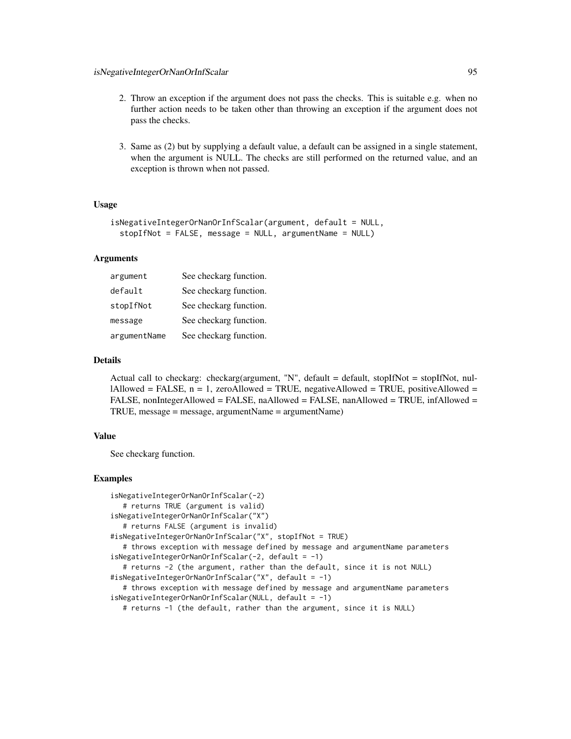- 2. Throw an exception if the argument does not pass the checks. This is suitable e.g. when no further action needs to be taken other than throwing an exception if the argument does not pass the checks.
- 3. Same as (2) but by supplying a default value, a default can be assigned in a single statement, when the argument is NULL. The checks are still performed on the returned value, and an exception is thrown when not passed.

# Usage

```
isNegativeIntegerOrNanOrInfScalar(argument, default = NULL,
  stopIfNot = FALSE, message = NULL, argumentName = NULL)
```
### Arguments

| argument     | See checkarg function. |
|--------------|------------------------|
| default      | See checkarg function. |
| stopIfNot    | See checkarg function. |
| message      | See checkarg function. |
| argumentName | See checkarg function. |

# Details

Actual call to checkarg: checkarg(argument, "N", default = default, stopIfNot = stopIfNot, nullAllowed = FALSE,  $n = 1$ , zeroAllowed = TRUE, negativeAllowed = TRUE, positiveAllowed = FALSE, nonIntegerAllowed = FALSE, naAllowed = FALSE, nanAllowed = TRUE, infAllowed = TRUE, message = message, argumentName = argumentName)

# Value

See checkarg function.

```
isNegativeIntegerOrNanOrInfScalar(-2)
   # returns TRUE (argument is valid)
isNegativeIntegerOrNanOrInfScalar("X")
   # returns FALSE (argument is invalid)
#isNegativeIntegerOrNanOrInfScalar("X", stopIfNot = TRUE)
   # throws exception with message defined by message and argumentName parameters
isNegativeIntegerOrNanOrInfScalar(-2, default = -1)
   # returns -2 (the argument, rather than the default, since it is not NULL)
#isNegativeIntegerOrNanOrInfScalar("X", default = -1)
   # throws exception with message defined by message and argumentName parameters
isNegativeIntegerOrNanOrInfScalar(NULL, default = -1)
   # returns -1 (the default, rather than the argument, since it is NULL)
```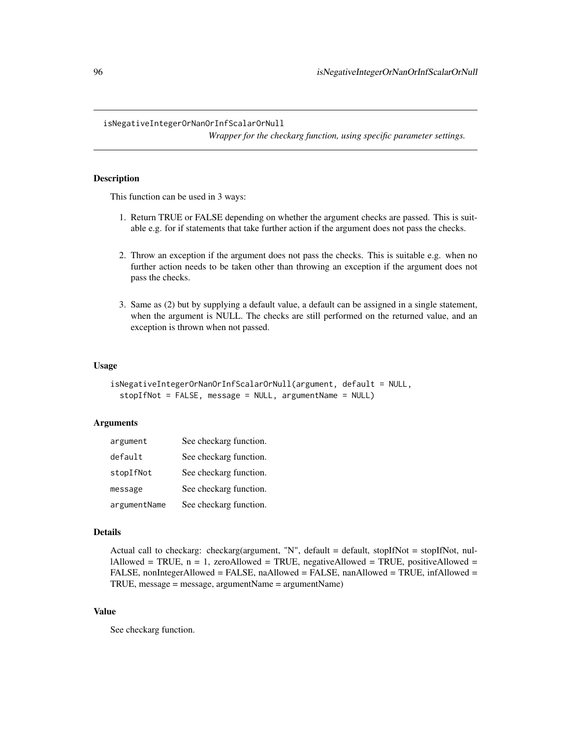isNegativeIntegerOrNanOrInfScalarOrNull

*Wrapper for the checkarg function, using specific parameter settings.*

# Description

This function can be used in 3 ways:

- 1. Return TRUE or FALSE depending on whether the argument checks are passed. This is suitable e.g. for if statements that take further action if the argument does not pass the checks.
- 2. Throw an exception if the argument does not pass the checks. This is suitable e.g. when no further action needs to be taken other than throwing an exception if the argument does not pass the checks.
- 3. Same as (2) but by supplying a default value, a default can be assigned in a single statement, when the argument is NULL. The checks are still performed on the returned value, and an exception is thrown when not passed.

#### Usage

```
isNegativeIntegerOrNanOrInfScalarOrNull(argument, default = NULL,
 stopIfNot = FALSE, message = NULL, argumentName = NULL)
```
## **Arguments**

| argument     | See checkarg function. |
|--------------|------------------------|
| default      | See checkarg function. |
| stopIfNot    | See checkarg function. |
| message      | See checkarg function. |
| argumentName | See checkarg function. |

#### Details

```
Actual call to checkarg: checkarg(argument, "N", default = default, stopIfNot = stopIfNot, nul-
lAllowed = TRUE, n = 1, zeroAllowed = TRUE, negativeAllowed = TRUE, positiveAllowed =
FALSE, nonIntegerAllowed = FALSE, naAllowed = FALSE, nanAllowed = TRUE, infAllowed =
TRUE, message = message, argumentName = argumentName)
```
# Value

See checkarg function.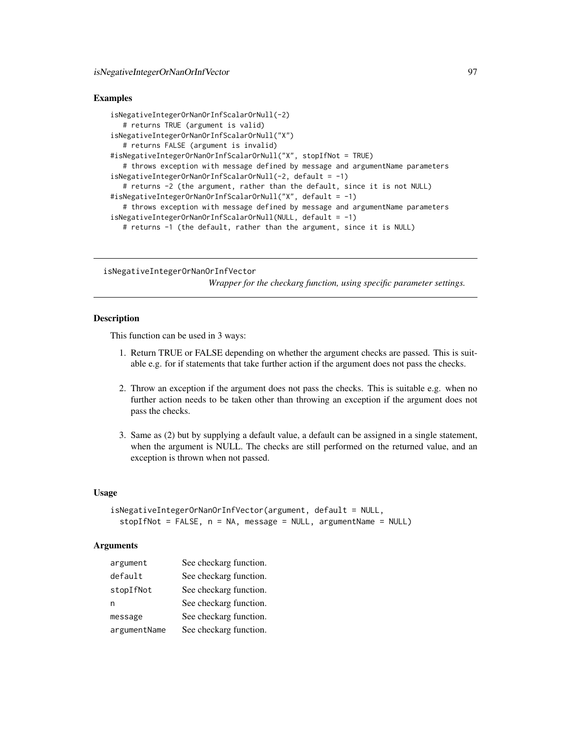## Examples

```
isNegativeIntegerOrNanOrInfScalarOrNull(-2)
   # returns TRUE (argument is valid)
isNegativeIntegerOrNanOrInfScalarOrNull("X")
   # returns FALSE (argument is invalid)
#isNegativeIntegerOrNanOrInfScalarOrNull("X", stopIfNot = TRUE)
   # throws exception with message defined by message and argumentName parameters
isNegativeIntegerOrNanOrInfScalarOrNull(-2, default = -1)
   # returns -2 (the argument, rather than the default, since it is not NULL)
#isNegativeIntegerOrNanOrInfScalarOrNull("X", default = -1)
   # throws exception with message defined by message and argumentName parameters
isNegativeIntegerOrNanOrInfScalarOrNull(NULL, default = -1)
  # returns -1 (the default, rather than the argument, since it is NULL)
```
isNegativeIntegerOrNanOrInfVector

*Wrapper for the checkarg function, using specific parameter settings.*

# **Description**

This function can be used in 3 ways:

- 1. Return TRUE or FALSE depending on whether the argument checks are passed. This is suitable e.g. for if statements that take further action if the argument does not pass the checks.
- 2. Throw an exception if the argument does not pass the checks. This is suitable e.g. when no further action needs to be taken other than throwing an exception if the argument does not pass the checks.
- 3. Same as (2) but by supplying a default value, a default can be assigned in a single statement, when the argument is NULL. The checks are still performed on the returned value, and an exception is thrown when not passed.

# Usage

```
isNegativeIntegerOrNanOrInfVector(argument, default = NULL,
 stopIfNot = FALSE, n = NA, message = NULL, argumentName = NULL)
```
### Arguments

| argument     | See checkarg function. |
|--------------|------------------------|
| default      | See checkarg function. |
| stopIfNot    | See checkarg function. |
| n            | See checkarg function. |
| message      | See checkarg function. |
| argumentName | See checkarg function. |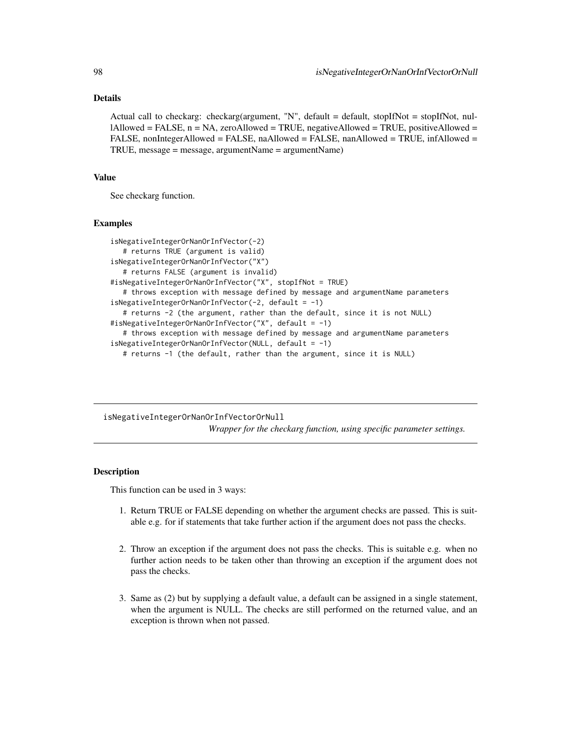# Details

Actual call to checkarg: checkarg(argument, "N", default = default, stopIfNot = stopIfNot, nullAllowed = FALSE, n = NA, zeroAllowed = TRUE, negativeAllowed = TRUE, positiveAllowed = FALSE, nonIntegerAllowed = FALSE, naAllowed = FALSE, nanAllowed = TRUE, infAllowed = TRUE, message = message, argumentName = argumentName)

#### Value

See checkarg function.

#### Examples

```
isNegativeIntegerOrNanOrInfVector(-2)
  # returns TRUE (argument is valid)
isNegativeIntegerOrNanOrInfVector("X")
  # returns FALSE (argument is invalid)
#isNegativeIntegerOrNanOrInfVector("X", stopIfNot = TRUE)
  # throws exception with message defined by message and argumentName parameters
isNegativeIntegerOrNanOrInfVector(-2, default = -1)# returns -2 (the argument, rather than the default, since it is not NULL)
#isNegativeIntegerOrNanOrInfVector("X", default = -1)
  # throws exception with message defined by message and argumentName parameters
isNegativeIntegerOrNanOrInfVector(NULL, default = -1)
  # returns -1 (the default, rather than the argument, since it is NULL)
```
isNegativeIntegerOrNanOrInfVectorOrNull *Wrapper for the checkarg function, using specific parameter settings.*

# **Description**

This function can be used in 3 ways:

- 1. Return TRUE or FALSE depending on whether the argument checks are passed. This is suitable e.g. for if statements that take further action if the argument does not pass the checks.
- 2. Throw an exception if the argument does not pass the checks. This is suitable e.g. when no further action needs to be taken other than throwing an exception if the argument does not pass the checks.
- 3. Same as (2) but by supplying a default value, a default can be assigned in a single statement, when the argument is NULL. The checks are still performed on the returned value, and an exception is thrown when not passed.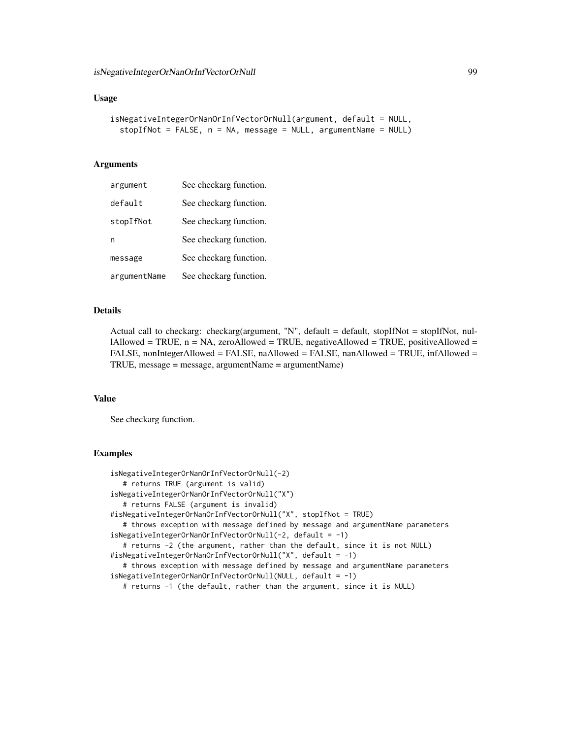### Usage

```
isNegativeIntegerOrNanOrInfVectorOrNull(argument, default = NULL,
  stopIfNot = FALSE, n = NA, message = NULL, argumentName = NULL)
```
# Arguments

| argument     | See checkarg function. |
|--------------|------------------------|
| default      | See checkarg function. |
| stopIfNot    | See checkarg function. |
| n            | See checkarg function. |
| message      | See checkarg function. |
| argumentName | See checkarg function. |

## Details

Actual call to checkarg: checkarg(argument, "N", default = default, stopIfNot = stopIfNot, nullAllowed = TRUE,  $n = NA$ , zeroAllowed = TRUE, negativeAllowed = TRUE, positiveAllowed = FALSE, nonIntegerAllowed = FALSE, naAllowed = FALSE, nanAllowed = TRUE, infAllowed = TRUE, message = message, argumentName = argumentName)

#### Value

See checkarg function.

```
isNegativeIntegerOrNanOrInfVectorOrNull(-2)
  # returns TRUE (argument is valid)
isNegativeIntegerOrNanOrInfVectorOrNull("X")
  # returns FALSE (argument is invalid)
#isNegativeIntegerOrNanOrInfVectorOrNull("X", stopIfNot = TRUE)
   # throws exception with message defined by message and argumentName parameters
isNegativeIntegerOrNanOrInfVectorOrNull(-2, default = -1)
   # returns -2 (the argument, rather than the default, since it is not NULL)
#isNegativeIntegerOrNanOrInfVectorOrNull("X", default = -1)
   # throws exception with message defined by message and argumentName parameters
isNegativeIntegerOrNanOrInfVectorOrNull(NULL, default = -1)
   # returns -1 (the default, rather than the argument, since it is NULL)
```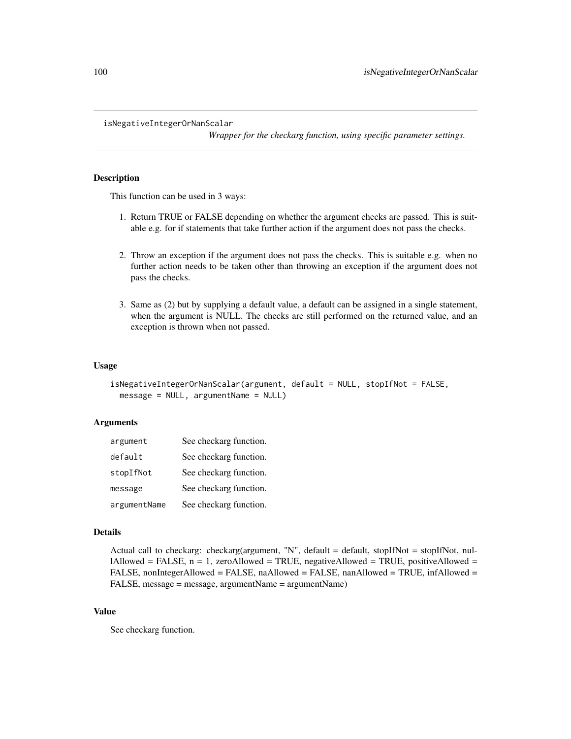#### isNegativeIntegerOrNanScalar

*Wrapper for the checkarg function, using specific parameter settings.*

## Description

This function can be used in 3 ways:

- 1. Return TRUE or FALSE depending on whether the argument checks are passed. This is suitable e.g. for if statements that take further action if the argument does not pass the checks.
- 2. Throw an exception if the argument does not pass the checks. This is suitable e.g. when no further action needs to be taken other than throwing an exception if the argument does not pass the checks.
- 3. Same as (2) but by supplying a default value, a default can be assigned in a single statement, when the argument is NULL. The checks are still performed on the returned value, and an exception is thrown when not passed.

#### Usage

```
isNegativeIntegerOrNanScalar(argument, default = NULL, stopIfNot = FALSE,
 message = NULL, argumentName = NULL)
```
## Arguments

| argument     | See checkarg function. |
|--------------|------------------------|
| default      | See checkarg function. |
| stopIfNot    | See checkarg function. |
| message      | See checkarg function. |
| argumentName | See checkarg function. |

#### Details

Actual call to checkarg: checkarg(argument, "N", default = default, stopIfNot = stopIfNot, nullAllowed = FALSE,  $n = 1$ , zeroAllowed = TRUE, negativeAllowed = TRUE, positiveAllowed = FALSE, nonIntegerAllowed = FALSE, naAllowed = FALSE, nanAllowed = TRUE, infAllowed = FALSE, message = message, argumentName = argumentName)

# Value

See checkarg function.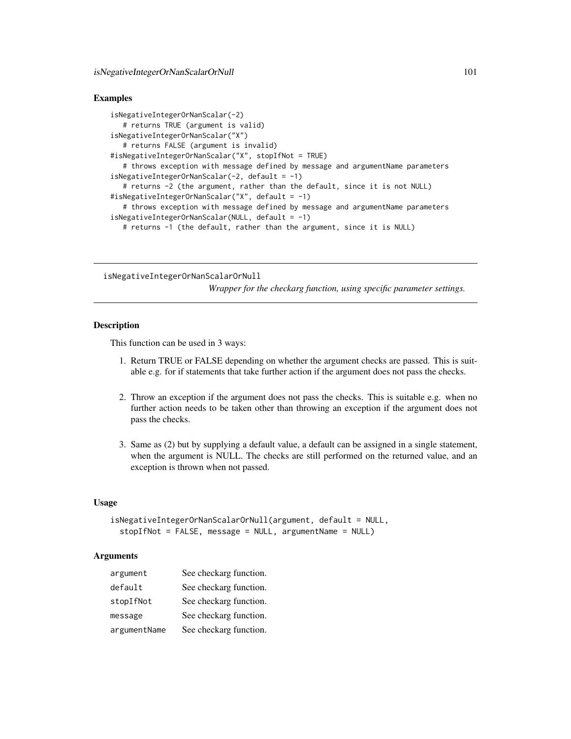## Examples

```
isNegativeIntegerOrNanScalar(-2)
   # returns TRUE (argument is valid)
isNegativeIntegerOrNanScalar("X")
   # returns FALSE (argument is invalid)
#isNegativeIntegerOrNanScalar("X", stopIfNot = TRUE)
   # throws exception with message defined by message and argumentName parameters
isNegativeIntegerOrNanScalar(-2, default = -1)
   # returns -2 (the argument, rather than the default, since it is not NULL)
#isNegativeIntegerOrNanScalar("X", default = -1)
   # throws exception with message defined by message and argumentName parameters
isNegativeIntegerOrNanScalar(NULL, default = -1)
  # returns -1 (the default, rather than the argument, since it is NULL)
```
isNegativeIntegerOrNanScalarOrNull

*Wrapper for the checkarg function, using specific parameter settings.*

## **Description**

This function can be used in 3 ways:

- 1. Return TRUE or FALSE depending on whether the argument checks are passed. This is suitable e.g. for if statements that take further action if the argument does not pass the checks.
- 2. Throw an exception if the argument does not pass the checks. This is suitable e.g. when no further action needs to be taken other than throwing an exception if the argument does not pass the checks.
- 3. Same as (2) but by supplying a default value, a default can be assigned in a single statement, when the argument is NULL. The checks are still performed on the returned value, and an exception is thrown when not passed.

## Usage

```
isNegativeIntegerOrNanScalarOrNull(argument, default = NULL,
 stopIfNot = FALSE, message = NULL, argumentName = NULL)
```
### **Arguments**

| argument     | See checkarg function. |
|--------------|------------------------|
| default      | See checkarg function. |
| stopIfNot    | See checkarg function. |
| message      | See checkarg function. |
| argumentName | See checkarg function. |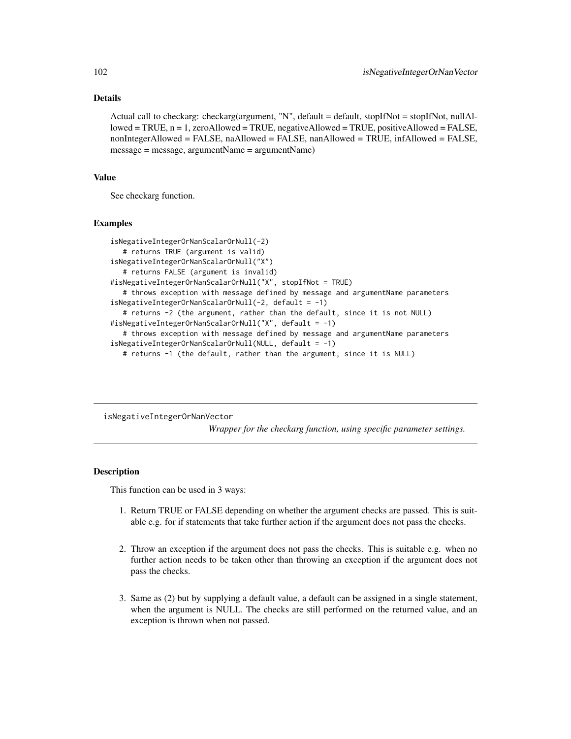# Details

```
Actual call to checkarg: checkarg(argument, "N", default = default, stopIfNot = stopIfNot, nullAl-
lowed = TRUE, n = 1, zeroAllowed = TRUE, negativeAllowed = TRUE, positiveAllowed = FALSE,
nonIntegerAllowed = FALSE, naAllowed = FALSE, nanAllowed = TRUE, infAllowed = FALSE,
message = message, argumentName = argumentName)
```
#### Value

See checkarg function.

#### Examples

```
isNegativeIntegerOrNanScalarOrNull(-2)
  # returns TRUE (argument is valid)
isNegativeIntegerOrNanScalarOrNull("X")
  # returns FALSE (argument is invalid)
#isNegativeIntegerOrNanScalarOrNull("X", stopIfNot = TRUE)
  # throws exception with message defined by message and argumentName parameters
isNegativeIntegerOrNanScalarOrNull(-2, default = -1)
  # returns -2 (the argument, rather than the default, since it is not NULL)
#isNegativeIntegerOrNanScalarOrNull("X", default = -1)
  # throws exception with message defined by message and argumentName parameters
isNegativeIntegerOrNanScalarOrNull(NULL, default = -1)
  # returns -1 (the default, rather than the argument, since it is NULL)
```
isNegativeIntegerOrNanVector

*Wrapper for the checkarg function, using specific parameter settings.*

# **Description**

This function can be used in 3 ways:

- 1. Return TRUE or FALSE depending on whether the argument checks are passed. This is suitable e.g. for if statements that take further action if the argument does not pass the checks.
- 2. Throw an exception if the argument does not pass the checks. This is suitable e.g. when no further action needs to be taken other than throwing an exception if the argument does not pass the checks.
- 3. Same as (2) but by supplying a default value, a default can be assigned in a single statement, when the argument is NULL. The checks are still performed on the returned value, and an exception is thrown when not passed.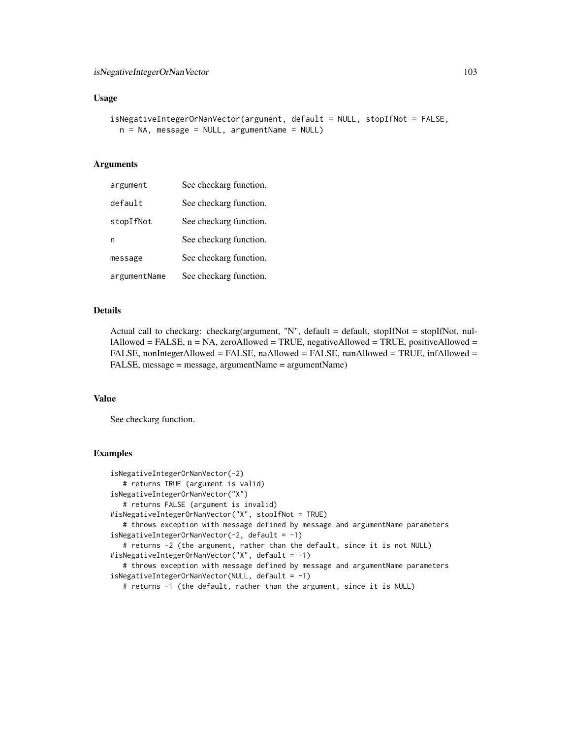### Usage

```
isNegativeIntegerOrNanVector(argument, default = NULL, stopIfNot = FALSE,
 n = NA, message = NULL, argumentName = NULL)
```
# Arguments

| argument     | See checkarg function. |
|--------------|------------------------|
| default      | See checkarg function. |
| stopIfNot    | See checkarg function. |
| n            | See checkarg function. |
| message      | See checkarg function. |
| argumentName | See checkarg function. |

## Details

Actual call to checkarg: checkarg(argument, "N", default = default, stopIfNot = stopIfNot, nullAllowed = FALSE, n = NA, zeroAllowed = TRUE, negativeAllowed = TRUE, positiveAllowed = FALSE, nonIntegerAllowed = FALSE, naAllowed = FALSE, nanAllowed = TRUE, infAllowed = FALSE, message = message, argumentName = argumentName)

#### Value

See checkarg function.

```
isNegativeIntegerOrNanVector(-2)
  # returns TRUE (argument is valid)
isNegativeIntegerOrNanVector("X")
  # returns FALSE (argument is invalid)
#isNegativeIntegerOrNanVector("X", stopIfNot = TRUE)
   # throws exception with message defined by message and argumentName parameters
isNegativeIntegerOrNanVector(-2, default = -1)
   # returns -2 (the argument, rather than the default, since it is not NULL)
#isNegativeIntegerOrNanVector("X", default = -1)
   # throws exception with message defined by message and argumentName parameters
isNegativeIntegerOrNanVector(NULL, default = -1)
   # returns -1 (the default, rather than the argument, since it is NULL)
```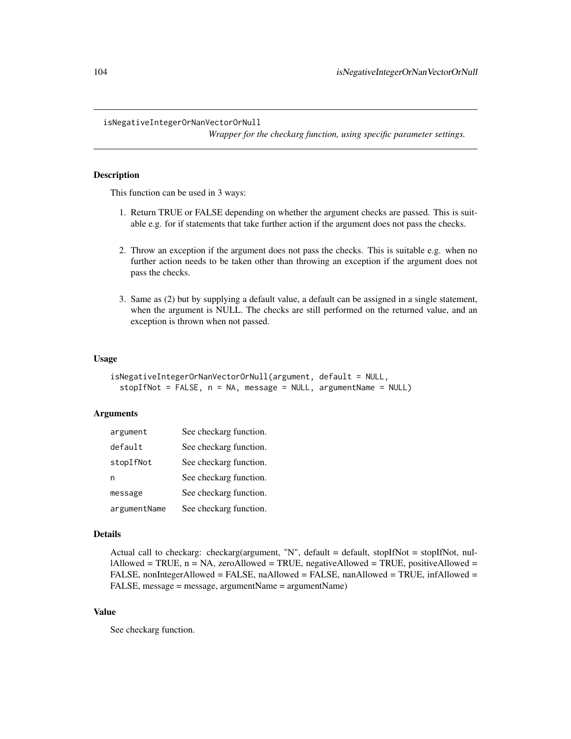isNegativeIntegerOrNanVectorOrNull

*Wrapper for the checkarg function, using specific parameter settings.*

# Description

This function can be used in 3 ways:

- 1. Return TRUE or FALSE depending on whether the argument checks are passed. This is suitable e.g. for if statements that take further action if the argument does not pass the checks.
- 2. Throw an exception if the argument does not pass the checks. This is suitable e.g. when no further action needs to be taken other than throwing an exception if the argument does not pass the checks.
- 3. Same as (2) but by supplying a default value, a default can be assigned in a single statement, when the argument is NULL. The checks are still performed on the returned value, and an exception is thrown when not passed.

#### Usage

```
isNegativeIntegerOrNanVectorOrNull(argument, default = NULL,
 stopIfNot = FALSE, n = NA, message = NULL, argumentName = NULL)
```
### **Arguments**

| argument     | See checkarg function. |
|--------------|------------------------|
| default      | See checkarg function. |
| stopIfNot    | See checkarg function. |
| n            | See checkarg function. |
| message      | See checkarg function. |
| argumentName | See checkarg function. |

#### Details

```
Actual call to checkarg: checkarg(argument, "N", default = default, stopIfNot = stopIfNot, nul-
lAllowed = TRUE, n = NA, zeroAllowed = TRUE, negativeAllowed = TRUE, positiveAllowed =
FALSE, nonIntegerAllowed = FALSE, naAllowed = FALSE, nanAllowed = TRUE, infAllowed =
FALSE, message = message, argumentName = argumentName)
```
# Value

See checkarg function.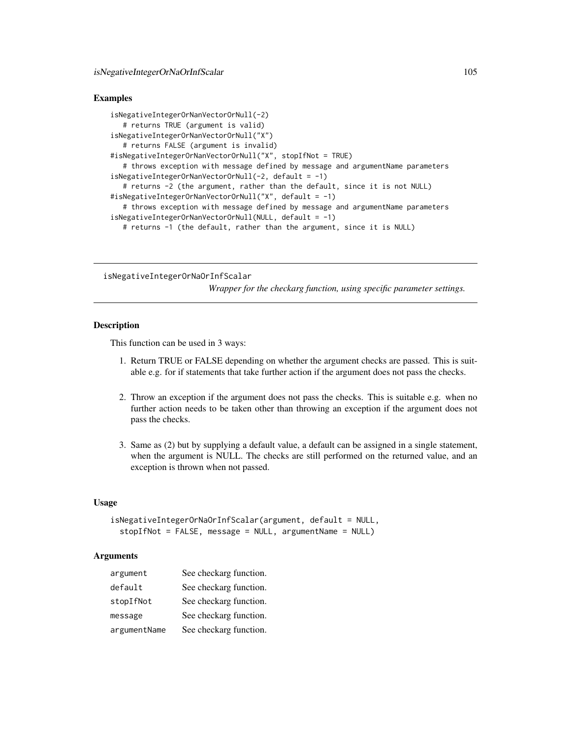## Examples

```
isNegativeIntegerOrNanVectorOrNull(-2)
   # returns TRUE (argument is valid)
isNegativeIntegerOrNanVectorOrNull("X")
   # returns FALSE (argument is invalid)
#isNegativeIntegerOrNanVectorOrNull("X", stopIfNot = TRUE)
   # throws exception with message defined by message and argumentName parameters
isNegativeIntegerOrNanVectorOrNull(-2, default = -1)
   # returns -2 (the argument, rather than the default, since it is not NULL)
#isNegativeIntegerOrNanVectorOrNull("X", default = -1)
   # throws exception with message defined by message and argumentName parameters
isNegativeIntegerOrNanVectorOrNull(NULL, default = -1)
  # returns -1 (the default, rather than the argument, since it is NULL)
```
isNegativeIntegerOrNaOrInfScalar

*Wrapper for the checkarg function, using specific parameter settings.*

### **Description**

This function can be used in 3 ways:

- 1. Return TRUE or FALSE depending on whether the argument checks are passed. This is suitable e.g. for if statements that take further action if the argument does not pass the checks.
- 2. Throw an exception if the argument does not pass the checks. This is suitable e.g. when no further action needs to be taken other than throwing an exception if the argument does not pass the checks.
- 3. Same as (2) but by supplying a default value, a default can be assigned in a single statement, when the argument is NULL. The checks are still performed on the returned value, and an exception is thrown when not passed.

## Usage

```
isNegativeIntegerOrNaOrInfScalar(argument, default = NULL,
 stopIfNot = FALSE, message = NULL, argumentName = NULL)
```
### **Arguments**

| argument     | See checkarg function. |
|--------------|------------------------|
| default      | See checkarg function. |
| stopIfNot    | See checkarg function. |
| message      | See checkarg function. |
| argumentName | See checkarg function. |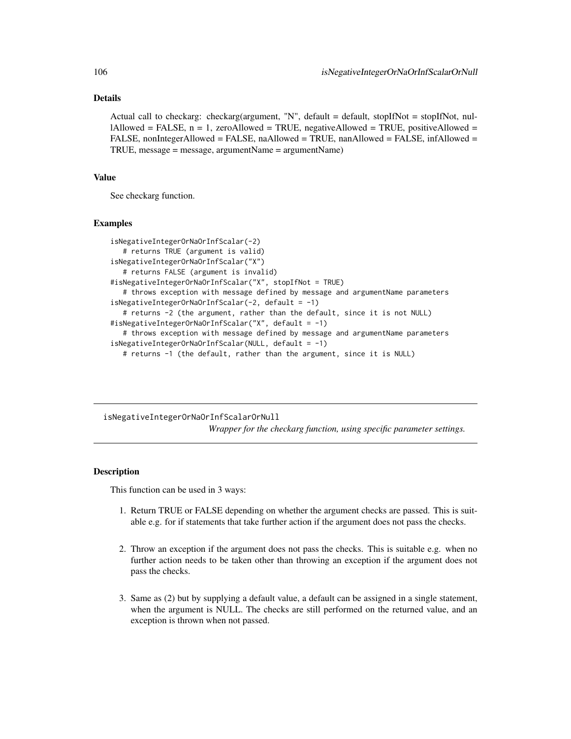# Details

Actual call to checkarg: checkarg(argument, "N", default = default, stopIfNot = stopIfNot, nullAllowed = FALSE, n = 1, zeroAllowed = TRUE, negativeAllowed = TRUE, positiveAllowed = FALSE, nonIntegerAllowed = FALSE, naAllowed = TRUE, nanAllowed = FALSE, infAllowed = TRUE, message = message, argumentName = argumentName)

### Value

See checkarg function.

#### Examples

```
isNegativeIntegerOrNaOrInfScalar(-2)
  # returns TRUE (argument is valid)
isNegativeIntegerOrNaOrInfScalar("X")
  # returns FALSE (argument is invalid)
#isNegativeIntegerOrNaOrInfScalar("X", stopIfNot = TRUE)
  # throws exception with message defined by message and argumentName parameters
isNegativeIntegerOrNaOrInfScalar(-2, default = -1)
  # returns -2 (the argument, rather than the default, since it is not NULL)
#isNegativeIntegerOrNaOrInfScalar("X", default = -1)
  # throws exception with message defined by message and argumentName parameters
isNegativeIntegerOrNaOrInfScalar(NULL, default = -1)
  # returns -1 (the default, rather than the argument, since it is NULL)
```
isNegativeIntegerOrNaOrInfScalarOrNull *Wrapper for the checkarg function, using specific parameter settings.*

# **Description**

This function can be used in 3 ways:

- 1. Return TRUE or FALSE depending on whether the argument checks are passed. This is suitable e.g. for if statements that take further action if the argument does not pass the checks.
- 2. Throw an exception if the argument does not pass the checks. This is suitable e.g. when no further action needs to be taken other than throwing an exception if the argument does not pass the checks.
- 3. Same as (2) but by supplying a default value, a default can be assigned in a single statement, when the argument is NULL. The checks are still performed on the returned value, and an exception is thrown when not passed.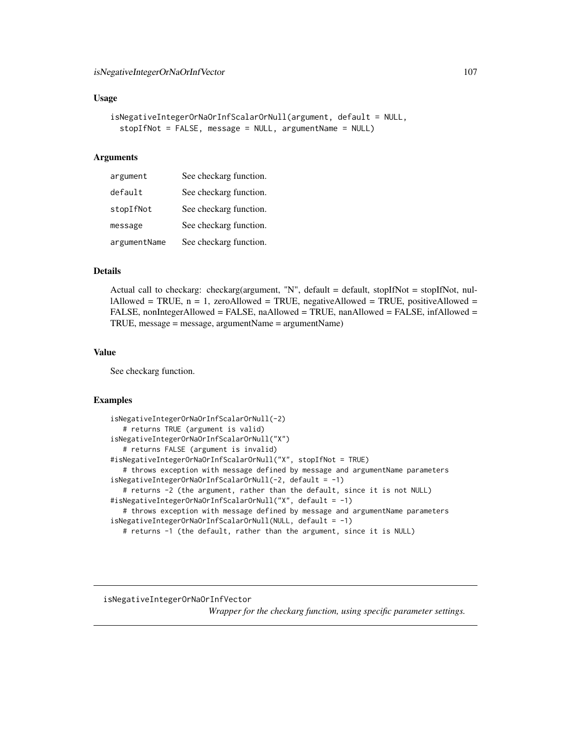### Usage

```
isNegativeIntegerOrNaOrInfScalarOrNull(argument, default = NULL,
  stopIfNot = FALSE, message = NULL, argumentName = NULL)
```
#### Arguments

| argument     | See checkarg function. |
|--------------|------------------------|
| default      | See checkarg function. |
| stopIfNot    | See checkarg function. |
| message      | See checkarg function. |
| argumentName | See checkarg function. |

# Details

Actual call to checkarg: checkarg(argument, "N", default = default, stopIfNot = stopIfNot, nullAllowed = TRUE,  $n = 1$ , zeroAllowed = TRUE, negativeAllowed = TRUE, positiveAllowed = FALSE, nonIntegerAllowed = FALSE, naAllowed = TRUE, nanAllowed = FALSE, infAllowed = TRUE, message = message, argumentName = argumentName)

### Value

See checkarg function.

# Examples

```
isNegativeIntegerOrNaOrInfScalarOrNull(-2)
   # returns TRUE (argument is valid)
isNegativeIntegerOrNaOrInfScalarOrNull("X")
   # returns FALSE (argument is invalid)
#isNegativeIntegerOrNaOrInfScalarOrNull("X", stopIfNot = TRUE)
   # throws exception with message defined by message and argumentName parameters
isNegativeIntegerOrNaOrInfScalarOrNull(-2, default = -1)
   # returns -2 (the argument, rather than the default, since it is not NULL)
#isNegativeIntegerOrNaOrInfScalarOrNull("X", default = -1)
   # throws exception with message defined by message and argumentName parameters
isNegativeIntegerOrNaOrInfScalarOrNull(NULL, default = -1)
  # returns -1 (the default, rather than the argument, since it is NULL)
```
isNegativeIntegerOrNaOrInfVector

*Wrapper for the checkarg function, using specific parameter settings.*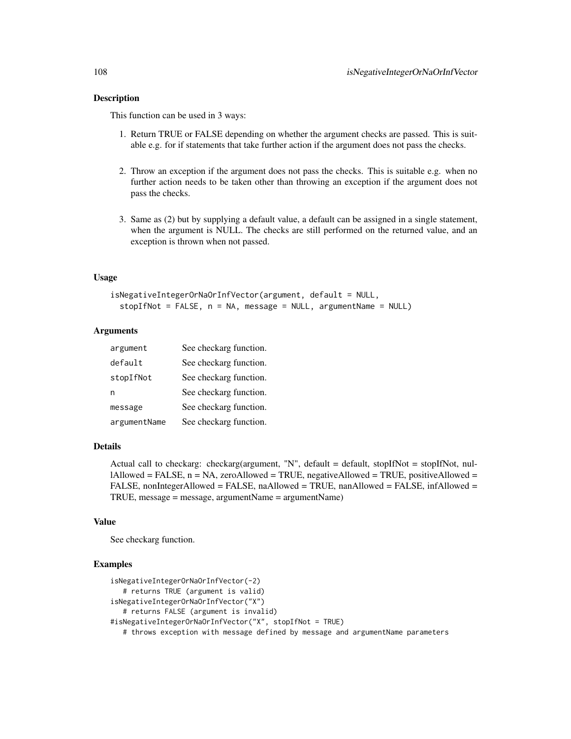### Description

This function can be used in 3 ways:

- 1. Return TRUE or FALSE depending on whether the argument checks are passed. This is suitable e.g. for if statements that take further action if the argument does not pass the checks.
- 2. Throw an exception if the argument does not pass the checks. This is suitable e.g. when no further action needs to be taken other than throwing an exception if the argument does not pass the checks.
- 3. Same as (2) but by supplying a default value, a default can be assigned in a single statement, when the argument is NULL. The checks are still performed on the returned value, and an exception is thrown when not passed.

#### Usage

```
isNegativeIntegerOrNaOrInfVector(argument, default = NULL,
 stopIfNot = FALSE, n = NA, message = NULL, argumentName = NULL)
```
## Arguments

| argument     | See checkarg function. |
|--------------|------------------------|
| default      | See checkarg function. |
| stopIfNot    | See checkarg function. |
| n            | See checkarg function. |
| message      | See checkarg function. |
| argumentName | See checkarg function. |

## Details

Actual call to checkarg: checkarg(argument, "N", default = default, stopIfNot = stopIfNot, nullAllowed = FALSE,  $n = NA$ , zeroAllowed = TRUE, negativeAllowed = TRUE, positiveAllowed = FALSE, nonIntegerAllowed = FALSE, naAllowed = TRUE, nanAllowed = FALSE, infAllowed = TRUE, message = message, argumentName = argumentName)

# Value

See checkarg function.

```
isNegativeIntegerOrNaOrInfVector(-2)
  # returns TRUE (argument is valid)
isNegativeIntegerOrNaOrInfVector("X")
  # returns FALSE (argument is invalid)
#isNegativeIntegerOrNaOrInfVector("X", stopIfNot = TRUE)
  # throws exception with message defined by message and argumentName parameters
```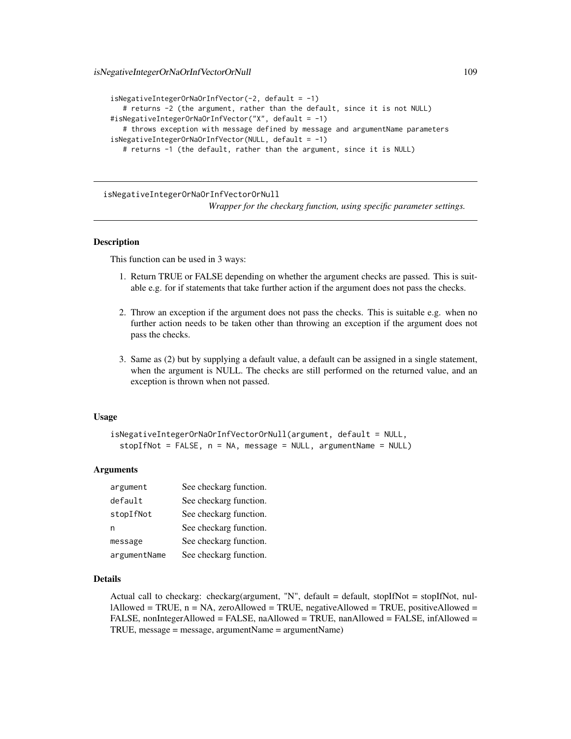```
isNegativeIntegerOrNaOrInfVector(-2, default = -1)
   # returns -2 (the argument, rather than the default, since it is not NULL)
#isNegativeIntegerOrNaOrInfVector("X", default = -1)
   # throws exception with message defined by message and argumentName parameters
isNegativeIntegerOrNaOrInfVector(NULL, default = -1)
  # returns -1 (the default, rather than the argument, since it is NULL)
```
isNegativeIntegerOrNaOrInfVectorOrNull

*Wrapper for the checkarg function, using specific parameter settings.*

# **Description**

This function can be used in 3 ways:

- 1. Return TRUE or FALSE depending on whether the argument checks are passed. This is suitable e.g. for if statements that take further action if the argument does not pass the checks.
- 2. Throw an exception if the argument does not pass the checks. This is suitable e.g. when no further action needs to be taken other than throwing an exception if the argument does not pass the checks.
- 3. Same as (2) but by supplying a default value, a default can be assigned in a single statement, when the argument is NULL. The checks are still performed on the returned value, and an exception is thrown when not passed.

### Usage

```
isNegativeIntegerOrNaOrInfVectorOrNull(argument, default = NULL,
 stopIfNot = FALSE, n = NA, message = NULL, argumentName = NULL)
```
### Arguments

| argument     | See checkarg function. |
|--------------|------------------------|
| default      | See checkarg function. |
| stopIfNot    | See checkarg function. |
| n            | See checkarg function. |
| message      | See checkarg function. |
| argumentName | See checkarg function. |

### Details

Actual call to checkarg: checkarg(argument, "N", default = default, stopIfNot = stopIfNot, nullAllowed = TRUE,  $n = NA$ , zeroAllowed = TRUE, negativeAllowed = TRUE, positiveAllowed = FALSE, nonIntegerAllowed = FALSE, naAllowed = TRUE, nanAllowed = FALSE, infAllowed = TRUE, message = message, argumentName = argumentName)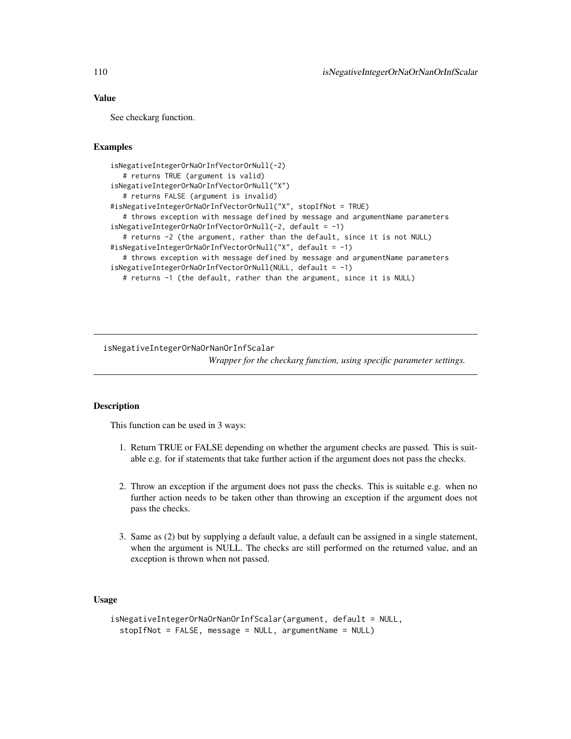# Value

See checkarg function.

# Examples

```
isNegativeIntegerOrNaOrInfVectorOrNull(-2)
  # returns TRUE (argument is valid)
isNegativeIntegerOrNaOrInfVectorOrNull("X")
  # returns FALSE (argument is invalid)
#isNegativeIntegerOrNaOrInfVectorOrNull("X", stopIfNot = TRUE)
  # throws exception with message defined by message and argumentName parameters
isNegativeIntegerOrNaOrInfVectorOrNull(-2, default = -1)
  # returns -2 (the argument, rather than the default, since it is not NULL)
#isNegativeIntegerOrNaOrInfVectorOrNull("X", default = -1)
  # throws exception with message defined by message and argumentName parameters
isNegativeIntegerOrNaOrInfVectorOrNull(NULL, default = -1)
  # returns -1 (the default, rather than the argument, since it is NULL)
```
isNegativeIntegerOrNaOrNanOrInfScalar

*Wrapper for the checkarg function, using specific parameter settings.*

### Description

This function can be used in 3 ways:

- 1. Return TRUE or FALSE depending on whether the argument checks are passed. This is suitable e.g. for if statements that take further action if the argument does not pass the checks.
- 2. Throw an exception if the argument does not pass the checks. This is suitable e.g. when no further action needs to be taken other than throwing an exception if the argument does not pass the checks.
- 3. Same as (2) but by supplying a default value, a default can be assigned in a single statement, when the argument is NULL. The checks are still performed on the returned value, and an exception is thrown when not passed.

# Usage

```
isNegativeIntegerOrNaOrNanOrInfScalar(argument, default = NULL,
 stopIfNot = FALSE, message = NULL, argumentName = NULL)
```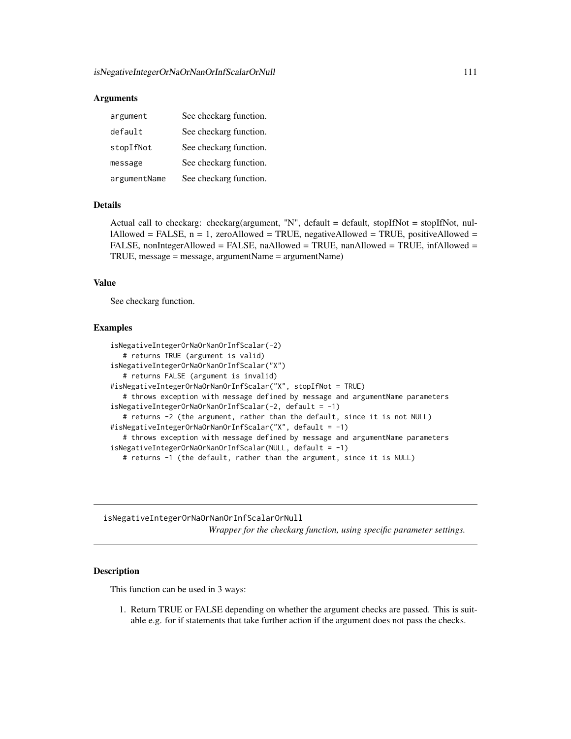## **Arguments**

| argument     | See checkarg function. |
|--------------|------------------------|
| default      | See checkarg function. |
| stopIfNot    | See checkarg function. |
| message      | See checkarg function. |
| argumentName | See checkarg function. |

# Details

Actual call to checkarg: checkarg(argument, "N", default = default, stopIfNot = stopIfNot, nullAllowed = FALSE,  $n = 1$ , zeroAllowed = TRUE, negativeAllowed = TRUE, positiveAllowed = FALSE, nonIntegerAllowed = FALSE, naAllowed = TRUE, nanAllowed = TRUE, infAllowed = TRUE, message = message, argumentName = argumentName)

# Value

See checkarg function.

# Examples

```
isNegativeIntegerOrNaOrNanOrInfScalar(-2)
  # returns TRUE (argument is valid)
isNegativeIntegerOrNaOrNanOrInfScalar("X")
  # returns FALSE (argument is invalid)
#isNegativeIntegerOrNaOrNanOrInfScalar("X", stopIfNot = TRUE)
  # throws exception with message defined by message and argumentName parameters
isNegativeIntegerOrNaOrNanOrInfScalar(-2, default = -1)
  # returns -2 (the argument, rather than the default, since it is not NULL)
#isNegativeIntegerOrNaOrNanOrInfScalar("X", default = -1)
  # throws exception with message defined by message and argumentName parameters
isNegativeIntegerOrNaOrNanOrInfScalar(NULL, default = -1)
```
# returns -1 (the default, rather than the argument, since it is NULL)

isNegativeIntegerOrNaOrNanOrInfScalarOrNull *Wrapper for the checkarg function, using specific parameter settings.*

#### **Description**

This function can be used in 3 ways:

1. Return TRUE or FALSE depending on whether the argument checks are passed. This is suitable e.g. for if statements that take further action if the argument does not pass the checks.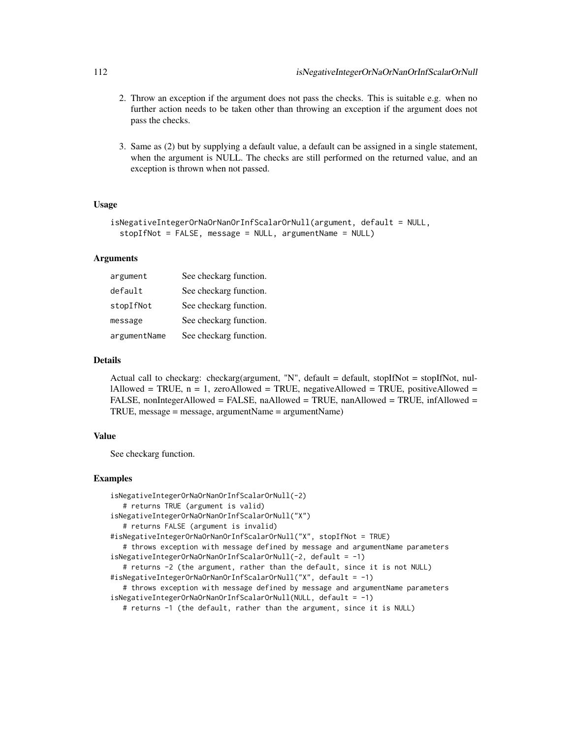- 2. Throw an exception if the argument does not pass the checks. This is suitable e.g. when no further action needs to be taken other than throwing an exception if the argument does not pass the checks.
- 3. Same as (2) but by supplying a default value, a default can be assigned in a single statement, when the argument is NULL. The checks are still performed on the returned value, and an exception is thrown when not passed.

# Usage

```
isNegativeIntegerOrNaOrNanOrInfScalarOrNull(argument, default = NULL,
  stopIfNot = FALSE, message = NULL, argumentName = NULL)
```
## Arguments

| argument     | See checkarg function. |
|--------------|------------------------|
| default      | See checkarg function. |
| stopIfNot    | See checkarg function. |
| message      | See checkarg function. |
| argumentName | See checkarg function. |

# Details

Actual call to checkarg: checkarg(argument, "N", default = default, stopIfNot = stopIfNot, nullAllowed = TRUE,  $n = 1$ , zeroAllowed = TRUE, negativeAllowed = TRUE, positiveAllowed = FALSE, nonIntegerAllowed = FALSE, naAllowed = TRUE, nanAllowed = TRUE, infAllowed = TRUE, message = message, argumentName = argumentName)

# Value

See checkarg function.

# Examples

```
isNegativeIntegerOrNaOrNanOrInfScalarOrNull(-2)
   # returns TRUE (argument is valid)
isNegativeIntegerOrNaOrNanOrInfScalarOrNull("X")
   # returns FALSE (argument is invalid)
#isNegativeIntegerOrNaOrNanOrInfScalarOrNull("X", stopIfNot = TRUE)
   # throws exception with message defined by message and argumentName parameters
isNegativeIntegerOrNaOrNanOrInfScalarOrNull(-2, default = -1)
   # returns -2 (the argument, rather than the default, since it is not NULL)
#isNegativeIntegerOrNaOrNanOrInfScalarOrNull("X", default = -1)
   # throws exception with message defined by message and argumentName parameters
isNegativeIntegerOrNaOrNanOrInfScalarOrNull(NULL, default = -1)
   # returns -1 (the default, rather than the argument, since it is NULL)
```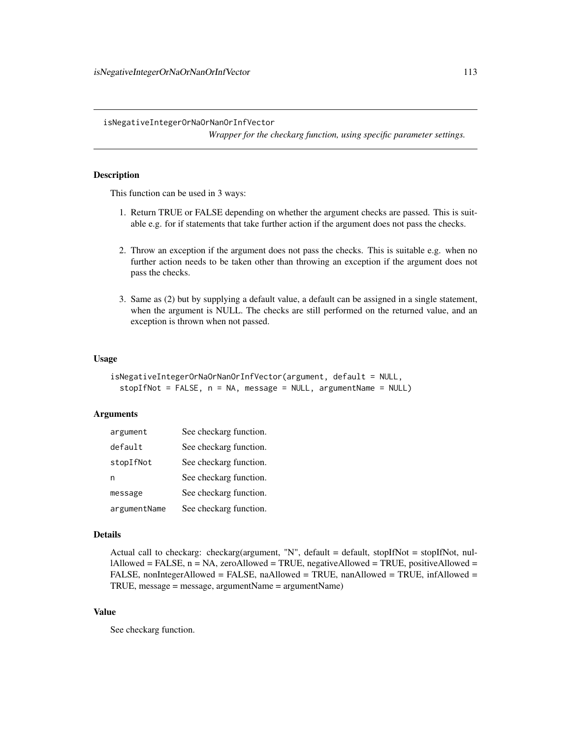isNegativeIntegerOrNaOrNanOrInfVector

*Wrapper for the checkarg function, using specific parameter settings.*

# **Description**

This function can be used in 3 ways:

- 1. Return TRUE or FALSE depending on whether the argument checks are passed. This is suitable e.g. for if statements that take further action if the argument does not pass the checks.
- 2. Throw an exception if the argument does not pass the checks. This is suitable e.g. when no further action needs to be taken other than throwing an exception if the argument does not pass the checks.
- 3. Same as (2) but by supplying a default value, a default can be assigned in a single statement, when the argument is NULL. The checks are still performed on the returned value, and an exception is thrown when not passed.

# Usage

```
isNegativeIntegerOrNaOrNanOrInfVector(argument, default = NULL,
 stopIfNot = FALSE, n = NA, message = NULL, argumentName = NULL)
```
# Arguments

| argument     | See checkarg function. |
|--------------|------------------------|
| default      | See checkarg function. |
| stopIfNot    | See checkarg function. |
| n            | See checkarg function. |
| message      | See checkarg function. |
| argumentName | See checkarg function. |

#### Details

```
Actual call to checkarg: checkarg(argument, "N", default = default, stopIfNot = stopIfNot, nul-
lAllowed = FALSE, n = NA, zeroAllowed = TRUE, negativeAllowed = TRUE, positiveAllowed =
FALSE, nonIntegerAllowed = FALSE, naAllowed = TRUE, nanAllowed = TRUE, infAllowed =
TRUE, message = message, argumentName = argumentName)
```
## Value

See checkarg function.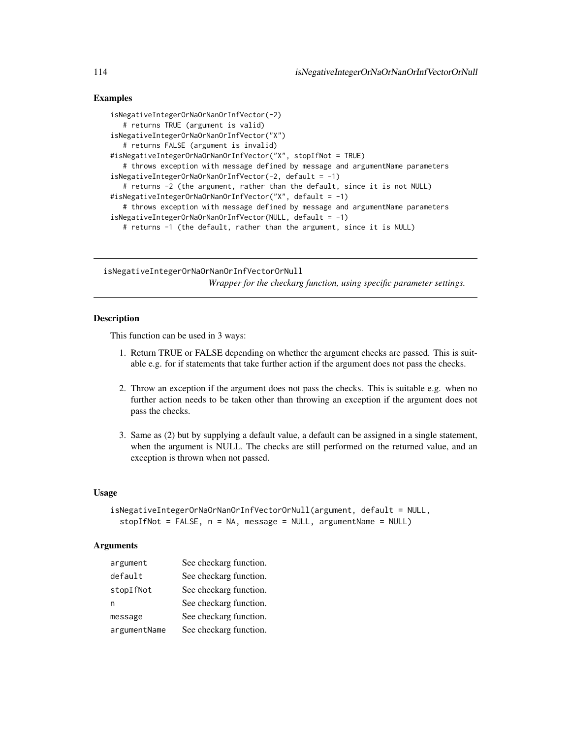# Examples

```
isNegativeIntegerOrNaOrNanOrInfVector(-2)
  # returns TRUE (argument is valid)
isNegativeIntegerOrNaOrNanOrInfVector("X")
  # returns FALSE (argument is invalid)
#isNegativeIntegerOrNaOrNanOrInfVector("X", stopIfNot = TRUE)
  # throws exception with message defined by message and argumentName parameters
isNegativeIntegerOrNaOrNanOrInfVector(-2, default = -1)
  # returns -2 (the argument, rather than the default, since it is not NULL)
#isNegativeIntegerOrNaOrNanOrInfVector("X", default = -1)
  # throws exception with message defined by message and argumentName parameters
isNegativeIntegerOrNaOrNanOrInfVector(NULL, default = -1)
  # returns -1 (the default, rather than the argument, since it is NULL)
```
isNegativeIntegerOrNaOrNanOrInfVectorOrNull *Wrapper for the checkarg function, using specific parameter settings.*

# Description

This function can be used in 3 ways:

- 1. Return TRUE or FALSE depending on whether the argument checks are passed. This is suitable e.g. for if statements that take further action if the argument does not pass the checks.
- 2. Throw an exception if the argument does not pass the checks. This is suitable e.g. when no further action needs to be taken other than throwing an exception if the argument does not pass the checks.
- 3. Same as (2) but by supplying a default value, a default can be assigned in a single statement, when the argument is NULL. The checks are still performed on the returned value, and an exception is thrown when not passed.

## Usage

```
isNegativeIntegerOrNaOrNanOrInfVectorOrNull(argument, default = NULL,
 stopIfNot = FALSE, n = NA, message = NULL, argumentName = NULL)
```
### **Arguments**

| argument     | See checkarg function. |
|--------------|------------------------|
| default      | See checkarg function. |
| stopIfNot    | See checkarg function. |
| n            | See checkarg function. |
| message      | See checkarg function. |
| argumentName | See checkarg function. |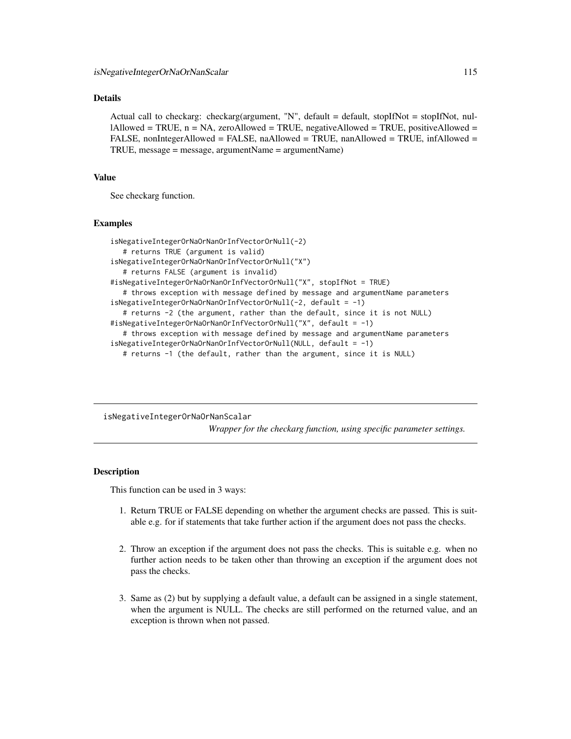# Details

Actual call to checkarg: checkarg(argument, "N", default = default, stopIfNot = stopIfNot, nullAllowed = TRUE,  $n = NA$ , zeroAllowed = TRUE, negativeAllowed = TRUE, positiveAllowed = FALSE, nonIntegerAllowed = FALSE, naAllowed = TRUE, nanAllowed = TRUE, infAllowed = TRUE, message = message, argumentName = argumentName)

### Value

See checkarg function.

#### Examples

```
isNegativeIntegerOrNaOrNanOrInfVectorOrNull(-2)
  # returns TRUE (argument is valid)
isNegativeIntegerOrNaOrNanOrInfVectorOrNull("X")
  # returns FALSE (argument is invalid)
#isNegativeIntegerOrNaOrNanOrInfVectorOrNull("X", stopIfNot = TRUE)
  # throws exception with message defined by message and argumentName parameters
isNegativeIntegerOrNaOrNanOrInfVectorOrNull(-2, default = -1)
  # returns -2 (the argument, rather than the default, since it is not NULL)
#isNegativeIntegerOrNaOrNanOrInfVectorOrNull("X", default = -1)
  # throws exception with message defined by message and argumentName parameters
isNegativeIntegerOrNaOrNanOrInfVectorOrNull(NULL, default = -1)
  # returns -1 (the default, rather than the argument, since it is NULL)
```
isNegativeIntegerOrNaOrNanScalar

*Wrapper for the checkarg function, using specific parameter settings.*

# Description

This function can be used in 3 ways:

- 1. Return TRUE or FALSE depending on whether the argument checks are passed. This is suitable e.g. for if statements that take further action if the argument does not pass the checks.
- 2. Throw an exception if the argument does not pass the checks. This is suitable e.g. when no further action needs to be taken other than throwing an exception if the argument does not pass the checks.
- 3. Same as (2) but by supplying a default value, a default can be assigned in a single statement, when the argument is NULL. The checks are still performed on the returned value, and an exception is thrown when not passed.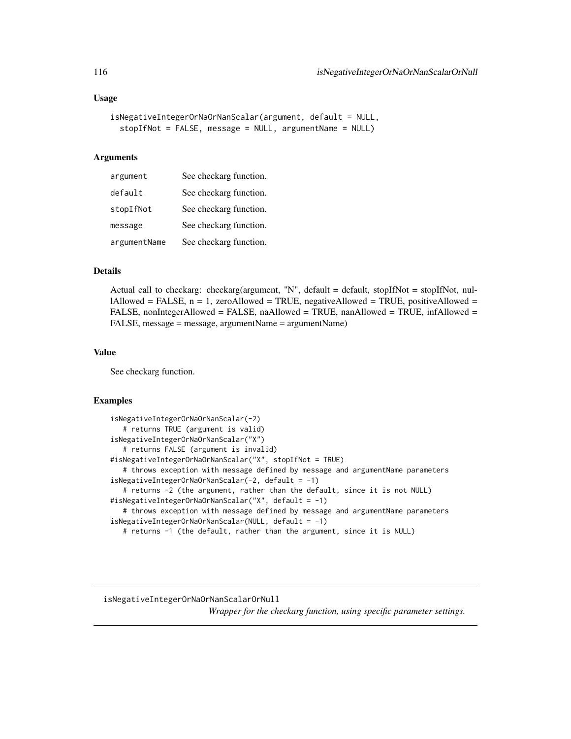### Usage

```
isNegativeIntegerOrNaOrNanScalar(argument, default = NULL,
  stopIfNot = FALSE, message = NULL, argumentName = NULL)
```
### Arguments

| argument     | See checkarg function. |
|--------------|------------------------|
| default      | See checkarg function. |
| stopIfNot    | See checkarg function. |
| message      | See checkarg function. |
| argumentName | See checkarg function. |

# Details

Actual call to checkarg: checkarg(argument, "N", default = default, stopIfNot = stopIfNot, nullAllowed = FALSE,  $n = 1$ , zeroAllowed = TRUE, negativeAllowed = TRUE, positiveAllowed = FALSE, nonIntegerAllowed = FALSE, naAllowed = TRUE, nanAllowed = TRUE, infAllowed = FALSE, message = message, argumentName = argumentName)

### Value

See checkarg function.

# Examples

```
isNegativeIntegerOrNaOrNanScalar(-2)
   # returns TRUE (argument is valid)
isNegativeIntegerOrNaOrNanScalar("X")
   # returns FALSE (argument is invalid)
#isNegativeIntegerOrNaOrNanScalar("X", stopIfNot = TRUE)
   # throws exception with message defined by message and argumentName parameters
isNegativeIntegerOrNaOrNanScalar(-2, default = -1)
   # returns -2 (the argument, rather than the default, since it is not NULL)
#isNegativeIntegerOrNaOrNanScalar("X", default = -1)
  # throws exception with message defined by message and argumentName parameters
isNegativeIntegerOrNaOrNanScalar(NULL, default = -1)
  # returns -1 (the default, rather than the argument, since it is NULL)
```
isNegativeIntegerOrNaOrNanScalarOrNull *Wrapper for the checkarg function, using specific parameter settings.*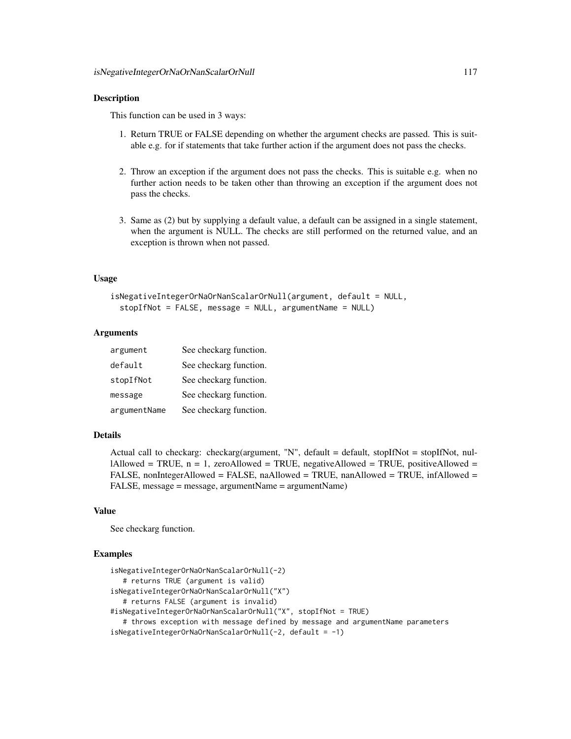### Description

This function can be used in 3 ways:

- 1. Return TRUE or FALSE depending on whether the argument checks are passed. This is suitable e.g. for if statements that take further action if the argument does not pass the checks.
- 2. Throw an exception if the argument does not pass the checks. This is suitable e.g. when no further action needs to be taken other than throwing an exception if the argument does not pass the checks.
- 3. Same as (2) but by supplying a default value, a default can be assigned in a single statement, when the argument is NULL. The checks are still performed on the returned value, and an exception is thrown when not passed.

### Usage

```
isNegativeIntegerOrNaOrNanScalarOrNull(argument, default = NULL,
 stopIfNot = FALSE, message = NULL, argumentName = NULL)
```
## Arguments

| argument     | See checkarg function. |
|--------------|------------------------|
| default      | See checkarg function. |
| stopIfNot    | See checkarg function. |
| message      | See checkarg function. |
| argumentName | See checkarg function. |

### Details

Actual call to checkarg: checkarg(argument, "N", default = default, stopIfNot = stopIfNot, nullAllowed = TRUE,  $n = 1$ , zeroAllowed = TRUE, negativeAllowed = TRUE, positiveAllowed = FALSE, nonIntegerAllowed = FALSE, naAllowed = TRUE, nanAllowed = TRUE, infAllowed = FALSE, message = message, argumentName = argumentName)

### Value

See checkarg function.

## Examples

```
isNegativeIntegerOrNaOrNanScalarOrNull(-2)
   # returns TRUE (argument is valid)
isNegativeIntegerOrNaOrNanScalarOrNull("X")
   # returns FALSE (argument is invalid)
#isNegativeIntegerOrNaOrNanScalarOrNull("X", stopIfNot = TRUE)
   # throws exception with message defined by message and argumentName parameters
isNegativeIntegerOrNaOrNanScalarOrNull(-2, default = -1)
```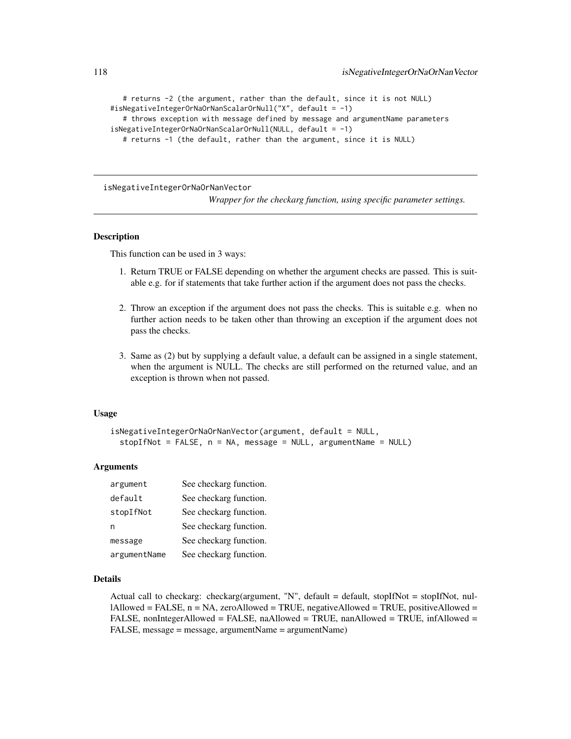```
# returns -2 (the argument, rather than the default, since it is not NULL)
#isNegativeIntegerOrNaOrNanScalarOrNull("X", default = -1)
  # throws exception with message defined by message and argumentName parameters
isNegativeIntegerOrNaOrNanScalarOrNull(NULL, default = -1)
  # returns -1 (the default, rather than the argument, since it is NULL)
```
isNegativeIntegerOrNaOrNanVector

*Wrapper for the checkarg function, using specific parameter settings.*

#### Description

This function can be used in 3 ways:

- 1. Return TRUE or FALSE depending on whether the argument checks are passed. This is suitable e.g. for if statements that take further action if the argument does not pass the checks.
- 2. Throw an exception if the argument does not pass the checks. This is suitable e.g. when no further action needs to be taken other than throwing an exception if the argument does not pass the checks.
- 3. Same as (2) but by supplying a default value, a default can be assigned in a single statement, when the argument is NULL. The checks are still performed on the returned value, and an exception is thrown when not passed.

### Usage

```
isNegativeIntegerOrNaOrNanVector(argument, default = NULL,
 stopIfNot = FALSE, n = NA, message = NULL, argumentName = NULL)
```
#### Arguments

| argument     | See checkarg function. |
|--------------|------------------------|
| default      | See checkarg function. |
| stopIfNot    | See checkarg function. |
| n            | See checkarg function. |
| message      | See checkarg function. |
| argumentName | See checkarg function. |

#### Details

Actual call to checkarg: checkarg(argument, "N", default = default, stopIfNot = stopIfNot, nullAllowed = FALSE,  $n = NA$ , zeroAllowed = TRUE, negativeAllowed = TRUE, positiveAllowed = FALSE, nonIntegerAllowed = FALSE, naAllowed = TRUE, nanAllowed = TRUE, infAllowed = FALSE, message = message, argumentName = argumentName)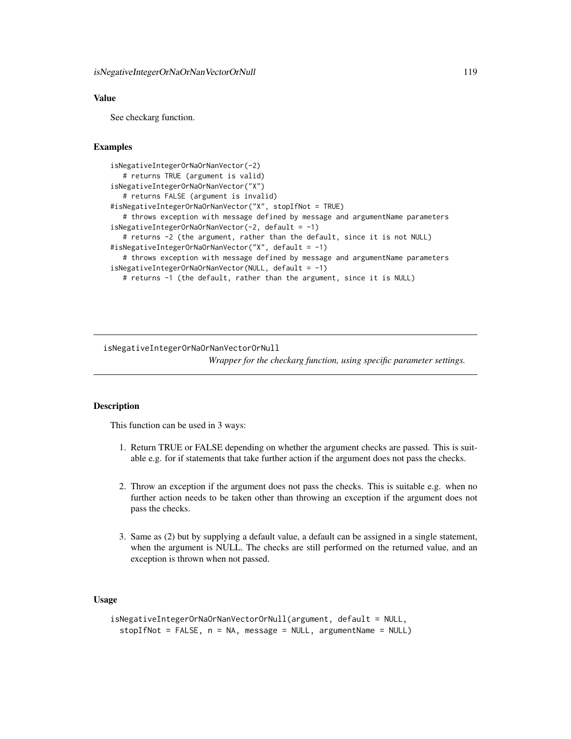# Value

See checkarg function.

# Examples

```
isNegativeIntegerOrNaOrNanVector(-2)
  # returns TRUE (argument is valid)
isNegativeIntegerOrNaOrNanVector("X")
  # returns FALSE (argument is invalid)
#isNegativeIntegerOrNaOrNanVector("X", stopIfNot = TRUE)
  # throws exception with message defined by message and argumentName parameters
isNegativeIntegerOrNaOrNanVector(-2, default = -1)
  # returns -2 (the argument, rather than the default, since it is not NULL)
#isNegativeIntegerOrNaOrNanVector("X", default = -1)
  # throws exception with message defined by message and argumentName parameters
isNegativeIntegerOrNaOrNanVector(NULL, default = -1)# returns -1 (the default, rather than the argument, since it is NULL)
```
isNegativeIntegerOrNaOrNanVectorOrNull

*Wrapper for the checkarg function, using specific parameter settings.*

# **Description**

This function can be used in 3 ways:

- 1. Return TRUE or FALSE depending on whether the argument checks are passed. This is suitable e.g. for if statements that take further action if the argument does not pass the checks.
- 2. Throw an exception if the argument does not pass the checks. This is suitable e.g. when no further action needs to be taken other than throwing an exception if the argument does not pass the checks.
- 3. Same as (2) but by supplying a default value, a default can be assigned in a single statement, when the argument is NULL. The checks are still performed on the returned value, and an exception is thrown when not passed.

# Usage

```
isNegativeIntegerOrNaOrNanVectorOrNull(argument, default = NULL,
 stopIfNot = FALSE, n = NA, message = NULL, argumentName = NULL)
```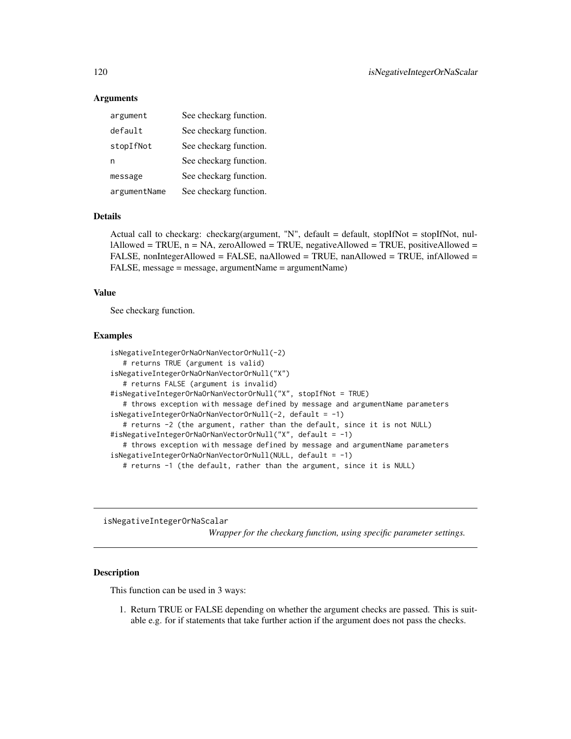### Arguments

| argument     | See checkarg function. |
|--------------|------------------------|
| default      | See checkarg function. |
| stopIfNot    | See checkarg function. |
| n            | See checkarg function. |
| message      | See checkarg function. |
| argumentName | See checkarg function. |

### Details

Actual call to checkarg: checkarg(argument, "N", default = default, stopIfNot = stopIfNot, nullAllowed = TRUE,  $n = NA$ , zeroAllowed = TRUE, negativeAllowed = TRUE, positiveAllowed = FALSE, nonIntegerAllowed = FALSE, naAllowed = TRUE, nanAllowed = TRUE, infAllowed = FALSE, message = message, argumentName = argumentName)

#### Value

See checkarg function.

#### Examples

```
isNegativeIntegerOrNaOrNanVectorOrNull(-2)
   # returns TRUE (argument is valid)
isNegativeIntegerOrNaOrNanVectorOrNull("X")
   # returns FALSE (argument is invalid)
#isNegativeIntegerOrNaOrNanVectorOrNull("X", stopIfNot = TRUE)
   # throws exception with message defined by message and argumentName parameters
isNegativeIntegerOrNaOrNanVectorOrNull(-2, default = -1)
   # returns -2 (the argument, rather than the default, since it is not NULL)
#isNegativeIntegerOrNaOrNanVectorOrNull("X", default = -1)
  # throws exception with message defined by message and argumentName parameters
isNegativeIntegerOrNaOrNanVectorOrNull(NULL, default = -1)
  # returns -1 (the default, rather than the argument, since it is NULL)
```
isNegativeIntegerOrNaScalar

*Wrapper for the checkarg function, using specific parameter settings.*

# Description

This function can be used in 3 ways:

1. Return TRUE or FALSE depending on whether the argument checks are passed. This is suitable e.g. for if statements that take further action if the argument does not pass the checks.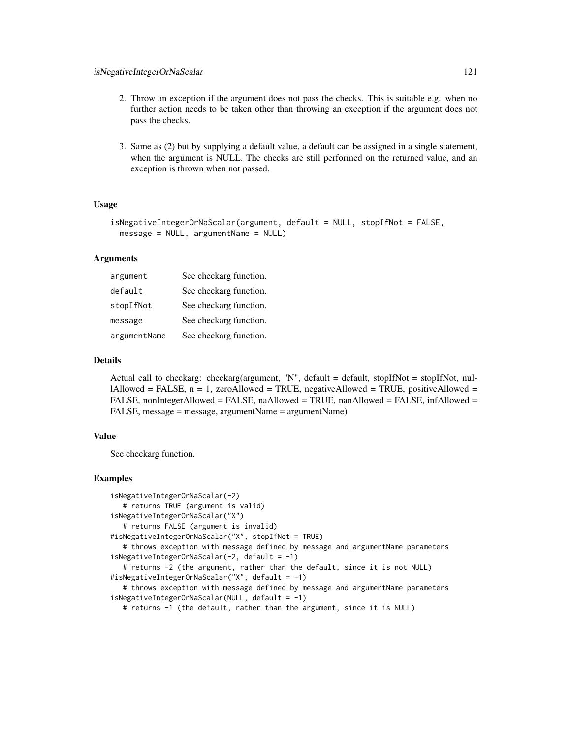- 2. Throw an exception if the argument does not pass the checks. This is suitable e.g. when no further action needs to be taken other than throwing an exception if the argument does not pass the checks.
- 3. Same as (2) but by supplying a default value, a default can be assigned in a single statement, when the argument is NULL. The checks are still performed on the returned value, and an exception is thrown when not passed.

# Usage

```
isNegativeIntegerOrNaScalar(argument, default = NULL, stopIfNot = FALSE,
 message = NULL, argumentName = NULL)
```
### Arguments

| argument     | See checkarg function. |
|--------------|------------------------|
| default      | See checkarg function. |
| stopIfNot    | See checkarg function. |
| message      | See checkarg function. |
| argumentName | See checkarg function. |

# Details

Actual call to checkarg: checkarg(argument, "N", default = default, stopIfNot = stopIfNot, nullAllowed = FALSE,  $n = 1$ , zeroAllowed = TRUE, negativeAllowed = TRUE, positiveAllowed = FALSE, nonIntegerAllowed = FALSE, naAllowed = TRUE, nanAllowed = FALSE, infAllowed = FALSE, message = message, argumentName = argumentName)

# Value

See checkarg function.

## Examples

```
isNegativeIntegerOrNaScalar(-2)
   # returns TRUE (argument is valid)
isNegativeIntegerOrNaScalar("X")
   # returns FALSE (argument is invalid)
#isNegativeIntegerOrNaScalar("X", stopIfNot = TRUE)
   # throws exception with message defined by message and argumentName parameters
isNegativeIntegerOrNaScalar(-2, default = -1)
   # returns -2 (the argument, rather than the default, since it is not NULL)
#isNegativeIntegerOrNaScalar("X", default = -1)
   # throws exception with message defined by message and argumentName parameters
isNegativeIntegerOrNaScalar(NULL, default = -1)
   # returns -1 (the default, rather than the argument, since it is NULL)
```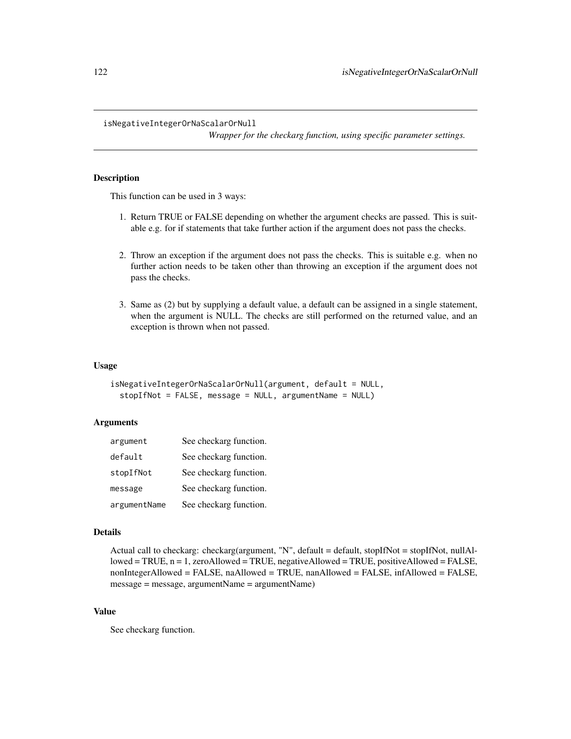#### isNegativeIntegerOrNaScalarOrNull

*Wrapper for the checkarg function, using specific parameter settings.*

### Description

This function can be used in 3 ways:

- 1. Return TRUE or FALSE depending on whether the argument checks are passed. This is suitable e.g. for if statements that take further action if the argument does not pass the checks.
- 2. Throw an exception if the argument does not pass the checks. This is suitable e.g. when no further action needs to be taken other than throwing an exception if the argument does not pass the checks.
- 3. Same as (2) but by supplying a default value, a default can be assigned in a single statement, when the argument is NULL. The checks are still performed on the returned value, and an exception is thrown when not passed.

#### Usage

```
isNegativeIntegerOrNaScalarOrNull(argument, default = NULL,
 stopIfNot = FALSE, message = NULL, argumentName = NULL)
```
## **Arguments**

| argument     | See checkarg function. |
|--------------|------------------------|
| default      | See checkarg function. |
| stopIfNot    | See checkarg function. |
| message      | See checkarg function. |
| argumentName | See checkarg function. |

#### Details

```
Actual call to checkarg: checkarg(argument, "N", default = default, stopIfNot = stopIfNot, nullAl-
lowed = TRUE, n = 1, zeroAllowed = TRUE, negativeAllowed = TRUE, positiveAllowed = FALSE,
nonIntegerAllowed = FALSE, naAllowed = TRUE, nanAllowed = FALSE, infAllowed = FALSE,
message = message, argumentName = argumentName)
```
# Value

See checkarg function.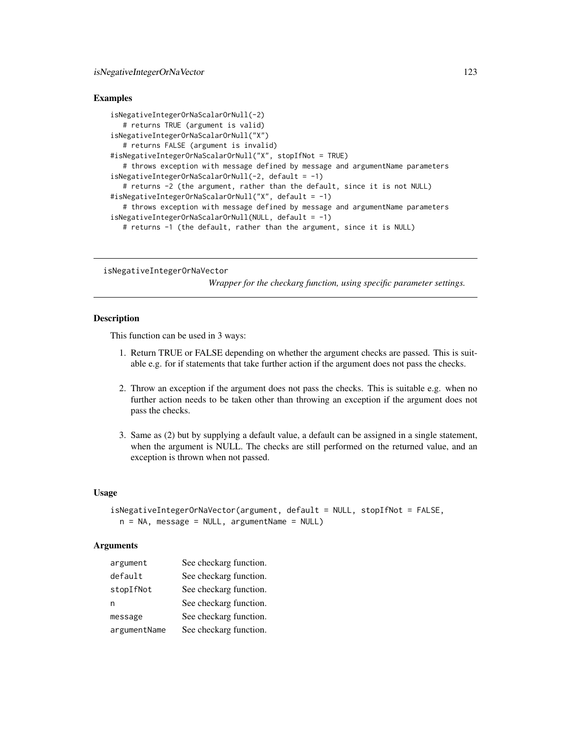## Examples

```
isNegativeIntegerOrNaScalarOrNull(-2)
  # returns TRUE (argument is valid)
isNegativeIntegerOrNaScalarOrNull("X")
   # returns FALSE (argument is invalid)
#isNegativeIntegerOrNaScalarOrNull("X", stopIfNot = TRUE)
   # throws exception with message defined by message and argumentName parameters
isNegativeIntegerOrNaScalarOrNull(-2, default = -1)
   # returns -2 (the argument, rather than the default, since it is not NULL)
#isNegativeIntegerOrNaScalarOrNull("X", default = -1)
   # throws exception with message defined by message and argumentName parameters
isNegativeIntegerOrNaScalarOrNull(NULL, default = -1)
  # returns -1 (the default, rather than the argument, since it is NULL)
```
isNegativeIntegerOrNaVector

*Wrapper for the checkarg function, using specific parameter settings.*

# Description

This function can be used in 3 ways:

- 1. Return TRUE or FALSE depending on whether the argument checks are passed. This is suitable e.g. for if statements that take further action if the argument does not pass the checks.
- 2. Throw an exception if the argument does not pass the checks. This is suitable e.g. when no further action needs to be taken other than throwing an exception if the argument does not pass the checks.
- 3. Same as (2) but by supplying a default value, a default can be assigned in a single statement, when the argument is NULL. The checks are still performed on the returned value, and an exception is thrown when not passed.

## Usage

```
isNegativeIntegerOrNaVector(argument, default = NULL, stopIfNot = FALSE,
 n = NA, message = NULL, argumentName = NULL)
```
# **Arguments**

| argument     | See checkarg function. |
|--------------|------------------------|
| default      | See checkarg function. |
| stopIfNot    | See checkarg function. |
| n            | See checkarg function. |
| message      | See checkarg function. |
| argumentName | See checkarg function. |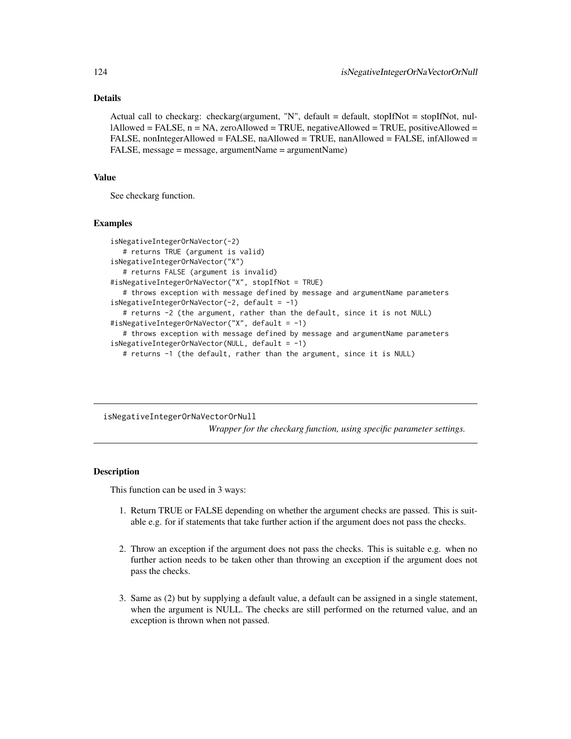# Details

Actual call to checkarg: checkarg(argument, "N", default = default, stopIfNot = stopIfNot, nullAllowed = FALSE, n = NA, zeroAllowed = TRUE, negativeAllowed = TRUE, positiveAllowed = FALSE, nonIntegerAllowed = FALSE, naAllowed = TRUE, nanAllowed = FALSE, infAllowed = FALSE, message = message, argumentName = argumentName)

## Value

See checkarg function.

## Examples

```
isNegativeIntegerOrNaVector(-2)
  # returns TRUE (argument is valid)
isNegativeIntegerOrNaVector("X")
  # returns FALSE (argument is invalid)
#isNegativeIntegerOrNaVector("X", stopIfNot = TRUE)
  # throws exception with message defined by message and argumentName parameters
isNegativeIntegerOrNaVector(-2, default = -1)
  # returns -2 (the argument, rather than the default, since it is not NULL)
#isNegativeIntegerOrNaVector("X", default = -1)
  # throws exception with message defined by message and argumentName parameters
isNegativeIntegerOrNaVector(NULL, default = -1)
  # returns -1 (the default, rather than the argument, since it is NULL)
```
isNegativeIntegerOrNaVectorOrNull *Wrapper for the checkarg function, using specific parameter settings.*

# **Description**

This function can be used in 3 ways:

- 1. Return TRUE or FALSE depending on whether the argument checks are passed. This is suitable e.g. for if statements that take further action if the argument does not pass the checks.
- 2. Throw an exception if the argument does not pass the checks. This is suitable e.g. when no further action needs to be taken other than throwing an exception if the argument does not pass the checks.
- 3. Same as (2) but by supplying a default value, a default can be assigned in a single statement, when the argument is NULL. The checks are still performed on the returned value, and an exception is thrown when not passed.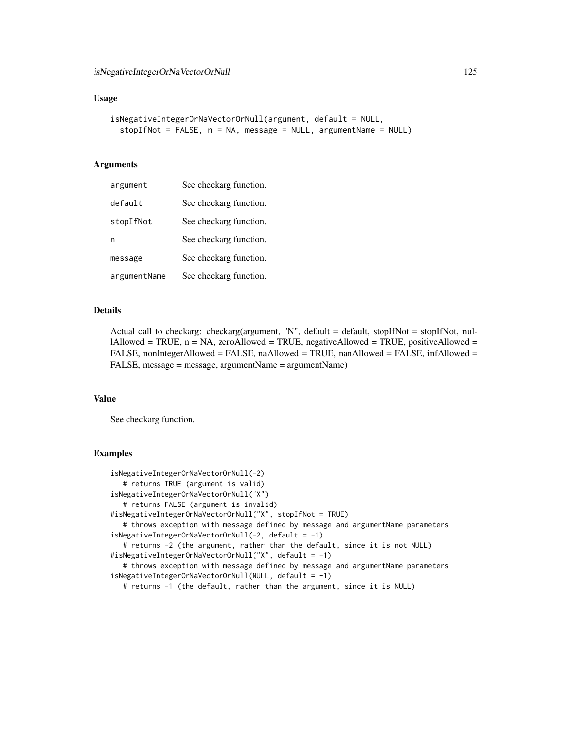### Usage

```
isNegativeIntegerOrNaVectorOrNull(argument, default = NULL,
  stopIfNot = FALSE, n = NA, message = NULL, argumentName = NULL)
```
# Arguments

| argument     | See checkarg function. |
|--------------|------------------------|
| default      | See checkarg function. |
| stopIfNot    | See checkarg function. |
| n            | See checkarg function. |
| message      | See checkarg function. |
| argumentName | See checkarg function. |

### Details

Actual call to checkarg: checkarg(argument, "N", default = default, stopIfNot = stopIfNot, nullAllowed = TRUE,  $n = NA$ , zeroAllowed = TRUE, negativeAllowed = TRUE, positiveAllowed = FALSE, nonIntegerAllowed = FALSE, naAllowed = TRUE, nanAllowed = FALSE, infAllowed = FALSE, message = message, argumentName = argumentName)

#### Value

See checkarg function.

### Examples

```
isNegativeIntegerOrNaVectorOrNull(-2)
  # returns TRUE (argument is valid)
isNegativeIntegerOrNaVectorOrNull("X")
  # returns FALSE (argument is invalid)
#isNegativeIntegerOrNaVectorOrNull("X", stopIfNot = TRUE)
   # throws exception with message defined by message and argumentName parameters
isNegativeIntegerOrNaVectorOrNull(-2, default = -1)
   # returns -2 (the argument, rather than the default, since it is not NULL)
#isNegativeIntegerOrNaVectorOrNull("X", default = -1)
   # throws exception with message defined by message and argumentName parameters
isNegativeIntegerOrNaVectorOrNull(NULL, default = -1)
```
# returns -1 (the default, rather than the argument, since it is NULL)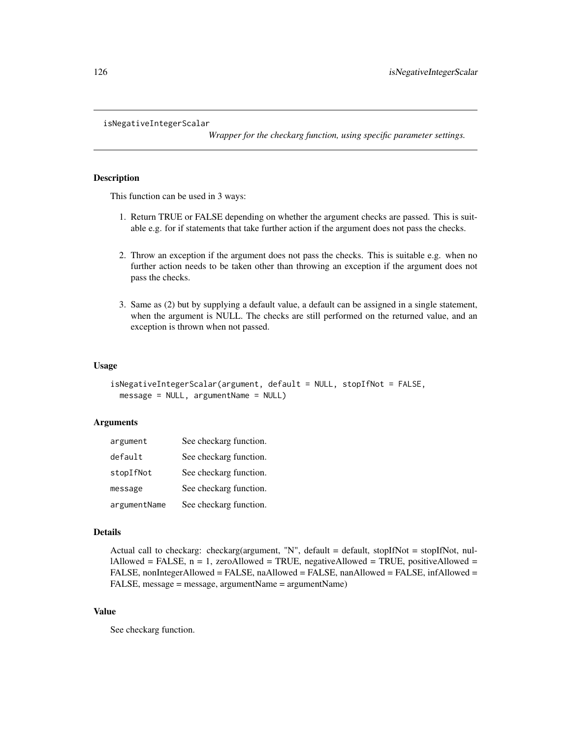isNegativeIntegerScalar

*Wrapper for the checkarg function, using specific parameter settings.*

# Description

This function can be used in 3 ways:

- 1. Return TRUE or FALSE depending on whether the argument checks are passed. This is suitable e.g. for if statements that take further action if the argument does not pass the checks.
- 2. Throw an exception if the argument does not pass the checks. This is suitable e.g. when no further action needs to be taken other than throwing an exception if the argument does not pass the checks.
- 3. Same as (2) but by supplying a default value, a default can be assigned in a single statement, when the argument is NULL. The checks are still performed on the returned value, and an exception is thrown when not passed.

#### Usage

```
isNegativeIntegerScalar(argument, default = NULL, stopIfNot = FALSE,
 message = NULL, argumentName = NULL)
```
## **Arguments**

| argument     | See checkarg function. |
|--------------|------------------------|
| default      | See checkarg function. |
| stopIfNot    | See checkarg function. |
| message      | See checkarg function. |
| argumentName | See checkarg function. |

#### Details

Actual call to checkarg: checkarg(argument, "N", default = default, stopIfNot = stopIfNot, nullAllowed = FALSE,  $n = 1$ , zeroAllowed = TRUE, negativeAllowed = TRUE, positiveAllowed = FALSE, nonIntegerAllowed = FALSE, naAllowed = FALSE, nanAllowed = FALSE, infAllowed = FALSE, message = message, argumentName = argumentName)

# Value

See checkarg function.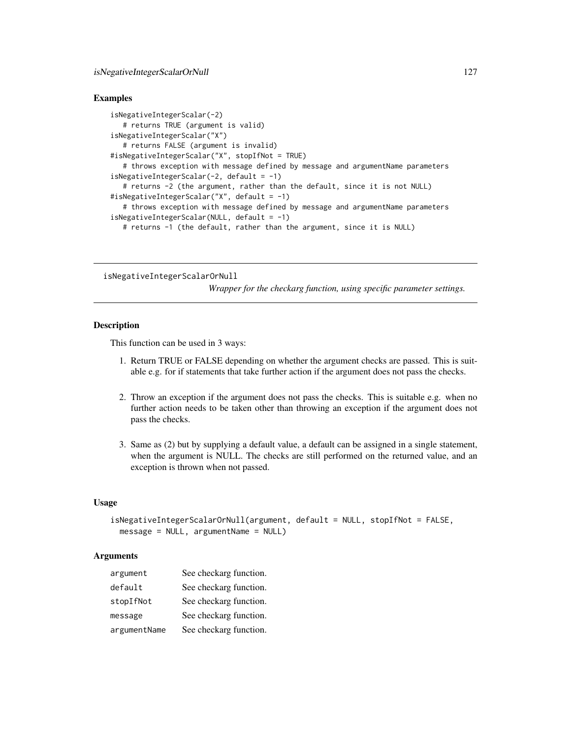## Examples

```
isNegativeIntegerScalar(-2)
  # returns TRUE (argument is valid)
isNegativeIntegerScalar("X")
   # returns FALSE (argument is invalid)
#isNegativeIntegerScalar("X", stopIfNot = TRUE)
   # throws exception with message defined by message and argumentName parameters
isNegativeIntegerScalar(-2, default = -1)
  # returns -2 (the argument, rather than the default, since it is not NULL)
#isNegativeIntegerScalar("X", default = -1)
   # throws exception with message defined by message and argumentName parameters
isNegativeIntegerScalar(NULL, default = -1)
  # returns -1 (the default, rather than the argument, since it is NULL)
```
isNegativeIntegerScalarOrNull

*Wrapper for the checkarg function, using specific parameter settings.*

### **Description**

This function can be used in 3 ways:

- 1. Return TRUE or FALSE depending on whether the argument checks are passed. This is suitable e.g. for if statements that take further action if the argument does not pass the checks.
- 2. Throw an exception if the argument does not pass the checks. This is suitable e.g. when no further action needs to be taken other than throwing an exception if the argument does not pass the checks.
- 3. Same as (2) but by supplying a default value, a default can be assigned in a single statement, when the argument is NULL. The checks are still performed on the returned value, and an exception is thrown when not passed.

# Usage

```
isNegativeIntegerScalarOrNull(argument, default = NULL, stopIfNot = FALSE,
 message = NULL, argumentName = NULL)
```
## **Arguments**

| argument     | See checkarg function. |
|--------------|------------------------|
| default      | See checkarg function. |
| stopIfNot    | See checkarg function. |
| message      | See checkarg function. |
| argumentName | See checkarg function. |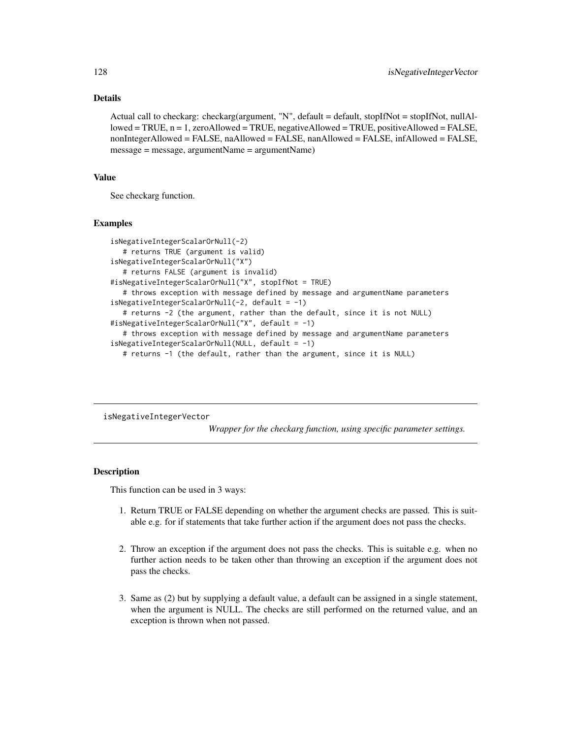# Details

Actual call to checkarg: checkarg(argument, "N", default = default, stopIfNot = stopIfNot, nullAllowed = TRUE, n = 1, zeroAllowed = TRUE, negativeAllowed = TRUE, positiveAllowed = FALSE, nonIntegerAllowed = FALSE, naAllowed = FALSE, nanAllowed = FALSE, infAllowed = FALSE, message = message, argumentName = argumentName)

#### Value

See checkarg function.

#### Examples

```
isNegativeIntegerScalarOrNull(-2)
  # returns TRUE (argument is valid)
isNegativeIntegerScalarOrNull("X")
  # returns FALSE (argument is invalid)
#isNegativeIntegerScalarOrNull("X", stopIfNot = TRUE)
  # throws exception with message defined by message and argumentName parameters
isNegativeIntegerScalarOrNull(-2, default = -1)
  # returns -2 (the argument, rather than the default, since it is not NULL)
#isNegativeIntegerScalarOrNull("X", default = -1)
  # throws exception with message defined by message and argumentName parameters
isNegativeIntegerScalarOrNull(NULL, default = -1)
  # returns -1 (the default, rather than the argument, since it is NULL)
```
isNegativeIntegerVector

*Wrapper for the checkarg function, using specific parameter settings.*

# **Description**

This function can be used in 3 ways:

- 1. Return TRUE or FALSE depending on whether the argument checks are passed. This is suitable e.g. for if statements that take further action if the argument does not pass the checks.
- 2. Throw an exception if the argument does not pass the checks. This is suitable e.g. when no further action needs to be taken other than throwing an exception if the argument does not pass the checks.
- 3. Same as (2) but by supplying a default value, a default can be assigned in a single statement, when the argument is NULL. The checks are still performed on the returned value, and an exception is thrown when not passed.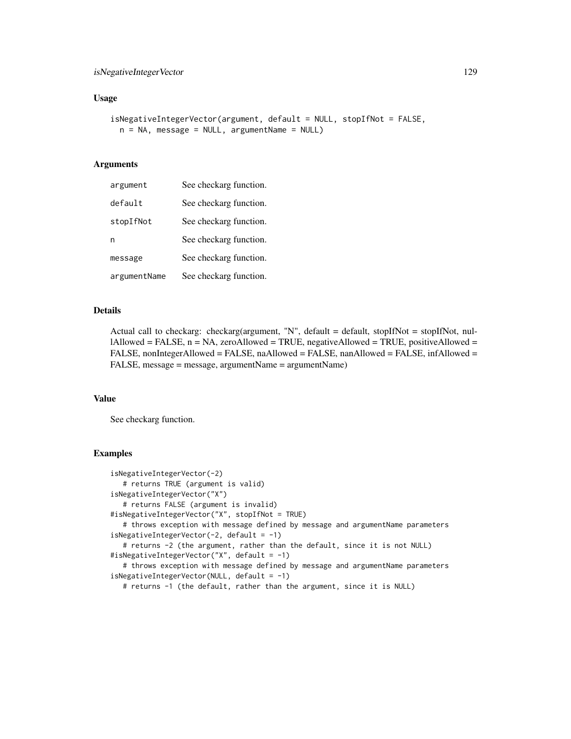# isNegativeIntegerVector 129

#### Usage

```
isNegativeIntegerVector(argument, default = NULL, stopIfNot = FALSE,
 n = NA, message = NULL, argumentName = NULL)
```
## Arguments

| argument     | See checkarg function. |
|--------------|------------------------|
| default      | See checkarg function. |
| stopIfNot    | See checkarg function. |
| n            | See checkarg function. |
| message      | See checkarg function. |
| argumentName | See checkarg function. |

### Details

Actual call to checkarg: checkarg(argument, "N", default = default, stopIfNot = stopIfNot, nul $l$ Allowed = FALSE,  $n$  = NA, zeroAllowed = TRUE, negativeAllowed = TRUE, positiveAllowed = FALSE, nonIntegerAllowed = FALSE, naAllowed = FALSE, nanAllowed = FALSE, infAllowed = FALSE, message = message, argumentName = argumentName)

#### Value

See checkarg function.

### Examples

```
isNegativeIntegerVector(-2)
  # returns TRUE (argument is valid)
isNegativeIntegerVector("X")
  # returns FALSE (argument is invalid)
#isNegativeIntegerVector("X", stopIfNot = TRUE)
  # throws exception with message defined by message and argumentName parameters
isNegativeIntegerVector(-2, default = -1)
   # returns -2 (the argument, rather than the default, since it is not NULL)
#isNegativeIntegerVector("X", default = -1)
   # throws exception with message defined by message and argumentName parameters
isNegativeIntegerVector(NULL, default = -1)
   # returns -1 (the default, rather than the argument, since it is NULL)
```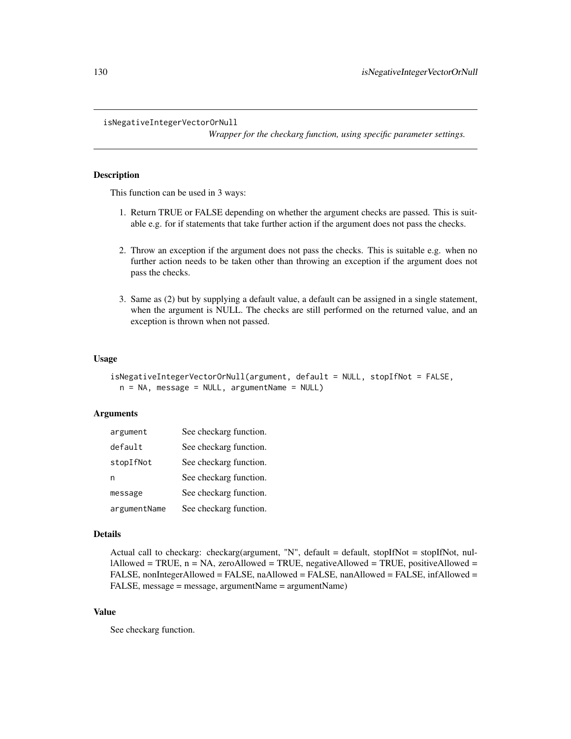#### isNegativeIntegerVectorOrNull

*Wrapper for the checkarg function, using specific parameter settings.*

# Description

This function can be used in 3 ways:

- 1. Return TRUE or FALSE depending on whether the argument checks are passed. This is suitable e.g. for if statements that take further action if the argument does not pass the checks.
- 2. Throw an exception if the argument does not pass the checks. This is suitable e.g. when no further action needs to be taken other than throwing an exception if the argument does not pass the checks.
- 3. Same as (2) but by supplying a default value, a default can be assigned in a single statement, when the argument is NULL. The checks are still performed on the returned value, and an exception is thrown when not passed.

# Usage

```
isNegativeIntegerVectorOrNull(argument, default = NULL, stopIfNot = FALSE,
 n = NA, message = NULL, argumentName = NULL)
```
## **Arguments**

| argument     | See checkarg function. |
|--------------|------------------------|
| default      | See checkarg function. |
| stopIfNot    | See checkarg function. |
| n            | See checkarg function. |
| message      | See checkarg function. |
| argumentName | See checkarg function. |

#### Details

```
Actual call to checkarg: checkarg(argument, "N", default = default, stopIfNot = stopIfNot, nul-
lAllowed = TRUE, n = NA, zeroAllowed = TRUE, negativeAllowed = TRUE, positiveAllowed =
FALSE, nonIntegerAllowed = FALSE, naAllowed = FALSE, nanAllowed = FALSE, infAllowed =
FALSE, message = message, argumentName = argumentName)
```
# Value

See checkarg function.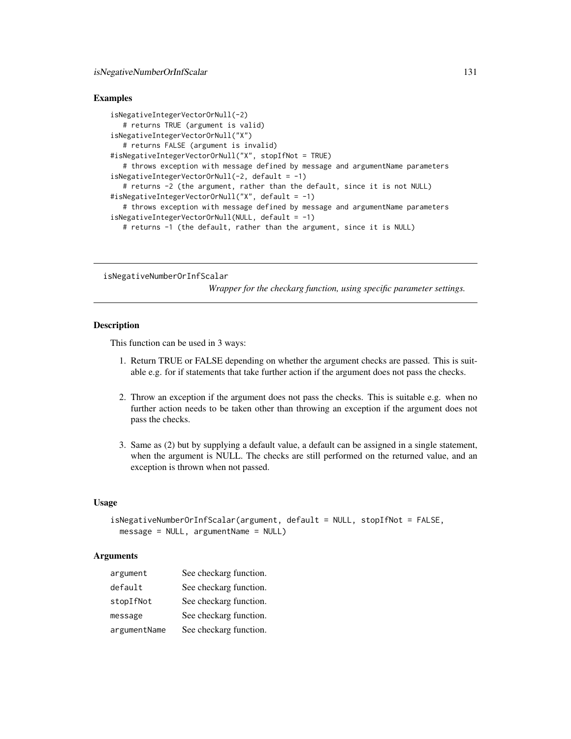## Examples

```
isNegativeIntegerVectorOrNull(-2)
   # returns TRUE (argument is valid)
isNegativeIntegerVectorOrNull("X")
   # returns FALSE (argument is invalid)
#isNegativeIntegerVectorOrNull("X", stopIfNot = TRUE)
   # throws exception with message defined by message and argumentName parameters
isNegativeIntegerVectorOrNull(-2, default = -1)
   # returns -2 (the argument, rather than the default, since it is not NULL)
#isNegativeIntegerVectorOrNull("X", default = -1)
   # throws exception with message defined by message and argumentName parameters
isNegativeIntegerVectorOrNull(NULL, default = -1)
  # returns -1 (the default, rather than the argument, since it is NULL)
```
isNegativeNumberOrInfScalar

*Wrapper for the checkarg function, using specific parameter settings.*

### **Description**

This function can be used in 3 ways:

- 1. Return TRUE or FALSE depending on whether the argument checks are passed. This is suitable e.g. for if statements that take further action if the argument does not pass the checks.
- 2. Throw an exception if the argument does not pass the checks. This is suitable e.g. when no further action needs to be taken other than throwing an exception if the argument does not pass the checks.
- 3. Same as (2) but by supplying a default value, a default can be assigned in a single statement, when the argument is NULL. The checks are still performed on the returned value, and an exception is thrown when not passed.

## Usage

```
isNegativeNumberOrInfScalar(argument, default = NULL, stopIfNot = FALSE,
 message = NULL, argumentName = NULL)
```
## **Arguments**

| argument     | See checkarg function. |
|--------------|------------------------|
| default      | See checkarg function. |
| stopIfNot    | See checkarg function. |
| message      | See checkarg function. |
| argumentName | See checkarg function. |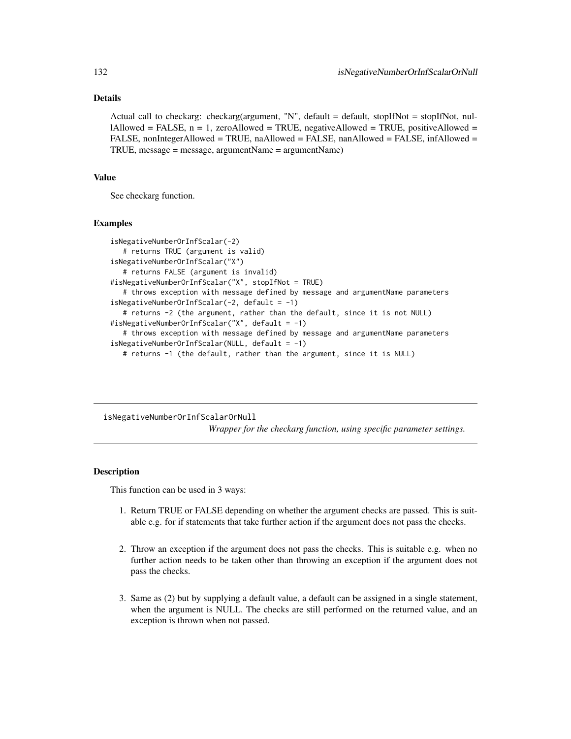# Details

Actual call to checkarg: checkarg(argument, "N", default = default, stopIfNot = stopIfNot, nullAllowed = FALSE, n = 1, zeroAllowed = TRUE, negativeAllowed = TRUE, positiveAllowed = FALSE, nonIntegerAllowed = TRUE, naAllowed = FALSE, nanAllowed = FALSE, infAllowed = TRUE, message = message, argumentName = argumentName)

#### Value

See checkarg function.

#### Examples

```
isNegativeNumberOrInfScalar(-2)
  # returns TRUE (argument is valid)
isNegativeNumberOrInfScalar("X")
  # returns FALSE (argument is invalid)
#isNegativeNumberOrInfScalar("X", stopIfNot = TRUE)
  # throws exception with message defined by message and argumentName parameters
isNegativeNumberOrInfScalar(-2, default = -1)
  # returns -2 (the argument, rather than the default, since it is not NULL)
#isNegativeNumberOrInfScalar("X", default = -1)
  # throws exception with message defined by message and argumentName parameters
isNegativeNumberOrInfScalar(NULL, default = -1)
  # returns -1 (the default, rather than the argument, since it is NULL)
```
isNegativeNumberOrInfScalarOrNull *Wrapper for the checkarg function, using specific parameter settings.*

# **Description**

This function can be used in 3 ways:

- 1. Return TRUE or FALSE depending on whether the argument checks are passed. This is suitable e.g. for if statements that take further action if the argument does not pass the checks.
- 2. Throw an exception if the argument does not pass the checks. This is suitable e.g. when no further action needs to be taken other than throwing an exception if the argument does not pass the checks.
- 3. Same as (2) but by supplying a default value, a default can be assigned in a single statement, when the argument is NULL. The checks are still performed on the returned value, and an exception is thrown when not passed.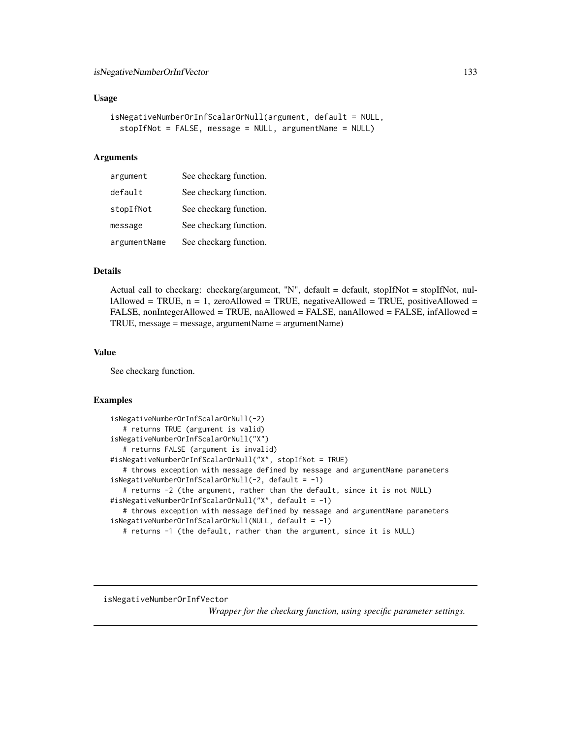### Usage

```
isNegativeNumberOrInfScalarOrNull(argument, default = NULL,
  stopIfNot = FALSE, message = NULL, argumentName = NULL)
```
#### Arguments

| argument     | See checkarg function. |
|--------------|------------------------|
| default      | See checkarg function. |
| stopIfNot    | See checkarg function. |
| message      | See checkarg function. |
| argumentName | See checkarg function. |

# Details

Actual call to checkarg: checkarg(argument, "N", default = default, stopIfNot = stopIfNot, nullAllowed = TRUE,  $n = 1$ , zeroAllowed = TRUE, negativeAllowed = TRUE, positiveAllowed = FALSE, nonIntegerAllowed = TRUE, naAllowed = FALSE, nanAllowed = FALSE, infAllowed = TRUE, message = message, argumentName = argumentName)

## Value

See checkarg function.

# Examples

```
isNegativeNumberOrInfScalarOrNull(-2)
   # returns TRUE (argument is valid)
isNegativeNumberOrInfScalarOrNull("X")
   # returns FALSE (argument is invalid)
#isNegativeNumberOrInfScalarOrNull("X", stopIfNot = TRUE)
   # throws exception with message defined by message and argumentName parameters
isNegativeNumberOrInfScalarOrNull(-2, default = -1)
   # returns -2 (the argument, rather than the default, since it is not NULL)
#isNegativeNumberOrInfScalarOrNull("X", default = -1)
   # throws exception with message defined by message and argumentName parameters
isNegativeNumberOrInfScalarOrNull(NULL, default = -1)
  # returns -1 (the default, rather than the argument, since it is NULL)
```
isNegativeNumberOrInfVector

*Wrapper for the checkarg function, using specific parameter settings.*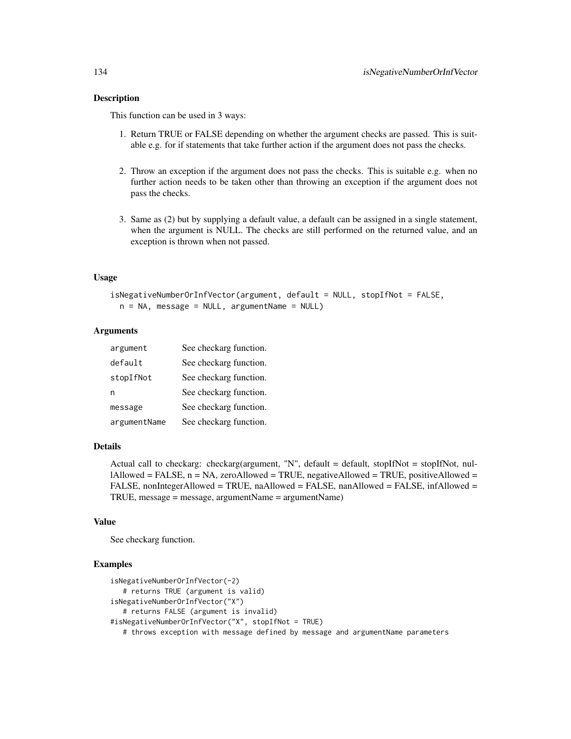### Description

This function can be used in 3 ways:

- 1. Return TRUE or FALSE depending on whether the argument checks are passed. This is suitable e.g. for if statements that take further action if the argument does not pass the checks.
- 2. Throw an exception if the argument does not pass the checks. This is suitable e.g. when no further action needs to be taken other than throwing an exception if the argument does not pass the checks.
- 3. Same as (2) but by supplying a default value, a default can be assigned in a single statement, when the argument is NULL. The checks are still performed on the returned value, and an exception is thrown when not passed.

#### Usage

```
isNegativeNumberOrInfVector(argument, default = NULL, stopIfNot = FALSE,
 n = NA, message = NULL, argumentName = NULL)
```
## **Arguments**

| argument     | See checkarg function. |
|--------------|------------------------|
| default      | See checkarg function. |
| stopIfNot    | See checkarg function. |
| n            | See checkarg function. |
| message      | See checkarg function. |
| argumentName | See checkarg function. |

## Details

Actual call to checkarg: checkarg(argument, "N", default = default, stopIfNot = stopIfNot, nullAllowed = FALSE,  $n = NA$ , zeroAllowed = TRUE, negativeAllowed = TRUE, positiveAllowed = FALSE, nonIntegerAllowed = TRUE, naAllowed = FALSE, nanAllowed = FALSE, infAllowed = TRUE, message = message, argumentName = argumentName)

### Value

See checkarg function.

#### Examples

```
isNegativeNumberOrInfVector(-2)
  # returns TRUE (argument is valid)
isNegativeNumberOrInfVector("X")
  # returns FALSE (argument is invalid)
#isNegativeNumberOrInfVector("X", stopIfNot = TRUE)
  # throws exception with message defined by message and argumentName parameters
```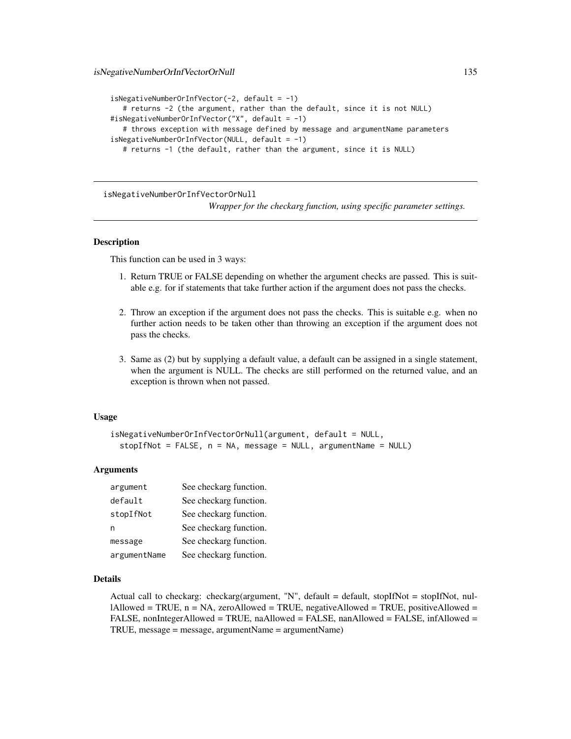```
isNegativeNumberOrInfVector(-2, default = -1)
   # returns -2 (the argument, rather than the default, since it is not NULL)
#isNegativeNumberOrInfVector("X", default = -1)
   # throws exception with message defined by message and argumentName parameters
isNegativeNumberOrInfVector(NULL, default = -1)
  # returns -1 (the default, rather than the argument, since it is NULL)
```
isNegativeNumberOrInfVectorOrNull

*Wrapper for the checkarg function, using specific parameter settings.*

## Description

This function can be used in 3 ways:

- 1. Return TRUE or FALSE depending on whether the argument checks are passed. This is suitable e.g. for if statements that take further action if the argument does not pass the checks.
- 2. Throw an exception if the argument does not pass the checks. This is suitable e.g. when no further action needs to be taken other than throwing an exception if the argument does not pass the checks.
- 3. Same as (2) but by supplying a default value, a default can be assigned in a single statement, when the argument is NULL. The checks are still performed on the returned value, and an exception is thrown when not passed.

#### Usage

```
isNegativeNumberOrInfVectorOrNull(argument, default = NULL,
 stopIfNot = FALSE, n = NA, message = NULL, argumentName = NULL)
```
### Arguments

| argument     | See checkarg function. |
|--------------|------------------------|
| default      | See checkarg function. |
| stopIfNot    | See checkarg function. |
| n            | See checkarg function. |
| message      | See checkarg function. |
| argumentName | See checkarg function. |

### Details

Actual call to checkarg: checkarg(argument, "N", default = default, stopIfNot = stopIfNot, nullAllowed = TRUE,  $n = NA$ , zeroAllowed = TRUE, negativeAllowed = TRUE, positiveAllowed = FALSE, nonIntegerAllowed = TRUE, naAllowed = FALSE, nanAllowed = FALSE, infAllowed = TRUE, message = message, argumentName = argumentName)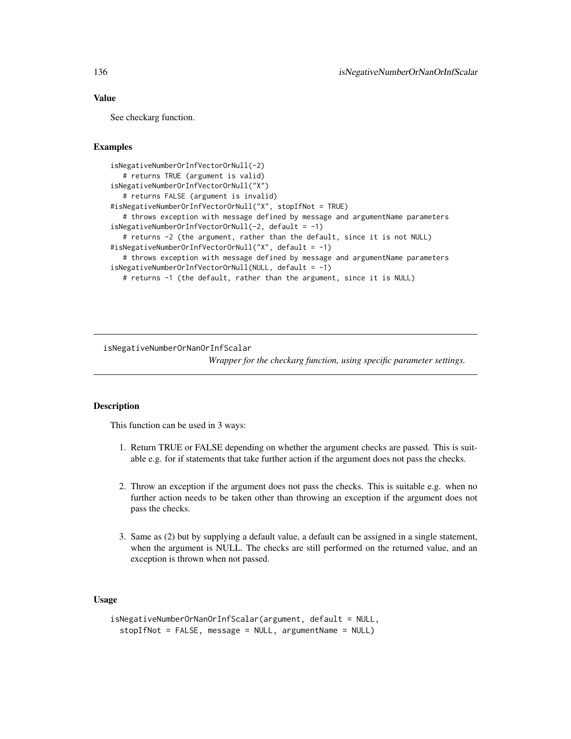# Value

See checkarg function.

# Examples

```
isNegativeNumberOrInfVectorOrNull(-2)
  # returns TRUE (argument is valid)
isNegativeNumberOrInfVectorOrNull("X")
  # returns FALSE (argument is invalid)
#isNegativeNumberOrInfVectorOrNull("X", stopIfNot = TRUE)
  # throws exception with message defined by message and argumentName parameters
isNegativeNumberOrInfVectorOrNull(-2, default = -1)
  # returns -2 (the argument, rather than the default, since it is not NULL)
#isNegativeNumberOrInfVectorOrNull("X", default = -1)
  # throws exception with message defined by message and argumentName parameters
isNegativeNumberOrInfVectorOrNull(NULL, default = -1)
  # returns -1 (the default, rather than the argument, since it is NULL)
```
isNegativeNumberOrNanOrInfScalar

*Wrapper for the checkarg function, using specific parameter settings.*

### Description

This function can be used in 3 ways:

- 1. Return TRUE or FALSE depending on whether the argument checks are passed. This is suitable e.g. for if statements that take further action if the argument does not pass the checks.
- 2. Throw an exception if the argument does not pass the checks. This is suitable e.g. when no further action needs to be taken other than throwing an exception if the argument does not pass the checks.
- 3. Same as (2) but by supplying a default value, a default can be assigned in a single statement, when the argument is NULL. The checks are still performed on the returned value, and an exception is thrown when not passed.

# Usage

```
isNegativeNumberOrNanOrInfScalar(argument, default = NULL,
 stopIfNot = FALSE, message = NULL, argumentName = NULL)
```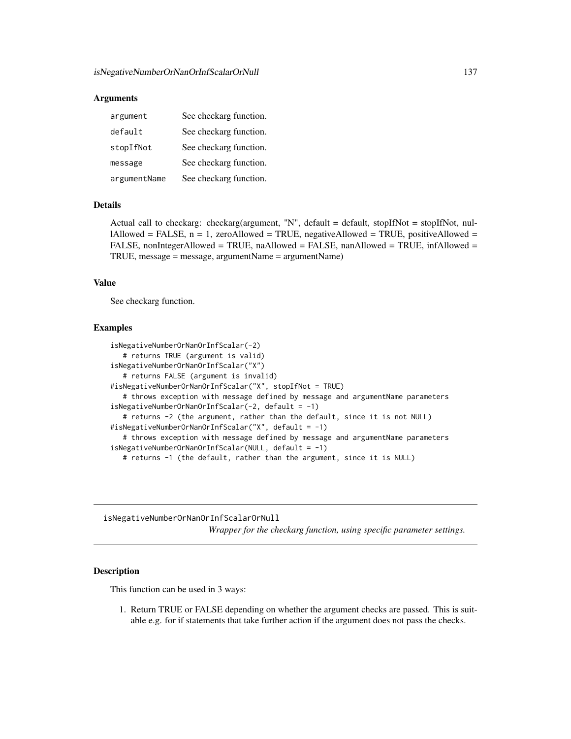### **Arguments**

| argument     | See checkarg function. |
|--------------|------------------------|
| default      | See checkarg function. |
| stopIfNot    | See checkarg function. |
| message      | See checkarg function. |
| argumentName | See checkarg function. |

# Details

Actual call to checkarg: checkarg(argument, "N", default = default, stopIfNot = stopIfNot, nullAllowed = FALSE,  $n = 1$ , zeroAllowed = TRUE, negativeAllowed = TRUE, positiveAllowed = FALSE, nonIntegerAllowed = TRUE, naAllowed = FALSE, nanAllowed = TRUE, infAllowed = TRUE, message = message, argumentName = argumentName)

# Value

See checkarg function.

# Examples

```
isNegativeNumberOrNanOrInfScalar(-2)
   # returns TRUE (argument is valid)
isNegativeNumberOrNanOrInfScalar("X")
  # returns FALSE (argument is invalid)
#isNegativeNumberOrNanOrInfScalar("X", stopIfNot = TRUE)
   # throws exception with message defined by message and argumentName parameters
isNegativeNumberOrNanOrInfScalar(-2, default = -1)
   # returns -2 (the argument, rather than the default, since it is not NULL)
#isNegativeNumberOrNanOrInfScalar("X", default = -1)
   # throws exception with message defined by message and argumentName parameters
isNegativeNumberOrNanOrInfScalar(NULL, default = -1)
```
# returns -1 (the default, rather than the argument, since it is NULL)

isNegativeNumberOrNanOrInfScalarOrNull *Wrapper for the checkarg function, using specific parameter settings.*

#### **Description**

This function can be used in 3 ways:

1. Return TRUE or FALSE depending on whether the argument checks are passed. This is suitable e.g. for if statements that take further action if the argument does not pass the checks.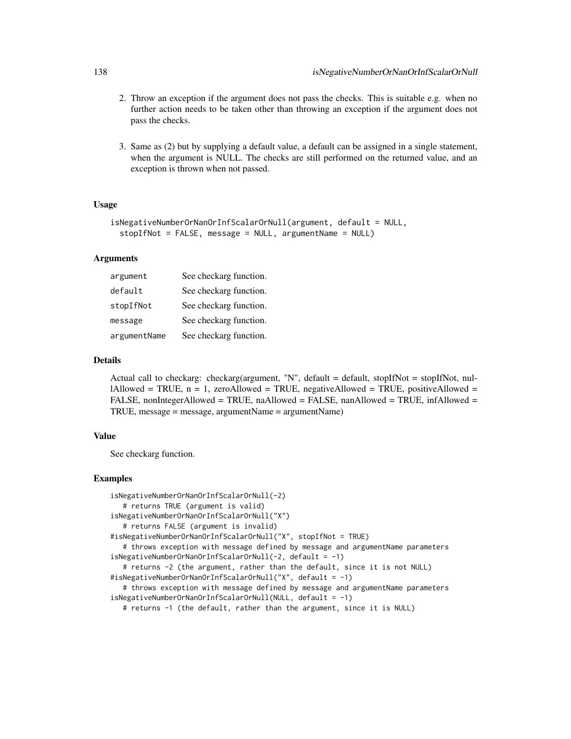- 2. Throw an exception if the argument does not pass the checks. This is suitable e.g. when no further action needs to be taken other than throwing an exception if the argument does not pass the checks.
- 3. Same as (2) but by supplying a default value, a default can be assigned in a single statement, when the argument is NULL. The checks are still performed on the returned value, and an exception is thrown when not passed.

# Usage

```
isNegativeNumberOrNanOrInfScalarOrNull(argument, default = NULL,
  stopIfNot = FALSE, message = NULL, argumentName = NULL)
```
## Arguments

| argument     | See checkarg function. |
|--------------|------------------------|
| default      | See checkarg function. |
| stopIfNot    | See checkarg function. |
| message      | See checkarg function. |
| argumentName | See checkarg function. |

## Details

Actual call to checkarg: checkarg(argument, "N", default = default, stopIfNot = stopIfNot, nullAllowed = TRUE,  $n = 1$ , zeroAllowed = TRUE, negativeAllowed = TRUE, positiveAllowed = FALSE, nonIntegerAllowed = TRUE, naAllowed = FALSE, nanAllowed = TRUE, infAllowed = TRUE, message = message, argumentName = argumentName)

# Value

See checkarg function.

## Examples

```
isNegativeNumberOrNanOrInfScalarOrNull(-2)
   # returns TRUE (argument is valid)
isNegativeNumberOrNanOrInfScalarOrNull("X")
   # returns FALSE (argument is invalid)
#isNegativeNumberOrNanOrInfScalarOrNull("X", stopIfNot = TRUE)
   # throws exception with message defined by message and argumentName parameters
isNegativeNumberOrNanOrInfScalarOrNull(-2, default = -1)
   # returns -2 (the argument, rather than the default, since it is not NULL)
#isNegativeNumberOrNanOrInfScalarOrNull("X", default = -1)
   # throws exception with message defined by message and argumentName parameters
isNegativeNumberOrNanOrInfScalarOrNull(NULL, default = -1)
   # returns -1 (the default, rather than the argument, since it is NULL)
```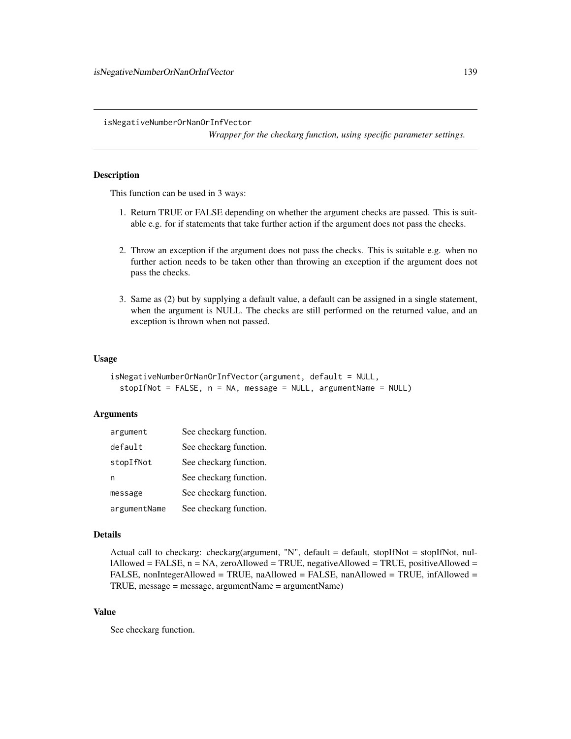isNegativeNumberOrNanOrInfVector

*Wrapper for the checkarg function, using specific parameter settings.*

# **Description**

This function can be used in 3 ways:

- 1. Return TRUE or FALSE depending on whether the argument checks are passed. This is suitable e.g. for if statements that take further action if the argument does not pass the checks.
- 2. Throw an exception if the argument does not pass the checks. This is suitable e.g. when no further action needs to be taken other than throwing an exception if the argument does not pass the checks.
- 3. Same as (2) but by supplying a default value, a default can be assigned in a single statement, when the argument is NULL. The checks are still performed on the returned value, and an exception is thrown when not passed.

# Usage

```
isNegativeNumberOrNanOrInfVector(argument, default = NULL,
 stopIfNot = FALSE, n = NA, message = NULL, argumentName = NULL)
```
# Arguments

| argument     | See checkarg function. |
|--------------|------------------------|
| default      | See checkarg function. |
| stopIfNot    | See checkarg function. |
| n            | See checkarg function. |
| message      | See checkarg function. |
| argumentName | See checkarg function. |

#### Details

Actual call to checkarg: checkarg(argument, "N", default = default, stopIfNot = stopIfNot, nul $l$ Allowed = FALSE,  $n$  = NA, zeroAllowed = TRUE, negativeAllowed = TRUE, positiveAllowed = FALSE, nonIntegerAllowed = TRUE, naAllowed = FALSE, nanAllowed = TRUE, infAllowed = TRUE, message = message, argumentName = argumentName)

# Value

See checkarg function.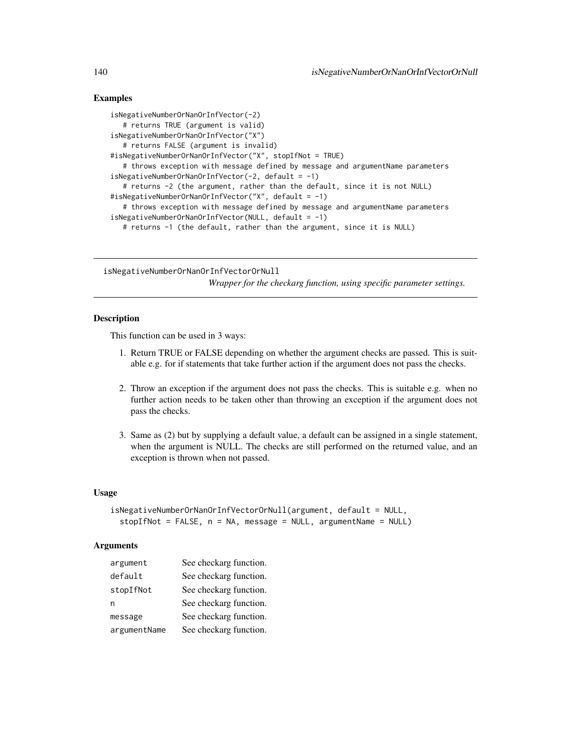# Examples

```
isNegativeNumberOrNanOrInfVector(-2)
  # returns TRUE (argument is valid)
isNegativeNumberOrNanOrInfVector("X")
  # returns FALSE (argument is invalid)
#isNegativeNumberOrNanOrInfVector("X", stopIfNot = TRUE)
  # throws exception with message defined by message and argumentName parameters
isNegativeNumberOrNanOrInfVector(-2, default = -1)
  # returns -2 (the argument, rather than the default, since it is not NULL)
#isNegativeNumberOrNanOrInfVector("X", default = -1)
  # throws exception with message defined by message and argumentName parameters
isNegativeNumberOrNanOrInfVector(NULL, default = -1)# returns -1 (the default, rather than the argument, since it is NULL)
```
isNegativeNumberOrNanOrInfVectorOrNull

*Wrapper for the checkarg function, using specific parameter settings.*

# Description

This function can be used in 3 ways:

- 1. Return TRUE or FALSE depending on whether the argument checks are passed. This is suitable e.g. for if statements that take further action if the argument does not pass the checks.
- 2. Throw an exception if the argument does not pass the checks. This is suitable e.g. when no further action needs to be taken other than throwing an exception if the argument does not pass the checks.
- 3. Same as (2) but by supplying a default value, a default can be assigned in a single statement, when the argument is NULL. The checks are still performed on the returned value, and an exception is thrown when not passed.

## Usage

```
isNegativeNumberOrNanOrInfVectorOrNull(argument, default = NULL,
 stopIfNot = FALSE, n = NA, message = NULL, argumentName = NULL)
```
### **Arguments**

| argument     | See checkarg function. |
|--------------|------------------------|
| default      | See checkarg function. |
| stopIfNot    | See checkarg function. |
| n            | See checkarg function. |
| message      | See checkarg function. |
| argumentName | See checkarg function. |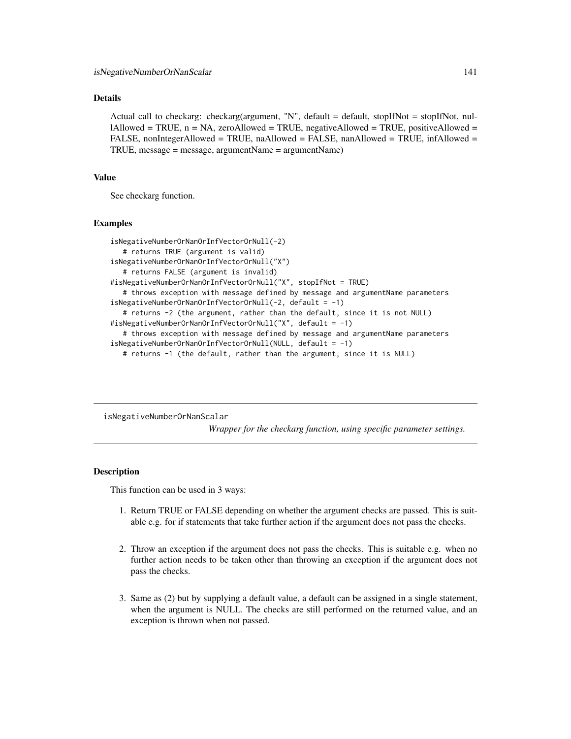# Details

Actual call to checkarg: checkarg(argument, "N", default = default, stopIfNot = stopIfNot, nullAllowed = TRUE,  $n = NA$ , zeroAllowed = TRUE, negativeAllowed = TRUE, positiveAllowed = FALSE, nonIntegerAllowed = TRUE, naAllowed = FALSE, nanAllowed = TRUE, infAllowed = TRUE, message = message, argumentName = argumentName)

### Value

See checkarg function.

#### Examples

```
isNegativeNumberOrNanOrInfVectorOrNull(-2)
  # returns TRUE (argument is valid)
isNegativeNumberOrNanOrInfVectorOrNull("X")
  # returns FALSE (argument is invalid)
#isNegativeNumberOrNanOrInfVectorOrNull("X", stopIfNot = TRUE)
  # throws exception with message defined by message and argumentName parameters
isNegativeNumberOrNanOrInfVectorOrNull(-2, default = -1)
  # returns -2 (the argument, rather than the default, since it is not NULL)
#isNegativeNumberOrNanOrInfVectorOrNull("X", default = -1)
  # throws exception with message defined by message and argumentName parameters
isNegativeNumberOrNanOrInfVectorOrNull(NULL, default = -1)
  # returns -1 (the default, rather than the argument, since it is NULL)
```
isNegativeNumberOrNanScalar

*Wrapper for the checkarg function, using specific parameter settings.*

### Description

This function can be used in 3 ways:

- 1. Return TRUE or FALSE depending on whether the argument checks are passed. This is suitable e.g. for if statements that take further action if the argument does not pass the checks.
- 2. Throw an exception if the argument does not pass the checks. This is suitable e.g. when no further action needs to be taken other than throwing an exception if the argument does not pass the checks.
- 3. Same as (2) but by supplying a default value, a default can be assigned in a single statement, when the argument is NULL. The checks are still performed on the returned value, and an exception is thrown when not passed.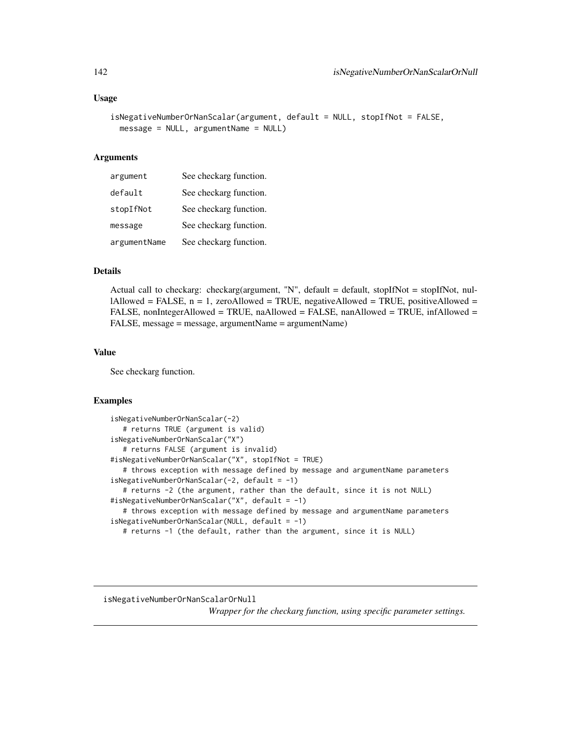### Usage

```
isNegativeNumberOrNanScalar(argument, default = NULL, stopIfNot = FALSE,
 message = NULL, argumentName = NULL)
```
#### Arguments

| argument     | See checkarg function. |
|--------------|------------------------|
| default      | See checkarg function. |
| stopIfNot    | See checkarg function. |
| message      | See checkarg function. |
| argumentName | See checkarg function. |

# Details

Actual call to checkarg: checkarg(argument, "N", default = default, stopIfNot = stopIfNot, nullAllowed = FALSE,  $n = 1$ , zeroAllowed = TRUE, negativeAllowed = TRUE, positiveAllowed = FALSE, nonIntegerAllowed = TRUE, naAllowed = FALSE, nanAllowed = TRUE, infAllowed = FALSE, message = message, argumentName = argumentName)

### Value

See checkarg function.

# Examples

```
isNegativeNumberOrNanScalar(-2)
   # returns TRUE (argument is valid)
isNegativeNumberOrNanScalar("X")
   # returns FALSE (argument is invalid)
#isNegativeNumberOrNanScalar("X", stopIfNot = TRUE)
   # throws exception with message defined by message and argumentName parameters
isNegativeNumberOrNanScalar(-2, default = -1)
   # returns -2 (the argument, rather than the default, since it is not NULL)
#isNegativeNumberOrNanScalar("X", default = -1)
  # throws exception with message defined by message and argumentName parameters
isNegativeNumberOrNanScalar(NULL, default = -1)
  # returns -1 (the default, rather than the argument, since it is NULL)
```
isNegativeNumberOrNanScalarOrNull

*Wrapper for the checkarg function, using specific parameter settings.*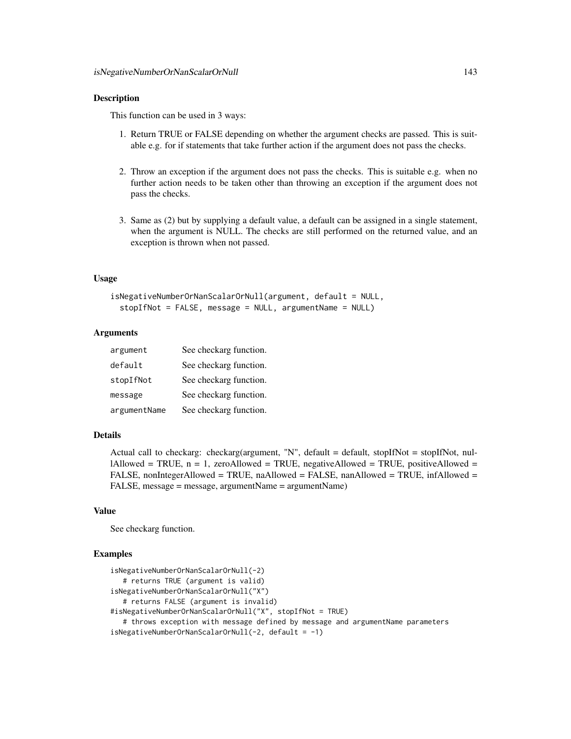### **Description**

This function can be used in 3 ways:

- 1. Return TRUE or FALSE depending on whether the argument checks are passed. This is suitable e.g. for if statements that take further action if the argument does not pass the checks.
- 2. Throw an exception if the argument does not pass the checks. This is suitable e.g. when no further action needs to be taken other than throwing an exception if the argument does not pass the checks.
- 3. Same as (2) but by supplying a default value, a default can be assigned in a single statement, when the argument is NULL. The checks are still performed on the returned value, and an exception is thrown when not passed.

### Usage

```
isNegativeNumberOrNanScalarOrNull(argument, default = NULL,
  stopIfNot = FALSE, message = NULL, argumentName = NULL)
```
### Arguments

| argument     | See checkarg function. |
|--------------|------------------------|
| default      | See checkarg function. |
| stopIfNot    | See checkarg function. |
| message      | See checkarg function. |
| argumentName | See checkarg function. |

### Details

Actual call to checkarg: checkarg(argument, "N", default = default, stopIfNot = stopIfNot, nullAllowed = TRUE,  $n = 1$ , zeroAllowed = TRUE, negativeAllowed = TRUE, positiveAllowed = FALSE, nonIntegerAllowed = TRUE, naAllowed = FALSE, nanAllowed = TRUE, infAllowed = FALSE, message = message, argumentName = argumentName)

### Value

See checkarg function.

## Examples

```
isNegativeNumberOrNanScalarOrNull(-2)
   # returns TRUE (argument is valid)
isNegativeNumberOrNanScalarOrNull("X")
   # returns FALSE (argument is invalid)
#isNegativeNumberOrNanScalarOrNull("X", stopIfNot = TRUE)
   # throws exception with message defined by message and argumentName parameters
isNegativeNumberOrNanscalarOrNull(-2, default = -1)
```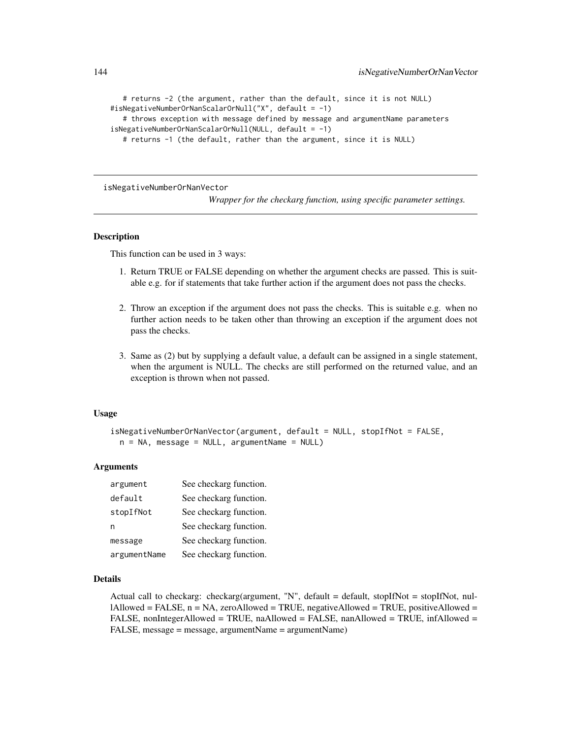```
# returns -2 (the argument, rather than the default, since it is not NULL)
#isNegativeNumberOrNanScalarOrNull("X", default = -1)
   # throws exception with message defined by message and argumentName parameters
isNegativeNumberOrNanScalarOrNull(NULL, default = -1)# returns -1 (the default, rather than the argument, since it is NULL)
```
isNegativeNumberOrNanVector

*Wrapper for the checkarg function, using specific parameter settings.*

#### Description

This function can be used in 3 ways:

- 1. Return TRUE or FALSE depending on whether the argument checks are passed. This is suitable e.g. for if statements that take further action if the argument does not pass the checks.
- 2. Throw an exception if the argument does not pass the checks. This is suitable e.g. when no further action needs to be taken other than throwing an exception if the argument does not pass the checks.
- 3. Same as (2) but by supplying a default value, a default can be assigned in a single statement, when the argument is NULL. The checks are still performed on the returned value, and an exception is thrown when not passed.

### Usage

```
isNegativeNumberOrNanVector(argument, default = NULL, stopIfNot = FALSE,
 n = NA, message = NULL, argumentName = NULL)
```
## Arguments

| argument     | See checkarg function. |
|--------------|------------------------|
| default      | See checkarg function. |
| stopIfNot    | See checkarg function. |
| n            | See checkarg function. |
| message      | See checkarg function. |
| argumentName | See checkarg function. |

#### Details

Actual call to checkarg: checkarg(argument, "N", default = default, stopIfNot = stopIfNot, nullAllowed = FALSE,  $n = NA$ , zeroAllowed = TRUE, negativeAllowed = TRUE, positiveAllowed = FALSE, nonIntegerAllowed = TRUE, naAllowed = FALSE, nanAllowed = TRUE, infAllowed = FALSE, message = message, argumentName = argumentName)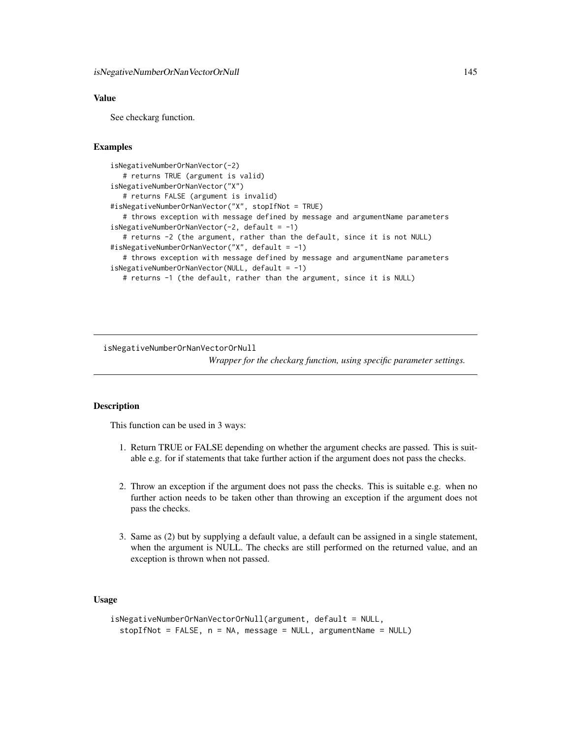## Value

See checkarg function.

# Examples

```
isNegativeNumberOrNanVector(-2)
  # returns TRUE (argument is valid)
isNegativeNumberOrNanVector("X")
  # returns FALSE (argument is invalid)
#isNegativeNumberOrNanVector("X", stopIfNot = TRUE)
  # throws exception with message defined by message and argumentName parameters
isNegativeNumberOrNanVector(-2, default = -1)
  # returns -2 (the argument, rather than the default, since it is not NULL)
#isNegativeNumberOrNanVector("X", default = -1)
  # throws exception with message defined by message and argumentName parameters
isNegativeNumberOrNanVector(NULL, default = -1)
  # returns -1 (the default, rather than the argument, since it is NULL)
```
isNegativeNumberOrNanVectorOrNull

*Wrapper for the checkarg function, using specific parameter settings.*

# **Description**

This function can be used in 3 ways:

- 1. Return TRUE or FALSE depending on whether the argument checks are passed. This is suitable e.g. for if statements that take further action if the argument does not pass the checks.
- 2. Throw an exception if the argument does not pass the checks. This is suitable e.g. when no further action needs to be taken other than throwing an exception if the argument does not pass the checks.
- 3. Same as (2) but by supplying a default value, a default can be assigned in a single statement, when the argument is NULL. The checks are still performed on the returned value, and an exception is thrown when not passed.

# Usage

```
isNegativeNumberOrNanVectorOrNull(argument, default = NULL,
 stopIfNot = FALSE, n = NA, message = NULL, argumentName = NULL)
```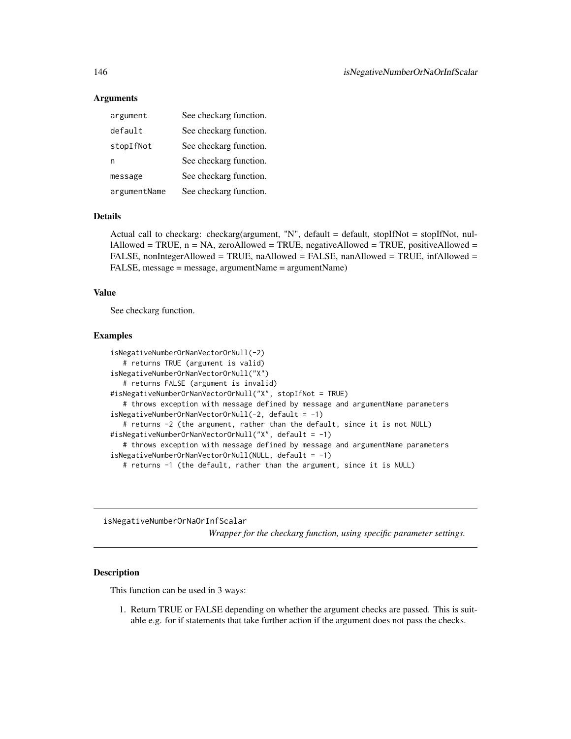## Arguments

| argument     | See checkarg function. |
|--------------|------------------------|
| default      | See checkarg function. |
| stopIfNot    | See checkarg function. |
| n            | See checkarg function. |
| message      | See checkarg function. |
| argumentName | See checkarg function. |

#### Details

Actual call to checkarg: checkarg(argument, "N", default = default, stopIfNot = stopIfNot, nullAllowed = TRUE,  $n = NA$ , zeroAllowed = TRUE, negativeAllowed = TRUE, positiveAllowed = FALSE, nonIntegerAllowed = TRUE, naAllowed = FALSE, nanAllowed = TRUE, infAllowed = FALSE, message = message, argumentName = argumentName)

#### Value

See checkarg function.

#### Examples

```
isNegativeNumberOrNanVectorOrNull(-2)
   # returns TRUE (argument is valid)
isNegativeNumberOrNanVectorOrNull("X")
   # returns FALSE (argument is invalid)
#isNegativeNumberOrNanVectorOrNull("X", stopIfNot = TRUE)
   # throws exception with message defined by message and argumentName parameters
isNegativeNumberOrNanVectorOrNull(-2, default = -1)
   # returns -2 (the argument, rather than the default, since it is not NULL)
#isNegativeNumberOrNanVectorOrNull("X", default = -1)
  # throws exception with message defined by message and argumentName parameters
isNegativeNumberOrNanVectorOrNull(NULL, default = -1)
  # returns -1 (the default, rather than the argument, since it is NULL)
```
isNegativeNumberOrNaOrInfScalar

*Wrapper for the checkarg function, using specific parameter settings.*

## Description

This function can be used in 3 ways:

1. Return TRUE or FALSE depending on whether the argument checks are passed. This is suitable e.g. for if statements that take further action if the argument does not pass the checks.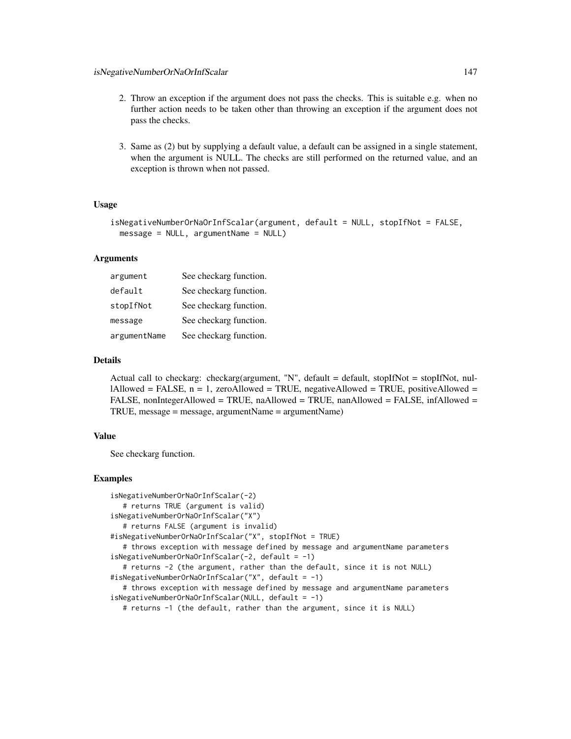- 2. Throw an exception if the argument does not pass the checks. This is suitable e.g. when no further action needs to be taken other than throwing an exception if the argument does not pass the checks.
- 3. Same as (2) but by supplying a default value, a default can be assigned in a single statement, when the argument is NULL. The checks are still performed on the returned value, and an exception is thrown when not passed.

```
isNegativeNumberOrNaOrInfScalar(argument, default = NULL, stopIfNot = FALSE,
 message = NULL, argumentName = NULL)
```
### Arguments

| argument     | See checkarg function. |
|--------------|------------------------|
| default      | See checkarg function. |
| stopIfNot    | See checkarg function. |
| message      | See checkarg function. |
| argumentName | See checkarg function. |

## Details

Actual call to checkarg: checkarg(argument, "N", default = default, stopIfNot = stopIfNot, nullAllowed = FALSE,  $n = 1$ , zeroAllowed = TRUE, negativeAllowed = TRUE, positiveAllowed = FALSE, nonIntegerAllowed = TRUE, naAllowed = TRUE, nanAllowed = FALSE, infAllowed = TRUE, message = message, argumentName = argumentName)

## Value

See checkarg function.

```
isNegativeNumberOrNaOrInfScalar(-2)
   # returns TRUE (argument is valid)
isNegativeNumberOrNaOrInfScalar("X")
   # returns FALSE (argument is invalid)
#isNegativeNumberOrNaOrInfScalar("X", stopIfNot = TRUE)
   # throws exception with message defined by message and argumentName parameters
isNegativeNumberOrNaOrInfScalar(-2, default = -1)
   # returns -2 (the argument, rather than the default, since it is not NULL)
#isNegativeNumberOrNaOrInfScalar("X", default = -1)
   # throws exception with message defined by message and argumentName parameters
isNegativeNumberOrNaOrInfScalar(NULL, default = -1)
   # returns -1 (the default, rather than the argument, since it is NULL)
```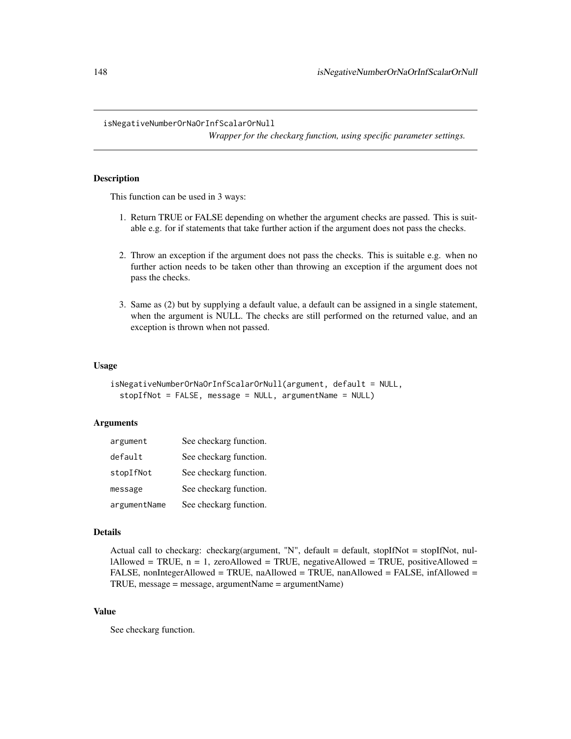isNegativeNumberOrNaOrInfScalarOrNull

*Wrapper for the checkarg function, using specific parameter settings.*

## Description

This function can be used in 3 ways:

- 1. Return TRUE or FALSE depending on whether the argument checks are passed. This is suitable e.g. for if statements that take further action if the argument does not pass the checks.
- 2. Throw an exception if the argument does not pass the checks. This is suitable e.g. when no further action needs to be taken other than throwing an exception if the argument does not pass the checks.
- 3. Same as (2) but by supplying a default value, a default can be assigned in a single statement, when the argument is NULL. The checks are still performed on the returned value, and an exception is thrown when not passed.

#### Usage

```
isNegativeNumberOrNaOrInfScalarOrNull(argument, default = NULL,
 stopIfNot = FALSE, message = NULL, argumentName = NULL)
```
### **Arguments**

| argument     | See checkarg function. |
|--------------|------------------------|
| default      | See checkarg function. |
| stopIfNot    | See checkarg function. |
| message      | See checkarg function. |
| argumentName | See checkarg function. |

#### Details

```
Actual call to checkarg: checkarg(argument, "N", default = default, stopIfNot = stopIfNot, nul-
lAllowed = TRUE, n = 1, zeroAllowed = TRUE, negativeAllowed = TRUE, positiveAllowed =
FALSE, nonIntegerAllowed = TRUE, naAllowed = TRUE, nanAllowed = FALSE, infAllowed =
TRUE, message = message, argumentName = argumentName)
```
# Value

See checkarg function.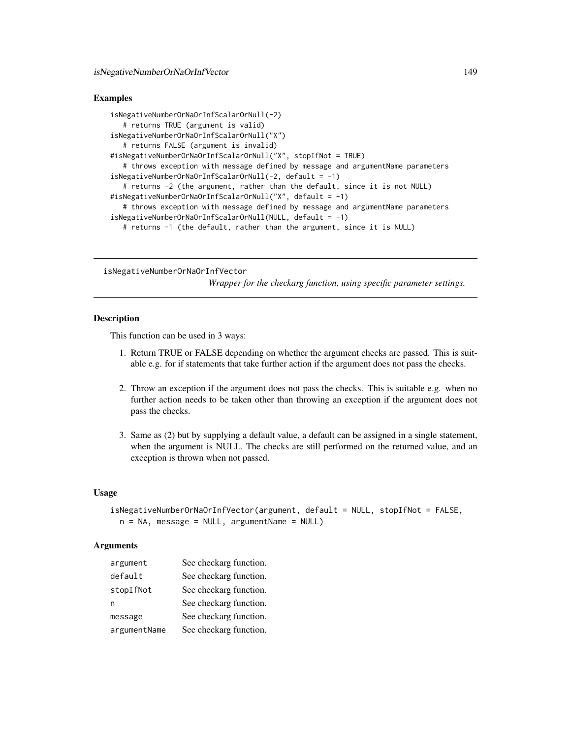## Examples

```
isNegativeNumberOrNaOrInfScalarOrNull(-2)
   # returns TRUE (argument is valid)
isNegativeNumberOrNaOrInfScalarOrNull("X")
   # returns FALSE (argument is invalid)
#isNegativeNumberOrNaOrInfScalarOrNull("X", stopIfNot = TRUE)
   # throws exception with message defined by message and argumentName parameters
isNegativeNumberOrNaOrInfScalarOrNull(-2, default = -1)
   # returns -2 (the argument, rather than the default, since it is not NULL)
#isNegativeNumberOrNaOrInfScalarOrNull("X", default = -1)
   # throws exception with message defined by message and argumentName parameters
isNegativeNumberOrNaOrInfScalarOrNull(NULL, default = -1)
  # returns -1 (the default, rather than the argument, since it is NULL)
```
isNegativeNumberOrNaOrInfVector

*Wrapper for the checkarg function, using specific parameter settings.*

## Description

This function can be used in 3 ways:

- 1. Return TRUE or FALSE depending on whether the argument checks are passed. This is suitable e.g. for if statements that take further action if the argument does not pass the checks.
- 2. Throw an exception if the argument does not pass the checks. This is suitable e.g. when no further action needs to be taken other than throwing an exception if the argument does not pass the checks.
- 3. Same as (2) but by supplying a default value, a default can be assigned in a single statement, when the argument is NULL. The checks are still performed on the returned value, and an exception is thrown when not passed.

# Usage

```
isNegativeNumberOrNaOrInfVector(argument, default = NULL, stopIfNot = FALSE,
 n = NA, message = NULL, argumentName = NULL)
```
## Arguments

| argument     | See checkarg function. |
|--------------|------------------------|
| default      | See checkarg function. |
| stopIfNot    | See checkarg function. |
| n            | See checkarg function. |
| message      | See checkarg function. |
| argumentName | See checkarg function. |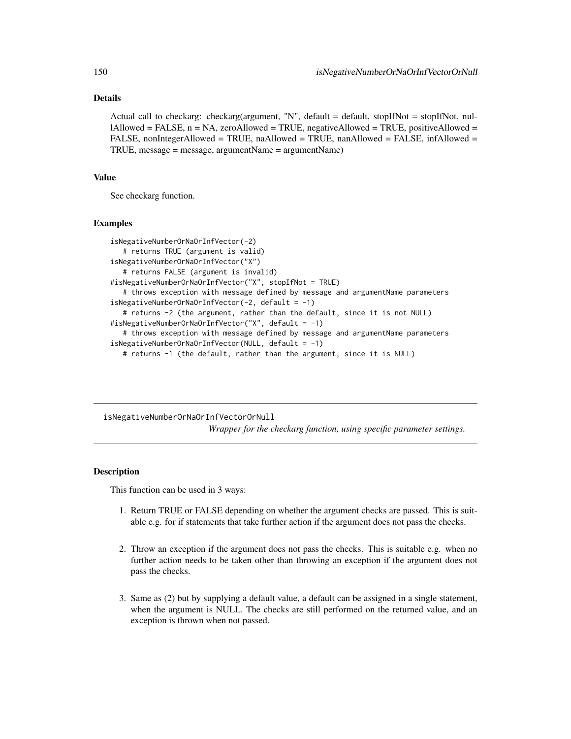# Details

Actual call to checkarg: checkarg(argument, "N", default = default, stopIfNot = stopIfNot, nullAllowed = FALSE, n = NA, zeroAllowed = TRUE, negativeAllowed = TRUE, positiveAllowed = FALSE, nonIntegerAllowed = TRUE, naAllowed = TRUE, nanAllowed = FALSE, infAllowed = TRUE, message = message, argumentName = argumentName)

#### Value

See checkarg function.

#### Examples

```
isNegativeNumberOrNaOrInfVector(-2)
  # returns TRUE (argument is valid)
isNegativeNumberOrNaOrInfVector("X")
  # returns FALSE (argument is invalid)
#isNegativeNumberOrNaOrInfVector("X", stopIfNot = TRUE)
  # throws exception with message defined by message and argumentName parameters
isNegativeNumberOrNaOrInfVector(-2, default = -1)
  # returns -2 (the argument, rather than the default, since it is not NULL)
#isNegativeNumberOrNaOrInfVector("X", default = -1)
  # throws exception with message defined by message and argumentName parameters
isNegativeNumberOrNaOrInfVector(NULL, default = -1)
  # returns -1 (the default, rather than the argument, since it is NULL)
```
isNegativeNumberOrNaOrInfVectorOrNull *Wrapper for the checkarg function, using specific parameter settings.*

# **Description**

This function can be used in 3 ways:

- 1. Return TRUE or FALSE depending on whether the argument checks are passed. This is suitable e.g. for if statements that take further action if the argument does not pass the checks.
- 2. Throw an exception if the argument does not pass the checks. This is suitable e.g. when no further action needs to be taken other than throwing an exception if the argument does not pass the checks.
- 3. Same as (2) but by supplying a default value, a default can be assigned in a single statement, when the argument is NULL. The checks are still performed on the returned value, and an exception is thrown when not passed.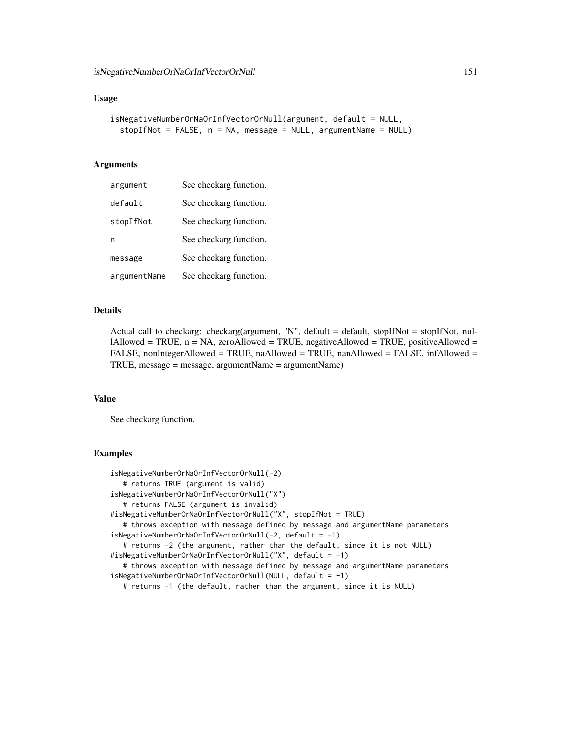```
isNegativeNumberOrNaOrInfVectorOrNull(argument, default = NULL,
  stopIfNot = FALSE, n = NA, message = NULL, argumentName = NULL)
```
## Arguments

| argument     | See checkarg function. |
|--------------|------------------------|
| default      | See checkarg function. |
| stopIfNot    | See checkarg function. |
| n            | See checkarg function. |
| message      | See checkarg function. |
| argumentName | See checkarg function. |

### Details

Actual call to checkarg: checkarg(argument, "N", default = default, stopIfNot = stopIfNot, nullAllowed = TRUE,  $n = NA$ , zeroAllowed = TRUE, negativeAllowed = TRUE, positiveAllowed = FALSE, nonIntegerAllowed = TRUE, naAllowed = TRUE, nanAllowed = FALSE, infAllowed = TRUE, message = message, argumentName = argumentName)

#### Value

See checkarg function.

```
isNegativeNumberOrNaOrInfVectorOrNull(-2)
  # returns TRUE (argument is valid)
isNegativeNumberOrNaOrInfVectorOrNull("X")
  # returns FALSE (argument is invalid)
#isNegativeNumberOrNaOrInfVectorOrNull("X", stopIfNot = TRUE)
   # throws exception with message defined by message and argumentName parameters
isNegativeNumberOrNaOrInfVectorOrNull(-2, default = -1)
   # returns -2 (the argument, rather than the default, since it is not NULL)
#isNegativeNumberOrNaOrInfVectorOrNull("X", default = -1)
   # throws exception with message defined by message and argumentName parameters
isNegativeNumberOrNaOrInfVectorOrNull(NULL, default = -1)
   # returns -1 (the default, rather than the argument, since it is NULL)
```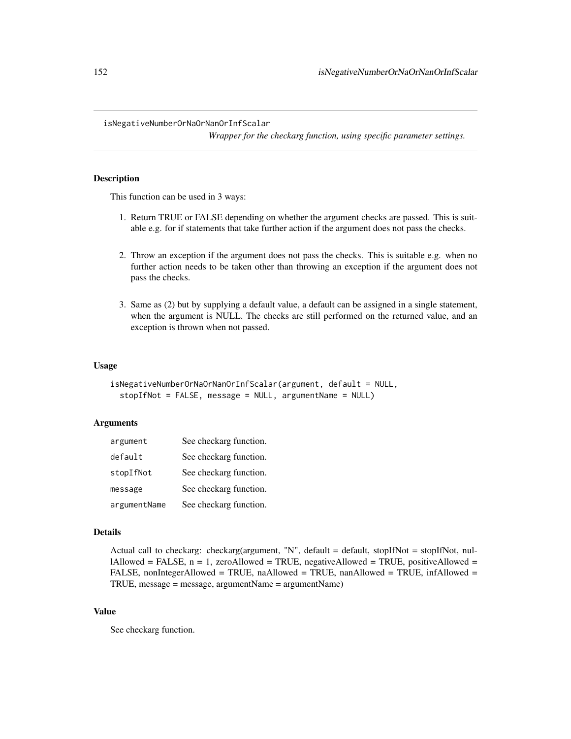isNegativeNumberOrNaOrNanOrInfScalar

*Wrapper for the checkarg function, using specific parameter settings.*

## Description

This function can be used in 3 ways:

- 1. Return TRUE or FALSE depending on whether the argument checks are passed. This is suitable e.g. for if statements that take further action if the argument does not pass the checks.
- 2. Throw an exception if the argument does not pass the checks. This is suitable e.g. when no further action needs to be taken other than throwing an exception if the argument does not pass the checks.
- 3. Same as (2) but by supplying a default value, a default can be assigned in a single statement, when the argument is NULL. The checks are still performed on the returned value, and an exception is thrown when not passed.

#### Usage

```
isNegativeNumberOrNaOrNanOrInfScalar(argument, default = NULL,
 stopIfNot = FALSE, message = NULL, argumentName = NULL)
```
### **Arguments**

| argument     | See checkarg function. |
|--------------|------------------------|
| default      | See checkarg function. |
| stopIfNot    | See checkarg function. |
| message      | See checkarg function. |
| argumentName | See checkarg function. |

#### Details

Actual call to checkarg: checkarg(argument, "N", default = default, stopIfNot = stopIfNot, nullAllowed = FALSE,  $n = 1$ , zeroAllowed = TRUE, negativeAllowed = TRUE, positiveAllowed = FALSE, nonIntegerAllowed = TRUE, naAllowed = TRUE, nanAllowed = TRUE, infAllowed = TRUE, message = message, argumentName = argumentName)

# Value

See checkarg function.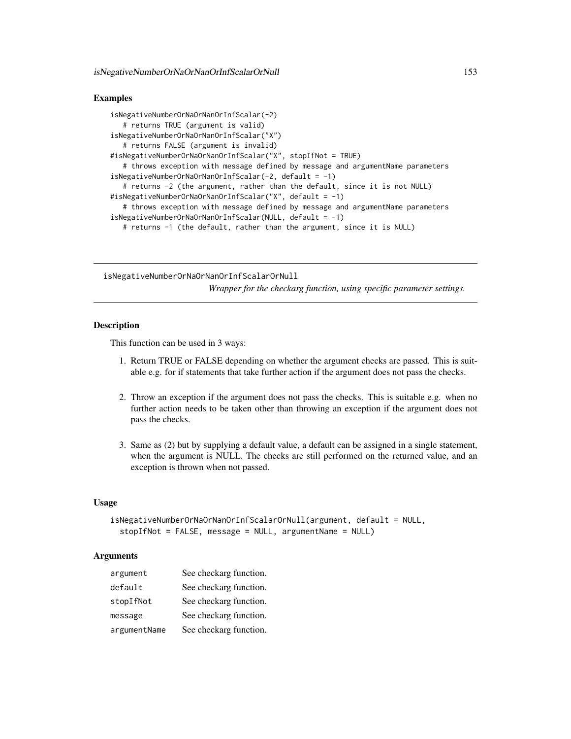## Examples

```
isNegativeNumberOrNaOrNanOrInfScalar(-2)
   # returns TRUE (argument is valid)
isNegativeNumberOrNaOrNanOrInfScalar("X")
   # returns FALSE (argument is invalid)
#isNegativeNumberOrNaOrNanOrInfScalar("X", stopIfNot = TRUE)
   # throws exception with message defined by message and argumentName parameters
isNegativeNumberOrNaOrNanOrInfScalar(-2, default = -1)
   # returns -2 (the argument, rather than the default, since it is not NULL)
#isNegativeNumberOrNaOrNanOrInfScalar("X", default = -1)
   # throws exception with message defined by message and argumentName parameters
isNegativeNumberOrNaOrNanOrInfScalar(NULL, default = -1)
   # returns -1 (the default, rather than the argument, since it is NULL)
```
isNegativeNumberOrNaOrNanOrInfScalarOrNull *Wrapper for the checkarg function, using specific parameter settings.*

### **Description**

This function can be used in 3 ways:

- 1. Return TRUE or FALSE depending on whether the argument checks are passed. This is suitable e.g. for if statements that take further action if the argument does not pass the checks.
- 2. Throw an exception if the argument does not pass the checks. This is suitable e.g. when no further action needs to be taken other than throwing an exception if the argument does not pass the checks.
- 3. Same as (2) but by supplying a default value, a default can be assigned in a single statement, when the argument is NULL. The checks are still performed on the returned value, and an exception is thrown when not passed.

### Usage

```
isNegativeNumberOrNaOrNanOrInfScalarOrNull(argument, default = NULL,
 stopIfNot = FALSE, message = NULL, argumentName = NULL)
```
## **Arguments**

| argument     | See checkarg function. |
|--------------|------------------------|
| default      | See checkarg function. |
| stopIfNot    | See checkarg function. |
| message      | See checkarg function. |
| argumentName | See checkarg function. |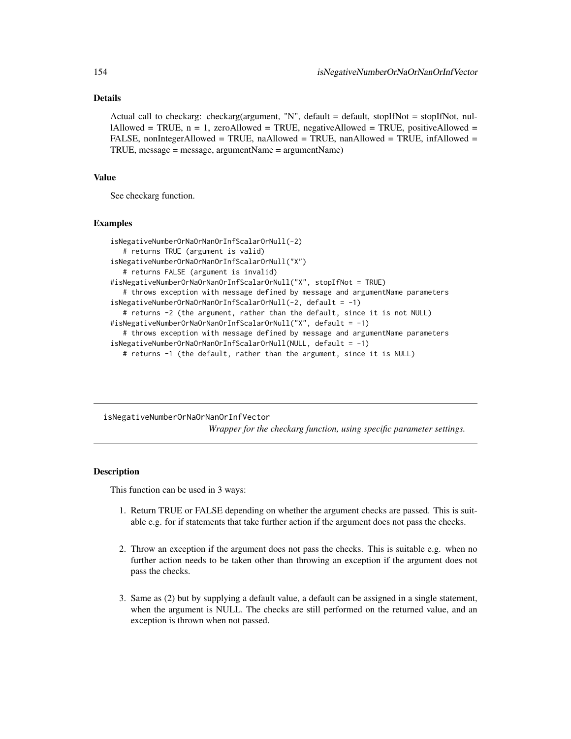# Details

Actual call to checkarg: checkarg(argument, "N", default = default, stopIfNot = stopIfNot, nul- $1$ Allowed = TRUE,  $n = 1$ , zeroAllowed = TRUE, negativeAllowed = TRUE, positiveAllowed = FALSE, nonIntegerAllowed = TRUE, naAllowed = TRUE, nanAllowed = TRUE, infAllowed = TRUE, message = message, argumentName = argumentName)

#### Value

See checkarg function.

#### Examples

```
isNegativeNumberOrNaOrNanOrInfScalarOrNull(-2)
  # returns TRUE (argument is valid)
isNegativeNumberOrNaOrNanOrInfScalarOrNull("X")
  # returns FALSE (argument is invalid)
#isNegativeNumberOrNaOrNanOrInfScalarOrNull("X", stopIfNot = TRUE)
  # throws exception with message defined by message and argumentName parameters
isNegativeNumberOrNaOrNanOrInfScalarOrNull(-2, default = -1)
  # returns -2 (the argument, rather than the default, since it is not NULL)
#isNegativeNumberOrNaOrNanOrInfScalarOrNull("X", default = -1)
  # throws exception with message defined by message and argumentName parameters
isNegativeNumberOrNaOrNanOrInfScalarOrNull(NULL, default = -1)
  # returns -1 (the default, rather than the argument, since it is NULL)
```
isNegativeNumberOrNaOrNanOrInfVector *Wrapper for the checkarg function, using specific parameter settings.*

## **Description**

This function can be used in 3 ways:

- 1. Return TRUE or FALSE depending on whether the argument checks are passed. This is suitable e.g. for if statements that take further action if the argument does not pass the checks.
- 2. Throw an exception if the argument does not pass the checks. This is suitable e.g. when no further action needs to be taken other than throwing an exception if the argument does not pass the checks.
- 3. Same as (2) but by supplying a default value, a default can be assigned in a single statement, when the argument is NULL. The checks are still performed on the returned value, and an exception is thrown when not passed.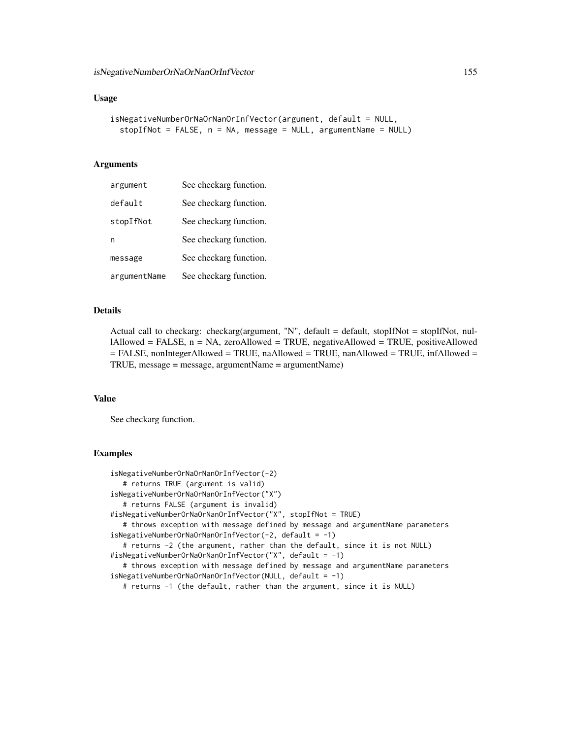```
isNegativeNumberOrNaOrNanOrInfVector(argument, default = NULL,
  stopIfNot = FALSE, n = NA, message = NULL, argumentName = NULL)
```
## Arguments

| argument     | See checkarg function. |
|--------------|------------------------|
| default      | See checkarg function. |
| stopIfNot    | See checkarg function. |
| n            | See checkarg function. |
| message      | See checkarg function. |
| argumentName | See checkarg function. |

### Details

Actual call to checkarg: checkarg(argument, "N", default = default, stopIfNot = stopIfNot, nullAllowed = FALSE, n = NA, zeroAllowed = TRUE, negativeAllowed = TRUE, positiveAllowed  $=$  FALSE, nonIntegerAllowed = TRUE, naAllowed = TRUE, nanAllowed = TRUE, infAllowed = TRUE, message = message, argumentName = argumentName)

#### Value

See checkarg function.

```
isNegativeNumberOrNaOrNanOrInfVector(-2)
  # returns TRUE (argument is valid)
isNegativeNumberOrNaOrNanOrInfVector("X")
  # returns FALSE (argument is invalid)
#isNegativeNumberOrNaOrNanOrInfVector("X", stopIfNot = TRUE)
   # throws exception with message defined by message and argumentName parameters
isNegativeNumberOrNaOrNanOrInfVector(-2, default = -1)
   # returns -2 (the argument, rather than the default, since it is not NULL)
#isNegativeNumberOrNaOrNanOrInfVector("X", default = -1)
   # throws exception with message defined by message and argumentName parameters
isNegativeNumberOrNaOrNanOrInfVector(NULL, default = -1)
   # returns -1 (the default, rather than the argument, since it is NULL)
```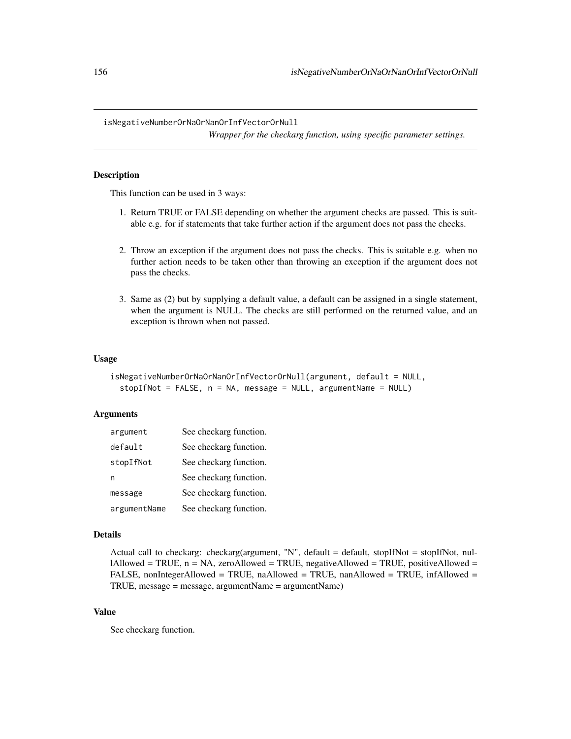isNegativeNumberOrNaOrNanOrInfVectorOrNull

*Wrapper for the checkarg function, using specific parameter settings.*

# **Description**

This function can be used in 3 ways:

- 1. Return TRUE or FALSE depending on whether the argument checks are passed. This is suitable e.g. for if statements that take further action if the argument does not pass the checks.
- 2. Throw an exception if the argument does not pass the checks. This is suitable e.g. when no further action needs to be taken other than throwing an exception if the argument does not pass the checks.
- 3. Same as (2) but by supplying a default value, a default can be assigned in a single statement, when the argument is NULL. The checks are still performed on the returned value, and an exception is thrown when not passed.

#### Usage

```
isNegativeNumberOrNaOrNanOrInfVectorOrNull(argument, default = NULL,
 stopIfNot = FALSE, n = NA, message = NULL, argumentName = NULL)
```
## Arguments

| argument     | See checkarg function. |
|--------------|------------------------|
| default      | See checkarg function. |
| stopIfNot    | See checkarg function. |
| n            | See checkarg function. |
| message      | See checkarg function. |
| argumentName | See checkarg function. |

#### Details

```
Actual call to checkarg: checkarg(argument, "N", default = default, stopIfNot = stopIfNot, nul-
lAllowed = TRUE, n = NA, zeroAllowed = TRUE, negativeAllowed = TRUE, positiveAllowed =
FALSE, nonIntegerAllowed = TRUE, naAllowed = TRUE, nanAllowed = TRUE, infAllowed =
TRUE, message = message, argumentName = argumentName)
```
# Value

See checkarg function.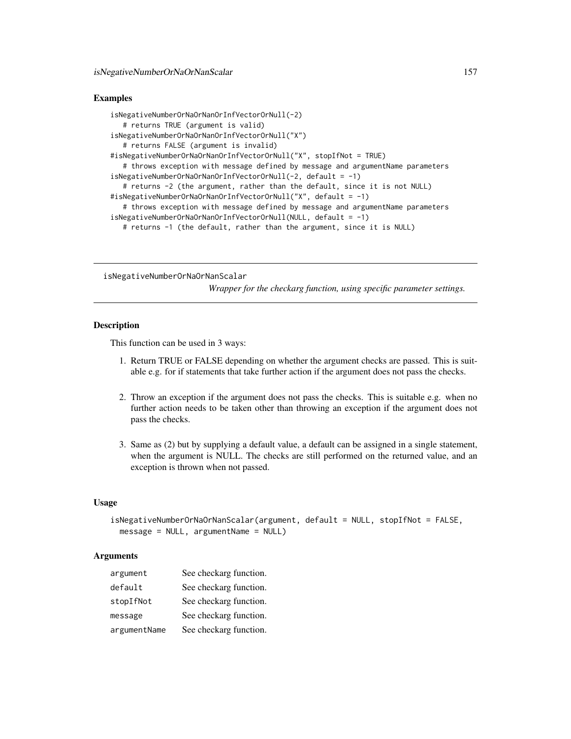### Examples

```
isNegativeNumberOrNaOrNanOrInfVectorOrNull(-2)
   # returns TRUE (argument is valid)
isNegativeNumberOrNaOrNanOrInfVectorOrNull("X")
   # returns FALSE (argument is invalid)
#isNegativeNumberOrNaOrNanOrInfVectorOrNull("X", stopIfNot = TRUE)
   # throws exception with message defined by message and argumentName parameters
isNegativeNumberOrNaOrNanOrInfVectorOrNull(-2, default = -1)# returns -2 (the argument, rather than the default, since it is not NULL)
#isNegativeNumberOrNaOrNanOrInfVectorOrNull("X", default = -1)
   # throws exception with message defined by message and argumentName parameters
isNegativeNumberOrNaOrNanOrInfVectorOrNull(NULL, default = -1)
   # returns -1 (the default, rather than the argument, since it is NULL)
```
isNegativeNumberOrNaOrNanScalar

*Wrapper for the checkarg function, using specific parameter settings.*

### **Description**

This function can be used in 3 ways:

- 1. Return TRUE or FALSE depending on whether the argument checks are passed. This is suitable e.g. for if statements that take further action if the argument does not pass the checks.
- 2. Throw an exception if the argument does not pass the checks. This is suitable e.g. when no further action needs to be taken other than throwing an exception if the argument does not pass the checks.
- 3. Same as (2) but by supplying a default value, a default can be assigned in a single statement, when the argument is NULL. The checks are still performed on the returned value, and an exception is thrown when not passed.

### Usage

```
isNegativeNumberOrNaOrNanScalar(argument, default = NULL, stopIfNot = FALSE,
 message = NULL, argumentName = NULL)
```
### **Arguments**

| argument     | See checkarg function. |
|--------------|------------------------|
| default      | See checkarg function. |
| stopIfNot    | See checkarg function. |
| message      | See checkarg function. |
| argumentName | See checkarg function. |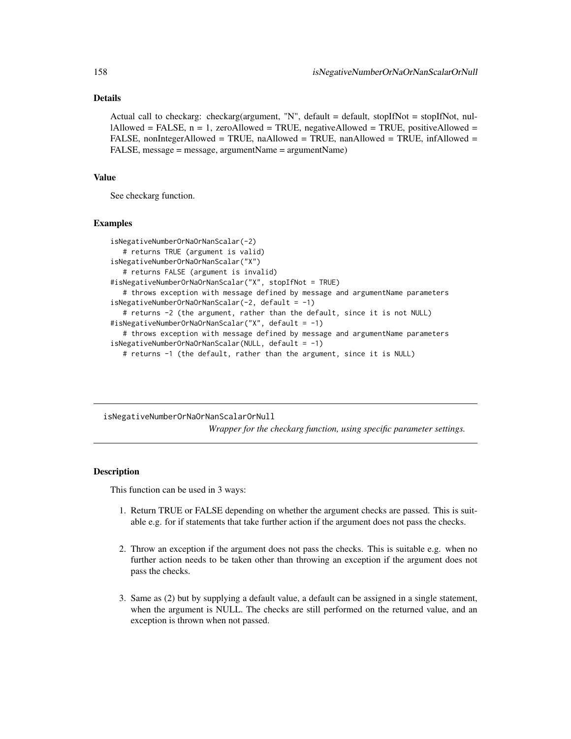# Details

Actual call to checkarg: checkarg(argument, "N", default = default, stopIfNot = stopIfNot, nullAllowed = FALSE, n = 1, zeroAllowed = TRUE, negativeAllowed = TRUE, positiveAllowed = FALSE, nonIntegerAllowed = TRUE, naAllowed = TRUE, nanAllowed = TRUE, infAllowed = FALSE, message = message, argumentName = argumentName)

#### Value

See checkarg function.

#### Examples

```
isNegativeNumberOrNaOrNanScalar(-2)
  # returns TRUE (argument is valid)
isNegativeNumberOrNaOrNanScalar("X")
  # returns FALSE (argument is invalid)
#isNegativeNumberOrNaOrNanScalar("X", stopIfNot = TRUE)
  # throws exception with message defined by message and argumentName parameters
isNegativeNumberOrNaOrNanScalar(-2, default = -1)
  # returns -2 (the argument, rather than the default, since it is not NULL)
#isNegativeNumberOrNaOrNanScalar("X", default = -1)
  # throws exception with message defined by message and argumentName parameters
isNegativeNumberOrNaOrNanScalar(NULL, default = -1)
  # returns -1 (the default, rather than the argument, since it is NULL)
```
isNegativeNumberOrNaOrNanScalarOrNull *Wrapper for the checkarg function, using specific parameter settings.*

## **Description**

This function can be used in 3 ways:

- 1. Return TRUE or FALSE depending on whether the argument checks are passed. This is suitable e.g. for if statements that take further action if the argument does not pass the checks.
- 2. Throw an exception if the argument does not pass the checks. This is suitable e.g. when no further action needs to be taken other than throwing an exception if the argument does not pass the checks.
- 3. Same as (2) but by supplying a default value, a default can be assigned in a single statement, when the argument is NULL. The checks are still performed on the returned value, and an exception is thrown when not passed.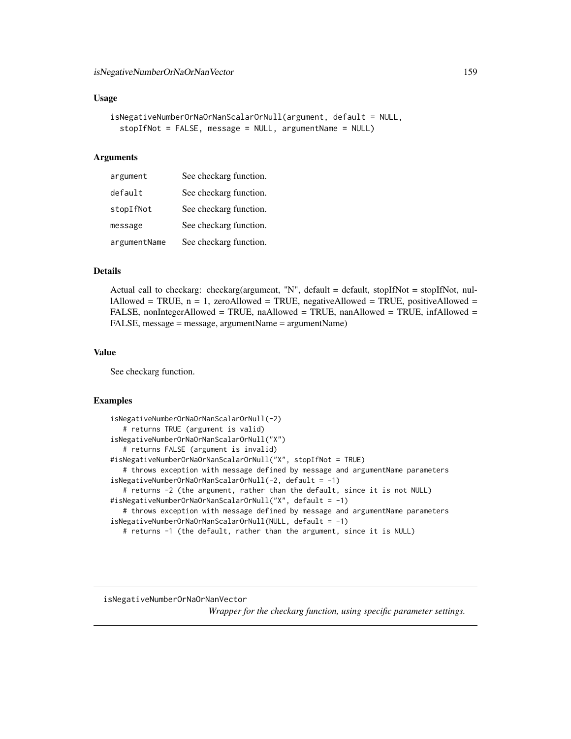```
isNegativeNumberOrNaOrNanScalarOrNull(argument, default = NULL,
  stopIfNot = FALSE, message = NULL, argumentName = NULL)
```
#### Arguments

| argument     | See checkarg function. |
|--------------|------------------------|
| default      | See checkarg function. |
| stopIfNot    | See checkarg function. |
| message      | See checkarg function. |
| argumentName | See checkarg function. |

# Details

Actual call to checkarg: checkarg(argument, "N", default = default, stopIfNot = stopIfNot, nullAllowed = TRUE,  $n = 1$ , zeroAllowed = TRUE, negativeAllowed = TRUE, positiveAllowed = FALSE, nonIntegerAllowed = TRUE, naAllowed = TRUE, nanAllowed = TRUE, infAllowed = FALSE, message = message, argumentName = argumentName)

### Value

See checkarg function.

#### Examples

```
isNegativeNumberOrNaOrNanScalarOrNull(-2)
   # returns TRUE (argument is valid)
isNegativeNumberOrNaOrNanScalarOrNull("X")
   # returns FALSE (argument is invalid)
#isNegativeNumberOrNaOrNanScalarOrNull("X", stopIfNot = TRUE)
   # throws exception with message defined by message and argumentName parameters
isNegativeNumberOrNaOrNanScalarOrNull(-2, default = -1)
   # returns -2 (the argument, rather than the default, since it is not NULL)
#isNegativeNumberOrNaOrNanScalarOrNull("X", default = -1)
  # throws exception with message defined by message and argumentName parameters
isNegativeNumberOrNaOrNanScalarOrNull(NULL, default = -1)
  # returns -1 (the default, rather than the argument, since it is NULL)
```
isNegativeNumberOrNaOrNanVector

*Wrapper for the checkarg function, using specific parameter settings.*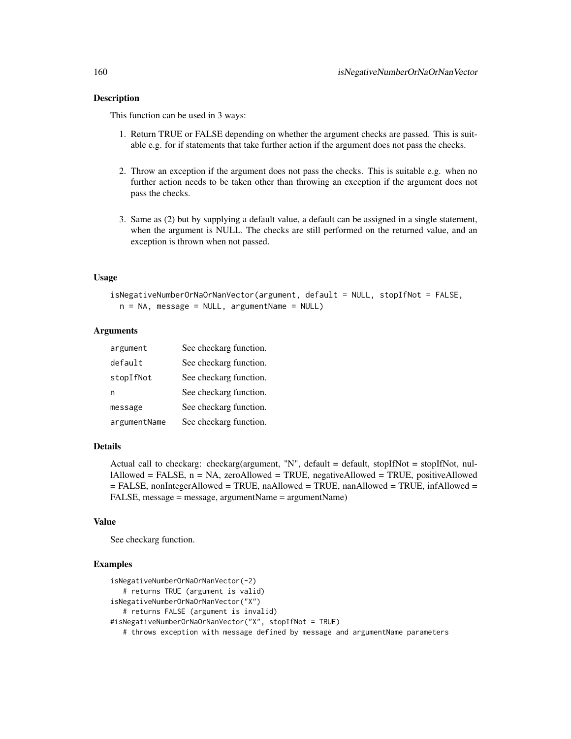### Description

This function can be used in 3 ways:

- 1. Return TRUE or FALSE depending on whether the argument checks are passed. This is suitable e.g. for if statements that take further action if the argument does not pass the checks.
- 2. Throw an exception if the argument does not pass the checks. This is suitable e.g. when no further action needs to be taken other than throwing an exception if the argument does not pass the checks.
- 3. Same as (2) but by supplying a default value, a default can be assigned in a single statement, when the argument is NULL. The checks are still performed on the returned value, and an exception is thrown when not passed.

### Usage

```
isNegativeNumberOrNaOrNanVector(argument, default = NULL, stopIfNot = FALSE,
 n = NA, message = NULL, argumentName = NULL)
```
### Arguments

| argument     | See checkarg function. |
|--------------|------------------------|
| default      | See checkarg function. |
| stopIfNot    | See checkarg function. |
| n            | See checkarg function. |
| message      | See checkarg function. |
| argumentName | See checkarg function. |

### Details

Actual call to checkarg: checkarg(argument, "N", default = default, stopIfNot = stopIfNot, nul- $1$ Allowed = FALSE,  $n = NA$ , zeroAllowed = TRUE, negativeAllowed = TRUE, positiveAllowed = FALSE, nonIntegerAllowed = TRUE, naAllowed = TRUE, nanAllowed = TRUE, infAllowed = FALSE, message = message, argumentName = argumentName)

### Value

See checkarg function.

```
isNegativeNumberOrNaOrNanVector(-2)
  # returns TRUE (argument is valid)
isNegativeNumberOrNaOrNanVector("X")
  # returns FALSE (argument is invalid)
#isNegativeNumberOrNaOrNanVector("X", stopIfNot = TRUE)
  # throws exception with message defined by message and argumentName parameters
```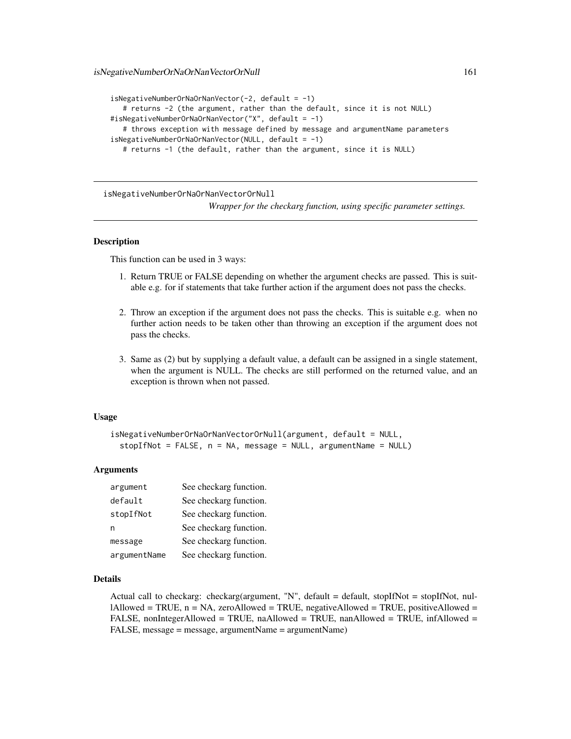```
isNegativeNumberOrNaOrNanVector(-2, default = -1)
   # returns -2 (the argument, rather than the default, since it is not NULL)
#isNegativeNumberOrNaOrNanVector("X", default = -1)
   # throws exception with message defined by message and argumentName parameters
isNegativeNumberOrNaOrNanVector(NULL, default = -1)
  # returns -1 (the default, rather than the argument, since it is NULL)
```
isNegativeNumberOrNaOrNanVectorOrNull

*Wrapper for the checkarg function, using specific parameter settings.*

## Description

This function can be used in 3 ways:

- 1. Return TRUE or FALSE depending on whether the argument checks are passed. This is suitable e.g. for if statements that take further action if the argument does not pass the checks.
- 2. Throw an exception if the argument does not pass the checks. This is suitable e.g. when no further action needs to be taken other than throwing an exception if the argument does not pass the checks.
- 3. Same as (2) but by supplying a default value, a default can be assigned in a single statement, when the argument is NULL. The checks are still performed on the returned value, and an exception is thrown when not passed.

#### Usage

```
isNegativeNumberOrNaOrNanVectorOrNull(argument, default = NULL,
 stopIfNot = FALSE, n = NA, message = NULL, argumentName = NULL)
```
#### Arguments

| argument     | See checkarg function. |
|--------------|------------------------|
| default      | See checkarg function. |
| stopIfNot    | See checkarg function. |
| n            | See checkarg function. |
| message      | See checkarg function. |
| argumentName | See checkarg function. |

#### Details

Actual call to checkarg: checkarg(argument, "N", default = default, stopIfNot = stopIfNot, nullAllowed = TRUE,  $n = NA$ , zeroAllowed = TRUE, negativeAllowed = TRUE, positiveAllowed = FALSE, nonIntegerAllowed = TRUE, naAllowed = TRUE, nanAllowed = TRUE, infAllowed = FALSE, message = message, argumentName = argumentName)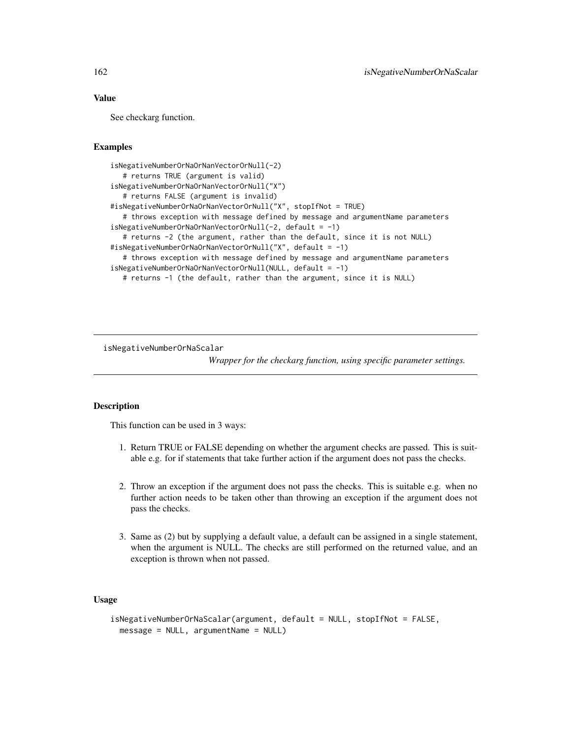# Value

See checkarg function.

### Examples

```
isNegativeNumberOrNaOrNanVectorOrNull(-2)
  # returns TRUE (argument is valid)
isNegativeNumberOrNaOrNanVectorOrNull("X")
  # returns FALSE (argument is invalid)
#isNegativeNumberOrNaOrNanVectorOrNull("X", stopIfNot = TRUE)
  # throws exception with message defined by message and argumentName parameters
isNegativeNumberOrNaOrNanVectorOrNull(-2, default = -1)
  # returns -2 (the argument, rather than the default, since it is not NULL)
#isNegativeNumberOrNaOrNanVectorOrNull("X", default = -1)
  # throws exception with message defined by message and argumentName parameters
isNegativeNumberOrNaOrNanVectorOrNull(NULL, default = -1)
  # returns -1 (the default, rather than the argument, since it is NULL)
```
isNegativeNumberOrNaScalar

*Wrapper for the checkarg function, using specific parameter settings.*

# **Description**

This function can be used in 3 ways:

- 1. Return TRUE or FALSE depending on whether the argument checks are passed. This is suitable e.g. for if statements that take further action if the argument does not pass the checks.
- 2. Throw an exception if the argument does not pass the checks. This is suitable e.g. when no further action needs to be taken other than throwing an exception if the argument does not pass the checks.
- 3. Same as (2) but by supplying a default value, a default can be assigned in a single statement, when the argument is NULL. The checks are still performed on the returned value, and an exception is thrown when not passed.

## Usage

```
isNegativeNumberOrNaScalar(argument, default = NULL, stopIfNot = FALSE,
 message = NULL, argumentName = NULL)
```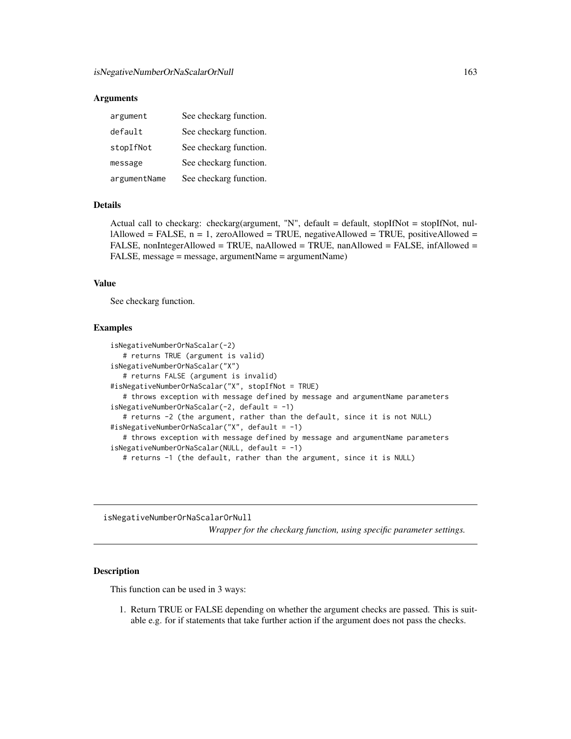#### **Arguments**

| argument     | See checkarg function. |
|--------------|------------------------|
| default      | See checkarg function. |
| stopIfNot    | See checkarg function. |
| message      | See checkarg function. |
| argumentName | See checkarg function. |

# Details

Actual call to checkarg: checkarg(argument, "N", default = default, stopIfNot = stopIfNot, nullAllowed = FALSE,  $n = 1$ , zeroAllowed = TRUE, negativeAllowed = TRUE, positiveAllowed = FALSE, nonIntegerAllowed = TRUE, naAllowed = TRUE, nanAllowed = FALSE, infAllowed = FALSE, message = message, argumentName = argumentName)

## Value

See checkarg function.

# Examples

```
isNegativeNumberOrNaScalar(-2)
  # returns TRUE (argument is valid)
isNegativeNumberOrNaScalar("X")
  # returns FALSE (argument is invalid)
#isNegativeNumberOrNaScalar("X", stopIfNot = TRUE)
   # throws exception with message defined by message and argumentName parameters
isNegativeNumberOrNaScalar(-2, default = -1)
   # returns -2 (the argument, rather than the default, since it is not NULL)
#isNegativeNumberOrNaScalar("X", default = -1)
   # throws exception with message defined by message and argumentName parameters
isNegativeNumberOrNaScalar(NULL, default = -1)
   # returns -1 (the default, rather than the argument, since it is NULL)
```
isNegativeNumberOrNaScalarOrNull

*Wrapper for the checkarg function, using specific parameter settings.*

#### **Description**

This function can be used in 3 ways:

1. Return TRUE or FALSE depending on whether the argument checks are passed. This is suitable e.g. for if statements that take further action if the argument does not pass the checks.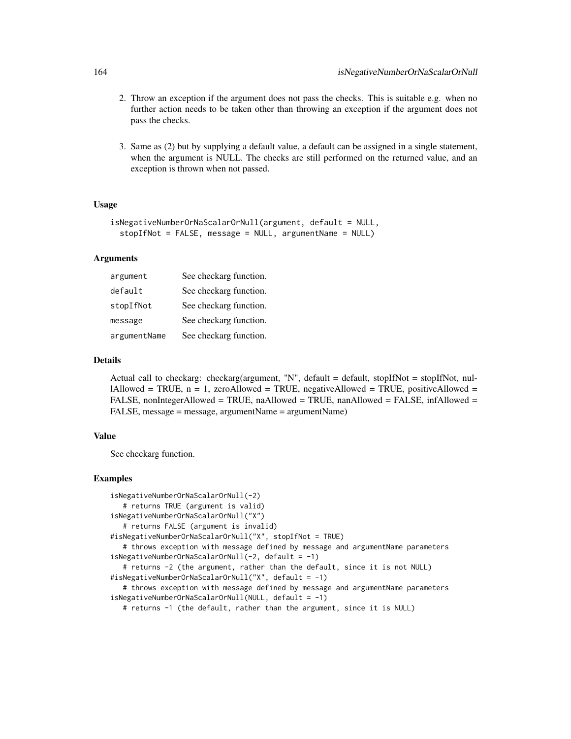- 2. Throw an exception if the argument does not pass the checks. This is suitable e.g. when no further action needs to be taken other than throwing an exception if the argument does not pass the checks.
- 3. Same as (2) but by supplying a default value, a default can be assigned in a single statement, when the argument is NULL. The checks are still performed on the returned value, and an exception is thrown when not passed.

```
isNegativeNumberOrNaScalarOrNull(argument, default = NULL,
  stopIfNot = FALSE, message = NULL, argumentName = NULL)
```
### Arguments

| argument     | See checkarg function. |
|--------------|------------------------|
| default      | See checkarg function. |
| stopIfNot    | See checkarg function. |
| message      | See checkarg function. |
| argumentName | See checkarg function. |

## Details

Actual call to checkarg: checkarg(argument, "N", default = default, stopIfNot = stopIfNot, nullAllowed = TRUE,  $n = 1$ , zeroAllowed = TRUE, negativeAllowed = TRUE, positiveAllowed = FALSE, nonIntegerAllowed = TRUE, naAllowed = TRUE, nanAllowed = FALSE, infAllowed = FALSE, message = message, argumentName = argumentName)

## Value

See checkarg function.

```
isNegativeNumberOrNaScalarOrNull(-2)
   # returns TRUE (argument is valid)
isNegativeNumberOrNaScalarOrNull("X")
   # returns FALSE (argument is invalid)
#isNegativeNumberOrNaScalarOrNull("X", stopIfNot = TRUE)
   # throws exception with message defined by message and argumentName parameters
isNegativeNumberOrNaScalarOrNull(-2, default = -1)# returns -2 (the argument, rather than the default, since it is not NULL)
#isNegativeNumberOrNaScalarOrNull("X", default = -1)
   # throws exception with message defined by message and argumentName parameters
isNegativeNumberOrNaScalarOrNull(NULL, default = -1)# returns -1 (the default, rather than the argument, since it is NULL)
```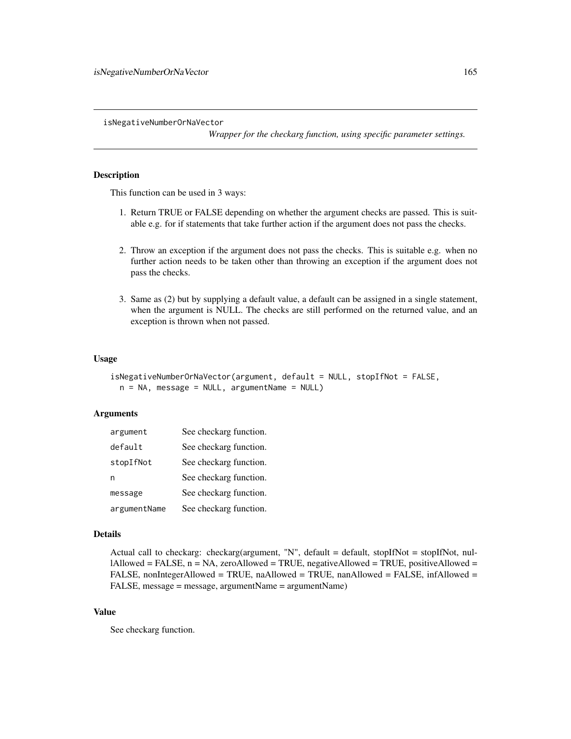isNegativeNumberOrNaVector

*Wrapper for the checkarg function, using specific parameter settings.*

# **Description**

This function can be used in 3 ways:

- 1. Return TRUE or FALSE depending on whether the argument checks are passed. This is suitable e.g. for if statements that take further action if the argument does not pass the checks.
- 2. Throw an exception if the argument does not pass the checks. This is suitable e.g. when no further action needs to be taken other than throwing an exception if the argument does not pass the checks.
- 3. Same as (2) but by supplying a default value, a default can be assigned in a single statement, when the argument is NULL. The checks are still performed on the returned value, and an exception is thrown when not passed.

## Usage

```
isNegativeNumberOrNaVector(argument, default = NULL, stopIfNot = FALSE,
 n = NA, message = NULL, argumentName = NULL)
```
## **Arguments**

| argument     | See checkarg function. |
|--------------|------------------------|
| default      | See checkarg function. |
| stopIfNot    | See checkarg function. |
| n            | See checkarg function. |
| message      | See checkarg function. |
| argumentName | See checkarg function. |

#### Details

Actual call to checkarg: checkarg(argument, "N", default = default, stopIfNot = stopIfNot, nul $l$ Allowed = FALSE,  $n$  = NA, zeroAllowed = TRUE, negativeAllowed = TRUE, positiveAllowed = FALSE, nonIntegerAllowed = TRUE, naAllowed = TRUE, nanAllowed = FALSE, infAllowed = FALSE, message = message, argumentName = argumentName)

# Value

See checkarg function.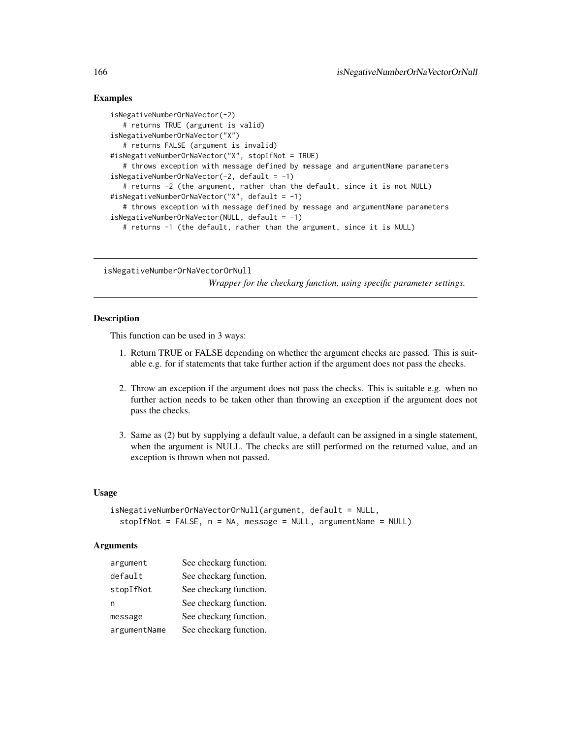## Examples

```
isNegativeNumberOrNaVector(-2)
   # returns TRUE (argument is valid)
isNegativeNumberOrNaVector("X")
   # returns FALSE (argument is invalid)
#isNegativeNumberOrNaVector("X", stopIfNot = TRUE)
   # throws exception with message defined by message and argumentName parameters
isNegativeNumberOrNaVector(-2, default = -1)
  # returns -2 (the argument, rather than the default, since it is not NULL)
#isNegativeNumberOrNaVector("X", default = -1)
   # throws exception with message defined by message and argumentName parameters
isNegativeNumberOrNaVector(NULL, default = -1)
  # returns -1 (the default, rather than the argument, since it is NULL)
```
isNegativeNumberOrNaVectorOrNull

*Wrapper for the checkarg function, using specific parameter settings.*

## Description

This function can be used in 3 ways:

- 1. Return TRUE or FALSE depending on whether the argument checks are passed. This is suitable e.g. for if statements that take further action if the argument does not pass the checks.
- 2. Throw an exception if the argument does not pass the checks. This is suitable e.g. when no further action needs to be taken other than throwing an exception if the argument does not pass the checks.
- 3. Same as (2) but by supplying a default value, a default can be assigned in a single statement, when the argument is NULL. The checks are still performed on the returned value, and an exception is thrown when not passed.

## Usage

```
isNegativeNumberOrNaVectorOrNull(argument, default = NULL,
 stopIfNot = FALSE, n = NA, message = NULL, argumentName = NULL)
```
### Arguments

| argument     | See checkarg function. |
|--------------|------------------------|
| default      | See checkarg function. |
| stopIfNot    | See checkarg function. |
| n            | See checkarg function. |
| message      | See checkarg function. |
| argumentName | See checkarg function. |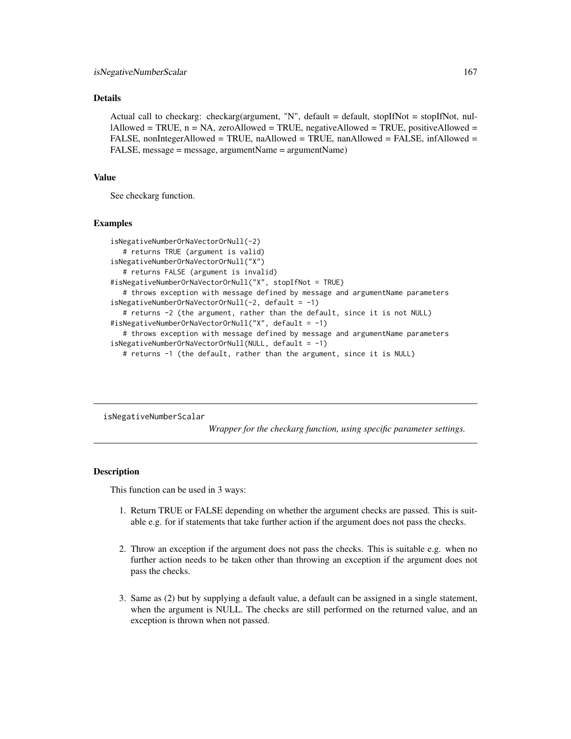# Details

Actual call to checkarg: checkarg(argument, "N", default = default, stopIfNot = stopIfNot, nullAllowed = TRUE,  $n = NA$ , zeroAllowed = TRUE, negativeAllowed = TRUE, positiveAllowed = FALSE, nonIntegerAllowed = TRUE, naAllowed = TRUE, nanAllowed = FALSE, infAllowed = FALSE, message = message, argumentName = argumentName)

### Value

See checkarg function.

#### Examples

```
isNegativeNumberOrNaVectorOrNull(-2)
  # returns TRUE (argument is valid)
isNegativeNumberOrNaVectorOrNull("X")
  # returns FALSE (argument is invalid)
#isNegativeNumberOrNaVectorOrNull("X", stopIfNot = TRUE)
  # throws exception with message defined by message and argumentName parameters
isNegativeNumberOrNaVectorOrNull(-2, default = -1)
  # returns -2 (the argument, rather than the default, since it is not NULL)
#isNegativeNumberOrNaVectorOrNull("X", default = -1)
  # throws exception with message defined by message and argumentName parameters
isNegativeNumberOrNaVectorOrNull(NULL, default = -1)
  # returns -1 (the default, rather than the argument, since it is NULL)
```
isNegativeNumberScalar

*Wrapper for the checkarg function, using specific parameter settings.*

# Description

This function can be used in 3 ways:

- 1. Return TRUE or FALSE depending on whether the argument checks are passed. This is suitable e.g. for if statements that take further action if the argument does not pass the checks.
- 2. Throw an exception if the argument does not pass the checks. This is suitable e.g. when no further action needs to be taken other than throwing an exception if the argument does not pass the checks.
- 3. Same as (2) but by supplying a default value, a default can be assigned in a single statement, when the argument is NULL. The checks are still performed on the returned value, and an exception is thrown when not passed.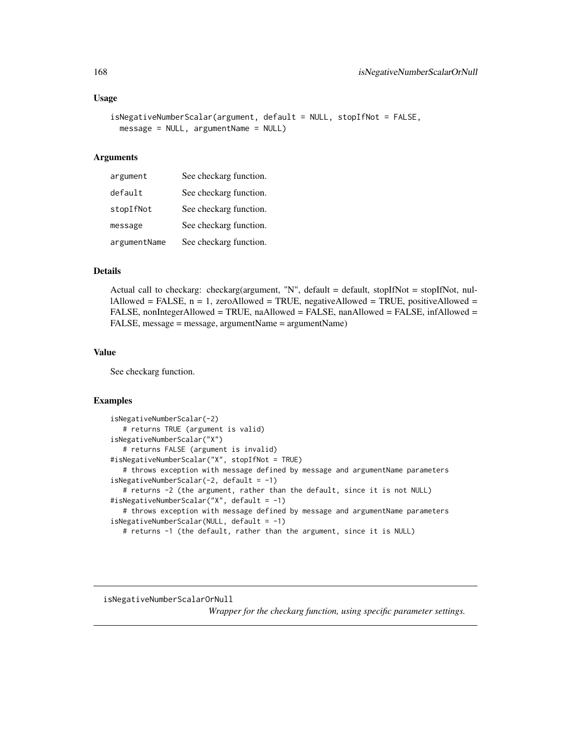```
isNegativeNumberScalar(argument, default = NULL, stopIfNot = FALSE,
 message = NULL, argumentName = NULL)
```
#### Arguments

| argument     | See checkarg function. |
|--------------|------------------------|
| default      | See checkarg function. |
| stopIfNot    | See checkarg function. |
| message      | See checkarg function. |
| argumentName | See checkarg function. |

# Details

Actual call to checkarg: checkarg(argument, "N", default = default, stopIfNot = stopIfNot, nullAllowed = FALSE,  $n = 1$ , zeroAllowed = TRUE, negativeAllowed = TRUE, positiveAllowed = FALSE, nonIntegerAllowed = TRUE, naAllowed = FALSE, nanAllowed = FALSE, infAllowed = FALSE, message = message, argumentName = argumentName)

### Value

See checkarg function.

## Examples

```
isNegativeNumberScalar(-2)
   # returns TRUE (argument is valid)
isNegativeNumberScalar("X")
  # returns FALSE (argument is invalid)
#isNegativeNumberScalar("X", stopIfNot = TRUE)
   # throws exception with message defined by message and argumentName parameters
isNegativeNumberScalar(-2, default = -1)
   # returns -2 (the argument, rather than the default, since it is not NULL)
#isNegativeNumberScalar("X", default = -1)
  # throws exception with message defined by message and argumentName parameters
isNegativeNumberScalar(NULL, default = -1)
  # returns -1 (the default, rather than the argument, since it is NULL)
```
isNegativeNumberScalarOrNull

*Wrapper for the checkarg function, using specific parameter settings.*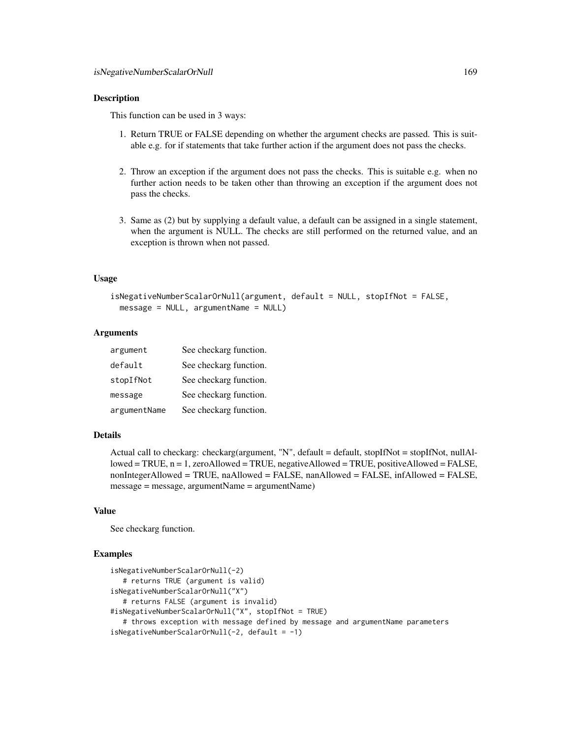### **Description**

This function can be used in 3 ways:

- 1. Return TRUE or FALSE depending on whether the argument checks are passed. This is suitable e.g. for if statements that take further action if the argument does not pass the checks.
- 2. Throw an exception if the argument does not pass the checks. This is suitable e.g. when no further action needs to be taken other than throwing an exception if the argument does not pass the checks.
- 3. Same as (2) but by supplying a default value, a default can be assigned in a single statement, when the argument is NULL. The checks are still performed on the returned value, and an exception is thrown when not passed.

#### Usage

```
isNegativeNumberScalarOrNull(argument, default = NULL, stopIfNot = FALSE,
 message = NULL, argumentName = NULL)
```
### Arguments

| argument     | See checkarg function. |
|--------------|------------------------|
| default      | See checkarg function. |
| stopIfNot    | See checkarg function. |
| message      | See checkarg function. |
| argumentName | See checkarg function. |

#### Details

Actual call to checkarg: checkarg(argument, "N", default = default, stopIfNot = stopIfNot, nullAllowed = TRUE, n = 1, zeroAllowed = TRUE, negativeAllowed = TRUE, positiveAllowed = FALSE, nonIntegerAllowed = TRUE, naAllowed = FALSE, nanAllowed = FALSE, infAllowed = FALSE, message = message, argumentName = argumentName)

### Value

See checkarg function.

```
isNegativeNumberScalarOrNull(-2)
   # returns TRUE (argument is valid)
isNegativeNumberScalarOrNull("X")
   # returns FALSE (argument is invalid)
#isNegativeNumberScalarOrNull("X", stopIfNot = TRUE)
   # throws exception with message defined by message and argumentName parameters
isNegativeNumberScalarOrNull(-2, default = -1)
```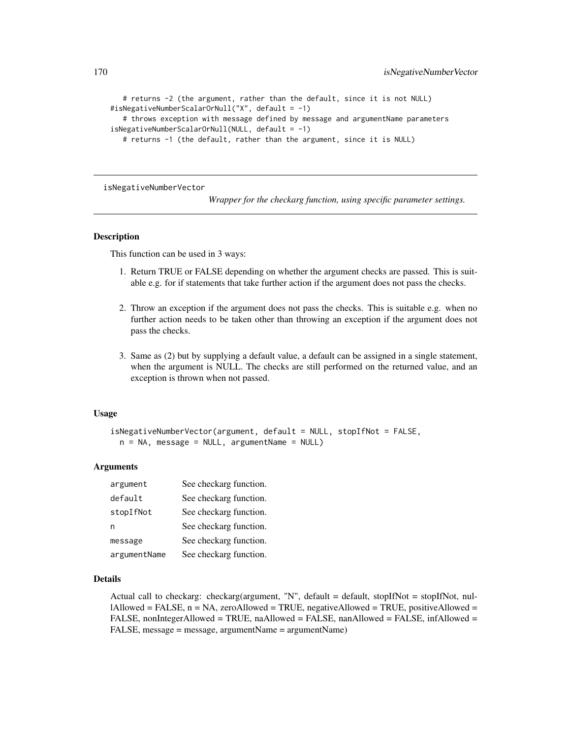```
# returns -2 (the argument, rather than the default, since it is not NULL)
#isNegativeNumberScalarOrNull("X", default = -1)
   # throws exception with message defined by message and argumentName parameters
isNegativeNumberScalarOrNull(NULL, default = -1)
  # returns -1 (the default, rather than the argument, since it is NULL)
```
isNegativeNumberVector

*Wrapper for the checkarg function, using specific parameter settings.*

### Description

This function can be used in 3 ways:

- 1. Return TRUE or FALSE depending on whether the argument checks are passed. This is suitable e.g. for if statements that take further action if the argument does not pass the checks.
- 2. Throw an exception if the argument does not pass the checks. This is suitable e.g. when no further action needs to be taken other than throwing an exception if the argument does not pass the checks.
- 3. Same as (2) but by supplying a default value, a default can be assigned in a single statement, when the argument is NULL. The checks are still performed on the returned value, and an exception is thrown when not passed.

#### Usage

```
isNegativeNumberVector(argument, default = NULL, stopIfNot = FALSE,
 n = NA, message = NULL, argumentName = NULL)
```
#### Arguments

| argument     | See checkarg function. |
|--------------|------------------------|
| default      | See checkarg function. |
| stopIfNot    | See checkarg function. |
| n            | See checkarg function. |
| message      | See checkarg function. |
| argumentName | See checkarg function. |

### Details

Actual call to checkarg: checkarg(argument, "N", default = default, stopIfNot = stopIfNot, nullAllowed = FALSE,  $n = NA$ , zeroAllowed = TRUE, negativeAllowed = TRUE, positiveAllowed = FALSE, nonIntegerAllowed = TRUE, naAllowed = FALSE, nanAllowed = FALSE, infAllowed = FALSE, message = message, argumentName = argumentName)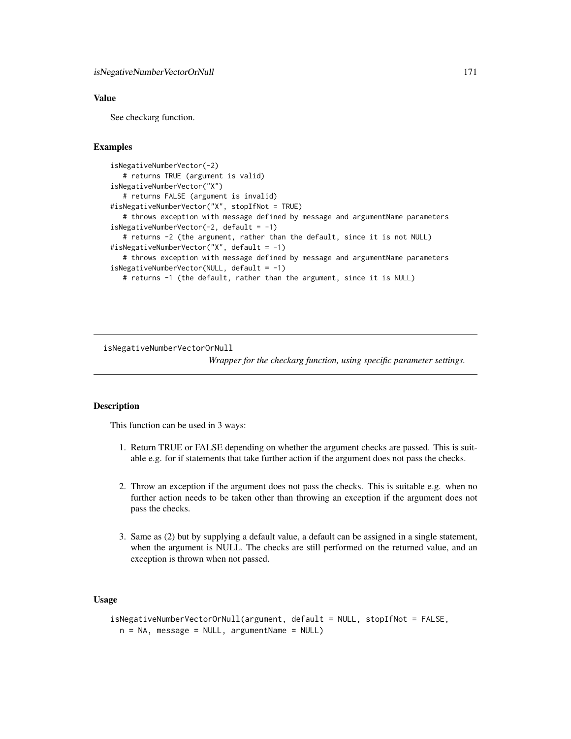## Value

See checkarg function.

# Examples

```
isNegativeNumberVector(-2)
  # returns TRUE (argument is valid)
isNegativeNumberVector("X")
  # returns FALSE (argument is invalid)
#isNegativeNumberVector("X", stopIfNot = TRUE)
  # throws exception with message defined by message and argumentName parameters
isNegativeNumberVector(-2, default = -1)
  # returns -2 (the argument, rather than the default, since it is not NULL)
#isNegativeNumberVector("X", default = -1)
  # throws exception with message defined by message and argumentName parameters
isNegativeNumberVector(NULL, default = -1)# returns -1 (the default, rather than the argument, since it is NULL)
```
isNegativeNumberVectorOrNull

*Wrapper for the checkarg function, using specific parameter settings.*

# **Description**

This function can be used in 3 ways:

- 1. Return TRUE or FALSE depending on whether the argument checks are passed. This is suitable e.g. for if statements that take further action if the argument does not pass the checks.
- 2. Throw an exception if the argument does not pass the checks. This is suitable e.g. when no further action needs to be taken other than throwing an exception if the argument does not pass the checks.
- 3. Same as (2) but by supplying a default value, a default can be assigned in a single statement, when the argument is NULL. The checks are still performed on the returned value, and an exception is thrown when not passed.

## Usage

```
isNegativeNumberVectorOrNull(argument, default = NULL, stopIfNot = FALSE,
 n = NA, message = NULL, argumentName = NULL)
```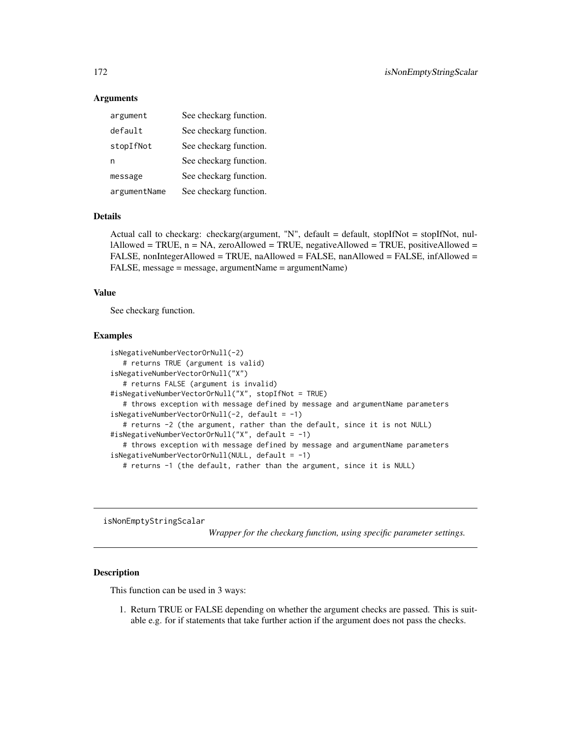### Arguments

| argument     | See checkarg function. |
|--------------|------------------------|
| default      | See checkarg function. |
| stopIfNot    | See checkarg function. |
| n            | See checkarg function. |
| message      | See checkarg function. |
| argumentName | See checkarg function. |

### Details

Actual call to checkarg: checkarg(argument, "N", default = default, stopIfNot = stopIfNot, nullAllowed = TRUE,  $n = NA$ , zeroAllowed = TRUE, negativeAllowed = TRUE, positiveAllowed = FALSE, nonIntegerAllowed = TRUE, naAllowed = FALSE, nanAllowed = FALSE, infAllowed = FALSE, message = message, argumentName = argumentName)

### Value

See checkarg function.

#### Examples

```
isNegativeNumberVectorOrNull(-2)
  # returns TRUE (argument is valid)
isNegativeNumberVectorOrNull("X")
   # returns FALSE (argument is invalid)
#isNegativeNumberVectorOrNull("X", stopIfNot = TRUE)
   # throws exception with message defined by message and argumentName parameters
isNegativeNumberVectorOrNull(-2, default = -1)
   # returns -2 (the argument, rather than the default, since it is not NULL)
#isNegativeNumberVectorOrNull("X", default = -1)
  # throws exception with message defined by message and argumentName parameters
isNegativeNumberVectorOrNull(NULL, default = -1)
  # returns -1 (the default, rather than the argument, since it is NULL)
```
isNonEmptyStringScalar

*Wrapper for the checkarg function, using specific parameter settings.*

## Description

This function can be used in 3 ways:

1. Return TRUE or FALSE depending on whether the argument checks are passed. This is suitable e.g. for if statements that take further action if the argument does not pass the checks.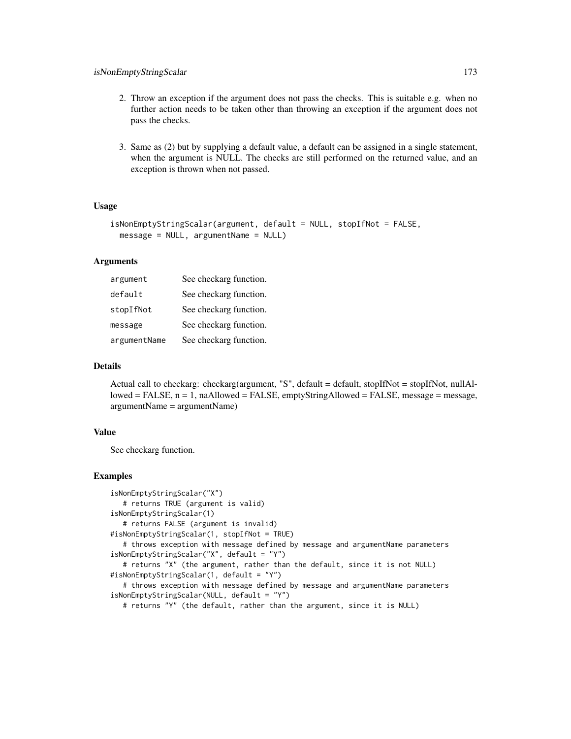- 2. Throw an exception if the argument does not pass the checks. This is suitable e.g. when no further action needs to be taken other than throwing an exception if the argument does not pass the checks.
- 3. Same as (2) but by supplying a default value, a default can be assigned in a single statement, when the argument is NULL. The checks are still performed on the returned value, and an exception is thrown when not passed.

```
isNonEmptyStringScalar(argument, default = NULL, stopIfNot = FALSE,
 message = NULL, argumentName = NULL)
```
### Arguments

| argument     | See checkarg function. |
|--------------|------------------------|
| default      | See checkarg function. |
| stopIfNot    | See checkarg function. |
| message      | See checkarg function. |
| argumentName | See checkarg function. |

### Details

Actual call to checkarg: checkarg(argument, "S", default = default, stopIfNot = stopIfNot, nullAllowed = FALSE, n = 1, naAllowed = FALSE, emptyStringAllowed = FALSE, message = message, argumentName = argumentName)

# Value

See checkarg function.

```
isNonEmptyStringScalar("X")
   # returns TRUE (argument is valid)
isNonEmptyStringScalar(1)
  # returns FALSE (argument is invalid)
#isNonEmptyStringScalar(1, stopIfNot = TRUE)
   # throws exception with message defined by message and argumentName parameters
isNonEmptyStringScalar("X", default = "Y")
   # returns "X" (the argument, rather than the default, since it is not NULL)
#isNonEmptyStringScalar(1, default = "Y")
   # throws exception with message defined by message and argumentName parameters
isNonEmptyStringScalar(NULL, default = "Y")
   # returns "Y" (the default, rather than the argument, since it is NULL)
```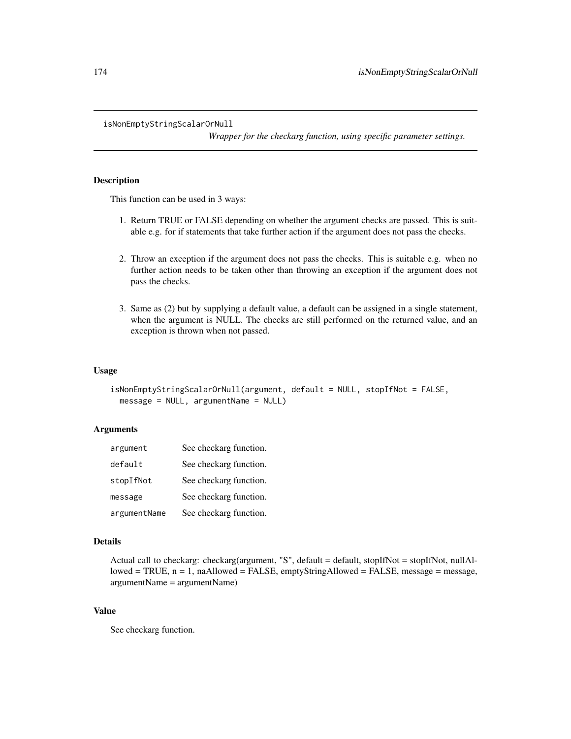isNonEmptyStringScalarOrNull

*Wrapper for the checkarg function, using specific parameter settings.*

## **Description**

This function can be used in 3 ways:

- 1. Return TRUE or FALSE depending on whether the argument checks are passed. This is suitable e.g. for if statements that take further action if the argument does not pass the checks.
- 2. Throw an exception if the argument does not pass the checks. This is suitable e.g. when no further action needs to be taken other than throwing an exception if the argument does not pass the checks.
- 3. Same as (2) but by supplying a default value, a default can be assigned in a single statement, when the argument is NULL. The checks are still performed on the returned value, and an exception is thrown when not passed.

#### Usage

```
isNonEmptyStringScalarOrNull(argument, default = NULL, stopIfNot = FALSE,
 message = NULL, argumentName = NULL)
```
#### Arguments

| argument     | See checkarg function. |
|--------------|------------------------|
| default      | See checkarg function. |
| stopIfNot    | See checkarg function. |
| message      | See checkarg function. |
| argumentName | See checkarg function. |

## Details

Actual call to checkarg: checkarg(argument, "S", default = default, stopIfNot = stopIfNot, nullAllowed = TRUE, n = 1, naAllowed = FALSE, emptyStringAllowed = FALSE, message = message, argumentName = argumentName)

## Value

See checkarg function.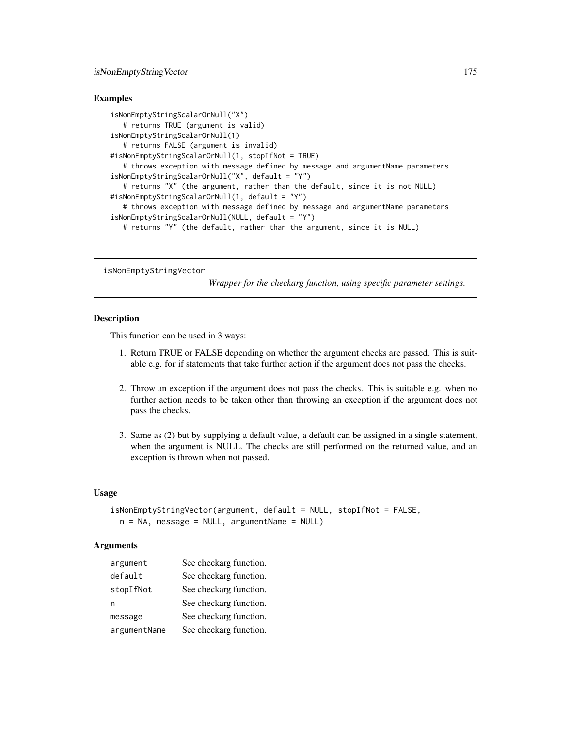# isNonEmptyStringVector 175

### Examples

```
isNonEmptyStringScalarOrNull("X")
   # returns TRUE (argument is valid)
isNonEmptyStringScalarOrNull(1)
   # returns FALSE (argument is invalid)
#isNonEmptyStringScalarOrNull(1, stopIfNot = TRUE)
   # throws exception with message defined by message and argumentName parameters
isNonEmptyStringScalarOrNull("X", default = "Y")
   # returns "X" (the argument, rather than the default, since it is not NULL)
#isNonEmptyStringScalarOrNull(1, default = "Y")
   # throws exception with message defined by message and argumentName parameters
isNonEmptyStringScalarOrNull(NULL, default = "Y")
   # returns "Y" (the default, rather than the argument, since it is NULL)
```
isNonEmptyStringVector

*Wrapper for the checkarg function, using specific parameter settings.*

## Description

This function can be used in 3 ways:

- 1. Return TRUE or FALSE depending on whether the argument checks are passed. This is suitable e.g. for if statements that take further action if the argument does not pass the checks.
- 2. Throw an exception if the argument does not pass the checks. This is suitable e.g. when no further action needs to be taken other than throwing an exception if the argument does not pass the checks.
- 3. Same as (2) but by supplying a default value, a default can be assigned in a single statement, when the argument is NULL. The checks are still performed on the returned value, and an exception is thrown when not passed.

#### Usage

```
isNonEmptyStringVector(argument, default = NULL, stopIfNot = FALSE,
 n = NA, message = NULL, argumentName = NULL)
```
## Arguments

| argument     | See checkarg function. |
|--------------|------------------------|
| default      | See checkarg function. |
| stopIfNot    | See checkarg function. |
| n            | See checkarg function. |
| message      | See checkarg function. |
| argumentName | See checkarg function. |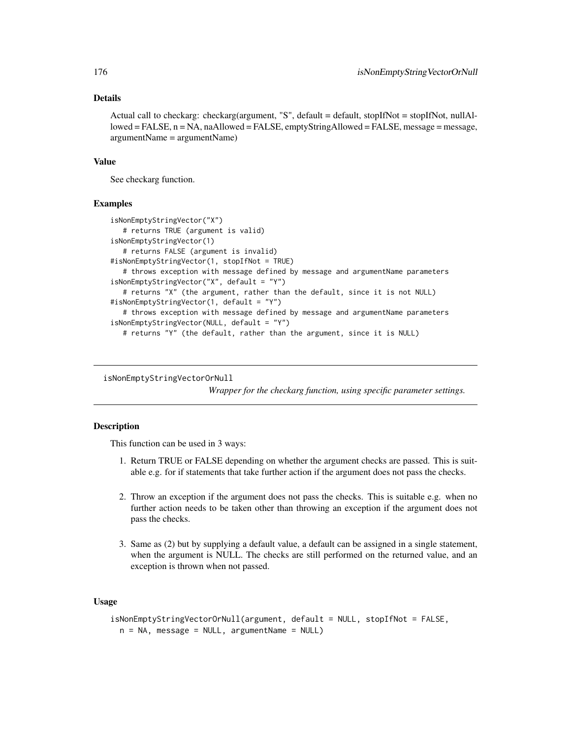# Details

Actual call to checkarg: checkarg(argument, "S", default = default, stopIfNot = stopIfNot, nullAllowed = FALSE, n = NA, naAllowed = FALSE, emptyStringAllowed = FALSE, message = message, argumentName = argumentName)

### Value

See checkarg function.

## Examples

```
isNonEmptyStringVector("X")
  # returns TRUE (argument is valid)
isNonEmptyStringVector(1)
  # returns FALSE (argument is invalid)
#isNonEmptyStringVector(1, stopIfNot = TRUE)
  # throws exception with message defined by message and argumentName parameters
isNonEmptyStringVector("X", default = "Y")
  # returns "X" (the argument, rather than the default, since it is not NULL)
#isNonEmptyStringVector(1, default = "Y")
  # throws exception with message defined by message and argumentName parameters
isNonEmptyStringVector(NULL, default = "Y")
  # returns "Y" (the default, rather than the argument, since it is NULL)
```
isNonEmptyStringVectorOrNull

*Wrapper for the checkarg function, using specific parameter settings.*

## Description

This function can be used in 3 ways:

- 1. Return TRUE or FALSE depending on whether the argument checks are passed. This is suitable e.g. for if statements that take further action if the argument does not pass the checks.
- 2. Throw an exception if the argument does not pass the checks. This is suitable e.g. when no further action needs to be taken other than throwing an exception if the argument does not pass the checks.
- 3. Same as (2) but by supplying a default value, a default can be assigned in a single statement, when the argument is NULL. The checks are still performed on the returned value, and an exception is thrown when not passed.

### Usage

```
isNonEmptyStringVectorOrNull(argument, default = NULL, stopIfNot = FALSE,
 n = NA, message = NULL, argumentName = NULL)
```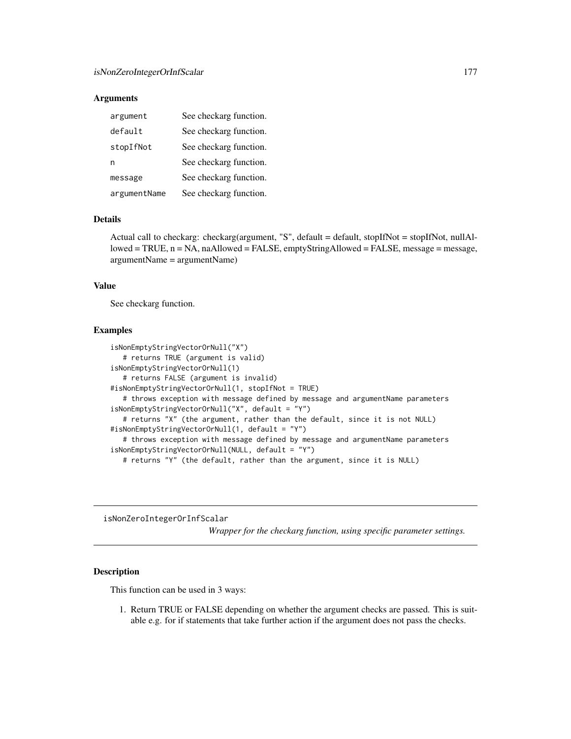### **Arguments**

| argument     | See checkarg function. |
|--------------|------------------------|
| default      | See checkarg function. |
| stopIfNot    | See checkarg function. |
| n            | See checkarg function. |
| message      | See checkarg function. |
| argumentName | See checkarg function. |

### Details

Actual call to checkarg: checkarg(argument, "S", default = default, stopIfNot = stopIfNot, nullAl $loved = TRUE, n = NA, naAllowed = FALSE, emptyStringAllowed = FALSE, message = message,$ argumentName = argumentName)

#### Value

See checkarg function.

### Examples

```
isNonEmptyStringVectorOrNull("X")
   # returns TRUE (argument is valid)
isNonEmptyStringVectorOrNull(1)
   # returns FALSE (argument is invalid)
#isNonEmptyStringVectorOrNull(1, stopIfNot = TRUE)
   # throws exception with message defined by message and argumentName parameters
isNonEmptyStringVectorOrNull("X", default = "Y")
   # returns "X" (the argument, rather than the default, since it is not NULL)
#isNonEmptyStringVectorOrNull(1, default = "Y")
   # throws exception with message defined by message and argumentName parameters
isNonEmptyStringVectorOrNull(NULL, default = "Y")
  # returns "Y" (the default, rather than the argument, since it is NULL)
```
isNonZeroIntegerOrInfScalar

*Wrapper for the checkarg function, using specific parameter settings.*

### **Description**

This function can be used in 3 ways:

1. Return TRUE or FALSE depending on whether the argument checks are passed. This is suitable e.g. for if statements that take further action if the argument does not pass the checks.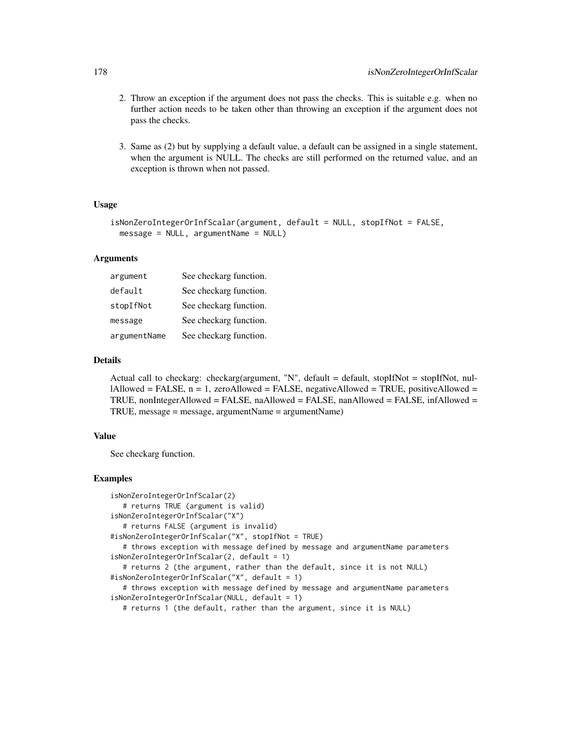- 2. Throw an exception if the argument does not pass the checks. This is suitable e.g. when no further action needs to be taken other than throwing an exception if the argument does not pass the checks.
- 3. Same as (2) but by supplying a default value, a default can be assigned in a single statement, when the argument is NULL. The checks are still performed on the returned value, and an exception is thrown when not passed.

```
isNonZeroIntegerOrInfScalar(argument, default = NULL, stopIfNot = FALSE,
 message = NULL, argumentName = NULL)
```
## Arguments

| argument     | See checkarg function. |
|--------------|------------------------|
| default      | See checkarg function. |
| stopIfNot    | See checkarg function. |
| message      | See checkarg function. |
| argumentName | See checkarg function. |

## Details

Actual call to checkarg: checkarg(argument, "N", default = default, stopIfNot = stopIfNot, nullAllowed = FALSE,  $n = 1$ , zeroAllowed = FALSE, negativeAllowed = TRUE, positiveAllowed = TRUE, nonIntegerAllowed = FALSE, naAllowed = FALSE, nanAllowed = FALSE, infAllowed = TRUE, message = message, argumentName = argumentName)

# Value

See checkarg function.

```
isNonZeroIntegerOrInfScalar(2)
   # returns TRUE (argument is valid)
isNonZeroIntegerOrInfScalar("X")
   # returns FALSE (argument is invalid)
#isNonZeroIntegerOrInfScalar("X", stopIfNot = TRUE)
   # throws exception with message defined by message and argumentName parameters
isNonZeroIntegerOrInfScalar(2, default = 1)
   # returns 2 (the argument, rather than the default, since it is not NULL)
#isNonZeroIntegerOrInfScalar("X", default = 1)
   # throws exception with message defined by message and argumentName parameters
isNonZeroIntegerOrInfScalar(NULL, default = 1)
   # returns 1 (the default, rather than the argument, since it is NULL)
```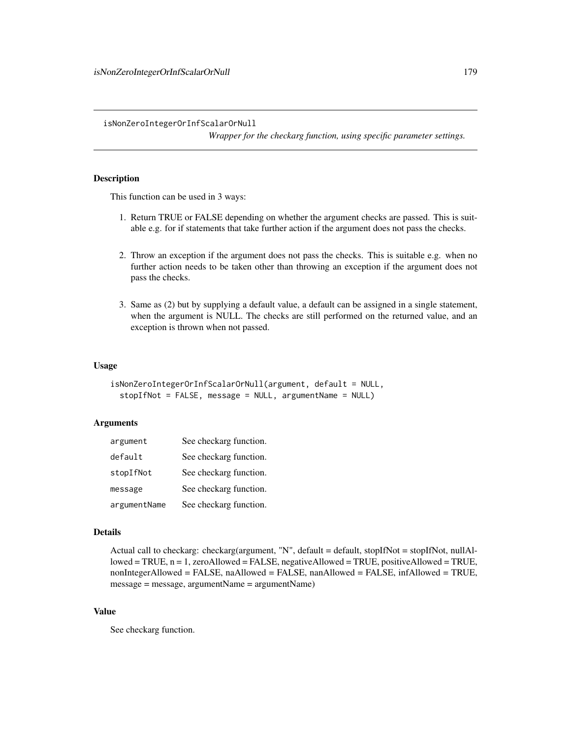isNonZeroIntegerOrInfScalarOrNull

*Wrapper for the checkarg function, using specific parameter settings.*

## Description

This function can be used in 3 ways:

- 1. Return TRUE or FALSE depending on whether the argument checks are passed. This is suitable e.g. for if statements that take further action if the argument does not pass the checks.
- 2. Throw an exception if the argument does not pass the checks. This is suitable e.g. when no further action needs to be taken other than throwing an exception if the argument does not pass the checks.
- 3. Same as (2) but by supplying a default value, a default can be assigned in a single statement, when the argument is NULL. The checks are still performed on the returned value, and an exception is thrown when not passed.

#### Usage

```
isNonZeroIntegerOrInfScalarOrNull(argument, default = NULL,
 stopIfNot = FALSE, message = NULL, argumentName = NULL)
```
### **Arguments**

| argument     | See checkarg function. |
|--------------|------------------------|
| default      | See checkarg function. |
| stopIfNot    | See checkarg function. |
| message      | See checkarg function. |
| argumentName | See checkarg function. |

#### Details

```
Actual call to checkarg: checkarg(argument, "N", default = default, stopIfNot = stopIfNot, nullAl-
lowed = TRUE, n = 1, zeroAllowed = FALSE, negativeAllowed = TRUE, positiveAllowed = TRUE,
nonIntegerAllowed = FALSE, naAllowed = FALSE, nanAllowed = FALSE, infAllowed = TRUE,
message = message, argumentName = argumentName)
```
# Value

See checkarg function.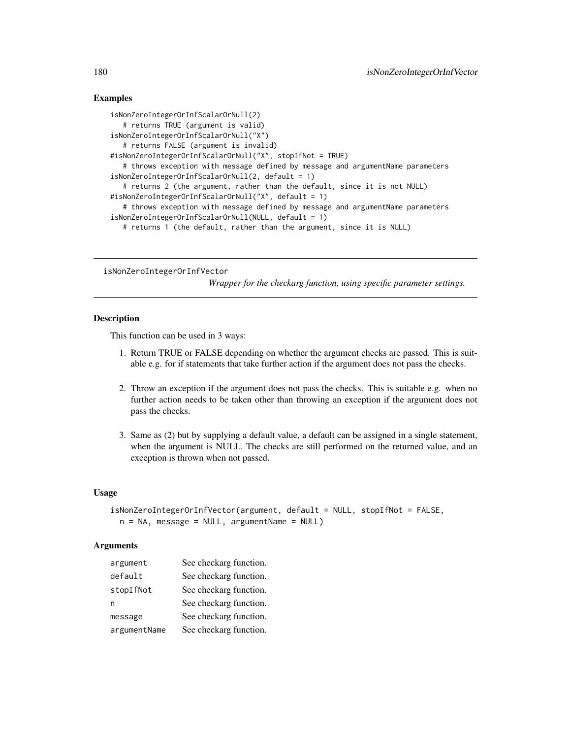## Examples

```
isNonZeroIntegerOrInfScalarOrNull(2)
  # returns TRUE (argument is valid)
isNonZeroIntegerOrInfScalarOrNull("X")
  # returns FALSE (argument is invalid)
#isNonZeroIntegerOrInfScalarOrNull("X", stopIfNot = TRUE)
  # throws exception with message defined by message and argumentName parameters
isNonZeroIntegerOrInfScalarOrNull(2, default = 1)
  # returns 2 (the argument, rather than the default, since it is not NULL)
#isNonZeroIntegerOrInfScalarOrNull("X", default = 1)
  # throws exception with message defined by message and argumentName parameters
isNonZeroIntegerOrInfScalarOrNull(NULL, default = 1)
  # returns 1 (the default, rather than the argument, since it is NULL)
```
isNonZeroIntegerOrInfVector

*Wrapper for the checkarg function, using specific parameter settings.*

## Description

This function can be used in 3 ways:

- 1. Return TRUE or FALSE depending on whether the argument checks are passed. This is suitable e.g. for if statements that take further action if the argument does not pass the checks.
- 2. Throw an exception if the argument does not pass the checks. This is suitable e.g. when no further action needs to be taken other than throwing an exception if the argument does not pass the checks.
- 3. Same as (2) but by supplying a default value, a default can be assigned in a single statement, when the argument is NULL. The checks are still performed on the returned value, and an exception is thrown when not passed.

## Usage

```
isNonZeroIntegerOrInfVector(argument, default = NULL, stopIfNot = FALSE,
 n = NA, message = NULL, argumentName = NULL)
```
### Arguments

| argument     | See checkarg function. |
|--------------|------------------------|
| default      | See checkarg function. |
| stopIfNot    | See checkarg function. |
| n            | See checkarg function. |
| message      | See checkarg function. |
| argumentName | See checkarg function. |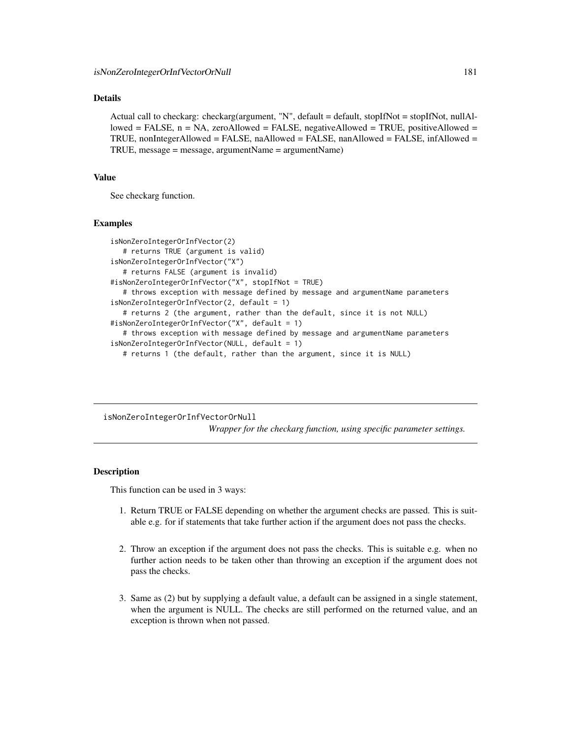## Details

Actual call to checkarg: checkarg(argument, "N", default = default, stopIfNot = stopIfNot, nullAllowed = FALSE, n = NA, zeroAllowed = FALSE, negativeAllowed = TRUE, positiveAllowed = TRUE, nonIntegerAllowed = FALSE, naAllowed = FALSE, nanAllowed = FALSE, infAllowed = TRUE, message = message, argumentName = argumentName)

## Value

See checkarg function.

#### Examples

```
isNonZeroIntegerOrInfVector(2)
  # returns TRUE (argument is valid)
isNonZeroIntegerOrInfVector("X")
  # returns FALSE (argument is invalid)
#isNonZeroIntegerOrInfVector("X", stopIfNot = TRUE)
  # throws exception with message defined by message and argumentName parameters
isNonZeroIntegerOrInfVector(2, default = 1)
  # returns 2 (the argument, rather than the default, since it is not NULL)
#isNonZeroIntegerOrInfVector("X", default = 1)
  # throws exception with message defined by message and argumentName parameters
isNonZeroIntegerOrInfVector(NULL, default = 1)
  # returns 1 (the default, rather than the argument, since it is NULL)
```
isNonZeroIntegerOrInfVectorOrNull *Wrapper for the checkarg function, using specific parameter settings.*

## Description

This function can be used in 3 ways:

- 1. Return TRUE or FALSE depending on whether the argument checks are passed. This is suitable e.g. for if statements that take further action if the argument does not pass the checks.
- 2. Throw an exception if the argument does not pass the checks. This is suitable e.g. when no further action needs to be taken other than throwing an exception if the argument does not pass the checks.
- 3. Same as (2) but by supplying a default value, a default can be assigned in a single statement, when the argument is NULL. The checks are still performed on the returned value, and an exception is thrown when not passed.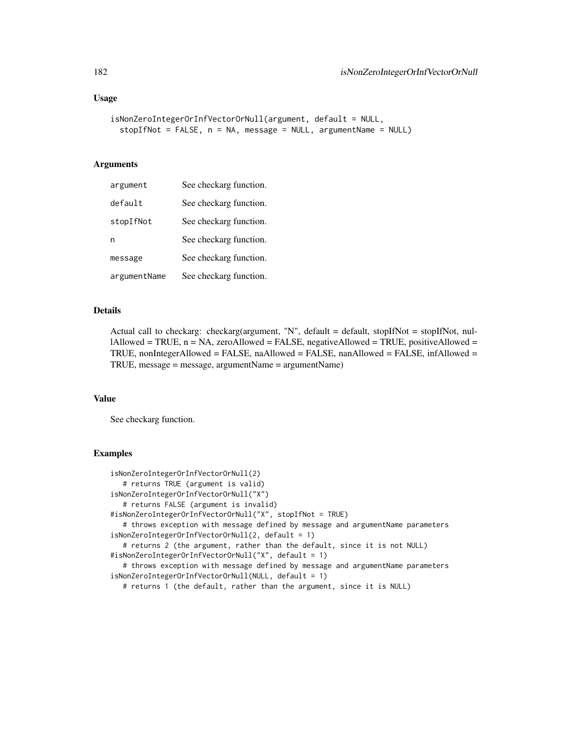```
isNonZeroIntegerOrInfVectorOrNull(argument, default = NULL,
  stopIfNot = FALSE, n = NA, message = NULL, argumentName = NULL)
```
# Arguments

| argument     | See checkarg function. |
|--------------|------------------------|
| default      | See checkarg function. |
| stopIfNot    | See checkarg function. |
| n            | See checkarg function. |
| message      | See checkarg function. |
| argumentName | See checkarg function. |

## Details

Actual call to checkarg: checkarg(argument, "N", default = default, stopIfNot = stopIfNot, nullAllowed = TRUE,  $n = NA$ , zeroAllowed = FALSE, negativeAllowed = TRUE, positiveAllowed = TRUE, nonIntegerAllowed = FALSE, naAllowed = FALSE, nanAllowed = FALSE, infAllowed = TRUE, message = message, argumentName = argumentName)

#### Value

See checkarg function.

```
isNonZeroIntegerOrInfVectorOrNull(2)
  # returns TRUE (argument is valid)
isNonZeroIntegerOrInfVectorOrNull("X")
  # returns FALSE (argument is invalid)
#isNonZeroIntegerOrInfVectorOrNull("X", stopIfNot = TRUE)
   # throws exception with message defined by message and argumentName parameters
isNonZeroIntegerOrInfVectorOrNull(2, default = 1)
   # returns 2 (the argument, rather than the default, since it is not NULL)
#isNonZeroIntegerOrInfVectorOrNull("X", default = 1)
   # throws exception with message defined by message and argumentName parameters
isNonZeroIntegerOrInfVectorOrNull(NULL, default = 1)
   # returns 1 (the default, rather than the argument, since it is NULL)
```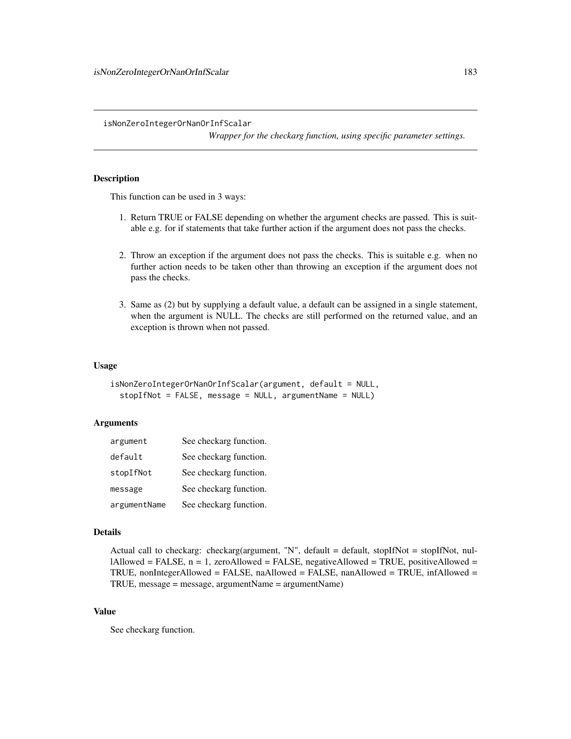isNonZeroIntegerOrNanOrInfScalar

*Wrapper for the checkarg function, using specific parameter settings.*

# Description

This function can be used in 3 ways:

- 1. Return TRUE or FALSE depending on whether the argument checks are passed. This is suitable e.g. for if statements that take further action if the argument does not pass the checks.
- 2. Throw an exception if the argument does not pass the checks. This is suitable e.g. when no further action needs to be taken other than throwing an exception if the argument does not pass the checks.
- 3. Same as (2) but by supplying a default value, a default can be assigned in a single statement, when the argument is NULL. The checks are still performed on the returned value, and an exception is thrown when not passed.

#### Usage

```
isNonZeroIntegerOrNanOrInfScalar(argument, default = NULL,
 stopIfNot = FALSE, message = NULL, argumentName = NULL)
```
## **Arguments**

| argument     | See checkarg function. |
|--------------|------------------------|
| default      | See checkarg function. |
| stopIfNot    | See checkarg function. |
| message      | See checkarg function. |
| argumentName | See checkarg function. |

#### Details

```
Actual call to checkarg: checkarg(argument, "N", default = default, stopIfNot = stopIfNot, nul-
lAllowed = FALSE, n = 1, zeroAllowed = FALSE, negativeAllowed = TRUE, positiveAllowed =
TRUE, nonIntegerAllowed = FALSE, naAllowed = FALSE, nanAllowed = TRUE, infAllowed =
TRUE, message = message, argumentName = argumentName)
```
# Value

See checkarg function.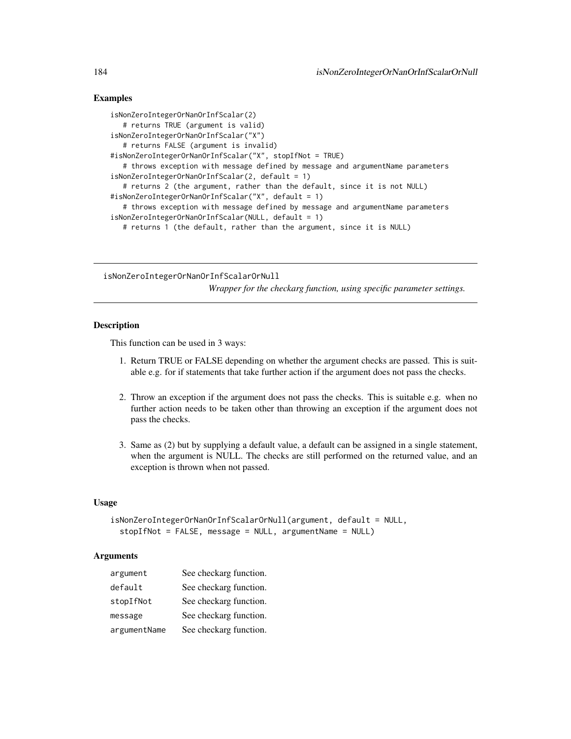# Examples

```
isNonZeroIntegerOrNanOrInfScalar(2)
  # returns TRUE (argument is valid)
isNonZeroIntegerOrNanOrInfScalar("X")
  # returns FALSE (argument is invalid)
#isNonZeroIntegerOrNanOrInfScalar("X", stopIfNot = TRUE)
  # throws exception with message defined by message and argumentName parameters
isNonZeroIntegerOrNanOrInfScalar(2, default = 1)
  # returns 2 (the argument, rather than the default, since it is not NULL)
#isNonZeroIntegerOrNanOrInfScalar("X", default = 1)
  # throws exception with message defined by message and argumentName parameters
isNonZeroIntegerOrNanOrInfScalar(NULL, default = 1)
  # returns 1 (the default, rather than the argument, since it is NULL)
```
isNonZeroIntegerOrNanOrInfScalarOrNull *Wrapper for the checkarg function, using specific parameter settings.*

## **Description**

This function can be used in 3 ways:

- 1. Return TRUE or FALSE depending on whether the argument checks are passed. This is suitable e.g. for if statements that take further action if the argument does not pass the checks.
- 2. Throw an exception if the argument does not pass the checks. This is suitable e.g. when no further action needs to be taken other than throwing an exception if the argument does not pass the checks.
- 3. Same as (2) but by supplying a default value, a default can be assigned in a single statement, when the argument is NULL. The checks are still performed on the returned value, and an exception is thrown when not passed.

## Usage

```
isNonZeroIntegerOrNanOrInfScalarOrNull(argument, default = NULL,
 stopIfNot = FALSE, message = NULL, argumentName = NULL)
```
## **Arguments**

| argument     | See checkarg function. |
|--------------|------------------------|
| default      | See checkarg function. |
| stopIfNot    | See checkarg function. |
| message      | See checkarg function. |
| argumentName | See checkarg function. |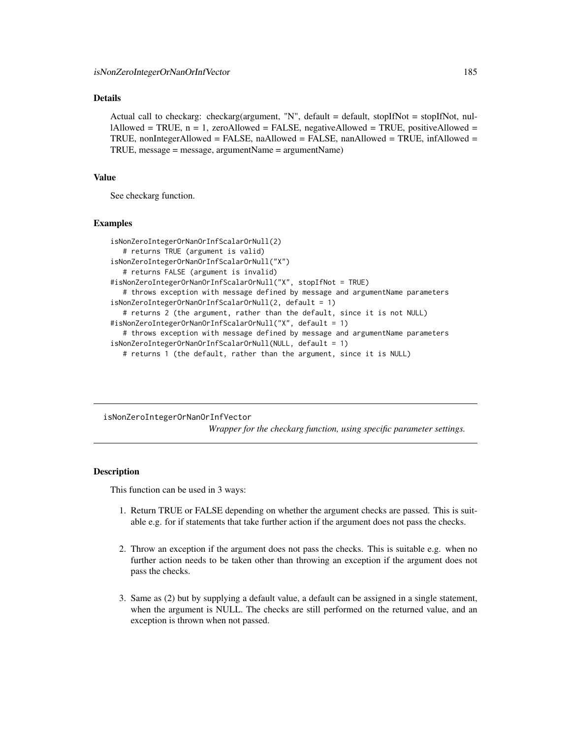## Details

Actual call to checkarg: checkarg(argument, "N", default = default, stopIfNot = stopIfNot, nul- $\text{l}$ Allowed = TRUE, n = 1, zeroAllowed = FALSE, negativeAllowed = TRUE, positiveAllowed = TRUE, nonIntegerAllowed = FALSE, naAllowed = FALSE, nanAllowed = TRUE, infAllowed = TRUE, message = message, argumentName = argumentName)

## Value

See checkarg function.

#### Examples

```
isNonZeroIntegerOrNanOrInfScalarOrNull(2)
  # returns TRUE (argument is valid)
isNonZeroIntegerOrNanOrInfScalarOrNull("X")
  # returns FALSE (argument is invalid)
#isNonZeroIntegerOrNanOrInfScalarOrNull("X", stopIfNot = TRUE)
  # throws exception with message defined by message and argumentName parameters
isNonZeroIntegerOrNanOrInfScalarOrNull(2, default = 1)
  # returns 2 (the argument, rather than the default, since it is not NULL)
#isNonZeroIntegerOrNanOrInfScalarOrNull("X", default = 1)
  # throws exception with message defined by message and argumentName parameters
isNonZeroIntegerOrNanOrInfScalarOrNull(NULL, default = 1)
  # returns 1 (the default, rather than the argument, since it is NULL)
```
isNonZeroIntegerOrNanOrInfVector *Wrapper for the checkarg function, using specific parameter settings.*

## Description

This function can be used in 3 ways:

- 1. Return TRUE or FALSE depending on whether the argument checks are passed. This is suitable e.g. for if statements that take further action if the argument does not pass the checks.
- 2. Throw an exception if the argument does not pass the checks. This is suitable e.g. when no further action needs to be taken other than throwing an exception if the argument does not pass the checks.
- 3. Same as (2) but by supplying a default value, a default can be assigned in a single statement, when the argument is NULL. The checks are still performed on the returned value, and an exception is thrown when not passed.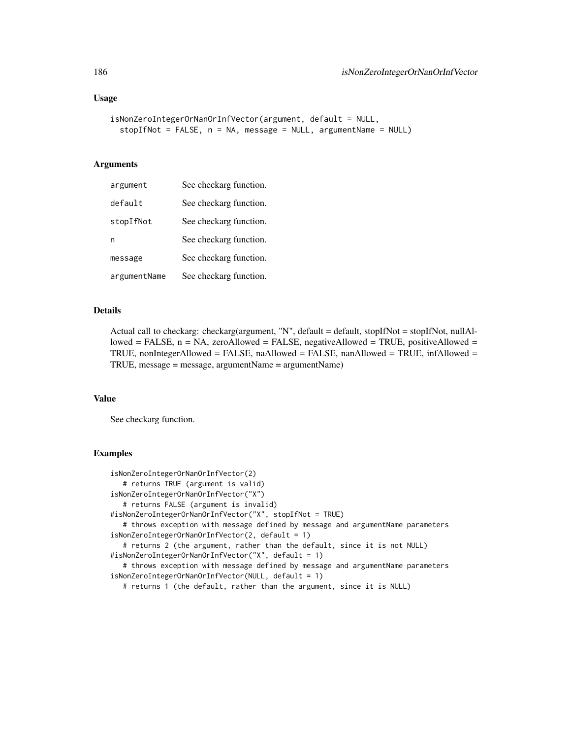```
isNonZeroIntegerOrNanOrInfVector(argument, default = NULL,
  stopIfNot = FALSE, n = NA, message = NULL, argumentName = NULL)
```
# Arguments

| argument     | See checkarg function. |
|--------------|------------------------|
| default      | See checkarg function. |
| stopIfNot    | See checkarg function. |
| n            | See checkarg function. |
| message      | See checkarg function. |
| argumentName | See checkarg function. |

## Details

Actual call to checkarg: checkarg(argument, "N", default = default, stopIfNot = stopIfNot, nullAllowed = FALSE,  $n = NA$ , zeroAllowed = FALSE, negativeAllowed = TRUE, positiveAllowed = TRUE, nonIntegerAllowed = FALSE, naAllowed = FALSE, nanAllowed = TRUE, infAllowed = TRUE, message = message, argumentName = argumentName)

#### Value

See checkarg function.

```
isNonZeroIntegerOrNanOrInfVector(2)
  # returns TRUE (argument is valid)
isNonZeroIntegerOrNanOrInfVector("X")
  # returns FALSE (argument is invalid)
#isNonZeroIntegerOrNanOrInfVector("X", stopIfNot = TRUE)
   # throws exception with message defined by message and argumentName parameters
isNonZeroIntegerOrNanOrInfVector(2, default = 1)
   # returns 2 (the argument, rather than the default, since it is not NULL)
#isNonZeroIntegerOrNanOrInfVector("X", default = 1)
   # throws exception with message defined by message and argumentName parameters
isNonZeroIntegerOrNanOrInfVector(NULL, default = 1)
   # returns 1 (the default, rather than the argument, since it is NULL)
```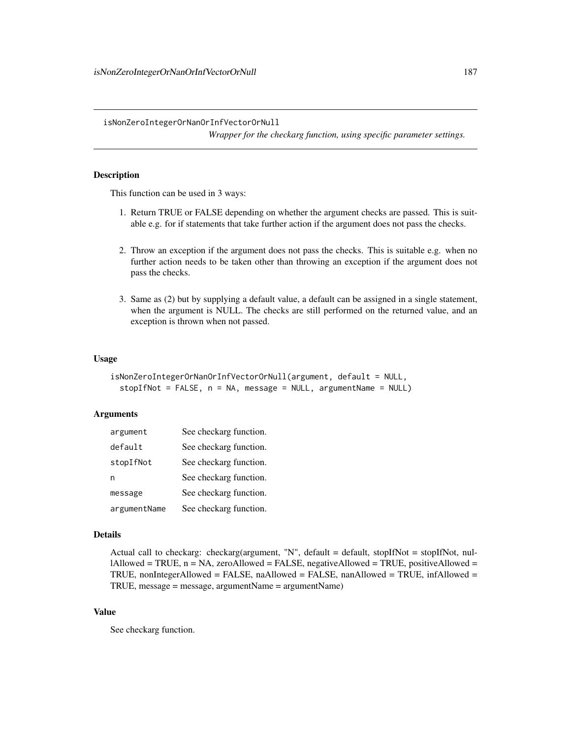isNonZeroIntegerOrNanOrInfVectorOrNull

*Wrapper for the checkarg function, using specific parameter settings.*

# **Description**

This function can be used in 3 ways:

- 1. Return TRUE or FALSE depending on whether the argument checks are passed. This is suitable e.g. for if statements that take further action if the argument does not pass the checks.
- 2. Throw an exception if the argument does not pass the checks. This is suitable e.g. when no further action needs to be taken other than throwing an exception if the argument does not pass the checks.
- 3. Same as (2) but by supplying a default value, a default can be assigned in a single statement, when the argument is NULL. The checks are still performed on the returned value, and an exception is thrown when not passed.

# Usage

```
isNonZeroIntegerOrNanOrInfVectorOrNull(argument, default = NULL,
 stopIfNot = FALSE, n = NA, message = NULL, argumentName = NULL)
```
# Arguments

| argument     | See checkarg function. |
|--------------|------------------------|
| default      | See checkarg function. |
| stopIfNot    | See checkarg function. |
| n            | See checkarg function. |
| message      | See checkarg function. |
| argumentName | See checkarg function. |

#### Details

Actual call to checkarg: checkarg(argument, "N", default = default, stopIfNot = stopIfNot, nullAllowed = TRUE,  $n = NA$ , zeroAllowed = FALSE, negativeAllowed = TRUE, positiveAllowed = TRUE, nonIntegerAllowed = FALSE, naAllowed = FALSE, nanAllowed = TRUE, infAllowed = TRUE, message = message, argumentName = argumentName)

# Value

See checkarg function.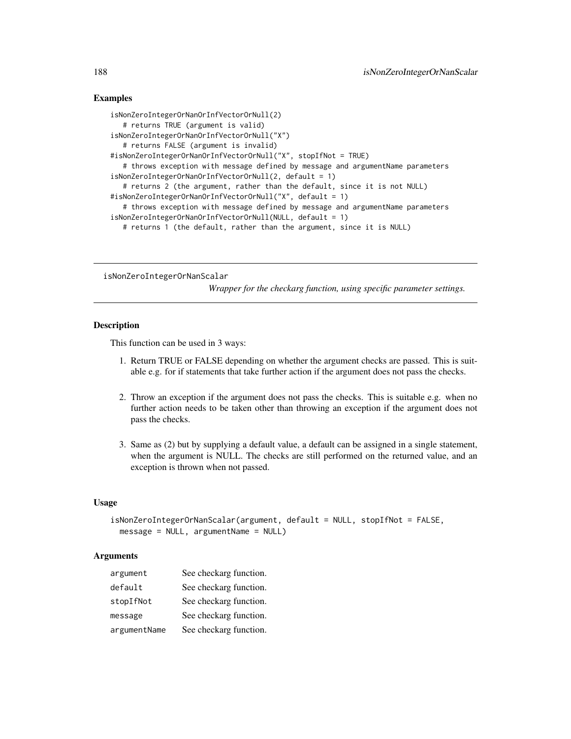# Examples

```
isNonZeroIntegerOrNanOrInfVectorOrNull(2)
  # returns TRUE (argument is valid)
isNonZeroIntegerOrNanOrInfVectorOrNull("X")
  # returns FALSE (argument is invalid)
#isNonZeroIntegerOrNanOrInfVectorOrNull("X", stopIfNot = TRUE)
  # throws exception with message defined by message and argumentName parameters
isNonZeroIntegerOrNanOrInfVectorOrNull(2, default = 1)
  # returns 2 (the argument, rather than the default, since it is not NULL)
#isNonZeroIntegerOrNanOrInfVectorOrNull("X", default = 1)
  # throws exception with message defined by message and argumentName parameters
isNonZeroIntegerOrNanOrInfVectorOrNull(NULL, default = 1)
  # returns 1 (the default, rather than the argument, since it is NULL)
```
isNonZeroIntegerOrNanScalar

*Wrapper for the checkarg function, using specific parameter settings.*

## **Description**

This function can be used in 3 ways:

- 1. Return TRUE or FALSE depending on whether the argument checks are passed. This is suitable e.g. for if statements that take further action if the argument does not pass the checks.
- 2. Throw an exception if the argument does not pass the checks. This is suitable e.g. when no further action needs to be taken other than throwing an exception if the argument does not pass the checks.
- 3. Same as (2) but by supplying a default value, a default can be assigned in a single statement, when the argument is NULL. The checks are still performed on the returned value, and an exception is thrown when not passed.

## Usage

```
isNonZeroIntegerOrNanScalar(argument, default = NULL, stopIfNot = FALSE,
 message = NULL, argumentName = NULL)
```
## **Arguments**

| argument     | See checkarg function. |
|--------------|------------------------|
| default      | See checkarg function. |
| stopIfNot    | See checkarg function. |
| message      | See checkarg function. |
| argumentName | See checkarg function. |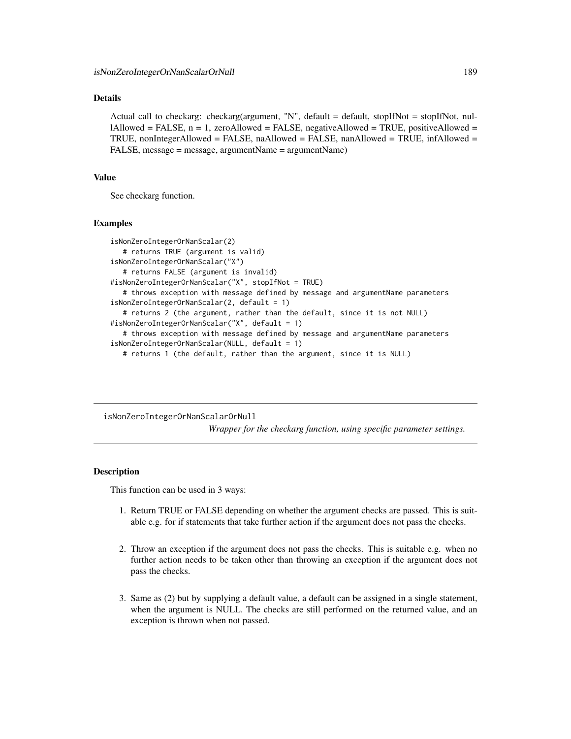## Details

Actual call to checkarg: checkarg(argument, "N", default = default, stopIfNot = stopIfNot, nul- $\text{I}$ Allowed = FALSE, n = 1, zeroAllowed = FALSE, negativeAllowed = TRUE, positiveAllowed = TRUE, nonIntegerAllowed = FALSE, naAllowed = FALSE, nanAllowed = TRUE, infAllowed = FALSE, message = message, argumentName = argumentName)

## Value

See checkarg function.

#### Examples

```
isNonZeroIntegerOrNanScalar(2)
  # returns TRUE (argument is valid)
isNonZeroIntegerOrNanScalar("X")
  # returns FALSE (argument is invalid)
#isNonZeroIntegerOrNanScalar("X", stopIfNot = TRUE)
  # throws exception with message defined by message and argumentName parameters
isNonZeroIntegerOrNanScalar(2, default = 1)
  # returns 2 (the argument, rather than the default, since it is not NULL)
#isNonZeroIntegerOrNanScalar("X", default = 1)
  # throws exception with message defined by message and argumentName parameters
isNonZeroIntegerOrNanScalar(NULL, default = 1)
  # returns 1 (the default, rather than the argument, since it is NULL)
```
isNonZeroIntegerOrNanScalarOrNull *Wrapper for the checkarg function, using specific parameter settings.*

## Description

This function can be used in 3 ways:

- 1. Return TRUE or FALSE depending on whether the argument checks are passed. This is suitable e.g. for if statements that take further action if the argument does not pass the checks.
- 2. Throw an exception if the argument does not pass the checks. This is suitable e.g. when no further action needs to be taken other than throwing an exception if the argument does not pass the checks.
- 3. Same as (2) but by supplying a default value, a default can be assigned in a single statement, when the argument is NULL. The checks are still performed on the returned value, and an exception is thrown when not passed.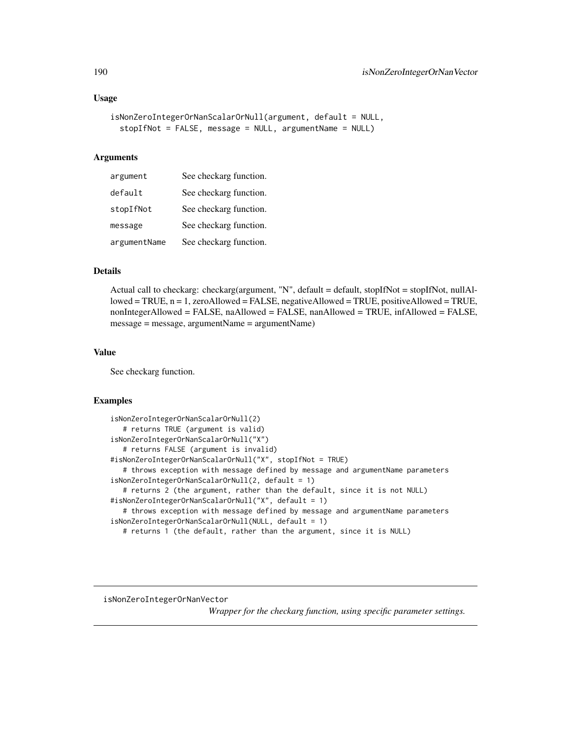```
isNonZeroIntegerOrNanScalarOrNull(argument, default = NULL,
  stopIfNot = FALSE, message = NULL, argumentName = NULL)
```
### Arguments

| argument     | See checkarg function. |
|--------------|------------------------|
| default      | See checkarg function. |
| stopIfNot    | See checkarg function. |
| message      | See checkarg function. |
| argumentName | See checkarg function. |

# Details

Actual call to checkarg: checkarg(argument, "N", default = default, stopIfNot = stopIfNot, nullAllowed = TRUE, n = 1, zeroAllowed = FALSE, negativeAllowed = TRUE, positiveAllowed = TRUE, nonIntegerAllowed = FALSE, naAllowed = FALSE, nanAllowed = TRUE, infAllowed = FALSE, message = message, argumentName = argumentName)

#### Value

See checkarg function.

# Examples

```
isNonZeroIntegerOrNanScalarOrNull(2)
   # returns TRUE (argument is valid)
isNonZeroIntegerOrNanScalarOrNull("X")
   # returns FALSE (argument is invalid)
#isNonZeroIntegerOrNanScalarOrNull("X", stopIfNot = TRUE)
   # throws exception with message defined by message and argumentName parameters
isNonZeroIntegerOrNanScalarOrNull(2, default = 1)
   # returns 2 (the argument, rather than the default, since it is not NULL)
#isNonZeroIntegerOrNanScalarOrNull("X", default = 1)
  # throws exception with message defined by message and argumentName parameters
isNonZeroIntegerOrNanScalarOrNull(NULL, default = 1)
  # returns 1 (the default, rather than the argument, since it is NULL)
```
isNonZeroIntegerOrNanVector

*Wrapper for the checkarg function, using specific parameter settings.*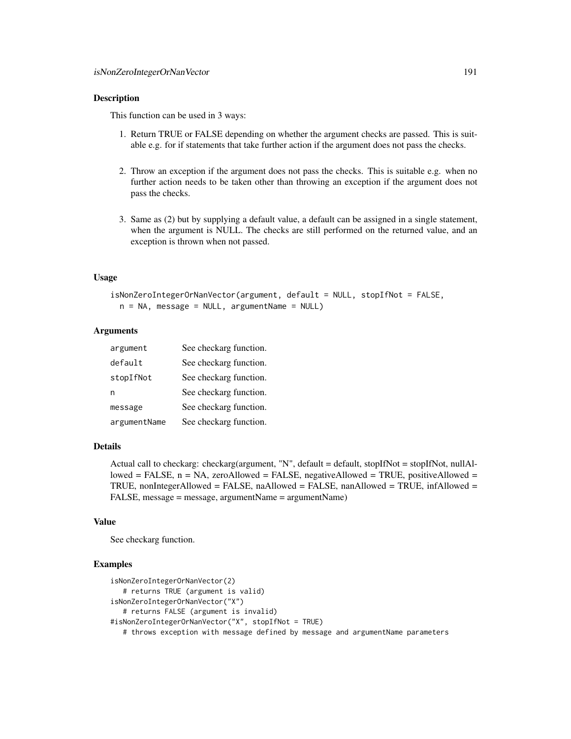#### **Description**

This function can be used in 3 ways:

- 1. Return TRUE or FALSE depending on whether the argument checks are passed. This is suitable e.g. for if statements that take further action if the argument does not pass the checks.
- 2. Throw an exception if the argument does not pass the checks. This is suitable e.g. when no further action needs to be taken other than throwing an exception if the argument does not pass the checks.
- 3. Same as (2) but by supplying a default value, a default can be assigned in a single statement, when the argument is NULL. The checks are still performed on the returned value, and an exception is thrown when not passed.

## Usage

```
isNonZeroIntegerOrNanVector(argument, default = NULL, stopIfNot = FALSE,
 n = NA, message = NULL, argumentName = NULL)
```
# Arguments

| argument     | See checkarg function. |
|--------------|------------------------|
| default      | See checkarg function. |
| stopIfNot    | See checkarg function. |
| n            | See checkarg function. |
| message      | See checkarg function. |
| argumentName | See checkarg function. |

# Details

Actual call to checkarg: checkarg(argument, "N", default = default, stopIfNot = stopIfNot, nullAllowed = FALSE,  $n = NA$ , zeroAllowed = FALSE, negativeAllowed = TRUE, positiveAllowed = TRUE, nonIntegerAllowed = FALSE, naAllowed = FALSE, nanAllowed = TRUE, infAllowed = FALSE, message = message, argumentName = argumentName)

## Value

See checkarg function.

```
isNonZeroIntegerOrNanVector(2)
  # returns TRUE (argument is valid)
isNonZeroIntegerOrNanVector("X")
  # returns FALSE (argument is invalid)
#isNonZeroIntegerOrNanVector("X", stopIfNot = TRUE)
  # throws exception with message defined by message and argumentName parameters
```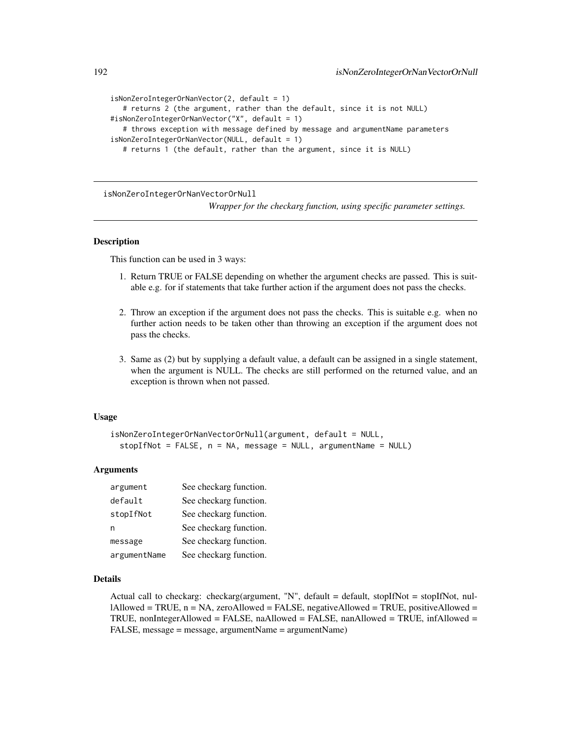```
isNonZeroIntegerOrNanVector(2, default = 1)
   # returns 2 (the argument, rather than the default, since it is not NULL)
#isNonZeroIntegerOrNanVector("X", default = 1)
   # throws exception with message defined by message and argumentName parameters
isNonZeroIntegerOrNanVector(NULL, default = 1)
  # returns 1 (the default, rather than the argument, since it is NULL)
```
isNonZeroIntegerOrNanVectorOrNull

*Wrapper for the checkarg function, using specific parameter settings.*

# **Description**

This function can be used in 3 ways:

- 1. Return TRUE or FALSE depending on whether the argument checks are passed. This is suitable e.g. for if statements that take further action if the argument does not pass the checks.
- 2. Throw an exception if the argument does not pass the checks. This is suitable e.g. when no further action needs to be taken other than throwing an exception if the argument does not pass the checks.
- 3. Same as (2) but by supplying a default value, a default can be assigned in a single statement, when the argument is NULL. The checks are still performed on the returned value, and an exception is thrown when not passed.

#### Usage

```
isNonZeroIntegerOrNanVectorOrNull(argument, default = NULL,
 stopIfNot = FALSE, n = NA, message = NULL, argumentName = NULL)
```
### **Arguments**

| argument     | See checkarg function. |
|--------------|------------------------|
| default      | See checkarg function. |
| stopIfNot    | See checkarg function. |
| n            | See checkarg function. |
| message      | See checkarg function. |
| argumentName | See checkarg function. |

#### Details

Actual call to checkarg: checkarg(argument, "N", default = default, stopIfNot = stopIfNot, nullAllowed = TRUE,  $n = NA$ , zeroAllowed = FALSE, negativeAllowed = TRUE, positiveAllowed = TRUE, nonIntegerAllowed = FALSE, naAllowed = FALSE, nanAllowed = TRUE, infAllowed = FALSE, message = message, argumentName = argumentName)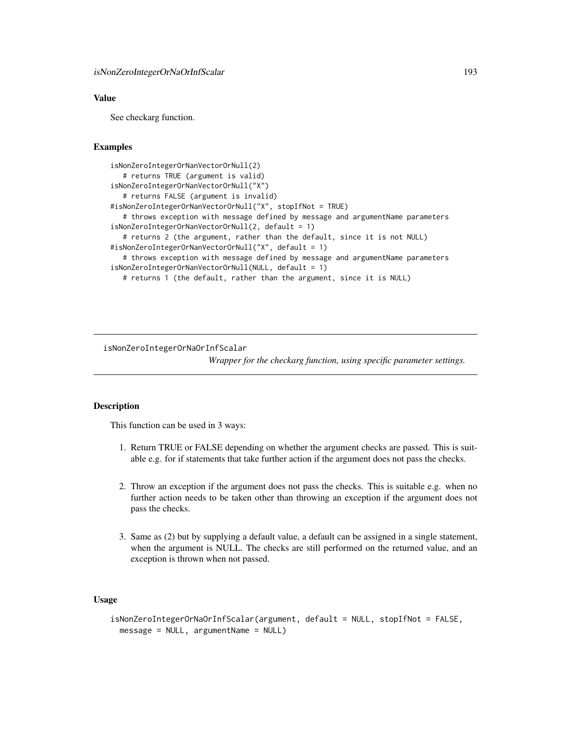# Value

See checkarg function.

# Examples

```
isNonZeroIntegerOrNanVectorOrNull(2)
  # returns TRUE (argument is valid)
isNonZeroIntegerOrNanVectorOrNull("X")
  # returns FALSE (argument is invalid)
#isNonZeroIntegerOrNanVectorOrNull("X", stopIfNot = TRUE)
  # throws exception with message defined by message and argumentName parameters
isNonZeroIntegerOrNanVectorOrNull(2, default = 1)
  # returns 2 (the argument, rather than the default, since it is not NULL)
#isNonZeroIntegerOrNanVectorOrNull("X", default = 1)
  # throws exception with message defined by message and argumentName parameters
isNonZeroIntegerOrNanVectorOrNull(NULL, default = 1)
  # returns 1 (the default, rather than the argument, since it is NULL)
```
isNonZeroIntegerOrNaOrInfScalar

*Wrapper for the checkarg function, using specific parameter settings.*

## Description

This function can be used in 3 ways:

- 1. Return TRUE or FALSE depending on whether the argument checks are passed. This is suitable e.g. for if statements that take further action if the argument does not pass the checks.
- 2. Throw an exception if the argument does not pass the checks. This is suitable e.g. when no further action needs to be taken other than throwing an exception if the argument does not pass the checks.
- 3. Same as (2) but by supplying a default value, a default can be assigned in a single statement, when the argument is NULL. The checks are still performed on the returned value, and an exception is thrown when not passed.

# Usage

```
isNonZeroIntegerOrNaOrInfScalar(argument, default = NULL, stopIfNot = FALSE,
 message = NULL, argumentName = NULL)
```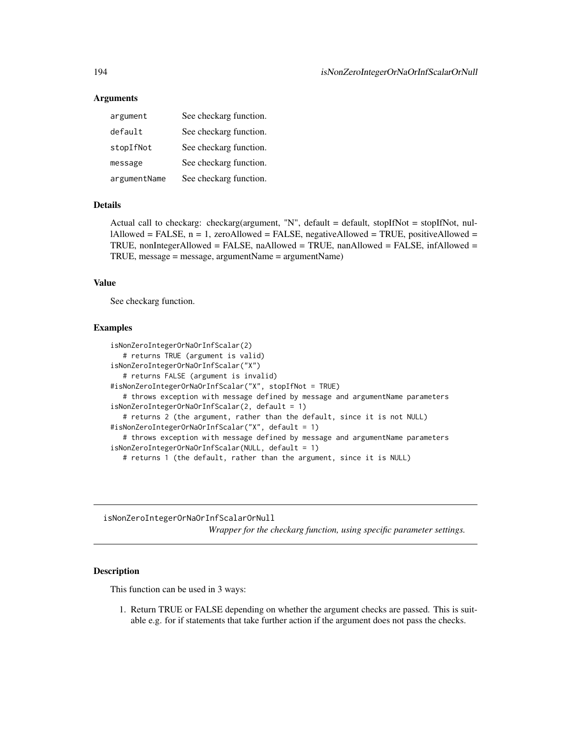# **Arguments**

| argument     | See checkarg function. |
|--------------|------------------------|
| default      | See checkarg function. |
| stopIfNot    | See checkarg function. |
| message      | See checkarg function. |
| argumentName | See checkarg function. |

# Details

Actual call to checkarg: checkarg(argument, "N", default = default, stopIfNot = stopIfNot, nullAllowed = FALSE,  $n = 1$ , zeroAllowed = FALSE, negativeAllowed = TRUE, positiveAllowed = TRUE, nonIntegerAllowed = FALSE, naAllowed = TRUE, nanAllowed = FALSE, infAllowed = TRUE, message = message, argumentName = argumentName)

# Value

See checkarg function.

# Examples

```
isNonZeroIntegerOrNaOrInfScalar(2)
   # returns TRUE (argument is valid)
isNonZeroIntegerOrNaOrInfScalar("X")
  # returns FALSE (argument is invalid)
#isNonZeroIntegerOrNaOrInfScalar("X", stopIfNot = TRUE)
   # throws exception with message defined by message and argumentName parameters
isNonZeroIntegerOrNaOrInfScalar(2, default = 1)
   # returns 2 (the argument, rather than the default, since it is not NULL)
#isNonZeroIntegerOrNaOrInfScalar("X", default = 1)
   # throws exception with message defined by message and argumentName parameters
isNonZeroIntegerOrNaOrInfScalar(NULL, default = 1)
   # returns 1 (the default, rather than the argument, since it is NULL)
```
isNonZeroIntegerOrNaOrInfScalarOrNull *Wrapper for the checkarg function, using specific parameter settings.*

## **Description**

This function can be used in 3 ways:

1. Return TRUE or FALSE depending on whether the argument checks are passed. This is suitable e.g. for if statements that take further action if the argument does not pass the checks.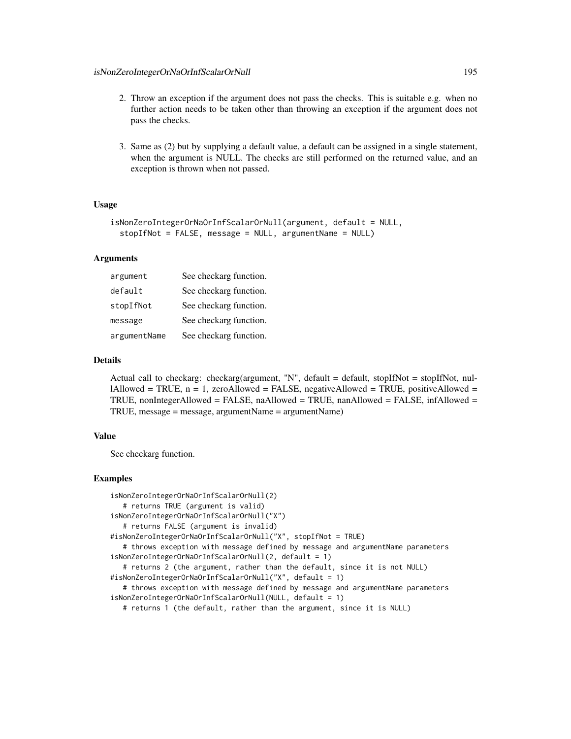- 2. Throw an exception if the argument does not pass the checks. This is suitable e.g. when no further action needs to be taken other than throwing an exception if the argument does not pass the checks.
- 3. Same as (2) but by supplying a default value, a default can be assigned in a single statement, when the argument is NULL. The checks are still performed on the returned value, and an exception is thrown when not passed.

```
isNonZeroIntegerOrNaOrInfScalarOrNull(argument, default = NULL,
  stopIfNot = FALSE, message = NULL, argumentName = NULL)
```
## Arguments

| argument     | See checkarg function. |
|--------------|------------------------|
| default      | See checkarg function. |
| stopIfNot    | See checkarg function. |
| message      | See checkarg function. |
| argumentName | See checkarg function. |

# Details

Actual call to checkarg: checkarg(argument, "N", default = default, stopIfNot = stopIfNot, nullAllowed = TRUE,  $n = 1$ , zeroAllowed = FALSE, negativeAllowed = TRUE, positiveAllowed = TRUE, nonIntegerAllowed = FALSE, naAllowed = TRUE, nanAllowed = FALSE, infAllowed = TRUE, message = message, argumentName = argumentName)

# Value

See checkarg function.

```
isNonZeroIntegerOrNaOrInfScalarOrNull(2)
   # returns TRUE (argument is valid)
isNonZeroIntegerOrNaOrInfScalarOrNull("X")
   # returns FALSE (argument is invalid)
#isNonZeroIntegerOrNaOrInfScalarOrNull("X", stopIfNot = TRUE)
   # throws exception with message defined by message and argumentName parameters
isNonZeroIntegerOrNaOrInfScalarOrNull(2, default = 1)
   # returns 2 (the argument, rather than the default, since it is not NULL)
#isNonZeroIntegerOrNaOrInfScalarOrNull("X", default = 1)
   # throws exception with message defined by message and argumentName parameters
isNonZeroIntegerOrNaOrInfScalarOrNull(NULL, default = 1)
   # returns 1 (the default, rather than the argument, since it is NULL)
```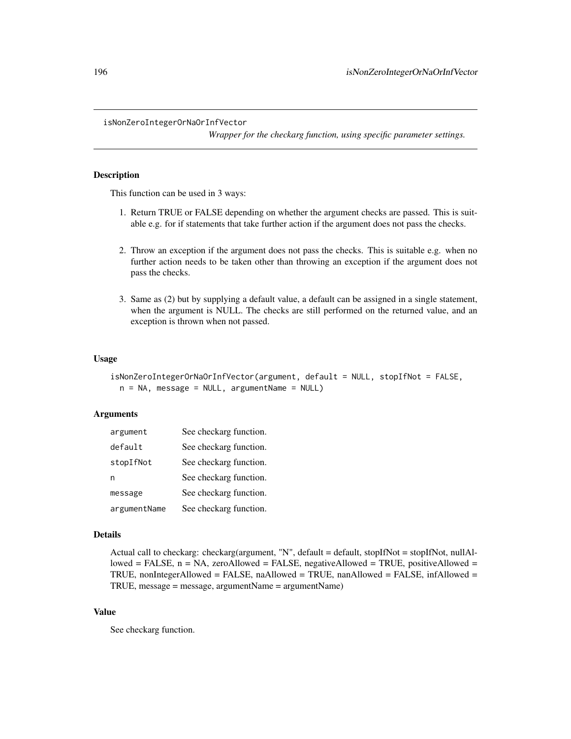#### isNonZeroIntegerOrNaOrInfVector

*Wrapper for the checkarg function, using specific parameter settings.*

# **Description**

This function can be used in 3 ways:

- 1. Return TRUE or FALSE depending on whether the argument checks are passed. This is suitable e.g. for if statements that take further action if the argument does not pass the checks.
- 2. Throw an exception if the argument does not pass the checks. This is suitable e.g. when no further action needs to be taken other than throwing an exception if the argument does not pass the checks.
- 3. Same as (2) but by supplying a default value, a default can be assigned in a single statement, when the argument is NULL. The checks are still performed on the returned value, and an exception is thrown when not passed.

# Usage

```
isNonZeroIntegerOrNaOrInfVector(argument, default = NULL, stopIfNot = FALSE,
 n = NA, message = NULL, argumentName = NULL)
```
# Arguments

| argument     | See checkarg function. |
|--------------|------------------------|
| default      | See checkarg function. |
| stopIfNot    | See checkarg function. |
| n            | See checkarg function. |
| message      | See checkarg function. |
| argumentName | See checkarg function. |

#### Details

```
Actual call to checkarg: checkarg(argument, "N", default = default, stopIfNot = stopIfNot, nullAl-
lowed = FALSE, n = NA, zeroAllowed = FALSE, negativeAllowed = TRUE, positiveAllowed =
TRUE, nonIntegerAllowed = FALSE, naAllowed = TRUE, nanAllowed = FALSE, infAllowed =
TRUE, message = message, argumentName = argumentName)
```
# Value

See checkarg function.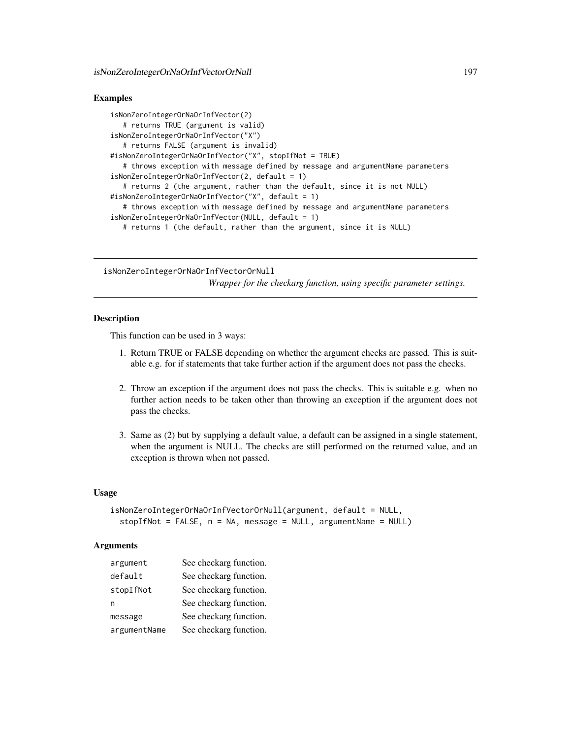# Examples

```
isNonZeroIntegerOrNaOrInfVector(2)
   # returns TRUE (argument is valid)
isNonZeroIntegerOrNaOrInfVector("X")
   # returns FALSE (argument is invalid)
#isNonZeroIntegerOrNaOrInfVector("X", stopIfNot = TRUE)
   # throws exception with message defined by message and argumentName parameters
isNonZeroIntegerOrNaOrInfVector(2, default = 1)
   # returns 2 (the argument, rather than the default, since it is not NULL)
#isNonZeroIntegerOrNaOrInfVector("X", default = 1)
   # throws exception with message defined by message and argumentName parameters
isNonZeroIntegerOrNaOrInfVector(NULL, default = 1)
   # returns 1 (the default, rather than the argument, since it is NULL)
```
isNonZeroIntegerOrNaOrInfVectorOrNull

*Wrapper for the checkarg function, using specific parameter settings.*

# Description

This function can be used in 3 ways:

- 1. Return TRUE or FALSE depending on whether the argument checks are passed. This is suitable e.g. for if statements that take further action if the argument does not pass the checks.
- 2. Throw an exception if the argument does not pass the checks. This is suitable e.g. when no further action needs to be taken other than throwing an exception if the argument does not pass the checks.
- 3. Same as (2) but by supplying a default value, a default can be assigned in a single statement, when the argument is NULL. The checks are still performed on the returned value, and an exception is thrown when not passed.

# Usage

```
isNonZeroIntegerOrNaOrInfVectorOrNull(argument, default = NULL,
 stopIfNot = FALSE, n = NA, message = NULL, argumentName = NULL)
```
## Arguments

| argument     | See checkarg function. |
|--------------|------------------------|
| default      | See checkarg function. |
| stopIfNot    | See checkarg function. |
| n            | See checkarg function. |
| message      | See checkarg function. |
| argumentName | See checkarg function. |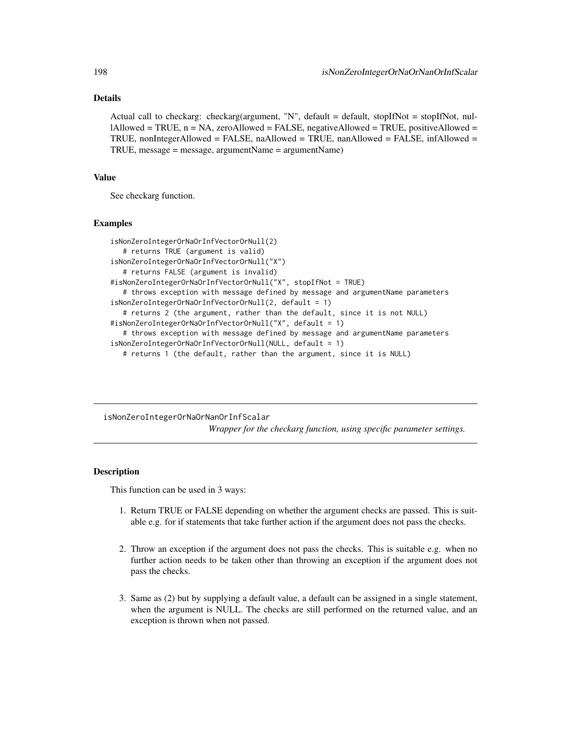# Details

Actual call to checkarg: checkarg(argument, "N", default = default, stopIfNot = stopIfNot, nullAllowed = TRUE, n = NA, zeroAllowed = FALSE, negativeAllowed = TRUE, positiveAllowed = TRUE, nonIntegerAllowed = FALSE, naAllowed = TRUE, nanAllowed = FALSE, infAllowed = TRUE, message = message, argumentName = argumentName)

## Value

See checkarg function.

#### Examples

```
isNonZeroIntegerOrNaOrInfVectorOrNull(2)
  # returns TRUE (argument is valid)
isNonZeroIntegerOrNaOrInfVectorOrNull("X")
  # returns FALSE (argument is invalid)
#isNonZeroIntegerOrNaOrInfVectorOrNull("X", stopIfNot = TRUE)
  # throws exception with message defined by message and argumentName parameters
isNonZeroIntegerOrNaOrInfVectorOrNull(2, default = 1)
  # returns 2 (the argument, rather than the default, since it is not NULL)
#isNonZeroIntegerOrNaOrInfVectorOrNull("X", default = 1)
  # throws exception with message defined by message and argumentName parameters
isNonZeroIntegerOrNaOrInfVectorOrNull(NULL, default = 1)
  # returns 1 (the default, rather than the argument, since it is NULL)
```
isNonZeroIntegerOrNaOrNanOrInfScalar *Wrapper for the checkarg function, using specific parameter settings.*

# **Description**

This function can be used in 3 ways:

- 1. Return TRUE or FALSE depending on whether the argument checks are passed. This is suitable e.g. for if statements that take further action if the argument does not pass the checks.
- 2. Throw an exception if the argument does not pass the checks. This is suitable e.g. when no further action needs to be taken other than throwing an exception if the argument does not pass the checks.
- 3. Same as (2) but by supplying a default value, a default can be assigned in a single statement, when the argument is NULL. The checks are still performed on the returned value, and an exception is thrown when not passed.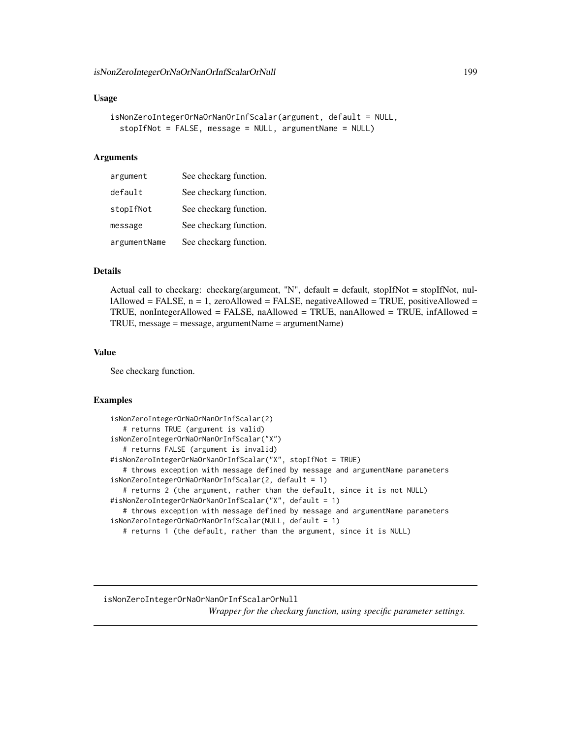```
isNonZeroIntegerOrNaOrNanOrInfScalar(argument, default = NULL,
  stopIfNot = FALSE, message = NULL, argumentName = NULL)
```
#### Arguments

| argument     | See checkarg function. |
|--------------|------------------------|
| default      | See checkarg function. |
| stopIfNot    | See checkarg function. |
| message      | See checkarg function. |
| argumentName | See checkarg function. |

# Details

Actual call to checkarg: checkarg(argument, "N", default = default, stopIfNot = stopIfNot, nullAllowed = FALSE, n = 1, zeroAllowed = FALSE, negativeAllowed = TRUE, positiveAllowed = TRUE, nonIntegerAllowed = FALSE, naAllowed = TRUE, nanAllowed = TRUE, infAllowed = TRUE, message = message, argumentName = argumentName)

## Value

See checkarg function.

# Examples

```
isNonZeroIntegerOrNaOrNanOrInfScalar(2)
   # returns TRUE (argument is valid)
isNonZeroIntegerOrNaOrNanOrInfScalar("X")
   # returns FALSE (argument is invalid)
#isNonZeroIntegerOrNaOrNanOrInfScalar("X", stopIfNot = TRUE)
   # throws exception with message defined by message and argumentName parameters
isNonZeroIntegerOrNaOrNanOrInfScalar(2, default = 1)
   # returns 2 (the argument, rather than the default, since it is not NULL)
#isNonZeroIntegerOrNaOrNanOrInfScalar("X", default = 1)
   # throws exception with message defined by message and argumentName parameters
isNonZeroIntegerOrNaOrNanOrInfScalar(NULL, default = 1)
  # returns 1 (the default, rather than the argument, since it is NULL)
```
isNonZeroIntegerOrNaOrNanOrInfScalarOrNull *Wrapper for the checkarg function, using specific parameter settings.*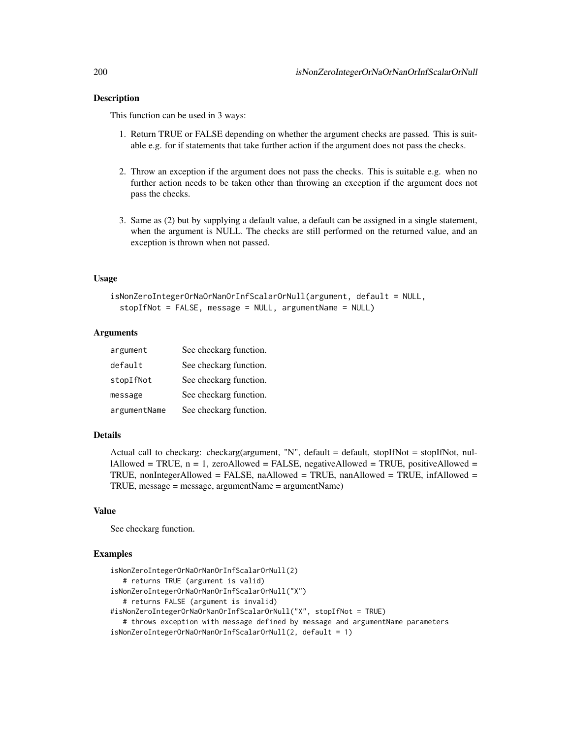## **Description**

This function can be used in 3 ways:

- 1. Return TRUE or FALSE depending on whether the argument checks are passed. This is suitable e.g. for if statements that take further action if the argument does not pass the checks.
- 2. Throw an exception if the argument does not pass the checks. This is suitable e.g. when no further action needs to be taken other than throwing an exception if the argument does not pass the checks.
- 3. Same as (2) but by supplying a default value, a default can be assigned in a single statement, when the argument is NULL. The checks are still performed on the returned value, and an exception is thrown when not passed.

### Usage

```
isNonZeroIntegerOrNaOrNanOrInfScalarOrNull(argument, default = NULL,
  stopIfNot = FALSE, message = NULL, argumentName = NULL)
```
# Arguments

| argument     | See checkarg function. |
|--------------|------------------------|
| default      | See checkarg function. |
| stopIfNot    | See checkarg function. |
| message      | See checkarg function. |
| argumentName | See checkarg function. |

## Details

Actual call to checkarg: checkarg(argument, "N", default = default, stopIfNot = stopIfNot, nullAllowed = TRUE,  $n = 1$ , zeroAllowed = FALSE, negativeAllowed = TRUE, positiveAllowed = TRUE, nonIntegerAllowed = FALSE, naAllowed = TRUE, nanAllowed = TRUE, infAllowed = TRUE, message = message, argumentName = argumentName)

# Value

See checkarg function.

```
isNonZeroIntegerOrNaOrNanOrInfScalarOrNull(2)
   # returns TRUE (argument is valid)
isNonZeroIntegerOrNaOrNanOrInfScalarOrNull("X")
   # returns FALSE (argument is invalid)
#isNonZeroIntegerOrNaOrNanOrInfScalarOrNull("X", stopIfNot = TRUE)
   # throws exception with message defined by message and argumentName parameters
isNonZeroIntegerOrNaOrNanOrInfScalarOrNull(2, default = 1)
```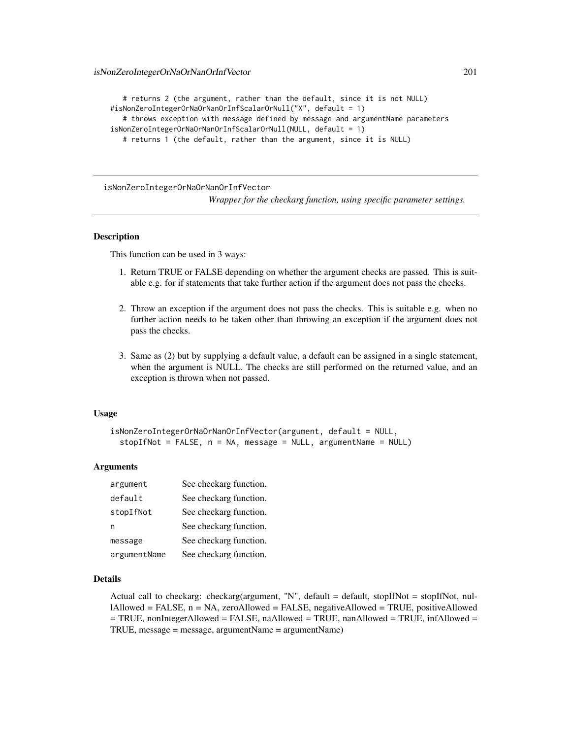# returns 2 (the argument, rather than the default, since it is not NULL) #isNonZeroIntegerOrNaOrNanOrInfScalarOrNull("X", default = 1) # throws exception with message defined by message and argumentName parameters isNonZeroIntegerOrNaOrNanOrInfScalarOrNull(NULL, default = 1) # returns 1 (the default, rather than the argument, since it is NULL)

isNonZeroIntegerOrNaOrNanOrInfVector

*Wrapper for the checkarg function, using specific parameter settings.*

# **Description**

This function can be used in 3 ways:

- 1. Return TRUE or FALSE depending on whether the argument checks are passed. This is suitable e.g. for if statements that take further action if the argument does not pass the checks.
- 2. Throw an exception if the argument does not pass the checks. This is suitable e.g. when no further action needs to be taken other than throwing an exception if the argument does not pass the checks.
- 3. Same as (2) but by supplying a default value, a default can be assigned in a single statement, when the argument is NULL. The checks are still performed on the returned value, and an exception is thrown when not passed.

## Usage

isNonZeroIntegerOrNaOrNanOrInfVector(argument, default = NULL, stopIfNot = FALSE, n = NA, message = NULL, argumentName = NULL)

#### Arguments

| argument     | See checkarg function. |
|--------------|------------------------|
| default      | See checkarg function. |
| stopIfNot    | See checkarg function. |
| n            | See checkarg function. |
| message      | See checkarg function. |
| argumentName | See checkarg function. |

#### Details

Actual call to checkarg: checkarg(argument, "N", default = default, stopIfNot = stopIfNot, nullAllowed = FALSE, n = NA, zeroAllowed = FALSE, negativeAllowed = TRUE, positiveAllowed  $=$  TRUE, nonIntegerAllowed = FALSE, naAllowed = TRUE, nanAllowed = TRUE, infAllowed = TRUE, message = message, argumentName = argumentName)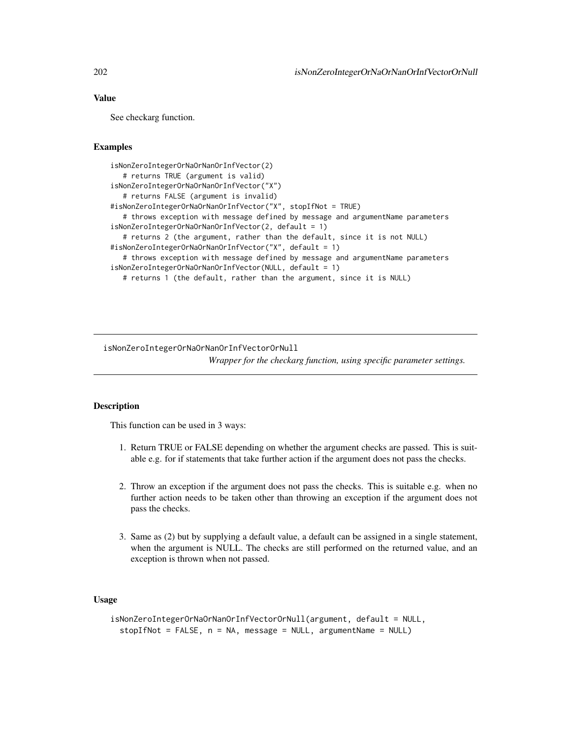# Value

See checkarg function.

# Examples

```
isNonZeroIntegerOrNaOrNanOrInfVector(2)
  # returns TRUE (argument is valid)
isNonZeroIntegerOrNaOrNanOrInfVector("X")
  # returns FALSE (argument is invalid)
#isNonZeroIntegerOrNaOrNanOrInfVector("X", stopIfNot = TRUE)
  # throws exception with message defined by message and argumentName parameters
isNonZeroIntegerOrNaOrNanOrInfVector(2, default = 1)
  # returns 2 (the argument, rather than the default, since it is not NULL)
#isNonZeroIntegerOrNaOrNanOrInfVector("X", default = 1)
  # throws exception with message defined by message and argumentName parameters
isNonZeroIntegerOrNaOrNanOrInfVector(NULL, default = 1)
  # returns 1 (the default, rather than the argument, since it is NULL)
```
isNonZeroIntegerOrNaOrNanOrInfVectorOrNull *Wrapper for the checkarg function, using specific parameter settings.*

## Description

This function can be used in 3 ways:

- 1. Return TRUE or FALSE depending on whether the argument checks are passed. This is suitable e.g. for if statements that take further action if the argument does not pass the checks.
- 2. Throw an exception if the argument does not pass the checks. This is suitable e.g. when no further action needs to be taken other than throwing an exception if the argument does not pass the checks.
- 3. Same as (2) but by supplying a default value, a default can be assigned in a single statement, when the argument is NULL. The checks are still performed on the returned value, and an exception is thrown when not passed.

# Usage

```
isNonZeroIntegerOrNaOrNanOrInfVectorOrNull(argument, default = NULL,
 stopIfNot = FALSE, n = NA, message = NULL, argumentName = NULL)
```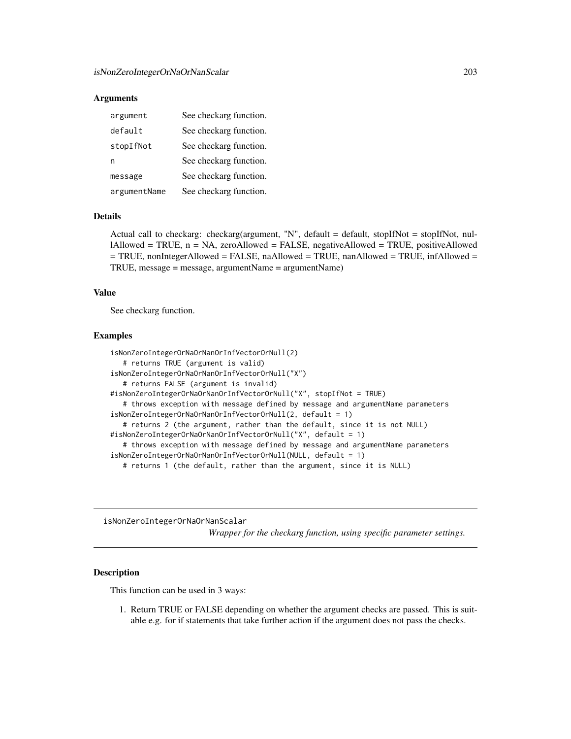## **Arguments**

| argument     | See checkarg function. |
|--------------|------------------------|
| default      | See checkarg function. |
| stopIfNot    | See checkarg function. |
| n            | See checkarg function. |
| message      | See checkarg function. |
| argumentName | See checkarg function. |

#### Details

Actual call to checkarg: checkarg(argument, "N", default = default, stopIfNot = stopIfNot, nullAllowed = TRUE, n = NA, zeroAllowed = FALSE, negativeAllowed = TRUE, positiveAllowed = TRUE, nonIntegerAllowed = FALSE, naAllowed = TRUE, nanAllowed = TRUE, infAllowed = TRUE, message = message, argumentName = argumentName)

#### Value

See checkarg function.

#### Examples

```
isNonZeroIntegerOrNaOrNanOrInfVectorOrNull(2)
   # returns TRUE (argument is valid)
isNonZeroIntegerOrNaOrNanOrInfVectorOrNull("X")
   # returns FALSE (argument is invalid)
#isNonZeroIntegerOrNaOrNanOrInfVectorOrNull("X", stopIfNot = TRUE)
   # throws exception with message defined by message and argumentName parameters
isNonZeroIntegerOrNaOrNanOrInfVectorOrNull(2, default = 1)
   # returns 2 (the argument, rather than the default, since it is not NULL)
#isNonZeroIntegerOrNaOrNanOrInfVectorOrNull("X", default = 1)
   # throws exception with message defined by message and argumentName parameters
isNonZeroIntegerOrNaOrNanOrInfVectorOrNull(NULL, default = 1)
  # returns 1 (the default, rather than the argument, since it is NULL)
```
isNonZeroIntegerOrNaOrNanScalar

*Wrapper for the checkarg function, using specific parameter settings.*

## Description

This function can be used in 3 ways:

1. Return TRUE or FALSE depending on whether the argument checks are passed. This is suitable e.g. for if statements that take further action if the argument does not pass the checks.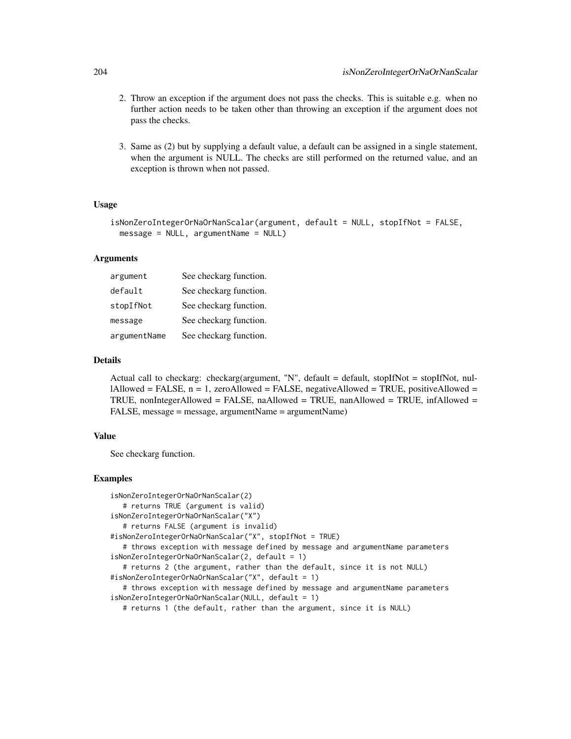- 2. Throw an exception if the argument does not pass the checks. This is suitable e.g. when no further action needs to be taken other than throwing an exception if the argument does not pass the checks.
- 3. Same as (2) but by supplying a default value, a default can be assigned in a single statement, when the argument is NULL. The checks are still performed on the returned value, and an exception is thrown when not passed.

```
isNonZeroIntegerOrNaOrNanScalar(argument, default = NULL, stopIfNot = FALSE,
 message = NULL, argumentName = NULL)
```
## Arguments

| argument     | See checkarg function. |
|--------------|------------------------|
| default      | See checkarg function. |
| stopIfNot    | See checkarg function. |
| message      | See checkarg function. |
| argumentName | See checkarg function. |

# Details

Actual call to checkarg: checkarg(argument, "N", default = default, stopIfNot = stopIfNot, nullAllowed = FALSE,  $n = 1$ , zeroAllowed = FALSE, negativeAllowed = TRUE, positiveAllowed = TRUE, nonIntegerAllowed = FALSE, naAllowed = TRUE, nanAllowed = TRUE, infAllowed = FALSE, message = message, argumentName = argumentName)

# Value

See checkarg function.

```
isNonZeroIntegerOrNaOrNanScalar(2)
   # returns TRUE (argument is valid)
isNonZeroIntegerOrNaOrNanScalar("X")
   # returns FALSE (argument is invalid)
#isNonZeroIntegerOrNaOrNanScalar("X", stopIfNot = TRUE)
   # throws exception with message defined by message and argumentName parameters
isNonZeroIntegerOrNaOrNanScalar(2, default = 1)
   # returns 2 (the argument, rather than the default, since it is not NULL)
#isNonZeroIntegerOrNaOrNanScalar("X", default = 1)
   # throws exception with message defined by message and argumentName parameters
isNonZeroIntegerOrNaOrNanScalar(NULL, default = 1)
   # returns 1 (the default, rather than the argument, since it is NULL)
```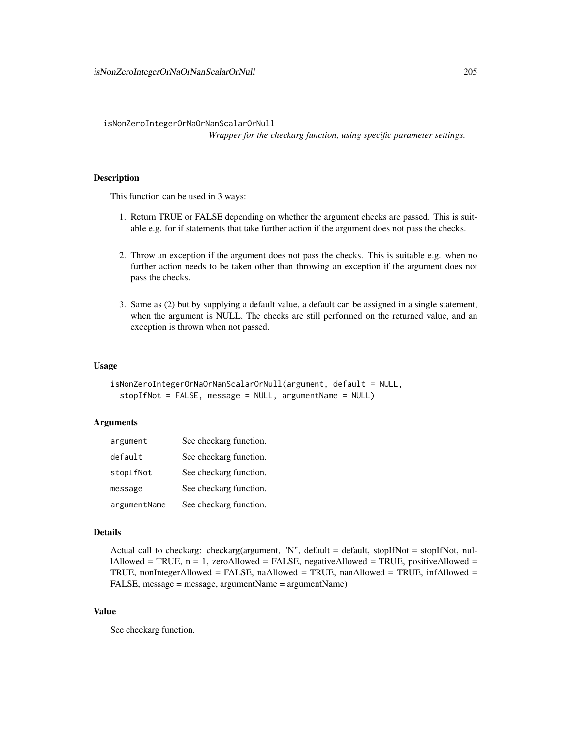isNonZeroIntegerOrNaOrNanScalarOrNull

*Wrapper for the checkarg function, using specific parameter settings.*

# Description

This function can be used in 3 ways:

- 1. Return TRUE or FALSE depending on whether the argument checks are passed. This is suitable e.g. for if statements that take further action if the argument does not pass the checks.
- 2. Throw an exception if the argument does not pass the checks. This is suitable e.g. when no further action needs to be taken other than throwing an exception if the argument does not pass the checks.
- 3. Same as (2) but by supplying a default value, a default can be assigned in a single statement, when the argument is NULL. The checks are still performed on the returned value, and an exception is thrown when not passed.

#### Usage

```
isNonZeroIntegerOrNaOrNanScalarOrNull(argument, default = NULL,
 stopIfNot = FALSE, message = NULL, argumentName = NULL)
```
## **Arguments**

| argument     | See checkarg function. |
|--------------|------------------------|
| default      | See checkarg function. |
| stopIfNot    | See checkarg function. |
| message      | See checkarg function. |
| argumentName | See checkarg function. |

#### Details

Actual call to checkarg: checkarg(argument, "N", default = default, stopIfNot = stopIfNot, nullAllowed = TRUE,  $n = 1$ , zeroAllowed = FALSE, negativeAllowed = TRUE, positiveAllowed = TRUE, nonIntegerAllowed = FALSE, naAllowed = TRUE, nanAllowed = TRUE, infAllowed = FALSE, message = message, argumentName = argumentName)

# Value

See checkarg function.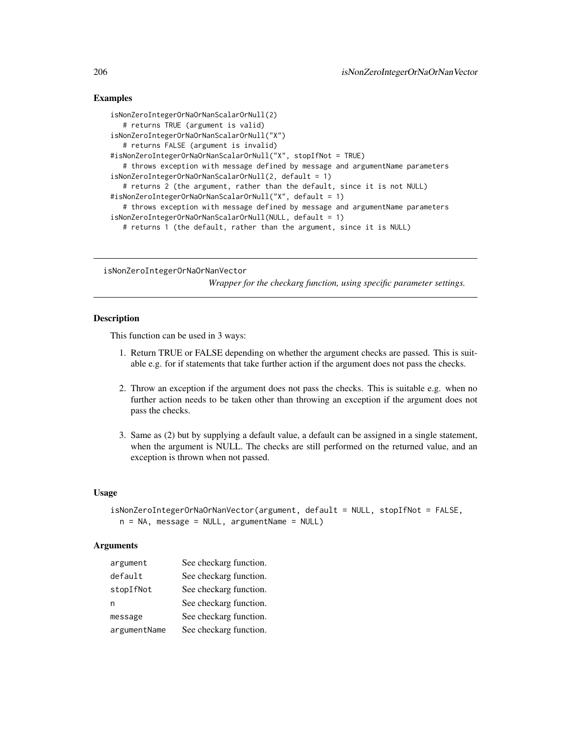# Examples

```
isNonZeroIntegerOrNaOrNanScalarOrNull(2)
  # returns TRUE (argument is valid)
isNonZeroIntegerOrNaOrNanScalarOrNull("X")
  # returns FALSE (argument is invalid)
#isNonZeroIntegerOrNaOrNanScalarOrNull("X", stopIfNot = TRUE)
  # throws exception with message defined by message and argumentName parameters
isNonZeroIntegerOrNaOrNanScalarOrNull(2, default = 1)
  # returns 2 (the argument, rather than the default, since it is not NULL)
#isNonZeroIntegerOrNaOrNanScalarOrNull("X", default = 1)
  # throws exception with message defined by message and argumentName parameters
isNonZeroIntegerOrNaOrNanScalarOrNull(NULL, default = 1)
  # returns 1 (the default, rather than the argument, since it is NULL)
```
isNonZeroIntegerOrNaOrNanVector

*Wrapper for the checkarg function, using specific parameter settings.*

# Description

This function can be used in 3 ways:

- 1. Return TRUE or FALSE depending on whether the argument checks are passed. This is suitable e.g. for if statements that take further action if the argument does not pass the checks.
- 2. Throw an exception if the argument does not pass the checks. This is suitable e.g. when no further action needs to be taken other than throwing an exception if the argument does not pass the checks.
- 3. Same as (2) but by supplying a default value, a default can be assigned in a single statement, when the argument is NULL. The checks are still performed on the returned value, and an exception is thrown when not passed.

# Usage

```
isNonZeroIntegerOrNaOrNanVector(argument, default = NULL, stopIfNot = FALSE,
 n = NA, message = NULL, argumentName = NULL)
```
# Arguments

| argument     | See checkarg function. |
|--------------|------------------------|
| default      | See checkarg function. |
| stopIfNot    | See checkarg function. |
| n            | See checkarg function. |
| message      | See checkarg function. |
| argumentName | See checkarg function. |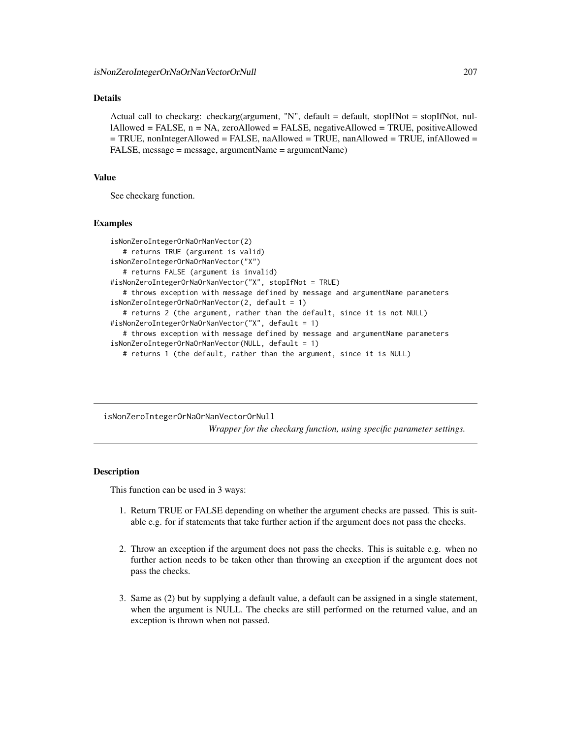## Details

Actual call to checkarg: checkarg(argument, "N", default = default, stopIfNot = stopIfNot, nullAllowed = FALSE, n = NA, zeroAllowed = FALSE, negativeAllowed = TRUE, positiveAllowed = TRUE, nonIntegerAllowed = FALSE, naAllowed = TRUE, nanAllowed = TRUE, infAllowed = FALSE, message = message, argumentName = argumentName)

#### Value

See checkarg function.

#### Examples

```
isNonZeroIntegerOrNaOrNanVector(2)
  # returns TRUE (argument is valid)
isNonZeroIntegerOrNaOrNanVector("X")
  # returns FALSE (argument is invalid)
#isNonZeroIntegerOrNaOrNanVector("X", stopIfNot = TRUE)
  # throws exception with message defined by message and argumentName parameters
isNonZeroIntegerOrNaOrNanVector(2, default = 1)
  # returns 2 (the argument, rather than the default, since it is not NULL)
#isNonZeroIntegerOrNaOrNanVector("X", default = 1)
  # throws exception with message defined by message and argumentName parameters
isNonZeroIntegerOrNaOrNanVector(NULL, default = 1)
  # returns 1 (the default, rather than the argument, since it is NULL)
```
isNonZeroIntegerOrNaOrNanVectorOrNull *Wrapper for the checkarg function, using specific parameter settings.*

## Description

This function can be used in 3 ways:

- 1. Return TRUE or FALSE depending on whether the argument checks are passed. This is suitable e.g. for if statements that take further action if the argument does not pass the checks.
- 2. Throw an exception if the argument does not pass the checks. This is suitable e.g. when no further action needs to be taken other than throwing an exception if the argument does not pass the checks.
- 3. Same as (2) but by supplying a default value, a default can be assigned in a single statement, when the argument is NULL. The checks are still performed on the returned value, and an exception is thrown when not passed.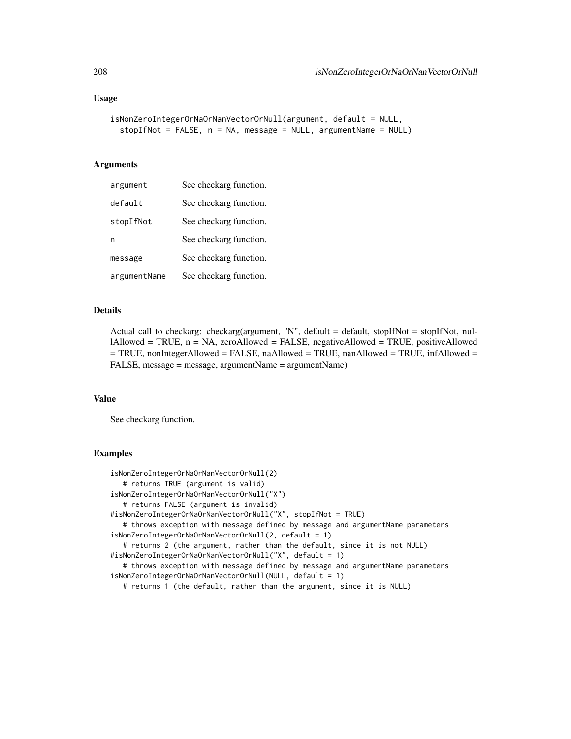```
isNonZeroIntegerOrNaOrNanVectorOrNull(argument, default = NULL,
  stopIfNot = FALSE, n = NA, message = NULL, argumentName = NULL)
```
# Arguments

| argument     | See checkarg function. |
|--------------|------------------------|
| default      | See checkarg function. |
| stopIfNot    | See checkarg function. |
| n            | See checkarg function. |
| message      | See checkarg function. |
| argumentName | See checkarg function. |

## Details

Actual call to checkarg: checkarg(argument, "N", default = default, stopIfNot = stopIfNot, nullAllowed = TRUE, n = NA, zeroAllowed = FALSE, negativeAllowed = TRUE, positiveAllowed  $=$  TRUE, nonIntegerAllowed  $=$  FALSE, naAllowed  $=$  TRUE, nanAllowed  $=$  TRUE, infAllowed  $=$ FALSE, message = message, argumentName = argumentName)

#### Value

See checkarg function.

```
isNonZeroIntegerOrNaOrNanVectorOrNull(2)
  # returns TRUE (argument is valid)
isNonZeroIntegerOrNaOrNanVectorOrNull("X")
   # returns FALSE (argument is invalid)
#isNonZeroIntegerOrNaOrNanVectorOrNull("X", stopIfNot = TRUE)
   # throws exception with message defined by message and argumentName parameters
isNonZeroIntegerOrNaOrNanVectorOrNull(2, default = 1)
   # returns 2 (the argument, rather than the default, since it is not NULL)
#isNonZeroIntegerOrNaOrNanVectorOrNull("X", default = 1)
   # throws exception with message defined by message and argumentName parameters
isNonZeroIntegerOrNaOrNanVectorOrNull(NULL, default = 1)
   # returns 1 (the default, rather than the argument, since it is NULL)
```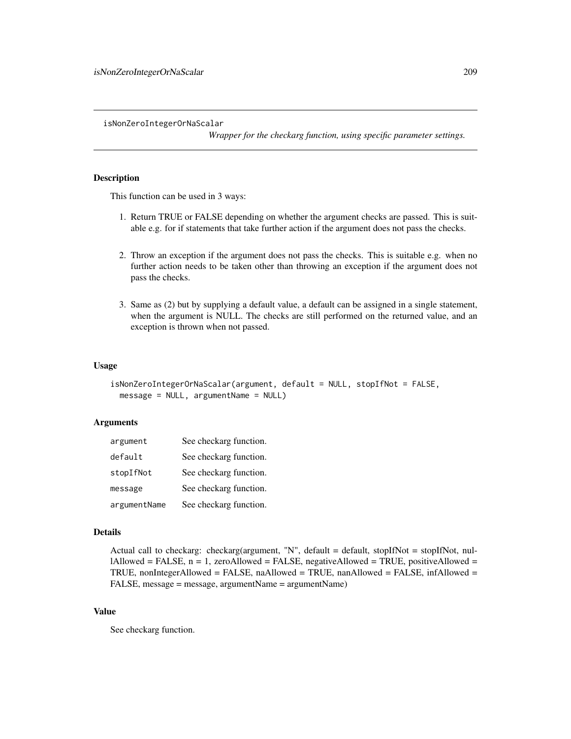isNonZeroIntegerOrNaScalar

*Wrapper for the checkarg function, using specific parameter settings.*

# Description

This function can be used in 3 ways:

- 1. Return TRUE or FALSE depending on whether the argument checks are passed. This is suitable e.g. for if statements that take further action if the argument does not pass the checks.
- 2. Throw an exception if the argument does not pass the checks. This is suitable e.g. when no further action needs to be taken other than throwing an exception if the argument does not pass the checks.
- 3. Same as (2) but by supplying a default value, a default can be assigned in a single statement, when the argument is NULL. The checks are still performed on the returned value, and an exception is thrown when not passed.

#### Usage

```
isNonZeroIntegerOrNaScalar(argument, default = NULL, stopIfNot = FALSE,
 message = NULL, argumentName = NULL)
```
## **Arguments**

| argument     | See checkarg function. |
|--------------|------------------------|
| default      | See checkarg function. |
| stopIfNot    | See checkarg function. |
| message      | See checkarg function. |
| argumentName | See checkarg function. |

#### Details

```
Actual call to checkarg: checkarg(argument, "N", default = default, stopIfNot = stopIfNot, nul-
\text{l}Allowed = FALSE, n = 1, zeroAllowed = FALSE, negativeAllowed = TRUE, positiveAllowed =
TRUE, nonIntegerAllowed = FALSE, naAllowed = TRUE, nanAllowed = FALSE, infAllowed =
FALSE, message = message, argumentName = argumentName)
```
# Value

See checkarg function.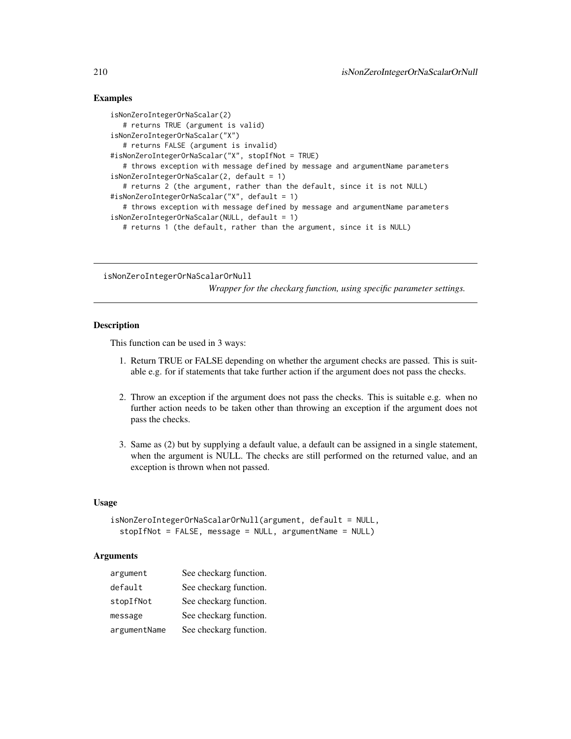# Examples

```
isNonZeroIntegerOrNaScalar(2)
  # returns TRUE (argument is valid)
isNonZeroIntegerOrNaScalar("X")
  # returns FALSE (argument is invalid)
#isNonZeroIntegerOrNaScalar("X", stopIfNot = TRUE)
  # throws exception with message defined by message and argumentName parameters
isNonZeroIntegerOrNaScalar(2, default = 1)
  # returns 2 (the argument, rather than the default, since it is not NULL)
#isNonZeroIntegerOrNaScalar("X", default = 1)
  # throws exception with message defined by message and argumentName parameters
isNonZeroIntegerOrNaScalar(NULL, default = 1)
  # returns 1 (the default, rather than the argument, since it is NULL)
```
isNonZeroIntegerOrNaScalarOrNull

*Wrapper for the checkarg function, using specific parameter settings.*

## **Description**

This function can be used in 3 ways:

- 1. Return TRUE or FALSE depending on whether the argument checks are passed. This is suitable e.g. for if statements that take further action if the argument does not pass the checks.
- 2. Throw an exception if the argument does not pass the checks. This is suitable e.g. when no further action needs to be taken other than throwing an exception if the argument does not pass the checks.
- 3. Same as (2) but by supplying a default value, a default can be assigned in a single statement, when the argument is NULL. The checks are still performed on the returned value, and an exception is thrown when not passed.

# Usage

```
isNonZeroIntegerOrNaScalarOrNull(argument, default = NULL,
 stopIfNot = FALSE, message = NULL, argumentName = NULL)
```
## **Arguments**

| argument     | See checkarg function. |
|--------------|------------------------|
| default      | See checkarg function. |
| stopIfNot    | See checkarg function. |
| message      | See checkarg function. |
| argumentName | See checkarg function. |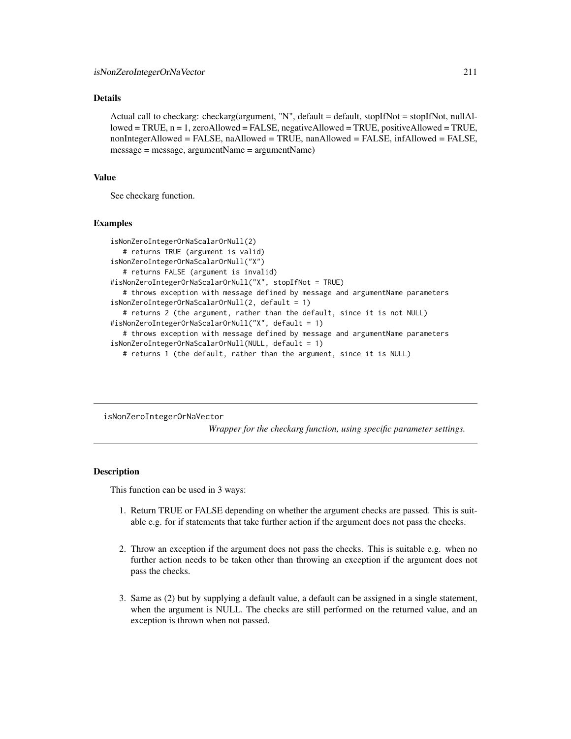# Details

Actual call to checkarg: checkarg(argument, "N", default = default, stopIfNot = stopIfNot, nullAllowed = TRUE, n = 1, zeroAllowed = FALSE, negativeAllowed = TRUE, positiveAllowed = TRUE, nonIntegerAllowed = FALSE, naAllowed = TRUE, nanAllowed = FALSE, infAllowed = FALSE, message = message, argumentName = argumentName)

#### Value

See checkarg function.

#### Examples

```
isNonZeroIntegerOrNaScalarOrNull(2)
  # returns TRUE (argument is valid)
isNonZeroIntegerOrNaScalarOrNull("X")
  # returns FALSE (argument is invalid)
#isNonZeroIntegerOrNaScalarOrNull("X", stopIfNot = TRUE)
  # throws exception with message defined by message and argumentName parameters
isNonZeroIntegerOrNaScalarOrNull(2, default = 1)
  # returns 2 (the argument, rather than the default, since it is not NULL)
#isNonZeroIntegerOrNaScalarOrNull("X", default = 1)
  # throws exception with message defined by message and argumentName parameters
isNonZeroIntegerOrNaScalarOrNull(NULL, default = 1)
  # returns 1 (the default, rather than the argument, since it is NULL)
```
isNonZeroIntegerOrNaVector

*Wrapper for the checkarg function, using specific parameter settings.*

# Description

This function can be used in 3 ways:

- 1. Return TRUE or FALSE depending on whether the argument checks are passed. This is suitable e.g. for if statements that take further action if the argument does not pass the checks.
- 2. Throw an exception if the argument does not pass the checks. This is suitable e.g. when no further action needs to be taken other than throwing an exception if the argument does not pass the checks.
- 3. Same as (2) but by supplying a default value, a default can be assigned in a single statement, when the argument is NULL. The checks are still performed on the returned value, and an exception is thrown when not passed.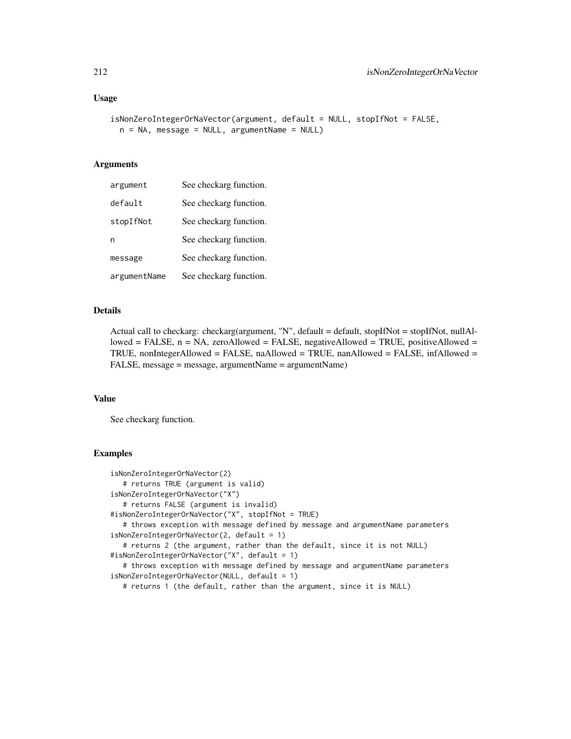```
isNonZeroIntegerOrNaVector(argument, default = NULL, stopIfNot = FALSE,
 n = NA, message = NULL, argumentName = NULL)
```
# Arguments

| argument     | See checkarg function. |
|--------------|------------------------|
| default      | See checkarg function. |
| stopIfNot    | See checkarg function. |
| n            | See checkarg function. |
| message      | See checkarg function. |
| argumentName | See checkarg function. |

## Details

Actual call to checkarg: checkarg(argument, "N", default = default, stopIfNot = stopIfNot, nullAllowed = FALSE, n = NA, zeroAllowed = FALSE, negativeAllowed = TRUE, positiveAllowed = TRUE, nonIntegerAllowed = FALSE, naAllowed = TRUE, nanAllowed = FALSE, infAllowed = FALSE, message = message, argumentName = argumentName)

#### Value

See checkarg function.

```
isNonZeroIntegerOrNaVector(2)
  # returns TRUE (argument is valid)
isNonZeroIntegerOrNaVector("X")
  # returns FALSE (argument is invalid)
#isNonZeroIntegerOrNaVector("X", stopIfNot = TRUE)
   # throws exception with message defined by message and argumentName parameters
isNonZeroIntegerOrNaVector(2, default = 1)
   # returns 2 (the argument, rather than the default, since it is not NULL)
#isNonZeroIntegerOrNaVector("X", default = 1)
   # throws exception with message defined by message and argumentName parameters
isNonZeroIntegerOrNaVector(NULL, default = 1)
   # returns 1 (the default, rather than the argument, since it is NULL)
```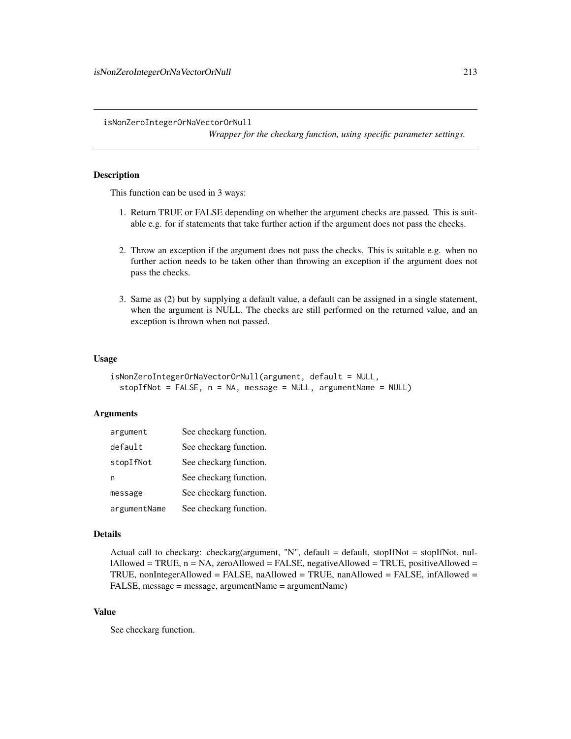isNonZeroIntegerOrNaVectorOrNull

*Wrapper for the checkarg function, using specific parameter settings.*

# Description

This function can be used in 3 ways:

- 1. Return TRUE or FALSE depending on whether the argument checks are passed. This is suitable e.g. for if statements that take further action if the argument does not pass the checks.
- 2. Throw an exception if the argument does not pass the checks. This is suitable e.g. when no further action needs to be taken other than throwing an exception if the argument does not pass the checks.
- 3. Same as (2) but by supplying a default value, a default can be assigned in a single statement, when the argument is NULL. The checks are still performed on the returned value, and an exception is thrown when not passed.

# Usage

```
isNonZeroIntegerOrNaVectorOrNull(argument, default = NULL,
 stopIfNot = FALSE, n = NA, message = NULL, argumentName = NULL)
```
## **Arguments**

| argument     | See checkarg function. |
|--------------|------------------------|
| default      | See checkarg function. |
| stopIfNot    | See checkarg function. |
| n            | See checkarg function. |
| message      | See checkarg function. |
| argumentName | See checkarg function. |

#### Details

Actual call to checkarg: checkarg(argument, "N", default = default, stopIfNot = stopIfNot, nullAllowed = TRUE,  $n = NA$ , zeroAllowed = FALSE, negativeAllowed = TRUE, positiveAllowed = TRUE, nonIntegerAllowed = FALSE, naAllowed = TRUE, nanAllowed = FALSE, infAllowed = FALSE, message = message, argumentName = argumentName)

# Value

See checkarg function.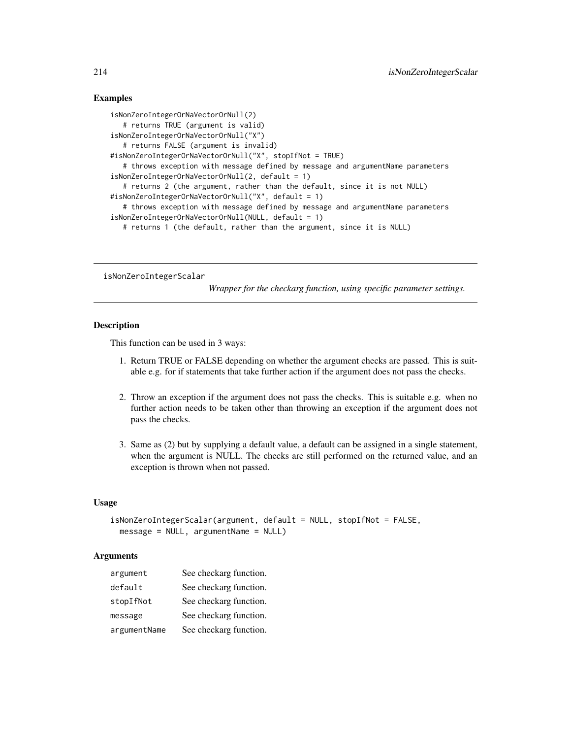# Examples

```
isNonZeroIntegerOrNaVectorOrNull(2)
  # returns TRUE (argument is valid)
isNonZeroIntegerOrNaVectorOrNull("X")
  # returns FALSE (argument is invalid)
#isNonZeroIntegerOrNaVectorOrNull("X", stopIfNot = TRUE)
  # throws exception with message defined by message and argumentName parameters
isNonZeroIntegerOrNaVectorOrNull(2, default = 1)
  # returns 2 (the argument, rather than the default, since it is not NULL)
#isNonZeroIntegerOrNaVectorOrNull("X", default = 1)
  # throws exception with message defined by message and argumentName parameters
isNonZeroIntegerOrNaVectorOrNull(NULL, default = 1)
  # returns 1 (the default, rather than the argument, since it is NULL)
```
isNonZeroIntegerScalar

*Wrapper for the checkarg function, using specific parameter settings.*

## **Description**

This function can be used in 3 ways:

- 1. Return TRUE or FALSE depending on whether the argument checks are passed. This is suitable e.g. for if statements that take further action if the argument does not pass the checks.
- 2. Throw an exception if the argument does not pass the checks. This is suitable e.g. when no further action needs to be taken other than throwing an exception if the argument does not pass the checks.
- 3. Same as (2) but by supplying a default value, a default can be assigned in a single statement, when the argument is NULL. The checks are still performed on the returned value, and an exception is thrown when not passed.

## Usage

```
isNonZeroIntegerScalar(argument, default = NULL, stopIfNot = FALSE,
 message = NULL, argumentName = NULL)
```
# **Arguments**

| argument     | See checkarg function. |
|--------------|------------------------|
| default      | See checkarg function. |
| stopIfNot    | See checkarg function. |
| message      | See checkarg function. |
| argumentName | See checkarg function. |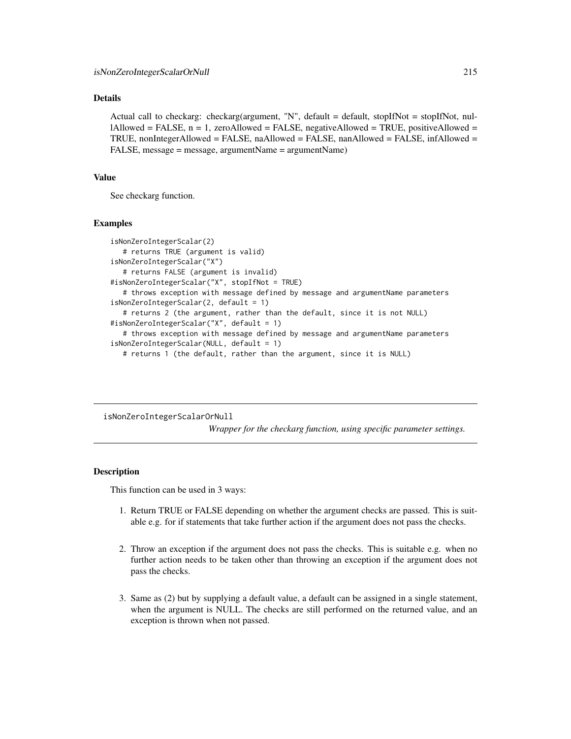# Details

Actual call to checkarg: checkarg(argument, "N", default = default, stopIfNot = stopIfNot, nul- $\text{I}$ Allowed = FALSE, n = 1, zeroAllowed = FALSE, negativeAllowed = TRUE, positiveAllowed = TRUE, nonIntegerAllowed = FALSE, naAllowed = FALSE, nanAllowed = FALSE, infAllowed = FALSE, message = message, argumentName = argumentName)

#### Value

See checkarg function.

#### Examples

```
isNonZeroIntegerScalar(2)
   # returns TRUE (argument is valid)
isNonZeroIntegerScalar("X")
   # returns FALSE (argument is invalid)
#isNonZeroIntegerScalar("X", stopIfNot = TRUE)
   # throws exception with message defined by message and argumentName parameters
isNonZeroIntegerScalar(2, default = 1)
   # returns 2 (the argument, rather than the default, since it is not NULL)
#isNonZeroIntegerScalar("X", default = 1)
   # throws exception with message defined by message and argumentName parameters
isNonZeroIntegerScalar(NULL, default = 1)
  # returns 1 (the default, rather than the argument, since it is NULL)
```
isNonZeroIntegerScalarOrNull

*Wrapper for the checkarg function, using specific parameter settings.*

# Description

This function can be used in 3 ways:

- 1. Return TRUE or FALSE depending on whether the argument checks are passed. This is suitable e.g. for if statements that take further action if the argument does not pass the checks.
- 2. Throw an exception if the argument does not pass the checks. This is suitable e.g. when no further action needs to be taken other than throwing an exception if the argument does not pass the checks.
- 3. Same as (2) but by supplying a default value, a default can be assigned in a single statement, when the argument is NULL. The checks are still performed on the returned value, and an exception is thrown when not passed.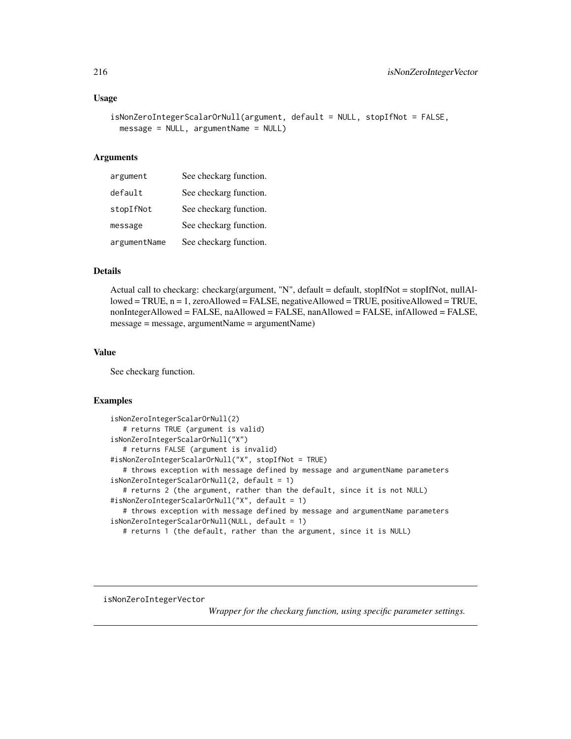```
isNonZeroIntegerScalarOrNull(argument, default = NULL, stopIfNot = FALSE,
 message = NULL, argumentName = NULL)
```
#### Arguments

| argument     | See checkarg function. |
|--------------|------------------------|
| default      | See checkarg function. |
| stopIfNot    | See checkarg function. |
| message      | See checkarg function. |
| argumentName | See checkarg function. |

# Details

Actual call to checkarg: checkarg(argument, "N", default = default, stopIfNot = stopIfNot, nullAllowed = TRUE, n = 1, zeroAllowed = FALSE, negativeAllowed = TRUE, positiveAllowed = TRUE, nonIntegerAllowed = FALSE, naAllowed = FALSE, nanAllowed = FALSE, infAllowed = FALSE, message = message, argumentName = argumentName)

## Value

See checkarg function.

# Examples

```
isNonZeroIntegerScalarOrNull(2)
   # returns TRUE (argument is valid)
isNonZeroIntegerScalarOrNull("X")
  # returns FALSE (argument is invalid)
#isNonZeroIntegerScalarOrNull("X", stopIfNot = TRUE)
   # throws exception with message defined by message and argumentName parameters
isNonZeroIntegerScalarOrNull(2, default = 1)
   # returns 2 (the argument, rather than the default, since it is not NULL)
#isNonZeroIntegerScalarOrNull("X", default = 1)
  # throws exception with message defined by message and argumentName parameters
isNonZeroIntegerScalarOrNull(NULL, default = 1)
  # returns 1 (the default, rather than the argument, since it is NULL)
```
isNonZeroIntegerVector

*Wrapper for the checkarg function, using specific parameter settings.*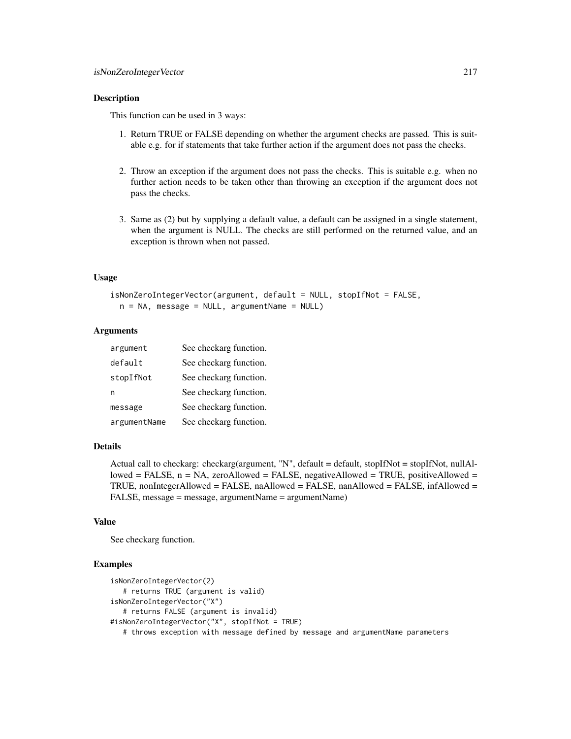### Description

This function can be used in 3 ways:

- 1. Return TRUE or FALSE depending on whether the argument checks are passed. This is suitable e.g. for if statements that take further action if the argument does not pass the checks.
- 2. Throw an exception if the argument does not pass the checks. This is suitable e.g. when no further action needs to be taken other than throwing an exception if the argument does not pass the checks.
- 3. Same as (2) but by supplying a default value, a default can be assigned in a single statement, when the argument is NULL. The checks are still performed on the returned value, and an exception is thrown when not passed.

### Usage

```
isNonZeroIntegerVector(argument, default = NULL, stopIfNot = FALSE,
 n = NA, message = NULL, argumentName = NULL)
```
## **Arguments**

| argument     | See checkarg function. |
|--------------|------------------------|
| default      | See checkarg function. |
| stopIfNot    | See checkarg function. |
| n            | See checkarg function. |
| message      | See checkarg function. |
| argumentName | See checkarg function. |

# Details

Actual call to checkarg: checkarg(argument, "N", default = default, stopIfNot = stopIfNot, nullAllowed = FALSE,  $n = NA$ , zeroAllowed = FALSE, negativeAllowed = TRUE, positiveAllowed = TRUE, nonIntegerAllowed = FALSE, naAllowed = FALSE, nanAllowed = FALSE, infAllowed = FALSE, message = message, argumentName = argumentName)

## Value

See checkarg function.

### Examples

```
isNonZeroIntegerVector(2)
   # returns TRUE (argument is valid)
isNonZeroIntegerVector("X")
   # returns FALSE (argument is invalid)
#isNonZeroIntegerVector("X", stopIfNot = TRUE)
  # throws exception with message defined by message and argumentName parameters
```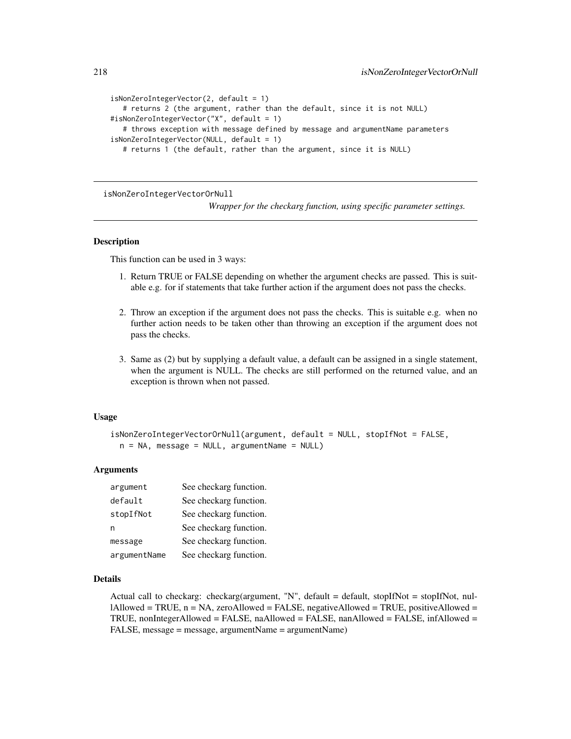```
isNonZeroIntegerVector(2, default = 1)
   # returns 2 (the argument, rather than the default, since it is not NULL)
#isNonZeroIntegerVector("X", default = 1)
   # throws exception with message defined by message and argumentName parameters
isNonZeroIntegerVector(NULL, default = 1)
  # returns 1 (the default, rather than the argument, since it is NULL)
```
isNonZeroIntegerVectorOrNull

*Wrapper for the checkarg function, using specific parameter settings.*

## **Description**

This function can be used in 3 ways:

- 1. Return TRUE or FALSE depending on whether the argument checks are passed. This is suitable e.g. for if statements that take further action if the argument does not pass the checks.
- 2. Throw an exception if the argument does not pass the checks. This is suitable e.g. when no further action needs to be taken other than throwing an exception if the argument does not pass the checks.
- 3. Same as (2) but by supplying a default value, a default can be assigned in a single statement, when the argument is NULL. The checks are still performed on the returned value, and an exception is thrown when not passed.

### Usage

```
isNonZeroIntegerVectorOrNull(argument, default = NULL, stopIfNot = FALSE,
 n = NA, message = NULL, argumentName = NULL)
```
## **Arguments**

| argument     | See checkarg function. |
|--------------|------------------------|
| default      | See checkarg function. |
| stopIfNot    | See checkarg function. |
| n            | See checkarg function. |
| message      | See checkarg function. |
| argumentName | See checkarg function. |

### Details

Actual call to checkarg: checkarg(argument, "N", default = default, stopIfNot = stopIfNot, nullAllowed = TRUE,  $n = NA$ , zeroAllowed = FALSE, negativeAllowed = TRUE, positiveAllowed = TRUE, nonIntegerAllowed = FALSE, naAllowed = FALSE, nanAllowed = FALSE, infAllowed = FALSE, message = message, argumentName = argumentName)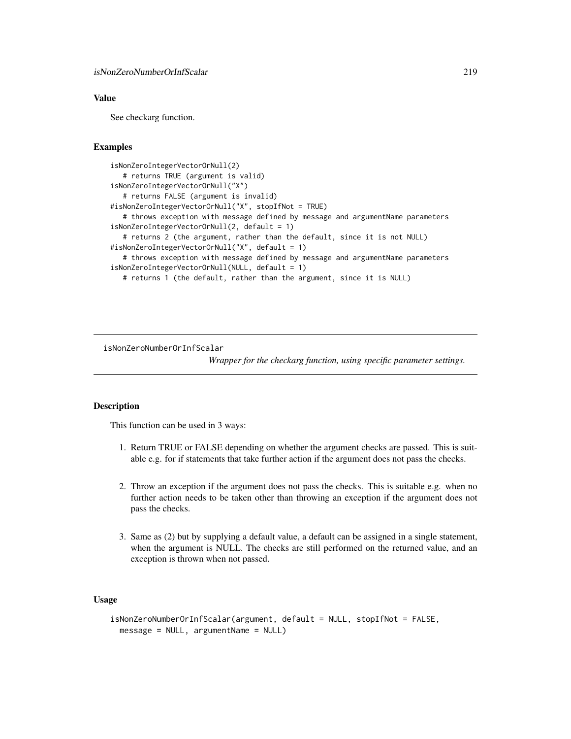# Value

See checkarg function.

## Examples

```
isNonZeroIntegerVectorOrNull(2)
  # returns TRUE (argument is valid)
isNonZeroIntegerVectorOrNull("X")
  # returns FALSE (argument is invalid)
#isNonZeroIntegerVectorOrNull("X", stopIfNot = TRUE)
  # throws exception with message defined by message and argumentName parameters
isNonZeroIntegerVectorOrNull(2, default = 1)
  # returns 2 (the argument, rather than the default, since it is not NULL)
#isNonZeroIntegerVectorOrNull("X", default = 1)
  # throws exception with message defined by message and argumentName parameters
isNonZeroIntegerVectorOrNull(NULL, default = 1)
  # returns 1 (the default, rather than the argument, since it is NULL)
```
isNonZeroNumberOrInfScalar

*Wrapper for the checkarg function, using specific parameter settings.*

### Description

This function can be used in 3 ways:

- 1. Return TRUE or FALSE depending on whether the argument checks are passed. This is suitable e.g. for if statements that take further action if the argument does not pass the checks.
- 2. Throw an exception if the argument does not pass the checks. This is suitable e.g. when no further action needs to be taken other than throwing an exception if the argument does not pass the checks.
- 3. Same as (2) but by supplying a default value, a default can be assigned in a single statement, when the argument is NULL. The checks are still performed on the returned value, and an exception is thrown when not passed.

# Usage

```
isNonZeroNumberOrInfScalar(argument, default = NULL, stopIfNot = FALSE,
 message = NULL, argumentName = NULL)
```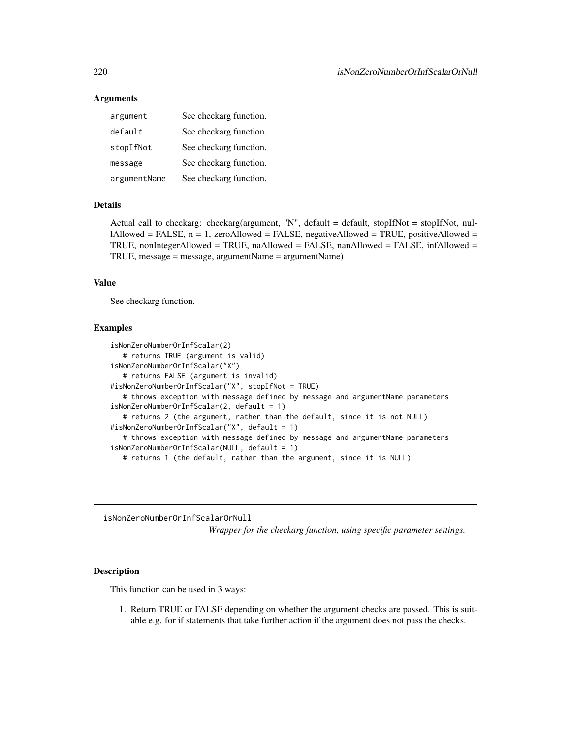## **Arguments**

| argument     | See checkarg function. |
|--------------|------------------------|
| default      | See checkarg function. |
| stopIfNot    | See checkarg function. |
| message      | See checkarg function. |
| argumentName | See checkarg function. |

# Details

Actual call to checkarg: checkarg(argument, "N", default = default, stopIfNot = stopIfNot, nullAllowed = FALSE,  $n = 1$ , zeroAllowed = FALSE, negativeAllowed = TRUE, positiveAllowed = TRUE, nonIntegerAllowed = TRUE, naAllowed = FALSE, nanAllowed = FALSE, infAllowed = TRUE, message = message, argumentName = argumentName)

# Value

See checkarg function.

# Examples

```
isNonZeroNumberOrInfScalar(2)
  # returns TRUE (argument is valid)
isNonZeroNumberOrInfScalar("X")
  # returns FALSE (argument is invalid)
#isNonZeroNumberOrInfScalar("X", stopIfNot = TRUE)
   # throws exception with message defined by message and argumentName parameters
isNonZeroNumberOrInfScalar(2, default = 1)
   # returns 2 (the argument, rather than the default, since it is not NULL)
#isNonZeroNumberOrInfScalar("X", default = 1)
   # throws exception with message defined by message and argumentName parameters
isNonZeroNumberOrInfScalar(NULL, default = 1)
   # returns 1 (the default, rather than the argument, since it is NULL)
```
isNonZeroNumberOrInfScalarOrNull

*Wrapper for the checkarg function, using specific parameter settings.*

## **Description**

This function can be used in 3 ways:

1. Return TRUE or FALSE depending on whether the argument checks are passed. This is suitable e.g. for if statements that take further action if the argument does not pass the checks.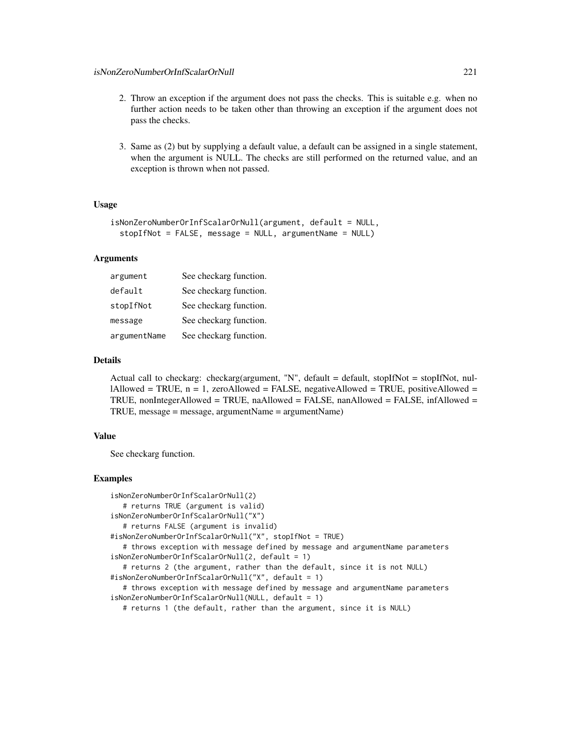- 2. Throw an exception if the argument does not pass the checks. This is suitable e.g. when no further action needs to be taken other than throwing an exception if the argument does not pass the checks.
- 3. Same as (2) but by supplying a default value, a default can be assigned in a single statement, when the argument is NULL. The checks are still performed on the returned value, and an exception is thrown when not passed.

# Usage

```
isNonZeroNumberOrInfScalarOrNull(argument, default = NULL,
  stopIfNot = FALSE, message = NULL, argumentName = NULL)
```
### Arguments

| argument     | See checkarg function. |
|--------------|------------------------|
| default      | See checkarg function. |
| stopIfNot    | See checkarg function. |
| message      | See checkarg function. |
| argumentName | See checkarg function. |

# Details

Actual call to checkarg: checkarg(argument, "N", default = default, stopIfNot = stopIfNot, nullAllowed = TRUE,  $n = 1$ , zeroAllowed = FALSE, negativeAllowed = TRUE, positiveAllowed = TRUE, nonIntegerAllowed = TRUE, naAllowed = FALSE, nanAllowed = FALSE, infAllowed = TRUE, message = message, argumentName = argumentName)

# Value

See checkarg function.

## Examples

```
isNonZeroNumberOrInfScalarOrNull(2)
   # returns TRUE (argument is valid)
isNonZeroNumberOrInfScalarOrNull("X")
   # returns FALSE (argument is invalid)
#isNonZeroNumberOrInfScalarOrNull("X", stopIfNot = TRUE)
   # throws exception with message defined by message and argumentName parameters
isNonZeroNumberOrInfScalarOrNull(2, default = 1)
   # returns 2 (the argument, rather than the default, since it is not NULL)
#isNonZeroNumberOrInfScalarOrNull("X", default = 1)
   # throws exception with message defined by message and argumentName parameters
isNonZeroNumberOrInfScalarOrNull(NULL, default = 1)
   # returns 1 (the default, rather than the argument, since it is NULL)
```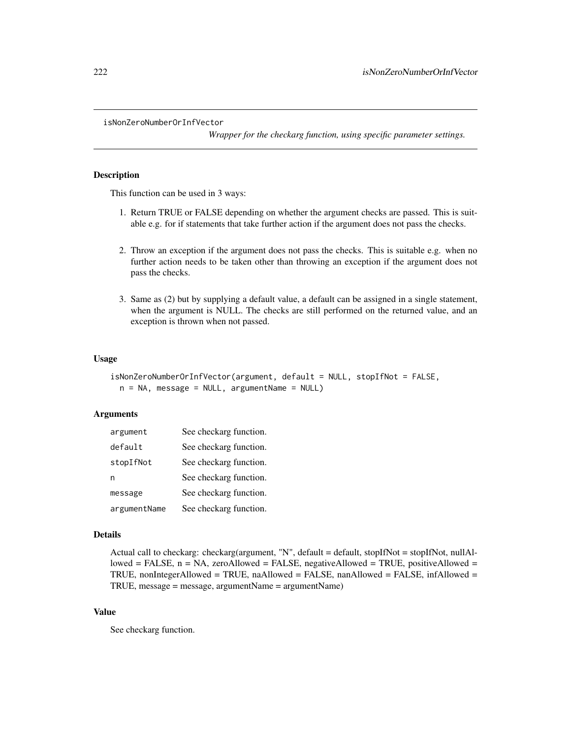```
isNonZeroNumberOrInfVector
```
*Wrapper for the checkarg function, using specific parameter settings.*

# **Description**

This function can be used in 3 ways:

- 1. Return TRUE or FALSE depending on whether the argument checks are passed. This is suitable e.g. for if statements that take further action if the argument does not pass the checks.
- 2. Throw an exception if the argument does not pass the checks. This is suitable e.g. when no further action needs to be taken other than throwing an exception if the argument does not pass the checks.
- 3. Same as (2) but by supplying a default value, a default can be assigned in a single statement, when the argument is NULL. The checks are still performed on the returned value, and an exception is thrown when not passed.

# Usage

```
isNonZeroNumberOrInfVector(argument, default = NULL, stopIfNot = FALSE,
 n = NA, message = NULL, argumentName = NULL)
```
# Arguments

| argument     | See checkarg function. |
|--------------|------------------------|
| default      | See checkarg function. |
| stopIfNot    | See checkarg function. |
| n            | See checkarg function. |
| message      | See checkarg function. |
| argumentName | See checkarg function. |

### Details

```
Actual call to checkarg: checkarg(argument, "N", default = default, stopIfNot = stopIfNot, nullAl-
lowed = FALSE, n = NA, zeroAllowed = FALSE, negativeAllowed = TRUE, positiveAllowed =
TRUE, nonIntegerAllowed = TRUE, naAllowed = FALSE, nanAllowed = FALSE, infAllowed =
TRUE, message = message, argumentName = argumentName)
```
# Value

See checkarg function.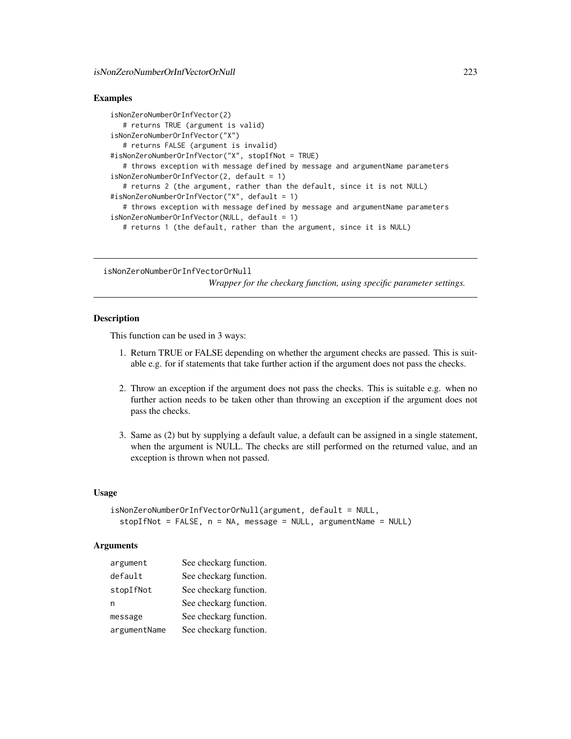## Examples

```
isNonZeroNumberOrInfVector(2)
   # returns TRUE (argument is valid)
isNonZeroNumberOrInfVector("X")
   # returns FALSE (argument is invalid)
#isNonZeroNumberOrInfVector("X", stopIfNot = TRUE)
   # throws exception with message defined by message and argumentName parameters
isNonZeroNumberOrInfVector(2, default = 1)
   # returns 2 (the argument, rather than the default, since it is not NULL)
#isNonZeroNumberOrInfVector("X", default = 1)
   # throws exception with message defined by message and argumentName parameters
isNonZeroNumberOrInfVector(NULL, default = 1)
   # returns 1 (the default, rather than the argument, since it is NULL)
```
isNonZeroNumberOrInfVectorOrNull

*Wrapper for the checkarg function, using specific parameter settings.*

## **Description**

This function can be used in 3 ways:

- 1. Return TRUE or FALSE depending on whether the argument checks are passed. This is suitable e.g. for if statements that take further action if the argument does not pass the checks.
- 2. Throw an exception if the argument does not pass the checks. This is suitable e.g. when no further action needs to be taken other than throwing an exception if the argument does not pass the checks.
- 3. Same as (2) but by supplying a default value, a default can be assigned in a single statement, when the argument is NULL. The checks are still performed on the returned value, and an exception is thrown when not passed.

## Usage

```
isNonZeroNumberOrInfVectorOrNull(argument, default = NULL,
 stopIfNot = FALSE, n = NA, message = NULL, argumentName = NULL)
```
## **Arguments**

| argument     | See checkarg function. |
|--------------|------------------------|
| default      | See checkarg function. |
| stopIfNot    | See checkarg function. |
| n            | See checkarg function. |
| message      | See checkarg function. |
| argumentName | See checkarg function. |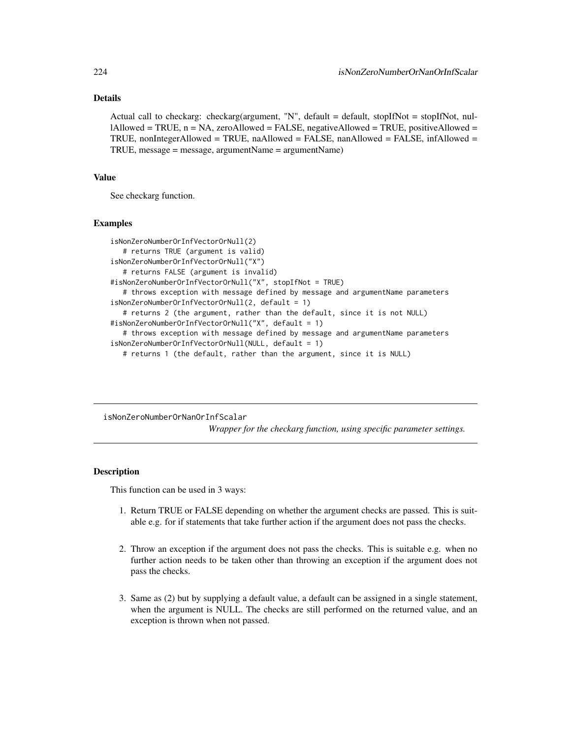# Details

Actual call to checkarg: checkarg(argument, "N", default = default, stopIfNot = stopIfNot, nullAllowed = TRUE, n = NA, zeroAllowed = FALSE, negativeAllowed = TRUE, positiveAllowed = TRUE, nonIntegerAllowed = TRUE, naAllowed = FALSE, nanAllowed = FALSE, infAllowed = TRUE, message = message, argumentName = argumentName)

### Value

See checkarg function.

### Examples

```
isNonZeroNumberOrInfVectorOrNull(2)
  # returns TRUE (argument is valid)
isNonZeroNumberOrInfVectorOrNull("X")
  # returns FALSE (argument is invalid)
#isNonZeroNumberOrInfVectorOrNull("X", stopIfNot = TRUE)
  # throws exception with message defined by message and argumentName parameters
isNonZeroNumberOrInfVectorOrNull(2, default = 1)
  # returns 2 (the argument, rather than the default, since it is not NULL)
#isNonZeroNumberOrInfVectorOrNull("X", default = 1)
  # throws exception with message defined by message and argumentName parameters
isNonZeroNumberOrInfVectorOrNull(NULL, default = 1)
  # returns 1 (the default, rather than the argument, since it is NULL)
```
isNonZeroNumberOrNanOrInfScalar *Wrapper for the checkarg function, using specific parameter settings.*

# **Description**

This function can be used in 3 ways:

- 1. Return TRUE or FALSE depending on whether the argument checks are passed. This is suitable e.g. for if statements that take further action if the argument does not pass the checks.
- 2. Throw an exception if the argument does not pass the checks. This is suitable e.g. when no further action needs to be taken other than throwing an exception if the argument does not pass the checks.
- 3. Same as (2) but by supplying a default value, a default can be assigned in a single statement, when the argument is NULL. The checks are still performed on the returned value, and an exception is thrown when not passed.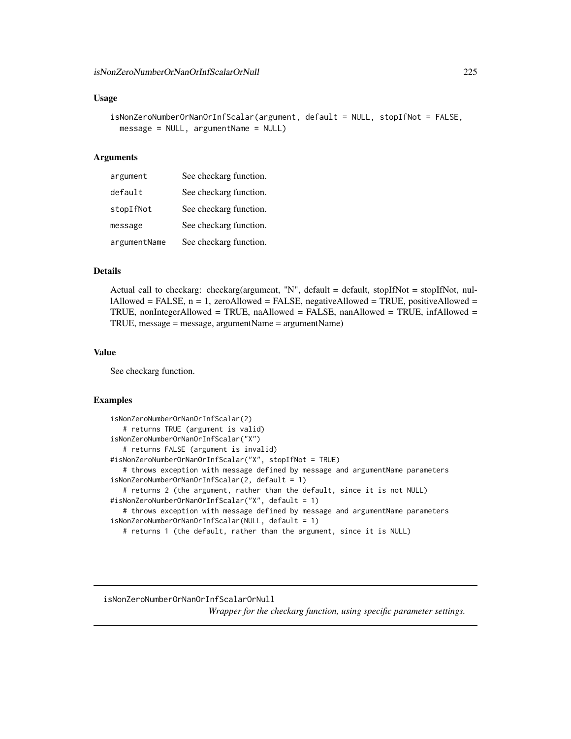## Usage

```
isNonZeroNumberOrNanOrInfScalar(argument, default = NULL, stopIfNot = FALSE,
 message = NULL, argumentName = NULL)
```
### Arguments

| argument     | See checkarg function. |
|--------------|------------------------|
| default      | See checkarg function. |
| stopIfNot    | See checkarg function. |
| message      | See checkarg function. |
| argumentName | See checkarg function. |

# Details

Actual call to checkarg: checkarg(argument, "N", default = default, stopIfNot = stopIfNot, nullAllowed = FALSE,  $n = 1$ , zeroAllowed = FALSE, negativeAllowed = TRUE, positiveAllowed = TRUE, nonIntegerAllowed = TRUE, naAllowed = FALSE, nanAllowed = TRUE, infAllowed = TRUE, message = message, argumentName = argumentName)

## Value

See checkarg function.

# Examples

```
isNonZeroNumberOrNanOrInfScalar(2)
   # returns TRUE (argument is valid)
isNonZeroNumberOrNanOrInfScalar("X")
   # returns FALSE (argument is invalid)
#isNonZeroNumberOrNanOrInfScalar("X", stopIfNot = TRUE)
   # throws exception with message defined by message and argumentName parameters
isNonZeroNumberOrNanOrInfScalar(2, default = 1)
   # returns 2 (the argument, rather than the default, since it is not NULL)
#isNonZeroNumberOrNanOrInfScalar("X", default = 1)
   # throws exception with message defined by message and argumentName parameters
isNonZeroNumberOrNanOrInfScalar(NULL, default = 1)
  # returns 1 (the default, rather than the argument, since it is NULL)
```
isNonZeroNumberOrNanOrInfScalarOrNull

*Wrapper for the checkarg function, using specific parameter settings.*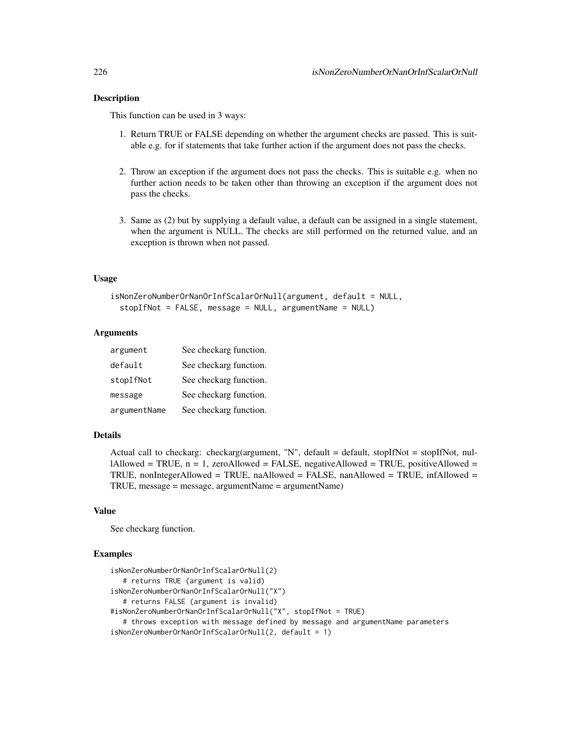## Description

This function can be used in 3 ways:

- 1. Return TRUE or FALSE depending on whether the argument checks are passed. This is suitable e.g. for if statements that take further action if the argument does not pass the checks.
- 2. Throw an exception if the argument does not pass the checks. This is suitable e.g. when no further action needs to be taken other than throwing an exception if the argument does not pass the checks.
- 3. Same as (2) but by supplying a default value, a default can be assigned in a single statement, when the argument is NULL. The checks are still performed on the returned value, and an exception is thrown when not passed.

### Usage

```
isNonZeroNumberOrNanOrInfScalarOrNull(argument, default = NULL,
  stopIfNot = FALSE, message = NULL, argumentName = NULL)
```
## Arguments

| argument     | See checkarg function. |
|--------------|------------------------|
| default      | See checkarg function. |
| stopIfNot    | See checkarg function. |
| message      | See checkarg function. |
| argumentName | See checkarg function. |

## Details

Actual call to checkarg: checkarg(argument, "N", default = default, stopIfNot = stopIfNot, nullAllowed = TRUE,  $n = 1$ , zeroAllowed = FALSE, negativeAllowed = TRUE, positiveAllowed = TRUE, nonIntegerAllowed = TRUE, naAllowed = FALSE, nanAllowed = TRUE, infAllowed = TRUE, message = message, argumentName = argumentName)

## Value

See checkarg function.

## Examples

```
isNonZeroNumberOrNanOrInfScalarOrNull(2)
   # returns TRUE (argument is valid)
isNonZeroNumberOrNanOrInfScalarOrNull("X")
   # returns FALSE (argument is invalid)
#isNonZeroNumberOrNanOrInfScalarOrNull("X", stopIfNot = TRUE)
   # throws exception with message defined by message and argumentName parameters
isNonZeroNumberOrNanOrInfScalarOrNull(2, default = 1)
```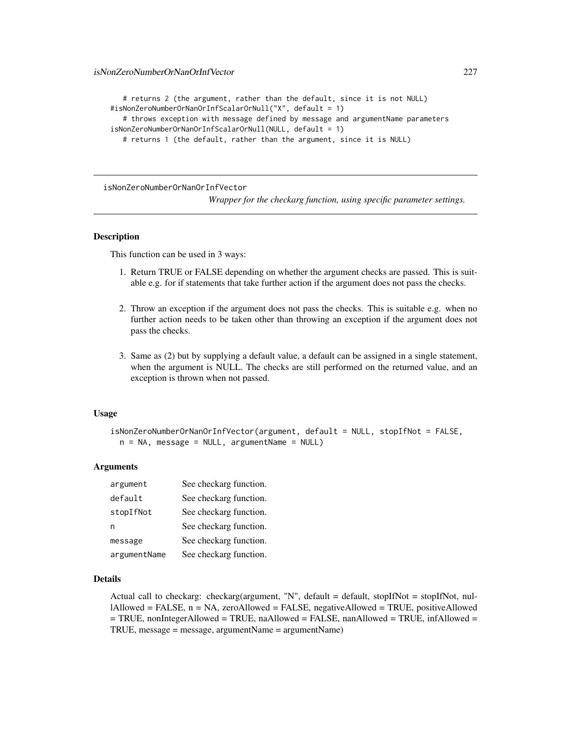# returns 2 (the argument, rather than the default, since it is not NULL) #isNonZeroNumberOrNanOrInfScalarOrNull("X", default = 1) # throws exception with message defined by message and argumentName parameters isNonZeroNumberOrNanOrInfScalarOrNull(NULL, default = 1) # returns 1 (the default, rather than the argument, since it is NULL)

isNonZeroNumberOrNanOrInfVector

*Wrapper for the checkarg function, using specific parameter settings.*

# Description

This function can be used in 3 ways:

- 1. Return TRUE or FALSE depending on whether the argument checks are passed. This is suitable e.g. for if statements that take further action if the argument does not pass the checks.
- 2. Throw an exception if the argument does not pass the checks. This is suitable e.g. when no further action needs to be taken other than throwing an exception if the argument does not pass the checks.
- 3. Same as (2) but by supplying a default value, a default can be assigned in a single statement, when the argument is NULL. The checks are still performed on the returned value, and an exception is thrown when not passed.

### Usage

isNonZeroNumberOrNanOrInfVector(argument, default = NULL, stopIfNot = FALSE,  $n = NA$ , message = NULL, argumentName = NULL)

## Arguments

| argument     | See checkarg function. |
|--------------|------------------------|
| default      | See checkarg function. |
| stopIfNot    | See checkarg function. |
| n            | See checkarg function. |
| message      | See checkarg function. |
| argumentName | See checkarg function. |

### Details

Actual call to checkarg: checkarg(argument, "N", default = default, stopIfNot = stopIfNot, nullAllowed = FALSE, n = NA, zeroAllowed = FALSE, negativeAllowed = TRUE, positiveAllowed  $=$  TRUE, nonIntegerAllowed = TRUE, naAllowed = FALSE, nanAllowed = TRUE, infAllowed = TRUE, message = message, argumentName = argumentName)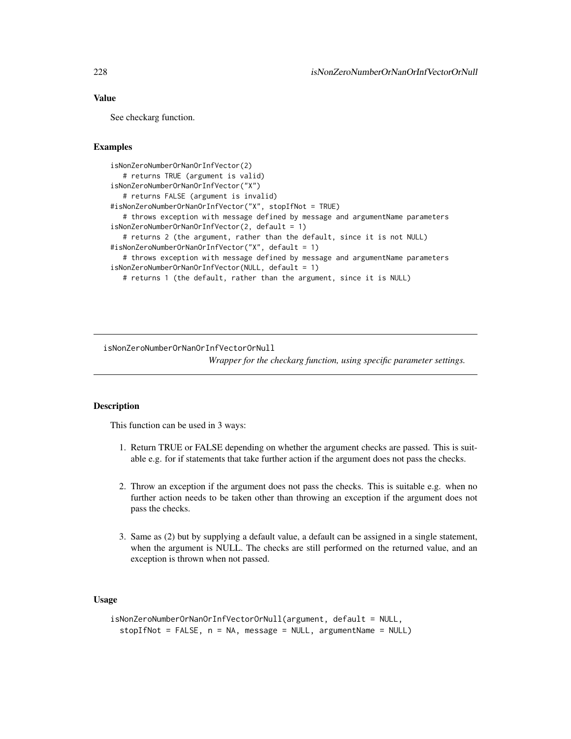# Value

See checkarg function.

## Examples

```
isNonZeroNumberOrNanOrInfVector(2)
  # returns TRUE (argument is valid)
isNonZeroNumberOrNanOrInfVector("X")
  # returns FALSE (argument is invalid)
#isNonZeroNumberOrNanOrInfVector("X", stopIfNot = TRUE)
  # throws exception with message defined by message and argumentName parameters
isNonZeroNumberOrNanOrInfVector(2, default = 1)
  # returns 2 (the argument, rather than the default, since it is not NULL)
#isNonZeroNumberOrNanOrInfVector("X", default = 1)
  # throws exception with message defined by message and argumentName parameters
isNonZeroNumberOrNanOrInfVector(NULL, default = 1)
  # returns 1 (the default, rather than the argument, since it is NULL)
```
isNonZeroNumberOrNanOrInfVectorOrNull

*Wrapper for the checkarg function, using specific parameter settings.*

### Description

This function can be used in 3 ways:

- 1. Return TRUE or FALSE depending on whether the argument checks are passed. This is suitable e.g. for if statements that take further action if the argument does not pass the checks.
- 2. Throw an exception if the argument does not pass the checks. This is suitable e.g. when no further action needs to be taken other than throwing an exception if the argument does not pass the checks.
- 3. Same as (2) but by supplying a default value, a default can be assigned in a single statement, when the argument is NULL. The checks are still performed on the returned value, and an exception is thrown when not passed.

# Usage

```
isNonZeroNumberOrNanOrInfVectorOrNull(argument, default = NULL,
 stopIfNot = FALSE, n = NA, message = NULL, argumentName = NULL)
```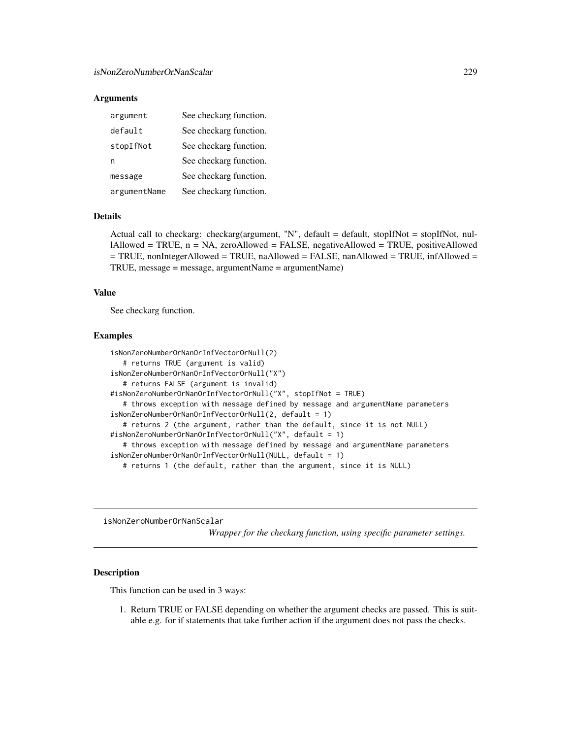### **Arguments**

| argument     | See checkarg function. |
|--------------|------------------------|
| default      | See checkarg function. |
| stopIfNot    | See checkarg function. |
| n            | See checkarg function. |
| message      | See checkarg function. |
| argumentName | See checkarg function. |

### Details

Actual call to checkarg: checkarg(argument, "N", default = default, stopIfNot = stopIfNot, nullAllowed = TRUE, n = NA, zeroAllowed = FALSE, negativeAllowed = TRUE, positiveAllowed = TRUE, nonIntegerAllowed = TRUE, naAllowed = FALSE, nanAllowed = TRUE, infAllowed = TRUE, message = message, argumentName = argumentName)

### Value

See checkarg function.

### Examples

```
isNonZeroNumberOrNanOrInfVectorOrNull(2)
   # returns TRUE (argument is valid)
isNonZeroNumberOrNanOrInfVectorOrNull("X")
   # returns FALSE (argument is invalid)
#isNonZeroNumberOrNanOrInfVectorOrNull("X", stopIfNot = TRUE)
   # throws exception with message defined by message and argumentName parameters
isNonZeroNumberOrNanOrInfVectorOrNull(2, default = 1)
   # returns 2 (the argument, rather than the default, since it is not NULL)
#isNonZeroNumberOrNanOrInfVectorOrNull("X", default = 1)
   # throws exception with message defined by message and argumentName parameters
isNonZeroNumberOrNanOrInfVectorOrNull(NULL, default = 1)
  # returns 1 (the default, rather than the argument, since it is NULL)
```
isNonZeroNumberOrNanScalar

*Wrapper for the checkarg function, using specific parameter settings.*

## Description

This function can be used in 3 ways:

1. Return TRUE or FALSE depending on whether the argument checks are passed. This is suitable e.g. for if statements that take further action if the argument does not pass the checks.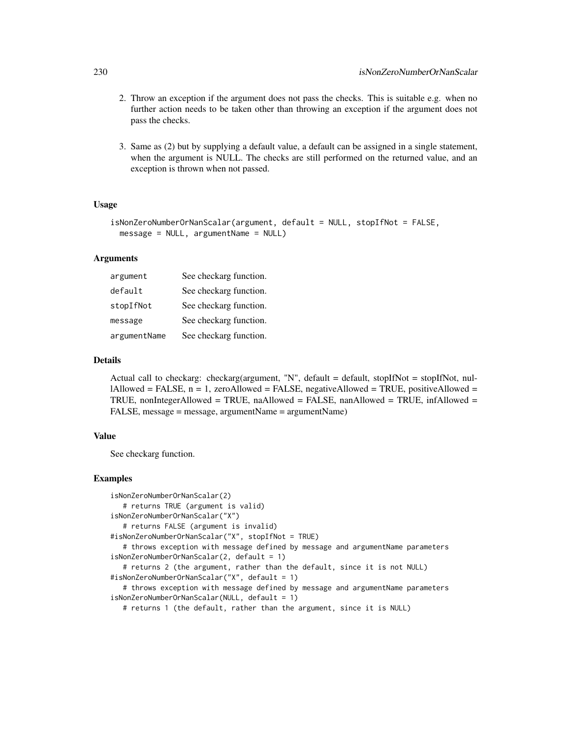- 2. Throw an exception if the argument does not pass the checks. This is suitable e.g. when no further action needs to be taken other than throwing an exception if the argument does not pass the checks.
- 3. Same as (2) but by supplying a default value, a default can be assigned in a single statement, when the argument is NULL. The checks are still performed on the returned value, and an exception is thrown when not passed.

# Usage

```
isNonZeroNumberOrNanScalar(argument, default = NULL, stopIfNot = FALSE,
 message = NULL, argumentName = NULL)
```
### Arguments

| argument     | See checkarg function. |
|--------------|------------------------|
| default      | See checkarg function. |
| stopIfNot    | See checkarg function. |
| message      | See checkarg function. |
| argumentName | See checkarg function. |

## Details

Actual call to checkarg: checkarg(argument, "N", default = default, stopIfNot = stopIfNot, nullAllowed = FALSE,  $n = 1$ , zeroAllowed = FALSE, negativeAllowed = TRUE, positiveAllowed = TRUE, nonIntegerAllowed = TRUE, naAllowed = FALSE, nanAllowed = TRUE, infAllowed = FALSE, message = message, argumentName = argumentName)

# Value

See checkarg function.

# Examples

```
isNonZeroNumberOrNanScalar(2)
   # returns TRUE (argument is valid)
isNonZeroNumberOrNanScalar("X")
   # returns FALSE (argument is invalid)
#isNonZeroNumberOrNanScalar("X", stopIfNot = TRUE)
   # throws exception with message defined by message and argumentName parameters
isNonZeroNumberOrNanScalar(2, default = 1)
   # returns 2 (the argument, rather than the default, since it is not NULL)
#isNonZeroNumberOrNanScalar("X", default = 1)
   # throws exception with message defined by message and argumentName parameters
isNonZeroNumberOrNanScalar(NULL, default = 1)
   # returns 1 (the default, rather than the argument, since it is NULL)
```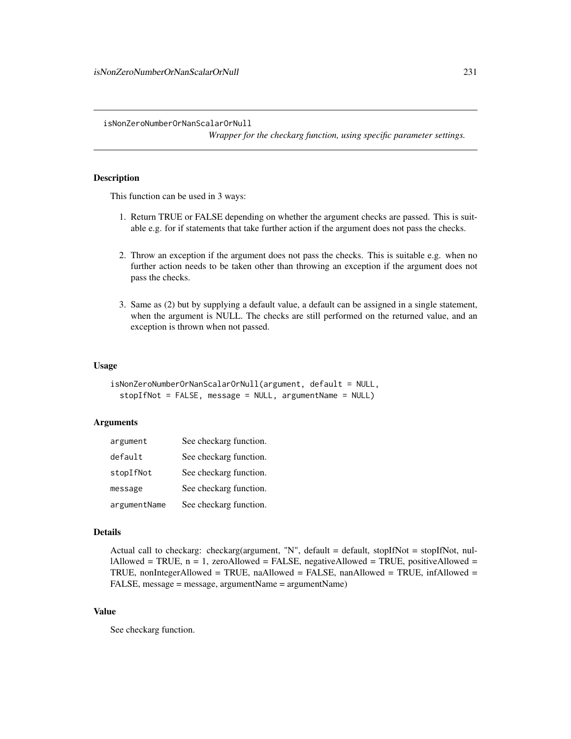isNonZeroNumberOrNanScalarOrNull

*Wrapper for the checkarg function, using specific parameter settings.*

## Description

This function can be used in 3 ways:

- 1. Return TRUE or FALSE depending on whether the argument checks are passed. This is suitable e.g. for if statements that take further action if the argument does not pass the checks.
- 2. Throw an exception if the argument does not pass the checks. This is suitable e.g. when no further action needs to be taken other than throwing an exception if the argument does not pass the checks.
- 3. Same as (2) but by supplying a default value, a default can be assigned in a single statement, when the argument is NULL. The checks are still performed on the returned value, and an exception is thrown when not passed.

### Usage

```
isNonZeroNumberOrNanScalarOrNull(argument, default = NULL,
 stopIfNot = FALSE, message = NULL, argumentName = NULL)
```
## **Arguments**

| argument     | See checkarg function. |
|--------------|------------------------|
| default      | See checkarg function. |
| stopIfNot    | See checkarg function. |
| message      | See checkarg function. |
| argumentName | See checkarg function. |

### Details

Actual call to checkarg: checkarg(argument, "N", default = default, stopIfNot = stopIfNot, nullAllowed = TRUE,  $n = 1$ , zeroAllowed = FALSE, negativeAllowed = TRUE, positiveAllowed = TRUE, nonIntegerAllowed = TRUE, naAllowed = FALSE, nanAllowed = TRUE, infAllowed = FALSE, message = message, argumentName = argumentName)

# Value

See checkarg function.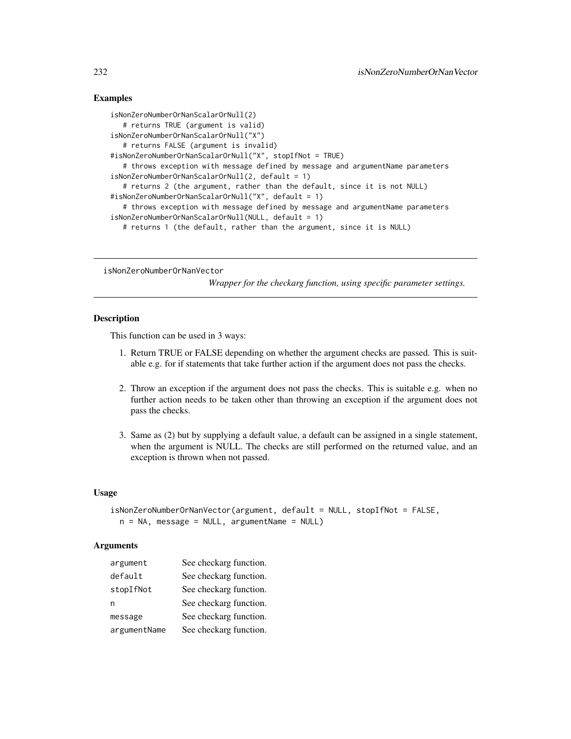# Examples

```
isNonZeroNumberOrNanScalarOrNull(2)
  # returns TRUE (argument is valid)
isNonZeroNumberOrNanScalarOrNull("X")
  # returns FALSE (argument is invalid)
#isNonZeroNumberOrNanScalarOrNull("X", stopIfNot = TRUE)
  # throws exception with message defined by message and argumentName parameters
isNonZeroNumberOrNanScalarOrNull(2, default = 1)
  # returns 2 (the argument, rather than the default, since it is not NULL)
#isNonZeroNumberOrNanScalarOrNull("X", default = 1)
  # throws exception with message defined by message and argumentName parameters
isNonZeroNumberOrNanScalarOrNull(NULL, default = 1)
  # returns 1 (the default, rather than the argument, since it is NULL)
```
isNonZeroNumberOrNanVector

*Wrapper for the checkarg function, using specific parameter settings.*

# **Description**

This function can be used in 3 ways:

- 1. Return TRUE or FALSE depending on whether the argument checks are passed. This is suitable e.g. for if statements that take further action if the argument does not pass the checks.
- 2. Throw an exception if the argument does not pass the checks. This is suitable e.g. when no further action needs to be taken other than throwing an exception if the argument does not pass the checks.
- 3. Same as (2) but by supplying a default value, a default can be assigned in a single statement, when the argument is NULL. The checks are still performed on the returned value, and an exception is thrown when not passed.

## Usage

```
isNonZeroNumberOrNanVector(argument, default = NULL, stopIfNot = FALSE,
 n = NA, message = NULL, argumentName = NULL)
```
## **Arguments**

| argument     | See checkarg function. |
|--------------|------------------------|
| default      | See checkarg function. |
| stopIfNot    | See checkarg function. |
| n            | See checkarg function. |
| message      | See checkarg function. |
| argumentName | See checkarg function. |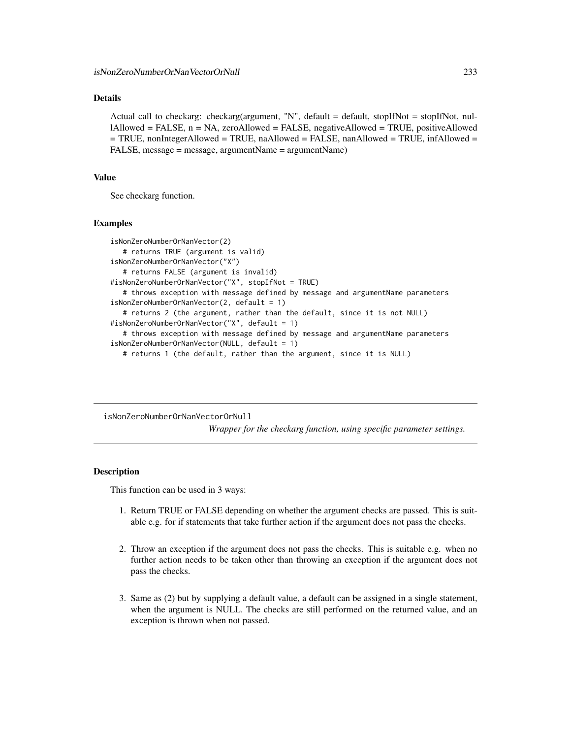# Details

Actual call to checkarg: checkarg(argument, "N", default = default, stopIfNot = stopIfNot, nullAllowed = FALSE, n = NA, zeroAllowed = FALSE, negativeAllowed = TRUE, positiveAllowed = TRUE, nonIntegerAllowed = TRUE, naAllowed = FALSE, nanAllowed = TRUE, infAllowed = FALSE, message = message, argumentName = argumentName)

### Value

See checkarg function.

### Examples

```
isNonZeroNumberOrNanVector(2)
  # returns TRUE (argument is valid)
isNonZeroNumberOrNanVector("X")
  # returns FALSE (argument is invalid)
#isNonZeroNumberOrNanVector("X", stopIfNot = TRUE)
  # throws exception with message defined by message and argumentName parameters
isNonZeroNumberOrNanVector(2, default = 1)
  # returns 2 (the argument, rather than the default, since it is not NULL)
#isNonZeroNumberOrNanVector("X", default = 1)
  # throws exception with message defined by message and argumentName parameters
isNonZeroNumberOrNanVector(NULL, default = 1)
  # returns 1 (the default, rather than the argument, since it is NULL)
```
isNonZeroNumberOrNanVectorOrNull *Wrapper for the checkarg function, using specific parameter settings.*

## Description

This function can be used in 3 ways:

- 1. Return TRUE or FALSE depending on whether the argument checks are passed. This is suitable e.g. for if statements that take further action if the argument does not pass the checks.
- 2. Throw an exception if the argument does not pass the checks. This is suitable e.g. when no further action needs to be taken other than throwing an exception if the argument does not pass the checks.
- 3. Same as (2) but by supplying a default value, a default can be assigned in a single statement, when the argument is NULL. The checks are still performed on the returned value, and an exception is thrown when not passed.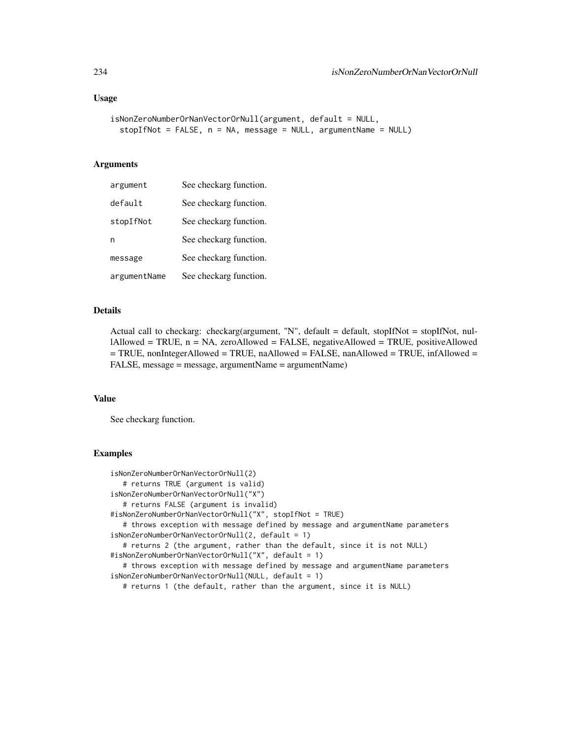```
isNonZeroNumberOrNanVectorOrNull(argument, default = NULL,
  stopIfNot = FALSE, n = NA, message = NULL, argumentName = NULL)
```
## Arguments

| argument     | See checkarg function. |
|--------------|------------------------|
| default      | See checkarg function. |
| stopIfNot    | See checkarg function. |
| n            | See checkarg function. |
| message      | See checkarg function. |
| argumentName | See checkarg function. |

### Details

Actual call to checkarg: checkarg(argument, "N", default = default, stopIfNot = stopIfNot, nullAllowed = TRUE,  $n = NA$ , zeroAllowed = FALSE, negativeAllowed = TRUE, positiveAllowed  $=$  TRUE, nonIntegerAllowed  $=$  TRUE, naAllowed  $=$  FALSE, nanAllowed  $=$  TRUE, infAllowed  $=$ FALSE, message = message, argumentName = argumentName)

### Value

See checkarg function.

### Examples

```
isNonZeroNumberOrNanVectorOrNull(2)
  # returns TRUE (argument is valid)
isNonZeroNumberOrNanVectorOrNull("X")
  # returns FALSE (argument is invalid)
#isNonZeroNumberOrNanVectorOrNull("X", stopIfNot = TRUE)
   # throws exception with message defined by message and argumentName parameters
isNonZeroNumberOrNanVectorOrNull(2, default = 1)
   # returns 2 (the argument, rather than the default, since it is not NULL)
#isNonZeroNumberOrNanVectorOrNull("X", default = 1)
   # throws exception with message defined by message and argumentName parameters
isNonZeroNumberOrNanVectorOrNull(NULL, default = 1)
```
# returns 1 (the default, rather than the argument, since it is NULL)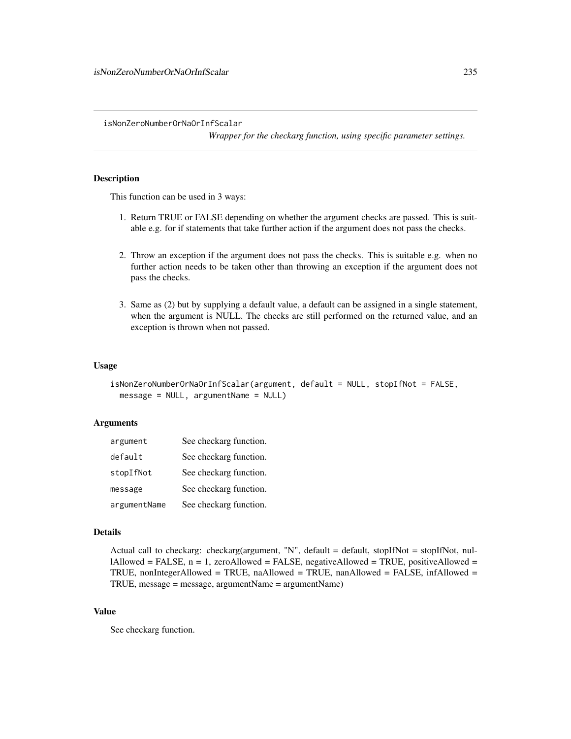isNonZeroNumberOrNaOrInfScalar

*Wrapper for the checkarg function, using specific parameter settings.*

## Description

This function can be used in 3 ways:

- 1. Return TRUE or FALSE depending on whether the argument checks are passed. This is suitable e.g. for if statements that take further action if the argument does not pass the checks.
- 2. Throw an exception if the argument does not pass the checks. This is suitable e.g. when no further action needs to be taken other than throwing an exception if the argument does not pass the checks.
- 3. Same as (2) but by supplying a default value, a default can be assigned in a single statement, when the argument is NULL. The checks are still performed on the returned value, and an exception is thrown when not passed.

### Usage

```
isNonZeroNumberOrNaOrInfScalar(argument, default = NULL, stopIfNot = FALSE,
 message = NULL, argumentName = NULL)
```
## **Arguments**

| argument     | See checkarg function. |
|--------------|------------------------|
| default      | See checkarg function. |
| stopIfNot    | See checkarg function. |
| message      | See checkarg function. |
| argumentName | See checkarg function. |

### Details

```
Actual call to checkarg: checkarg(argument, "N", default = default, stopIfNot = stopIfNot, nul-
lAllowed = FALSE, n = 1, zeroAllowed = FALSE, negativeAllowed = TRUE, positiveAllowed =
TRUE, nonIntegerAllowed = TRUE, naAllowed = TRUE, nanAllowed = FALSE, infAllowed =
TRUE, message = message, argumentName = argumentName)
```
# Value

See checkarg function.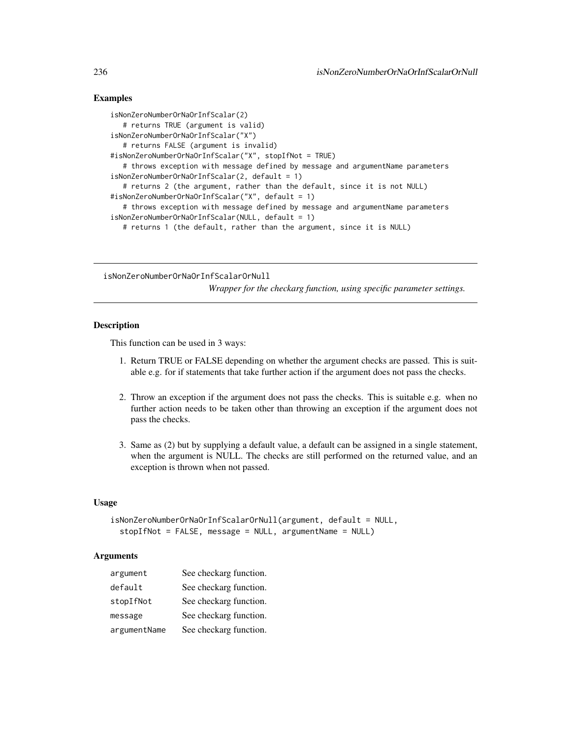# Examples

```
isNonZeroNumberOrNaOrInfScalar(2)
   # returns TRUE (argument is valid)
isNonZeroNumberOrNaOrInfScalar("X")
   # returns FALSE (argument is invalid)
#isNonZeroNumberOrNaOrInfScalar("X", stopIfNot = TRUE)
   # throws exception with message defined by message and argumentName parameters
isNonZeroNumberOrNaOrInfScalar(2, default = 1)
   # returns 2 (the argument, rather than the default, since it is not NULL)
#isNonZeroNumberOrNaOrInfScalar("X", default = 1)
   # throws exception with message defined by message and argumentName parameters
isNonZeroNumberOrNaOrInfScalar(NULL, default = 1)
   # returns 1 (the default, rather than the argument, since it is NULL)
```
isNonZeroNumberOrNaOrInfScalarOrNull *Wrapper for the checkarg function, using specific parameter settings.*

## **Description**

This function can be used in 3 ways:

- 1. Return TRUE or FALSE depending on whether the argument checks are passed. This is suitable e.g. for if statements that take further action if the argument does not pass the checks.
- 2. Throw an exception if the argument does not pass the checks. This is suitable e.g. when no further action needs to be taken other than throwing an exception if the argument does not pass the checks.
- 3. Same as (2) but by supplying a default value, a default can be assigned in a single statement, when the argument is NULL. The checks are still performed on the returned value, and an exception is thrown when not passed.

## Usage

```
isNonZeroNumberOrNaOrInfScalarOrNull(argument, default = NULL,
 stopIfNot = FALSE, message = NULL, argumentName = NULL)
```
### **Arguments**

| argument     | See checkarg function. |
|--------------|------------------------|
| default      | See checkarg function. |
| stopIfNot    | See checkarg function. |
| message      | See checkarg function. |
| argumentName | See checkarg function. |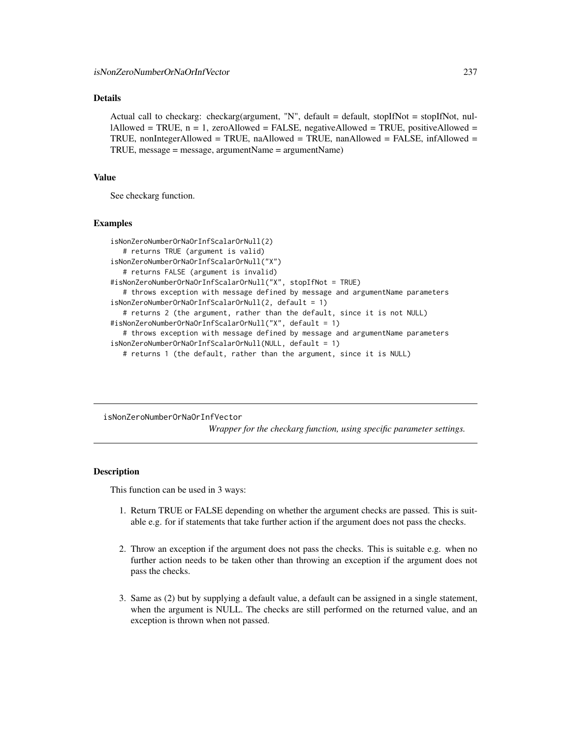# Details

Actual call to checkarg: checkarg(argument, "N", default = default, stopIfNot = stopIfNot, nul- $\text{l}$ Allowed = TRUE, n = 1, zeroAllowed = FALSE, negativeAllowed = TRUE, positiveAllowed = TRUE, nonIntegerAllowed = TRUE, naAllowed = TRUE, nanAllowed = FALSE, infAllowed = TRUE, message = message, argumentName = argumentName)

### Value

See checkarg function.

### Examples

```
isNonZeroNumberOrNaOrInfScalarOrNull(2)
  # returns TRUE (argument is valid)
isNonZeroNumberOrNaOrInfScalarOrNull("X")
  # returns FALSE (argument is invalid)
#isNonZeroNumberOrNaOrInfScalarOrNull("X", stopIfNot = TRUE)
  # throws exception with message defined by message and argumentName parameters
isNonZeroNumberOrNaOrInfScalarOrNull(2, default = 1)
  # returns 2 (the argument, rather than the default, since it is not NULL)
#isNonZeroNumberOrNaOrInfScalarOrNull("X", default = 1)
  # throws exception with message defined by message and argumentName parameters
isNonZeroNumberOrNaOrInfScalarOrNull(NULL, default = 1)
  # returns 1 (the default, rather than the argument, since it is NULL)
```
isNonZeroNumberOrNaOrInfVector

*Wrapper for the checkarg function, using specific parameter settings.*

# Description

This function can be used in 3 ways:

- 1. Return TRUE or FALSE depending on whether the argument checks are passed. This is suitable e.g. for if statements that take further action if the argument does not pass the checks.
- 2. Throw an exception if the argument does not pass the checks. This is suitable e.g. when no further action needs to be taken other than throwing an exception if the argument does not pass the checks.
- 3. Same as (2) but by supplying a default value, a default can be assigned in a single statement, when the argument is NULL. The checks are still performed on the returned value, and an exception is thrown when not passed.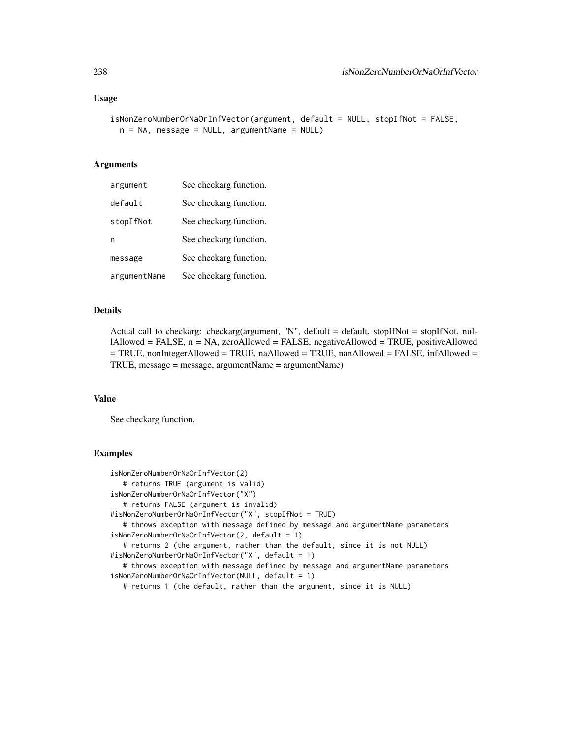```
isNonZeroNumberOrNaOrInfVector(argument, default = NULL, stopIfNot = FALSE,
 n = NA, message = NULL, argumentName = NULL)
```
## Arguments

| argument     | See checkarg function. |
|--------------|------------------------|
| default      | See checkarg function. |
| stopIfNot    | See checkarg function. |
| n            | See checkarg function. |
| message      | See checkarg function. |
| argumentName | See checkarg function. |

## Details

Actual call to checkarg: checkarg(argument, "N", default = default, stopIfNot = stopIfNot, nullAllowed = FALSE, n = NA, zeroAllowed = FALSE, negativeAllowed = TRUE, positiveAllowed  $=$  TRUE, nonIntegerAllowed  $=$  TRUE, naAllowed  $=$  TRUE, nanAllowed  $=$  FALSE, infAllowed  $=$ TRUE, message = message, argumentName = argumentName)

### Value

See checkarg function.

### Examples

```
isNonZeroNumberOrNaOrInfVector(2)
  # returns TRUE (argument is valid)
isNonZeroNumberOrNaOrInfVector("X")
  # returns FALSE (argument is invalid)
#isNonZeroNumberOrNaOrInfVector("X", stopIfNot = TRUE)
   # throws exception with message defined by message and argumentName parameters
isNonZeroNumberOrNaOrInfVector(2, default = 1)
   # returns 2 (the argument, rather than the default, since it is not NULL)
#isNonZeroNumberOrNaOrInfVector("X", default = 1)
   # throws exception with message defined by message and argumentName parameters
isNonZeroNumberOrNaOrInfVector(NULL, default = 1)
```
# returns 1 (the default, rather than the argument, since it is NULL)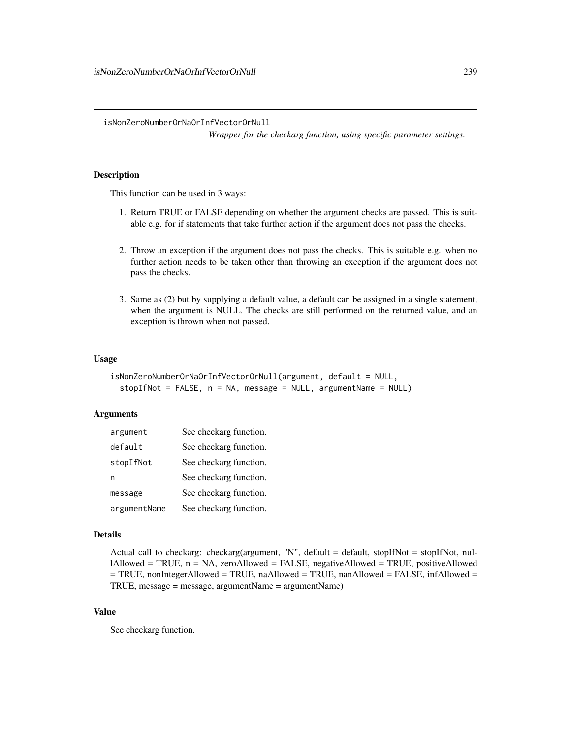isNonZeroNumberOrNaOrInfVectorOrNull

*Wrapper for the checkarg function, using specific parameter settings.*

# **Description**

This function can be used in 3 ways:

- 1. Return TRUE or FALSE depending on whether the argument checks are passed. This is suitable e.g. for if statements that take further action if the argument does not pass the checks.
- 2. Throw an exception if the argument does not pass the checks. This is suitable e.g. when no further action needs to be taken other than throwing an exception if the argument does not pass the checks.
- 3. Same as (2) but by supplying a default value, a default can be assigned in a single statement, when the argument is NULL. The checks are still performed on the returned value, and an exception is thrown when not passed.

# Usage

```
isNonZeroNumberOrNaOrInfVectorOrNull(argument, default = NULL,
 stopIfNot = FALSE, n = NA, message = NULL, argumentName = NULL)
```
# Arguments

| argument     | See checkarg function. |
|--------------|------------------------|
| default      | See checkarg function. |
| stopIfNot    | See checkarg function. |
| n            | See checkarg function. |
| message      | See checkarg function. |
| argumentName | See checkarg function. |

### Details

Actual call to checkarg: checkarg(argument, "N", default = default, stopIfNot = stopIfNot, nullAllowed = TRUE, n = NA, zeroAllowed = FALSE, negativeAllowed = TRUE, positiveAllowed = TRUE, nonIntegerAllowed = TRUE, naAllowed = TRUE, nanAllowed = FALSE, infAllowed = TRUE, message = message, argumentName = argumentName)

# Value

See checkarg function.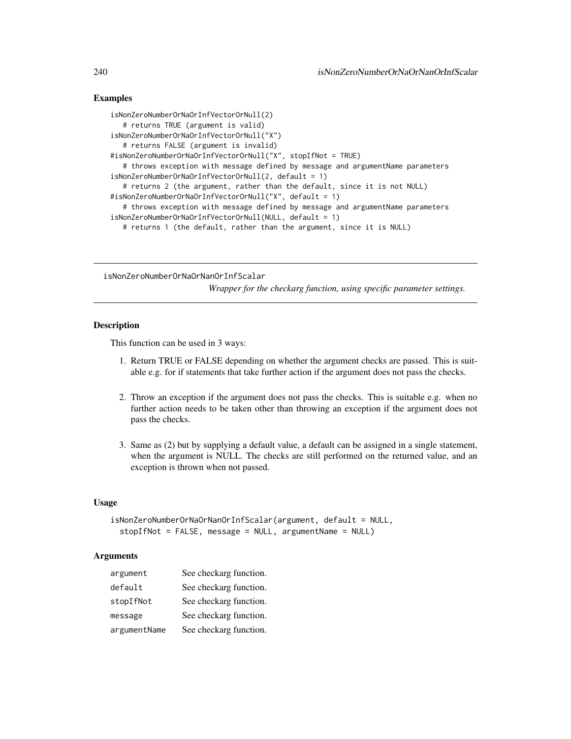## Examples

```
isNonZeroNumberOrNaOrInfVectorOrNull(2)
   # returns TRUE (argument is valid)
isNonZeroNumberOrNaOrInfVectorOrNull("X")
   # returns FALSE (argument is invalid)
#isNonZeroNumberOrNaOrInfVectorOrNull("X", stopIfNot = TRUE)
   # throws exception with message defined by message and argumentName parameters
isNonZeroNumberOrNaOrInfVectorOrNull(2, default = 1)
   # returns 2 (the argument, rather than the default, since it is not NULL)
#isNonZeroNumberOrNaOrInfVectorOrNull("X", default = 1)
   # throws exception with message defined by message and argumentName parameters
isNonZeroNumberOrNaOrInfVectorOrNull(NULL, default = 1)
   # returns 1 (the default, rather than the argument, since it is NULL)
```
isNonZeroNumberOrNaOrNanOrInfScalar *Wrapper for the checkarg function, using specific parameter settings.*

### **Description**

This function can be used in 3 ways:

- 1. Return TRUE or FALSE depending on whether the argument checks are passed. This is suitable e.g. for if statements that take further action if the argument does not pass the checks.
- 2. Throw an exception if the argument does not pass the checks. This is suitable e.g. when no further action needs to be taken other than throwing an exception if the argument does not pass the checks.
- 3. Same as (2) but by supplying a default value, a default can be assigned in a single statement, when the argument is NULL. The checks are still performed on the returned value, and an exception is thrown when not passed.

## Usage

```
isNonZeroNumberOrNaOrNanOrInfScalar(argument, default = NULL,
 stopIfNot = FALSE, message = NULL, argumentName = NULL)
```
### **Arguments**

| argument     | See checkarg function. |
|--------------|------------------------|
| default      | See checkarg function. |
| stopIfNot    | See checkarg function. |
| message      | See checkarg function. |
| argumentName | See checkarg function. |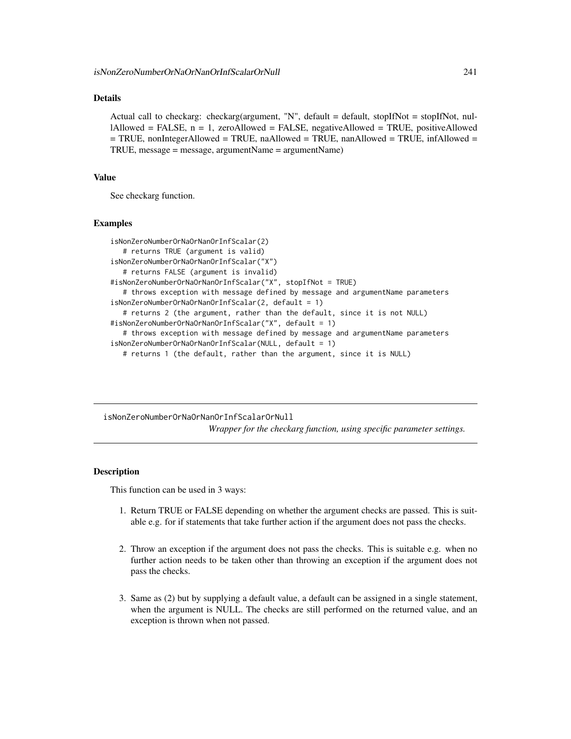# Details

Actual call to checkarg: checkarg(argument, "N", default = default, stopIfNot = stopIfNot, nullAllowed = FALSE, n = 1, zeroAllowed = FALSE, negativeAllowed = TRUE, positiveAllowed = TRUE, nonIntegerAllowed = TRUE, naAllowed = TRUE, nanAllowed = TRUE, infAllowed = TRUE, message = message, argumentName = argumentName)

### Value

See checkarg function.

### Examples

```
isNonZeroNumberOrNaOrNanOrInfScalar(2)
  # returns TRUE (argument is valid)
isNonZeroNumberOrNaOrNanOrInfScalar("X")
  # returns FALSE (argument is invalid)
#isNonZeroNumberOrNaOrNanOrInfScalar("X", stopIfNot = TRUE)
  # throws exception with message defined by message and argumentName parameters
isNonZeroNumberOrNaOrNanOrInfScalar(2, default = 1)
  # returns 2 (the argument, rather than the default, since it is not NULL)
#isNonZeroNumberOrNaOrNanOrInfScalar("X", default = 1)
  # throws exception with message defined by message and argumentName parameters
isNonZeroNumberOrNaOrNanOrInfScalar(NULL, default = 1)
  # returns 1 (the default, rather than the argument, since it is NULL)
```
isNonZeroNumberOrNaOrNanOrInfScalarOrNull *Wrapper for the checkarg function, using specific parameter settings.*

## Description

This function can be used in 3 ways:

- 1. Return TRUE or FALSE depending on whether the argument checks are passed. This is suitable e.g. for if statements that take further action if the argument does not pass the checks.
- 2. Throw an exception if the argument does not pass the checks. This is suitable e.g. when no further action needs to be taken other than throwing an exception if the argument does not pass the checks.
- 3. Same as (2) but by supplying a default value, a default can be assigned in a single statement, when the argument is NULL. The checks are still performed on the returned value, and an exception is thrown when not passed.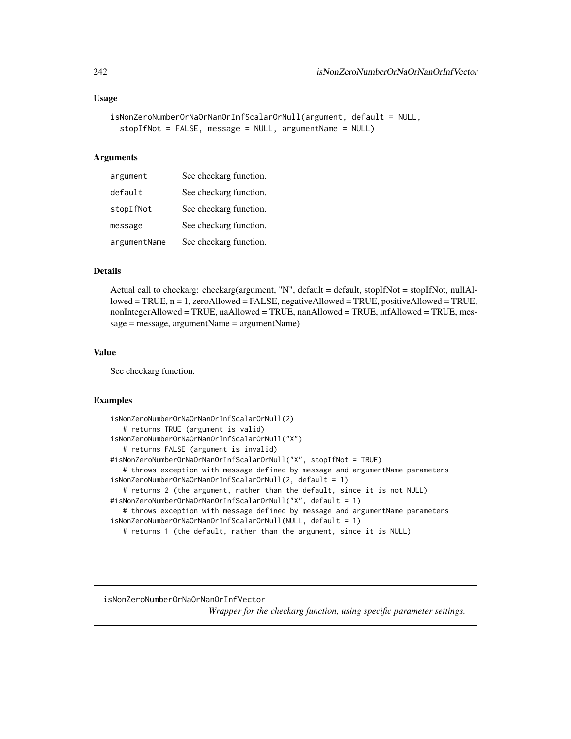### Usage

```
isNonZeroNumberOrNaOrNanOrInfScalarOrNull(argument, default = NULL,
 stopIfNot = FALSE, message = NULL, argumentName = NULL)
```
### Arguments

| argument     | See checkarg function. |
|--------------|------------------------|
| default      | See checkarg function. |
| stopIfNot    | See checkarg function. |
| message      | See checkarg function. |
| argumentName | See checkarg function. |

# Details

Actual call to checkarg: checkarg(argument, "N", default = default, stopIfNot = stopIfNot, nullAl $loved = TRUE, n = 1, zeroAlloved = FALSE, negativeAlloved = TRUE, positiveAlloved = TRUE,$ nonIntegerAllowed = TRUE, naAllowed = TRUE, nanAllowed = TRUE, infAllowed = TRUE, mes $sage = message, argumentName = argumentName)$ 

### Value

See checkarg function.

# Examples

```
isNonZeroNumberOrNaOrNanOrInfScalarOrNull(2)
   # returns TRUE (argument is valid)
isNonZeroNumberOrNaOrNanOrInfScalarOrNull("X")
   # returns FALSE (argument is invalid)
#isNonZeroNumberOrNaOrNanOrInfScalarOrNull("X", stopIfNot = TRUE)
   # throws exception with message defined by message and argumentName parameters
isNonZeroNumberOrNaOrNanOrInfScalarOrNull(2, default = 1)
   # returns 2 (the argument, rather than the default, since it is not NULL)
#isNonZeroNumberOrNaOrNanOrInfScalarOrNull("X", default = 1)
   # throws exception with message defined by message and argumentName parameters
isNonZeroNumberOrNaOrNanOrInfScalarOrNull(NULL, default = 1)
  # returns 1 (the default, rather than the argument, since it is NULL)
```
isNonZeroNumberOrNaOrNanOrInfVector

*Wrapper for the checkarg function, using specific parameter settings.*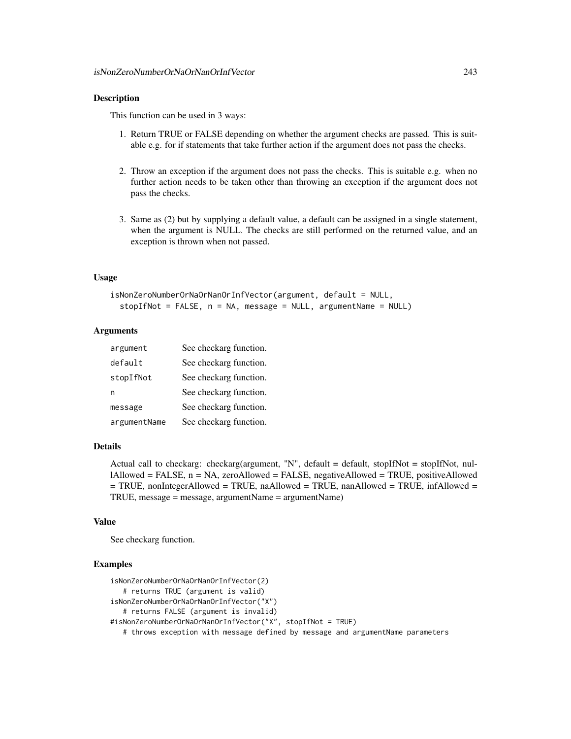### Description

This function can be used in 3 ways:

- 1. Return TRUE or FALSE depending on whether the argument checks are passed. This is suitable e.g. for if statements that take further action if the argument does not pass the checks.
- 2. Throw an exception if the argument does not pass the checks. This is suitable e.g. when no further action needs to be taken other than throwing an exception if the argument does not pass the checks.
- 3. Same as (2) but by supplying a default value, a default can be assigned in a single statement, when the argument is NULL. The checks are still performed on the returned value, and an exception is thrown when not passed.

### Usage

```
isNonZeroNumberOrNaOrNanOrInfVector(argument, default = NULL,
 stopIfNot = FALSE, n = NA, message = NULL, argumentName = NULL)
```
## **Arguments**

| argument     | See checkarg function. |
|--------------|------------------------|
| default      | See checkarg function. |
| stopIfNot    | See checkarg function. |
| n            | See checkarg function. |
| message      | See checkarg function. |
| argumentName | See checkarg function. |

## Details

Actual call to checkarg: checkarg(argument, "N", default = default, stopIfNot = stopIfNot, nul $l$ Allowed = FALSE,  $n$  = NA, zeroAllowed = FALSE, negativeAllowed = TRUE, positiveAllowed = TRUE, nonIntegerAllowed = TRUE, naAllowed = TRUE, nanAllowed = TRUE, infAllowed = TRUE, message = message, argumentName = argumentName)

### Value

See checkarg function.

### Examples

```
isNonZeroNumberOrNaOrNanOrInfVector(2)
  # returns TRUE (argument is valid)
isNonZeroNumberOrNaOrNanOrInfVector("X")
  # returns FALSE (argument is invalid)
#isNonZeroNumberOrNaOrNanOrInfVector("X", stopIfNot = TRUE)
  # throws exception with message defined by message and argumentName parameters
```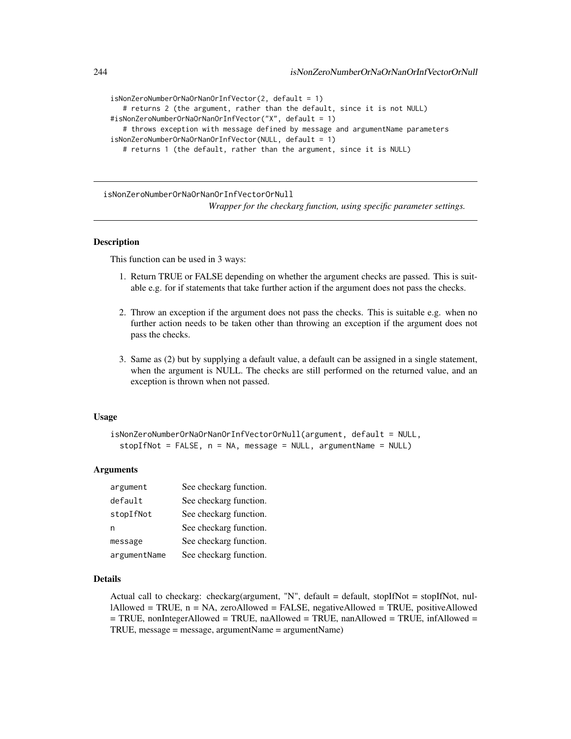```
isNonZeroNumberOrNaOrNanOrInfVector(2, default = 1)
   # returns 2 (the argument, rather than the default, since it is not NULL)
#isNonZeroNumberOrNaOrNanOrInfVector("X", default = 1)
   # throws exception with message defined by message and argumentName parameters
isNonZeroNumberOrNaOrNanOrInfVector(NULL, default = 1)
  # returns 1 (the default, rather than the argument, since it is NULL)
```
isNonZeroNumberOrNaOrNanOrInfVectorOrNull *Wrapper for the checkarg function, using specific parameter settings.*

## **Description**

This function can be used in 3 ways:

- 1. Return TRUE or FALSE depending on whether the argument checks are passed. This is suitable e.g. for if statements that take further action if the argument does not pass the checks.
- 2. Throw an exception if the argument does not pass the checks. This is suitable e.g. when no further action needs to be taken other than throwing an exception if the argument does not pass the checks.
- 3. Same as (2) but by supplying a default value, a default can be assigned in a single statement, when the argument is NULL. The checks are still performed on the returned value, and an exception is thrown when not passed.

### Usage

```
isNonZeroNumberOrNaOrNanOrInfVectorOrNull(argument, default = NULL,
 stopIfNot = FALSE, n = NA, message = NULL, argumentName = NULL)
```
### Arguments

| argument     | See checkarg function. |
|--------------|------------------------|
| default      | See checkarg function. |
| stopIfNot    | See checkarg function. |
| n            | See checkarg function. |
| message      | See checkarg function. |
| argumentName | See checkarg function. |

### Details

Actual call to checkarg: checkarg(argument, "N", default = default, stopIfNot = stopIfNot, nullAllowed = TRUE,  $n = NA$ , zeroAllowed = FALSE, negativeAllowed = TRUE, positiveAllowed  $=$  TRUE, nonIntegerAllowed = TRUE, naAllowed = TRUE, nanAllowed = TRUE, infAllowed = TRUE, message = message, argumentName = argumentName)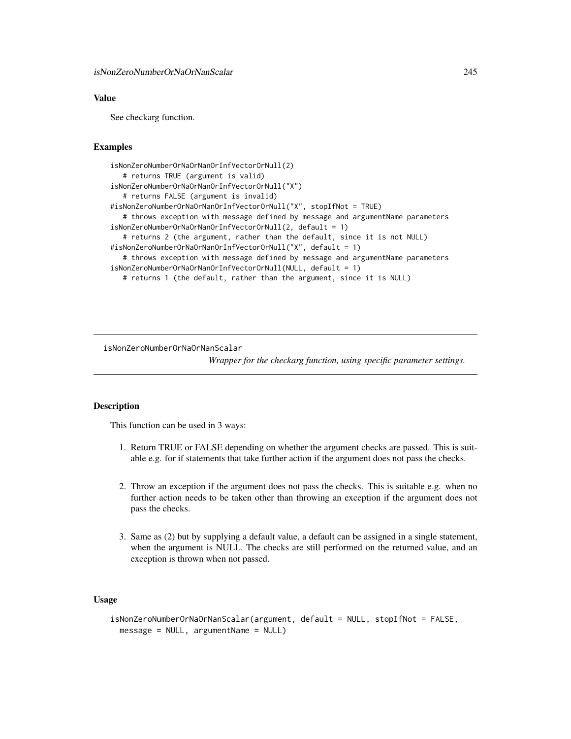# Value

See checkarg function.

# Examples

```
isNonZeroNumberOrNaOrNanOrInfVectorOrNull(2)
  # returns TRUE (argument is valid)
isNonZeroNumberOrNaOrNanOrInfVectorOrNull("X")
  # returns FALSE (argument is invalid)
#isNonZeroNumberOrNaOrNanOrInfVectorOrNull("X", stopIfNot = TRUE)
  # throws exception with message defined by message and argumentName parameters
isNonZeroNumberOrNaOrNanOrInfVectorOrNull(2, default = 1)
  # returns 2 (the argument, rather than the default, since it is not NULL)
#isNonZeroNumberOrNaOrNanOrInfVectorOrNull("X", default = 1)
  # throws exception with message defined by message and argumentName parameters
isNonZeroNumberOrNaOrNanOrInfVectorOrNull(NULL, default = 1)
  # returns 1 (the default, rather than the argument, since it is NULL)
```
isNonZeroNumberOrNaOrNanScalar

*Wrapper for the checkarg function, using specific parameter settings.*

# Description

This function can be used in 3 ways:

- 1. Return TRUE or FALSE depending on whether the argument checks are passed. This is suitable e.g. for if statements that take further action if the argument does not pass the checks.
- 2. Throw an exception if the argument does not pass the checks. This is suitable e.g. when no further action needs to be taken other than throwing an exception if the argument does not pass the checks.
- 3. Same as (2) but by supplying a default value, a default can be assigned in a single statement, when the argument is NULL. The checks are still performed on the returned value, and an exception is thrown when not passed.

# Usage

```
isNonZeroNumberOrNaOrNanScalar(argument, default = NULL, stopIfNot = FALSE,
 message = NULL, argumentName = NULL)
```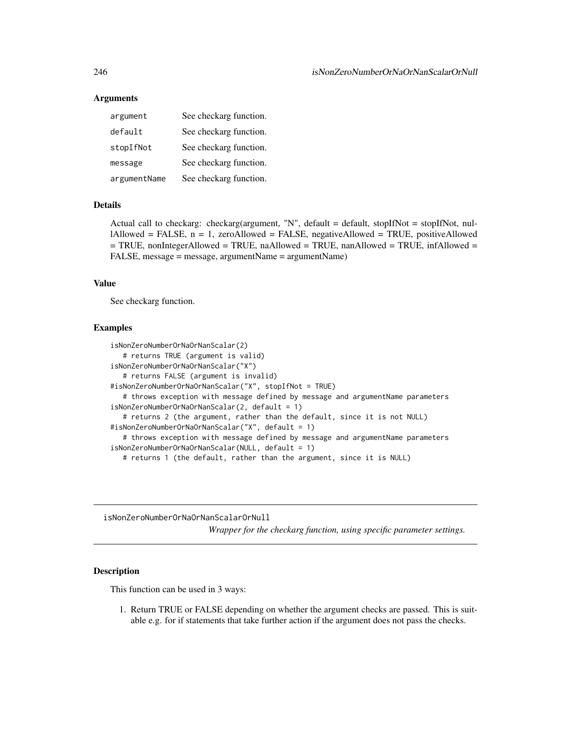## Arguments

| argument     | See checkarg function. |
|--------------|------------------------|
| default      | See checkarg function. |
| stopIfNot    | See checkarg function. |
| message      | See checkarg function. |
| argumentName | See checkarg function. |

# Details

Actual call to checkarg: checkarg(argument, "N", default = default, stopIfNot = stopIfNot, nullAllowed = FALSE, n = 1, zeroAllowed = FALSE, negativeAllowed = TRUE, positiveAllowed  $=$  TRUE, nonIntegerAllowed  $=$  TRUE, naAllowed  $=$  TRUE, nanAllowed  $=$  TRUE, infAllowed  $=$ FALSE, message = message, argumentName = argumentName)

# Value

See checkarg function.

# Examples

```
isNonZeroNumberOrNaOrNanScalar(2)
  # returns TRUE (argument is valid)
isNonZeroNumberOrNaOrNanScalar("X")
  # returns FALSE (argument is invalid)
#isNonZeroNumberOrNaOrNanScalar("X", stopIfNot = TRUE)
   # throws exception with message defined by message and argumentName parameters
isNonZeroNumberOrNaOrNanScalar(2, default = 1)
   # returns 2 (the argument, rather than the default, since it is not NULL)
#isNonZeroNumberOrNaOrNanScalar("X", default = 1)
   # throws exception with message defined by message and argumentName parameters
isNonZeroNumberOrNaOrNanScalar(NULL, default = 1)
   # returns 1 (the default, rather than the argument, since it is NULL)
```
isNonZeroNumberOrNaOrNanScalarOrNull

*Wrapper for the checkarg function, using specific parameter settings.*

## **Description**

This function can be used in 3 ways:

1. Return TRUE or FALSE depending on whether the argument checks are passed. This is suitable e.g. for if statements that take further action if the argument does not pass the checks.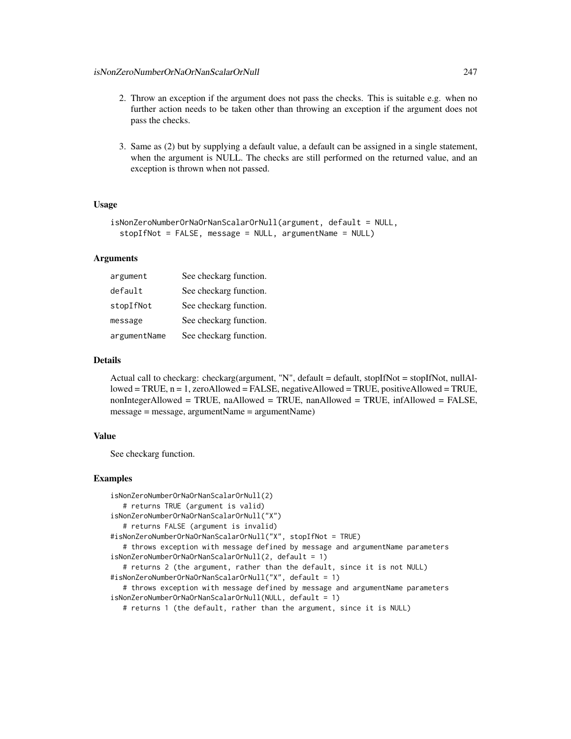- 2. Throw an exception if the argument does not pass the checks. This is suitable e.g. when no further action needs to be taken other than throwing an exception if the argument does not pass the checks.
- 3. Same as (2) but by supplying a default value, a default can be assigned in a single statement, when the argument is NULL. The checks are still performed on the returned value, and an exception is thrown when not passed.

# Usage

```
isNonZeroNumberOrNaOrNanScalarOrNull(argument, default = NULL,
  stopIfNot = FALSE, message = NULL, argumentName = NULL)
```
## Arguments

| argument     | See checkarg function. |
|--------------|------------------------|
| default      | See checkarg function. |
| stopIfNot    | See checkarg function. |
| message      | See checkarg function. |
| argumentName | See checkarg function. |

## Details

Actual call to checkarg: checkarg(argument, "N", default = default, stopIfNot = stopIfNot, nullAllowed = TRUE, n = 1, zeroAllowed = FALSE, negativeAllowed = TRUE, positiveAllowed = TRUE, nonIntegerAllowed = TRUE, naAllowed = TRUE, nanAllowed = TRUE, infAllowed = FALSE, message = message, argumentName = argumentName)

# Value

See checkarg function.

## Examples

```
isNonZeroNumberOrNaOrNanScalarOrNull(2)
   # returns TRUE (argument is valid)
isNonZeroNumberOrNaOrNanScalarOrNull("X")
   # returns FALSE (argument is invalid)
#isNonZeroNumberOrNaOrNanScalarOrNull("X", stopIfNot = TRUE)
   # throws exception with message defined by message and argumentName parameters
isNonZeroNumberOrNaOrNanScalarOrNull(2, default = 1)
   # returns 2 (the argument, rather than the default, since it is not NULL)
#isNonZeroNumberOrNaOrNanScalarOrNull("X", default = 1)
   # throws exception with message defined by message and argumentName parameters
isNonZeroNumberOrNaOrNanScalarOrNull(NULL, default = 1)
   # returns 1 (the default, rather than the argument, since it is NULL)
```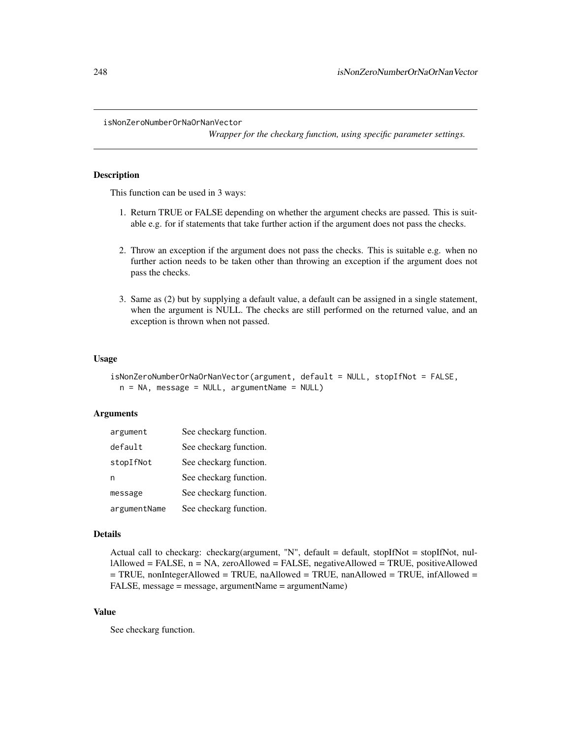*Wrapper for the checkarg function, using specific parameter settings.*

# Description

This function can be used in 3 ways:

- 1. Return TRUE or FALSE depending on whether the argument checks are passed. This is suitable e.g. for if statements that take further action if the argument does not pass the checks.
- 2. Throw an exception if the argument does not pass the checks. This is suitable e.g. when no further action needs to be taken other than throwing an exception if the argument does not pass the checks.
- 3. Same as (2) but by supplying a default value, a default can be assigned in a single statement, when the argument is NULL. The checks are still performed on the returned value, and an exception is thrown when not passed.

# Usage

```
isNonZeroNumberOrNaOrNanVector(argument, default = NULL, stopIfNot = FALSE,
 n = NA, message = NULL, argumentName = NULL)
```
## **Arguments**

| argument     | See checkarg function. |
|--------------|------------------------|
| default      | See checkarg function. |
| stopIfNot    | See checkarg function. |
| n            | See checkarg function. |
| message      | See checkarg function. |
| argumentName | See checkarg function. |

### Details

Actual call to checkarg: checkarg(argument, "N", default = default, stopIfNot = stopIfNot, nullAllowed = FALSE, n = NA, zeroAllowed = FALSE, negativeAllowed = TRUE, positiveAllowed = TRUE, nonIntegerAllowed = TRUE, naAllowed = TRUE, nanAllowed = TRUE, infAllowed = FALSE, message = message, argumentName = argumentName)

# Value

See checkarg function.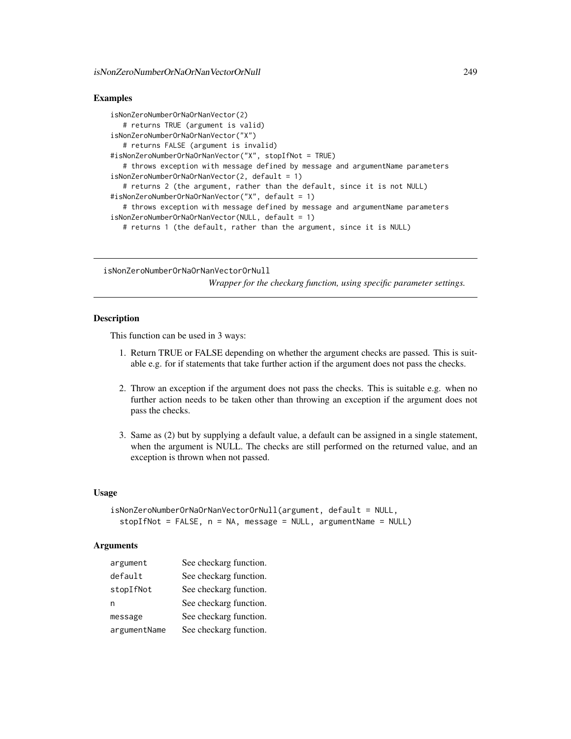# Examples

```
isNonZeroNumberOrNaOrNanVector(2)
   # returns TRUE (argument is valid)
isNonZeroNumberOrNaOrNanVector("X")
   # returns FALSE (argument is invalid)
#isNonZeroNumberOrNaOrNanVector("X", stopIfNot = TRUE)
   # throws exception with message defined by message and argumentName parameters
isNonZeroNumberOrNaOrNanVector(2, default = 1)
   # returns 2 (the argument, rather than the default, since it is not NULL)
#isNonZeroNumberOrNaOrNanVector("X", default = 1)
   # throws exception with message defined by message and argumentName parameters
isNonZeroNumberOrNaOrNanVector(NULL, default = 1)
   # returns 1 (the default, rather than the argument, since it is NULL)
```
isNonZeroNumberOrNaOrNanVectorOrNull

*Wrapper for the checkarg function, using specific parameter settings.*

# Description

This function can be used in 3 ways:

- 1. Return TRUE or FALSE depending on whether the argument checks are passed. This is suitable e.g. for if statements that take further action if the argument does not pass the checks.
- 2. Throw an exception if the argument does not pass the checks. This is suitable e.g. when no further action needs to be taken other than throwing an exception if the argument does not pass the checks.
- 3. Same as (2) but by supplying a default value, a default can be assigned in a single statement, when the argument is NULL. The checks are still performed on the returned value, and an exception is thrown when not passed.

## Usage

```
isNonZeroNumberOrNaOrNanVectorOrNull(argument, default = NULL,
 stopIfNot = FALSE, n = NA, message = NULL, argumentName = NULL)
```
## **Arguments**

| argument     | See checkarg function. |
|--------------|------------------------|
| default      | See checkarg function. |
| stopIfNot    | See checkarg function. |
| n            | See checkarg function. |
| message      | See checkarg function. |
| argumentName | See checkarg function. |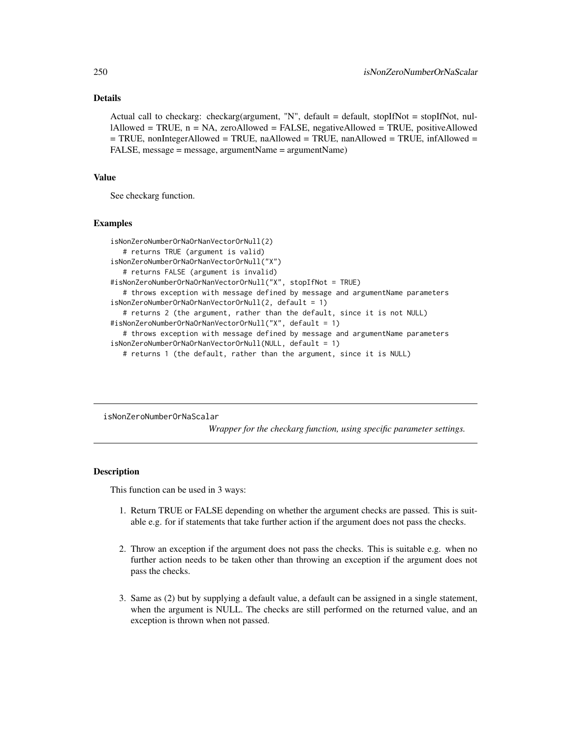# Details

Actual call to checkarg: checkarg(argument, "N", default = default, stopIfNot = stopIfNot, nullAllowed = TRUE, n = NA, zeroAllowed = FALSE, negativeAllowed = TRUE, positiveAllowed = TRUE, nonIntegerAllowed = TRUE, naAllowed = TRUE, nanAllowed = TRUE, infAllowed = FALSE, message = message, argumentName = argumentName)

### Value

See checkarg function.

### Examples

```
isNonZeroNumberOrNaOrNanVectorOrNull(2)
  # returns TRUE (argument is valid)
isNonZeroNumberOrNaOrNanVectorOrNull("X")
  # returns FALSE (argument is invalid)
#isNonZeroNumberOrNaOrNanVectorOrNull("X", stopIfNot = TRUE)
  # throws exception with message defined by message and argumentName parameters
isNonZeroNumberOrNaOrNanVectorOrNull(2, default = 1)
  # returns 2 (the argument, rather than the default, since it is not NULL)
#isNonZeroNumberOrNaOrNanVectorOrNull("X", default = 1)
  # throws exception with message defined by message and argumentName parameters
isNonZeroNumberOrNaOrNanVectorOrNull(NULL, default = 1)
  # returns 1 (the default, rather than the argument, since it is NULL)
```
isNonZeroNumberOrNaScalar

*Wrapper for the checkarg function, using specific parameter settings.*

# **Description**

This function can be used in 3 ways:

- 1. Return TRUE or FALSE depending on whether the argument checks are passed. This is suitable e.g. for if statements that take further action if the argument does not pass the checks.
- 2. Throw an exception if the argument does not pass the checks. This is suitable e.g. when no further action needs to be taken other than throwing an exception if the argument does not pass the checks.
- 3. Same as (2) but by supplying a default value, a default can be assigned in a single statement, when the argument is NULL. The checks are still performed on the returned value, and an exception is thrown when not passed.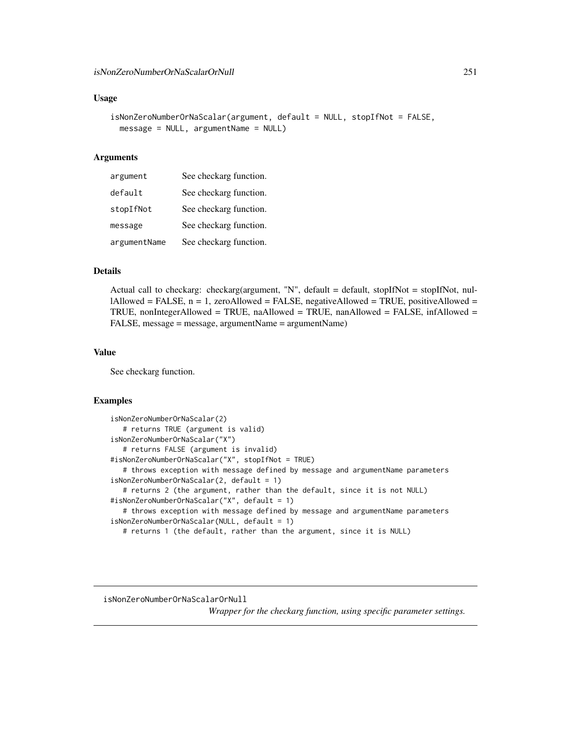## Usage

```
isNonZeroNumberOrNaScalar(argument, default = NULL, stopIfNot = FALSE,
 message = NULL, argumentName = NULL)
```
### Arguments

| argument     | See checkarg function. |
|--------------|------------------------|
| default      | See checkarg function. |
| stopIfNot    | See checkarg function. |
| message      | See checkarg function. |
| argumentName | See checkarg function. |

# Details

Actual call to checkarg: checkarg(argument, "N", default = default, stopIfNot = stopIfNot, nullAllowed = FALSE,  $n = 1$ , zeroAllowed = FALSE, negativeAllowed = TRUE, positiveAllowed = TRUE, nonIntegerAllowed = TRUE, naAllowed = TRUE, nanAllowed = FALSE, infAllowed = FALSE, message = message, argumentName = argumentName)

### Value

See checkarg function.

# Examples

```
isNonZeroNumberOrNaScalar(2)
   # returns TRUE (argument is valid)
isNonZeroNumberOrNaScalar("X")
  # returns FALSE (argument is invalid)
#isNonZeroNumberOrNaScalar("X", stopIfNot = TRUE)
   # throws exception with message defined by message and argumentName parameters
isNonZeroNumberOrNaScalar(2, default = 1)
   # returns 2 (the argument, rather than the default, since it is not NULL)
#isNonZeroNumberOrNaScalar("X", default = 1)
  # throws exception with message defined by message and argumentName parameters
isNonZeroNumberOrNaScalar(NULL, default = 1)
  # returns 1 (the default, rather than the argument, since it is NULL)
```
isNonZeroNumberOrNaScalarOrNull

*Wrapper for the checkarg function, using specific parameter settings.*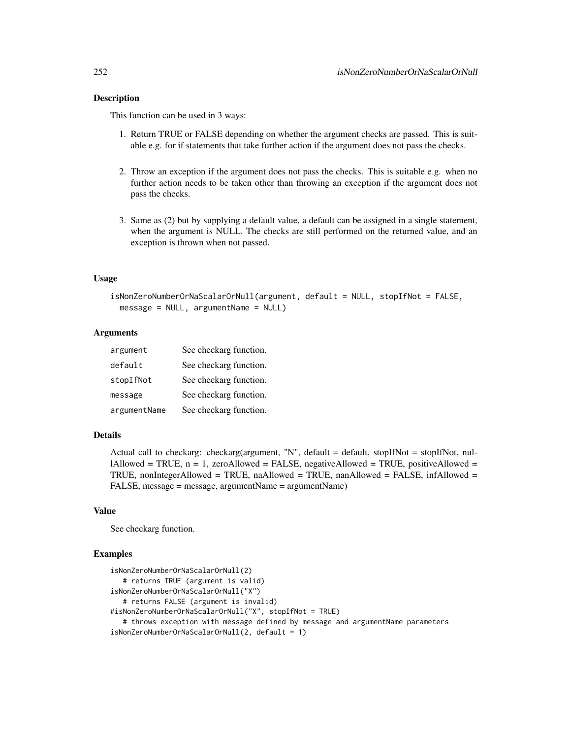## Description

This function can be used in 3 ways:

- 1. Return TRUE or FALSE depending on whether the argument checks are passed. This is suitable e.g. for if statements that take further action if the argument does not pass the checks.
- 2. Throw an exception if the argument does not pass the checks. This is suitable e.g. when no further action needs to be taken other than throwing an exception if the argument does not pass the checks.
- 3. Same as (2) but by supplying a default value, a default can be assigned in a single statement, when the argument is NULL. The checks are still performed on the returned value, and an exception is thrown when not passed.

### Usage

```
isNonZeroNumberOrNaScalarOrNull(argument, default = NULL, stopIfNot = FALSE,
 message = NULL, argumentName = NULL)
```
## Arguments

| argument     | See checkarg function. |
|--------------|------------------------|
| default      | See checkarg function. |
| stopIfNot    | See checkarg function. |
| message      | See checkarg function. |
| argumentName | See checkarg function. |

### Details

Actual call to checkarg: checkarg(argument, "N", default = default, stopIfNot = stopIfNot, nullAllowed = TRUE,  $n = 1$ , zeroAllowed = FALSE, negativeAllowed = TRUE, positiveAllowed = TRUE, nonIntegerAllowed = TRUE, naAllowed = TRUE, nanAllowed = FALSE, infAllowed = FALSE, message = message, argumentName = argumentName)

## Value

See checkarg function.

## Examples

```
isNonZeroNumberOrNaScalarOrNull(2)
   # returns TRUE (argument is valid)
isNonZeroNumberOrNaScalarOrNull("X")
   # returns FALSE (argument is invalid)
#isNonZeroNumberOrNaScalarOrNull("X", stopIfNot = TRUE)
   # throws exception with message defined by message and argumentName parameters
isNonZeroNumberOrNaScalarOrNull(2, default = 1)
```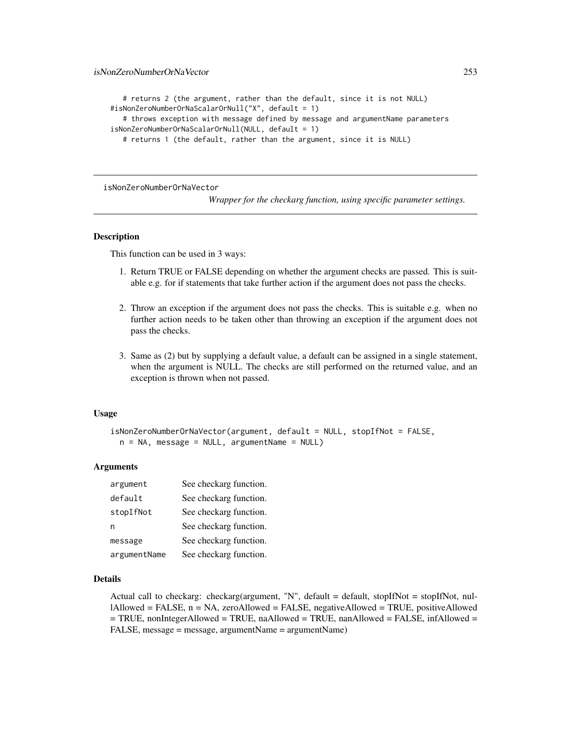# returns 2 (the argument, rather than the default, since it is not NULL) #isNonZeroNumberOrNaScalarOrNull("X", default = 1) # throws exception with message defined by message and argumentName parameters isNonZeroNumberOrNaScalarOrNull(NULL, default = 1) # returns 1 (the default, rather than the argument, since it is NULL)

isNonZeroNumberOrNaVector

*Wrapper for the checkarg function, using specific parameter settings.*

### Description

This function can be used in 3 ways:

- 1. Return TRUE or FALSE depending on whether the argument checks are passed. This is suitable e.g. for if statements that take further action if the argument does not pass the checks.
- 2. Throw an exception if the argument does not pass the checks. This is suitable e.g. when no further action needs to be taken other than throwing an exception if the argument does not pass the checks.
- 3. Same as (2) but by supplying a default value, a default can be assigned in a single statement, when the argument is NULL. The checks are still performed on the returned value, and an exception is thrown when not passed.

#### Usage

isNonZeroNumberOrNaVector(argument, default = NULL, stopIfNot = FALSE,  $n = NA$ , message = NULL, argumentName = NULL)

### Arguments

| argument     | See checkarg function. |
|--------------|------------------------|
| default      | See checkarg function. |
| stopIfNot    | See checkarg function. |
| n            | See checkarg function. |
| message      | See checkarg function. |
| argumentName | See checkarg function. |

#### Details

Actual call to checkarg: checkarg(argument, "N", default = default, stopIfNot = stopIfNot, nullAllowed = FALSE, n = NA, zeroAllowed = FALSE, negativeAllowed = TRUE, positiveAllowed  $=$  TRUE, nonIntegerAllowed = TRUE, naAllowed = TRUE, nanAllowed = FALSE, infAllowed = FALSE, message = message, argumentName = argumentName)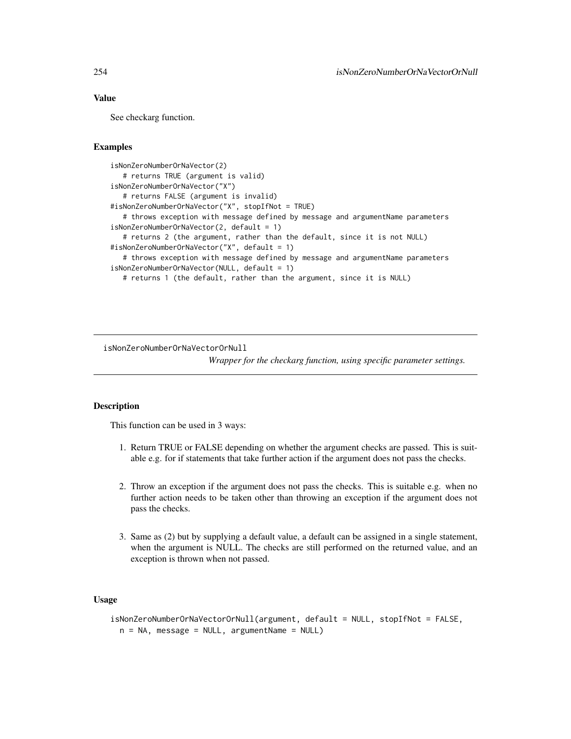# Value

See checkarg function.

#### Examples

```
isNonZeroNumberOrNaVector(2)
   # returns TRUE (argument is valid)
isNonZeroNumberOrNaVector("X")
   # returns FALSE (argument is invalid)
#isNonZeroNumberOrNaVector("X", stopIfNot = TRUE)
   # throws exception with message defined by message and argumentName parameters
isNonZeroNumberOrNaVector(2, default = 1)
   # returns 2 (the argument, rather than the default, since it is not NULL)
#isNonZeroNumberOrNaVector("X", default = 1)
  # throws exception with message defined by message and argumentName parameters
isNonZeroNumberOrNaVector(NULL, default = 1)
  # returns 1 (the default, rather than the argument, since it is NULL)
```
isNonZeroNumberOrNaVectorOrNull

*Wrapper for the checkarg function, using specific parameter settings.*

# **Description**

This function can be used in 3 ways:

- 1. Return TRUE or FALSE depending on whether the argument checks are passed. This is suitable e.g. for if statements that take further action if the argument does not pass the checks.
- 2. Throw an exception if the argument does not pass the checks. This is suitable e.g. when no further action needs to be taken other than throwing an exception if the argument does not pass the checks.
- 3. Same as (2) but by supplying a default value, a default can be assigned in a single statement, when the argument is NULL. The checks are still performed on the returned value, and an exception is thrown when not passed.

## Usage

```
isNonZeroNumberOrNaVectorOrNull(argument, default = NULL, stopIfNot = FALSE,
 n = NA, message = NULL, argumentName = NULL)
```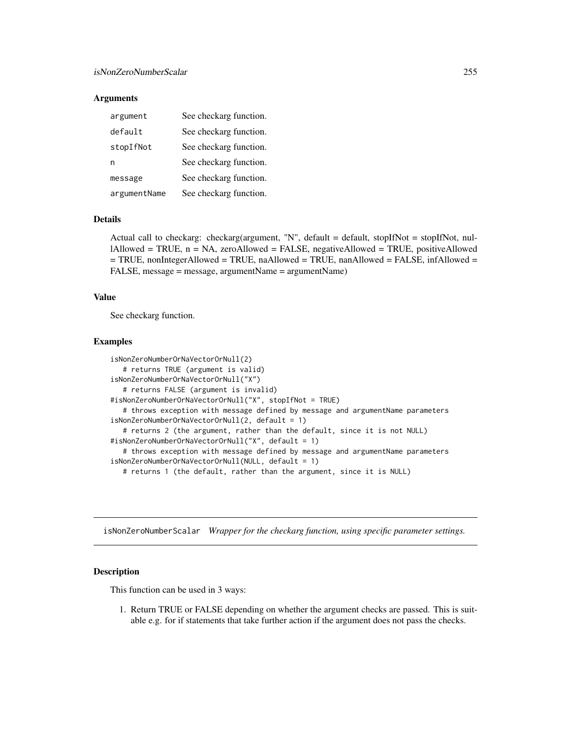#### **Arguments**

| argument     | See checkarg function. |
|--------------|------------------------|
| default      | See checkarg function. |
| stopIfNot    | See checkarg function. |
| n            | See checkarg function. |
| message      | See checkarg function. |
| argumentName | See checkarg function. |

### Details

Actual call to checkarg: checkarg(argument, "N", default = default, stopIfNot = stopIfNot, nullAllowed = TRUE, n = NA, zeroAllowed = FALSE, negativeAllowed = TRUE, positiveAllowed = TRUE, nonIntegerAllowed = TRUE, naAllowed = TRUE, nanAllowed = FALSE, infAllowed = FALSE, message = message, argumentName = argumentName)

## Value

See checkarg function.

### Examples

```
isNonZeroNumberOrNaVectorOrNull(2)
   # returns TRUE (argument is valid)
isNonZeroNumberOrNaVectorOrNull("X")
   # returns FALSE (argument is invalid)
#isNonZeroNumberOrNaVectorOrNull("X", stopIfNot = TRUE)
   # throws exception with message defined by message and argumentName parameters
isNonZeroNumberOrNaVectorOrNull(2, default = 1)
   # returns 2 (the argument, rather than the default, since it is not NULL)
#isNonZeroNumberOrNaVectorOrNull("X", default = 1)
   # throws exception with message defined by message and argumentName parameters
isNonZeroNumberOrNaVectorOrNull(NULL, default = 1)
  # returns 1 (the default, rather than the argument, since it is NULL)
```
isNonZeroNumberScalar *Wrapper for the checkarg function, using specific parameter settings.*

#### Description

This function can be used in 3 ways:

1. Return TRUE or FALSE depending on whether the argument checks are passed. This is suitable e.g. for if statements that take further action if the argument does not pass the checks.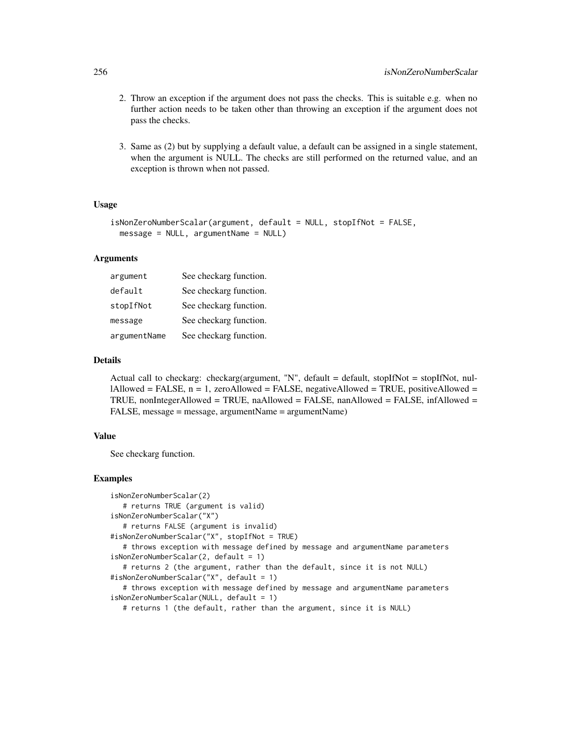- 2. Throw an exception if the argument does not pass the checks. This is suitable e.g. when no further action needs to be taken other than throwing an exception if the argument does not pass the checks.
- 3. Same as (2) but by supplying a default value, a default can be assigned in a single statement, when the argument is NULL. The checks are still performed on the returned value, and an exception is thrown when not passed.

# Usage

```
isNonZeroNumberScalar(argument, default = NULL, stopIfNot = FALSE,
 message = NULL, argumentName = NULL)
```
### Arguments

| argument     | See checkarg function. |
|--------------|------------------------|
| default      | See checkarg function. |
| stopIfNot    | See checkarg function. |
| message      | See checkarg function. |
| argumentName | See checkarg function. |

## Details

Actual call to checkarg: checkarg(argument, "N", default = default, stopIfNot = stopIfNot, nullAllowed = FALSE,  $n = 1$ , zeroAllowed = FALSE, negativeAllowed = TRUE, positiveAllowed = TRUE, nonIntegerAllowed = TRUE, naAllowed = FALSE, nanAllowed = FALSE, infAllowed = FALSE, message = message, argumentName = argumentName)

## Value

See checkarg function.

```
isNonZeroNumberScalar(2)
   # returns TRUE (argument is valid)
isNonZeroNumberScalar("X")
   # returns FALSE (argument is invalid)
#isNonZeroNumberScalar("X", stopIfNot = TRUE)
   # throws exception with message defined by message and argumentName parameters
isNonZeroNumberScalar(2, default = 1)
   # returns 2 (the argument, rather than the default, since it is not NULL)
#isNonZeroNumberScalar("X", default = 1)
   # throws exception with message defined by message and argumentName parameters
isNonZeroNumberScalar(NULL, default = 1)
   # returns 1 (the default, rather than the argument, since it is NULL)
```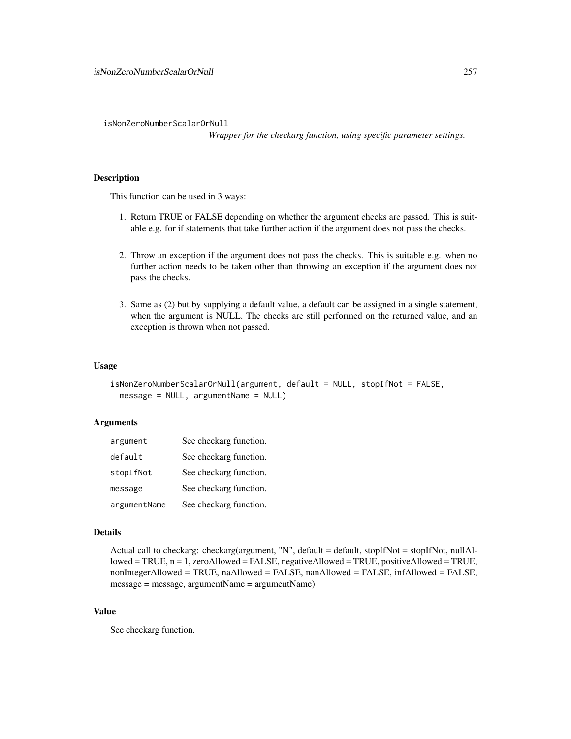isNonZeroNumberScalarOrNull

*Wrapper for the checkarg function, using specific parameter settings.*

### Description

This function can be used in 3 ways:

- 1. Return TRUE or FALSE depending on whether the argument checks are passed. This is suitable e.g. for if statements that take further action if the argument does not pass the checks.
- 2. Throw an exception if the argument does not pass the checks. This is suitable e.g. when no further action needs to be taken other than throwing an exception if the argument does not pass the checks.
- 3. Same as (2) but by supplying a default value, a default can be assigned in a single statement, when the argument is NULL. The checks are still performed on the returned value, and an exception is thrown when not passed.

#### Usage

```
isNonZeroNumberScalarOrNull(argument, default = NULL, stopIfNot = FALSE,
 message = NULL, argumentName = NULL)
```
### **Arguments**

| argument     | See checkarg function. |
|--------------|------------------------|
| default      | See checkarg function. |
| stopIfNot    | See checkarg function. |
| message      | See checkarg function. |
| argumentName | See checkarg function. |

#### Details

```
Actual call to checkarg: checkarg(argument, "N", default = default, stopIfNot = stopIfNot, nullAl-
lowed = TRUE, n = 1, zeroAllowed = FALSE, negativeAllowed = TRUE, positiveAllowed = TRUE,
nonIntegerAllowed = TRUE, naAllowed = FALSE, nanAllowed = FALSE, infAllowed = FALSE,
message = message, argumentName = argumentName)
```
# Value

See checkarg function.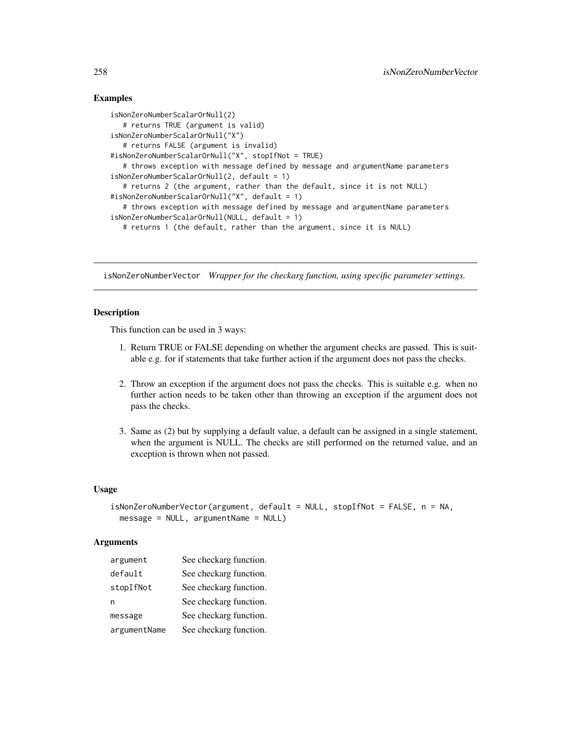## Examples

```
isNonZeroNumberScalarOrNull(2)
   # returns TRUE (argument is valid)
isNonZeroNumberScalarOrNull("X")
   # returns FALSE (argument is invalid)
#isNonZeroNumberScalarOrNull("X", stopIfNot = TRUE)
   # throws exception with message defined by message and argumentName parameters
isNonZeroNumberScalarOrNull(2, default = 1)
   # returns 2 (the argument, rather than the default, since it is not NULL)
#isNonZeroNumberScalarOrNull("X", default = 1)
   # throws exception with message defined by message and argumentName parameters
isNonZeroNumberScalarOrNull(NULL, default = 1)
   # returns 1 (the default, rather than the argument, since it is NULL)
```
isNonZeroNumberVector *Wrapper for the checkarg function, using specific parameter settings.*

### Description

This function can be used in 3 ways:

- 1. Return TRUE or FALSE depending on whether the argument checks are passed. This is suitable e.g. for if statements that take further action if the argument does not pass the checks.
- 2. Throw an exception if the argument does not pass the checks. This is suitable e.g. when no further action needs to be taken other than throwing an exception if the argument does not pass the checks.
- 3. Same as (2) but by supplying a default value, a default can be assigned in a single statement, when the argument is NULL. The checks are still performed on the returned value, and an exception is thrown when not passed.

#### Usage

```
isNonZeroNumberVector(argument, default = NULL, stopIfNot = FALSE, n = NA,
 message = NULL, argumentName = NULL)
```
## Arguments

| argument     | See checkarg function. |
|--------------|------------------------|
| default      | See checkarg function. |
| stopIfNot    | See checkarg function. |
| n            | See checkarg function. |
| message      | See checkarg function. |
| argumentName | See checkarg function. |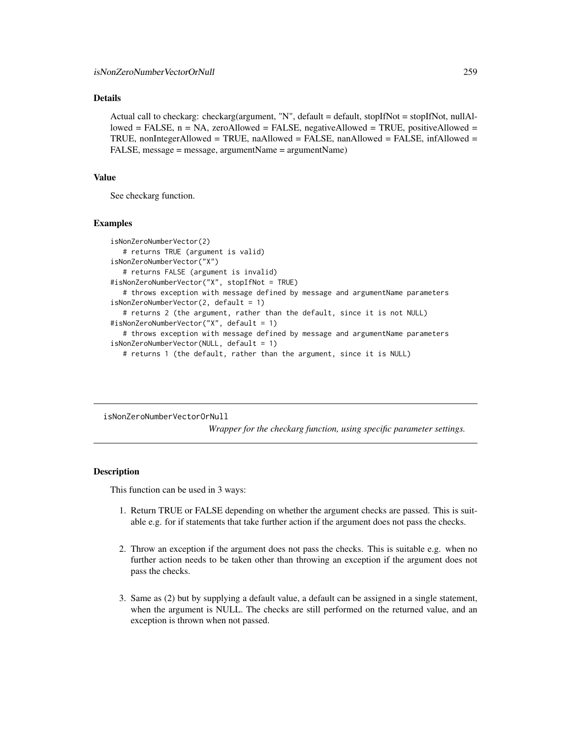# Details

Actual call to checkarg: checkarg(argument, "N", default = default, stopIfNot = stopIfNot, nullAllowed = FALSE, n = NA, zeroAllowed = FALSE, negativeAllowed = TRUE, positiveAllowed = TRUE, nonIntegerAllowed = TRUE, naAllowed = FALSE, nanAllowed = FALSE, infAllowed = FALSE, message = message, argumentName = argumentName)

### Value

See checkarg function.

#### Examples

```
isNonZeroNumberVector(2)
   # returns TRUE (argument is valid)
isNonZeroNumberVector("X")
   # returns FALSE (argument is invalid)
#isNonZeroNumberVector("X", stopIfNot = TRUE)
   # throws exception with message defined by message and argumentName parameters
isNonZeroNumberVector(2, default = 1)
   # returns 2 (the argument, rather than the default, since it is not NULL)
#isNonZeroNumberVector("X", default = 1)
   # throws exception with message defined by message and argumentName parameters
isNonZeroNumberVector(NULL, default = 1)
  # returns 1 (the default, rather than the argument, since it is NULL)
```
isNonZeroNumberVectorOrNull *Wrapper for the checkarg function, using specific parameter settings.*

### Description

This function can be used in 3 ways:

- 1. Return TRUE or FALSE depending on whether the argument checks are passed. This is suitable e.g. for if statements that take further action if the argument does not pass the checks.
- 2. Throw an exception if the argument does not pass the checks. This is suitable e.g. when no further action needs to be taken other than throwing an exception if the argument does not pass the checks.
- 3. Same as (2) but by supplying a default value, a default can be assigned in a single statement, when the argument is NULL. The checks are still performed on the returned value, and an exception is thrown when not passed.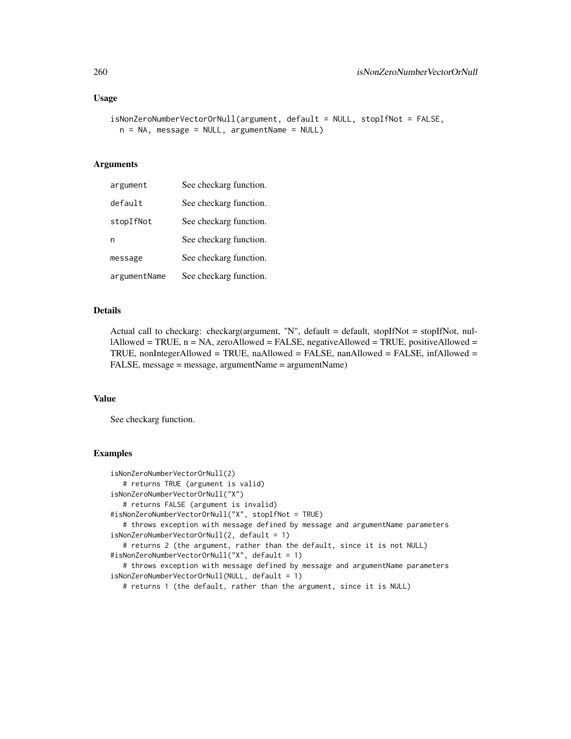#### Usage

```
isNonZeroNumberVectorOrNull(argument, default = NULL, stopIfNot = FALSE,
 n = NA, message = NULL, argumentName = NULL)
```
## Arguments

| argument     | See checkarg function. |
|--------------|------------------------|
| default      | See checkarg function. |
| stopIfNot    | See checkarg function. |
| n            | See checkarg function. |
| message      | See checkarg function. |
| argumentName | See checkarg function. |

#### Details

Actual call to checkarg: checkarg(argument, "N", default = default, stopIfNot = stopIfNot, nullAllowed = TRUE,  $n = NA$ , zeroAllowed = FALSE, negativeAllowed = TRUE, positiveAllowed = TRUE, nonIntegerAllowed = TRUE, naAllowed = FALSE, nanAllowed = FALSE, infAllowed = FALSE, message = message, argumentName = argumentName)

#### Value

See checkarg function.

```
isNonZeroNumberVectorOrNull(2)
  # returns TRUE (argument is valid)
isNonZeroNumberVectorOrNull("X")
  # returns FALSE (argument is invalid)
#isNonZeroNumberVectorOrNull("X", stopIfNot = TRUE)
   # throws exception with message defined by message and argumentName parameters
isNonZeroNumberVectorOrNull(2, default = 1)
   # returns 2 (the argument, rather than the default, since it is not NULL)
#isNonZeroNumberVectorOrNull("X", default = 1)
   # throws exception with message defined by message and argumentName parameters
isNonZeroNumberVectorOrNull(NULL, default = 1)
   # returns 1 (the default, rather than the argument, since it is NULL)
```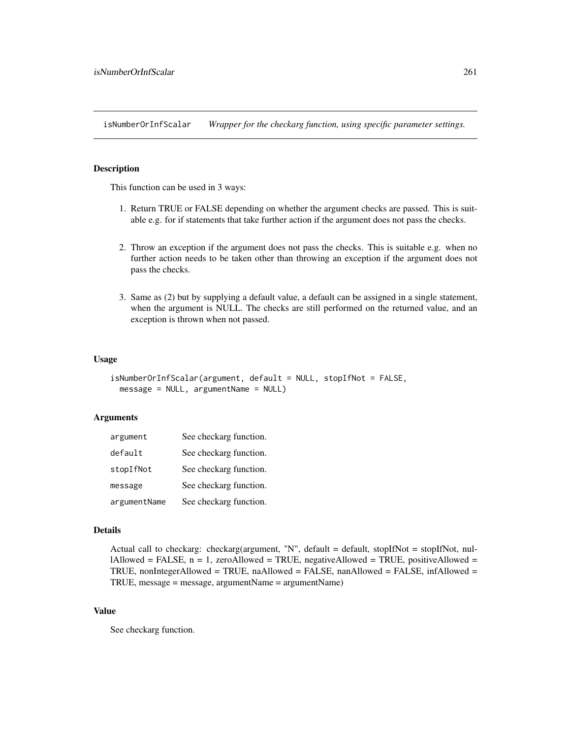isNumberOrInfScalar *Wrapper for the checkarg function, using specific parameter settings.*

## **Description**

This function can be used in 3 ways:

- 1. Return TRUE or FALSE depending on whether the argument checks are passed. This is suitable e.g. for if statements that take further action if the argument does not pass the checks.
- 2. Throw an exception if the argument does not pass the checks. This is suitable e.g. when no further action needs to be taken other than throwing an exception if the argument does not pass the checks.
- 3. Same as (2) but by supplying a default value, a default can be assigned in a single statement, when the argument is NULL. The checks are still performed on the returned value, and an exception is thrown when not passed.

#### Usage

```
isNumberOrInfScalar(argument, default = NULL, stopIfNot = FALSE,
  message = NULL, argumentName = NULL)
```
### Arguments

| argument     | See checkarg function. |
|--------------|------------------------|
| default      | See checkarg function. |
| stopIfNot    | See checkarg function. |
| message      | See checkarg function. |
| argumentName | See checkarg function. |

## Details

Actual call to checkarg: checkarg(argument, "N", default = default, stopIfNot = stopIfNot, nullAllowed = FALSE,  $n = 1$ , zeroAllowed = TRUE, negativeAllowed = TRUE, positiveAllowed = TRUE, nonIntegerAllowed = TRUE, naAllowed = FALSE, nanAllowed = FALSE, infAllowed = TRUE, message = message, argumentName = argumentName)

#### Value

See checkarg function.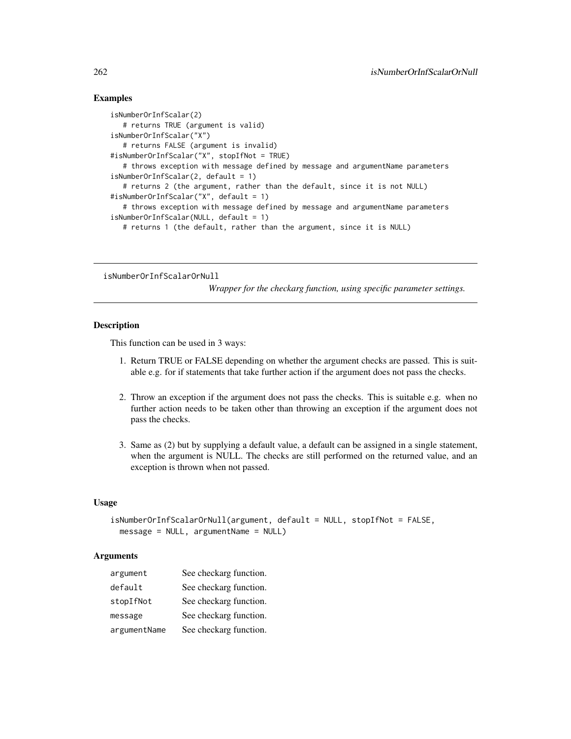## Examples

```
isNumberOrInfScalar(2)
   # returns TRUE (argument is valid)
isNumberOrInfScalar("X")
   # returns FALSE (argument is invalid)
#isNumberOrInfScalar("X", stopIfNot = TRUE)
   # throws exception with message defined by message and argumentName parameters
isNumberOrInfScalar(2, default = 1)
   # returns 2 (the argument, rather than the default, since it is not NULL)
#isNumberOrInfScalar("X", default = 1)
   # throws exception with message defined by message and argumentName parameters
isNumberOrInfScalar(NULL, default = 1)
  # returns 1 (the default, rather than the argument, since it is NULL)
```
isNumberOrInfScalarOrNull

*Wrapper for the checkarg function, using specific parameter settings.*

### **Description**

This function can be used in 3 ways:

- 1. Return TRUE or FALSE depending on whether the argument checks are passed. This is suitable e.g. for if statements that take further action if the argument does not pass the checks.
- 2. Throw an exception if the argument does not pass the checks. This is suitable e.g. when no further action needs to be taken other than throwing an exception if the argument does not pass the checks.
- 3. Same as (2) but by supplying a default value, a default can be assigned in a single statement, when the argument is NULL. The checks are still performed on the returned value, and an exception is thrown when not passed.

### Usage

```
isNumberOrInfScalarOrNull(argument, default = NULL, stopIfNot = FALSE,
 message = NULL, argumentName = NULL)
```
#### **Arguments**

| argument     | See checkarg function. |
|--------------|------------------------|
| default      | See checkarg function. |
| stopIfNot    | See checkarg function. |
| message      | See checkarg function. |
| argumentName | See checkarg function. |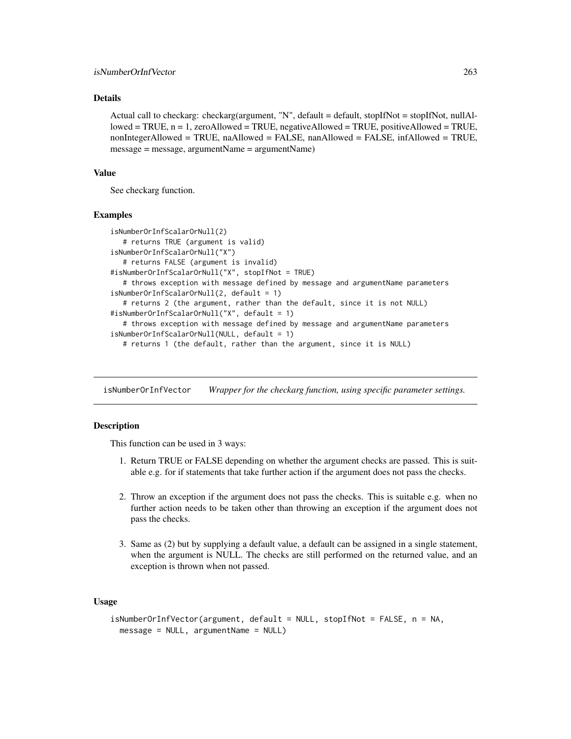#### Details

Actual call to checkarg: checkarg(argument, "N", default = default, stopIfNot = stopIfNot, nullAllowed = TRUE,  $n = 1$ , zeroAllowed = TRUE, negativeAllowed = TRUE, positiveAllowed = TRUE, nonIntegerAllowed = TRUE, naAllowed = FALSE, nanAllowed = FALSE, infAllowed = TRUE, message = message, argumentName = argumentName)

### Value

See checkarg function.

#### Examples

```
isNumberOrInfScalarOrNull(2)
   # returns TRUE (argument is valid)
isNumberOrInfScalarOrNull("X")
   # returns FALSE (argument is invalid)
#isNumberOrInfScalarOrNull("X", stopIfNot = TRUE)
   # throws exception with message defined by message and argumentName parameters
isNumberOrInfScalarOrNull(2, default = 1)
   # returns 2 (the argument, rather than the default, since it is not NULL)
#isNumberOrInfScalarOrNull("X", default = 1)
   # throws exception with message defined by message and argumentName parameters
isNumberOrInfScalarOrNull(NULL, default = 1)
   # returns 1 (the default, rather than the argument, since it is NULL)
```
isNumberOrInfVector *Wrapper for the checkarg function, using specific parameter settings.*

## **Description**

This function can be used in 3 ways:

- 1. Return TRUE or FALSE depending on whether the argument checks are passed. This is suitable e.g. for if statements that take further action if the argument does not pass the checks.
- 2. Throw an exception if the argument does not pass the checks. This is suitable e.g. when no further action needs to be taken other than throwing an exception if the argument does not pass the checks.
- 3. Same as (2) but by supplying a default value, a default can be assigned in a single statement, when the argument is NULL. The checks are still performed on the returned value, and an exception is thrown when not passed.

## Usage

```
isNumberOrInfVector(argument, default = NULL, stopIfNot = FALSE, n = NA,
 message = NULL, argumentName = NULL)
```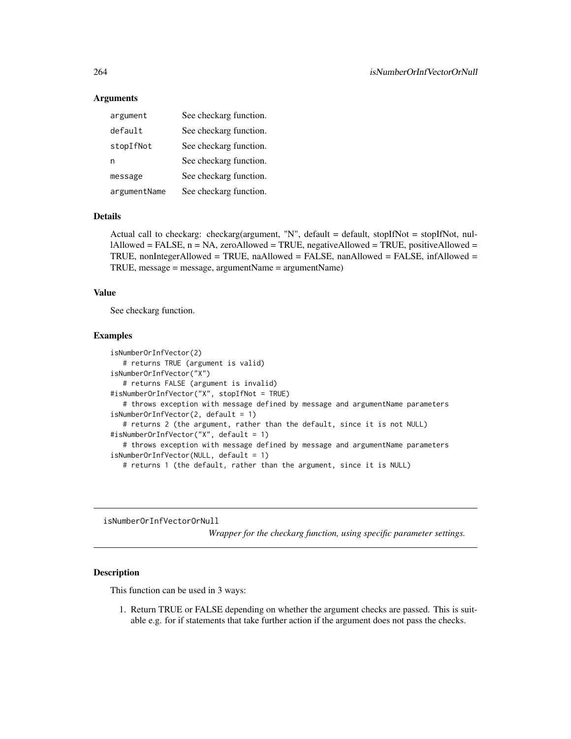### **Arguments**

| argument     | See checkarg function. |
|--------------|------------------------|
| default      | See checkarg function. |
| stopIfNot    | See checkarg function. |
| n            | See checkarg function. |
| message      | See checkarg function. |
| argumentName | See checkarg function. |

#### Details

Actual call to checkarg: checkarg(argument, "N", default = default, stopIfNot = stopIfNot, nullAllowed = FALSE, n = NA, zeroAllowed = TRUE, negativeAllowed = TRUE, positiveAllowed = TRUE, nonIntegerAllowed = TRUE, naAllowed = FALSE, nanAllowed = FALSE, infAllowed = TRUE, message = message, argumentName = argumentName)

#### Value

See checkarg function.

#### Examples

```
isNumberOrInfVector(2)
   # returns TRUE (argument is valid)
isNumberOrInfVector("X")
   # returns FALSE (argument is invalid)
#isNumberOrInfVector("X", stopIfNot = TRUE)
   # throws exception with message defined by message and argumentName parameters
isNumberOrInfVector(2, default = 1)
   # returns 2 (the argument, rather than the default, since it is not NULL)
#isNumberOrInfVector("X", default = 1)
  # throws exception with message defined by message and argumentName parameters
isNumberOrInfVector(NULL, default = 1)
  # returns 1 (the default, rather than the argument, since it is NULL)
```
isNumberOrInfVectorOrNull

*Wrapper for the checkarg function, using specific parameter settings.*

### Description

This function can be used in 3 ways:

1. Return TRUE or FALSE depending on whether the argument checks are passed. This is suitable e.g. for if statements that take further action if the argument does not pass the checks.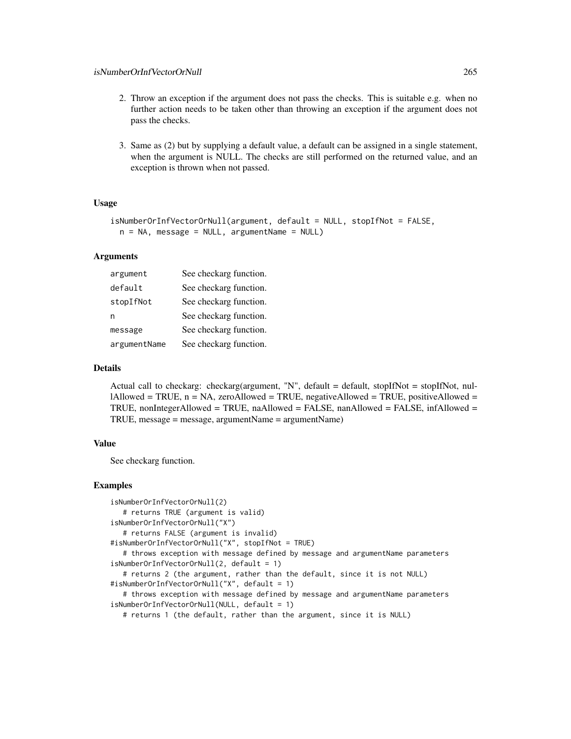- 2. Throw an exception if the argument does not pass the checks. This is suitable e.g. when no further action needs to be taken other than throwing an exception if the argument does not pass the checks.
- 3. Same as (2) but by supplying a default value, a default can be assigned in a single statement, when the argument is NULL. The checks are still performed on the returned value, and an exception is thrown when not passed.

## Usage

```
isNumberOrInfVectorOrNull(argument, default = NULL, stopIfNot = FALSE,
 n = NA, message = NULL, argumentName = NULL)
```
### Arguments

| argument     | See checkarg function. |
|--------------|------------------------|
| default      | See checkarg function. |
| stopIfNot    | See checkarg function. |
| n            | See checkarg function. |
| message      | See checkarg function. |
| argumentName | See checkarg function. |

#### Details

Actual call to checkarg: checkarg(argument, "N", default = default, stopIfNot = stopIfNot, nullAllowed = TRUE,  $n = NA$ , zeroAllowed = TRUE, negativeAllowed = TRUE, positiveAllowed = TRUE, nonIntegerAllowed = TRUE, naAllowed = FALSE, nanAllowed = FALSE, infAllowed = TRUE, message = message, argumentName = argumentName)

#### Value

See checkarg function.

```
isNumberOrInfVectorOrNull(2)
  # returns TRUE (argument is valid)
isNumberOrInfVectorOrNull("X")
  # returns FALSE (argument is invalid)
#isNumberOrInfVectorOrNull("X", stopIfNot = TRUE)
  # throws exception with message defined by message and argumentName parameters
isNumberOrInfVectorOrNull(2, default = 1)
  # returns 2 (the argument, rather than the default, since it is not NULL)
#isNumberOrInfVectorOrNull("X", default = 1)
  # throws exception with message defined by message and argumentName parameters
isNumberOrInfVectorOrNull(NULL, default = 1)
  # returns 1 (the default, rather than the argument, since it is NULL)
```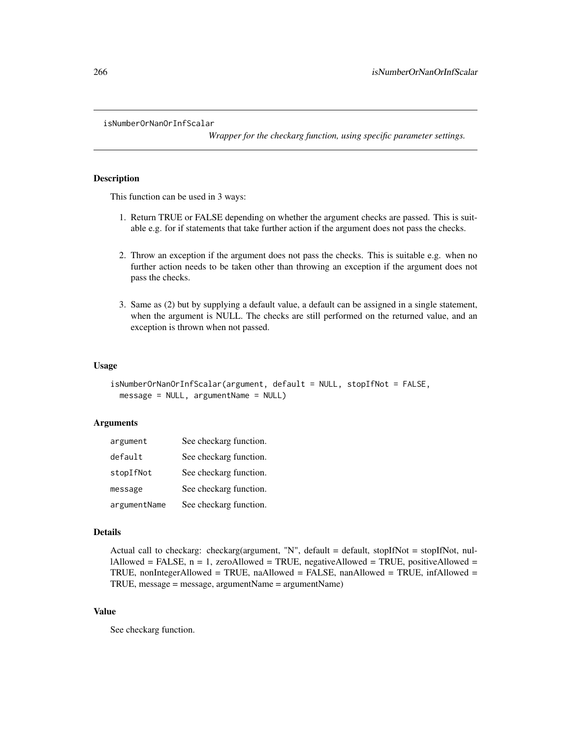isNumberOrNanOrInfScalar

*Wrapper for the checkarg function, using specific parameter settings.*

## Description

This function can be used in 3 ways:

- 1. Return TRUE or FALSE depending on whether the argument checks are passed. This is suitable e.g. for if statements that take further action if the argument does not pass the checks.
- 2. Throw an exception if the argument does not pass the checks. This is suitable e.g. when no further action needs to be taken other than throwing an exception if the argument does not pass the checks.
- 3. Same as (2) but by supplying a default value, a default can be assigned in a single statement, when the argument is NULL. The checks are still performed on the returned value, and an exception is thrown when not passed.

#### Usage

```
isNumberOrNanOrInfScalar(argument, default = NULL, stopIfNot = FALSE,
 message = NULL, argumentName = NULL)
```
### **Arguments**

| argument     | See checkarg function. |
|--------------|------------------------|
| default      | See checkarg function. |
| stopIfNot    | See checkarg function. |
| message      | See checkarg function. |
| argumentName | See checkarg function. |

#### Details

Actual call to checkarg: checkarg(argument, "N", default = default, stopIfNot = stopIfNot, nullAllowed = FALSE,  $n = 1$ , zeroAllowed = TRUE, negativeAllowed = TRUE, positiveAllowed = TRUE, nonIntegerAllowed = TRUE, naAllowed = FALSE, nanAllowed = TRUE, infAllowed = TRUE, message = message, argumentName = argumentName)

## Value

See checkarg function.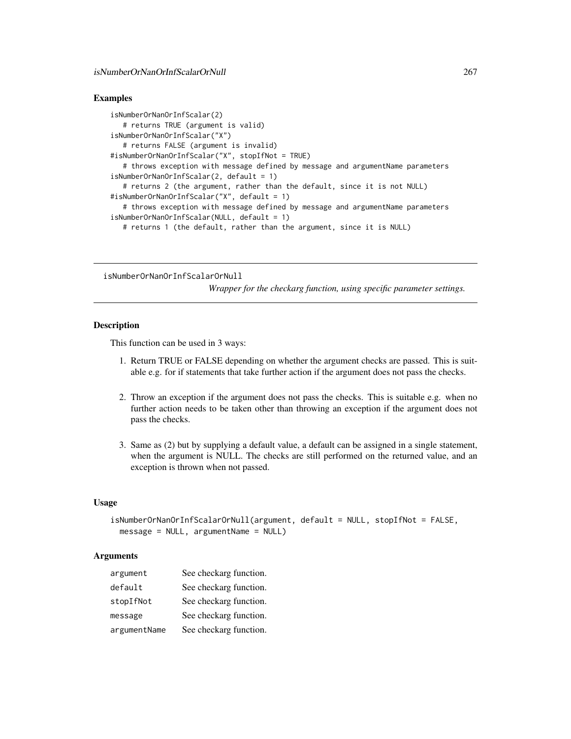## Examples

```
isNumberOrNanOrInfScalar(2)
   # returns TRUE (argument is valid)
isNumberOrNanOrInfScalar("X")
   # returns FALSE (argument is invalid)
#isNumberOrNanOrInfScalar("X", stopIfNot = TRUE)
   # throws exception with message defined by message and argumentName parameters
isNumberOrNanOrInfScalar(2, default = 1)
   # returns 2 (the argument, rather than the default, since it is not NULL)
#isNumberOrNanOrInfScalar("X", default = 1)
   # throws exception with message defined by message and argumentName parameters
isNumberOrNanOrInfScalar(NULL, default = 1)
   # returns 1 (the default, rather than the argument, since it is NULL)
```
isNumberOrNanOrInfScalarOrNull

*Wrapper for the checkarg function, using specific parameter settings.*

### **Description**

This function can be used in 3 ways:

- 1. Return TRUE or FALSE depending on whether the argument checks are passed. This is suitable e.g. for if statements that take further action if the argument does not pass the checks.
- 2. Throw an exception if the argument does not pass the checks. This is suitable e.g. when no further action needs to be taken other than throwing an exception if the argument does not pass the checks.
- 3. Same as (2) but by supplying a default value, a default can be assigned in a single statement, when the argument is NULL. The checks are still performed on the returned value, and an exception is thrown when not passed.

### Usage

```
isNumberOrNanOrInfScalarOrNull(argument, default = NULL, stopIfNot = FALSE,
 message = NULL, argumentName = NULL)
```
### **Arguments**

| argument     | See checkarg function. |
|--------------|------------------------|
| default      | See checkarg function. |
| stopIfNot    | See checkarg function. |
| message      | See checkarg function. |
| argumentName | See checkarg function. |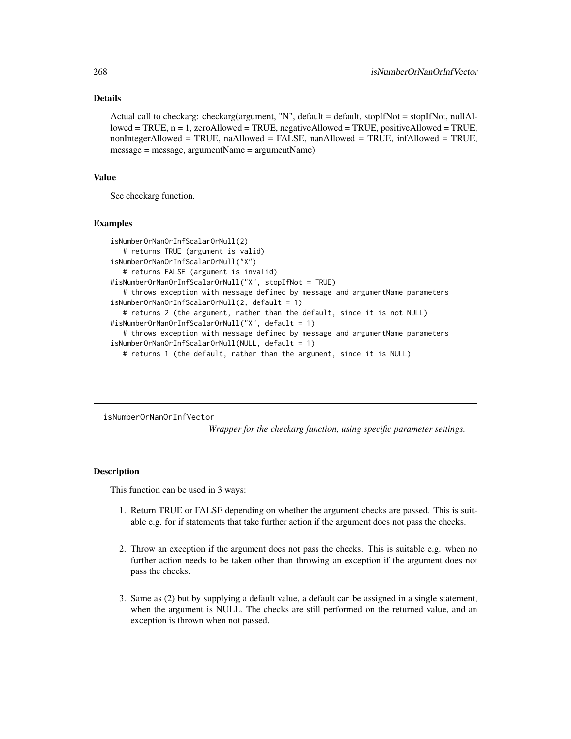## Details

Actual call to checkarg: checkarg(argument, "N", default = default, stopIfNot = stopIfNot, nullAllowed = TRUE,  $n = 1$ , zeroAllowed = TRUE, negativeAllowed = TRUE, positiveAllowed = TRUE, nonIntegerAllowed = TRUE, naAllowed = FALSE, nanAllowed = TRUE, infAllowed = TRUE, message = message, argumentName = argumentName)

### Value

See checkarg function.

#### Examples

```
isNumberOrNanOrInfScalarOrNull(2)
  # returns TRUE (argument is valid)
isNumberOrNanOrInfScalarOrNull("X")
  # returns FALSE (argument is invalid)
#isNumberOrNanOrInfScalarOrNull("X", stopIfNot = TRUE)
  # throws exception with message defined by message and argumentName parameters
isNumberOrNanOrInfScalarOrNull(2, default = 1)
  # returns 2 (the argument, rather than the default, since it is not NULL)
#isNumberOrNanOrInfScalarOrNull("X", default = 1)
  # throws exception with message defined by message and argumentName parameters
isNumberOrNanOrInfScalarOrNull(NULL, default = 1)
  # returns 1 (the default, rather than the argument, since it is NULL)
```
isNumberOrNanOrInfVector

*Wrapper for the checkarg function, using specific parameter settings.*

# **Description**

This function can be used in 3 ways:

- 1. Return TRUE or FALSE depending on whether the argument checks are passed. This is suitable e.g. for if statements that take further action if the argument does not pass the checks.
- 2. Throw an exception if the argument does not pass the checks. This is suitable e.g. when no further action needs to be taken other than throwing an exception if the argument does not pass the checks.
- 3. Same as (2) but by supplying a default value, a default can be assigned in a single statement, when the argument is NULL. The checks are still performed on the returned value, and an exception is thrown when not passed.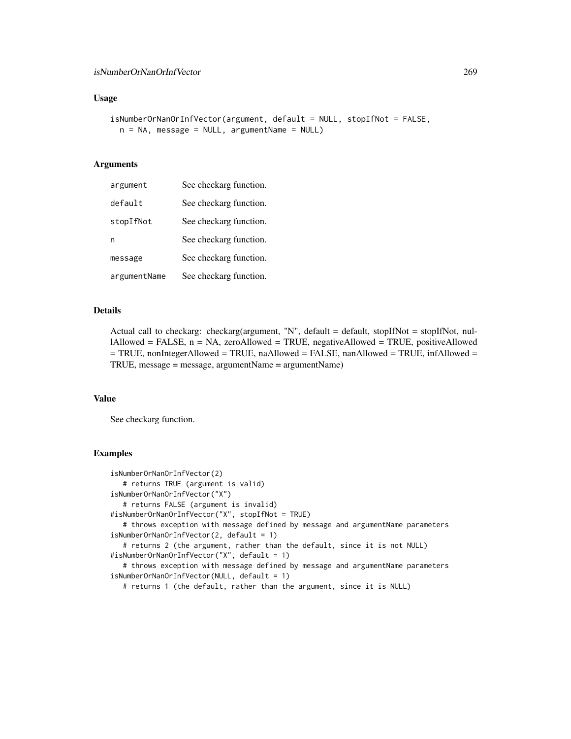### Usage

```
isNumberOrNanOrInfVector(argument, default = NULL, stopIfNot = FALSE,
 n = NA, message = NULL, argumentName = NULL)
```
## Arguments

| argument     | See checkarg function. |
|--------------|------------------------|
| default      | See checkarg function. |
| stopIfNot    | See checkarg function. |
| n            | See checkarg function. |
| message      | See checkarg function. |
| argumentName | See checkarg function. |

### Details

Actual call to checkarg: checkarg(argument, "N", default = default, stopIfNot = stopIfNot, nullAllowed = FALSE, n = NA, zeroAllowed = TRUE, negativeAllowed = TRUE, positiveAllowed  $=$  TRUE, nonIntegerAllowed  $=$  TRUE, naAllowed  $=$  FALSE, nanAllowed  $=$  TRUE, infAllowed  $=$ TRUE, message = message, argumentName = argumentName)

#### Value

See checkarg function.

```
isNumberOrNanOrInfVector(2)
  # returns TRUE (argument is valid)
isNumberOrNanOrInfVector("X")
  # returns FALSE (argument is invalid)
#isNumberOrNanOrInfVector("X", stopIfNot = TRUE)
   # throws exception with message defined by message and argumentName parameters
isNumberOrNanOrInfVector(2, default = 1)
   # returns 2 (the argument, rather than the default, since it is not NULL)
#isNumberOrNanOrInfVector("X", default = 1)
   # throws exception with message defined by message and argumentName parameters
isNumberOrNanOrInfVector(NULL, default = 1)
   # returns 1 (the default, rather than the argument, since it is NULL)
```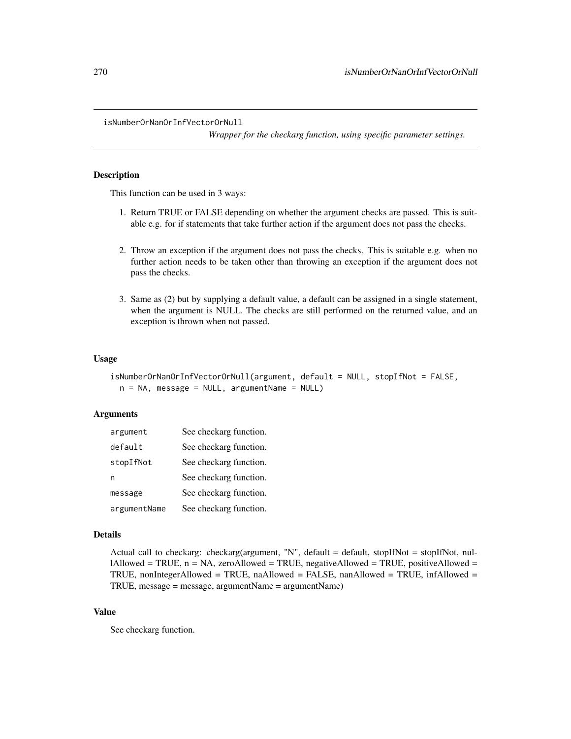#### isNumberOrNanOrInfVectorOrNull

*Wrapper for the checkarg function, using specific parameter settings.*

# **Description**

This function can be used in 3 ways:

- 1. Return TRUE or FALSE depending on whether the argument checks are passed. This is suitable e.g. for if statements that take further action if the argument does not pass the checks.
- 2. Throw an exception if the argument does not pass the checks. This is suitable e.g. when no further action needs to be taken other than throwing an exception if the argument does not pass the checks.
- 3. Same as (2) but by supplying a default value, a default can be assigned in a single statement, when the argument is NULL. The checks are still performed on the returned value, and an exception is thrown when not passed.

## Usage

```
isNumberOrNanOrInfVectorOrNull(argument, default = NULL, stopIfNot = FALSE,
 n = NA, message = NULL, argumentName = NULL)
```
#### Arguments

| argument     | See checkarg function. |
|--------------|------------------------|
| default      | See checkarg function. |
| stopIfNot    | See checkarg function. |
| n            | See checkarg function. |
| message      | See checkarg function. |
| argumentName | See checkarg function. |

#### Details

Actual call to checkarg: checkarg(argument, "N", default = default, stopIfNot = stopIfNot, nullAllowed = TRUE,  $n = NA$ , zeroAllowed = TRUE, negativeAllowed = TRUE, positiveAllowed = TRUE, nonIntegerAllowed = TRUE, naAllowed = FALSE, nanAllowed = TRUE, infAllowed = TRUE, message = message, argumentName = argumentName)

## Value

See checkarg function.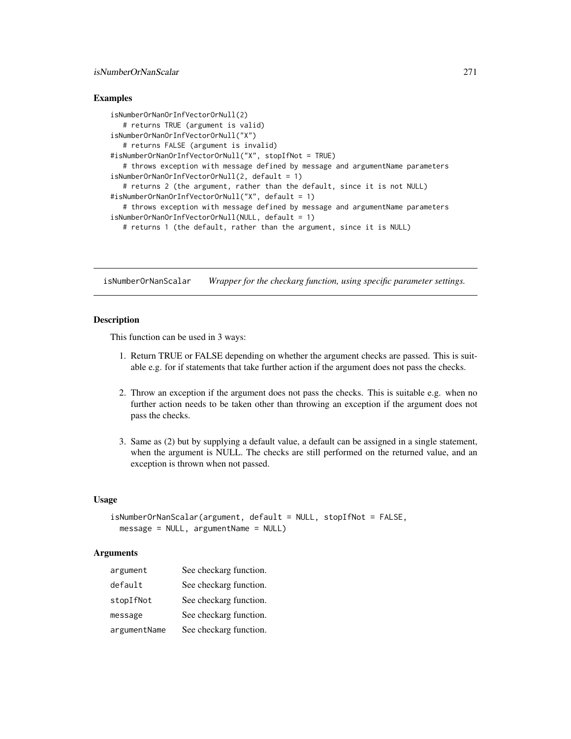## isNumberOrNanScalar 271

### Examples

```
isNumberOrNanOrInfVectorOrNull(2)
   # returns TRUE (argument is valid)
isNumberOrNanOrInfVectorOrNull("X")
   # returns FALSE (argument is invalid)
#isNumberOrNanOrInfVectorOrNull("X", stopIfNot = TRUE)
   # throws exception with message defined by message and argumentName parameters
isNumberOrNanOrInfVectorOrNull(2, default = 1)
   # returns 2 (the argument, rather than the default, since it is not NULL)
#isNumberOrNanOrInfVectorOrNull("X", default = 1)
   # throws exception with message defined by message and argumentName parameters
isNumberOrNanOrInfVectorOrNull(NULL, default = 1)
   # returns 1 (the default, rather than the argument, since it is NULL)
```
isNumberOrNanScalar *Wrapper for the checkarg function, using specific parameter settings.*

#### **Description**

This function can be used in 3 ways:

- 1. Return TRUE or FALSE depending on whether the argument checks are passed. This is suitable e.g. for if statements that take further action if the argument does not pass the checks.
- 2. Throw an exception if the argument does not pass the checks. This is suitable e.g. when no further action needs to be taken other than throwing an exception if the argument does not pass the checks.
- 3. Same as (2) but by supplying a default value, a default can be assigned in a single statement, when the argument is NULL. The checks are still performed on the returned value, and an exception is thrown when not passed.

### Usage

```
isNumberOrNanScalar(argument, default = NULL, stopIfNot = FALSE,
 message = NULL, argumentName = NULL)
```
#### **Arguments**

| argument     | See checkarg function. |
|--------------|------------------------|
| default      | See checkarg function. |
| stopIfNot    | See checkarg function. |
| message      | See checkarg function. |
| argumentName | See checkarg function. |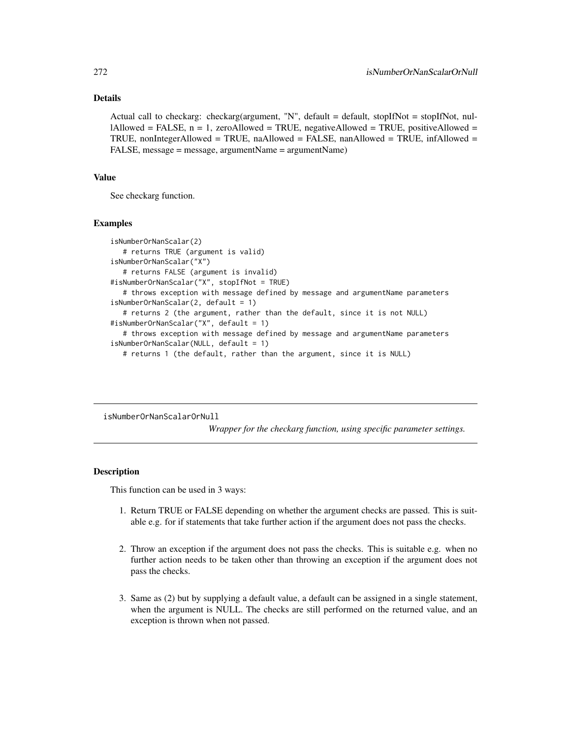# Details

Actual call to checkarg: checkarg(argument, "N", default = default, stopIfNot = stopIfNot, nullAllowed = FALSE, n = 1, zeroAllowed = TRUE, negativeAllowed = TRUE, positiveAllowed = TRUE, nonIntegerAllowed = TRUE, naAllowed = FALSE, nanAllowed = TRUE, infAllowed = FALSE, message = message, argumentName = argumentName)

### Value

See checkarg function.

#### Examples

```
isNumberOrNanScalar(2)
   # returns TRUE (argument is valid)
isNumberOrNanScalar("X")
   # returns FALSE (argument is invalid)
#isNumberOrNanScalar("X", stopIfNot = TRUE)
   # throws exception with message defined by message and argumentName parameters
isNumberOrNanScalar(2, default = 1)
   # returns 2 (the argument, rather than the default, since it is not NULL)
#isNumberOrNanScalar("X", default = 1)
   # throws exception with message defined by message and argumentName parameters
isNumberOrNanScalar(NULL, default = 1)
  # returns 1 (the default, rather than the argument, since it is NULL)
```
isNumberOrNanScalarOrNull

*Wrapper for the checkarg function, using specific parameter settings.*

# **Description**

This function can be used in 3 ways:

- 1. Return TRUE or FALSE depending on whether the argument checks are passed. This is suitable e.g. for if statements that take further action if the argument does not pass the checks.
- 2. Throw an exception if the argument does not pass the checks. This is suitable e.g. when no further action needs to be taken other than throwing an exception if the argument does not pass the checks.
- 3. Same as (2) but by supplying a default value, a default can be assigned in a single statement, when the argument is NULL. The checks are still performed on the returned value, and an exception is thrown when not passed.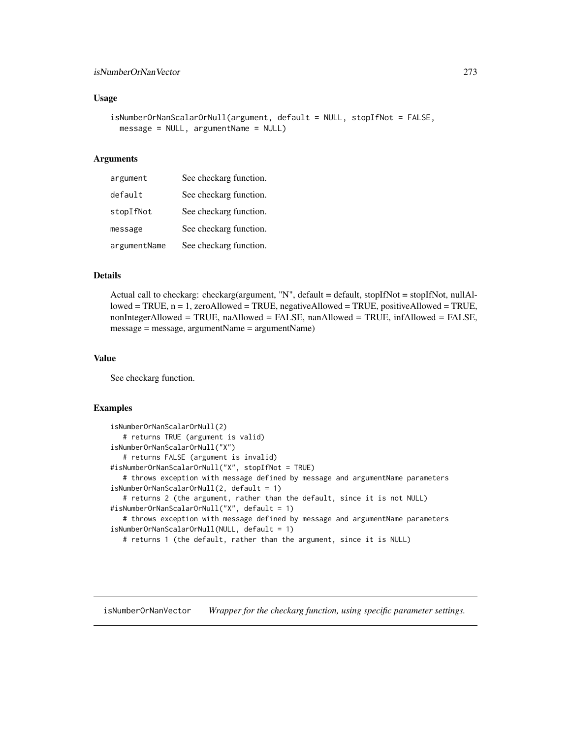## isNumberOrNanVector 273

### Usage

```
isNumberOrNanScalarOrNull(argument, default = NULL, stopIfNot = FALSE,
 message = NULL, argumentName = NULL)
```
# Arguments

| argument     | See checkarg function. |
|--------------|------------------------|
| default      | See checkarg function. |
| stopIfNot    | See checkarg function. |
| message      | See checkarg function. |
| argumentName | See checkarg function. |

#### Details

Actual call to checkarg: checkarg(argument, "N", default = default, stopIfNot = stopIfNot, nullAllowed = TRUE,  $n = 1$ , zeroAllowed = TRUE, negativeAllowed = TRUE, positiveAllowed = TRUE, nonIntegerAllowed = TRUE, naAllowed = FALSE, nanAllowed = TRUE, infAllowed = FALSE, message = message, argumentName = argumentName)

## Value

See checkarg function.

#### Examples

```
isNumberOrNanScalarOrNull(2)
   # returns TRUE (argument is valid)
isNumberOrNanScalarOrNull("X")
   # returns FALSE (argument is invalid)
#isNumberOrNanScalarOrNull("X", stopIfNot = TRUE)
   # throws exception with message defined by message and argumentName parameters
isNumberOrNanScalarOrNull(2, default = 1)
   # returns 2 (the argument, rather than the default, since it is not NULL)
#isNumberOrNanScalarOrNull("X", default = 1)
   # throws exception with message defined by message and argumentName parameters
isNumberOrNanScalarOrNull(NULL, default = 1)
   # returns 1 (the default, rather than the argument, since it is NULL)
```
isNumberOrNanVector *Wrapper for the checkarg function, using specific parameter settings.*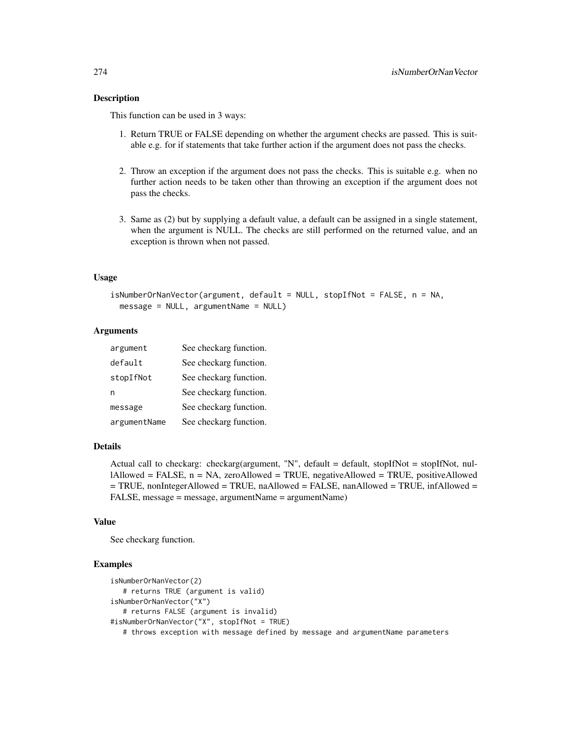### **Description**

This function can be used in 3 ways:

- 1. Return TRUE or FALSE depending on whether the argument checks are passed. This is suitable e.g. for if statements that take further action if the argument does not pass the checks.
- 2. Throw an exception if the argument does not pass the checks. This is suitable e.g. when no further action needs to be taken other than throwing an exception if the argument does not pass the checks.
- 3. Same as (2) but by supplying a default value, a default can be assigned in a single statement, when the argument is NULL. The checks are still performed on the returned value, and an exception is thrown when not passed.

#### Usage

```
isNumberOrNanVector(argument, default = NULL, stopIfNot = FALSE, n = NA,
 message = NULL, argumentName = NULL)
```
### Arguments

| argument     | See checkarg function. |
|--------------|------------------------|
| default      | See checkarg function. |
| stopIfNot    | See checkarg function. |
| n            | See checkarg function. |
| message      | See checkarg function. |
| argumentName | See checkarg function. |

### Details

Actual call to checkarg: checkarg(argument, "N", default = default, stopIfNot = stopIfNot, nul- $1$ Allowed = FALSE,  $n = NA$ , zeroAllowed = TRUE, negativeAllowed = TRUE, positiveAllowed = TRUE, nonIntegerAllowed = TRUE, naAllowed = FALSE, nanAllowed = TRUE, infAllowed = FALSE, message = message, argumentName = argumentName)

### Value

See checkarg function.

```
isNumberOrNanVector(2)
   # returns TRUE (argument is valid)
isNumberOrNanVector("X")
   # returns FALSE (argument is invalid)
#isNumberOrNanVector("X", stopIfNot = TRUE)
  # throws exception with message defined by message and argumentName parameters
```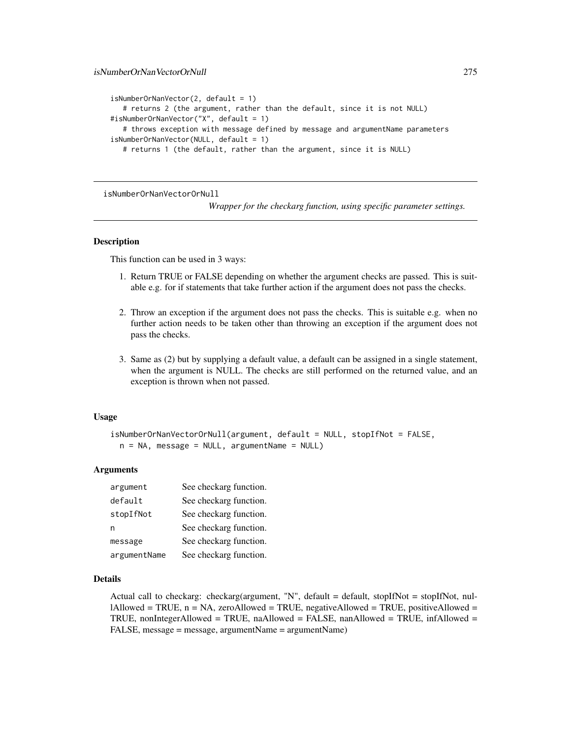```
isNumberOrNanVector(2, default = 1)
   # returns 2 (the argument, rather than the default, since it is not NULL)
#isNumberOrNanVector("X", default = 1)
   # throws exception with message defined by message and argumentName parameters
isNumberOrNanVector(NULL, default = 1)
  # returns 1 (the default, rather than the argument, since it is NULL)
```
isNumberOrNanVectorOrNull

*Wrapper for the checkarg function, using specific parameter settings.*

## **Description**

This function can be used in 3 ways:

- 1. Return TRUE or FALSE depending on whether the argument checks are passed. This is suitable e.g. for if statements that take further action if the argument does not pass the checks.
- 2. Throw an exception if the argument does not pass the checks. This is suitable e.g. when no further action needs to be taken other than throwing an exception if the argument does not pass the checks.
- 3. Same as (2) but by supplying a default value, a default can be assigned in a single statement, when the argument is NULL. The checks are still performed on the returned value, and an exception is thrown when not passed.

#### Usage

```
isNumberOrNanVectorOrNull(argument, default = NULL, stopIfNot = FALSE,
 n = NA, message = NULL, argumentName = NULL)
```
#### **Arguments**

| argument     | See checkarg function. |
|--------------|------------------------|
| default      | See checkarg function. |
| stopIfNot    | See checkarg function. |
| n            | See checkarg function. |
| message      | See checkarg function. |
| argumentName | See checkarg function. |

#### Details

Actual call to checkarg: checkarg(argument, "N", default = default, stopIfNot = stopIfNot, nullAllowed = TRUE,  $n = NA$ , zeroAllowed = TRUE, negativeAllowed = TRUE, positiveAllowed = TRUE, nonIntegerAllowed = TRUE, naAllowed = FALSE, nanAllowed = TRUE, infAllowed = FALSE, message = message, argumentName = argumentName)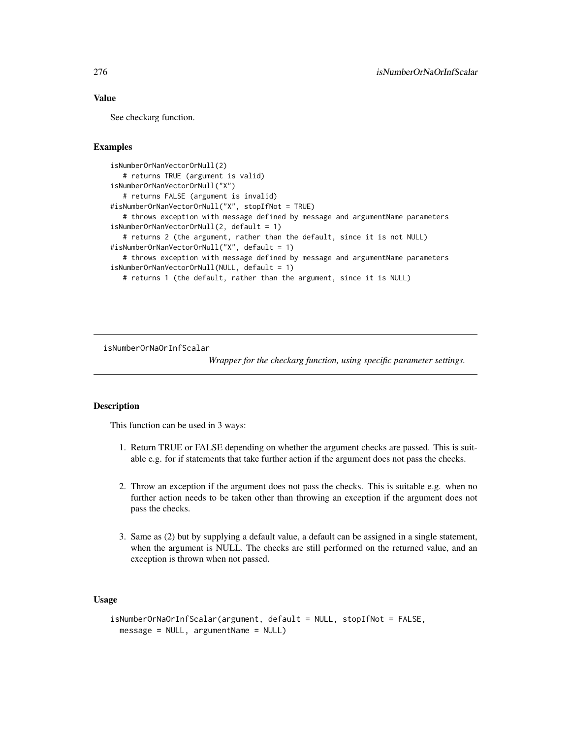# Value

See checkarg function.

### Examples

```
isNumberOrNanVectorOrNull(2)
  # returns TRUE (argument is valid)
isNumberOrNanVectorOrNull("X")
  # returns FALSE (argument is invalid)
#isNumberOrNanVectorOrNull("X", stopIfNot = TRUE)
  # throws exception with message defined by message and argumentName parameters
isNumberOrNanVectorOrNull(2, default = 1)
  # returns 2 (the argument, rather than the default, since it is not NULL)
#isNumberOrNanVectorOrNull("X", default = 1)
  # throws exception with message defined by message and argumentName parameters
isNumberOrNanVectorOrNull(NULL, default = 1)
  # returns 1 (the default, rather than the argument, since it is NULL)
```
isNumberOrNaOrInfScalar

*Wrapper for the checkarg function, using specific parameter settings.*

### Description

This function can be used in 3 ways:

- 1. Return TRUE or FALSE depending on whether the argument checks are passed. This is suitable e.g. for if statements that take further action if the argument does not pass the checks.
- 2. Throw an exception if the argument does not pass the checks. This is suitable e.g. when no further action needs to be taken other than throwing an exception if the argument does not pass the checks.
- 3. Same as (2) but by supplying a default value, a default can be assigned in a single statement, when the argument is NULL. The checks are still performed on the returned value, and an exception is thrown when not passed.

# Usage

```
isNumberOrNaOrInfScalar(argument, default = NULL, stopIfNot = FALSE,
 message = NULL, argumentName = NULL)
```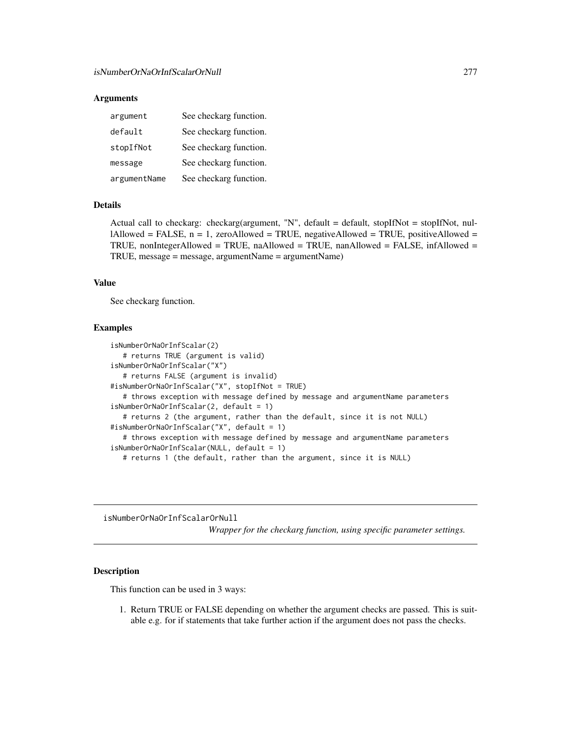#### **Arguments**

| argument     | See checkarg function. |
|--------------|------------------------|
| default      | See checkarg function. |
| stopIfNot    | See checkarg function. |
| message      | See checkarg function. |
| argumentName | See checkarg function. |

# Details

Actual call to checkarg: checkarg(argument, "N", default = default, stopIfNot = stopIfNot, nullAllowed = FALSE,  $n = 1$ , zeroAllowed = TRUE, negativeAllowed = TRUE, positiveAllowed = TRUE, nonIntegerAllowed = TRUE, naAllowed = TRUE, nanAllowed = FALSE, infAllowed = TRUE, message = message, argumentName = argumentName)

## Value

See checkarg function.

# Examples

```
isNumberOrNaOrInfScalar(2)
  # returns TRUE (argument is valid)
isNumberOrNaOrInfScalar("X")
  # returns FALSE (argument is invalid)
#isNumberOrNaOrInfScalar("X", stopIfNot = TRUE)
   # throws exception with message defined by message and argumentName parameters
isNumberOrNaOrInfScalar(2, default = 1)
   # returns 2 (the argument, rather than the default, since it is not NULL)
#isNumberOrNaOrInfScalar("X", default = 1)
   # throws exception with message defined by message and argumentName parameters
isNumberOrNaOrInfScalar(NULL, default = 1)
   # returns 1 (the default, rather than the argument, since it is NULL)
```
isNumberOrNaOrInfScalarOrNull

*Wrapper for the checkarg function, using specific parameter settings.*

### Description

This function can be used in 3 ways:

1. Return TRUE or FALSE depending on whether the argument checks are passed. This is suitable e.g. for if statements that take further action if the argument does not pass the checks.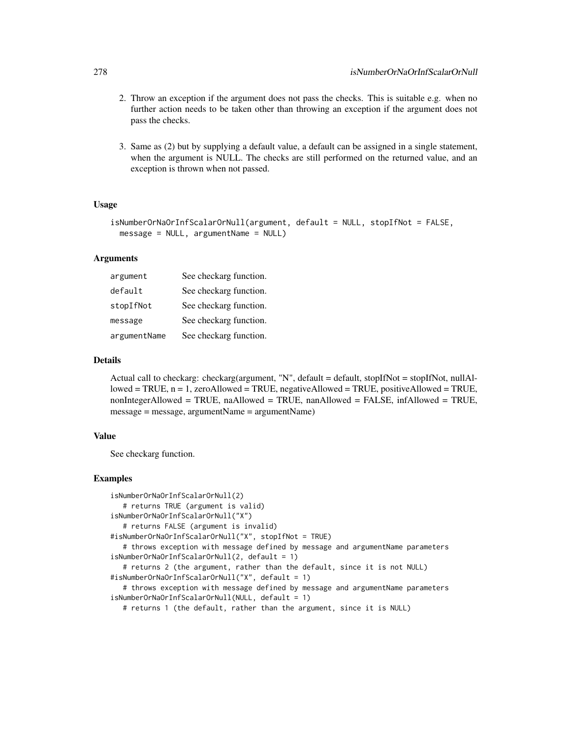- 2. Throw an exception if the argument does not pass the checks. This is suitable e.g. when no further action needs to be taken other than throwing an exception if the argument does not pass the checks.
- 3. Same as (2) but by supplying a default value, a default can be assigned in a single statement, when the argument is NULL. The checks are still performed on the returned value, and an exception is thrown when not passed.

# Usage

```
isNumberOrNaOrInfScalarOrNull(argument, default = NULL, stopIfNot = FALSE,
 message = NULL, argumentName = NULL)
```
### Arguments

| argument     | See checkarg function. |
|--------------|------------------------|
| default      | See checkarg function. |
| stopIfNot    | See checkarg function. |
| message      | See checkarg function. |
| argumentName | See checkarg function. |

## Details

Actual call to checkarg: checkarg(argument, "N", default = default, stopIfNot = stopIfNot, nullAl $loved = TRUE, n = 1, zero$ Allowed = TRUE, negativeAllowed = TRUE, positiveAllowed = TRUE, nonIntegerAllowed = TRUE, naAllowed = TRUE, nanAllowed = FALSE, infAllowed = TRUE, message = message, argumentName = argumentName)

## Value

See checkarg function.

```
isNumberOrNaOrInfScalarOrNull(2)
   # returns TRUE (argument is valid)
isNumberOrNaOrInfScalarOrNull("X")
   # returns FALSE (argument is invalid)
#isNumberOrNaOrInfScalarOrNull("X", stopIfNot = TRUE)
   # throws exception with message defined by message and argumentName parameters
isNumberOrNaOrInfScalarOrNull(2, default = 1)
   # returns 2 (the argument, rather than the default, since it is not NULL)
#isNumberOrNaOrInfScalarOrNull("X", default = 1)
   # throws exception with message defined by message and argumentName parameters
isNumberOrNaOrInfScalarOrNull(NULL, default = 1)
   # returns 1 (the default, rather than the argument, since it is NULL)
```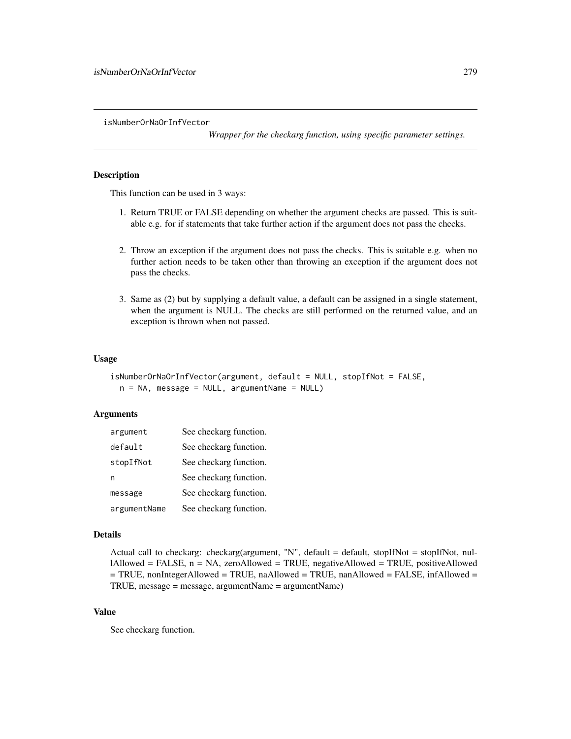isNumberOrNaOrInfVector

*Wrapper for the checkarg function, using specific parameter settings.*

# **Description**

This function can be used in 3 ways:

- 1. Return TRUE or FALSE depending on whether the argument checks are passed. This is suitable e.g. for if statements that take further action if the argument does not pass the checks.
- 2. Throw an exception if the argument does not pass the checks. This is suitable e.g. when no further action needs to be taken other than throwing an exception if the argument does not pass the checks.
- 3. Same as (2) but by supplying a default value, a default can be assigned in a single statement, when the argument is NULL. The checks are still performed on the returned value, and an exception is thrown when not passed.

## Usage

```
isNumberOrNaOrInfVector(argument, default = NULL, stopIfNot = FALSE,
 n = NA, message = NULL, argumentName = NULL)
```
## Arguments

| argument     | See checkarg function. |
|--------------|------------------------|
| default      | See checkarg function. |
| stopIfNot    | See checkarg function. |
| n            | See checkarg function. |
| message      | See checkarg function. |
| argumentName | See checkarg function. |

#### Details

Actual call to checkarg: checkarg(argument, "N", default = default, stopIfNot = stopIfNot, nullAllowed = FALSE, n = NA, zeroAllowed = TRUE, negativeAllowed = TRUE, positiveAllowed = TRUE, nonIntegerAllowed = TRUE, naAllowed = TRUE, nanAllowed = FALSE, infAllowed = TRUE, message = message, argumentName = argumentName)

## Value

See checkarg function.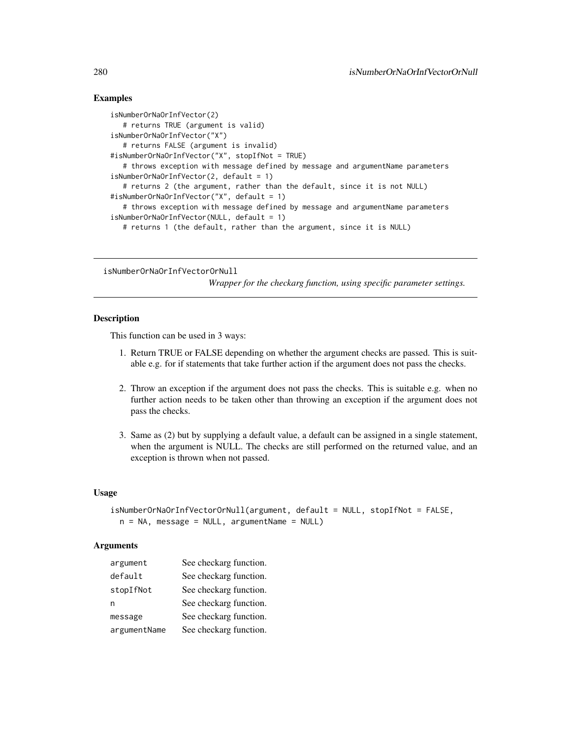## Examples

```
isNumberOrNaOrInfVector(2)
   # returns TRUE (argument is valid)
isNumberOrNaOrInfVector("X")
   # returns FALSE (argument is invalid)
#isNumberOrNaOrInfVector("X", stopIfNot = TRUE)
   # throws exception with message defined by message and argumentName parameters
isNumberOrNaOrInfVector(2, default = 1)
  # returns 2 (the argument, rather than the default, since it is not NULL)
#isNumberOrNaOrInfVector("X", default = 1)
   # throws exception with message defined by message and argumentName parameters
isNumberOrNaOrInfVector(NULL, default = 1)
  # returns 1 (the default, rather than the argument, since it is NULL)
```
isNumberOrNaOrInfVectorOrNull

*Wrapper for the checkarg function, using specific parameter settings.*

## Description

This function can be used in 3 ways:

- 1. Return TRUE or FALSE depending on whether the argument checks are passed. This is suitable e.g. for if statements that take further action if the argument does not pass the checks.
- 2. Throw an exception if the argument does not pass the checks. This is suitable e.g. when no further action needs to be taken other than throwing an exception if the argument does not pass the checks.
- 3. Same as (2) but by supplying a default value, a default can be assigned in a single statement, when the argument is NULL. The checks are still performed on the returned value, and an exception is thrown when not passed.

#### Usage

```
isNumberOrNaOrInfVectorOrNull(argument, default = NULL, stopIfNot = FALSE,
 n = NA, message = NULL, argumentName = NULL)
```
### Arguments

| argument     | See checkarg function. |
|--------------|------------------------|
| default      | See checkarg function. |
| stopIfNot    | See checkarg function. |
| n            | See checkarg function. |
| message      | See checkarg function. |
| argumentName | See checkarg function. |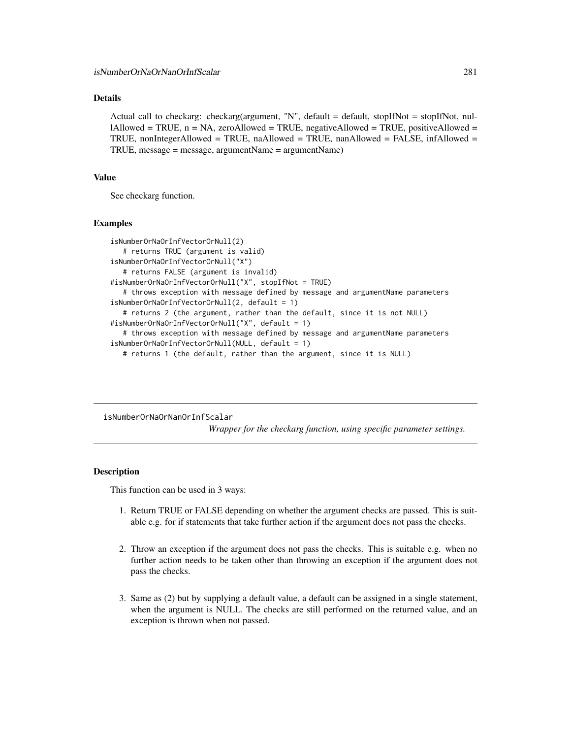# Details

Actual call to checkarg: checkarg(argument, "N", default = default, stopIfNot = stopIfNot, nullAllowed = TRUE,  $n = NA$ , zeroAllowed = TRUE, negativeAllowed = TRUE, positiveAllowed = TRUE, nonIntegerAllowed = TRUE, naAllowed = TRUE, nanAllowed = FALSE, infAllowed = TRUE, message = message, argumentName = argumentName)

#### Value

See checkarg function.

#### Examples

```
isNumberOrNaOrInfVectorOrNull(2)
  # returns TRUE (argument is valid)
isNumberOrNaOrInfVectorOrNull("X")
  # returns FALSE (argument is invalid)
#isNumberOrNaOrInfVectorOrNull("X", stopIfNot = TRUE)
  # throws exception with message defined by message and argumentName parameters
isNumberOrNaOrInfVectorOrNull(2, default = 1)
  # returns 2 (the argument, rather than the default, since it is not NULL)
#isNumberOrNaOrInfVectorOrNull("X", default = 1)
  # throws exception with message defined by message and argumentName parameters
isNumberOrNaOrInfVectorOrNull(NULL, default = 1)
  # returns 1 (the default, rather than the argument, since it is NULL)
```
isNumberOrNaOrNanOrInfScalar *Wrapper for the checkarg function, using specific parameter settings.*

#### Description

This function can be used in 3 ways:

- 1. Return TRUE or FALSE depending on whether the argument checks are passed. This is suitable e.g. for if statements that take further action if the argument does not pass the checks.
- 2. Throw an exception if the argument does not pass the checks. This is suitable e.g. when no further action needs to be taken other than throwing an exception if the argument does not pass the checks.
- 3. Same as (2) but by supplying a default value, a default can be assigned in a single statement, when the argument is NULL. The checks are still performed on the returned value, and an exception is thrown when not passed.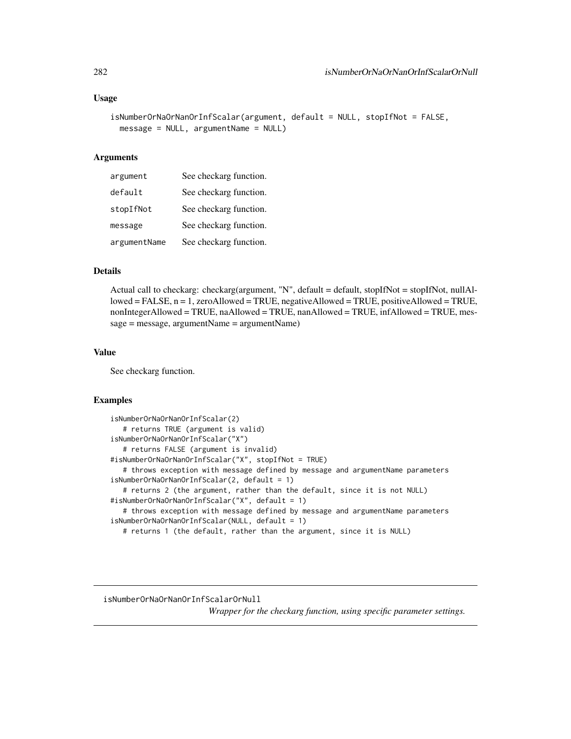#### Usage

```
isNumberOrNaOrNanOrInfScalar(argument, default = NULL, stopIfNot = FALSE,
 message = NULL, argumentName = NULL)
```
#### Arguments

| argument     | See checkarg function. |
|--------------|------------------------|
| default      | See checkarg function. |
| stopIfNot    | See checkarg function. |
| message      | See checkarg function. |
| argumentName | See checkarg function. |

## Details

Actual call to checkarg: checkarg(argument, "N", default = default, stopIfNot = stopIfNot, nullAllowed = FALSE, n = 1, zeroAllowed = TRUE, negativeAllowed = TRUE, positiveAllowed = TRUE, nonIntegerAllowed = TRUE, naAllowed = TRUE, nanAllowed = TRUE, infAllowed = TRUE, mes $sage = message, argumentName = argumentName)$ 

### Value

See checkarg function.

## Examples

```
isNumberOrNaOrNanOrInfScalar(2)
   # returns TRUE (argument is valid)
isNumberOrNaOrNanOrInfScalar("X")
   # returns FALSE (argument is invalid)
#isNumberOrNaOrNanOrInfScalar("X", stopIfNot = TRUE)
   # throws exception with message defined by message and argumentName parameters
isNumberOrNaOrNanOrInfScalar(2, default = 1)
   # returns 2 (the argument, rather than the default, since it is not NULL)
#isNumberOrNaOrNanOrInfScalar("X", default = 1)
   # throws exception with message defined by message and argumentName parameters
isNumberOrNaOrNanOrInfScalar(NULL, default = 1)
  # returns 1 (the default, rather than the argument, since it is NULL)
```
isNumberOrNaOrNanOrInfScalarOrNull

*Wrapper for the checkarg function, using specific parameter settings.*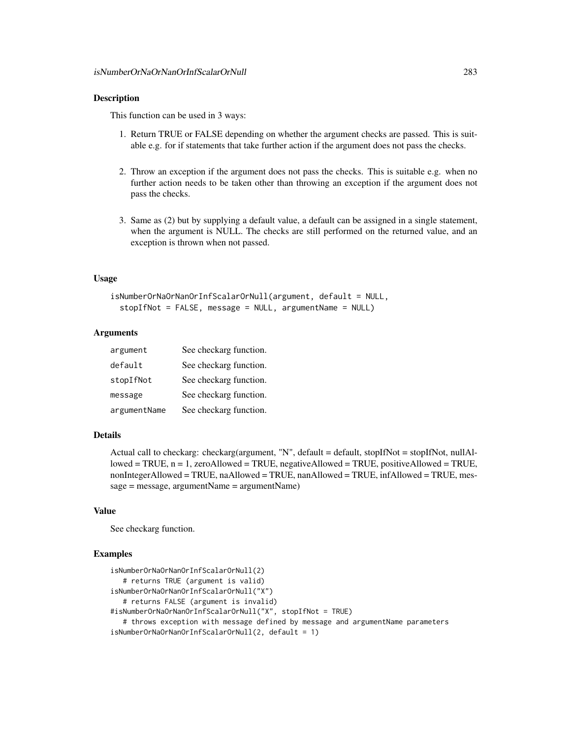### **Description**

This function can be used in 3 ways:

- 1. Return TRUE or FALSE depending on whether the argument checks are passed. This is suitable e.g. for if statements that take further action if the argument does not pass the checks.
- 2. Throw an exception if the argument does not pass the checks. This is suitable e.g. when no further action needs to be taken other than throwing an exception if the argument does not pass the checks.
- 3. Same as (2) but by supplying a default value, a default can be assigned in a single statement, when the argument is NULL. The checks are still performed on the returned value, and an exception is thrown when not passed.

#### Usage

```
isNumberOrNaOrNanOrInfScalarOrNull(argument, default = NULL,
 stopIfNot = FALSE, message = NULL, argumentName = NULL)
```
### Arguments

| argument     | See checkarg function. |
|--------------|------------------------|
| default      | See checkarg function. |
| stopIfNot    | See checkarg function. |
| message      | See checkarg function. |
| argumentName | See checkarg function. |

### Details

Actual call to checkarg: checkarg(argument, "N", default = default, stopIfNot = stopIfNot, nullAllowed = TRUE,  $n = 1$ , zeroAllowed = TRUE, negativeAllowed = TRUE, positiveAllowed = TRUE, nonIntegerAllowed = TRUE, naAllowed = TRUE, nanAllowed = TRUE, infAllowed = TRUE, message = message, argumentName = argumentName)

### Value

See checkarg function.

```
isNumberOrNaOrNanOrInfScalarOrNull(2)
   # returns TRUE (argument is valid)
isNumberOrNaOrNanOrInfScalarOrNull("X")
   # returns FALSE (argument is invalid)
#isNumberOrNaOrNanOrInfScalarOrNull("X", stopIfNot = TRUE)
   # throws exception with message defined by message and argumentName parameters
isNumberOrNaOrNanOrInfScalarOrNull(2, default = 1)
```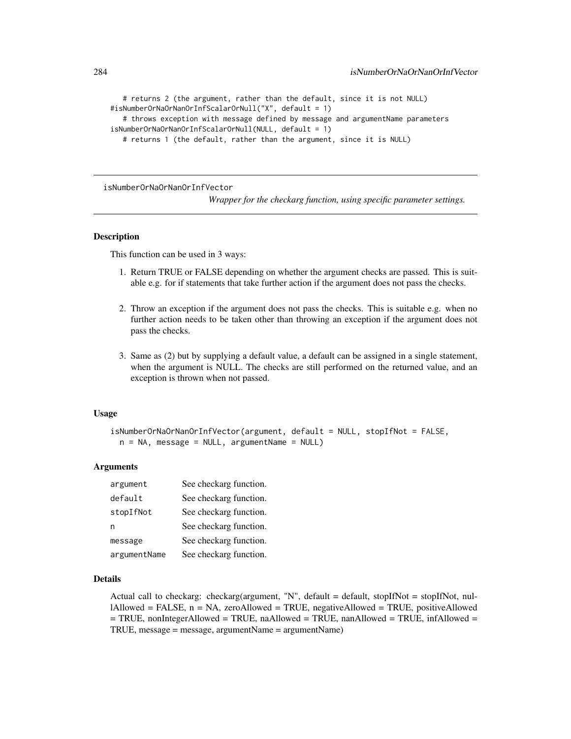```
# returns 2 (the argument, rather than the default, since it is not NULL)
#isNumberOrNaOrNanOrInfScalarOrNull("X", default = 1)
   # throws exception with message defined by message and argumentName parameters
isNumberOrNaOrNanOrInfScalarOrNull(NULL, default = 1)
  # returns 1 (the default, rather than the argument, since it is NULL)
```
isNumberOrNaOrNanOrInfVector

*Wrapper for the checkarg function, using specific parameter settings.*

## **Description**

This function can be used in 3 ways:

- 1. Return TRUE or FALSE depending on whether the argument checks are passed. This is suitable e.g. for if statements that take further action if the argument does not pass the checks.
- 2. Throw an exception if the argument does not pass the checks. This is suitable e.g. when no further action needs to be taken other than throwing an exception if the argument does not pass the checks.
- 3. Same as (2) but by supplying a default value, a default can be assigned in a single statement, when the argument is NULL. The checks are still performed on the returned value, and an exception is thrown when not passed.

#### Usage

isNumberOrNaOrNanOrInfVector(argument, default = NULL, stopIfNot = FALSE,  $n = NA$ , message = NULL, argumentName = NULL)

### Arguments

| argument     | See checkarg function. |
|--------------|------------------------|
| default      | See checkarg function. |
| stopIfNot    | See checkarg function. |
| n            | See checkarg function. |
| message      | See checkarg function. |
| argumentName | See checkarg function. |

### Details

Actual call to checkarg: checkarg(argument, "N", default = default, stopIfNot = stopIfNot, nullAllowed = FALSE, n = NA, zeroAllowed = TRUE, negativeAllowed = TRUE, positiveAllowed  $=$  TRUE, nonIntegerAllowed = TRUE, naAllowed = TRUE, nanAllowed = TRUE, infAllowed = TRUE, message = message, argumentName = argumentName)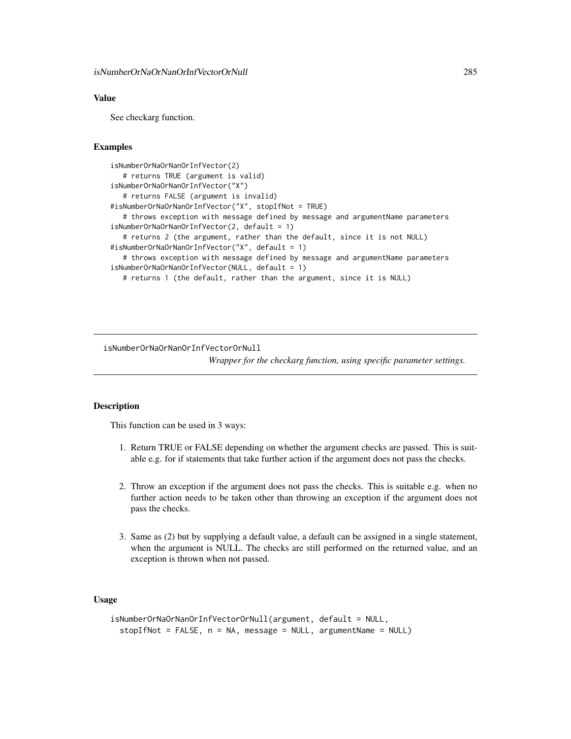## Value

See checkarg function.

# Examples

```
isNumberOrNaOrNanOrInfVector(2)
  # returns TRUE (argument is valid)
isNumberOrNaOrNanOrInfVector("X")
  # returns FALSE (argument is invalid)
#isNumberOrNaOrNanOrInfVector("X", stopIfNot = TRUE)
  # throws exception with message defined by message and argumentName parameters
isNumberOrNaOrNanOrInfVector(2, default = 1)
  # returns 2 (the argument, rather than the default, since it is not NULL)
#isNumberOrNaOrNanOrInfVector("X", default = 1)
  # throws exception with message defined by message and argumentName parameters
isNumberOrNaOrNanOrInfVector(NULL, default = 1)
  # returns 1 (the default, rather than the argument, since it is NULL)
```
isNumberOrNaOrNanOrInfVectorOrNull

*Wrapper for the checkarg function, using specific parameter settings.*

### Description

This function can be used in 3 ways:

- 1. Return TRUE or FALSE depending on whether the argument checks are passed. This is suitable e.g. for if statements that take further action if the argument does not pass the checks.
- 2. Throw an exception if the argument does not pass the checks. This is suitable e.g. when no further action needs to be taken other than throwing an exception if the argument does not pass the checks.
- 3. Same as (2) but by supplying a default value, a default can be assigned in a single statement, when the argument is NULL. The checks are still performed on the returned value, and an exception is thrown when not passed.

# Usage

```
isNumberOrNaOrNanOrInfVectorOrNull(argument, default = NULL,
 stopIfNot = FALSE, n = NA, message = NULL, argumentName = NULL)
```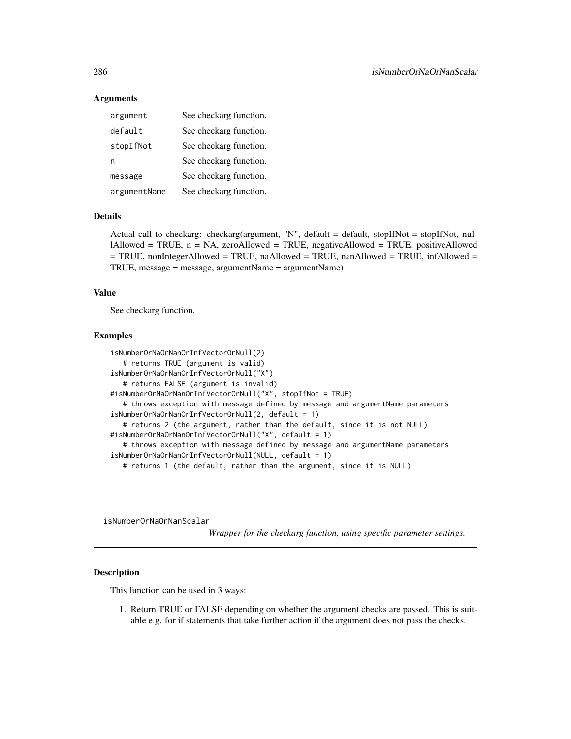### Arguments

| argument     | See checkarg function. |
|--------------|------------------------|
| default      | See checkarg function. |
| stopIfNot    | See checkarg function. |
| n            | See checkarg function. |
| message      | See checkarg function. |
| argumentName | See checkarg function. |

#### Details

Actual call to checkarg: checkarg(argument, "N", default = default, stopIfNot = stopIfNot, nullAllowed = TRUE, n = NA, zeroAllowed = TRUE, negativeAllowed = TRUE, positiveAllowed = TRUE, nonIntegerAllowed = TRUE, naAllowed = TRUE, nanAllowed = TRUE, infAllowed = TRUE, message = message, argumentName = argumentName)

### Value

See checkarg function.

#### Examples

```
isNumberOrNaOrNanOrInfVectorOrNull(2)
   # returns TRUE (argument is valid)
isNumberOrNaOrNanOrInfVectorOrNull("X")
   # returns FALSE (argument is invalid)
#isNumberOrNaOrNanOrInfVectorOrNull("X", stopIfNot = TRUE)
   # throws exception with message defined by message and argumentName parameters
isNumberOrNaOrNanOrInfVectorOrNull(2, default = 1)
   # returns 2 (the argument, rather than the default, since it is not NULL)
#isNumberOrNaOrNanOrInfVectorOrNull("X", default = 1)
   # throws exception with message defined by message and argumentName parameters
isNumberOrNaOrNanOrInfVectorOrNull(NULL, default = 1)
  # returns 1 (the default, rather than the argument, since it is NULL)
```
isNumberOrNaOrNanScalar

*Wrapper for the checkarg function, using specific parameter settings.*

## Description

This function can be used in 3 ways:

1. Return TRUE or FALSE depending on whether the argument checks are passed. This is suitable e.g. for if statements that take further action if the argument does not pass the checks.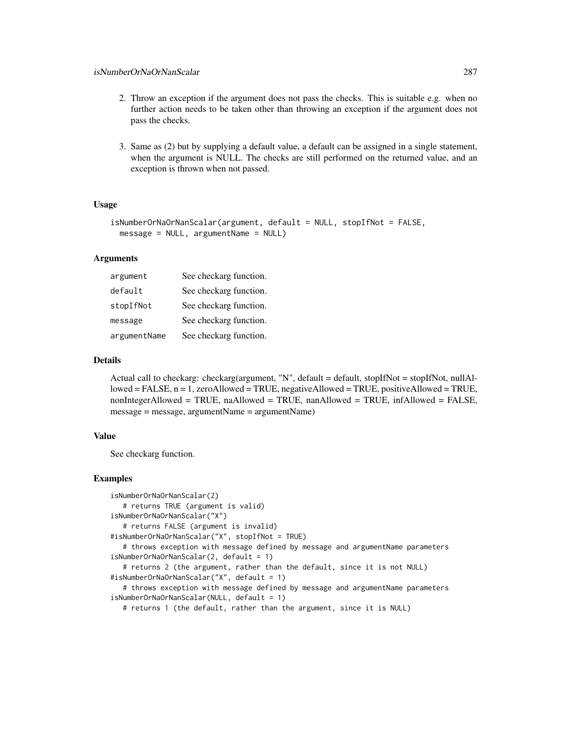- 2. Throw an exception if the argument does not pass the checks. This is suitable e.g. when no further action needs to be taken other than throwing an exception if the argument does not pass the checks.
- 3. Same as (2) but by supplying a default value, a default can be assigned in a single statement, when the argument is NULL. The checks are still performed on the returned value, and an exception is thrown when not passed.

# Usage

```
isNumberOrNaOrNanScalar(argument, default = NULL, stopIfNot = FALSE,
 message = NULL, argumentName = NULL)
```
### Arguments

| argument     | See checkarg function. |
|--------------|------------------------|
| default      | See checkarg function. |
| stopIfNot    | See checkarg function. |
| message      | See checkarg function. |
| argumentName | See checkarg function. |

## Details

Actual call to checkarg: checkarg(argument, "N", default = default, stopIfNot = stopIfNot, nullAllowed = FALSE, n = 1, zeroAllowed = TRUE, negativeAllowed = TRUE, positiveAllowed = TRUE, nonIntegerAllowed = TRUE, naAllowed = TRUE, nanAllowed = TRUE, infAllowed = FALSE, message = message, argumentName = argumentName)

## Value

See checkarg function.

```
isNumberOrNaOrNanScalar(2)
   # returns TRUE (argument is valid)
isNumberOrNaOrNanScalar("X")
   # returns FALSE (argument is invalid)
#isNumberOrNaOrNanScalar("X", stopIfNot = TRUE)
   # throws exception with message defined by message and argumentName parameters
isNumberOrNaOrNanScalar(2, default = 1)
   # returns 2 (the argument, rather than the default, since it is not NULL)
#isNumberOrNaOrNanScalar("X", default = 1)
   # throws exception with message defined by message and argumentName parameters
isNumberOrNaOrNanScalar(NULL, default = 1)
   # returns 1 (the default, rather than the argument, since it is NULL)
```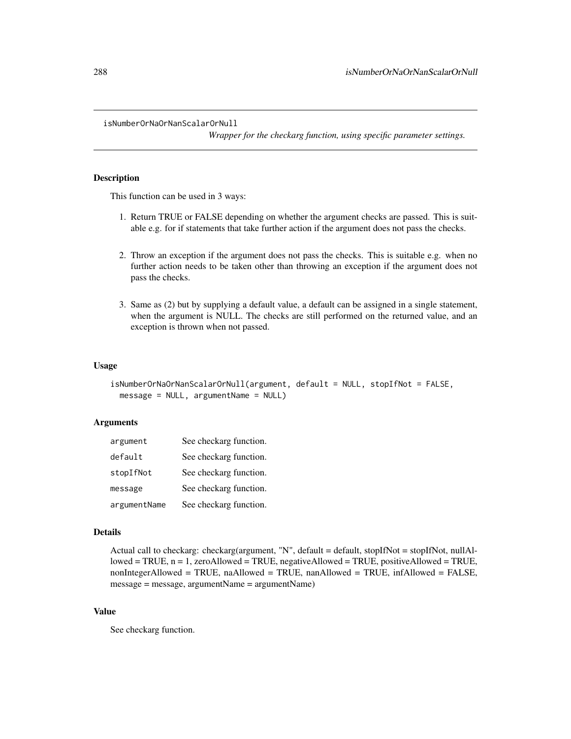isNumberOrNaOrNanScalarOrNull

*Wrapper for the checkarg function, using specific parameter settings.*

## Description

This function can be used in 3 ways:

- 1. Return TRUE or FALSE depending on whether the argument checks are passed. This is suitable e.g. for if statements that take further action if the argument does not pass the checks.
- 2. Throw an exception if the argument does not pass the checks. This is suitable e.g. when no further action needs to be taken other than throwing an exception if the argument does not pass the checks.
- 3. Same as (2) but by supplying a default value, a default can be assigned in a single statement, when the argument is NULL. The checks are still performed on the returned value, and an exception is thrown when not passed.

#### Usage

```
isNumberOrNaOrNanScalarOrNull(argument, default = NULL, stopIfNot = FALSE,
 message = NULL, argumentName = NULL)
```
### **Arguments**

| argument     | See checkarg function. |
|--------------|------------------------|
| default      | See checkarg function. |
| stopIfNot    | See checkarg function. |
| message      | See checkarg function. |
| argumentName | See checkarg function. |

#### Details

```
Actual call to checkarg: checkarg(argument, "N", default = default, stopIfNot = stopIfNot, nullAl-
lowed = TRUE, n = 1, zeroAllowed = TRUE, negativeAllowed = TRUE, positiveAllowed = TRUE,
nonIntegerAllowed = TRUE, naAllowed = TRUE, nanAllowed = TRUE, infAllowed = FALSE,
message = message, argumentName = argumentName)
```
# Value

See checkarg function.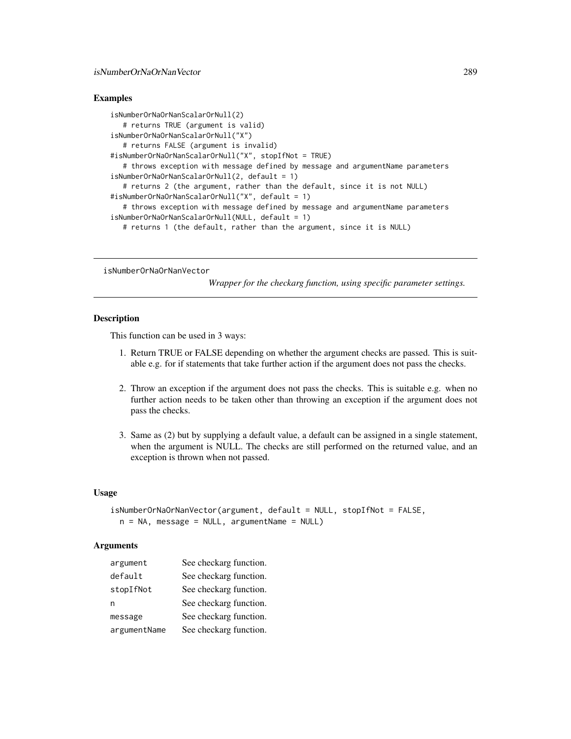## Examples

```
isNumberOrNaOrNanScalarOrNull(2)
   # returns TRUE (argument is valid)
isNumberOrNaOrNanScalarOrNull("X")
   # returns FALSE (argument is invalid)
#isNumberOrNaOrNanScalarOrNull("X", stopIfNot = TRUE)
   # throws exception with message defined by message and argumentName parameters
isNumberOrNaOrNanScalarOrNull(2, default = 1)
   # returns 2 (the argument, rather than the default, since it is not NULL)
#isNumberOrNaOrNanScalarOrNull("X", default = 1)
   # throws exception with message defined by message and argumentName parameters
isNumberOrNaOrNanScalarOrNull(NULL, default = 1)
  # returns 1 (the default, rather than the argument, since it is NULL)
```
isNumberOrNaOrNanVector

*Wrapper for the checkarg function, using specific parameter settings.*

# **Description**

This function can be used in 3 ways:

- 1. Return TRUE or FALSE depending on whether the argument checks are passed. This is suitable e.g. for if statements that take further action if the argument does not pass the checks.
- 2. Throw an exception if the argument does not pass the checks. This is suitable e.g. when no further action needs to be taken other than throwing an exception if the argument does not pass the checks.
- 3. Same as (2) but by supplying a default value, a default can be assigned in a single statement, when the argument is NULL. The checks are still performed on the returned value, and an exception is thrown when not passed.

### Usage

```
isNumberOrNaOrNanVector(argument, default = NULL, stopIfNot = FALSE,
 n = NA, message = NULL, argumentName = NULL)
```
## Arguments

| argument     | See checkarg function. |
|--------------|------------------------|
| default      | See checkarg function. |
| stopIfNot    | See checkarg function. |
| n            | See checkarg function. |
| message      | See checkarg function. |
| argumentName | See checkarg function. |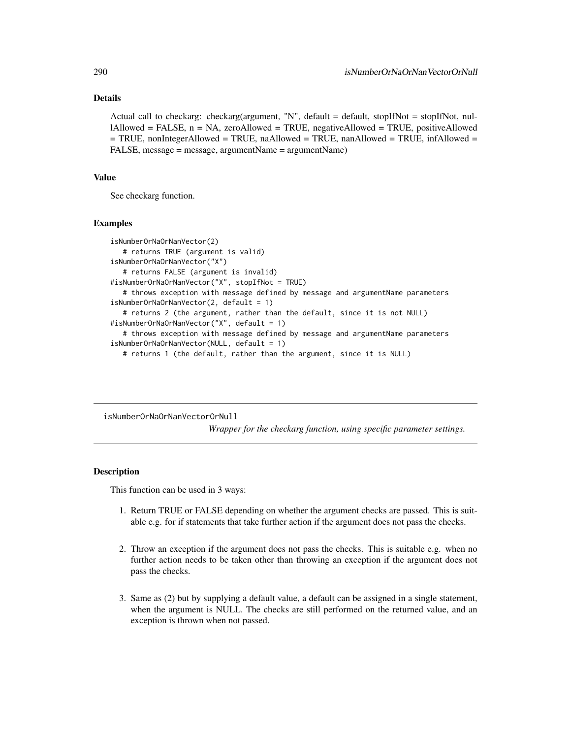# Details

Actual call to checkarg: checkarg(argument, "N", default = default, stopIfNot = stopIfNot, nullAllowed = FALSE, n = NA, zeroAllowed = TRUE, negativeAllowed = TRUE, positiveAllowed  $=$  TRUE, nonIntegerAllowed  $=$  TRUE, naAllowed  $=$  TRUE, nanAllowed  $=$  TRUE, infAllowed  $=$ FALSE, message = message, argumentName = argumentName)

### Value

See checkarg function.

## Examples

```
isNumberOrNaOrNanVector(2)
   # returns TRUE (argument is valid)
isNumberOrNaOrNanVector("X")
   # returns FALSE (argument is invalid)
#isNumberOrNaOrNanVector("X", stopIfNot = TRUE)
   # throws exception with message defined by message and argumentName parameters
isNumberOrNaOrNanVector(2, default = 1)
   # returns 2 (the argument, rather than the default, since it is not NULL)
#isNumberOrNaOrNanVector("X", default = 1)
   # throws exception with message defined by message and argumentName parameters
isNumberOrNaOrNanVector(NULL, default = 1)
  # returns 1 (the default, rather than the argument, since it is NULL)
```
isNumberOrNaOrNanVectorOrNull

*Wrapper for the checkarg function, using specific parameter settings.*

# **Description**

This function can be used in 3 ways:

- 1. Return TRUE or FALSE depending on whether the argument checks are passed. This is suitable e.g. for if statements that take further action if the argument does not pass the checks.
- 2. Throw an exception if the argument does not pass the checks. This is suitable e.g. when no further action needs to be taken other than throwing an exception if the argument does not pass the checks.
- 3. Same as (2) but by supplying a default value, a default can be assigned in a single statement, when the argument is NULL. The checks are still performed on the returned value, and an exception is thrown when not passed.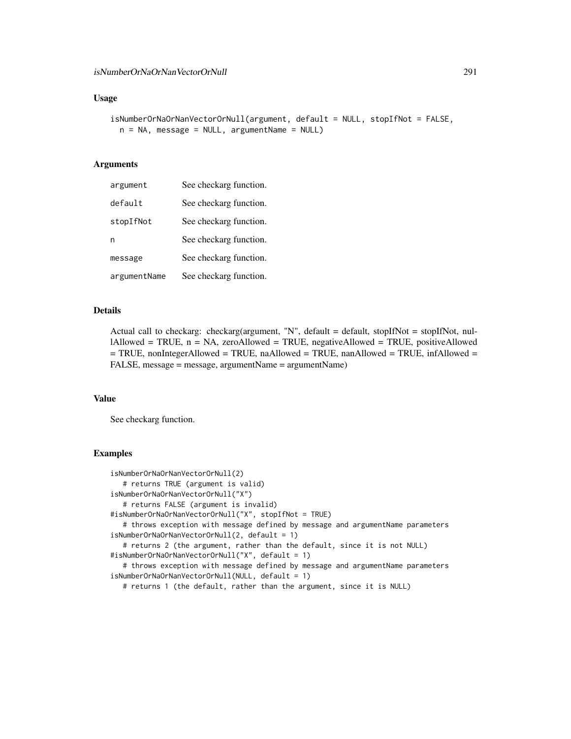```
isNumberOrNaOrNanVectorOrNull(argument, default = NULL, stopIfNot = FALSE,
 n = NA, message = NULL, argumentName = NULL)
```
## Arguments

| argument     | See checkarg function. |
|--------------|------------------------|
| default      | See checkarg function. |
| stopIfNot    | See checkarg function. |
| n            | See checkarg function. |
| message      | See checkarg function. |
| argumentName | See checkarg function. |

### Details

Actual call to checkarg: checkarg(argument, "N", default = default, stopIfNot = stopIfNot, nullAllowed = TRUE,  $n = NA$ , zeroAllowed = TRUE, negativeAllowed = TRUE, positiveAllowed  $=$  TRUE, nonIntegerAllowed = TRUE, naAllowed = TRUE, nanAllowed = TRUE, infAllowed = FALSE, message = message, argumentName = argumentName)

#### Value

See checkarg function.

```
isNumberOrNaOrNanVectorOrNull(2)
  # returns TRUE (argument is valid)
isNumberOrNaOrNanVectorOrNull("X")
  # returns FALSE (argument is invalid)
#isNumberOrNaOrNanVectorOrNull("X", stopIfNot = TRUE)
   # throws exception with message defined by message and argumentName parameters
isNumberOrNaOrNanVectorOrNull(2, default = 1)
   # returns 2 (the argument, rather than the default, since it is not NULL)
#isNumberOrNaOrNanVectorOrNull("X", default = 1)
   # throws exception with message defined by message and argumentName parameters
isNumberOrNaOrNanVectorOrNull(NULL, default = 1)
   # returns 1 (the default, rather than the argument, since it is NULL)
```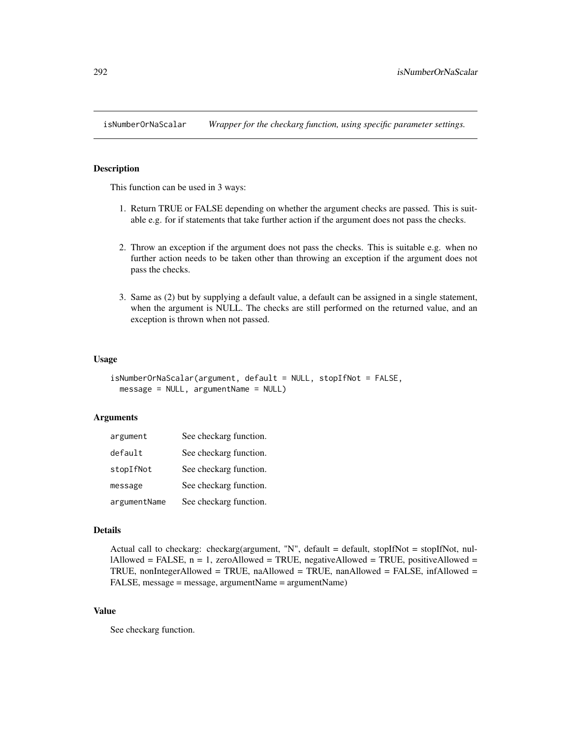isNumberOrNaScalar *Wrapper for the checkarg function, using specific parameter settings.*

# **Description**

This function can be used in 3 ways:

- 1. Return TRUE or FALSE depending on whether the argument checks are passed. This is suitable e.g. for if statements that take further action if the argument does not pass the checks.
- 2. Throw an exception if the argument does not pass the checks. This is suitable e.g. when no further action needs to be taken other than throwing an exception if the argument does not pass the checks.
- 3. Same as (2) but by supplying a default value, a default can be assigned in a single statement, when the argument is NULL. The checks are still performed on the returned value, and an exception is thrown when not passed.

### Usage

```
isNumberOrNaScalar(argument, default = NULL, stopIfNot = FALSE,
  message = NULL, argumentName = NULL)
```
### Arguments

| argument     | See checkarg function. |
|--------------|------------------------|
| default      | See checkarg function. |
| stopIfNot    | See checkarg function. |
| message      | See checkarg function. |
| argumentName | See checkarg function. |

## Details

Actual call to checkarg: checkarg(argument, "N", default = default, stopIfNot = stopIfNot, nullAllowed = FALSE,  $n = 1$ , zeroAllowed = TRUE, negativeAllowed = TRUE, positiveAllowed = TRUE, nonIntegerAllowed = TRUE, naAllowed = TRUE, nanAllowed = FALSE, infAllowed = FALSE, message = message, argumentName = argumentName)

## Value

See checkarg function.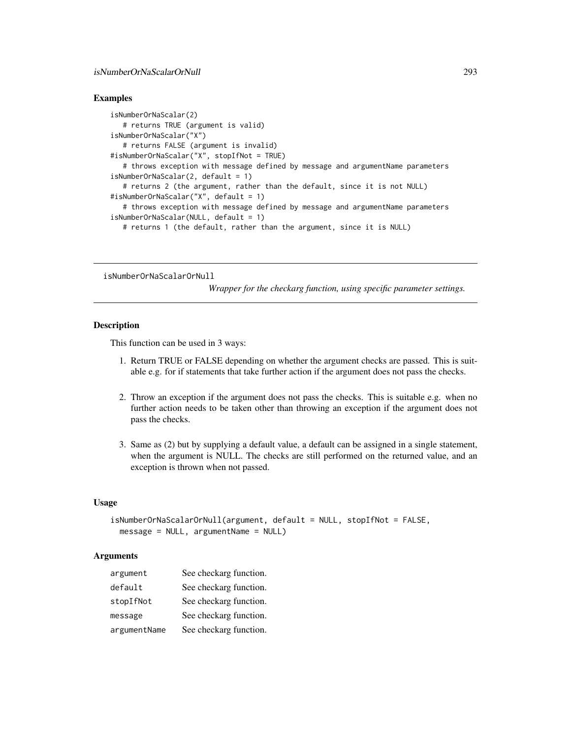## Examples

```
isNumberOrNaScalar(2)
   # returns TRUE (argument is valid)
isNumberOrNaScalar("X")
   # returns FALSE (argument is invalid)
#isNumberOrNaScalar("X", stopIfNot = TRUE)
   # throws exception with message defined by message and argumentName parameters
isNumberOrNaScalar(2, default = 1)
   # returns 2 (the argument, rather than the default, since it is not NULL)
#isNumberOrNaScalar("X", default = 1)
   # throws exception with message defined by message and argumentName parameters
isNumberOrNaScalar(NULL, default = 1)
  # returns 1 (the default, rather than the argument, since it is NULL)
```
isNumberOrNaScalarOrNull

*Wrapper for the checkarg function, using specific parameter settings.*

### **Description**

This function can be used in 3 ways:

- 1. Return TRUE or FALSE depending on whether the argument checks are passed. This is suitable e.g. for if statements that take further action if the argument does not pass the checks.
- 2. Throw an exception if the argument does not pass the checks. This is suitable e.g. when no further action needs to be taken other than throwing an exception if the argument does not pass the checks.
- 3. Same as (2) but by supplying a default value, a default can be assigned in a single statement, when the argument is NULL. The checks are still performed on the returned value, and an exception is thrown when not passed.

## Usage

```
isNumberOrNaScalarOrNull(argument, default = NULL, stopIfNot = FALSE,
 message = NULL, argumentName = NULL)
```
## **Arguments**

| argument     | See checkarg function. |
|--------------|------------------------|
| default      | See checkarg function. |
| stopIfNot    | See checkarg function. |
| message      | See checkarg function. |
| argumentName | See checkarg function. |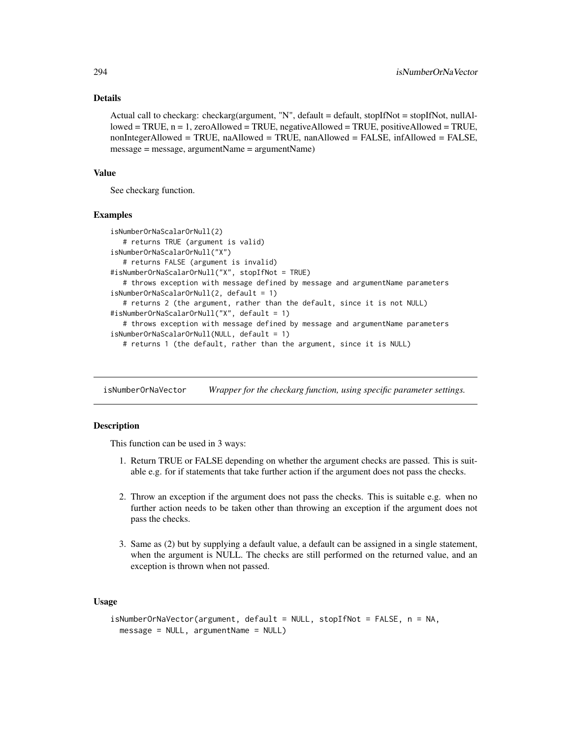### Details

Actual call to checkarg: checkarg(argument, "N", default = default, stopIfNot = stopIfNot, nullAllowed = TRUE,  $n = 1$ , zeroAllowed = TRUE, negativeAllowed = TRUE, positiveAllowed = TRUE, nonIntegerAllowed = TRUE, naAllowed = TRUE, nanAllowed = FALSE, infAllowed = FALSE, message = message, argumentName = argumentName)

## Value

See checkarg function.

## Examples

```
isNumberOrNaScalarOrNull(2)
   # returns TRUE (argument is valid)
isNumberOrNaScalarOrNull("X")
   # returns FALSE (argument is invalid)
#isNumberOrNaScalarOrNull("X", stopIfNot = TRUE)
   # throws exception with message defined by message and argumentName parameters
isNumberOrNaScalarOrNull(2, default = 1)
   # returns 2 (the argument, rather than the default, since it is not NULL)
#isNumberOrNaScalarOrNull("X", default = 1)
   # throws exception with message defined by message and argumentName parameters
isNumberOrNaScalarOrNull(NULL, default = 1)
   # returns 1 (the default, rather than the argument, since it is NULL)
```
isNumberOrNaVector *Wrapper for the checkarg function, using specific parameter settings.*

# **Description**

This function can be used in 3 ways:

- 1. Return TRUE or FALSE depending on whether the argument checks are passed. This is suitable e.g. for if statements that take further action if the argument does not pass the checks.
- 2. Throw an exception if the argument does not pass the checks. This is suitable e.g. when no further action needs to be taken other than throwing an exception if the argument does not pass the checks.
- 3. Same as (2) but by supplying a default value, a default can be assigned in a single statement, when the argument is NULL. The checks are still performed on the returned value, and an exception is thrown when not passed.

## Usage

```
isNumberOrNaVector(argument, default = NULL, stopIfNot = FALSE, n = NA,
 message = NULL, argumentName = NULL)
```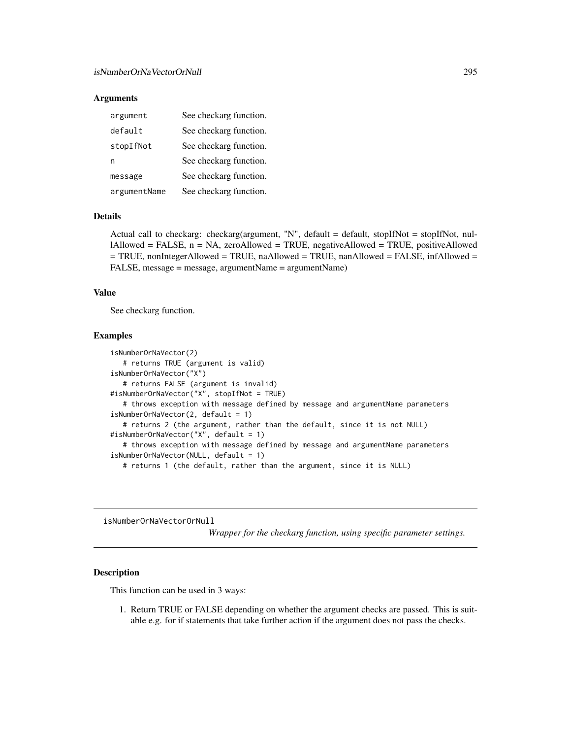### Arguments

| argument     | See checkarg function. |
|--------------|------------------------|
| default      | See checkarg function. |
| stopIfNot    | See checkarg function. |
| n            | See checkarg function. |
| message      | See checkarg function. |
| argumentName | See checkarg function. |

### Details

Actual call to checkarg: checkarg(argument, "N", default = default, stopIfNot = stopIfNot, nullAllowed = FALSE, n = NA, zeroAllowed = TRUE, negativeAllowed = TRUE, positiveAllowed = TRUE, nonIntegerAllowed = TRUE, naAllowed = TRUE, nanAllowed = FALSE, infAllowed = FALSE, message = message, argumentName = argumentName)

## Value

See checkarg function.

#### Examples

```
isNumberOrNaVector(2)
  # returns TRUE (argument is valid)
isNumberOrNaVector("X")
   # returns FALSE (argument is invalid)
#isNumberOrNaVector("X", stopIfNot = TRUE)
   # throws exception with message defined by message and argumentName parameters
isNumberOrNaVector(2, default = 1)
   # returns 2 (the argument, rather than the default, since it is not NULL)
#isNumberOrNaVector("X", default = 1)
  # throws exception with message defined by message and argumentName parameters
isNumberOrNaVector(NULL, default = 1)
  # returns 1 (the default, rather than the argument, since it is NULL)
```
isNumberOrNaVectorOrNull

*Wrapper for the checkarg function, using specific parameter settings.*

# Description

This function can be used in 3 ways:

1. Return TRUE or FALSE depending on whether the argument checks are passed. This is suitable e.g. for if statements that take further action if the argument does not pass the checks.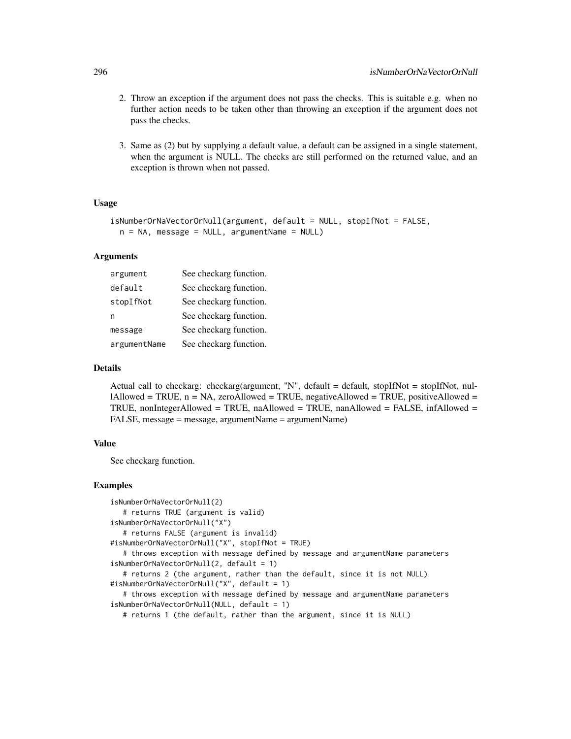- 2. Throw an exception if the argument does not pass the checks. This is suitable e.g. when no further action needs to be taken other than throwing an exception if the argument does not pass the checks.
- 3. Same as (2) but by supplying a default value, a default can be assigned in a single statement, when the argument is NULL. The checks are still performed on the returned value, and an exception is thrown when not passed.

```
isNumberOrNaVectorOrNull(argument, default = NULL, stopIfNot = FALSE,
 n = NA, message = NULL, argumentName = NULL)
```
## Arguments

| argument     | See checkarg function. |
|--------------|------------------------|
| default      | See checkarg function. |
| stopIfNot    | See checkarg function. |
| n            | See checkarg function. |
| message      | See checkarg function. |
| argumentName | See checkarg function. |

#### Details

Actual call to checkarg: checkarg(argument, "N", default = default, stopIfNot = stopIfNot, nullAllowed = TRUE,  $n = NA$ , zeroAllowed = TRUE, negativeAllowed = TRUE, positiveAllowed = TRUE, nonIntegerAllowed = TRUE, naAllowed = TRUE, nanAllowed = FALSE, infAllowed = FALSE, message = message, argumentName = argumentName)

### Value

See checkarg function.

```
isNumberOrNaVectorOrNull(2)
  # returns TRUE (argument is valid)
isNumberOrNaVectorOrNull("X")
  # returns FALSE (argument is invalid)
#isNumberOrNaVectorOrNull("X", stopIfNot = TRUE)
  # throws exception with message defined by message and argumentName parameters
isNumberOrNaVectorOrNull(2, default = 1)
  # returns 2 (the argument, rather than the default, since it is not NULL)
#isNumberOrNaVectorOrNull("X", default = 1)
  # throws exception with message defined by message and argumentName parameters
isNumberOrNaVectorOrNull(NULL, default = 1)
  # returns 1 (the default, rather than the argument, since it is NULL)
```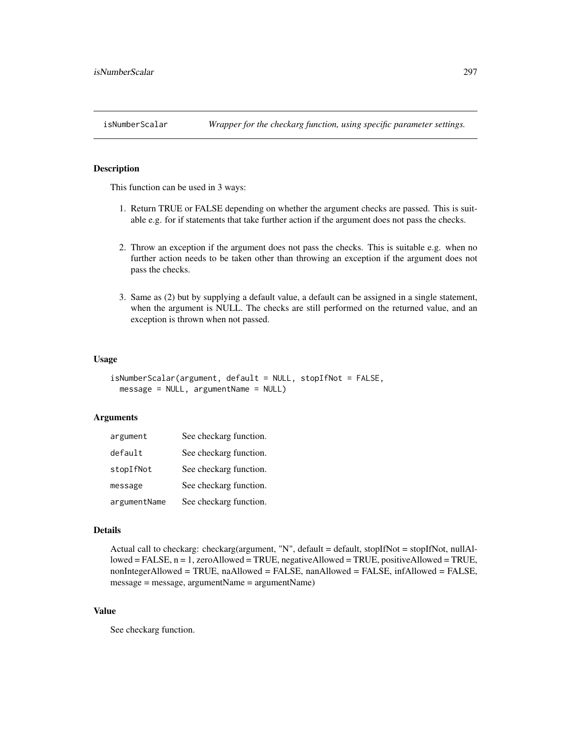# Description

This function can be used in 3 ways:

- 1. Return TRUE or FALSE depending on whether the argument checks are passed. This is suitable e.g. for if statements that take further action if the argument does not pass the checks.
- 2. Throw an exception if the argument does not pass the checks. This is suitable e.g. when no further action needs to be taken other than throwing an exception if the argument does not pass the checks.
- 3. Same as (2) but by supplying a default value, a default can be assigned in a single statement, when the argument is NULL. The checks are still performed on the returned value, and an exception is thrown when not passed.

### Usage

```
isNumberScalar(argument, default = NULL, stopIfNot = FALSE,
  message = NULL, argumentName = NULL)
```
### Arguments

| argument     | See checkarg function. |
|--------------|------------------------|
| default      | See checkarg function. |
| stopIfNot    | See checkarg function. |
| message      | See checkarg function. |
| argumentName | See checkarg function. |

## Details

Actual call to checkarg: checkarg(argument, "N", default = default, stopIfNot = stopIfNot, nullAllowed = FALSE, n = 1, zeroAllowed = TRUE, negativeAllowed = TRUE, positiveAllowed = TRUE, nonIntegerAllowed = TRUE, naAllowed = FALSE, nanAllowed = FALSE, infAllowed = FALSE, message = message, argumentName = argumentName)

# Value

See checkarg function.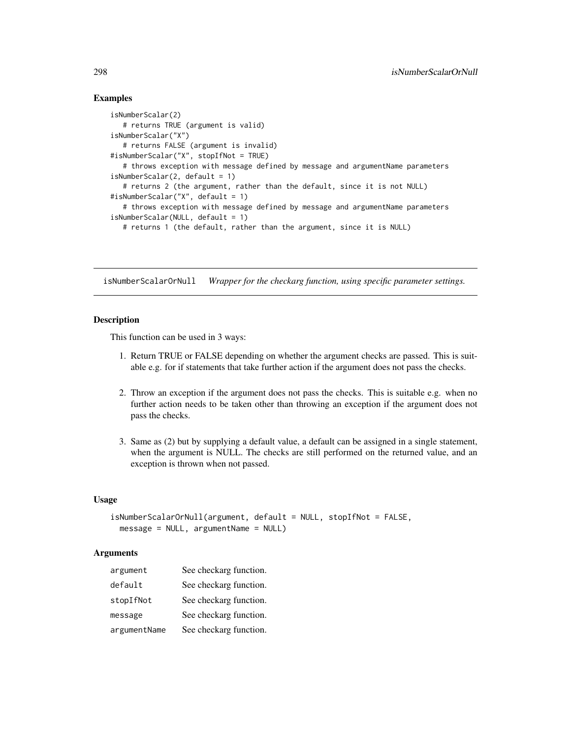## Examples

```
isNumberScalar(2)
   # returns TRUE (argument is valid)
isNumberScalar("X")
   # returns FALSE (argument is invalid)
#isNumberScalar("X", stopIfNot = TRUE)
   # throws exception with message defined by message and argumentName parameters
isNumberScalar(2, default = 1)
   # returns 2 (the argument, rather than the default, since it is not NULL)
#isNumberScalar("X", default = 1)
   # throws exception with message defined by message and argumentName parameters
isNumberScalar(NULL, default = 1)
  # returns 1 (the default, rather than the argument, since it is NULL)
```
isNumberScalarOrNull *Wrapper for the checkarg function, using specific parameter settings.*

### **Description**

This function can be used in 3 ways:

- 1. Return TRUE or FALSE depending on whether the argument checks are passed. This is suitable e.g. for if statements that take further action if the argument does not pass the checks.
- 2. Throw an exception if the argument does not pass the checks. This is suitable e.g. when no further action needs to be taken other than throwing an exception if the argument does not pass the checks.
- 3. Same as (2) but by supplying a default value, a default can be assigned in a single statement, when the argument is NULL. The checks are still performed on the returned value, and an exception is thrown when not passed.

### Usage

```
isNumberScalarOrNull(argument, default = NULL, stopIfNot = FALSE,
 message = NULL, argumentName = NULL)
```
### Arguments

| argument     | See checkarg function. |
|--------------|------------------------|
| default      | See checkarg function. |
| stopIfNot    | See checkarg function. |
| message      | See checkarg function. |
| argumentName | See checkarg function. |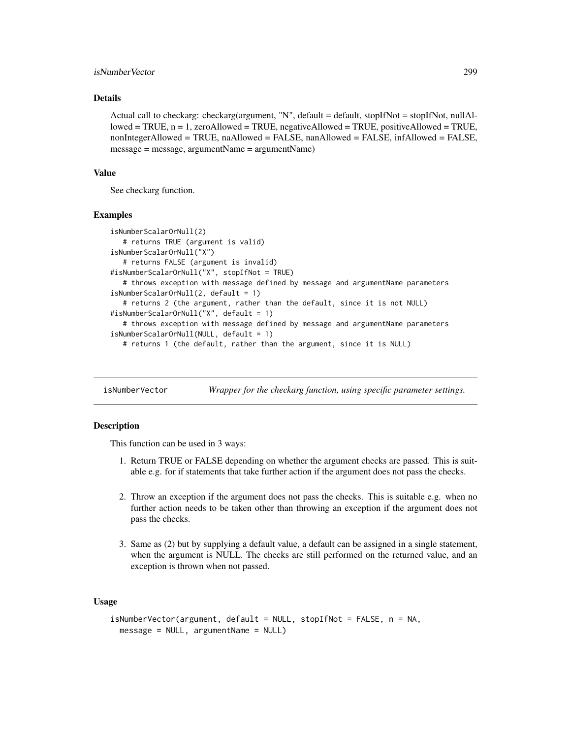# isNumberVector 299

### Details

Actual call to checkarg: checkarg(argument, "N", default = default, stopIfNot = stopIfNot, nullAllowed = TRUE,  $n = 1$ , zeroAllowed = TRUE, negativeAllowed = TRUE, positiveAllowed = TRUE, nonIntegerAllowed = TRUE, naAllowed = FALSE, nanAllowed = FALSE, infAllowed = FALSE, message = message, argumentName = argumentName)

### Value

See checkarg function.

### Examples

```
isNumberScalarOrNull(2)
   # returns TRUE (argument is valid)
isNumberScalarOrNull("X")
   # returns FALSE (argument is invalid)
#isNumberScalarOrNull("X", stopIfNot = TRUE)
   # throws exception with message defined by message and argumentName parameters
isNumberScalarOrNull(2, default = 1)
   # returns 2 (the argument, rather than the default, since it is not NULL)
#isNumberScalarOrNull("X", default = 1)
   # throws exception with message defined by message and argumentName parameters
isNumberScalarOrNull(NULL, default = 1)
   # returns 1 (the default, rather than the argument, since it is NULL)
```
isNumberVector *Wrapper for the checkarg function, using specific parameter settings.*

# **Description**

This function can be used in 3 ways:

- 1. Return TRUE or FALSE depending on whether the argument checks are passed. This is suitable e.g. for if statements that take further action if the argument does not pass the checks.
- 2. Throw an exception if the argument does not pass the checks. This is suitable e.g. when no further action needs to be taken other than throwing an exception if the argument does not pass the checks.
- 3. Same as (2) but by supplying a default value, a default can be assigned in a single statement, when the argument is NULL. The checks are still performed on the returned value, and an exception is thrown when not passed.

### Usage

```
isNumberVector(argument, default = NULL, stopIfNot = FALSE, n = NA,
 message = NULL, argumentName = NULL)
```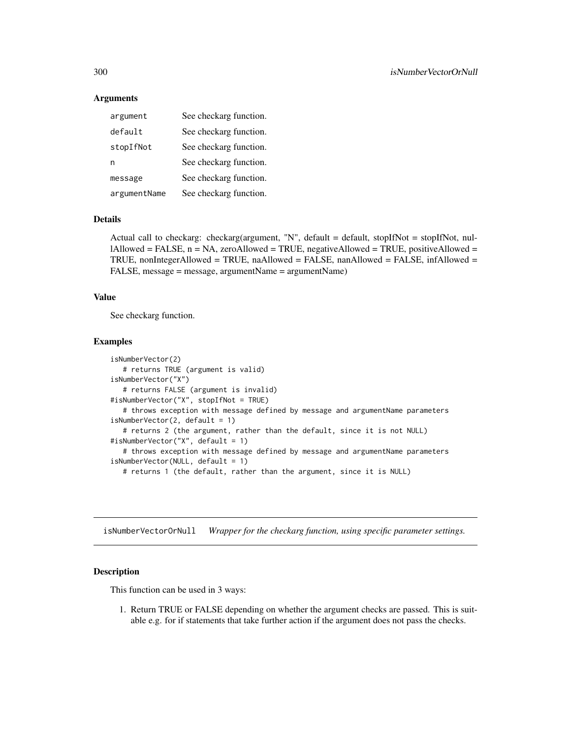## Arguments

| argument     | See checkarg function. |
|--------------|------------------------|
| default      | See checkarg function. |
| stopIfNot    | See checkarg function. |
| n            | See checkarg function. |
| message      | See checkarg function. |
| argumentName | See checkarg function. |

# Details

Actual call to checkarg: checkarg(argument, "N", default = default, stopIfNot = stopIfNot, nullAllowed = FALSE,  $n = NA$ , zeroAllowed = TRUE, negativeAllowed = TRUE, positiveAllowed = TRUE, nonIntegerAllowed = TRUE, naAllowed = FALSE, nanAllowed = FALSE, infAllowed = FALSE, message = message, argumentName = argumentName)

# Value

See checkarg function.

### Examples

```
isNumberVector(2)
   # returns TRUE (argument is valid)
isNumberVector("X")
   # returns FALSE (argument is invalid)
#isNumberVector("X", stopIfNot = TRUE)
   # throws exception with message defined by message and argumentName parameters
isNumberVector(2, default = 1)# returns 2 (the argument, rather than the default, since it is not NULL)
#isNumberVector("X", default = 1)
   # throws exception with message defined by message and argumentName parameters
isNumberVector(NULL, default = 1)
  # returns 1 (the default, rather than the argument, since it is NULL)
```
isNumberVectorOrNull *Wrapper for the checkarg function, using specific parameter settings.*

## **Description**

This function can be used in 3 ways:

1. Return TRUE or FALSE depending on whether the argument checks are passed. This is suitable e.g. for if statements that take further action if the argument does not pass the checks.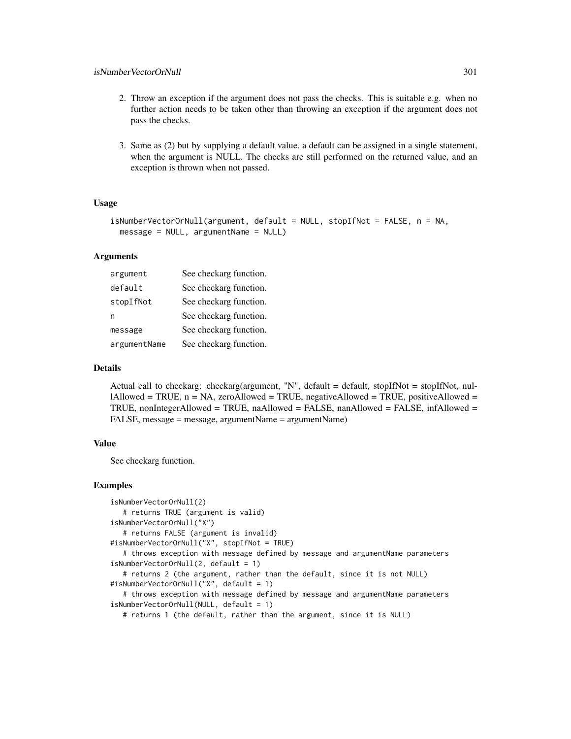- 2. Throw an exception if the argument does not pass the checks. This is suitable e.g. when no further action needs to be taken other than throwing an exception if the argument does not pass the checks.
- 3. Same as (2) but by supplying a default value, a default can be assigned in a single statement, when the argument is NULL. The checks are still performed on the returned value, and an exception is thrown when not passed.

```
isNumberVectorOrNull(argument, default = NULL, stopIfNot = FALSE, n = NA,
 message = NULL, argumentName = NULL)
```
### Arguments

| argument     | See checkarg function. |
|--------------|------------------------|
| default      | See checkarg function. |
| stopIfNot    | See checkarg function. |
| n            | See checkarg function. |
| message      | See checkarg function. |
| argumentName | See checkarg function. |

#### Details

Actual call to checkarg: checkarg(argument, "N", default = default, stopIfNot = stopIfNot, nullAllowed = TRUE,  $n = NA$ , zeroAllowed = TRUE, negativeAllowed = TRUE, positiveAllowed = TRUE, nonIntegerAllowed = TRUE, naAllowed = FALSE, nanAllowed = FALSE, infAllowed = FALSE, message = message, argumentName = argumentName)

### Value

See checkarg function.

```
isNumberVectorOrNull(2)
  # returns TRUE (argument is valid)
isNumberVectorOrNull("X")
  # returns FALSE (argument is invalid)
#isNumberVectorOrNull("X", stopIfNot = TRUE)
  # throws exception with message defined by message and argumentName parameters
isNumberVectorOrNull(2, default = 1)
  # returns 2 (the argument, rather than the default, since it is not NULL)
#isNumberVectorOrNull("X", default = 1)
  # throws exception with message defined by message and argumentName parameters
isNumberVectorOrNull(NULL, default = 1)
  # returns 1 (the default, rather than the argument, since it is NULL)
```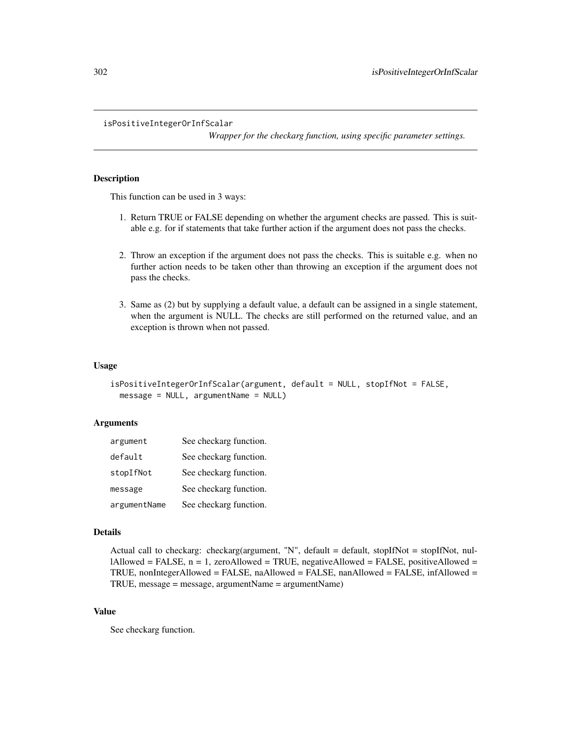#### isPositiveIntegerOrInfScalar

*Wrapper for the checkarg function, using specific parameter settings.*

## Description

This function can be used in 3 ways:

- 1. Return TRUE or FALSE depending on whether the argument checks are passed. This is suitable e.g. for if statements that take further action if the argument does not pass the checks.
- 2. Throw an exception if the argument does not pass the checks. This is suitable e.g. when no further action needs to be taken other than throwing an exception if the argument does not pass the checks.
- 3. Same as (2) but by supplying a default value, a default can be assigned in a single statement, when the argument is NULL. The checks are still performed on the returned value, and an exception is thrown when not passed.

#### Usage

```
isPositiveIntegerOrInfScalar(argument, default = NULL, stopIfNot = FALSE,
 message = NULL, argumentName = NULL)
```
## Arguments

| argument     | See checkarg function. |
|--------------|------------------------|
| default      | See checkarg function. |
| stopIfNot    | See checkarg function. |
| message      | See checkarg function. |
| argumentName | See checkarg function. |

#### Details

```
Actual call to checkarg: checkarg(argument, "N", default = default, stopIfNot = stopIfNot, nul-
\text{l}Allowed = FALSE, n = 1, zeroAllowed = TRUE, negativeAllowed = FALSE, positiveAllowed =
TRUE, nonIntegerAllowed = FALSE, naAllowed = FALSE, nanAllowed = FALSE, infAllowed =
TRUE, message = message, argumentName = argumentName)
```
# Value

See checkarg function.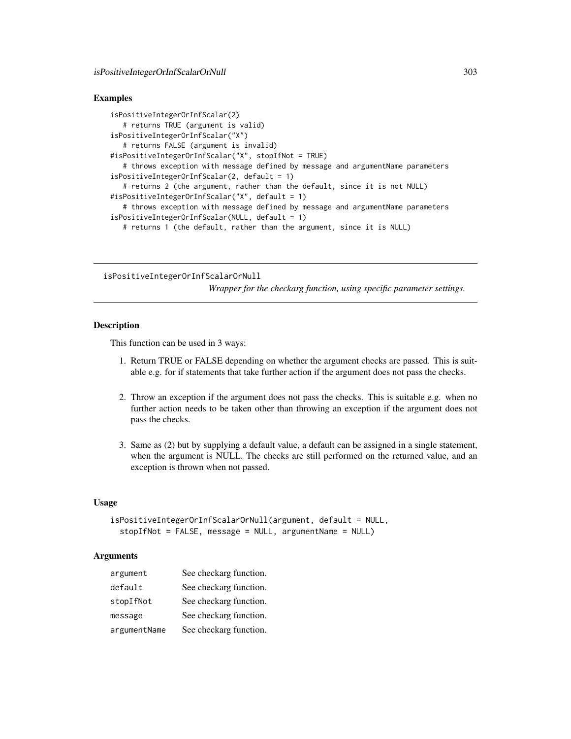## Examples

```
isPositiveIntegerOrInfScalar(2)
   # returns TRUE (argument is valid)
isPositiveIntegerOrInfScalar("X")
   # returns FALSE (argument is invalid)
#isPositiveIntegerOrInfScalar("X", stopIfNot = TRUE)
   # throws exception with message defined by message and argumentName parameters
isPositiveIntegerOrInfScalar(2, default = 1)
   # returns 2 (the argument, rather than the default, since it is not NULL)
#isPositiveIntegerOrInfScalar("X", default = 1)
   # throws exception with message defined by message and argumentName parameters
isPositiveIntegerOrInfScalar(NULL, default = 1)
   # returns 1 (the default, rather than the argument, since it is NULL)
```
isPositiveIntegerOrInfScalarOrNull

*Wrapper for the checkarg function, using specific parameter settings.*

### **Description**

This function can be used in 3 ways:

- 1. Return TRUE or FALSE depending on whether the argument checks are passed. This is suitable e.g. for if statements that take further action if the argument does not pass the checks.
- 2. Throw an exception if the argument does not pass the checks. This is suitable e.g. when no further action needs to be taken other than throwing an exception if the argument does not pass the checks.
- 3. Same as (2) but by supplying a default value, a default can be assigned in a single statement, when the argument is NULL. The checks are still performed on the returned value, and an exception is thrown when not passed.

## Usage

```
isPositiveIntegerOrInfScalarOrNull(argument, default = NULL,
 stopIfNot = FALSE, message = NULL, argumentName = NULL)
```
### **Arguments**

| argument     | See checkarg function. |
|--------------|------------------------|
| default      | See checkarg function. |
| stopIfNot    | See checkarg function. |
| message      | See checkarg function. |
| argumentName | See checkarg function. |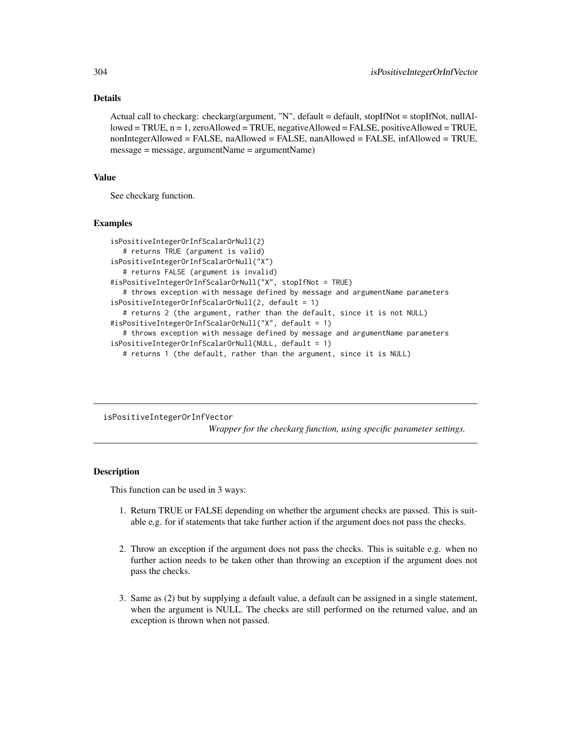# Details

Actual call to checkarg: checkarg(argument, "N", default = default, stopIfNot = stopIfNot, nullAllowed = TRUE, n = 1, zeroAllowed = TRUE, negativeAllowed = FALSE, positiveAllowed = TRUE, nonIntegerAllowed = FALSE, naAllowed = FALSE, nanAllowed = FALSE, infAllowed = TRUE, message = message, argumentName = argumentName)

### Value

See checkarg function.

## Examples

```
isPositiveIntegerOrInfScalarOrNull(2)
   # returns TRUE (argument is valid)
isPositiveIntegerOrInfScalarOrNull("X")
   # returns FALSE (argument is invalid)
#isPositiveIntegerOrInfScalarOrNull("X", stopIfNot = TRUE)
   # throws exception with message defined by message and argumentName parameters
isPositiveIntegerOrInfScalarOrNull(2, default = 1)
   # returns 2 (the argument, rather than the default, since it is not NULL)
#isPositiveIntegerOrInfScalarOrNull("X", default = 1)
   # throws exception with message defined by message and argumentName parameters
isPositiveIntegerOrInfScalarOrNull(NULL, default = 1)
  # returns 1 (the default, rather than the argument, since it is NULL)
```
isPositiveIntegerOrInfVector

*Wrapper for the checkarg function, using specific parameter settings.*

# **Description**

This function can be used in 3 ways:

- 1. Return TRUE or FALSE depending on whether the argument checks are passed. This is suitable e.g. for if statements that take further action if the argument does not pass the checks.
- 2. Throw an exception if the argument does not pass the checks. This is suitable e.g. when no further action needs to be taken other than throwing an exception if the argument does not pass the checks.
- 3. Same as (2) but by supplying a default value, a default can be assigned in a single statement, when the argument is NULL. The checks are still performed on the returned value, and an exception is thrown when not passed.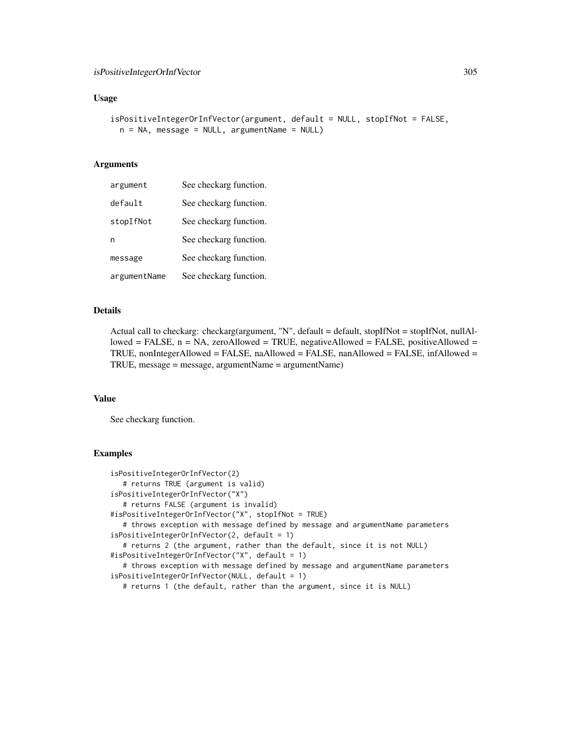```
isPositiveIntegerOrInfVector(argument, default = NULL, stopIfNot = FALSE,
 n = NA, message = NULL, argumentName = NULL)
```
# Arguments

| argument     | See checkarg function. |
|--------------|------------------------|
| default      | See checkarg function. |
| stopIfNot    | See checkarg function. |
| n            | See checkarg function. |
| message      | See checkarg function. |
| argumentName | See checkarg function. |

## Details

Actual call to checkarg: checkarg(argument, "N", default = default, stopIfNot = stopIfNot, nullAllowed = FALSE,  $n = NA$ , zeroAllowed = TRUE, negativeAllowed = FALSE, positiveAllowed = TRUE, nonIntegerAllowed = FALSE, naAllowed = FALSE, nanAllowed = FALSE, infAllowed = TRUE, message = message, argumentName = argumentName)

### Value

See checkarg function.

```
isPositiveIntegerOrInfVector(2)
  # returns TRUE (argument is valid)
isPositiveIntegerOrInfVector("X")
  # returns FALSE (argument is invalid)
#isPositiveIntegerOrInfVector("X", stopIfNot = TRUE)
   # throws exception with message defined by message and argumentName parameters
isPositiveIntegerOrInfVector(2, default = 1)
   # returns 2 (the argument, rather than the default, since it is not NULL)
#isPositiveIntegerOrInfVector("X", default = 1)
   # throws exception with message defined by message and argumentName parameters
isPositiveIntegerOrInfVector(NULL, default = 1)
   # returns 1 (the default, rather than the argument, since it is NULL)
```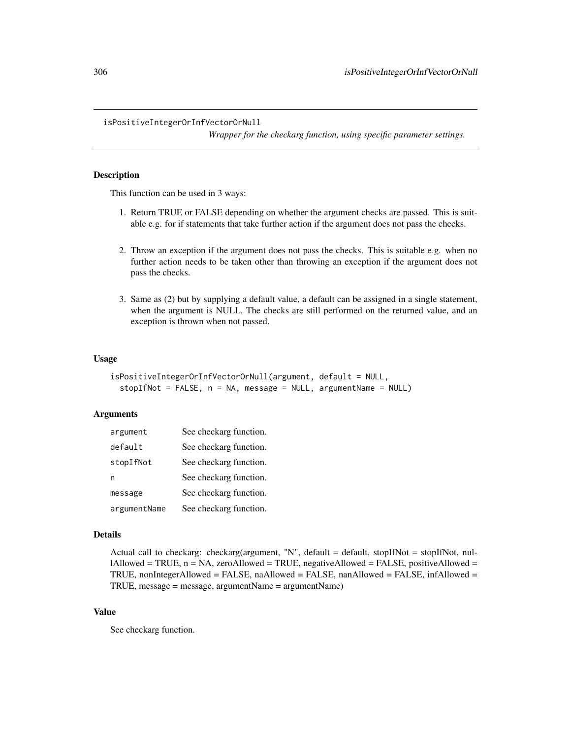isPositiveIntegerOrInfVectorOrNull

*Wrapper for the checkarg function, using specific parameter settings.*

# **Description**

This function can be used in 3 ways:

- 1. Return TRUE or FALSE depending on whether the argument checks are passed. This is suitable e.g. for if statements that take further action if the argument does not pass the checks.
- 2. Throw an exception if the argument does not pass the checks. This is suitable e.g. when no further action needs to be taken other than throwing an exception if the argument does not pass the checks.
- 3. Same as (2) but by supplying a default value, a default can be assigned in a single statement, when the argument is NULL. The checks are still performed on the returned value, and an exception is thrown when not passed.

### Usage

```
isPositiveIntegerOrInfVectorOrNull(argument, default = NULL,
 stopIfNot = FALSE, n = NA, message = NULL, argumentName = NULL)
```
# Arguments

| argument     | See checkarg function. |
|--------------|------------------------|
| default      | See checkarg function. |
| stopIfNot    | See checkarg function. |
| n            | See checkarg function. |
| message      | See checkarg function. |
| argumentName | See checkarg function. |

#### Details

Actual call to checkarg: checkarg(argument, "N", default = default, stopIfNot = stopIfNot, nul $l$ Allowed = TRUE, n = NA, zeroAllowed = TRUE, negativeAllowed = FALSE, positiveAllowed = TRUE, nonIntegerAllowed = FALSE, naAllowed = FALSE, nanAllowed = FALSE, infAllowed = TRUE, message = message, argumentName = argumentName)

# Value

See checkarg function.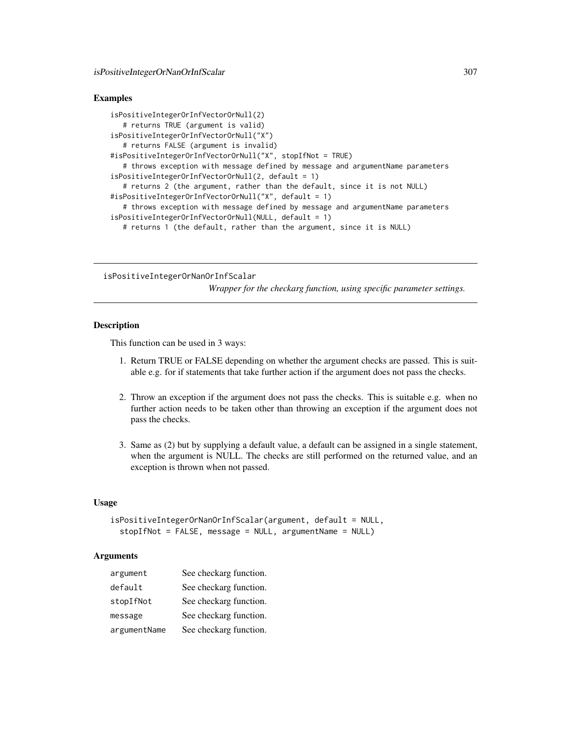## Examples

```
isPositiveIntegerOrInfVectorOrNull(2)
   # returns TRUE (argument is valid)
isPositiveIntegerOrInfVectorOrNull("X")
   # returns FALSE (argument is invalid)
#isPositiveIntegerOrInfVectorOrNull("X", stopIfNot = TRUE)
   # throws exception with message defined by message and argumentName parameters
isPositiveIntegerOrInfVectorOrNull(2, default = 1)
   # returns 2 (the argument, rather than the default, since it is not NULL)
#isPositiveIntegerOrInfVectorOrNull("X", default = 1)
   # throws exception with message defined by message and argumentName parameters
isPositiveIntegerOrInfVectorOrNull(NULL, default = 1)
   # returns 1 (the default, rather than the argument, since it is NULL)
```
isPositiveIntegerOrNanOrInfScalar

*Wrapper for the checkarg function, using specific parameter settings.*

### **Description**

This function can be used in 3 ways:

- 1. Return TRUE or FALSE depending on whether the argument checks are passed. This is suitable e.g. for if statements that take further action if the argument does not pass the checks.
- 2. Throw an exception if the argument does not pass the checks. This is suitable e.g. when no further action needs to be taken other than throwing an exception if the argument does not pass the checks.
- 3. Same as (2) but by supplying a default value, a default can be assigned in a single statement, when the argument is NULL. The checks are still performed on the returned value, and an exception is thrown when not passed.

## Usage

```
isPositiveIntegerOrNanOrInfScalar(argument, default = NULL,
 stopIfNot = FALSE, message = NULL, argumentName = NULL)
```
### **Arguments**

| argument     | See checkarg function. |
|--------------|------------------------|
| default      | See checkarg function. |
| stopIfNot    | See checkarg function. |
| message      | See checkarg function. |
| argumentName | See checkarg function. |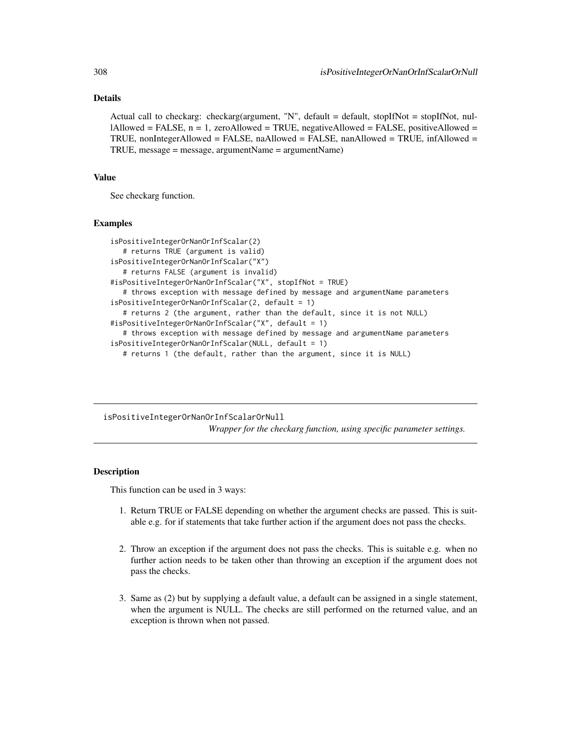# Details

Actual call to checkarg: checkarg(argument, "N", default = default, stopIfNot = stopIfNot, nullAllowed = FALSE, n = 1, zeroAllowed = TRUE, negativeAllowed = FALSE, positiveAllowed = TRUE, nonIntegerAllowed = FALSE, naAllowed = FALSE, nanAllowed = TRUE, infAllowed = TRUE, message = message, argumentName = argumentName)

### Value

See checkarg function.

### Examples

```
isPositiveIntegerOrNanOrInfScalar(2)
   # returns TRUE (argument is valid)
isPositiveIntegerOrNanOrInfScalar("X")
   # returns FALSE (argument is invalid)
#isPositiveIntegerOrNanOrInfScalar("X", stopIfNot = TRUE)
   # throws exception with message defined by message and argumentName parameters
isPositiveIntegerOrNanOrInfScalar(2, default = 1)
   # returns 2 (the argument, rather than the default, since it is not NULL)
#isPositiveIntegerOrNanOrInfScalar("X", default = 1)
   # throws exception with message defined by message and argumentName parameters
isPositiveIntegerOrNanOrInfScalar(NULL, default = 1)
  # returns 1 (the default, rather than the argument, since it is NULL)
```
isPositiveIntegerOrNanOrInfScalarOrNull *Wrapper for the checkarg function, using specific parameter settings.*

# **Description**

This function can be used in 3 ways:

- 1. Return TRUE or FALSE depending on whether the argument checks are passed. This is suitable e.g. for if statements that take further action if the argument does not pass the checks.
- 2. Throw an exception if the argument does not pass the checks. This is suitable e.g. when no further action needs to be taken other than throwing an exception if the argument does not pass the checks.
- 3. Same as (2) but by supplying a default value, a default can be assigned in a single statement, when the argument is NULL. The checks are still performed on the returned value, and an exception is thrown when not passed.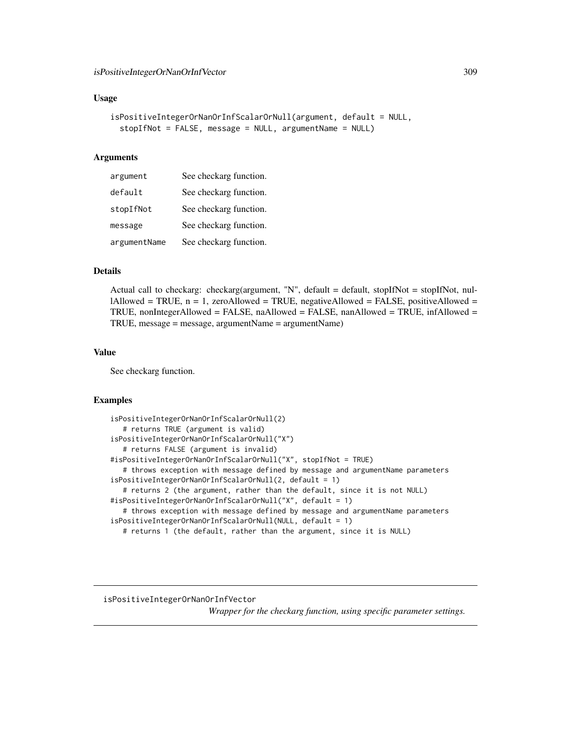```
isPositiveIntegerOrNanOrInfScalarOrNull(argument, default = NULL,
  stopIfNot = FALSE, message = NULL, argumentName = NULL)
```
#### Arguments

| argument     | See checkarg function. |
|--------------|------------------------|
| default      | See checkarg function. |
| stopIfNot    | See checkarg function. |
| message      | See checkarg function. |
| argumentName | See checkarg function. |

# Details

Actual call to checkarg: checkarg(argument, "N", default = default, stopIfNot = stopIfNot, nullAllowed = TRUE,  $n = 1$ , zeroAllowed = TRUE, negativeAllowed = FALSE, positiveAllowed = TRUE, nonIntegerAllowed = FALSE, naAllowed = FALSE, nanAllowed = TRUE, infAllowed = TRUE, message = message, argumentName = argumentName)

### Value

See checkarg function.

# Examples

```
isPositiveIntegerOrNanOrInfScalarOrNull(2)
   # returns TRUE (argument is valid)
isPositiveIntegerOrNanOrInfScalarOrNull("X")
   # returns FALSE (argument is invalid)
#isPositiveIntegerOrNanOrInfScalarOrNull("X", stopIfNot = TRUE)
   # throws exception with message defined by message and argumentName parameters
isPositiveIntegerOrNanOrInfScalarOrNull(2, default = 1)
   # returns 2 (the argument, rather than the default, since it is not NULL)
#isPositiveIntegerOrNanOrInfScalarOrNull("X", default = 1)
   # throws exception with message defined by message and argumentName parameters
isPositiveIntegerOrNanOrInfScalarOrNull(NULL, default = 1)
  # returns 1 (the default, rather than the argument, since it is NULL)
```
isPositiveIntegerOrNanOrInfVector

*Wrapper for the checkarg function, using specific parameter settings.*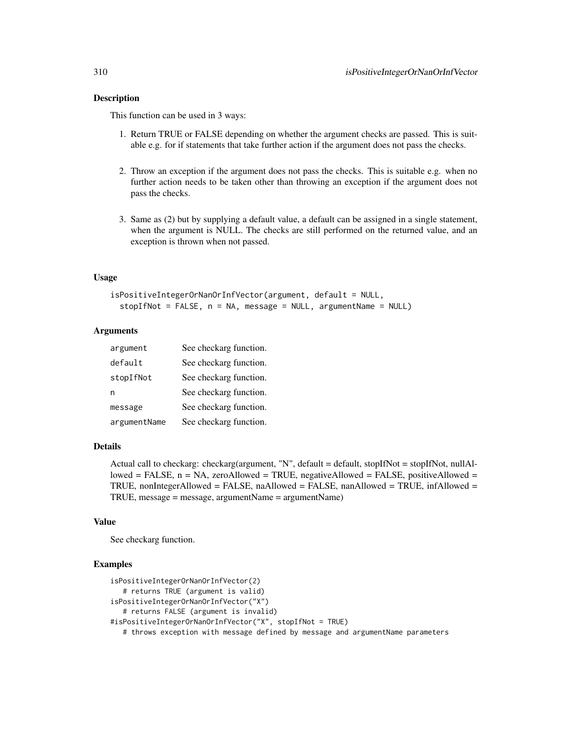### Description

This function can be used in 3 ways:

- 1. Return TRUE or FALSE depending on whether the argument checks are passed. This is suitable e.g. for if statements that take further action if the argument does not pass the checks.
- 2. Throw an exception if the argument does not pass the checks. This is suitable e.g. when no further action needs to be taken other than throwing an exception if the argument does not pass the checks.
- 3. Same as (2) but by supplying a default value, a default can be assigned in a single statement, when the argument is NULL. The checks are still performed on the returned value, and an exception is thrown when not passed.

### Usage

```
isPositiveIntegerOrNanOrInfVector(argument, default = NULL,
 stopIfNot = FALSE, n = NA, message = NULL, argumentName = NULL)
```
## Arguments

| argument     | See checkarg function. |
|--------------|------------------------|
| default      | See checkarg function. |
| stopIfNot    | See checkarg function. |
| n            | See checkarg function. |
| message      | See checkarg function. |
| argumentName | See checkarg function. |

## Details

Actual call to checkarg: checkarg(argument, "N", default = default, stopIfNot = stopIfNot, nullAllowed = FALSE,  $n = NA$ , zeroAllowed = TRUE, negativeAllowed = FALSE, positiveAllowed = TRUE, nonIntegerAllowed = FALSE, naAllowed = FALSE, nanAllowed = TRUE, infAllowed = TRUE, message = message, argumentName = argumentName)

### Value

See checkarg function.

```
isPositiveIntegerOrNanOrInfVector(2)
   # returns TRUE (argument is valid)
isPositiveIntegerOrNanOrInfVector("X")
   # returns FALSE (argument is invalid)
#isPositiveIntegerOrNanOrInfVector("X", stopIfNot = TRUE)
  # throws exception with message defined by message and argumentName parameters
```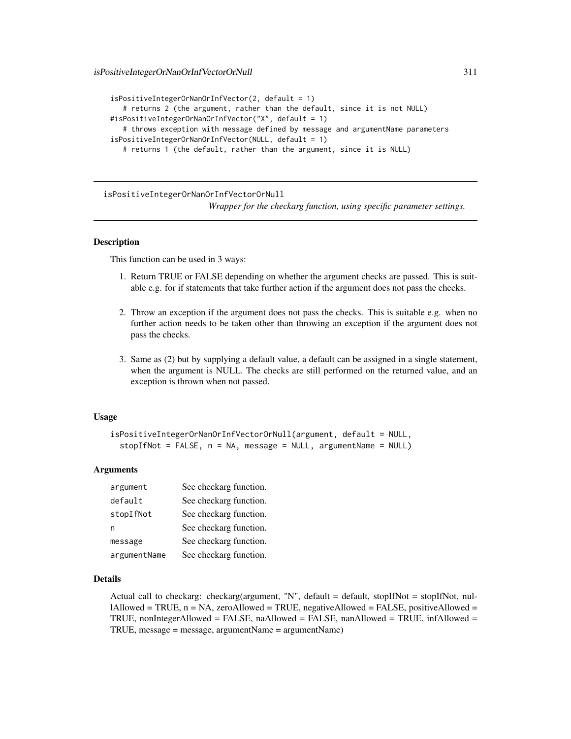```
isPositiveIntegerOrNanOrInfVector(2, default = 1)
   # returns 2 (the argument, rather than the default, since it is not NULL)
#isPositiveIntegerOrNanOrInfVector("X", default = 1)
   # throws exception with message defined by message and argumentName parameters
isPositiveIntegerOrNanOrInfVector(NULL, default = 1)
   # returns 1 (the default, rather than the argument, since it is NULL)
```
isPositiveIntegerOrNanOrInfVectorOrNull

*Wrapper for the checkarg function, using specific parameter settings.*

## **Description**

This function can be used in 3 ways:

- 1. Return TRUE or FALSE depending on whether the argument checks are passed. This is suitable e.g. for if statements that take further action if the argument does not pass the checks.
- 2. Throw an exception if the argument does not pass the checks. This is suitable e.g. when no further action needs to be taken other than throwing an exception if the argument does not pass the checks.
- 3. Same as (2) but by supplying a default value, a default can be assigned in a single statement, when the argument is NULL. The checks are still performed on the returned value, and an exception is thrown when not passed.

### Usage

```
isPositiveIntegerOrNanOrInfVectorOrNull(argument, default = NULL,
  stopIfNot = FALSE, n = NA, message = NULL, argumentName = NULL)
```
### Arguments

| argument     | See checkarg function. |
|--------------|------------------------|
| default      | See checkarg function. |
| stopIfNot    | See checkarg function. |
| n            | See checkarg function. |
| message      | See checkarg function. |
| argumentName | See checkarg function. |

### Details

Actual call to checkarg: checkarg(argument, "N", default = default, stopIfNot = stopIfNot, nul- $1$ Allowed = TRUE,  $n = NA$ , zeroAllowed = TRUE, negativeAllowed = FALSE, positiveAllowed = TRUE, nonIntegerAllowed = FALSE, naAllowed = FALSE, nanAllowed = TRUE, infAllowed = TRUE, message = message, argumentName = argumentName)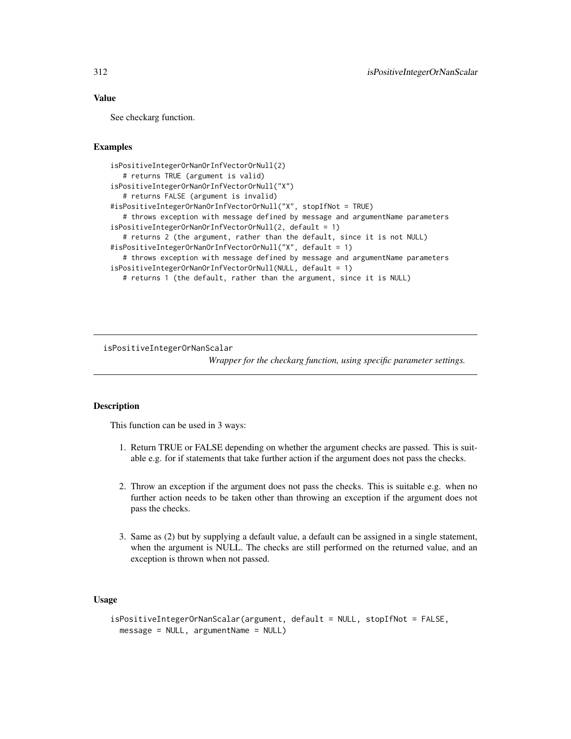# Value

See checkarg function.

# Examples

```
isPositiveIntegerOrNanOrInfVectorOrNull(2)
  # returns TRUE (argument is valid)
isPositiveIntegerOrNanOrInfVectorOrNull("X")
  # returns FALSE (argument is invalid)
#isPositiveIntegerOrNanOrInfVectorOrNull("X", stopIfNot = TRUE)
  # throws exception with message defined by message and argumentName parameters
isPositiveIntegerOrNanOrInfVectorOrNull(2, default = 1)
  # returns 2 (the argument, rather than the default, since it is not NULL)
#isPositiveIntegerOrNanOrInfVectorOrNull("X", default = 1)
  # throws exception with message defined by message and argumentName parameters
isPositiveIntegerOrNanOrInfVectorOrNull(NULL, default = 1)
  # returns 1 (the default, rather than the argument, since it is NULL)
```
isPositiveIntegerOrNanScalar

*Wrapper for the checkarg function, using specific parameter settings.*

# **Description**

This function can be used in 3 ways:

- 1. Return TRUE or FALSE depending on whether the argument checks are passed. This is suitable e.g. for if statements that take further action if the argument does not pass the checks.
- 2. Throw an exception if the argument does not pass the checks. This is suitable e.g. when no further action needs to be taken other than throwing an exception if the argument does not pass the checks.
- 3. Same as (2) but by supplying a default value, a default can be assigned in a single statement, when the argument is NULL. The checks are still performed on the returned value, and an exception is thrown when not passed.

# Usage

```
isPositiveIntegerOrNanScalar(argument, default = NULL, stopIfNot = FALSE,
 message = NULL, argumentName = NULL)
```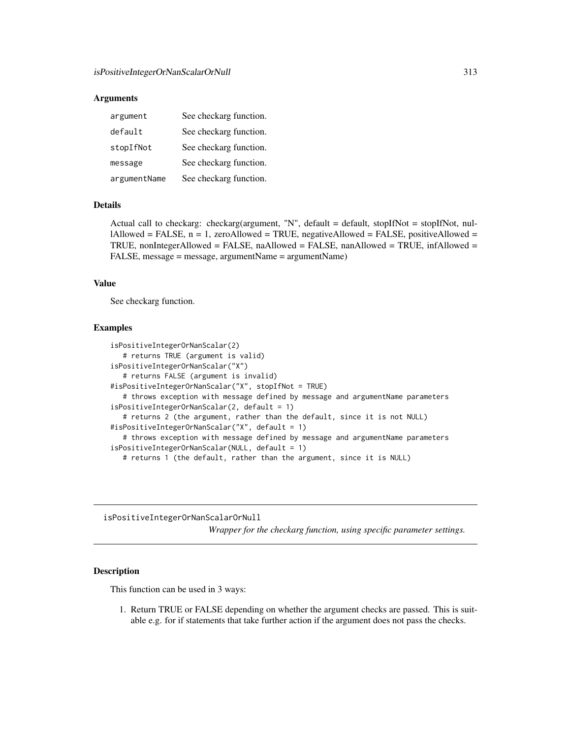### Arguments

| argument     | See checkarg function. |
|--------------|------------------------|
| default      | See checkarg function. |
| stopIfNot    | See checkarg function. |
| message      | See checkarg function. |
| argumentName | See checkarg function. |

# Details

Actual call to checkarg: checkarg(argument, "N", default = default, stopIfNot = stopIfNot, nul- $\text{l}$ Allowed = FALSE, n = 1, zeroAllowed = TRUE, negativeAllowed = FALSE, positiveAllowed = TRUE, nonIntegerAllowed = FALSE, naAllowed = FALSE, nanAllowed = TRUE, infAllowed = FALSE, message = message, argumentName = argumentName)

## Value

See checkarg function.

# Examples

```
isPositiveIntegerOrNanScalar(2)
  # returns TRUE (argument is valid)
isPositiveIntegerOrNanScalar("X")
  # returns FALSE (argument is invalid)
#isPositiveIntegerOrNanScalar("X", stopIfNot = TRUE)
   # throws exception with message defined by message and argumentName parameters
isPositiveIntegerOrNanScalar(2, default = 1)
   # returns 2 (the argument, rather than the default, since it is not NULL)
#isPositiveIntegerOrNanScalar("X", default = 1)
   # throws exception with message defined by message and argumentName parameters
isPositiveIntegerOrNanScalar(NULL, default = 1)
   # returns 1 (the default, rather than the argument, since it is NULL)
```
isPositiveIntegerOrNanScalarOrNull

*Wrapper for the checkarg function, using specific parameter settings.*

### Description

This function can be used in 3 ways:

1. Return TRUE or FALSE depending on whether the argument checks are passed. This is suitable e.g. for if statements that take further action if the argument does not pass the checks.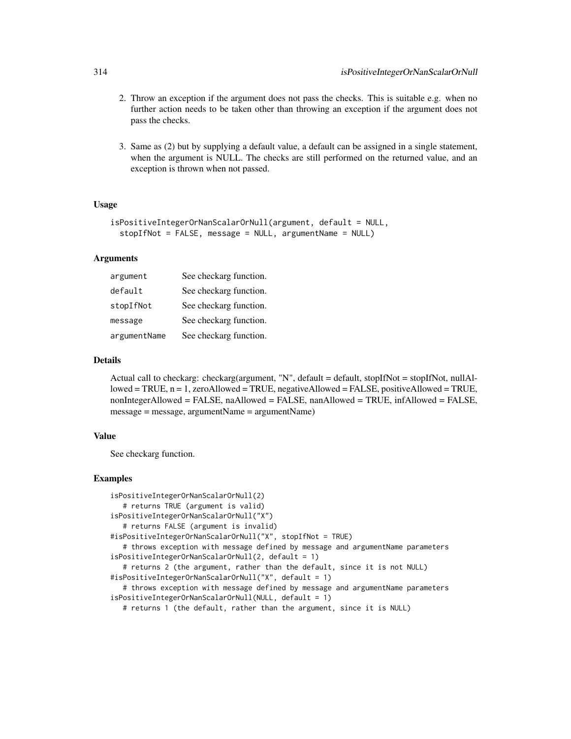- 2. Throw an exception if the argument does not pass the checks. This is suitable e.g. when no further action needs to be taken other than throwing an exception if the argument does not pass the checks.
- 3. Same as (2) but by supplying a default value, a default can be assigned in a single statement, when the argument is NULL. The checks are still performed on the returned value, and an exception is thrown when not passed.

```
isPositiveIntegerOrNanScalarOrNull(argument, default = NULL,
  stopIfNot = FALSE, message = NULL, argumentName = NULL)
```
## Arguments

| argument     | See checkarg function. |
|--------------|------------------------|
| default      | See checkarg function. |
| stopIfNot    | See checkarg function. |
| message      | See checkarg function. |
| argumentName | See checkarg function. |

# Details

Actual call to checkarg: checkarg(argument, "N", default = default, stopIfNot = stopIfNot, nullAl $loved = TRUE, n = 1, zero$ Allowed = TRUE, negativeAllowed = FALSE, positiveAllowed = TRUE, nonIntegerAllowed = FALSE, naAllowed = FALSE, nanAllowed = TRUE, infAllowed = FALSE, message = message, argumentName = argumentName)

# Value

See checkarg function.

```
isPositiveIntegerOrNanScalarOrNull(2)
   # returns TRUE (argument is valid)
isPositiveIntegerOrNanScalarOrNull("X")
   # returns FALSE (argument is invalid)
#isPositiveIntegerOrNanScalarOrNull("X", stopIfNot = TRUE)
   # throws exception with message defined by message and argumentName parameters
isPositiveIntegerOrNanScalarOrNull(2, default = 1)
   # returns 2 (the argument, rather than the default, since it is not NULL)
#isPositiveIntegerOrNanScalarOrNull("X", default = 1)
   # throws exception with message defined by message and argumentName parameters
isPositiveIntegerOrNanScalarOrNull(NULL, default = 1)
   # returns 1 (the default, rather than the argument, since it is NULL)
```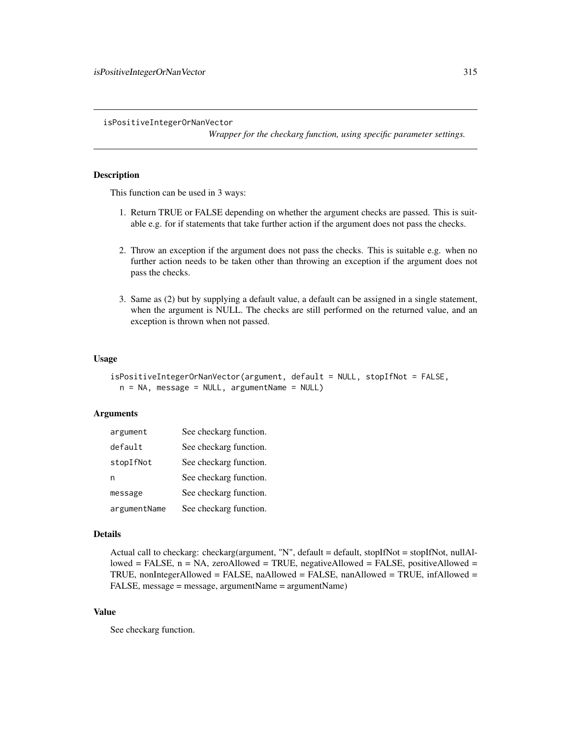isPositiveIntegerOrNanVector

*Wrapper for the checkarg function, using specific parameter settings.*

# Description

This function can be used in 3 ways:

- 1. Return TRUE or FALSE depending on whether the argument checks are passed. This is suitable e.g. for if statements that take further action if the argument does not pass the checks.
- 2. Throw an exception if the argument does not pass the checks. This is suitable e.g. when no further action needs to be taken other than throwing an exception if the argument does not pass the checks.
- 3. Same as (2) but by supplying a default value, a default can be assigned in a single statement, when the argument is NULL. The checks are still performed on the returned value, and an exception is thrown when not passed.

# Usage

```
isPositiveIntegerOrNanVector(argument, default = NULL, stopIfNot = FALSE,
 n = NA, message = NULL, argumentName = NULL)
```
## **Arguments**

| argument     | See checkarg function. |
|--------------|------------------------|
| default      | See checkarg function. |
| stopIfNot    | See checkarg function. |
| n            | See checkarg function. |
| message      | See checkarg function. |
| argumentName | See checkarg function. |

#### Details

```
Actual call to checkarg: checkarg(argument, "N", default = default, stopIfNot = stopIfNot, nullAl-
lowed = FALSE, n = NA, zeroAllowed = TRUE, negativeAllowed = FALSE, positiveAllowed =
TRUE, nonIntegerAllowed = FALSE, naAllowed = FALSE, nanAllowed = TRUE, infAllowed =
FALSE, message = message, argumentName = argumentName)
```
# Value

See checkarg function.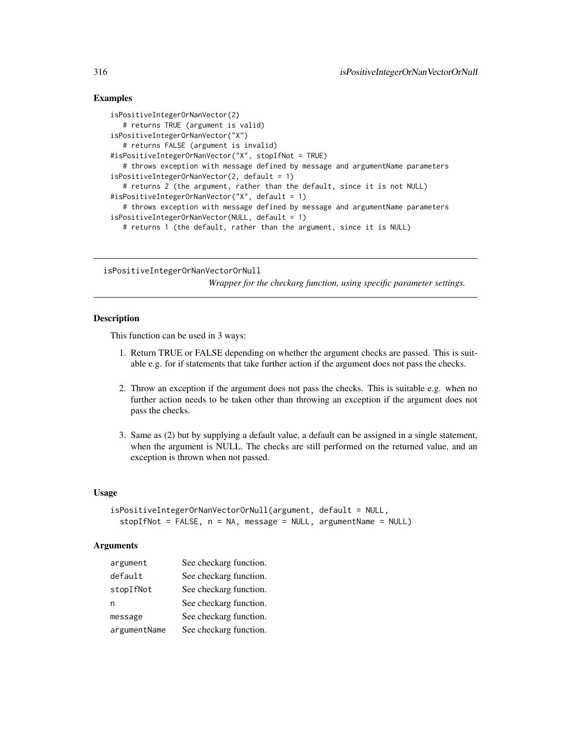## Examples

```
isPositiveIntegerOrNanVector(2)
   # returns TRUE (argument is valid)
isPositiveIntegerOrNanVector("X")
   # returns FALSE (argument is invalid)
#isPositiveIntegerOrNanVector("X", stopIfNot = TRUE)
   # throws exception with message defined by message and argumentName parameters
isPositiveIntegerOrNanVector(2, default = 1)
   # returns 2 (the argument, rather than the default, since it is not NULL)
#isPositiveIntegerOrNanVector("X", default = 1)
   # throws exception with message defined by message and argumentName parameters
isPositiveIntegerOrNanVector(NULL, default = 1)
  # returns 1 (the default, rather than the argument, since it is NULL)
```
isPositiveIntegerOrNanVectorOrNull

*Wrapper for the checkarg function, using specific parameter settings.*

# **Description**

This function can be used in 3 ways:

- 1. Return TRUE or FALSE depending on whether the argument checks are passed. This is suitable e.g. for if statements that take further action if the argument does not pass the checks.
- 2. Throw an exception if the argument does not pass the checks. This is suitable e.g. when no further action needs to be taken other than throwing an exception if the argument does not pass the checks.
- 3. Same as (2) but by supplying a default value, a default can be assigned in a single statement, when the argument is NULL. The checks are still performed on the returned value, and an exception is thrown when not passed.

## Usage

```
isPositiveIntegerOrNanVectorOrNull(argument, default = NULL,
 stopIfNot = FALSE, n = NA, message = NULL, argumentName = NULL)
```
### Arguments

| argument     | See checkarg function. |
|--------------|------------------------|
| default      | See checkarg function. |
| stopIfNot    | See checkarg function. |
| n            | See checkarg function. |
| message      | See checkarg function. |
| argumentName | See checkarg function. |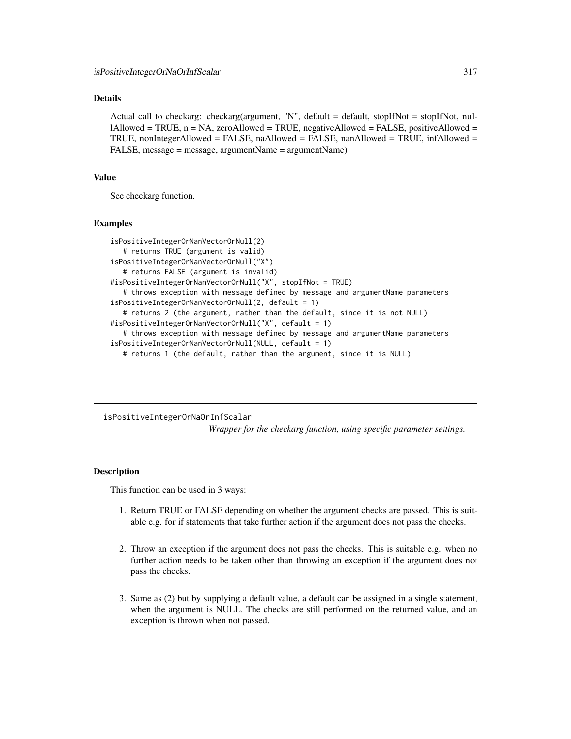# Details

Actual call to checkarg: checkarg(argument, "N", default = default, stopIfNot = stopIfNot, nul- $1$ Allowed = TRUE, n = NA, zeroAllowed = TRUE, negativeAllowed = FALSE, positiveAllowed = TRUE, nonIntegerAllowed = FALSE, naAllowed = FALSE, nanAllowed = TRUE, infAllowed = FALSE, message = message, argumentName = argumentName)

### Value

See checkarg function.

#### Examples

```
isPositiveIntegerOrNanVectorOrNull(2)
   # returns TRUE (argument is valid)
isPositiveIntegerOrNanVectorOrNull("X")
   # returns FALSE (argument is invalid)
#isPositiveIntegerOrNanVectorOrNull("X", stopIfNot = TRUE)
   # throws exception with message defined by message and argumentName parameters
isPositiveIntegerOrNanVectorOrNull(2, default = 1)
   # returns 2 (the argument, rather than the default, since it is not NULL)
#isPositiveIntegerOrNanVectorOrNull("X", default = 1)
   # throws exception with message defined by message and argumentName parameters
isPositiveIntegerOrNanVectorOrNull(NULL, default = 1)
  # returns 1 (the default, rather than the argument, since it is NULL)
```
isPositiveIntegerOrNaOrInfScalar *Wrapper for the checkarg function, using specific parameter settings.*

### Description

This function can be used in 3 ways:

- 1. Return TRUE or FALSE depending on whether the argument checks are passed. This is suitable e.g. for if statements that take further action if the argument does not pass the checks.
- 2. Throw an exception if the argument does not pass the checks. This is suitable e.g. when no further action needs to be taken other than throwing an exception if the argument does not pass the checks.
- 3. Same as (2) but by supplying a default value, a default can be assigned in a single statement, when the argument is NULL. The checks are still performed on the returned value, and an exception is thrown when not passed.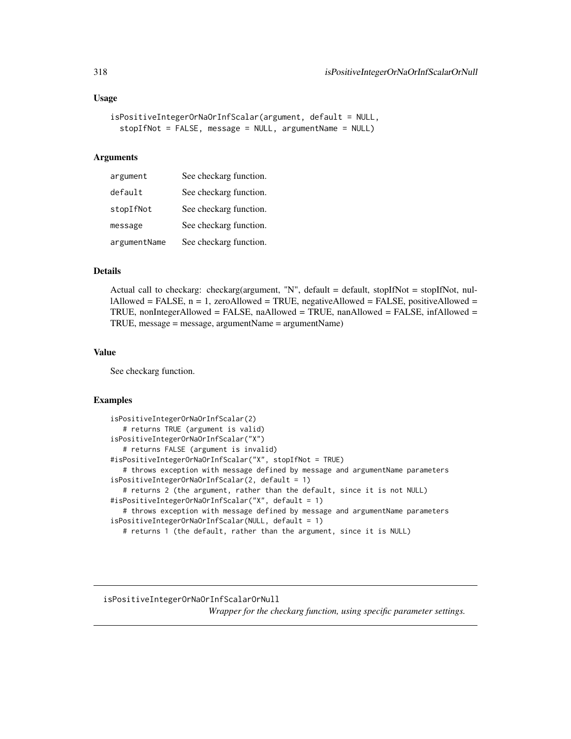```
isPositiveIntegerOrNaOrInfScalar(argument, default = NULL,
  stopIfNot = FALSE, message = NULL, argumentName = NULL)
```
### Arguments

| argument     | See checkarg function. |
|--------------|------------------------|
| default      | See checkarg function. |
| stopIfNot    | See checkarg function. |
| message      | See checkarg function. |
| argumentName | See checkarg function. |

# Details

Actual call to checkarg: checkarg(argument, "N", default = default, stopIfNot = stopIfNot, nul $l$ Allowed = FALSE,  $n = 1$ , zeroAllowed = TRUE, negativeAllowed = FALSE, positiveAllowed = TRUE, nonIntegerAllowed = FALSE, naAllowed = TRUE, nanAllowed = FALSE, infAllowed = TRUE, message = message, argumentName = argumentName)

### Value

See checkarg function.

# Examples

```
isPositiveIntegerOrNaOrInfScalar(2)
   # returns TRUE (argument is valid)
isPositiveIntegerOrNaOrInfScalar("X")
   # returns FALSE (argument is invalid)
#isPositiveIntegerOrNaOrInfScalar("X", stopIfNot = TRUE)
   # throws exception with message defined by message and argumentName parameters
isPositiveIntegerOrNaOrInfScalar(2, default = 1)
   # returns 2 (the argument, rather than the default, since it is not NULL)
#isPositiveIntegerOrNaOrInfScalar("X", default = 1)
  # throws exception with message defined by message and argumentName parameters
isPositiveIntegerOrNaOrInfScalar(NULL, default = 1)
  # returns 1 (the default, rather than the argument, since it is NULL)
```
isPositiveIntegerOrNaOrInfScalarOrNull *Wrapper for the checkarg function, using specific parameter settings.*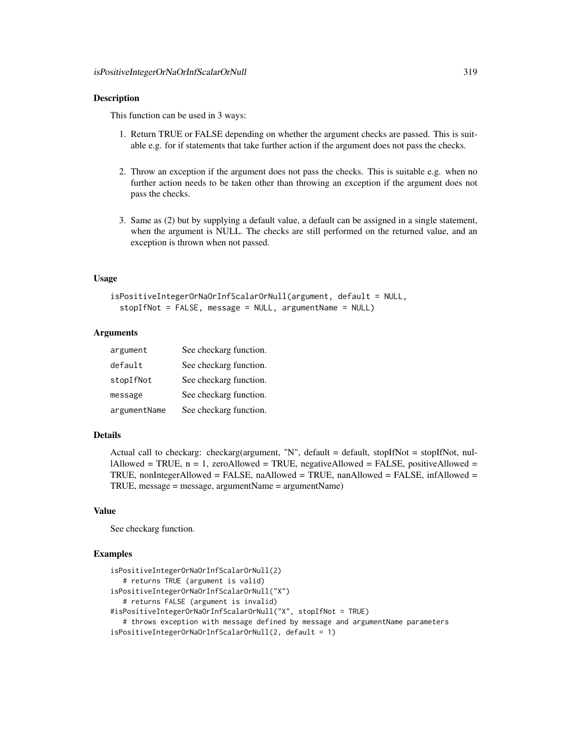### Description

This function can be used in 3 ways:

- 1. Return TRUE or FALSE depending on whether the argument checks are passed. This is suitable e.g. for if statements that take further action if the argument does not pass the checks.
- 2. Throw an exception if the argument does not pass the checks. This is suitable e.g. when no further action needs to be taken other than throwing an exception if the argument does not pass the checks.
- 3. Same as (2) but by supplying a default value, a default can be assigned in a single statement, when the argument is NULL. The checks are still performed on the returned value, and an exception is thrown when not passed.

### Usage

```
isPositiveIntegerOrNaOrInfScalarOrNull(argument, default = NULL,
  stopIfNot = FALSE, message = NULL, argumentName = NULL)
```
## Arguments

| argument     | See checkarg function. |
|--------------|------------------------|
| default      | See checkarg function. |
| stopIfNot    | See checkarg function. |
| message      | See checkarg function. |
| argumentName | See checkarg function. |

### Details

Actual call to checkarg: checkarg(argument, "N", default = default, stopIfNot = stopIfNot, nullAllowed = TRUE,  $n = 1$ , zeroAllowed = TRUE, negativeAllowed = FALSE, positiveAllowed = TRUE, nonIntegerAllowed = FALSE, naAllowed = TRUE, nanAllowed = FALSE, infAllowed = TRUE, message = message, argumentName = argumentName)

### Value

See checkarg function.

```
isPositiveIntegerOrNaOrInfScalarOrNull(2)
   # returns TRUE (argument is valid)
isPositiveIntegerOrNaOrInfScalarOrNull("X")
   # returns FALSE (argument is invalid)
#isPositiveIntegerOrNaOrInfScalarOrNull("X", stopIfNot = TRUE)
   # throws exception with message defined by message and argumentName parameters
isPositiveIntegerOrNaOrInfScalarOrNull(2, default = 1)
```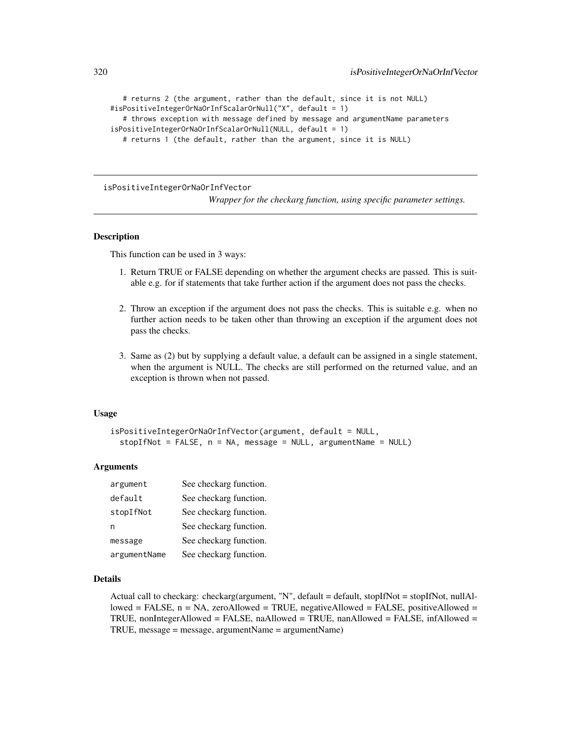```
# returns 2 (the argument, rather than the default, since it is not NULL)
#isPositiveIntegerOrNaOrInfScalarOrNull("X", default = 1)
   # throws exception with message defined by message and argumentName parameters
isPositiveIntegerOrNaOrInfScalarOrNull(NULL, default = 1)
  # returns 1 (the default, rather than the argument, since it is NULL)
```
isPositiveIntegerOrNaOrInfVector

*Wrapper for the checkarg function, using specific parameter settings.*

## Description

This function can be used in 3 ways:

- 1. Return TRUE or FALSE depending on whether the argument checks are passed. This is suitable e.g. for if statements that take further action if the argument does not pass the checks.
- 2. Throw an exception if the argument does not pass the checks. This is suitable e.g. when no further action needs to be taken other than throwing an exception if the argument does not pass the checks.
- 3. Same as (2) but by supplying a default value, a default can be assigned in a single statement, when the argument is NULL. The checks are still performed on the returned value, and an exception is thrown when not passed.

### Usage

```
isPositiveIntegerOrNaOrInfVector(argument, default = NULL,
 stopIfNot = FALSE, n = NA, message = NULL, argumentName = NULL)
```
### Arguments

| argument     | See checkarg function. |
|--------------|------------------------|
| default      | See checkarg function. |
| stopIfNot    | See checkarg function. |
| n            | See checkarg function. |
| message      | See checkarg function. |
| argumentName | See checkarg function. |

### Details

Actual call to checkarg: checkarg(argument, "N", default = default, stopIfNot = stopIfNot, nullAl $l$ owed = FALSE,  $n = NA$ , zeroAllowed = TRUE, negativeAllowed = FALSE, positiveAllowed = TRUE, nonIntegerAllowed = FALSE, naAllowed = TRUE, nanAllowed = FALSE, infAllowed = TRUE, message = message, argumentName = argumentName)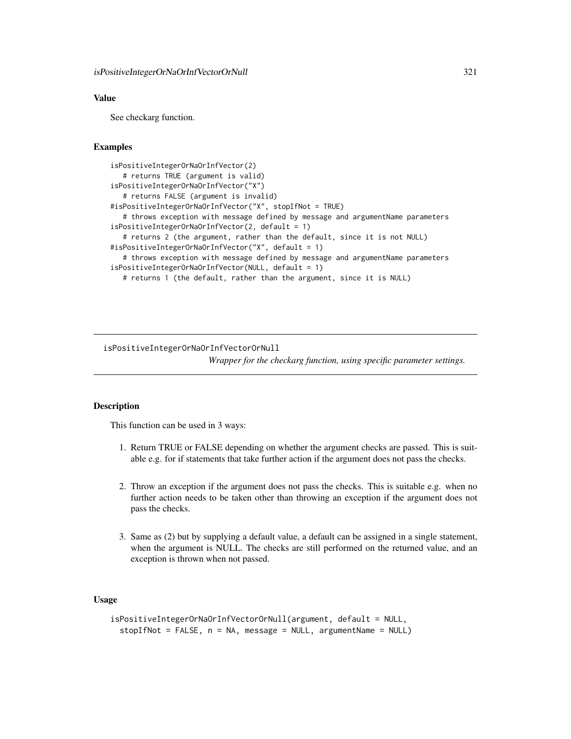## Value

See checkarg function.

# Examples

```
isPositiveIntegerOrNaOrInfVector(2)
  # returns TRUE (argument is valid)
isPositiveIntegerOrNaOrInfVector("X")
  # returns FALSE (argument is invalid)
#isPositiveIntegerOrNaOrInfVector("X", stopIfNot = TRUE)
  # throws exception with message defined by message and argumentName parameters
isPositiveIntegerOrNaOrInfVector(2, default = 1)
  # returns 2 (the argument, rather than the default, since it is not NULL)
#isPositiveIntegerOrNaOrInfVector("X", default = 1)
  # throws exception with message defined by message and argumentName parameters
isPositiveIntegerOrNaOrInfVector(NULL, default = 1)
  # returns 1 (the default, rather than the argument, since it is NULL)
```
isPositiveIntegerOrNaOrInfVectorOrNull

*Wrapper for the checkarg function, using specific parameter settings.*

### Description

This function can be used in 3 ways:

- 1. Return TRUE or FALSE depending on whether the argument checks are passed. This is suitable e.g. for if statements that take further action if the argument does not pass the checks.
- 2. Throw an exception if the argument does not pass the checks. This is suitable e.g. when no further action needs to be taken other than throwing an exception if the argument does not pass the checks.
- 3. Same as (2) but by supplying a default value, a default can be assigned in a single statement, when the argument is NULL. The checks are still performed on the returned value, and an exception is thrown when not passed.

# Usage

```
isPositiveIntegerOrNaOrInfVectorOrNull(argument, default = NULL,
 stopIfNot = FALSE, n = NA, message = NULL, argumentName = NULL)
```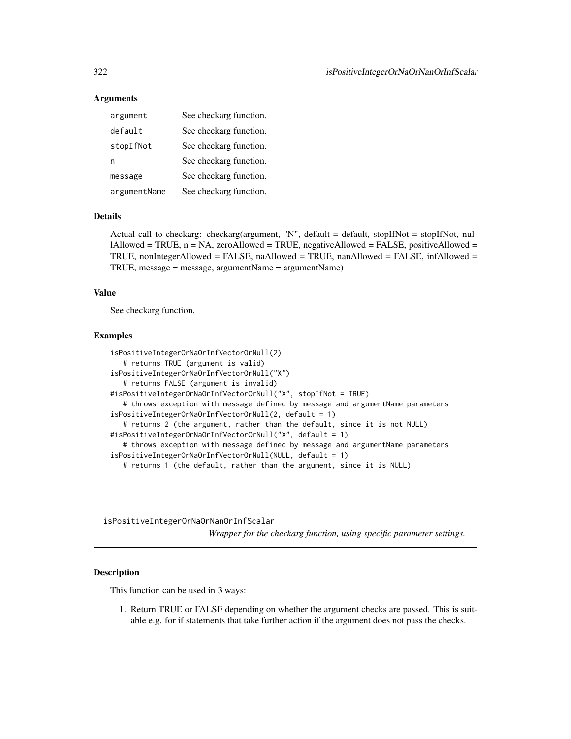## Arguments

| argument     | See checkarg function. |
|--------------|------------------------|
| default      | See checkarg function. |
| stopIfNot    | See checkarg function. |
| n            | See checkarg function. |
| message      | See checkarg function. |
| argumentName | See checkarg function. |

### Details

Actual call to checkarg: checkarg(argument, "N", default = default, stopIfNot = stopIfNot, nul- $1$ Allowed = TRUE,  $n = NA$ , zeroAllowed = TRUE, negativeAllowed = FALSE, positiveAllowed = TRUE, nonIntegerAllowed = FALSE, naAllowed = TRUE, nanAllowed = FALSE, infAllowed = TRUE, message = message, argumentName = argumentName)

### Value

See checkarg function.

### Examples

```
isPositiveIntegerOrNaOrInfVectorOrNull(2)
   # returns TRUE (argument is valid)
isPositiveIntegerOrNaOrInfVectorOrNull("X")
   # returns FALSE (argument is invalid)
#isPositiveIntegerOrNaOrInfVectorOrNull("X", stopIfNot = TRUE)
   # throws exception with message defined by message and argumentName parameters
isPositiveIntegerOrNaOrInfVectorOrNull(2, default = 1)
   # returns 2 (the argument, rather than the default, since it is not NULL)
#isPositiveIntegerOrNaOrInfVectorOrNull("X", default = 1)
   # throws exception with message defined by message and argumentName parameters
isPositiveIntegerOrNaOrInfVectorOrNull(NULL, default = 1)
  # returns 1 (the default, rather than the argument, since it is NULL)
```
isPositiveIntegerOrNaOrNanOrInfScalar *Wrapper for the checkarg function, using specific parameter settings.*

# Description

This function can be used in 3 ways:

1. Return TRUE or FALSE depending on whether the argument checks are passed. This is suitable e.g. for if statements that take further action if the argument does not pass the checks.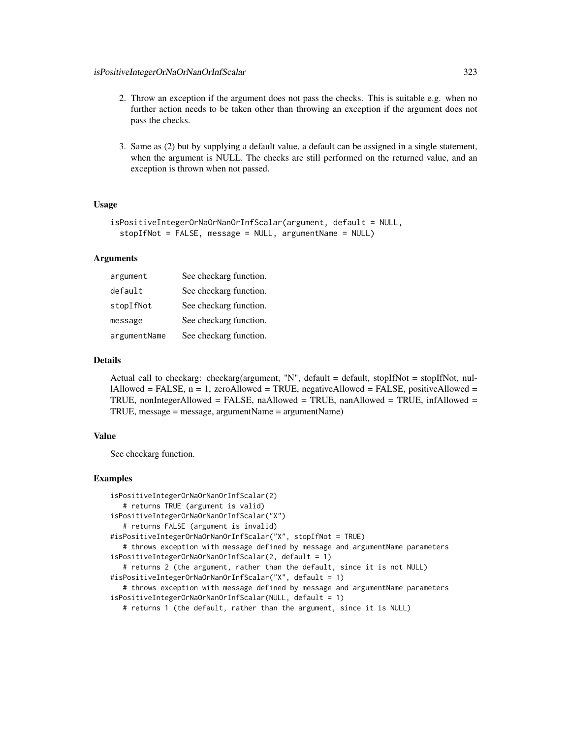- 2. Throw an exception if the argument does not pass the checks. This is suitable e.g. when no further action needs to be taken other than throwing an exception if the argument does not pass the checks.
- 3. Same as (2) but by supplying a default value, a default can be assigned in a single statement, when the argument is NULL. The checks are still performed on the returned value, and an exception is thrown when not passed.

```
isPositiveIntegerOrNaOrNanOrInfScalar(argument, default = NULL,
  stopIfNot = FALSE, message = NULL, argumentName = NULL)
```
## Arguments

| argument     | See checkarg function. |
|--------------|------------------------|
| default      | See checkarg function. |
| stopIfNot    | See checkarg function. |
| message      | See checkarg function. |
| argumentName | See checkarg function. |

# Details

Actual call to checkarg: checkarg(argument, "N", default = default, stopIfNot = stopIfNot, nullAllowed = FALSE,  $n = 1$ , zeroAllowed = TRUE, negativeAllowed = FALSE, positiveAllowed = TRUE, nonIntegerAllowed = FALSE, naAllowed = TRUE, nanAllowed = TRUE, infAllowed = TRUE, message = message, argumentName = argumentName)

# Value

See checkarg function.

```
isPositiveIntegerOrNaOrNanOrInfScalar(2)
   # returns TRUE (argument is valid)
isPositiveIntegerOrNaOrNanOrInfScalar("X")
   # returns FALSE (argument is invalid)
#isPositiveIntegerOrNaOrNanOrInfScalar("X", stopIfNot = TRUE)
   # throws exception with message defined by message and argumentName parameters
isPositiveIntegerOrNaOrNanOrInfScalar(2, default = 1)
   # returns 2 (the argument, rather than the default, since it is not NULL)
#isPositiveIntegerOrNaOrNanOrInfScalar("X", default = 1)
   # throws exception with message defined by message and argumentName parameters
isPositiveIntegerOrNaOrNanOrInfScalar(NULL, default = 1)
   # returns 1 (the default, rather than the argument, since it is NULL)
```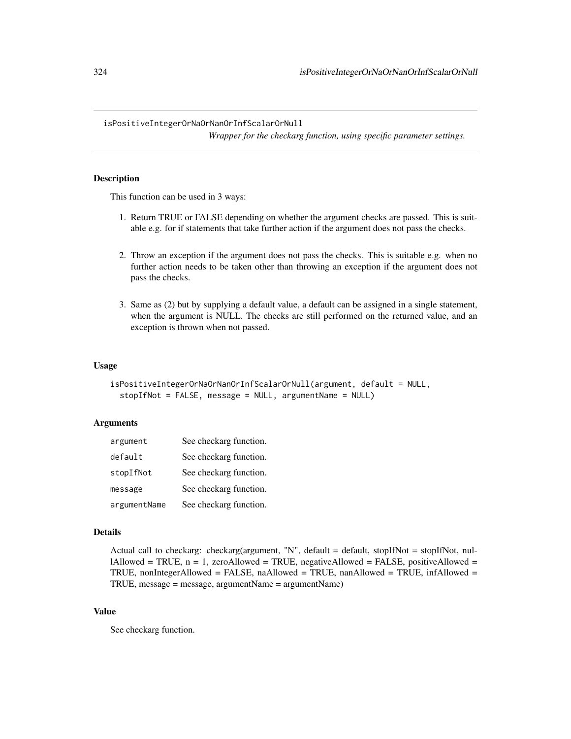isPositiveIntegerOrNaOrNanOrInfScalarOrNull *Wrapper for the checkarg function, using specific parameter settings.*

### Description

This function can be used in 3 ways:

- 1. Return TRUE or FALSE depending on whether the argument checks are passed. This is suitable e.g. for if statements that take further action if the argument does not pass the checks.
- 2. Throw an exception if the argument does not pass the checks. This is suitable e.g. when no further action needs to be taken other than throwing an exception if the argument does not pass the checks.
- 3. Same as (2) but by supplying a default value, a default can be assigned in a single statement, when the argument is NULL. The checks are still performed on the returned value, and an exception is thrown when not passed.

#### Usage

```
isPositiveIntegerOrNaOrNanOrInfScalarOrNull(argument, default = NULL,
 stopIfNot = FALSE, message = NULL, argumentName = NULL)
```
## Arguments

| argument     | See checkarg function. |
|--------------|------------------------|
| default      | See checkarg function. |
| stopIfNot    | See checkarg function. |
| message      | See checkarg function. |
| argumentName | See checkarg function. |

#### Details

```
Actual call to checkarg: checkarg(argument, "N", default = default, stopIfNot = stopIfNot, nul-
lAllowed = TRUE, n = 1, zeroAllowed = TRUE, negativeAllowed = FALSE, positiveAllowed =
TRUE, nonIntegerAllowed = FALSE, naAllowed = TRUE, nanAllowed = TRUE, infAllowed =
TRUE, message = message, argumentName = argumentName)
```
# Value

See checkarg function.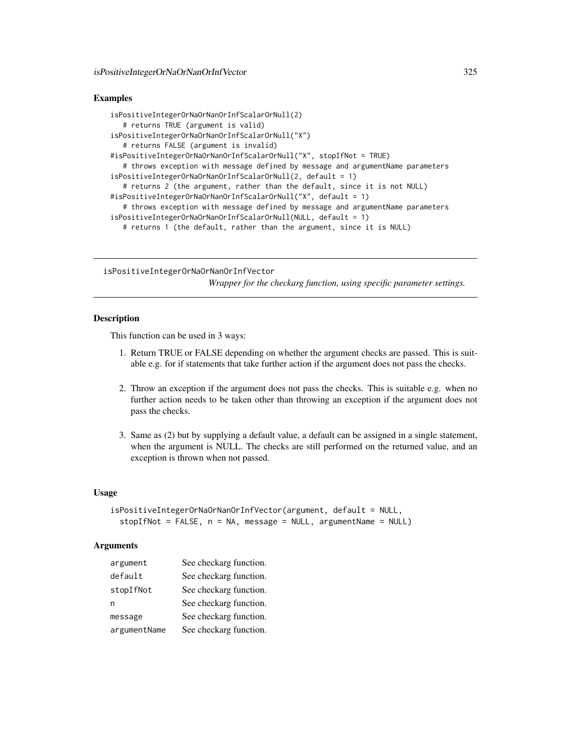## Examples

```
isPositiveIntegerOrNaOrNanOrInfScalarOrNull(2)
   # returns TRUE (argument is valid)
isPositiveIntegerOrNaOrNanOrInfScalarOrNull("X")
   # returns FALSE (argument is invalid)
#isPositiveIntegerOrNaOrNanOrInfScalarOrNull("X", stopIfNot = TRUE)
   # throws exception with message defined by message and argumentName parameters
isPositiveIntegerOrNaOrNanOrInfScalarOrNull(2, default = 1)
   # returns 2 (the argument, rather than the default, since it is not NULL)
#isPositiveIntegerOrNaOrNanOrInfScalarOrNull("X", default = 1)
   # throws exception with message defined by message and argumentName parameters
isPositiveIntegerOrNaOrNanOrInfScalarOrNull(NULL, default = 1)
   # returns 1 (the default, rather than the argument, since it is NULL)
```
isPositiveIntegerOrNaOrNanOrInfVector

*Wrapper for the checkarg function, using specific parameter settings.*

## Description

This function can be used in 3 ways:

- 1. Return TRUE or FALSE depending on whether the argument checks are passed. This is suitable e.g. for if statements that take further action if the argument does not pass the checks.
- 2. Throw an exception if the argument does not pass the checks. This is suitable e.g. when no further action needs to be taken other than throwing an exception if the argument does not pass the checks.
- 3. Same as (2) but by supplying a default value, a default can be assigned in a single statement, when the argument is NULL. The checks are still performed on the returned value, and an exception is thrown when not passed.

#### Usage

```
isPositiveIntegerOrNaOrNanOrInfVector(argument, default = NULL,
 stopIfNot = FALSE, n = NA, message = NULL, argumentName = NULL)
```
### Arguments

| argument     | See checkarg function. |
|--------------|------------------------|
| default      | See checkarg function. |
| stopIfNot    | See checkarg function. |
| n            | See checkarg function. |
| message      | See checkarg function. |
| argumentName | See checkarg function. |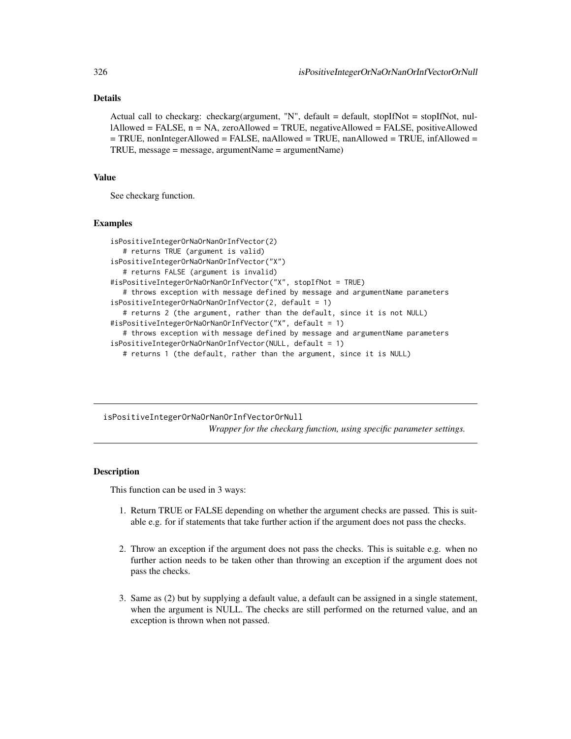# Details

Actual call to checkarg: checkarg(argument, "N", default = default, stopIfNot = stopIfNot, nullAllowed = FALSE, n = NA, zeroAllowed = TRUE, negativeAllowed = FALSE, positiveAllowed = TRUE, nonIntegerAllowed = FALSE, naAllowed = TRUE, nanAllowed = TRUE, infAllowed = TRUE, message = message, argumentName = argumentName)

#### Value

See checkarg function.

#### Examples

```
isPositiveIntegerOrNaOrNanOrInfVector(2)
   # returns TRUE (argument is valid)
isPositiveIntegerOrNaOrNanOrInfVector("X")
   # returns FALSE (argument is invalid)
#isPositiveIntegerOrNaOrNanOrInfVector("X", stopIfNot = TRUE)
   # throws exception with message defined by message and argumentName parameters
isPositiveIntegerOrNaOrNanOrInfVector(2, default = 1)
   # returns 2 (the argument, rather than the default, since it is not NULL)
#isPositiveIntegerOrNaOrNanOrInfVector("X", default = 1)
   # throws exception with message defined by message and argumentName parameters
isPositiveIntegerOrNaOrNanOrInfVector(NULL, default = 1)
  # returns 1 (the default, rather than the argument, since it is NULL)
```
isPositiveIntegerOrNaOrNanOrInfVectorOrNull *Wrapper for the checkarg function, using specific parameter settings.*

# **Description**

This function can be used in 3 ways:

- 1. Return TRUE or FALSE depending on whether the argument checks are passed. This is suitable e.g. for if statements that take further action if the argument does not pass the checks.
- 2. Throw an exception if the argument does not pass the checks. This is suitable e.g. when no further action needs to be taken other than throwing an exception if the argument does not pass the checks.
- 3. Same as (2) but by supplying a default value, a default can be assigned in a single statement, when the argument is NULL. The checks are still performed on the returned value, and an exception is thrown when not passed.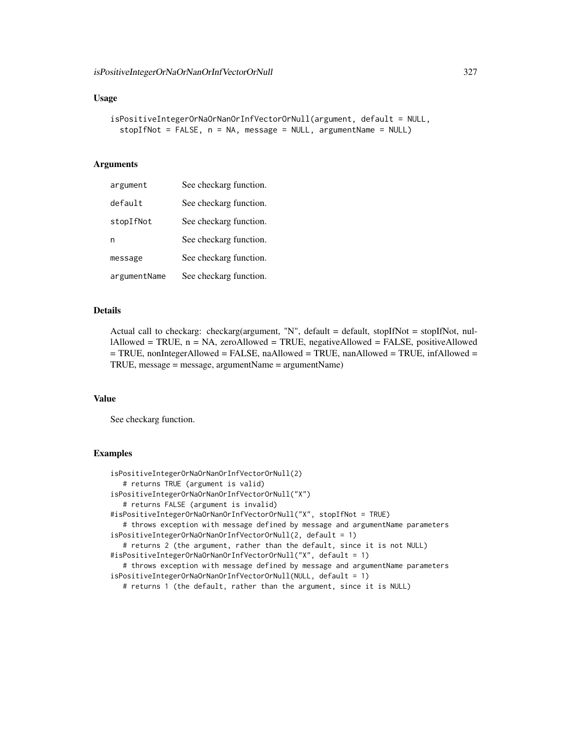### Usage

```
isPositiveIntegerOrNaOrNanOrInfVectorOrNull(argument, default = NULL,
  stopIfNot = FALSE, n = NA, message = NULL, argumentName = NULL)
```
## Arguments

| argument     | See checkarg function. |
|--------------|------------------------|
| default      | See checkarg function. |
| stopIfNot    | See checkarg function. |
| n            | See checkarg function. |
| message      | See checkarg function. |
| argumentName | See checkarg function. |

#### Details

Actual call to checkarg: checkarg(argument, "N", default = default, stopIfNot = stopIfNot, nul $l$ Allowed = TRUE, n = NA, zeroAllowed = TRUE, negativeAllowed = FALSE, positiveAllowed  $=$  TRUE, nonIntegerAllowed  $=$  FALSE, naAllowed  $=$  TRUE, nanAllowed  $=$  TRUE, infAllowed  $=$ TRUE, message = message, argumentName = argumentName)

#### Value

See checkarg function.

```
isPositiveIntegerOrNaOrNanOrInfVectorOrNull(2)
  # returns TRUE (argument is valid)
isPositiveIntegerOrNaOrNanOrInfVectorOrNull("X")
   # returns FALSE (argument is invalid)
#isPositiveIntegerOrNaOrNanOrInfVectorOrNull("X", stopIfNot = TRUE)
   # throws exception with message defined by message and argumentName parameters
isPositiveIntegerOrNaOrNanOrInfVectorOrNull(2, default = 1)
   # returns 2 (the argument, rather than the default, since it is not NULL)
#isPositiveIntegerOrNaOrNanOrInfVectorOrNull("X", default = 1)
   # throws exception with message defined by message and argumentName parameters
isPositiveIntegerOrNaOrNanOrInfVectorOrNull(NULL, default = 1)
   # returns 1 (the default, rather than the argument, since it is NULL)
```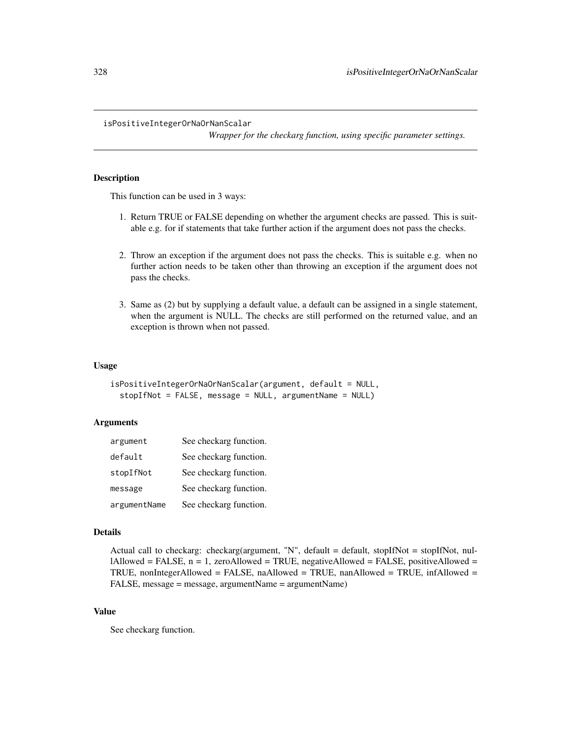#### isPositiveIntegerOrNaOrNanScalar

*Wrapper for the checkarg function, using specific parameter settings.*

### Description

This function can be used in 3 ways:

- 1. Return TRUE or FALSE depending on whether the argument checks are passed. This is suitable e.g. for if statements that take further action if the argument does not pass the checks.
- 2. Throw an exception if the argument does not pass the checks. This is suitable e.g. when no further action needs to be taken other than throwing an exception if the argument does not pass the checks.
- 3. Same as (2) but by supplying a default value, a default can be assigned in a single statement, when the argument is NULL. The checks are still performed on the returned value, and an exception is thrown when not passed.

#### Usage

```
isPositiveIntegerOrNaOrNanScalar(argument, default = NULL,
 stopIfNot = FALSE, message = NULL, argumentName = NULL)
```
### **Arguments**

| argument     | See checkarg function. |
|--------------|------------------------|
| default      | See checkarg function. |
| stopIfNot    | See checkarg function. |
| message      | See checkarg function. |
| argumentName | See checkarg function. |

#### Details

```
Actual call to checkarg: checkarg(argument, "N", default = default, stopIfNot = stopIfNot, nul-
\text{l}Allowed = FALSE, n = 1, zeroAllowed = TRUE, negativeAllowed = FALSE, positiveAllowed =
TRUE, nonIntegerAllowed = FALSE, naAllowed = TRUE, nanAllowed = TRUE, infAllowed =
FALSE, message = message, argumentName = argumentName)
```
# Value

See checkarg function.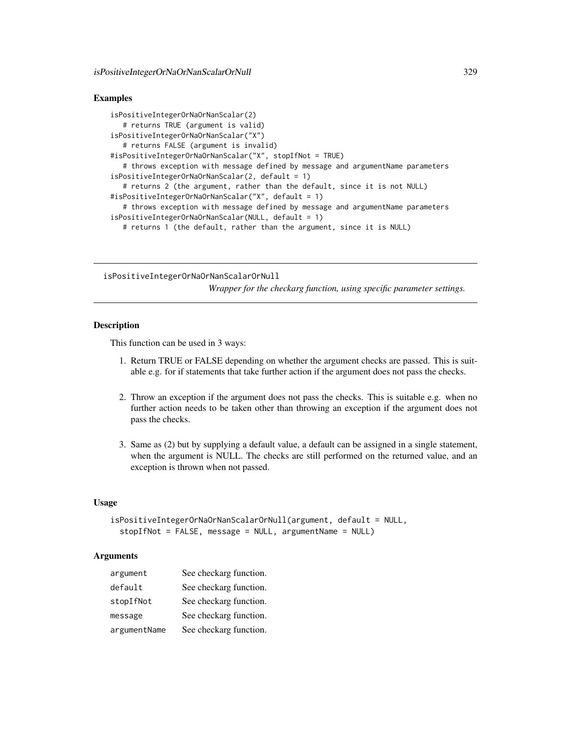## Examples

```
isPositiveIntegerOrNaOrNanScalar(2)
   # returns TRUE (argument is valid)
isPositiveIntegerOrNaOrNanScalar("X")
   # returns FALSE (argument is invalid)
#isPositiveIntegerOrNaOrNanScalar("X", stopIfNot = TRUE)
   # throws exception with message defined by message and argumentName parameters
isPositiveIntegerOrNaOrNanScalar(2, default = 1)
   # returns 2 (the argument, rather than the default, since it is not NULL)
#isPositiveIntegerOrNaOrNanScalar("X", default = 1)
   # throws exception with message defined by message and argumentName parameters
isPositiveIntegerOrNaOrNanScalar(NULL, default = 1)
   # returns 1 (the default, rather than the argument, since it is NULL)
```
isPositiveIntegerOrNaOrNanScalarOrNull *Wrapper for the checkarg function, using specific parameter settings.*

### **Description**

This function can be used in 3 ways:

- 1. Return TRUE or FALSE depending on whether the argument checks are passed. This is suitable e.g. for if statements that take further action if the argument does not pass the checks.
- 2. Throw an exception if the argument does not pass the checks. This is suitable e.g. when no further action needs to be taken other than throwing an exception if the argument does not pass the checks.
- 3. Same as (2) but by supplying a default value, a default can be assigned in a single statement, when the argument is NULL. The checks are still performed on the returned value, and an exception is thrown when not passed.

#### Usage

```
isPositiveIntegerOrNaOrNanScalarOrNull(argument, default = NULL,
 stopIfNot = FALSE, message = NULL, argumentName = NULL)
```
### **Arguments**

| argument     | See checkarg function. |
|--------------|------------------------|
| default      | See checkarg function. |
| stopIfNot    | See checkarg function. |
| message      | See checkarg function. |
| argumentName | See checkarg function. |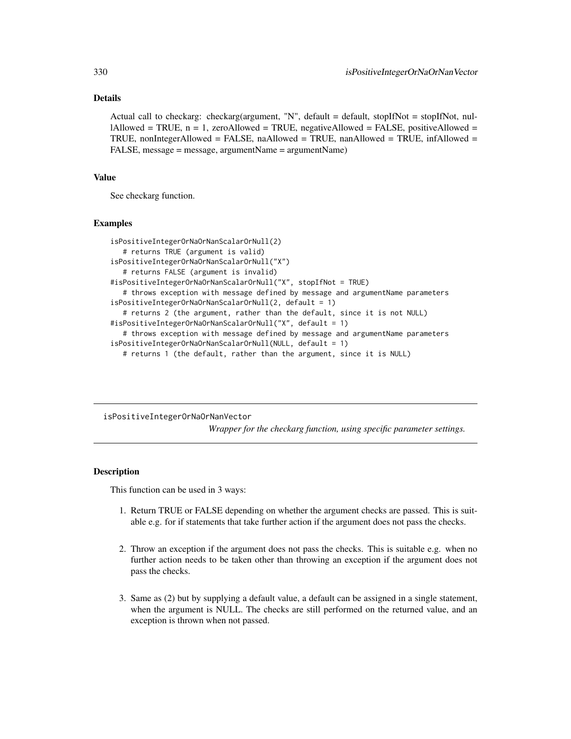## Details

Actual call to checkarg: checkarg(argument, "N", default = default, stopIfNot = stopIfNot, nul- $1$ Allowed = TRUE,  $n = 1$ , zeroAllowed = TRUE, negativeAllowed = FALSE, positiveAllowed = TRUE, nonIntegerAllowed = FALSE, naAllowed = TRUE, nanAllowed = TRUE, infAllowed = FALSE, message = message, argumentName = argumentName)

#### Value

See checkarg function.

#### Examples

```
isPositiveIntegerOrNaOrNanScalarOrNull(2)
   # returns TRUE (argument is valid)
isPositiveIntegerOrNaOrNanScalarOrNull("X")
   # returns FALSE (argument is invalid)
#isPositiveIntegerOrNaOrNanScalarOrNull("X", stopIfNot = TRUE)
   # throws exception with message defined by message and argumentName parameters
isPositiveIntegerOrNaOrNanScalarOrNull(2, default = 1)
   # returns 2 (the argument, rather than the default, since it is not NULL)
#isPositiveIntegerOrNaOrNanScalarOrNull("X", default = 1)
   # throws exception with message defined by message and argumentName parameters
isPositiveIntegerOrNaOrNanScalarOrNull(NULL, default = 1)
  # returns 1 (the default, rather than the argument, since it is NULL)
```
isPositiveIntegerOrNaOrNanVector

*Wrapper for the checkarg function, using specific parameter settings.*

# **Description**

This function can be used in 3 ways:

- 1. Return TRUE or FALSE depending on whether the argument checks are passed. This is suitable e.g. for if statements that take further action if the argument does not pass the checks.
- 2. Throw an exception if the argument does not pass the checks. This is suitable e.g. when no further action needs to be taken other than throwing an exception if the argument does not pass the checks.
- 3. Same as (2) but by supplying a default value, a default can be assigned in a single statement, when the argument is NULL. The checks are still performed on the returned value, and an exception is thrown when not passed.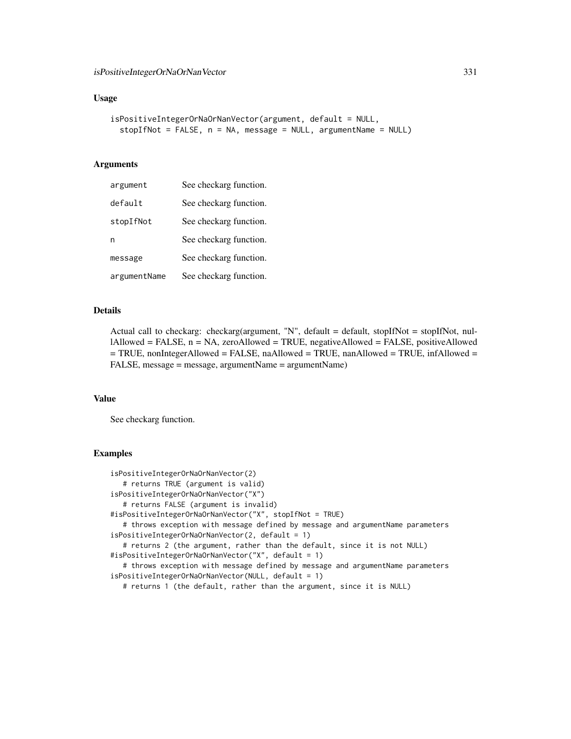#### Usage

```
isPositiveIntegerOrNaOrNanVector(argument, default = NULL,
  stopIfNot = FALSE, n = NA, message = NULL, argumentName = NULL)
```
## Arguments

| argument     | See checkarg function. |
|--------------|------------------------|
| default      | See checkarg function. |
| stopIfNot    | See checkarg function. |
| n            | See checkarg function. |
| message      | See checkarg function. |
| argumentName | See checkarg function. |

#### Details

Actual call to checkarg: checkarg(argument, "N", default = default, stopIfNot = stopIfNot, nullAllowed = FALSE, n = NA, zeroAllowed = TRUE, negativeAllowed = FALSE, positiveAllowed  $=$  TRUE, nonIntegerAllowed  $=$  FALSE, naAllowed  $=$  TRUE, nanAllowed  $=$  TRUE, infAllowed  $=$ FALSE, message = message, argumentName = argumentName)

#### Value

See checkarg function.

```
isPositiveIntegerOrNaOrNanVector(2)
  # returns TRUE (argument is valid)
isPositiveIntegerOrNaOrNanVector("X")
  # returns FALSE (argument is invalid)
#isPositiveIntegerOrNaOrNanVector("X", stopIfNot = TRUE)
   # throws exception with message defined by message and argumentName parameters
isPositiveIntegerOrNaOrNanVector(2, default = 1)
   # returns 2 (the argument, rather than the default, since it is not NULL)
#isPositiveIntegerOrNaOrNanVector("X", default = 1)
   # throws exception with message defined by message and argumentName parameters
isPositiveIntegerOrNaOrNanVector(NULL, default = 1)
   # returns 1 (the default, rather than the argument, since it is NULL)
```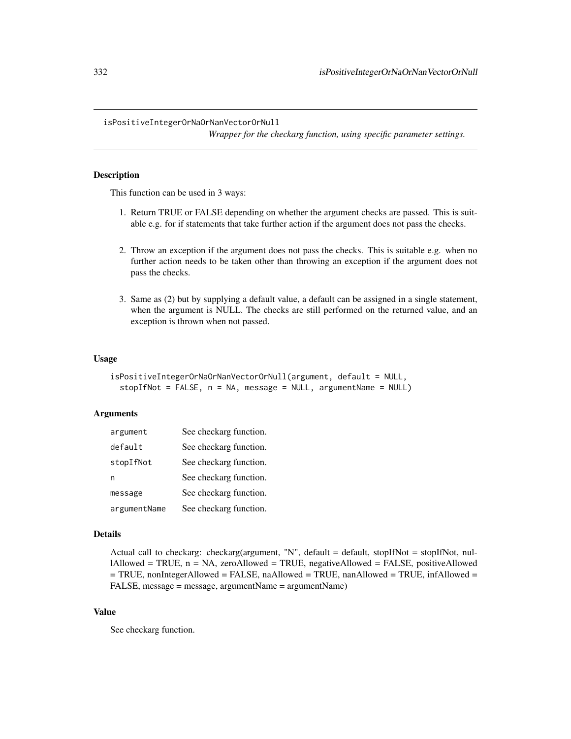isPositiveIntegerOrNaOrNanVectorOrNull

*Wrapper for the checkarg function, using specific parameter settings.*

# Description

This function can be used in 3 ways:

- 1. Return TRUE or FALSE depending on whether the argument checks are passed. This is suitable e.g. for if statements that take further action if the argument does not pass the checks.
- 2. Throw an exception if the argument does not pass the checks. This is suitable e.g. when no further action needs to be taken other than throwing an exception if the argument does not pass the checks.
- 3. Same as (2) but by supplying a default value, a default can be assigned in a single statement, when the argument is NULL. The checks are still performed on the returned value, and an exception is thrown when not passed.

#### Usage

```
isPositiveIntegerOrNaOrNanVectorOrNull(argument, default = NULL,
 stopIfNot = FALSE, n = NA, message = NULL, argumentName = NULL)
```
#### **Arguments**

| argument     | See checkarg function. |
|--------------|------------------------|
| default      | See checkarg function. |
| stopIfNot    | See checkarg function. |
| n            | See checkarg function. |
| message      | See checkarg function. |
| argumentName | See checkarg function. |

#### Details

Actual call to checkarg: checkarg(argument, "N", default = default, stopIfNot = stopIfNot, nul $l$ Allowed = TRUE,  $n$  = NA, zeroAllowed = TRUE, negativeAllowed = FALSE, positiveAllowed = TRUE, nonIntegerAllowed = FALSE, naAllowed = TRUE, nanAllowed = TRUE, infAllowed = FALSE, message = message, argumentName = argumentName)

# Value

See checkarg function.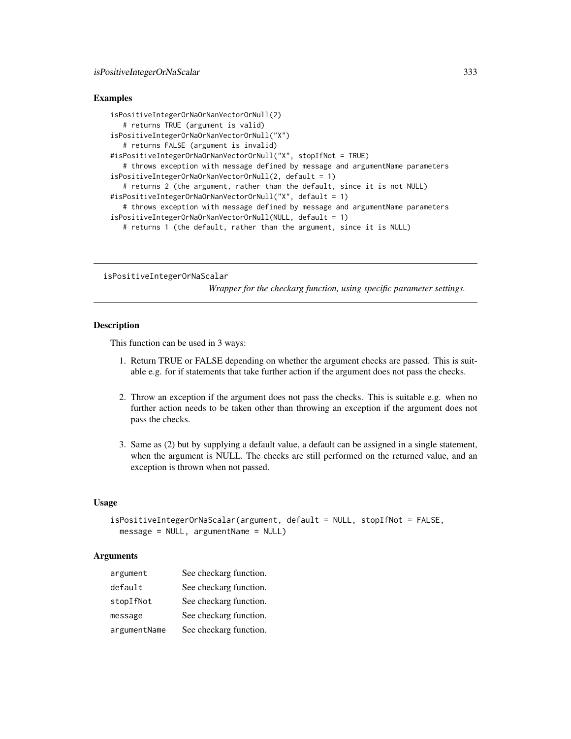### Examples

```
isPositiveIntegerOrNaOrNanVectorOrNull(2)
   # returns TRUE (argument is valid)
isPositiveIntegerOrNaOrNanVectorOrNull("X")
   # returns FALSE (argument is invalid)
#isPositiveIntegerOrNaOrNanVectorOrNull("X", stopIfNot = TRUE)
   # throws exception with message defined by message and argumentName parameters
isPositiveIntegerOrNaOrNanVectorOrNull(2, default = 1)
   # returns 2 (the argument, rather than the default, since it is not NULL)
#isPositiveIntegerOrNaOrNanVectorOrNull("X", default = 1)
   # throws exception with message defined by message and argumentName parameters
isPositiveIntegerOrNaOrNanVectorOrNull(NULL, default = 1)
   # returns 1 (the default, rather than the argument, since it is NULL)
```
isPositiveIntegerOrNaScalar

*Wrapper for the checkarg function, using specific parameter settings.*

### **Description**

This function can be used in 3 ways:

- 1. Return TRUE or FALSE depending on whether the argument checks are passed. This is suitable e.g. for if statements that take further action if the argument does not pass the checks.
- 2. Throw an exception if the argument does not pass the checks. This is suitable e.g. when no further action needs to be taken other than throwing an exception if the argument does not pass the checks.
- 3. Same as (2) but by supplying a default value, a default can be assigned in a single statement, when the argument is NULL. The checks are still performed on the returned value, and an exception is thrown when not passed.

### Usage

```
isPositiveIntegerOrNaScalar(argument, default = NULL, stopIfNot = FALSE,
 message = NULL, argumentName = NULL)
```
## **Arguments**

| argument     | See checkarg function. |
|--------------|------------------------|
| default      | See checkarg function. |
| stopIfNot    | See checkarg function. |
| message      | See checkarg function. |
| argumentName | See checkarg function. |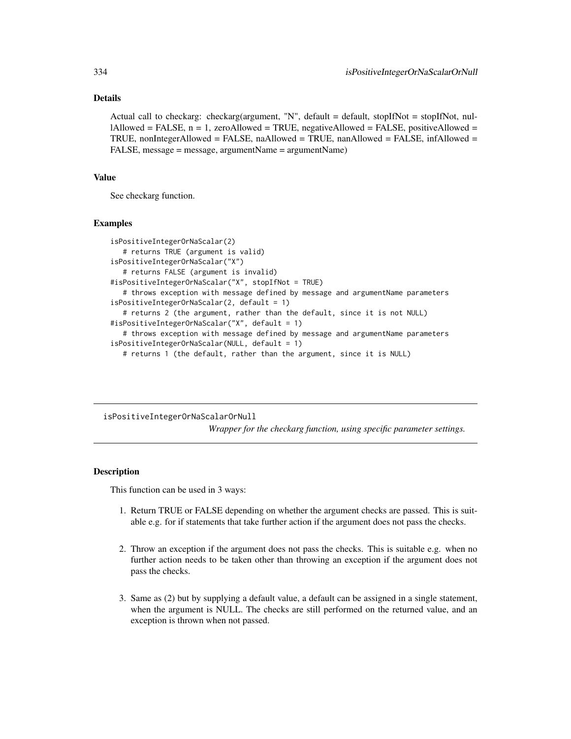# Details

Actual call to checkarg: checkarg(argument, "N", default = default, stopIfNot = stopIfNot, nul- $1$ Allowed = FALSE,  $n = 1$ , zeroAllowed = TRUE, negativeAllowed = FALSE, positiveAllowed = TRUE, nonIntegerAllowed = FALSE, naAllowed = TRUE, nanAllowed = FALSE, infAllowed = FALSE, message = message, argumentName = argumentName)

### Value

See checkarg function.

### Examples

```
isPositiveIntegerOrNaScalar(2)
   # returns TRUE (argument is valid)
isPositiveIntegerOrNaScalar("X")
   # returns FALSE (argument is invalid)
#isPositiveIntegerOrNaScalar("X", stopIfNot = TRUE)
   # throws exception with message defined by message and argumentName parameters
isPositiveIntegerOrNaScalar(2, default = 1)
   # returns 2 (the argument, rather than the default, since it is not NULL)
#isPositiveIntegerOrNaScalar("X", default = 1)
   # throws exception with message defined by message and argumentName parameters
isPositiveIntegerOrNaScalar(NULL, default = 1)
  # returns 1 (the default, rather than the argument, since it is NULL)
```
isPositiveIntegerOrNaScalarOrNull *Wrapper for the checkarg function, using specific parameter settings.*

## **Description**

This function can be used in 3 ways:

- 1. Return TRUE or FALSE depending on whether the argument checks are passed. This is suitable e.g. for if statements that take further action if the argument does not pass the checks.
- 2. Throw an exception if the argument does not pass the checks. This is suitable e.g. when no further action needs to be taken other than throwing an exception if the argument does not pass the checks.
- 3. Same as (2) but by supplying a default value, a default can be assigned in a single statement, when the argument is NULL. The checks are still performed on the returned value, and an exception is thrown when not passed.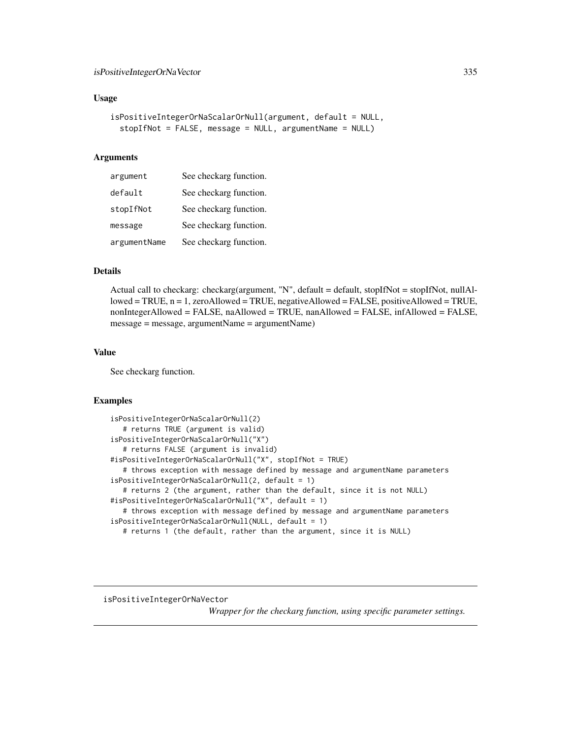# isPositiveIntegerOrNaVector 335

### Usage

```
isPositiveIntegerOrNaScalarOrNull(argument, default = NULL,
  stopIfNot = FALSE, message = NULL, argumentName = NULL)
```
#### Arguments

| argument     | See checkarg function. |
|--------------|------------------------|
| default      | See checkarg function. |
| stopIfNot    | See checkarg function. |
| message      | See checkarg function. |
| argumentName | See checkarg function. |

# Details

Actual call to checkarg: checkarg(argument, "N", default = default, stopIfNot = stopIfNot, nullAllowed = TRUE, n = 1, zeroAllowed = TRUE, negativeAllowed = FALSE, positiveAllowed = TRUE, nonIntegerAllowed = FALSE, naAllowed = TRUE, nanAllowed = FALSE, infAllowed = FALSE, message = message, argumentName = argumentName)

### Value

See checkarg function.

## Examples

```
isPositiveIntegerOrNaScalarOrNull(2)
   # returns TRUE (argument is valid)
isPositiveIntegerOrNaScalarOrNull("X")
   # returns FALSE (argument is invalid)
#isPositiveIntegerOrNaScalarOrNull("X", stopIfNot = TRUE)
   # throws exception with message defined by message and argumentName parameters
isPositiveIntegerOrNaScalarOrNull(2, default = 1)
   # returns 2 (the argument, rather than the default, since it is not NULL)
#isPositiveIntegerOrNaScalarOrNull("X", default = 1)
  # throws exception with message defined by message and argumentName parameters
isPositiveIntegerOrNaScalarOrNull(NULL, default = 1)
  # returns 1 (the default, rather than the argument, since it is NULL)
```
isPositiveIntegerOrNaVector

*Wrapper for the checkarg function, using specific parameter settings.*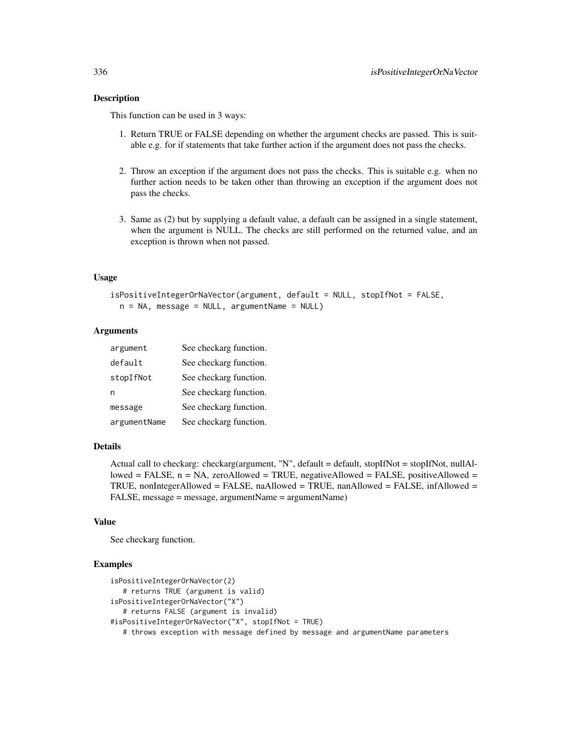### Description

This function can be used in 3 ways:

- 1. Return TRUE or FALSE depending on whether the argument checks are passed. This is suitable e.g. for if statements that take further action if the argument does not pass the checks.
- 2. Throw an exception if the argument does not pass the checks. This is suitable e.g. when no further action needs to be taken other than throwing an exception if the argument does not pass the checks.
- 3. Same as (2) but by supplying a default value, a default can be assigned in a single statement, when the argument is NULL. The checks are still performed on the returned value, and an exception is thrown when not passed.

### Usage

```
isPositiveIntegerOrNaVector(argument, default = NULL, stopIfNot = FALSE,
 n = NA, message = NULL, argumentName = NULL)
```
## Arguments

| argument     | See checkarg function. |
|--------------|------------------------|
| default      | See checkarg function. |
| stopIfNot    | See checkarg function. |
| n            | See checkarg function. |
| message      | See checkarg function. |
| argumentName | See checkarg function. |

## Details

Actual call to checkarg: checkarg(argument, "N", default = default, stopIfNot = stopIfNot, nullAllowed = FALSE,  $n = NA$ , zeroAllowed = TRUE, negativeAllowed = FALSE, positiveAllowed = TRUE, nonIntegerAllowed = FALSE, naAllowed = TRUE, nanAllowed = FALSE, infAllowed = FALSE, message = message, argumentName = argumentName)

### Value

See checkarg function.

```
isPositiveIntegerOrNaVector(2)
   # returns TRUE (argument is valid)
isPositiveIntegerOrNaVector("X")
   # returns FALSE (argument is invalid)
#isPositiveIntegerOrNaVector("X", stopIfNot = TRUE)
  # throws exception with message defined by message and argumentName parameters
```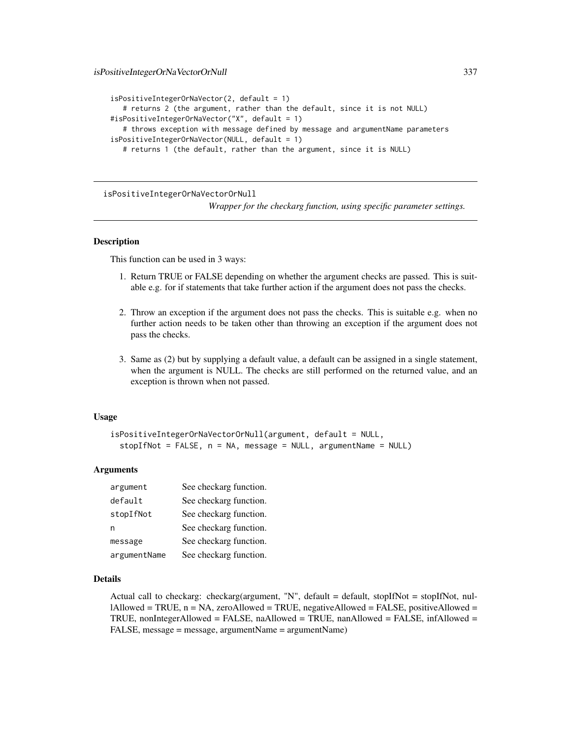```
isPositiveIntegerOrNaVector(2, default = 1)
   # returns 2 (the argument, rather than the default, since it is not NULL)
#isPositiveIntegerOrNaVector("X", default = 1)
   # throws exception with message defined by message and argumentName parameters
isPositiveIntegerOrNaVector(NULL, default = 1)
  # returns 1 (the default, rather than the argument, since it is NULL)
```
isPositiveIntegerOrNaVectorOrNull

*Wrapper for the checkarg function, using specific parameter settings.*

# **Description**

This function can be used in 3 ways:

- 1. Return TRUE or FALSE depending on whether the argument checks are passed. This is suitable e.g. for if statements that take further action if the argument does not pass the checks.
- 2. Throw an exception if the argument does not pass the checks. This is suitable e.g. when no further action needs to be taken other than throwing an exception if the argument does not pass the checks.
- 3. Same as (2) but by supplying a default value, a default can be assigned in a single statement, when the argument is NULL. The checks are still performed on the returned value, and an exception is thrown when not passed.

#### Usage

```
isPositiveIntegerOrNaVectorOrNull(argument, default = NULL,
  stopIfNot = FALSE, n = NA, message = NULL, argumentName = NULL)
```
#### **Arguments**

| argument     | See checkarg function. |
|--------------|------------------------|
| default      | See checkarg function. |
| stopIfNot    | See checkarg function. |
| n            | See checkarg function. |
| message      | See checkarg function. |
| argumentName | See checkarg function. |

#### Details

Actual call to checkarg: checkarg(argument, "N", default = default, stopIfNot = stopIfNot, nullAllowed = TRUE,  $n = NA$ , zeroAllowed = TRUE, negativeAllowed = FALSE, positiveAllowed = TRUE, nonIntegerAllowed = FALSE, naAllowed = TRUE, nanAllowed = FALSE, infAllowed = FALSE, message = message, argumentName = argumentName)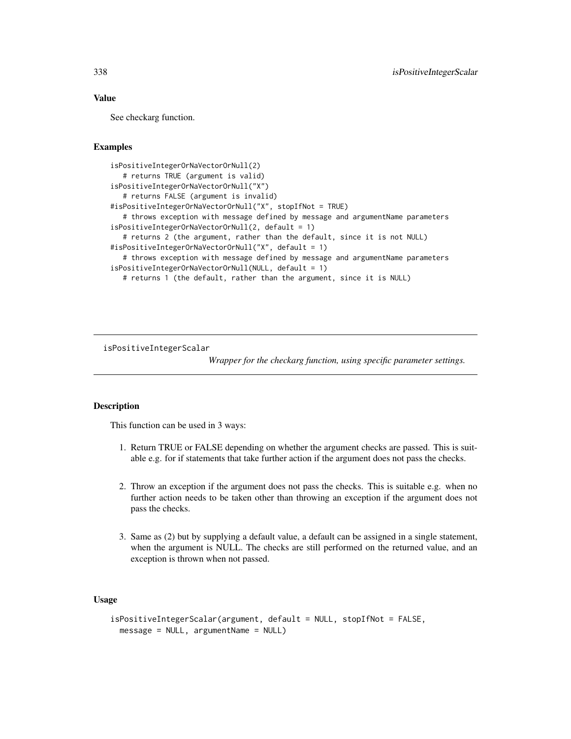# Value

See checkarg function.

### Examples

```
isPositiveIntegerOrNaVectorOrNull(2)
   # returns TRUE (argument is valid)
isPositiveIntegerOrNaVectorOrNull("X")
   # returns FALSE (argument is invalid)
#isPositiveIntegerOrNaVectorOrNull("X", stopIfNot = TRUE)
   # throws exception with message defined by message and argumentName parameters
isPositiveIntegerOrNaVectorOrNull(2, default = 1)
   # returns 2 (the argument, rather than the default, since it is not NULL)
#isPositiveIntegerOrNaVectorOrNull("X", default = 1)
  # throws exception with message defined by message and argumentName parameters
isPositiveIntegerOrNaVectorOrNull(NULL, default = 1)
  # returns 1 (the default, rather than the argument, since it is NULL)
```
isPositiveIntegerScalar

*Wrapper for the checkarg function, using specific parameter settings.*

# **Description**

This function can be used in 3 ways:

- 1. Return TRUE or FALSE depending on whether the argument checks are passed. This is suitable e.g. for if statements that take further action if the argument does not pass the checks.
- 2. Throw an exception if the argument does not pass the checks. This is suitable e.g. when no further action needs to be taken other than throwing an exception if the argument does not pass the checks.
- 3. Same as (2) but by supplying a default value, a default can be assigned in a single statement, when the argument is NULL. The checks are still performed on the returned value, and an exception is thrown when not passed.

# Usage

```
isPositiveIntegerScalar(argument, default = NULL, stopIfNot = FALSE,
 message = NULL, argumentName = NULL)
```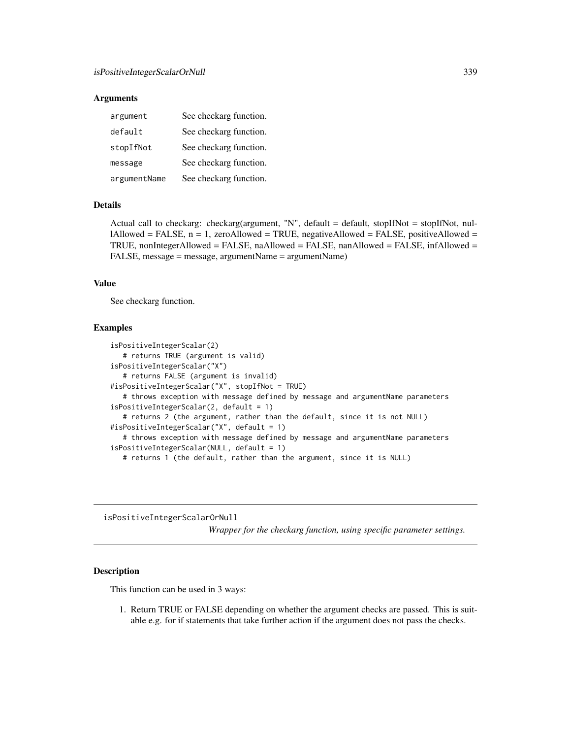### **Arguments**

| argument     | See checkarg function. |
|--------------|------------------------|
| default      | See checkarg function. |
| stopIfNot    | See checkarg function. |
| message      | See checkarg function. |
| argumentName | See checkarg function. |

# Details

Actual call to checkarg: checkarg(argument, "N", default = default, stopIfNot = stopIfNot, nul- $\text{l}$ Allowed = FALSE, n = 1, zeroAllowed = TRUE, negativeAllowed = FALSE, positiveAllowed = TRUE, nonIntegerAllowed = FALSE, naAllowed = FALSE, nanAllowed = FALSE, infAllowed = FALSE, message = message, argumentName = argumentName)

# Value

See checkarg function.

# Examples

```
isPositiveIntegerScalar(2)
  # returns TRUE (argument is valid)
isPositiveIntegerScalar("X")
  # returns FALSE (argument is invalid)
#isPositiveIntegerScalar("X", stopIfNot = TRUE)
   # throws exception with message defined by message and argumentName parameters
isPositiveIntegerScalar(2, default = 1)
   # returns 2 (the argument, rather than the default, since it is not NULL)
#isPositiveIntegerScalar("X", default = 1)
   # throws exception with message defined by message and argumentName parameters
isPositiveIntegerScalar(NULL, default = 1)
   # returns 1 (the default, rather than the argument, since it is NULL)
```
isPositiveIntegerScalarOrNull

*Wrapper for the checkarg function, using specific parameter settings.*

#### Description

This function can be used in 3 ways:

1. Return TRUE or FALSE depending on whether the argument checks are passed. This is suitable e.g. for if statements that take further action if the argument does not pass the checks.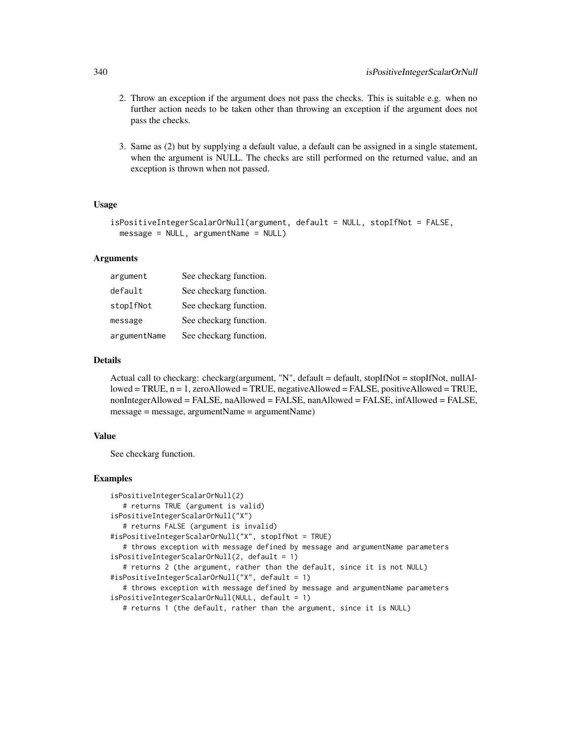- 2. Throw an exception if the argument does not pass the checks. This is suitable e.g. when no further action needs to be taken other than throwing an exception if the argument does not pass the checks.
- 3. Same as (2) but by supplying a default value, a default can be assigned in a single statement, when the argument is NULL. The checks are still performed on the returned value, and an exception is thrown when not passed.

# Usage

```
isPositiveIntegerScalarOrNull(argument, default = NULL, stopIfNot = FALSE,
 message = NULL, argumentName = NULL)
```
#### Arguments

| argument     | See checkarg function. |
|--------------|------------------------|
| default      | See checkarg function. |
| stopIfNot    | See checkarg function. |
| message      | See checkarg function. |
| argumentName | See checkarg function. |

## Details

Actual call to checkarg: checkarg(argument, "N", default = default, stopIfNot = stopIfNot, nullAllowed = TRUE, n = 1, zeroAllowed = TRUE, negativeAllowed = FALSE, positiveAllowed = TRUE, nonIntegerAllowed = FALSE, naAllowed = FALSE, nanAllowed = FALSE, infAllowed = FALSE, message = message, argumentName = argumentName)

## Value

See checkarg function.

```
isPositiveIntegerScalarOrNull(2)
   # returns TRUE (argument is valid)
isPositiveIntegerScalarOrNull("X")
   # returns FALSE (argument is invalid)
#isPositiveIntegerScalarOrNull("X", stopIfNot = TRUE)
   # throws exception with message defined by message and argumentName parameters
isPositiveIntegerScalarOrNull(2, default = 1)
   # returns 2 (the argument, rather than the default, since it is not NULL)
#isPositiveIntegerScalarOrNull("X", default = 1)
   # throws exception with message defined by message and argumentName parameters
isPositiveIntegerScalarOrNull(NULL, default = 1)
   # returns 1 (the default, rather than the argument, since it is NULL)
```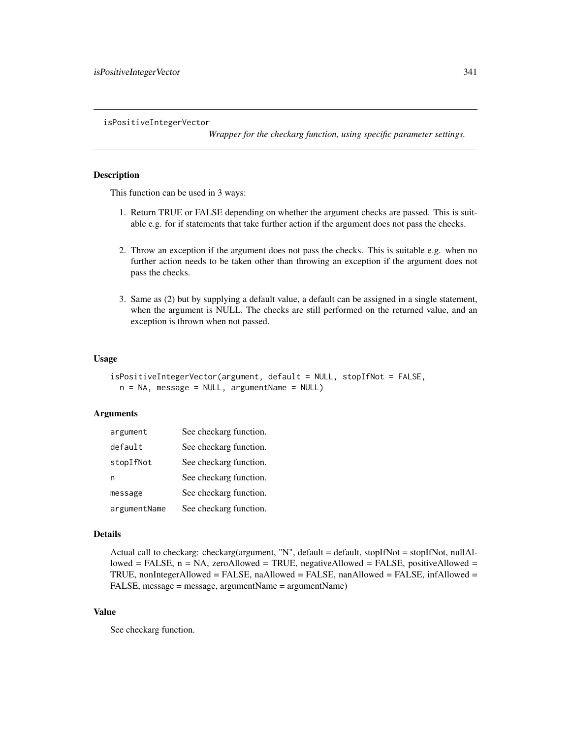isPositiveIntegerVector

*Wrapper for the checkarg function, using specific parameter settings.*

# Description

This function can be used in 3 ways:

- 1. Return TRUE or FALSE depending on whether the argument checks are passed. This is suitable e.g. for if statements that take further action if the argument does not pass the checks.
- 2. Throw an exception if the argument does not pass the checks. This is suitable e.g. when no further action needs to be taken other than throwing an exception if the argument does not pass the checks.
- 3. Same as (2) but by supplying a default value, a default can be assigned in a single statement, when the argument is NULL. The checks are still performed on the returned value, and an exception is thrown when not passed.

# Usage

```
isPositiveIntegerVector(argument, default = NULL, stopIfNot = FALSE,
 n = NA, message = NULL, argumentName = NULL)
```
### **Arguments**

| argument     | See checkarg function. |
|--------------|------------------------|
| default      | See checkarg function. |
| stopIfNot    | See checkarg function. |
| n            | See checkarg function. |
| message      | See checkarg function. |
| argumentName | See checkarg function. |

#### Details

```
Actual call to checkarg: checkarg(argument, "N", default = default, stopIfNot = stopIfNot, nullAl-
lowed = FALSE, n = NA, zeroAllowed = TRUE, negativeAllowed = FALSE, positiveAllowed =
TRUE, nonIntegerAllowed = FALSE, naAllowed = FALSE, nanAllowed = FALSE, infAllowed =
FALSE, message = message, argumentName = argumentName)
```
# Value

See checkarg function.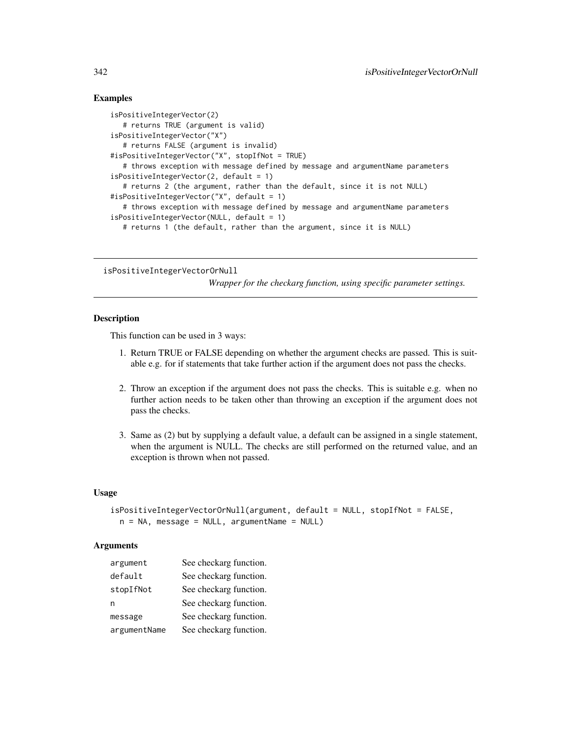## Examples

```
isPositiveIntegerVector(2)
   # returns TRUE (argument is valid)
isPositiveIntegerVector("X")
   # returns FALSE (argument is invalid)
#isPositiveIntegerVector("X", stopIfNot = TRUE)
   # throws exception with message defined by message and argumentName parameters
isPositiveIntegerVector(2, default = 1)
   # returns 2 (the argument, rather than the default, since it is not NULL)
#isPositiveIntegerVector("X", default = 1)
   # throws exception with message defined by message and argumentName parameters
isPositiveIntegerVector(NULL, default = 1)
  # returns 1 (the default, rather than the argument, since it is NULL)
```
isPositiveIntegerVectorOrNull

*Wrapper for the checkarg function, using specific parameter settings.*

## Description

This function can be used in 3 ways:

- 1. Return TRUE or FALSE depending on whether the argument checks are passed. This is suitable e.g. for if statements that take further action if the argument does not pass the checks.
- 2. Throw an exception if the argument does not pass the checks. This is suitable e.g. when no further action needs to be taken other than throwing an exception if the argument does not pass the checks.
- 3. Same as (2) but by supplying a default value, a default can be assigned in a single statement, when the argument is NULL. The checks are still performed on the returned value, and an exception is thrown when not passed.

### Usage

```
isPositiveIntegerVectorOrNull(argument, default = NULL, stopIfNot = FALSE,
 n = NA, message = NULL, argumentName = NULL)
```
## Arguments

| argument     | See checkarg function. |
|--------------|------------------------|
| default      | See checkarg function. |
| stopIfNot    | See checkarg function. |
| n            | See checkarg function. |
| message      | See checkarg function. |
| argumentName | See checkarg function. |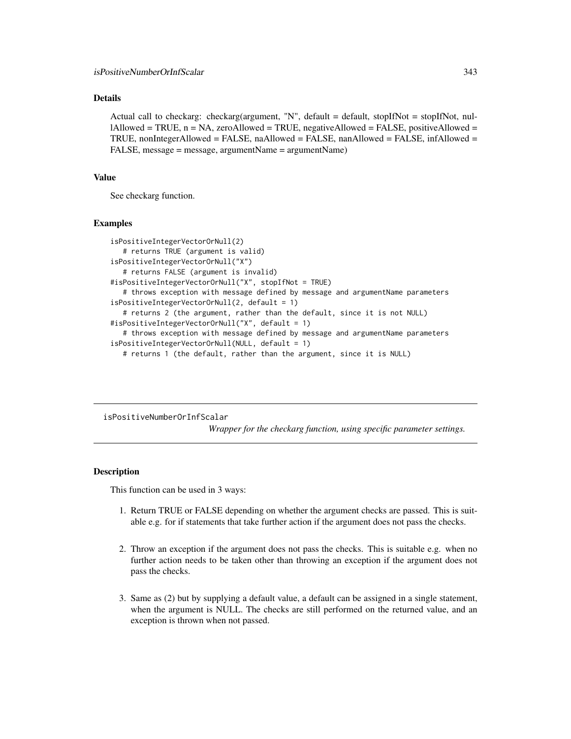# Details

Actual call to checkarg: checkarg(argument, "N", default = default, stopIfNot = stopIfNot, nul- $1$ Allowed = TRUE, n = NA, zeroAllowed = TRUE, negativeAllowed = FALSE, positiveAllowed = TRUE, nonIntegerAllowed = FALSE, naAllowed = FALSE, nanAllowed = FALSE, infAllowed = FALSE, message = message, argumentName = argumentName)

#### Value

See checkarg function.

#### Examples

```
isPositiveIntegerVectorOrNull(2)
   # returns TRUE (argument is valid)
isPositiveIntegerVectorOrNull("X")
   # returns FALSE (argument is invalid)
#isPositiveIntegerVectorOrNull("X", stopIfNot = TRUE)
   # throws exception with message defined by message and argumentName parameters
isPositiveIntegerVectorOrNull(2, default = 1)
   # returns 2 (the argument, rather than the default, since it is not NULL)
#isPositiveIntegerVectorOrNull("X", default = 1)
   # throws exception with message defined by message and argumentName parameters
isPositiveIntegerVectorOrNull(NULL, default = 1)
  # returns 1 (the default, rather than the argument, since it is NULL)
```
isPositiveNumberOrInfScalar

*Wrapper for the checkarg function, using specific parameter settings.*

#### Description

This function can be used in 3 ways:

- 1. Return TRUE or FALSE depending on whether the argument checks are passed. This is suitable e.g. for if statements that take further action if the argument does not pass the checks.
- 2. Throw an exception if the argument does not pass the checks. This is suitable e.g. when no further action needs to be taken other than throwing an exception if the argument does not pass the checks.
- 3. Same as (2) but by supplying a default value, a default can be assigned in a single statement, when the argument is NULL. The checks are still performed on the returned value, and an exception is thrown when not passed.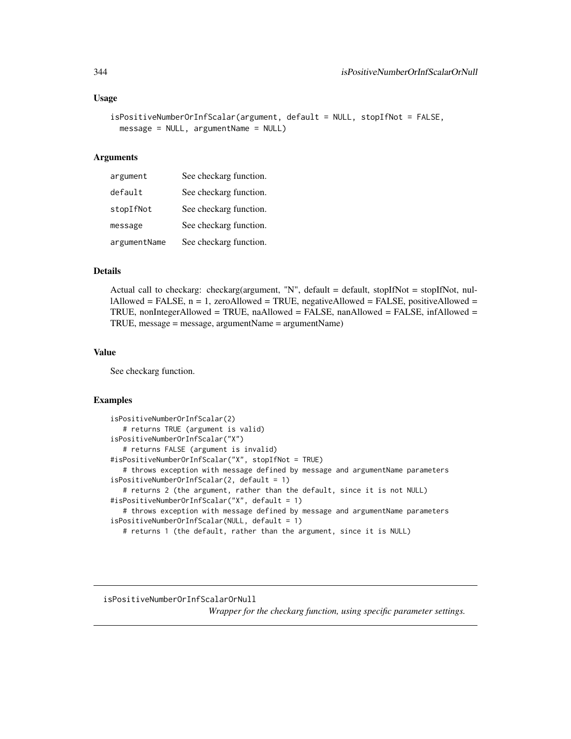### Usage

```
isPositiveNumberOrInfScalar(argument, default = NULL, stopIfNot = FALSE,
 message = NULL, argumentName = NULL)
```
### Arguments

| argument     | See checkarg function. |
|--------------|------------------------|
| default      | See checkarg function. |
| stopIfNot    | See checkarg function. |
| message      | See checkarg function. |
| argumentName | See checkarg function. |

# Details

Actual call to checkarg: checkarg(argument, "N", default = default, stopIfNot = stopIfNot, nul $l$ Allowed = FALSE,  $n = 1$ , zeroAllowed = TRUE, negativeAllowed = FALSE, positiveAllowed = TRUE, nonIntegerAllowed = TRUE, naAllowed = FALSE, nanAllowed = FALSE, infAllowed = TRUE, message = message, argumentName = argumentName)

### Value

See checkarg function.

## Examples

```
isPositiveNumberOrInfScalar(2)
   # returns TRUE (argument is valid)
isPositiveNumberOrInfScalar("X")
  # returns FALSE (argument is invalid)
#isPositiveNumberOrInfScalar("X", stopIfNot = TRUE)
   # throws exception with message defined by message and argumentName parameters
isPositiveNumberOrInfScalar(2, default = 1)
   # returns 2 (the argument, rather than the default, since it is not NULL)
#isPositiveNumberOrInfScalar("X", default = 1)
  # throws exception with message defined by message and argumentName parameters
isPositiveNumberOrInfScalar(NULL, default = 1)
  # returns 1 (the default, rather than the argument, since it is NULL)
```
isPositiveNumberOrInfScalarOrNull

*Wrapper for the checkarg function, using specific parameter settings.*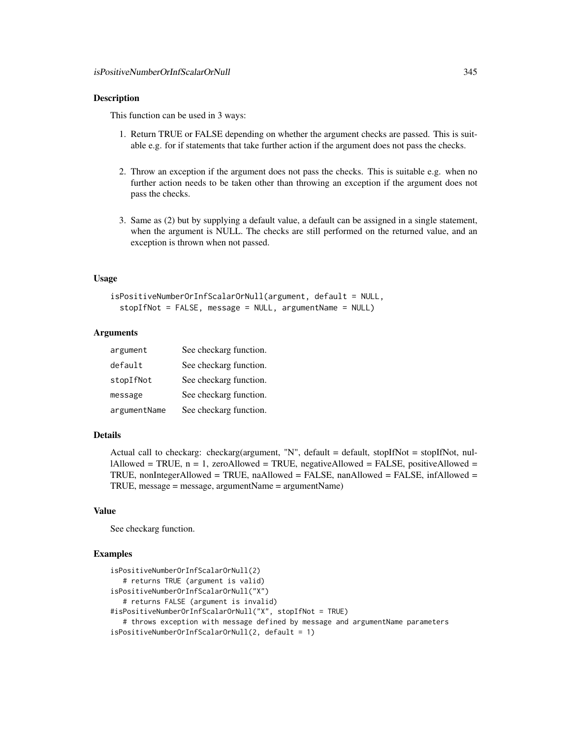### Description

This function can be used in 3 ways:

- 1. Return TRUE or FALSE depending on whether the argument checks are passed. This is suitable e.g. for if statements that take further action if the argument does not pass the checks.
- 2. Throw an exception if the argument does not pass the checks. This is suitable e.g. when no further action needs to be taken other than throwing an exception if the argument does not pass the checks.
- 3. Same as (2) but by supplying a default value, a default can be assigned in a single statement, when the argument is NULL. The checks are still performed on the returned value, and an exception is thrown when not passed.

#### Usage

```
isPositiveNumberOrInfScalarOrNull(argument, default = NULL,
  stopIfNot = FALSE, message = NULL, argumentName = NULL)
```
### Arguments

| argument     | See checkarg function. |
|--------------|------------------------|
| default      | See checkarg function. |
| stopIfNot    | See checkarg function. |
| message      | See checkarg function. |
| argumentName | See checkarg function. |

#### Details

Actual call to checkarg: checkarg(argument, "N", default = default, stopIfNot = stopIfNot, nullAllowed = TRUE,  $n = 1$ , zeroAllowed = TRUE, negativeAllowed = FALSE, positiveAllowed = TRUE, nonIntegerAllowed = TRUE, naAllowed = FALSE, nanAllowed = FALSE, infAllowed = TRUE, message = message, argumentName = argumentName)

### Value

See checkarg function.

```
isPositiveNumberOrInfScalarOrNull(2)
   # returns TRUE (argument is valid)
isPositiveNumberOrInfScalarOrNull("X")
   # returns FALSE (argument is invalid)
#isPositiveNumberOrInfScalarOrNull("X", stopIfNot = TRUE)
   # throws exception with message defined by message and argumentName parameters
isPositiveNumberOrInfScalarOrNull(2, default = 1)
```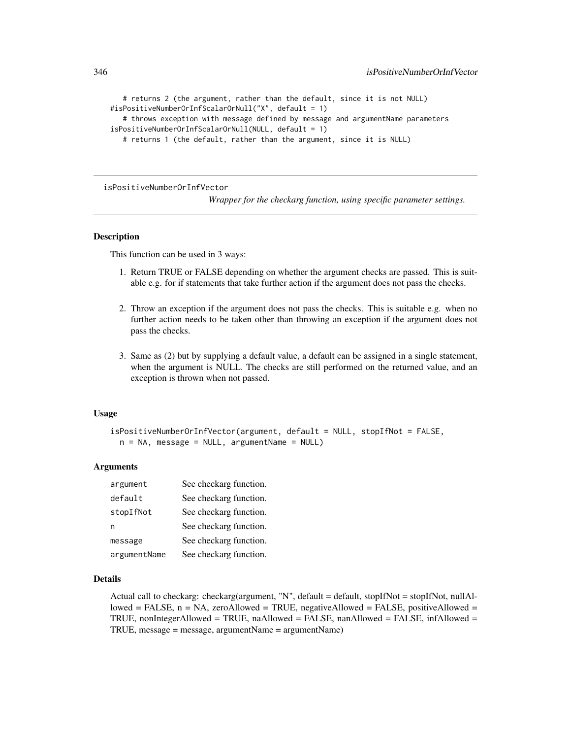```
# returns 2 (the argument, rather than the default, since it is not NULL)
#isPositiveNumberOrInfScalarOrNull("X", default = 1)
   # throws exception with message defined by message and argumentName parameters
isPositiveNumberOrInfScalarOrNull(NULL, default = 1)
  # returns 1 (the default, rather than the argument, since it is NULL)
```
isPositiveNumberOrInfVector

*Wrapper for the checkarg function, using specific parameter settings.*

## Description

This function can be used in 3 ways:

- 1. Return TRUE or FALSE depending on whether the argument checks are passed. This is suitable e.g. for if statements that take further action if the argument does not pass the checks.
- 2. Throw an exception if the argument does not pass the checks. This is suitable e.g. when no further action needs to be taken other than throwing an exception if the argument does not pass the checks.
- 3. Same as (2) but by supplying a default value, a default can be assigned in a single statement, when the argument is NULL. The checks are still performed on the returned value, and an exception is thrown when not passed.

#### Usage

```
isPositiveNumberOrInfVector(argument, default = NULL, stopIfNot = FALSE,
 n = NA, message = NULL, argumentName = NULL)
```
### Arguments

| argument     | See checkarg function. |
|--------------|------------------------|
| default      | See checkarg function. |
| stopIfNot    | See checkarg function. |
| n            | See checkarg function. |
| message      | See checkarg function. |
| argumentName | See checkarg function. |

### Details

Actual call to checkarg: checkarg(argument, "N", default = default, stopIfNot = stopIfNot, nullAllowed = FALSE,  $n = NA$ , zeroAllowed = TRUE, negativeAllowed = FALSE, positiveAllowed = TRUE, nonIntegerAllowed = TRUE, naAllowed = FALSE, nanAllowed = FALSE, infAllowed = TRUE, message = message, argumentName = argumentName)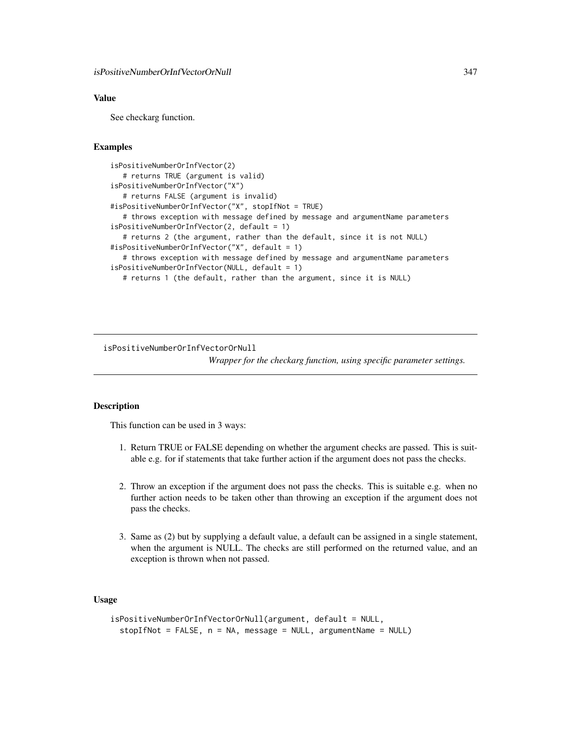## Value

See checkarg function.

## Examples

```
isPositiveNumberOrInfVector(2)
  # returns TRUE (argument is valid)
isPositiveNumberOrInfVector("X")
  # returns FALSE (argument is invalid)
#isPositiveNumberOrInfVector("X", stopIfNot = TRUE)
  # throws exception with message defined by message and argumentName parameters
isPositiveNumberOrInfVector(2, default = 1)
  # returns 2 (the argument, rather than the default, since it is not NULL)
#isPositiveNumberOrInfVector("X", default = 1)
  # throws exception with message defined by message and argumentName parameters
isPositiveNumberOrInfVector(NULL, default = 1)
  # returns 1 (the default, rather than the argument, since it is NULL)
```
isPositiveNumberOrInfVectorOrNull

*Wrapper for the checkarg function, using specific parameter settings.*

### Description

This function can be used in 3 ways:

- 1. Return TRUE or FALSE depending on whether the argument checks are passed. This is suitable e.g. for if statements that take further action if the argument does not pass the checks.
- 2. Throw an exception if the argument does not pass the checks. This is suitable e.g. when no further action needs to be taken other than throwing an exception if the argument does not pass the checks.
- 3. Same as (2) but by supplying a default value, a default can be assigned in a single statement, when the argument is NULL. The checks are still performed on the returned value, and an exception is thrown when not passed.

# Usage

```
isPositiveNumberOrInfVectorOrNull(argument, default = NULL,
 stopIfNot = FALSE, n = NA, message = NULL, argumentName = NULL)
```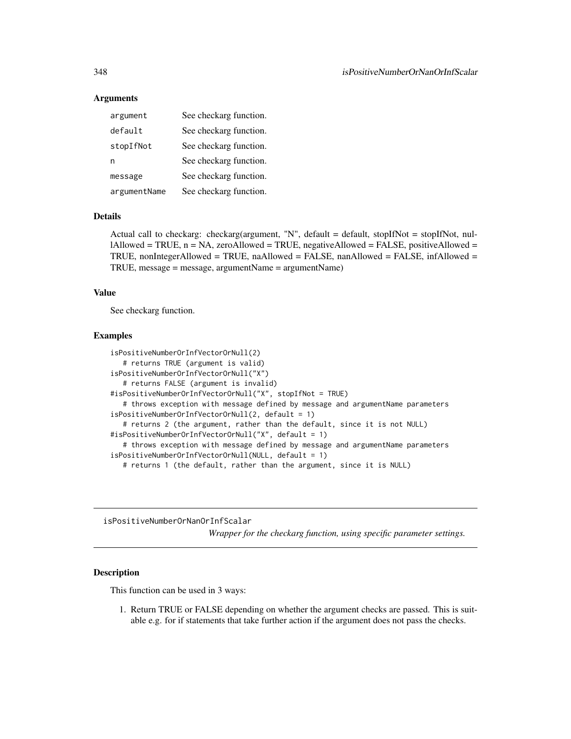### Arguments

| argument     | See checkarg function. |
|--------------|------------------------|
| default      | See checkarg function. |
| stopIfNot    | See checkarg function. |
| n            | See checkarg function. |
| message      | See checkarg function. |
| argumentName | See checkarg function. |

#### Details

Actual call to checkarg: checkarg(argument, "N", default = default, stopIfNot = stopIfNot, nul- $1$ Allowed = TRUE,  $n = NA$ , zeroAllowed = TRUE, negativeAllowed = FALSE, positiveAllowed = TRUE, nonIntegerAllowed = TRUE, naAllowed = FALSE, nanAllowed = FALSE, infAllowed = TRUE, message = message, argumentName = argumentName)

#### Value

See checkarg function.

#### Examples

```
isPositiveNumberOrInfVectorOrNull(2)
   # returns TRUE (argument is valid)
isPositiveNumberOrInfVectorOrNull("X")
   # returns FALSE (argument is invalid)
#isPositiveNumberOrInfVectorOrNull("X", stopIfNot = TRUE)
   # throws exception with message defined by message and argumentName parameters
isPositiveNumberOrInfVectorOrNull(2, default = 1)
   # returns 2 (the argument, rather than the default, since it is not NULL)
#isPositiveNumberOrInfVectorOrNull("X", default = 1)
   # throws exception with message defined by message and argumentName parameters
isPositiveNumberOrInfVectorOrNull(NULL, default = 1)
  # returns 1 (the default, rather than the argument, since it is NULL)
```
isPositiveNumberOrNanOrInfScalar

*Wrapper for the checkarg function, using specific parameter settings.*

## Description

This function can be used in 3 ways:

1. Return TRUE or FALSE depending on whether the argument checks are passed. This is suitable e.g. for if statements that take further action if the argument does not pass the checks.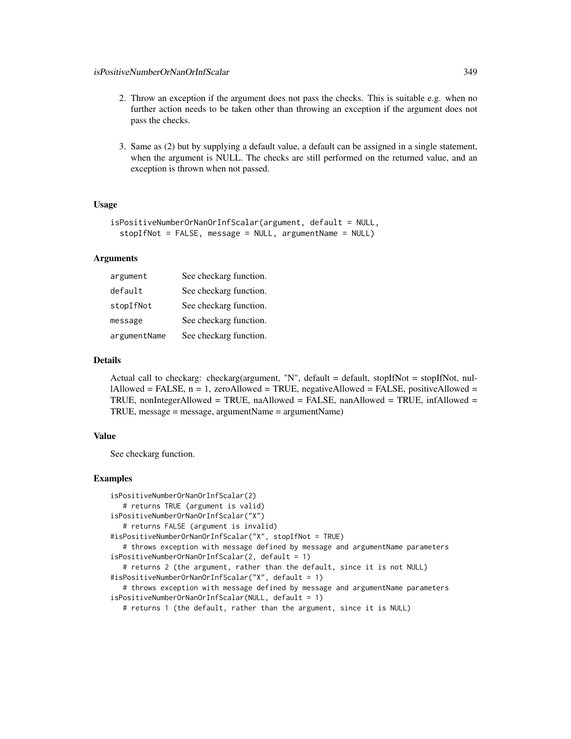- 2. Throw an exception if the argument does not pass the checks. This is suitable e.g. when no further action needs to be taken other than throwing an exception if the argument does not pass the checks.
- 3. Same as (2) but by supplying a default value, a default can be assigned in a single statement, when the argument is NULL. The checks are still performed on the returned value, and an exception is thrown when not passed.

# Usage

```
isPositiveNumberOrNanOrInfScalar(argument, default = NULL,
  stopIfNot = FALSE, message = NULL, argumentName = NULL)
```
### Arguments

| argument     | See checkarg function. |
|--------------|------------------------|
| default      | See checkarg function. |
| stopIfNot    | See checkarg function. |
| message      | See checkarg function. |
| argumentName | See checkarg function. |

## Details

Actual call to checkarg: checkarg(argument, "N", default = default, stopIfNot = stopIfNot, nullAllowed = FALSE,  $n = 1$ , zeroAllowed = TRUE, negativeAllowed = FALSE, positiveAllowed = TRUE, nonIntegerAllowed = TRUE, naAllowed = FALSE, nanAllowed = TRUE, infAllowed = TRUE, message = message, argumentName = argumentName)

## Value

See checkarg function.

```
isPositiveNumberOrNanOrInfScalar(2)
   # returns TRUE (argument is valid)
isPositiveNumberOrNanOrInfScalar("X")
   # returns FALSE (argument is invalid)
#isPositiveNumberOrNanOrInfScalar("X", stopIfNot = TRUE)
   # throws exception with message defined by message and argumentName parameters
isPositiveNumberOrNanOrInfScalar(2, default = 1)
   # returns 2 (the argument, rather than the default, since it is not NULL)
#isPositiveNumberOrNanOrInfScalar("X", default = 1)
   # throws exception with message defined by message and argumentName parameters
isPositiveNumberOrNanOrInfScalar(NULL, default = 1)
   # returns 1 (the default, rather than the argument, since it is NULL)
```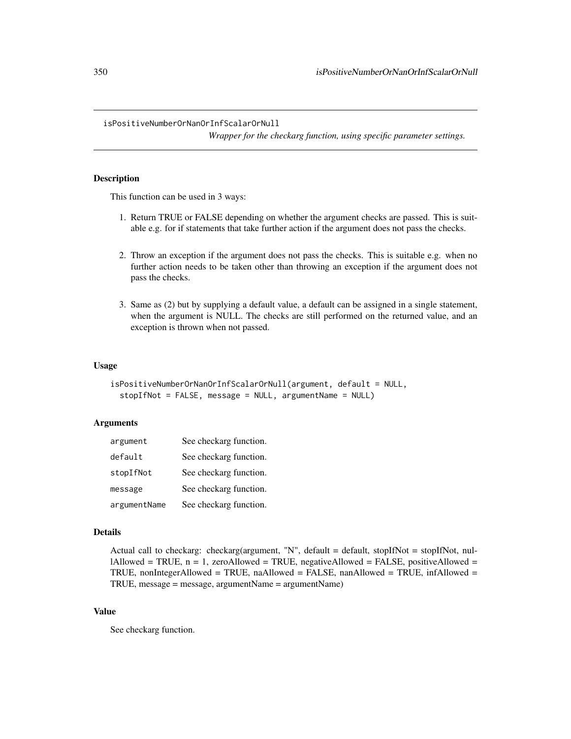isPositiveNumberOrNanOrInfScalarOrNull

*Wrapper for the checkarg function, using specific parameter settings.*

## Description

This function can be used in 3 ways:

- 1. Return TRUE or FALSE depending on whether the argument checks are passed. This is suitable e.g. for if statements that take further action if the argument does not pass the checks.
- 2. Throw an exception if the argument does not pass the checks. This is suitable e.g. when no further action needs to be taken other than throwing an exception if the argument does not pass the checks.
- 3. Same as (2) but by supplying a default value, a default can be assigned in a single statement, when the argument is NULL. The checks are still performed on the returned value, and an exception is thrown when not passed.

#### Usage

```
isPositiveNumberOrNanOrInfScalarOrNull(argument, default = NULL,
 stopIfNot = FALSE, message = NULL, argumentName = NULL)
```
### **Arguments**

| argument     | See checkarg function. |
|--------------|------------------------|
| default      | See checkarg function. |
| stopIfNot    | See checkarg function. |
| message      | See checkarg function. |
| argumentName | See checkarg function. |

#### Details

```
Actual call to checkarg: checkarg(argument, "N", default = default, stopIfNot = stopIfNot, nul-
lAllowed = TRUE, n = 1, zeroAllowed = TRUE, negativeAllowed = FALSE, positiveAllowed =
TRUE, nonIntegerAllowed = TRUE, naAllowed = FALSE, nanAllowed = TRUE, infAllowed =
TRUE, message = message, argumentName = argumentName)
```
# Value

See checkarg function.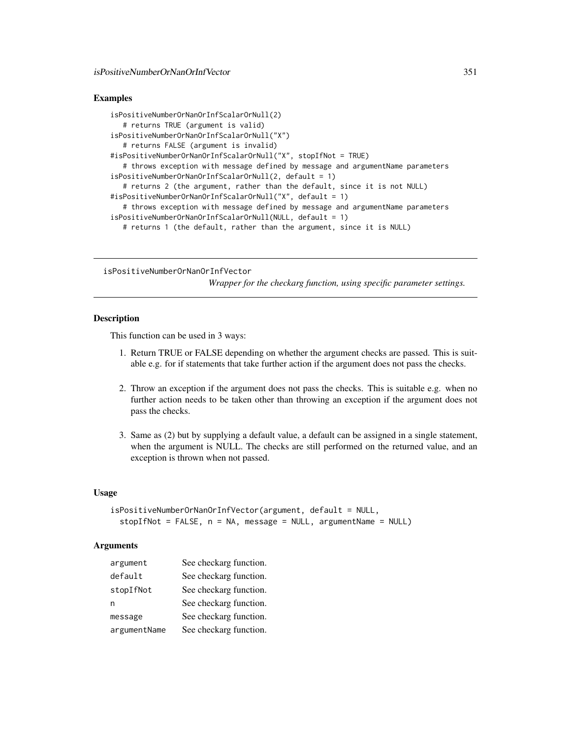## Examples

```
isPositiveNumberOrNanOrInfScalarOrNull(2)
   # returns TRUE (argument is valid)
isPositiveNumberOrNanOrInfScalarOrNull("X")
   # returns FALSE (argument is invalid)
#isPositiveNumberOrNanOrInfScalarOrNull("X", stopIfNot = TRUE)
   # throws exception with message defined by message and argumentName parameters
isPositiveNumberOrNanOrInfScalarOrNull(2, default = 1)
   # returns 2 (the argument, rather than the default, since it is not NULL)
#isPositiveNumberOrNanOrInfScalarOrNull("X", default = 1)
   # throws exception with message defined by message and argumentName parameters
isPositiveNumberOrNanOrInfScalarOrNull(NULL, default = 1)
   # returns 1 (the default, rather than the argument, since it is NULL)
```
isPositiveNumberOrNanOrInfVector

*Wrapper for the checkarg function, using specific parameter settings.*

## Description

This function can be used in 3 ways:

- 1. Return TRUE or FALSE depending on whether the argument checks are passed. This is suitable e.g. for if statements that take further action if the argument does not pass the checks.
- 2. Throw an exception if the argument does not pass the checks. This is suitable e.g. when no further action needs to be taken other than throwing an exception if the argument does not pass the checks.
- 3. Same as (2) but by supplying a default value, a default can be assigned in a single statement, when the argument is NULL. The checks are still performed on the returned value, and an exception is thrown when not passed.

#### Usage

```
isPositiveNumberOrNanOrInfVector(argument, default = NULL,
 stopIfNot = FALSE, n = NA, message = NULL, argumentName = NULL)
```
### Arguments

| argument     | See checkarg function. |
|--------------|------------------------|
| default      | See checkarg function. |
| stopIfNot    | See checkarg function. |
| n            | See checkarg function. |
| message      | See checkarg function. |
| argumentName | See checkarg function. |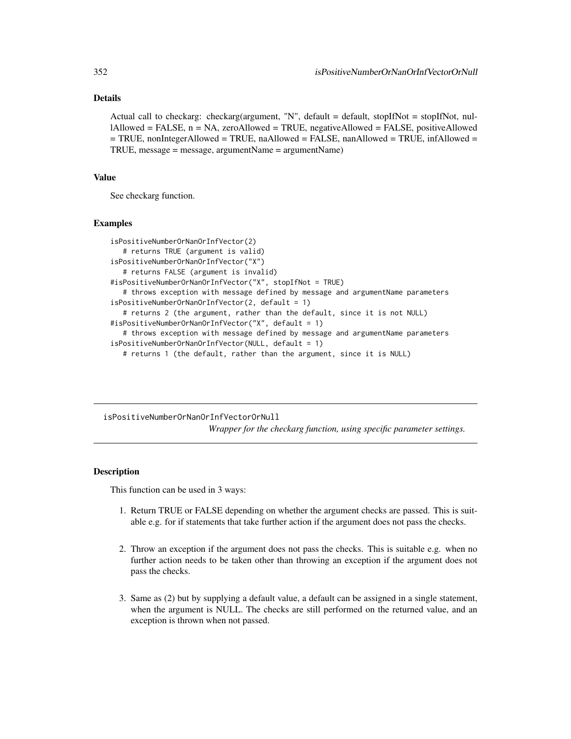# Details

Actual call to checkarg: checkarg(argument, "N", default = default, stopIfNot = stopIfNot, nullAllowed = FALSE, n = NA, zeroAllowed = TRUE, negativeAllowed = FALSE, positiveAllowed = TRUE, nonIntegerAllowed = TRUE, naAllowed = FALSE, nanAllowed = TRUE, infAllowed = TRUE, message = message, argumentName = argumentName)

### Value

See checkarg function.

#### Examples

```
isPositiveNumberOrNanOrInfVector(2)
   # returns TRUE (argument is valid)
isPositiveNumberOrNanOrInfVector("X")
   # returns FALSE (argument is invalid)
#isPositiveNumberOrNanOrInfVector("X", stopIfNot = TRUE)
   # throws exception with message defined by message and argumentName parameters
isPositiveNumberOrNanOrInfVector(2, default = 1)
   # returns 2 (the argument, rather than the default, since it is not NULL)
#isPositiveNumberOrNanOrInfVector("X", default = 1)
   # throws exception with message defined by message and argumentName parameters
isPositiveNumberOrNanOrInfVector(NULL, default = 1)
  # returns 1 (the default, rather than the argument, since it is NULL)
```
isPositiveNumberOrNanOrInfVectorOrNull *Wrapper for the checkarg function, using specific parameter settings.*

# **Description**

This function can be used in 3 ways:

- 1. Return TRUE or FALSE depending on whether the argument checks are passed. This is suitable e.g. for if statements that take further action if the argument does not pass the checks.
- 2. Throw an exception if the argument does not pass the checks. This is suitable e.g. when no further action needs to be taken other than throwing an exception if the argument does not pass the checks.
- 3. Same as (2) but by supplying a default value, a default can be assigned in a single statement, when the argument is NULL. The checks are still performed on the returned value, and an exception is thrown when not passed.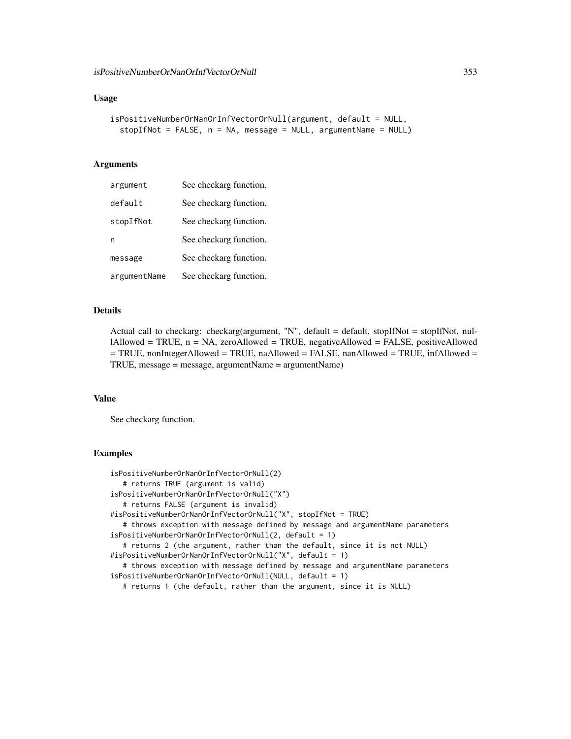### Usage

```
isPositiveNumberOrNanOrInfVectorOrNull(argument, default = NULL,
  stopIfNot = FALSE, n = NA, message = NULL, argumentName = NULL)
```
## Arguments

| argument     | See checkarg function. |
|--------------|------------------------|
| default      | See checkarg function. |
| stopIfNot    | See checkarg function. |
| n            | See checkarg function. |
| message      | See checkarg function. |
| argumentName | See checkarg function. |

### Details

Actual call to checkarg: checkarg(argument, "N", default = default, stopIfNot = stopIfNot, nul $l$ Allowed = TRUE, n = NA, zeroAllowed = TRUE, negativeAllowed = FALSE, positiveAllowed  $=$  TRUE, nonIntegerAllowed  $=$  TRUE, naAllowed  $=$  FALSE, nanAllowed  $=$  TRUE, infAllowed  $=$ TRUE, message = message, argumentName = argumentName)

#### Value

See checkarg function.

```
isPositiveNumberOrNanOrInfVectorOrNull(2)
  # returns TRUE (argument is valid)
isPositiveNumberOrNanOrInfVectorOrNull("X")
  # returns FALSE (argument is invalid)
#isPositiveNumberOrNanOrInfVectorOrNull("X", stopIfNot = TRUE)
   # throws exception with message defined by message and argumentName parameters
isPositiveNumberOrNanOrInfVectorOrNull(2, default = 1)
   # returns 2 (the argument, rather than the default, since it is not NULL)
#isPositiveNumberOrNanOrInfVectorOrNull("X", default = 1)
   # throws exception with message defined by message and argumentName parameters
isPositiveNumberOrNanOrInfVectorOrNull(NULL, default = 1)
   # returns 1 (the default, rather than the argument, since it is NULL)
```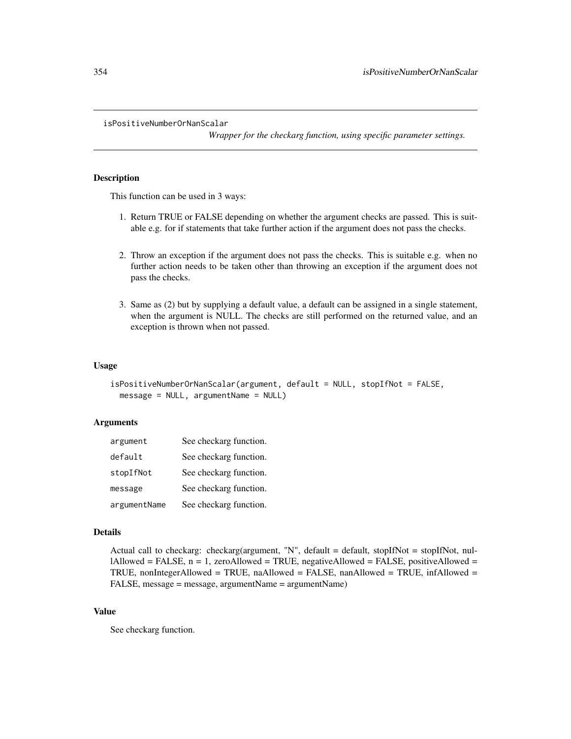#### isPositiveNumberOrNanScalar

*Wrapper for the checkarg function, using specific parameter settings.*

### Description

This function can be used in 3 ways:

- 1. Return TRUE or FALSE depending on whether the argument checks are passed. This is suitable e.g. for if statements that take further action if the argument does not pass the checks.
- 2. Throw an exception if the argument does not pass the checks. This is suitable e.g. when no further action needs to be taken other than throwing an exception if the argument does not pass the checks.
- 3. Same as (2) but by supplying a default value, a default can be assigned in a single statement, when the argument is NULL. The checks are still performed on the returned value, and an exception is thrown when not passed.

#### Usage

```
isPositiveNumberOrNanScalar(argument, default = NULL, stopIfNot = FALSE,
 message = NULL, argumentName = NULL)
```
### **Arguments**

| argument     | See checkarg function. |
|--------------|------------------------|
| default      | See checkarg function. |
| stopIfNot    | See checkarg function. |
| message      | See checkarg function. |
| argumentName | See checkarg function. |

#### Details

Actual call to checkarg: checkarg(argument, "N", default = default, stopIfNot = stopIfNot, nul- $\text{l}$ Allowed = FALSE, n = 1, zeroAllowed = TRUE, negativeAllowed = FALSE, positiveAllowed = TRUE, nonIntegerAllowed = TRUE, naAllowed = FALSE, nanAllowed = TRUE, infAllowed = FALSE, message = message, argumentName = argumentName)

# Value

See checkarg function.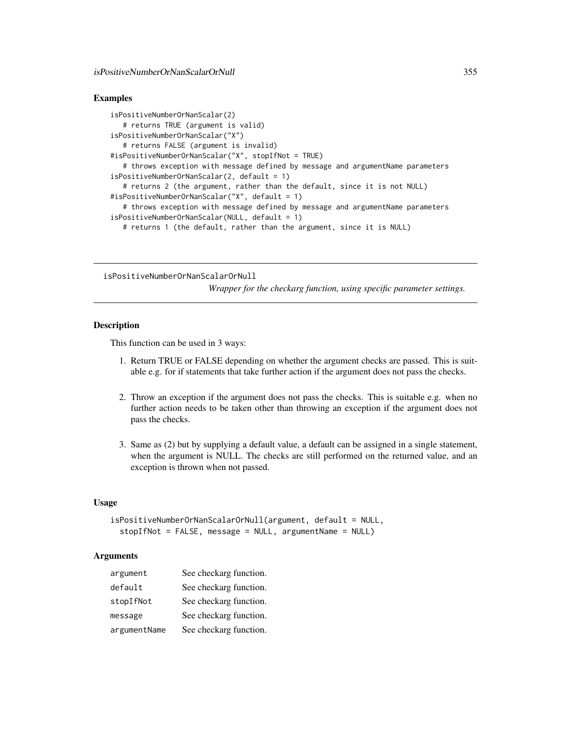## Examples

```
isPositiveNumberOrNanScalar(2)
   # returns TRUE (argument is valid)
isPositiveNumberOrNanScalar("X")
   # returns FALSE (argument is invalid)
#isPositiveNumberOrNanScalar("X", stopIfNot = TRUE)
   # throws exception with message defined by message and argumentName parameters
isPositiveNumberOrNanScalar(2, default = 1)
   # returns 2 (the argument, rather than the default, since it is not NULL)
#isPositiveNumberOrNanScalar("X", default = 1)
   # throws exception with message defined by message and argumentName parameters
isPositiveNumberOrNanScalar(NULL, default = 1)
   # returns 1 (the default, rather than the argument, since it is NULL)
```
isPositiveNumberOrNanScalarOrNull

*Wrapper for the checkarg function, using specific parameter settings.*

### **Description**

This function can be used in 3 ways:

- 1. Return TRUE or FALSE depending on whether the argument checks are passed. This is suitable e.g. for if statements that take further action if the argument does not pass the checks.
- 2. Throw an exception if the argument does not pass the checks. This is suitable e.g. when no further action needs to be taken other than throwing an exception if the argument does not pass the checks.
- 3. Same as (2) but by supplying a default value, a default can be assigned in a single statement, when the argument is NULL. The checks are still performed on the returned value, and an exception is thrown when not passed.

### Usage

```
isPositiveNumberOrNanScalarOrNull(argument, default = NULL,
 stopIfNot = FALSE, message = NULL, argumentName = NULL)
```
### **Arguments**

| argument     | See checkarg function. |
|--------------|------------------------|
| default      | See checkarg function. |
| stopIfNot    | See checkarg function. |
| message      | See checkarg function. |
| argumentName | See checkarg function. |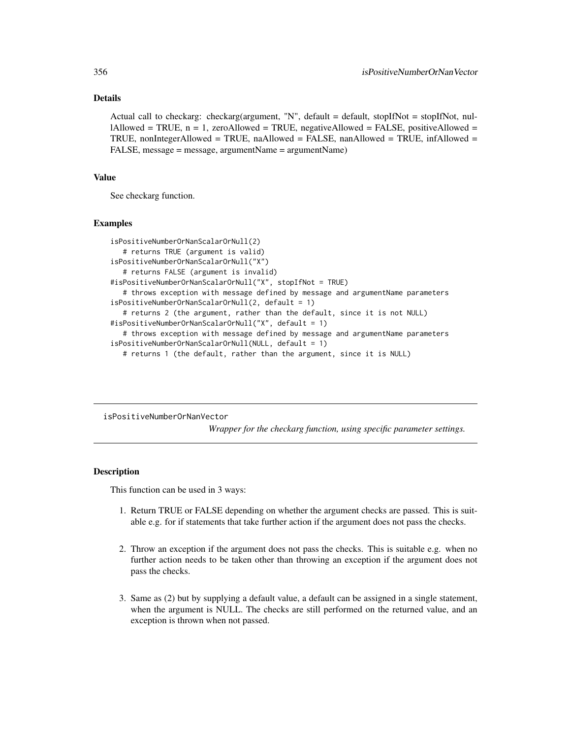# Details

Actual call to checkarg: checkarg(argument, "N", default = default, stopIfNot = stopIfNot, nul- $1$ Allowed = TRUE,  $n = 1$ , zeroAllowed = TRUE, negativeAllowed = FALSE, positiveAllowed = TRUE, nonIntegerAllowed = TRUE, naAllowed = FALSE, nanAllowed = TRUE, infAllowed = FALSE, message = message, argumentName = argumentName)

#### Value

See checkarg function.

#### Examples

```
isPositiveNumberOrNanScalarOrNull(2)
   # returns TRUE (argument is valid)
isPositiveNumberOrNanScalarOrNull("X")
   # returns FALSE (argument is invalid)
#isPositiveNumberOrNanScalarOrNull("X", stopIfNot = TRUE)
   # throws exception with message defined by message and argumentName parameters
isPositiveNumberOrNanScalarOrNull(2, default = 1)
   # returns 2 (the argument, rather than the default, since it is not NULL)
#isPositiveNumberOrNanScalarOrNull("X", default = 1)
   # throws exception with message defined by message and argumentName parameters
isPositiveNumberOrNanScalarOrNull(NULL, default = 1)
  # returns 1 (the default, rather than the argument, since it is NULL)
```
isPositiveNumberOrNanVector

*Wrapper for the checkarg function, using specific parameter settings.*

## **Description**

This function can be used in 3 ways:

- 1. Return TRUE or FALSE depending on whether the argument checks are passed. This is suitable e.g. for if statements that take further action if the argument does not pass the checks.
- 2. Throw an exception if the argument does not pass the checks. This is suitable e.g. when no further action needs to be taken other than throwing an exception if the argument does not pass the checks.
- 3. Same as (2) but by supplying a default value, a default can be assigned in a single statement, when the argument is NULL. The checks are still performed on the returned value, and an exception is thrown when not passed.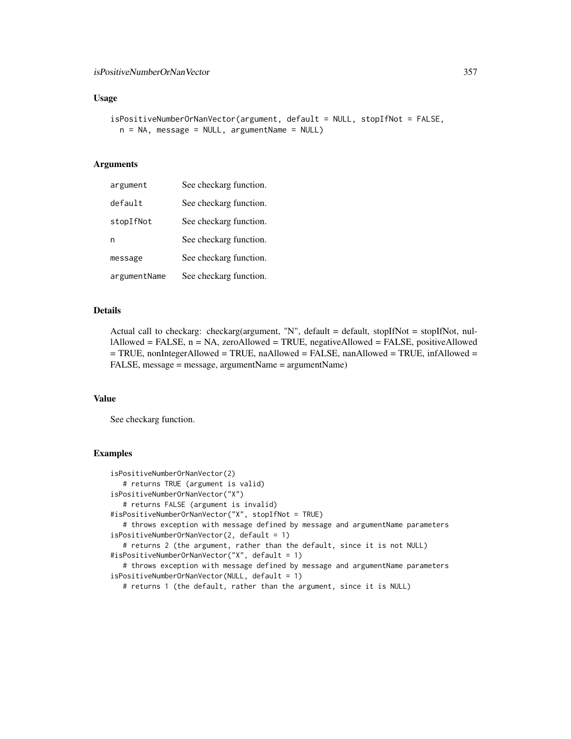### Usage

```
isPositiveNumberOrNanVector(argument, default = NULL, stopIfNot = FALSE,
 n = NA, message = NULL, argumentName = NULL)
```
## Arguments

| argument     | See checkarg function. |
|--------------|------------------------|
| default      | See checkarg function. |
| stopIfNot    | See checkarg function. |
| n            | See checkarg function. |
| message      | See checkarg function. |
| argumentName | See checkarg function. |

#### Details

Actual call to checkarg: checkarg(argument, "N", default = default, stopIfNot = stopIfNot, nullAllowed = FALSE, n = NA, zeroAllowed = TRUE, negativeAllowed = FALSE, positiveAllowed  $=$  TRUE, nonIntegerAllowed  $=$  TRUE, naAllowed  $=$  FALSE, nanAllowed  $=$  TRUE, infAllowed  $=$ FALSE, message = message, argumentName = argumentName)

#### Value

See checkarg function.

```
isPositiveNumberOrNanVector(2)
  # returns TRUE (argument is valid)
isPositiveNumberOrNanVector("X")
  # returns FALSE (argument is invalid)
#isPositiveNumberOrNanVector("X", stopIfNot = TRUE)
   # throws exception with message defined by message and argumentName parameters
isPositiveNumberOrNanVector(2, default = 1)
   # returns 2 (the argument, rather than the default, since it is not NULL)
#isPositiveNumberOrNanVector("X", default = 1)
   # throws exception with message defined by message and argumentName parameters
isPositiveNumberOrNanVector(NULL, default = 1)
   # returns 1 (the default, rather than the argument, since it is NULL)
```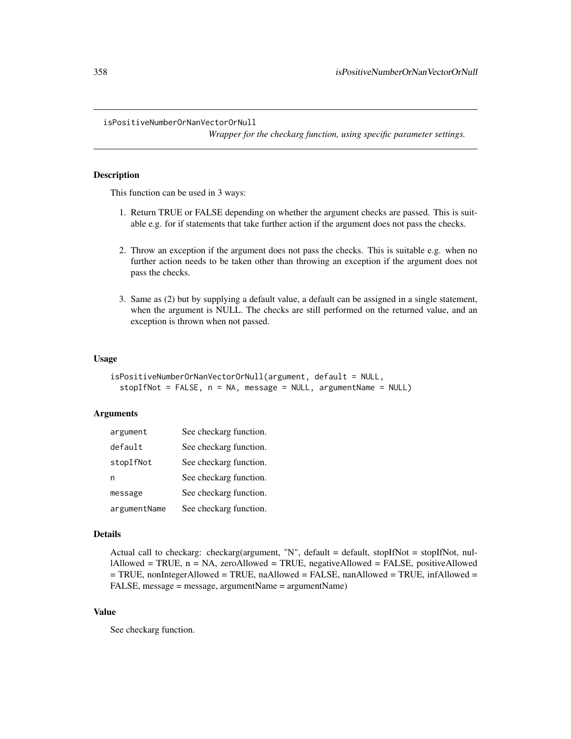isPositiveNumberOrNanVectorOrNull

*Wrapper for the checkarg function, using specific parameter settings.*

# Description

This function can be used in 3 ways:

- 1. Return TRUE or FALSE depending on whether the argument checks are passed. This is suitable e.g. for if statements that take further action if the argument does not pass the checks.
- 2. Throw an exception if the argument does not pass the checks. This is suitable e.g. when no further action needs to be taken other than throwing an exception if the argument does not pass the checks.
- 3. Same as (2) but by supplying a default value, a default can be assigned in a single statement, when the argument is NULL. The checks are still performed on the returned value, and an exception is thrown when not passed.

#### Usage

```
isPositiveNumberOrNanVectorOrNull(argument, default = NULL,
 stopIfNot = FALSE, n = NA, message = NULL, argumentName = NULL)
```
#### **Arguments**

| argument     | See checkarg function. |
|--------------|------------------------|
| default      | See checkarg function. |
| stopIfNot    | See checkarg function. |
| n            | See checkarg function. |
| message      | See checkarg function. |
| argumentName | See checkarg function. |

#### Details

Actual call to checkarg: checkarg(argument, "N", default = default, stopIfNot = stopIfNot, nul $l$ Allowed = TRUE,  $n$  = NA, zeroAllowed = TRUE, negativeAllowed = FALSE, positiveAllowed = TRUE, nonIntegerAllowed = TRUE, naAllowed = FALSE, nanAllowed = TRUE, infAllowed = FALSE, message = message, argumentName = argumentName)

# Value

See checkarg function.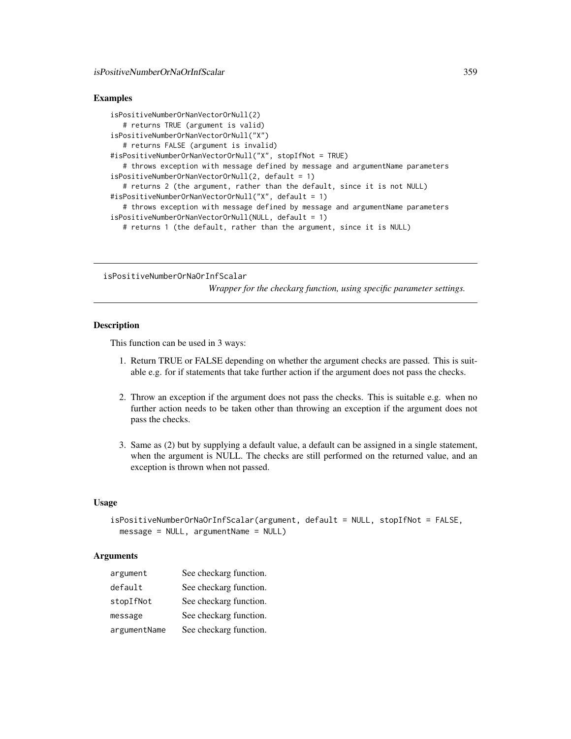### Examples

```
isPositiveNumberOrNanVectorOrNull(2)
   # returns TRUE (argument is valid)
isPositiveNumberOrNanVectorOrNull("X")
   # returns FALSE (argument is invalid)
#isPositiveNumberOrNanVectorOrNull("X", stopIfNot = TRUE)
   # throws exception with message defined by message and argumentName parameters
isPositiveNumberOrNanVectorOrNull(2, default = 1)
   # returns 2 (the argument, rather than the default, since it is not NULL)
#isPositiveNumberOrNanVectorOrNull("X", default = 1)
   # throws exception with message defined by message and argumentName parameters
isPositiveNumberOrNanVectorOrNull(NULL, default = 1)
   # returns 1 (the default, rather than the argument, since it is NULL)
```
isPositiveNumberOrNaOrInfScalar

*Wrapper for the checkarg function, using specific parameter settings.*

### **Description**

This function can be used in 3 ways:

- 1. Return TRUE or FALSE depending on whether the argument checks are passed. This is suitable e.g. for if statements that take further action if the argument does not pass the checks.
- 2. Throw an exception if the argument does not pass the checks. This is suitable e.g. when no further action needs to be taken other than throwing an exception if the argument does not pass the checks.
- 3. Same as (2) but by supplying a default value, a default can be assigned in a single statement, when the argument is NULL. The checks are still performed on the returned value, and an exception is thrown when not passed.

### Usage

```
isPositiveNumberOrNaOrInfScalar(argument, default = NULL, stopIfNot = FALSE,
 message = NULL, argumentName = NULL)
```
## **Arguments**

| argument     | See checkarg function. |
|--------------|------------------------|
| default      | See checkarg function. |
| stopIfNot    | See checkarg function. |
| message      | See checkarg function. |
| argumentName | See checkarg function. |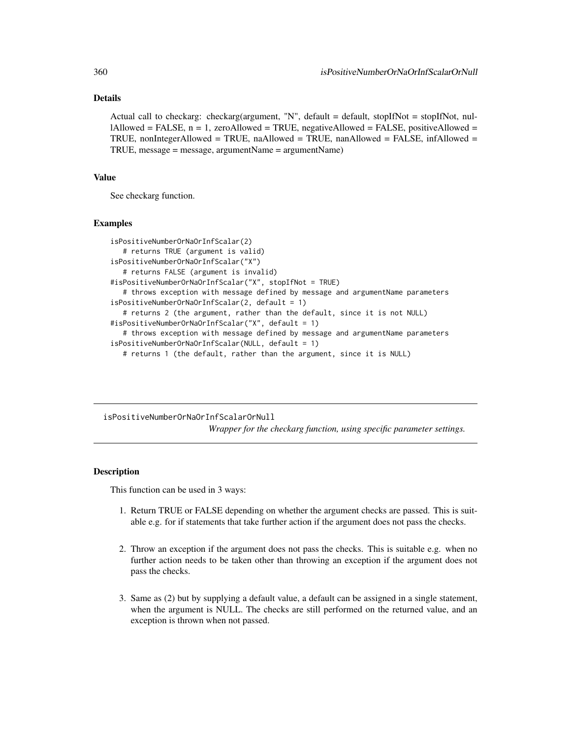# Details

Actual call to checkarg: checkarg(argument, "N", default = default, stopIfNot = stopIfNot, nullAllowed = FALSE, n = 1, zeroAllowed = TRUE, negativeAllowed = FALSE, positiveAllowed = TRUE, nonIntegerAllowed = TRUE, naAllowed = TRUE, nanAllowed = FALSE, infAllowed = TRUE, message = message, argumentName = argumentName)

### Value

See checkarg function.

#### Examples

```
isPositiveNumberOrNaOrInfScalar(2)
   # returns TRUE (argument is valid)
isPositiveNumberOrNaOrInfScalar("X")
   # returns FALSE (argument is invalid)
#isPositiveNumberOrNaOrInfScalar("X", stopIfNot = TRUE)
   # throws exception with message defined by message and argumentName parameters
isPositiveNumberOrNaOrInfScalar(2, default = 1)
   # returns 2 (the argument, rather than the default, since it is not NULL)
#isPositiveNumberOrNaOrInfScalar("X", default = 1)
   # throws exception with message defined by message and argumentName parameters
isPositiveNumberOrNaOrInfScalar(NULL, default = 1)
  # returns 1 (the default, rather than the argument, since it is NULL)
```
isPositiveNumberOrNaOrInfScalarOrNull *Wrapper for the checkarg function, using specific parameter settings.*

# **Description**

This function can be used in 3 ways:

- 1. Return TRUE or FALSE depending on whether the argument checks are passed. This is suitable e.g. for if statements that take further action if the argument does not pass the checks.
- 2. Throw an exception if the argument does not pass the checks. This is suitable e.g. when no further action needs to be taken other than throwing an exception if the argument does not pass the checks.
- 3. Same as (2) but by supplying a default value, a default can be assigned in a single statement, when the argument is NULL. The checks are still performed on the returned value, and an exception is thrown when not passed.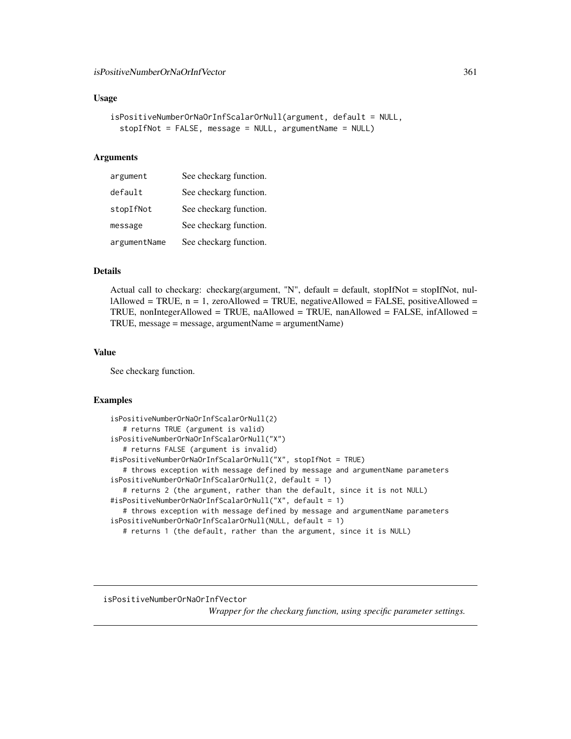#### Usage

```
isPositiveNumberOrNaOrInfScalarOrNull(argument, default = NULL,
  stopIfNot = FALSE, message = NULL, argumentName = NULL)
```
#### Arguments

| argument     | See checkarg function. |
|--------------|------------------------|
| default      | See checkarg function. |
| stopIfNot    | See checkarg function. |
| message      | See checkarg function. |
| argumentName | See checkarg function. |

# Details

Actual call to checkarg: checkarg(argument, "N", default = default, stopIfNot = stopIfNot, nullAllowed = TRUE,  $n = 1$ , zeroAllowed = TRUE, negativeAllowed = FALSE, positiveAllowed = TRUE, nonIntegerAllowed = TRUE, naAllowed = TRUE, nanAllowed = FALSE, infAllowed = TRUE, message = message, argumentName = argumentName)

#### Value

See checkarg function.

# Examples

```
isPositiveNumberOrNaOrInfScalarOrNull(2)
   # returns TRUE (argument is valid)
isPositiveNumberOrNaOrInfScalarOrNull("X")
   # returns FALSE (argument is invalid)
#isPositiveNumberOrNaOrInfScalarOrNull("X", stopIfNot = TRUE)
   # throws exception with message defined by message and argumentName parameters
isPositiveNumberOrNaOrInfScalarOrNull(2, default = 1)
   # returns 2 (the argument, rather than the default, since it is not NULL)
#isPositiveNumberOrNaOrInfScalarOrNull("X", default = 1)
   # throws exception with message defined by message and argumentName parameters
isPositiveNumberOrNaOrInfScalarOrNull(NULL, default = 1)
  # returns 1 (the default, rather than the argument, since it is NULL)
```
isPositiveNumberOrNaOrInfVector

*Wrapper for the checkarg function, using specific parameter settings.*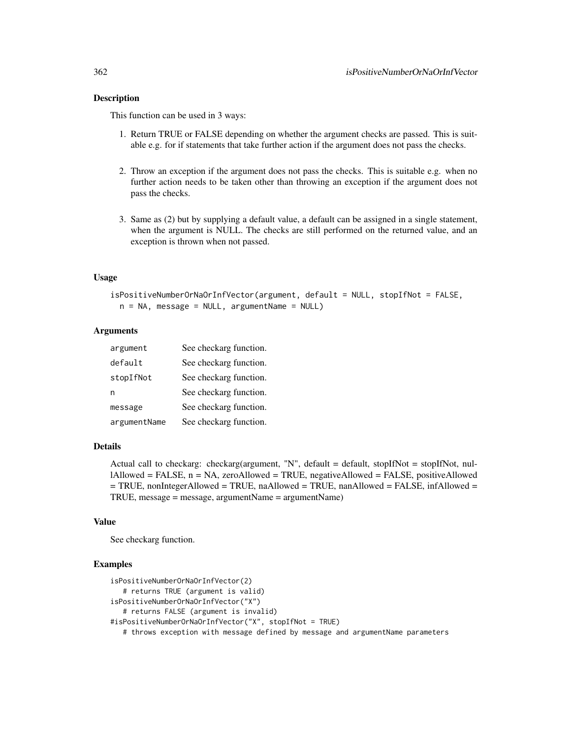### Description

This function can be used in 3 ways:

- 1. Return TRUE or FALSE depending on whether the argument checks are passed. This is suitable e.g. for if statements that take further action if the argument does not pass the checks.
- 2. Throw an exception if the argument does not pass the checks. This is suitable e.g. when no further action needs to be taken other than throwing an exception if the argument does not pass the checks.
- 3. Same as (2) but by supplying a default value, a default can be assigned in a single statement, when the argument is NULL. The checks are still performed on the returned value, and an exception is thrown when not passed.

#### Usage

```
isPositiveNumberOrNaOrInfVector(argument, default = NULL, stopIfNot = FALSE,
 n = NA, message = NULL, argumentName = NULL)
```
## Arguments

| argument     | See checkarg function. |
|--------------|------------------------|
| default      | See checkarg function. |
| stopIfNot    | See checkarg function. |
| n            | See checkarg function. |
| message      | See checkarg function. |
| argumentName | See checkarg function. |

# Details

Actual call to checkarg: checkarg(argument, "N", default = default, stopIfNot = stopIfNot, nullAllowed = FALSE, n = NA, zeroAllowed = TRUE, negativeAllowed = FALSE, positiveAllowed = TRUE, nonIntegerAllowed = TRUE, naAllowed = TRUE, nanAllowed = FALSE, infAllowed = TRUE, message = message, argumentName = argumentName)

### Value

See checkarg function.

```
isPositiveNumberOrNaOrInfVector(2)
  # returns TRUE (argument is valid)
isPositiveNumberOrNaOrInfVector("X")
  # returns FALSE (argument is invalid)
#isPositiveNumberOrNaOrInfVector("X", stopIfNot = TRUE)
  # throws exception with message defined by message and argumentName parameters
```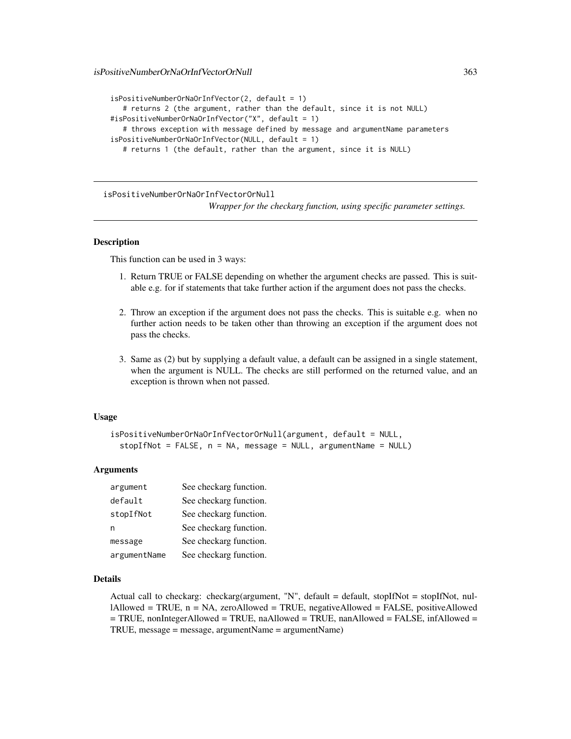```
isPositiveNumberOrNaOrInfVector(2, default = 1)
   # returns 2 (the argument, rather than the default, since it is not NULL)
#isPositiveNumberOrNaOrInfVector("X", default = 1)
   # throws exception with message defined by message and argumentName parameters
isPositiveNumberOrNaOrInfVector(NULL, default = 1)
  # returns 1 (the default, rather than the argument, since it is NULL)
```
isPositiveNumberOrNaOrInfVectorOrNull

*Wrapper for the checkarg function, using specific parameter settings.*

# **Description**

This function can be used in 3 ways:

- 1. Return TRUE or FALSE depending on whether the argument checks are passed. This is suitable e.g. for if statements that take further action if the argument does not pass the checks.
- 2. Throw an exception if the argument does not pass the checks. This is suitable e.g. when no further action needs to be taken other than throwing an exception if the argument does not pass the checks.
- 3. Same as (2) but by supplying a default value, a default can be assigned in a single statement, when the argument is NULL. The checks are still performed on the returned value, and an exception is thrown when not passed.

#### Usage

```
isPositiveNumberOrNaOrInfVectorOrNull(argument, default = NULL,
  stopIfNot = FALSE, n = NA, message = NULL, argumentName = NULL)
```
#### Arguments

| argument     | See checkarg function. |
|--------------|------------------------|
| default      | See checkarg function. |
| stopIfNot    | See checkarg function. |
| n            | See checkarg function. |
| message      | See checkarg function. |
| argumentName | See checkarg function. |

#### Details

Actual call to checkarg: checkarg(argument, "N", default = default, stopIfNot = stopIfNot, nullAllowed = TRUE,  $n = NA$ , zeroAllowed = TRUE, negativeAllowed = FALSE, positiveAllowed  $=$  TRUE, nonIntegerAllowed = TRUE, naAllowed = TRUE, nanAllowed = FALSE, infAllowed = TRUE, message = message, argumentName = argumentName)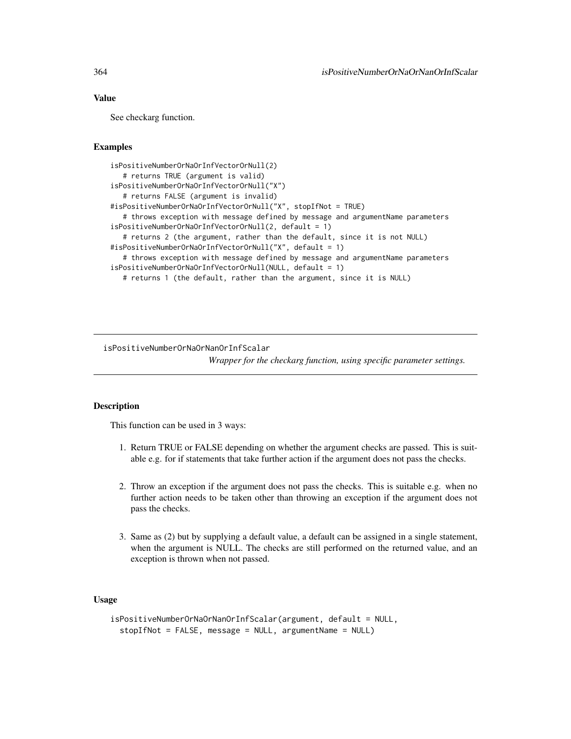# Value

See checkarg function.

## Examples

```
isPositiveNumberOrNaOrInfVectorOrNull(2)
  # returns TRUE (argument is valid)
isPositiveNumberOrNaOrInfVectorOrNull("X")
  # returns FALSE (argument is invalid)
#isPositiveNumberOrNaOrInfVectorOrNull("X", stopIfNot = TRUE)
  # throws exception with message defined by message and argumentName parameters
isPositiveNumberOrNaOrInfVectorOrNull(2, default = 1)
  # returns 2 (the argument, rather than the default, since it is not NULL)
#isPositiveNumberOrNaOrInfVectorOrNull("X", default = 1)
  # throws exception with message defined by message and argumentName parameters
isPositiveNumberOrNaOrInfVectorOrNull(NULL, default = 1)
  # returns 1 (the default, rather than the argument, since it is NULL)
```
isPositiveNumberOrNaOrNanOrInfScalar

*Wrapper for the checkarg function, using specific parameter settings.*

### Description

This function can be used in 3 ways:

- 1. Return TRUE or FALSE depending on whether the argument checks are passed. This is suitable e.g. for if statements that take further action if the argument does not pass the checks.
- 2. Throw an exception if the argument does not pass the checks. This is suitable e.g. when no further action needs to be taken other than throwing an exception if the argument does not pass the checks.
- 3. Same as (2) but by supplying a default value, a default can be assigned in a single statement, when the argument is NULL. The checks are still performed on the returned value, and an exception is thrown when not passed.

# Usage

```
isPositiveNumberOrNaOrNanOrInfScalar(argument, default = NULL,
 stopIfNot = FALSE, message = NULL, argumentName = NULL)
```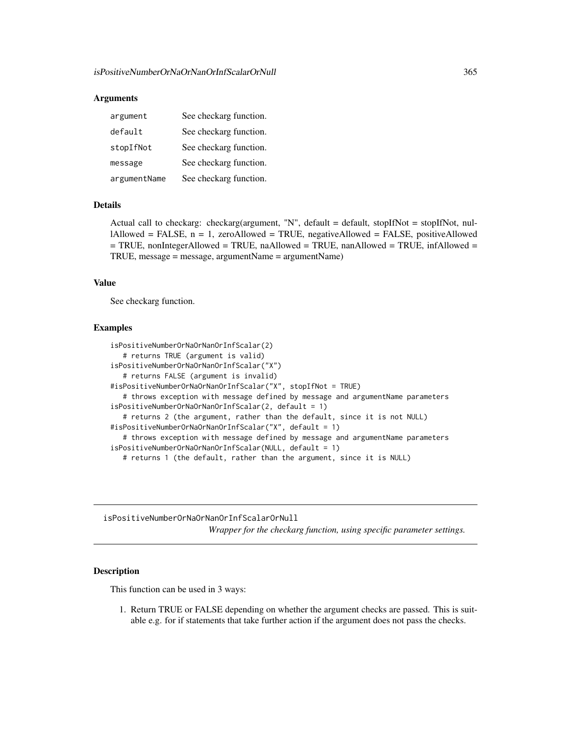## **Arguments**

| argument     | See checkarg function. |
|--------------|------------------------|
| default      | See checkarg function. |
| stopIfNot    | See checkarg function. |
| message      | See checkarg function. |
| argumentName | See checkarg function. |

# Details

Actual call to checkarg: checkarg(argument, "N", default = default, stopIfNot = stopIfNot, nullAllowed = FALSE, n = 1, zeroAllowed = TRUE, negativeAllowed = FALSE, positiveAllowed  $=$  TRUE, nonIntegerAllowed  $=$  TRUE, naAllowed  $=$  TRUE, nanAllowed  $=$  TRUE, infAllowed  $=$ TRUE, message = message, argumentName = argumentName)

# Value

See checkarg function.

# Examples

```
isPositiveNumberOrNaOrNanOrInfScalar(2)
   # returns TRUE (argument is valid)
isPositiveNumberOrNaOrNanOrInfScalar("X")
  # returns FALSE (argument is invalid)
#isPositiveNumberOrNaOrNanOrInfScalar("X", stopIfNot = TRUE)
   # throws exception with message defined by message and argumentName parameters
isPositiveNumberOrNaOrNanOrInfScalar(2, default = 1)
   # returns 2 (the argument, rather than the default, since it is not NULL)
#isPositiveNumberOrNaOrNanOrInfScalar("X", default = 1)
   # throws exception with message defined by message and argumentName parameters
isPositiveNumberOrNaOrNanOrInfScalar(NULL, default = 1)
   # returns 1 (the default, rather than the argument, since it is NULL)
```
isPositiveNumberOrNaOrNanOrInfScalarOrNull *Wrapper for the checkarg function, using specific parameter settings.*

## **Description**

This function can be used in 3 ways:

1. Return TRUE or FALSE depending on whether the argument checks are passed. This is suitable e.g. for if statements that take further action if the argument does not pass the checks.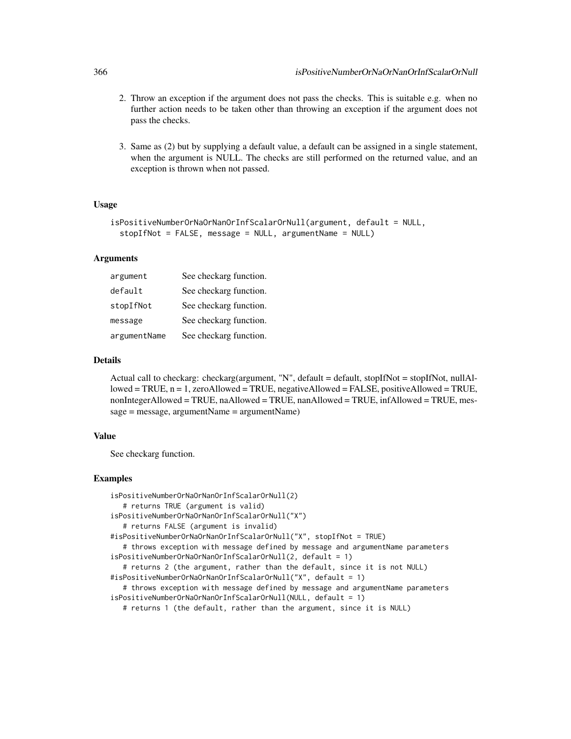- 2. Throw an exception if the argument does not pass the checks. This is suitable e.g. when no further action needs to be taken other than throwing an exception if the argument does not pass the checks.
- 3. Same as (2) but by supplying a default value, a default can be assigned in a single statement, when the argument is NULL. The checks are still performed on the returned value, and an exception is thrown when not passed.

# Usage

```
isPositiveNumberOrNaOrNanOrInfScalarOrNull(argument, default = NULL,
  stopIfNot = FALSE, message = NULL, argumentName = NULL)
```
#### Arguments

| argument     | See checkarg function. |
|--------------|------------------------|
| default      | See checkarg function. |
| stopIfNot    | See checkarg function. |
| message      | See checkarg function. |
| argumentName | See checkarg function. |

# Details

Actual call to checkarg: checkarg(argument, "N", default = default, stopIfNot = stopIfNot, nullAl $loved = TRUE, n = 1, zero$ Allowed = TRUE, negativeAllowed = FALSE, positiveAllowed = TRUE, nonIntegerAllowed = TRUE, naAllowed = TRUE, nanAllowed = TRUE, infAllowed = TRUE, message = message, argumentName = argumentName)

# Value

See checkarg function.

```
isPositiveNumberOrNaOrNanOrInfScalarOrNull(2)
   # returns TRUE (argument is valid)
isPositiveNumberOrNaOrNanOrInfScalarOrNull("X")
   # returns FALSE (argument is invalid)
#isPositiveNumberOrNaOrNanOrInfScalarOrNull("X", stopIfNot = TRUE)
   # throws exception with message defined by message and argumentName parameters
isPositiveNumberOrNaOrNanOrInfScalarOrNull(2, default = 1)
   # returns 2 (the argument, rather than the default, since it is not NULL)
#isPositiveNumberOrNaOrNanOrInfScalarOrNull("X", default = 1)
   # throws exception with message defined by message and argumentName parameters
isPositiveNumberOrNaOrNanOrInfScalarOrNull(NULL, default = 1)
   # returns 1 (the default, rather than the argument, since it is NULL)
```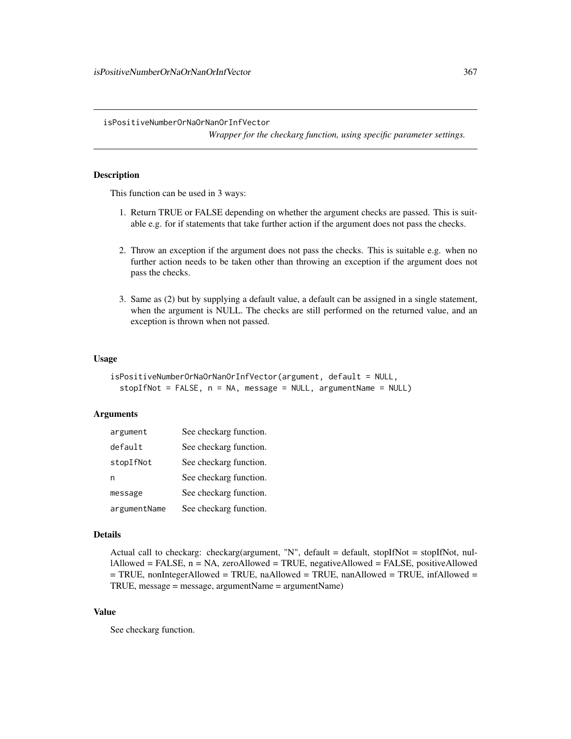isPositiveNumberOrNaOrNanOrInfVector

*Wrapper for the checkarg function, using specific parameter settings.*

# **Description**

This function can be used in 3 ways:

- 1. Return TRUE or FALSE depending on whether the argument checks are passed. This is suitable e.g. for if statements that take further action if the argument does not pass the checks.
- 2. Throw an exception if the argument does not pass the checks. This is suitable e.g. when no further action needs to be taken other than throwing an exception if the argument does not pass the checks.
- 3. Same as (2) but by supplying a default value, a default can be assigned in a single statement, when the argument is NULL. The checks are still performed on the returned value, and an exception is thrown when not passed.

#### Usage

```
isPositiveNumberOrNaOrNanOrInfVector(argument, default = NULL,
 stopIfNot = FALSE, n = NA, message = NULL, argumentName = NULL)
```
# Arguments

| argument     | See checkarg function. |
|--------------|------------------------|
| default      | See checkarg function. |
| stopIfNot    | See checkarg function. |
| n            | See checkarg function. |
| message      | See checkarg function. |
| argumentName | See checkarg function. |

#### Details

Actual call to checkarg: checkarg(argument, "N", default = default, stopIfNot = stopIfNot, nul $l$ Allowed = FALSE,  $n$  = NA, zeroAllowed = TRUE, negativeAllowed = FALSE, positiveAllowed = TRUE, nonIntegerAllowed = TRUE, naAllowed = TRUE, nanAllowed = TRUE, infAllowed = TRUE, message = message, argumentName = argumentName)

# Value

See checkarg function.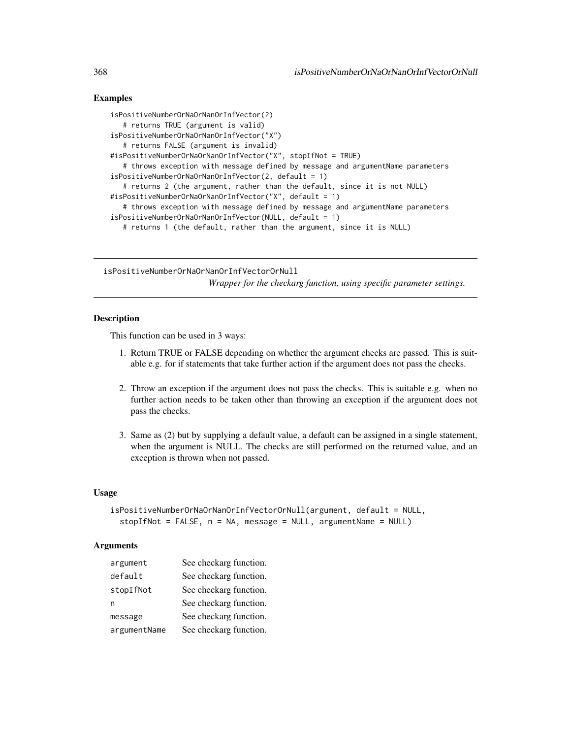# Examples

```
isPositiveNumberOrNaOrNanOrInfVector(2)
   # returns TRUE (argument is valid)
isPositiveNumberOrNaOrNanOrInfVector("X")
   # returns FALSE (argument is invalid)
#isPositiveNumberOrNaOrNanOrInfVector("X", stopIfNot = TRUE)
   # throws exception with message defined by message and argumentName parameters
isPositiveNumberOrNaOrNanOrInfVector(2, default = 1)
   # returns 2 (the argument, rather than the default, since it is not NULL)
#isPositiveNumberOrNaOrNanOrInfVector("X", default = 1)
   # throws exception with message defined by message and argumentName parameters
isPositiveNumberOrNaOrNanOrInfVector(NULL, default = 1)
   # returns 1 (the default, rather than the argument, since it is NULL)
```
isPositiveNumberOrNaOrNanOrInfVectorOrNull *Wrapper for the checkarg function, using specific parameter settings.*

# **Description**

This function can be used in 3 ways:

- 1. Return TRUE or FALSE depending on whether the argument checks are passed. This is suitable e.g. for if statements that take further action if the argument does not pass the checks.
- 2. Throw an exception if the argument does not pass the checks. This is suitable e.g. when no further action needs to be taken other than throwing an exception if the argument does not pass the checks.
- 3. Same as (2) but by supplying a default value, a default can be assigned in a single statement, when the argument is NULL. The checks are still performed on the returned value, and an exception is thrown when not passed.

## Usage

```
isPositiveNumberOrNaOrNanOrInfVectorOrNull(argument, default = NULL,
 stopIfNot = FALSE, n = NA, message = NULL, argumentName = NULL)
```
### Arguments

| argument     | See checkarg function. |
|--------------|------------------------|
| default      | See checkarg function. |
| stopIfNot    | See checkarg function. |
| n            | See checkarg function. |
| message      | See checkarg function. |
| argumentName | See checkarg function. |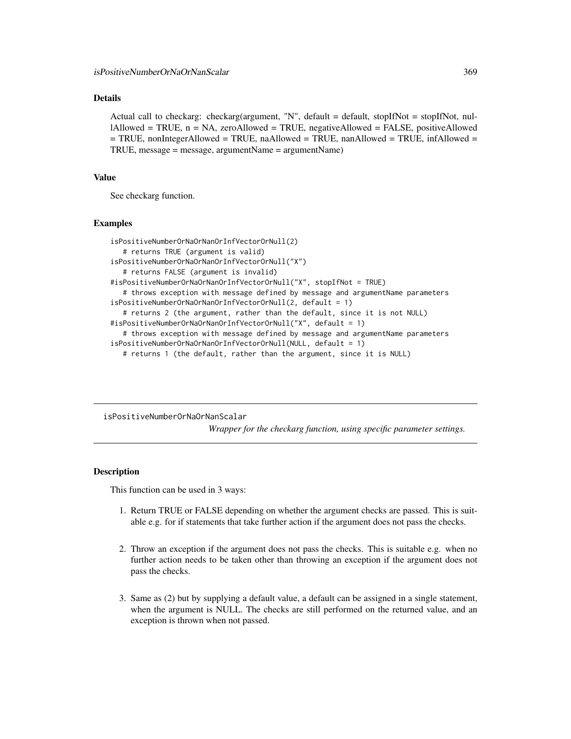# Details

Actual call to checkarg: checkarg(argument, "N", default = default, stopIfNot = stopIfNot, nullAllowed = TRUE, n = NA, zeroAllowed = TRUE, negativeAllowed = FALSE, positiveAllowed = TRUE, nonIntegerAllowed = TRUE, naAllowed = TRUE, nanAllowed = TRUE, infAllowed = TRUE, message = message, argumentName = argumentName)

#### Value

See checkarg function.

#### Examples

```
isPositiveNumberOrNaOrNanOrInfVectorOrNull(2)
  # returns TRUE (argument is valid)
isPositiveNumberOrNaOrNanOrInfVectorOrNull("X")
  # returns FALSE (argument is invalid)
#isPositiveNumberOrNaOrNanOrInfVectorOrNull("X", stopIfNot = TRUE)
  # throws exception with message defined by message and argumentName parameters
isPositiveNumberOrNaOrNanOrInfVectorOrNull(2, default = 1)
  # returns 2 (the argument, rather than the default, since it is not NULL)
#isPositiveNumberOrNaOrNanOrInfVectorOrNull("X", default = 1)
  # throws exception with message defined by message and argumentName parameters
isPositiveNumberOrNaOrNanOrInfVectorOrNull(NULL, default = 1)
  # returns 1 (the default, rather than the argument, since it is NULL)
```
isPositiveNumberOrNaOrNanScalar *Wrapper for the checkarg function, using specific parameter settings.*

# Description

This function can be used in 3 ways:

- 1. Return TRUE or FALSE depending on whether the argument checks are passed. This is suitable e.g. for if statements that take further action if the argument does not pass the checks.
- 2. Throw an exception if the argument does not pass the checks. This is suitable e.g. when no further action needs to be taken other than throwing an exception if the argument does not pass the checks.
- 3. Same as (2) but by supplying a default value, a default can be assigned in a single statement, when the argument is NULL. The checks are still performed on the returned value, and an exception is thrown when not passed.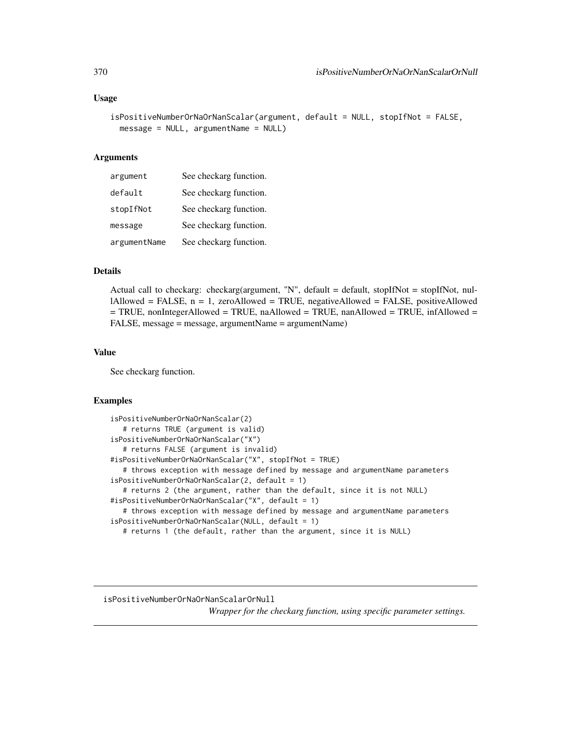#### Usage

```
isPositiveNumberOrNaOrNanScalar(argument, default = NULL, stopIfNot = FALSE,
 message = NULL, argumentName = NULL)
```
#### Arguments

| argument     | See checkarg function. |
|--------------|------------------------|
| default      | See checkarg function. |
| stopIfNot    | See checkarg function. |
| message      | See checkarg function. |
| argumentName | See checkarg function. |

# Details

Actual call to checkarg: checkarg(argument, "N", default = default, stopIfNot = stopIfNot, nullAllowed = FALSE, n = 1, zeroAllowed = TRUE, negativeAllowed = FALSE, positiveAllowed = TRUE, nonIntegerAllowed = TRUE, naAllowed = TRUE, nanAllowed = TRUE, infAllowed = FALSE, message = message, argumentName = argumentName)

## Value

See checkarg function.

# Examples

```
isPositiveNumberOrNaOrNanScalar(2)
   # returns TRUE (argument is valid)
isPositiveNumberOrNaOrNanScalar("X")
   # returns FALSE (argument is invalid)
#isPositiveNumberOrNaOrNanScalar("X", stopIfNot = TRUE)
   # throws exception with message defined by message and argumentName parameters
isPositiveNumberOrNaOrNanScalar(2, default = 1)
   # returns 2 (the argument, rather than the default, since it is not NULL)
#isPositiveNumberOrNaOrNanScalar("X", default = 1)
  # throws exception with message defined by message and argumentName parameters
isPositiveNumberOrNaOrNanScalar(NULL, default = 1)
  # returns 1 (the default, rather than the argument, since it is NULL)
```
isPositiveNumberOrNaOrNanScalarOrNull

*Wrapper for the checkarg function, using specific parameter settings.*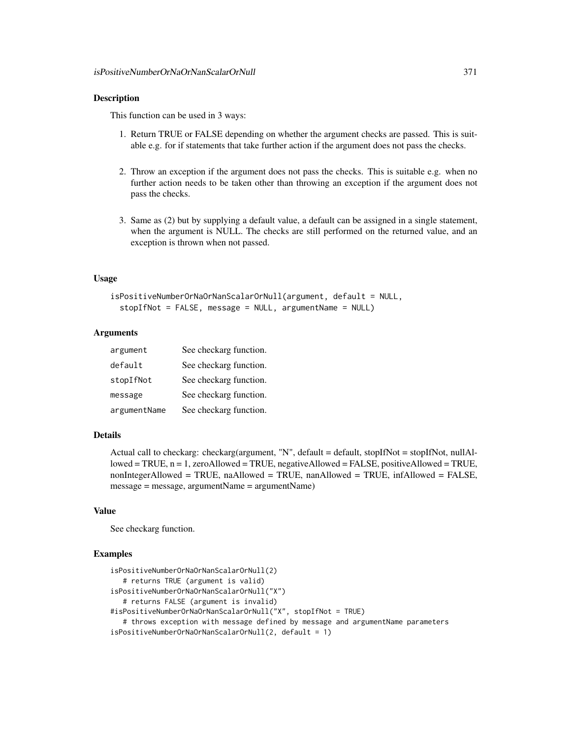#### Description

This function can be used in 3 ways:

- 1. Return TRUE or FALSE depending on whether the argument checks are passed. This is suitable e.g. for if statements that take further action if the argument does not pass the checks.
- 2. Throw an exception if the argument does not pass the checks. This is suitable e.g. when no further action needs to be taken other than throwing an exception if the argument does not pass the checks.
- 3. Same as (2) but by supplying a default value, a default can be assigned in a single statement, when the argument is NULL. The checks are still performed on the returned value, and an exception is thrown when not passed.

#### Usage

```
isPositiveNumberOrNaOrNanScalarOrNull(argument, default = NULL,
  stopIfNot = FALSE, message = NULL, argumentName = NULL)
```
### Arguments

| argument     | See checkarg function. |
|--------------|------------------------|
| default      | See checkarg function. |
| stopIfNot    | See checkarg function. |
| message      | See checkarg function. |
| argumentName | See checkarg function. |

## Details

Actual call to checkarg: checkarg(argument, "N", default = default, stopIfNot = stopIfNot, nullAllowed = TRUE, n = 1, zeroAllowed = TRUE, negativeAllowed = FALSE, positiveAllowed = TRUE, nonIntegerAllowed = TRUE, naAllowed = TRUE, nanAllowed = TRUE, infAllowed = FALSE, message = message, argumentName = argumentName)

### Value

See checkarg function.

```
isPositiveNumberOrNaOrNanScalarOrNull(2)
   # returns TRUE (argument is valid)
isPositiveNumberOrNaOrNanScalarOrNull("X")
   # returns FALSE (argument is invalid)
#isPositiveNumberOrNaOrNanScalarOrNull("X", stopIfNot = TRUE)
   # throws exception with message defined by message and argumentName parameters
isPositiveNumberOrNaOrNanScalarOrNull(2, default = 1)
```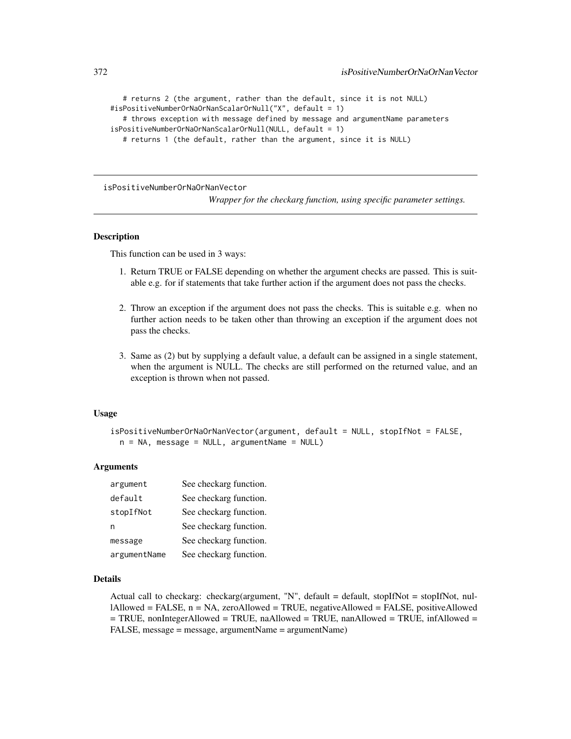```
# returns 2 (the argument, rather than the default, since it is not NULL)
#isPositiveNumberOrNaOrNanScalarOrNull("X", default = 1)
  # throws exception with message defined by message and argumentName parameters
isPositiveNumberOrNaOrNanScalarOrNull(NULL, default = 1)
  # returns 1 (the default, rather than the argument, since it is NULL)
```
isPositiveNumberOrNaOrNanVector

*Wrapper for the checkarg function, using specific parameter settings.*

#### Description

This function can be used in 3 ways:

- 1. Return TRUE or FALSE depending on whether the argument checks are passed. This is suitable e.g. for if statements that take further action if the argument does not pass the checks.
- 2. Throw an exception if the argument does not pass the checks. This is suitable e.g. when no further action needs to be taken other than throwing an exception if the argument does not pass the checks.
- 3. Same as (2) but by supplying a default value, a default can be assigned in a single statement, when the argument is NULL. The checks are still performed on the returned value, and an exception is thrown when not passed.

#### Usage

isPositiveNumberOrNaOrNanVector(argument, default = NULL, stopIfNot = FALSE,  $n = NA$ , message = NULL, argumentName = NULL)

### Arguments

| argument     | See checkarg function. |
|--------------|------------------------|
| default      | See checkarg function. |
| stopIfNot    | See checkarg function. |
| n            | See checkarg function. |
| message      | See checkarg function. |
| argumentName | See checkarg function. |

#### Details

Actual call to checkarg: checkarg(argument, "N", default = default, stopIfNot = stopIfNot, nullAllowed = FALSE, n = NA, zeroAllowed = TRUE, negativeAllowed = FALSE, positiveAllowed  $=$  TRUE, nonIntegerAllowed = TRUE, naAllowed = TRUE, nanAllowed = TRUE, infAllowed = FALSE, message = message, argumentName = argumentName)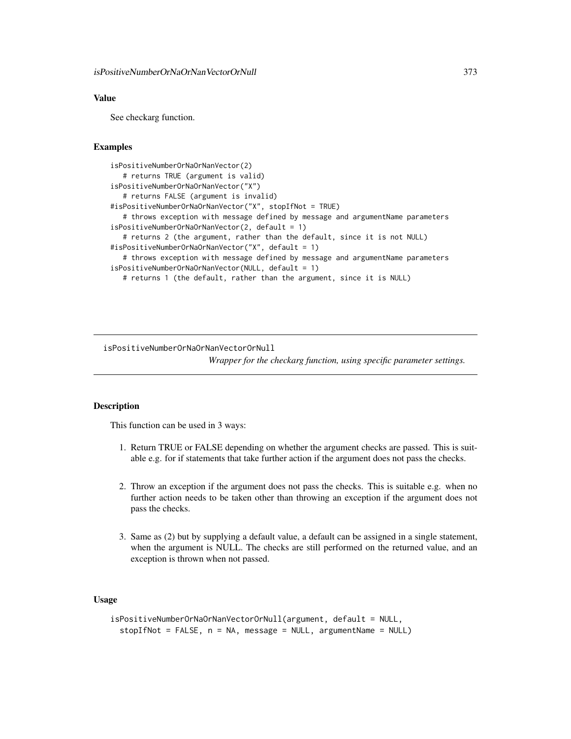# Value

See checkarg function.

# Examples

```
isPositiveNumberOrNaOrNanVector(2)
   # returns TRUE (argument is valid)
isPositiveNumberOrNaOrNanVector("X")
   # returns FALSE (argument is invalid)
#isPositiveNumberOrNaOrNanVector("X", stopIfNot = TRUE)
   # throws exception with message defined by message and argumentName parameters
isPositiveNumberOrNaOrNanVector(2, default = 1)
   # returns 2 (the argument, rather than the default, since it is not NULL)
#isPositiveNumberOrNaOrNanVector("X", default = 1)
  # throws exception with message defined by message and argumentName parameters
isPositiveNumberOrNaOrNanVector(NULL, default = 1)
  # returns 1 (the default, rather than the argument, since it is NULL)
```
isPositiveNumberOrNaOrNanVectorOrNull

*Wrapper for the checkarg function, using specific parameter settings.*

# Description

This function can be used in 3 ways:

- 1. Return TRUE or FALSE depending on whether the argument checks are passed. This is suitable e.g. for if statements that take further action if the argument does not pass the checks.
- 2. Throw an exception if the argument does not pass the checks. This is suitable e.g. when no further action needs to be taken other than throwing an exception if the argument does not pass the checks.
- 3. Same as (2) but by supplying a default value, a default can be assigned in a single statement, when the argument is NULL. The checks are still performed on the returned value, and an exception is thrown when not passed.

# Usage

```
isPositiveNumberOrNaOrNanVectorOrNull(argument, default = NULL,
 stopIfNot = FALSE, n = NA, message = NULL, argumentName = NULL)
```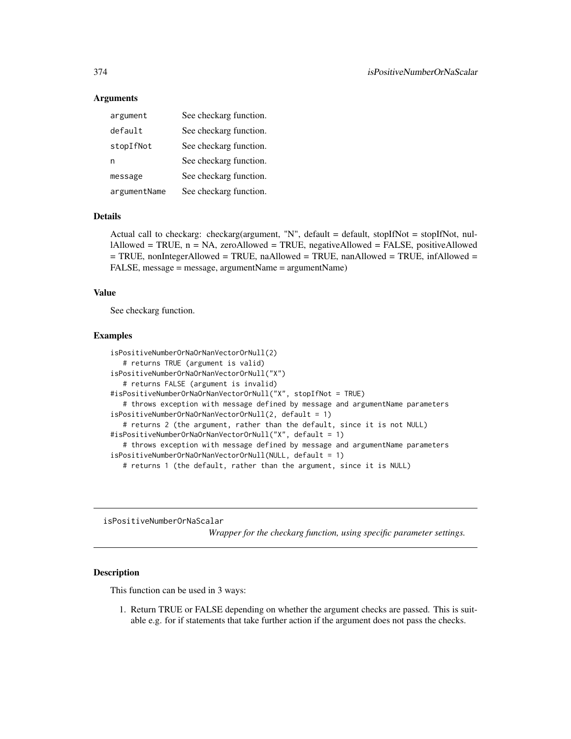## Arguments

| argument     | See checkarg function. |
|--------------|------------------------|
| default      | See checkarg function. |
| stopIfNot    | See checkarg function. |
| n            | See checkarg function. |
| message      | See checkarg function. |
| argumentName | See checkarg function. |

#### Details

Actual call to checkarg: checkarg(argument, "N", default = default, stopIfNot = stopIfNot, nullAllowed = TRUE, n = NA, zeroAllowed = TRUE, negativeAllowed = FALSE, positiveAllowed = TRUE, nonIntegerAllowed = TRUE, naAllowed = TRUE, nanAllowed = TRUE, infAllowed = FALSE, message = message, argumentName = argumentName)

#### Value

See checkarg function.

#### Examples

```
isPositiveNumberOrNaOrNanVectorOrNull(2)
   # returns TRUE (argument is valid)
isPositiveNumberOrNaOrNanVectorOrNull("X")
   # returns FALSE (argument is invalid)
#isPositiveNumberOrNaOrNanVectorOrNull("X", stopIfNot = TRUE)
   # throws exception with message defined by message and argumentName parameters
isPositiveNumberOrNaOrNanVectorOrNull(2, default = 1)
   # returns 2 (the argument, rather than the default, since it is not NULL)
#isPositiveNumberOrNaOrNanVectorOrNull("X", default = 1)
   # throws exception with message defined by message and argumentName parameters
isPositiveNumberOrNaOrNanVectorOrNull(NULL, default = 1)
  # returns 1 (the default, rather than the argument, since it is NULL)
```
isPositiveNumberOrNaScalar

*Wrapper for the checkarg function, using specific parameter settings.*

# Description

This function can be used in 3 ways:

1. Return TRUE or FALSE depending on whether the argument checks are passed. This is suitable e.g. for if statements that take further action if the argument does not pass the checks.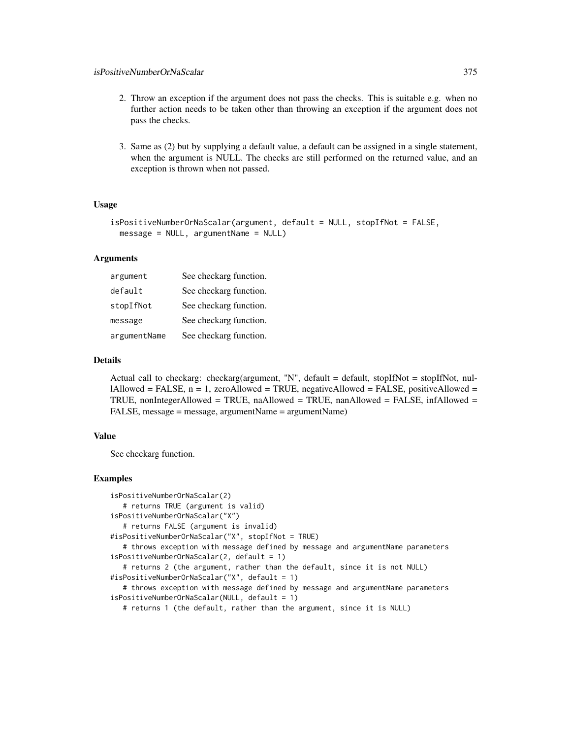- 2. Throw an exception if the argument does not pass the checks. This is suitable e.g. when no further action needs to be taken other than throwing an exception if the argument does not pass the checks.
- 3. Same as (2) but by supplying a default value, a default can be assigned in a single statement, when the argument is NULL. The checks are still performed on the returned value, and an exception is thrown when not passed.

# Usage

```
isPositiveNumberOrNaScalar(argument, default = NULL, stopIfNot = FALSE,
 message = NULL, argumentName = NULL)
```
#### Arguments

| argument     | See checkarg function. |
|--------------|------------------------|
| default      | See checkarg function. |
| stopIfNot    | See checkarg function. |
| message      | See checkarg function. |
| argumentName | See checkarg function. |

# Details

Actual call to checkarg: checkarg(argument, "N", default = default, stopIfNot = stopIfNot, nullAllowed = FALSE,  $n = 1$ , zeroAllowed = TRUE, negativeAllowed = FALSE, positiveAllowed = TRUE, nonIntegerAllowed = TRUE, naAllowed = TRUE, nanAllowed = FALSE, infAllowed = FALSE, message = message, argumentName = argumentName)

# Value

See checkarg function.

```
isPositiveNumberOrNaScalar(2)
   # returns TRUE (argument is valid)
isPositiveNumberOrNaScalar("X")
   # returns FALSE (argument is invalid)
#isPositiveNumberOrNaScalar("X", stopIfNot = TRUE)
   # throws exception with message defined by message and argumentName parameters
isPositiveNumberOrNaScalar(2, default = 1)
   # returns 2 (the argument, rather than the default, since it is not NULL)
#isPositiveNumberOrNaScalar("X", default = 1)
   # throws exception with message defined by message and argumentName parameters
isPositiveNumberOrNaScalar(NULL, default = 1)
   # returns 1 (the default, rather than the argument, since it is NULL)
```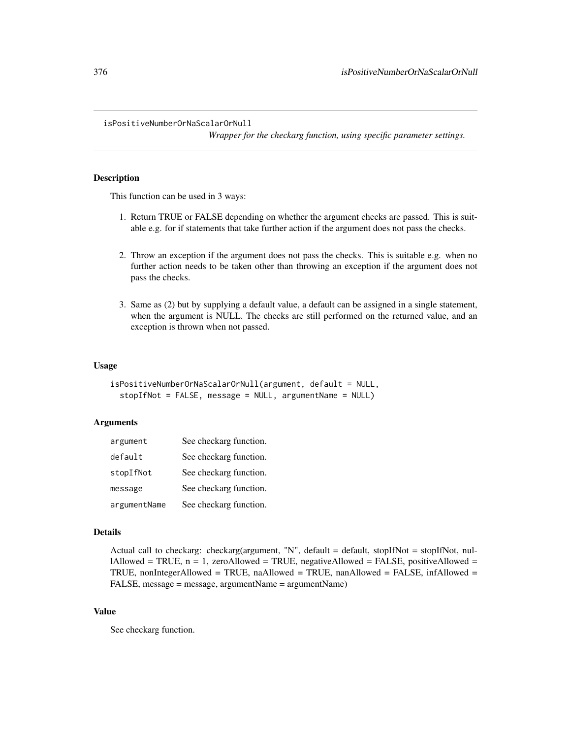#### isPositiveNumberOrNaScalarOrNull

*Wrapper for the checkarg function, using specific parameter settings.*

### Description

This function can be used in 3 ways:

- 1. Return TRUE or FALSE depending on whether the argument checks are passed. This is suitable e.g. for if statements that take further action if the argument does not pass the checks.
- 2. Throw an exception if the argument does not pass the checks. This is suitable e.g. when no further action needs to be taken other than throwing an exception if the argument does not pass the checks.
- 3. Same as (2) but by supplying a default value, a default can be assigned in a single statement, when the argument is NULL. The checks are still performed on the returned value, and an exception is thrown when not passed.

#### Usage

```
isPositiveNumberOrNaScalarOrNull(argument, default = NULL,
 stopIfNot = FALSE, message = NULL, argumentName = NULL)
```
## **Arguments**

| argument     | See checkarg function. |
|--------------|------------------------|
| default      | See checkarg function. |
| stopIfNot    | See checkarg function. |
| message      | See checkarg function. |
| argumentName | See checkarg function. |

#### Details

```
Actual call to checkarg: checkarg(argument, "N", default = default, stopIfNot = stopIfNot, nul-
lAllowed = TRUE, n = 1, zeroAllowed = TRUE, negativeAllowed = FALSE, positiveAllowed =
TRUE, nonIntegerAllowed = TRUE, naAllowed = TRUE, nanAllowed = FALSE, infAllowed =
FALSE, message = message, argumentName = argumentName)
```
# Value

See checkarg function.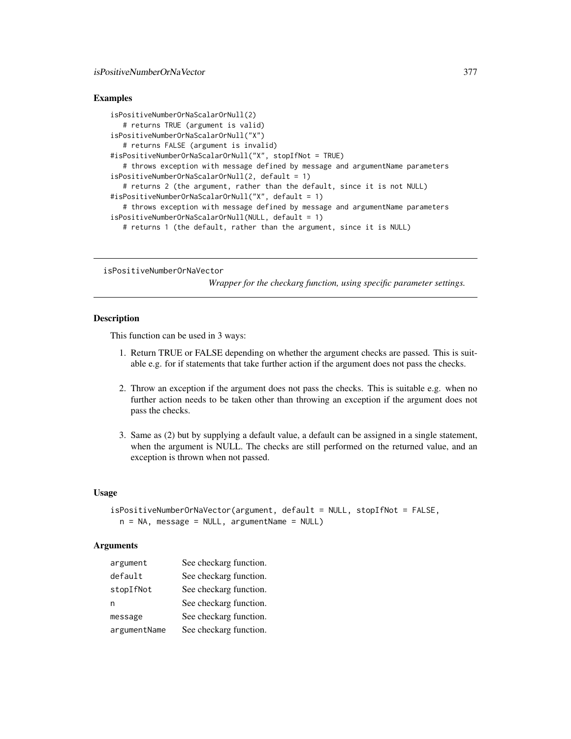## Examples

```
isPositiveNumberOrNaScalarOrNull(2)
   # returns TRUE (argument is valid)
isPositiveNumberOrNaScalarOrNull("X")
   # returns FALSE (argument is invalid)
#isPositiveNumberOrNaScalarOrNull("X", stopIfNot = TRUE)
   # throws exception with message defined by message and argumentName parameters
isPositiveNumberOrNaScalarOrNull(2, default = 1)
   # returns 2 (the argument, rather than the default, since it is not NULL)
#isPositiveNumberOrNaScalarOrNull("X", default = 1)
   # throws exception with message defined by message and argumentName parameters
isPositiveNumberOrNaScalarOrNull(NULL, default = 1)
  # returns 1 (the default, rather than the argument, since it is NULL)
```
isPositiveNumberOrNaVector

*Wrapper for the checkarg function, using specific parameter settings.*

# Description

This function can be used in 3 ways:

- 1. Return TRUE or FALSE depending on whether the argument checks are passed. This is suitable e.g. for if statements that take further action if the argument does not pass the checks.
- 2. Throw an exception if the argument does not pass the checks. This is suitable e.g. when no further action needs to be taken other than throwing an exception if the argument does not pass the checks.
- 3. Same as (2) but by supplying a default value, a default can be assigned in a single statement, when the argument is NULL. The checks are still performed on the returned value, and an exception is thrown when not passed.

#### Usage

```
isPositiveNumberOrNaVector(argument, default = NULL, stopIfNot = FALSE,
 n = NA, message = NULL, argumentName = NULL)
```
## Arguments

| argument     | See checkarg function. |
|--------------|------------------------|
| default      | See checkarg function. |
| stopIfNot    | See checkarg function. |
| n            | See checkarg function. |
| message      | See checkarg function. |
| argumentName | See checkarg function. |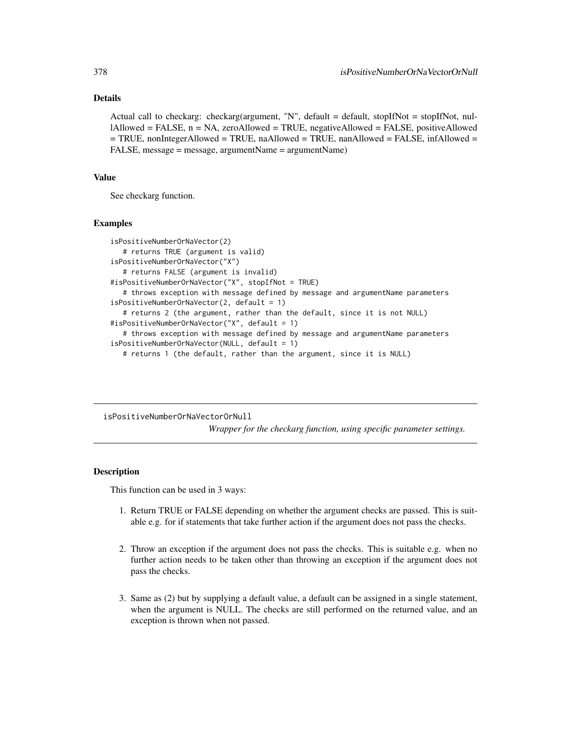# Details

Actual call to checkarg: checkarg(argument, "N", default = default, stopIfNot = stopIfNot, nullAllowed = FALSE, n = NA, zeroAllowed = TRUE, negativeAllowed = FALSE, positiveAllowed = TRUE, nonIntegerAllowed = TRUE, naAllowed = TRUE, nanAllowed = FALSE, infAllowed = FALSE, message = message, argumentName = argumentName)

#### Value

See checkarg function.

#### Examples

```
isPositiveNumberOrNaVector(2)
   # returns TRUE (argument is valid)
isPositiveNumberOrNaVector("X")
   # returns FALSE (argument is invalid)
#isPositiveNumberOrNaVector("X", stopIfNot = TRUE)
   # throws exception with message defined by message and argumentName parameters
isPositiveNumberOrNaVector(2, default = 1)
   # returns 2 (the argument, rather than the default, since it is not NULL)
#isPositiveNumberOrNaVector("X", default = 1)
   # throws exception with message defined by message and argumentName parameters
isPositiveNumberOrNaVector(NULL, default = 1)
  # returns 1 (the default, rather than the argument, since it is NULL)
```
isPositiveNumberOrNaVectorOrNull *Wrapper for the checkarg function, using specific parameter settings.*

# **Description**

This function can be used in 3 ways:

- 1. Return TRUE or FALSE depending on whether the argument checks are passed. This is suitable e.g. for if statements that take further action if the argument does not pass the checks.
- 2. Throw an exception if the argument does not pass the checks. This is suitable e.g. when no further action needs to be taken other than throwing an exception if the argument does not pass the checks.
- 3. Same as (2) but by supplying a default value, a default can be assigned in a single statement, when the argument is NULL. The checks are still performed on the returned value, and an exception is thrown when not passed.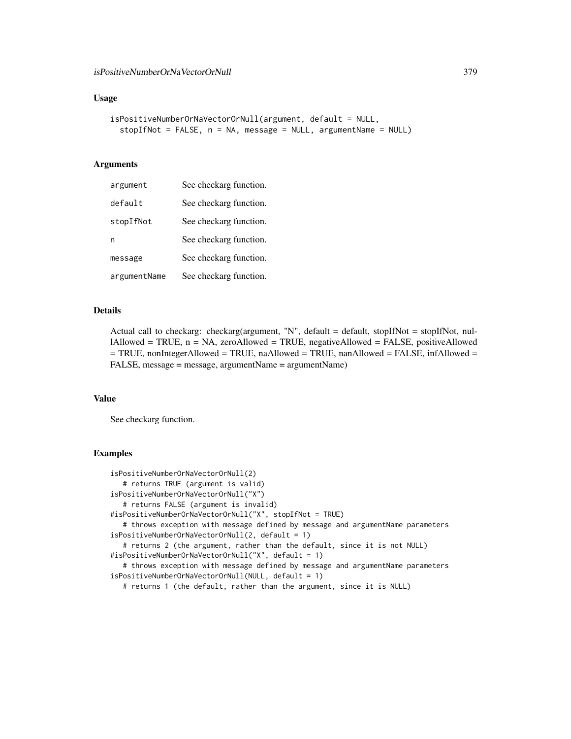#### Usage

```
isPositiveNumberOrNaVectorOrNull(argument, default = NULL,
  stopIfNot = FALSE, n = NA, message = NULL, argumentName = NULL)
```
## Arguments

| argument     | See checkarg function. |
|--------------|------------------------|
| default      | See checkarg function. |
| stopIfNot    | See checkarg function. |
| n            | See checkarg function. |
| message      | See checkarg function. |
| argumentName | See checkarg function. |

#### Details

Actual call to checkarg: checkarg(argument, "N", default = default, stopIfNot = stopIfNot, nul $l$ Allowed = TRUE, n = NA, zeroAllowed = TRUE, negativeAllowed = FALSE, positiveAllowed  $=$  TRUE, nonIntegerAllowed  $=$  TRUE, naAllowed  $=$  TRUE, nanAllowed  $=$  FALSE, infAllowed  $=$ FALSE, message = message, argumentName = argumentName)

#### Value

See checkarg function.

```
isPositiveNumberOrNaVectorOrNull(2)
  # returns TRUE (argument is valid)
isPositiveNumberOrNaVectorOrNull("X")
  # returns FALSE (argument is invalid)
#isPositiveNumberOrNaVectorOrNull("X", stopIfNot = TRUE)
   # throws exception with message defined by message and argumentName parameters
isPositiveNumberOrNaVectorOrNull(2, default = 1)
   # returns 2 (the argument, rather than the default, since it is not NULL)
#isPositiveNumberOrNaVectorOrNull("X", default = 1)
   # throws exception with message defined by message and argumentName parameters
isPositiveNumberOrNaVectorOrNull(NULL, default = 1)
   # returns 1 (the default, rather than the argument, since it is NULL)
```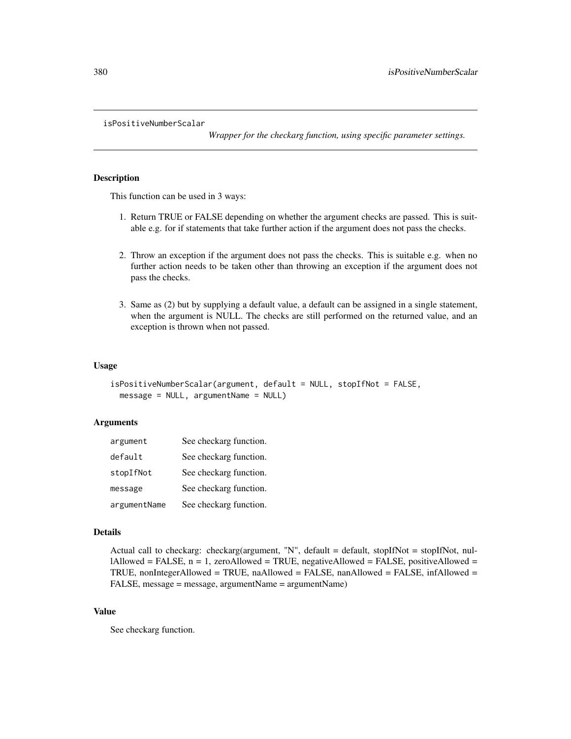isPositiveNumberScalar

*Wrapper for the checkarg function, using specific parameter settings.*

## Description

This function can be used in 3 ways:

- 1. Return TRUE or FALSE depending on whether the argument checks are passed. This is suitable e.g. for if statements that take further action if the argument does not pass the checks.
- 2. Throw an exception if the argument does not pass the checks. This is suitable e.g. when no further action needs to be taken other than throwing an exception if the argument does not pass the checks.
- 3. Same as (2) but by supplying a default value, a default can be assigned in a single statement, when the argument is NULL. The checks are still performed on the returned value, and an exception is thrown when not passed.

#### Usage

```
isPositiveNumberScalar(argument, default = NULL, stopIfNot = FALSE,
 message = NULL, argumentName = NULL)
```
## **Arguments**

| argument     | See checkarg function. |
|--------------|------------------------|
| default      | See checkarg function. |
| stopIfNot    | See checkarg function. |
| message      | See checkarg function. |
| argumentName | See checkarg function. |

#### Details

```
Actual call to checkarg: checkarg(argument, "N", default = default, stopIfNot = stopIfNot, nul-
\text{l}Allowed = FALSE, n = 1, zeroAllowed = TRUE, negativeAllowed = FALSE, positiveAllowed =
TRUE, nonIntegerAllowed = TRUE, naAllowed = FALSE, nanAllowed = FALSE, infAllowed =
FALSE, message = message, argumentName = argumentName)
```
# Value

See checkarg function.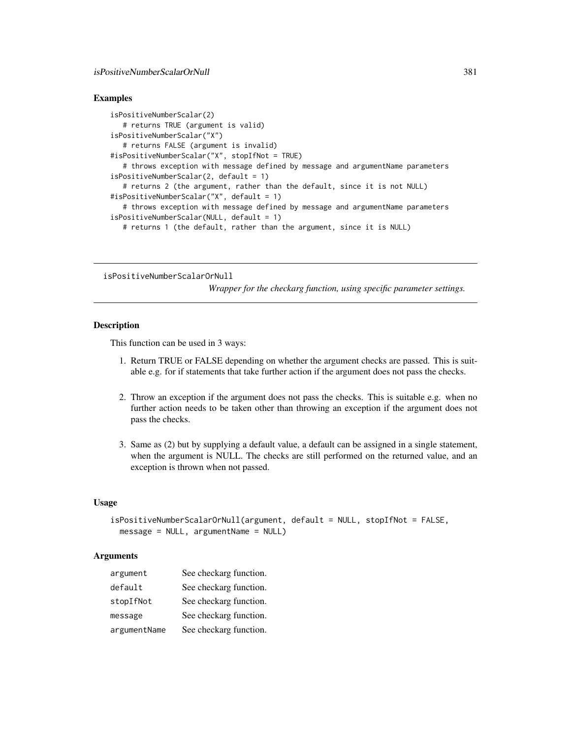## Examples

```
isPositiveNumberScalar(2)
   # returns TRUE (argument is valid)
isPositiveNumberScalar("X")
   # returns FALSE (argument is invalid)
#isPositiveNumberScalar("X", stopIfNot = TRUE)
   # throws exception with message defined by message and argumentName parameters
isPositiveNumberScalar(2, default = 1)
   # returns 2 (the argument, rather than the default, since it is not NULL)
#isPositiveNumberScalar("X", default = 1)
   # throws exception with message defined by message and argumentName parameters
isPositiveNumberScalar(NULL, default = 1)
  # returns 1 (the default, rather than the argument, since it is NULL)
```
isPositiveNumberScalarOrNull

*Wrapper for the checkarg function, using specific parameter settings.*

### **Description**

This function can be used in 3 ways:

- 1. Return TRUE or FALSE depending on whether the argument checks are passed. This is suitable e.g. for if statements that take further action if the argument does not pass the checks.
- 2. Throw an exception if the argument does not pass the checks. This is suitable e.g. when no further action needs to be taken other than throwing an exception if the argument does not pass the checks.
- 3. Same as (2) but by supplying a default value, a default can be assigned in a single statement, when the argument is NULL. The checks are still performed on the returned value, and an exception is thrown when not passed.

## Usage

```
isPositiveNumberScalarOrNull(argument, default = NULL, stopIfNot = FALSE,
 message = NULL, argumentName = NULL)
```
#### **Arguments**

| argument     | See checkarg function. |
|--------------|------------------------|
| default      | See checkarg function. |
| stopIfNot    | See checkarg function. |
| message      | See checkarg function. |
| argumentName | See checkarg function. |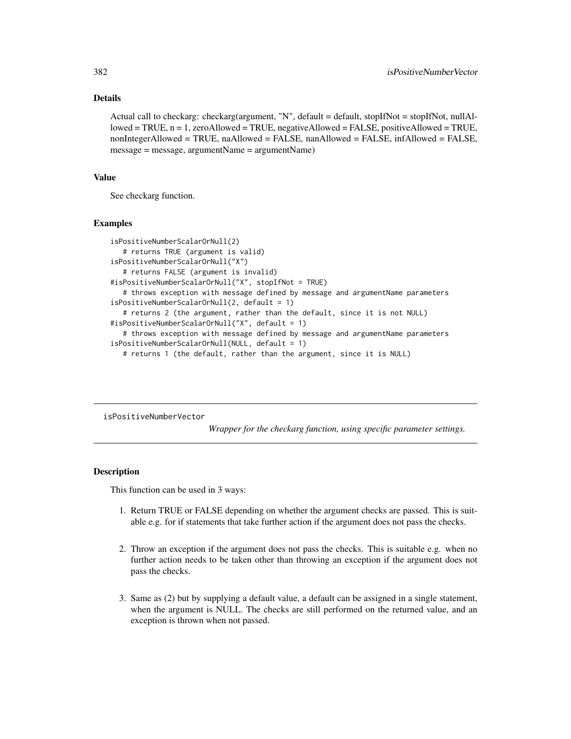# Details

Actual call to checkarg: checkarg(argument, "N", default = default, stopIfNot = stopIfNot, nullAllowed = TRUE, n = 1, zeroAllowed = TRUE, negativeAllowed = FALSE, positiveAllowed = TRUE, nonIntegerAllowed = TRUE, naAllowed = FALSE, nanAllowed = FALSE, infAllowed = FALSE, message = message, argumentName = argumentName)

#### Value

See checkarg function.

### Examples

```
isPositiveNumberScalarOrNull(2)
   # returns TRUE (argument is valid)
isPositiveNumberScalarOrNull("X")
   # returns FALSE (argument is invalid)
#isPositiveNumberScalarOrNull("X", stopIfNot = TRUE)
   # throws exception with message defined by message and argumentName parameters
isPositiveNumberScalarOrNull(2, default = 1)
   # returns 2 (the argument, rather than the default, since it is not NULL)
#isPositiveNumberScalarOrNull("X", default = 1)
   # throws exception with message defined by message and argumentName parameters
isPositiveNumberScalarOrNull(NULL, default = 1)
  # returns 1 (the default, rather than the argument, since it is NULL)
```
isPositiveNumberVector

*Wrapper for the checkarg function, using specific parameter settings.*

# Description

This function can be used in 3 ways:

- 1. Return TRUE or FALSE depending on whether the argument checks are passed. This is suitable e.g. for if statements that take further action if the argument does not pass the checks.
- 2. Throw an exception if the argument does not pass the checks. This is suitable e.g. when no further action needs to be taken other than throwing an exception if the argument does not pass the checks.
- 3. Same as (2) but by supplying a default value, a default can be assigned in a single statement, when the argument is NULL. The checks are still performed on the returned value, and an exception is thrown when not passed.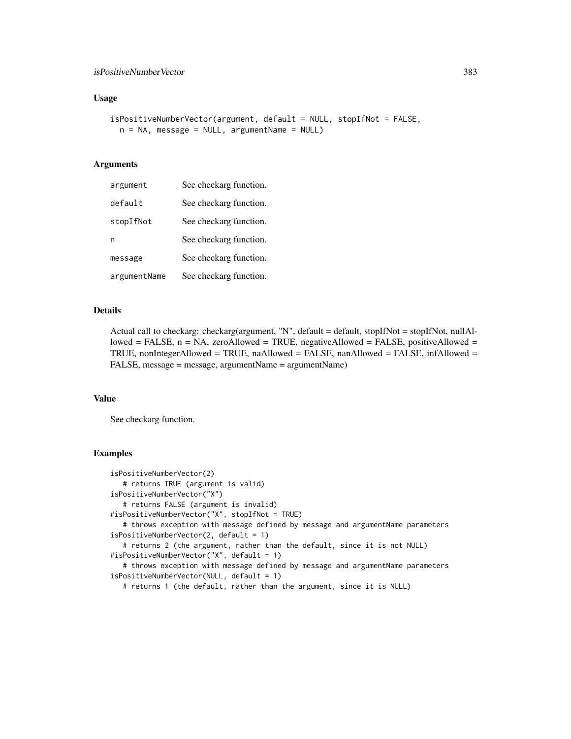## isPositiveNumberVector 383

#### Usage

```
isPositiveNumberVector(argument, default = NULL, stopIfNot = FALSE,
 n = NA, message = NULL, argumentName = NULL)
```
## Arguments

| argument     | See checkarg function. |
|--------------|------------------------|
| default      | See checkarg function. |
| stopIfNot    | See checkarg function. |
| n            | See checkarg function. |
| message      | See checkarg function. |
| argumentName | See checkarg function. |

#### Details

Actual call to checkarg: checkarg(argument, "N", default = default, stopIfNot = stopIfNot, nullAllowed = FALSE,  $n = NA$ , zeroAllowed = TRUE, negativeAllowed = FALSE, positiveAllowed = TRUE, nonIntegerAllowed = TRUE, naAllowed = FALSE, nanAllowed = FALSE, infAllowed = FALSE, message = message, argumentName = argumentName)

#### Value

See checkarg function.

```
isPositiveNumberVector(2)
  # returns TRUE (argument is valid)
isPositiveNumberVector("X")
  # returns FALSE (argument is invalid)
#isPositiveNumberVector("X", stopIfNot = TRUE)
   # throws exception with message defined by message and argumentName parameters
isPositiveNumberVector(2, default = 1)
   # returns 2 (the argument, rather than the default, since it is not NULL)
#isPositiveNumberVector("X", default = 1)
   # throws exception with message defined by message and argumentName parameters
isPositiveNumberVector(NULL, default = 1)
   # returns 1 (the default, rather than the argument, since it is NULL)
```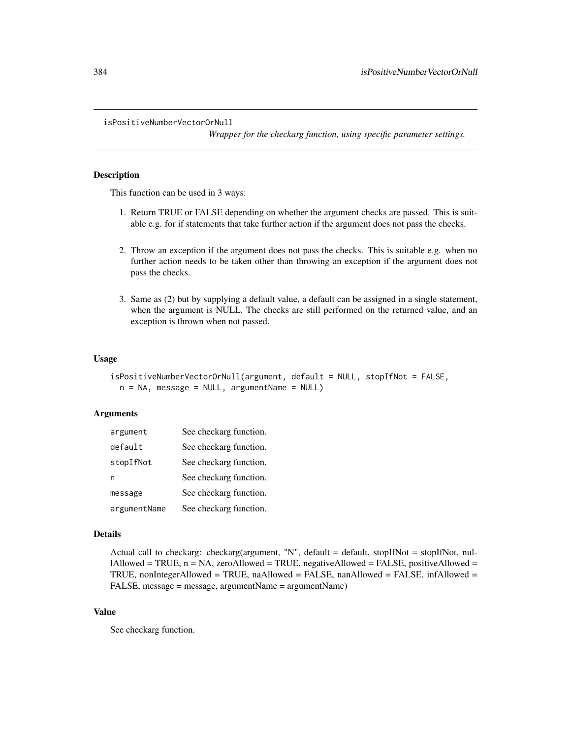```
isPositiveNumberVectorOrNull
```
*Wrapper for the checkarg function, using specific parameter settings.*

# Description

This function can be used in 3 ways:

- 1. Return TRUE or FALSE depending on whether the argument checks are passed. This is suitable e.g. for if statements that take further action if the argument does not pass the checks.
- 2. Throw an exception if the argument does not pass the checks. This is suitable e.g. when no further action needs to be taken other than throwing an exception if the argument does not pass the checks.
- 3. Same as (2) but by supplying a default value, a default can be assigned in a single statement, when the argument is NULL. The checks are still performed on the returned value, and an exception is thrown when not passed.

# Usage

```
isPositiveNumberVectorOrNull(argument, default = NULL, stopIfNot = FALSE,
 n = NA, message = NULL, argumentName = NULL)
```
## **Arguments**

| argument     | See checkarg function. |
|--------------|------------------------|
| default      | See checkarg function. |
| stopIfNot    | See checkarg function. |
| n            | See checkarg function. |
| message      | See checkarg function. |
| argumentName | See checkarg function. |

#### Details

Actual call to checkarg: checkarg(argument, "N", default = default, stopIfNot = stopIfNot, nul- $\text{l}$ Allowed = TRUE, n = NA, zeroAllowed = TRUE, negativeAllowed = FALSE, positiveAllowed = TRUE, nonIntegerAllowed = TRUE, naAllowed = FALSE, nanAllowed = FALSE, infAllowed = FALSE, message = message, argumentName = argumentName)

# Value

See checkarg function.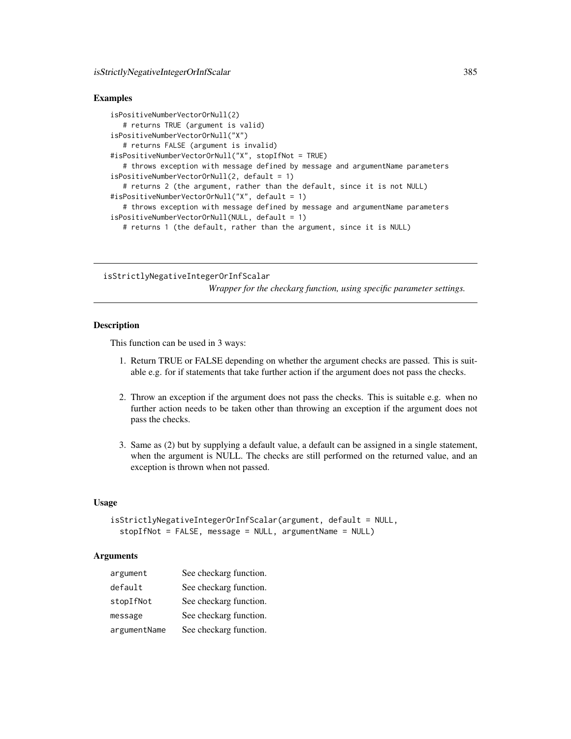## Examples

```
isPositiveNumberVectorOrNull(2)
   # returns TRUE (argument is valid)
isPositiveNumberVectorOrNull("X")
   # returns FALSE (argument is invalid)
#isPositiveNumberVectorOrNull("X", stopIfNot = TRUE)
   # throws exception with message defined by message and argumentName parameters
isPositiveNumberVectorOrNull(2, default = 1)
   # returns 2 (the argument, rather than the default, since it is not NULL)
#isPositiveNumberVectorOrNull("X", default = 1)
   # throws exception with message defined by message and argumentName parameters
isPositiveNumberVectorOrNull(NULL, default = 1)
   # returns 1 (the default, rather than the argument, since it is NULL)
```
isStrictlyNegativeIntegerOrInfScalar *Wrapper for the checkarg function, using specific parameter settings.*

### **Description**

This function can be used in 3 ways:

- 1. Return TRUE or FALSE depending on whether the argument checks are passed. This is suitable e.g. for if statements that take further action if the argument does not pass the checks.
- 2. Throw an exception if the argument does not pass the checks. This is suitable e.g. when no further action needs to be taken other than throwing an exception if the argument does not pass the checks.
- 3. Same as (2) but by supplying a default value, a default can be assigned in a single statement, when the argument is NULL. The checks are still performed on the returned value, and an exception is thrown when not passed.

## Usage

```
isStrictlyNegativeIntegerOrInfScalar(argument, default = NULL,
 stopIfNot = FALSE, message = NULL, argumentName = NULL)
```
## **Arguments**

| argument     | See checkarg function. |
|--------------|------------------------|
| default      | See checkarg function. |
| stopIfNot    | See checkarg function. |
| message      | See checkarg function. |
| argumentName | See checkarg function. |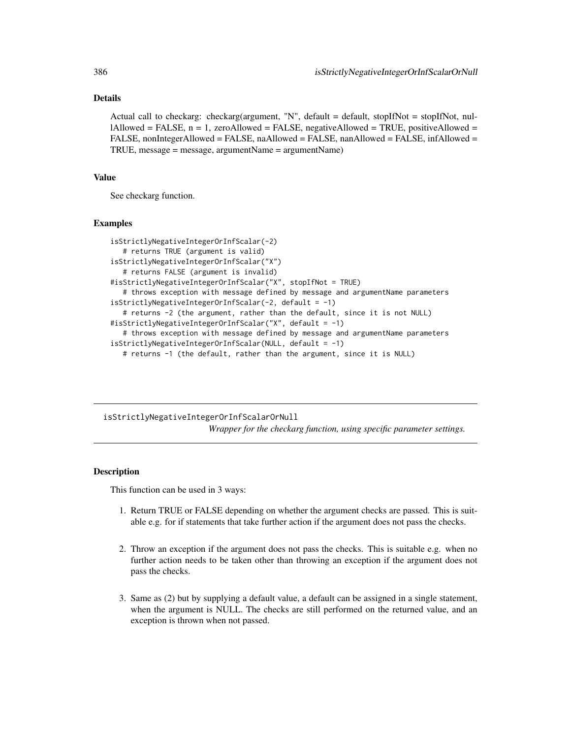# Details

Actual call to checkarg: checkarg(argument, "N", default = default, stopIfNot = stopIfNot, nul- $1$ Allowed = FALSE,  $n = 1$ , zeroAllowed = FALSE, negativeAllowed = TRUE, positiveAllowed = FALSE, nonIntegerAllowed = FALSE, naAllowed = FALSE, nanAllowed = FALSE, infAllowed = TRUE, message = message, argumentName = argumentName)

#### Value

See checkarg function.

#### Examples

```
isStrictlyNegativeIntegerOrInfScalar(-2)
   # returns TRUE (argument is valid)
isStrictlyNegativeIntegerOrInfScalar("X")
   # returns FALSE (argument is invalid)
#isStrictlyNegativeIntegerOrInfScalar("X", stopIfNot = TRUE)
   # throws exception with message defined by message and argumentName parameters
isStrictlyNegativeIntegerOrInfScalar(-2, default = -1)
   # returns -2 (the argument, rather than the default, since it is not NULL)
#isStrictlyNegativeIntegerOrInfScalar("X", default = -1)
   # throws exception with message defined by message and argumentName parameters
isStrictlyNegativeIntegerOrInfScalar(NULL, default = -1)
  # returns -1 (the default, rather than the argument, since it is NULL)
```
isStrictlyNegativeIntegerOrInfScalarOrNull *Wrapper for the checkarg function, using specific parameter settings.*

# **Description**

This function can be used in 3 ways:

- 1. Return TRUE or FALSE depending on whether the argument checks are passed. This is suitable e.g. for if statements that take further action if the argument does not pass the checks.
- 2. Throw an exception if the argument does not pass the checks. This is suitable e.g. when no further action needs to be taken other than throwing an exception if the argument does not pass the checks.
- 3. Same as (2) but by supplying a default value, a default can be assigned in a single statement, when the argument is NULL. The checks are still performed on the returned value, and an exception is thrown when not passed.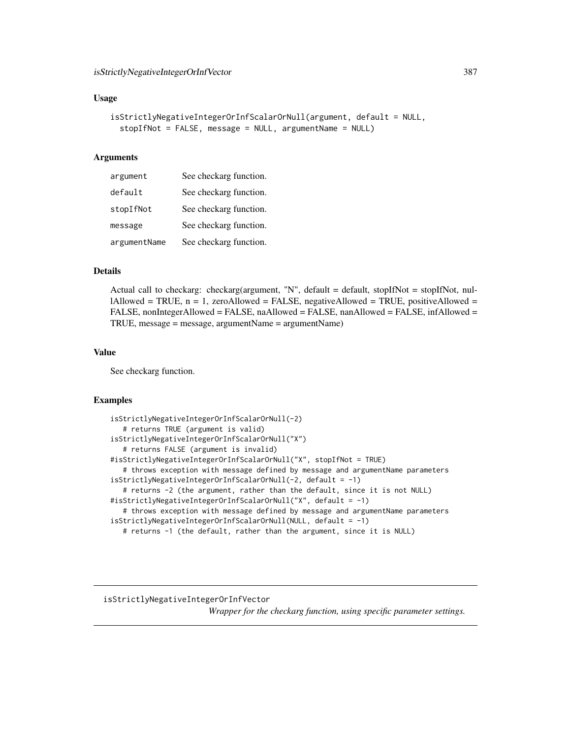### Usage

```
isStrictlyNegativeIntegerOrInfScalarOrNull(argument, default = NULL,
  stopIfNot = FALSE, message = NULL, argumentName = NULL)
```
#### Arguments

| argument     | See checkarg function. |
|--------------|------------------------|
| default      | See checkarg function. |
| stopIfNot    | See checkarg function. |
| message      | See checkarg function. |
| argumentName | See checkarg function. |

# Details

Actual call to checkarg: checkarg(argument, "N", default = default, stopIfNot = stopIfNot, nullAllowed = TRUE,  $n = 1$ , zeroAllowed = FALSE, negativeAllowed = TRUE, positiveAllowed = FALSE, nonIntegerAllowed = FALSE, naAllowed = FALSE, nanAllowed = FALSE, infAllowed = TRUE, message = message, argumentName = argumentName)

## Value

See checkarg function.

# Examples

```
isStrictlyNegativeIntegerOrInfScalarOrNull(-2)
   # returns TRUE (argument is valid)
isStrictlyNegativeIntegerOrInfScalarOrNull("X")
   # returns FALSE (argument is invalid)
#isStrictlyNegativeIntegerOrInfScalarOrNull("X", stopIfNot = TRUE)
   # throws exception with message defined by message and argumentName parameters
isStrictlyNegativeIntegerOrInfScalarOrNull(-2, default = -1)
   # returns -2 (the argument, rather than the default, since it is not NULL)
#isStrictlyNegativeIntegerOrInfScalarOrNull("X", default = -1)
   # throws exception with message defined by message and argumentName parameters
isStrictlyNegativeIntegerOrInfScalarOrNull(NULL, default = -1)
  # returns -1 (the default, rather than the argument, since it is NULL)
```
## isStrictlyNegativeIntegerOrInfVector

*Wrapper for the checkarg function, using specific parameter settings.*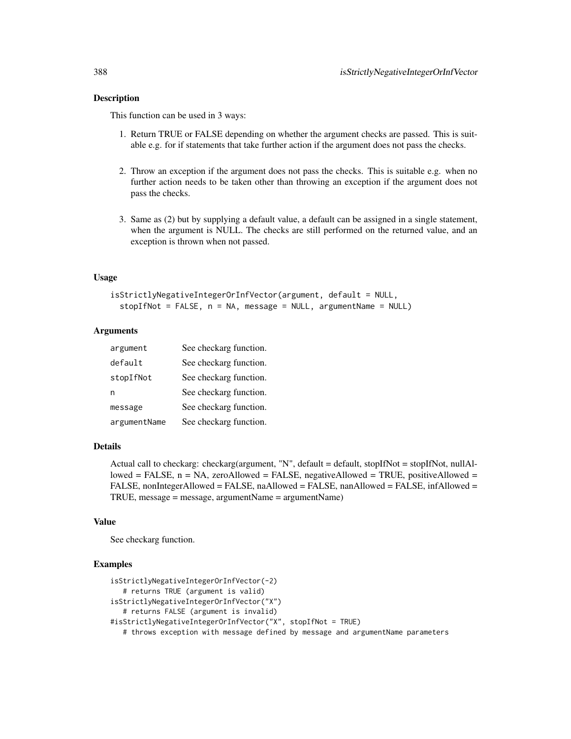## Description

This function can be used in 3 ways:

- 1. Return TRUE or FALSE depending on whether the argument checks are passed. This is suitable e.g. for if statements that take further action if the argument does not pass the checks.
- 2. Throw an exception if the argument does not pass the checks. This is suitable e.g. when no further action needs to be taken other than throwing an exception if the argument does not pass the checks.
- 3. Same as (2) but by supplying a default value, a default can be assigned in a single statement, when the argument is NULL. The checks are still performed on the returned value, and an exception is thrown when not passed.

#### Usage

```
isStrictlyNegativeIntegerOrInfVector(argument, default = NULL,
 stopIfNot = FALSE, n = NA, message = NULL, argumentName = NULL)
```
## Arguments

| argument     | See checkarg function. |
|--------------|------------------------|
| default      | See checkarg function. |
| stopIfNot    | See checkarg function. |
| n            | See checkarg function. |
| message      | See checkarg function. |
| argumentName | See checkarg function. |

## Details

Actual call to checkarg: checkarg(argument, "N", default = default, stopIfNot = stopIfNot, nullAllowed = FALSE,  $n = NA$ , zeroAllowed = FALSE, negativeAllowed = TRUE, positiveAllowed = FALSE, nonIntegerAllowed = FALSE, naAllowed = FALSE, nanAllowed = FALSE, infAllowed = TRUE, message = message, argumentName = argumentName)

## Value

See checkarg function.

```
isStrictlyNegativeIntegerOrInfVector(-2)
  # returns TRUE (argument is valid)
isStrictlyNegativeIntegerOrInfVector("X")
  # returns FALSE (argument is invalid)
#isStrictlyNegativeIntegerOrInfVector("X", stopIfNot = TRUE)
  # throws exception with message defined by message and argumentName parameters
```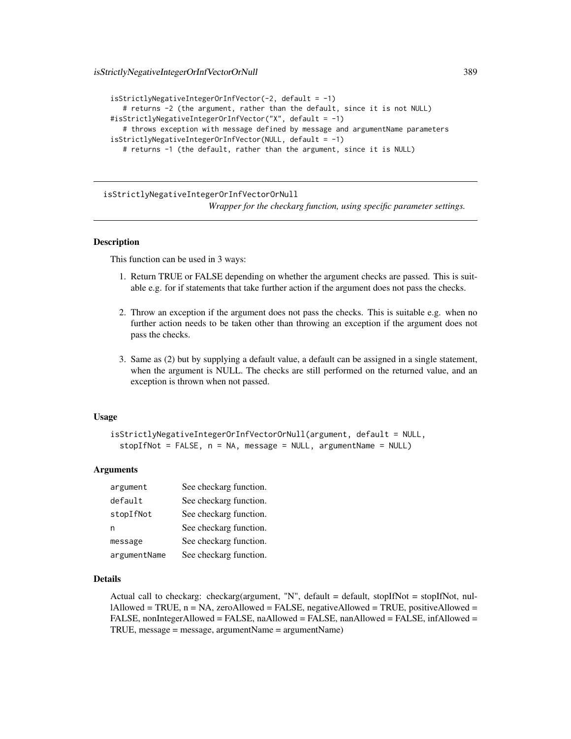```
isStrictlyNegativeIntegerOrInfVector(-2, default = -1)
   # returns -2 (the argument, rather than the default, since it is not NULL)
#isStrictlyNegativeIntegerOrInfVector("X", default = -1)
   # throws exception with message defined by message and argumentName parameters
isStrictlyNegativeIntegerOrInfVector(NULL, default = -1)
   # returns -1 (the default, rather than the argument, since it is NULL)
```
isStrictlyNegativeIntegerOrInfVectorOrNull *Wrapper for the checkarg function, using specific parameter settings.*

# Description

This function can be used in 3 ways:

- 1. Return TRUE or FALSE depending on whether the argument checks are passed. This is suitable e.g. for if statements that take further action if the argument does not pass the checks.
- 2. Throw an exception if the argument does not pass the checks. This is suitable e.g. when no further action needs to be taken other than throwing an exception if the argument does not pass the checks.
- 3. Same as (2) but by supplying a default value, a default can be assigned in a single statement, when the argument is NULL. The checks are still performed on the returned value, and an exception is thrown when not passed.

#### Usage

```
isStrictlyNegativeIntegerOrInfVectorOrNull(argument, default = NULL,
  stopIfNot = FALSE, n = NA, message = NULL, argumentName = NULL)
```
#### Arguments

| argument     | See checkarg function. |
|--------------|------------------------|
| default      | See checkarg function. |
| stopIfNot    | See checkarg function. |
| n            | See checkarg function. |
| message      | See checkarg function. |
| argumentName | See checkarg function. |

#### Details

Actual call to checkarg: checkarg(argument, "N", default = default, stopIfNot = stopIfNot, nullAllowed = TRUE,  $n = NA$ , zeroAllowed = FALSE, negativeAllowed = TRUE, positiveAllowed = FALSE, nonIntegerAllowed = FALSE, naAllowed = FALSE, nanAllowed = FALSE, infAllowed = TRUE, message = message, argumentName = argumentName)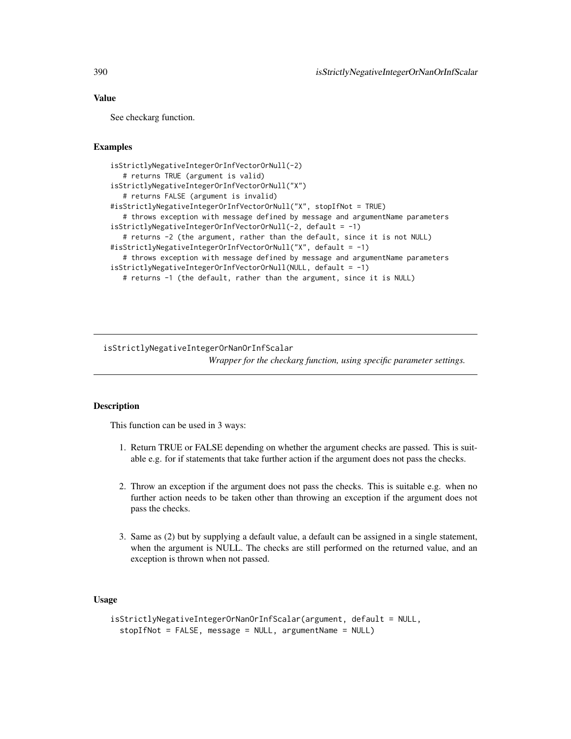# Value

See checkarg function.

## Examples

```
isStrictlyNegativeIntegerOrInfVectorOrNull(-2)
  # returns TRUE (argument is valid)
isStrictlyNegativeIntegerOrInfVectorOrNull("X")
  # returns FALSE (argument is invalid)
#isStrictlyNegativeIntegerOrInfVectorOrNull("X", stopIfNot = TRUE)
  # throws exception with message defined by message and argumentName parameters
isStrictlyNegativeIntegerOrInfVectorOrNull(-2, default = -1)
  # returns -2 (the argument, rather than the default, since it is not NULL)
#isStrictlyNegativeIntegerOrInfVectorOrNull("X", default = -1)
  # throws exception with message defined by message and argumentName parameters
isStrictlyNegativeIntegerOrInfVectorOrNull(NULL, default = -1)
  # returns -1 (the default, rather than the argument, since it is NULL)
```
isStrictlyNegativeIntegerOrNanOrInfScalar

*Wrapper for the checkarg function, using specific parameter settings.*

### Description

This function can be used in 3 ways:

- 1. Return TRUE or FALSE depending on whether the argument checks are passed. This is suitable e.g. for if statements that take further action if the argument does not pass the checks.
- 2. Throw an exception if the argument does not pass the checks. This is suitable e.g. when no further action needs to be taken other than throwing an exception if the argument does not pass the checks.
- 3. Same as (2) but by supplying a default value, a default can be assigned in a single statement, when the argument is NULL. The checks are still performed on the returned value, and an exception is thrown when not passed.

# Usage

```
isStrictlyNegativeIntegerOrNanOrInfScalar(argument, default = NULL,
 stopIfNot = FALSE, message = NULL, argumentName = NULL)
```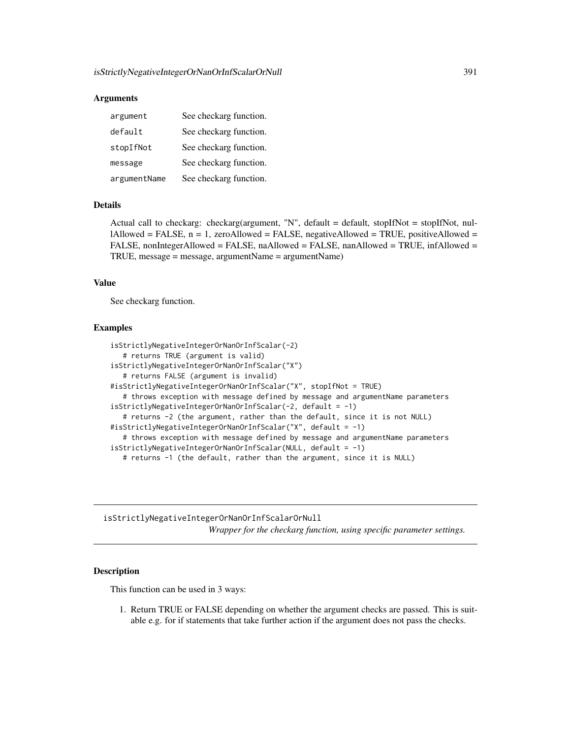## **Arguments**

| argument     | See checkarg function. |
|--------------|------------------------|
| default      | See checkarg function. |
| stopIfNot    | See checkarg function. |
| message      | See checkarg function. |
| argumentName | See checkarg function. |

# Details

Actual call to checkarg: checkarg(argument, "N", default = default, stopIfNot = stopIfNot, nullAllowed = FALSE,  $n = 1$ , zeroAllowed = FALSE, negativeAllowed = TRUE, positiveAllowed = FALSE, nonIntegerAllowed = FALSE, naAllowed = FALSE, nanAllowed = TRUE, infAllowed = TRUE, message = message, argumentName = argumentName)

# Value

See checkarg function.

# Examples

```
isStrictlyNegativeIntegerOrNanOrInfScalar(-2)
   # returns TRUE (argument is valid)
isStrictlyNegativeIntegerOrNanOrInfScalar("X")
   # returns FALSE (argument is invalid)
#isStrictlyNegativeIntegerOrNanOrInfScalar("X", stopIfNot = TRUE)
   # throws exception with message defined by message and argumentName parameters
isStrictlyNegativeIntegerOrNanOrInfScalar(-2, default = -1)
   # returns -2 (the argument, rather than the default, since it is not NULL)
#isStrictlyNegativeIntegerOrNanOrInfScalar("X", default = -1)
   # throws exception with message defined by message and argumentName parameters
isStrictlyNegativeIntegerOrNanOrInfScalar(NULL, default = -1)
   # returns -1 (the default, rather than the argument, since it is NULL)
```
isStrictlyNegativeIntegerOrNanOrInfScalarOrNull *Wrapper for the checkarg function, using specific parameter settings.*

## **Description**

This function can be used in 3 ways:

1. Return TRUE or FALSE depending on whether the argument checks are passed. This is suitable e.g. for if statements that take further action if the argument does not pass the checks.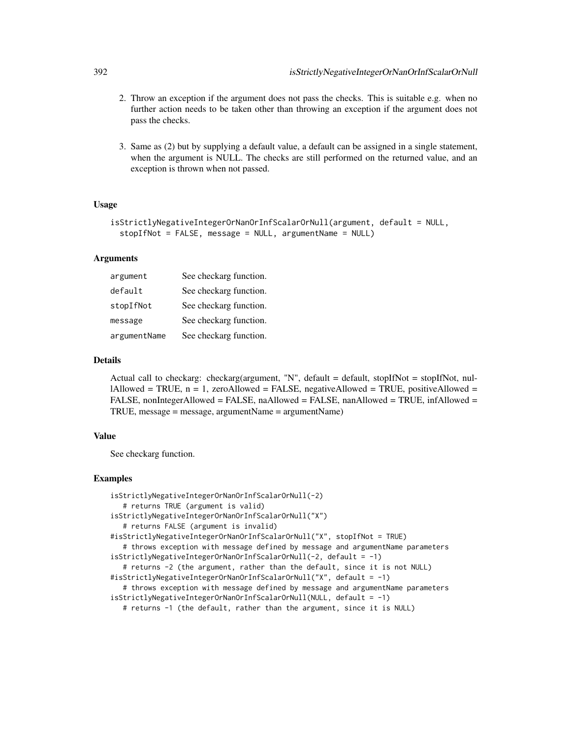- 2. Throw an exception if the argument does not pass the checks. This is suitable e.g. when no further action needs to be taken other than throwing an exception if the argument does not pass the checks.
- 3. Same as (2) but by supplying a default value, a default can be assigned in a single statement, when the argument is NULL. The checks are still performed on the returned value, and an exception is thrown when not passed.

# Usage

```
isStrictlyNegativeIntegerOrNanOrInfScalarOrNull(argument, default = NULL,
  stopIfNot = FALSE, message = NULL, argumentName = NULL)
```
### Arguments

| argument     | See checkarg function. |
|--------------|------------------------|
| default      | See checkarg function. |
| stopIfNot    | See checkarg function. |
| message      | See checkarg function. |
| argumentName | See checkarg function. |

# Details

Actual call to checkarg: checkarg(argument, "N", default = default, stopIfNot = stopIfNot, nullAllowed = TRUE,  $n = 1$ , zeroAllowed = FALSE, negativeAllowed = TRUE, positiveAllowed = FALSE, nonIntegerAllowed = FALSE, naAllowed = FALSE, nanAllowed = TRUE, infAllowed = TRUE, message = message, argumentName = argumentName)

# Value

See checkarg function.

```
isStrictlyNegativeIntegerOrNanOrInfScalarOrNull(-2)
   # returns TRUE (argument is valid)
isStrictlyNegativeIntegerOrNanOrInfScalarOrNull("X")
   # returns FALSE (argument is invalid)
#isStrictlyNegativeIntegerOrNanOrInfScalarOrNull("X", stopIfNot = TRUE)
   # throws exception with message defined by message and argumentName parameters
isStrictlyNegativeIntegerOrNanOrInfScalarOrNull(-2, default = -1)
   # returns -2 (the argument, rather than the default, since it is not NULL)
#isStrictlyNegativeIntegerOrNanOrInfScalarOrNull("X", default = -1)
   # throws exception with message defined by message and argumentName parameters
isStrictlyNegativeIntegerOrNanOrInfScalarOrNull(NULL, default = -1)
   # returns -1 (the default, rather than the argument, since it is NULL)
```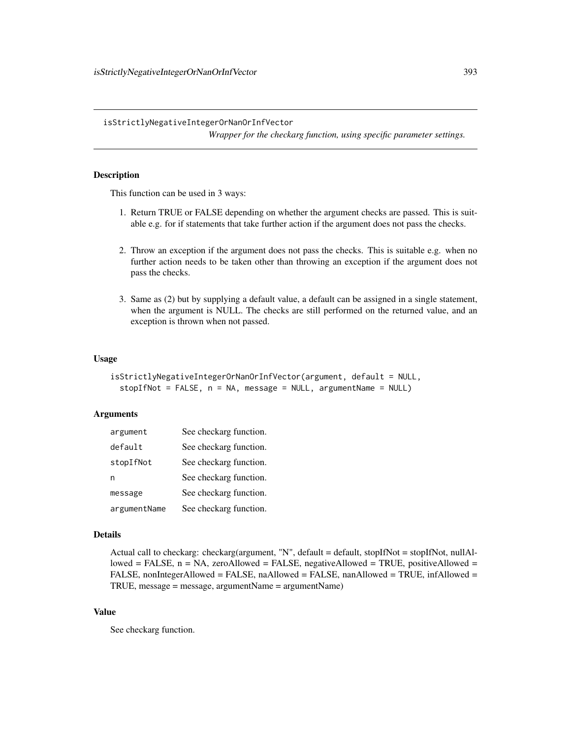isStrictlyNegativeIntegerOrNanOrInfVector

*Wrapper for the checkarg function, using specific parameter settings.*

# **Description**

This function can be used in 3 ways:

- 1. Return TRUE or FALSE depending on whether the argument checks are passed. This is suitable e.g. for if statements that take further action if the argument does not pass the checks.
- 2. Throw an exception if the argument does not pass the checks. This is suitable e.g. when no further action needs to be taken other than throwing an exception if the argument does not pass the checks.
- 3. Same as (2) but by supplying a default value, a default can be assigned in a single statement, when the argument is NULL. The checks are still performed on the returned value, and an exception is thrown when not passed.

# Usage

```
isStrictlyNegativeIntegerOrNanOrInfVector(argument, default = NULL,
 stopIfNot = FALSE, n = NA, message = NULL, argumentName = NULL)
```
# Arguments

| argument     | See checkarg function. |
|--------------|------------------------|
| default      | See checkarg function. |
| stopIfNot    | See checkarg function. |
| n            | See checkarg function. |
| message      | See checkarg function. |
| argumentName | See checkarg function. |

#### Details

```
Actual call to checkarg: checkarg(argument, "N", default = default, stopIfNot = stopIfNot, nullAl-
lowed = FALSE, n = NA, zeroAllowed = FALSE, negativeAllowed = TRUE, positiveAllowed =
FALSE, nonIntegerAllowed = FALSE, naAllowed = FALSE, nanAllowed = TRUE, infAllowed =
TRUE, message = message, argumentName = argumentName)
```
# Value

See checkarg function.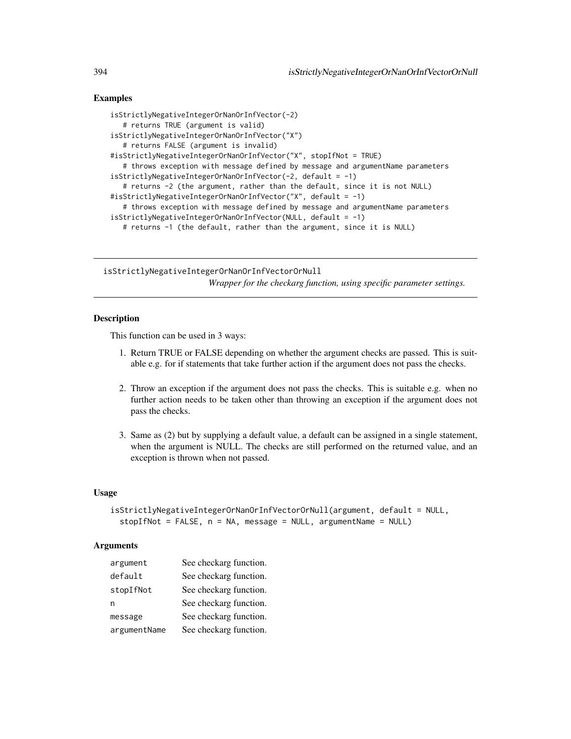## Examples

```
isStrictlyNegativeIntegerOrNanOrInfVector(-2)
   # returns TRUE (argument is valid)
isStrictlyNegativeIntegerOrNanOrInfVector("X")
   # returns FALSE (argument is invalid)
#isStrictlyNegativeIntegerOrNanOrInfVector("X", stopIfNot = TRUE)
   # throws exception with message defined by message and argumentName parameters
isStrictlyNegativeIntegerOrNanOrInfVector(-2, default = -1)
   # returns -2 (the argument, rather than the default, since it is not NULL)
#isStrictlyNegativeIntegerOrNanOrInfVector("X", default = -1)
   # throws exception with message defined by message and argumentName parameters
isStrictlyNegativeIntegerOrNanOrInfVector(NULL, default = -1)
   # returns -1 (the default, rather than the argument, since it is NULL)
```
isStrictlyNegativeIntegerOrNanOrInfVectorOrNull *Wrapper for the checkarg function, using specific parameter settings.*

# Description

This function can be used in 3 ways:

- 1. Return TRUE or FALSE depending on whether the argument checks are passed. This is suitable e.g. for if statements that take further action if the argument does not pass the checks.
- 2. Throw an exception if the argument does not pass the checks. This is suitable e.g. when no further action needs to be taken other than throwing an exception if the argument does not pass the checks.
- 3. Same as (2) but by supplying a default value, a default can be assigned in a single statement, when the argument is NULL. The checks are still performed on the returned value, and an exception is thrown when not passed.

#### Usage

```
isStrictlyNegativeIntegerOrNanOrInfVectorOrNull(argument, default = NULL,
 stopIfNot = FALSE, n = NA, message = NULL, argumentName = NULL)
```
### Arguments

| argument     | See checkarg function. |
|--------------|------------------------|
| default      | See checkarg function. |
| stopIfNot    | See checkarg function. |
| n            | See checkarg function. |
| message      | See checkarg function. |
| argumentName | See checkarg function. |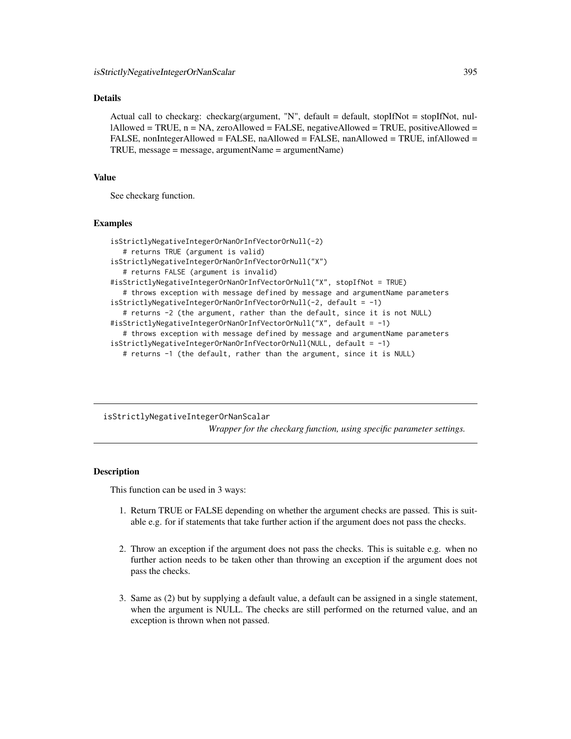### Details

Actual call to checkarg: checkarg(argument, "N", default = default, stopIfNot = stopIfNot, nul- $1$ Allowed = TRUE, n = NA, zeroAllowed = FALSE, negativeAllowed = TRUE, positiveAllowed = FALSE, nonIntegerAllowed = FALSE, naAllowed = FALSE, nanAllowed = TRUE, infAllowed = TRUE, message = message, argumentName = argumentName)

#### Value

See checkarg function.

#### Examples

```
isStrictlyNegativeIntegerOrNanOrInfVectorOrNull(-2)
   # returns TRUE (argument is valid)
isStrictlyNegativeIntegerOrNanOrInfVectorOrNull("X")
   # returns FALSE (argument is invalid)
#isStrictlyNegativeIntegerOrNanOrInfVectorOrNull("X", stopIfNot = TRUE)
   # throws exception with message defined by message and argumentName parameters
isStrictlyNegativeIntegerOrNanOrInfVectorOrNull(-2, default = -1)
   # returns -2 (the argument, rather than the default, since it is not NULL)
#isStrictlyNegativeIntegerOrNanOrInfVectorOrNull("X", default = -1)
   # throws exception with message defined by message and argumentName parameters
isStrictlyNegativeIntegerOrNanOrInfVectorOrNull(NULL, default = -1)
  # returns -1 (the default, rather than the argument, since it is NULL)
```
isStrictlyNegativeIntegerOrNanScalar *Wrapper for the checkarg function, using specific parameter settings.*

#### Description

This function can be used in 3 ways:

- 1. Return TRUE or FALSE depending on whether the argument checks are passed. This is suitable e.g. for if statements that take further action if the argument does not pass the checks.
- 2. Throw an exception if the argument does not pass the checks. This is suitable e.g. when no further action needs to be taken other than throwing an exception if the argument does not pass the checks.
- 3. Same as (2) but by supplying a default value, a default can be assigned in a single statement, when the argument is NULL. The checks are still performed on the returned value, and an exception is thrown when not passed.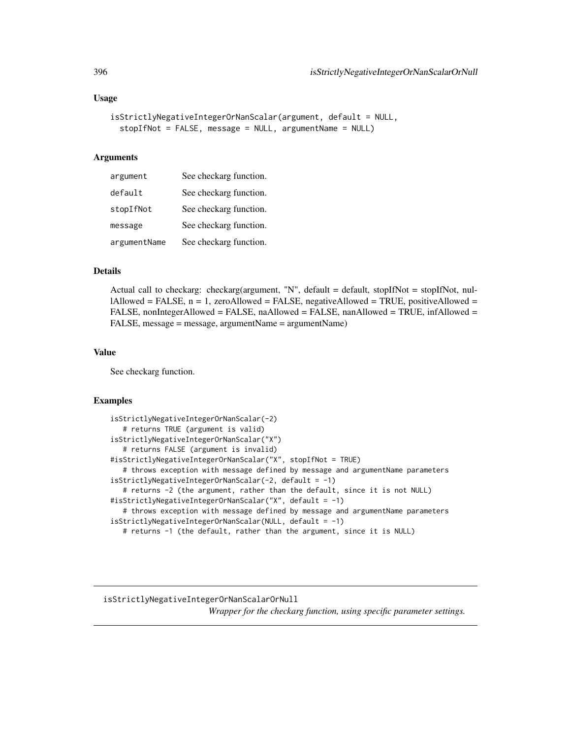```
isStrictlyNegativeIntegerOrNanScalar(argument, default = NULL,
  stopIfNot = FALSE, message = NULL, argumentName = NULL)
```
#### Arguments

| argument     | See checkarg function. |
|--------------|------------------------|
| default      | See checkarg function. |
| stopIfNot    | See checkarg function. |
| message      | See checkarg function. |
| argumentName | See checkarg function. |

# Details

Actual call to checkarg: checkarg(argument, "N", default = default, stopIfNot = stopIfNot, nullAllowed = FALSE,  $n = 1$ , zeroAllowed = FALSE, negativeAllowed = TRUE, positiveAllowed = FALSE, nonIntegerAllowed = FALSE, naAllowed = FALSE, nanAllowed = TRUE, infAllowed = FALSE, message = message, argumentName = argumentName)

#### Value

See checkarg function.

# Examples

```
isStrictlyNegativeIntegerOrNanScalar(-2)
   # returns TRUE (argument is valid)
isStrictlyNegativeIntegerOrNanScalar("X")
   # returns FALSE (argument is invalid)
#isStrictlyNegativeIntegerOrNanScalar("X", stopIfNot = TRUE)
   # throws exception with message defined by message and argumentName parameters
isStrictlyNegativeIntegerOrNanScalar(-2, default = -1)
   # returns -2 (the argument, rather than the default, since it is not NULL)
#isStrictlyNegativeIntegerOrNanScalar("X", default = -1)
  # throws exception with message defined by message and argumentName parameters
isStrictlyNegativeIntegerOrNanScalar(NULL, default = -1)
  # returns -1 (the default, rather than the argument, since it is NULL)
```
isStrictlyNegativeIntegerOrNanScalarOrNull *Wrapper for the checkarg function, using specific parameter settings.*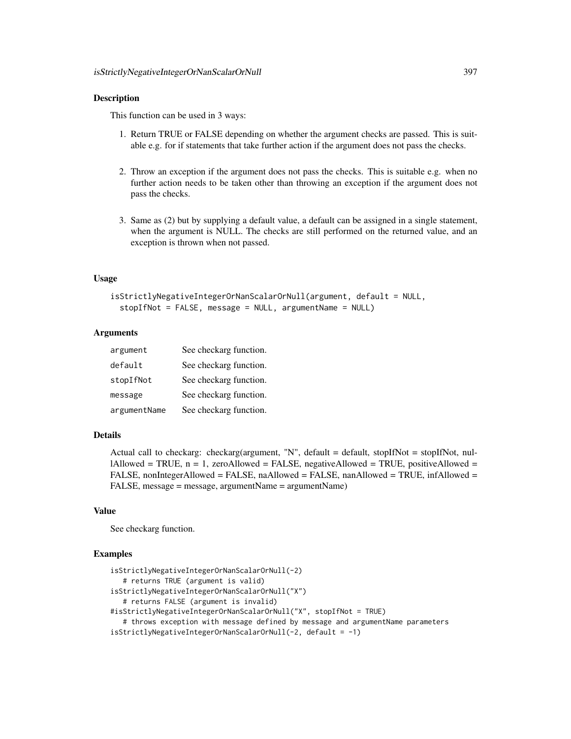## Description

This function can be used in 3 ways:

- 1. Return TRUE or FALSE depending on whether the argument checks are passed. This is suitable e.g. for if statements that take further action if the argument does not pass the checks.
- 2. Throw an exception if the argument does not pass the checks. This is suitable e.g. when no further action needs to be taken other than throwing an exception if the argument does not pass the checks.
- 3. Same as (2) but by supplying a default value, a default can be assigned in a single statement, when the argument is NULL. The checks are still performed on the returned value, and an exception is thrown when not passed.

## Usage

```
isStrictlyNegativeIntegerOrNanScalarOrNull(argument, default = NULL,
  stopIfNot = FALSE, message = NULL, argumentName = NULL)
```
# Arguments

| argument     | See checkarg function. |
|--------------|------------------------|
| default      | See checkarg function. |
| stopIfNot    | See checkarg function. |
| message      | See checkarg function. |
| argumentName | See checkarg function. |

## Details

Actual call to checkarg: checkarg(argument, "N", default = default, stopIfNot = stopIfNot, nullAllowed = TRUE,  $n = 1$ , zeroAllowed = FALSE, negativeAllowed = TRUE, positiveAllowed = FALSE, nonIntegerAllowed = FALSE, naAllowed = FALSE, nanAllowed = TRUE, infAllowed = FALSE, message = message, argumentName = argumentName)

## Value

See checkarg function.

```
isStrictlyNegativeIntegerOrNanScalarOrNull(-2)
   # returns TRUE (argument is valid)
isStrictlyNegativeIntegerOrNanScalarOrNull("X")
   # returns FALSE (argument is invalid)
#isStrictlyNegativeIntegerOrNanScalarOrNull("X", stopIfNot = TRUE)
   # throws exception with message defined by message and argumentName parameters
isStrictlyNegativeIntegerOrNanScalarOrNull(-2, default = -1)
```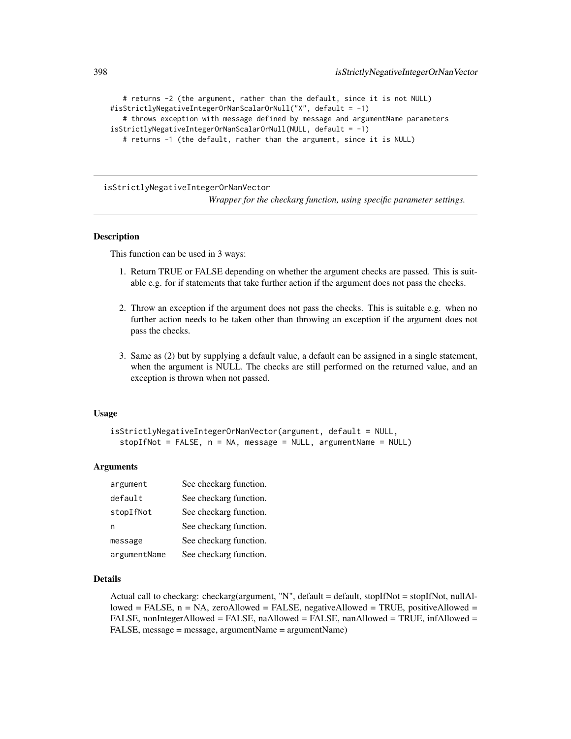```
# returns -2 (the argument, rather than the default, since it is not NULL)
#isStrictlyNegativeIntegerOrNanScalarOrNull("X", default = -1)
   # throws exception with message defined by message and argumentName parameters
isStrictlyNegativeIntegerOrNanScalarOrNull(NULL, default = -1)
  # returns -1 (the default, rather than the argument, since it is NULL)
```
isStrictlyNegativeIntegerOrNanVector

*Wrapper for the checkarg function, using specific parameter settings.*

#### Description

This function can be used in 3 ways:

- 1. Return TRUE or FALSE depending on whether the argument checks are passed. This is suitable e.g. for if statements that take further action if the argument does not pass the checks.
- 2. Throw an exception if the argument does not pass the checks. This is suitable e.g. when no further action needs to be taken other than throwing an exception if the argument does not pass the checks.
- 3. Same as (2) but by supplying a default value, a default can be assigned in a single statement, when the argument is NULL. The checks are still performed on the returned value, and an exception is thrown when not passed.

## Usage

isStrictlyNegativeIntegerOrNanVector(argument, default = NULL, stopIfNot = FALSE,  $n = NA$ , message = NULL, argumentName = NULL)

#### Arguments

| argument     | See checkarg function. |
|--------------|------------------------|
| default      | See checkarg function. |
| stopIfNot    | See checkarg function. |
| n            | See checkarg function. |
| message      | See checkarg function. |
| argumentName | See checkarg function. |

## Details

Actual call to checkarg: checkarg(argument, "N", default = default, stopIfNot = stopIfNot, nullAllowed = FALSE,  $n = NA$ , zeroAllowed = FALSE, negativeAllowed = TRUE, positiveAllowed = FALSE, nonIntegerAllowed = FALSE, naAllowed = FALSE, nanAllowed = TRUE, infAllowed = FALSE, message = message, argumentName = argumentName)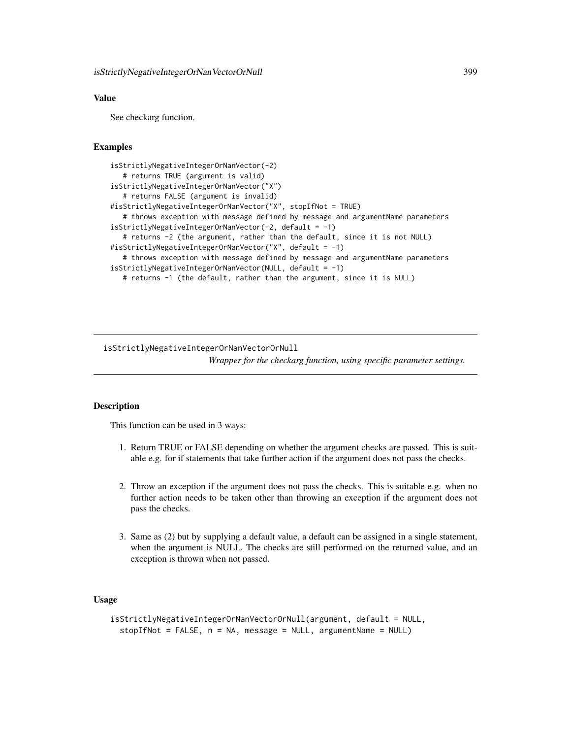# Value

See checkarg function.

## Examples

```
isStrictlyNegativeIntegerOrNanVector(-2)
   # returns TRUE (argument is valid)
isStrictlyNegativeIntegerOrNanVector("X")
   # returns FALSE (argument is invalid)
#isStrictlyNegativeIntegerOrNanVector("X", stopIfNot = TRUE)
   # throws exception with message defined by message and argumentName parameters
isStrictlyNegativeIntegerOrNanVector(-2, default = -1)
   # returns -2 (the argument, rather than the default, since it is not NULL)
#isStrictlyNegativeIntegerOrNanVector("X", default = -1)
   # throws exception with message defined by message and argumentName parameters
isStrictlyNegativeIntegerOrNanVector(NULL, default = -1)
  # returns -1 (the default, rather than the argument, since it is NULL)
```
isStrictlyNegativeIntegerOrNanVectorOrNull *Wrapper for the checkarg function, using specific parameter settings.*

# Description

This function can be used in 3 ways:

- 1. Return TRUE or FALSE depending on whether the argument checks are passed. This is suitable e.g. for if statements that take further action if the argument does not pass the checks.
- 2. Throw an exception if the argument does not pass the checks. This is suitable e.g. when no further action needs to be taken other than throwing an exception if the argument does not pass the checks.
- 3. Same as (2) but by supplying a default value, a default can be assigned in a single statement, when the argument is NULL. The checks are still performed on the returned value, and an exception is thrown when not passed.

# Usage

```
isStrictlyNegativeIntegerOrNanVectorOrNull(argument, default = NULL,
 stopIfNot = FALSE, n = NA, message = NULL, argumentName = NULL)
```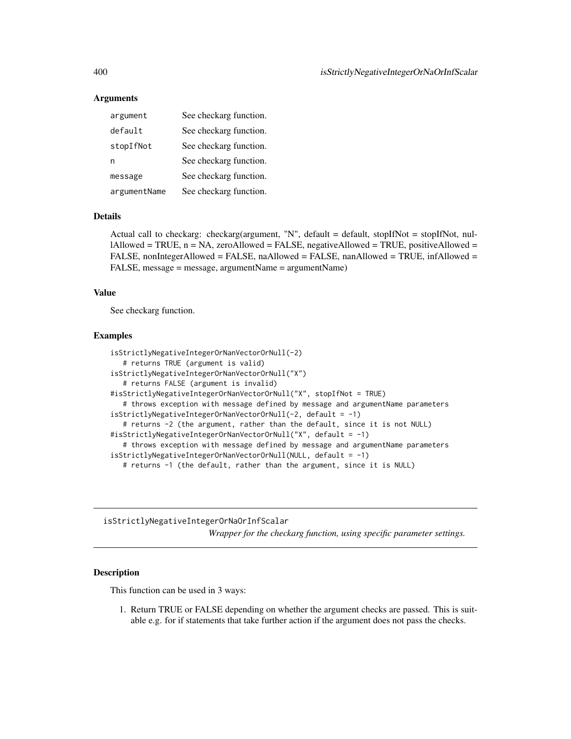# Arguments

| argument     | See checkarg function. |
|--------------|------------------------|
| default      | See checkarg function. |
| stopIfNot    | See checkarg function. |
| n            | See checkarg function. |
| message      | See checkarg function. |
| argumentName | See checkarg function. |

## Details

Actual call to checkarg: checkarg(argument, "N", default = default, stopIfNot = stopIfNot, nullAllowed = TRUE, n = NA, zeroAllowed = FALSE, negativeAllowed = TRUE, positiveAllowed = FALSE, nonIntegerAllowed = FALSE, naAllowed = FALSE, nanAllowed = TRUE, infAllowed = FALSE, message = message, argumentName = argumentName)

## Value

See checkarg function.

#### Examples

```
isStrictlyNegativeIntegerOrNanVectorOrNull(-2)
   # returns TRUE (argument is valid)
isStrictlyNegativeIntegerOrNanVectorOrNull("X")
   # returns FALSE (argument is invalid)
#isStrictlyNegativeIntegerOrNanVectorOrNull("X", stopIfNot = TRUE)
   # throws exception with message defined by message and argumentName parameters
isStrictlyNegativeIntegerOrNanVectorOrNull(-2, default = -1)
   # returns -2 (the argument, rather than the default, since it is not NULL)
#isStrictlyNegativeIntegerOrNanVectorOrNull("X", default = -1)
   # throws exception with message defined by message and argumentName parameters
isStrictlyNegativeIntegerOrNanVectorOrNull(NULL, default = -1)
   # returns -1 (the default, rather than the argument, since it is NULL)
```
isStrictlyNegativeIntegerOrNaOrInfScalar *Wrapper for the checkarg function, using specific parameter settings.*

# Description

This function can be used in 3 ways:

1. Return TRUE or FALSE depending on whether the argument checks are passed. This is suitable e.g. for if statements that take further action if the argument does not pass the checks.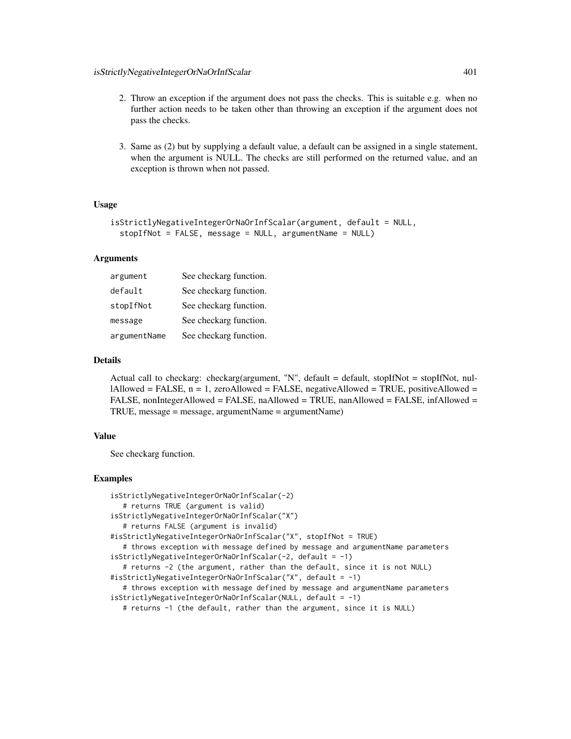- 2. Throw an exception if the argument does not pass the checks. This is suitable e.g. when no further action needs to be taken other than throwing an exception if the argument does not pass the checks.
- 3. Same as (2) but by supplying a default value, a default can be assigned in a single statement, when the argument is NULL. The checks are still performed on the returned value, and an exception is thrown when not passed.

```
isStrictlyNegativeIntegerOrNaOrInfScalar(argument, default = NULL,
  stopIfNot = FALSE, message = NULL, argumentName = NULL)
```
## Arguments

| argument     | See checkarg function. |
|--------------|------------------------|
| default      | See checkarg function. |
| stopIfNot    | See checkarg function. |
| message      | See checkarg function. |
| argumentName | See checkarg function. |

# Details

Actual call to checkarg: checkarg(argument, "N", default = default, stopIfNot = stopIfNot, nullAllowed = FALSE,  $n = 1$ , zeroAllowed = FALSE, negativeAllowed = TRUE, positiveAllowed = FALSE, nonIntegerAllowed = FALSE, naAllowed = TRUE, nanAllowed = FALSE, infAllowed = TRUE, message = message, argumentName = argumentName)

# Value

See checkarg function.

```
isStrictlyNegativeIntegerOrNaOrInfScalar(-2)
   # returns TRUE (argument is valid)
isStrictlyNegativeIntegerOrNaOrInfScalar("X")
   # returns FALSE (argument is invalid)
#isStrictlyNegativeIntegerOrNaOrInfScalar("X", stopIfNot = TRUE)
   # throws exception with message defined by message and argumentName parameters
isStrictlyNegativeIntegerOrNaOrInfScalar(-2, default = -1)
   # returns -2 (the argument, rather than the default, since it is not NULL)
#isStrictlyNegativeIntegerOrNaOrInfScalar("X", default = -1)
   # throws exception with message defined by message and argumentName parameters
isStrictlyNegativeIntegerOrNaOrInfScalar(NULL, default = -1)
   # returns -1 (the default, rather than the argument, since it is NULL)
```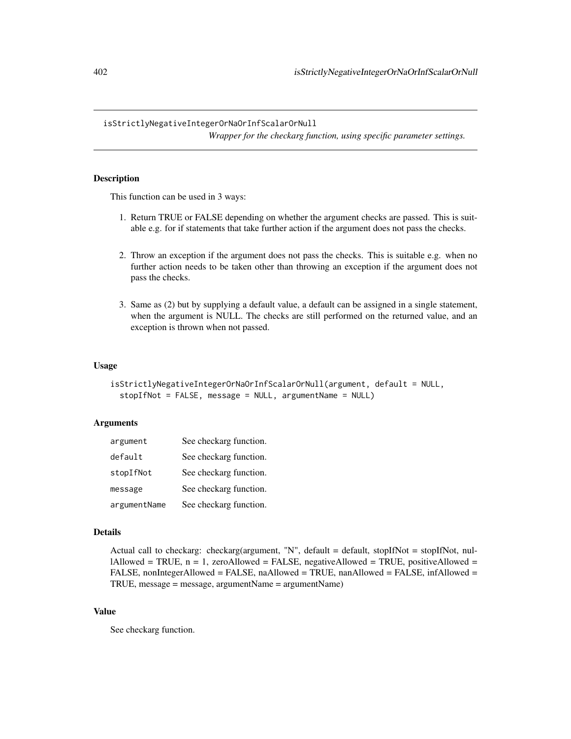isStrictlyNegativeIntegerOrNaOrInfScalarOrNull *Wrapper for the checkarg function, using specific parameter settings.*

#### Description

This function can be used in 3 ways:

- 1. Return TRUE or FALSE depending on whether the argument checks are passed. This is suitable e.g. for if statements that take further action if the argument does not pass the checks.
- 2. Throw an exception if the argument does not pass the checks. This is suitable e.g. when no further action needs to be taken other than throwing an exception if the argument does not pass the checks.
- 3. Same as (2) but by supplying a default value, a default can be assigned in a single statement, when the argument is NULL. The checks are still performed on the returned value, and an exception is thrown when not passed.

#### Usage

```
isStrictlyNegativeIntegerOrNaOrInfScalarOrNull(argument, default = NULL,
 stopIfNot = FALSE, message = NULL, argumentName = NULL)
```
# **Arguments**

| argument     | See checkarg function. |
|--------------|------------------------|
| default      | See checkarg function. |
| stopIfNot    | See checkarg function. |
| message      | See checkarg function. |
| argumentName | See checkarg function. |

#### Details

Actual call to checkarg: checkarg(argument, "N", default = default, stopIfNot = stopIfNot, nullAllowed = TRUE,  $n = 1$ , zeroAllowed = FALSE, negativeAllowed = TRUE, positiveAllowed = FALSE, nonIntegerAllowed = FALSE, naAllowed = TRUE, nanAllowed = FALSE, infAllowed = TRUE, message = message, argumentName = argumentName)

# Value

See checkarg function.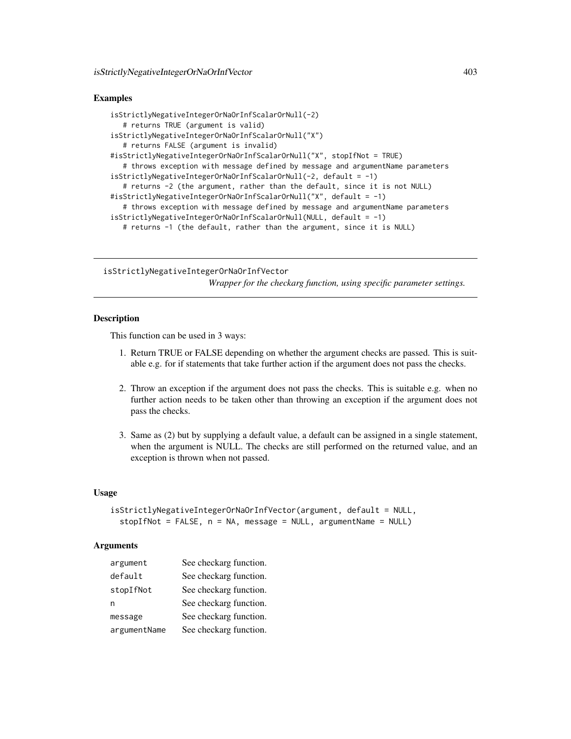# Examples

```
isStrictlyNegativeIntegerOrNaOrInfScalarOrNull(-2)
   # returns TRUE (argument is valid)
isStrictlyNegativeIntegerOrNaOrInfScalarOrNull("X")
   # returns FALSE (argument is invalid)
#isStrictlyNegativeIntegerOrNaOrInfScalarOrNull("X", stopIfNot = TRUE)
   # throws exception with message defined by message and argumentName parameters
isStrictlyNegativeIntegerOrNaOrInfScalarOrNull(-2, default = -1)
   # returns -2 (the argument, rather than the default, since it is not NULL)
#isStrictlyNegativeIntegerOrNaOrInfScalarOrNull("X", default = -1)
   # throws exception with message defined by message and argumentName parameters
isStrictlyNegativeIntegerOrNaOrInfScalarOrNull(NULL, default = -1)
   # returns -1 (the default, rather than the argument, since it is NULL)
```
isStrictlyNegativeIntegerOrNaOrInfVector

*Wrapper for the checkarg function, using specific parameter settings.*

# Description

This function can be used in 3 ways:

- 1. Return TRUE or FALSE depending on whether the argument checks are passed. This is suitable e.g. for if statements that take further action if the argument does not pass the checks.
- 2. Throw an exception if the argument does not pass the checks. This is suitable e.g. when no further action needs to be taken other than throwing an exception if the argument does not pass the checks.
- 3. Same as (2) but by supplying a default value, a default can be assigned in a single statement, when the argument is NULL. The checks are still performed on the returned value, and an exception is thrown when not passed.

# Usage

```
isStrictlyNegativeIntegerOrNaOrInfVector(argument, default = NULL,
 stopIfNot = FALSE, n = NA, message = NULL, argumentName = NULL)
```
## **Arguments**

| argument     | See checkarg function. |
|--------------|------------------------|
| default      | See checkarg function. |
| stopIfNot    | See checkarg function. |
| n            | See checkarg function. |
| message      | See checkarg function. |
| argumentName | See checkarg function. |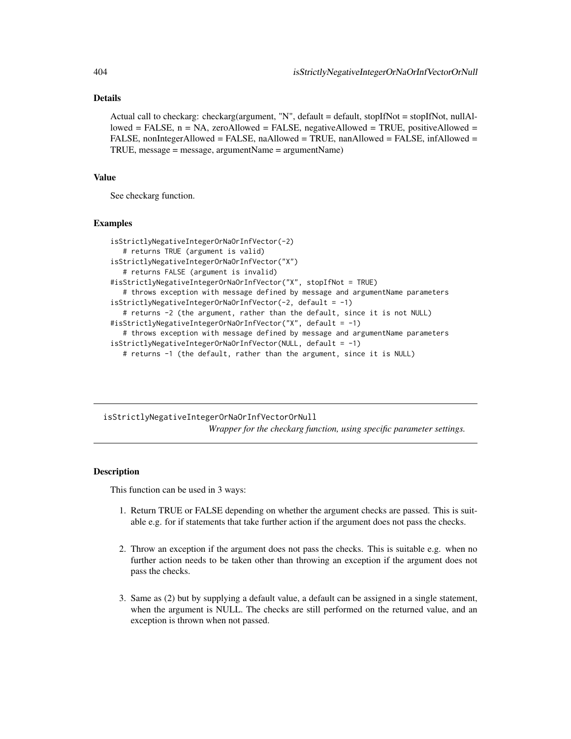# Details

Actual call to checkarg: checkarg(argument, "N", default = default, stopIfNot = stopIfNot, nullAllowed = FALSE, n = NA, zeroAllowed = FALSE, negativeAllowed = TRUE, positiveAllowed = FALSE, nonIntegerAllowed = FALSE, naAllowed = TRUE, nanAllowed = FALSE, infAllowed = TRUE, message = message, argumentName = argumentName)

## Value

See checkarg function.

#### Examples

```
isStrictlyNegativeIntegerOrNaOrInfVector(-2)
   # returns TRUE (argument is valid)
isStrictlyNegativeIntegerOrNaOrInfVector("X")
   # returns FALSE (argument is invalid)
#isStrictlyNegativeIntegerOrNaOrInfVector("X", stopIfNot = TRUE)
   # throws exception with message defined by message and argumentName parameters
isStrictlyNegativeIntegerOrNaOrInfVector(-2, default = -1)
   # returns -2 (the argument, rather than the default, since it is not NULL)
#isStrictlyNegativeIntegerOrNaOrInfVector("X", default = -1)
   # throws exception with message defined by message and argumentName parameters
isStrictlyNegativeIntegerOrNaOrInfVector(NULL, default = -1)
  # returns -1 (the default, rather than the argument, since it is NULL)
```
isStrictlyNegativeIntegerOrNaOrInfVectorOrNull *Wrapper for the checkarg function, using specific parameter settings.*

# **Description**

This function can be used in 3 ways:

- 1. Return TRUE or FALSE depending on whether the argument checks are passed. This is suitable e.g. for if statements that take further action if the argument does not pass the checks.
- 2. Throw an exception if the argument does not pass the checks. This is suitable e.g. when no further action needs to be taken other than throwing an exception if the argument does not pass the checks.
- 3. Same as (2) but by supplying a default value, a default can be assigned in a single statement, when the argument is NULL. The checks are still performed on the returned value, and an exception is thrown when not passed.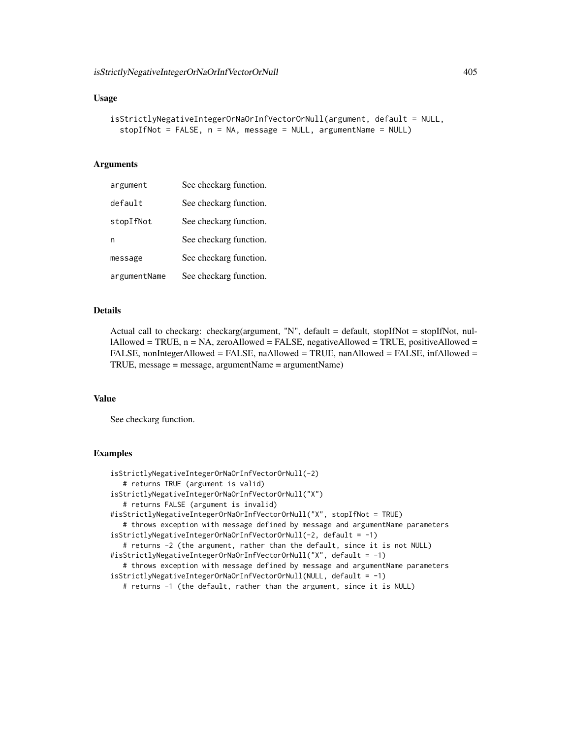```
isStrictlyNegativeIntegerOrNaOrInfVectorOrNull(argument, default = NULL,
  stopIfNot = FALSE, n = NA, message = NULL, argumentName = NULL)
```
# Arguments

| argument     | See checkarg function. |
|--------------|------------------------|
| default      | See checkarg function. |
| stopIfNot    | See checkarg function. |
| n            | See checkarg function. |
| message      | See checkarg function. |
| argumentName | See checkarg function. |

## Details

Actual call to checkarg: checkarg(argument, "N", default = default, stopIfNot = stopIfNot, nul- $1$ Allowed = TRUE,  $n = NA$ , zeroAllowed = FALSE, negativeAllowed = TRUE, positiveAllowed = FALSE, nonIntegerAllowed = FALSE, naAllowed = TRUE, nanAllowed = FALSE, infAllowed = TRUE, message = message, argumentName = argumentName)

#### Value

See checkarg function.

```
isStrictlyNegativeIntegerOrNaOrInfVectorOrNull(-2)
  # returns TRUE (argument is valid)
isStrictlyNegativeIntegerOrNaOrInfVectorOrNull("X")
   # returns FALSE (argument is invalid)
#isStrictlyNegativeIntegerOrNaOrInfVectorOrNull("X", stopIfNot = TRUE)
   # throws exception with message defined by message and argumentName parameters
isStrictlyNegativeIntegerOrNaOrInfVectorOrNull(-2, default = -1)
   # returns -2 (the argument, rather than the default, since it is not NULL)
#isStrictlyNegativeIntegerOrNaOrInfVectorOrNull("X", default = -1)
   # throws exception with message defined by message and argumentName parameters
isStrictlyNegativeIntegerOrNaOrInfVectorOrNull(NULL, default = -1)
   # returns -1 (the default, rather than the argument, since it is NULL)
```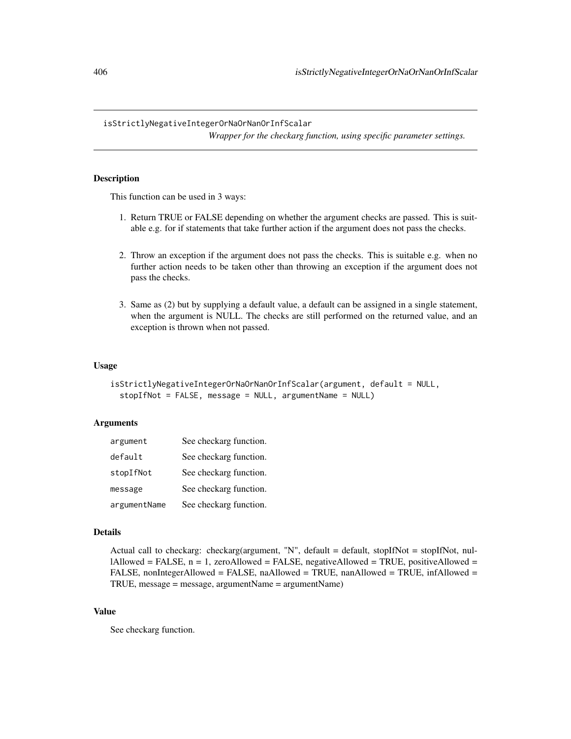isStrictlyNegativeIntegerOrNaOrNanOrInfScalar *Wrapper for the checkarg function, using specific parameter settings.*

# Description

This function can be used in 3 ways:

- 1. Return TRUE or FALSE depending on whether the argument checks are passed. This is suitable e.g. for if statements that take further action if the argument does not pass the checks.
- 2. Throw an exception if the argument does not pass the checks. This is suitable e.g. when no further action needs to be taken other than throwing an exception if the argument does not pass the checks.
- 3. Same as (2) but by supplying a default value, a default can be assigned in a single statement, when the argument is NULL. The checks are still performed on the returned value, and an exception is thrown when not passed.

#### Usage

```
isStrictlyNegativeIntegerOrNaOrNanOrInfScalar(argument, default = NULL,
 stopIfNot = FALSE, message = NULL, argumentName = NULL)
```
# **Arguments**

| argument     | See checkarg function. |
|--------------|------------------------|
| default      | See checkarg function. |
| stopIfNot    | See checkarg function. |
| message      | See checkarg function. |
| argumentName | See checkarg function. |

#### Details

```
Actual call to checkarg: checkarg(argument, "N", default = default, stopIfNot = stopIfNot, nul-
lAllowed = FALSE, n = 1, zeroAllowed = FALSE, negativeAllowed = TRUE, positiveAllowed =
FALSE, nonIntegerAllowed = FALSE, naAllowed = TRUE, nanAllowed = TRUE, infAllowed =
TRUE, message = message, argumentName = argumentName)
```
# Value

See checkarg function.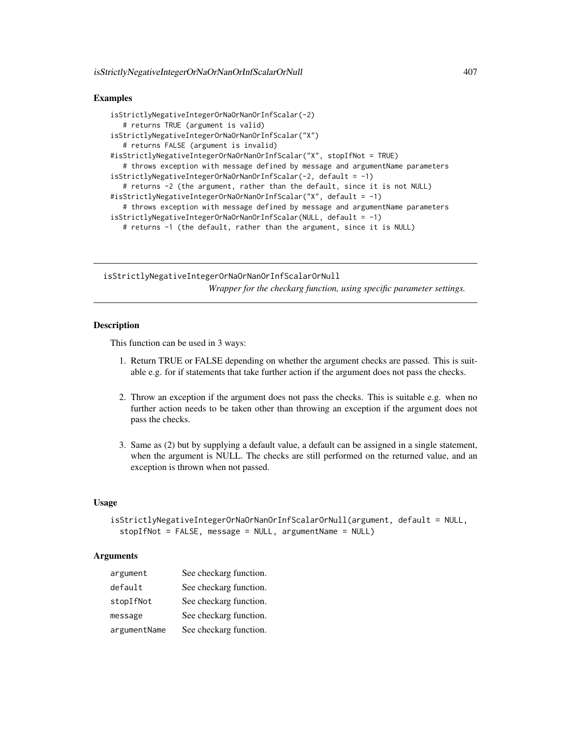# Examples

```
isStrictlyNegativeIntegerOrNaOrNanOrInfScalar(-2)
   # returns TRUE (argument is valid)
isStrictlyNegativeIntegerOrNaOrNanOrInfScalar("X")
   # returns FALSE (argument is invalid)
#isStrictlyNegativeIntegerOrNaOrNanOrInfScalar("X", stopIfNot = TRUE)
   # throws exception with message defined by message and argumentName parameters
isStrictlyNegativeIntegerOrNaOrNanOrInfScalar(-2, default = -1)
   # returns -2 (the argument, rather than the default, since it is not NULL)
#isStrictlyNegativeIntegerOrNaOrNanOrInfScalar("X", default = -1)
   # throws exception with message defined by message and argumentName parameters
isStrictlyNegativeIntegerOrNaOrNanOrInfScalar(NULL, default = -1)
   # returns -1 (the default, rather than the argument, since it is NULL)
```
isStrictlyNegativeIntegerOrNaOrNanOrInfScalarOrNull *Wrapper for the checkarg function, using specific parameter settings.*

# **Description**

This function can be used in 3 ways:

- 1. Return TRUE or FALSE depending on whether the argument checks are passed. This is suitable e.g. for if statements that take further action if the argument does not pass the checks.
- 2. Throw an exception if the argument does not pass the checks. This is suitable e.g. when no further action needs to be taken other than throwing an exception if the argument does not pass the checks.
- 3. Same as (2) but by supplying a default value, a default can be assigned in a single statement, when the argument is NULL. The checks are still performed on the returned value, and an exception is thrown when not passed.

# Usage

```
isStrictlyNegativeIntegerOrNaOrNanOrInfScalarOrNull(argument, default = NULL,
 stopIfNot = FALSE, message = NULL, argumentName = NULL)
```
# **Arguments**

| argument     | See checkarg function. |
|--------------|------------------------|
| default      | See checkarg function. |
| stopIfNot    | See checkarg function. |
| message      | See checkarg function. |
| argumentName | See checkarg function. |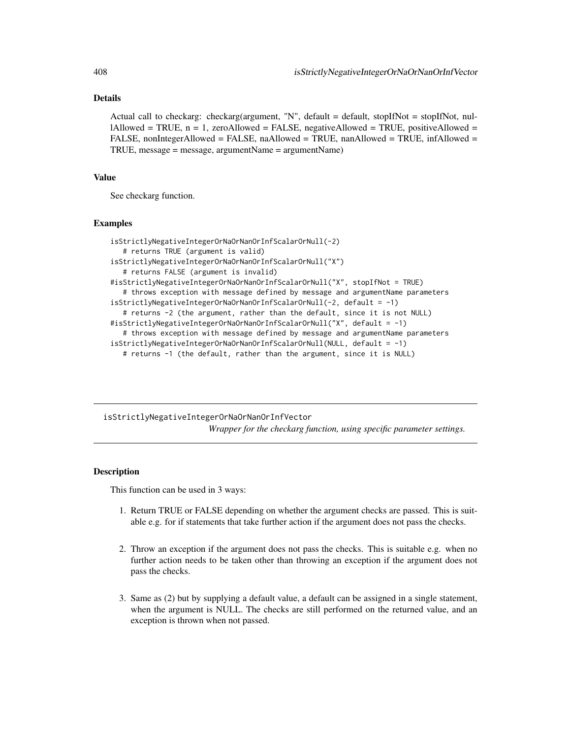# Details

Actual call to checkarg: checkarg(argument, "N", default = default, stopIfNot = stopIfNot, nul- $1$ Allowed = TRUE,  $n = 1$ , zeroAllowed = FALSE, negativeAllowed = TRUE, positiveAllowed = FALSE, nonIntegerAllowed = FALSE, naAllowed = TRUE, nanAllowed = TRUE, infAllowed = TRUE, message = message, argumentName = argumentName)

## Value

See checkarg function.

#### Examples

```
isStrictlyNegativeIntegerOrNaOrNanOrInfScalarOrNull(-2)
   # returns TRUE (argument is valid)
isStrictlyNegativeIntegerOrNaOrNanOrInfScalarOrNull("X")
   # returns FALSE (argument is invalid)
#isStrictlyNegativeIntegerOrNaOrNanOrInfScalarOrNull("X", stopIfNot = TRUE)
   # throws exception with message defined by message and argumentName parameters
isStrictlyNegativeIntegerOrNaOrNanOrInfScalarOrNull(-2, default = -1)
   # returns -2 (the argument, rather than the default, since it is not NULL)
#isStrictlyNegativeIntegerOrNaOrNanOrInfScalarOrNull("X", default = -1)
   # throws exception with message defined by message and argumentName parameters
isStrictlyNegativeIntegerOrNaOrNanOrInfScalarOrNull(NULL, default = -1)
  # returns -1 (the default, rather than the argument, since it is NULL)
```
isStrictlyNegativeIntegerOrNaOrNanOrInfVector *Wrapper for the checkarg function, using specific parameter settings.*

# **Description**

This function can be used in 3 ways:

- 1. Return TRUE or FALSE depending on whether the argument checks are passed. This is suitable e.g. for if statements that take further action if the argument does not pass the checks.
- 2. Throw an exception if the argument does not pass the checks. This is suitable e.g. when no further action needs to be taken other than throwing an exception if the argument does not pass the checks.
- 3. Same as (2) but by supplying a default value, a default can be assigned in a single statement, when the argument is NULL. The checks are still performed on the returned value, and an exception is thrown when not passed.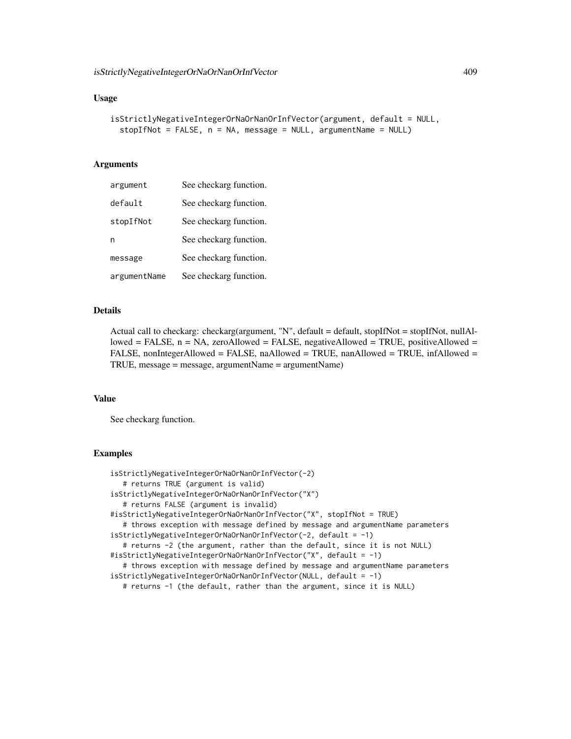```
isStrictlyNegativeIntegerOrNaOrNanOrInfVector(argument, default = NULL,
  stopIfNot = FALSE, n = NA, message = NULL, argumentName = NULL)
```
# Arguments

| argument     | See checkarg function. |
|--------------|------------------------|
| default      | See checkarg function. |
| stopIfNot    | See checkarg function. |
| n            | See checkarg function. |
| message      | See checkarg function. |
| argumentName | See checkarg function. |

## Details

Actual call to checkarg: checkarg(argument, "N", default = default, stopIfNot = stopIfNot, nullAllowed = FALSE,  $n = NA$ , zeroAllowed = FALSE, negativeAllowed = TRUE, positiveAllowed = FALSE, nonIntegerAllowed = FALSE, naAllowed = TRUE, nanAllowed = TRUE, infAllowed = TRUE, message = message, argumentName = argumentName)

#### Value

See checkarg function.

```
isStrictlyNegativeIntegerOrNaOrNanOrInfVector(-2)
  # returns TRUE (argument is valid)
isStrictlyNegativeIntegerOrNaOrNanOrInfVector("X")
   # returns FALSE (argument is invalid)
#isStrictlyNegativeIntegerOrNaOrNanOrInfVector("X", stopIfNot = TRUE)
   # throws exception with message defined by message and argumentName parameters
isStrictlyNegativeIntegerOrNaOrNanOrInfVector(-2, default = -1)
   # returns -2 (the argument, rather than the default, since it is not NULL)
#isStrictlyNegativeIntegerOrNaOrNanOrInfVector("X", default = -1)
   # throws exception with message defined by message and argumentName parameters
isStrictlyNegativeIntegerOrNaOrNanOrInfVector(NULL, default = -1)
   # returns -1 (the default, rather than the argument, since it is NULL)
```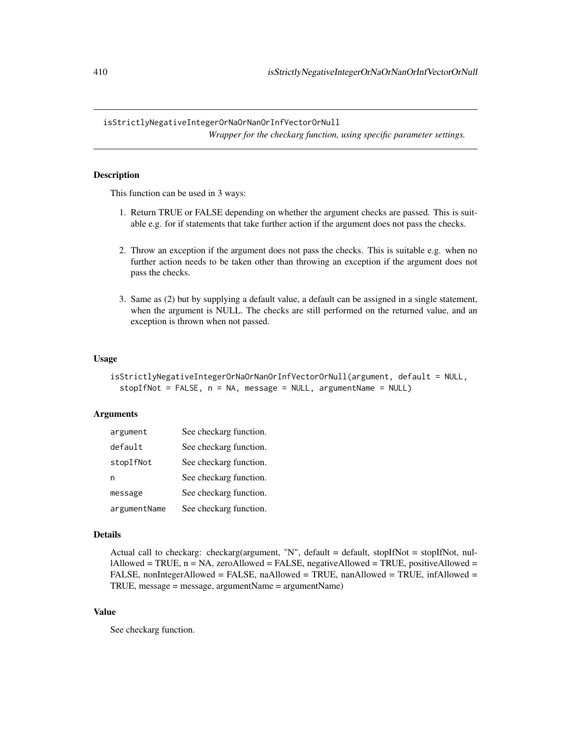isStrictlyNegativeIntegerOrNaOrNanOrInfVectorOrNull

*Wrapper for the checkarg function, using specific parameter settings.*

# **Description**

This function can be used in 3 ways:

- 1. Return TRUE or FALSE depending on whether the argument checks are passed. This is suitable e.g. for if statements that take further action if the argument does not pass the checks.
- 2. Throw an exception if the argument does not pass the checks. This is suitable e.g. when no further action needs to be taken other than throwing an exception if the argument does not pass the checks.
- 3. Same as (2) but by supplying a default value, a default can be assigned in a single statement, when the argument is NULL. The checks are still performed on the returned value, and an exception is thrown when not passed.

## Usage

```
isStrictlyNegativeIntegerOrNaOrNanOrInfVectorOrNull(argument, default = NULL,
 stopIfNot = FALSE, n = NA, message = NULL, argumentName = NULL)
```
# Arguments

| argument     | See checkarg function. |
|--------------|------------------------|
| default      | See checkarg function. |
| stopIfNot    | See checkarg function. |
| n            | See checkarg function. |
| message      | See checkarg function. |
| argumentName | See checkarg function. |

#### Details

Actual call to checkarg: checkarg(argument, "N", default = default, stopIfNot = stopIfNot, nullAllowed = TRUE,  $n = NA$ , zeroAllowed = FALSE, negativeAllowed = TRUE, positiveAllowed = FALSE, nonIntegerAllowed = FALSE, naAllowed = TRUE, nanAllowed = TRUE, infAllowed = TRUE, message = message, argumentName = argumentName)

# Value

See checkarg function.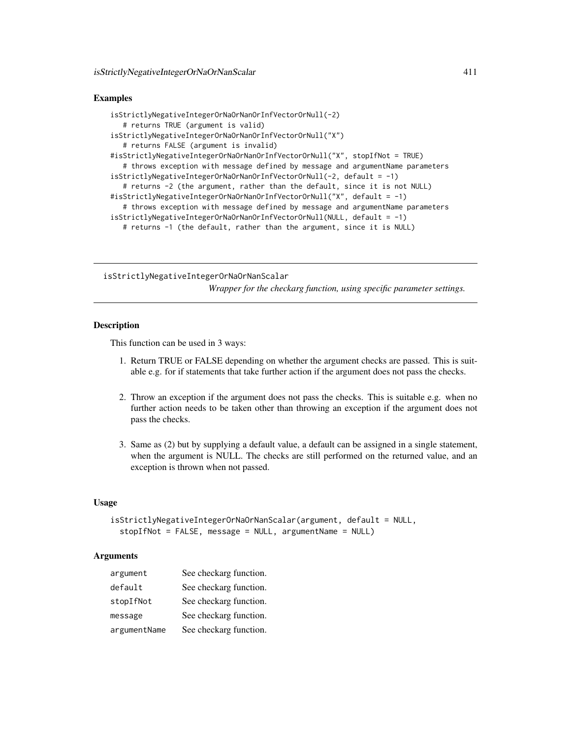# Examples

```
isStrictlyNegativeIntegerOrNaOrNanOrInfVectorOrNull(-2)
   # returns TRUE (argument is valid)
isStrictlyNegativeIntegerOrNaOrNanOrInfVectorOrNull("X")
   # returns FALSE (argument is invalid)
#isStrictlyNegativeIntegerOrNaOrNanOrInfVectorOrNull("X", stopIfNot = TRUE)
   # throws exception with message defined by message and argumentName parameters
isStrictlyNegativeIntegerOrNaOrNanOrInfVectorOrNull(-2, default = -1)
   # returns -2 (the argument, rather than the default, since it is not NULL)
#isStrictlyNegativeIntegerOrNaOrNanOrInfVectorOrNull("X", default = -1)
   # throws exception with message defined by message and argumentName parameters
isStrictlyNegativeIntegerOrNaOrNanOrInfVectorOrNull(NULL, default = -1)
   # returns -1 (the default, rather than the argument, since it is NULL)
```
isStrictlyNegativeIntegerOrNaOrNanScalar *Wrapper for the checkarg function, using specific parameter settings.*

## **Description**

This function can be used in 3 ways:

- 1. Return TRUE or FALSE depending on whether the argument checks are passed. This is suitable e.g. for if statements that take further action if the argument does not pass the checks.
- 2. Throw an exception if the argument does not pass the checks. This is suitable e.g. when no further action needs to be taken other than throwing an exception if the argument does not pass the checks.
- 3. Same as (2) but by supplying a default value, a default can be assigned in a single statement, when the argument is NULL. The checks are still performed on the returned value, and an exception is thrown when not passed.

# Usage

```
isStrictlyNegativeIntegerOrNaOrNanScalar(argument, default = NULL,
 stopIfNot = FALSE, message = NULL, argumentName = NULL)
```
# **Arguments**

| argument     | See checkarg function. |
|--------------|------------------------|
| default      | See checkarg function. |
| stopIfNot    | See checkarg function. |
| message      | See checkarg function. |
| argumentName | See checkarg function. |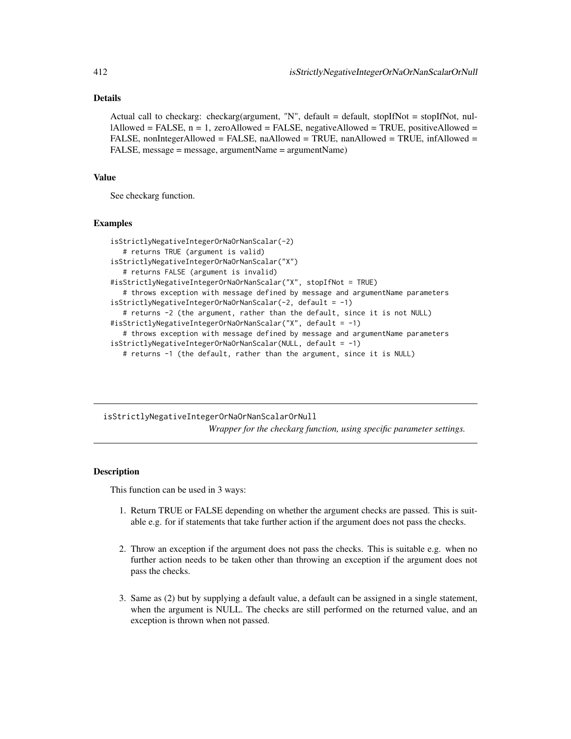# Details

Actual call to checkarg: checkarg(argument, "N", default = default, stopIfNot = stopIfNot, nul- $1$ Allowed = FALSE,  $n = 1$ , zeroAllowed = FALSE, negativeAllowed = TRUE, positiveAllowed = FALSE, nonIntegerAllowed = FALSE, naAllowed = TRUE, nanAllowed = TRUE, infAllowed = FALSE, message = message, argumentName = argumentName)

#### Value

See checkarg function.

#### Examples

```
isStrictlyNegativeIntegerOrNaOrNanScalar(-2)
   # returns TRUE (argument is valid)
isStrictlyNegativeIntegerOrNaOrNanScalar("X")
   # returns FALSE (argument is invalid)
#isStrictlyNegativeIntegerOrNaOrNanScalar("X", stopIfNot = TRUE)
   # throws exception with message defined by message and argumentName parameters
isStrictlyNegativeIntegerOrNaOrNanScalar(-2, default = -1)
   # returns -2 (the argument, rather than the default, since it is not NULL)
#isStrictlyNegativeIntegerOrNaOrNanScalar("X", default = -1)
   # throws exception with message defined by message and argumentName parameters
isStrictlyNegativeIntegerOrNaOrNanScalar(NULL, default = -1)
  # returns -1 (the default, rather than the argument, since it is NULL)
```
isStrictlyNegativeIntegerOrNaOrNanScalarOrNull *Wrapper for the checkarg function, using specific parameter settings.*

# **Description**

This function can be used in 3 ways:

- 1. Return TRUE or FALSE depending on whether the argument checks are passed. This is suitable e.g. for if statements that take further action if the argument does not pass the checks.
- 2. Throw an exception if the argument does not pass the checks. This is suitable e.g. when no further action needs to be taken other than throwing an exception if the argument does not pass the checks.
- 3. Same as (2) but by supplying a default value, a default can be assigned in a single statement, when the argument is NULL. The checks are still performed on the returned value, and an exception is thrown when not passed.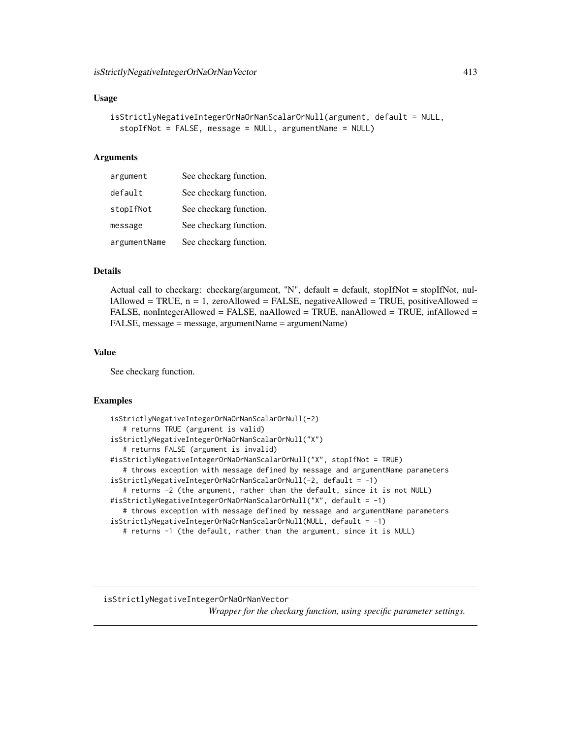```
isStrictlyNegativeIntegerOrNaOrNanScalarOrNull(argument, default = NULL,
  stopIfNot = FALSE, message = NULL, argumentName = NULL)
```
#### Arguments

| argument     | See checkarg function. |
|--------------|------------------------|
| default      | See checkarg function. |
| stopIfNot    | See checkarg function. |
| message      | See checkarg function. |
| argumentName | See checkarg function. |

# Details

Actual call to checkarg: checkarg(argument, "N", default = default, stopIfNot = stopIfNot, nullAllowed = TRUE,  $n = 1$ , zeroAllowed = FALSE, negativeAllowed = TRUE, positiveAllowed = FALSE, nonIntegerAllowed = FALSE, naAllowed = TRUE, nanAllowed = TRUE, infAllowed = FALSE, message = message, argumentName = argumentName)

# Value

See checkarg function.

# Examples

```
isStrictlyNegativeIntegerOrNaOrNanScalarOrNull(-2)
   # returns TRUE (argument is valid)
isStrictlyNegativeIntegerOrNaOrNanScalarOrNull("X")
   # returns FALSE (argument is invalid)
#isStrictlyNegativeIntegerOrNaOrNanScalarOrNull("X", stopIfNot = TRUE)
   # throws exception with message defined by message and argumentName parameters
isStrictlyNegativeIntegerOrNaOrNanScalarOrNull(-2, default = -1)
   # returns -2 (the argument, rather than the default, since it is not NULL)
#isStrictlyNegativeIntegerOrNaOrNanScalarOrNull("X", default = -1)
   # throws exception with message defined by message and argumentName parameters
isStrictlyNegativeIntegerOrNaOrNanScalarOrNull(NULL, default = -1)
  # returns -1 (the default, rather than the argument, since it is NULL)
```
isStrictlyNegativeIntegerOrNaOrNanVector

*Wrapper for the checkarg function, using specific parameter settings.*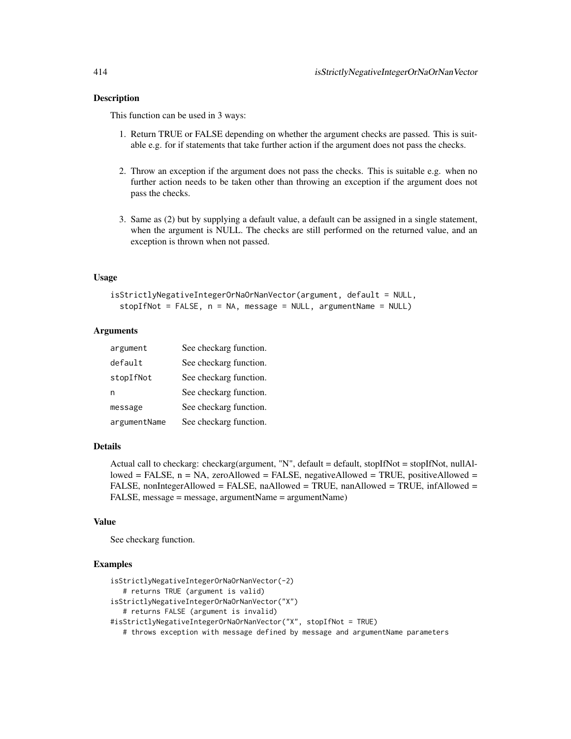## Description

This function can be used in 3 ways:

- 1. Return TRUE or FALSE depending on whether the argument checks are passed. This is suitable e.g. for if statements that take further action if the argument does not pass the checks.
- 2. Throw an exception if the argument does not pass the checks. This is suitable e.g. when no further action needs to be taken other than throwing an exception if the argument does not pass the checks.
- 3. Same as (2) but by supplying a default value, a default can be assigned in a single statement, when the argument is NULL. The checks are still performed on the returned value, and an exception is thrown when not passed.

## Usage

```
isStrictlyNegativeIntegerOrNaOrNanVector(argument, default = NULL,
 stopIfNot = FALSE, n = NA, message = NULL, argumentName = NULL)
```
# **Arguments**

| argument     | See checkarg function. |
|--------------|------------------------|
| default      | See checkarg function. |
| stopIfNot    | See checkarg function. |
| n            | See checkarg function. |
| message      | See checkarg function. |
| argumentName | See checkarg function. |

# Details

Actual call to checkarg: checkarg(argument, "N", default = default, stopIfNot = stopIfNot, nullAllowed = FALSE,  $n = NA$ , zeroAllowed = FALSE, negativeAllowed = TRUE, positiveAllowed = FALSE, nonIntegerAllowed = FALSE, naAllowed = TRUE, nanAllowed = TRUE, infAllowed = FALSE, message = message, argumentName = argumentName)

## Value

See checkarg function.

```
isStrictlyNegativeIntegerOrNaOrNanVector(-2)
  # returns TRUE (argument is valid)
isStrictlyNegativeIntegerOrNaOrNanVector("X")
  # returns FALSE (argument is invalid)
#isStrictlyNegativeIntegerOrNaOrNanVector("X", stopIfNot = TRUE)
  # throws exception with message defined by message and argumentName parameters
```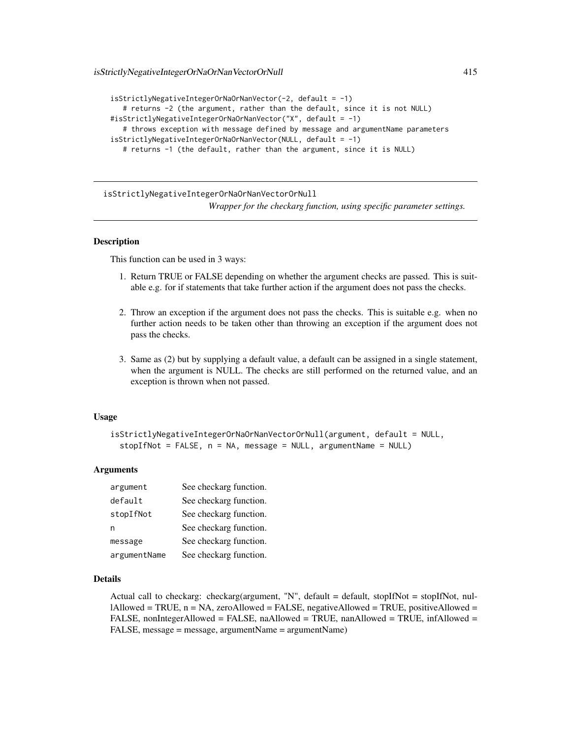```
isStrictlyNegativeIntegerOrNaOrNanVector(-2, default = -1)
   # returns -2 (the argument, rather than the default, since it is not NULL)
#isStrictlyNegativeIntegerOrNaOrNanVector("X", default = -1)
   # throws exception with message defined by message and argumentName parameters
isStrictlyNegativeIntegerOrNaOrNanVector(NULL, default = -1)
   # returns -1 (the default, rather than the argument, since it is NULL)
```
isStrictlyNegativeIntegerOrNaOrNanVectorOrNull *Wrapper for the checkarg function, using specific parameter settings.*

# Description

This function can be used in 3 ways:

- 1. Return TRUE or FALSE depending on whether the argument checks are passed. This is suitable e.g. for if statements that take further action if the argument does not pass the checks.
- 2. Throw an exception if the argument does not pass the checks. This is suitable e.g. when no further action needs to be taken other than throwing an exception if the argument does not pass the checks.
- 3. Same as (2) but by supplying a default value, a default can be assigned in a single statement, when the argument is NULL. The checks are still performed on the returned value, and an exception is thrown when not passed.

## Usage

```
isStrictlyNegativeIntegerOrNaOrNanVectorOrNull(argument, default = NULL,
  stopIfNot = FALSE, n = NA, message = NULL, argumentName = NULL)
```
## **Arguments**

| argument     | See checkarg function. |
|--------------|------------------------|
| default      | See checkarg function. |
| stopIfNot    | See checkarg function. |
| n            | See checkarg function. |
| message      | See checkarg function. |
| argumentName | See checkarg function. |

#### Details

Actual call to checkarg: checkarg(argument, "N", default = default, stopIfNot = stopIfNot, nullAllowed = TRUE,  $n = NA$ , zeroAllowed = FALSE, negativeAllowed = TRUE, positiveAllowed = FALSE, nonIntegerAllowed = FALSE, naAllowed = TRUE, nanAllowed = TRUE, infAllowed = FALSE, message = message, argumentName = argumentName)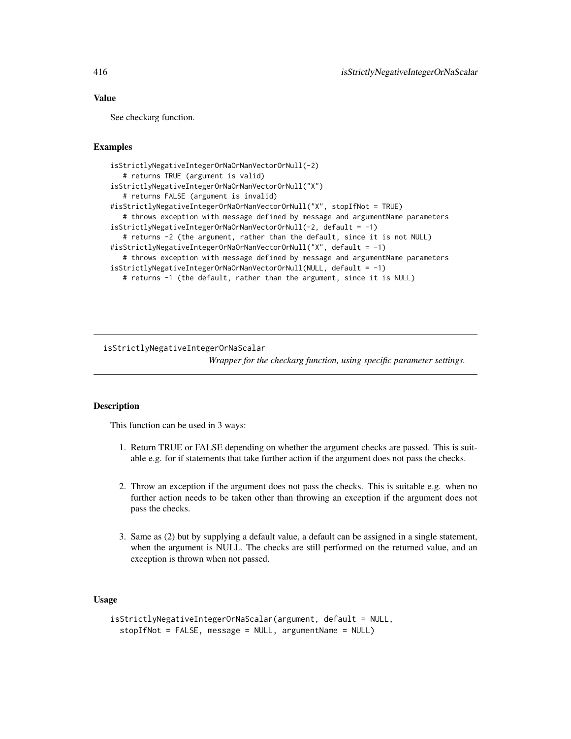# Value

See checkarg function.

# Examples

```
isStrictlyNegativeIntegerOrNaOrNanVectorOrNull(-2)
  # returns TRUE (argument is valid)
isStrictlyNegativeIntegerOrNaOrNanVectorOrNull("X")
  # returns FALSE (argument is invalid)
#isStrictlyNegativeIntegerOrNaOrNanVectorOrNull("X", stopIfNot = TRUE)
  # throws exception with message defined by message and argumentName parameters
isStrictlyNegativeIntegerOrNaOrNanVectorOrNull(-2, default = -1)
  # returns -2 (the argument, rather than the default, since it is not NULL)
#isStrictlyNegativeIntegerOrNaOrNanVectorOrNull("X", default = -1)
  # throws exception with message defined by message and argumentName parameters
isStrictlyNegativeIntegerOrNaOrNanVectorOrNull(NULL, default = -1)
  # returns -1 (the default, rather than the argument, since it is NULL)
```
isStrictlyNegativeIntegerOrNaScalar

*Wrapper for the checkarg function, using specific parameter settings.*

# **Description**

This function can be used in 3 ways:

- 1. Return TRUE or FALSE depending on whether the argument checks are passed. This is suitable e.g. for if statements that take further action if the argument does not pass the checks.
- 2. Throw an exception if the argument does not pass the checks. This is suitable e.g. when no further action needs to be taken other than throwing an exception if the argument does not pass the checks.
- 3. Same as (2) but by supplying a default value, a default can be assigned in a single statement, when the argument is NULL. The checks are still performed on the returned value, and an exception is thrown when not passed.

# Usage

```
isStrictlyNegativeIntegerOrNaScalar(argument, default = NULL,
 stopIfNot = FALSE, message = NULL, argumentName = NULL)
```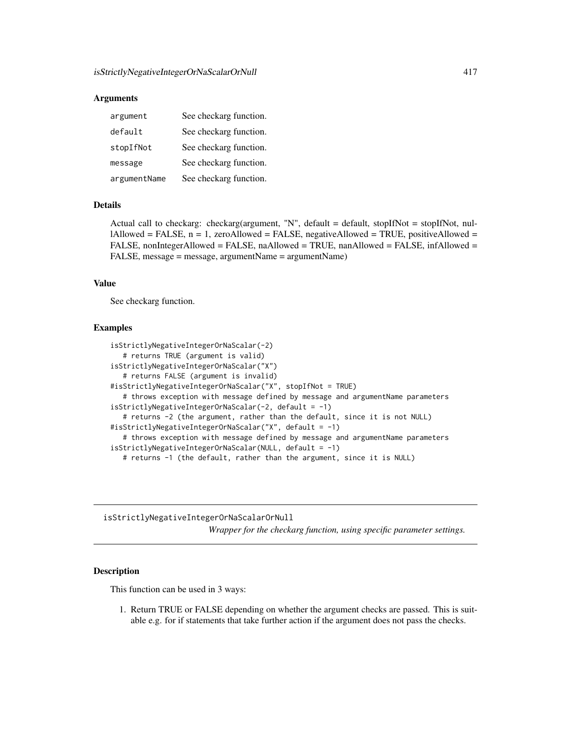## **Arguments**

| argument     | See checkarg function. |
|--------------|------------------------|
| default      | See checkarg function. |
| stopIfNot    | See checkarg function. |
| message      | See checkarg function. |
| argumentName | See checkarg function. |

# Details

Actual call to checkarg: checkarg(argument, "N", default = default, stopIfNot = stopIfNot, nullAllowed = FALSE,  $n = 1$ , zeroAllowed = FALSE, negativeAllowed = TRUE, positiveAllowed = FALSE, nonIntegerAllowed = FALSE, naAllowed = TRUE, nanAllowed = FALSE, infAllowed = FALSE, message = message, argumentName = argumentName)

# Value

See checkarg function.

# Examples

```
isStrictlyNegativeIntegerOrNaScalar(-2)
  # returns TRUE (argument is valid)
isStrictlyNegativeIntegerOrNaScalar("X")
   # returns FALSE (argument is invalid)
#isStrictlyNegativeIntegerOrNaScalar("X", stopIfNot = TRUE)
   # throws exception with message defined by message and argumentName parameters
isStrictlyNegativeIntegerOrNaScalar(-2, default = -1)
   # returns -2 (the argument, rather than the default, since it is not NULL)
#isStrictlyNegativeIntegerOrNaScalar("X", default = -1)
   # throws exception with message defined by message and argumentName parameters
isStrictlyNegativeIntegerOrNaScalar(NULL, default = -1)
   # returns -1 (the default, rather than the argument, since it is NULL)
```
isStrictlyNegativeIntegerOrNaScalarOrNull *Wrapper for the checkarg function, using specific parameter settings.*

#### **Description**

This function can be used in 3 ways:

1. Return TRUE or FALSE depending on whether the argument checks are passed. This is suitable e.g. for if statements that take further action if the argument does not pass the checks.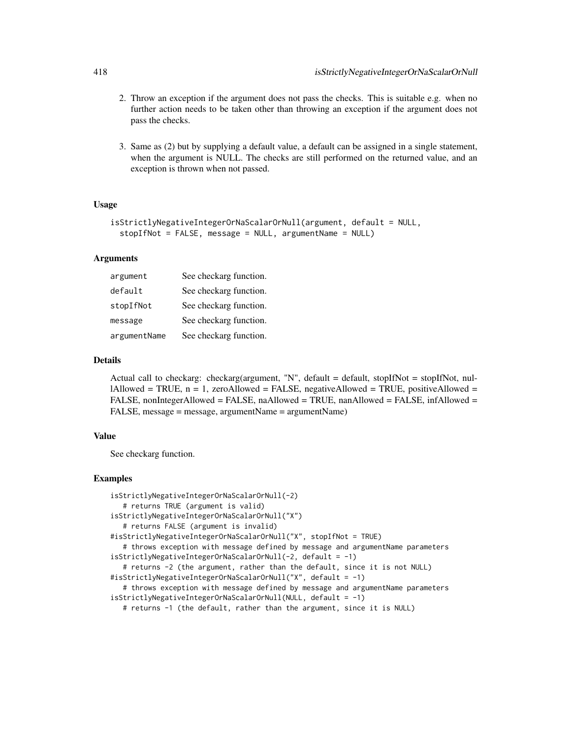- 2. Throw an exception if the argument does not pass the checks. This is suitable e.g. when no further action needs to be taken other than throwing an exception if the argument does not pass the checks.
- 3. Same as (2) but by supplying a default value, a default can be assigned in a single statement, when the argument is NULL. The checks are still performed on the returned value, and an exception is thrown when not passed.

```
isStrictlyNegativeIntegerOrNaScalarOrNull(argument, default = NULL,
  stopIfNot = FALSE, message = NULL, argumentName = NULL)
```
## Arguments

| argument     | See checkarg function. |
|--------------|------------------------|
| default      | See checkarg function. |
| stopIfNot    | See checkarg function. |
| message      | See checkarg function. |
| argumentName | See checkarg function. |

# Details

Actual call to checkarg: checkarg(argument, "N", default = default, stopIfNot = stopIfNot, nullAllowed = TRUE,  $n = 1$ , zeroAllowed = FALSE, negativeAllowed = TRUE, positiveAllowed = FALSE, nonIntegerAllowed = FALSE, naAllowed = TRUE, nanAllowed = FALSE, infAllowed = FALSE, message = message, argumentName = argumentName)

# Value

See checkarg function.

```
isStrictlyNegativeIntegerOrNaScalarOrNull(-2)
   # returns TRUE (argument is valid)
isStrictlyNegativeIntegerOrNaScalarOrNull("X")
   # returns FALSE (argument is invalid)
#isStrictlyNegativeIntegerOrNaScalarOrNull("X", stopIfNot = TRUE)
   # throws exception with message defined by message and argumentName parameters
isStrictlyNegativeIntegerOrNaScalarOrNull(-2, default = -1)
   # returns -2 (the argument, rather than the default, since it is not NULL)
#isStrictlyNegativeIntegerOrNaScalarOrNull("X", default = -1)
   # throws exception with message defined by message and argumentName parameters
isStrictlyNegativeIntegerOrNaScalarOrNull(NULL, default = -1)
   # returns -1 (the default, rather than the argument, since it is NULL)
```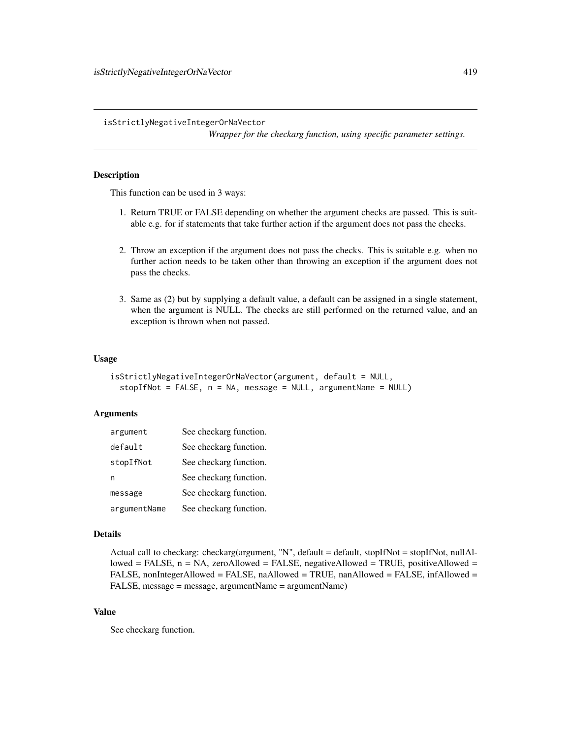isStrictlyNegativeIntegerOrNaVector

*Wrapper for the checkarg function, using specific parameter settings.*

# Description

This function can be used in 3 ways:

- 1. Return TRUE or FALSE depending on whether the argument checks are passed. This is suitable e.g. for if statements that take further action if the argument does not pass the checks.
- 2. Throw an exception if the argument does not pass the checks. This is suitable e.g. when no further action needs to be taken other than throwing an exception if the argument does not pass the checks.
- 3. Same as (2) but by supplying a default value, a default can be assigned in a single statement, when the argument is NULL. The checks are still performed on the returned value, and an exception is thrown when not passed.

# Usage

```
isStrictlyNegativeIntegerOrNaVector(argument, default = NULL,
 stopIfNot = FALSE, n = NA, message = NULL, argumentName = NULL)
```
## **Arguments**

| argument     | See checkarg function. |
|--------------|------------------------|
| default      | See checkarg function. |
| stopIfNot    | See checkarg function. |
| n            | See checkarg function. |
| message      | See checkarg function. |
| argumentName | See checkarg function. |

#### Details

```
Actual call to checkarg: checkarg(argument, "N", default = default, stopIfNot = stopIfNot, nullAl-
lowed = FALSE, n = NA, zeroAllowed = FALSE, negativeAllowed = TRUE, positiveAllowed =
FALSE, nonIntegerAllowed = FALSE, naAllowed = TRUE, nanAllowed = FALSE, infAllowed =
FALSE, message = message, argumentName = argumentName)
```
# Value

See checkarg function.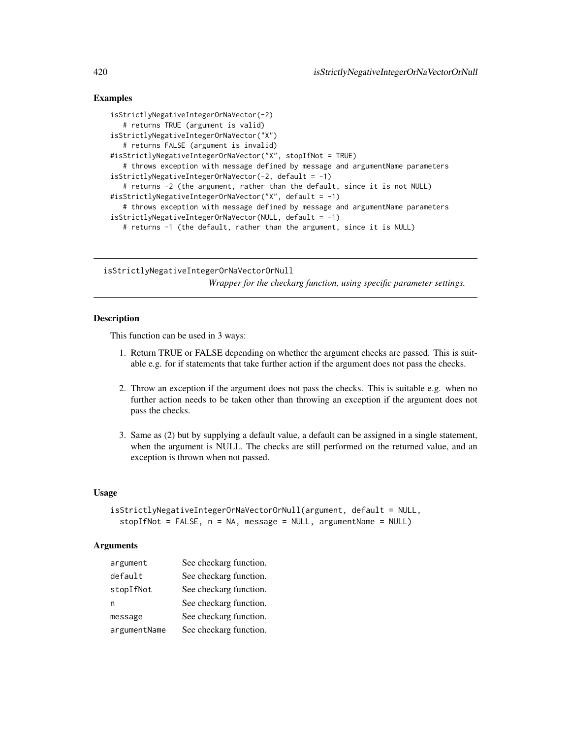# Examples

```
isStrictlyNegativeIntegerOrNaVector(-2)
   # returns TRUE (argument is valid)
isStrictlyNegativeIntegerOrNaVector("X")
   # returns FALSE (argument is invalid)
#isStrictlyNegativeIntegerOrNaVector("X", stopIfNot = TRUE)
   # throws exception with message defined by message and argumentName parameters
isStrictlyNegativeIntegerOrNaVector(-2, default = -1)
   # returns -2 (the argument, rather than the default, since it is not NULL)
#isStrictlyNegativeIntegerOrNaVector("X", default = -1)
   # throws exception with message defined by message and argumentName parameters
isStrictlyNegativeIntegerOrNaVector(NULL, default = -1)
  # returns -1 (the default, rather than the argument, since it is NULL)
```
isStrictlyNegativeIntegerOrNaVectorOrNull

*Wrapper for the checkarg function, using specific parameter settings.*

# Description

This function can be used in 3 ways:

- 1. Return TRUE or FALSE depending on whether the argument checks are passed. This is suitable e.g. for if statements that take further action if the argument does not pass the checks.
- 2. Throw an exception if the argument does not pass the checks. This is suitable e.g. when no further action needs to be taken other than throwing an exception if the argument does not pass the checks.
- 3. Same as (2) but by supplying a default value, a default can be assigned in a single statement, when the argument is NULL. The checks are still performed on the returned value, and an exception is thrown when not passed.

# Usage

```
isStrictlyNegativeIntegerOrNaVectorOrNull(argument, default = NULL,
  stopIfNot = FALSE, n = NA, message = NULL, argumentName = NULL)
```
## **Arguments**

| argument     | See checkarg function. |
|--------------|------------------------|
| default      | See checkarg function. |
| stopIfNot    | See checkarg function. |
| n            | See checkarg function. |
| message      | See checkarg function. |
| argumentName | See checkarg function. |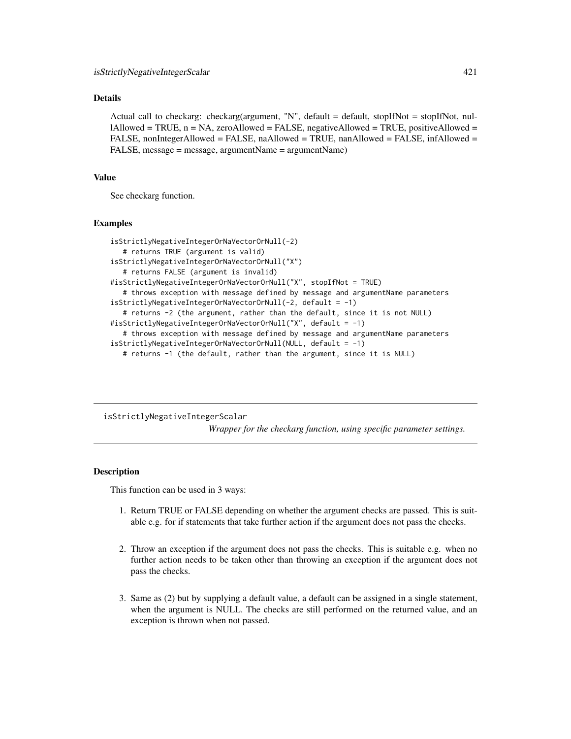## Details

Actual call to checkarg: checkarg(argument, "N", default = default, stopIfNot = stopIfNot, nul- $1$ Allowed = TRUE, n = NA, zeroAllowed = FALSE, negativeAllowed = TRUE, positiveAllowed = FALSE, nonIntegerAllowed = FALSE, naAllowed = TRUE, nanAllowed = FALSE, infAllowed = FALSE, message = message, argumentName = argumentName)

## Value

See checkarg function.

#### Examples

```
isStrictlyNegativeIntegerOrNaVectorOrNull(-2)
   # returns TRUE (argument is valid)
isStrictlyNegativeIntegerOrNaVectorOrNull("X")
   # returns FALSE (argument is invalid)
#isStrictlyNegativeIntegerOrNaVectorOrNull("X", stopIfNot = TRUE)
   # throws exception with message defined by message and argumentName parameters
isStrictlyNegativeIntegerOrNaVectorOrNull(-2, default = -1)
   # returns -2 (the argument, rather than the default, since it is not NULL)
#isStrictlyNegativeIntegerOrNaVectorOrNull("X", default = -1)
   # throws exception with message defined by message and argumentName parameters
isStrictlyNegativeIntegerOrNaVectorOrNull(NULL, default = -1)
  # returns -1 (the default, rather than the argument, since it is NULL)
```
isStrictlyNegativeIntegerScalar *Wrapper for the checkarg function, using specific parameter settings.*

## Description

This function can be used in 3 ways:

- 1. Return TRUE or FALSE depending on whether the argument checks are passed. This is suitable e.g. for if statements that take further action if the argument does not pass the checks.
- 2. Throw an exception if the argument does not pass the checks. This is suitable e.g. when no further action needs to be taken other than throwing an exception if the argument does not pass the checks.
- 3. Same as (2) but by supplying a default value, a default can be assigned in a single statement, when the argument is NULL. The checks are still performed on the returned value, and an exception is thrown when not passed.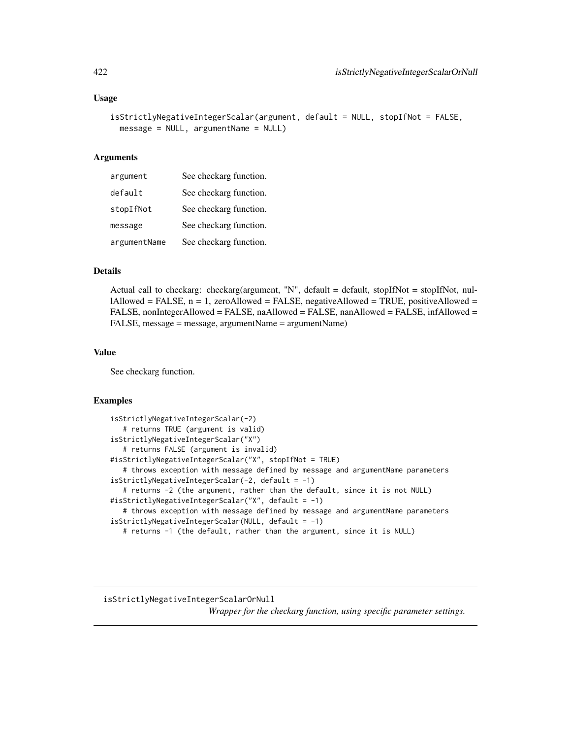```
isStrictlyNegativeIntegerScalar(argument, default = NULL, stopIfNot = FALSE,
 message = NULL, argumentName = NULL)
```
## Arguments

| argument     | See checkarg function. |
|--------------|------------------------|
| default      | See checkarg function. |
| stopIfNot    | See checkarg function. |
| message      | See checkarg function. |
| argumentName | See checkarg function. |

# Details

Actual call to checkarg: checkarg(argument, "N", default = default, stopIfNot = stopIfNot, nullAllowed = FALSE,  $n = 1$ , zeroAllowed = FALSE, negativeAllowed = TRUE, positiveAllowed = FALSE, nonIntegerAllowed = FALSE, naAllowed = FALSE, nanAllowed = FALSE, infAllowed = FALSE, message = message, argumentName = argumentName)

## Value

See checkarg function.

# Examples

```
isStrictlyNegativeIntegerScalar(-2)
   # returns TRUE (argument is valid)
isStrictlyNegativeIntegerScalar("X")
   # returns FALSE (argument is invalid)
#isStrictlyNegativeIntegerScalar("X", stopIfNot = TRUE)
   # throws exception with message defined by message and argumentName parameters
isStrictlyNegativeIntegerScalar(-2, default = -1)
   # returns -2 (the argument, rather than the default, since it is not NULL)
#isStrictlyNegativeIntegerScalar("X", default = -1)
  # throws exception with message defined by message and argumentName parameters
isStrictlyNegativeIntegerScalar(NULL, default = -1)
  # returns -1 (the default, rather than the argument, since it is NULL)
```
isStrictlyNegativeIntegerScalarOrNull *Wrapper for the checkarg function, using specific parameter settings.*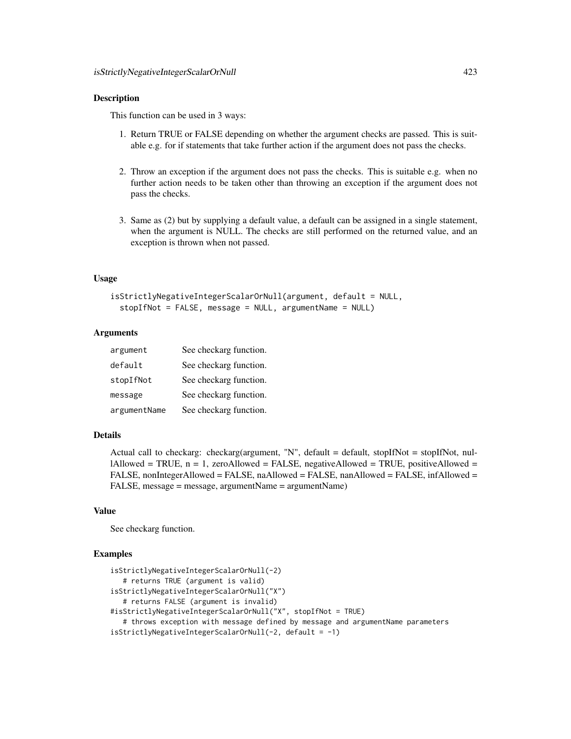## Description

This function can be used in 3 ways:

- 1. Return TRUE or FALSE depending on whether the argument checks are passed. This is suitable e.g. for if statements that take further action if the argument does not pass the checks.
- 2. Throw an exception if the argument does not pass the checks. This is suitable e.g. when no further action needs to be taken other than throwing an exception if the argument does not pass the checks.
- 3. Same as (2) but by supplying a default value, a default can be assigned in a single statement, when the argument is NULL. The checks are still performed on the returned value, and an exception is thrown when not passed.

## Usage

```
isStrictlyNegativeIntegerScalarOrNull(argument, default = NULL,
  stopIfNot = FALSE, message = NULL, argumentName = NULL)
```
## Arguments

| argument     | See checkarg function. |
|--------------|------------------------|
| default      | See checkarg function. |
| stopIfNot    | See checkarg function. |
| message      | See checkarg function. |
| argumentName | See checkarg function. |

## Details

Actual call to checkarg: checkarg(argument, "N", default = default, stopIfNot = stopIfNot, nullAllowed = TRUE,  $n = 1$ , zeroAllowed = FALSE, negativeAllowed = TRUE, positiveAllowed = FALSE, nonIntegerAllowed = FALSE, naAllowed = FALSE, nanAllowed = FALSE, infAllowed = FALSE, message = message, argumentName = argumentName)

## Value

See checkarg function.

```
isStrictlyNegativeIntegerScalarOrNull(-2)
   # returns TRUE (argument is valid)
isStrictlyNegativeIntegerScalarOrNull("X")
   # returns FALSE (argument is invalid)
#isStrictlyNegativeIntegerScalarOrNull("X", stopIfNot = TRUE)
   # throws exception with message defined by message and argumentName parameters
isStrictlyNegativeIntegerScalarOrNull(-2, default = -1)
```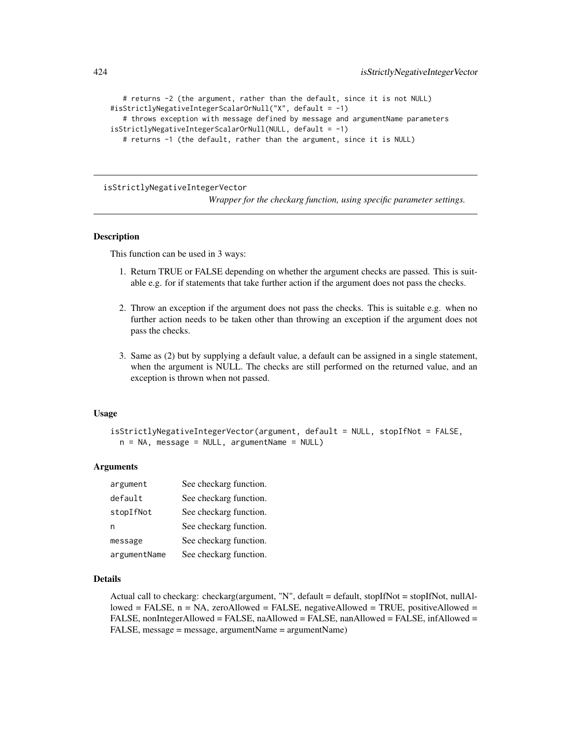```
# returns -2 (the argument, rather than the default, since it is not NULL)
#isStrictlyNegativeIntegerScalarOrNull("X", default = -1)
   # throws exception with message defined by message and argumentName parameters
isStrictlyNegativeIntegerScalarOrNull(NULL, default = -1)
  # returns -1 (the default, rather than the argument, since it is NULL)
```
isStrictlyNegativeIntegerVector

*Wrapper for the checkarg function, using specific parameter settings.*

#### Description

This function can be used in 3 ways:

- 1. Return TRUE or FALSE depending on whether the argument checks are passed. This is suitable e.g. for if statements that take further action if the argument does not pass the checks.
- 2. Throw an exception if the argument does not pass the checks. This is suitable e.g. when no further action needs to be taken other than throwing an exception if the argument does not pass the checks.
- 3. Same as (2) but by supplying a default value, a default can be assigned in a single statement, when the argument is NULL. The checks are still performed on the returned value, and an exception is thrown when not passed.

## Usage

isStrictlyNegativeIntegerVector(argument, default = NULL, stopIfNot = FALSE,  $n = NA$ , message = NULL, argumentName = NULL)

#### Arguments

| argument     | See checkarg function. |
|--------------|------------------------|
| default      | See checkarg function. |
| stopIfNot    | See checkarg function. |
| n            | See checkarg function. |
| message      | See checkarg function. |
| argumentName | See checkarg function. |

#### Details

Actual call to checkarg: checkarg(argument, "N", default = default, stopIfNot = stopIfNot, nullAllowed = FALSE,  $n = NA$ , zeroAllowed = FALSE, negativeAllowed = TRUE, positiveAllowed = FALSE, nonIntegerAllowed = FALSE, naAllowed = FALSE, nanAllowed = FALSE, infAllowed = FALSE, message = message, argumentName = argumentName)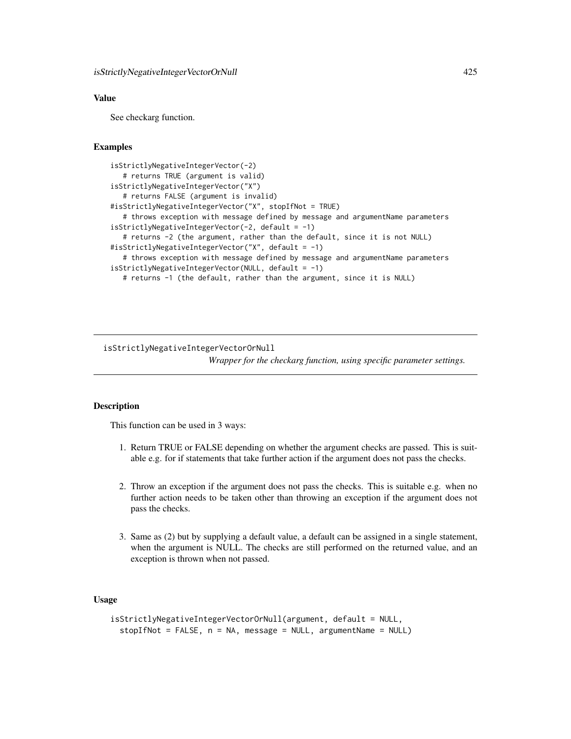# Value

See checkarg function.

# Examples

```
isStrictlyNegativeIntegerVector(-2)
   # returns TRUE (argument is valid)
isStrictlyNegativeIntegerVector("X")
   # returns FALSE (argument is invalid)
#isStrictlyNegativeIntegerVector("X", stopIfNot = TRUE)
   # throws exception with message defined by message and argumentName parameters
isStrictlyNegativeIntegerVector(-2, default = -1)
   # returns -2 (the argument, rather than the default, since it is not NULL)
#isStrictlyNegativeIntegerVector("X", default = -1)
   # throws exception with message defined by message and argumentName parameters
isStrictlyNegativeIntegerVector(NULL, default = -1)
  # returns -1 (the default, rather than the argument, since it is NULL)
```
isStrictlyNegativeIntegerVectorOrNull

*Wrapper for the checkarg function, using specific parameter settings.*

# **Description**

This function can be used in 3 ways:

- 1. Return TRUE or FALSE depending on whether the argument checks are passed. This is suitable e.g. for if statements that take further action if the argument does not pass the checks.
- 2. Throw an exception if the argument does not pass the checks. This is suitable e.g. when no further action needs to be taken other than throwing an exception if the argument does not pass the checks.
- 3. Same as (2) but by supplying a default value, a default can be assigned in a single statement, when the argument is NULL. The checks are still performed on the returned value, and an exception is thrown when not passed.

# Usage

```
isStrictlyNegativeIntegerVectorOrNull(argument, default = NULL,
 stopIfNot = FALSE, n = NA, message = NULL, argumentName = NULL)
```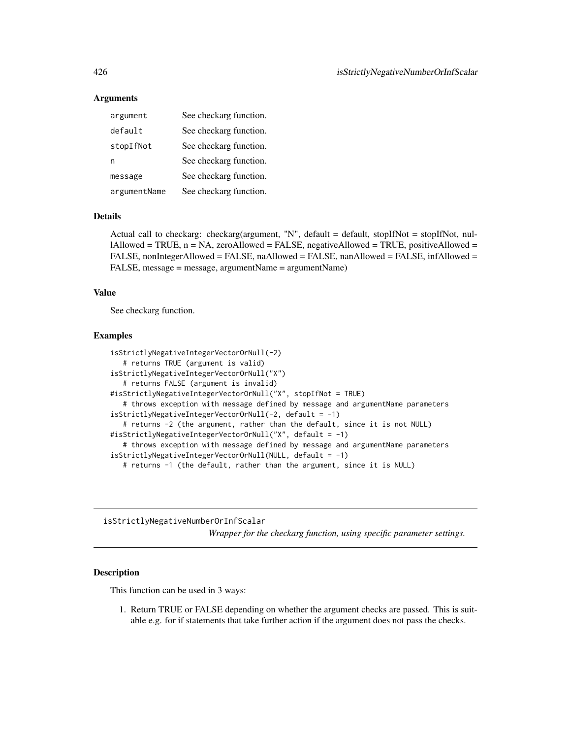# **Arguments**

| argument     | See checkarg function. |
|--------------|------------------------|
| default      | See checkarg function. |
| stopIfNot    | See checkarg function. |
| n            | See checkarg function. |
| message      | See checkarg function. |
| argumentName | See checkarg function. |

## Details

Actual call to checkarg: checkarg(argument, "N", default = default, stopIfNot = stopIfNot, nullAllowed = TRUE, n = NA, zeroAllowed = FALSE, negativeAllowed = TRUE, positiveAllowed = FALSE, nonIntegerAllowed = FALSE, naAllowed = FALSE, nanAllowed = FALSE, infAllowed = FALSE, message = message, argumentName = argumentName)

## Value

See checkarg function.

#### Examples

```
isStrictlyNegativeIntegerVectorOrNull(-2)
   # returns TRUE (argument is valid)
isStrictlyNegativeIntegerVectorOrNull("X")
   # returns FALSE (argument is invalid)
#isStrictlyNegativeIntegerVectorOrNull("X", stopIfNot = TRUE)
   # throws exception with message defined by message and argumentName parameters
isStrictlyNegativeIntegerVectorOrNull(-2, default = -1)
   # returns -2 (the argument, rather than the default, since it is not NULL)
#isStrictlyNegativeIntegerVectorOrNull("X", default = -1)
   # throws exception with message defined by message and argumentName parameters
isStrictlyNegativeIntegerVectorOrNull(NULL, default = -1)
   # returns -1 (the default, rather than the argument, since it is NULL)
```
isStrictlyNegativeNumberOrInfScalar *Wrapper for the checkarg function, using specific parameter settings.*

# Description

This function can be used in 3 ways:

1. Return TRUE or FALSE depending on whether the argument checks are passed. This is suitable e.g. for if statements that take further action if the argument does not pass the checks.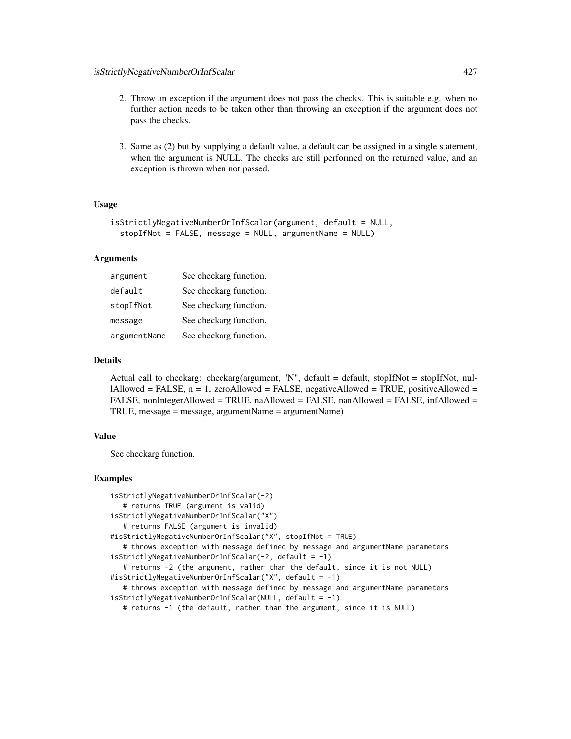- 2. Throw an exception if the argument does not pass the checks. This is suitable e.g. when no further action needs to be taken other than throwing an exception if the argument does not pass the checks.
- 3. Same as (2) but by supplying a default value, a default can be assigned in a single statement, when the argument is NULL. The checks are still performed on the returned value, and an exception is thrown when not passed.

```
isStrictlyNegativeNumberOrInfScalar(argument, default = NULL,
  stopIfNot = FALSE, message = NULL, argumentName = NULL)
```
## Arguments

| argument     | See checkarg function. |
|--------------|------------------------|
| default      | See checkarg function. |
| stopIfNot    | See checkarg function. |
| message      | See checkarg function. |
| argumentName | See checkarg function. |

# Details

Actual call to checkarg: checkarg(argument, "N", default = default, stopIfNot = stopIfNot, nullAllowed = FALSE,  $n = 1$ , zeroAllowed = FALSE, negativeAllowed = TRUE, positiveAllowed = FALSE, nonIntegerAllowed = TRUE, naAllowed = FALSE, nanAllowed = FALSE, infAllowed = TRUE, message = message, argumentName = argumentName)

# Value

See checkarg function.

```
isStrictlyNegativeNumberOrInfScalar(-2)
   # returns TRUE (argument is valid)
isStrictlyNegativeNumberOrInfScalar("X")
   # returns FALSE (argument is invalid)
#isStrictlyNegativeNumberOrInfScalar("X", stopIfNot = TRUE)
   # throws exception with message defined by message and argumentName parameters
isStrictlyNegativeNumberOrInfScalar(-2, default = -1)
   # returns -2 (the argument, rather than the default, since it is not NULL)
#isStrictlyNegativeNumberOrInfScalar("X", default = -1)
   # throws exception with message defined by message and argumentName parameters
isStrictlyNegativeNumberOrInfScalar(NULL, default = -1)
   # returns -1 (the default, rather than the argument, since it is NULL)
```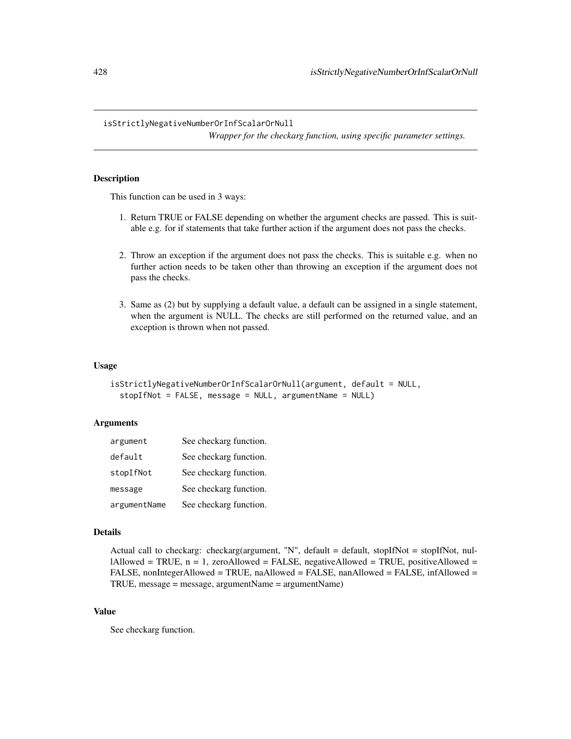isStrictlyNegativeNumberOrInfScalarOrNull *Wrapper for the checkarg function, using specific parameter settings.*

Description

This function can be used in 3 ways:

- 1. Return TRUE or FALSE depending on whether the argument checks are passed. This is suitable e.g. for if statements that take further action if the argument does not pass the checks.
- 2. Throw an exception if the argument does not pass the checks. This is suitable e.g. when no further action needs to be taken other than throwing an exception if the argument does not pass the checks.
- 3. Same as (2) but by supplying a default value, a default can be assigned in a single statement, when the argument is NULL. The checks are still performed on the returned value, and an exception is thrown when not passed.

#### Usage

```
isStrictlyNegativeNumberOrInfScalarOrNull(argument, default = NULL,
 stopIfNot = FALSE, message = NULL, argumentName = NULL)
```
# **Arguments**

| argument     | See checkarg function. |
|--------------|------------------------|
| default      | See checkarg function. |
| stopIfNot    | See checkarg function. |
| message      | See checkarg function. |
| argumentName | See checkarg function. |

#### Details

Actual call to checkarg: checkarg(argument, "N", default = default, stopIfNot = stopIfNot, nullAllowed = TRUE,  $n = 1$ , zeroAllowed = FALSE, negativeAllowed = TRUE, positiveAllowed = FALSE, nonIntegerAllowed = TRUE, naAllowed = FALSE, nanAllowed = FALSE, infAllowed = TRUE, message = message, argumentName = argumentName)

# Value

See checkarg function.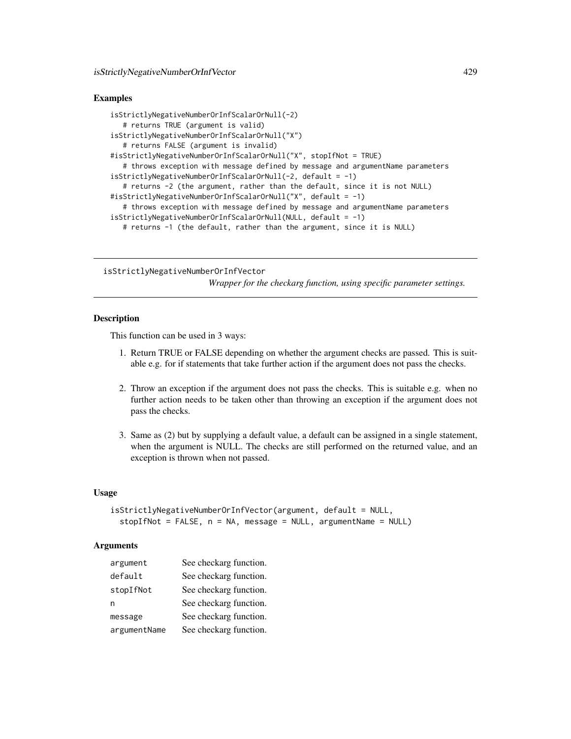## Examples

```
isStrictlyNegativeNumberOrInfScalarOrNull(-2)
   # returns TRUE (argument is valid)
isStrictlyNegativeNumberOrInfScalarOrNull("X")
   # returns FALSE (argument is invalid)
#isStrictlyNegativeNumberOrInfScalarOrNull("X", stopIfNot = TRUE)
   # throws exception with message defined by message and argumentName parameters
isStrictlyNegativeNumberOrInfScalarOrNull(-2, default = -1)
   # returns -2 (the argument, rather than the default, since it is not NULL)
#isStrictlyNegativeNumberOrInfScalarOrNull("X", default = -1)
   # throws exception with message defined by message and argumentName parameters
isStrictlyNegativeNumberOrInfScalarOrNull(NULL, default = -1)
   # returns -1 (the default, rather than the argument, since it is NULL)
```
isStrictlyNegativeNumberOrInfVector

*Wrapper for the checkarg function, using specific parameter settings.*

# Description

This function can be used in 3 ways:

- 1. Return TRUE or FALSE depending on whether the argument checks are passed. This is suitable e.g. for if statements that take further action if the argument does not pass the checks.
- 2. Throw an exception if the argument does not pass the checks. This is suitable e.g. when no further action needs to be taken other than throwing an exception if the argument does not pass the checks.
- 3. Same as (2) but by supplying a default value, a default can be assigned in a single statement, when the argument is NULL. The checks are still performed on the returned value, and an exception is thrown when not passed.

# Usage

```
isStrictlyNegativeNumberOrInfVector(argument, default = NULL,
 stopIfNot = FALSE, n = NA, message = NULL, argumentName = NULL)
```
## **Arguments**

| argument     | See checkarg function. |
|--------------|------------------------|
| default      | See checkarg function. |
| stopIfNot    | See checkarg function. |
| n            | See checkarg function. |
| message      | See checkarg function. |
| argumentName | See checkarg function. |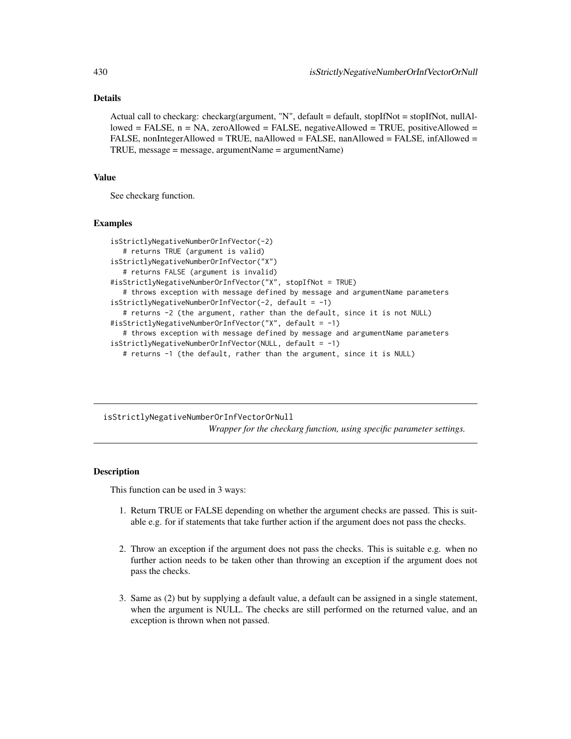# Details

Actual call to checkarg: checkarg(argument, "N", default = default, stopIfNot = stopIfNot, nullAllowed = FALSE, n = NA, zeroAllowed = FALSE, negativeAllowed = TRUE, positiveAllowed = FALSE, nonIntegerAllowed = TRUE, naAllowed = FALSE, nanAllowed = FALSE, infAllowed = TRUE, message = message, argumentName = argumentName)

## Value

See checkarg function.

#### Examples

```
isStrictlyNegativeNumberOrInfVector(-2)
   # returns TRUE (argument is valid)
isStrictlyNegativeNumberOrInfVector("X")
   # returns FALSE (argument is invalid)
#isStrictlyNegativeNumberOrInfVector("X", stopIfNot = TRUE)
   # throws exception with message defined by message and argumentName parameters
isStrictlyNegativeNumberOrInfVector(-2, default = -1)
   # returns -2 (the argument, rather than the default, since it is not NULL)
#isStrictlyNegativeNumberOrInfVector("X", default = -1)
   # throws exception with message defined by message and argumentName parameters
isStrictlyNegativeNumberOrInfVector(NULL, default = -1)
  # returns -1 (the default, rather than the argument, since it is NULL)
```
isStrictlyNegativeNumberOrInfVectorOrNull *Wrapper for the checkarg function, using specific parameter settings.*

# **Description**

This function can be used in 3 ways:

- 1. Return TRUE or FALSE depending on whether the argument checks are passed. This is suitable e.g. for if statements that take further action if the argument does not pass the checks.
- 2. Throw an exception if the argument does not pass the checks. This is suitable e.g. when no further action needs to be taken other than throwing an exception if the argument does not pass the checks.
- 3. Same as (2) but by supplying a default value, a default can be assigned in a single statement, when the argument is NULL. The checks are still performed on the returned value, and an exception is thrown when not passed.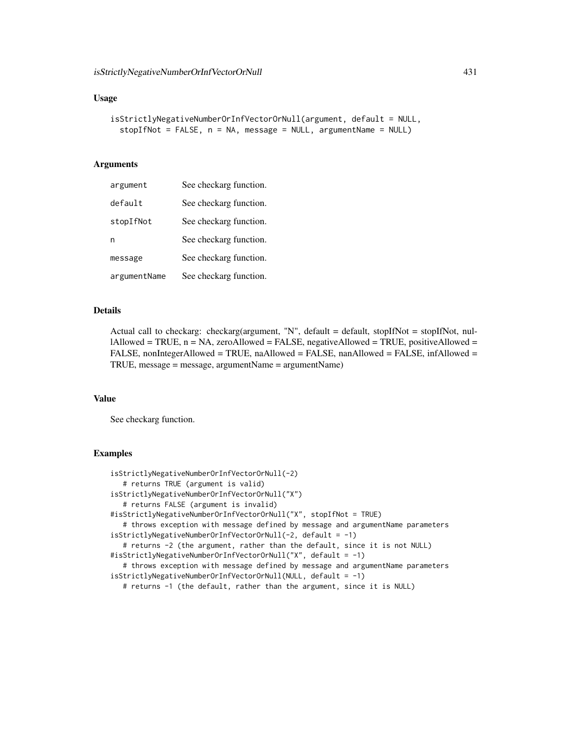```
isStrictlyNegativeNumberOrInfVectorOrNull(argument, default = NULL,
  stopIfNot = FALSE, n = NA, message = NULL, argumentName = NULL)
```
# Arguments

| argument     | See checkarg function. |
|--------------|------------------------|
| default      | See checkarg function. |
| stopIfNot    | See checkarg function. |
| n            | See checkarg function. |
| message      | See checkarg function. |
| argumentName | See checkarg function. |

## Details

Actual call to checkarg: checkarg(argument, "N", default = default, stopIfNot = stopIfNot, nul- $1$ Allowed = TRUE,  $n = NA$ , zeroAllowed = FALSE, negativeAllowed = TRUE, positiveAllowed = FALSE, nonIntegerAllowed = TRUE, naAllowed = FALSE, nanAllowed = FALSE, infAllowed = TRUE, message = message, argumentName = argumentName)

#### Value

See checkarg function.

```
isStrictlyNegativeNumberOrInfVectorOrNull(-2)
  # returns TRUE (argument is valid)
isStrictlyNegativeNumberOrInfVectorOrNull("X")
   # returns FALSE (argument is invalid)
#isStrictlyNegativeNumberOrInfVectorOrNull("X", stopIfNot = TRUE)
   # throws exception with message defined by message and argumentName parameters
isStrictlyNegativeNumberOrInfVectorOrNull(-2, default = -1)
   # returns -2 (the argument, rather than the default, since it is not NULL)
#isStrictlyNegativeNumberOrInfVectorOrNull("X", default = -1)
   # throws exception with message defined by message and argumentName parameters
isStrictlyNegativeNumberOrInfVectorOrNull(NULL, default = -1)
   # returns -1 (the default, rather than the argument, since it is NULL)
```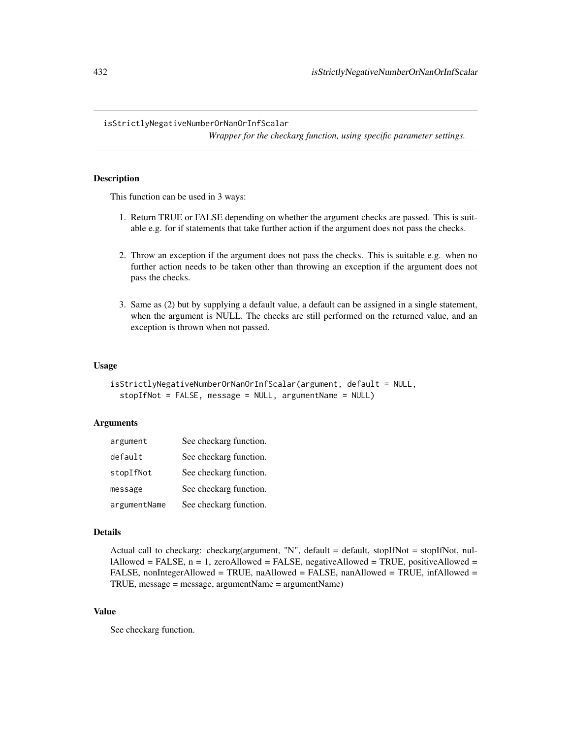isStrictlyNegativeNumberOrNanOrInfScalar

*Wrapper for the checkarg function, using specific parameter settings.*

# Description

This function can be used in 3 ways:

- 1. Return TRUE or FALSE depending on whether the argument checks are passed. This is suitable e.g. for if statements that take further action if the argument does not pass the checks.
- 2. Throw an exception if the argument does not pass the checks. This is suitable e.g. when no further action needs to be taken other than throwing an exception if the argument does not pass the checks.
- 3. Same as (2) but by supplying a default value, a default can be assigned in a single statement, when the argument is NULL. The checks are still performed on the returned value, and an exception is thrown when not passed.

#### Usage

```
isStrictlyNegativeNumberOrNanOrInfScalar(argument, default = NULL,
 stopIfNot = FALSE, message = NULL, argumentName = NULL)
```
# **Arguments**

| argument     | See checkarg function. |
|--------------|------------------------|
| default      | See checkarg function. |
| stopIfNot    | See checkarg function. |
| message      | See checkarg function. |
| argumentName | See checkarg function. |

#### Details

```
Actual call to checkarg: checkarg(argument, "N", default = default, stopIfNot = stopIfNot, nul-
lAllowed = FALSE, n = 1, zeroAllowed = FALSE, negativeAllowed = TRUE, positiveAllowed =
FALSE, nonIntegerAllowed = TRUE, naAllowed = FALSE, nanAllowed = TRUE, infAllowed =
TRUE, message = message, argumentName = argumentName)
```
# Value

See checkarg function.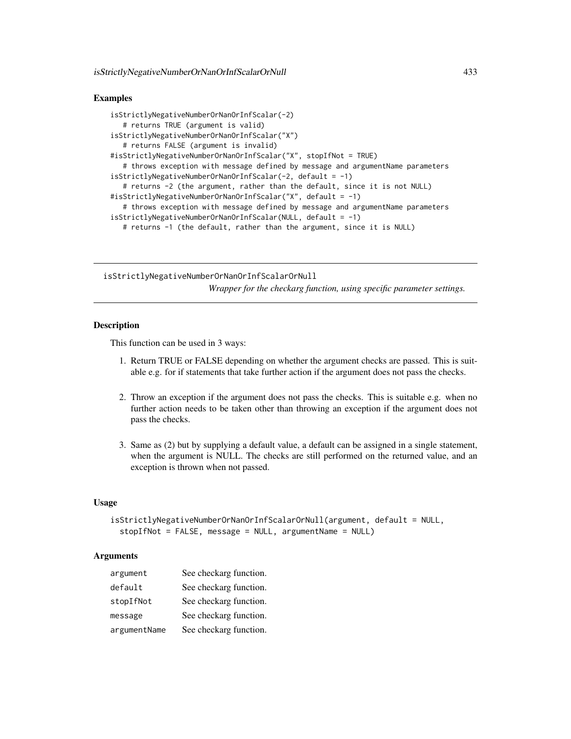# Examples

```
isStrictlyNegativeNumberOrNanOrInfScalar(-2)
   # returns TRUE (argument is valid)
isStrictlyNegativeNumberOrNanOrInfScalar("X")
   # returns FALSE (argument is invalid)
#isStrictlyNegativeNumberOrNanOrInfScalar("X", stopIfNot = TRUE)
   # throws exception with message defined by message and argumentName parameters
isStrictlyNegativeNumberOrNanOrInfScalar(-2, default = -1)
   # returns -2 (the argument, rather than the default, since it is not NULL)
#isStrictlyNegativeNumberOrNanOrInfScalar("X", default = -1)
   # throws exception with message defined by message and argumentName parameters
isStrictlyNegativeNumberOrNanOrInfScalar(NULL, default = -1)
   # returns -1 (the default, rather than the argument, since it is NULL)
```
isStrictlyNegativeNumberOrNanOrInfScalarOrNull *Wrapper for the checkarg function, using specific parameter settings.*

## **Description**

This function can be used in 3 ways:

- 1. Return TRUE or FALSE depending on whether the argument checks are passed. This is suitable e.g. for if statements that take further action if the argument does not pass the checks.
- 2. Throw an exception if the argument does not pass the checks. This is suitable e.g. when no further action needs to be taken other than throwing an exception if the argument does not pass the checks.
- 3. Same as (2) but by supplying a default value, a default can be assigned in a single statement, when the argument is NULL. The checks are still performed on the returned value, and an exception is thrown when not passed.

## Usage

```
isStrictlyNegativeNumberOrNanOrInfScalarOrNull(argument, default = NULL,
 stopIfNot = FALSE, message = NULL, argumentName = NULL)
```
# **Arguments**

| argument     | See checkarg function. |
|--------------|------------------------|
| default      | See checkarg function. |
| stopIfNot    | See checkarg function. |
| message      | See checkarg function. |
| argumentName | See checkarg function. |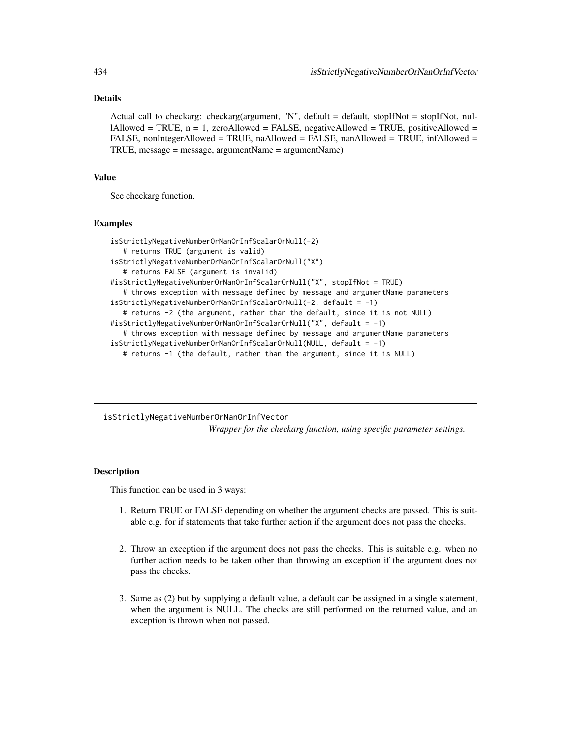# Details

Actual call to checkarg: checkarg(argument, "N", default = default, stopIfNot = stopIfNot, nul- $1$ Allowed = TRUE,  $n = 1$ , zeroAllowed = FALSE, negativeAllowed = TRUE, positiveAllowed = FALSE, nonIntegerAllowed = TRUE, naAllowed = FALSE, nanAllowed = TRUE, infAllowed = TRUE, message = message, argumentName = argumentName)

## Value

See checkarg function.

#### Examples

```
isStrictlyNegativeNumberOrNanOrInfScalarOrNull(-2)
   # returns TRUE (argument is valid)
isStrictlyNegativeNumberOrNanOrInfScalarOrNull("X")
   # returns FALSE (argument is invalid)
#isStrictlyNegativeNumberOrNanOrInfScalarOrNull("X", stopIfNot = TRUE)
   # throws exception with message defined by message and argumentName parameters
isStrictlyNegativeNumberOrNanOrInfScalarOrNull(-2, default = -1)
   # returns -2 (the argument, rather than the default, since it is not NULL)
#isStrictlyNegativeNumberOrNanOrInfScalarOrNull("X", default = -1)
   # throws exception with message defined by message and argumentName parameters
isStrictlyNegativeNumberOrNanOrInfScalarOrNull(NULL, default = -1)
  # returns -1 (the default, rather than the argument, since it is NULL)
```
isStrictlyNegativeNumberOrNanOrInfVector *Wrapper for the checkarg function, using specific parameter settings.*

# **Description**

This function can be used in 3 ways:

- 1. Return TRUE or FALSE depending on whether the argument checks are passed. This is suitable e.g. for if statements that take further action if the argument does not pass the checks.
- 2. Throw an exception if the argument does not pass the checks. This is suitable e.g. when no further action needs to be taken other than throwing an exception if the argument does not pass the checks.
- 3. Same as (2) but by supplying a default value, a default can be assigned in a single statement, when the argument is NULL. The checks are still performed on the returned value, and an exception is thrown when not passed.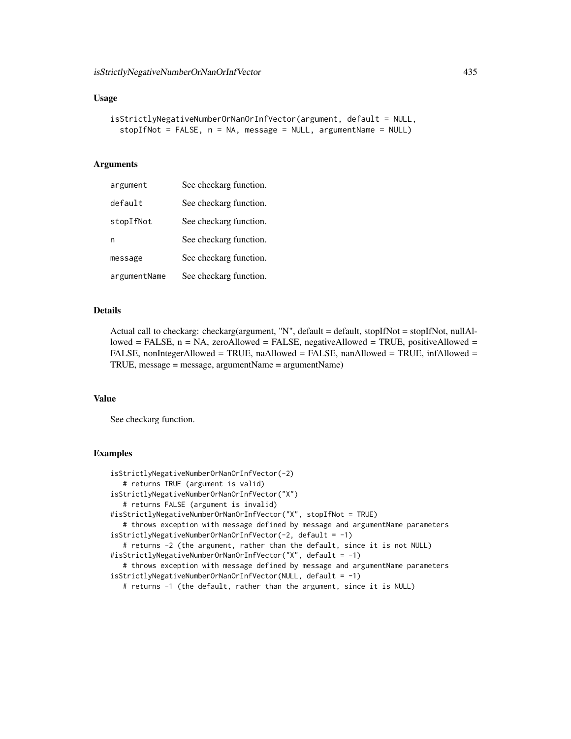## Usage

```
isStrictlyNegativeNumberOrNanOrInfVector(argument, default = NULL,
  stopIfNot = FALSE, n = NA, message = NULL, argumentName = NULL)
```
# Arguments

| argument     | See checkarg function. |
|--------------|------------------------|
| default      | See checkarg function. |
| stopIfNot    | See checkarg function. |
| n            | See checkarg function. |
| message      | See checkarg function. |
| argumentName | See checkarg function. |

## Details

Actual call to checkarg: checkarg(argument, "N", default = default, stopIfNot = stopIfNot, nullAllowed = FALSE,  $n = NA$ , zeroAllowed = FALSE, negativeAllowed = TRUE, positiveAllowed = FALSE, nonIntegerAllowed = TRUE, naAllowed = FALSE, nanAllowed = TRUE, infAllowed = TRUE, message = message, argumentName = argumentName)

## Value

See checkarg function.

```
isStrictlyNegativeNumberOrNanOrInfVector(-2)
  # returns TRUE (argument is valid)
isStrictlyNegativeNumberOrNanOrInfVector("X")
   # returns FALSE (argument is invalid)
#isStrictlyNegativeNumberOrNanOrInfVector("X", stopIfNot = TRUE)
   # throws exception with message defined by message and argumentName parameters
isStrictlyNegativeNumberOrNanOrInfVector(-2, default = -1)
   # returns -2 (the argument, rather than the default, since it is not NULL)
#isStrictlyNegativeNumberOrNanOrInfVector("X", default = -1)
   # throws exception with message defined by message and argumentName parameters
isStrictlyNegativeNumberOrNanOrInfVector(NULL, default = -1)
   # returns -1 (the default, rather than the argument, since it is NULL)
```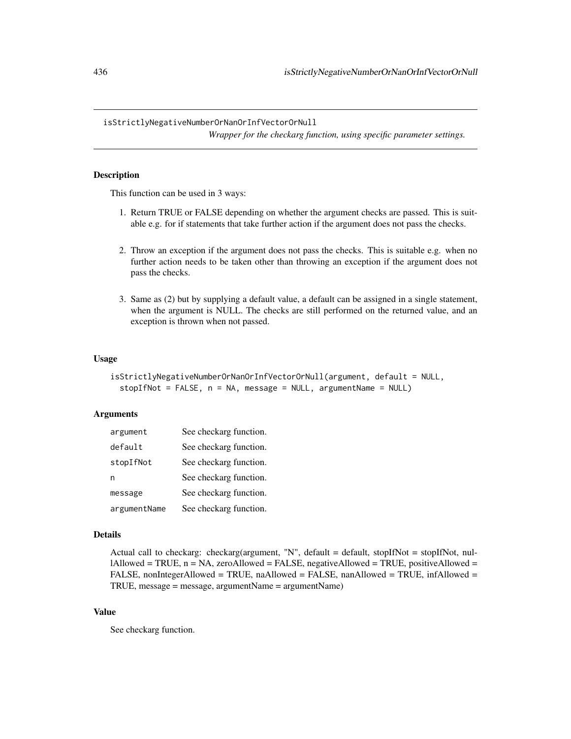isStrictlyNegativeNumberOrNanOrInfVectorOrNull *Wrapper for the checkarg function, using specific parameter settings.*

## **Description**

This function can be used in 3 ways:

- 1. Return TRUE or FALSE depending on whether the argument checks are passed. This is suitable e.g. for if statements that take further action if the argument does not pass the checks.
- 2. Throw an exception if the argument does not pass the checks. This is suitable e.g. when no further action needs to be taken other than throwing an exception if the argument does not pass the checks.
- 3. Same as (2) but by supplying a default value, a default can be assigned in a single statement, when the argument is NULL. The checks are still performed on the returned value, and an exception is thrown when not passed.

## Usage

```
isStrictlyNegativeNumberOrNanOrInfVectorOrNull(argument, default = NULL,
 stopIfNot = FALSE, n = NA, message = NULL, argumentName = NULL)
```
# Arguments

| argument     | See checkarg function. |
|--------------|------------------------|
| default      | See checkarg function. |
| stopIfNot    | See checkarg function. |
| n            | See checkarg function. |
| message      | See checkarg function. |
| argumentName | See checkarg function. |

#### Details

Actual call to checkarg: checkarg(argument, "N", default = default, stopIfNot = stopIfNot, nul- $1$ Allowed = TRUE,  $n = NA$ , zeroAllowed = FALSE, negativeAllowed = TRUE, positiveAllowed = FALSE, nonIntegerAllowed = TRUE, naAllowed = FALSE, nanAllowed = TRUE, infAllowed = TRUE, message = message, argumentName = argumentName)

# Value

See checkarg function.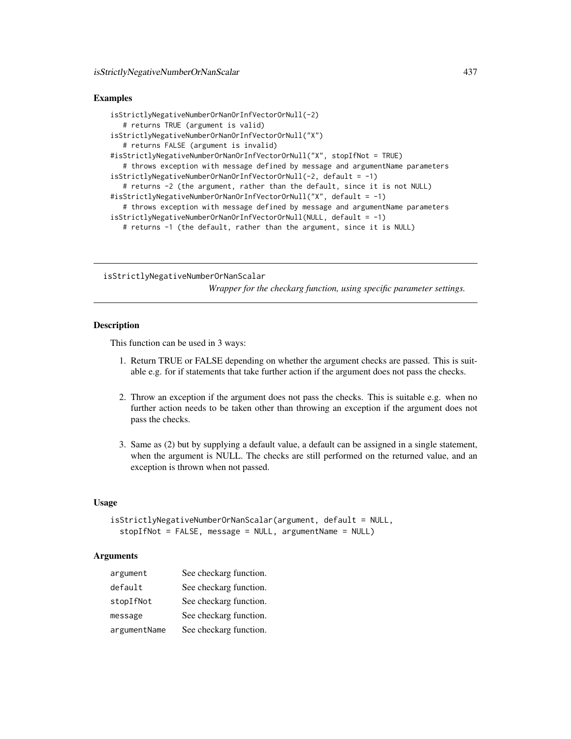# Examples

```
isStrictlyNegativeNumberOrNanOrInfVectorOrNull(-2)
   # returns TRUE (argument is valid)
isStrictlyNegativeNumberOrNanOrInfVectorOrNull("X")
   # returns FALSE (argument is invalid)
#isStrictlyNegativeNumberOrNanOrInfVectorOrNull("X", stopIfNot = TRUE)
   # throws exception with message defined by message and argumentName parameters
isStrictlyNegativeNumberOrNanOrInfVectorOrNull(-2, default = -1)
   # returns -2 (the argument, rather than the default, since it is not NULL)
#isStrictlyNegativeNumberOrNanOrInfVectorOrNull("X", default = -1)
   # throws exception with message defined by message and argumentName parameters
isStrictlyNegativeNumberOrNanOrInfVectorOrNull(NULL, default = -1)
   # returns -1 (the default, rather than the argument, since it is NULL)
```
isStrictlyNegativeNumberOrNanScalar *Wrapper for the checkarg function, using specific parameter settings.*

## **Description**

This function can be used in 3 ways:

- 1. Return TRUE or FALSE depending on whether the argument checks are passed. This is suitable e.g. for if statements that take further action if the argument does not pass the checks.
- 2. Throw an exception if the argument does not pass the checks. This is suitable e.g. when no further action needs to be taken other than throwing an exception if the argument does not pass the checks.
- 3. Same as (2) but by supplying a default value, a default can be assigned in a single statement, when the argument is NULL. The checks are still performed on the returned value, and an exception is thrown when not passed.

# Usage

```
isStrictlyNegativeNumberOrNanScalar(argument, default = NULL,
 stopIfNot = FALSE, message = NULL, argumentName = NULL)
```
## **Arguments**

| argument     | See checkarg function. |
|--------------|------------------------|
| default      | See checkarg function. |
| stopIfNot    | See checkarg function. |
| message      | See checkarg function. |
| argumentName | See checkarg function. |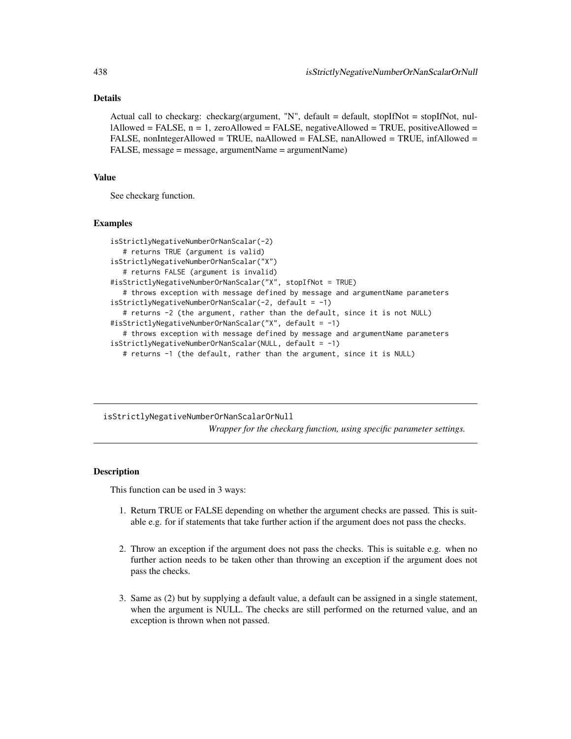# Details

Actual call to checkarg: checkarg(argument, "N", default = default, stopIfNot = stopIfNot, nul- $1$ Allowed = FALSE,  $n = 1$ , zeroAllowed = FALSE, negativeAllowed = TRUE, positiveAllowed = FALSE, nonIntegerAllowed = TRUE, naAllowed = FALSE, nanAllowed = TRUE, infAllowed = FALSE, message = message, argumentName = argumentName)

## Value

See checkarg function.

#### Examples

```
isStrictlyNegativeNumberOrNanScalar(-2)
   # returns TRUE (argument is valid)
isStrictlyNegativeNumberOrNanScalar("X")
   # returns FALSE (argument is invalid)
#isStrictlyNegativeNumberOrNanScalar("X", stopIfNot = TRUE)
   # throws exception with message defined by message and argumentName parameters
isStrictlyNegativeNumberOrNanScalar(-2, default = -1)
   # returns -2 (the argument, rather than the default, since it is not NULL)
#isStrictlyNegativeNumberOrNanScalar("X", default = -1)
   # throws exception with message defined by message and argumentName parameters
isStrictlyNegativeNumberOrNanScalar(NULL, default = -1)
  # returns -1 (the default, rather than the argument, since it is NULL)
```
isStrictlyNegativeNumberOrNanScalarOrNull *Wrapper for the checkarg function, using specific parameter settings.*

# **Description**

This function can be used in 3 ways:

- 1. Return TRUE or FALSE depending on whether the argument checks are passed. This is suitable e.g. for if statements that take further action if the argument does not pass the checks.
- 2. Throw an exception if the argument does not pass the checks. This is suitable e.g. when no further action needs to be taken other than throwing an exception if the argument does not pass the checks.
- 3. Same as (2) but by supplying a default value, a default can be assigned in a single statement, when the argument is NULL. The checks are still performed on the returned value, and an exception is thrown when not passed.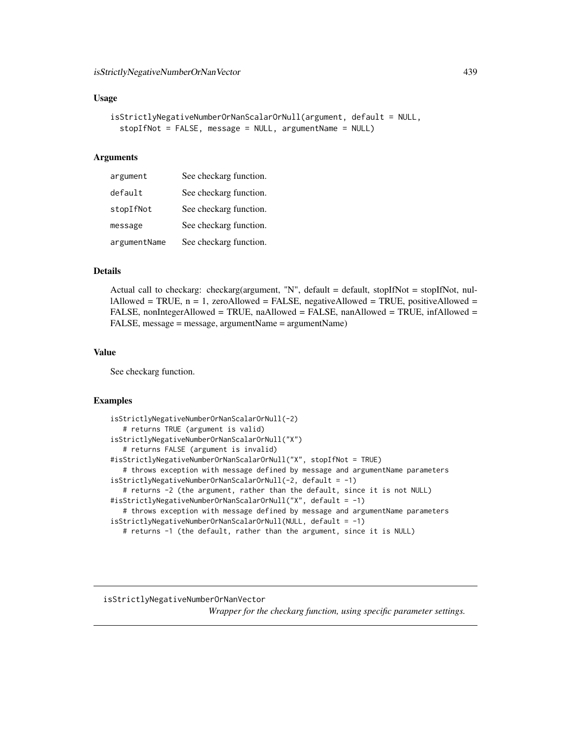## Usage

```
isStrictlyNegativeNumberOrNanScalarOrNull(argument, default = NULL,
  stopIfNot = FALSE, message = NULL, argumentName = NULL)
```
#### Arguments

| argument     | See checkarg function. |
|--------------|------------------------|
| default      | See checkarg function. |
| stopIfNot    | See checkarg function. |
| message      | See checkarg function. |
| argumentName | See checkarg function. |

# Details

Actual call to checkarg: checkarg(argument, "N", default = default, stopIfNot = stopIfNot, nullAllowed = TRUE,  $n = 1$ , zeroAllowed = FALSE, negativeAllowed = TRUE, positiveAllowed = FALSE, nonIntegerAllowed = TRUE, naAllowed = FALSE, nanAllowed = TRUE, infAllowed = FALSE, message = message, argumentName = argumentName)

## Value

See checkarg function.

## Examples

```
isStrictlyNegativeNumberOrNanScalarOrNull(-2)
   # returns TRUE (argument is valid)
isStrictlyNegativeNumberOrNanScalarOrNull("X")
   # returns FALSE (argument is invalid)
#isStrictlyNegativeNumberOrNanScalarOrNull("X", stopIfNot = TRUE)
   # throws exception with message defined by message and argumentName parameters
isStrictlyNegativeNumberOrNanScalarOrNull(-2, default = -1)
   # returns -2 (the argument, rather than the default, since it is not NULL)
#isStrictlyNegativeNumberOrNanScalarOrNull("X", default = -1)
  # throws exception with message defined by message and argumentName parameters
isStrictlyNegativeNumberOrNanScalarOrNull(NULL, default = -1)
  # returns -1 (the default, rather than the argument, since it is NULL)
```
isStrictlyNegativeNumberOrNanVector

*Wrapper for the checkarg function, using specific parameter settings.*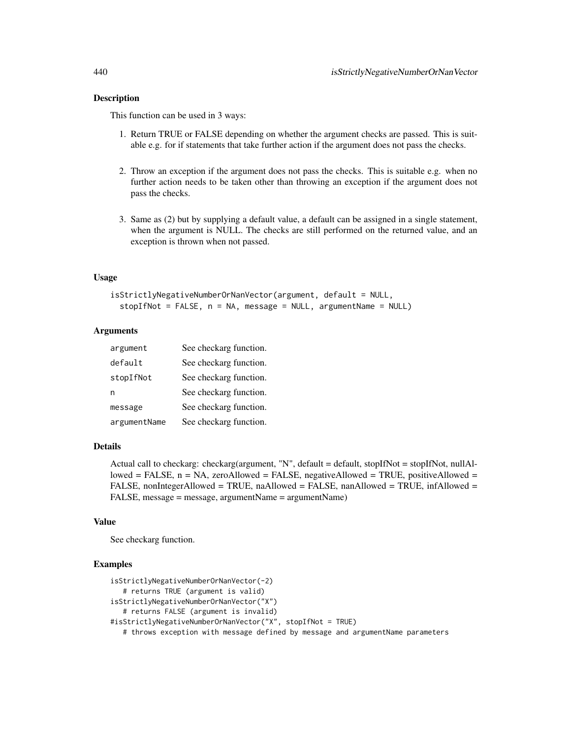# Description

This function can be used in 3 ways:

- 1. Return TRUE or FALSE depending on whether the argument checks are passed. This is suitable e.g. for if statements that take further action if the argument does not pass the checks.
- 2. Throw an exception if the argument does not pass the checks. This is suitable e.g. when no further action needs to be taken other than throwing an exception if the argument does not pass the checks.
- 3. Same as (2) but by supplying a default value, a default can be assigned in a single statement, when the argument is NULL. The checks are still performed on the returned value, and an exception is thrown when not passed.

## Usage

```
isStrictlyNegativeNumberOrNanVector(argument, default = NULL,
 stopIfNot = FALSE, n = NA, message = NULL, argumentName = NULL)
```
# **Arguments**

| argument     | See checkarg function. |
|--------------|------------------------|
| default      | See checkarg function. |
| stopIfNot    | See checkarg function. |
| n            | See checkarg function. |
| message      | See checkarg function. |
| argumentName | See checkarg function. |

# Details

Actual call to checkarg: checkarg(argument, "N", default = default, stopIfNot = stopIfNot, nullAllowed = FALSE,  $n = NA$ , zeroAllowed = FALSE, negativeAllowed = TRUE, positiveAllowed = FALSE, nonIntegerAllowed = TRUE, naAllowed = FALSE, nanAllowed = TRUE, infAllowed = FALSE, message = message, argumentName = argumentName)

# Value

See checkarg function.

```
isStrictlyNegativeNumberOrNanVector(-2)
  # returns TRUE (argument is valid)
isStrictlyNegativeNumberOrNanVector("X")
  # returns FALSE (argument is invalid)
#isStrictlyNegativeNumberOrNanVector("X", stopIfNot = TRUE)
  # throws exception with message defined by message and argumentName parameters
```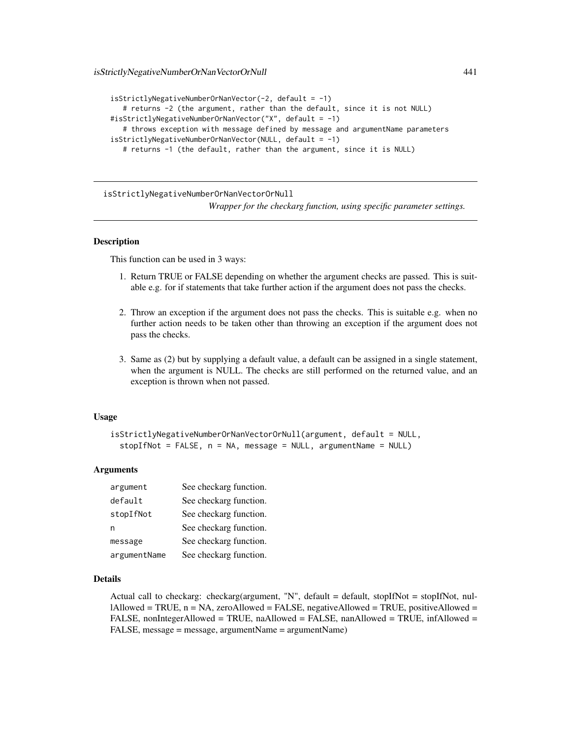```
isStrictlyNegativeNumberOrNanVector(-2, default = -1)
   # returns -2 (the argument, rather than the default, since it is not NULL)
#isStrictlyNegativeNumberOrNanVector("X", default = -1)
   # throws exception with message defined by message and argumentName parameters
isStrictlyNegativeNumberOrNanVector(NULL, default = -1)
   # returns -1 (the default, rather than the argument, since it is NULL)
```
isStrictlyNegativeNumberOrNanVectorOrNull *Wrapper for the checkarg function, using specific parameter settings.*

# Description

This function can be used in 3 ways:

- 1. Return TRUE or FALSE depending on whether the argument checks are passed. This is suitable e.g. for if statements that take further action if the argument does not pass the checks.
- 2. Throw an exception if the argument does not pass the checks. This is suitable e.g. when no further action needs to be taken other than throwing an exception if the argument does not pass the checks.
- 3. Same as (2) but by supplying a default value, a default can be assigned in a single statement, when the argument is NULL. The checks are still performed on the returned value, and an exception is thrown when not passed.

#### Usage

```
isStrictlyNegativeNumberOrNanVectorOrNull(argument, default = NULL,
  stopIfNot = FALSE, n = NA, message = NULL, argumentName = NULL)
```
## **Arguments**

| argument     | See checkarg function. |
|--------------|------------------------|
| default      | See checkarg function. |
| stopIfNot    | See checkarg function. |
| n            | See checkarg function. |
| message      | See checkarg function. |
| argumentName | See checkarg function. |

#### Details

Actual call to checkarg: checkarg(argument, "N", default = default, stopIfNot = stopIfNot, nullAllowed = TRUE,  $n = NA$ , zeroAllowed = FALSE, negativeAllowed = TRUE, positiveAllowed = FALSE, nonIntegerAllowed = TRUE, naAllowed = FALSE, nanAllowed = TRUE, infAllowed = FALSE, message = message, argumentName = argumentName)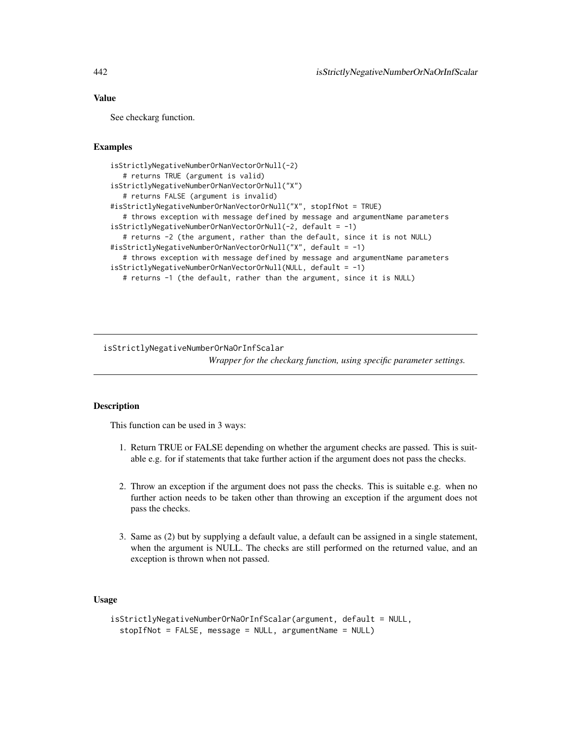# Value

See checkarg function.

# Examples

```
isStrictlyNegativeNumberOrNanVectorOrNull(-2)
  # returns TRUE (argument is valid)
isStrictlyNegativeNumberOrNanVectorOrNull("X")
  # returns FALSE (argument is invalid)
#isStrictlyNegativeNumberOrNanVectorOrNull("X", stopIfNot = TRUE)
  # throws exception with message defined by message and argumentName parameters
isStrictlyNegativeNumberOrNanVectorOrNull(-2, default = -1)
  # returns -2 (the argument, rather than the default, since it is not NULL)
#isStrictlyNegativeNumberOrNanVectorOrNull("X", default = -1)
  # throws exception with message defined by message and argumentName parameters
isStrictlyNegativeNumberOrNanVectorOrNull(NULL, default = -1)
  # returns -1 (the default, rather than the argument, since it is NULL)
```
isStrictlyNegativeNumberOrNaOrInfScalar

*Wrapper for the checkarg function, using specific parameter settings.*

# Description

This function can be used in 3 ways:

- 1. Return TRUE or FALSE depending on whether the argument checks are passed. This is suitable e.g. for if statements that take further action if the argument does not pass the checks.
- 2. Throw an exception if the argument does not pass the checks. This is suitable e.g. when no further action needs to be taken other than throwing an exception if the argument does not pass the checks.
- 3. Same as (2) but by supplying a default value, a default can be assigned in a single statement, when the argument is NULL. The checks are still performed on the returned value, and an exception is thrown when not passed.

# Usage

```
isStrictlyNegativeNumberOrNaOrInfScalar(argument, default = NULL,
 stopIfNot = FALSE, message = NULL, argumentName = NULL)
```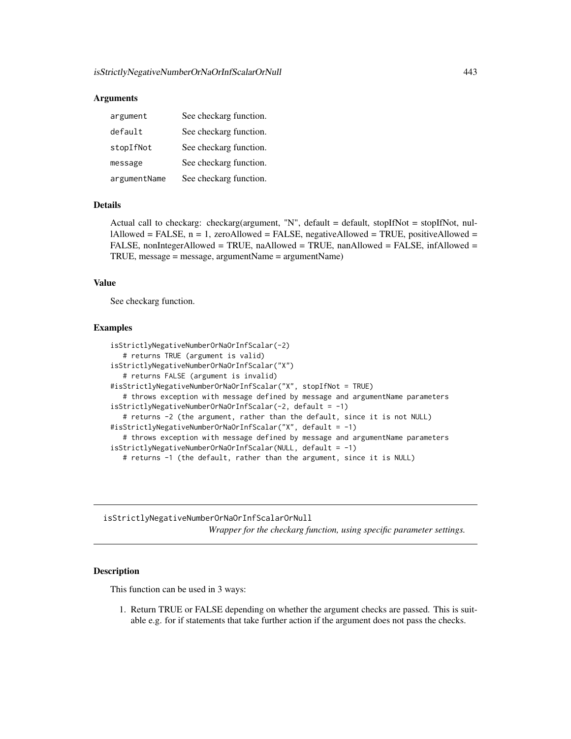# **Arguments**

| argument     | See checkarg function. |
|--------------|------------------------|
| default      | See checkarg function. |
| stopIfNot    | See checkarg function. |
| message      | See checkarg function. |
| argumentName | See checkarg function. |

# Details

Actual call to checkarg: checkarg(argument, "N", default = default, stopIfNot = stopIfNot, nullAllowed = FALSE,  $n = 1$ , zeroAllowed = FALSE, negativeAllowed = TRUE, positiveAllowed = FALSE, nonIntegerAllowed = TRUE, naAllowed = TRUE, nanAllowed = FALSE, infAllowed = TRUE, message = message, argumentName = argumentName)

# Value

See checkarg function.

# Examples

```
isStrictlyNegativeNumberOrNaOrInfScalar(-2)
   # returns TRUE (argument is valid)
isStrictlyNegativeNumberOrNaOrInfScalar("X")
   # returns FALSE (argument is invalid)
#isStrictlyNegativeNumberOrNaOrInfScalar("X", stopIfNot = TRUE)
   # throws exception with message defined by message and argumentName parameters
isStrictlyNegativeNumberOrNaOrInfScalar(-2, default = -1)
   # returns -2 (the argument, rather than the default, since it is not NULL)
#isStrictlyNegativeNumberOrNaOrInfScalar("X", default = -1)
   # throws exception with message defined by message and argumentName parameters
isStrictlyNegativeNumberOrNaOrInfScalar(NULL, default = -1)
   # returns -1 (the default, rather than the argument, since it is NULL)
```
isStrictlyNegativeNumberOrNaOrInfScalarOrNull *Wrapper for the checkarg function, using specific parameter settings.*

# **Description**

This function can be used in 3 ways:

1. Return TRUE or FALSE depending on whether the argument checks are passed. This is suitable e.g. for if statements that take further action if the argument does not pass the checks.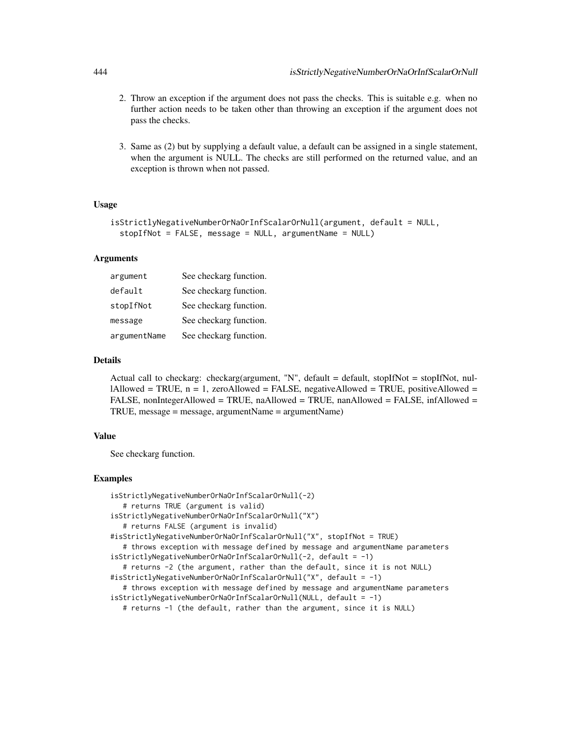- 2. Throw an exception if the argument does not pass the checks. This is suitable e.g. when no further action needs to be taken other than throwing an exception if the argument does not pass the checks.
- 3. Same as (2) but by supplying a default value, a default can be assigned in a single statement, when the argument is NULL. The checks are still performed on the returned value, and an exception is thrown when not passed.

# Usage

```
isStrictlyNegativeNumberOrNaOrInfScalarOrNull(argument, default = NULL,
  stopIfNot = FALSE, message = NULL, argumentName = NULL)
```
## Arguments

| argument     | See checkarg function. |
|--------------|------------------------|
| default      | See checkarg function. |
| stopIfNot    | See checkarg function. |
| message      | See checkarg function. |
| argumentName | See checkarg function. |

# Details

Actual call to checkarg: checkarg(argument, "N", default = default, stopIfNot = stopIfNot, nullAllowed = TRUE,  $n = 1$ , zeroAllowed = FALSE, negativeAllowed = TRUE, positiveAllowed = FALSE, nonIntegerAllowed = TRUE, naAllowed = TRUE, nanAllowed = FALSE, infAllowed = TRUE, message = message, argumentName = argumentName)

# Value

See checkarg function.

```
isStrictlyNegativeNumberOrNaOrInfScalarOrNull(-2)
   # returns TRUE (argument is valid)
isStrictlyNegativeNumberOrNaOrInfScalarOrNull("X")
   # returns FALSE (argument is invalid)
#isStrictlyNegativeNumberOrNaOrInfScalarOrNull("X", stopIfNot = TRUE)
   # throws exception with message defined by message and argumentName parameters
isStrictlyNegativeNumberOrNaOrInfScalarOrNull(-2, default = -1)
   # returns -2 (the argument, rather than the default, since it is not NULL)
#isStrictlyNegativeNumberOrNaOrInfScalarOrNull("X", default = -1)
   # throws exception with message defined by message and argumentName parameters
isStrictlyNegativeNumberOrNaOrInfScalarOrNull(NULL, default = -1)
   # returns -1 (the default, rather than the argument, since it is NULL)
```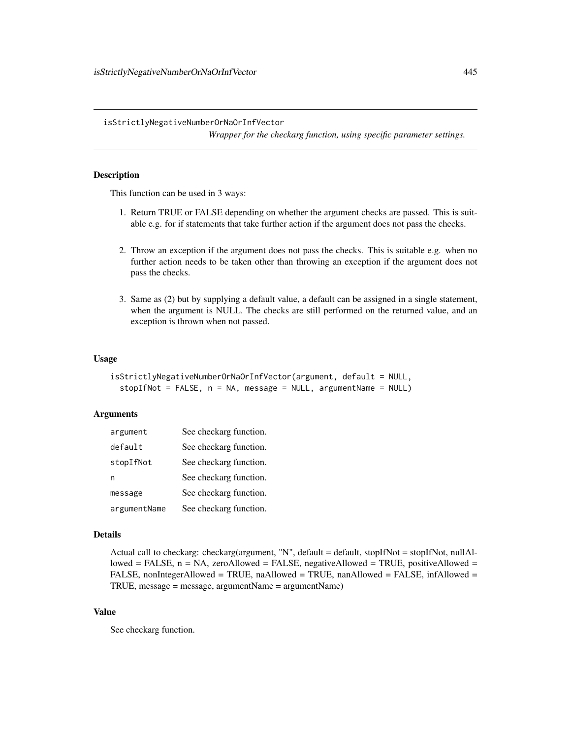isStrictlyNegativeNumberOrNaOrInfVector

*Wrapper for the checkarg function, using specific parameter settings.*

# **Description**

This function can be used in 3 ways:

- 1. Return TRUE or FALSE depending on whether the argument checks are passed. This is suitable e.g. for if statements that take further action if the argument does not pass the checks.
- 2. Throw an exception if the argument does not pass the checks. This is suitable e.g. when no further action needs to be taken other than throwing an exception if the argument does not pass the checks.
- 3. Same as (2) but by supplying a default value, a default can be assigned in a single statement, when the argument is NULL. The checks are still performed on the returned value, and an exception is thrown when not passed.

# Usage

```
isStrictlyNegativeNumberOrNaOrInfVector(argument, default = NULL,
 stopIfNot = FALSE, n = NA, message = NULL, argumentName = NULL)
```
# Arguments

| argument     | See checkarg function. |
|--------------|------------------------|
| default      | See checkarg function. |
| stopIfNot    | See checkarg function. |
| n            | See checkarg function. |
| message      | See checkarg function. |
| argumentName | See checkarg function. |

#### Details

Actual call to checkarg: checkarg(argument, "N", default = default, stopIfNot = stopIfNot, nullAl $l$ owed = FALSE,  $n$  = NA, zeroAllowed = FALSE, negativeAllowed = TRUE, positiveAllowed = FALSE, nonIntegerAllowed = TRUE, naAllowed = TRUE, nanAllowed = FALSE, infAllowed = TRUE, message = message, argumentName = argumentName)

# Value

See checkarg function.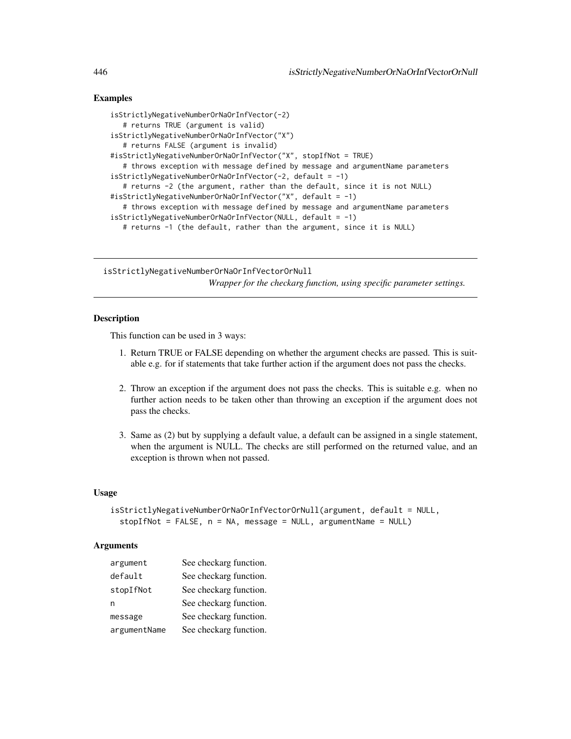# Examples

```
isStrictlyNegativeNumberOrNaOrInfVector(-2)
   # returns TRUE (argument is valid)
isStrictlyNegativeNumberOrNaOrInfVector("X")
   # returns FALSE (argument is invalid)
#isStrictlyNegativeNumberOrNaOrInfVector("X", stopIfNot = TRUE)
   # throws exception with message defined by message and argumentName parameters
isStrictlyNegativeNumberOrNaOrInfVector(-2, default = -1)
   # returns -2 (the argument, rather than the default, since it is not NULL)
#isStrictlyNegativeNumberOrNaOrInfVector("X", default = -1)
   # throws exception with message defined by message and argumentName parameters
isStrictlyNegativeNumberOrNaOrInfVector(NULL, default = -1)
   # returns -1 (the default, rather than the argument, since it is NULL)
```
isStrictlyNegativeNumberOrNaOrInfVectorOrNull *Wrapper for the checkarg function, using specific parameter settings.*

# Description

This function can be used in 3 ways:

- 1. Return TRUE or FALSE depending on whether the argument checks are passed. This is suitable e.g. for if statements that take further action if the argument does not pass the checks.
- 2. Throw an exception if the argument does not pass the checks. This is suitable e.g. when no further action needs to be taken other than throwing an exception if the argument does not pass the checks.
- 3. Same as (2) but by supplying a default value, a default can be assigned in a single statement, when the argument is NULL. The checks are still performed on the returned value, and an exception is thrown when not passed.

## Usage

```
isStrictlyNegativeNumberOrNaOrInfVectorOrNull(argument, default = NULL,
 stopIfNot = FALSE, n = NA, message = NULL, argumentName = NULL)
```
# **Arguments**

| argument     | See checkarg function. |
|--------------|------------------------|
| default      | See checkarg function. |
| stopIfNot    | See checkarg function. |
| n            | See checkarg function. |
| message      | See checkarg function. |
| argumentName | See checkarg function. |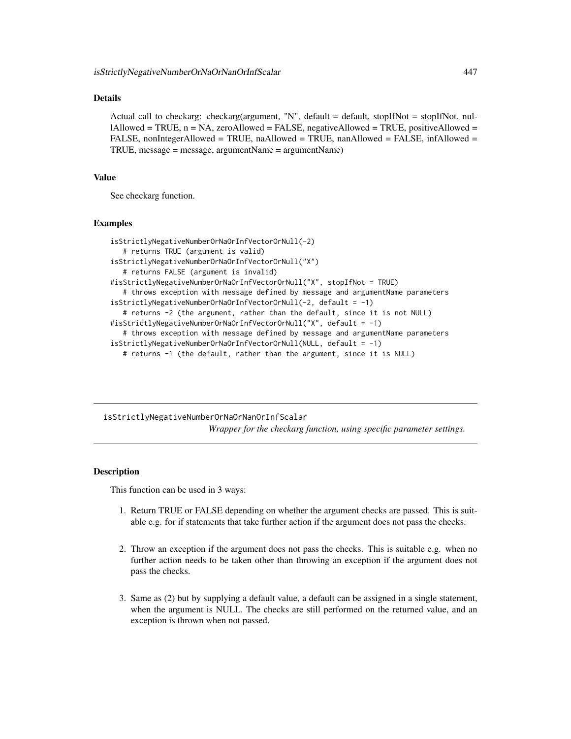# Details

Actual call to checkarg: checkarg(argument, "N", default = default, stopIfNot = stopIfNot, nul- $1$ Allowed = TRUE, n = NA, zeroAllowed = FALSE, negativeAllowed = TRUE, positiveAllowed = FALSE, nonIntegerAllowed = TRUE, naAllowed = TRUE, nanAllowed = FALSE, infAllowed = TRUE, message = message, argumentName = argumentName)

## Value

See checkarg function.

#### Examples

```
isStrictlyNegativeNumberOrNaOrInfVectorOrNull(-2)
   # returns TRUE (argument is valid)
isStrictlyNegativeNumberOrNaOrInfVectorOrNull("X")
   # returns FALSE (argument is invalid)
#isStrictlyNegativeNumberOrNaOrInfVectorOrNull("X", stopIfNot = TRUE)
   # throws exception with message defined by message and argumentName parameters
isStrictlyNegativeNumberOrNaOrInfVectorOrNull(-2, default = -1)
   # returns -2 (the argument, rather than the default, since it is not NULL)
#isStrictlyNegativeNumberOrNaOrInfVectorOrNull("X", default = -1)
   # throws exception with message defined by message and argumentName parameters
isStrictlyNegativeNumberOrNaOrInfVectorOrNull(NULL, default = -1)
  # returns -1 (the default, rather than the argument, since it is NULL)
```
isStrictlyNegativeNumberOrNaOrNanOrInfScalar *Wrapper for the checkarg function, using specific parameter settings.*

# Description

This function can be used in 3 ways:

- 1. Return TRUE or FALSE depending on whether the argument checks are passed. This is suitable e.g. for if statements that take further action if the argument does not pass the checks.
- 2. Throw an exception if the argument does not pass the checks. This is suitable e.g. when no further action needs to be taken other than throwing an exception if the argument does not pass the checks.
- 3. Same as (2) but by supplying a default value, a default can be assigned in a single statement, when the argument is NULL. The checks are still performed on the returned value, and an exception is thrown when not passed.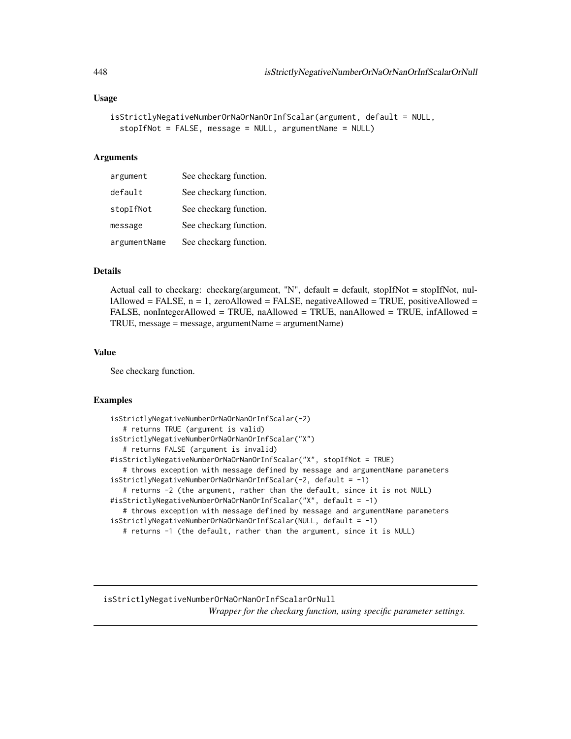## Usage

```
isStrictlyNegativeNumberOrNaOrNanOrInfScalar(argument, default = NULL,
  stopIfNot = FALSE, message = NULL, argumentName = NULL)
```
#### Arguments

| argument     | See checkarg function. |
|--------------|------------------------|
| default      | See checkarg function. |
| stopIfNot    | See checkarg function. |
| message      | See checkarg function. |
| argumentName | See checkarg function. |

# Details

Actual call to checkarg: checkarg(argument, "N", default = default, stopIfNot = stopIfNot, nullAllowed = FALSE,  $n = 1$ , zeroAllowed = FALSE, negativeAllowed = TRUE, positiveAllowed = FALSE, nonIntegerAllowed = TRUE, naAllowed = TRUE, nanAllowed = TRUE, infAllowed = TRUE, message = message, argumentName = argumentName)

## Value

See checkarg function.

# Examples

```
isStrictlyNegativeNumberOrNaOrNanOrInfScalar(-2)
   # returns TRUE (argument is valid)
isStrictlyNegativeNumberOrNaOrNanOrInfScalar("X")
   # returns FALSE (argument is invalid)
#isStrictlyNegativeNumberOrNaOrNanOrInfScalar("X", stopIfNot = TRUE)
   # throws exception with message defined by message and argumentName parameters
isStrictlyNegativeNumberOrNaOrNanOrInfScalar(-2, default = -1)
   # returns -2 (the argument, rather than the default, since it is not NULL)
#isStrictlyNegativeNumberOrNaOrNanOrInfScalar("X", default = -1)
   # throws exception with message defined by message and argumentName parameters
isStrictlyNegativeNumberOrNaOrNanOrInfScalar(NULL, default = -1)
  # returns -1 (the default, rather than the argument, since it is NULL)
```
isStrictlyNegativeNumberOrNaOrNanOrInfScalarOrNull *Wrapper for the checkarg function, using specific parameter settings.*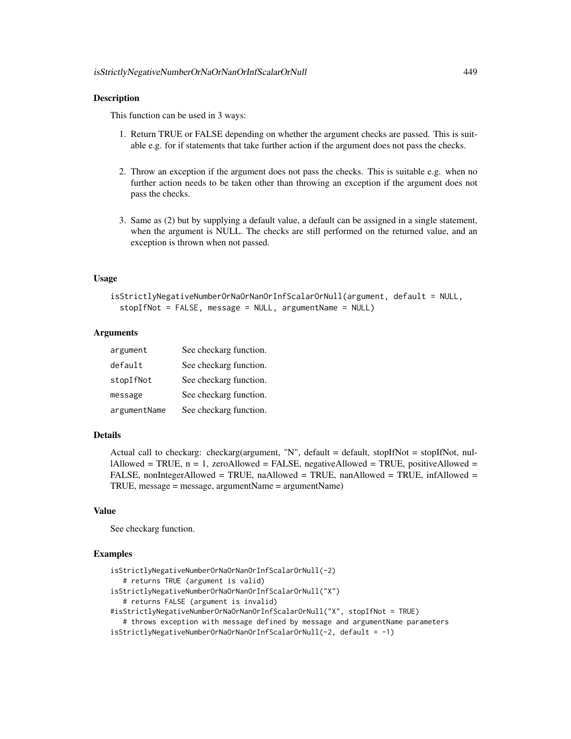## Description

This function can be used in 3 ways:

- 1. Return TRUE or FALSE depending on whether the argument checks are passed. This is suitable e.g. for if statements that take further action if the argument does not pass the checks.
- 2. Throw an exception if the argument does not pass the checks. This is suitable e.g. when no further action needs to be taken other than throwing an exception if the argument does not pass the checks.
- 3. Same as (2) but by supplying a default value, a default can be assigned in a single statement, when the argument is NULL. The checks are still performed on the returned value, and an exception is thrown when not passed.

#### Usage

```
isStrictlyNegativeNumberOrNaOrNanOrInfScalarOrNull(argument, default = NULL,
  stopIfNot = FALSE, message = NULL, argumentName = NULL)
```
# Arguments

| argument     | See checkarg function. |
|--------------|------------------------|
| default      | See checkarg function. |
| stopIfNot    | See checkarg function. |
| message      | See checkarg function. |
| argumentName | See checkarg function. |

# Details

Actual call to checkarg: checkarg(argument, "N", default = default, stopIfNot = stopIfNot, nullAllowed = TRUE,  $n = 1$ , zeroAllowed = FALSE, negativeAllowed = TRUE, positiveAllowed = FALSE, nonIntegerAllowed = TRUE, naAllowed = TRUE, nanAllowed = TRUE, infAllowed = TRUE, message = message, argumentName = argumentName)

# Value

See checkarg function.

```
isStrictlyNegativeNumberOrNaOrNanOrInfScalarOrNull(-2)
   # returns TRUE (argument is valid)
isStrictlyNegativeNumberOrNaOrNanOrInfScalarOrNull("X")
   # returns FALSE (argument is invalid)
#isStrictlyNegativeNumberOrNaOrNanOrInfScalarOrNull("X", stopIfNot = TRUE)
   # throws exception with message defined by message and argumentName parameters
isStrictlyNegativeNumberOrNaOrNanOrInfScalarOrNull(-2, default = -1)
```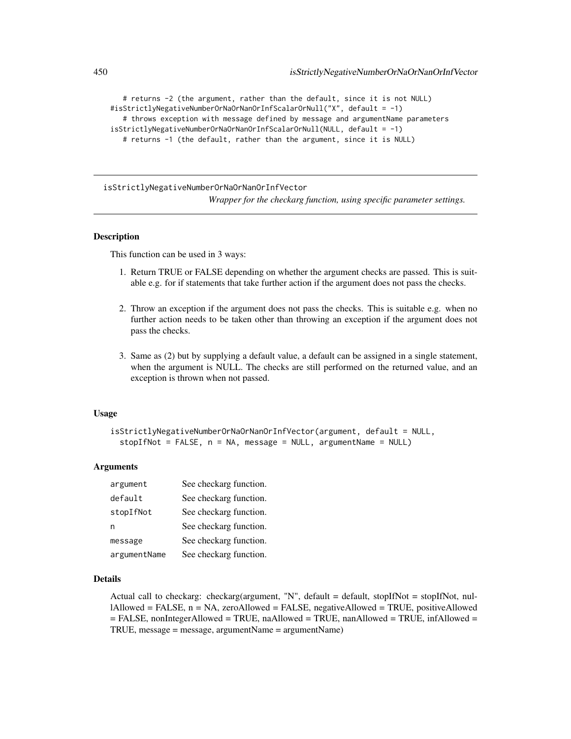```
# returns -2 (the argument, rather than the default, since it is not NULL)
#isStrictlyNegativeNumberOrNaOrNanOrInfScalarOrNull("X", default = -1)
   # throws exception with message defined by message and argumentName parameters
isStrictlyNegativeNumberOrNaOrNanOrInfScalarOrNull(NULL, default = -1)
   # returns -1 (the default, rather than the argument, since it is NULL)
```
isStrictlyNegativeNumberOrNaOrNanOrInfVector *Wrapper for the checkarg function, using specific parameter settings.*

# Description

This function can be used in 3 ways:

- 1. Return TRUE or FALSE depending on whether the argument checks are passed. This is suitable e.g. for if statements that take further action if the argument does not pass the checks.
- 2. Throw an exception if the argument does not pass the checks. This is suitable e.g. when no further action needs to be taken other than throwing an exception if the argument does not pass the checks.
- 3. Same as (2) but by supplying a default value, a default can be assigned in a single statement, when the argument is NULL. The checks are still performed on the returned value, and an exception is thrown when not passed.

## Usage

isStrictlyNegativeNumberOrNaOrNanOrInfVector(argument, default = NULL, stopIfNot = FALSE, n = NA, message = NULL, argumentName = NULL)

#### Arguments

| argument     | See checkarg function. |
|--------------|------------------------|
| default      | See checkarg function. |
| stopIfNot    | See checkarg function. |
| n            | See checkarg function. |
| message      | See checkarg function. |
| argumentName | See checkarg function. |

#### Details

Actual call to checkarg: checkarg(argument, "N", default = default, stopIfNot = stopIfNot, nullAllowed = FALSE, n = NA, zeroAllowed = FALSE, negativeAllowed = TRUE, positiveAllowed  $=$  FALSE, nonIntegerAllowed = TRUE, naAllowed = TRUE, nanAllowed = TRUE, infAllowed = TRUE, message = message, argumentName = argumentName)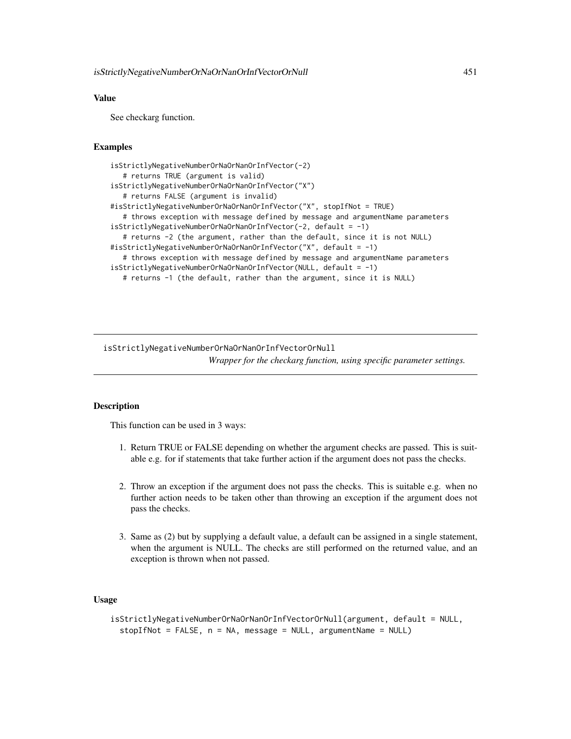# Value

See checkarg function.

# Examples

```
isStrictlyNegativeNumberOrNaOrNanOrInfVector(-2)
  # returns TRUE (argument is valid)
isStrictlyNegativeNumberOrNaOrNanOrInfVector("X")
  # returns FALSE (argument is invalid)
#isStrictlyNegativeNumberOrNaOrNanOrInfVector("X", stopIfNot = TRUE)
  # throws exception with message defined by message and argumentName parameters
isStrictlyNegativeNumberOrNaOrNanOrInfVector(-2, default = -1)
  # returns -2 (the argument, rather than the default, since it is not NULL)
#isStrictlyNegativeNumberOrNaOrNanOrInfVector("X", default = -1)
  # throws exception with message defined by message and argumentName parameters
isStrictlyNegativeNumberOrNaOrNanOrInfVector(NULL, default = -1)
  # returns -1 (the default, rather than the argument, since it is NULL)
```
isStrictlyNegativeNumberOrNaOrNanOrInfVectorOrNull

*Wrapper for the checkarg function, using specific parameter settings.*

# Description

This function can be used in 3 ways:

- 1. Return TRUE or FALSE depending on whether the argument checks are passed. This is suitable e.g. for if statements that take further action if the argument does not pass the checks.
- 2. Throw an exception if the argument does not pass the checks. This is suitable e.g. when no further action needs to be taken other than throwing an exception if the argument does not pass the checks.
- 3. Same as (2) but by supplying a default value, a default can be assigned in a single statement, when the argument is NULL. The checks are still performed on the returned value, and an exception is thrown when not passed.

# Usage

```
isStrictlyNegativeNumberOrNaOrNanOrInfVectorOrNull(argument, default = NULL,
 stopIfNot = FALSE, n = NA, message = NULL, argumentName = NULL)
```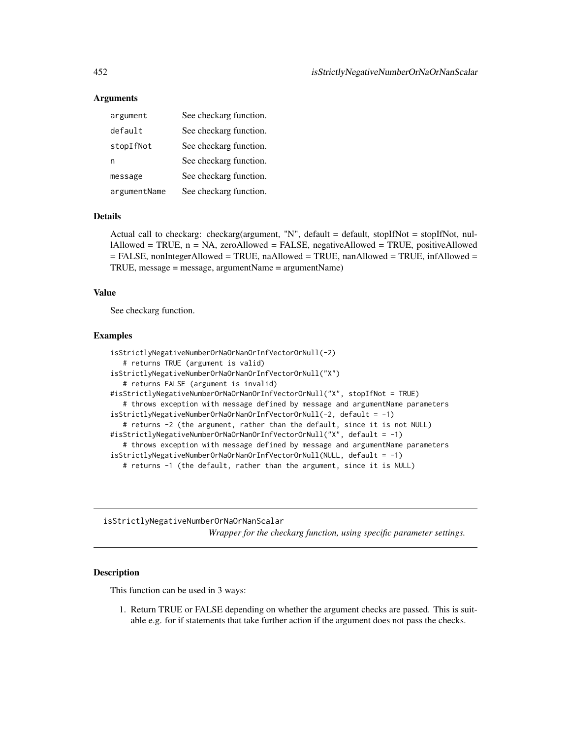# **Arguments**

| argument     | See checkarg function. |
|--------------|------------------------|
| default      | See checkarg function. |
| stopIfNot    | See checkarg function. |
| n            | See checkarg function. |
| message      | See checkarg function. |
| argumentName | See checkarg function. |

## Details

Actual call to checkarg: checkarg(argument, "N", default = default, stopIfNot = stopIfNot, nullAllowed = TRUE, n = NA, zeroAllowed = FALSE, negativeAllowed = TRUE, positiveAllowed = FALSE, nonIntegerAllowed = TRUE, naAllowed = TRUE, nanAllowed = TRUE, infAllowed = TRUE, message = message, argumentName = argumentName)

## Value

See checkarg function.

#### Examples

```
isStrictlyNegativeNumberOrNaOrNanOrInfVectorOrNull(-2)
   # returns TRUE (argument is valid)
isStrictlyNegativeNumberOrNaOrNanOrInfVectorOrNull("X")
   # returns FALSE (argument is invalid)
#isStrictlyNegativeNumberOrNaOrNanOrInfVectorOrNull("X", stopIfNot = TRUE)
   # throws exception with message defined by message and argumentName parameters
isStrictlyNegativeNumberOrNaOrNanOrInfVectorOrNull(-2, default = -1)
   # returns -2 (the argument, rather than the default, since it is not NULL)
#isStrictlyNegativeNumberOrNaOrNanOrInfVectorOrNull("X", default = -1)
   # throws exception with message defined by message and argumentName parameters
isStrictlyNegativeNumberOrNaOrNanOrInfVectorOrNull(NULL, default = -1)
   # returns -1 (the default, rather than the argument, since it is NULL)
```
isStrictlyNegativeNumberOrNaOrNanScalar *Wrapper for the checkarg function, using specific parameter settings.*

# Description

This function can be used in 3 ways:

1. Return TRUE or FALSE depending on whether the argument checks are passed. This is suitable e.g. for if statements that take further action if the argument does not pass the checks.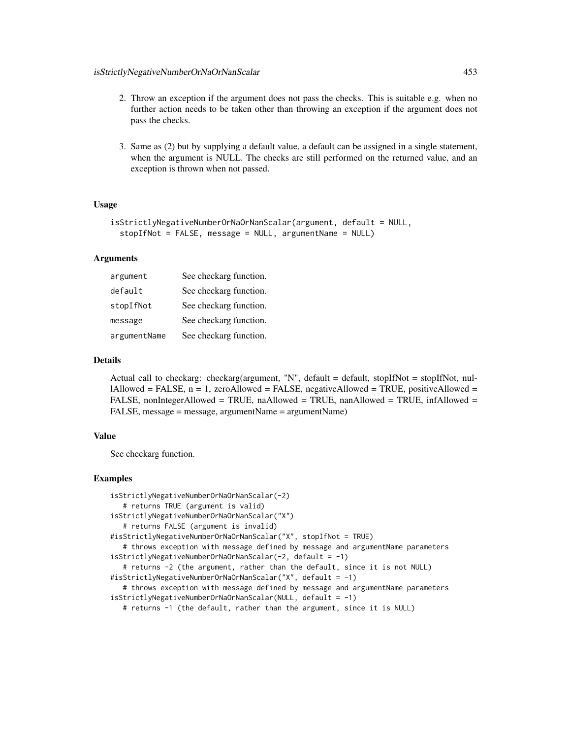- 2. Throw an exception if the argument does not pass the checks. This is suitable e.g. when no further action needs to be taken other than throwing an exception if the argument does not pass the checks.
- 3. Same as (2) but by supplying a default value, a default can be assigned in a single statement, when the argument is NULL. The checks are still performed on the returned value, and an exception is thrown when not passed.

# Usage

```
isStrictlyNegativeNumberOrNaOrNanScalar(argument, default = NULL,
  stopIfNot = FALSE, message = NULL, argumentName = NULL)
```
# Arguments

| argument     | See checkarg function. |
|--------------|------------------------|
| default      | See checkarg function. |
| stopIfNot    | See checkarg function. |
| message      | See checkarg function. |
| argumentName | See checkarg function. |

# Details

Actual call to checkarg: checkarg(argument, "N", default = default, stopIfNot = stopIfNot, nullAllowed = FALSE,  $n = 1$ , zeroAllowed = FALSE, negativeAllowed = TRUE, positiveAllowed = FALSE, nonIntegerAllowed = TRUE, naAllowed = TRUE, nanAllowed = TRUE, infAllowed = FALSE, message = message, argumentName = argumentName)

# Value

See checkarg function.

```
isStrictlyNegativeNumberOrNaOrNanScalar(-2)
   # returns TRUE (argument is valid)
isStrictlyNegativeNumberOrNaOrNanScalar("X")
   # returns FALSE (argument is invalid)
#isStrictlyNegativeNumberOrNaOrNanScalar("X", stopIfNot = TRUE)
   # throws exception with message defined by message and argumentName parameters
isStrictlyNegativeNumberOrNaOrNanScalar(-2, default = -1)
   # returns -2 (the argument, rather than the default, since it is not NULL)
#isStrictlyNegativeNumberOrNaOrNanScalar("X", default = -1)
   # throws exception with message defined by message and argumentName parameters
isStrictlyNegativeNumberOrNaOrNanScalar(NULL, default = -1)
   # returns -1 (the default, rather than the argument, since it is NULL)
```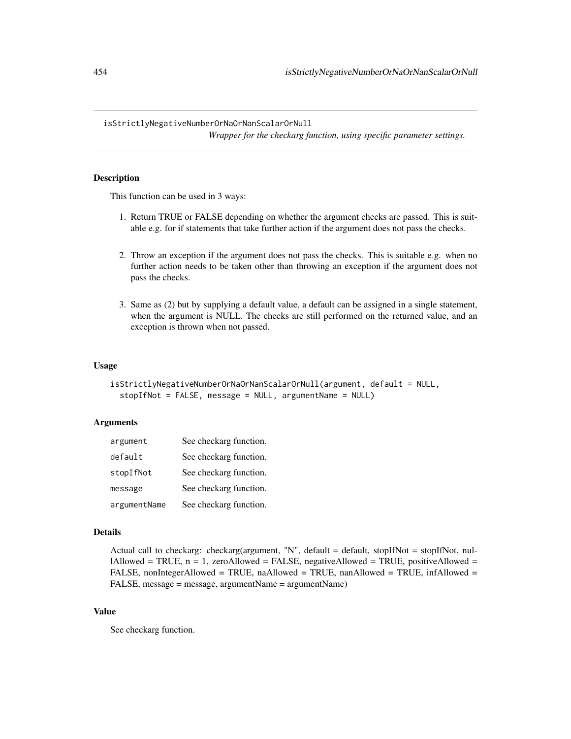isStrictlyNegativeNumberOrNaOrNanScalarOrNull *Wrapper for the checkarg function, using specific parameter settings.*

Description

This function can be used in 3 ways:

- 1. Return TRUE or FALSE depending on whether the argument checks are passed. This is suitable e.g. for if statements that take further action if the argument does not pass the checks.
- 2. Throw an exception if the argument does not pass the checks. This is suitable e.g. when no further action needs to be taken other than throwing an exception if the argument does not pass the checks.
- 3. Same as (2) but by supplying a default value, a default can be assigned in a single statement, when the argument is NULL. The checks are still performed on the returned value, and an exception is thrown when not passed.

#### Usage

```
isStrictlyNegativeNumberOrNaOrNanScalarOrNull(argument, default = NULL,
 stopIfNot = FALSE, message = NULL, argumentName = NULL)
```
# **Arguments**

| argument     | See checkarg function. |
|--------------|------------------------|
| default      | See checkarg function. |
| stopIfNot    | See checkarg function. |
| message      | See checkarg function. |
| argumentName | See checkarg function. |

#### Details

Actual call to checkarg: checkarg(argument, "N", default = default, stopIfNot = stopIfNot, nullAllowed = TRUE,  $n = 1$ , zeroAllowed = FALSE, negativeAllowed = TRUE, positiveAllowed = FALSE, nonIntegerAllowed = TRUE, naAllowed = TRUE, nanAllowed = TRUE, infAllowed = FALSE, message = message, argumentName = argumentName)

# Value

See checkarg function.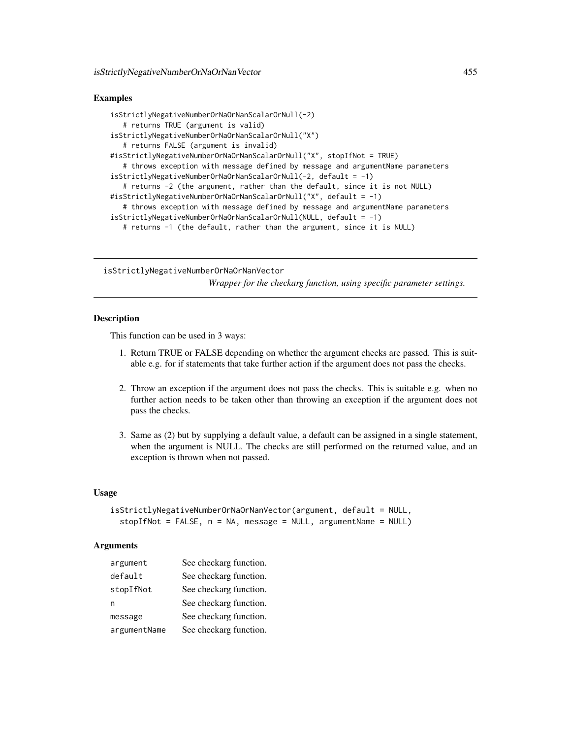# Examples

```
isStrictlyNegativeNumberOrNaOrNanScalarOrNull(-2)
   # returns TRUE (argument is valid)
isStrictlyNegativeNumberOrNaOrNanScalarOrNull("X")
   # returns FALSE (argument is invalid)
#isStrictlyNegativeNumberOrNaOrNanScalarOrNull("X", stopIfNot = TRUE)
   # throws exception with message defined by message and argumentName parameters
isStrictlyNegativeNumberOrNaOrNanScalarOrNull(-2, default = -1)
   # returns -2 (the argument, rather than the default, since it is not NULL)
#isStrictlyNegativeNumberOrNaOrNanScalarOrNull("X", default = -1)
   # throws exception with message defined by message and argumentName parameters
isStrictlyNegativeNumberOrNaOrNanScalarOrNull(NULL, default = -1)
   # returns -1 (the default, rather than the argument, since it is NULL)
```
isStrictlyNegativeNumberOrNaOrNanVector

*Wrapper for the checkarg function, using specific parameter settings.*

# Description

This function can be used in 3 ways:

- 1. Return TRUE or FALSE depending on whether the argument checks are passed. This is suitable e.g. for if statements that take further action if the argument does not pass the checks.
- 2. Throw an exception if the argument does not pass the checks. This is suitable e.g. when no further action needs to be taken other than throwing an exception if the argument does not pass the checks.
- 3. Same as (2) but by supplying a default value, a default can be assigned in a single statement, when the argument is NULL. The checks are still performed on the returned value, and an exception is thrown when not passed.

# Usage

```
isStrictlyNegativeNumberOrNaOrNanVector(argument, default = NULL,
 stopIfNot = FALSE, n = NA, message = NULL, argumentName = NULL)
```
# **Arguments**

| argument     | See checkarg function. |
|--------------|------------------------|
| default      | See checkarg function. |
| stopIfNot    | See checkarg function. |
| n            | See checkarg function. |
| message      | See checkarg function. |
| argumentName | See checkarg function. |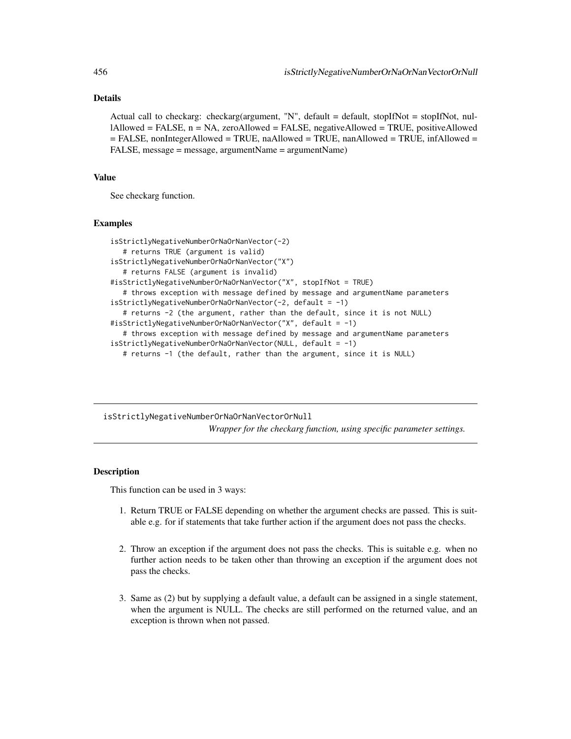# Details

Actual call to checkarg: checkarg(argument, "N", default = default, stopIfNot = stopIfNot, nullAllowed = FALSE, n = NA, zeroAllowed = FALSE, negativeAllowed = TRUE, positiveAllowed = FALSE, nonIntegerAllowed = TRUE, naAllowed = TRUE, nanAllowed = TRUE, infAllowed = FALSE, message = message, argumentName = argumentName)

## Value

See checkarg function.

#### Examples

```
isStrictlyNegativeNumberOrNaOrNanVector(-2)
   # returns TRUE (argument is valid)
isStrictlyNegativeNumberOrNaOrNanVector("X")
   # returns FALSE (argument is invalid)
#isStrictlyNegativeNumberOrNaOrNanVector("X", stopIfNot = TRUE)
   # throws exception with message defined by message and argumentName parameters
isStrictlyNegativeNumberOrNaOrNanVector(-2, default = -1)
   # returns -2 (the argument, rather than the default, since it is not NULL)
#isStrictlyNegativeNumberOrNaOrNanVector("X", default = -1)
   # throws exception with message defined by message and argumentName parameters
isStrictlyNegativeNumberOrNaOrNanVector(NULL, default = -1)
  # returns -1 (the default, rather than the argument, since it is NULL)
```
isStrictlyNegativeNumberOrNaOrNanVectorOrNull *Wrapper for the checkarg function, using specific parameter settings.*

# **Description**

This function can be used in 3 ways:

- 1. Return TRUE or FALSE depending on whether the argument checks are passed. This is suitable e.g. for if statements that take further action if the argument does not pass the checks.
- 2. Throw an exception if the argument does not pass the checks. This is suitable e.g. when no further action needs to be taken other than throwing an exception if the argument does not pass the checks.
- 3. Same as (2) but by supplying a default value, a default can be assigned in a single statement, when the argument is NULL. The checks are still performed on the returned value, and an exception is thrown when not passed.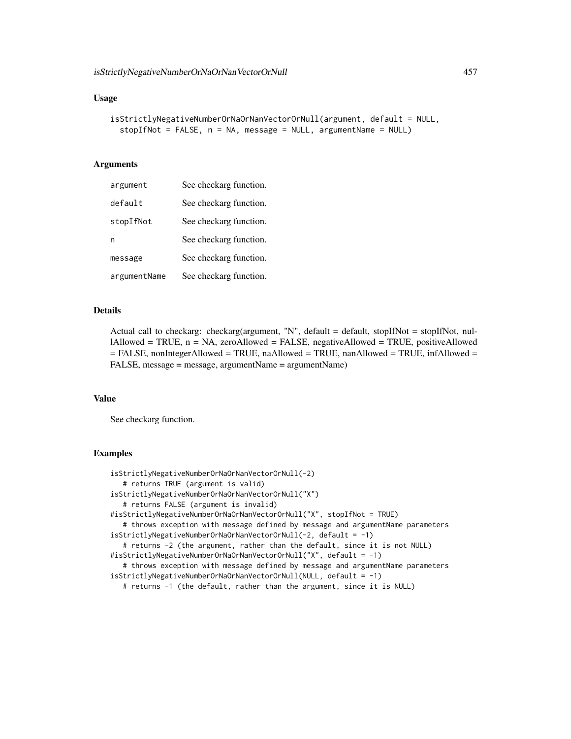# Usage

```
isStrictlyNegativeNumberOrNaOrNanVectorOrNull(argument, default = NULL,
  stopIfNot = FALSE, n = NA, message = NULL, argumentName = NULL)
```
# Arguments

| argument     | See checkarg function. |
|--------------|------------------------|
| default      | See checkarg function. |
| stopIfNot    | See checkarg function. |
| n            | See checkarg function. |
| message      | See checkarg function. |
| argumentName | See checkarg function. |

## Details

Actual call to checkarg: checkarg(argument, "N", default = default, stopIfNot = stopIfNot, nullAllowed = TRUE,  $n = NA$ , zeroAllowed = FALSE, negativeAllowed = TRUE, positiveAllowed  $=$  FALSE, nonIntegerAllowed = TRUE, naAllowed = TRUE, nanAllowed = TRUE, infAllowed = FALSE, message = message, argumentName = argumentName)

## Value

See checkarg function.

```
isStrictlyNegativeNumberOrNaOrNanVectorOrNull(-2)
  # returns TRUE (argument is valid)
isStrictlyNegativeNumberOrNaOrNanVectorOrNull("X")
   # returns FALSE (argument is invalid)
#isStrictlyNegativeNumberOrNaOrNanVectorOrNull("X", stopIfNot = TRUE)
   # throws exception with message defined by message and argumentName parameters
isStrictlyNegativeNumberOrNaOrNanVectorOrNull(-2, default = -1)
   # returns -2 (the argument, rather than the default, since it is not NULL)
#isStrictlyNegativeNumberOrNaOrNanVectorOrNull("X", default = -1)
   # throws exception with message defined by message and argumentName parameters
isStrictlyNegativeNumberOrNaOrNanVectorOrNull(NULL, default = -1)
   # returns -1 (the default, rather than the argument, since it is NULL)
```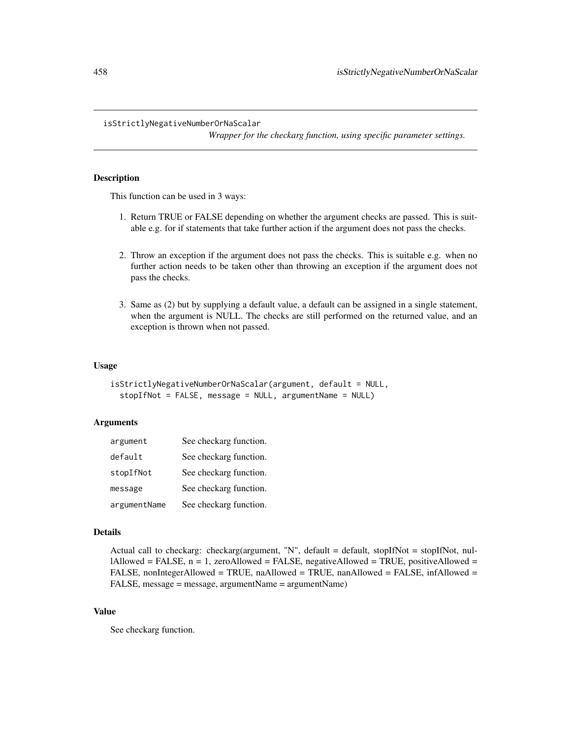#### isStrictlyNegativeNumberOrNaScalar

*Wrapper for the checkarg function, using specific parameter settings.*

# Description

This function can be used in 3 ways:

- 1. Return TRUE or FALSE depending on whether the argument checks are passed. This is suitable e.g. for if statements that take further action if the argument does not pass the checks.
- 2. Throw an exception if the argument does not pass the checks. This is suitable e.g. when no further action needs to be taken other than throwing an exception if the argument does not pass the checks.
- 3. Same as (2) but by supplying a default value, a default can be assigned in a single statement, when the argument is NULL. The checks are still performed on the returned value, and an exception is thrown when not passed.

#### Usage

```
isStrictlyNegativeNumberOrNaScalar(argument, default = NULL,
 stopIfNot = FALSE, message = NULL, argumentName = NULL)
```
# **Arguments**

| argument     | See checkarg function. |
|--------------|------------------------|
| default      | See checkarg function. |
| stopIfNot    | See checkarg function. |
| message      | See checkarg function. |
| argumentName | See checkarg function. |

#### Details

```
Actual call to checkarg: checkarg(argument, "N", default = default, stopIfNot = stopIfNot, nul-
lAllowed = FALSE, n = 1, zeroAllowed = FALSE, negativeAllowed = TRUE, positiveAllowed =
FALSE, nonIntegerAllowed = TRUE, naAllowed = TRUE, nanAllowed = FALSE, infAllowed =
FALSE, message = message, argumentName = argumentName)
```
# Value

See checkarg function.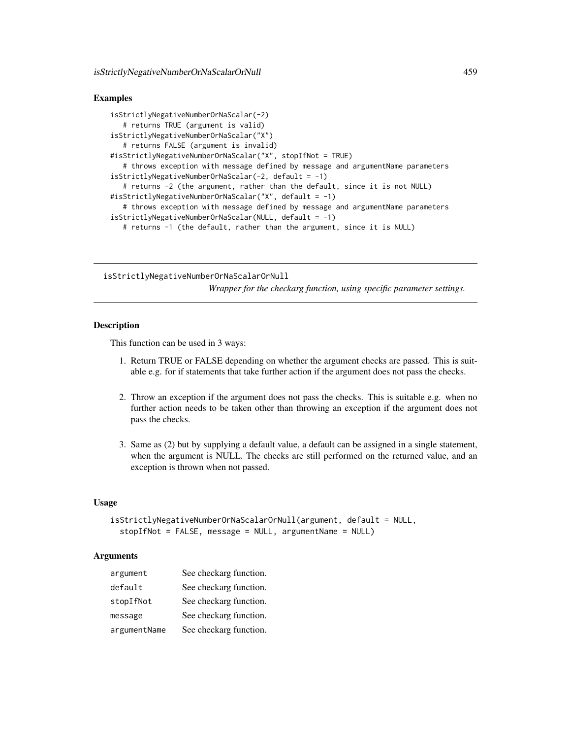# Examples

```
isStrictlyNegativeNumberOrNaScalar(-2)
   # returns TRUE (argument is valid)
isStrictlyNegativeNumberOrNaScalar("X")
   # returns FALSE (argument is invalid)
#isStrictlyNegativeNumberOrNaScalar("X", stopIfNot = TRUE)
   # throws exception with message defined by message and argumentName parameters
isStrictlyNegativeNumberOrNaScalar(-2, default = -1)
   # returns -2 (the argument, rather than the default, since it is not NULL)
#isStrictlyNegativeNumberOrNaScalar("X", default = -1)
   # throws exception with message defined by message and argumentName parameters
isStrictlyNegativeNumberOrNaScalar(NULL, default = -1)
   # returns -1 (the default, rather than the argument, since it is NULL)
```
isStrictlyNegativeNumberOrNaScalarOrNull *Wrapper for the checkarg function, using specific parameter settings.*

# **Description**

This function can be used in 3 ways:

- 1. Return TRUE or FALSE depending on whether the argument checks are passed. This is suitable e.g. for if statements that take further action if the argument does not pass the checks.
- 2. Throw an exception if the argument does not pass the checks. This is suitable e.g. when no further action needs to be taken other than throwing an exception if the argument does not pass the checks.
- 3. Same as (2) but by supplying a default value, a default can be assigned in a single statement, when the argument is NULL. The checks are still performed on the returned value, and an exception is thrown when not passed.

# Usage

```
isStrictlyNegativeNumberOrNaScalarOrNull(argument, default = NULL,
 stopIfNot = FALSE, message = NULL, argumentName = NULL)
```
## **Arguments**

| argument     | See checkarg function. |
|--------------|------------------------|
| default      | See checkarg function. |
| stopIfNot    | See checkarg function. |
| message      | See checkarg function. |
| argumentName | See checkarg function. |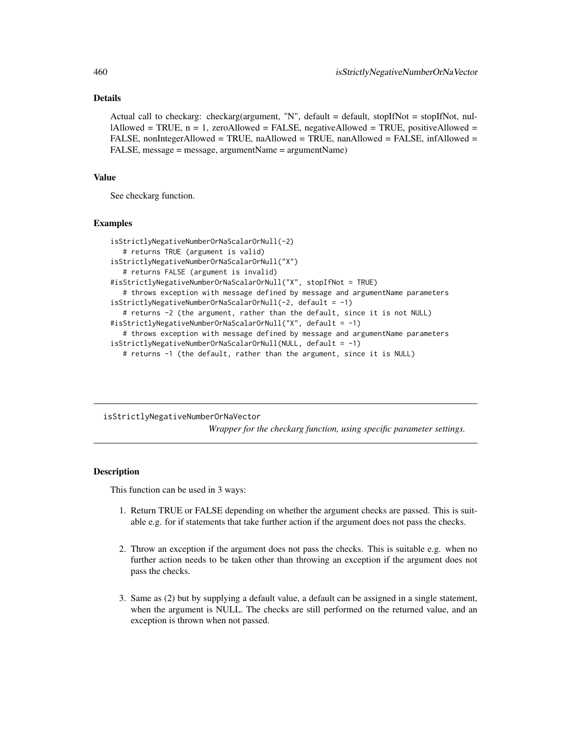# Details

Actual call to checkarg: checkarg(argument, "N", default = default, stopIfNot = stopIfNot, nul- $\text{l}$ Allowed = TRUE,  $n = 1$ , zeroAllowed = FALSE, negativeAllowed = TRUE, positiveAllowed = FALSE, nonIntegerAllowed = TRUE, naAllowed = TRUE, nanAllowed = FALSE, infAllowed = FALSE, message = message, argumentName = argumentName)

## Value

See checkarg function.

#### Examples

```
isStrictlyNegativeNumberOrNaScalarOrNull(-2)
   # returns TRUE (argument is valid)
isStrictlyNegativeNumberOrNaScalarOrNull("X")
   # returns FALSE (argument is invalid)
#isStrictlyNegativeNumberOrNaScalarOrNull("X", stopIfNot = TRUE)
   # throws exception with message defined by message and argumentName parameters
isStrictlyNegativeNumberOrNaScalarOrNull(-2, default = -1)
   # returns -2 (the argument, rather than the default, since it is not NULL)
#isStrictlyNegativeNumberOrNaScalarOrNull("X", default = -1)
   # throws exception with message defined by message and argumentName parameters
isStrictlyNegativeNumberOrNaScalarOrNull(NULL, default = -1)
  # returns -1 (the default, rather than the argument, since it is NULL)
```
isStrictlyNegativeNumberOrNaVector

*Wrapper for the checkarg function, using specific parameter settings.*

# **Description**

This function can be used in 3 ways:

- 1. Return TRUE or FALSE depending on whether the argument checks are passed. This is suitable e.g. for if statements that take further action if the argument does not pass the checks.
- 2. Throw an exception if the argument does not pass the checks. This is suitable e.g. when no further action needs to be taken other than throwing an exception if the argument does not pass the checks.
- 3. Same as (2) but by supplying a default value, a default can be assigned in a single statement, when the argument is NULL. The checks are still performed on the returned value, and an exception is thrown when not passed.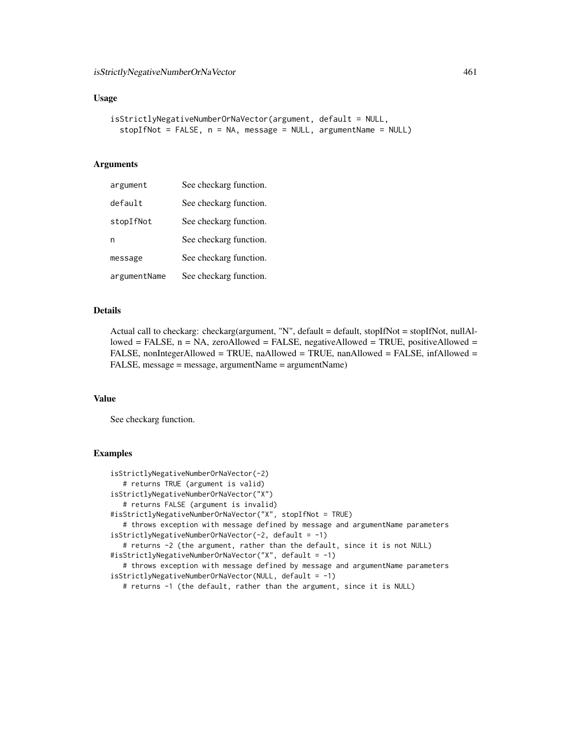## Usage

```
isStrictlyNegativeNumberOrNaVector(argument, default = NULL,
  stopIfNot = FALSE, n = NA, message = NULL, argumentName = NULL)
```
# Arguments

| argument     | See checkarg function. |
|--------------|------------------------|
| default      | See checkarg function. |
| stopIfNot    | See checkarg function. |
| n            | See checkarg function. |
| message      | See checkarg function. |
| argumentName | See checkarg function. |

# Details

Actual call to checkarg: checkarg(argument, "N", default = default, stopIfNot = stopIfNot, nullAllowed = FALSE, n = NA, zeroAllowed = FALSE, negativeAllowed = TRUE, positiveAllowed = FALSE, nonIntegerAllowed = TRUE, naAllowed = TRUE, nanAllowed = FALSE, infAllowed = FALSE, message = message, argumentName = argumentName)

## Value

See checkarg function.

```
isStrictlyNegativeNumberOrNaVector(-2)
  # returns TRUE (argument is valid)
isStrictlyNegativeNumberOrNaVector("X")
   # returns FALSE (argument is invalid)
#isStrictlyNegativeNumberOrNaVector("X", stopIfNot = TRUE)
   # throws exception with message defined by message and argumentName parameters
isStrictlyNegativeNumberOrNaVector(-2, default = -1)
   # returns -2 (the argument, rather than the default, since it is not NULL)
#isStrictlyNegativeNumberOrNaVector("X", default = -1)
   # throws exception with message defined by message and argumentName parameters
isStrictlyNegativeNumberOrNaVector(NULL, default = -1)
   # returns -1 (the default, rather than the argument, since it is NULL)
```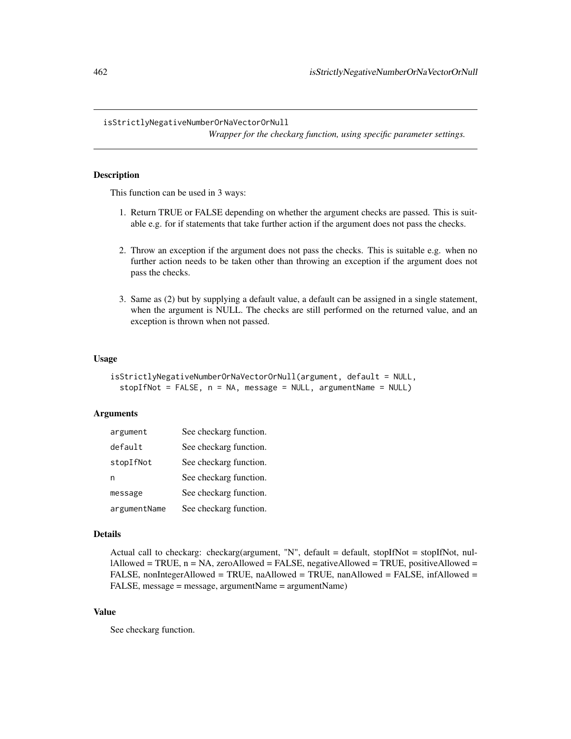isStrictlyNegativeNumberOrNaVectorOrNull

*Wrapper for the checkarg function, using specific parameter settings.*

# Description

This function can be used in 3 ways:

- 1. Return TRUE or FALSE depending on whether the argument checks are passed. This is suitable e.g. for if statements that take further action if the argument does not pass the checks.
- 2. Throw an exception if the argument does not pass the checks. This is suitable e.g. when no further action needs to be taken other than throwing an exception if the argument does not pass the checks.
- 3. Same as (2) but by supplying a default value, a default can be assigned in a single statement, when the argument is NULL. The checks are still performed on the returned value, and an exception is thrown when not passed.

## Usage

```
isStrictlyNegativeNumberOrNaVectorOrNull(argument, default = NULL,
 stopIfNot = FALSE, n = NA, message = NULL, argumentName = NULL)
```
## **Arguments**

| argument     | See checkarg function. |
|--------------|------------------------|
| default      | See checkarg function. |
| stopIfNot    | See checkarg function. |
| n            | See checkarg function. |
| message      | See checkarg function. |
| argumentName | See checkarg function. |

#### Details

Actual call to checkarg: checkarg(argument, "N", default = default, stopIfNot = stopIfNot, nullAllowed = TRUE,  $n = NA$ , zeroAllowed = FALSE, negativeAllowed = TRUE, positiveAllowed = FALSE, nonIntegerAllowed = TRUE, naAllowed = TRUE, nanAllowed = FALSE, infAllowed = FALSE, message = message, argumentName = argumentName)

# Value

See checkarg function.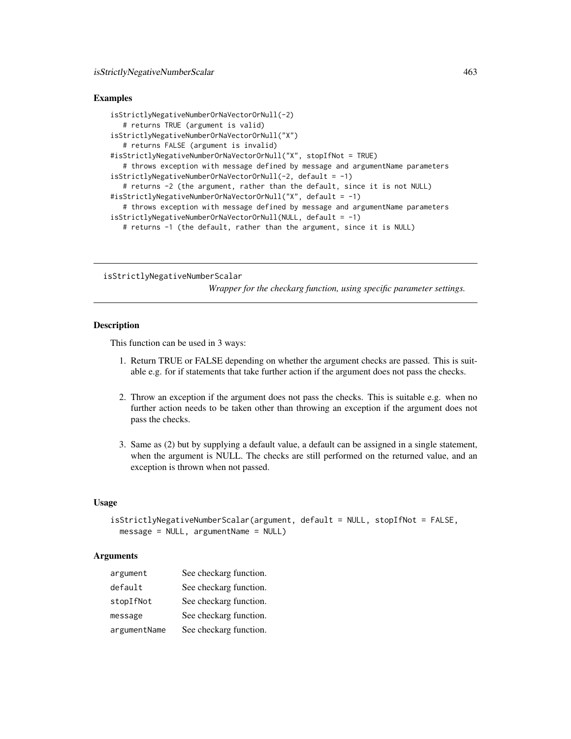# Examples

```
isStrictlyNegativeNumberOrNaVectorOrNull(-2)
   # returns TRUE (argument is valid)
isStrictlyNegativeNumberOrNaVectorOrNull("X")
   # returns FALSE (argument is invalid)
#isStrictlyNegativeNumberOrNaVectorOrNull("X", stopIfNot = TRUE)
   # throws exception with message defined by message and argumentName parameters
isStrictlyNegativeNumberOrNaVectorOrNull(-2, default = -1)
   # returns -2 (the argument, rather than the default, since it is not NULL)
#isStrictlyNegativeNumberOrNaVectorOrNull("X", default = -1)
   # throws exception with message defined by message and argumentName parameters
isStrictlyNegativeNumberOrNaVectorOrNull(NULL, default = -1)
   # returns -1 (the default, rather than the argument, since it is NULL)
```
isStrictlyNegativeNumberScalar

*Wrapper for the checkarg function, using specific parameter settings.*

## **Description**

This function can be used in 3 ways:

- 1. Return TRUE or FALSE depending on whether the argument checks are passed. This is suitable e.g. for if statements that take further action if the argument does not pass the checks.
- 2. Throw an exception if the argument does not pass the checks. This is suitable e.g. when no further action needs to be taken other than throwing an exception if the argument does not pass the checks.
- 3. Same as (2) but by supplying a default value, a default can be assigned in a single statement, when the argument is NULL. The checks are still performed on the returned value, and an exception is thrown when not passed.

# Usage

```
isStrictlyNegativeNumberScalar(argument, default = NULL, stopIfNot = FALSE,
 message = NULL, argumentName = NULL)
```
## **Arguments**

| argument     | See checkarg function. |
|--------------|------------------------|
| default      | See checkarg function. |
| stopIfNot    | See checkarg function. |
| message      | See checkarg function. |
| argumentName | See checkarg function. |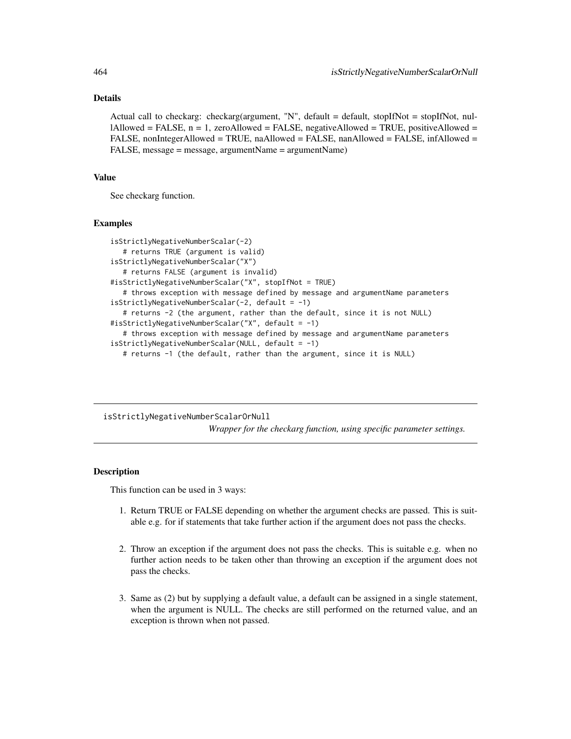# Details

Actual call to checkarg: checkarg(argument, "N", default = default, stopIfNot = stopIfNot, nul- $1$ Allowed = FALSE,  $n = 1$ , zeroAllowed = FALSE, negativeAllowed = TRUE, positiveAllowed = FALSE, nonIntegerAllowed = TRUE, naAllowed = FALSE, nanAllowed = FALSE, infAllowed = FALSE, message = message, argumentName = argumentName)

# Value

See checkarg function.

#### Examples

```
isStrictlyNegativeNumberScalar(-2)
   # returns TRUE (argument is valid)
isStrictlyNegativeNumberScalar("X")
   # returns FALSE (argument is invalid)
#isStrictlyNegativeNumberScalar("X", stopIfNot = TRUE)
   # throws exception with message defined by message and argumentName parameters
isStrictlyNegativeNumberScalar(-2, default = -1)
   # returns -2 (the argument, rather than the default, since it is not NULL)
#isStrictlyNegativeNumberScalar("X", default = -1)
   # throws exception with message defined by message and argumentName parameters
isStrictlyNegativeNumberScalar(NULL, default = -1)
  # returns -1 (the default, rather than the argument, since it is NULL)
```
isStrictlyNegativeNumberScalarOrNull *Wrapper for the checkarg function, using specific parameter settings.*

# **Description**

This function can be used in 3 ways:

- 1. Return TRUE or FALSE depending on whether the argument checks are passed. This is suitable e.g. for if statements that take further action if the argument does not pass the checks.
- 2. Throw an exception if the argument does not pass the checks. This is suitable e.g. when no further action needs to be taken other than throwing an exception if the argument does not pass the checks.
- 3. Same as (2) but by supplying a default value, a default can be assigned in a single statement, when the argument is NULL. The checks are still performed on the returned value, and an exception is thrown when not passed.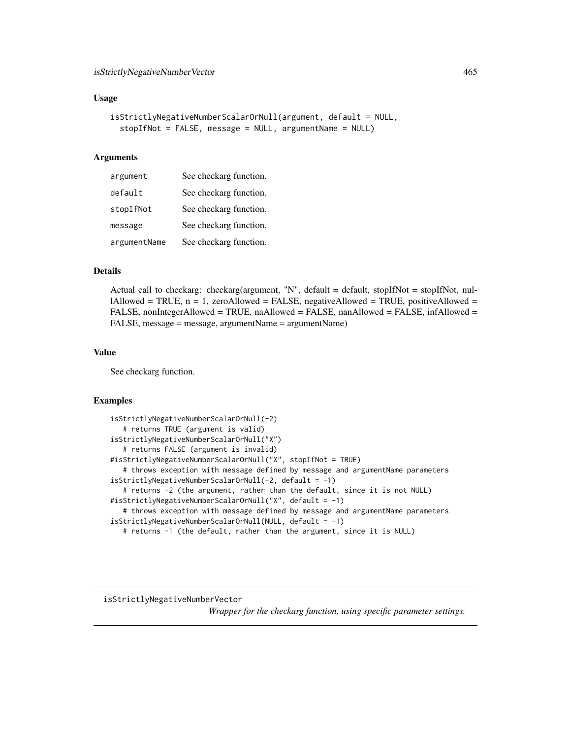# isStrictlyNegativeNumberVector 465

## Usage

```
isStrictlyNegativeNumberScalarOrNull(argument, default = NULL,
  stopIfNot = FALSE, message = NULL, argumentName = NULL)
```
#### Arguments

| argument     | See checkarg function. |
|--------------|------------------------|
| default      | See checkarg function. |
| stopIfNot    | See checkarg function. |
| message      | See checkarg function. |
| argumentName | See checkarg function. |

# Details

Actual call to checkarg: checkarg(argument, "N", default = default, stopIfNot = stopIfNot, nullAllowed = TRUE,  $n = 1$ , zeroAllowed = FALSE, negativeAllowed = TRUE, positiveAllowed = FALSE, nonIntegerAllowed = TRUE, naAllowed = FALSE, nanAllowed = FALSE, infAllowed = FALSE, message = message, argumentName = argumentName)

## Value

See checkarg function.

## Examples

```
isStrictlyNegativeNumberScalarOrNull(-2)
   # returns TRUE (argument is valid)
isStrictlyNegativeNumberScalarOrNull("X")
   # returns FALSE (argument is invalid)
#isStrictlyNegativeNumberScalarOrNull("X", stopIfNot = TRUE)
   # throws exception with message defined by message and argumentName parameters
isStrictlyNegativeNumberScalarOrNull(-2, default = -1)
   # returns -2 (the argument, rather than the default, since it is not NULL)
#isStrictlyNegativeNumberScalarOrNull("X", default = -1)
  # throws exception with message defined by message and argumentName parameters
isStrictlyNegativeNumberScalarOrNull(NULL, default = -1)
  # returns -1 (the default, rather than the argument, since it is NULL)
```
isStrictlyNegativeNumberVector

*Wrapper for the checkarg function, using specific parameter settings.*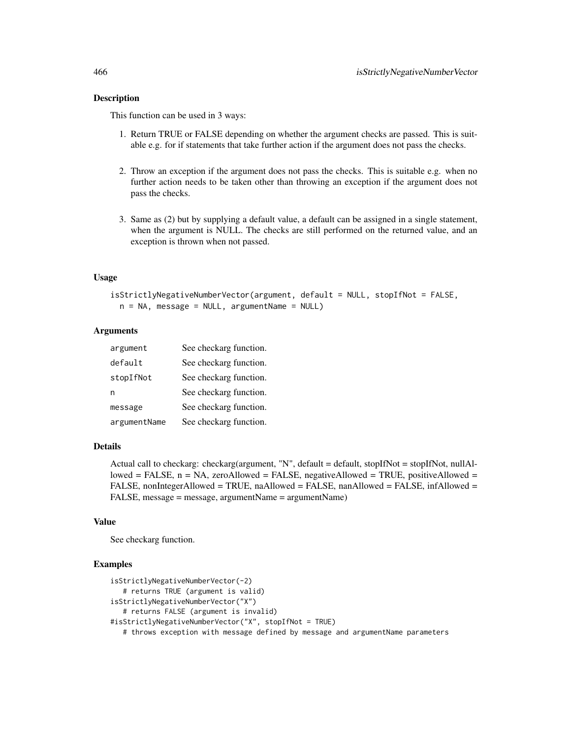# Description

This function can be used in 3 ways:

- 1. Return TRUE or FALSE depending on whether the argument checks are passed. This is suitable e.g. for if statements that take further action if the argument does not pass the checks.
- 2. Throw an exception if the argument does not pass the checks. This is suitable e.g. when no further action needs to be taken other than throwing an exception if the argument does not pass the checks.
- 3. Same as (2) but by supplying a default value, a default can be assigned in a single statement, when the argument is NULL. The checks are still performed on the returned value, and an exception is thrown when not passed.

## Usage

```
isStrictlyNegativeNumberVector(argument, default = NULL, stopIfNot = FALSE,
 n = NA, message = NULL, argumentName = NULL)
```
# **Arguments**

| argument     | See checkarg function. |
|--------------|------------------------|
| default      | See checkarg function. |
| stopIfNot    | See checkarg function. |
| n            | See checkarg function. |
| message      | See checkarg function. |
| argumentName | See checkarg function. |

# Details

Actual call to checkarg: checkarg(argument, "N", default = default, stopIfNot = stopIfNot, nullAllowed = FALSE,  $n = NA$ , zeroAllowed = FALSE, negativeAllowed = TRUE, positiveAllowed = FALSE, nonIntegerAllowed = TRUE, naAllowed = FALSE, nanAllowed = FALSE, infAllowed = FALSE, message = message, argumentName = argumentName)

# Value

See checkarg function.

```
isStrictlyNegativeNumberVector(-2)
  # returns TRUE (argument is valid)
isStrictlyNegativeNumberVector("X")
  # returns FALSE (argument is invalid)
#isStrictlyNegativeNumberVector("X", stopIfNot = TRUE)
  # throws exception with message defined by message and argumentName parameters
```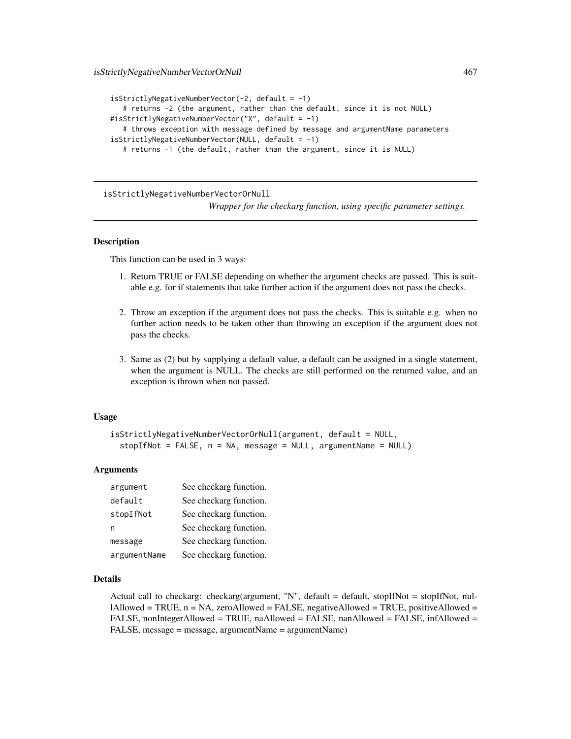```
isStrictlyNegativeNumberVector(-2, default = -1)
   # returns -2 (the argument, rather than the default, since it is not NULL)
#isStrictlyNegativeNumberVector("X", default = -1)
   # throws exception with message defined by message and argumentName parameters
isStrictlyNegativeNumberVector(NULL, default = -1)
   # returns -1 (the default, rather than the argument, since it is NULL)
```
isStrictlyNegativeNumberVectorOrNull

*Wrapper for the checkarg function, using specific parameter settings.*

# **Description**

This function can be used in 3 ways:

- 1. Return TRUE or FALSE depending on whether the argument checks are passed. This is suitable e.g. for if statements that take further action if the argument does not pass the checks.
- 2. Throw an exception if the argument does not pass the checks. This is suitable e.g. when no further action needs to be taken other than throwing an exception if the argument does not pass the checks.
- 3. Same as (2) but by supplying a default value, a default can be assigned in a single statement, when the argument is NULL. The checks are still performed on the returned value, and an exception is thrown when not passed.

#### Usage

```
isStrictlyNegativeNumberVectorOrNull(argument, default = NULL,
  stopIfNot = FALSE, n = NA, message = NULL, argumentName = NULL)
```
## **Arguments**

| argument     | See checkarg function. |
|--------------|------------------------|
| default      | See checkarg function. |
| stopIfNot    | See checkarg function. |
| n            | See checkarg function. |
| message      | See checkarg function. |
| argumentName | See checkarg function. |

#### Details

Actual call to checkarg: checkarg(argument, "N", default = default, stopIfNot = stopIfNot, nullAllowed = TRUE,  $n = NA$ , zeroAllowed = FALSE, negativeAllowed = TRUE, positiveAllowed = FALSE, nonIntegerAllowed = TRUE, naAllowed = FALSE, nanAllowed = FALSE, infAllowed = FALSE, message = message, argumentName = argumentName)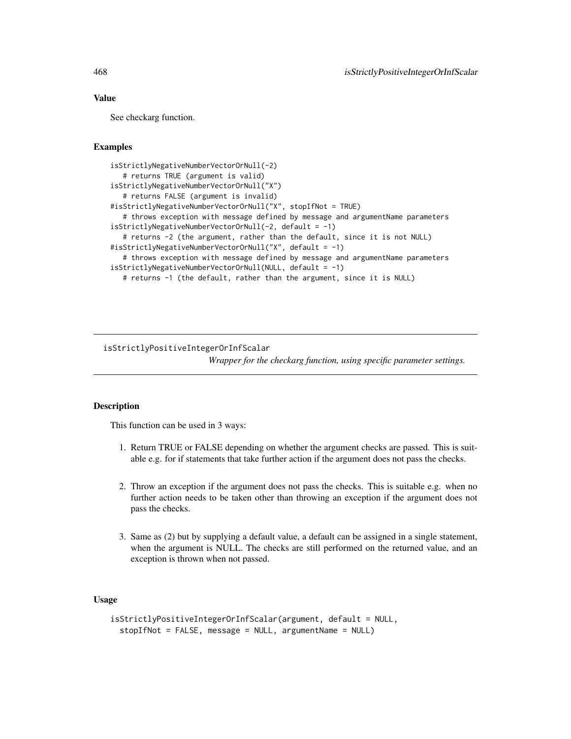# Value

See checkarg function.

# Examples

```
isStrictlyNegativeNumberVectorOrNull(-2)
  # returns TRUE (argument is valid)
isStrictlyNegativeNumberVectorOrNull("X")
  # returns FALSE (argument is invalid)
#isStrictlyNegativeNumberVectorOrNull("X", stopIfNot = TRUE)
  # throws exception with message defined by message and argumentName parameters
isStrictlyNegativeNumberVectorOrNull(-2, default = -1)
  # returns -2 (the argument, rather than the default, since it is not NULL)
#isStrictlyNegativeNumberVectorOrNull("X", default = -1)
  # throws exception with message defined by message and argumentName parameters
isStrictlyNegativeNumberVectorOrNull(NULL, default = -1)
  # returns -1 (the default, rather than the argument, since it is NULL)
```
isStrictlyPositiveIntegerOrInfScalar

*Wrapper for the checkarg function, using specific parameter settings.*

# Description

This function can be used in 3 ways:

- 1. Return TRUE or FALSE depending on whether the argument checks are passed. This is suitable e.g. for if statements that take further action if the argument does not pass the checks.
- 2. Throw an exception if the argument does not pass the checks. This is suitable e.g. when no further action needs to be taken other than throwing an exception if the argument does not pass the checks.
- 3. Same as (2) but by supplying a default value, a default can be assigned in a single statement, when the argument is NULL. The checks are still performed on the returned value, and an exception is thrown when not passed.

# Usage

```
isStrictlyPositiveIntegerOrInfScalar(argument, default = NULL,
 stopIfNot = FALSE, message = NULL, argumentName = NULL)
```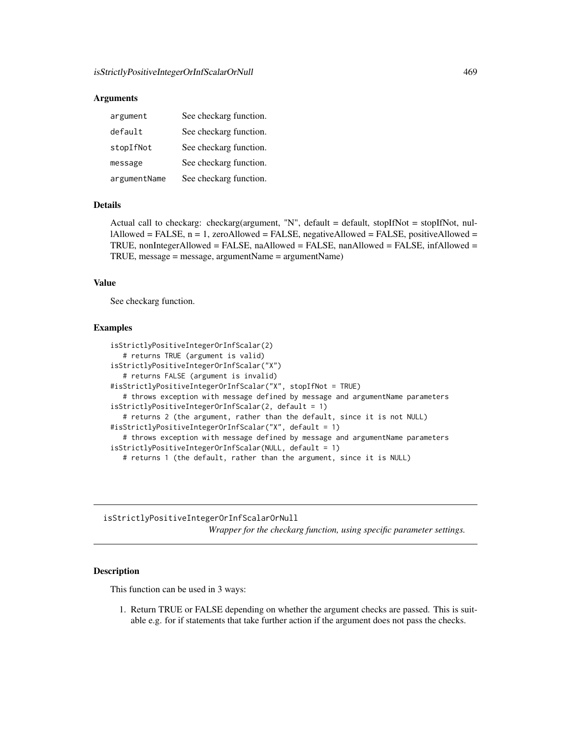### **Arguments**

| argument     | See checkarg function. |
|--------------|------------------------|
| default      | See checkarg function. |
| stopIfNot    | See checkarg function. |
| message      | See checkarg function. |
| argumentName | See checkarg function. |

# Details

Actual call to checkarg: checkarg(argument, "N", default = default, stopIfNot = stopIfNot, nul $l$ Allowed = FALSE,  $n = 1$ , zeroAllowed = FALSE, negativeAllowed = FALSE, positiveAllowed = TRUE, nonIntegerAllowed = FALSE, naAllowed = FALSE, nanAllowed = FALSE, infAllowed = TRUE, message = message, argumentName = argumentName)

# Value

See checkarg function.

# Examples

```
isStrictlyPositiveIntegerOrInfScalar(2)
   # returns TRUE (argument is valid)
isStrictlyPositiveIntegerOrInfScalar("X")
  # returns FALSE (argument is invalid)
#isStrictlyPositiveIntegerOrInfScalar("X", stopIfNot = TRUE)
   # throws exception with message defined by message and argumentName parameters
isStrictlyPositiveIntegerOrInfScalar(2, default = 1)
   # returns 2 (the argument, rather than the default, since it is not NULL)
#isStrictlyPositiveIntegerOrInfScalar("X", default = 1)
   # throws exception with message defined by message and argumentName parameters
isStrictlyPositiveIntegerOrInfScalar(NULL, default = 1)
   # returns 1 (the default, rather than the argument, since it is NULL)
```
isStrictlyPositiveIntegerOrInfScalarOrNull *Wrapper for the checkarg function, using specific parameter settings.*

#### **Description**

This function can be used in 3 ways:

1. Return TRUE or FALSE depending on whether the argument checks are passed. This is suitable e.g. for if statements that take further action if the argument does not pass the checks.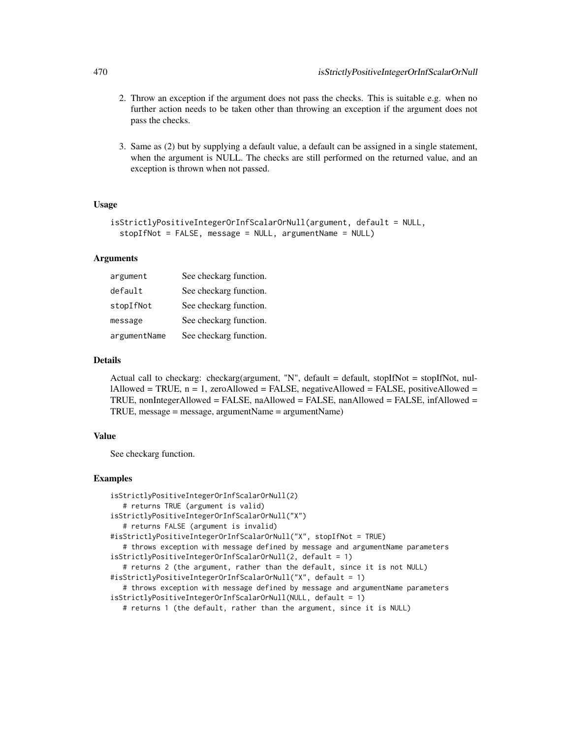- 2. Throw an exception if the argument does not pass the checks. This is suitable e.g. when no further action needs to be taken other than throwing an exception if the argument does not pass the checks.
- 3. Same as (2) but by supplying a default value, a default can be assigned in a single statement, when the argument is NULL. The checks are still performed on the returned value, and an exception is thrown when not passed.

# Usage

```
isStrictlyPositiveIntegerOrInfScalarOrNull(argument, default = NULL,
  stopIfNot = FALSE, message = NULL, argumentName = NULL)
```
### Arguments

| argument     | See checkarg function. |
|--------------|------------------------|
| default      | See checkarg function. |
| stopIfNot    | See checkarg function. |
| message      | See checkarg function. |
| argumentName | See checkarg function. |

## Details

Actual call to checkarg: checkarg(argument, "N", default = default, stopIfNot = stopIfNot, nullAllowed = TRUE,  $n = 1$ , zeroAllowed = FALSE, negativeAllowed = FALSE, positiveAllowed = TRUE, nonIntegerAllowed = FALSE, naAllowed = FALSE, nanAllowed = FALSE, infAllowed = TRUE, message = message, argumentName = argumentName)

# Value

See checkarg function.

```
isStrictlyPositiveIntegerOrInfScalarOrNull(2)
   # returns TRUE (argument is valid)
isStrictlyPositiveIntegerOrInfScalarOrNull("X")
   # returns FALSE (argument is invalid)
#isStrictlyPositiveIntegerOrInfScalarOrNull("X", stopIfNot = TRUE)
   # throws exception with message defined by message and argumentName parameters
isStrictlyPositiveIntegerOrInfScalarOrNull(2, default = 1)
   # returns 2 (the argument, rather than the default, since it is not NULL)
#isStrictlyPositiveIntegerOrInfScalarOrNull("X", default = 1)
   # throws exception with message defined by message and argumentName parameters
isStrictlyPositiveIntegerOrInfScalarOrNull(NULL, default = 1)
   # returns 1 (the default, rather than the argument, since it is NULL)
```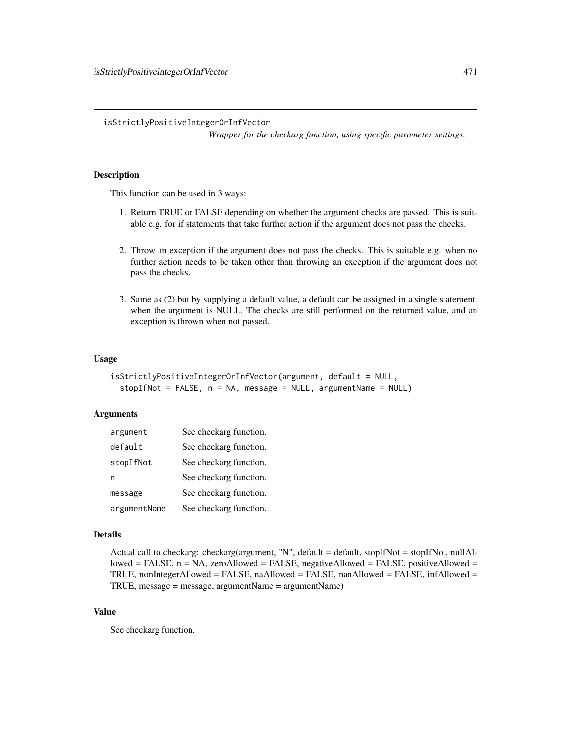isStrictlyPositiveIntegerOrInfVector

*Wrapper for the checkarg function, using specific parameter settings.*

# **Description**

This function can be used in 3 ways:

- 1. Return TRUE or FALSE depending on whether the argument checks are passed. This is suitable e.g. for if statements that take further action if the argument does not pass the checks.
- 2. Throw an exception if the argument does not pass the checks. This is suitable e.g. when no further action needs to be taken other than throwing an exception if the argument does not pass the checks.
- 3. Same as (2) but by supplying a default value, a default can be assigned in a single statement, when the argument is NULL. The checks are still performed on the returned value, and an exception is thrown when not passed.

# Usage

```
isStrictlyPositiveIntegerOrInfVector(argument, default = NULL,
 stopIfNot = FALSE, n = NA, message = NULL, argumentName = NULL)
```
# Arguments

| argument     | See checkarg function. |
|--------------|------------------------|
| default      | See checkarg function. |
| stopIfNot    | See checkarg function. |
| n            | See checkarg function. |
| message      | See checkarg function. |
| argumentName | See checkarg function. |

#### Details

Actual call to checkarg: checkarg(argument, "N", default = default, stopIfNot = stopIfNot, nullAllowed = FALSE,  $n = NA$ , zeroAllowed = FALSE, negativeAllowed = FALSE, positiveAllowed = TRUE, nonIntegerAllowed = FALSE, naAllowed = FALSE, nanAllowed = FALSE, infAllowed = TRUE, message = message, argumentName = argumentName)

## Value

See checkarg function.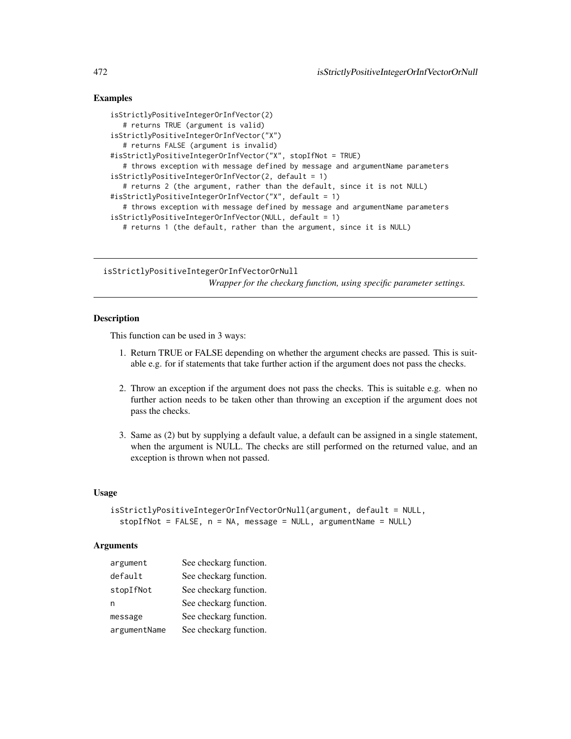# Examples

```
isStrictlyPositiveIntegerOrInfVector(2)
   # returns TRUE (argument is valid)
isStrictlyPositiveIntegerOrInfVector("X")
   # returns FALSE (argument is invalid)
#isStrictlyPositiveIntegerOrInfVector("X", stopIfNot = TRUE)
   # throws exception with message defined by message and argumentName parameters
isStrictlyPositiveIntegerOrInfVector(2, default = 1)
   # returns 2 (the argument, rather than the default, since it is not NULL)
#isStrictlyPositiveIntegerOrInfVector("X", default = 1)
   # throws exception with message defined by message and argumentName parameters
isStrictlyPositiveIntegerOrInfVector(NULL, default = 1)
  # returns 1 (the default, rather than the argument, since it is NULL)
```
isStrictlyPositiveIntegerOrInfVectorOrNull

*Wrapper for the checkarg function, using specific parameter settings.*

# Description

This function can be used in 3 ways:

- 1. Return TRUE or FALSE depending on whether the argument checks are passed. This is suitable e.g. for if statements that take further action if the argument does not pass the checks.
- 2. Throw an exception if the argument does not pass the checks. This is suitable e.g. when no further action needs to be taken other than throwing an exception if the argument does not pass the checks.
- 3. Same as (2) but by supplying a default value, a default can be assigned in a single statement, when the argument is NULL. The checks are still performed on the returned value, and an exception is thrown when not passed.

### Usage

```
isStrictlyPositiveIntegerOrInfVectorOrNull(argument, default = NULL,
 stopIfNot = FALSE, n = NA, message = NULL, argumentName = NULL)
```
### **Arguments**

| argument     | See checkarg function. |
|--------------|------------------------|
| default      | See checkarg function. |
| stopIfNot    | See checkarg function. |
| n            | See checkarg function. |
| message      | See checkarg function. |
| argumentName | See checkarg function. |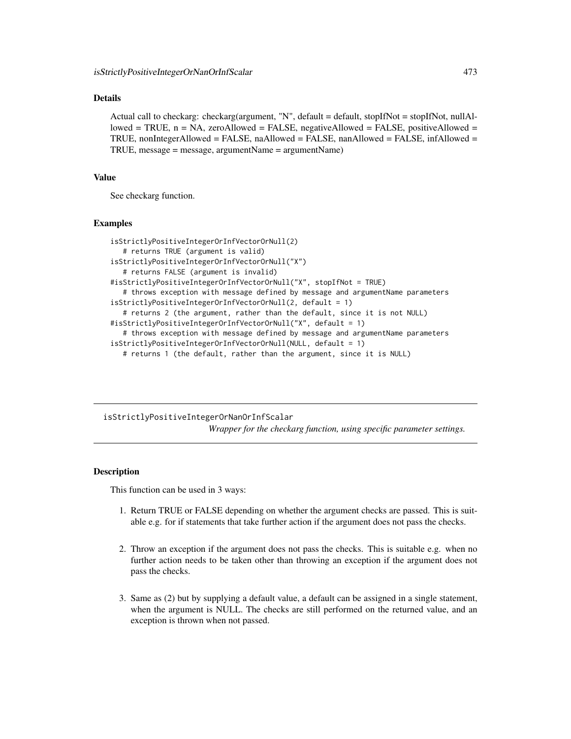# Details

Actual call to checkarg: checkarg(argument, "N", default = default, stopIfNot = stopIfNot, nullAllowed = TRUE,  $n = NA$ , zeroAllowed = FALSE, negativeAllowed = FALSE, positiveAllowed = TRUE, nonIntegerAllowed = FALSE, naAllowed = FALSE, nanAllowed = FALSE, infAllowed = TRUE, message = message, argumentName = argumentName)

#### Value

See checkarg function.

#### Examples

```
isStrictlyPositiveIntegerOrInfVectorOrNull(2)
   # returns TRUE (argument is valid)
isStrictlyPositiveIntegerOrInfVectorOrNull("X")
   # returns FALSE (argument is invalid)
#isStrictlyPositiveIntegerOrInfVectorOrNull("X", stopIfNot = TRUE)
   # throws exception with message defined by message and argumentName parameters
isStrictlyPositiveIntegerOrInfVectorOrNull(2, default = 1)
   # returns 2 (the argument, rather than the default, since it is not NULL)
#isStrictlyPositiveIntegerOrInfVectorOrNull("X", default = 1)
   # throws exception with message defined by message and argumentName parameters
isStrictlyPositiveIntegerOrInfVectorOrNull(NULL, default = 1)
  # returns 1 (the default, rather than the argument, since it is NULL)
```
isStrictlyPositiveIntegerOrNanOrInfScalar *Wrapper for the checkarg function, using specific parameter settings.*

### Description

This function can be used in 3 ways:

- 1. Return TRUE or FALSE depending on whether the argument checks are passed. This is suitable e.g. for if statements that take further action if the argument does not pass the checks.
- 2. Throw an exception if the argument does not pass the checks. This is suitable e.g. when no further action needs to be taken other than throwing an exception if the argument does not pass the checks.
- 3. Same as (2) but by supplying a default value, a default can be assigned in a single statement, when the argument is NULL. The checks are still performed on the returned value, and an exception is thrown when not passed.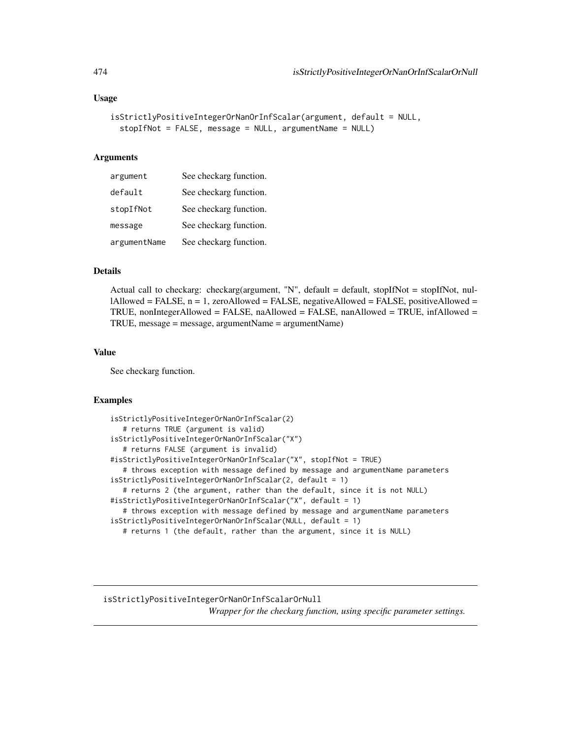### Usage

```
isStrictlyPositiveIntegerOrNanOrInfScalar(argument, default = NULL,
  stopIfNot = FALSE, message = NULL, argumentName = NULL)
```
#### Arguments

| argument     | See checkarg function. |
|--------------|------------------------|
| default      | See checkarg function. |
| stopIfNot    | See checkarg function. |
| message      | See checkarg function. |
| argumentName | See checkarg function. |

# Details

Actual call to checkarg: checkarg(argument, "N", default = default, stopIfNot = stopIfNot, nul- $\text{I}$ Allowed = FALSE, n = 1, zeroAllowed = FALSE, negativeAllowed = FALSE, positiveAllowed = TRUE, nonIntegerAllowed = FALSE, naAllowed = FALSE, nanAllowed = TRUE, infAllowed = TRUE, message = message, argumentName = argumentName)

### Value

See checkarg function.

# Examples

```
isStrictlyPositiveIntegerOrNanOrInfScalar(2)
   # returns TRUE (argument is valid)
isStrictlyPositiveIntegerOrNanOrInfScalar("X")
   # returns FALSE (argument is invalid)
#isStrictlyPositiveIntegerOrNanOrInfScalar("X", stopIfNot = TRUE)
   # throws exception with message defined by message and argumentName parameters
isStrictlyPositiveIntegerOrNanOrInfScalar(2, default = 1)
   # returns 2 (the argument, rather than the default, since it is not NULL)
#isStrictlyPositiveIntegerOrNanOrInfScalar("X", default = 1)
   # throws exception with message defined by message and argumentName parameters
isStrictlyPositiveIntegerOrNanOrInfScalar(NULL, default = 1)
  # returns 1 (the default, rather than the argument, since it is NULL)
```
isStrictlyPositiveIntegerOrNanOrInfScalarOrNull *Wrapper for the checkarg function, using specific parameter settings.*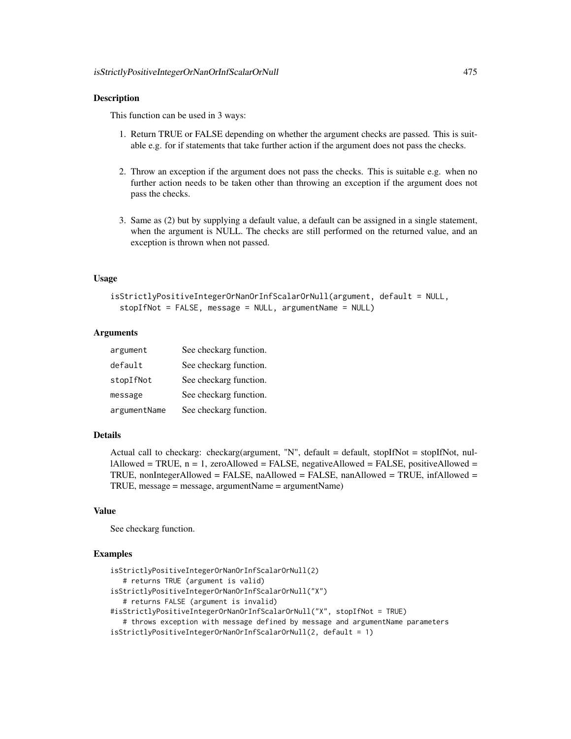### **Description**

This function can be used in 3 ways:

- 1. Return TRUE or FALSE depending on whether the argument checks are passed. This is suitable e.g. for if statements that take further action if the argument does not pass the checks.
- 2. Throw an exception if the argument does not pass the checks. This is suitable e.g. when no further action needs to be taken other than throwing an exception if the argument does not pass the checks.
- 3. Same as (2) but by supplying a default value, a default can be assigned in a single statement, when the argument is NULL. The checks are still performed on the returned value, and an exception is thrown when not passed.

#### Usage

```
isStrictlyPositiveIntegerOrNanOrInfScalarOrNull(argument, default = NULL,
  stopIfNot = FALSE, message = NULL, argumentName = NULL)
```
### Arguments

| argument     | See checkarg function. |
|--------------|------------------------|
| default      | See checkarg function. |
| stopIfNot    | See checkarg function. |
| message      | See checkarg function. |
| argumentName | See checkarg function. |

### Details

Actual call to checkarg: checkarg(argument, "N", default = default, stopIfNot = stopIfNot, nullAllowed = TRUE,  $n = 1$ , zeroAllowed = FALSE, negativeAllowed = FALSE, positiveAllowed = TRUE, nonIntegerAllowed = FALSE, naAllowed = FALSE, nanAllowed = TRUE, infAllowed = TRUE, message = message, argumentName = argumentName)

### Value

See checkarg function.

```
isStrictlyPositiveIntegerOrNanOrInfScalarOrNull(2)
   # returns TRUE (argument is valid)
isStrictlyPositiveIntegerOrNanOrInfScalarOrNull("X")
   # returns FALSE (argument is invalid)
#isStrictlyPositiveIntegerOrNanOrInfScalarOrNull("X", stopIfNot = TRUE)
   # throws exception with message defined by message and argumentName parameters
isStrictlyPositiveIntegerOrNanOrInfScalarOrNull(2, default = 1)
```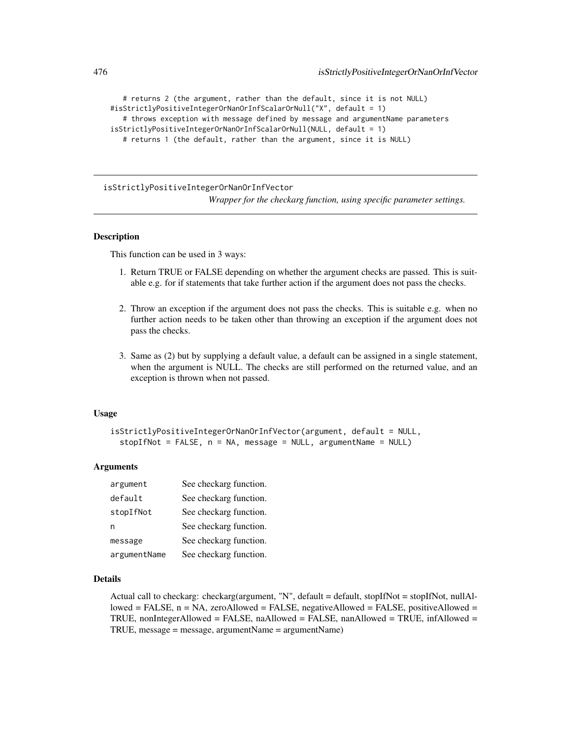```
# returns 2 (the argument, rather than the default, since it is not NULL)
#isStrictlyPositiveIntegerOrNanOrInfScalarOrNull("X", default = 1)
   # throws exception with message defined by message and argumentName parameters
isStrictlyPositiveIntegerOrNanOrInfScalarOrNull(NULL, default = 1)
   # returns 1 (the default, rather than the argument, since it is NULL)
```
isStrictlyPositiveIntegerOrNanOrInfVector *Wrapper for the checkarg function, using specific parameter settings.*

## **Description**

This function can be used in 3 ways:

- 1. Return TRUE or FALSE depending on whether the argument checks are passed. This is suitable e.g. for if statements that take further action if the argument does not pass the checks.
- 2. Throw an exception if the argument does not pass the checks. This is suitable e.g. when no further action needs to be taken other than throwing an exception if the argument does not pass the checks.
- 3. Same as (2) but by supplying a default value, a default can be assigned in a single statement, when the argument is NULL. The checks are still performed on the returned value, and an exception is thrown when not passed.

#### Usage

isStrictlyPositiveIntegerOrNanOrInfVector(argument, default = NULL, stopIfNot = FALSE,  $n = NA$ , message = NULL, argumentName = NULL)

#### Arguments

| argument     | See checkarg function. |
|--------------|------------------------|
| default      | See checkarg function. |
| stopIfNot    | See checkarg function. |
| n            | See checkarg function. |
| message      | See checkarg function. |
| argumentName | See checkarg function. |

#### Details

Actual call to checkarg: checkarg(argument, "N", default = default, stopIfNot = stopIfNot, nullAllowed = FALSE,  $n = NA$ , zeroAllowed = FALSE, negativeAllowed = FALSE, positiveAllowed = TRUE, nonIntegerAllowed = FALSE, naAllowed = FALSE, nanAllowed = TRUE, infAllowed = TRUE, message = message, argumentName = argumentName)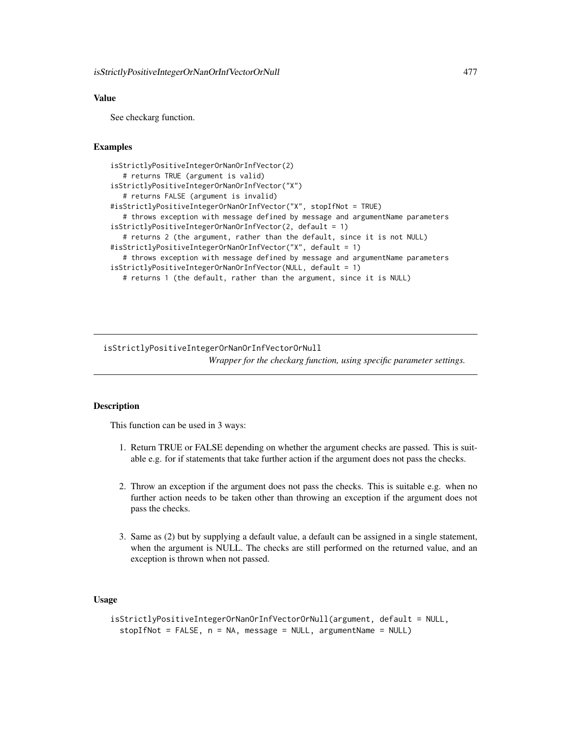# Value

See checkarg function.

### Examples

```
isStrictlyPositiveIntegerOrNanOrInfVector(2)
  # returns TRUE (argument is valid)
isStrictlyPositiveIntegerOrNanOrInfVector("X")
  # returns FALSE (argument is invalid)
#isStrictlyPositiveIntegerOrNanOrInfVector("X", stopIfNot = TRUE)
  # throws exception with message defined by message and argumentName parameters
isStrictlyPositiveIntegerOrNanOrInfVector(2, default = 1)
  # returns 2 (the argument, rather than the default, since it is not NULL)
#isStrictlyPositiveIntegerOrNanOrInfVector("X", default = 1)
  # throws exception with message defined by message and argumentName parameters
isStrictlyPositiveIntegerOrNanOrInfVector(NULL, default = 1)
  # returns 1 (the default, rather than the argument, since it is NULL)
```
isStrictlyPositiveIntegerOrNanOrInfVectorOrNull

*Wrapper for the checkarg function, using specific parameter settings.*

### Description

This function can be used in 3 ways:

- 1. Return TRUE or FALSE depending on whether the argument checks are passed. This is suitable e.g. for if statements that take further action if the argument does not pass the checks.
- 2. Throw an exception if the argument does not pass the checks. This is suitable e.g. when no further action needs to be taken other than throwing an exception if the argument does not pass the checks.
- 3. Same as (2) but by supplying a default value, a default can be assigned in a single statement, when the argument is NULL. The checks are still performed on the returned value, and an exception is thrown when not passed.

# Usage

```
isStrictlyPositiveIntegerOrNanOrInfVectorOrNull(argument, default = NULL,
 stopIfNot = FALSE, n = NA, message = NULL, argumentName = NULL)
```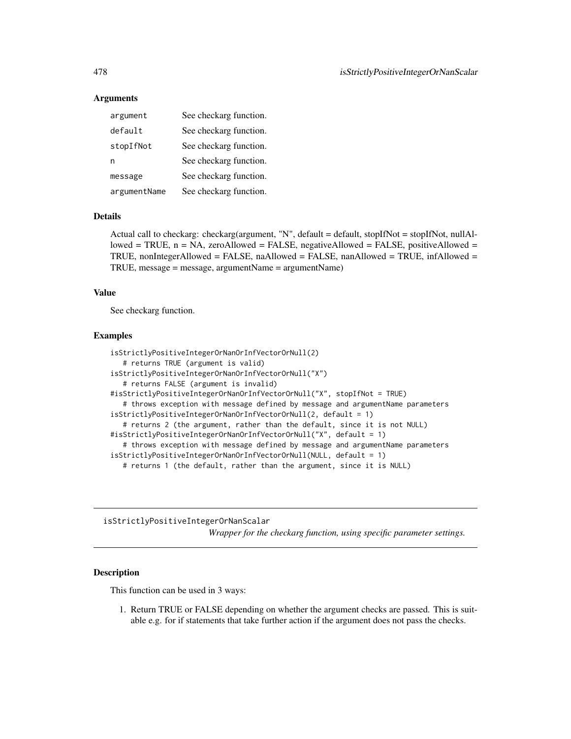## Arguments

| argument     | See checkarg function. |
|--------------|------------------------|
| default      | See checkarg function. |
| stopIfNot    | See checkarg function. |
| n            | See checkarg function. |
| message      | See checkarg function. |
| argumentName | See checkarg function. |

### Details

Actual call to checkarg: checkarg(argument, "N", default = default, stopIfNot = stopIfNot, nullAllowed = TRUE,  $n = NA$ , zeroAllowed = FALSE, negativeAllowed = FALSE, positiveAllowed = TRUE, nonIntegerAllowed = FALSE, naAllowed = FALSE, nanAllowed = TRUE, infAllowed = TRUE, message = message, argumentName = argumentName)

#### Value

See checkarg function.

#### Examples

```
isStrictlyPositiveIntegerOrNanOrInfVectorOrNull(2)
   # returns TRUE (argument is valid)
isStrictlyPositiveIntegerOrNanOrInfVectorOrNull("X")
   # returns FALSE (argument is invalid)
#isStrictlyPositiveIntegerOrNanOrInfVectorOrNull("X", stopIfNot = TRUE)
   # throws exception with message defined by message and argumentName parameters
isStrictlyPositiveIntegerOrNanOrInfVectorOrNull(2, default = 1)
   # returns 2 (the argument, rather than the default, since it is not NULL)
#isStrictlyPositiveIntegerOrNanOrInfVectorOrNull("X", default = 1)
   # throws exception with message defined by message and argumentName parameters
isStrictlyPositiveIntegerOrNanOrInfVectorOrNull(NULL, default = 1)
   # returns 1 (the default, rather than the argument, since it is NULL)
```
isStrictlyPositiveIntegerOrNanScalar *Wrapper for the checkarg function, using specific parameter settings.*

# Description

This function can be used in 3 ways:

1. Return TRUE or FALSE depending on whether the argument checks are passed. This is suitable e.g. for if statements that take further action if the argument does not pass the checks.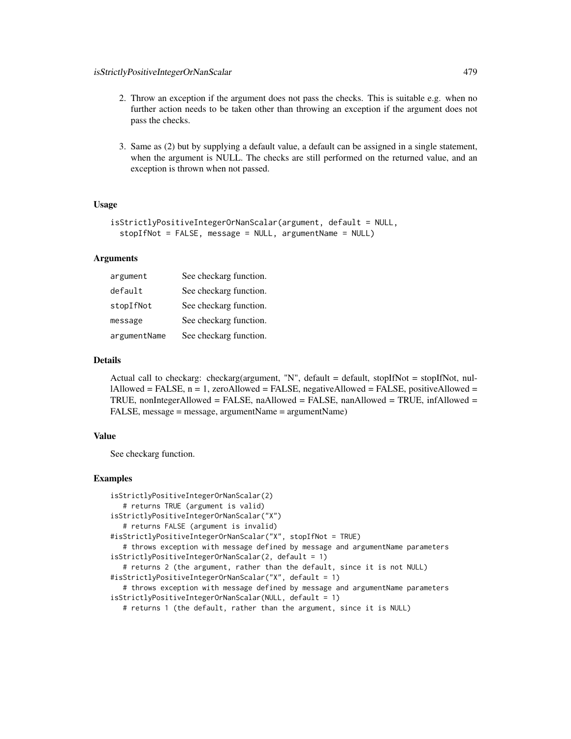- 2. Throw an exception if the argument does not pass the checks. This is suitable e.g. when no further action needs to be taken other than throwing an exception if the argument does not pass the checks.
- 3. Same as (2) but by supplying a default value, a default can be assigned in a single statement, when the argument is NULL. The checks are still performed on the returned value, and an exception is thrown when not passed.

# Usage

```
isStrictlyPositiveIntegerOrNanScalar(argument, default = NULL,
  stopIfNot = FALSE, message = NULL, argumentName = NULL)
```
### Arguments

| argument     | See checkarg function. |
|--------------|------------------------|
| default      | See checkarg function. |
| stopIfNot    | See checkarg function. |
| message      | See checkarg function. |
| argumentName | See checkarg function. |

# Details

Actual call to checkarg: checkarg(argument, "N", default = default, stopIfNot = stopIfNot, nul- $\text{I}$ Allowed = FALSE, n = 1, zeroAllowed = FALSE, negativeAllowed = FALSE, positiveAllowed = TRUE, nonIntegerAllowed = FALSE, naAllowed = FALSE, nanAllowed = TRUE, infAllowed = FALSE, message = message, argumentName = argumentName)

# Value

See checkarg function.

```
isStrictlyPositiveIntegerOrNanScalar(2)
   # returns TRUE (argument is valid)
isStrictlyPositiveIntegerOrNanScalar("X")
   # returns FALSE (argument is invalid)
#isStrictlyPositiveIntegerOrNanScalar("X", stopIfNot = TRUE)
   # throws exception with message defined by message and argumentName parameters
isStrictlyPositiveIntegerOrNanScalar(2, default = 1)
   # returns 2 (the argument, rather than the default, since it is not NULL)
#isStrictlyPositiveIntegerOrNanScalar("X", default = 1)
   # throws exception with message defined by message and argumentName parameters
isStrictlyPositiveIntegerOrNanScalar(NULL, default = 1)
   # returns 1 (the default, rather than the argument, since it is NULL)
```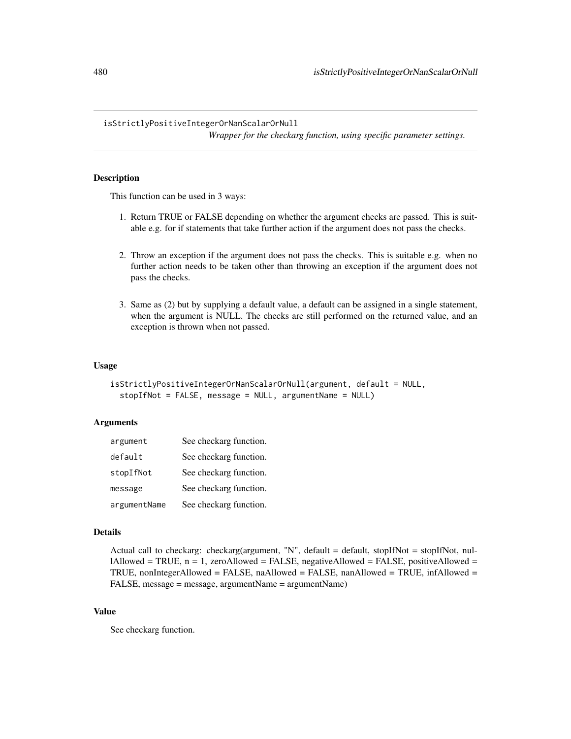### isStrictlyPositiveIntegerOrNanScalarOrNull

*Wrapper for the checkarg function, using specific parameter settings.*

## Description

This function can be used in 3 ways:

- 1. Return TRUE or FALSE depending on whether the argument checks are passed. This is suitable e.g. for if statements that take further action if the argument does not pass the checks.
- 2. Throw an exception if the argument does not pass the checks. This is suitable e.g. when no further action needs to be taken other than throwing an exception if the argument does not pass the checks.
- 3. Same as (2) but by supplying a default value, a default can be assigned in a single statement, when the argument is NULL. The checks are still performed on the returned value, and an exception is thrown when not passed.

#### Usage

```
isStrictlyPositiveIntegerOrNanScalarOrNull(argument, default = NULL,
 stopIfNot = FALSE, message = NULL, argumentName = NULL)
```
### **Arguments**

| argument     | See checkarg function. |
|--------------|------------------------|
| default      | See checkarg function. |
| stopIfNot    | See checkarg function. |
| message      | See checkarg function. |
| argumentName | See checkarg function. |

#### Details

Actual call to checkarg: checkarg(argument, "N", default = default, stopIfNot = stopIfNot, nullAllowed = TRUE,  $n = 1$ , zeroAllowed = FALSE, negativeAllowed = FALSE, positiveAllowed = TRUE, nonIntegerAllowed = FALSE, naAllowed = FALSE, nanAllowed = TRUE, infAllowed = FALSE, message = message, argumentName = argumentName)

# Value

See checkarg function.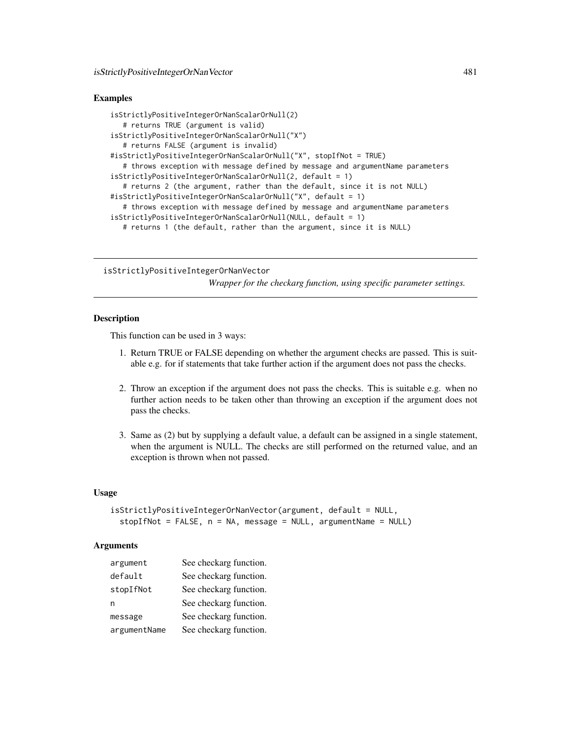### Examples

```
isStrictlyPositiveIntegerOrNanScalarOrNull(2)
   # returns TRUE (argument is valid)
isStrictlyPositiveIntegerOrNanScalarOrNull("X")
   # returns FALSE (argument is invalid)
#isStrictlyPositiveIntegerOrNanScalarOrNull("X", stopIfNot = TRUE)
   # throws exception with message defined by message and argumentName parameters
isStrictlyPositiveIntegerOrNanScalarOrNull(2, default = 1)
   # returns 2 (the argument, rather than the default, since it is not NULL)
#isStrictlyPositiveIntegerOrNanScalarOrNull("X", default = 1)
   # throws exception with message defined by message and argumentName parameters
isStrictlyPositiveIntegerOrNanScalarOrNull(NULL, default = 1)
   # returns 1 (the default, rather than the argument, since it is NULL)
```
isStrictlyPositiveIntegerOrNanVector

*Wrapper for the checkarg function, using specific parameter settings.*

# Description

This function can be used in 3 ways:

- 1. Return TRUE or FALSE depending on whether the argument checks are passed. This is suitable e.g. for if statements that take further action if the argument does not pass the checks.
- 2. Throw an exception if the argument does not pass the checks. This is suitable e.g. when no further action needs to be taken other than throwing an exception if the argument does not pass the checks.
- 3. Same as (2) but by supplying a default value, a default can be assigned in a single statement, when the argument is NULL. The checks are still performed on the returned value, and an exception is thrown when not passed.

### Usage

```
isStrictlyPositiveIntegerOrNanVector(argument, default = NULL,
 stopIfNot = FALSE, n = NA, message = NULL, argumentName = NULL)
```
### **Arguments**

| argument     | See checkarg function. |
|--------------|------------------------|
| default      | See checkarg function. |
| stopIfNot    | See checkarg function. |
| n            | See checkarg function. |
| message      | See checkarg function. |
| argumentName | See checkarg function. |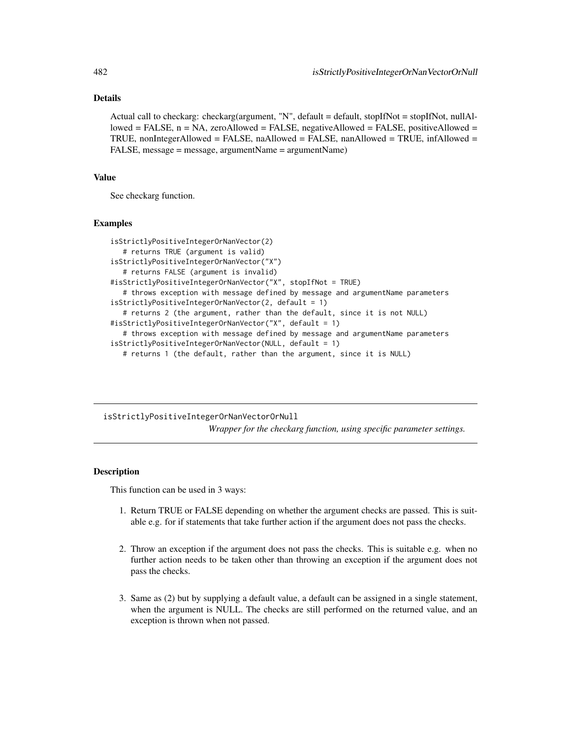# Details

Actual call to checkarg: checkarg(argument, "N", default = default, stopIfNot = stopIfNot, nullAllowed = FALSE, n = NA, zeroAllowed = FALSE, negativeAllowed = FALSE, positiveAllowed = TRUE, nonIntegerAllowed = FALSE, naAllowed = FALSE, nanAllowed = TRUE, infAllowed = FALSE, message = message, argumentName = argumentName)

#### Value

See checkarg function.

#### Examples

```
isStrictlyPositiveIntegerOrNanVector(2)
   # returns TRUE (argument is valid)
isStrictlyPositiveIntegerOrNanVector("X")
   # returns FALSE (argument is invalid)
#isStrictlyPositiveIntegerOrNanVector("X", stopIfNot = TRUE)
   # throws exception with message defined by message and argumentName parameters
isStrictlyPositiveIntegerOrNanVector(2, default = 1)
   # returns 2 (the argument, rather than the default, since it is not NULL)
#isStrictlyPositiveIntegerOrNanVector("X", default = 1)
   # throws exception with message defined by message and argumentName parameters
isStrictlyPositiveIntegerOrNanVector(NULL, default = 1)
  # returns 1 (the default, rather than the argument, since it is NULL)
```
isStrictlyPositiveIntegerOrNanVectorOrNull *Wrapper for the checkarg function, using specific parameter settings.*

# **Description**

This function can be used in 3 ways:

- 1. Return TRUE or FALSE depending on whether the argument checks are passed. This is suitable e.g. for if statements that take further action if the argument does not pass the checks.
- 2. Throw an exception if the argument does not pass the checks. This is suitable e.g. when no further action needs to be taken other than throwing an exception if the argument does not pass the checks.
- 3. Same as (2) but by supplying a default value, a default can be assigned in a single statement, when the argument is NULL. The checks are still performed on the returned value, and an exception is thrown when not passed.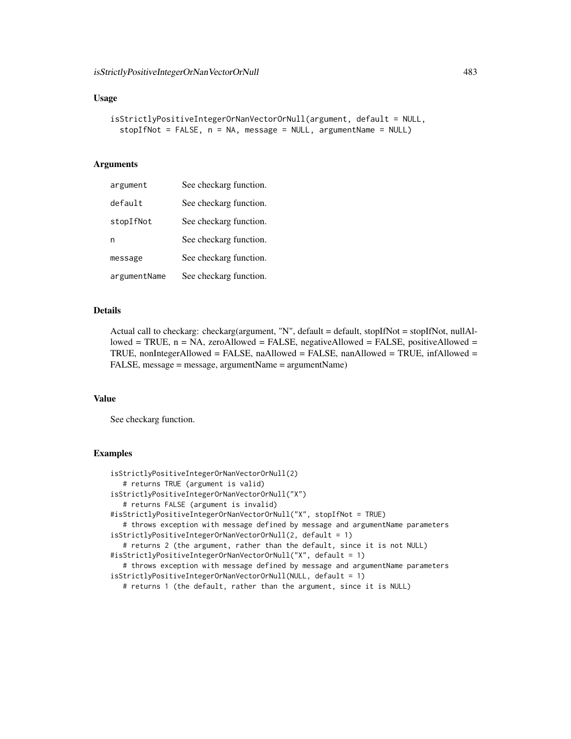### Usage

```
isStrictlyPositiveIntegerOrNanVectorOrNull(argument, default = NULL,
  stopIfNot = FALSE, n = NA, message = NULL, argumentName = NULL)
```
### Arguments

| argument     | See checkarg function. |
|--------------|------------------------|
| default      | See checkarg function. |
| stopIfNot    | See checkarg function. |
| n            | See checkarg function. |
| message      | See checkarg function. |
| argumentName | See checkarg function. |

### Details

Actual call to checkarg: checkarg(argument, "N", default = default, stopIfNot = stopIfNot, nullAllowed = TRUE,  $n = NA$ , zeroAllowed = FALSE, negativeAllowed = FALSE, positiveAllowed = TRUE, nonIntegerAllowed = FALSE, naAllowed = FALSE, nanAllowed = TRUE, infAllowed = FALSE, message = message, argumentName = argumentName)

#### Value

See checkarg function.

```
isStrictlyPositiveIntegerOrNanVectorOrNull(2)
  # returns TRUE (argument is valid)
isStrictlyPositiveIntegerOrNanVectorOrNull("X")
   # returns FALSE (argument is invalid)
#isStrictlyPositiveIntegerOrNanVectorOrNull("X", stopIfNot = TRUE)
   # throws exception with message defined by message and argumentName parameters
isStrictlyPositiveIntegerOrNanVectorOrNull(2, default = 1)
   # returns 2 (the argument, rather than the default, since it is not NULL)
#isStrictlyPositiveIntegerOrNanVectorOrNull("X", default = 1)
   # throws exception with message defined by message and argumentName parameters
isStrictlyPositiveIntegerOrNanVectorOrNull(NULL, default = 1)
   # returns 1 (the default, rather than the argument, since it is NULL)
```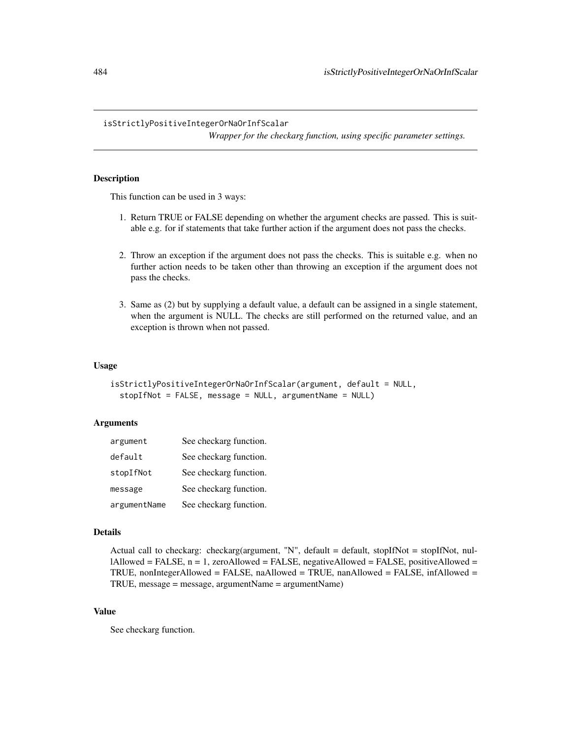# isStrictlyPositiveIntegerOrNaOrInfScalar

*Wrapper for the checkarg function, using specific parameter settings.*

## Description

This function can be used in 3 ways:

- 1. Return TRUE or FALSE depending on whether the argument checks are passed. This is suitable e.g. for if statements that take further action if the argument does not pass the checks.
- 2. Throw an exception if the argument does not pass the checks. This is suitable e.g. when no further action needs to be taken other than throwing an exception if the argument does not pass the checks.
- 3. Same as (2) but by supplying a default value, a default can be assigned in a single statement, when the argument is NULL. The checks are still performed on the returned value, and an exception is thrown when not passed.

#### Usage

```
isStrictlyPositiveIntegerOrNaOrInfScalar(argument, default = NULL,
 stopIfNot = FALSE, message = NULL, argumentName = NULL)
```
### **Arguments**

| argument     | See checkarg function. |
|--------------|------------------------|
| default      | See checkarg function. |
| stopIfNot    | See checkarg function. |
| message      | See checkarg function. |
| argumentName | See checkarg function. |

#### Details

```
Actual call to checkarg: checkarg(argument, "N", default = default, stopIfNot = stopIfNot, nul-
lAllowed = FALSE, n = 1, zeroAllowed = FALSE, negativeAllowed = FALSE, positiveAllowed =
TRUE, nonIntegerAllowed = FALSE, naAllowed = TRUE, nanAllowed = FALSE, infAllowed =
TRUE, message = message, argumentName = argumentName)
```
# Value

See checkarg function.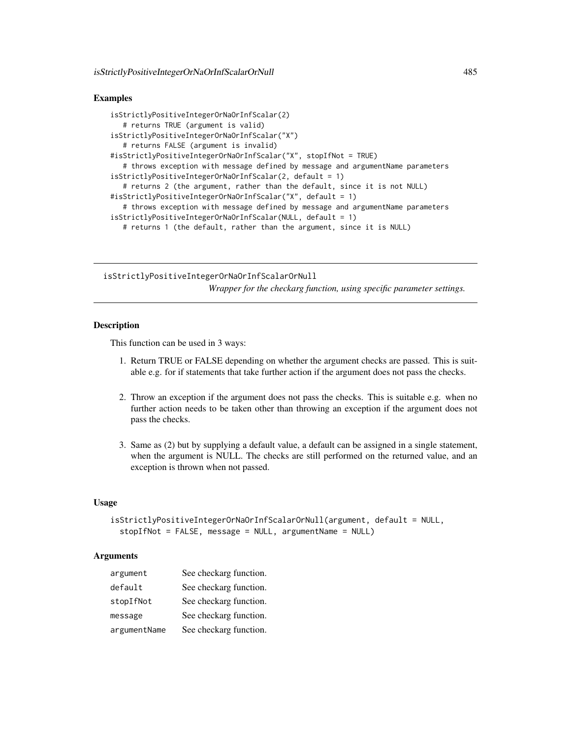## Examples

```
isStrictlyPositiveIntegerOrNaOrInfScalar(2)
   # returns TRUE (argument is valid)
isStrictlyPositiveIntegerOrNaOrInfScalar("X")
   # returns FALSE (argument is invalid)
#isStrictlyPositiveIntegerOrNaOrInfScalar("X", stopIfNot = TRUE)
   # throws exception with message defined by message and argumentName parameters
isStrictlyPositiveIntegerOrNaOrInfScalar(2, default = 1)
   # returns 2 (the argument, rather than the default, since it is not NULL)
#isStrictlyPositiveIntegerOrNaOrInfScalar("X", default = 1)
   # throws exception with message defined by message and argumentName parameters
isStrictlyPositiveIntegerOrNaOrInfScalar(NULL, default = 1)
   # returns 1 (the default, rather than the argument, since it is NULL)
```
isStrictlyPositiveIntegerOrNaOrInfScalarOrNull *Wrapper for the checkarg function, using specific parameter settings.*

### **Description**

This function can be used in 3 ways:

- 1. Return TRUE or FALSE depending on whether the argument checks are passed. This is suitable e.g. for if statements that take further action if the argument does not pass the checks.
- 2. Throw an exception if the argument does not pass the checks. This is suitable e.g. when no further action needs to be taken other than throwing an exception if the argument does not pass the checks.
- 3. Same as (2) but by supplying a default value, a default can be assigned in a single statement, when the argument is NULL. The checks are still performed on the returned value, and an exception is thrown when not passed.

#### Usage

```
isStrictlyPositiveIntegerOrNaOrInfScalarOrNull(argument, default = NULL,
 stopIfNot = FALSE, message = NULL, argumentName = NULL)
```
## **Arguments**

| argument     | See checkarg function. |
|--------------|------------------------|
| default      | See checkarg function. |
| stopIfNot    | See checkarg function. |
| message      | See checkarg function. |
| argumentName | See checkarg function. |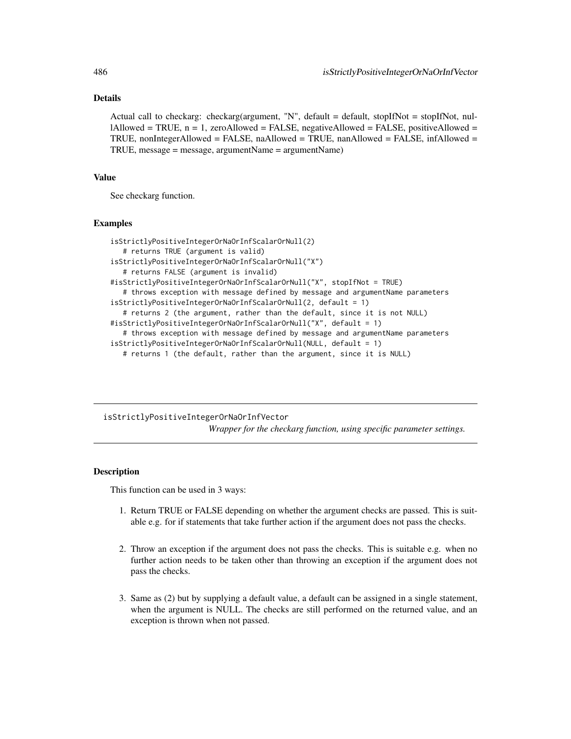# Details

Actual call to checkarg: checkarg(argument, "N", default = default, stopIfNot = stopIfNot, nul- $1$ Allowed = TRUE,  $n = 1$ , zeroAllowed = FALSE, negativeAllowed = FALSE, positiveAllowed = TRUE, nonIntegerAllowed = FALSE, naAllowed = TRUE, nanAllowed = FALSE, infAllowed = TRUE, message = message, argumentName = argumentName)

#### Value

See checkarg function.

#### Examples

```
isStrictlyPositiveIntegerOrNaOrInfScalarOrNull(2)
   # returns TRUE (argument is valid)
isStrictlyPositiveIntegerOrNaOrInfScalarOrNull("X")
   # returns FALSE (argument is invalid)
#isStrictlyPositiveIntegerOrNaOrInfScalarOrNull("X", stopIfNot = TRUE)
   # throws exception with message defined by message and argumentName parameters
isStrictlyPositiveIntegerOrNaOrInfScalarOrNull(2, default = 1)
   # returns 2 (the argument, rather than the default, since it is not NULL)
#isStrictlyPositiveIntegerOrNaOrInfScalarOrNull("X", default = 1)
   # throws exception with message defined by message and argumentName parameters
isStrictlyPositiveIntegerOrNaOrInfScalarOrNull(NULL, default = 1)
  # returns 1 (the default, rather than the argument, since it is NULL)
```
isStrictlyPositiveIntegerOrNaOrInfVector *Wrapper for the checkarg function, using specific parameter settings.*

# **Description**

This function can be used in 3 ways:

- 1. Return TRUE or FALSE depending on whether the argument checks are passed. This is suitable e.g. for if statements that take further action if the argument does not pass the checks.
- 2. Throw an exception if the argument does not pass the checks. This is suitable e.g. when no further action needs to be taken other than throwing an exception if the argument does not pass the checks.
- 3. Same as (2) but by supplying a default value, a default can be assigned in a single statement, when the argument is NULL. The checks are still performed on the returned value, and an exception is thrown when not passed.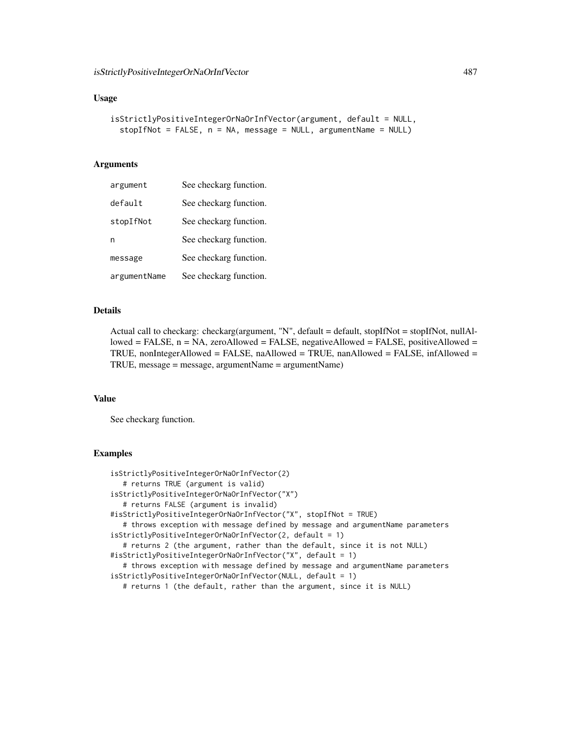### Usage

```
isStrictlyPositiveIntegerOrNaOrInfVector(argument, default = NULL,
  stopIfNot = FALSE, n = NA, message = NULL, argumentName = NULL)
```
## Arguments

| argument     | See checkarg function. |
|--------------|------------------------|
| default      | See checkarg function. |
| stopIfNot    | See checkarg function. |
| n            | See checkarg function. |
| message      | See checkarg function. |
| argumentName | See checkarg function. |

### Details

Actual call to checkarg: checkarg(argument, "N", default = default, stopIfNot = stopIfNot, nullAllowed = FALSE, n = NA, zeroAllowed = FALSE, negativeAllowed = FALSE, positiveAllowed = TRUE, nonIntegerAllowed = FALSE, naAllowed = TRUE, nanAllowed = FALSE, infAllowed = TRUE, message = message, argumentName = argumentName)

#### Value

See checkarg function.

```
isStrictlyPositiveIntegerOrNaOrInfVector(2)
  # returns TRUE (argument is valid)
isStrictlyPositiveIntegerOrNaOrInfVector("X")
   # returns FALSE (argument is invalid)
#isStrictlyPositiveIntegerOrNaOrInfVector("X", stopIfNot = TRUE)
   # throws exception with message defined by message and argumentName parameters
isStrictlyPositiveIntegerOrNaOrInfVector(2, default = 1)
   # returns 2 (the argument, rather than the default, since it is not NULL)
#isStrictlyPositiveIntegerOrNaOrInfVector("X", default = 1)
   # throws exception with message defined by message and argumentName parameters
isStrictlyPositiveIntegerOrNaOrInfVector(NULL, default = 1)
   # returns 1 (the default, rather than the argument, since it is NULL)
```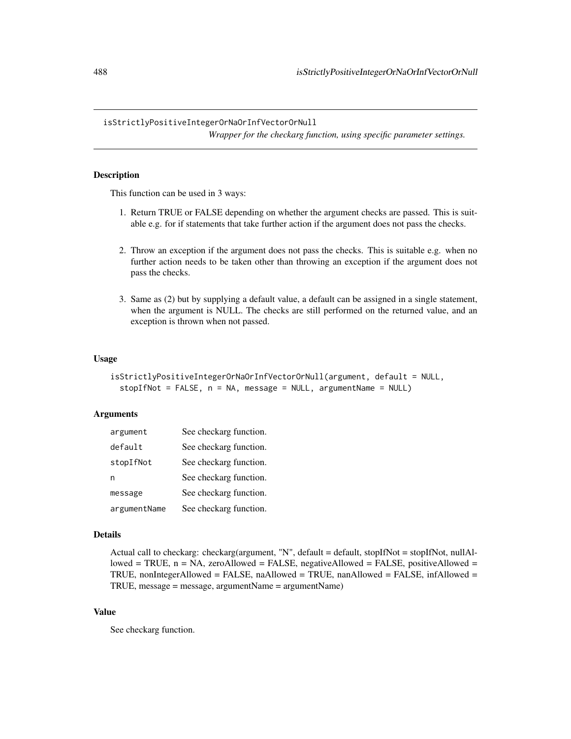isStrictlyPositiveIntegerOrNaOrInfVectorOrNull

*Wrapper for the checkarg function, using specific parameter settings.*

## **Description**

This function can be used in 3 ways:

- 1. Return TRUE or FALSE depending on whether the argument checks are passed. This is suitable e.g. for if statements that take further action if the argument does not pass the checks.
- 2. Throw an exception if the argument does not pass the checks. This is suitable e.g. when no further action needs to be taken other than throwing an exception if the argument does not pass the checks.
- 3. Same as (2) but by supplying a default value, a default can be assigned in a single statement, when the argument is NULL. The checks are still performed on the returned value, and an exception is thrown when not passed.

### Usage

```
isStrictlyPositiveIntegerOrNaOrInfVectorOrNull(argument, default = NULL,
 stopIfNot = FALSE, n = NA, message = NULL, argumentName = NULL)
```
# Arguments

| argument     | See checkarg function. |
|--------------|------------------------|
| default      | See checkarg function. |
| stopIfNot    | See checkarg function. |
| n            | See checkarg function. |
| message      | See checkarg function. |
| argumentName | See checkarg function. |

#### Details

```
Actual call to checkarg: checkarg(argument, "N", default = default, stopIfNot = stopIfNot, nullAl-
lowed = TRUE, n = NA, zeroAllowed = FALSE, negativeAllowed = FALSE, positiveAllowed =
TRUE, nonIntegerAllowed = FALSE, naAllowed = TRUE, nanAllowed = FALSE, infAllowed =
TRUE, message = message, argumentName = argumentName)
```
# Value

See checkarg function.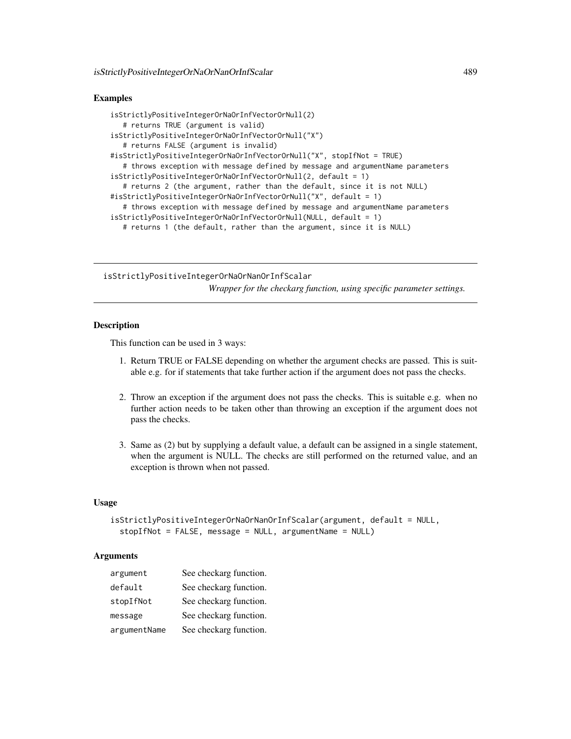## Examples

```
isStrictlyPositiveIntegerOrNaOrInfVectorOrNull(2)
   # returns TRUE (argument is valid)
isStrictlyPositiveIntegerOrNaOrInfVectorOrNull("X")
   # returns FALSE (argument is invalid)
#isStrictlyPositiveIntegerOrNaOrInfVectorOrNull("X", stopIfNot = TRUE)
   # throws exception with message defined by message and argumentName parameters
isStrictlyPositiveIntegerOrNaOrInfVectorOrNull(2, default = 1)
   # returns 2 (the argument, rather than the default, since it is not NULL)
#isStrictlyPositiveIntegerOrNaOrInfVectorOrNull("X", default = 1)
   # throws exception with message defined by message and argumentName parameters
isStrictlyPositiveIntegerOrNaOrInfVectorOrNull(NULL, default = 1)
   # returns 1 (the default, rather than the argument, since it is NULL)
```
isStrictlyPositiveIntegerOrNaOrNanOrInfScalar *Wrapper for the checkarg function, using specific parameter settings.*

### **Description**

This function can be used in 3 ways:

- 1. Return TRUE or FALSE depending on whether the argument checks are passed. This is suitable e.g. for if statements that take further action if the argument does not pass the checks.
- 2. Throw an exception if the argument does not pass the checks. This is suitable e.g. when no further action needs to be taken other than throwing an exception if the argument does not pass the checks.
- 3. Same as (2) but by supplying a default value, a default can be assigned in a single statement, when the argument is NULL. The checks are still performed on the returned value, and an exception is thrown when not passed.

### Usage

```
isStrictlyPositiveIntegerOrNaOrNanOrInfScalar(argument, default = NULL,
 stopIfNot = FALSE, message = NULL, argumentName = NULL)
```
### **Arguments**

| argument     | See checkarg function. |
|--------------|------------------------|
| default      | See checkarg function. |
| stopIfNot    | See checkarg function. |
| message      | See checkarg function. |
| argumentName | See checkarg function. |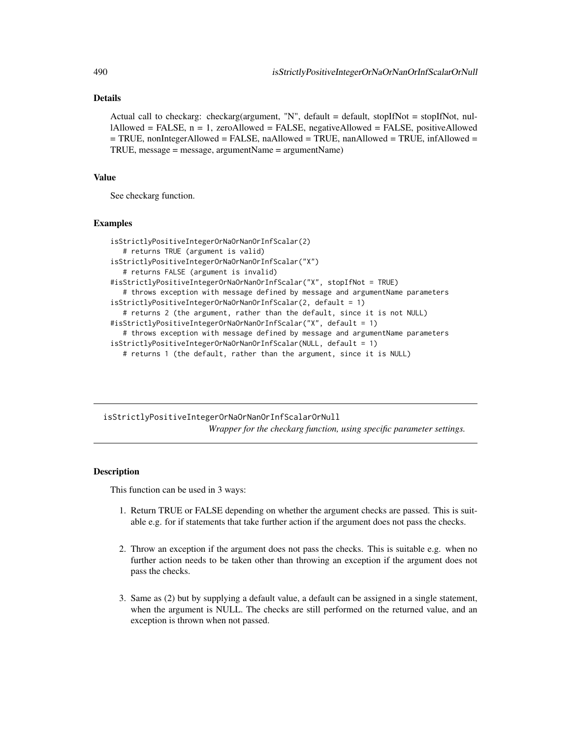# Details

Actual call to checkarg: checkarg(argument, "N", default = default, stopIfNot = stopIfNot, nullAllowed = FALSE, n = 1, zeroAllowed = FALSE, negativeAllowed = FALSE, positiveAllowed = TRUE, nonIntegerAllowed = FALSE, naAllowed = TRUE, nanAllowed = TRUE, infAllowed = TRUE, message = message, argumentName = argumentName)

### Value

See checkarg function.

### Examples

```
isStrictlyPositiveIntegerOrNaOrNanOrInfScalar(2)
   # returns TRUE (argument is valid)
isStrictlyPositiveIntegerOrNaOrNanOrInfScalar("X")
   # returns FALSE (argument is invalid)
#isStrictlyPositiveIntegerOrNaOrNanOrInfScalar("X", stopIfNot = TRUE)
   # throws exception with message defined by message and argumentName parameters
isStrictlyPositiveIntegerOrNaOrNanOrInfScalar(2, default = 1)
   # returns 2 (the argument, rather than the default, since it is not NULL)
#isStrictlyPositiveIntegerOrNaOrNanOrInfScalar("X", default = 1)
   # throws exception with message defined by message and argumentName parameters
isStrictlyPositiveIntegerOrNaOrNanOrInfScalar(NULL, default = 1)
  # returns 1 (the default, rather than the argument, since it is NULL)
```
isStrictlyPositiveIntegerOrNaOrNanOrInfScalarOrNull *Wrapper for the checkarg function, using specific parameter settings.*

# **Description**

This function can be used in 3 ways:

- 1. Return TRUE or FALSE depending on whether the argument checks are passed. This is suitable e.g. for if statements that take further action if the argument does not pass the checks.
- 2. Throw an exception if the argument does not pass the checks. This is suitable e.g. when no further action needs to be taken other than throwing an exception if the argument does not pass the checks.
- 3. Same as (2) but by supplying a default value, a default can be assigned in a single statement, when the argument is NULL. The checks are still performed on the returned value, and an exception is thrown when not passed.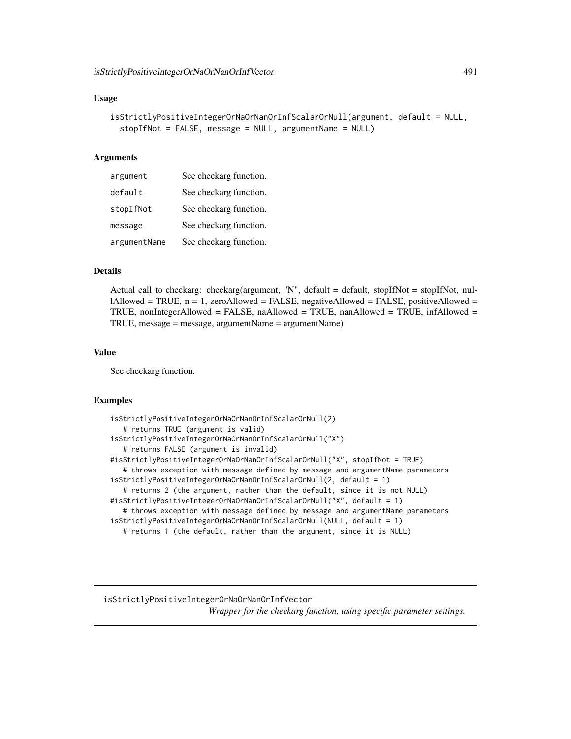### Usage

```
isStrictlyPositiveIntegerOrNaOrNanOrInfScalarOrNull(argument, default = NULL,
  stopIfNot = FALSE, message = NULL, argumentName = NULL)
```
#### Arguments

| argument     | See checkarg function. |
|--------------|------------------------|
| default      | See checkarg function. |
| stopIfNot    | See checkarg function. |
| message      | See checkarg function. |
| argumentName | See checkarg function. |

## Details

Actual call to checkarg: checkarg(argument, "N", default = default, stopIfNot = stopIfNot, nullAllowed = TRUE,  $n = 1$ , zeroAllowed = FALSE, negativeAllowed = FALSE, positiveAllowed = TRUE, nonIntegerAllowed = FALSE, naAllowed = TRUE, nanAllowed = TRUE, infAllowed = TRUE, message = message, argumentName = argumentName)

### Value

See checkarg function.

# Examples

```
isStrictlyPositiveIntegerOrNaOrNanOrInfScalarOrNull(2)
   # returns TRUE (argument is valid)
isStrictlyPositiveIntegerOrNaOrNanOrInfScalarOrNull("X")
   # returns FALSE (argument is invalid)
#isStrictlyPositiveIntegerOrNaOrNanOrInfScalarOrNull("X", stopIfNot = TRUE)
   # throws exception with message defined by message and argumentName parameters
isStrictlyPositiveIntegerOrNaOrNanOrInfScalarOrNull(2, default = 1)
   # returns 2 (the argument, rather than the default, since it is not NULL)
#isStrictlyPositiveIntegerOrNaOrNanOrInfScalarOrNull("X", default = 1)
   # throws exception with message defined by message and argumentName parameters
isStrictlyPositiveIntegerOrNaOrNanOrInfScalarOrNull(NULL, default = 1)
  # returns 1 (the default, rather than the argument, since it is NULL)
```
isStrictlyPositiveIntegerOrNaOrNanOrInfVector *Wrapper for the checkarg function, using specific parameter settings.*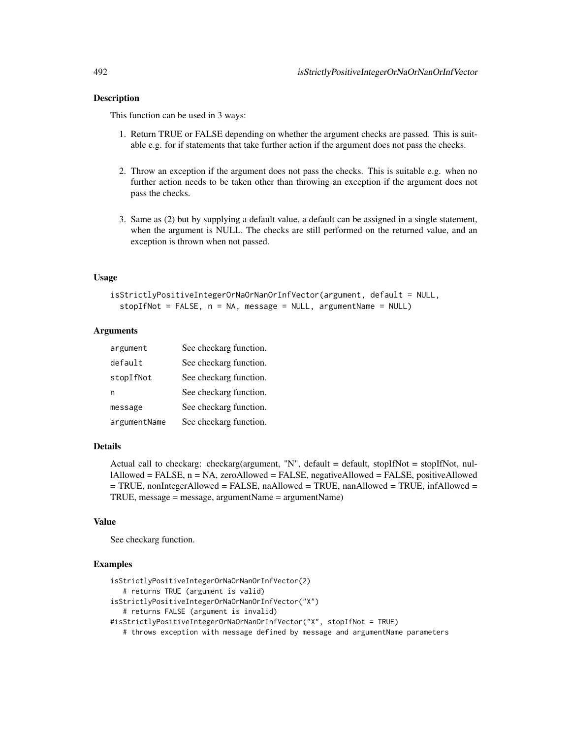### **Description**

This function can be used in 3 ways:

- 1. Return TRUE or FALSE depending on whether the argument checks are passed. This is suitable e.g. for if statements that take further action if the argument does not pass the checks.
- 2. Throw an exception if the argument does not pass the checks. This is suitable e.g. when no further action needs to be taken other than throwing an exception if the argument does not pass the checks.
- 3. Same as (2) but by supplying a default value, a default can be assigned in a single statement, when the argument is NULL. The checks are still performed on the returned value, and an exception is thrown when not passed.

### Usage

```
isStrictlyPositiveIntegerOrNaOrNanOrInfVector(argument, default = NULL,
 stopIfNot = FALSE, n = NA, message = NULL, argumentName = NULL)
```
### **Arguments**

| argument     | See checkarg function. |
|--------------|------------------------|
| default      | See checkarg function. |
| stopIfNot    | See checkarg function. |
| n            | See checkarg function. |
| message      | See checkarg function. |
| argumentName | See checkarg function. |

### Details

Actual call to checkarg: checkarg(argument, "N", default = default, stopIfNot = stopIfNot, nullAllowed = FALSE, n = NA, zeroAllowed = FALSE, negativeAllowed = FALSE, positiveAllowed = TRUE, nonIntegerAllowed = FALSE, naAllowed = TRUE, nanAllowed = TRUE, infAllowed = TRUE, message = message, argumentName = argumentName)

### Value

See checkarg function.

```
isStrictlyPositiveIntegerOrNaOrNanOrInfVector(2)
  # returns TRUE (argument is valid)
isStrictlyPositiveIntegerOrNaOrNanOrInfVector("X")
  # returns FALSE (argument is invalid)
#isStrictlyPositiveIntegerOrNaOrNanOrInfVector("X", stopIfNot = TRUE)
  # throws exception with message defined by message and argumentName parameters
```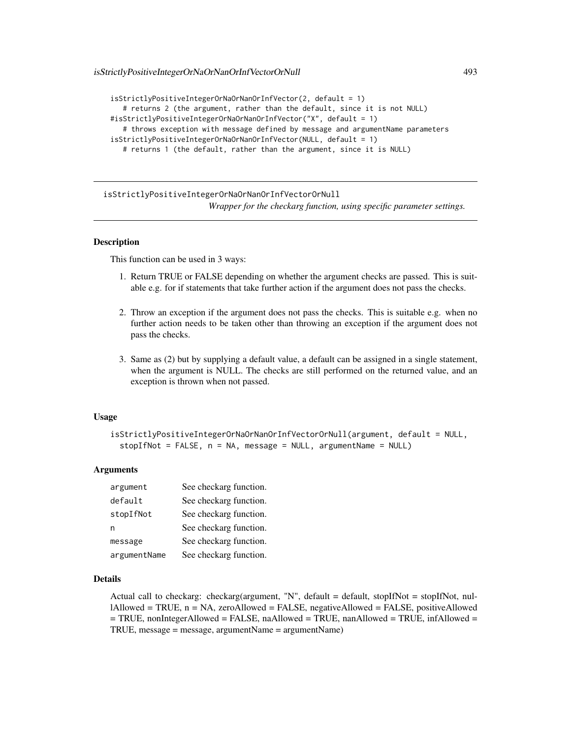```
isStrictlyPositiveIntegerOrNaOrNanOrInfVector(2, default = 1)
   # returns 2 (the argument, rather than the default, since it is not NULL)
#isStrictlyPositiveIntegerOrNaOrNanOrInfVector("X", default = 1)
   # throws exception with message defined by message and argumentName parameters
isStrictlyPositiveIntegerOrNaOrNanOrInfVector(NULL, default = 1)
   # returns 1 (the default, rather than the argument, since it is NULL)
```
isStrictlyPositiveIntegerOrNaOrNanOrInfVectorOrNull *Wrapper for the checkarg function, using specific parameter settings.*

## Description

This function can be used in 3 ways:

- 1. Return TRUE or FALSE depending on whether the argument checks are passed. This is suitable e.g. for if statements that take further action if the argument does not pass the checks.
- 2. Throw an exception if the argument does not pass the checks. This is suitable e.g. when no further action needs to be taken other than throwing an exception if the argument does not pass the checks.
- 3. Same as (2) but by supplying a default value, a default can be assigned in a single statement, when the argument is NULL. The checks are still performed on the returned value, and an exception is thrown when not passed.

#### Usage

isStrictlyPositiveIntegerOrNaOrNanOrInfVectorOrNull(argument, default = NULL, stopIfNot = FALSE, n = NA, message = NULL, argumentName = NULL)

### Arguments

| argument     | See checkarg function. |
|--------------|------------------------|
| default      | See checkarg function. |
| stopIfNot    | See checkarg function. |
| n            | See checkarg function. |
| message      | See checkarg function. |
| argumentName | See checkarg function. |

#### Details

Actual call to checkarg: checkarg(argument, "N", default = default, stopIfNot = stopIfNot, nul $l$ Allowed = TRUE,  $n$  = NA, zeroAllowed = FALSE, negativeAllowed = FALSE, positiveAllowed  $=$  TRUE, nonIntegerAllowed  $=$  FALSE, naAllowed  $=$  TRUE, nanAllowed  $=$  TRUE, infAllowed  $=$ TRUE, message = message, argumentName = argumentName)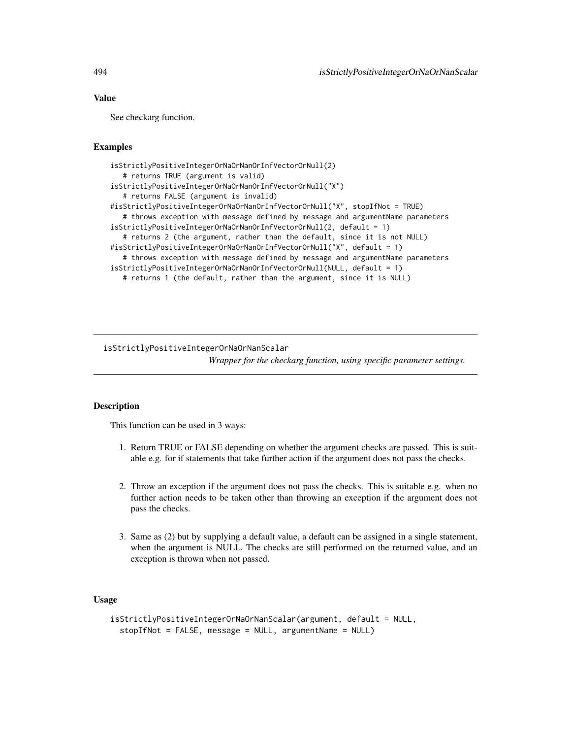# Value

See checkarg function.

### Examples

```
isStrictlyPositiveIntegerOrNaOrNanOrInfVectorOrNull(2)
  # returns TRUE (argument is valid)
isStrictlyPositiveIntegerOrNaOrNanOrInfVectorOrNull("X")
  # returns FALSE (argument is invalid)
#isStrictlyPositiveIntegerOrNaOrNanOrInfVectorOrNull("X", stopIfNot = TRUE)
  # throws exception with message defined by message and argumentName parameters
isStrictlyPositiveIntegerOrNaOrNanOrInfVectorOrNull(2, default = 1)
  # returns 2 (the argument, rather than the default, since it is not NULL)
#isStrictlyPositiveIntegerOrNaOrNanOrInfVectorOrNull("X", default = 1)
  # throws exception with message defined by message and argumentName parameters
isStrictlyPositiveIntegerOrNaOrNanOrInfVectorOrNull(NULL, default = 1)
  # returns 1 (the default, rather than the argument, since it is NULL)
```
#### isStrictlyPositiveIntegerOrNaOrNanScalar

*Wrapper for the checkarg function, using specific parameter settings.*

# **Description**

This function can be used in 3 ways:

- 1. Return TRUE or FALSE depending on whether the argument checks are passed. This is suitable e.g. for if statements that take further action if the argument does not pass the checks.
- 2. Throw an exception if the argument does not pass the checks. This is suitable e.g. when no further action needs to be taken other than throwing an exception if the argument does not pass the checks.
- 3. Same as (2) but by supplying a default value, a default can be assigned in a single statement, when the argument is NULL. The checks are still performed on the returned value, and an exception is thrown when not passed.

# Usage

```
isStrictlyPositiveIntegerOrNaOrNanScalar(argument, default = NULL,
 stopIfNot = FALSE, message = NULL, argumentName = NULL)
```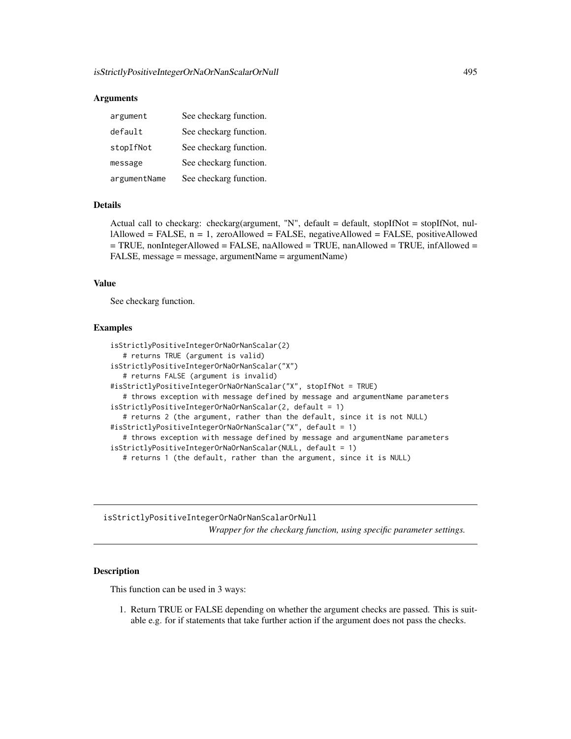### **Arguments**

| argument     | See checkarg function. |
|--------------|------------------------|
| default      | See checkarg function. |
| stopIfNot    | See checkarg function. |
| message      | See checkarg function. |
| argumentName | See checkarg function. |

# Details

Actual call to checkarg: checkarg(argument, "N", default = default, stopIfNot = stopIfNot, nul $l$ Allowed = FALSE,  $n = 1$ , zeroAllowed = FALSE, negativeAllowed = FALSE, positiveAllowed = TRUE, nonIntegerAllowed = FALSE, naAllowed = TRUE, nanAllowed = TRUE, infAllowed = FALSE, message = message, argumentName = argumentName)

## Value

See checkarg function.

# Examples

```
isStrictlyPositiveIntegerOrNaOrNanScalar(2)
  # returns TRUE (argument is valid)
isStrictlyPositiveIntegerOrNaOrNanScalar("X")
   # returns FALSE (argument is invalid)
#isStrictlyPositiveIntegerOrNaOrNanScalar("X", stopIfNot = TRUE)
   # throws exception with message defined by message and argumentName parameters
isStrictlyPositiveIntegerOrNaOrNanScalar(2, default = 1)
   # returns 2 (the argument, rather than the default, since it is not NULL)
#isStrictlyPositiveIntegerOrNaOrNanScalar("X", default = 1)
   # throws exception with message defined by message and argumentName parameters
isStrictlyPositiveIntegerOrNaOrNanScalar(NULL, default = 1)
   # returns 1 (the default, rather than the argument, since it is NULL)
```
isStrictlyPositiveIntegerOrNaOrNanScalarOrNull *Wrapper for the checkarg function, using specific parameter settings.*

#### **Description**

This function can be used in 3 ways:

1. Return TRUE or FALSE depending on whether the argument checks are passed. This is suitable e.g. for if statements that take further action if the argument does not pass the checks.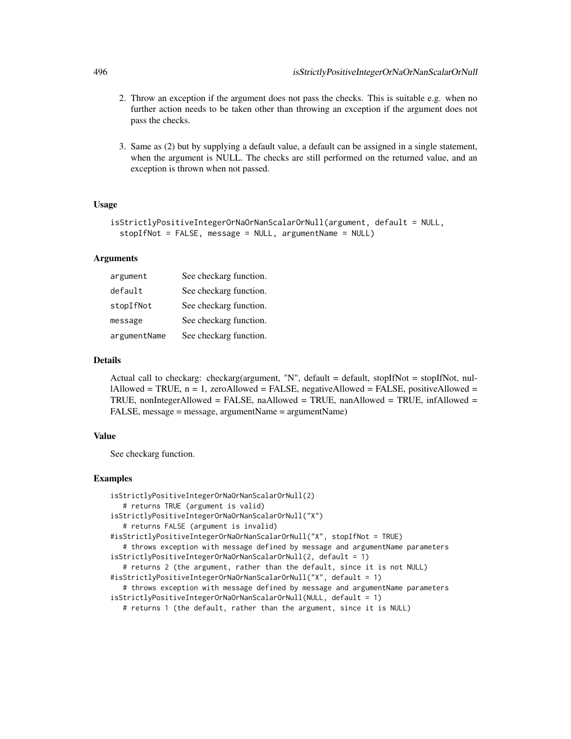- 2. Throw an exception if the argument does not pass the checks. This is suitable e.g. when no further action needs to be taken other than throwing an exception if the argument does not pass the checks.
- 3. Same as (2) but by supplying a default value, a default can be assigned in a single statement, when the argument is NULL. The checks are still performed on the returned value, and an exception is thrown when not passed.

# Usage

```
isStrictlyPositiveIntegerOrNaOrNanScalarOrNull(argument, default = NULL,
  stopIfNot = FALSE, message = NULL, argumentName = NULL)
```
### Arguments

| argument     | See checkarg function. |
|--------------|------------------------|
| default      | See checkarg function. |
| stopIfNot    | See checkarg function. |
| message      | See checkarg function. |
| argumentName | See checkarg function. |

# Details

Actual call to checkarg: checkarg(argument, "N", default = default, stopIfNot = stopIfNot, nullAllowed = TRUE,  $n = 1$ , zeroAllowed = FALSE, negativeAllowed = FALSE, positiveAllowed = TRUE, nonIntegerAllowed = FALSE, naAllowed = TRUE, nanAllowed = TRUE, infAllowed = FALSE, message = message, argumentName = argumentName)

# Value

See checkarg function.

```
isStrictlyPositiveIntegerOrNaOrNanScalarOrNull(2)
   # returns TRUE (argument is valid)
isStrictlyPositiveIntegerOrNaOrNanScalarOrNull("X")
   # returns FALSE (argument is invalid)
#isStrictlyPositiveIntegerOrNaOrNanScalarOrNull("X", stopIfNot = TRUE)
   # throws exception with message defined by message and argumentName parameters
isStrictlyPositiveIntegerOrNaOrNanScalarOrNull(2, default = 1)
   # returns 2 (the argument, rather than the default, since it is not NULL)
#isStrictlyPositiveIntegerOrNaOrNanScalarOrNull("X", default = 1)
   # throws exception with message defined by message and argumentName parameters
isStrictlyPositiveIntegerOrNaOrNanScalarOrNull(NULL, default = 1)
   # returns 1 (the default, rather than the argument, since it is NULL)
```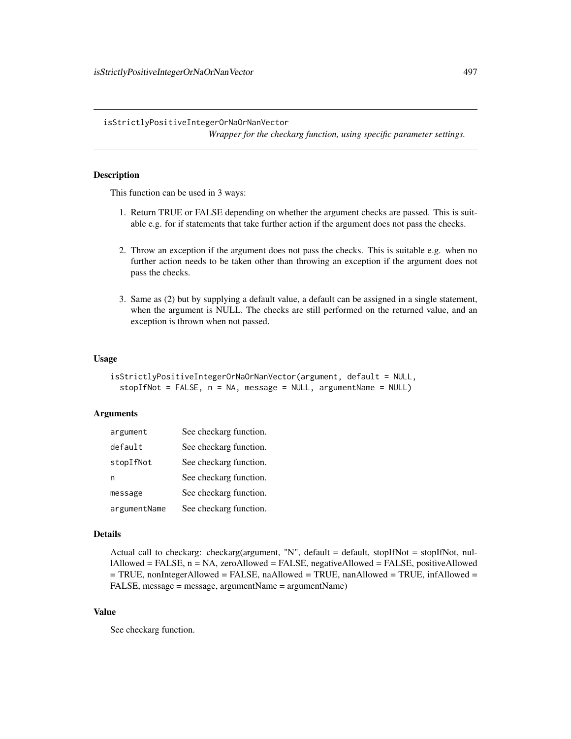isStrictlyPositiveIntegerOrNaOrNanVector

*Wrapper for the checkarg function, using specific parameter settings.*

# **Description**

This function can be used in 3 ways:

- 1. Return TRUE or FALSE depending on whether the argument checks are passed. This is suitable e.g. for if statements that take further action if the argument does not pass the checks.
- 2. Throw an exception if the argument does not pass the checks. This is suitable e.g. when no further action needs to be taken other than throwing an exception if the argument does not pass the checks.
- 3. Same as (2) but by supplying a default value, a default can be assigned in a single statement, when the argument is NULL. The checks are still performed on the returned value, and an exception is thrown when not passed.

# Usage

```
isStrictlyPositiveIntegerOrNaOrNanVector(argument, default = NULL,
 stopIfNot = FALSE, n = NA, message = NULL, argumentName = NULL)
```
### **Arguments**

| argument     | See checkarg function. |
|--------------|------------------------|
| default      | See checkarg function. |
| stopIfNot    | See checkarg function. |
| n            | See checkarg function. |
| message      | See checkarg function. |
| argumentName | See checkarg function. |

#### Details

Actual call to checkarg: checkarg(argument, "N", default = default, stopIfNot = stopIfNot, nul $l$ Allowed = FALSE,  $n$  = NA, zeroAllowed = FALSE, negativeAllowed = FALSE, positiveAllowed = TRUE, nonIntegerAllowed = FALSE, naAllowed = TRUE, nanAllowed = TRUE, infAllowed = FALSE, message = message, argumentName = argumentName)

# Value

See checkarg function.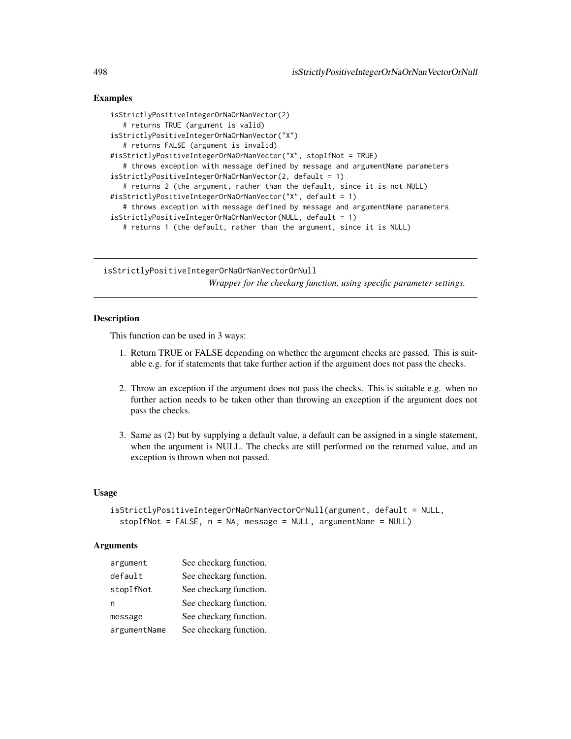# Examples

```
isStrictlyPositiveIntegerOrNaOrNanVector(2)
   # returns TRUE (argument is valid)
isStrictlyPositiveIntegerOrNaOrNanVector("X")
   # returns FALSE (argument is invalid)
#isStrictlyPositiveIntegerOrNaOrNanVector("X", stopIfNot = TRUE)
   # throws exception with message defined by message and argumentName parameters
isStrictlyPositiveIntegerOrNaOrNanVector(2, default = 1)
   # returns 2 (the argument, rather than the default, since it is not NULL)
#isStrictlyPositiveIntegerOrNaOrNanVector("X", default = 1)
   # throws exception with message defined by message and argumentName parameters
isStrictlyPositiveIntegerOrNaOrNanVector(NULL, default = 1)
   # returns 1 (the default, rather than the argument, since it is NULL)
```
isStrictlyPositiveIntegerOrNaOrNanVectorOrNull *Wrapper for the checkarg function, using specific parameter settings.*

# Description

This function can be used in 3 ways:

- 1. Return TRUE or FALSE depending on whether the argument checks are passed. This is suitable e.g. for if statements that take further action if the argument does not pass the checks.
- 2. Throw an exception if the argument does not pass the checks. This is suitable e.g. when no further action needs to be taken other than throwing an exception if the argument does not pass the checks.
- 3. Same as (2) but by supplying a default value, a default can be assigned in a single statement, when the argument is NULL. The checks are still performed on the returned value, and an exception is thrown when not passed.

### Usage

```
isStrictlyPositiveIntegerOrNaOrNanVectorOrNull(argument, default = NULL,
 stopIfNot = FALSE, n = NA, message = NULL, argumentName = NULL)
```
### **Arguments**

| argument     | See checkarg function. |
|--------------|------------------------|
| default      | See checkarg function. |
| stopIfNot    | See checkarg function. |
| n            | See checkarg function. |
| message      | See checkarg function. |
| argumentName | See checkarg function. |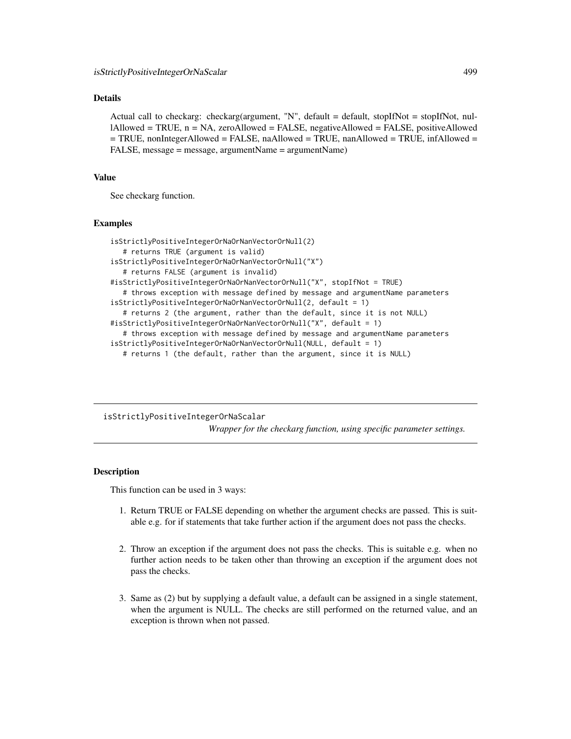### Details

Actual call to checkarg: checkarg(argument, "N", default = default, stopIfNot = stopIfNot, nullAllowed = TRUE, n = NA, zeroAllowed = FALSE, negativeAllowed = FALSE, positiveAllowed = TRUE, nonIntegerAllowed = FALSE, naAllowed = TRUE, nanAllowed = TRUE, infAllowed = FALSE, message = message, argumentName = argumentName)

#### Value

See checkarg function.

#### Examples

```
isStrictlyPositiveIntegerOrNaOrNanVectorOrNull(2)
   # returns TRUE (argument is valid)
isStrictlyPositiveIntegerOrNaOrNanVectorOrNull("X")
   # returns FALSE (argument is invalid)
#isStrictlyPositiveIntegerOrNaOrNanVectorOrNull("X", stopIfNot = TRUE)
   # throws exception with message defined by message and argumentName parameters
isStrictlyPositiveIntegerOrNaOrNanVectorOrNull(2, default = 1)
   # returns 2 (the argument, rather than the default, since it is not NULL)
#isStrictlyPositiveIntegerOrNaOrNanVectorOrNull("X", default = 1)
   # throws exception with message defined by message and argumentName parameters
isStrictlyPositiveIntegerOrNaOrNanVectorOrNull(NULL, default = 1)
  # returns 1 (the default, rather than the argument, since it is NULL)
```
isStrictlyPositiveIntegerOrNaScalar *Wrapper for the checkarg function, using specific parameter settings.*

### Description

This function can be used in 3 ways:

- 1. Return TRUE or FALSE depending on whether the argument checks are passed. This is suitable e.g. for if statements that take further action if the argument does not pass the checks.
- 2. Throw an exception if the argument does not pass the checks. This is suitable e.g. when no further action needs to be taken other than throwing an exception if the argument does not pass the checks.
- 3. Same as (2) but by supplying a default value, a default can be assigned in a single statement, when the argument is NULL. The checks are still performed on the returned value, and an exception is thrown when not passed.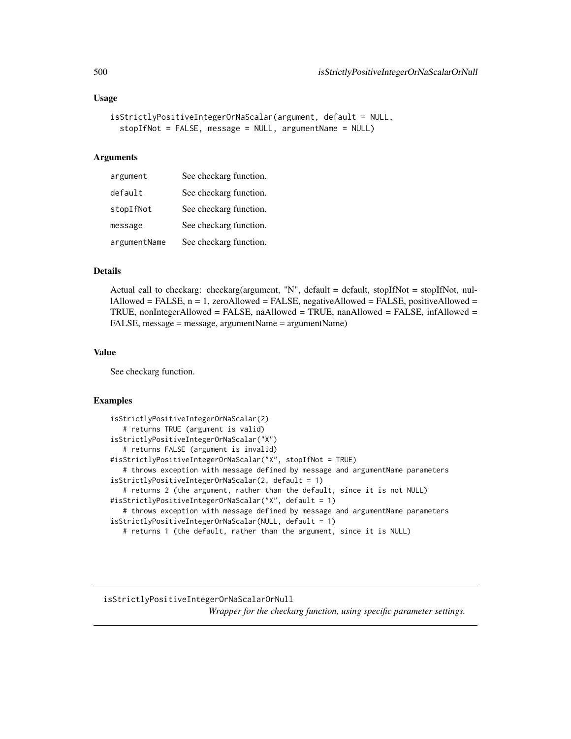```
isStrictlyPositiveIntegerOrNaScalar(argument, default = NULL,
  stopIfNot = FALSE, message = NULL, argumentName = NULL)
```
#### Arguments

| argument     | See checkarg function. |
|--------------|------------------------|
| default      | See checkarg function. |
| stopIfNot    | See checkarg function. |
| message      | See checkarg function. |
| argumentName | See checkarg function. |

# Details

Actual call to checkarg: checkarg(argument, "N", default = default, stopIfNot = stopIfNot, nullAllowed = FALSE,  $n = 1$ , zeroAllowed = FALSE, negativeAllowed = FALSE, positiveAllowed = TRUE, nonIntegerAllowed = FALSE, naAllowed = TRUE, nanAllowed = FALSE, infAllowed = FALSE, message = message, argumentName = argumentName)

### Value

See checkarg function.

# Examples

```
isStrictlyPositiveIntegerOrNaScalar(2)
   # returns TRUE (argument is valid)
isStrictlyPositiveIntegerOrNaScalar("X")
   # returns FALSE (argument is invalid)
#isStrictlyPositiveIntegerOrNaScalar("X", stopIfNot = TRUE)
   # throws exception with message defined by message and argumentName parameters
isStrictlyPositiveIntegerOrNaScalar(2, default = 1)
   # returns 2 (the argument, rather than the default, since it is not NULL)
#isStrictlyPositiveIntegerOrNaScalar("X", default = 1)
  # throws exception with message defined by message and argumentName parameters
isStrictlyPositiveIntegerOrNaScalar(NULL, default = 1)
  # returns 1 (the default, rather than the argument, since it is NULL)
```
isStrictlyPositiveIntegerOrNaScalarOrNull *Wrapper for the checkarg function, using specific parameter settings.*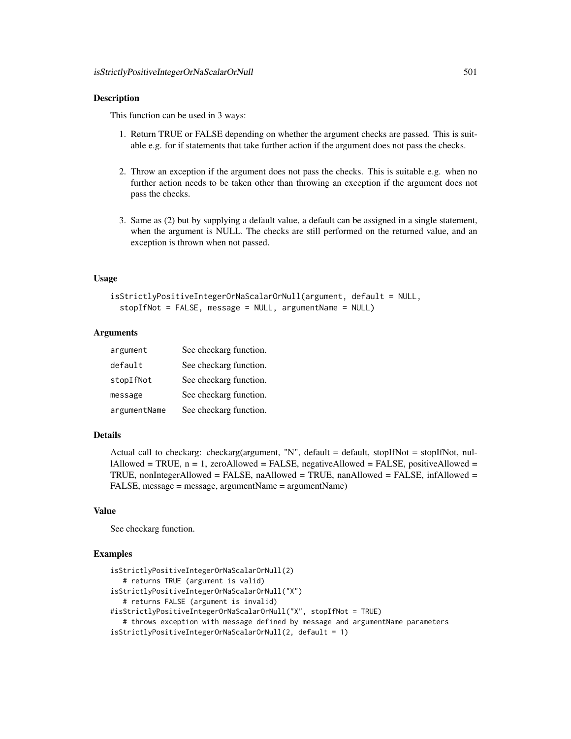### **Description**

This function can be used in 3 ways:

- 1. Return TRUE or FALSE depending on whether the argument checks are passed. This is suitable e.g. for if statements that take further action if the argument does not pass the checks.
- 2. Throw an exception if the argument does not pass the checks. This is suitable e.g. when no further action needs to be taken other than throwing an exception if the argument does not pass the checks.
- 3. Same as (2) but by supplying a default value, a default can be assigned in a single statement, when the argument is NULL. The checks are still performed on the returned value, and an exception is thrown when not passed.

#### Usage

```
isStrictlyPositiveIntegerOrNaScalarOrNull(argument, default = NULL,
  stopIfNot = FALSE, message = NULL, argumentName = NULL)
```
### Arguments

| argument     | See checkarg function. |
|--------------|------------------------|
| default      | See checkarg function. |
| stopIfNot    | See checkarg function. |
| message      | See checkarg function. |
| argumentName | See checkarg function. |

#### Details

Actual call to checkarg: checkarg(argument, "N", default = default, stopIfNot = stopIfNot, nullAllowed = TRUE,  $n = 1$ , zeroAllowed = FALSE, negativeAllowed = FALSE, positiveAllowed = TRUE, nonIntegerAllowed = FALSE, naAllowed = TRUE, nanAllowed = FALSE, infAllowed = FALSE, message = message, argumentName = argumentName)

### Value

See checkarg function.

```
isStrictlyPositiveIntegerOrNaScalarOrNull(2)
   # returns TRUE (argument is valid)
isStrictlyPositiveIntegerOrNaScalarOrNull("X")
   # returns FALSE (argument is invalid)
#isStrictlyPositiveIntegerOrNaScalarOrNull("X", stopIfNot = TRUE)
   # throws exception with message defined by message and argumentName parameters
isStrictlyPositiveIntegerOrNaScalarOrNull(2, default = 1)
```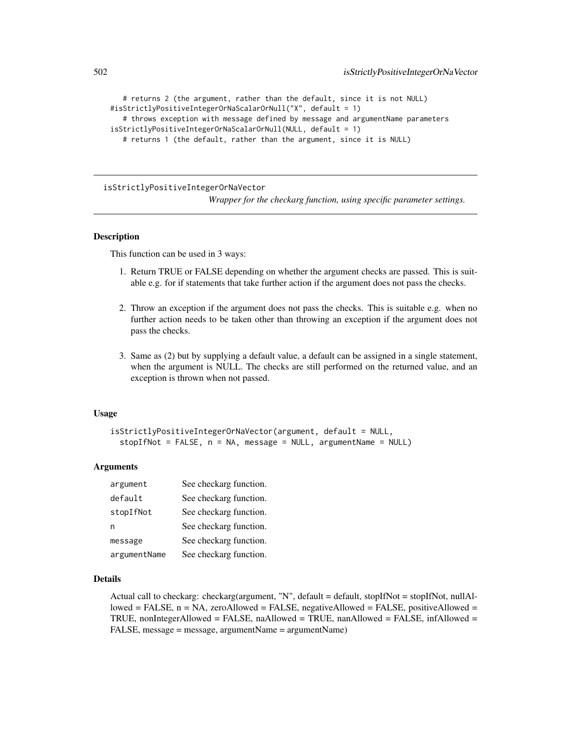```
# returns 2 (the argument, rather than the default, since it is not NULL)
#isStrictlyPositiveIntegerOrNaScalarOrNull("X", default = 1)
   # throws exception with message defined by message and argumentName parameters
isStrictlyPositiveIntegerOrNaScalarOrNull(NULL, default = 1)
  # returns 1 (the default, rather than the argument, since it is NULL)
```
isStrictlyPositiveIntegerOrNaVector

*Wrapper for the checkarg function, using specific parameter settings.*

#### Description

This function can be used in 3 ways:

- 1. Return TRUE or FALSE depending on whether the argument checks are passed. This is suitable e.g. for if statements that take further action if the argument does not pass the checks.
- 2. Throw an exception if the argument does not pass the checks. This is suitable e.g. when no further action needs to be taken other than throwing an exception if the argument does not pass the checks.
- 3. Same as (2) but by supplying a default value, a default can be assigned in a single statement, when the argument is NULL. The checks are still performed on the returned value, and an exception is thrown when not passed.

### Usage

isStrictlyPositiveIntegerOrNaVector(argument, default = NULL, stopIfNot = FALSE, n = NA, message = NULL, argumentName = NULL)

#### Arguments

| argument     | See checkarg function. |
|--------------|------------------------|
| default      | See checkarg function. |
| stopIfNot    | See checkarg function. |
| n            | See checkarg function. |
| message      | See checkarg function. |
| argumentName | See checkarg function. |

#### Details

Actual call to checkarg: checkarg(argument, "N", default = default, stopIfNot = stopIfNot, nullAllowed = FALSE,  $n = NA$ , zeroAllowed = FALSE, negativeAllowed = FALSE, positiveAllowed = TRUE, nonIntegerAllowed = FALSE, naAllowed = TRUE, nanAllowed = FALSE, infAllowed = FALSE, message = message, argumentName = argumentName)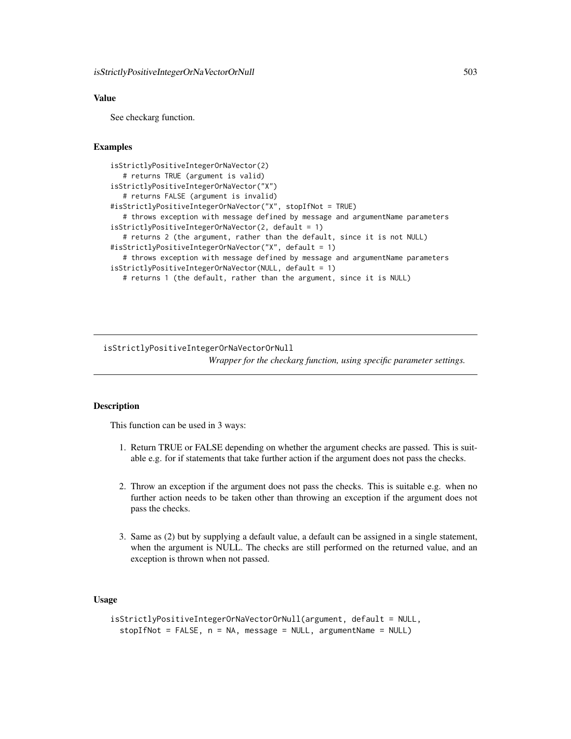# Value

See checkarg function.

### Examples

```
isStrictlyPositiveIntegerOrNaVector(2)
   # returns TRUE (argument is valid)
isStrictlyPositiveIntegerOrNaVector("X")
   # returns FALSE (argument is invalid)
#isStrictlyPositiveIntegerOrNaVector("X", stopIfNot = TRUE)
   # throws exception with message defined by message and argumentName parameters
isStrictlyPositiveIntegerOrNaVector(2, default = 1)
   # returns 2 (the argument, rather than the default, since it is not NULL)
#isStrictlyPositiveIntegerOrNaVector("X", default = 1)
   # throws exception with message defined by message and argumentName parameters
isStrictlyPositiveIntegerOrNaVector(NULL, default = 1)
  # returns 1 (the default, rather than the argument, since it is NULL)
```
isStrictlyPositiveIntegerOrNaVectorOrNull *Wrapper for the checkarg function, using specific parameter settings.*

# Description

This function can be used in 3 ways:

- 1. Return TRUE or FALSE depending on whether the argument checks are passed. This is suitable e.g. for if statements that take further action if the argument does not pass the checks.
- 2. Throw an exception if the argument does not pass the checks. This is suitable e.g. when no further action needs to be taken other than throwing an exception if the argument does not pass the checks.
- 3. Same as (2) but by supplying a default value, a default can be assigned in a single statement, when the argument is NULL. The checks are still performed on the returned value, and an exception is thrown when not passed.

# Usage

```
isStrictlyPositiveIntegerOrNaVectorOrNull(argument, default = NULL,
 stopIfNot = FALSE, n = NA, message = NULL, argumentName = NULL)
```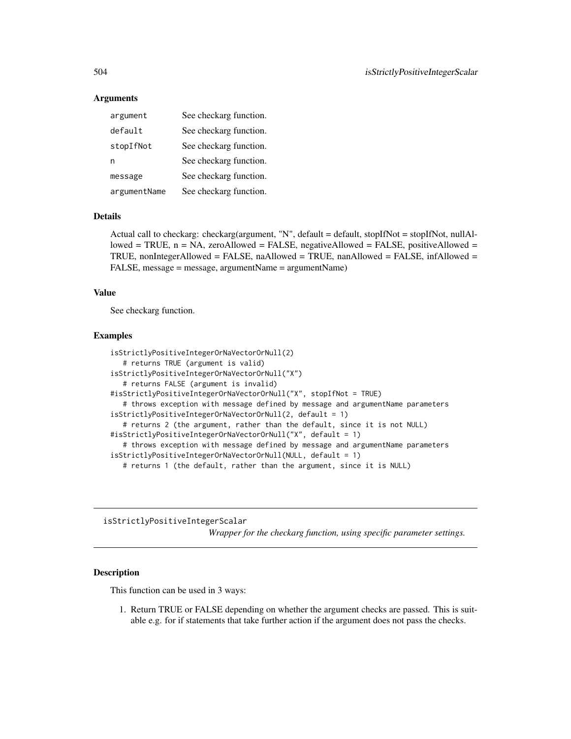### Arguments

| argument     | See checkarg function. |
|--------------|------------------------|
| default      | See checkarg function. |
| stopIfNot    | See checkarg function. |
| n            | See checkarg function. |
| message      | See checkarg function. |
| argumentName | See checkarg function. |

### Details

Actual call to checkarg: checkarg(argument, "N", default = default, stopIfNot = stopIfNot, nullAllowed = TRUE,  $n = NA$ , zeroAllowed = FALSE, negativeAllowed = FALSE, positiveAllowed = TRUE, nonIntegerAllowed = FALSE, naAllowed = TRUE, nanAllowed = FALSE, infAllowed = FALSE, message = message, argumentName = argumentName)

### Value

See checkarg function.

#### Examples

```
isStrictlyPositiveIntegerOrNaVectorOrNull(2)
   # returns TRUE (argument is valid)
isStrictlyPositiveIntegerOrNaVectorOrNull("X")
   # returns FALSE (argument is invalid)
#isStrictlyPositiveIntegerOrNaVectorOrNull("X", stopIfNot = TRUE)
   # throws exception with message defined by message and argumentName parameters
isStrictlyPositiveIntegerOrNaVectorOrNull(2, default = 1)
   # returns 2 (the argument, rather than the default, since it is not NULL)
#isStrictlyPositiveIntegerOrNaVectorOrNull("X", default = 1)
   # throws exception with message defined by message and argumentName parameters
isStrictlyPositiveIntegerOrNaVectorOrNull(NULL, default = 1)
  # returns 1 (the default, rather than the argument, since it is NULL)
```
isStrictlyPositiveIntegerScalar

*Wrapper for the checkarg function, using specific parameter settings.*

# Description

This function can be used in 3 ways:

1. Return TRUE or FALSE depending on whether the argument checks are passed. This is suitable e.g. for if statements that take further action if the argument does not pass the checks.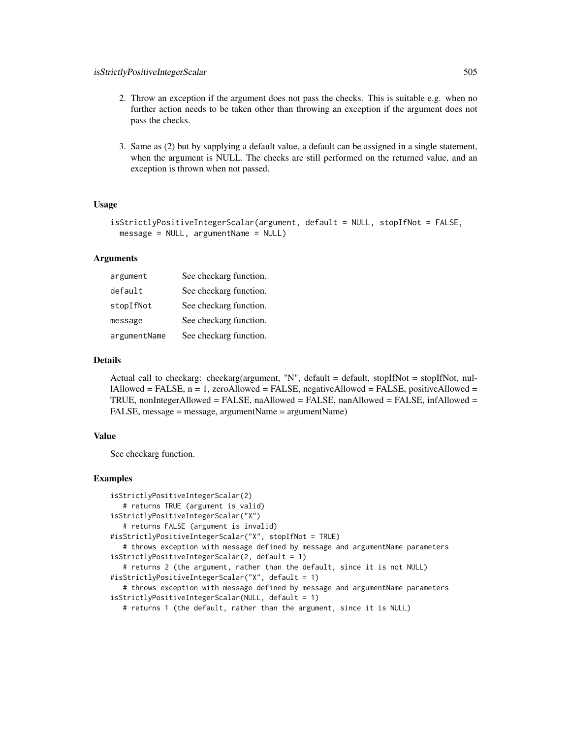- 2. Throw an exception if the argument does not pass the checks. This is suitable e.g. when no further action needs to be taken other than throwing an exception if the argument does not pass the checks.
- 3. Same as (2) but by supplying a default value, a default can be assigned in a single statement, when the argument is NULL. The checks are still performed on the returned value, and an exception is thrown when not passed.

```
isStrictlyPositiveIntegerScalar(argument, default = NULL, stopIfNot = FALSE,
 message = NULL, argumentName = NULL)
```
#### Arguments

| argument     | See checkarg function. |
|--------------|------------------------|
| default      | See checkarg function. |
| stopIfNot    | See checkarg function. |
| message      | See checkarg function. |
| argumentName | See checkarg function. |

# Details

Actual call to checkarg: checkarg(argument, "N", default = default, stopIfNot = stopIfNot, nul- $\text{I}$ Allowed = FALSE, n = 1, zeroAllowed = FALSE, negativeAllowed = FALSE, positiveAllowed = TRUE, nonIntegerAllowed = FALSE, naAllowed = FALSE, nanAllowed = FALSE, infAllowed = FALSE, message = message, argumentName = argumentName)

# Value

See checkarg function.

```
isStrictlyPositiveIntegerScalar(2)
   # returns TRUE (argument is valid)
isStrictlyPositiveIntegerScalar("X")
   # returns FALSE (argument is invalid)
#isStrictlyPositiveIntegerScalar("X", stopIfNot = TRUE)
   # throws exception with message defined by message and argumentName parameters
isStrictlyPositiveIntegerScalar(2, default = 1)
   # returns 2 (the argument, rather than the default, since it is not NULL)
#isStrictlyPositiveIntegerScalar("X", default = 1)
   # throws exception with message defined by message and argumentName parameters
isStrictlyPositiveIntegerScalar(NULL, default = 1)
   # returns 1 (the default, rather than the argument, since it is NULL)
```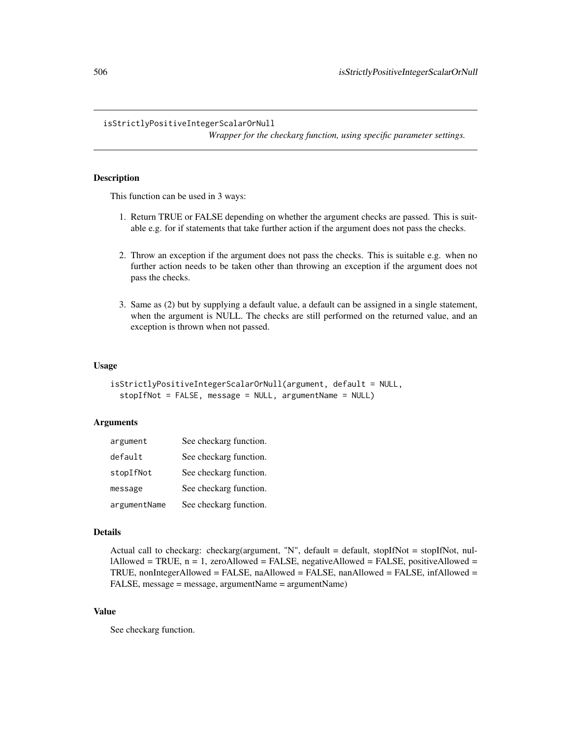#### isStrictlyPositiveIntegerScalarOrNull

*Wrapper for the checkarg function, using specific parameter settings.*

## Description

This function can be used in 3 ways:

- 1. Return TRUE or FALSE depending on whether the argument checks are passed. This is suitable e.g. for if statements that take further action if the argument does not pass the checks.
- 2. Throw an exception if the argument does not pass the checks. This is suitable e.g. when no further action needs to be taken other than throwing an exception if the argument does not pass the checks.
- 3. Same as (2) but by supplying a default value, a default can be assigned in a single statement, when the argument is NULL. The checks are still performed on the returned value, and an exception is thrown when not passed.

#### Usage

```
isStrictlyPositiveIntegerScalarOrNull(argument, default = NULL,
 stopIfNot = FALSE, message = NULL, argumentName = NULL)
```
## **Arguments**

| argument     | See checkarg function. |
|--------------|------------------------|
| default      | See checkarg function. |
| stopIfNot    | See checkarg function. |
| message      | See checkarg function. |
| argumentName | See checkarg function. |

#### Details

Actual call to checkarg: checkarg(argument, "N", default = default, stopIfNot = stopIfNot, nullAllowed = TRUE,  $n = 1$ , zeroAllowed = FALSE, negativeAllowed = FALSE, positiveAllowed = TRUE, nonIntegerAllowed = FALSE, naAllowed = FALSE, nanAllowed = FALSE, infAllowed = FALSE, message = message, argumentName = argumentName)

# Value

See checkarg function.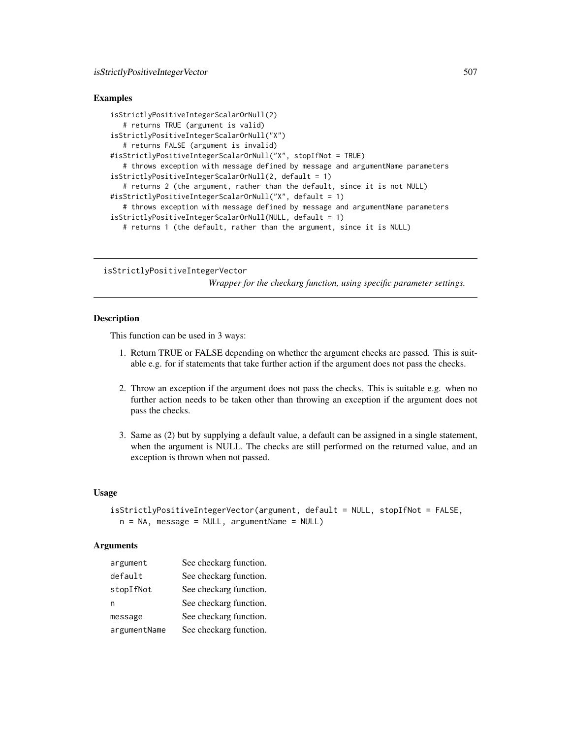# isStrictlyPositiveIntegerVector 507

## Examples

```
isStrictlyPositiveIntegerScalarOrNull(2)
   # returns TRUE (argument is valid)
isStrictlyPositiveIntegerScalarOrNull("X")
   # returns FALSE (argument is invalid)
#isStrictlyPositiveIntegerScalarOrNull("X", stopIfNot = TRUE)
   # throws exception with message defined by message and argumentName parameters
isStrictlyPositiveIntegerScalarOrNull(2, default = 1)
   # returns 2 (the argument, rather than the default, since it is not NULL)
#isStrictlyPositiveIntegerScalarOrNull("X", default = 1)
   # throws exception with message defined by message and argumentName parameters
isStrictlyPositiveIntegerScalarOrNull(NULL, default = 1)
  # returns 1 (the default, rather than the argument, since it is NULL)
```
isStrictlyPositiveIntegerVector

*Wrapper for the checkarg function, using specific parameter settings.*

# Description

This function can be used in 3 ways:

- 1. Return TRUE or FALSE depending on whether the argument checks are passed. This is suitable e.g. for if statements that take further action if the argument does not pass the checks.
- 2. Throw an exception if the argument does not pass the checks. This is suitable e.g. when no further action needs to be taken other than throwing an exception if the argument does not pass the checks.
- 3. Same as (2) but by supplying a default value, a default can be assigned in a single statement, when the argument is NULL. The checks are still performed on the returned value, and an exception is thrown when not passed.

## Usage

```
isStrictlyPositiveIntegerVector(argument, default = NULL, stopIfNot = FALSE,
 n = NA, message = NULL, argumentName = NULL)
```
## Arguments

| argument     | See checkarg function. |
|--------------|------------------------|
| default      | See checkarg function. |
| stopIfNot    | See checkarg function. |
| n            | See checkarg function. |
| message      | See checkarg function. |
| argumentName | See checkarg function. |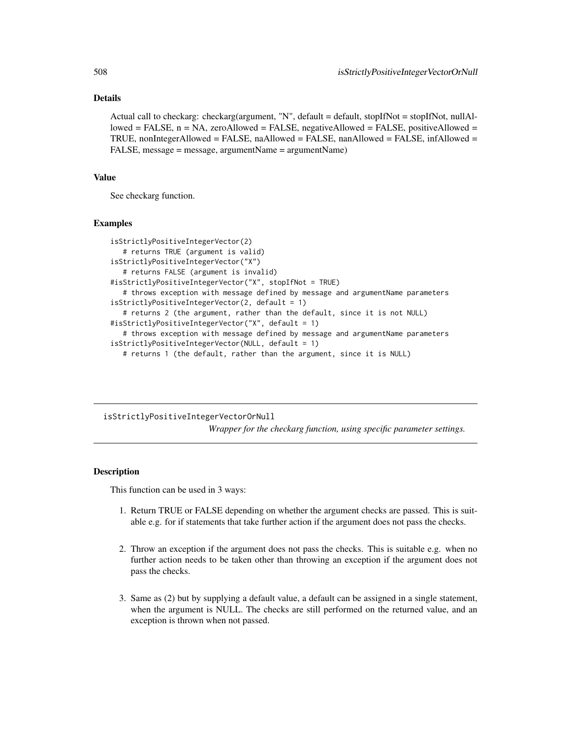# Details

Actual call to checkarg: checkarg(argument, "N", default = default, stopIfNot = stopIfNot, nullAllowed = FALSE, n = NA, zeroAllowed = FALSE, negativeAllowed = FALSE, positiveAllowed = TRUE, nonIntegerAllowed = FALSE, naAllowed = FALSE, nanAllowed = FALSE, infAllowed = FALSE, message = message, argumentName = argumentName)

## Value

See checkarg function.

## Examples

```
isStrictlyPositiveIntegerVector(2)
   # returns TRUE (argument is valid)
isStrictlyPositiveIntegerVector("X")
   # returns FALSE (argument is invalid)
#isStrictlyPositiveIntegerVector("X", stopIfNot = TRUE)
   # throws exception with message defined by message and argumentName parameters
isStrictlyPositiveIntegerVector(2, default = 1)
   # returns 2 (the argument, rather than the default, since it is not NULL)
#isStrictlyPositiveIntegerVector("X", default = 1)
   # throws exception with message defined by message and argumentName parameters
isStrictlyPositiveIntegerVector(NULL, default = 1)
  # returns 1 (the default, rather than the argument, since it is NULL)
```
isStrictlyPositiveIntegerVectorOrNull *Wrapper for the checkarg function, using specific parameter settings.*

# **Description**

This function can be used in 3 ways:

- 1. Return TRUE or FALSE depending on whether the argument checks are passed. This is suitable e.g. for if statements that take further action if the argument does not pass the checks.
- 2. Throw an exception if the argument does not pass the checks. This is suitable e.g. when no further action needs to be taken other than throwing an exception if the argument does not pass the checks.
- 3. Same as (2) but by supplying a default value, a default can be assigned in a single statement, when the argument is NULL. The checks are still performed on the returned value, and an exception is thrown when not passed.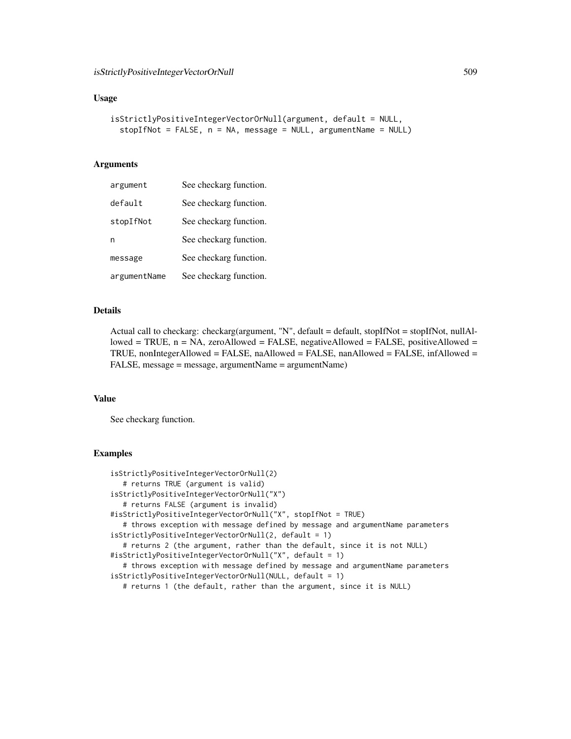```
isStrictlyPositiveIntegerVectorOrNull(argument, default = NULL,
  stopIfNot = FALSE, n = NA, message = NULL, argumentName = NULL)
```
# Arguments

| argument     | See checkarg function. |
|--------------|------------------------|
| default      | See checkarg function. |
| stopIfNot    | See checkarg function. |
| n            | See checkarg function. |
| message      | See checkarg function. |
| argumentName | See checkarg function. |

## Details

Actual call to checkarg: checkarg(argument, "N", default = default, stopIfNot = stopIfNot, nullAllowed = TRUE,  $n = NA$ , zeroAllowed = FALSE, negativeAllowed = FALSE, positiveAllowed = TRUE, nonIntegerAllowed = FALSE, naAllowed = FALSE, nanAllowed = FALSE, infAllowed = FALSE, message = message, argumentName = argumentName)

#### Value

See checkarg function.

```
isStrictlyPositiveIntegerVectorOrNull(2)
  # returns TRUE (argument is valid)
isStrictlyPositiveIntegerVectorOrNull("X")
   # returns FALSE (argument is invalid)
#isStrictlyPositiveIntegerVectorOrNull("X", stopIfNot = TRUE)
   # throws exception with message defined by message and argumentName parameters
isStrictlyPositiveIntegerVectorOrNull(2, default = 1)
   # returns 2 (the argument, rather than the default, since it is not NULL)
#isStrictlyPositiveIntegerVectorOrNull("X", default = 1)
   # throws exception with message defined by message and argumentName parameters
isStrictlyPositiveIntegerVectorOrNull(NULL, default = 1)
   # returns 1 (the default, rather than the argument, since it is NULL)
```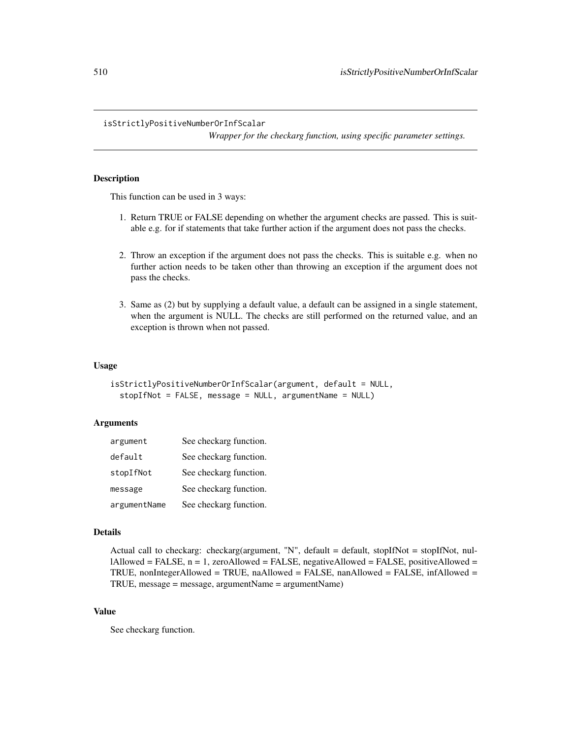# isStrictlyPositiveNumberOrInfScalar

*Wrapper for the checkarg function, using specific parameter settings.*

# Description

This function can be used in 3 ways:

- 1. Return TRUE or FALSE depending on whether the argument checks are passed. This is suitable e.g. for if statements that take further action if the argument does not pass the checks.
- 2. Throw an exception if the argument does not pass the checks. This is suitable e.g. when no further action needs to be taken other than throwing an exception if the argument does not pass the checks.
- 3. Same as (2) but by supplying a default value, a default can be assigned in a single statement, when the argument is NULL. The checks are still performed on the returned value, and an exception is thrown when not passed.

#### Usage

```
isStrictlyPositiveNumberOrInfScalar(argument, default = NULL,
 stopIfNot = FALSE, message = NULL, argumentName = NULL)
```
## **Arguments**

| argument     | See checkarg function. |
|--------------|------------------------|
| default      | See checkarg function. |
| stopIfNot    | See checkarg function. |
| message      | See checkarg function. |
| argumentName | See checkarg function. |

#### Details

```
Actual call to checkarg: checkarg(argument, "N", default = default, stopIfNot = stopIfNot, nul-
lAllowed = FALSE, n = 1, zeroAllowed = FALSE, negativeAllowed = FALSE, positiveAllowed =
TRUE, nonIntegerAllowed = TRUE, naAllowed = FALSE, nanAllowed = FALSE, infAllowed =
TRUE, message = message, argumentName = argumentName)
```
# Value

See checkarg function.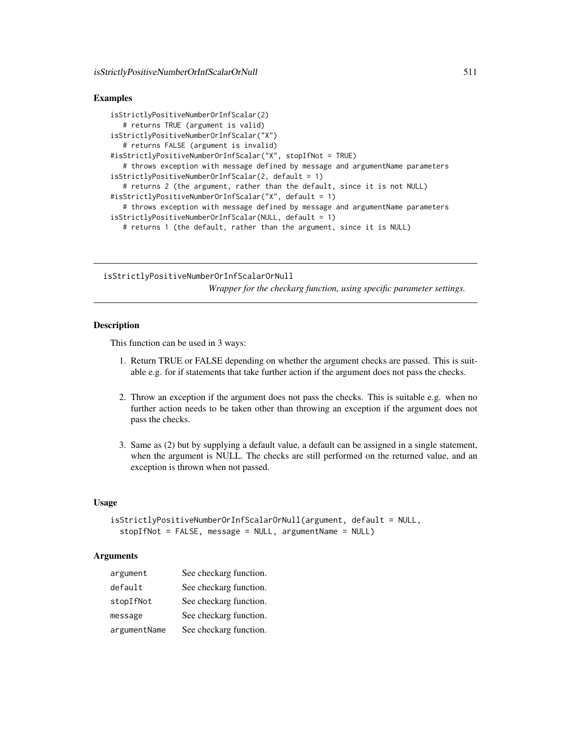## Examples

```
isStrictlyPositiveNumberOrInfScalar(2)
   # returns TRUE (argument is valid)
isStrictlyPositiveNumberOrInfScalar("X")
   # returns FALSE (argument is invalid)
#isStrictlyPositiveNumberOrInfScalar("X", stopIfNot = TRUE)
   # throws exception with message defined by message and argumentName parameters
isStrictlyPositiveNumberOrInfScalar(2, default = 1)
   # returns 2 (the argument, rather than the default, since it is not NULL)
#isStrictlyPositiveNumberOrInfScalar("X", default = 1)
   # throws exception with message defined by message and argumentName parameters
isStrictlyPositiveNumberOrInfScalar(NULL, default = 1)
   # returns 1 (the default, rather than the argument, since it is NULL)
```
isStrictlyPositiveNumberOrInfScalarOrNull *Wrapper for the checkarg function, using specific parameter settings.*

## **Description**

This function can be used in 3 ways:

- 1. Return TRUE or FALSE depending on whether the argument checks are passed. This is suitable e.g. for if statements that take further action if the argument does not pass the checks.
- 2. Throw an exception if the argument does not pass the checks. This is suitable e.g. when no further action needs to be taken other than throwing an exception if the argument does not pass the checks.
- 3. Same as (2) but by supplying a default value, a default can be assigned in a single statement, when the argument is NULL. The checks are still performed on the returned value, and an exception is thrown when not passed.

## Usage

```
isStrictlyPositiveNumberOrInfScalarOrNull(argument, default = NULL,
 stopIfNot = FALSE, message = NULL, argumentName = NULL)
```
## **Arguments**

| argument     | See checkarg function. |
|--------------|------------------------|
| default      | See checkarg function. |
| stopIfNot    | See checkarg function. |
| message      | See checkarg function. |
| argumentName | See checkarg function. |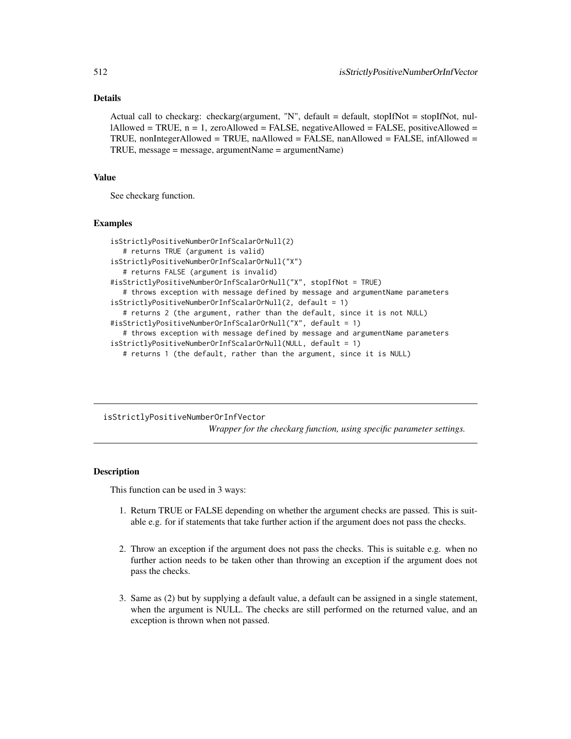# Details

Actual call to checkarg: checkarg(argument, "N", default = default, stopIfNot = stopIfNot, nullAllowed = TRUE, n = 1, zeroAllowed = FALSE, negativeAllowed = FALSE, positiveAllowed = TRUE, nonIntegerAllowed = TRUE, naAllowed = FALSE, nanAllowed = FALSE, infAllowed = TRUE, message = message, argumentName = argumentName)

#### Value

See checkarg function.

#### Examples

```
isStrictlyPositiveNumberOrInfScalarOrNull(2)
   # returns TRUE (argument is valid)
isStrictlyPositiveNumberOrInfScalarOrNull("X")
   # returns FALSE (argument is invalid)
#isStrictlyPositiveNumberOrInfScalarOrNull("X", stopIfNot = TRUE)
   # throws exception with message defined by message and argumentName parameters
isStrictlyPositiveNumberOrInfScalarOrNull(2, default = 1)
   # returns 2 (the argument, rather than the default, since it is not NULL)
#isStrictlyPositiveNumberOrInfScalarOrNull("X", default = 1)
   # throws exception with message defined by message and argumentName parameters
isStrictlyPositiveNumberOrInfScalarOrNull(NULL, default = 1)
  # returns 1 (the default, rather than the argument, since it is NULL)
```
isStrictlyPositiveNumberOrInfVector *Wrapper for the checkarg function, using specific parameter settings.*

# **Description**

This function can be used in 3 ways:

- 1. Return TRUE or FALSE depending on whether the argument checks are passed. This is suitable e.g. for if statements that take further action if the argument does not pass the checks.
- 2. Throw an exception if the argument does not pass the checks. This is suitable e.g. when no further action needs to be taken other than throwing an exception if the argument does not pass the checks.
- 3. Same as (2) but by supplying a default value, a default can be assigned in a single statement, when the argument is NULL. The checks are still performed on the returned value, and an exception is thrown when not passed.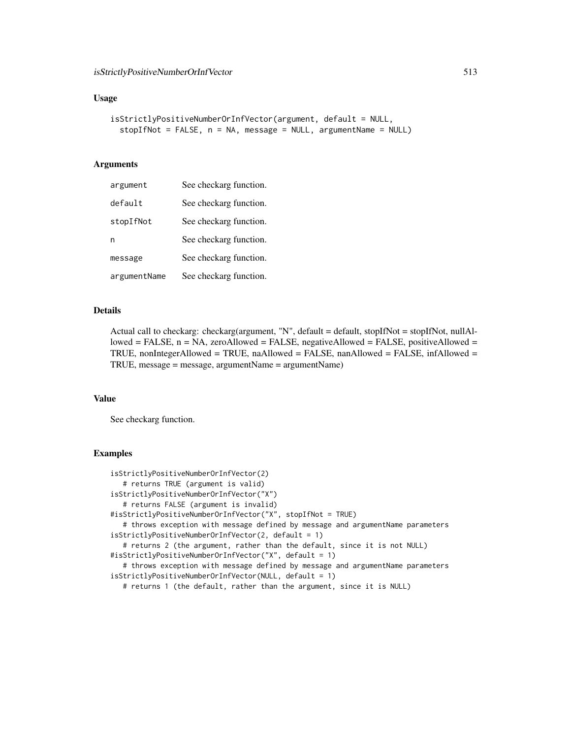```
isStrictlyPositiveNumberOrInfVector(argument, default = NULL,
  stopIfNot = FALSE, n = NA, message = NULL, argumentName = NULL)
```
## Arguments

| argument     | See checkarg function. |
|--------------|------------------------|
| default      | See checkarg function. |
| stopIfNot    | See checkarg function. |
| n            | See checkarg function. |
| message      | See checkarg function. |
| argumentName | See checkarg function. |

## Details

Actual call to checkarg: checkarg(argument, "N", default = default, stopIfNot = stopIfNot, nullAllowed = FALSE,  $n = NA$ , zeroAllowed = FALSE, negativeAllowed = FALSE, positiveAllowed = TRUE, nonIntegerAllowed = TRUE, naAllowed = FALSE, nanAllowed = FALSE, infAllowed = TRUE, message = message, argumentName = argumentName)

#### Value

See checkarg function.

```
isStrictlyPositiveNumberOrInfVector(2)
  # returns TRUE (argument is valid)
isStrictlyPositiveNumberOrInfVector("X")
  # returns FALSE (argument is invalid)
#isStrictlyPositiveNumberOrInfVector("X", stopIfNot = TRUE)
   # throws exception with message defined by message and argumentName parameters
isStrictlyPositiveNumberOrInfVector(2, default = 1)
   # returns 2 (the argument, rather than the default, since it is not NULL)
#isStrictlyPositiveNumberOrInfVector("X", default = 1)
   # throws exception with message defined by message and argumentName parameters
isStrictlyPositiveNumberOrInfVector(NULL, default = 1)
   # returns 1 (the default, rather than the argument, since it is NULL)
```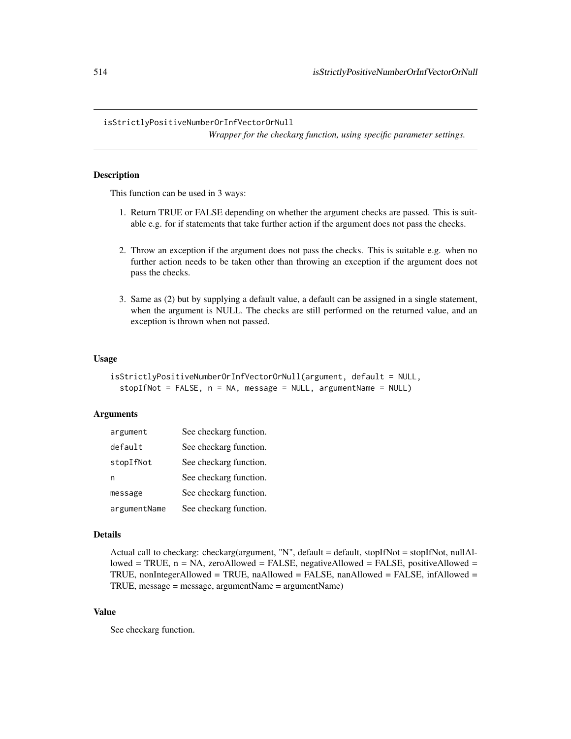isStrictlyPositiveNumberOrInfVectorOrNull

*Wrapper for the checkarg function, using specific parameter settings.*

# **Description**

This function can be used in 3 ways:

- 1. Return TRUE or FALSE depending on whether the argument checks are passed. This is suitable e.g. for if statements that take further action if the argument does not pass the checks.
- 2. Throw an exception if the argument does not pass the checks. This is suitable e.g. when no further action needs to be taken other than throwing an exception if the argument does not pass the checks.
- 3. Same as (2) but by supplying a default value, a default can be assigned in a single statement, when the argument is NULL. The checks are still performed on the returned value, and an exception is thrown when not passed.

# Usage

```
isStrictlyPositiveNumberOrInfVectorOrNull(argument, default = NULL,
 stopIfNot = FALSE, n = NA, message = NULL, argumentName = NULL)
```
# Arguments

| argument     | See checkarg function. |
|--------------|------------------------|
| default      | See checkarg function. |
| stopIfNot    | See checkarg function. |
| n            | See checkarg function. |
| message      | See checkarg function. |
| argumentName | See checkarg function. |

#### Details

Actual call to checkarg: checkarg(argument, "N", default = default, stopIfNot = stopIfNot, nullAllowed = TRUE,  $n = NA$ , zeroAllowed = FALSE, negativeAllowed = FALSE, positiveAllowed = TRUE, nonIntegerAllowed = TRUE, naAllowed = FALSE, nanAllowed = FALSE, infAllowed = TRUE, message = message, argumentName = argumentName)

# Value

See checkarg function.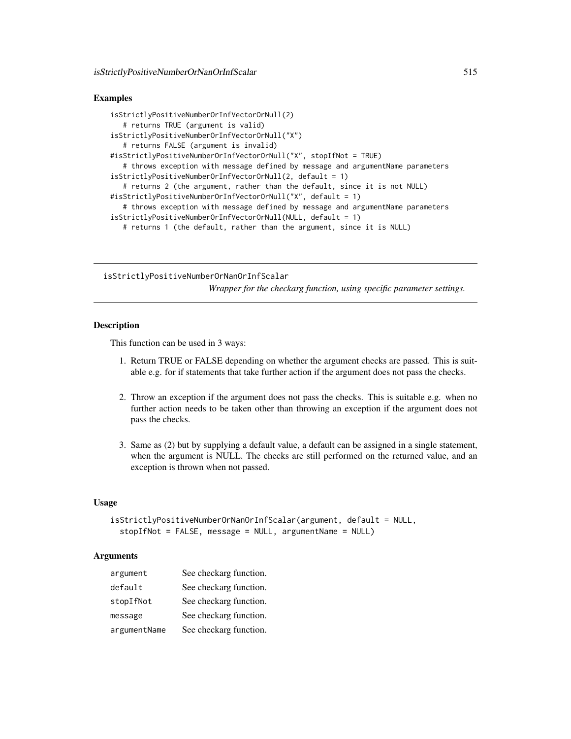## Examples

```
isStrictlyPositiveNumberOrInfVectorOrNull(2)
   # returns TRUE (argument is valid)
isStrictlyPositiveNumberOrInfVectorOrNull("X")
   # returns FALSE (argument is invalid)
#isStrictlyPositiveNumberOrInfVectorOrNull("X", stopIfNot = TRUE)
   # throws exception with message defined by message and argumentName parameters
isStrictlyPositiveNumberOrInfVectorOrNull(2, default = 1)
   # returns 2 (the argument, rather than the default, since it is not NULL)
#isStrictlyPositiveNumberOrInfVectorOrNull("X", default = 1)
   # throws exception with message defined by message and argumentName parameters
isStrictlyPositiveNumberOrInfVectorOrNull(NULL, default = 1)
   # returns 1 (the default, rather than the argument, since it is NULL)
```
isStrictlyPositiveNumberOrNanOrInfScalar *Wrapper for the checkarg function, using specific parameter settings.*

## **Description**

This function can be used in 3 ways:

- 1. Return TRUE or FALSE depending on whether the argument checks are passed. This is suitable e.g. for if statements that take further action if the argument does not pass the checks.
- 2. Throw an exception if the argument does not pass the checks. This is suitable e.g. when no further action needs to be taken other than throwing an exception if the argument does not pass the checks.
- 3. Same as (2) but by supplying a default value, a default can be assigned in a single statement, when the argument is NULL. The checks are still performed on the returned value, and an exception is thrown when not passed.

## Usage

```
isStrictlyPositiveNumberOrNanOrInfScalar(argument, default = NULL,
 stopIfNot = FALSE, message = NULL, argumentName = NULL)
```
## **Arguments**

| argument     | See checkarg function. |
|--------------|------------------------|
| default      | See checkarg function. |
| stopIfNot    | See checkarg function. |
| message      | See checkarg function. |
| argumentName | See checkarg function. |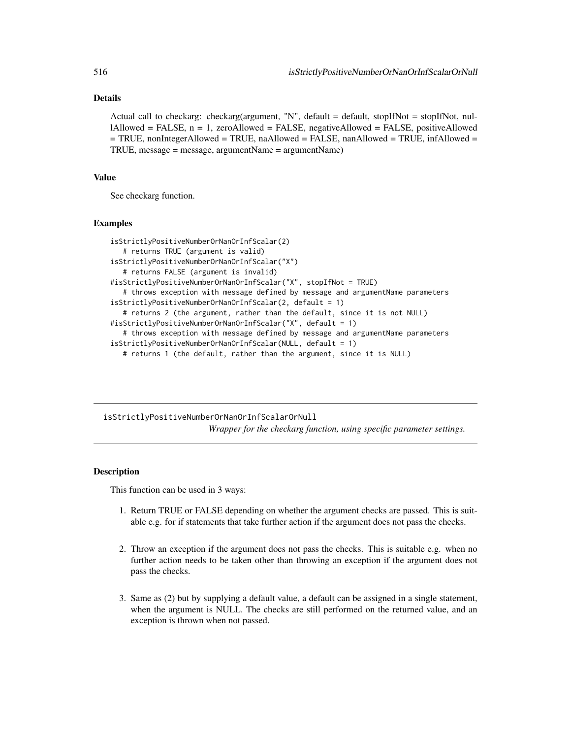# Details

Actual call to checkarg: checkarg(argument, "N", default = default, stopIfNot = stopIfNot, nullAllowed = FALSE, n = 1, zeroAllowed = FALSE, negativeAllowed = FALSE, positiveAllowed = TRUE, nonIntegerAllowed = TRUE, naAllowed = FALSE, nanAllowed = TRUE, infAllowed = TRUE, message = message, argumentName = argumentName)

#### Value

See checkarg function.

#### Examples

```
isStrictlyPositiveNumberOrNanOrInfScalar(2)
   # returns TRUE (argument is valid)
isStrictlyPositiveNumberOrNanOrInfScalar("X")
   # returns FALSE (argument is invalid)
#isStrictlyPositiveNumberOrNanOrInfScalar("X", stopIfNot = TRUE)
   # throws exception with message defined by message and argumentName parameters
isStrictlyPositiveNumberOrNanOrInfScalar(2, default = 1)
   # returns 2 (the argument, rather than the default, since it is not NULL)
#isStrictlyPositiveNumberOrNanOrInfScalar("X", default = 1)
   # throws exception with message defined by message and argumentName parameters
isStrictlyPositiveNumberOrNanOrInfScalar(NULL, default = 1)
  # returns 1 (the default, rather than the argument, since it is NULL)
```
isStrictlyPositiveNumberOrNanOrInfScalarOrNull *Wrapper for the checkarg function, using specific parameter settings.*

# **Description**

This function can be used in 3 ways:

- 1. Return TRUE or FALSE depending on whether the argument checks are passed. This is suitable e.g. for if statements that take further action if the argument does not pass the checks.
- 2. Throw an exception if the argument does not pass the checks. This is suitable e.g. when no further action needs to be taken other than throwing an exception if the argument does not pass the checks.
- 3. Same as (2) but by supplying a default value, a default can be assigned in a single statement, when the argument is NULL. The checks are still performed on the returned value, and an exception is thrown when not passed.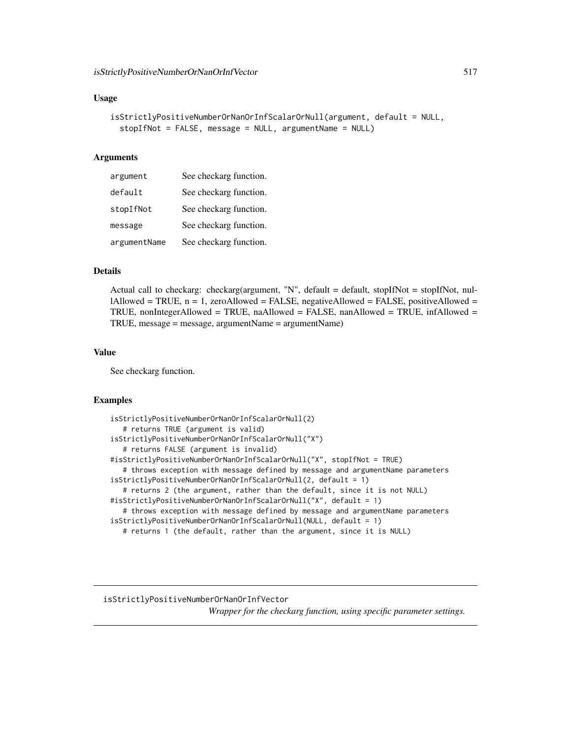```
isStrictlyPositiveNumberOrNanOrInfScalarOrNull(argument, default = NULL,
  stopIfNot = FALSE, message = NULL, argumentName = NULL)
```
#### Arguments

| argument     | See checkarg function. |
|--------------|------------------------|
| default      | See checkarg function. |
| stopIfNot    | See checkarg function. |
| message      | See checkarg function. |
| argumentName | See checkarg function. |

# Details

Actual call to checkarg: checkarg(argument, "N", default = default, stopIfNot = stopIfNot, nullAllowed = TRUE, n = 1, zeroAllowed = FALSE, negativeAllowed = FALSE, positiveAllowed = TRUE, nonIntegerAllowed = TRUE, naAllowed = FALSE, nanAllowed = TRUE, infAllowed = TRUE, message = message, argumentName = argumentName)

### Value

See checkarg function.

# Examples

```
isStrictlyPositiveNumberOrNanOrInfScalarOrNull(2)
   # returns TRUE (argument is valid)
isStrictlyPositiveNumberOrNanOrInfScalarOrNull("X")
   # returns FALSE (argument is invalid)
#isStrictlyPositiveNumberOrNanOrInfScalarOrNull("X", stopIfNot = TRUE)
   # throws exception with message defined by message and argumentName parameters
isStrictlyPositiveNumberOrNanOrInfScalarOrNull(2, default = 1)
   # returns 2 (the argument, rather than the default, since it is not NULL)
#isStrictlyPositiveNumberOrNanOrInfScalarOrNull("X", default = 1)
   # throws exception with message defined by message and argumentName parameters
isStrictlyPositiveNumberOrNanOrInfScalarOrNull(NULL, default = 1)
  # returns 1 (the default, rather than the argument, since it is NULL)
```
isStrictlyPositiveNumberOrNanOrInfVector

*Wrapper for the checkarg function, using specific parameter settings.*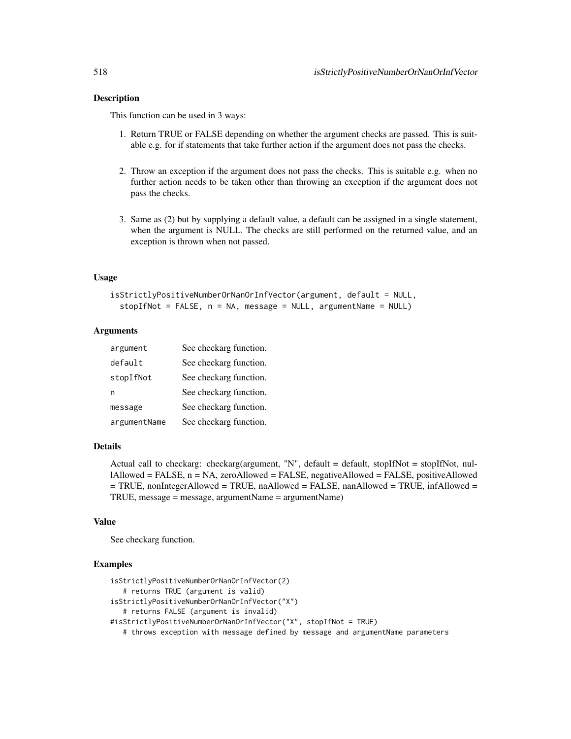## Description

This function can be used in 3 ways:

- 1. Return TRUE or FALSE depending on whether the argument checks are passed. This is suitable e.g. for if statements that take further action if the argument does not pass the checks.
- 2. Throw an exception if the argument does not pass the checks. This is suitable e.g. when no further action needs to be taken other than throwing an exception if the argument does not pass the checks.
- 3. Same as (2) but by supplying a default value, a default can be assigned in a single statement, when the argument is NULL. The checks are still performed on the returned value, and an exception is thrown when not passed.

#### Usage

```
isStrictlyPositiveNumberOrNanOrInfVector(argument, default = NULL,
 stopIfNot = FALSE, n = NA, message = NULL, argumentName = NULL)
```
## Arguments

| argument     | See checkarg function. |
|--------------|------------------------|
| default      | See checkarg function. |
| stopIfNot    | See checkarg function. |
| n            | See checkarg function. |
| message      | See checkarg function. |
| argumentName | See checkarg function. |

## Details

Actual call to checkarg: checkarg(argument, "N", default = default, stopIfNot = stopIfNot, nullAllowed = FALSE, n = NA, zeroAllowed = FALSE, negativeAllowed = FALSE, positiveAllowed = TRUE, nonIntegerAllowed = TRUE, naAllowed = FALSE, nanAllowed = TRUE, infAllowed = TRUE, message = message, argumentName = argumentName)

## Value

See checkarg function.

```
isStrictlyPositiveNumberOrNanOrInfVector(2)
  # returns TRUE (argument is valid)
isStrictlyPositiveNumberOrNanOrInfVector("X")
  # returns FALSE (argument is invalid)
#isStrictlyPositiveNumberOrNanOrInfVector("X", stopIfNot = TRUE)
  # throws exception with message defined by message and argumentName parameters
```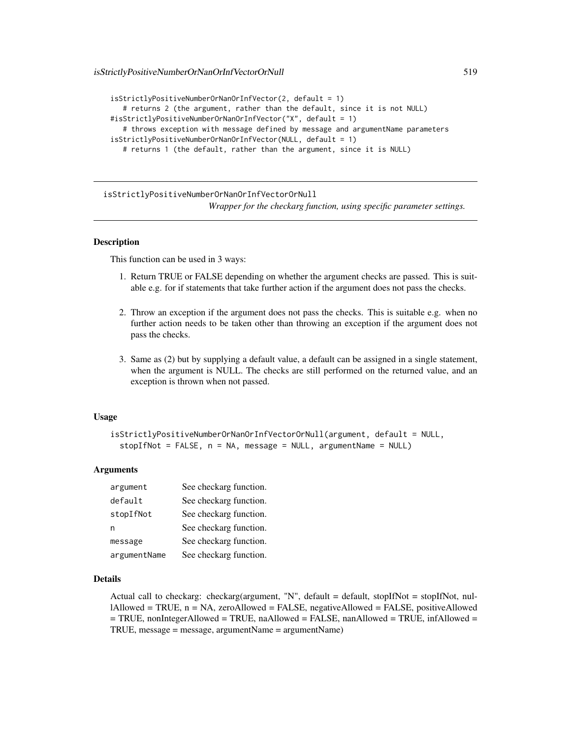```
isStrictlyPositiveNumberOrNanOrInfVector(2, default = 1)
   # returns 2 (the argument, rather than the default, since it is not NULL)
#isStrictlyPositiveNumberOrNanOrInfVector("X", default = 1)
   # throws exception with message defined by message and argumentName parameters
isStrictlyPositiveNumberOrNanOrInfVector(NULL, default = 1)
   # returns 1 (the default, rather than the argument, since it is NULL)
```
isStrictlyPositiveNumberOrNanOrInfVectorOrNull *Wrapper for the checkarg function, using specific parameter settings.*

# Description

This function can be used in 3 ways:

- 1. Return TRUE or FALSE depending on whether the argument checks are passed. This is suitable e.g. for if statements that take further action if the argument does not pass the checks.
- 2. Throw an exception if the argument does not pass the checks. This is suitable e.g. when no further action needs to be taken other than throwing an exception if the argument does not pass the checks.
- 3. Same as (2) but by supplying a default value, a default can be assigned in a single statement, when the argument is NULL. The checks are still performed on the returned value, and an exception is thrown when not passed.

#### Usage

```
isStrictlyPositiveNumberOrNanOrInfVectorOrNull(argument, default = NULL,
  stopIfNot = FALSE, n = NA, message = NULL, argumentName = NULL)
```
#### Arguments

| argument     | See checkarg function. |
|--------------|------------------------|
| default      | See checkarg function. |
| stopIfNot    | See checkarg function. |
| n            | See checkarg function. |
| message      | See checkarg function. |
| argumentName | See checkarg function. |

#### Details

Actual call to checkarg: checkarg(argument, "N", default = default, stopIfNot = stopIfNot, nullAllowed = TRUE, n = NA, zeroAllowed = FALSE, negativeAllowed = FALSE, positiveAllowed  $=$  TRUE, nonIntegerAllowed = TRUE, naAllowed = FALSE, nanAllowed = TRUE, infAllowed = TRUE, message = message, argumentName = argumentName)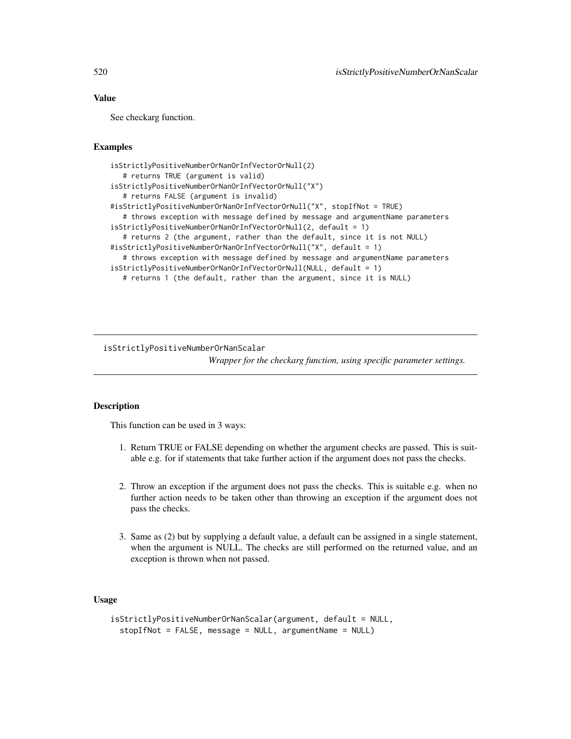# Value

See checkarg function.

## Examples

```
isStrictlyPositiveNumberOrNanOrInfVectorOrNull(2)
   # returns TRUE (argument is valid)
isStrictlyPositiveNumberOrNanOrInfVectorOrNull("X")
   # returns FALSE (argument is invalid)
#isStrictlyPositiveNumberOrNanOrInfVectorOrNull("X", stopIfNot = TRUE)
   # throws exception with message defined by message and argumentName parameters
isStrictlyPositiveNumberOrNanOrInfVectorOrNull(2, default = 1)
   # returns 2 (the argument, rather than the default, since it is not NULL)
#isStrictlyPositiveNumberOrNanOrInfVectorOrNull("X", default = 1)
   # throws exception with message defined by message and argumentName parameters
isStrictlyPositiveNumberOrNanOrInfVectorOrNull(NULL, default = 1)
   # returns 1 (the default, rather than the argument, since it is NULL)
```
isStrictlyPositiveNumberOrNanScalar

*Wrapper for the checkarg function, using specific parameter settings.*

# **Description**

This function can be used in 3 ways:

- 1. Return TRUE or FALSE depending on whether the argument checks are passed. This is suitable e.g. for if statements that take further action if the argument does not pass the checks.
- 2. Throw an exception if the argument does not pass the checks. This is suitable e.g. when no further action needs to be taken other than throwing an exception if the argument does not pass the checks.
- 3. Same as (2) but by supplying a default value, a default can be assigned in a single statement, when the argument is NULL. The checks are still performed on the returned value, and an exception is thrown when not passed.

# Usage

```
isStrictlyPositiveNumberOrNanScalar(argument, default = NULL,
 stopIfNot = FALSE, message = NULL, argumentName = NULL)
```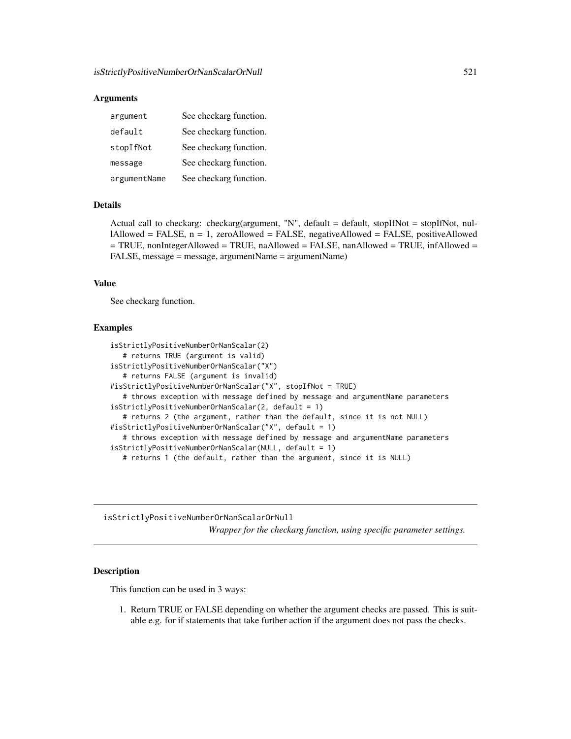## Arguments

| argument     | See checkarg function. |
|--------------|------------------------|
| default      | See checkarg function. |
| stopIfNot    | See checkarg function. |
| message      | See checkarg function. |
| argumentName | See checkarg function. |

# Details

Actual call to checkarg: checkarg(argument, "N", default = default, stopIfNot = stopIfNot, nul $l$ Allowed = FALSE,  $n = 1$ , zeroAllowed = FALSE, negativeAllowed = FALSE, positiveAllowed  $=$  TRUE, nonIntegerAllowed  $=$  TRUE, naAllowed  $=$  FALSE, nanAllowed  $=$  TRUE, infAllowed  $=$ FALSE, message = message, argumentName = argumentName)

# Value

See checkarg function.

# Examples

```
isStrictlyPositiveNumberOrNanScalar(2)
  # returns TRUE (argument is valid)
isStrictlyPositiveNumberOrNanScalar("X")
   # returns FALSE (argument is invalid)
#isStrictlyPositiveNumberOrNanScalar("X", stopIfNot = TRUE)
   # throws exception with message defined by message and argumentName parameters
isStrictlyPositiveNumberOrNanScalar(2, default = 1)
   # returns 2 (the argument, rather than the default, since it is not NULL)
#isStrictlyPositiveNumberOrNanScalar("X", default = 1)
   # throws exception with message defined by message and argumentName parameters
isStrictlyPositiveNumberOrNanScalar(NULL, default = 1)
   # returns 1 (the default, rather than the argument, since it is NULL)
```
isStrictlyPositiveNumberOrNanScalarOrNull *Wrapper for the checkarg function, using specific parameter settings.*

#### **Description**

This function can be used in 3 ways:

1. Return TRUE or FALSE depending on whether the argument checks are passed. This is suitable e.g. for if statements that take further action if the argument does not pass the checks.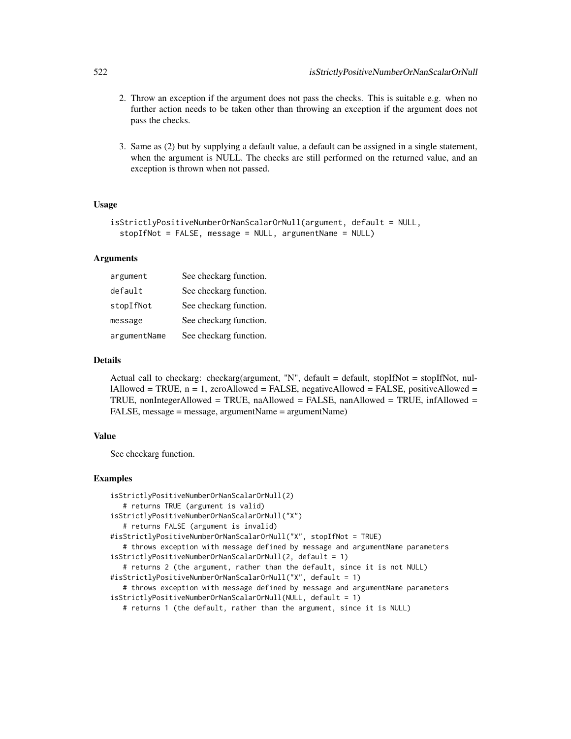- 2. Throw an exception if the argument does not pass the checks. This is suitable e.g. when no further action needs to be taken other than throwing an exception if the argument does not pass the checks.
- 3. Same as (2) but by supplying a default value, a default can be assigned in a single statement, when the argument is NULL. The checks are still performed on the returned value, and an exception is thrown when not passed.

```
isStrictlyPositiveNumberOrNanScalarOrNull(argument, default = NULL,
  stopIfNot = FALSE, message = NULL, argumentName = NULL)
```
## Arguments

| argument     | See checkarg function. |
|--------------|------------------------|
| default      | See checkarg function. |
| stopIfNot    | See checkarg function. |
| message      | See checkarg function. |
| argumentName | See checkarg function. |

# Details

Actual call to checkarg: checkarg(argument, "N", default = default, stopIfNot = stopIfNot, nullAllowed = TRUE,  $n = 1$ , zeroAllowed = FALSE, negativeAllowed = FALSE, positiveAllowed = TRUE, nonIntegerAllowed = TRUE, naAllowed = FALSE, nanAllowed = TRUE, infAllowed = FALSE, message = message, argumentName = argumentName)

# Value

See checkarg function.

```
isStrictlyPositiveNumberOrNanScalarOrNull(2)
   # returns TRUE (argument is valid)
isStrictlyPositiveNumberOrNanScalarOrNull("X")
   # returns FALSE (argument is invalid)
#isStrictlyPositiveNumberOrNanScalarOrNull("X", stopIfNot = TRUE)
   # throws exception with message defined by message and argumentName parameters
isStrictlyPositiveNumberOrNanScalarOrNull(2, default = 1)
   # returns 2 (the argument, rather than the default, since it is not NULL)
#isStrictlyPositiveNumberOrNanScalarOrNull("X", default = 1)
   # throws exception with message defined by message and argumentName parameters
isStrictlyPositiveNumberOrNanScalarOrNull(NULL, default = 1)
   # returns 1 (the default, rather than the argument, since it is NULL)
```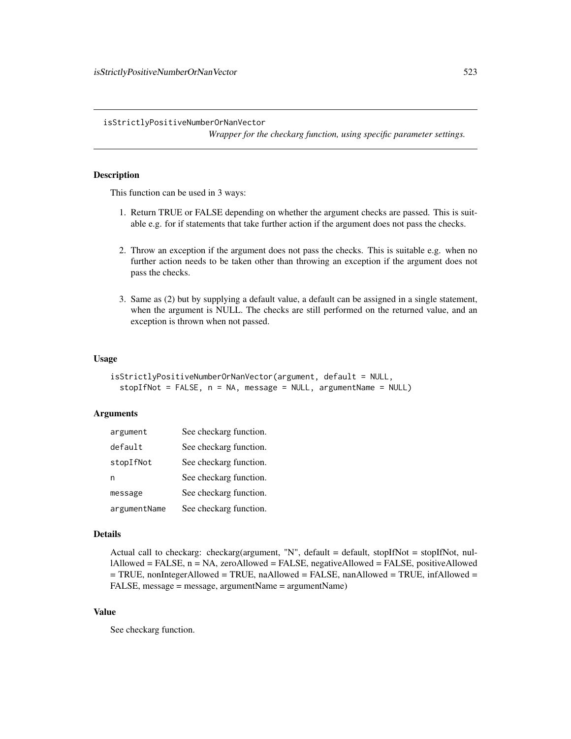isStrictlyPositiveNumberOrNanVector

*Wrapper for the checkarg function, using specific parameter settings.*

# Description

This function can be used in 3 ways:

- 1. Return TRUE or FALSE depending on whether the argument checks are passed. This is suitable e.g. for if statements that take further action if the argument does not pass the checks.
- 2. Throw an exception if the argument does not pass the checks. This is suitable e.g. when no further action needs to be taken other than throwing an exception if the argument does not pass the checks.
- 3. Same as (2) but by supplying a default value, a default can be assigned in a single statement, when the argument is NULL. The checks are still performed on the returned value, and an exception is thrown when not passed.

# Usage

```
isStrictlyPositiveNumberOrNanVector(argument, default = NULL,
 stopIfNot = FALSE, n = NA, message = NULL, argumentName = NULL)
```
#### **Arguments**

| argument     | See checkarg function. |
|--------------|------------------------|
| default      | See checkarg function. |
| stopIfNot    | See checkarg function. |
| n            | See checkarg function. |
| message      | See checkarg function. |
| argumentName | See checkarg function. |

#### Details

Actual call to checkarg: checkarg(argument, "N", default = default, stopIfNot = stopIfNot, nullAllowed = FALSE, n = NA, zeroAllowed = FALSE, negativeAllowed = FALSE, positiveAllowed = TRUE, nonIntegerAllowed = TRUE, naAllowed = FALSE, nanAllowed = TRUE, infAllowed = FALSE, message = message, argumentName = argumentName)

# Value

See checkarg function.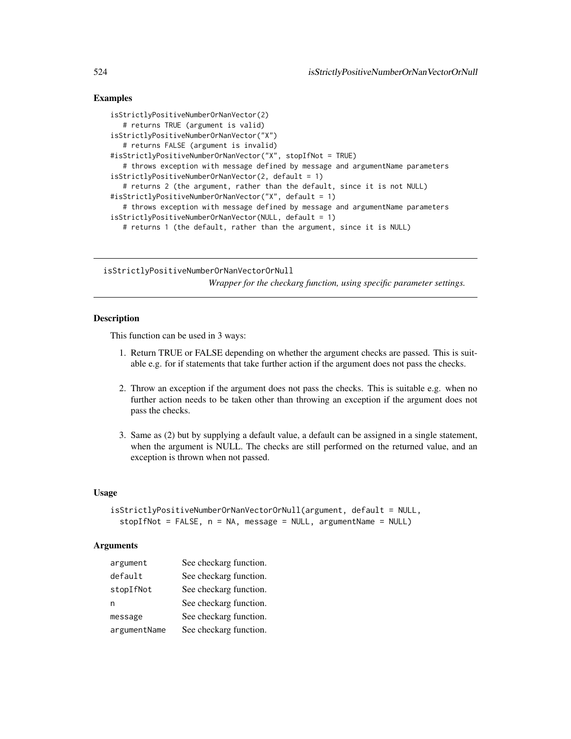## Examples

```
isStrictlyPositiveNumberOrNanVector(2)
   # returns TRUE (argument is valid)
isStrictlyPositiveNumberOrNanVector("X")
   # returns FALSE (argument is invalid)
#isStrictlyPositiveNumberOrNanVector("X", stopIfNot = TRUE)
   # throws exception with message defined by message and argumentName parameters
isStrictlyPositiveNumberOrNanVector(2, default = 1)
   # returns 2 (the argument, rather than the default, since it is not NULL)
#isStrictlyPositiveNumberOrNanVector("X", default = 1)
   # throws exception with message defined by message and argumentName parameters
isStrictlyPositiveNumberOrNanVector(NULL, default = 1)
  # returns 1 (the default, rather than the argument, since it is NULL)
```
isStrictlyPositiveNumberOrNanVectorOrNull

*Wrapper for the checkarg function, using specific parameter settings.*

# Description

This function can be used in 3 ways:

- 1. Return TRUE or FALSE depending on whether the argument checks are passed. This is suitable e.g. for if statements that take further action if the argument does not pass the checks.
- 2. Throw an exception if the argument does not pass the checks. This is suitable e.g. when no further action needs to be taken other than throwing an exception if the argument does not pass the checks.
- 3. Same as (2) but by supplying a default value, a default can be assigned in a single statement, when the argument is NULL. The checks are still performed on the returned value, and an exception is thrown when not passed.

## Usage

```
isStrictlyPositiveNumberOrNanVectorOrNull(argument, default = NULL,
  stopIfNot = FALSE, n = NA, message = NULL, argumentName = NULL)
```
## Arguments

| argument     | See checkarg function. |
|--------------|------------------------|
| default      | See checkarg function. |
| stopIfNot    | See checkarg function. |
| n            | See checkarg function. |
| message      | See checkarg function. |
| argumentName | See checkarg function. |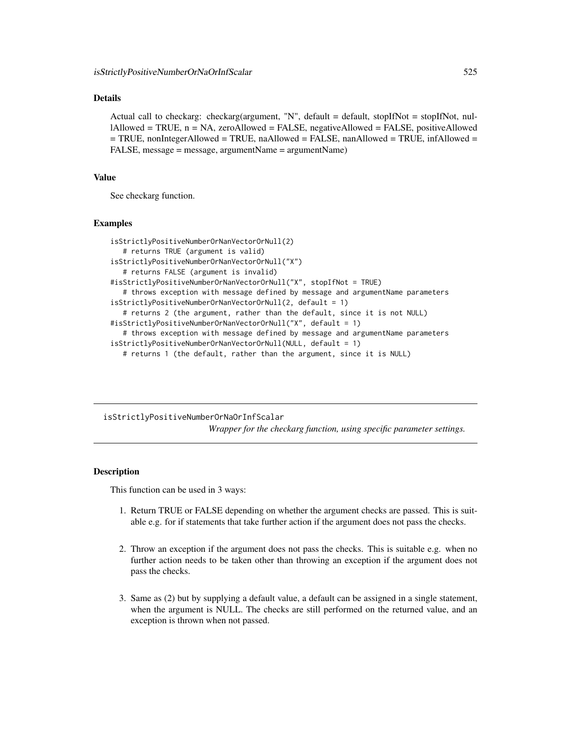## Details

Actual call to checkarg: checkarg(argument, "N", default = default, stopIfNot = stopIfNot, nullAllowed = TRUE, n = NA, zeroAllowed = FALSE, negativeAllowed = FALSE, positiveAllowed = TRUE, nonIntegerAllowed = TRUE, naAllowed = FALSE, nanAllowed = TRUE, infAllowed = FALSE, message = message, argumentName = argumentName)

#### Value

See checkarg function.

#### Examples

```
isStrictlyPositiveNumberOrNanVectorOrNull(2)
   # returns TRUE (argument is valid)
isStrictlyPositiveNumberOrNanVectorOrNull("X")
   # returns FALSE (argument is invalid)
#isStrictlyPositiveNumberOrNanVectorOrNull("X", stopIfNot = TRUE)
   # throws exception with message defined by message and argumentName parameters
isStrictlyPositiveNumberOrNanVectorOrNull(2, default = 1)
   # returns 2 (the argument, rather than the default, since it is not NULL)
#isStrictlyPositiveNumberOrNanVectorOrNull("X", default = 1)
   # throws exception with message defined by message and argumentName parameters
isStrictlyPositiveNumberOrNanVectorOrNull(NULL, default = 1)
  # returns 1 (the default, rather than the argument, since it is NULL)
```
isStrictlyPositiveNumberOrNaOrInfScalar *Wrapper for the checkarg function, using specific parameter settings.*

## Description

This function can be used in 3 ways:

- 1. Return TRUE or FALSE depending on whether the argument checks are passed. This is suitable e.g. for if statements that take further action if the argument does not pass the checks.
- 2. Throw an exception if the argument does not pass the checks. This is suitable e.g. when no further action needs to be taken other than throwing an exception if the argument does not pass the checks.
- 3. Same as (2) but by supplying a default value, a default can be assigned in a single statement, when the argument is NULL. The checks are still performed on the returned value, and an exception is thrown when not passed.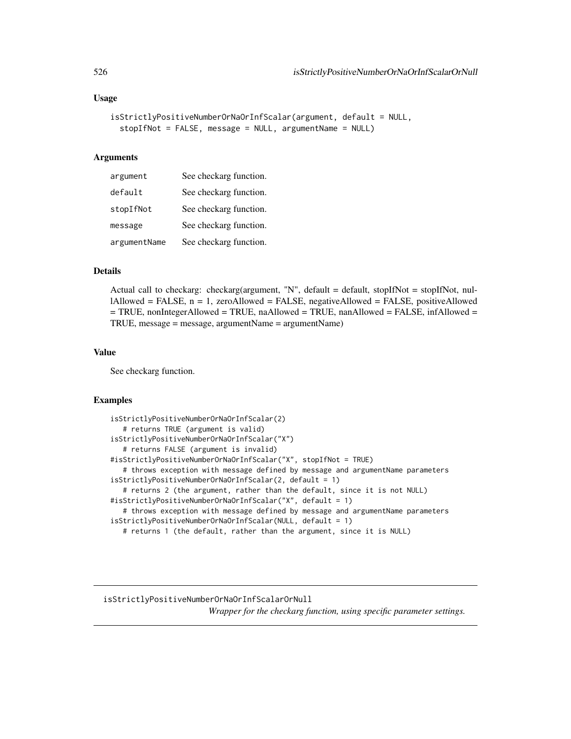```
isStrictlyPositiveNumberOrNaOrInfScalar(argument, default = NULL,
  stopIfNot = FALSE, message = NULL, argumentName = NULL)
```
#### Arguments

| argument     | See checkarg function. |
|--------------|------------------------|
| default      | See checkarg function. |
| stopIfNot    | See checkarg function. |
| message      | See checkarg function. |
| argumentName | See checkarg function. |

# Details

Actual call to checkarg: checkarg(argument, "N", default = default, stopIfNot = stopIfNot, nullAllowed = FALSE, n = 1, zeroAllowed = FALSE, negativeAllowed = FALSE, positiveAllowed  $=$  TRUE, nonIntegerAllowed = TRUE, naAllowed = TRUE, nanAllowed = FALSE, infAllowed = TRUE, message = message, argumentName = argumentName)

### Value

See checkarg function.

# Examples

```
isStrictlyPositiveNumberOrNaOrInfScalar(2)
   # returns TRUE (argument is valid)
isStrictlyPositiveNumberOrNaOrInfScalar("X")
   # returns FALSE (argument is invalid)
#isStrictlyPositiveNumberOrNaOrInfScalar("X", stopIfNot = TRUE)
   # throws exception with message defined by message and argumentName parameters
isStrictlyPositiveNumberOrNaOrInfScalar(2, default = 1)
   # returns 2 (the argument, rather than the default, since it is not NULL)
#isStrictlyPositiveNumberOrNaOrInfScalar("X", default = 1)
   # throws exception with message defined by message and argumentName parameters
isStrictlyPositiveNumberOrNaOrInfScalar(NULL, default = 1)
  # returns 1 (the default, rather than the argument, since it is NULL)
```
isStrictlyPositiveNumberOrNaOrInfScalarOrNull *Wrapper for the checkarg function, using specific parameter settings.*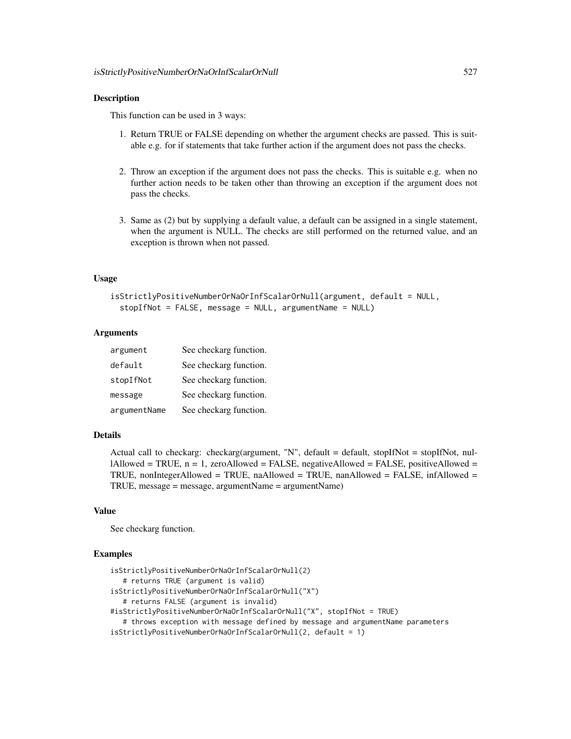#### Description

This function can be used in 3 ways:

- 1. Return TRUE or FALSE depending on whether the argument checks are passed. This is suitable e.g. for if statements that take further action if the argument does not pass the checks.
- 2. Throw an exception if the argument does not pass the checks. This is suitable e.g. when no further action needs to be taken other than throwing an exception if the argument does not pass the checks.
- 3. Same as (2) but by supplying a default value, a default can be assigned in a single statement, when the argument is NULL. The checks are still performed on the returned value, and an exception is thrown when not passed.

#### Usage

```
isStrictlyPositiveNumberOrNaOrInfScalarOrNull(argument, default = NULL,
  stopIfNot = FALSE, message = NULL, argumentName = NULL)
```
## Arguments

| argument     | See checkarg function. |
|--------------|------------------------|
| default      | See checkarg function. |
| stopIfNot    | See checkarg function. |
| message      | See checkarg function. |
| argumentName | See checkarg function. |

## Details

Actual call to checkarg: checkarg(argument, "N", default = default, stopIfNot = stopIfNot, nullAllowed = TRUE,  $n = 1$ , zeroAllowed = FALSE, negativeAllowed = FALSE, positiveAllowed = TRUE, nonIntegerAllowed = TRUE, naAllowed = TRUE, nanAllowed = FALSE, infAllowed = TRUE, message = message, argumentName = argumentName)

## Value

See checkarg function.

```
isStrictlyPositiveNumberOrNaOrInfScalarOrNull(2)
   # returns TRUE (argument is valid)
isStrictlyPositiveNumberOrNaOrInfScalarOrNull("X")
   # returns FALSE (argument is invalid)
#isStrictlyPositiveNumberOrNaOrInfScalarOrNull("X", stopIfNot = TRUE)
   # throws exception with message defined by message and argumentName parameters
isStrictlyPositiveNumberOrNaOrInfScalarOrNull(2, default = 1)
```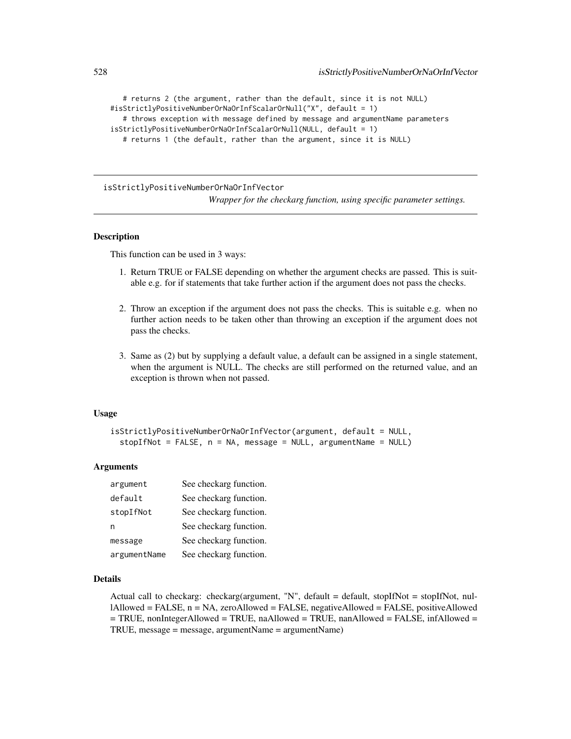```
# returns 2 (the argument, rather than the default, since it is not NULL)
#isStrictlyPositiveNumberOrNaOrInfScalarOrNull("X", default = 1)
   # throws exception with message defined by message and argumentName parameters
isStrictlyPositiveNumberOrNaOrInfScalarOrNull(NULL, default = 1)
   # returns 1 (the default, rather than the argument, since it is NULL)
```
isStrictlyPositiveNumberOrNaOrInfVector

*Wrapper for the checkarg function, using specific parameter settings.*

# Description

This function can be used in 3 ways:

- 1. Return TRUE or FALSE depending on whether the argument checks are passed. This is suitable e.g. for if statements that take further action if the argument does not pass the checks.
- 2. Throw an exception if the argument does not pass the checks. This is suitable e.g. when no further action needs to be taken other than throwing an exception if the argument does not pass the checks.
- 3. Same as (2) but by supplying a default value, a default can be assigned in a single statement, when the argument is NULL. The checks are still performed on the returned value, and an exception is thrown when not passed.

#### Usage

isStrictlyPositiveNumberOrNaOrInfVector(argument, default = NULL, stopIfNot = FALSE,  $n = NA$ , message = NULL, argumentName = NULL)

#### Arguments

| argument     | See checkarg function. |
|--------------|------------------------|
| default      | See checkarg function. |
| stopIfNot    | See checkarg function. |
| n            | See checkarg function. |
| message      | See checkarg function. |
| argumentName | See checkarg function. |

#### Details

Actual call to checkarg: checkarg(argument, "N", default = default, stopIfNot = stopIfNot, nullAllowed = FALSE, n = NA, zeroAllowed = FALSE, negativeAllowed = FALSE, positiveAllowed  $=$  TRUE, nonIntegerAllowed = TRUE, naAllowed = TRUE, nanAllowed = FALSE, infAllowed = TRUE, message = message, argumentName = argumentName)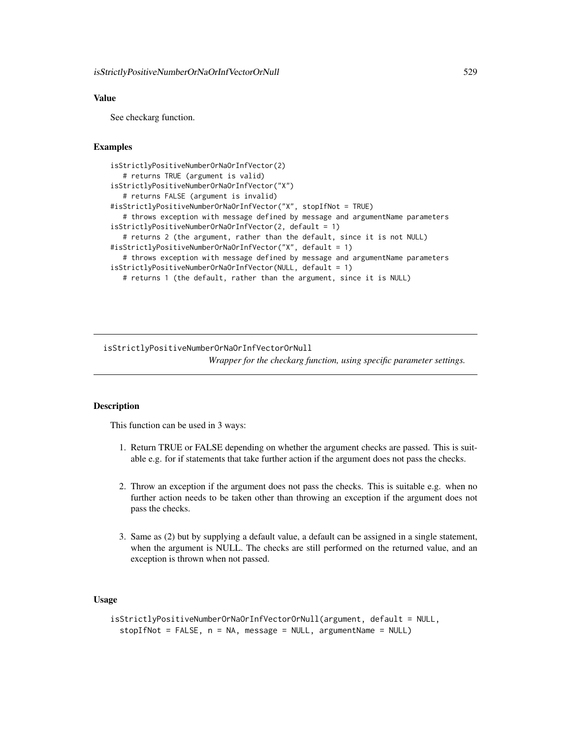# Value

See checkarg function.

## Examples

```
isStrictlyPositiveNumberOrNaOrInfVector(2)
  # returns TRUE (argument is valid)
isStrictlyPositiveNumberOrNaOrInfVector("X")
  # returns FALSE (argument is invalid)
#isStrictlyPositiveNumberOrNaOrInfVector("X", stopIfNot = TRUE)
  # throws exception with message defined by message and argumentName parameters
isStrictlyPositiveNumberOrNaOrInfVector(2, default = 1)
  # returns 2 (the argument, rather than the default, since it is not NULL)
#isStrictlyPositiveNumberOrNaOrInfVector("X", default = 1)
  # throws exception with message defined by message and argumentName parameters
isStrictlyPositiveNumberOrNaOrInfVector(NULL, default = 1)
  # returns 1 (the default, rather than the argument, since it is NULL)
```
isStrictlyPositiveNumberOrNaOrInfVectorOrNull *Wrapper for the checkarg function, using specific parameter settings.*

## Description

This function can be used in 3 ways:

- 1. Return TRUE or FALSE depending on whether the argument checks are passed. This is suitable e.g. for if statements that take further action if the argument does not pass the checks.
- 2. Throw an exception if the argument does not pass the checks. This is suitable e.g. when no further action needs to be taken other than throwing an exception if the argument does not pass the checks.
- 3. Same as (2) but by supplying a default value, a default can be assigned in a single statement, when the argument is NULL. The checks are still performed on the returned value, and an exception is thrown when not passed.

# Usage

```
isStrictlyPositiveNumberOrNaOrInfVectorOrNull(argument, default = NULL,
 stopIfNot = FALSE, n = NA, message = NULL, argumentName = NULL)
```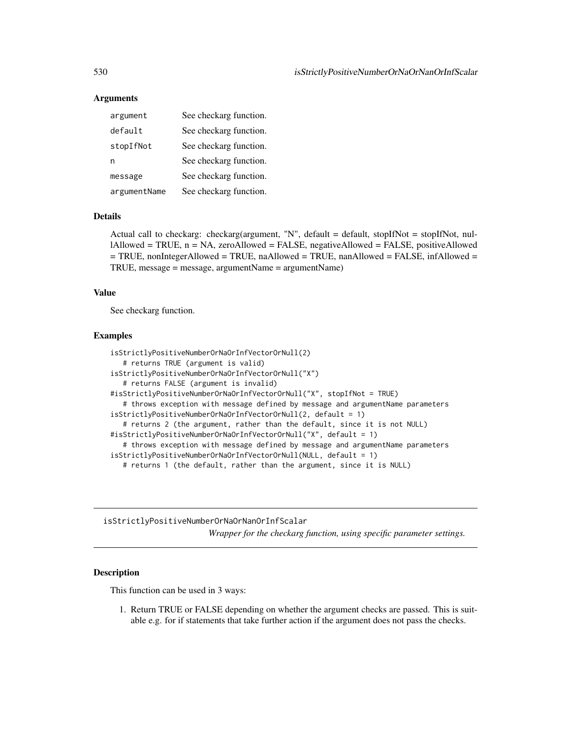## Arguments

| argument     | See checkarg function. |
|--------------|------------------------|
| default      | See checkarg function. |
| stopIfNot    | See checkarg function. |
| n            | See checkarg function. |
| message      | See checkarg function. |
| argumentName | See checkarg function. |

#### Details

Actual call to checkarg: checkarg(argument, "N", default = default, stopIfNot = stopIfNot, nullAllowed = TRUE, n = NA, zeroAllowed = FALSE, negativeAllowed = FALSE, positiveAllowed = TRUE, nonIntegerAllowed = TRUE, naAllowed = TRUE, nanAllowed = FALSE, infAllowed = TRUE, message = message, argumentName = argumentName)

#### Value

See checkarg function.

#### Examples

```
isStrictlyPositiveNumberOrNaOrInfVectorOrNull(2)
   # returns TRUE (argument is valid)
isStrictlyPositiveNumberOrNaOrInfVectorOrNull("X")
   # returns FALSE (argument is invalid)
#isStrictlyPositiveNumberOrNaOrInfVectorOrNull("X", stopIfNot = TRUE)
   # throws exception with message defined by message and argumentName parameters
isStrictlyPositiveNumberOrNaOrInfVectorOrNull(2, default = 1)
   # returns 2 (the argument, rather than the default, since it is not NULL)
#isStrictlyPositiveNumberOrNaOrInfVectorOrNull("X", default = 1)
   # throws exception with message defined by message and argumentName parameters
isStrictlyPositiveNumberOrNaOrInfVectorOrNull(NULL, default = 1)
   # returns 1 (the default, rather than the argument, since it is NULL)
```
isStrictlyPositiveNumberOrNaOrNanOrInfScalar *Wrapper for the checkarg function, using specific parameter settings.*

# Description

This function can be used in 3 ways:

1. Return TRUE or FALSE depending on whether the argument checks are passed. This is suitable e.g. for if statements that take further action if the argument does not pass the checks.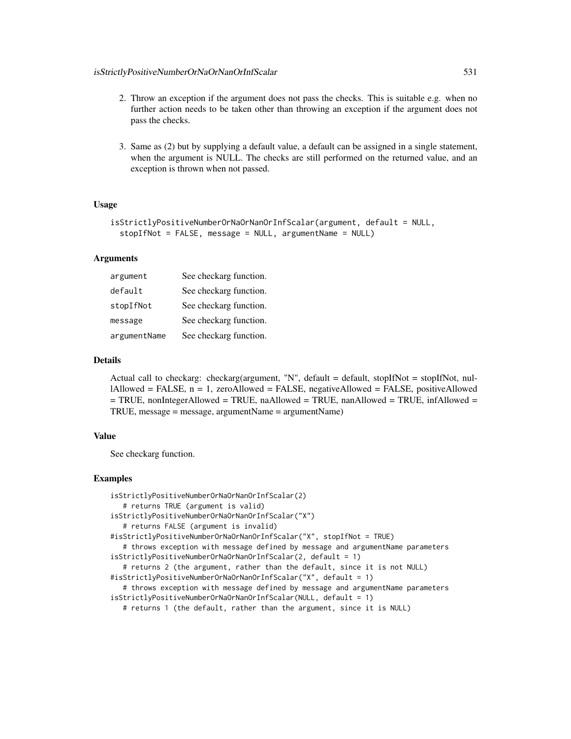- 2. Throw an exception if the argument does not pass the checks. This is suitable e.g. when no further action needs to be taken other than throwing an exception if the argument does not pass the checks.
- 3. Same as (2) but by supplying a default value, a default can be assigned in a single statement, when the argument is NULL. The checks are still performed on the returned value, and an exception is thrown when not passed.

```
isStrictlyPositiveNumberOrNaOrNanOrInfScalar(argument, default = NULL,
  stopIfNot = FALSE, message = NULL, argumentName = NULL)
```
#### Arguments

| argument     | See checkarg function. |
|--------------|------------------------|
| default      | See checkarg function. |
| stopIfNot    | See checkarg function. |
| message      | See checkarg function. |
| argumentName | See checkarg function. |

# Details

Actual call to checkarg: checkarg(argument, "N", default = default, stopIfNot = stopIfNot, nul- $1$ Allowed = FALSE,  $n = 1$ , zeroAllowed = FALSE, negativeAllowed = FALSE, positiveAllowed  $=$  TRUE, nonIntegerAllowed  $=$  TRUE, naAllowed  $=$  TRUE, nanAllowed  $=$  TRUE, infAllowed  $=$ TRUE, message = message, argumentName = argumentName)

# Value

See checkarg function.

```
isStrictlyPositiveNumberOrNaOrNanOrInfScalar(2)
   # returns TRUE (argument is valid)
isStrictlyPositiveNumberOrNaOrNanOrInfScalar("X")
   # returns FALSE (argument is invalid)
#isStrictlyPositiveNumberOrNaOrNanOrInfScalar("X", stopIfNot = TRUE)
   # throws exception with message defined by message and argumentName parameters
isStrictlyPositiveNumberOrNaOrNanOrInfScalar(2, default = 1)
   # returns 2 (the argument, rather than the default, since it is not NULL)
#isStrictlyPositiveNumberOrNaOrNanOrInfScalar("X", default = 1)
   # throws exception with message defined by message and argumentName parameters
isStrictlyPositiveNumberOrNaOrNanOrInfScalar(NULL, default = 1)
   # returns 1 (the default, rather than the argument, since it is NULL)
```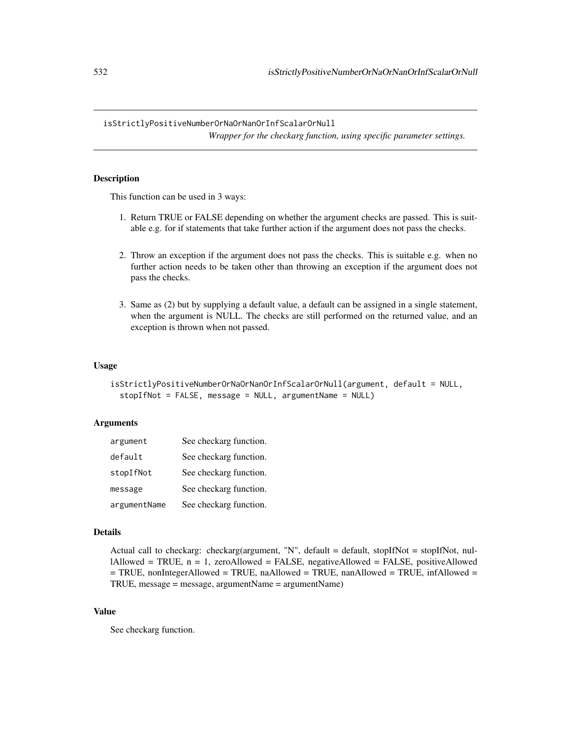isStrictlyPositiveNumberOrNaOrNanOrInfScalarOrNull *Wrapper for the checkarg function, using specific parameter settings.*

## Description

This function can be used in 3 ways:

- 1. Return TRUE or FALSE depending on whether the argument checks are passed. This is suitable e.g. for if statements that take further action if the argument does not pass the checks.
- 2. Throw an exception if the argument does not pass the checks. This is suitable e.g. when no further action needs to be taken other than throwing an exception if the argument does not pass the checks.
- 3. Same as (2) but by supplying a default value, a default can be assigned in a single statement, when the argument is NULL. The checks are still performed on the returned value, and an exception is thrown when not passed.

#### Usage

```
isStrictlyPositiveNumberOrNaOrNanOrInfScalarOrNull(argument, default = NULL,
 stopIfNot = FALSE, message = NULL, argumentName = NULL)
```
## **Arguments**

| argument     | See checkarg function. |
|--------------|------------------------|
| default      | See checkarg function. |
| stopIfNot    | See checkarg function. |
| message      | See checkarg function. |
| argumentName | See checkarg function. |

#### Details

Actual call to checkarg: checkarg(argument, "N", default = default, stopIfNot = stopIfNot, nullAllowed = TRUE, n = 1, zeroAllowed = FALSE, negativeAllowed = FALSE, positiveAllowed = TRUE, nonIntegerAllowed = TRUE, naAllowed = TRUE, nanAllowed = TRUE, infAllowed = TRUE, message = message, argumentName = argumentName)

# Value

See checkarg function.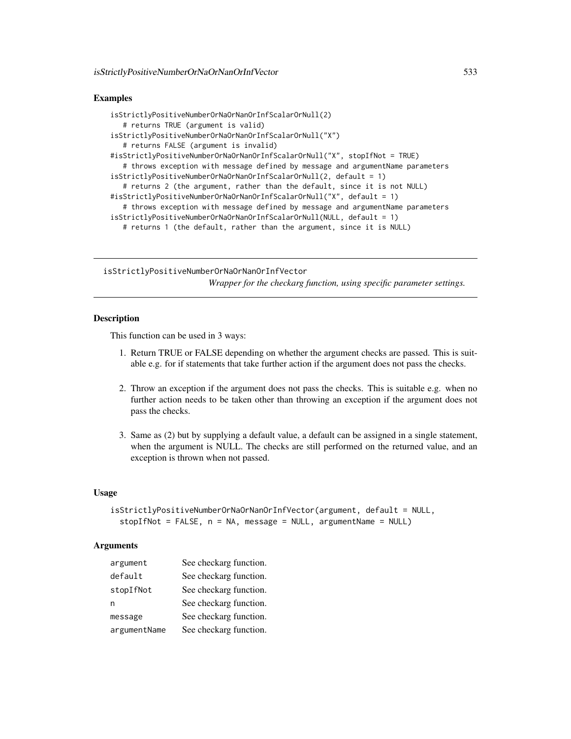## Examples

```
isStrictlyPositiveNumberOrNaOrNanOrInfScalarOrNull(2)
   # returns TRUE (argument is valid)
isStrictlyPositiveNumberOrNaOrNanOrInfScalarOrNull("X")
   # returns FALSE (argument is invalid)
#isStrictlyPositiveNumberOrNaOrNanOrInfScalarOrNull("X", stopIfNot = TRUE)
   # throws exception with message defined by message and argumentName parameters
isStrictlyPositiveNumberOrNaOrNanOrInfScalarOrNull(2, default = 1)
   # returns 2 (the argument, rather than the default, since it is not NULL)
#isStrictlyPositiveNumberOrNaOrNanOrInfScalarOrNull("X", default = 1)
   # throws exception with message defined by message and argumentName parameters
isStrictlyPositiveNumberOrNaOrNanOrInfScalarOrNull(NULL, default = 1)
   # returns 1 (the default, rather than the argument, since it is NULL)
```
isStrictlyPositiveNumberOrNaOrNanOrInfVector *Wrapper for the checkarg function, using specific parameter settings.*

# Description

This function can be used in 3 ways:

- 1. Return TRUE or FALSE depending on whether the argument checks are passed. This is suitable e.g. for if statements that take further action if the argument does not pass the checks.
- 2. Throw an exception if the argument does not pass the checks. This is suitable e.g. when no further action needs to be taken other than throwing an exception if the argument does not pass the checks.
- 3. Same as (2) but by supplying a default value, a default can be assigned in a single statement, when the argument is NULL. The checks are still performed on the returned value, and an exception is thrown when not passed.

#### Usage

```
isStrictlyPositiveNumberOrNaOrNanOrInfVector(argument, default = NULL,
 stopIfNot = FALSE, n = NA, message = NULL, argumentName = NULL)
```
## Arguments

| argument     | See checkarg function. |
|--------------|------------------------|
| default      | See checkarg function. |
| stopIfNot    | See checkarg function. |
| n            | See checkarg function. |
| message      | See checkarg function. |
| argumentName | See checkarg function. |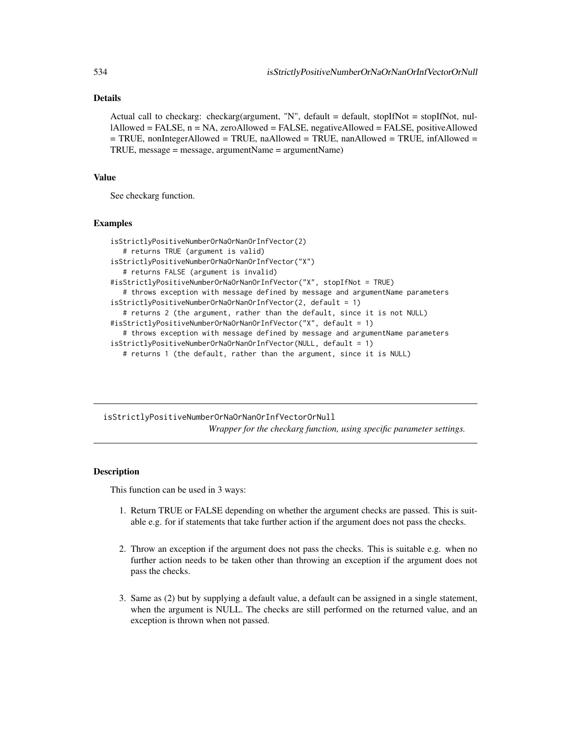# Details

Actual call to checkarg: checkarg(argument, "N", default = default, stopIfNot = stopIfNot, nullAllowed = FALSE, n = NA, zeroAllowed = FALSE, negativeAllowed = FALSE, positiveAllowed = TRUE, nonIntegerAllowed = TRUE, naAllowed = TRUE, nanAllowed = TRUE, infAllowed = TRUE, message = message, argumentName = argumentName)

#### Value

See checkarg function.

#### Examples

```
isStrictlyPositiveNumberOrNaOrNanOrInfVector(2)
   # returns TRUE (argument is valid)
isStrictlyPositiveNumberOrNaOrNanOrInfVector("X")
   # returns FALSE (argument is invalid)
#isStrictlyPositiveNumberOrNaOrNanOrInfVector("X", stopIfNot = TRUE)
   # throws exception with message defined by message and argumentName parameters
isStrictlyPositiveNumberOrNaOrNanOrInfVector(2, default = 1)
   # returns 2 (the argument, rather than the default, since it is not NULL)
#isStrictlyPositiveNumberOrNaOrNanOrInfVector("X", default = 1)
   # throws exception with message defined by message and argumentName parameters
isStrictlyPositiveNumberOrNaOrNanOrInfVector(NULL, default = 1)
  # returns 1 (the default, rather than the argument, since it is NULL)
```
isStrictlyPositiveNumberOrNaOrNanOrInfVectorOrNull *Wrapper for the checkarg function, using specific parameter settings.*

# **Description**

This function can be used in 3 ways:

- 1. Return TRUE or FALSE depending on whether the argument checks are passed. This is suitable e.g. for if statements that take further action if the argument does not pass the checks.
- 2. Throw an exception if the argument does not pass the checks. This is suitable e.g. when no further action needs to be taken other than throwing an exception if the argument does not pass the checks.
- 3. Same as (2) but by supplying a default value, a default can be assigned in a single statement, when the argument is NULL. The checks are still performed on the returned value, and an exception is thrown when not passed.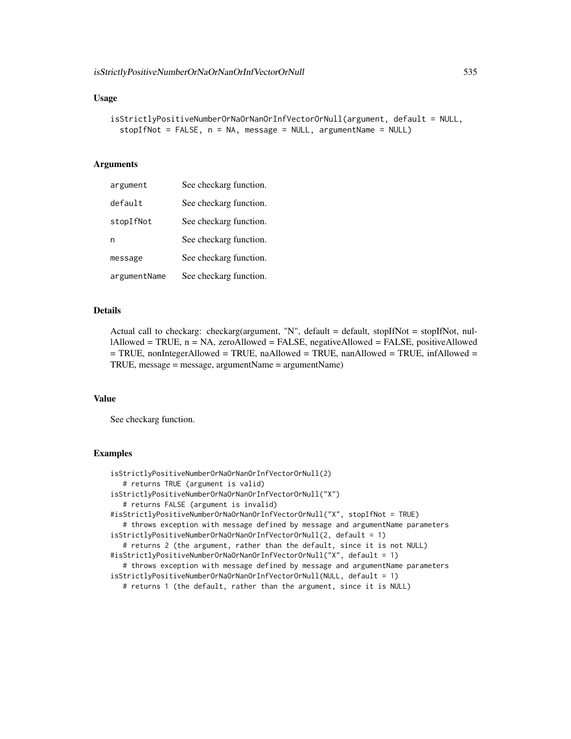```
isStrictlyPositiveNumberOrNaOrNanOrInfVectorOrNull(argument, default = NULL,
  stopIfNot = FALSE, n = NA, message = NULL, argumentName = NULL)
```
## Arguments

| argument     | See checkarg function. |
|--------------|------------------------|
| default      | See checkarg function. |
| stopIfNot    | See checkarg function. |
| n            | See checkarg function. |
| message      | See checkarg function. |
| argumentName | See checkarg function. |

#### Details

Actual call to checkarg: checkarg(argument, "N", default = default, stopIfNot = stopIfNot, nullAllowed = TRUE, n = NA, zeroAllowed = FALSE, negativeAllowed = FALSE, positiveAllowed  $=$  TRUE, nonIntegerAllowed = TRUE, naAllowed = TRUE, nanAllowed = TRUE, infAllowed = TRUE, message = message, argumentName = argumentName)

#### Value

See checkarg function.

```
isStrictlyPositiveNumberOrNaOrNanOrInfVectorOrNull(2)
   # returns TRUE (argument is valid)
isStrictlyPositiveNumberOrNaOrNanOrInfVectorOrNull("X")
   # returns FALSE (argument is invalid)
#isStrictlyPositiveNumberOrNaOrNanOrInfVectorOrNull("X", stopIfNot = TRUE)
   # throws exception with message defined by message and argumentName parameters
isStrictlyPositiveNumberOrNaOrNanOrInfVectorOrNull(2, default = 1)
   # returns 2 (the argument, rather than the default, since it is not NULL)
#isStrictlyPositiveNumberOrNaOrNanOrInfVectorOrNull("X", default = 1)
   # throws exception with message defined by message and argumentName parameters
isStrictlyPositiveNumberOrNaOrNanOrInfVectorOrNull(NULL, default = 1)
   # returns 1 (the default, rather than the argument, since it is NULL)
```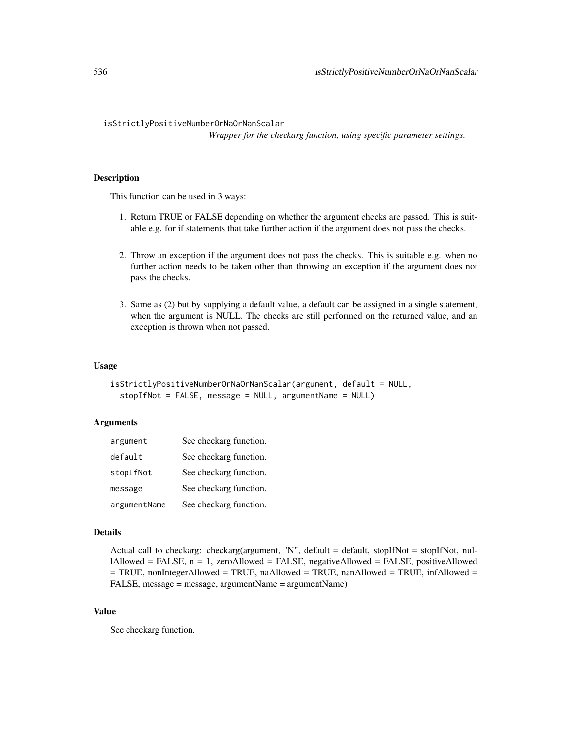## isStrictlyPositiveNumberOrNaOrNanScalar

*Wrapper for the checkarg function, using specific parameter settings.*

## Description

This function can be used in 3 ways:

- 1. Return TRUE or FALSE depending on whether the argument checks are passed. This is suitable e.g. for if statements that take further action if the argument does not pass the checks.
- 2. Throw an exception if the argument does not pass the checks. This is suitable e.g. when no further action needs to be taken other than throwing an exception if the argument does not pass the checks.
- 3. Same as (2) but by supplying a default value, a default can be assigned in a single statement, when the argument is NULL. The checks are still performed on the returned value, and an exception is thrown when not passed.

#### Usage

```
isStrictlyPositiveNumberOrNaOrNanScalar(argument, default = NULL,
 stopIfNot = FALSE, message = NULL, argumentName = NULL)
```
## Arguments

| argument     | See checkarg function. |
|--------------|------------------------|
| default      | See checkarg function. |
| stopIfNot    | See checkarg function. |
| message      | See checkarg function. |
| argumentName | See checkarg function. |

#### Details

Actual call to checkarg: checkarg(argument, "N", default = default, stopIfNot = stopIfNot, nul $l$ Allowed = FALSE,  $n = 1$ , zeroAllowed = FALSE, negativeAllowed = FALSE, positiveAllowed = TRUE, nonIntegerAllowed = TRUE, naAllowed = TRUE, nanAllowed = TRUE, infAllowed = FALSE, message = message, argumentName = argumentName)

# Value

See checkarg function.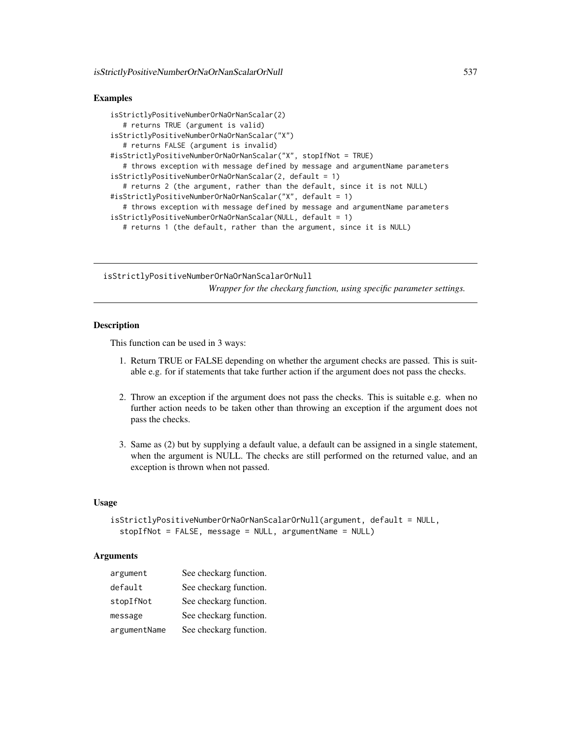## Examples

```
isStrictlyPositiveNumberOrNaOrNanScalar(2)
   # returns TRUE (argument is valid)
isStrictlyPositiveNumberOrNaOrNanScalar("X")
   # returns FALSE (argument is invalid)
#isStrictlyPositiveNumberOrNaOrNanScalar("X", stopIfNot = TRUE)
   # throws exception with message defined by message and argumentName parameters
isStrictlyPositiveNumberOrNaOrNanScalar(2, default = 1)
   # returns 2 (the argument, rather than the default, since it is not NULL)
#isStrictlyPositiveNumberOrNaOrNanScalar("X", default = 1)
   # throws exception with message defined by message and argumentName parameters
isStrictlyPositiveNumberOrNaOrNanScalar(NULL, default = 1)
   # returns 1 (the default, rather than the argument, since it is NULL)
```
isStrictlyPositiveNumberOrNaOrNanScalarOrNull *Wrapper for the checkarg function, using specific parameter settings.*

## **Description**

This function can be used in 3 ways:

- 1. Return TRUE or FALSE depending on whether the argument checks are passed. This is suitable e.g. for if statements that take further action if the argument does not pass the checks.
- 2. Throw an exception if the argument does not pass the checks. This is suitable e.g. when no further action needs to be taken other than throwing an exception if the argument does not pass the checks.
- 3. Same as (2) but by supplying a default value, a default can be assigned in a single statement, when the argument is NULL. The checks are still performed on the returned value, and an exception is thrown when not passed.

#### Usage

```
isStrictlyPositiveNumberOrNaOrNanScalarOrNull(argument, default = NULL,
 stopIfNot = FALSE, message = NULL, argumentName = NULL)
```
## **Arguments**

| argument     | See checkarg function. |
|--------------|------------------------|
| default      | See checkarg function. |
| stopIfNot    | See checkarg function. |
| message      | See checkarg function. |
| argumentName | See checkarg function. |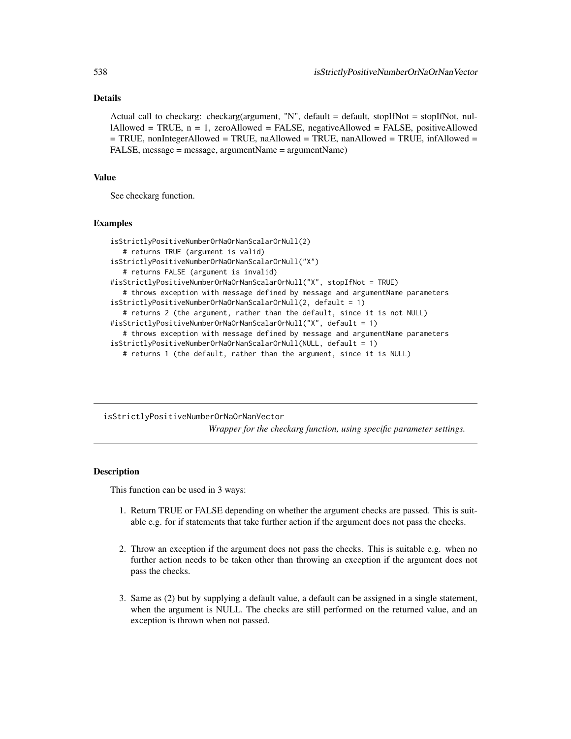# Details

Actual call to checkarg: checkarg(argument, "N", default = default, stopIfNot = stopIfNot, nullAllowed = TRUE, n = 1, zeroAllowed = FALSE, negativeAllowed = FALSE, positiveAllowed = TRUE, nonIntegerAllowed = TRUE, naAllowed = TRUE, nanAllowed = TRUE, infAllowed = FALSE, message = message, argumentName = argumentName)

#### Value

See checkarg function.

#### Examples

```
isStrictlyPositiveNumberOrNaOrNanScalarOrNull(2)
   # returns TRUE (argument is valid)
isStrictlyPositiveNumberOrNaOrNanScalarOrNull("X")
   # returns FALSE (argument is invalid)
#isStrictlyPositiveNumberOrNaOrNanScalarOrNull("X", stopIfNot = TRUE)
   # throws exception with message defined by message and argumentName parameters
isStrictlyPositiveNumberOrNaOrNanScalarOrNull(2, default = 1)
   # returns 2 (the argument, rather than the default, since it is not NULL)
#isStrictlyPositiveNumberOrNaOrNanScalarOrNull("X", default = 1)
   # throws exception with message defined by message and argumentName parameters
isStrictlyPositiveNumberOrNaOrNanScalarOrNull(NULL, default = 1)
  # returns 1 (the default, rather than the argument, since it is NULL)
```
isStrictlyPositiveNumberOrNaOrNanVector *Wrapper for the checkarg function, using specific parameter settings.*

# **Description**

This function can be used in 3 ways:

- 1. Return TRUE or FALSE depending on whether the argument checks are passed. This is suitable e.g. for if statements that take further action if the argument does not pass the checks.
- 2. Throw an exception if the argument does not pass the checks. This is suitable e.g. when no further action needs to be taken other than throwing an exception if the argument does not pass the checks.
- 3. Same as (2) but by supplying a default value, a default can be assigned in a single statement, when the argument is NULL. The checks are still performed on the returned value, and an exception is thrown when not passed.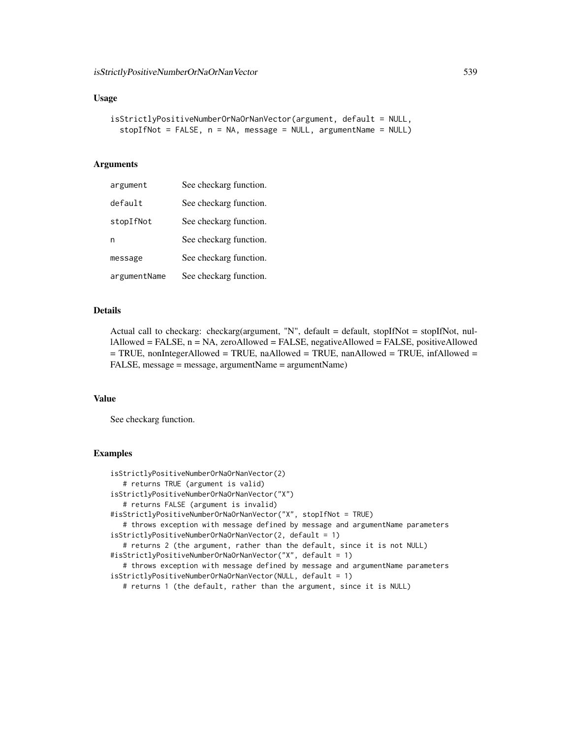```
isStrictlyPositiveNumberOrNaOrNanVector(argument, default = NULL,
  stopIfNot = FALSE, n = NA, message = NULL, argumentName = NULL)
```
## Arguments

| argument     | See checkarg function. |
|--------------|------------------------|
| default      | See checkarg function. |
| stopIfNot    | See checkarg function. |
| n            | See checkarg function. |
| message      | See checkarg function. |
| argumentName | See checkarg function. |

#### Details

Actual call to checkarg: checkarg(argument, "N", default = default, stopIfNot = stopIfNot, nullAllowed = FALSE, n = NA, zeroAllowed = FALSE, negativeAllowed = FALSE, positiveAllowed  $=$  TRUE, nonIntegerAllowed = TRUE, naAllowed = TRUE, nanAllowed = TRUE, infAllowed = FALSE, message = message, argumentName = argumentName)

#### Value

See checkarg function.

```
isStrictlyPositiveNumberOrNaOrNanVector(2)
  # returns TRUE (argument is valid)
isStrictlyPositiveNumberOrNaOrNanVector("X")
   # returns FALSE (argument is invalid)
#isStrictlyPositiveNumberOrNaOrNanVector("X", stopIfNot = TRUE)
   # throws exception with message defined by message and argumentName parameters
isStrictlyPositiveNumberOrNaOrNanVector(2, default = 1)
   # returns 2 (the argument, rather than the default, since it is not NULL)
#isStrictlyPositiveNumberOrNaOrNanVector("X", default = 1)
   # throws exception with message defined by message and argumentName parameters
isStrictlyPositiveNumberOrNaOrNanVector(NULL, default = 1)
   # returns 1 (the default, rather than the argument, since it is NULL)
```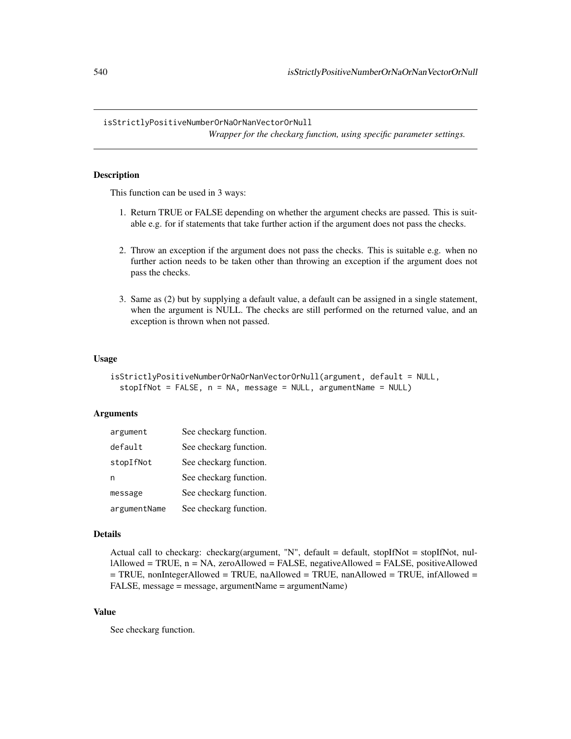isStrictlyPositiveNumberOrNaOrNanVectorOrNull *Wrapper for the checkarg function, using specific parameter settings.*

# Description

This function can be used in 3 ways:

- 1. Return TRUE or FALSE depending on whether the argument checks are passed. This is suitable e.g. for if statements that take further action if the argument does not pass the checks.
- 2. Throw an exception if the argument does not pass the checks. This is suitable e.g. when no further action needs to be taken other than throwing an exception if the argument does not pass the checks.
- 3. Same as (2) but by supplying a default value, a default can be assigned in a single statement, when the argument is NULL. The checks are still performed on the returned value, and an exception is thrown when not passed.

#### Usage

```
isStrictlyPositiveNumberOrNaOrNanVectorOrNull(argument, default = NULL,
 stopIfNot = FALSE, n = NA, message = NULL, argumentName = NULL)
```
#### **Arguments**

| argument     | See checkarg function. |
|--------------|------------------------|
| default      | See checkarg function. |
| stopIfNot    | See checkarg function. |
| n            | See checkarg function. |
| message      | See checkarg function. |
| argumentName | See checkarg function. |

#### Details

Actual call to checkarg: checkarg(argument, "N", default = default, stopIfNot = stopIfNot, nul $l$ Allowed = TRUE,  $n$  = NA, zeroAllowed = FALSE, negativeAllowed = FALSE, positiveAllowed = TRUE, nonIntegerAllowed = TRUE, naAllowed = TRUE, nanAllowed = TRUE, infAllowed = FALSE, message = message, argumentName = argumentName)

# Value

See checkarg function.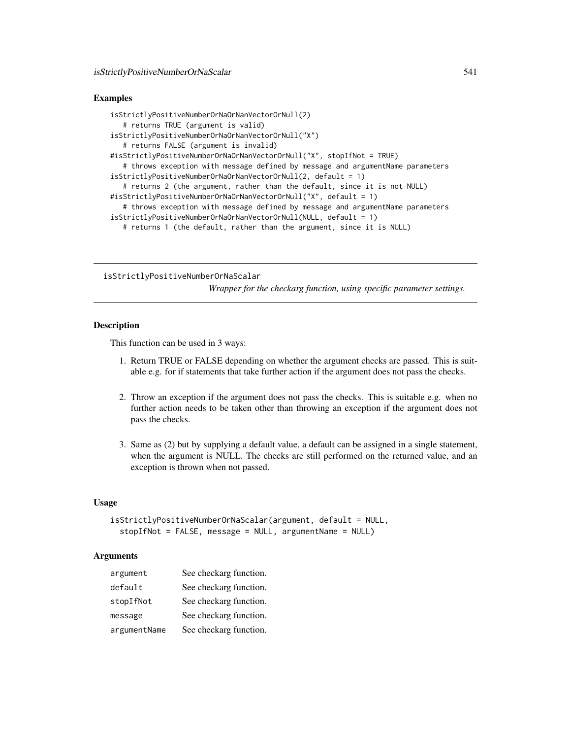### Examples

```
isStrictlyPositiveNumberOrNaOrNanVectorOrNull(2)
   # returns TRUE (argument is valid)
isStrictlyPositiveNumberOrNaOrNanVectorOrNull("X")
   # returns FALSE (argument is invalid)
#isStrictlyPositiveNumberOrNaOrNanVectorOrNull("X", stopIfNot = TRUE)
   # throws exception with message defined by message and argumentName parameters
isStrictlyPositiveNumberOrNaOrNanVectorOrNull(2, default = 1)
   # returns 2 (the argument, rather than the default, since it is not NULL)
#isStrictlyPositiveNumberOrNaOrNanVectorOrNull("X", default = 1)
   # throws exception with message defined by message and argumentName parameters
isStrictlyPositiveNumberOrNaOrNanVectorOrNull(NULL, default = 1)
   # returns 1 (the default, rather than the argument, since it is NULL)
```
isStrictlyPositiveNumberOrNaScalar

*Wrapper for the checkarg function, using specific parameter settings.*

### **Description**

This function can be used in 3 ways:

- 1. Return TRUE or FALSE depending on whether the argument checks are passed. This is suitable e.g. for if statements that take further action if the argument does not pass the checks.
- 2. Throw an exception if the argument does not pass the checks. This is suitable e.g. when no further action needs to be taken other than throwing an exception if the argument does not pass the checks.
- 3. Same as (2) but by supplying a default value, a default can be assigned in a single statement, when the argument is NULL. The checks are still performed on the returned value, and an exception is thrown when not passed.

### Usage

```
isStrictlyPositiveNumberOrNaScalar(argument, default = NULL,
 stopIfNot = FALSE, message = NULL, argumentName = NULL)
```
### **Arguments**

| argument     | See checkarg function. |
|--------------|------------------------|
| default      | See checkarg function. |
| stopIfNot    | See checkarg function. |
| message      | See checkarg function. |
| argumentName | See checkarg function. |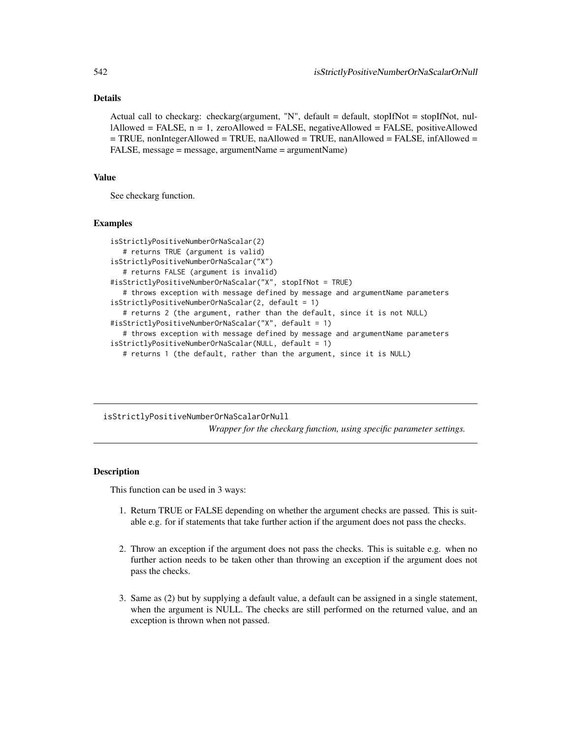# Details

Actual call to checkarg: checkarg(argument, "N", default = default, stopIfNot = stopIfNot, nullAllowed = FALSE, n = 1, zeroAllowed = FALSE, negativeAllowed = FALSE, positiveAllowed = TRUE, nonIntegerAllowed = TRUE, naAllowed = TRUE, nanAllowed = FALSE, infAllowed = FALSE, message = message, argumentName = argumentName)

#### Value

See checkarg function.

#### Examples

```
isStrictlyPositiveNumberOrNaScalar(2)
   # returns TRUE (argument is valid)
isStrictlyPositiveNumberOrNaScalar("X")
   # returns FALSE (argument is invalid)
#isStrictlyPositiveNumberOrNaScalar("X", stopIfNot = TRUE)
   # throws exception with message defined by message and argumentName parameters
isStrictlyPositiveNumberOrNaScalar(2, default = 1)
   # returns 2 (the argument, rather than the default, since it is not NULL)
#isStrictlyPositiveNumberOrNaScalar("X", default = 1)
   # throws exception with message defined by message and argumentName parameters
isStrictlyPositiveNumberOrNaScalar(NULL, default = 1)
  # returns 1 (the default, rather than the argument, since it is NULL)
```
isStrictlyPositiveNumberOrNaScalarOrNull *Wrapper for the checkarg function, using specific parameter settings.*

# **Description**

This function can be used in 3 ways:

- 1. Return TRUE or FALSE depending on whether the argument checks are passed. This is suitable e.g. for if statements that take further action if the argument does not pass the checks.
- 2. Throw an exception if the argument does not pass the checks. This is suitable e.g. when no further action needs to be taken other than throwing an exception if the argument does not pass the checks.
- 3. Same as (2) but by supplying a default value, a default can be assigned in a single statement, when the argument is NULL. The checks are still performed on the returned value, and an exception is thrown when not passed.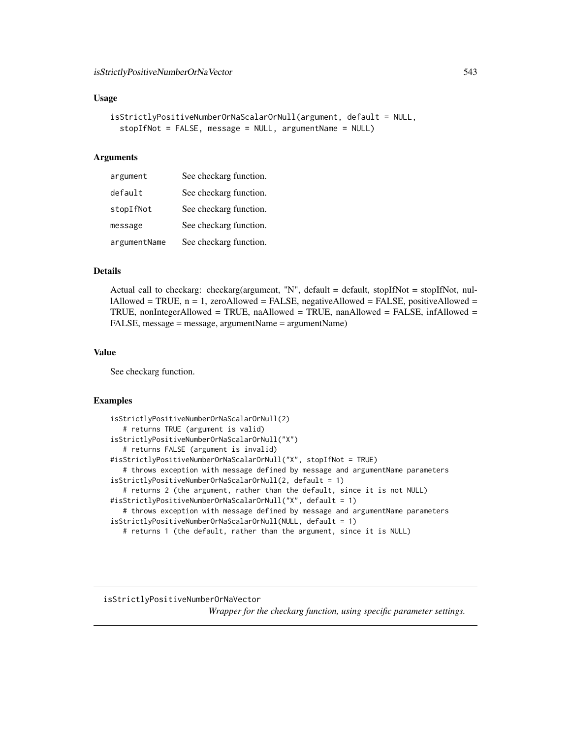#### Usage

```
isStrictlyPositiveNumberOrNaScalarOrNull(argument, default = NULL,
  stopIfNot = FALSE, message = NULL, argumentName = NULL)
```
#### Arguments

| argument     | See checkarg function. |
|--------------|------------------------|
| default      | See checkarg function. |
| stopIfNot    | See checkarg function. |
| message      | See checkarg function. |
| argumentName | See checkarg function. |

# Details

Actual call to checkarg: checkarg(argument, "N", default = default, stopIfNot = stopIfNot, nullAllowed = TRUE,  $n = 1$ , zeroAllowed = FALSE, negativeAllowed = FALSE, positiveAllowed = TRUE, nonIntegerAllowed = TRUE, naAllowed = TRUE, nanAllowed = FALSE, infAllowed = FALSE, message = message, argumentName = argumentName)

### Value

See checkarg function.

# Examples

```
isStrictlyPositiveNumberOrNaScalarOrNull(2)
   # returns TRUE (argument is valid)
isStrictlyPositiveNumberOrNaScalarOrNull("X")
   # returns FALSE (argument is invalid)
#isStrictlyPositiveNumberOrNaScalarOrNull("X", stopIfNot = TRUE)
   # throws exception with message defined by message and argumentName parameters
isStrictlyPositiveNumberOrNaScalarOrNull(2, default = 1)
   # returns 2 (the argument, rather than the default, since it is not NULL)
#isStrictlyPositiveNumberOrNaScalarOrNull("X", default = 1)
  # throws exception with message defined by message and argumentName parameters
isStrictlyPositiveNumberOrNaScalarOrNull(NULL, default = 1)
  # returns 1 (the default, rather than the argument, since it is NULL)
```
isStrictlyPositiveNumberOrNaVector

*Wrapper for the checkarg function, using specific parameter settings.*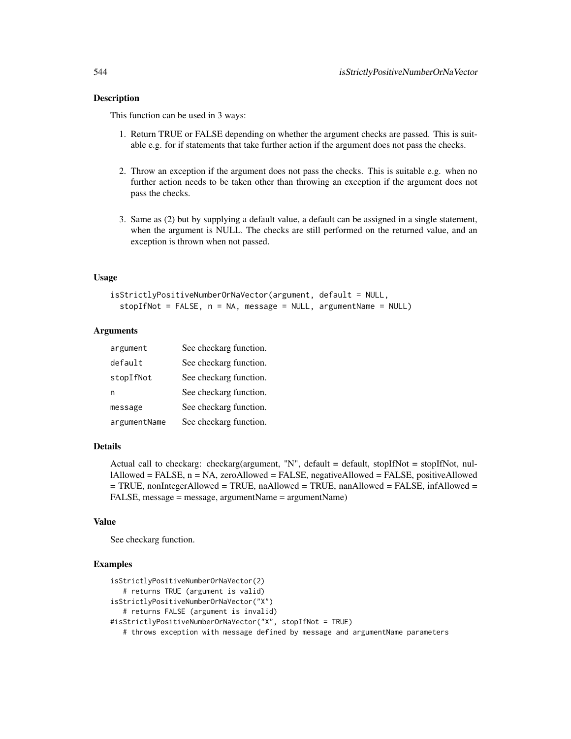#### Description

This function can be used in 3 ways:

- 1. Return TRUE or FALSE depending on whether the argument checks are passed. This is suitable e.g. for if statements that take further action if the argument does not pass the checks.
- 2. Throw an exception if the argument does not pass the checks. This is suitable e.g. when no further action needs to be taken other than throwing an exception if the argument does not pass the checks.
- 3. Same as (2) but by supplying a default value, a default can be assigned in a single statement, when the argument is NULL. The checks are still performed on the returned value, and an exception is thrown when not passed.

#### Usage

```
isStrictlyPositiveNumberOrNaVector(argument, default = NULL,
 stopIfNot = FALSE, n = NA, message = NULL, argumentName = NULL)
```
### Arguments

| argument     | See checkarg function. |
|--------------|------------------------|
| default      | See checkarg function. |
| stopIfNot    | See checkarg function. |
| n            | See checkarg function. |
| message      | See checkarg function. |
| argumentName | See checkarg function. |

# Details

Actual call to checkarg: checkarg(argument, "N", default = default, stopIfNot = stopIfNot, nullAllowed = FALSE, n = NA, zeroAllowed = FALSE, negativeAllowed = FALSE, positiveAllowed = TRUE, nonIntegerAllowed = TRUE, naAllowed = TRUE, nanAllowed = FALSE, infAllowed = FALSE, message = message, argumentName = argumentName)

## Value

See checkarg function.

```
isStrictlyPositiveNumberOrNaVector(2)
  # returns TRUE (argument is valid)
isStrictlyPositiveNumberOrNaVector("X")
  # returns FALSE (argument is invalid)
#isStrictlyPositiveNumberOrNaVector("X", stopIfNot = TRUE)
  # throws exception with message defined by message and argumentName parameters
```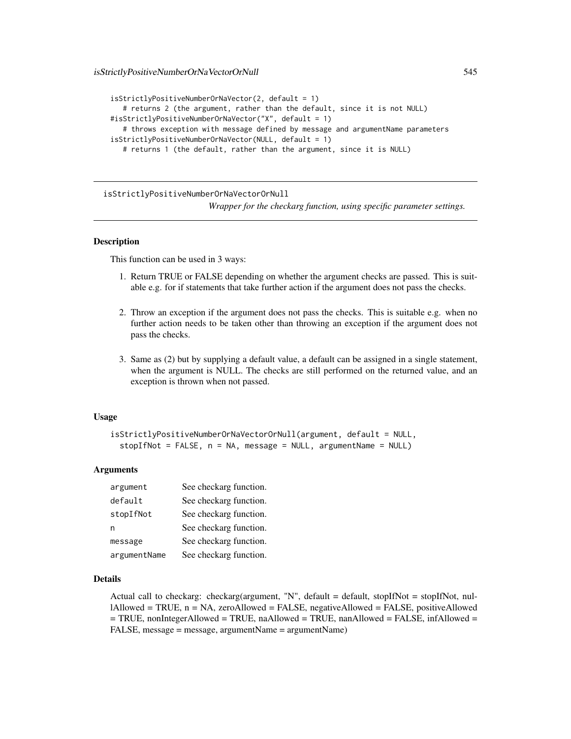```
isStrictlyPositiveNumberOrNaVector(2, default = 1)
   # returns 2 (the argument, rather than the default, since it is not NULL)
#isStrictlyPositiveNumberOrNaVector("X", default = 1)
   # throws exception with message defined by message and argumentName parameters
isStrictlyPositiveNumberOrNaVector(NULL, default = 1)
   # returns 1 (the default, rather than the argument, since it is NULL)
```
isStrictlyPositiveNumberOrNaVectorOrNull *Wrapper for the checkarg function, using specific parameter settings.*

# **Description**

This function can be used in 3 ways:

- 1. Return TRUE or FALSE depending on whether the argument checks are passed. This is suitable e.g. for if statements that take further action if the argument does not pass the checks.
- 2. Throw an exception if the argument does not pass the checks. This is suitable e.g. when no further action needs to be taken other than throwing an exception if the argument does not pass the checks.
- 3. Same as (2) but by supplying a default value, a default can be assigned in a single statement, when the argument is NULL. The checks are still performed on the returned value, and an exception is thrown when not passed.

#### Usage

```
isStrictlyPositiveNumberOrNaVectorOrNull(argument, default = NULL,
  stopIfNot = FALSE, n = NA, message = NULL, argumentName = NULL)
```
#### Arguments

| argument     | See checkarg function. |
|--------------|------------------------|
| default      | See checkarg function. |
| stopIfNot    | See checkarg function. |
| n            | See checkarg function. |
| message      | See checkarg function. |
| argumentName | See checkarg function. |

#### Details

Actual call to checkarg: checkarg(argument, "N", default = default, stopIfNot = stopIfNot, nullAllowed = TRUE, n = NA, zeroAllowed = FALSE, negativeAllowed = FALSE, positiveAllowed  $=$  TRUE, nonIntegerAllowed = TRUE, naAllowed = TRUE, nanAllowed = FALSE, infAllowed = FALSE, message = message, argumentName = argumentName)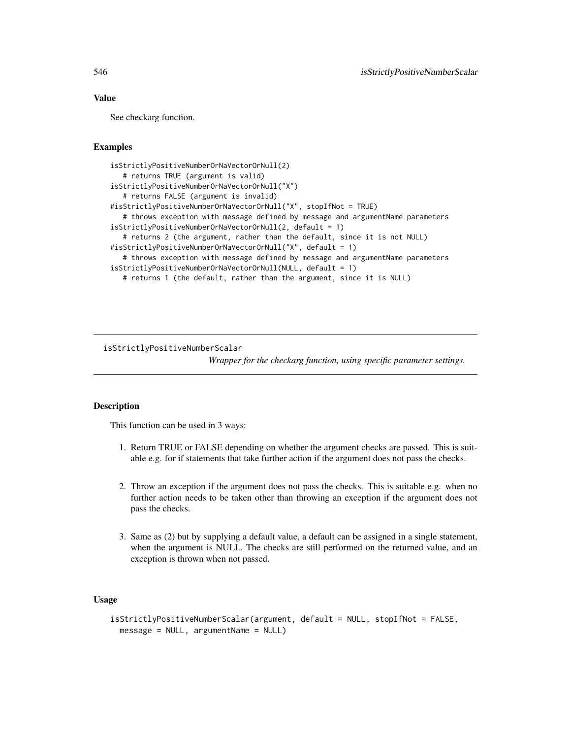# Value

See checkarg function.

### Examples

```
isStrictlyPositiveNumberOrNaVectorOrNull(2)
   # returns TRUE (argument is valid)
isStrictlyPositiveNumberOrNaVectorOrNull("X")
   # returns FALSE (argument is invalid)
#isStrictlyPositiveNumberOrNaVectorOrNull("X", stopIfNot = TRUE)
   # throws exception with message defined by message and argumentName parameters
isStrictlyPositiveNumberOrNaVectorOrNull(2, default = 1)
   # returns 2 (the argument, rather than the default, since it is not NULL)
#isStrictlyPositiveNumberOrNaVectorOrNull("X", default = 1)
   # throws exception with message defined by message and argumentName parameters
isStrictlyPositiveNumberOrNaVectorOrNull(NULL, default = 1)
   # returns 1 (the default, rather than the argument, since it is NULL)
```
isStrictlyPositiveNumberScalar

*Wrapper for the checkarg function, using specific parameter settings.*

# **Description**

This function can be used in 3 ways:

- 1. Return TRUE or FALSE depending on whether the argument checks are passed. This is suitable e.g. for if statements that take further action if the argument does not pass the checks.
- 2. Throw an exception if the argument does not pass the checks. This is suitable e.g. when no further action needs to be taken other than throwing an exception if the argument does not pass the checks.
- 3. Same as (2) but by supplying a default value, a default can be assigned in a single statement, when the argument is NULL. The checks are still performed on the returned value, and an exception is thrown when not passed.

# Usage

```
isStrictlyPositiveNumberScalar(argument, default = NULL, stopIfNot = FALSE,
 message = NULL, argumentName = NULL)
```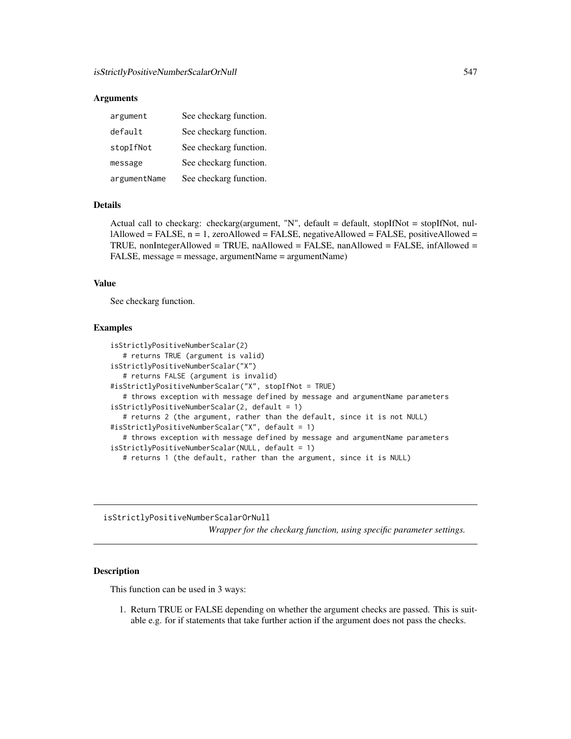#### Arguments

| argument     | See checkarg function. |
|--------------|------------------------|
| default      | See checkarg function. |
| stopIfNot    | See checkarg function. |
| message      | See checkarg function. |
| argumentName | See checkarg function. |

# Details

Actual call to checkarg: checkarg(argument, "N", default = default, stopIfNot = stopIfNot, nul $l$ Allowed = FALSE,  $n = 1$ , zeroAllowed = FALSE, negativeAllowed = FALSE, positiveAllowed = TRUE, nonIntegerAllowed = TRUE, naAllowed = FALSE, nanAllowed = FALSE, infAllowed = FALSE, message = message, argumentName = argumentName)

# Value

See checkarg function.

# Examples

```
isStrictlyPositiveNumberScalar(2)
  # returns TRUE (argument is valid)
isStrictlyPositiveNumberScalar("X")
  # returns FALSE (argument is invalid)
#isStrictlyPositiveNumberScalar("X", stopIfNot = TRUE)
   # throws exception with message defined by message and argumentName parameters
isStrictlyPositiveNumberScalar(2, default = 1)
   # returns 2 (the argument, rather than the default, since it is not NULL)
#isStrictlyPositiveNumberScalar("X", default = 1)
   # throws exception with message defined by message and argumentName parameters
isStrictlyPositiveNumberScalar(NULL, default = 1)
   # returns 1 (the default, rather than the argument, since it is NULL)
```
isStrictlyPositiveNumberScalarOrNull

*Wrapper for the checkarg function, using specific parameter settings.*

#### **Description**

This function can be used in 3 ways:

1. Return TRUE or FALSE depending on whether the argument checks are passed. This is suitable e.g. for if statements that take further action if the argument does not pass the checks.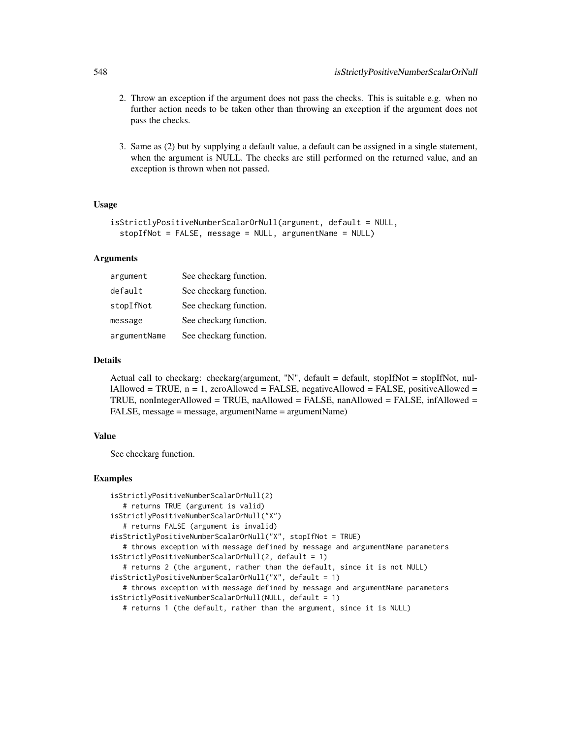- 2. Throw an exception if the argument does not pass the checks. This is suitable e.g. when no further action needs to be taken other than throwing an exception if the argument does not pass the checks.
- 3. Same as (2) but by supplying a default value, a default can be assigned in a single statement, when the argument is NULL. The checks are still performed on the returned value, and an exception is thrown when not passed.

# Usage

```
isStrictlyPositiveNumberScalarOrNull(argument, default = NULL,
  stopIfNot = FALSE, message = NULL, argumentName = NULL)
```
### Arguments

| argument     | See checkarg function. |
|--------------|------------------------|
| default      | See checkarg function. |
| stopIfNot    | See checkarg function. |
| message      | See checkarg function. |
| argumentName | See checkarg function. |

### Details

Actual call to checkarg: checkarg(argument, "N", default = default, stopIfNot = stopIfNot, nullAllowed = TRUE,  $n = 1$ , zeroAllowed = FALSE, negativeAllowed = FALSE, positiveAllowed = TRUE, nonIntegerAllowed = TRUE, naAllowed = FALSE, nanAllowed = FALSE, infAllowed = FALSE, message = message, argumentName = argumentName)

# Value

See checkarg function.

```
isStrictlyPositiveNumberScalarOrNull(2)
   # returns TRUE (argument is valid)
isStrictlyPositiveNumberScalarOrNull("X")
   # returns FALSE (argument is invalid)
#isStrictlyPositiveNumberScalarOrNull("X", stopIfNot = TRUE)
   # throws exception with message defined by message and argumentName parameters
isStrictlyPositiveNumberScalarOrNull(2, default = 1)
   # returns 2 (the argument, rather than the default, since it is not NULL)
#isStrictlyPositiveNumberScalarOrNull("X", default = 1)
   # throws exception with message defined by message and argumentName parameters
isStrictlyPositiveNumberScalarOrNull(NULL, default = 1)
   # returns 1 (the default, rather than the argument, since it is NULL)
```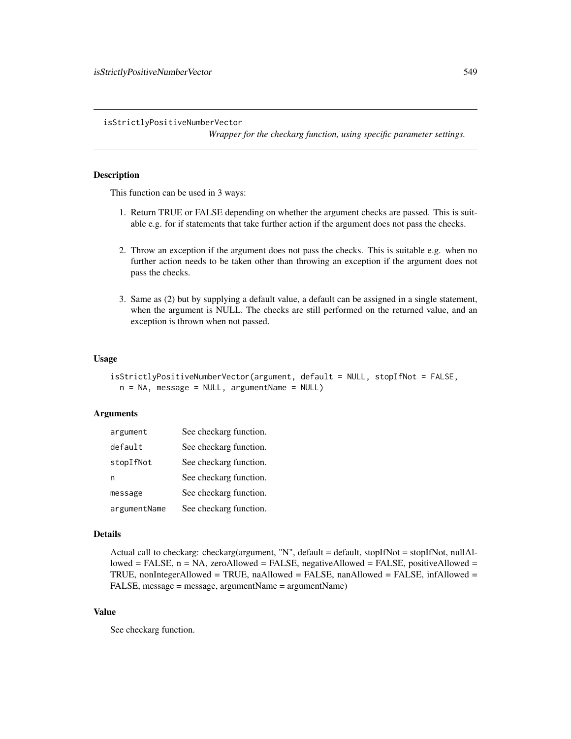isStrictlyPositiveNumberVector

*Wrapper for the checkarg function, using specific parameter settings.*

# Description

This function can be used in 3 ways:

- 1. Return TRUE or FALSE depending on whether the argument checks are passed. This is suitable e.g. for if statements that take further action if the argument does not pass the checks.
- 2. Throw an exception if the argument does not pass the checks. This is suitable e.g. when no further action needs to be taken other than throwing an exception if the argument does not pass the checks.
- 3. Same as (2) but by supplying a default value, a default can be assigned in a single statement, when the argument is NULL. The checks are still performed on the returned value, and an exception is thrown when not passed.

# Usage

```
isStrictlyPositiveNumberVector(argument, default = NULL, stopIfNot = FALSE,
 n = NA, message = NULL, argumentName = NULL)
```
### **Arguments**

| argument     | See checkarg function. |
|--------------|------------------------|
| default      | See checkarg function. |
| stopIfNot    | See checkarg function. |
| n            | See checkarg function. |
| message      | See checkarg function. |
| argumentName | See checkarg function. |

#### Details

Actual call to checkarg: checkarg(argument, "N", default = default, stopIfNot = stopIfNot, nullAllowed = FALSE,  $n = NA$ , zeroAllowed = FALSE, negativeAllowed = FALSE, positiveAllowed = TRUE, nonIntegerAllowed = TRUE, naAllowed = FALSE, nanAllowed = FALSE, infAllowed = FALSE, message = message, argumentName = argumentName)

# Value

See checkarg function.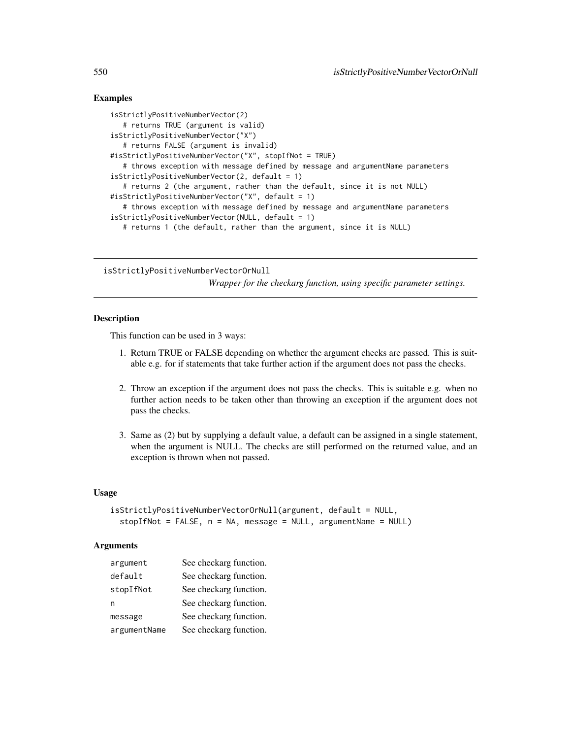# Examples

```
isStrictlyPositiveNumberVector(2)
   # returns TRUE (argument is valid)
isStrictlyPositiveNumberVector("X")
  # returns FALSE (argument is invalid)
#isStrictlyPositiveNumberVector("X", stopIfNot = TRUE)
   # throws exception with message defined by message and argumentName parameters
isStrictlyPositiveNumberVector(2, default = 1)
  # returns 2 (the argument, rather than the default, since it is not NULL)
#isStrictlyPositiveNumberVector("X", default = 1)
   # throws exception with message defined by message and argumentName parameters
isStrictlyPositiveNumberVector(NULL, default = 1)
  # returns 1 (the default, rather than the argument, since it is NULL)
```
isStrictlyPositiveNumberVectorOrNull

*Wrapper for the checkarg function, using specific parameter settings.*

### Description

This function can be used in 3 ways:

- 1. Return TRUE or FALSE depending on whether the argument checks are passed. This is suitable e.g. for if statements that take further action if the argument does not pass the checks.
- 2. Throw an exception if the argument does not pass the checks. This is suitable e.g. when no further action needs to be taken other than throwing an exception if the argument does not pass the checks.
- 3. Same as (2) but by supplying a default value, a default can be assigned in a single statement, when the argument is NULL. The checks are still performed on the returned value, and an exception is thrown when not passed.

### Usage

```
isStrictlyPositiveNumberVectorOrNull(argument, default = NULL,
  stopIfNot = FALSE, n = NA, message = NULL, argumentName = NULL)
```
### Arguments

| argument     | See checkarg function. |
|--------------|------------------------|
| default      | See checkarg function. |
| stopIfNot    | See checkarg function. |
| n            | See checkarg function. |
| message      | See checkarg function. |
| argumentName | See checkarg function. |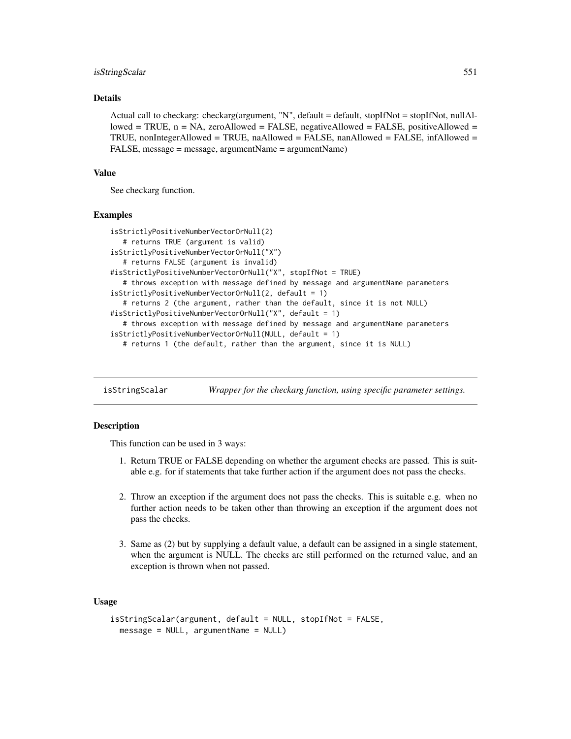# isStringScalar 551

#### Details

Actual call to checkarg: checkarg(argument, "N", default = default, stopIfNot = stopIfNot, nullAllowed = TRUE,  $n = NA$ , zeroAllowed = FALSE, negativeAllowed = FALSE, positiveAllowed = TRUE, nonIntegerAllowed = TRUE, naAllowed = FALSE, nanAllowed = FALSE, infAllowed = FALSE, message = message, argumentName = argumentName)

### Value

See checkarg function.

### Examples

```
isStrictlyPositiveNumberVectorOrNull(2)
   # returns TRUE (argument is valid)
isStrictlyPositiveNumberVectorOrNull("X")
   # returns FALSE (argument is invalid)
#isStrictlyPositiveNumberVectorOrNull("X", stopIfNot = TRUE)
   # throws exception with message defined by message and argumentName parameters
isStrictlyPositiveNumberVectorOrNull(2, default = 1)
   # returns 2 (the argument, rather than the default, since it is not NULL)
#isStrictlyPositiveNumberVectorOrNull("X", default = 1)
   # throws exception with message defined by message and argumentName parameters
isStrictlyPositiveNumberVectorOrNull(NULL, default = 1)
   # returns 1 (the default, rather than the argument, since it is NULL)
```
isStringScalar *Wrapper for the checkarg function, using specific parameter settings.*

# **Description**

This function can be used in 3 ways:

- 1. Return TRUE or FALSE depending on whether the argument checks are passed. This is suitable e.g. for if statements that take further action if the argument does not pass the checks.
- 2. Throw an exception if the argument does not pass the checks. This is suitable e.g. when no further action needs to be taken other than throwing an exception if the argument does not pass the checks.
- 3. Same as (2) but by supplying a default value, a default can be assigned in a single statement, when the argument is NULL. The checks are still performed on the returned value, and an exception is thrown when not passed.

### Usage

```
isStringScalar(argument, default = NULL, stopIfNot = FALSE,
 message = NULL, argumentName = NULL)
```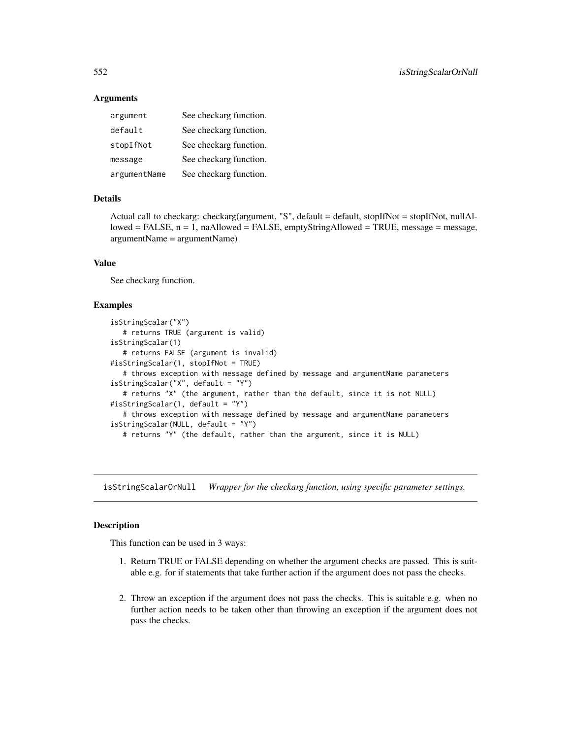### Arguments

| argument     | See checkarg function. |
|--------------|------------------------|
| default      | See checkarg function. |
| stopIfNot    | See checkarg function. |
| message      | See checkarg function. |
| argumentName | See checkarg function. |

### Details

```
Actual call to checkarg: checkarg(argument, "S", default = default, stopIfNot = stopIfNot, nullAl-
loved = FALSE, n = 1, naAllowed = FALSE, emptyStringAllowed = TRUE, message = message,argumentName = argumentName)
```
# Value

See checkarg function.

#### Examples

```
isStringScalar("X")
  # returns TRUE (argument is valid)
isStringScalar(1)
  # returns FALSE (argument is invalid)
#isStringScalar(1, stopIfNot = TRUE)
  # throws exception with message defined by message and argumentName parameters
isStringScalar("X", default = "Y")
   # returns "X" (the argument, rather than the default, since it is not NULL)
#isStringScalar(1, default = "Y")
   # throws exception with message defined by message and argumentName parameters
isStringScalar(NULL, default = "Y")
  # returns "Y" (the default, rather than the argument, since it is NULL)
```
isStringScalarOrNull *Wrapper for the checkarg function, using specific parameter settings.*

# **Description**

This function can be used in 3 ways:

- 1. Return TRUE or FALSE depending on whether the argument checks are passed. This is suitable e.g. for if statements that take further action if the argument does not pass the checks.
- 2. Throw an exception if the argument does not pass the checks. This is suitable e.g. when no further action needs to be taken other than throwing an exception if the argument does not pass the checks.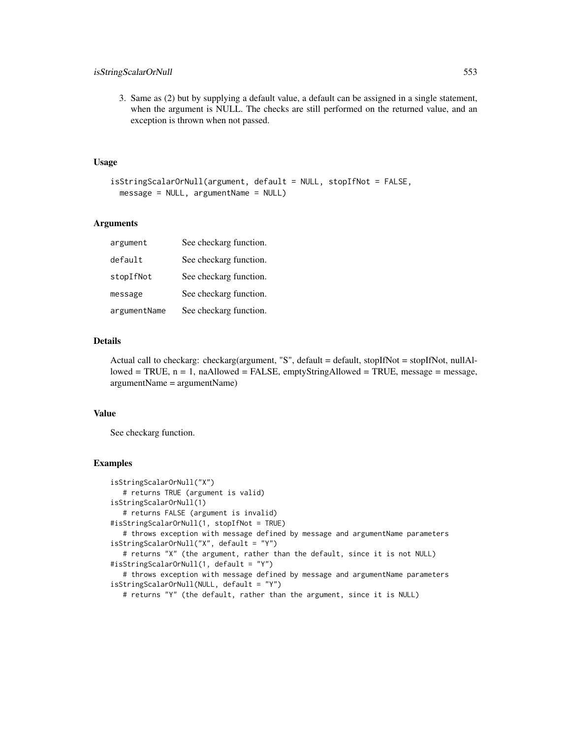# isStringScalarOrNull 553

3. Same as (2) but by supplying a default value, a default can be assigned in a single statement, when the argument is NULL. The checks are still performed on the returned value, and an exception is thrown when not passed.

## Usage

```
isStringScalarOrNull(argument, default = NULL, stopIfNot = FALSE,
 message = NULL, argumentName = NULL)
```
### Arguments

| argument     | See checkarg function. |
|--------------|------------------------|
| default      | See checkarg function. |
| stopIfNot    | See checkarg function. |
| message      | See checkarg function. |
| argumentName | See checkarg function. |

# Details

Actual call to checkarg: checkarg(argument, "S", default = default, stopIfNot = stopIfNot, nullAl $l$ owed = TRUE,  $n = 1$ , naAllowed = FALSE, emptyStringAllowed = TRUE, message = message, argumentName = argumentName)

#### Value

See checkarg function.

```
isStringScalarOrNull("X")
   # returns TRUE (argument is valid)
isStringScalarOrNull(1)
   # returns FALSE (argument is invalid)
#isStringScalarOrNull(1, stopIfNot = TRUE)
   # throws exception with message defined by message and argumentName parameters
isStringScalarOrNull("X", default = "Y")
   # returns "X" (the argument, rather than the default, since it is not NULL)
#isStringScalarOrNull(1, default = "Y")
   # throws exception with message defined by message and argumentName parameters
isStringScalarOrNull(NULL, default = "Y")
   # returns "Y" (the default, rather than the argument, since it is NULL)
```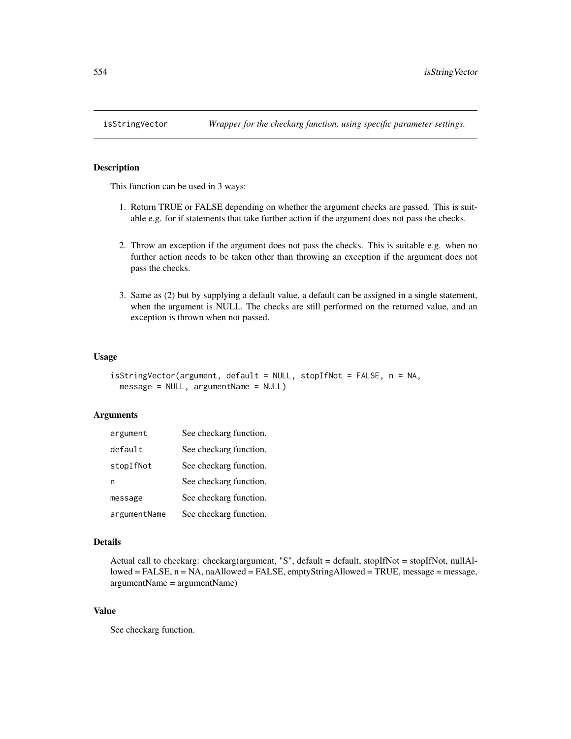#### Description

This function can be used in 3 ways:

- 1. Return TRUE or FALSE depending on whether the argument checks are passed. This is suitable e.g. for if statements that take further action if the argument does not pass the checks.
- 2. Throw an exception if the argument does not pass the checks. This is suitable e.g. when no further action needs to be taken other than throwing an exception if the argument does not pass the checks.
- 3. Same as (2) but by supplying a default value, a default can be assigned in a single statement, when the argument is NULL. The checks are still performed on the returned value, and an exception is thrown when not passed.

#### Usage

```
isStringVector(argument, default = NULL, stopIfNot = FALSE, n = NA,
 message = NULL, argumentName = NULL)
```
# Arguments

| argument     | See checkarg function. |
|--------------|------------------------|
| default      | See checkarg function. |
| stopIfNot    | See checkarg function. |
| n            | See checkarg function. |
| message      | See checkarg function. |
| argumentName | See checkarg function. |

#### Details

Actual call to checkarg: checkarg(argument, "S", default = default, stopIfNot = stopIfNot, nullAllowed = FALSE, n = NA, naAllowed = FALSE, emptyStringAllowed = TRUE, message = message, argumentName = argumentName)

# Value

See checkarg function.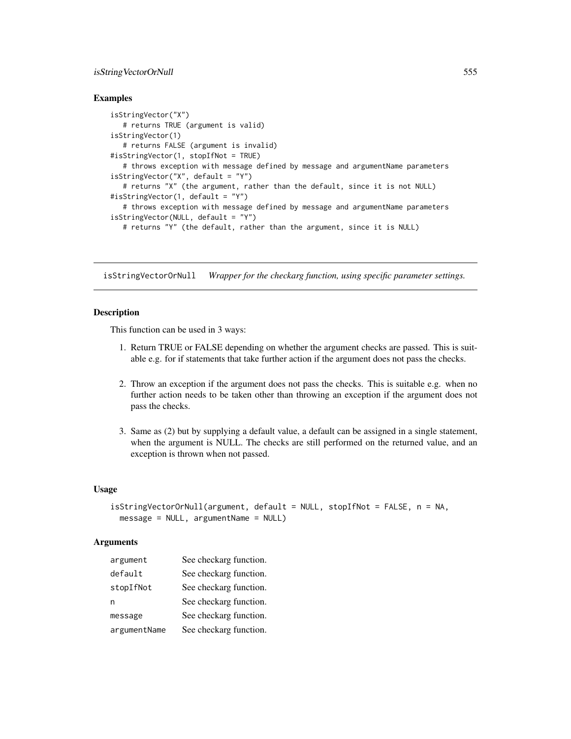# isStringVectorOrNull 555

### Examples

```
isStringVector("X")
   # returns TRUE (argument is valid)
isStringVector(1)
   # returns FALSE (argument is invalid)
#isStringVector(1, stopIfNot = TRUE)
   # throws exception with message defined by message and argumentName parameters
isStringVector("X", default = "Y")
  # returns "X" (the argument, rather than the default, since it is not NULL)
#isStringVector(1, default = "Y")
   # throws exception with message defined by message and argumentName parameters
isStringVector(NULL, default = "Y")
  # returns "Y" (the default, rather than the argument, since it is NULL)
```
isStringVectorOrNull *Wrapper for the checkarg function, using specific parameter settings.*

### Description

This function can be used in 3 ways:

- 1. Return TRUE or FALSE depending on whether the argument checks are passed. This is suitable e.g. for if statements that take further action if the argument does not pass the checks.
- 2. Throw an exception if the argument does not pass the checks. This is suitable e.g. when no further action needs to be taken other than throwing an exception if the argument does not pass the checks.
- 3. Same as (2) but by supplying a default value, a default can be assigned in a single statement, when the argument is NULL. The checks are still performed on the returned value, and an exception is thrown when not passed.

#### Usage

```
isStringVectorOrNull(argument, default = NULL, stopIfNot = FALSE, n = NA,
 message = NULL, argumentName = NULL)
```
### Arguments

| argument     | See checkarg function. |
|--------------|------------------------|
| default      | See checkarg function. |
| stopIfNot    | See checkarg function. |
| n            | See checkarg function. |
| message      | See checkarg function. |
| argumentName | See checkarg function. |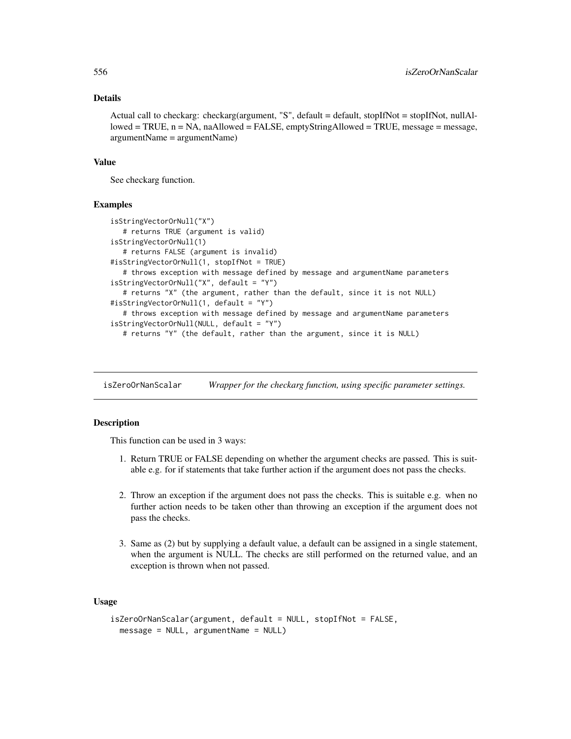# Details

Actual call to checkarg: checkarg(argument, "S", default = default, stopIfNot = stopIfNot, nullAl $l$ owed = TRUE,  $n$  = NA, naAllowed = FALSE, emptyStringAllowed = TRUE, message = message, argumentName = argumentName)

#### Value

See checkarg function.

### Examples

```
isStringVectorOrNull("X")
   # returns TRUE (argument is valid)
isStringVectorOrNull(1)
   # returns FALSE (argument is invalid)
#isStringVectorOrNull(1, stopIfNot = TRUE)
   # throws exception with message defined by message and argumentName parameters
isStringVectorOrNull("X", default = "Y")
   # returns "X" (the argument, rather than the default, since it is not NULL)
#isStringVectorOrNull(1, default = "Y")
   # throws exception with message defined by message and argumentName parameters
isStringVectorOrNull(NULL, default = "Y")
  # returns "Y" (the default, rather than the argument, since it is NULL)
```
isZeroOrNanScalar *Wrapper for the checkarg function, using specific parameter settings.*

# **Description**

This function can be used in 3 ways:

- 1. Return TRUE or FALSE depending on whether the argument checks are passed. This is suitable e.g. for if statements that take further action if the argument does not pass the checks.
- 2. Throw an exception if the argument does not pass the checks. This is suitable e.g. when no further action needs to be taken other than throwing an exception if the argument does not pass the checks.
- 3. Same as (2) but by supplying a default value, a default can be assigned in a single statement, when the argument is NULL. The checks are still performed on the returned value, and an exception is thrown when not passed.

### Usage

```
isZeroOrNanScalar(argument, default = NULL, stopIfNot = FALSE,
 message = NULL, argumentName = NULL)
```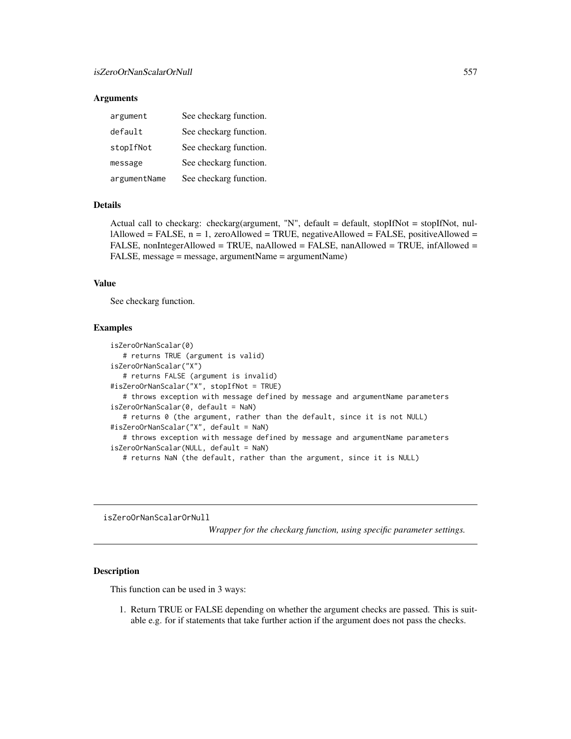### Arguments

| argument     | See checkarg function. |
|--------------|------------------------|
| default      | See checkarg function. |
| stopIfNot    | See checkarg function. |
| message      | See checkarg function. |
| argumentName | See checkarg function. |

# Details

Actual call to checkarg: checkarg(argument, "N", default = default, stopIfNot = stopIfNot, nul- $\text{l}$ Allowed = FALSE, n = 1, zeroAllowed = TRUE, negativeAllowed = FALSE, positiveAllowed = FALSE, nonIntegerAllowed = TRUE, naAllowed = FALSE, nanAllowed = TRUE, infAllowed = FALSE, message = message, argumentName = argumentName)

# Value

See checkarg function.

# Examples

```
isZeroOrNanScalar(0)
  # returns TRUE (argument is valid)
isZeroOrNanScalar("X")
  # returns FALSE (argument is invalid)
#isZeroOrNanScalar("X", stopIfNot = TRUE)
   # throws exception with message defined by message and argumentName parameters
isZeroOrNanScalar(0, default = NaN)
   # returns 0 (the argument, rather than the default, since it is not NULL)
#isZeroOrNanScalar("X", default = NaN)
   # throws exception with message defined by message and argumentName parameters
isZeroOrNanScalar(NULL, default = NaN)
   # returns NaN (the default, rather than the argument, since it is NULL)
```
isZeroOrNanScalarOrNull

*Wrapper for the checkarg function, using specific parameter settings.*

### Description

This function can be used in 3 ways:

1. Return TRUE or FALSE depending on whether the argument checks are passed. This is suitable e.g. for if statements that take further action if the argument does not pass the checks.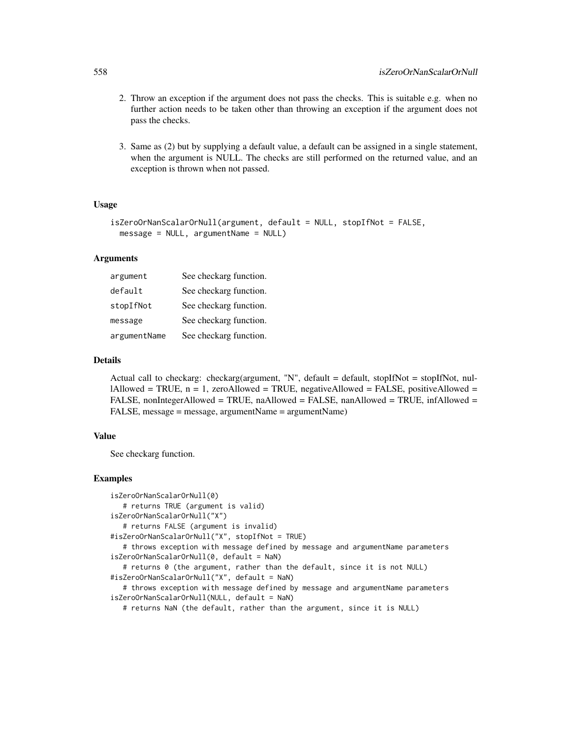- 2. Throw an exception if the argument does not pass the checks. This is suitable e.g. when no further action needs to be taken other than throwing an exception if the argument does not pass the checks.
- 3. Same as (2) but by supplying a default value, a default can be assigned in a single statement, when the argument is NULL. The checks are still performed on the returned value, and an exception is thrown when not passed.

# Usage

```
isZeroOrNanScalarOrNull(argument, default = NULL, stopIfNot = FALSE,
 message = NULL, argumentName = NULL)
```
### Arguments

| argument     | See checkarg function. |
|--------------|------------------------|
| default      | See checkarg function. |
| stopIfNot    | See checkarg function. |
| message      | See checkarg function. |
| argumentName | See checkarg function. |

# Details

Actual call to checkarg: checkarg(argument, "N", default = default, stopIfNot = stopIfNot, nullAllowed = TRUE,  $n = 1$ , zeroAllowed = TRUE, negativeAllowed = FALSE, positiveAllowed = FALSE, nonIntegerAllowed = TRUE, naAllowed = FALSE, nanAllowed = TRUE, infAllowed = FALSE, message = message, argumentName = argumentName)

# Value

See checkarg function.

```
isZeroOrNanScalarOrNull(0)
   # returns TRUE (argument is valid)
isZeroOrNanScalarOrNull("X")
   # returns FALSE (argument is invalid)
#isZeroOrNanScalarOrNull("X", stopIfNot = TRUE)
   # throws exception with message defined by message and argumentName parameters
isZeroOrNanScalarOrNull(0, default = NaN)
   # returns 0 (the argument, rather than the default, since it is not NULL)
#isZeroOrNanScalarOrNull("X", default = NaN)
   # throws exception with message defined by message and argumentName parameters
isZeroOrNanScalarOrNull(NULL, default = NaN)
   # returns NaN (the default, rather than the argument, since it is NULL)
```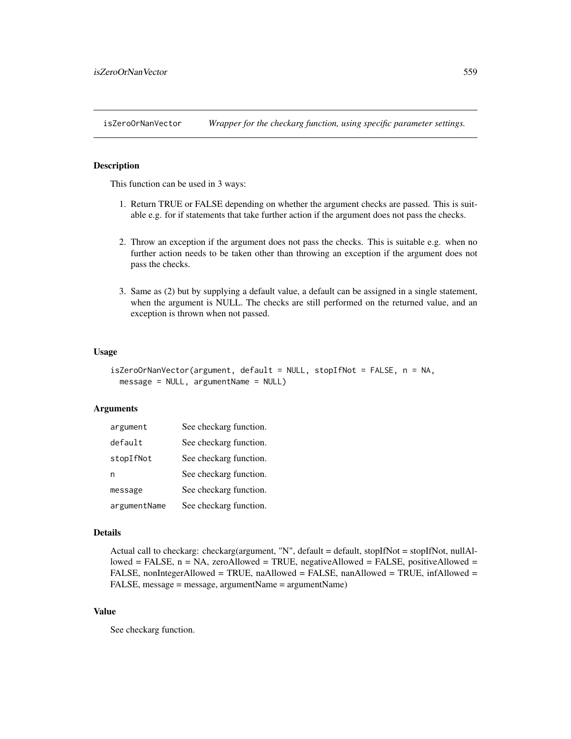isZeroOrNanVector *Wrapper for the checkarg function, using specific parameter settings.*

### Description

This function can be used in 3 ways:

- 1. Return TRUE or FALSE depending on whether the argument checks are passed. This is suitable e.g. for if statements that take further action if the argument does not pass the checks.
- 2. Throw an exception if the argument does not pass the checks. This is suitable e.g. when no further action needs to be taken other than throwing an exception if the argument does not pass the checks.
- 3. Same as (2) but by supplying a default value, a default can be assigned in a single statement, when the argument is NULL. The checks are still performed on the returned value, and an exception is thrown when not passed.

#### Usage

```
isZeroOrNanVector(argument, default = NULL, stopIfNot = FALSE, n = NA,
 message = NULL, argumentName = NULL)
```
### Arguments

| argument     | See checkarg function. |
|--------------|------------------------|
| default      | See checkarg function. |
| stopIfNot    | See checkarg function. |
| n            | See checkarg function. |
| message      | See checkarg function. |
| argumentName | See checkarg function. |

#### Details

```
Actual call to checkarg: checkarg(argument, "N", default = default, stopIfNot = stopIfNot, nullAl-
lowed = FALSE, n = NA, zeroAllowed = TRUE, negativeAllowed = FALSE, positiveAllowed =
FALSE, nonIntegerAllowed = TRUE, naAllowed = FALSE, nanAllowed = TRUE, infAllowed =
FALSE, message = message, argumentName = argumentName)
```
# Value

See checkarg function.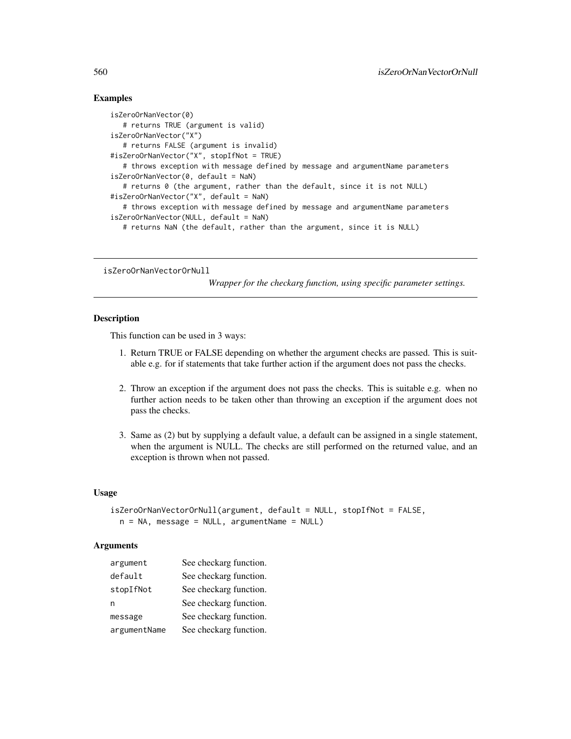### Examples

```
isZeroOrNanVector(0)
   # returns TRUE (argument is valid)
isZeroOrNanVector("X")
   # returns FALSE (argument is invalid)
#isZeroOrNanVector("X", stopIfNot = TRUE)
   # throws exception with message defined by message and argumentName parameters
isZeroOrNanVector(0, default = NaN)
   # returns 0 (the argument, rather than the default, since it is not NULL)
#isZeroOrNanVector("X", default = NaN)
   # throws exception with message defined by message and argumentName parameters
isZeroOrNanVector(NULL, default = NaN)
  # returns NaN (the default, rather than the argument, since it is NULL)
```
isZeroOrNanVectorOrNull

*Wrapper for the checkarg function, using specific parameter settings.*

# Description

This function can be used in 3 ways:

- 1. Return TRUE or FALSE depending on whether the argument checks are passed. This is suitable e.g. for if statements that take further action if the argument does not pass the checks.
- 2. Throw an exception if the argument does not pass the checks. This is suitable e.g. when no further action needs to be taken other than throwing an exception if the argument does not pass the checks.
- 3. Same as (2) but by supplying a default value, a default can be assigned in a single statement, when the argument is NULL. The checks are still performed on the returned value, and an exception is thrown when not passed.

### Usage

```
isZeroOrNanVectorOrNull(argument, default = NULL, stopIfNot = FALSE,
 n = NA, message = NULL, argumentName = NULL)
```
## Arguments

| argument     | See checkarg function. |
|--------------|------------------------|
| default      | See checkarg function. |
| stopIfNot    | See checkarg function. |
| n            | See checkarg function. |
| message      | See checkarg function. |
| argumentName | See checkarg function. |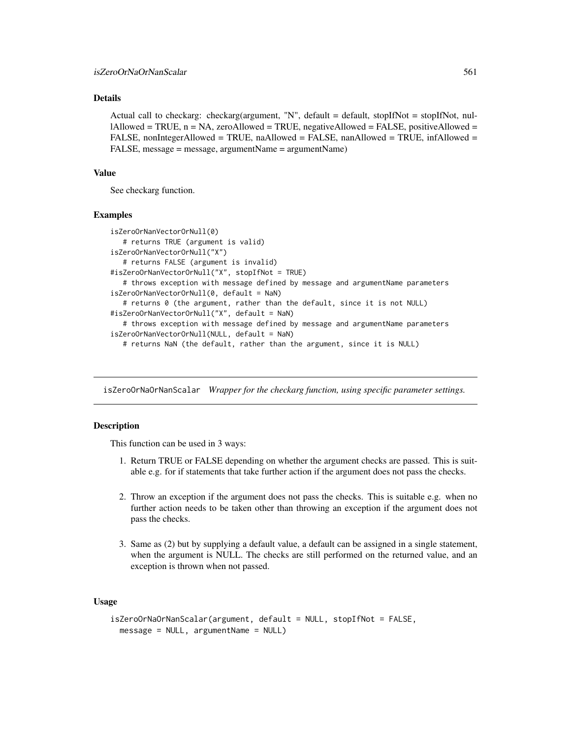#### Details

Actual call to checkarg: checkarg(argument, "N", default = default, stopIfNot = stopIfNot, nullAllowed = TRUE,  $n = NA$ , zeroAllowed = TRUE, negativeAllowed = FALSE, positiveAllowed = FALSE, nonIntegerAllowed = TRUE, naAllowed = FALSE, nanAllowed = TRUE, infAllowed = FALSE, message = message, argumentName = argumentName)

### Value

See checkarg function.

### Examples

```
isZeroOrNanVectorOrNull(0)
   # returns TRUE (argument is valid)
isZeroOrNanVectorOrNull("X")
   # returns FALSE (argument is invalid)
#isZeroOrNanVectorOrNull("X", stopIfNot = TRUE)
   # throws exception with message defined by message and argumentName parameters
isZeroOrNanVectorOrNull(0, default = NaN)
   # returns 0 (the argument, rather than the default, since it is not NULL)
#isZeroOrNanVectorOrNull("X", default = NaN)
   # throws exception with message defined by message and argumentName parameters
isZeroOrNanVectorOrNull(NULL, default = NaN)
   # returns NaN (the default, rather than the argument, since it is NULL)
```
isZeroOrNaOrNanScalar *Wrapper for the checkarg function, using specific parameter settings.*

# **Description**

This function can be used in 3 ways:

- 1. Return TRUE or FALSE depending on whether the argument checks are passed. This is suitable e.g. for if statements that take further action if the argument does not pass the checks.
- 2. Throw an exception if the argument does not pass the checks. This is suitable e.g. when no further action needs to be taken other than throwing an exception if the argument does not pass the checks.
- 3. Same as (2) but by supplying a default value, a default can be assigned in a single statement, when the argument is NULL. The checks are still performed on the returned value, and an exception is thrown when not passed.

### Usage

```
isZeroOrNaOrNanScalar(argument, default = NULL, stopIfNot = FALSE,
 message = NULL, argumentName = NULL)
```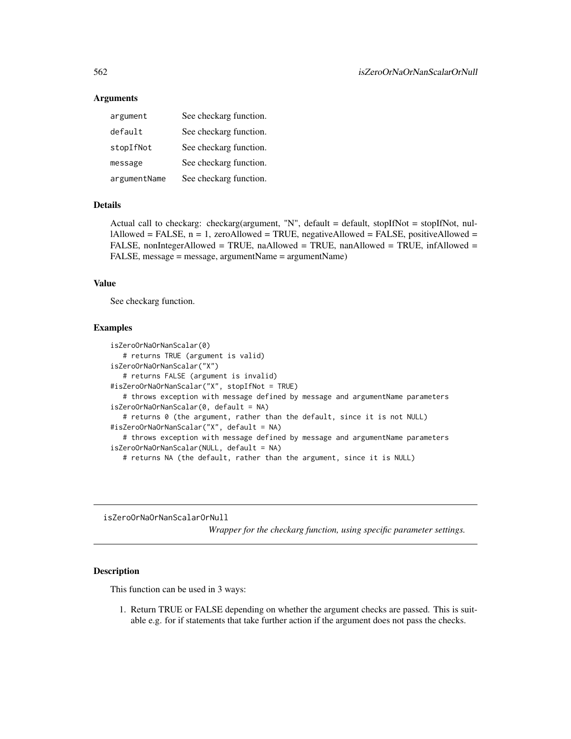### Arguments

| argument     | See checkarg function. |
|--------------|------------------------|
| default      | See checkarg function. |
| stopIfNot    | See checkarg function. |
| message      | See checkarg function. |
| argumentName | See checkarg function. |

# Details

Actual call to checkarg: checkarg(argument, "N", default = default, stopIfNot = stopIfNot, nul- $\text{l}$ Allowed = FALSE, n = 1, zeroAllowed = TRUE, negativeAllowed = FALSE, positiveAllowed = FALSE, nonIntegerAllowed = TRUE, naAllowed = TRUE, nanAllowed = TRUE, infAllowed = FALSE, message = message, argumentName = argumentName)

# Value

See checkarg function.

# Examples

```
isZeroOrNaOrNanScalar(0)
  # returns TRUE (argument is valid)
isZeroOrNaOrNanScalar("X")
  # returns FALSE (argument is invalid)
#isZeroOrNaOrNanScalar("X", stopIfNot = TRUE)
   # throws exception with message defined by message and argumentName parameters
isZeroOrNaOrNanScalar(0, default = NA)
   # returns 0 (the argument, rather than the default, since it is not NULL)
#isZeroOrNaOrNanScalar("X", default = NA)
   # throws exception with message defined by message and argumentName parameters
isZeroOrNaOrNanScalar(NULL, default = NA)
   # returns NA (the default, rather than the argument, since it is NULL)
```
isZeroOrNaOrNanScalarOrNull

*Wrapper for the checkarg function, using specific parameter settings.*

#### Description

This function can be used in 3 ways:

1. Return TRUE or FALSE depending on whether the argument checks are passed. This is suitable e.g. for if statements that take further action if the argument does not pass the checks.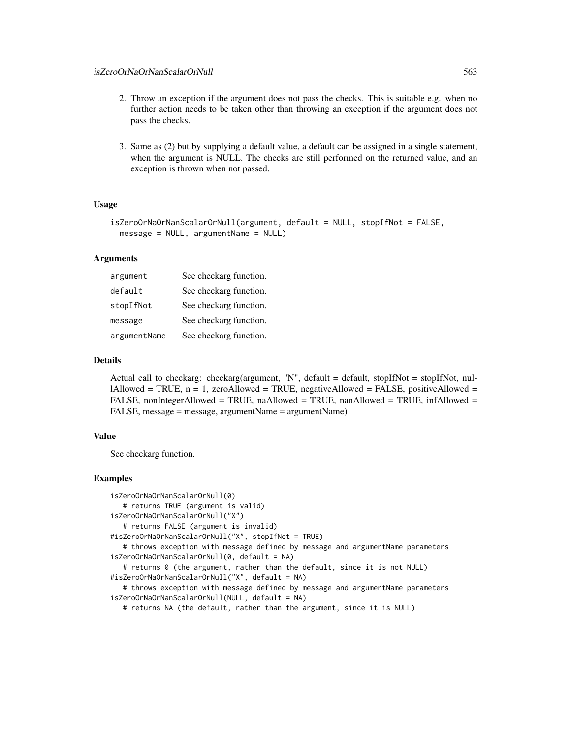- 2. Throw an exception if the argument does not pass the checks. This is suitable e.g. when no further action needs to be taken other than throwing an exception if the argument does not pass the checks.
- 3. Same as (2) but by supplying a default value, a default can be assigned in a single statement, when the argument is NULL. The checks are still performed on the returned value, and an exception is thrown when not passed.

# Usage

```
isZeroOrNaOrNanScalarOrNull(argument, default = NULL, stopIfNot = FALSE,
 message = NULL, argumentName = NULL)
```
### Arguments

| argument     | See checkarg function. |
|--------------|------------------------|
| default      | See checkarg function. |
| stopIfNot    | See checkarg function. |
| message      | See checkarg function. |
| argumentName | See checkarg function. |

# Details

Actual call to checkarg: checkarg(argument, "N", default = default, stopIfNot = stopIfNot, nul- $\text{lAllowed} = \text{TRUE}, \text{ } n = 1, \text{ zeroAllowed} = \text{TRUE}, \text{ } \text{negativeAllowed} = \text{FALSE}, \text{ } \text{positiveAllowed} = \text{}}$ FALSE, nonIntegerAllowed = TRUE, naAllowed = TRUE, nanAllowed = TRUE, infAllowed = FALSE, message = message, argumentName = argumentName)

# Value

See checkarg function.

```
isZeroOrNaOrNanScalarOrNull(0)
   # returns TRUE (argument is valid)
isZeroOrNaOrNanScalarOrNull("X")
   # returns FALSE (argument is invalid)
#isZeroOrNaOrNanScalarOrNull("X", stopIfNot = TRUE)
   # throws exception with message defined by message and argumentName parameters
isZeroOrNaOrNanScalarOrNull(0, default = NA)
   # returns 0 (the argument, rather than the default, since it is not NULL)
#isZeroOrNaOrNanScalarOrNull("X", default = NA)
   # throws exception with message defined by message and argumentName parameters
isZeroOrNaOrNanScalarOrNull(NULL, default = NA)
   # returns NA (the default, rather than the argument, since it is NULL)
```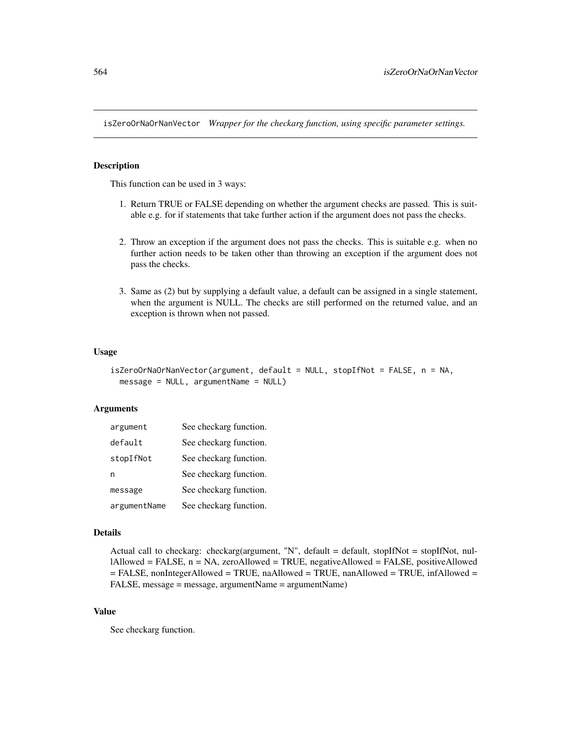isZeroOrNaOrNanVector *Wrapper for the checkarg function, using specific parameter settings.*

### **Description**

This function can be used in 3 ways:

- 1. Return TRUE or FALSE depending on whether the argument checks are passed. This is suitable e.g. for if statements that take further action if the argument does not pass the checks.
- 2. Throw an exception if the argument does not pass the checks. This is suitable e.g. when no further action needs to be taken other than throwing an exception if the argument does not pass the checks.
- 3. Same as (2) but by supplying a default value, a default can be assigned in a single statement, when the argument is NULL. The checks are still performed on the returned value, and an exception is thrown when not passed.

#### Usage

```
isZeroOrNaOrNanVector(argument, default = NULL, stopIfNot = FALSE, n = NA,
 message = NULL, argumentName = NULL)
```
#### Arguments

| argument     | See checkarg function. |
|--------------|------------------------|
| default      | See checkarg function. |
| stopIfNot    | See checkarg function. |
| n            | See checkarg function. |
| message      | See checkarg function. |
| argumentName | See checkarg function. |

#### Details

Actual call to checkarg: checkarg(argument, "N", default = default, stopIfNot = stopIfNot, nullAllowed = FALSE, n = NA, zeroAllowed = TRUE, negativeAllowed = FALSE, positiveAllowed  $=$  FALSE, nonIntegerAllowed = TRUE, naAllowed = TRUE, nanAllowed = TRUE, infAllowed = FALSE, message = message, argumentName = argumentName)

# Value

See checkarg function.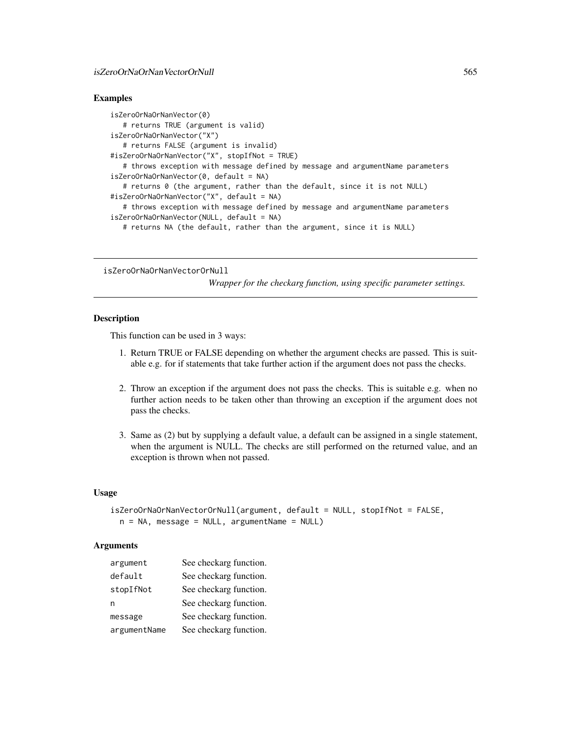## Examples

```
isZeroOrNaOrNanVector(0)
   # returns TRUE (argument is valid)
isZeroOrNaOrNanVector("X")
   # returns FALSE (argument is invalid)
#isZeroOrNaOrNanVector("X", stopIfNot = TRUE)
   # throws exception with message defined by message and argumentName parameters
isZeroOrNaOrNanVector(0, default = NA)
   # returns 0 (the argument, rather than the default, since it is not NULL)
#isZeroOrNaOrNanVector("X", default = NA)
   # throws exception with message defined by message and argumentName parameters
isZeroOrNaOrNanVector(NULL, default = NA)
  # returns NA (the default, rather than the argument, since it is NULL)
```
isZeroOrNaOrNanVectorOrNull

*Wrapper for the checkarg function, using specific parameter settings.*

# **Description**

This function can be used in 3 ways:

- 1. Return TRUE or FALSE depending on whether the argument checks are passed. This is suitable e.g. for if statements that take further action if the argument does not pass the checks.
- 2. Throw an exception if the argument does not pass the checks. This is suitable e.g. when no further action needs to be taken other than throwing an exception if the argument does not pass the checks.
- 3. Same as (2) but by supplying a default value, a default can be assigned in a single statement, when the argument is NULL. The checks are still performed on the returned value, and an exception is thrown when not passed.

#### Usage

```
isZeroOrNaOrNanVectorOrNull(argument, default = NULL, stopIfNot = FALSE,
 n = NA, message = NULL, argumentName = NULL)
```
### Arguments

| argument     | See checkarg function. |
|--------------|------------------------|
| default      | See checkarg function. |
| stopIfNot    | See checkarg function. |
| n            | See checkarg function. |
| message      | See checkarg function. |
| argumentName | See checkarg function. |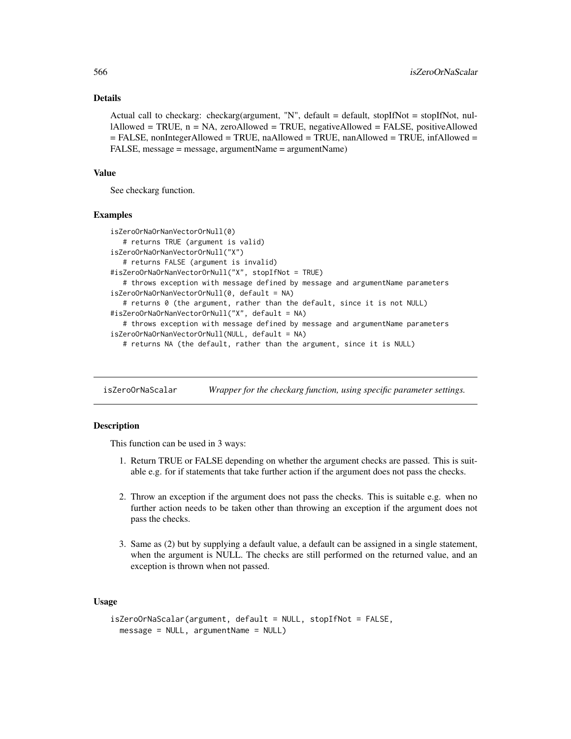#### Details

Actual call to checkarg: checkarg(argument, "N", default = default, stopIfNot = stopIfNot, nullAllowed = TRUE, n = NA, zeroAllowed = TRUE, negativeAllowed = FALSE, positiveAllowed  $=$  FALSE, nonIntegerAllowed = TRUE, naAllowed = TRUE, nanAllowed = TRUE, infAllowed = FALSE, message = message, argumentName = argumentName)

### Value

See checkarg function.

### Examples

```
isZeroOrNaOrNanVectorOrNull(0)
   # returns TRUE (argument is valid)
isZeroOrNaOrNanVectorOrNull("X")
   # returns FALSE (argument is invalid)
#isZeroOrNaOrNanVectorOrNull("X", stopIfNot = TRUE)
   # throws exception with message defined by message and argumentName parameters
isZeroOrNaOrNanVectorOrNull(0, default = NA)
   # returns 0 (the argument, rather than the default, since it is not NULL)
#isZeroOrNaOrNanVectorOrNull("X", default = NA)
   # throws exception with message defined by message and argumentName parameters
isZeroOrNaOrNanVectorOrNull(NULL, default = NA)
   # returns NA (the default, rather than the argument, since it is NULL)
```
isZeroOrNaScalar *Wrapper for the checkarg function, using specific parameter settings.*

# Description

This function can be used in 3 ways:

- 1. Return TRUE or FALSE depending on whether the argument checks are passed. This is suitable e.g. for if statements that take further action if the argument does not pass the checks.
- 2. Throw an exception if the argument does not pass the checks. This is suitable e.g. when no further action needs to be taken other than throwing an exception if the argument does not pass the checks.
- 3. Same as (2) but by supplying a default value, a default can be assigned in a single statement, when the argument is NULL. The checks are still performed on the returned value, and an exception is thrown when not passed.

### Usage

```
isZeroOrNaScalar(argument, default = NULL, stopIfNot = FALSE,
 message = NULL, argumentName = NULL)
```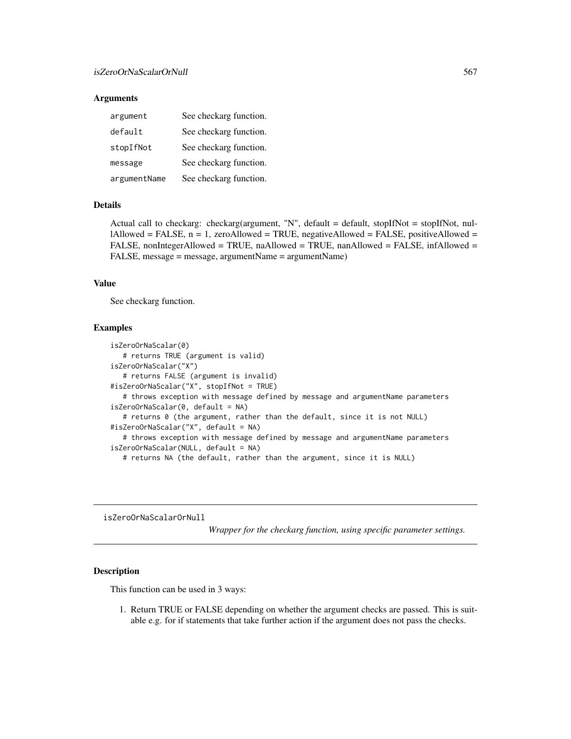### Arguments

| argument     | See checkarg function. |
|--------------|------------------------|
| default      | See checkarg function. |
| stopIfNot    | See checkarg function. |
| message      | See checkarg function. |
| argumentName | See checkarg function. |

# Details

Actual call to checkarg: checkarg(argument, "N", default = default, stopIfNot = stopIfNot, nul- $\text{l}$ Allowed = FALSE, n = 1, zeroAllowed = TRUE, negativeAllowed = FALSE, positiveAllowed = FALSE, nonIntegerAllowed = TRUE, naAllowed = TRUE, nanAllowed = FALSE, infAllowed = FALSE, message = message, argumentName = argumentName)

# Value

See checkarg function.

# Examples

```
isZeroOrNaScalar(0)
  # returns TRUE (argument is valid)
isZeroOrNaScalar("X")
  # returns FALSE (argument is invalid)
#isZeroOrNaScalar("X", stopIfNot = TRUE)
   # throws exception with message defined by message and argumentName parameters
isZeroOrNaScalar(0, default = NA)
   # returns 0 (the argument, rather than the default, since it is not NULL)
#isZeroOrNaScalar("X", default = NA)
   # throws exception with message defined by message and argumentName parameters
isZeroOrNaScalar(NULL, default = NA)
   # returns NA (the default, rather than the argument, since it is NULL)
```
isZeroOrNaScalarOrNull

*Wrapper for the checkarg function, using specific parameter settings.*

### Description

This function can be used in 3 ways:

1. Return TRUE or FALSE depending on whether the argument checks are passed. This is suitable e.g. for if statements that take further action if the argument does not pass the checks.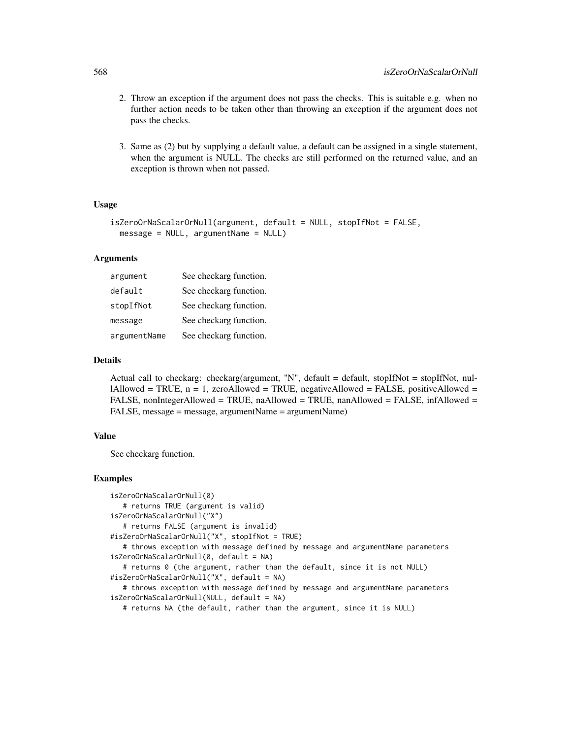- 2. Throw an exception if the argument does not pass the checks. This is suitable e.g. when no further action needs to be taken other than throwing an exception if the argument does not pass the checks.
- 3. Same as (2) but by supplying a default value, a default can be assigned in a single statement, when the argument is NULL. The checks are still performed on the returned value, and an exception is thrown when not passed.

# Usage

```
isZeroOrNaScalarOrNull(argument, default = NULL, stopIfNot = FALSE,
 message = NULL, argumentName = NULL)
```
#### Arguments

| argument     | See checkarg function. |
|--------------|------------------------|
| default      | See checkarg function. |
| stopIfNot    | See checkarg function. |
| message      | See checkarg function. |
| argumentName | See checkarg function. |

# Details

Actual call to checkarg: checkarg(argument, "N", default = default, stopIfNot = stopIfNot, nullAllowed = TRUE,  $n = 1$ , zeroAllowed = TRUE, negativeAllowed = FALSE, positiveAllowed = FALSE, nonIntegerAllowed = TRUE, naAllowed = TRUE, nanAllowed = FALSE, infAllowed = FALSE, message = message, argumentName = argumentName)

# Value

See checkarg function.

```
isZeroOrNaScalarOrNull(0)
   # returns TRUE (argument is valid)
isZeroOrNaScalarOrNull("X")
   # returns FALSE (argument is invalid)
#isZeroOrNaScalarOrNull("X", stopIfNot = TRUE)
   # throws exception with message defined by message and argumentName parameters
isZeroOrNaScalarOrNull(0, default = NA)
   # returns 0 (the argument, rather than the default, since it is not NULL)
#isZeroOrNaScalarOrNull("X", default = NA)
   # throws exception with message defined by message and argumentName parameters
isZeroOrNaScalarOrNull(NULL, default = NA)
   # returns NA (the default, rather than the argument, since it is NULL)
```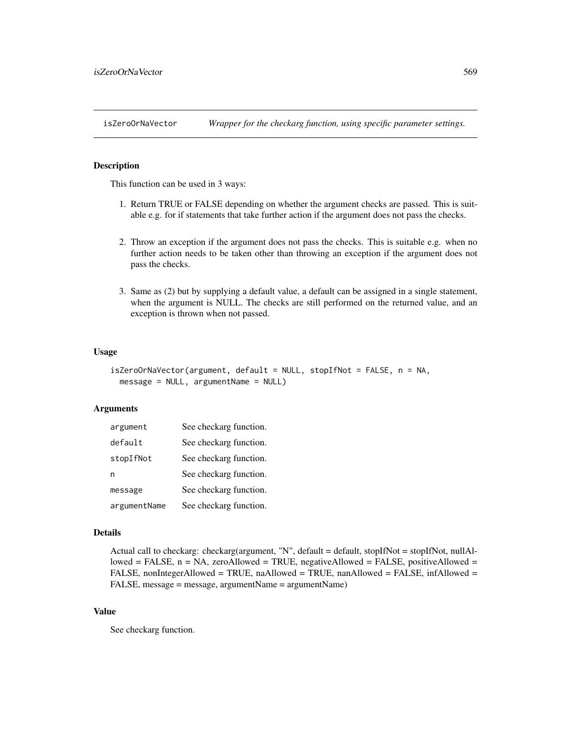## **Description**

This function can be used in 3 ways:

- 1. Return TRUE or FALSE depending on whether the argument checks are passed. This is suitable e.g. for if statements that take further action if the argument does not pass the checks.
- 2. Throw an exception if the argument does not pass the checks. This is suitable e.g. when no further action needs to be taken other than throwing an exception if the argument does not pass the checks.
- 3. Same as (2) but by supplying a default value, a default can be assigned in a single statement, when the argument is NULL. The checks are still performed on the returned value, and an exception is thrown when not passed.

#### Usage

```
isZeroOrNaVector(argument, default = NULL, stopIfNot = FALSE, n = NA,
 message = NULL, argumentName = NULL)
```
### Arguments

| argument     | See checkarg function. |
|--------------|------------------------|
| default      | See checkarg function. |
| stopIfNot    | See checkarg function. |
| n            | See checkarg function. |
| message      | See checkarg function. |
| argumentName | See checkarg function. |

#### Details

```
Actual call to checkarg: checkarg(argument, "N", default = default, stopIfNot = stopIfNot, nullAl-
lowed = FALSE, n = NA, zeroAllowed = TRUE, negativeAllowed = FALSE, positiveAllowed =
FALSE, nonIntegerAllowed = TRUE, naAllowed = TRUE, nanAllowed = FALSE, infAllowed =
FALSE, message = message, argumentName = argumentName)
```
# Value

See checkarg function.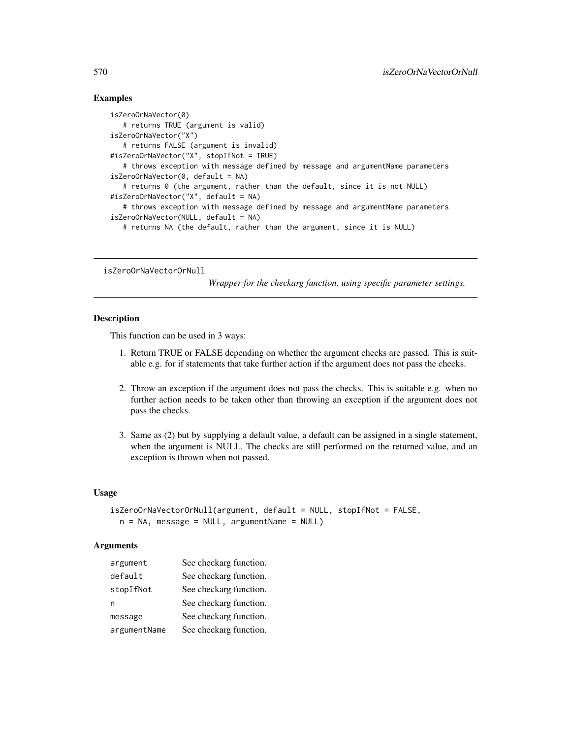### Examples

```
isZeroOrNaVector(0)
   # returns TRUE (argument is valid)
isZeroOrNaVector("X")
   # returns FALSE (argument is invalid)
#isZeroOrNaVector("X", stopIfNot = TRUE)
   # throws exception with message defined by message and argumentName parameters
isZeroOrNaVector(0, default = NA)
   # returns 0 (the argument, rather than the default, since it is not NULL)
#isZeroOrNaVector("X", default = NA)
   # throws exception with message defined by message and argumentName parameters
isZeroOrNaVector(NULL, default = NA)
  # returns NA (the default, rather than the argument, since it is NULL)
```
isZeroOrNaVectorOrNull

*Wrapper for the checkarg function, using specific parameter settings.*

# **Description**

This function can be used in 3 ways:

- 1. Return TRUE or FALSE depending on whether the argument checks are passed. This is suitable e.g. for if statements that take further action if the argument does not pass the checks.
- 2. Throw an exception if the argument does not pass the checks. This is suitable e.g. when no further action needs to be taken other than throwing an exception if the argument does not pass the checks.
- 3. Same as (2) but by supplying a default value, a default can be assigned in a single statement, when the argument is NULL. The checks are still performed on the returned value, and an exception is thrown when not passed.

### Usage

```
isZeroOrNaVectorOrNull(argument, default = NULL, stopIfNot = FALSE,
 n = NA, message = NULL, argumentName = NULL)
```
### Arguments

| argument     | See checkarg function. |
|--------------|------------------------|
| default      | See checkarg function. |
| stopIfNot    | See checkarg function. |
| n            | See checkarg function. |
| message      | See checkarg function. |
| argumentName | See checkarg function. |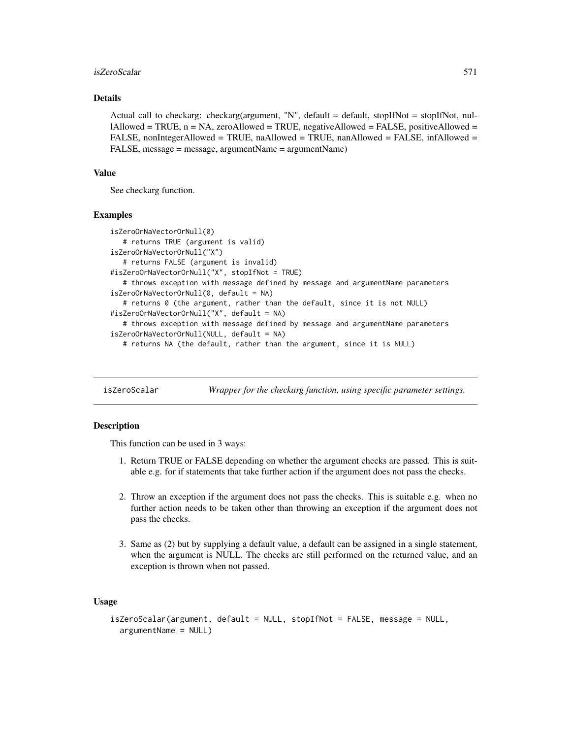#### isZeroScalar 571

#### Details

Actual call to checkarg: checkarg(argument, "N", default = default, stopIfNot = stopIfNot, nullAllowed = TRUE,  $n = NA$ , zeroAllowed = TRUE, negativeAllowed = FALSE, positiveAllowed = FALSE, nonIntegerAllowed = TRUE, naAllowed = TRUE, nanAllowed = FALSE, infAllowed = FALSE, message = message, argumentName = argumentName)

### Value

See checkarg function.

### Examples

```
isZeroOrNaVectorOrNull(0)
   # returns TRUE (argument is valid)
isZeroOrNaVectorOrNull("X")
   # returns FALSE (argument is invalid)
#isZeroOrNaVectorOrNull("X", stopIfNot = TRUE)
   # throws exception with message defined by message and argumentName parameters
isZeroOrNaVectorOrNull(0, default = NA)
   # returns 0 (the argument, rather than the default, since it is not NULL)
#isZeroOrNaVectorOrNull("X", default = NA)
   # throws exception with message defined by message and argumentName parameters
isZeroOrNaVectorOrNull(NULL, default = NA)
   # returns NA (the default, rather than the argument, since it is NULL)
```
isZeroScalar *Wrapper for the checkarg function, using specific parameter settings.*

### **Description**

This function can be used in 3 ways:

- 1. Return TRUE or FALSE depending on whether the argument checks are passed. This is suitable e.g. for if statements that take further action if the argument does not pass the checks.
- 2. Throw an exception if the argument does not pass the checks. This is suitable e.g. when no further action needs to be taken other than throwing an exception if the argument does not pass the checks.
- 3. Same as (2) but by supplying a default value, a default can be assigned in a single statement, when the argument is NULL. The checks are still performed on the returned value, and an exception is thrown when not passed.

### Usage

```
isZeroScalar(argument, default = NULL, stopIfNot = FALSE, message = NULL,
 argumentName = NULL)
```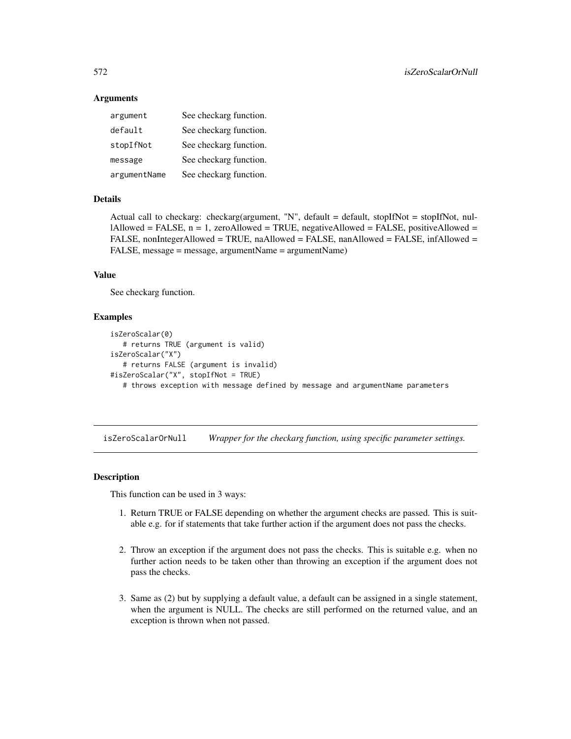### Arguments

| argument     | See checkarg function. |
|--------------|------------------------|
| default      | See checkarg function. |
| stopIfNot    | See checkarg function. |
| message      | See checkarg function. |
| argumentName | See checkarg function. |

### Details

Actual call to checkarg: checkarg(argument, "N", default = default, stopIfNot = stopIfNot, nul $l$ Allowed = FALSE,  $n = 1$ , zeroAllowed = TRUE, negativeAllowed = FALSE, positiveAllowed = FALSE, nonIntegerAllowed = TRUE, naAllowed = FALSE, nanAllowed = FALSE, infAllowed = FALSE, message = message, argumentName = argumentName)

### Value

See checkarg function.

#### Examples

```
isZeroScalar(0)
   # returns TRUE (argument is valid)
isZeroScalar("X")
   # returns FALSE (argument is invalid)
#isZeroScalar("X", stopIfNot = TRUE)
   # throws exception with message defined by message and argumentName parameters
```
isZeroScalarOrNull *Wrapper for the checkarg function, using specific parameter settings.*

# **Description**

This function can be used in 3 ways:

- 1. Return TRUE or FALSE depending on whether the argument checks are passed. This is suitable e.g. for if statements that take further action if the argument does not pass the checks.
- 2. Throw an exception if the argument does not pass the checks. This is suitable e.g. when no further action needs to be taken other than throwing an exception if the argument does not pass the checks.
- 3. Same as (2) but by supplying a default value, a default can be assigned in a single statement, when the argument is NULL. The checks are still performed on the returned value, and an exception is thrown when not passed.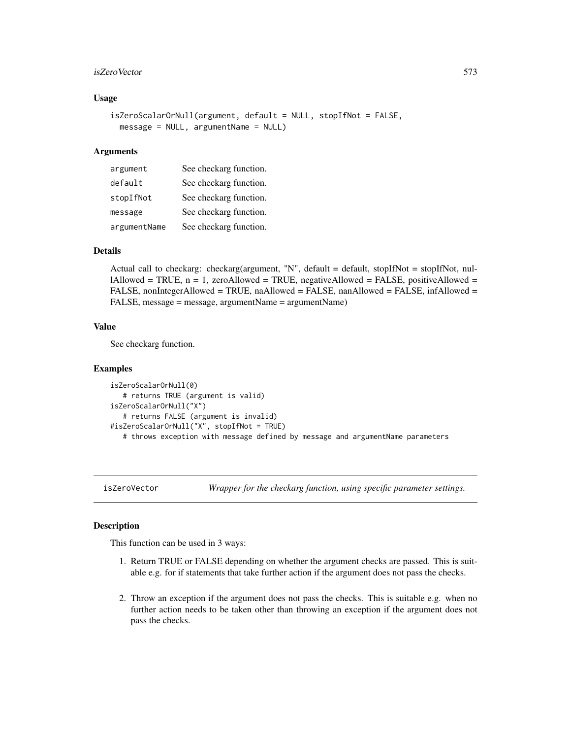#### isZeroVector 573

### Usage

```
isZeroScalarOrNull(argument, default = NULL, stopIfNot = FALSE,
 message = NULL, argumentName = NULL)
```
### Arguments

| argument     | See checkarg function. |
|--------------|------------------------|
| default      | See checkarg function. |
| stopIfNot    | See checkarg function. |
| message      | See checkarg function. |
| argumentName | See checkarg function. |

## Details

Actual call to checkarg: checkarg(argument, "N", default = default, stopIfNot = stopIfNot, nullAllowed = TRUE,  $n = 1$ , zeroAllowed = TRUE, negativeAllowed = FALSE, positiveAllowed = FALSE, nonIntegerAllowed = TRUE, naAllowed = FALSE, nanAllowed = FALSE, infAllowed = FALSE, message = message, argumentName = argumentName)

## Value

See checkarg function.

#### Examples

```
isZeroScalarOrNull(0)
  # returns TRUE (argument is valid)
isZeroScalarOrNull("X")
   # returns FALSE (argument is invalid)
#isZeroScalarOrNull("X", stopIfNot = TRUE)
   # throws exception with message defined by message and argumentName parameters
```
isZeroVector *Wrapper for the checkarg function, using specific parameter settings.*

# Description

This function can be used in 3 ways:

- 1. Return TRUE or FALSE depending on whether the argument checks are passed. This is suitable e.g. for if statements that take further action if the argument does not pass the checks.
- 2. Throw an exception if the argument does not pass the checks. This is suitable e.g. when no further action needs to be taken other than throwing an exception if the argument does not pass the checks.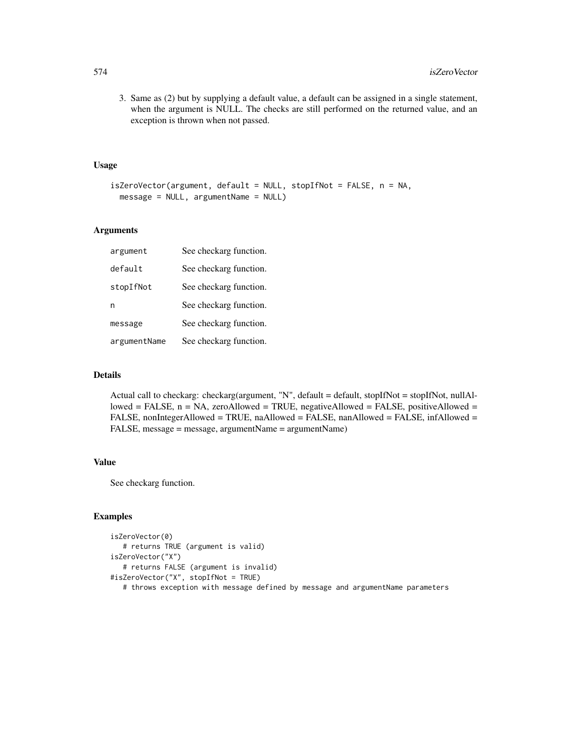3. Same as (2) but by supplying a default value, a default can be assigned in a single statement, when the argument is NULL. The checks are still performed on the returned value, and an exception is thrown when not passed.

# Usage

```
isZeroVector(argument, default = NULL, stopIfNot = FALSE, n = NA,
 message = NULL, argumentName = NULL)
```
# Arguments

| argument     | See checkarg function. |
|--------------|------------------------|
| default      | See checkarg function. |
| stopIfNot    | See checkarg function. |
| n            | See checkarg function. |
| message      | See checkarg function. |
| argumentName | See checkarg function. |

# Details

Actual call to checkarg: checkarg(argument, "N", default = default, stopIfNot = stopIfNot, nullAllowed = FALSE,  $n = NA$ , zeroAllowed = TRUE, negativeAllowed = FALSE, positiveAllowed = FALSE, nonIntegerAllowed = TRUE, naAllowed = FALSE, nanAllowed = FALSE, infAllowed = FALSE, message = message, argumentName = argumentName)

# Value

See checkarg function.

```
isZeroVector(0)
   # returns TRUE (argument is valid)
isZeroVector("X")
   # returns FALSE (argument is invalid)
#isZeroVector("X", stopIfNot = TRUE)
   # throws exception with message defined by message and argumentName parameters
```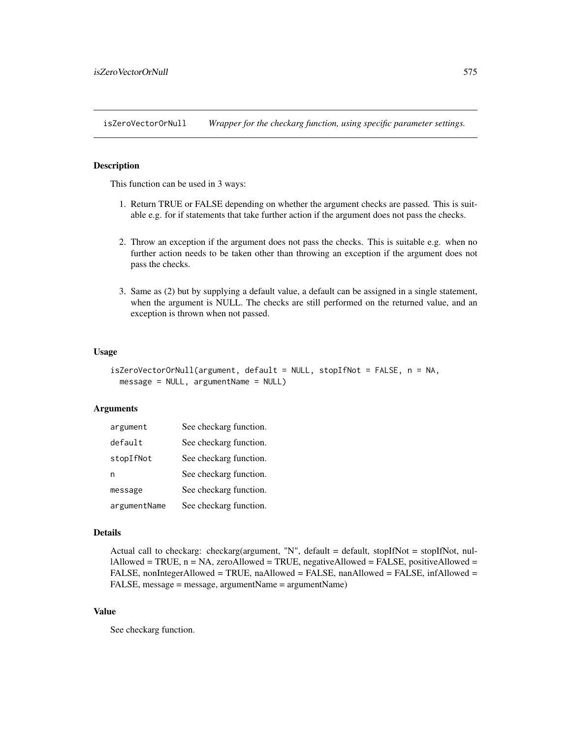isZeroVectorOrNull *Wrapper for the checkarg function, using specific parameter settings.*

## **Description**

This function can be used in 3 ways:

- 1. Return TRUE or FALSE depending on whether the argument checks are passed. This is suitable e.g. for if statements that take further action if the argument does not pass the checks.
- 2. Throw an exception if the argument does not pass the checks. This is suitable e.g. when no further action needs to be taken other than throwing an exception if the argument does not pass the checks.
- 3. Same as (2) but by supplying a default value, a default can be assigned in a single statement, when the argument is NULL. The checks are still performed on the returned value, and an exception is thrown when not passed.

#### Usage

```
isZeroVectorOrNull(argument, default = NULL, stopIfNot = FALSE, n = NA,
 message = NULL, argumentName = NULL)
```
### Arguments

| argument     | See checkarg function. |
|--------------|------------------------|
| default      | See checkarg function. |
| stopIfNot    | See checkarg function. |
| n            | See checkarg function. |
| message      | See checkarg function. |
| argumentName | See checkarg function. |

#### Details

Actual call to checkarg: checkarg(argument, "N", default = default, stopIfNot = stopIfNot, nul $l$ Allowed = TRUE, n = NA, zeroAllowed = TRUE, negativeAllowed = FALSE, positiveAllowed = FALSE, nonIntegerAllowed = TRUE, naAllowed = FALSE, nanAllowed = FALSE, infAllowed = FALSE, message = message, argumentName = argumentName)

# Value

See checkarg function.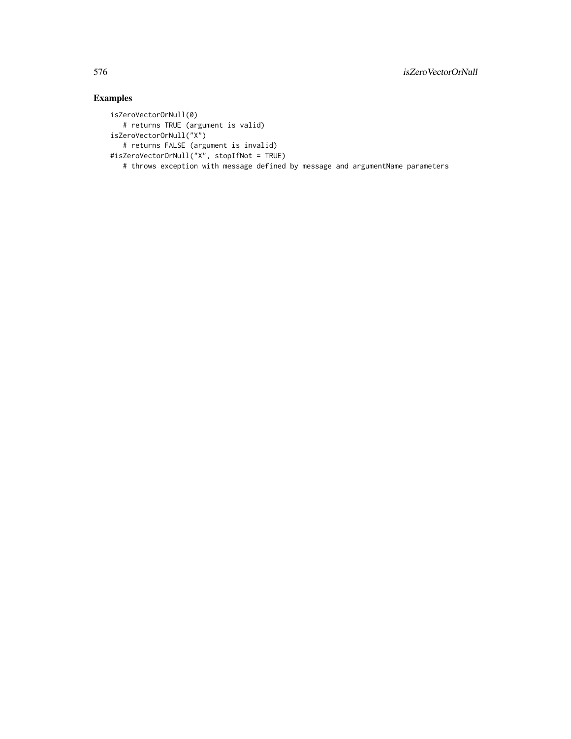```
isZeroVectorOrNull(0)
   # returns TRUE (argument is valid)
isZeroVectorOrNull("X")
   # returns FALSE (argument is invalid)
#isZeroVectorOrNull("X", stopIfNot = TRUE)
   # throws exception with message defined by message and argumentName parameters
```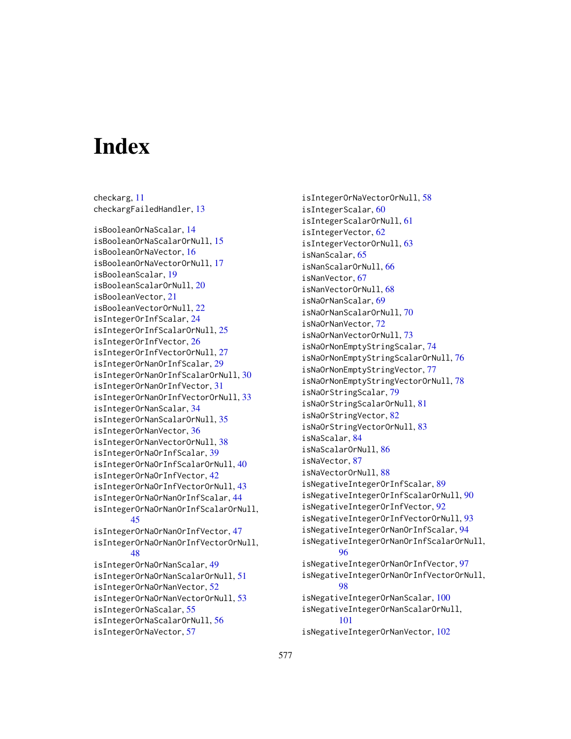## **Index**

checkarg, [11](#page-10-0)

checkargFailedHandler, [13](#page-12-0) isBooleanOrNaScalar, [14](#page-13-0) isBooleanOrNaScalarOrNull, [15](#page-14-0) isBooleanOrNaVector, [16](#page-15-0) isBooleanOrNaVectorOrNull, [17](#page-16-0) isBooleanScalar, [19](#page-18-0) isBooleanScalarOrNull, [20](#page-19-0) isBooleanVector, [21](#page-20-0) isBooleanVectorOrNull, [22](#page-21-0) isIntegerOrInfScalar, [24](#page-23-0) isIntegerOrInfScalarOrNull, [25](#page-24-0) isIntegerOrInfVector, [26](#page-25-0) isIntegerOrInfVectorOrNull, [27](#page-26-0) isIntegerOrNanOrInfScalar, [29](#page-28-0) isIntegerOrNanOrInfScalarOrNull, [30](#page-29-0) isIntegerOrNanOrInfVector, [31](#page-30-0) isIntegerOrNanOrInfVectorOrNull, [33](#page-32-0) isIntegerOrNanScalar, [34](#page-33-0) isIntegerOrNanScalarOrNull, [35](#page-34-0) isIntegerOrNanVector, [36](#page-35-0) isIntegerOrNanVectorOrNull, [38](#page-37-0) isIntegerOrNaOrInfScalar, [39](#page-38-0) isIntegerOrNaOrInfScalarOrNull, [40](#page-39-0) isIntegerOrNaOrInfVector, [42](#page-41-0) isIntegerOrNaOrInfVectorOrNull, [43](#page-42-0) isIntegerOrNaOrNanOrInfScalar, [44](#page-43-0) isIntegerOrNaOrNanOrInfScalarOrNull, [45](#page-44-0) isIntegerOrNaOrNanOrInfVector, [47](#page-46-0) isIntegerOrNaOrNanOrInfVectorOrNull, [48](#page-47-0) isIntegerOrNaOrNanScalar, [49](#page-48-0) isIntegerOrNaOrNanScalarOrNull, [51](#page-50-0) isIntegerOrNaOrNanVector, [52](#page-51-0) isIntegerOrNaOrNanVectorOrNull, [53](#page-52-0) isIntegerOrNaScalar, [55](#page-54-0) isIntegerOrNaScalarOrNull, [56](#page-55-0) isIntegerOrNaVector, [57](#page-56-0)

isIntegerOrNaVectorOrNull, [58](#page-57-0) isIntegerScalar, [60](#page-59-0) isIntegerScalarOrNull, [61](#page-60-0) isIntegerVector, [62](#page-61-0) isIntegerVectorOrNull, [63](#page-62-0) isNanScalar, [65](#page-64-0) isNanScalarOrNull, [66](#page-65-0) isNanVector, [67](#page-66-0) isNanVectorOrNull, [68](#page-67-0) isNaOrNanScalar, [69](#page-68-0) isNaOrNanScalarOrNull, [70](#page-69-0) isNaOrNanVector, [72](#page-71-0) isNaOrNanVectorOrNull, [73](#page-72-0) isNaOrNonEmptyStringScalar, [74](#page-73-0) isNaOrNonEmptyStringScalarOrNull, [76](#page-75-0) isNaOrNonEmptyStringVector, [77](#page-76-0) isNaOrNonEmptyStringVectorOrNull, [78](#page-77-0) isNaOrStringScalar, [79](#page-78-0) isNaOrStringScalarOrNull, [81](#page-80-0) isNaOrStringVector, [82](#page-81-0) isNaOrStringVectorOrNull, [83](#page-82-0) isNaScalar, [84](#page-83-0) isNaScalarOrNull, [86](#page-85-0) isNaVector, [87](#page-86-0) isNaVectorOrNull, [88](#page-87-0) isNegativeIntegerOrInfScalar, [89](#page-88-0) isNegativeIntegerOrInfScalarOrNull, [90](#page-89-0) isNegativeIntegerOrInfVector, [92](#page-91-0) isNegativeIntegerOrInfVectorOrNull, [93](#page-92-0) isNegativeIntegerOrNanOrInfScalar, [94](#page-93-0) isNegativeIntegerOrNanOrInfScalarOrNull, [96](#page-95-0) isNegativeIntegerOrNanOrInfVector, [97](#page-96-0) isNegativeIntegerOrNanOrInfVectorOrNull, [98](#page-97-0) isNegativeIntegerOrNanScalar, [100](#page-99-0) isNegativeIntegerOrNanScalarOrNull, [101](#page-100-0) isNegativeIntegerOrNanVector, [102](#page-101-0)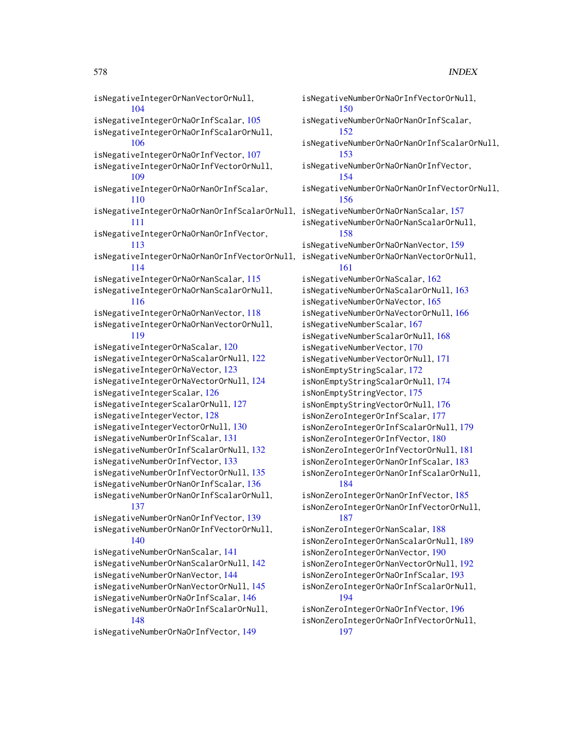isNegativeIntegerOrNanVectorOrNull, [104](#page-103-0) isNegativeIntegerOrNaOrInfScalar, [105](#page-104-0) isNegativeIntegerOrNaOrInfScalarOrNull, [106](#page-105-0) isNegativeIntegerOrNaOrInfVector, [107](#page-106-0) isNegativeIntegerOrNaOrInfVectorOrNull, [109](#page-108-0) isNegativeIntegerOrNaOrNanOrInfScalar, [110](#page-109-0) isNegativeIntegerOrNaOrNanOrInfScalarOrNull, isNegativeNumberOrNaOrNanScalar, [157](#page-156-0) [111](#page-110-0) isNegativeIntegerOrNaOrNanOrInfVector, [113](#page-112-0) isNegativeIntegerOrNaOrNanOrInfVectorOrNull, isNegativeNumberOrNaOrNanVectorOrNull, [114](#page-113-0) isNegativeIntegerOrNaOrNanScalar, [115](#page-114-0) isNegativeIntegerOrNaOrNanScalarOrNull, [116](#page-115-0) isNegativeIntegerOrNaOrNanVector, [118](#page-117-0) isNegativeIntegerOrNaOrNanVectorOrNull, [119](#page-118-0) isNegativeIntegerOrNaScalar, [120](#page-119-0) isNegativeIntegerOrNaScalarOrNull, [122](#page-121-0) isNegativeIntegerOrNaVector, [123](#page-122-0) isNegativeIntegerOrNaVectorOrNull, [124](#page-123-0) isNegativeIntegerScalar, [126](#page-125-0) isNegativeIntegerScalarOrNull, [127](#page-126-0) isNegativeIntegerVector, [128](#page-127-0) isNegativeIntegerVectorOrNull, [130](#page-129-0) isNegativeNumberOrInfScalar, [131](#page-130-0) isNegativeNumberOrInfScalarOrNull, [132](#page-131-0) isNegativeNumberOrInfVector, [133](#page-132-0) isNegativeNumberOrInfVectorOrNull, [135](#page-134-0) isNegativeNumberOrNanOrInfScalar, [136](#page-135-0) isNegativeNumberOrNanOrInfScalarOrNull, [137](#page-136-0) isNegativeNumberOrNanOrInfVector, [139](#page-138-0) isNegativeNumberOrNanOrInfVectorOrNull, [140](#page-139-0) isNegativeNumberOrNanScalar, [141](#page-140-0) isNegativeNumberOrNanScalarOrNull, [142](#page-141-0) isNegativeNumberOrNanVector, [144](#page-143-0) isNegativeNumberOrNanVectorOrNull, [145](#page-144-0) isNegativeNumberOrNaOrInfScalar, [146](#page-145-0) isNegativeNumberOrNaOrInfScalarOrNull, [148](#page-147-0)

isNegativeNumberOrNaOrInfVector, [149](#page-148-0)

isNegativeNumberOrNaOrInfVectorOrNull, [150](#page-149-0) isNegativeNumberOrNaOrNanOrInfScalar, [152](#page-151-0) isNegativeNumberOrNaOrNanOrInfScalarOrNull, [153](#page-152-0) isNegativeNumberOrNaOrNanOrInfVector, [154](#page-153-0) isNegativeNumberOrNaOrNanOrInfVectorOrNull, [156](#page-155-0) isNegativeNumberOrNaOrNanScalarOrNull, [158](#page-157-0) isNegativeNumberOrNaOrNanVector, [159](#page-158-0) [161](#page-160-0) isNegativeNumberOrNaScalar, [162](#page-161-0) isNegativeNumberOrNaScalarOrNull, [163](#page-162-0) isNegativeNumberOrNaVector, [165](#page-164-0) isNegativeNumberOrNaVectorOrNull, [166](#page-165-0) isNegativeNumberScalar, [167](#page-166-0) isNegativeNumberScalarOrNull, [168](#page-167-0) isNegativeNumberVector, [170](#page-169-0) isNegativeNumberVectorOrNull, [171](#page-170-0) isNonEmptyStringScalar, [172](#page-171-0) isNonEmptyStringScalarOrNull, [174](#page-173-0) isNonEmptyStringVector, [175](#page-174-0) isNonEmptyStringVectorOrNull, [176](#page-175-0) isNonZeroIntegerOrInfScalar, [177](#page-176-0) isNonZeroIntegerOrInfScalarOrNull, [179](#page-178-0) isNonZeroIntegerOrInfVector, [180](#page-179-0) isNonZeroIntegerOrInfVectorOrNull, [181](#page-180-0) isNonZeroIntegerOrNanOrInfScalar, [183](#page-182-0) isNonZeroIntegerOrNanOrInfScalarOrNull, [184](#page-183-0) isNonZeroIntegerOrNanOrInfVector, [185](#page-184-0) isNonZeroIntegerOrNanOrInfVectorOrNull, [187](#page-186-0) isNonZeroIntegerOrNanScalar, [188](#page-187-0) isNonZeroIntegerOrNanScalarOrNull, [189](#page-188-0) isNonZeroIntegerOrNanVector, [190](#page-189-0) isNonZeroIntegerOrNanVectorOrNull, [192](#page-191-0) isNonZeroIntegerOrNaOrInfScalar, [193](#page-192-0) isNonZeroIntegerOrNaOrInfScalarOrNull, [194](#page-193-0) isNonZeroIntegerOrNaOrInfVector, [196](#page-195-0) isNonZeroIntegerOrNaOrInfVectorOrNull, [197](#page-196-0)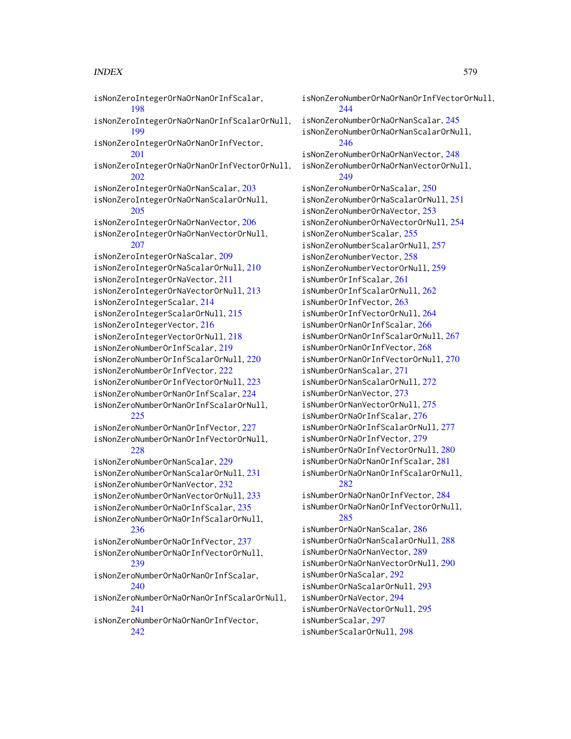## INDEX 579

isNonZeroIntegerOrNaOrNanOrInfScalar, [198](#page-197-0) isNonZeroIntegerOrNaOrNanOrInfScalarOrNull, [199](#page-198-0) isNonZeroIntegerOrNaOrNanOrInfVector, [201](#page-200-0) isNonZeroIntegerOrNaOrNanOrInfVectorOrNull, [202](#page-201-0) isNonZeroIntegerOrNaOrNanScalar, [203](#page-202-0) isNonZeroIntegerOrNaOrNanScalarOrNull, [205](#page-204-0) isNonZeroIntegerOrNaOrNanVector, [206](#page-205-0) isNonZeroIntegerOrNaOrNanVectorOrNull, [207](#page-206-0) isNonZeroIntegerOrNaScalar, [209](#page-208-0) isNonZeroIntegerOrNaScalarOrNull, [210](#page-209-0) isNonZeroIntegerOrNaVector, [211](#page-210-0) isNonZeroIntegerOrNaVectorOrNull, [213](#page-212-0) isNonZeroIntegerScalar, [214](#page-213-0) isNonZeroIntegerScalarOrNull, [215](#page-214-0) isNonZeroIntegerVector, [216](#page-215-0) isNonZeroIntegerVectorOrNull, [218](#page-217-0) isNonZeroNumberOrInfScalar, [219](#page-218-0) isNonZeroNumberOrInfScalarOrNull, [220](#page-219-0) isNonZeroNumberOrInfVector, [222](#page-221-0) isNonZeroNumberOrInfVectorOrNull, [223](#page-222-0) isNonZeroNumberOrNanOrInfScalar, [224](#page-223-0) isNonZeroNumberOrNanOrInfScalarOrNull, [225](#page-224-0) isNonZeroNumberOrNanOrInfVector, [227](#page-226-0) isNonZeroNumberOrNanOrInfVectorOrNull, [228](#page-227-0) isNonZeroNumberOrNanScalar, [229](#page-228-0) isNonZeroNumberOrNanScalarOrNull, [231](#page-230-0) isNonZeroNumberOrNanVector, [232](#page-231-0) isNonZeroNumberOrNanVectorOrNull, [233](#page-232-0) isNonZeroNumberOrNaOrInfScalar, [235](#page-234-0) isNonZeroNumberOrNaOrInfScalarOrNull, [236](#page-235-0) isNonZeroNumberOrNaOrInfVector, [237](#page-236-0) isNonZeroNumberOrNaOrInfVectorOrNull, [239](#page-238-0) isNonZeroNumberOrNaOrNanOrInfScalar, [240](#page-239-0) isNonZeroNumberOrNaOrNanOrInfScalarOrNull, [241](#page-240-0)

isNonZeroNumberOrNaOrNanOrInfVector, [242](#page-241-0)

isNonZeroNumberOrNaOrNanOrInfVectorOrNull,  $244$ isNonZeroNumberOrNaOrNanScalar, [245](#page-244-0) isNonZeroNumberOrNaOrNanScalarOrNull, [246](#page-245-0) isNonZeroNumberOrNaOrNanVector, [248](#page-247-0) isNonZeroNumberOrNaOrNanVectorOrNull, [249](#page-248-0) isNonZeroNumberOrNaScalar, [250](#page-249-0) isNonZeroNumberOrNaScalarOrNull, [251](#page-250-0) isNonZeroNumberOrNaVector, [253](#page-252-0) isNonZeroNumberOrNaVectorOrNull, [254](#page-253-0) isNonZeroNumberScalar, [255](#page-254-0) isNonZeroNumberScalarOrNull, [257](#page-256-0) isNonZeroNumberVector, [258](#page-257-0) isNonZeroNumberVectorOrNull, [259](#page-258-0) isNumberOrInfScalar, [261](#page-260-0) isNumberOrInfScalarOrNull, [262](#page-261-0) isNumberOrInfVector, [263](#page-262-0) isNumberOrInfVectorOrNull, [264](#page-263-0) isNumberOrNanOrInfScalar, [266](#page-265-0) isNumberOrNanOrInfScalarOrNull, [267](#page-266-0) isNumberOrNanOrInfVector, [268](#page-267-0) isNumberOrNanOrInfVectorOrNull, [270](#page-269-0) isNumberOrNanScalar, [271](#page-270-0) isNumberOrNanScalarOrNull, [272](#page-271-0) isNumberOrNanVector, [273](#page-272-0) isNumberOrNanVectorOrNull, [275](#page-274-0) isNumberOrNaOrInfScalar, [276](#page-275-0) isNumberOrNaOrInfScalarOrNull, [277](#page-276-0) isNumberOrNaOrInfVector, [279](#page-278-0) isNumberOrNaOrInfVectorOrNull, [280](#page-279-0) isNumberOrNaOrNanOrInfScalar, [281](#page-280-0) isNumberOrNaOrNanOrInfScalarOrNull, [282](#page-281-0) isNumberOrNaOrNanOrInfVector, [284](#page-283-0) isNumberOrNaOrNanOrInfVectorOrNull, [285](#page-284-0) isNumberOrNaOrNanScalar, [286](#page-285-0) isNumberOrNaOrNanScalarOrNull, [288](#page-287-0) isNumberOrNaOrNanVector, [289](#page-288-0) isNumberOrNaOrNanVectorOrNull, [290](#page-289-0) isNumberOrNaScalar, [292](#page-291-0) isNumberOrNaScalarOrNull, [293](#page-292-0) isNumberOrNaVector, [294](#page-293-0) isNumberOrNaVectorOrNull, [295](#page-294-0) isNumberScalar, [297](#page-296-0) isNumberScalarOrNull, [298](#page-297-0)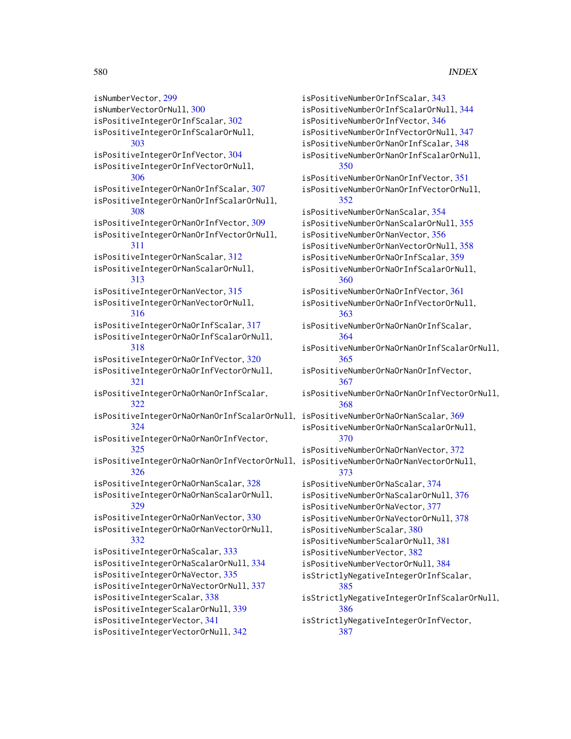isNumberVector, [299](#page-298-0) isNumberVectorOrNull, [300](#page-299-0) isPositiveIntegerOrInfScalar, [302](#page-301-0) isPositiveIntegerOrInfScalarOrNull, [303](#page-302-0) isPositiveIntegerOrInfVector, [304](#page-303-0) isPositiveIntegerOrInfVectorOrNull, [306](#page-305-0) isPositiveIntegerOrNanOrInfScalar, [307](#page-306-0) isPositiveIntegerOrNanOrInfScalarOrNull, [308](#page-307-0) isPositiveIntegerOrNanOrInfVector, [309](#page-308-0) isPositiveIntegerOrNanOrInfVectorOrNull, [311](#page-310-0) isPositiveIntegerOrNanScalar, [312](#page-311-0) isPositiveIntegerOrNanScalarOrNull, [313](#page-312-0) isPositiveIntegerOrNanVector, [315](#page-314-0) isPositiveIntegerOrNanVectorOrNull, [316](#page-315-0) isPositiveIntegerOrNaOrInfScalar, [317](#page-316-0) isPositiveIntegerOrNaOrInfScalarOrNull, [318](#page-317-0) isPositiveIntegerOrNaOrInfVector, [320](#page-319-0) isPositiveIntegerOrNaOrInfVectorOrNull, [321](#page-320-0) isPositiveIntegerOrNaOrNanOrInfScalar, [322](#page-321-0) isPositiveIntegerOrNaOrNanOrInfScalarOrNull, isPositiveNumberOrNaOrNanScalar, [369](#page-368-0) [324](#page-323-0) isPositiveIntegerOrNaOrNanOrInfVector, [325](#page-324-0) isPositiveIntegerOrNaOrNanOrInfVectorOrNull, isPositiveNumberOrNaOrNanVectorOrNull, [326](#page-325-0) isPositiveIntegerOrNaOrNanScalar, [328](#page-327-0) isPositiveIntegerOrNaOrNanScalarOrNull, [329](#page-328-0) isPositiveIntegerOrNaOrNanVector, [330](#page-329-0) isPositiveIntegerOrNaOrNanVectorOrNull, [332](#page-331-0) isPositiveIntegerOrNaScalar, [333](#page-332-0) isPositiveIntegerOrNaScalarOrNull, [334](#page-333-0) isPositiveIntegerOrNaVector, [335](#page-334-0) isPositiveIntegerOrNaVectorOrNull, [337](#page-336-0) isPositiveIntegerScalar, [338](#page-337-0) isPositiveIntegerScalarOrNull, [339](#page-338-0) isPositiveIntegerVector, [341](#page-340-0) isPositiveIntegerVectorOrNull, [342](#page-341-0)

isPositiveNumberOrInfScalar, [343](#page-342-0) isPositiveNumberOrInfScalarOrNull, [344](#page-343-0) isPositiveNumberOrInfVector, [346](#page-345-0) isPositiveNumberOrInfVectorOrNull, [347](#page-346-0) isPositiveNumberOrNanOrInfScalar, [348](#page-347-0) isPositiveNumberOrNanOrInfScalarOrNull, [350](#page-349-0) isPositiveNumberOrNanOrInfVector, [351](#page-350-0) isPositiveNumberOrNanOrInfVectorOrNull, [352](#page-351-0) isPositiveNumberOrNanScalar, [354](#page-353-0) isPositiveNumberOrNanScalarOrNull, [355](#page-354-0) isPositiveNumberOrNanVector, [356](#page-355-0) isPositiveNumberOrNanVectorOrNull, [358](#page-357-0) isPositiveNumberOrNaOrInfScalar, [359](#page-358-0) isPositiveNumberOrNaOrInfScalarOrNull, [360](#page-359-0) isPositiveNumberOrNaOrInfVector, [361](#page-360-0) isPositiveNumberOrNaOrInfVectorOrNull, [363](#page-362-0) isPositiveNumberOrNaOrNanOrInfScalar, [364](#page-363-0) isPositiveNumberOrNaOrNanOrInfScalarOrNull, [365](#page-364-0) isPositiveNumberOrNaOrNanOrInfVector, [367](#page-366-0) isPositiveNumberOrNaOrNanOrInfVectorOrNull, [368](#page-367-0) isPositiveNumberOrNaOrNanScalarOrNull, [370](#page-369-0) isPositiveNumberOrNaOrNanVector, [372](#page-371-0) [373](#page-372-0) isPositiveNumberOrNaScalar, [374](#page-373-0) isPositiveNumberOrNaScalarOrNull, [376](#page-375-0) isPositiveNumberOrNaVector, [377](#page-376-0) isPositiveNumberOrNaVectorOrNull, [378](#page-377-0) isPositiveNumberScalar, [380](#page-379-0) isPositiveNumberScalarOrNull, [381](#page-380-0) isPositiveNumberVector, [382](#page-381-0) isPositiveNumberVectorOrNull, [384](#page-383-0) isStrictlyNegativeIntegerOrInfScalar, [385](#page-384-0) isStrictlyNegativeIntegerOrInfScalarOrNull, [386](#page-385-0) isStrictlyNegativeIntegerOrInfVector, [387](#page-386-0)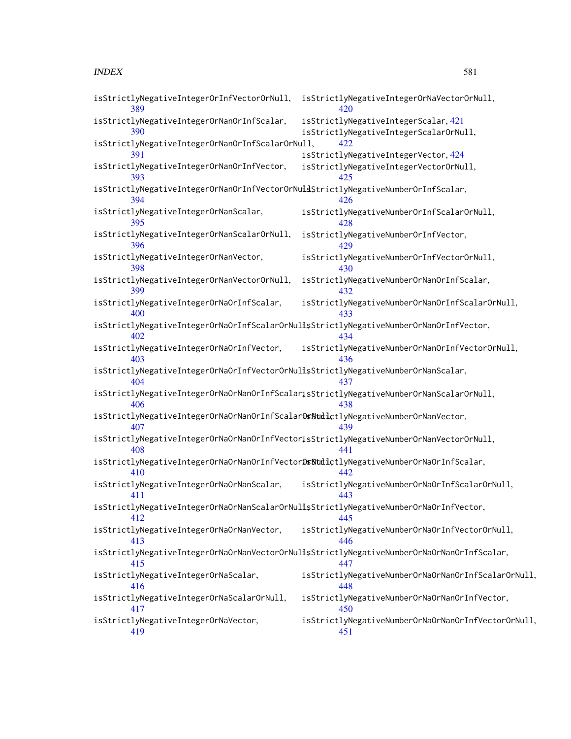## INDEX 581

| isStrictlyNegativeIntegerOrInfVectorOrNull,                                                    | isStrictlyNegativeIntegerOrNaVectorOrNull,                                                        |
|------------------------------------------------------------------------------------------------|---------------------------------------------------------------------------------------------------|
| 389                                                                                            | 420                                                                                               |
| isStrictlyNegativeIntegerOrNanOrInfScalar,                                                     | isStrictlyNegativeIntegerScalar, 421                                                              |
| 390                                                                                            | isStrictlyNegativeIntegerScalarOrNull,                                                            |
| isStrictlyNegativeIntegerOrNanOrInfScalarOrNull,                                               | 422                                                                                               |
| 391                                                                                            | isStrictlyNegativeIntegerVector, 424                                                              |
| isStrictlyNegativeIntegerOrNanOrInfVector,                                                     | isStrictlyNegativeIntegerVectorOrNull,                                                            |
| 393                                                                                            | 425                                                                                               |
| isStrictlyNegativeIntegerOrNanOrInfVectorOrNull\$StrictlyNegativeNumberOrInfScalar,<br>394     | 426                                                                                               |
| isStrictlyNegativeIntegerOrNanScalar,                                                          | isStrictlyNegativeNumberOrInfScalarOrNull,                                                        |
| 395                                                                                            | 428                                                                                               |
| isStrictlyNegativeIntegerOrNanScalarOrNull,                                                    | isStrictlyNegativeNumberOrInfVector,                                                              |
| 396                                                                                            | 429                                                                                               |
| isStrictlyNegativeIntegerOrNanVector,                                                          | isStrictlyNegativeNumberOrInfVectorOrNull,                                                        |
| 398                                                                                            | 430                                                                                               |
| isStrictlyNegativeIntegerOrNanVectorOrNull,                                                    | isStrictlyNegativeNumberOrNanOrInfScalar,                                                         |
| 399                                                                                            | 432                                                                                               |
| isStrictlyNegativeIntegerOrNaOrInfScalar,                                                      | isStrictlyNegativeNumberOrNanOrInfScalarOrNull,                                                   |
| 400                                                                                            | 433                                                                                               |
| isStrictlyNegativeIntegerOrNaOrInfScalarOrNull\$StrictlyNegativeNumberOrNanOrInfVector,<br>402 | 434                                                                                               |
| isStrictlyNegativeIntegerOrNaOrInfVector,                                                      | isStrictlyNegativeNumberOrNanOrInfVectorOrNull,                                                   |
| 403                                                                                            | 436                                                                                               |
| isStrictlyNegativeIntegerOrNaOrInfVectorOrNull;StrictlyNegativeNumberOrNanScalar,<br>404       | 437                                                                                               |
| isStrictlyNegativeIntegerOrNaOrNanOrInfScalarisStrictlyNegativeNumberOrNanScalarOrNull,<br>406 | 438                                                                                               |
| isStrictlyNegativeIntegerOrNaOrNanOrInfScalarDsStuilctlyNegativeNumberOrNanVector,<br>407      | 439                                                                                               |
| isStrictlyNegativeIntegerOrNaOrNanOrInfVectorisStrictlyNegativeNumberOrNanVectorOrNull,<br>408 | 441                                                                                               |
| isStrictlyNegativeIntegerOrNaOrNanOrInfVectorDsStuilctlyNegativeNumberOrNaOrInfScalar,<br>410  | 442                                                                                               |
| isStrictlyNegativeIntegerOrNaOrNanScalar,                                                      | isStrictlyNegativeNumberOrNaOrInfScalarOrNull,                                                    |
| 411                                                                                            | 443                                                                                               |
| isStrictlyNegativeIntegerOrNaOrNanScalarOrNullsStrictlyNegativeNumberOrNaOrInfVector,<br>412   | 445                                                                                               |
| isStrictlyNegativeIntegerOrNaOrNanVector,                                                      | isStrictlyNegativeNumberOrNaOrInfVectorOrNull,                                                    |
| 413                                                                                            | 446                                                                                               |
| 415                                                                                            | isStrictlyNegativeIntegerOrNaOrNanVectorOrNullșStrictlyNegativeNumberOrNaOrNanOrInfScalar,<br>447 |
| isStrictlyNegativeIntegerOrNaScalar,                                                           | isStrictlyNegativeNumberOrNaOrNanOrInfScalarOrNull,                                               |
| 416                                                                                            | 448                                                                                               |
| isStrictlyNegativeIntegerOrNaScalarOrNull,                                                     | isStrictlyNegativeNumberOrNaOrNanOrInfVector,                                                     |
| 417                                                                                            | 450                                                                                               |
| isStrictlyNegativeIntegerOrNaVector,                                                           | isStrictlyNegativeNumberOrNaOrNanOrInfVectorOrNull,                                               |
| 419                                                                                            | 451                                                                                               |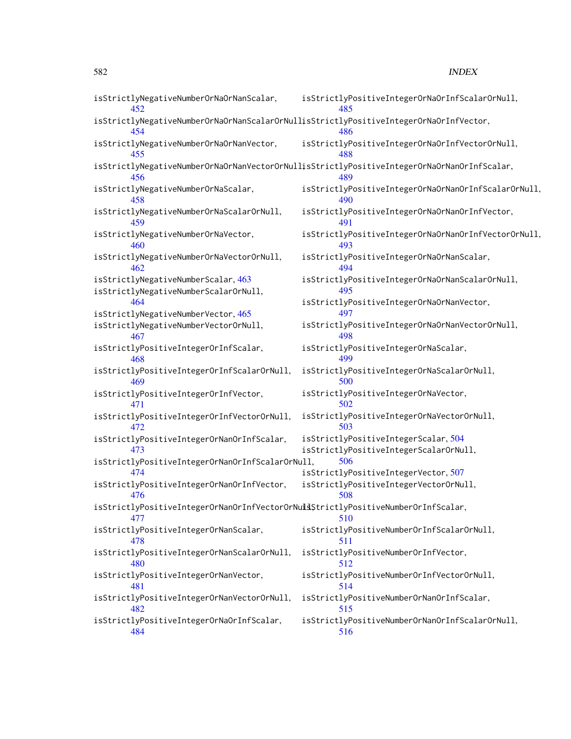| isStrictlyNegativeNumberOrNaOrNanScalar,<br>452                                        | isStrictlyPositiveIntegerOrNaOrInfScalarOrNull,<br>485                                      |
|----------------------------------------------------------------------------------------|---------------------------------------------------------------------------------------------|
| isStrictlyNegativeNumberOrNaOrNanScalarOrNullisStrictlyPositiveIntegerOrNaOrInfVector, |                                                                                             |
| 454                                                                                    | 486                                                                                         |
| isStrictlyNegativeNumberOrNaOrNanVector,                                               | isStrictlyPositiveIntegerOrNaOrInfVectorOrNull,                                             |
| 455                                                                                    | 488                                                                                         |
|                                                                                        | isStrictlyNegativeNumberOrNaOrNanVectorOrNullisStrictlyPositiveIntegerOrNaOrNanOrInfScalar, |
| 456                                                                                    | 489                                                                                         |
| isStrictlyNegativeNumberOrNaScalar,                                                    | isStrictlyPositiveIntegerOrNaOrNanOrInfScalarOrNull,                                        |
| 458                                                                                    | 490                                                                                         |
| isStrictlyNegativeNumberOrNaScalarOrNull,                                              | isStrictlyPositiveIntegerOrNaOrNanOrInfVector,                                              |
| 459                                                                                    | 491                                                                                         |
| isStrictlyNegativeNumberOrNaVector,                                                    | isStrictlyPositiveIntegerOrNaOrNanOrInfVectorOrNull,                                        |
| 460                                                                                    | 493                                                                                         |
| isStrictlyNegativeNumberOrNaVectorOrNull,                                              | isStrictlyPositiveIntegerOrNaOrNanScalar,                                                   |
| 462                                                                                    | 494                                                                                         |
| isStrictlyNegativeNumberScalar, 463                                                    | isStrictlyPositiveIntegerOrNaOrNanScalarOrNull,                                             |
| isStrictlyNegativeNumberScalarOrNull,                                                  | 495                                                                                         |
| 464                                                                                    | isStrictlyPositiveIntegerOrNaOrNanVector,                                                   |
| isStrictlyNegativeNumberVector, 465                                                    | 497                                                                                         |
| isStrictlyNegativeNumberVectorOrNull,                                                  | isStrictlyPositiveIntegerOrNaOrNanVectorOrNull,                                             |
| 467                                                                                    | 498                                                                                         |
| isStrictlyPositiveIntegerOrInfScalar,                                                  | isStrictlyPositiveIntegerOrNaScalar,                                                        |
| 468                                                                                    | 499                                                                                         |
| isStrictlyPositiveIntegerOrInfScalarOrNull,                                            | isStrictlyPositiveIntegerOrNaScalarOrNull,                                                  |
| 469                                                                                    | 500                                                                                         |
| isStrictlyPositiveIntegerOrInfVector,                                                  | isStrictlyPositiveIntegerOrNaVector,                                                        |
| 471                                                                                    | 502                                                                                         |
| isStrictlyPositiveIntegerOrInfVectorOrNull,                                            | isStrictlyPositiveIntegerOrNaVectorOrNull,                                                  |
| 472                                                                                    | 503                                                                                         |
| isStrictlyPositiveIntegerOrNanOrInfScalar,                                             | isStrictlyPositiveIntegerScalar, 504                                                        |
| 473                                                                                    | isStrictlyPositiveIntegerScalarOrNull,                                                      |
| isStrictlyPositiveIntegerOrNanOrInfScalarOrNull,                                       | 506                                                                                         |
| 474                                                                                    | isStrictlyPositiveIntegerVector, 507                                                        |
| isStrictlyPositiveIntegerOrNanOrInfVector,                                             | isStrictlyPositiveIntegerVectorOrNull,                                                      |
| 476                                                                                    | 508                                                                                         |
| isStrictlyPositiveIntegerOrNanOrInfVectorOrNuld\$trictlyPositiveNumberOrInfScalar,     |                                                                                             |
| 477                                                                                    | 510                                                                                         |
| isStrictlyPositiveIntegerOrNanScalar,                                                  | isStrictlyPositiveNumberOrInfScalarOrNull,                                                  |
| 478                                                                                    | 511                                                                                         |
| isStrictlyPositiveIntegerOrNanScalarOrNull,                                            | isStrictlyPositiveNumberOrInfVector,                                                        |
| 480                                                                                    | 512                                                                                         |
| isStrictlyPositiveIntegerOrNanVector,                                                  | isStrictlyPositiveNumberOrInfVectorOrNull,                                                  |
| 481                                                                                    | 514                                                                                         |
| isStrictlyPositiveIntegerOrNanVectorOrNull,                                            | isStrictlyPositiveNumberOrNanOrInfScalar,                                                   |
| 482                                                                                    | 515                                                                                         |
| isStrictlyPositiveIntegerOrNaOrInfScalar,                                              | isStrictlyPositiveNumberOrNanOrInfScalarOrNull,                                             |
| 484                                                                                    | 516                                                                                         |
|                                                                                        |                                                                                             |